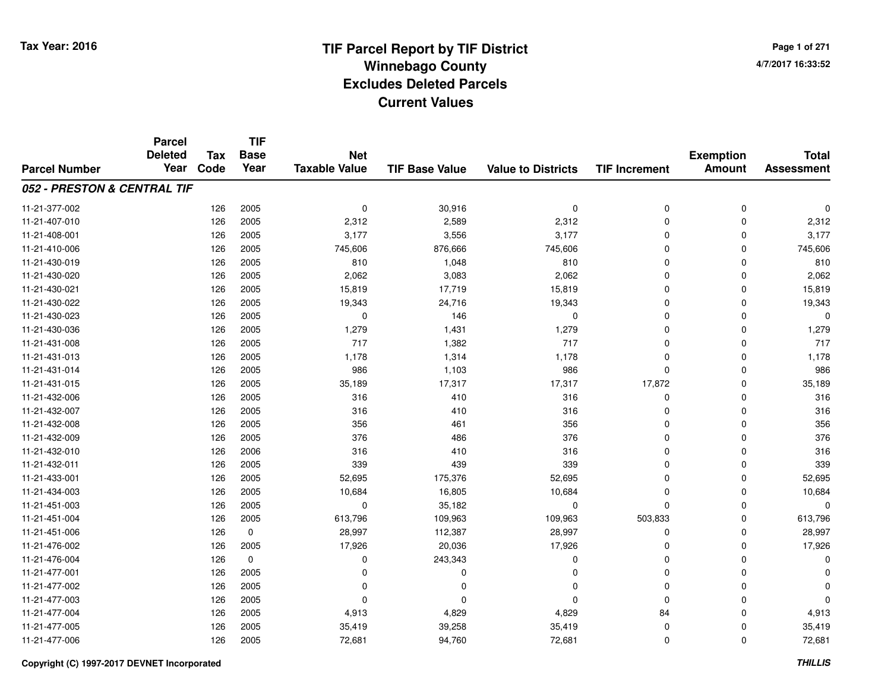# **TIF Parcel Report by TIF District Tax Year: 2016 Winnebago Countyy** and the contract of the contract of the contract of the contract of the contract of the contract of the contract of the contract of the contract of the contract of the contract of the contract of the contract of the co **Excludes Deleted ParcelsCurrent Values**

**Page 1 of 2714/7/2017 16:33:52**

|                             | <b>Parcel</b><br><b>Deleted</b> | <b>Tax</b> | <b>TIF</b><br><b>Base</b> | <b>Net</b>           |                       |                           |                      | <b>Exemption</b> | <b>Total</b>      |
|-----------------------------|---------------------------------|------------|---------------------------|----------------------|-----------------------|---------------------------|----------------------|------------------|-------------------|
| <b>Parcel Number</b>        | Year                            | Code       | Year                      | <b>Taxable Value</b> | <b>TIF Base Value</b> | <b>Value to Districts</b> | <b>TIF Increment</b> | <b>Amount</b>    | <b>Assessment</b> |
| 052 - PRESTON & CENTRAL TIF |                                 |            |                           |                      |                       |                           |                      |                  |                   |
| 11-21-377-002               |                                 | 126        | 2005                      | 0                    | 30,916                | 0                         | 0                    | $\mathbf 0$      | 0                 |
| 11-21-407-010               |                                 | 126        | 2005                      | 2,312                | 2,589                 | 2,312                     | 0                    | $\mathbf 0$      | 2,312             |
| 11-21-408-001               |                                 | 126        | 2005                      | 3,177                | 3,556                 | 3,177                     | $\mathbf 0$          | $\Omega$         | 3,177             |
| 11-21-410-006               |                                 | 126        | 2005                      | 745,606              | 876,666               | 745,606                   | 0                    | $\Omega$         | 745,606           |
| 11-21-430-019               |                                 | 126        | 2005                      | 810                  | 1,048                 | 810                       | $\mathbf 0$          | $\Omega$         | 810               |
| 11-21-430-020               |                                 | 126        | 2005                      | 2,062                | 3,083                 | 2,062                     | 0                    | 0                | 2,062             |
| 11-21-430-021               |                                 | 126        | 2005                      | 15,819               | 17,719                | 15,819                    | $\mathbf 0$          | $\Omega$         | 15,819            |
| 11-21-430-022               |                                 | 126        | 2005                      | 19,343               | 24,716                | 19,343                    | 0                    | $\Omega$         | 19,343            |
| 11-21-430-023               |                                 | 126        | 2005                      | 0                    | 146                   | $\mathbf 0$               | 0                    | $\Omega$         | $\Omega$          |
| 11-21-430-036               |                                 | 126        | 2005                      | 1,279                | 1,431                 | 1,279                     | $\mathbf 0$          | $\Omega$         | 1,279             |
| 11-21-431-008               |                                 | 126        | 2005                      | 717                  | 1,382                 | 717                       | $\mathbf 0$          | $\Omega$         | 717               |
| 11-21-431-013               |                                 | 126        | 2005                      | 1,178                | 1,314                 | 1,178                     | 0                    | $\Omega$         | 1,178             |
| 11-21-431-014               |                                 | 126        | 2005                      | 986                  | 1,103                 | 986                       | $\mathbf 0$          | $\Omega$         | 986               |
| 11-21-431-015               |                                 | 126        | 2005                      | 35,189               | 17,317                | 17,317                    | 17,872               | $\Omega$         | 35,189            |
| 11-21-432-006               |                                 | 126        | 2005                      | 316                  | 410                   | 316                       | 0                    | $\Omega$         | 316               |
| 11-21-432-007               |                                 | 126        | 2005                      | 316                  | 410                   | 316                       | 0                    | 0                | 316               |
| 11-21-432-008               |                                 | 126        | 2005                      | 356                  | 461                   | 356                       | $\mathbf 0$          | $\Omega$         | 356               |
| 11-21-432-009               |                                 | 126        | 2005                      | 376                  | 486                   | 376                       | 0                    | 0                | 376               |
| 11-21-432-010               |                                 | 126        | 2006                      | 316                  | 410                   | 316                       | 0                    | 0                | 316               |
| 11-21-432-011               |                                 | 126        | 2005                      | 339                  | 439                   | 339                       | 0                    | 0                | 339               |
| 11-21-433-001               |                                 | 126        | 2005                      | 52,695               | 175,376               | 52,695                    | $\mathbf 0$          | $\mathbf 0$      | 52,695            |
| 11-21-434-003               |                                 | 126        | 2005                      | 10,684               | 16,805                | 10,684                    | 0                    | 0                | 10,684            |
| 11-21-451-003               |                                 | 126        | 2005                      | 0                    | 35,182                | 0                         | 0                    | $\mathbf 0$      | $\Omega$          |
| 11-21-451-004               |                                 | 126        | 2005                      | 613,796              | 109,963               | 109,963                   | 503,833              | 0                | 613,796           |
| 11-21-451-006               |                                 | 126        | $\pmb{0}$                 | 28,997               | 112,387               | 28,997                    | 0                    | $\Omega$         | 28,997            |
| 11-21-476-002               |                                 | 126        | 2005                      | 17,926               | 20,036                | 17,926                    | 0                    | $\mathbf 0$      | 17,926            |
| 11-21-476-004               |                                 | 126        | $\pmb{0}$                 | 0                    | 243,343               | $\mathbf 0$               | 0                    | $\Omega$         | $\Omega$          |
| 11-21-477-001               |                                 | 126        | 2005                      | 0                    | $\Omega$              | $\Omega$                  | 0                    | 0                |                   |
| 11-21-477-002               |                                 | 126        | 2005                      | 0                    | $\Omega$              | $\Omega$                  | 0                    | $\Omega$         |                   |
| 11-21-477-003               |                                 | 126        | 2005                      | 0                    | O                     | $\Omega$                  | 0                    | 0                | ŋ                 |
| 11-21-477-004               |                                 | 126        | 2005                      | 4,913                | 4,829                 | 4,829                     | 84                   | $\Omega$         | 4,913             |
| 11-21-477-005               |                                 | 126        | 2005                      | 35,419               | 39,258                | 35,419                    | 0                    | $\Omega$         | 35,419            |
| 11-21-477-006               |                                 | 126        | 2005                      | 72,681               | 94,760                | 72,681                    | 0                    | $\Omega$         | 72,681            |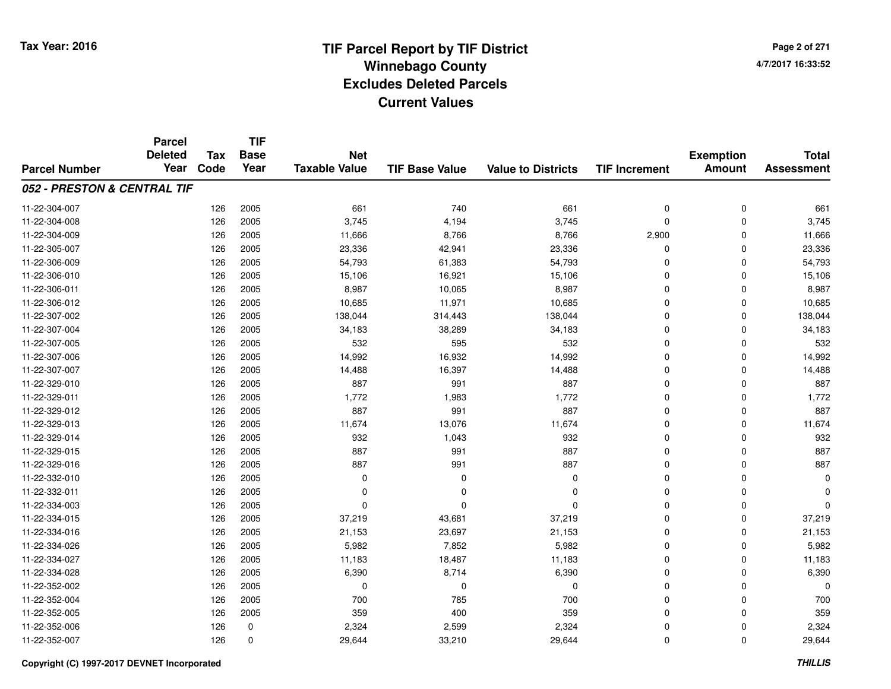**Page 2 of 2714/7/2017 16:33:52**

#### **TIF Base ValueParcel NumberTotal AssessmentExemption Amount Value to Districts TIF IncrementTIF Base YearTax CodeParcel Deleted YearNet Taxable Value052 - PRESTON & CENTRAL TIF**11-22-304-007 <sup>126</sup> <sup>661</sup> <sup>2005</sup> <sup>740</sup> <sup>661</sup> <sup>0</sup> <sup>0</sup> <sup>661</sup> 11-22-304-008 <sup>126</sup> 3,745 <sup>2005</sup> 4,194 3,745 <sup>0</sup> <sup>0</sup> 3,745 11-22-304-0099 126 2005 11,666 8,766 8,766 2,900 0 11,666 11-22-305-007 <sup>126</sup> 23,336 <sup>2005</sup> 42,941 23,336 <sup>0</sup> <sup>0</sup> 23,336 11-22-306-0099 126 2005 54,793 61,383 54,793 0 0 54,793 11-22-306-0100 126 2005 15,106 16,921 15,106 0 0 15,106 11-22-306-0111 126 2005 8,987 10,065 8,987 0 0 8,987 11-22-306-0122 2 126 2005 10,685 11,971 10,685 0 10,685 11-22-307-0022 126 2005 138,044 314,443 138,044 0 138,044 11-22-307-004 <sup>126</sup> 34,183 <sup>2005</sup> 38,289 34,183 <sup>0</sup> <sup>0</sup> 34,183 11-22-307-0055 126 2005 532 595 532 0 0 532 11-22-307-0066 126 2005 14,992 16,932 14,992 0 0 14,992 11-22-307-007 <sup>126</sup> 14,488 <sup>2005</sup> 16,397 14,488 <sup>0</sup> <sup>0</sup> 14,488 11-22-329-0100 126 2005 887 991 887 0 0 887 11-22-329-0111 126 2005 1,772 1,983 1,772 0 0 1,772 11-22-329-012 <sup>126</sup> <sup>887</sup> <sup>2005</sup> <sup>991</sup> <sup>887</sup> <sup>0</sup> <sup>0</sup> <sup>887</sup> 11-22-329-013 <sup>126</sup> 11,674 <sup>2005</sup> 13,076 11,674 <sup>0</sup> <sup>0</sup> 11,674 11-22-329-014 <sup>126</sup> <sup>932</sup> <sup>2005</sup> 1,043 <sup>932</sup> <sup>0</sup> <sup>0</sup> <sup>932</sup> 11-22-329-0155 126 2005 887 991 887 0 0 887 11-22-329-0166 126 2005 887 991 887 0 0 887 11-22-332-010 <sup>126</sup> <sup>0</sup> <sup>2005</sup> <sup>0</sup> <sup>0</sup> <sup>0</sup> <sup>0</sup> <sup>0</sup> 11-22-332-011 <sup>126</sup> <sup>0</sup> <sup>2005</sup> <sup>0</sup> <sup>0</sup> <sup>0</sup> <sup>0</sup> <sup>0</sup> 11-22-334-003 <sup>126</sup> <sup>0</sup> <sup>2005</sup> <sup>0</sup> <sup>0</sup> <sup>0</sup> <sup>0</sup> <sup>0</sup> 11-22-334-0155 126 2005 37,219 43,681 37,219 0 0 37,219 11-22-334-016 <sup>126</sup> 21,153 <sup>2005</sup> 23,697 21,153 <sup>0</sup> <sup>0</sup> 21,153 11-22-334-026 <sup>126</sup> 5,982 <sup>2005</sup> 7,852 5,982 <sup>0</sup> <sup>0</sup> 5,982 11-22-334-027 <sup>126</sup> 11,183 <sup>2005</sup> 18,487 11,183 <sup>0</sup> <sup>0</sup> 11,183 11-22-334-028 <sup>126</sup> 6,390 <sup>2005</sup> 8,714 6,390 <sup>0</sup> <sup>0</sup> 6,390 11-22-352-002 <sup>126</sup> <sup>0</sup> <sup>2005</sup> <sup>0</sup> <sup>0</sup> <sup>0</sup> <sup>0</sup> <sup>0</sup> 11-22-352-004 <sup>126</sup> <sup>700</sup> <sup>2005</sup> <sup>785</sup> <sup>700</sup> <sup>0</sup> <sup>0</sup> <sup>700</sup> 11-22-352-005 <sup>126</sup> <sup>359</sup> <sup>2005</sup> <sup>400</sup> <sup>359</sup> <sup>0</sup> <sup>0</sup> <sup>359</sup> 11-22-352-006 <sup>126</sup> 2,324 <sup>0</sup> 2,599 2,324 <sup>0</sup> <sup>0</sup> 2,324 11-22-352-0077 126 0 29,644 33,210 29,644 0 0 29,644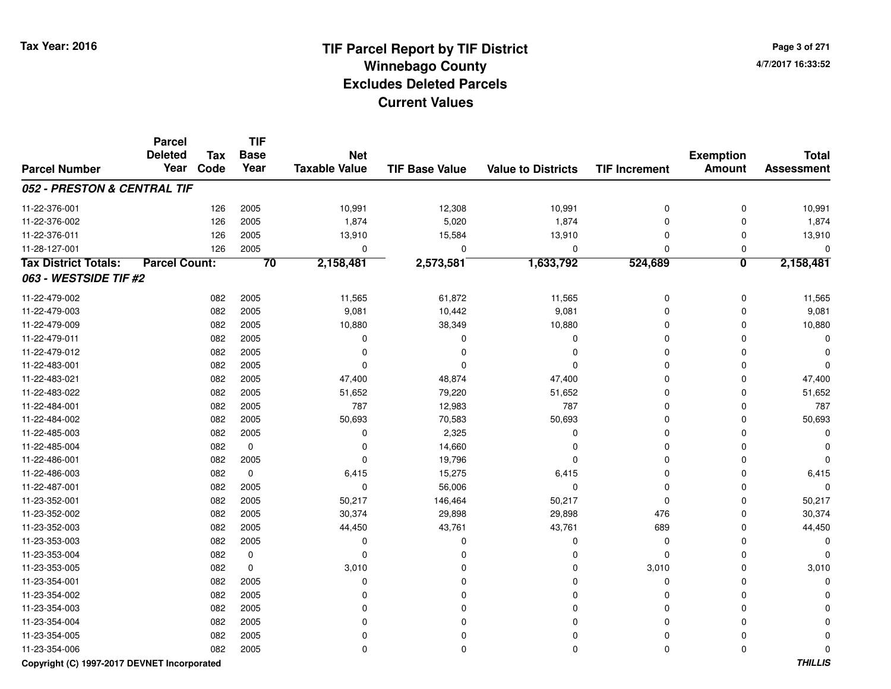**Page 3 of 2714/7/2017 16:33:52**

#### **TIF Base ValueParcel NumberTotal AssessmentExemption Amount Value to Districts TIF IncrementTIF Base YearTax CodeParcel Deleted YearNet Taxable Value052 - PRESTON & CENTRAL TIF**11-22-376-0011 126 2005 10,991 12,308 10,991 0 10,991 11-22-376-0022 126 2005 1,874 5,020 1,874 0 0 1,874 11-22-376-0111 126 2005 13,910 15,584 13,910 0 0 13,910 11-28-127-001 <sup>126</sup> <sup>0</sup> <sup>2005</sup> <sup>0</sup> <sup>0</sup> <sup>0</sup> <sup>0</sup> <sup>0</sup> **Tax District Totals: Parcel Count: <sup>70</sup> 2,158,481 2,573,581 1,633,792 524,689 <sup>0</sup> 2,158,481 063 - WESTSIDE TIF #2**11-22-479-0022 082 2005 11,565 61,872 11,565 0 0 11,565 11-22-479-0033 082 2005 9,081 10,442 9,081 0 0 9,081 11-22-479-0099 082 2005 10,880 38,349 10,880 0 0 10,880 11-22-479-011 <sup>082</sup> <sup>0</sup> <sup>2005</sup> <sup>0</sup> <sup>0</sup> <sup>0</sup> <sup>0</sup> <sup>0</sup> 11-22-479-012 <sup>082</sup> <sup>0</sup> <sup>2005</sup> <sup>0</sup> <sup>0</sup> <sup>0</sup> <sup>0</sup> <sup>0</sup> 11-22-483-001 <sup>082</sup> <sup>0</sup> <sup>2005</sup> <sup>0</sup> <sup>0</sup> <sup>0</sup> <sup>0</sup> <sup>0</sup> 11-22-483-0211 1 2 3 3 3 47,400 47,400 48,874 47,400 5 47,400 0 2 47,400 0 47,400 0 47,400 0 47,400 0 47,400 0 47,400 1 47,400 1 47,400 1 47,400 1 47,400 1 47,400 1 47,400 1 47,400 1 47,400 1 47,400 1 47,400 1 47,400 1 47,400 1 47,400 11-22-483-022 <sup>082</sup> 51,652 <sup>2005</sup> 79,220 51,652 <sup>0</sup> <sup>0</sup> 51,652 11-22-484-0011 082 2005 787 12,983 787 0 0 787 11-22-484-002 <sup>082</sup> 50,693 <sup>2005</sup> 70,583 50,693 <sup>0</sup> <sup>0</sup> 50,693 11-22-485-0033 and the contract of the contract of the contract of the contract of the contract of  $\alpha$  of  $\alpha$  of  $\alpha$  of  $\alpha$  of  $\alpha$  of  $\alpha$  of  $\alpha$  of  $\alpha$  of  $\alpha$  of  $\alpha$  of  $\alpha$  of  $\alpha$  of  $\alpha$  of  $\alpha$  of  $\alpha$  of  $\alpha$  of  $\alpha$  of 11-22-485-004 <sup>082</sup> <sup>0</sup> <sup>0</sup> 14,660 <sup>0</sup> <sup>0</sup> <sup>0</sup> <sup>0</sup> 11-22-486-0011 082 2005 0 19,796 0 0 0 0 11-22-486-0033 082 0 6,415 15,275 6,415 0 0 6,415 11-22-487-0011 082 2005 0 56,006 0 0 0 0 11-23-352-0011 082 2005 50,217 146,464 50,217 0 0 50,217 11-23-352-0022 082 2005 30,374 29,898 29,898 476 0 30,374 11-23-352-0033 082 2005 44,450 43,761 43,761 689 0 44,450 11-23-353-003 <sup>082</sup> <sup>0</sup> <sup>2005</sup> <sup>0</sup> <sup>0</sup> <sup>0</sup> <sup>0</sup> <sup>0</sup> 11-23-353-004 <sup>082</sup> <sup>0</sup> <sup>0</sup> <sup>0</sup> <sup>0</sup> <sup>0</sup> <sup>0</sup> <sup>0</sup> 11-23-353-005 <sup>082</sup> 3,010 <sup>0</sup> <sup>0</sup> <sup>0</sup> 3,010 <sup>0</sup> 3,010 11-23-354-001 <sup>082</sup> <sup>0</sup> <sup>2005</sup> <sup>0</sup> <sup>0</sup> <sup>0</sup> <sup>0</sup> <sup>0</sup> 11-23-354-002 <sup>082</sup> <sup>0</sup> <sup>2005</sup> <sup>0</sup> <sup>0</sup> <sup>0</sup> <sup>0</sup> <sup>0</sup> 11-23-354-003 <sup>082</sup> <sup>0</sup> <sup>2005</sup> <sup>0</sup> <sup>0</sup> <sup>0</sup> <sup>0</sup> <sup>0</sup> 11-23-354-004 <sup>082</sup> <sup>0</sup> <sup>2005</sup> <sup>0</sup> <sup>0</sup> <sup>0</sup> <sup>0</sup> <sup>0</sup> 11-23-354-005 <sup>082</sup> <sup>0</sup> <sup>2005</sup> <sup>0</sup> <sup>0</sup> <sup>0</sup> <sup>0</sup> <sup>0</sup> 11-23-354-006<sup>082</sup> <sup>0</sup> <sup>2005</sup> <sup>0</sup> <sup>0</sup> <sup>0</sup> <sup>0</sup> <sup>0</sup>

#### **Copyright (C) 1997-2017 DEVNET Incorporated**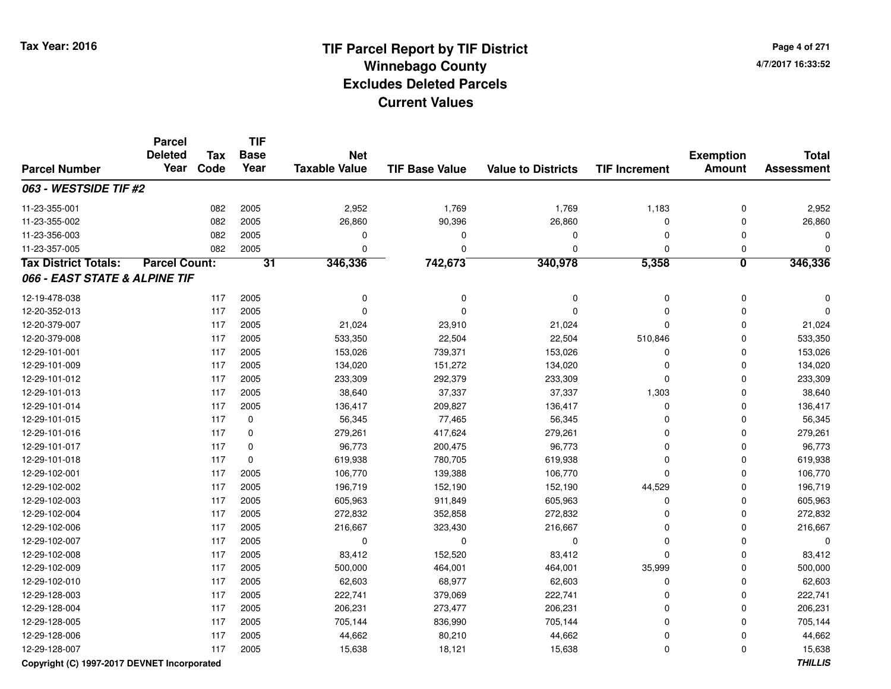**TIF**

**Parcel**

**Page 4 of 2714/7/2017 16:33:52**

#### **TIF Base ValueParcel NumberTotal AssessmentExemption Amount Value to Districts TIF Increment Base YearTax Code Deleted YearNet Taxable Value063 - WESTSIDE TIF #2**11-23-355-0011 082 2005 2,952 1,769 1,769 1,183 0 2,952 11-23-355-0022 082 2005 26,860 90,396 26,860 0 26,860 11-23-356-003 <sup>082</sup> <sup>0</sup> <sup>2005</sup> <sup>0</sup> <sup>0</sup> <sup>0</sup> <sup>0</sup> <sup>0</sup> 11-23-357-005 <sup>082</sup> <sup>0</sup> <sup>2005</sup> <sup>0</sup> <sup>0</sup> <sup>0</sup> <sup>0</sup> <sup>0</sup> **Tax District Totals: Parcel Count: <sup>31</sup> 346,336 742,673 340,978 5,358 <sup>0</sup> 346,336 066 - EAST STATE & ALPINE TIF**12-19-478-038 <sup>117</sup> <sup>0</sup> <sup>2005</sup> <sup>0</sup> <sup>0</sup> <sup>0</sup> <sup>0</sup> <sup>0</sup> 12-20-352-013 <sup>117</sup> <sup>0</sup> <sup>2005</sup> <sup>0</sup> <sup>0</sup> <sup>0</sup> <sup>0</sup> <sup>0</sup> 12-20-379-007 <sup>117</sup> 21,024 <sup>2005</sup> 23,910 21,024 <sup>0</sup> <sup>0</sup> 21,024 12-20-379-008 <sup>117</sup> 533,350 <sup>2005</sup> 22,504 22,504 510,846 <sup>0</sup> 533,350 12-29-101-0011 117 2005 153,026 739,371 153,026 0 0 153,026 12-29-101-0099 117 2005 134,020 151,272 134,020 0 134,020 12-29-101-012 <sup>117</sup> 233,309 <sup>2005</sup> 292,379 233,309 <sup>0</sup> <sup>0</sup> 233,309 12-29-101-013 <sup>117</sup> 38,640 <sup>2005</sup> 37,337 37,337 1,303 <sup>0</sup> 38,640 12-29-101-014 <sup>117</sup> 136,417 <sup>2005</sup> 209,827 136,417 <sup>0</sup> <sup>0</sup> 136,417 12-29-101-0155 117 0 56,345 77,465 56,345 0 56,345 12-29-101-0166 117 0 279,261 417,624 279,261 0 0 279,261 12-29-101-017 <sup>117</sup> 96,773 <sup>0</sup> 200,475 96,773 <sup>0</sup> <sup>0</sup> 96,773 12-29-101-018 <sup>117</sup> 619,938 <sup>0</sup> 780,705 619,938 <sup>0</sup> <sup>0</sup> 619,938 12-29-102-0011 117 2005 106,770 139,388 106,770 0 106,770 12-29-102-002 <sup>117</sup> 196,719 <sup>2005</sup> 152,190 152,190 44,529 <sup>0</sup> 196,719 12-29-102-0033 117 2005 605,963 911,849 605,963 0 0 605,963 12-29-102-004 <sup>117</sup> 272,832 <sup>2005</sup> 352,858 272,832 <sup>0</sup> <sup>0</sup> 272,832 12-29-102-006 <sup>117</sup> 216,667 <sup>2005</sup> 323,430 216,667 <sup>0</sup> <sup>0</sup> 216,667 12-29-102-007 <sup>117</sup> <sup>0</sup> <sup>2005</sup> <sup>0</sup> <sup>0</sup> <sup>0</sup> <sup>0</sup> <sup>0</sup> 12-29-102-008 <sup>117</sup> 83,412 <sup>2005</sup> 152,520 83,412 <sup>0</sup> <sup>0</sup> 83,412 12-29-102-009 <sup>117</sup> 500,000 <sup>2005</sup> 464,001 464,001 35,999 <sup>0</sup> 500,000 12-29-102-0100 117 2005 62,603 68,977 62,603 0 0 62,603 12-29-128-0033 117 2005 222,741 379,069 222,741 0 222,741 12-29-128-004 <sup>117</sup> 206,231 <sup>2005</sup> 273,477 206,231 <sup>0</sup> <sup>0</sup> 206,231 12-29-128-005 <sup>117</sup> 705,144 <sup>2005</sup> 836,990 705,144 <sup>0</sup> <sup>0</sup> 705,144 12-29-128-006 <sup>117</sup> 44,662 <sup>2005</sup> 80,210 44,662 <sup>0</sup> <sup>0</sup> 44,662 12-29-128-007<sup>117</sup> 15,638 <sup>2005</sup> 18,121 15,638 <sup>0</sup> <sup>0</sup> 15,638

#### **Copyright (C) 1997-2017 DEVNET Incorporated**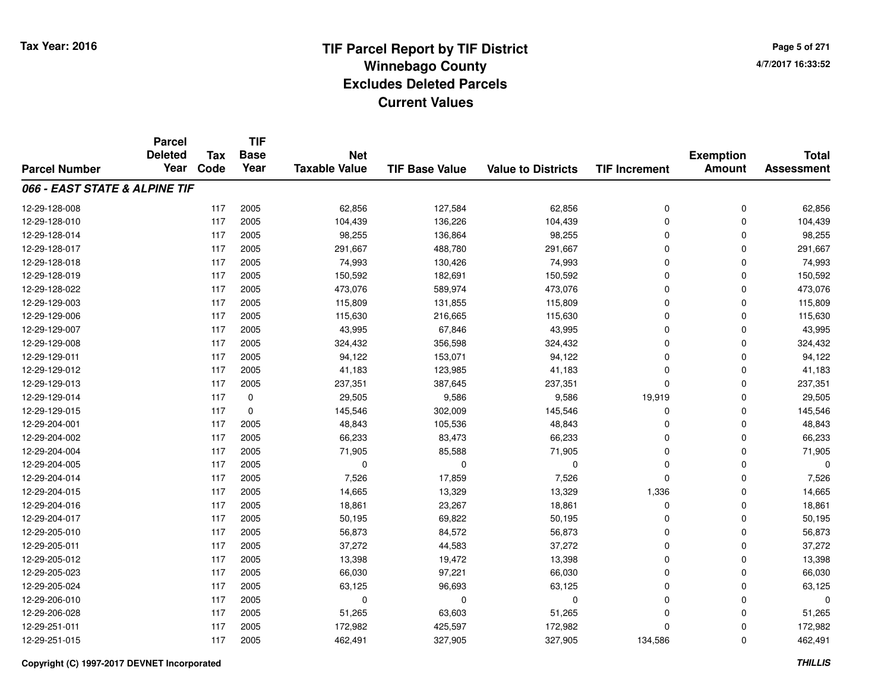**TIF**

**Parcel**

**Page 5 of 2714/7/2017 16:33:52**

|                               | <b>Deleted</b> | <b>Tax</b> | .<br><b>Base</b> | <b>Net</b>           |                       |                           |                      | <b>Exemption</b> | <b>Total</b>      |
|-------------------------------|----------------|------------|------------------|----------------------|-----------------------|---------------------------|----------------------|------------------|-------------------|
| <b>Parcel Number</b>          | Year           | Code       | Year             | <b>Taxable Value</b> | <b>TIF Base Value</b> | <b>Value to Districts</b> | <b>TIF Increment</b> | <b>Amount</b>    | <b>Assessment</b> |
| 066 - EAST STATE & ALPINE TIF |                |            |                  |                      |                       |                           |                      |                  |                   |
| 12-29-128-008                 |                | 117        | 2005             | 62,856               | 127,584               | 62,856                    | 0                    | 0                | 62,856            |
| 12-29-128-010                 |                | 117        | 2005             | 104,439              | 136,226               | 104,439                   | 0                    | 0                | 104,439           |
| 12-29-128-014                 |                | 117        | 2005             | 98,255               | 136,864               | 98,255                    | 0                    | 0                | 98,255            |
| 12-29-128-017                 |                | 117        | 2005             | 291,667              | 488,780               | 291,667                   | 0                    | 0                | 291,667           |
| 12-29-128-018                 |                | 117        | 2005             | 74,993               | 130,426               | 74,993                    | 0                    | 0                | 74,993            |
| 12-29-128-019                 |                | 117        | 2005             | 150,592              | 182,691               | 150,592                   | 0                    | 0                | 150,592           |
| 12-29-128-022                 |                | 117        | 2005             | 473,076              | 589,974               | 473,076                   | 0                    | 0                | 473,076           |
| 12-29-129-003                 |                | 117        | 2005             | 115,809              | 131,855               | 115,809                   | 0                    | 0                | 115,809           |
| 12-29-129-006                 |                | 117        | 2005             | 115,630              | 216,665               | 115,630                   | 0                    | 0                | 115,630           |
| 12-29-129-007                 |                | 117        | 2005             | 43,995               | 67,846                | 43,995                    | 0                    | 0                | 43,995            |
| 12-29-129-008                 |                | 117        | 2005             | 324,432              | 356,598               | 324,432                   | 0                    | 0                | 324,432           |
| 12-29-129-011                 |                | 117        | 2005             | 94,122               | 153,071               | 94,122                    | 0                    | 0                | 94,122            |
| 12-29-129-012                 |                | 117        | 2005             | 41,183               | 123,985               | 41,183                    | 0                    | 0                | 41,183            |
| 12-29-129-013                 |                | 117        | 2005             | 237,351              | 387,645               | 237,351                   | 0                    | 0                | 237,351           |
| 12-29-129-014                 |                | 117        | 0                | 29,505               | 9,586                 | 9,586                     | 19,919               | 0                | 29,505            |
| 12-29-129-015                 |                | 117        | $\mathbf 0$      | 145,546              | 302,009               | 145,546                   | $\mathbf 0$          | 0                | 145,546           |
| 12-29-204-001                 |                | 117        | 2005             | 48,843               | 105,536               | 48,843                    | 0                    | 0                | 48,843            |
| 12-29-204-002                 |                | 117        | 2005             | 66,233               | 83,473                | 66,233                    | 0                    | 0                | 66,233            |
| 12-29-204-004                 |                | 117        | 2005             | 71,905               | 85,588                | 71,905                    | 0                    | 0                | 71,905            |
| 12-29-204-005                 |                | 117        | 2005             | $\Omega$             | $\mathbf 0$           | $\mathbf 0$               | $\Omega$             | 0                | $\Omega$          |
| 12-29-204-014                 |                | 117        | 2005             | 7,526                | 17,859                | 7,526                     | 0                    | 0                | 7,526             |
| 12-29-204-015                 |                | 117        | 2005             | 14,665               | 13,329                | 13,329                    | 1,336                | 0                | 14,665            |
| 12-29-204-016                 |                | 117        | 2005             | 18,861               | 23,267                | 18,861                    | 0                    | 0                | 18,861            |
| 12-29-204-017                 |                | 117        | 2005             | 50,195               | 69,822                | 50,195                    | 0                    | 0                | 50,195            |
| 12-29-205-010                 |                | 117        | 2005             | 56,873               | 84,572                | 56,873                    | 0                    | 0                | 56,873            |
| 12-29-205-011                 |                | 117        | 2005             | 37,272               | 44,583                | 37,272                    | 0                    | 0                | 37,272            |
| 12-29-205-012                 |                | 117        | 2005             | 13,398               | 19,472                | 13,398                    | 0                    | 0                | 13,398            |
| 12-29-205-023                 |                | 117        | 2005             | 66,030               | 97,221                | 66,030                    | 0                    | 0                | 66,030            |
| 12-29-205-024                 |                | 117        | 2005             | 63,125               | 96,693                | 63,125                    | 0                    | 0                | 63,125            |
| 12-29-206-010                 |                | 117        | 2005             | $\mathbf 0$          | $\Omega$              | 0                         | 0                    | 0                | $\Omega$          |
| 12-29-206-028                 |                | 117        | 2005             | 51,265               | 63,603                | 51,265                    | 0                    | 0                | 51,265            |
| 12-29-251-011                 |                | 117        | 2005             | 172,982              | 425,597               | 172,982                   | $\Omega$             | 0                | 172,982           |
| 12-29-251-015                 |                | 117        | 2005             | 462,491              | 327,905               | 327,905                   | 134,586              | 0                | 462,491           |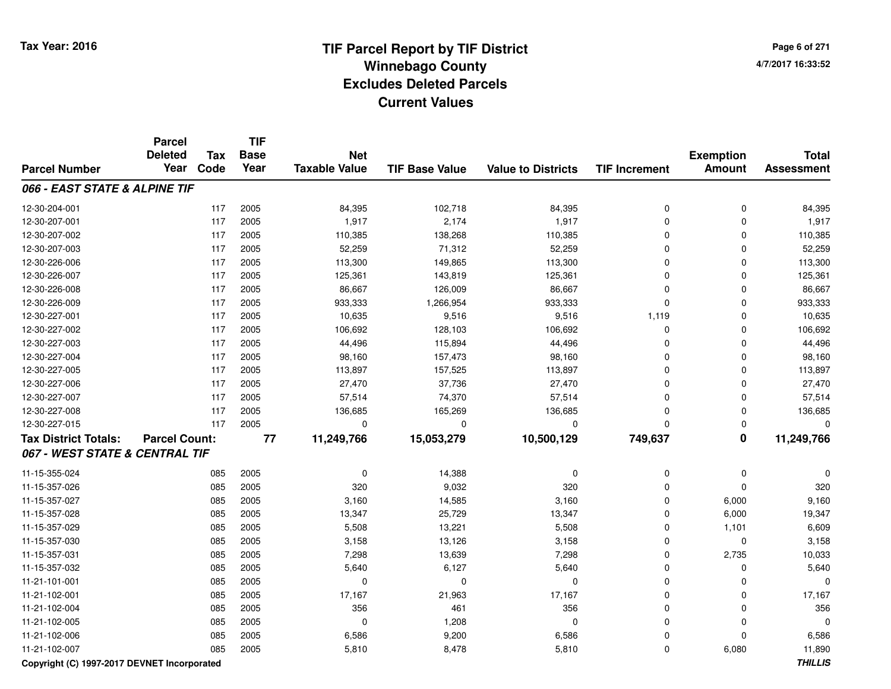**Page 6 of 2714/7/2017 16:33:52**

|                                             | <b>Parcel</b><br><b>Deleted</b> | <b>Tax</b> | <b>TIF</b><br><b>Base</b> | <b>Net</b>           |                       |                           |                      | <b>Exemption</b>        | <b>Total</b>      |
|---------------------------------------------|---------------------------------|------------|---------------------------|----------------------|-----------------------|---------------------------|----------------------|-------------------------|-------------------|
| <b>Parcel Number</b>                        | Year                            | Code       | Year                      | <b>Taxable Value</b> | <b>TIF Base Value</b> | <b>Value to Districts</b> | <b>TIF Increment</b> | <b>Amount</b>           | <b>Assessment</b> |
| 066 - EAST STATE & ALPINE TIF               |                                 |            |                           |                      |                       |                           |                      |                         |                   |
| 12-30-204-001                               |                                 | 117        | 2005                      | 84,395               | 102,718               | 84,395                    | $\mathbf 0$          | $\mathbf 0$             | 84,395            |
| 12-30-207-001                               |                                 | 117        | 2005                      | 1,917                | 2,174                 | 1,917                     | $\Omega$             | $\Omega$                | 1,917             |
| 12-30-207-002                               |                                 | 117        | 2005                      | 110,385              | 138,268               | 110,385                   | $\Omega$             | $\mathbf 0$             | 110,385           |
| 12-30-207-003                               |                                 | 117        | 2005                      | 52,259               | 71,312                | 52,259                    | $\Omega$             | 0                       | 52,259            |
| 12-30-226-006                               |                                 | 117        | 2005                      | 113,300              | 149,865               | 113,300                   | $\Omega$             | 0                       | 113,300           |
| 12-30-226-007                               |                                 | 117        | 2005                      | 125,361              | 143,819               | 125,361                   | $\Omega$             | $\mathbf 0$             | 125,361           |
| 12-30-226-008                               |                                 | 117        | 2005                      | 86,667               | 126,009               | 86,667                    | $\mathbf 0$          | $\mathbf 0$             | 86,667            |
| 12-30-226-009                               |                                 | 117        | 2005                      | 933,333              | 1,266,954             | 933,333                   | $\mathbf 0$          | $\mathbf 0$             | 933,333           |
| 12-30-227-001                               |                                 | 117        | 2005                      | 10,635               | 9,516                 | 9,516                     | 1,119                | $\mathbf 0$             | 10,635            |
| 12-30-227-002                               |                                 | 117        | 2005                      | 106,692              | 128,103               | 106,692                   | $\Omega$             | $\Omega$                | 106,692           |
| 12-30-227-003                               |                                 | 117        | 2005                      | 44,496               | 115,894               | 44,496                    | $\Omega$             | $\Omega$                | 44,496            |
| 12-30-227-004                               |                                 | 117        | 2005                      | 98,160               | 157,473               | 98,160                    | $\Omega$             | 0                       | 98,160            |
| 12-30-227-005                               |                                 | 117        | 2005                      | 113,897              | 157,525               | 113,897                   | $\Omega$             | $\Omega$                | 113,897           |
| 12-30-227-006                               |                                 | 117        | 2005                      | 27,470               | 37,736                | 27,470                    | $\Omega$             | 0                       | 27,470            |
| 12-30-227-007                               |                                 | 117        | 2005                      | 57,514               | 74,370                | 57,514                    | $\mathbf 0$          | $\mathbf 0$             | 57,514            |
| 12-30-227-008                               |                                 | 117        | 2005                      | 136,685              | 165,269               | 136,685                   | $\Omega$             | $\mathbf 0$             | 136,685           |
| 12-30-227-015                               |                                 | 117        | 2005                      | $\mathbf 0$          | $\mathbf 0$           | 0                         | $\mathbf 0$          | $\mathbf 0$             | $\Omega$          |
| <b>Tax District Totals:</b>                 | <b>Parcel Count:</b>            |            | $\overline{77}$           | 11,249,766           | 15,053,279            | 10,500,129                | 749,637              | $\overline{\mathbf{0}}$ | 11,249,766        |
| 067 - WEST STATE & CENTRAL TIF              |                                 |            |                           |                      |                       |                           |                      |                         |                   |
| 11-15-355-024                               |                                 | 085        | 2005                      | 0                    | 14,388                | 0                         | 0                    | 0                       | $\Omega$          |
| 11-15-357-026                               |                                 | 085        | 2005                      | 320                  | 9,032                 | 320                       | $\Omega$             | $\Omega$                | 320               |
| 11-15-357-027                               |                                 | 085        | 2005                      | 3,160                | 14,585                | 3,160                     | $\Omega$             | 6,000                   | 9,160             |
| 11-15-357-028                               |                                 | 085        | 2005                      | 13,347               | 25,729                | 13,347                    | $\Omega$             | 6,000                   | 19,347            |
| 11-15-357-029                               |                                 | 085        | 2005                      | 5,508                | 13,221                | 5,508                     | $\Omega$             | 1,101                   | 6,609             |
| 11-15-357-030                               |                                 | 085        | 2005                      | 3,158                | 13,126                | 3,158                     | 0                    | $\mathbf 0$             | 3,158             |
| 11-15-357-031                               |                                 | 085        | 2005                      | 7,298                | 13,639                | 7,298                     | $\Omega$             | 2,735                   | 10,033            |
| 11-15-357-032                               |                                 | 085        | 2005                      | 5,640                | 6,127                 | 5,640                     | $\mathbf 0$          | $\mathbf 0$             | 5,640             |
| 11-21-101-001                               |                                 | 085        | 2005                      | $\mathbf 0$          | $\mathbf 0$           | 0                         | $\mathbf 0$          | $\mathbf 0$             |                   |
| 11-21-102-001                               |                                 | 085        | 2005                      | 17,167               | 21,963                | 17,167                    | $\Omega$             | $\Omega$                | 17,167            |
| 11-21-102-004                               |                                 | 085        | 2005                      | 356                  | 461                   | 356                       | $\Omega$             | 0                       | 356               |
| 11-21-102-005                               |                                 | 085        | 2005                      | $\mathbf 0$          | 1,208                 | $\mathbf 0$               | $\mathbf 0$          | 0                       |                   |
| 11-21-102-006                               |                                 | 085        | 2005                      | 6,586                | 9,200                 | 6,586                     | $\mathbf 0$          | $\Omega$                | 6,586             |
| 11-21-102-007                               |                                 | 085        | 2005                      | 5,810                | 8,478                 | 5,810                     | $\mathbf 0$          | 6,080                   | 11,890            |
| Convright (C) 1997-2017 DEVNET Incorporated |                                 |            |                           |                      |                       |                           |                      |                         | <b>THILLIS</b>    |

**Copyright (C) 1997-2017 DEVNET Incorporated**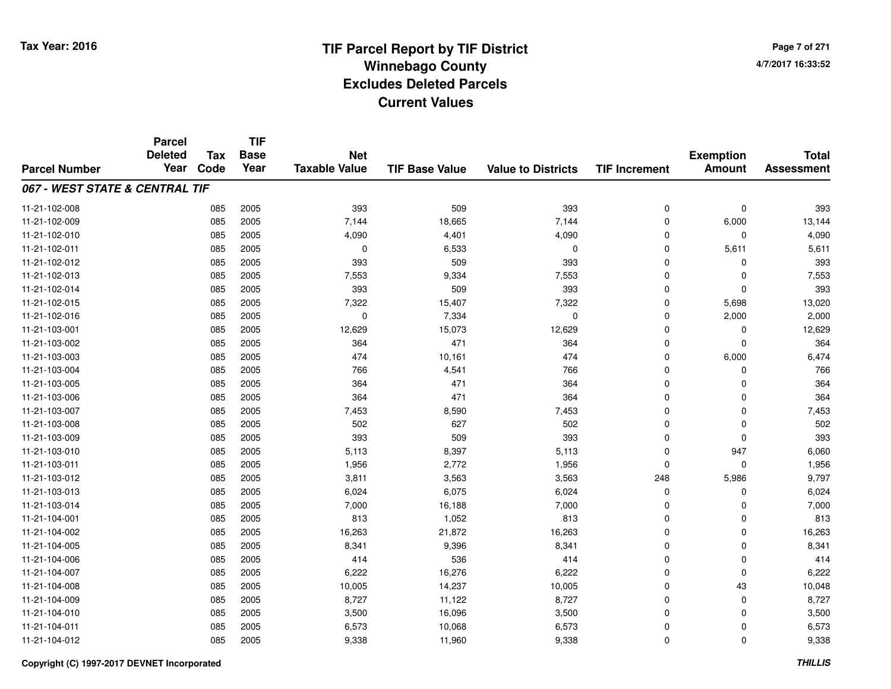**TIF**

**Parcel**

**Page 7 of 2714/7/2017 16:33:52**

| <b>Parcel Number</b>           | <b>Deleted</b><br>Year | <b>Tax</b><br>Code | <b>Base</b><br>Year | <b>Net</b><br><b>Taxable Value</b> | <b>TIF Base Value</b> | <b>Value to Districts</b> | <b>TIF Increment</b> | <b>Exemption</b><br><b>Amount</b> | <b>Total</b><br><b>Assessment</b> |
|--------------------------------|------------------------|--------------------|---------------------|------------------------------------|-----------------------|---------------------------|----------------------|-----------------------------------|-----------------------------------|
| 067 - WEST STATE & CENTRAL TIF |                        |                    |                     |                                    |                       |                           |                      |                                   |                                   |
| 11-21-102-008                  |                        | 085                | 2005                | 393                                | 509                   | 393                       | $\mathbf 0$          | $\mathbf 0$                       | 393                               |
| 11-21-102-009                  |                        | 085                | 2005                | 7,144                              | 18,665                | 7,144                     | 0                    | 6,000                             | 13,144                            |
| 11-21-102-010                  |                        | 085                | 2005                | 4,090                              | 4,401                 | 4,090                     | $\Omega$             | 0                                 | 4,090                             |
| 11-21-102-011                  |                        | 085                | 2005                | 0                                  | 6,533                 | $\mathbf 0$               | 0                    | 5,611                             | 5,611                             |
| 11-21-102-012                  |                        | 085                | 2005                | 393                                | 509                   | 393                       | 0                    | 0                                 | 393                               |
| 11-21-102-013                  |                        | 085                | 2005                | 7,553                              | 9,334                 | 7,553                     | $\Omega$             | $\Omega$                          | 7,553                             |
| 11-21-102-014                  |                        | 085                | 2005                | 393                                | 509                   | 393                       | $\Omega$             | $\Omega$                          | 393                               |
| 11-21-102-015                  |                        | 085                | 2005                | 7,322                              | 15,407                | 7,322                     | 0                    | 5,698                             | 13,020                            |
| 11-21-102-016                  |                        | 085                | 2005                | $\mathbf 0$                        | 7,334                 | $\mathbf 0$               | 0                    | 2,000                             | 2,000                             |
| 11-21-103-001                  |                        | 085                | 2005                | 12,629                             | 15,073                | 12,629                    | 0                    | 0                                 | 12,629                            |
| 11-21-103-002                  |                        | 085                | 2005                | 364                                | 471                   | 364                       | 0                    | 0                                 | 364                               |
| 11-21-103-003                  |                        | 085                | 2005                | 474                                | 10,161                | 474                       | 0                    | 6,000                             | 6,474                             |
| 11-21-103-004                  |                        | 085                | 2005                | 766                                | 4,541                 | 766                       | 0                    | 0                                 | 766                               |
| 11-21-103-005                  |                        | 085                | 2005                | 364                                | 471                   | 364                       | 0                    | 0                                 | 364                               |
| 11-21-103-006                  |                        | 085                | 2005                | 364                                | 471                   | 364                       | $\Omega$             | $\Omega$                          | 364                               |
| 11-21-103-007                  |                        | 085                | 2005                | 7,453                              | 8,590                 | 7,453                     | $\Omega$             | $\Omega$                          | 7,453                             |
| 11-21-103-008                  |                        | 085                | 2005                | 502                                | 627                   | 502                       | $\Omega$             | $\Omega$                          | 502                               |
| 11-21-103-009                  |                        | 085                | 2005                | 393                                | 509                   | 393                       | $\Omega$             | $\Omega$                          | 393                               |
| 11-21-103-010                  |                        | 085                | 2005                | 5,113                              | 8,397                 | 5,113                     | $\Omega$             | 947                               | 6,060                             |
| 11-21-103-011                  |                        | 085                | 2005                | 1,956                              | 2,772                 | 1,956                     | $\Omega$             | 0                                 | 1,956                             |
| 11-21-103-012                  |                        | 085                | 2005                | 3,811                              | 3,563                 | 3,563                     | 248                  | 5,986                             | 9,797                             |
| 11-21-103-013                  |                        | 085                | 2005                | 6,024                              | 6,075                 | 6,024                     | 0                    | $\Omega$                          | 6,024                             |
| 11-21-103-014                  |                        | 085                | 2005                | 7,000                              | 16,188                | 7,000                     | 0                    | $\Omega$                          | 7,000                             |
| 11-21-104-001                  |                        | 085                | 2005                | 813                                | 1,052                 | 813                       | 0                    | 0                                 | 813                               |
| 11-21-104-002                  |                        | 085                | 2005                | 16,263                             | 21,872                | 16,263                    | $\Omega$             | $\Omega$                          | 16,263                            |
| 11-21-104-005                  |                        | 085                | 2005                | 8,341                              | 9,396                 | 8,341                     | $\Omega$             | $\Omega$                          | 8,341                             |
| 11-21-104-006                  |                        | 085                | 2005                | 414                                | 536                   | 414                       | $\Omega$             | $\Omega$                          | 414                               |
| 11-21-104-007                  |                        | 085                | 2005                | 6,222                              | 16,276                | 6,222                     | $\mathbf 0$          | $\Omega$                          | 6,222                             |
| 11-21-104-008                  |                        | 085                | 2005                | 10,005                             | 14,237                | 10,005                    | $\mathbf 0$          | 43                                | 10,048                            |
| 11-21-104-009                  |                        | 085                | 2005                | 8,727                              | 11,122                | 8,727                     | $\mathbf 0$          | 0                                 | 8,727                             |
| 11-21-104-010                  |                        | 085                | 2005                | 3,500                              | 16,096                | 3,500                     | $\mathbf 0$          | $\Omega$                          | 3,500                             |
| 11-21-104-011                  |                        | 085                | 2005                | 6,573                              | 10,068                | 6,573                     | $\mathbf 0$          | $\Omega$                          | 6,573                             |
| 11-21-104-012                  |                        | 085                | 2005                | 9,338                              | 11,960                | 9,338                     | $\mathbf 0$          | $\mathbf 0$                       | 9,338                             |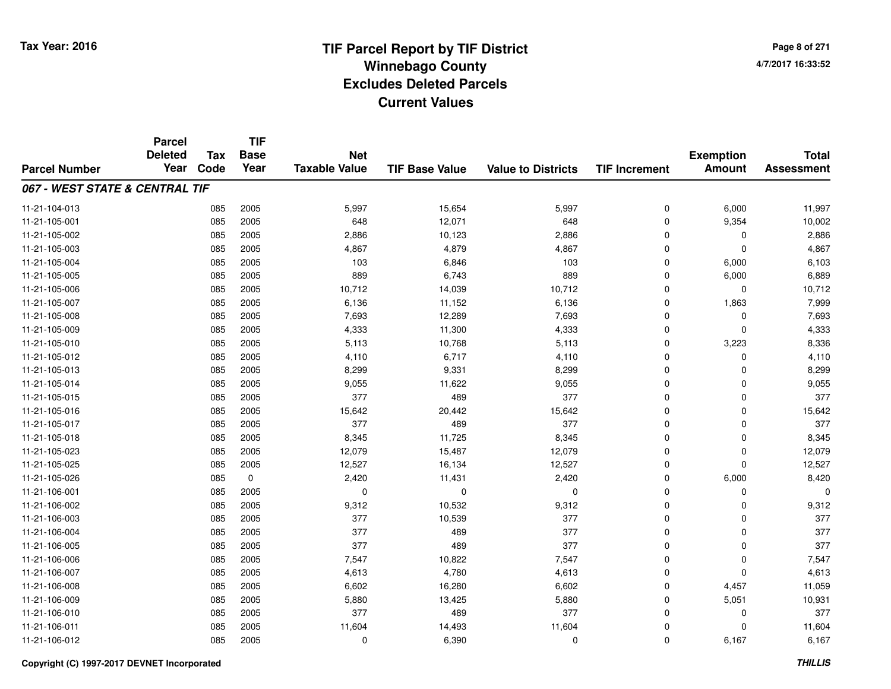**Page 8 of 2714/7/2017 16:33:52**

#### **TIF Base ValueParcel NumberTotal AssessmentExemption Amount Value to Districts TIF IncrementTIF Base YearTax CodeParcel Deleted YearNet Taxable Value067 - WEST STATE & CENTRAL TIF**11-21-104-0133 085 2005 5,997 15,654 5,997 0 6,000 11,997 11-21-105-0011 085 2005 648 12,071 648 0 9,354 10,002 11-21-105-0022 085 2005 2,886 10,123 2,886 0 0 2,886 11-21-105-0033 085 2005 4,867 4,879 4,867 0 0 4,867 11-21-105-0044 085 2005 103 6,846 103 0 6,000 6,103 11-21-105-005 <sup>085</sup> <sup>889</sup> <sup>2005</sup> 6,743 <sup>889</sup> <sup>0</sup> 6,000 6,889 11-21-105-006 <sup>085</sup> 10,712 <sup>2005</sup> 14,039 10,712 <sup>0</sup> <sup>0</sup> 10,712 11-21-105-007 <sup>085</sup> 6,136 <sup>2005</sup> 11,152 6,136 <sup>0</sup> 1,863 7,999 11-21-105-0088 085 2005 7,693 12,289 7,693 0 7,693 11-21-105-0099 085 2005 4,333 11,300 4,333 0 0 4,333 11-21-105-0100 085 2005 5,113 10,768 5,113 0 3,223 8,336 11-21-105-0122 085 2005 4,110 6,717 4,110 0 0 4,110 11-21-105-013 <sup>085</sup> 8,299 <sup>2005</sup> 9,331 8,299 <sup>0</sup> <sup>0</sup> 8,299 11-21-105-014 <sup>085</sup> 9,055 <sup>2005</sup> 11,622 9,055 <sup>0</sup> <sup>0</sup> 9,055 11-21-105-015 <sup>085</sup> <sup>377</sup> <sup>2005</sup> <sup>489</sup> <sup>377</sup> <sup>0</sup> <sup>0</sup> <sup>377</sup> 11-21-105-0166 085 2005 15,642 20,442 15,642 0 0 15,642 11-21-105-017 <sup>085</sup> <sup>377</sup> <sup>2005</sup> <sup>489</sup> <sup>377</sup> <sup>0</sup> <sup>0</sup> <sup>377</sup> 11-21-105-0188 085 2005 8,345 11,725 8,345 0 0 8,345 11-21-105-0233 085 2005 12,079 15,487 12,079 0 0 12,079 11-21-105-025 <sup>085</sup> 12,527 <sup>2005</sup> 16,134 12,527 <sup>0</sup> <sup>0</sup> 12,527 11-21-105-026 <sup>085</sup> 2,420 <sup>0</sup> 11,431 2,420 <sup>0</sup> 6,000 8,420 11-21-106-001 <sup>085</sup> <sup>0</sup> <sup>2005</sup> <sup>0</sup> <sup>0</sup> <sup>0</sup> <sup>0</sup> <sup>0</sup> 11-21-106-002 <sup>085</sup> 9,312 <sup>2005</sup> 10,532 9,312 <sup>0</sup> <sup>0</sup> 9,312 11-21-106-003 <sup>085</sup> <sup>377</sup> <sup>2005</sup> 10,539 <sup>377</sup> <sup>0</sup> <sup>0</sup> <sup>377</sup> 11-21-106-004 <sup>085</sup> <sup>377</sup> <sup>2005</sup> <sup>489</sup> <sup>377</sup> <sup>0</sup> <sup>0</sup> <sup>377</sup> 11-21-106-005 <sup>085</sup> <sup>377</sup> <sup>2005</sup> <sup>489</sup> <sup>377</sup> <sup>0</sup> <sup>0</sup> <sup>377</sup> 11-21-106-0066 085 2005 7,547 10,822 7,547 0 0 7,547 11-21-106-0077 085 2005 4,613 4,780 4,613 0 0 4,613 11-21-106-008 <sup>085</sup> 6,602 <sup>2005</sup> 16,280 6,602 <sup>0</sup> 4,457 11,059 11-21-106-0099 085 2005 5,880 13,425 5,880 0 5,051 10,931 11-21-106-0100 085 2005 377 489 377 0 0 377 11-21-106-0111 085 2005 11,604 14,493 11,604 0 11,604 11-21-106-0122 085 2005 0 6,390 0 0 6,167 6,167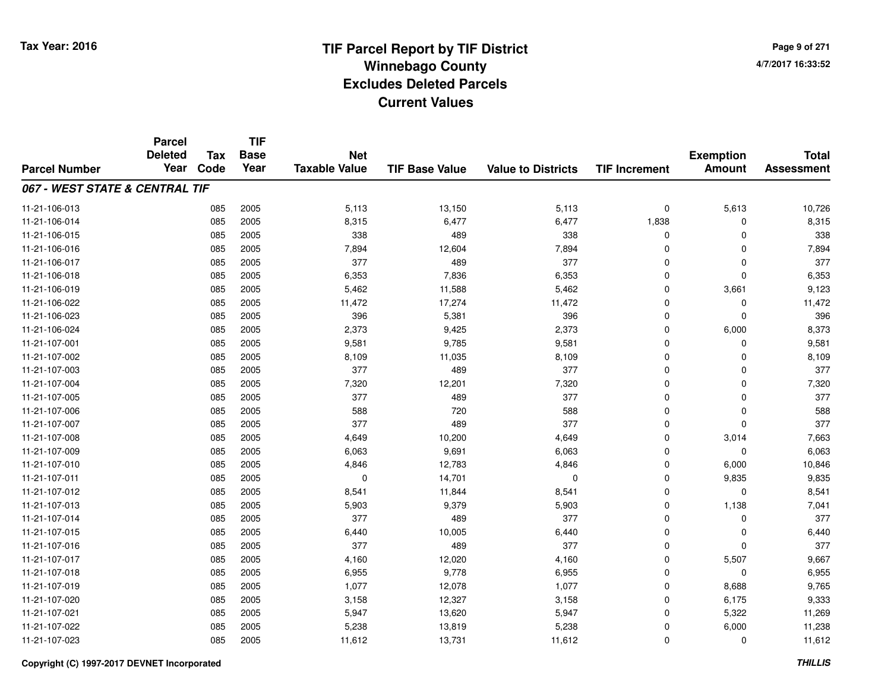**Page 9 of 2714/7/2017 16:33:52**

#### **TIF Base ValueParcel NumberTotal AssessmentExemption Amount Value to Districts TIF IncrementTIF Base YearTax CodeParcel Deleted YearNet Taxable Value067 - WEST STATE & CENTRAL TIF**11-21-106-0133 085 2005 5,113 13,150 5,113 0 5,613 10,726 11-21-106-014 <sup>085</sup> 8,315 <sup>2005</sup> 6,477 6,477 1,838 <sup>0</sup> 8,315 11-21-106-015 <sup>085</sup> <sup>338</sup> <sup>2005</sup> <sup>489</sup> <sup>338</sup> <sup>0</sup> <sup>0</sup> <sup>338</sup> 11-21-106-0166 085 2005 7,894 12,604 7,894 0 0 7,894 11-21-106-017 <sup>085</sup> <sup>377</sup> <sup>2005</sup> <sup>489</sup> <sup>377</sup> <sup>0</sup> <sup>0</sup> <sup>377</sup> 11-21-106-0188 085 2005 6,353 7,836 6,353 0 6,353 11-21-106-0199 085 2005 5,462 11,588 5,462 0 3,661 9,123 11-21-106-0222 11,472 17,274 11,472 17,274 0 0 0 11,472 11-21-106-0233 085 2005 396 5,381 396 0 0 396 11-21-106-0244 2,373 2005 2005 2,373 2,373 3 4 5,373 2,373 3 4 6,000 8,373 11-21-107-0011 085 2005 9,581 9,785 9,581 0 9,581 11-21-107-0022 085 2005 8,109 11,035 8,109 0 0 8,109 11-21-107-003 <sup>085</sup> <sup>377</sup> <sup>2005</sup> <sup>489</sup> <sup>377</sup> <sup>0</sup> <sup>0</sup> <sup>377</sup> 11-21-107-004 <sup>085</sup> 7,320 <sup>2005</sup> 12,201 7,320 <sup>0</sup> <sup>0</sup> 7,320 11-21-107-005 <sup>085</sup> <sup>377</sup> <sup>2005</sup> <sup>489</sup> <sup>377</sup> <sup>0</sup> <sup>0</sup> <sup>377</sup> 11-21-107-0066 085 2005 588 720 588 0 0 588 11-21-107-007 <sup>085</sup> <sup>377</sup> <sup>2005</sup> <sup>489</sup> <sup>377</sup> <sup>0</sup> <sup>0</sup> <sup>377</sup> 11-21-107-0088 085 2005 4,649 10,200 4,649 0 3,014 7,663 11-21-107-0099 085 2005 6,063 9,691 6,063 0 0 6,063 11-21-107-0100 085 2005 4,846 12,783 4,846 0 6,000 10,846 11-21-107-0111 085 2005 0 14,701 0 0 9,835 9,835 11-21-107-0122 085 2005 8,541 11,844 8,541 0 0 8,541 11-21-107-0133 085 2005 5,903 9,379 5,903 0 1,138 7,041 11-21-107-014 <sup>085</sup> <sup>377</sup> <sup>2005</sup> <sup>489</sup> <sup>377</sup> <sup>0</sup> <sup>0</sup> <sup>377</sup> 11-21-107-015 <sup>085</sup> 6,440 <sup>2005</sup> 10,005 6,440 <sup>0</sup> <sup>0</sup> 6,440 11-21-107-016 <sup>085</sup> <sup>377</sup> <sup>2005</sup> <sup>489</sup> <sup>377</sup> <sup>0</sup> <sup>0</sup> <sup>377</sup> 11-21-107-017 <sup>085</sup> 4,160 <sup>2005</sup> 12,020 4,160 <sup>0</sup> 5,507 9,667 11-21-107-0188 085 2005 6,955 9,778 6,955 0 0 6,955 11-21-107-0199 085 2005 1,077 12,078 1,077 0 8,688 9,765 11-21-107-0200 085 2005 3,158 12,327 3,158 0 6,175 9,333 11-21-107-0211 085 2005 5,947 13,620 5,947 0 5,322 11,269 11-21-107-0222 2 085 2005 5,238 13,819 5,238 0 6,000 11,238 11-21-107-0233 085 2005 11,612 13,731 11,612 0 0 11,612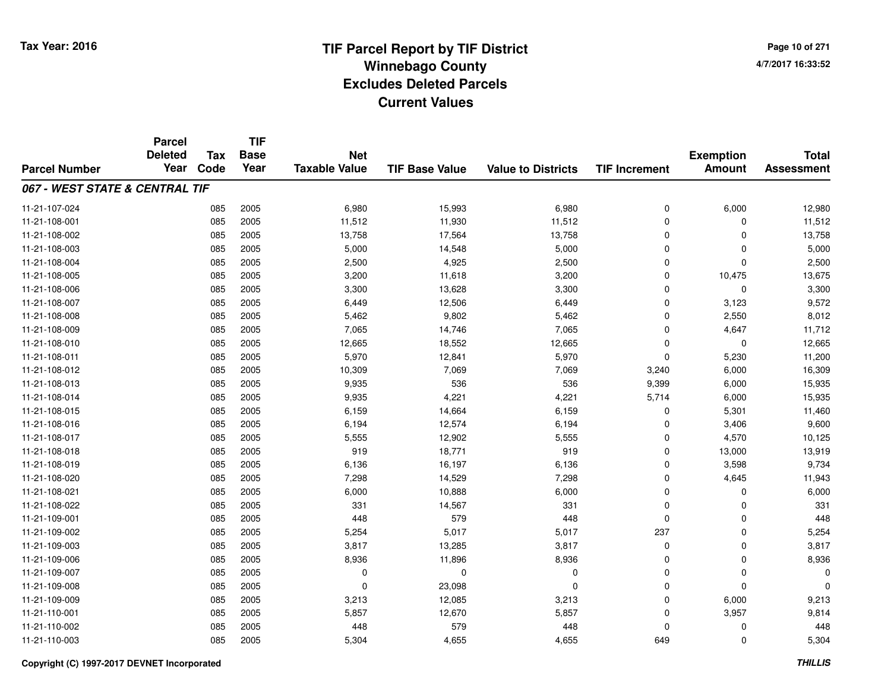**TIF**

**Parcel**

**Page 10 of 2714/7/2017 16:33:52**

#### **TIF Base ValueParcel NumberTotal AssessmentExemption Amount Value to Districts TIF Increment Base YearTax Code Deleted YearNet Taxable Value067 - WEST STATE & CENTRAL TIF**11-21-107-024 <sup>085</sup> 6,980 <sup>2005</sup> 15,993 6,980 <sup>0</sup> 6,000 12,980 11-21-108-0011 085 2005 11,512 11,930 11,512 0 0 11,512 11-21-108-0022 085 2005 13,758 17,564 13,758 0 0 13,758 11-21-108-0033 2005 2005 14,548 5,000 5,000 5,000 5,000 5,000 5,000 5,000 65,000 65,000 65,000 65,000 5,000 5,000 5,000 5,000 5,000 5,000 5,000 5,000 5,000 5,000 5,000 5,000 5,000 5,000 5,000 5,000 5,000 5,000 5,000 5,000 5,000 5,000 11-21-108-0044 2.500 2.500 2.500 2.500 4,925 2.500 2,500 0 0 2,500 11-21-108-005 <sup>085</sup> 3,200 <sup>2005</sup> 11,618 3,200 <sup>0</sup> 10,475 13,675 11-21-108-006 <sup>085</sup> 3,300 <sup>2005</sup> 13,628 3,300 <sup>0</sup> <sup>0</sup> 3,300 11-21-108-007 <sup>085</sup> 6,449 <sup>2005</sup> 12,506 6,449 <sup>0</sup> 3,123 9,572 11-21-108-0088 085 2005 5,462 9,802 5,462 0 2,550 8,012 11-21-108-0099 085 2005 7,065 14,746 7,065 0 4,647 11,712 11-21-108-0100 085 2005 12,665 18,552 12,665 0 0 12,665 11-21-108-011 <sup>085</sup> 5,970 <sup>2005</sup> 12,841 5,970 <sup>0</sup> 5,230 11,200 11-21-108-012 <sup>085</sup> 10,309 <sup>2005</sup> 7,069 7,069 3,240 6,000 16,309 11-21-108-0133 085 2005 9,935 536 536 9,399 6,000 15,935 11-21-108-014 <sup>085</sup> 9,935 <sup>2005</sup> 4,221 4,221 5,714 6,000 15,935 11-21-108-0155 085 2005 6,159 14,664 6,159 0 5,301 11,460 11-21-108-016 <sup>085</sup> 6,194 <sup>2005</sup> 12,574 6,194 <sup>0</sup> 3,406 9,600 11-21-108-017 <sup>085</sup> 5,555 <sup>2005</sup> 12,902 5,555 <sup>0</sup> 4,570 10,125 11-21-108-018 <sup>085</sup> <sup>919</sup> <sup>2005</sup> 18,771 <sup>919</sup> <sup>0</sup> 13,000 13,919 11-21-108-0199 085 2005 6,136 16,197 6,136 0 3,598 9,734 11-21-108-0200 085 2005 7,298 14,529 7,298 0 4,645 11,943 11-21-108-0211 085 2005 6,000 10,888 6,000 0 0 6,000 11-21-108-022 <sup>085</sup> <sup>331</sup> <sup>2005</sup> 14,567 <sup>331</sup> <sup>0</sup> <sup>0</sup> <sup>331</sup> 11-21-109-0011 085 2005 448 579 448 0 0 448 11-21-109-002 <sup>085</sup> 5,254 <sup>2005</sup> 5,017 5,017 <sup>237</sup> <sup>0</sup> 5,254 11-21-109-0033 085 2005 3,817 13,285 3,817 0 0 3,817 11-21-109-006 <sup>085</sup> 8,936 <sup>2005</sup> 11,896 8,936 <sup>0</sup> <sup>0</sup> 8,936 11-21-109-007 <sup>085</sup> <sup>0</sup> <sup>2005</sup> <sup>0</sup> <sup>0</sup> <sup>0</sup> <sup>0</sup> <sup>0</sup> 11-21-109-0088 085 2005 0 23,098 0 0 0 0 11-21-109-0099 085 2005 3,213 12,085 3,213 0 6,000 9,213 11-21-110-0011 085 2005 5,857 12,670 5,857 0 3,957 9,814 11-21-110-0022 085 2005 448 579 448 0 0 448 11-21-110-0033 085 2005 5,304 4,655 4,655 649 0 5,304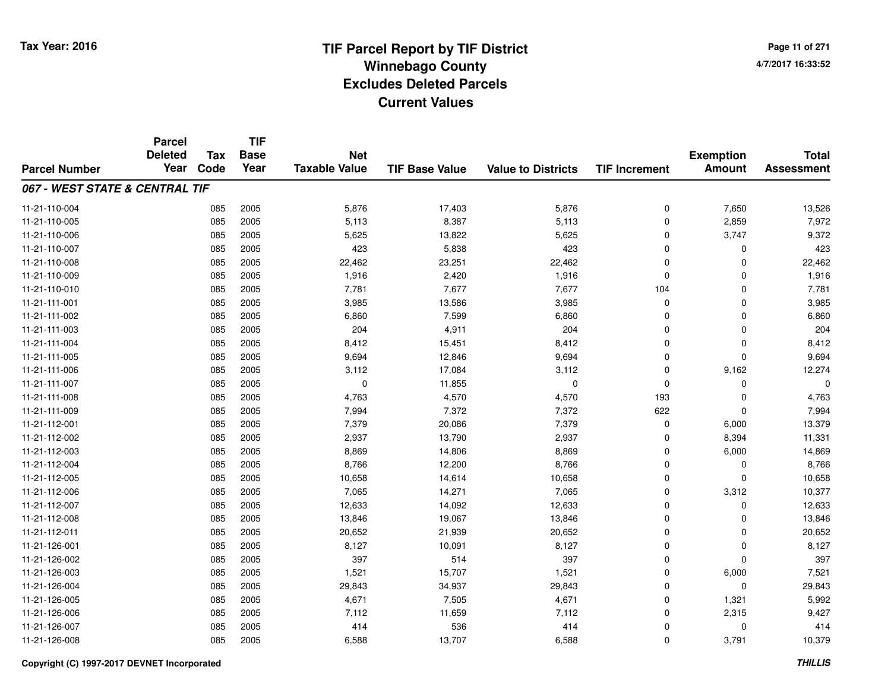**Page 11 of 2714/7/2017 16:33:52**

|                                | <b>Parcel</b>          |                    | <b>TIF</b>          |                                    |                       |                           |                      |                                   |                                   |
|--------------------------------|------------------------|--------------------|---------------------|------------------------------------|-----------------------|---------------------------|----------------------|-----------------------------------|-----------------------------------|
| <b>Parcel Number</b>           | <b>Deleted</b><br>Year | <b>Tax</b><br>Code | <b>Base</b><br>Year | <b>Net</b><br><b>Taxable Value</b> | <b>TIF Base Value</b> | <b>Value to Districts</b> | <b>TIF Increment</b> | <b>Exemption</b><br><b>Amount</b> | <b>Total</b><br><b>Assessment</b> |
|                                |                        |                    |                     |                                    |                       |                           |                      |                                   |                                   |
| 067 - WEST STATE & CENTRAL TIF |                        |                    |                     |                                    |                       |                           |                      |                                   |                                   |
| 11-21-110-004                  |                        | 085                | 2005                | 5,876                              | 17,403                | 5,876                     | 0                    | 7,650                             | 13,526                            |
| 11-21-110-005                  |                        | 085                | 2005                | 5,113                              | 8,387                 | 5,113                     | 0                    | 2,859                             | 7,972                             |
| 11-21-110-006                  |                        | 085                | 2005                | 5,625                              | 13,822                | 5,625                     | 0                    | 3,747                             | 9,372                             |
| 11-21-110-007                  |                        | 085                | 2005                | 423                                | 5,838                 | 423                       | 0                    | 0                                 | 423                               |
| 11-21-110-008                  |                        | 085                | 2005                | 22,462                             | 23,251                | 22,462                    | 0                    | $\Omega$                          | 22,462                            |
| 11-21-110-009                  |                        | 085                | 2005                | 1,916                              | 2,420                 | 1,916                     | 0                    | $\Omega$                          | 1,916                             |
| 11-21-110-010                  |                        | 085                | 2005                | 7,781                              | 7,677                 | 7,677                     | 104                  | $\Omega$                          | 7,781                             |
| 11-21-111-001                  |                        | 085                | 2005                | 3,985                              | 13,586                | 3,985                     | 0                    | $\Omega$                          | 3,985                             |
| 11-21-111-002                  |                        | 085                | 2005                | 6,860                              | 7,599                 | 6,860                     | 0                    | $\mathbf 0$                       | 6,860                             |
| 11-21-111-003                  |                        | 085                | 2005                | 204                                | 4,911                 | 204                       | $\mathbf 0$          | $\Omega$                          | 204                               |
| 11-21-111-004                  |                        | 085                | 2005                | 8,412                              | 15,451                | 8,412                     | 0                    | $\Omega$                          | 8,412                             |
| 11-21-111-005                  |                        | 085                | 2005                | 9,694                              | 12,846                | 9,694                     | 0                    | 0                                 | 9,694                             |
| 11-21-111-006                  |                        | 085                | 2005                | 3,112                              | 17,084                | 3,112                     | 0                    | 9,162                             | 12,274                            |
| 11-21-111-007                  |                        | 085                | 2005                | 0                                  | 11,855                | 0                         | 0                    | 0                                 | 0                                 |
| 11-21-111-008                  |                        | 085                | 2005                | 4,763                              | 4,570                 | 4,570                     | 193                  | $\mathbf 0$                       | 4,763                             |
| 11-21-111-009                  |                        | 085                | 2005                | 7,994                              | 7,372                 | 7,372                     | 622                  | $\mathbf 0$                       | 7,994                             |
| 11-21-112-001                  |                        | 085                | 2005                | 7,379                              | 20,086                | 7,379                     | 0                    | 6,000                             | 13,379                            |
| 11-21-112-002                  |                        | 085                | 2005                | 2,937                              | 13,790                | 2,937                     | 0                    | 8,394                             | 11,331                            |
| 11-21-112-003                  |                        | 085                | 2005                | 8,869                              | 14,806                | 8,869                     | 0                    | 6,000                             | 14,869                            |
| 11-21-112-004                  |                        | 085                | 2005                | 8,766                              | 12,200                | 8,766                     | 0                    | $\mathbf 0$                       | 8,766                             |
| 11-21-112-005                  |                        | 085                | 2005                | 10,658                             | 14,614                | 10,658                    | 0                    | $\mathbf 0$                       | 10,658                            |
| 11-21-112-006                  |                        | 085                | 2005                | 7,065                              | 14,271                | 7,065                     | 0                    | 3,312                             | 10,377                            |
| 11-21-112-007                  |                        | 085                | 2005                | 12,633                             | 14,092                | 12,633                    | 0                    | 0                                 | 12,633                            |
| 11-21-112-008                  |                        | 085                | 2005                | 13,846                             | 19,067                | 13,846                    | 0                    | $\mathbf 0$                       | 13,846                            |
| 11-21-112-011                  |                        | 085                | 2005                | 20,652                             | 21,939                | 20,652                    | 0                    | $\mathbf 0$                       | 20,652                            |
| 11-21-126-001                  |                        | 085                | 2005                | 8,127                              | 10,091                | 8,127                     | 0                    | $\mathbf 0$                       | 8,127                             |
| 11-21-126-002                  |                        | 085                | 2005                | 397                                | 514                   | 397                       | 0                    | $\Omega$                          | 397                               |
| 11-21-126-003                  |                        | 085                | 2005                | 1,521                              | 15,707                | 1,521                     | 0                    | 6,000                             | 7,521                             |
| 11-21-126-004                  |                        | 085                | 2005                | 29,843                             | 34,937                | 29,843                    | 0                    | $\mathbf 0$                       | 29,843                            |
| 11-21-126-005                  |                        | 085                | 2005                | 4,671                              | 7,505                 | 4,671                     | 0                    | 1,321                             | 5,992                             |
| 11-21-126-006                  |                        | 085                | 2005                | 7,112                              | 11,659                | 7,112                     | 0                    | 2,315                             | 9,427                             |
| 11-21-126-007                  |                        | 085                | 2005                | 414                                | 536                   | 414                       | 0                    | 0                                 | 414                               |
| 11-21-126-008                  |                        | 085                | 2005                | 6,588                              | 13,707                | 6,588                     | 0                    | 3,791                             | 10,379                            |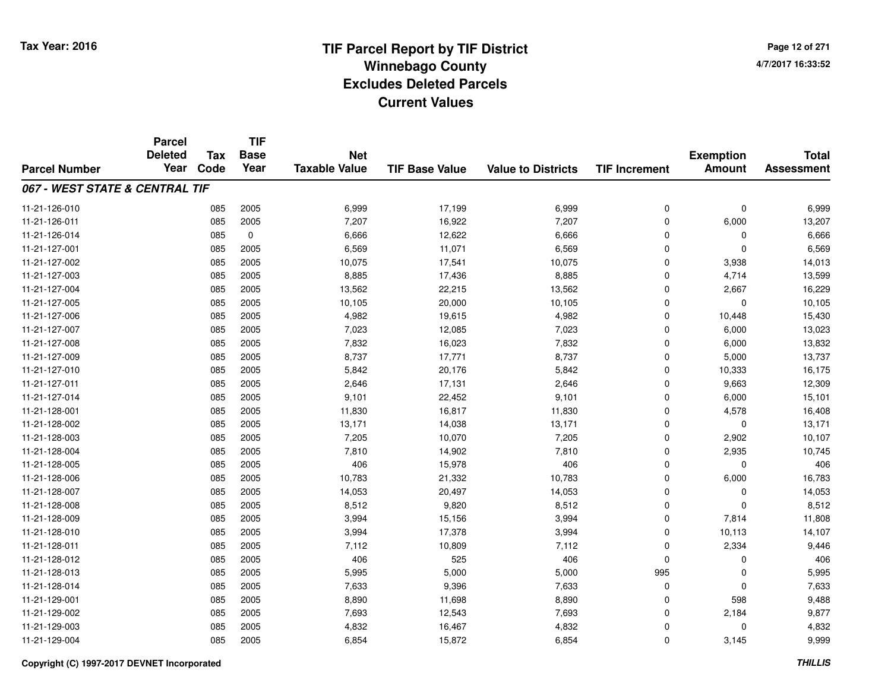**Page 12 of 2714/7/2017 16:33:52**

|                                | <b>Parcel</b><br><b>Deleted</b> | <b>Tax</b> | <b>TIF</b><br><b>Base</b> | <b>Net</b>           |                       |                           |                      |                                   | <b>Total</b>      |
|--------------------------------|---------------------------------|------------|---------------------------|----------------------|-----------------------|---------------------------|----------------------|-----------------------------------|-------------------|
| <b>Parcel Number</b>           | Year                            | Code       | Year                      | <b>Taxable Value</b> | <b>TIF Base Value</b> | <b>Value to Districts</b> | <b>TIF Increment</b> | <b>Exemption</b><br><b>Amount</b> | <b>Assessment</b> |
| 067 - WEST STATE & CENTRAL TIF |                                 |            |                           |                      |                       |                           |                      |                                   |                   |
| 11-21-126-010                  |                                 | 085        | 2005                      | 6,999                | 17,199                | 6,999                     | $\mathbf 0$          | $\mathbf 0$                       | 6,999             |
| 11-21-126-011                  |                                 | 085        | 2005                      | 7,207                | 16,922                | 7,207                     | $\mathbf 0$          | 6,000                             | 13,207            |
| 11-21-126-014                  |                                 | 085        | $\mathbf 0$               | 6,666                | 12,622                | 6,666                     | $\Omega$             | 0                                 | 6,666             |
| 11-21-127-001                  |                                 | 085        | 2005                      | 6,569                | 11,071                | 6,569                     | $\mathbf 0$          | $\Omega$                          | 6,569             |
| 11-21-127-002                  |                                 | 085        | 2005                      | 10,075               | 17,541                | 10,075                    | $\Omega$             | 3,938                             | 14,013            |
| 11-21-127-003                  |                                 | 085        | 2005                      | 8,885                | 17,436                | 8,885                     | $\mathbf 0$          | 4,714                             | 13,599            |
| 11-21-127-004                  |                                 | 085        | 2005                      | 13,562               | 22,215                | 13,562                    | 0                    | 2,667                             | 16,229            |
| 11-21-127-005                  |                                 | 085        | 2005                      | 10,105               | 20,000                | 10,105                    | $\mathbf 0$          | 0                                 | 10,105            |
| 11-21-127-006                  |                                 | 085        | 2005                      | 4,982                | 19,615                | 4,982                     | $\Omega$             | 10,448                            | 15,430            |
| 11-21-127-007                  |                                 | 085        | 2005                      | 7,023                | 12,085                | 7,023                     | $\mathbf 0$          | 6,000                             | 13,023            |
| 11-21-127-008                  |                                 | 085        | 2005                      | 7,832                | 16,023                | 7,832                     | 0                    | 6,000                             | 13,832            |
| 11-21-127-009                  |                                 | 085        | 2005                      | 8,737                | 17,771                | 8,737                     | $\mathbf 0$          | 5,000                             | 13,737            |
| 11-21-127-010                  |                                 | 085        | 2005                      | 5,842                | 20,176                | 5,842                     | $\mathbf 0$          | 10,333                            | 16,175            |
| 11-21-127-011                  |                                 | 085        | 2005                      | 2,646                | 17,131                | 2,646                     | $\mathbf 0$          | 9,663                             | 12,309            |
| 11-21-127-014                  |                                 | 085        | 2005                      | 9,101                | 22,452                | 9,101                     | $\Omega$             | 6,000                             | 15,101            |
| 11-21-128-001                  |                                 | 085        | 2005                      | 11,830               | 16,817                | 11,830                    | $\mathbf 0$          | 4,578                             | 16,408            |
| 11-21-128-002                  |                                 | 085        | 2005                      | 13,171               | 14,038                | 13,171                    | $\mathbf 0$          | $\mathbf 0$                       | 13,171            |
| 11-21-128-003                  |                                 | 085        | 2005                      | 7,205                | 10,070                | 7,205                     | $\mathbf 0$          | 2,902                             | 10,107            |
| 11-21-128-004                  |                                 | 085        | 2005                      | 7,810                | 14,902                | 7,810                     | $\mathbf 0$          | 2,935                             | 10,745            |
| 11-21-128-005                  |                                 | 085        | 2005                      | 406                  | 15,978                | 406                       | $\mathbf 0$          | 0                                 | 406               |
| 11-21-128-006                  |                                 | 085        | 2005                      | 10,783               | 21,332                | 10,783                    | $\mathbf 0$          | 6,000                             | 16,783            |
| 11-21-128-007                  |                                 | 085        | 2005                      | 14,053               | 20,497                | 14,053                    | $\mathbf 0$          | $\mathbf 0$                       | 14,053            |
| 11-21-128-008                  |                                 | 085        | 2005                      | 8,512                | 9,820                 | 8,512                     | $\mathbf 0$          | $\mathbf 0$                       | 8,512             |
| 11-21-128-009                  |                                 | 085        | 2005                      | 3,994                | 15,156                | 3,994                     | $\mathbf 0$          | 7,814                             | 11,808            |
| 11-21-128-010                  |                                 | 085        | 2005                      | 3,994                | 17,378                | 3,994                     | $\mathbf 0$          | 10,113                            | 14,107            |
| 11-21-128-011                  |                                 | 085        | 2005                      | 7,112                | 10,809                | 7,112                     | $\mathbf 0$          | 2,334                             | 9,446             |
| 11-21-128-012                  |                                 | 085        | 2005                      | 406                  | 525                   | 406                       | $\Omega$             | $\Omega$                          | 406               |
| 11-21-128-013                  |                                 | 085        | 2005                      | 5,995                | 5,000                 | 5,000                     | 995                  | $\Omega$                          | 5,995             |
| 11-21-128-014                  |                                 | 085        | 2005                      | 7,633                | 9,396                 | 7,633                     | $\mathbf 0$          | $\mathbf 0$                       | 7,633             |
| 11-21-129-001                  |                                 | 085        | 2005                      | 8,890                | 11,698                | 8,890                     | 0                    | 598                               | 9,488             |
| 11-21-129-002                  |                                 | 085        | 2005                      | 7,693                | 12,543                | 7,693                     | $\mathbf 0$          | 2,184                             | 9,877             |
| 11-21-129-003                  |                                 | 085        | 2005                      | 4,832                | 16,467                | 4,832                     | $\mathbf 0$          | $\Omega$                          | 4,832             |
| 11-21-129-004                  |                                 | 085        | 2005                      | 6,854                | 15,872                | 6,854                     | $\Omega$             | 3,145                             | 9,999             |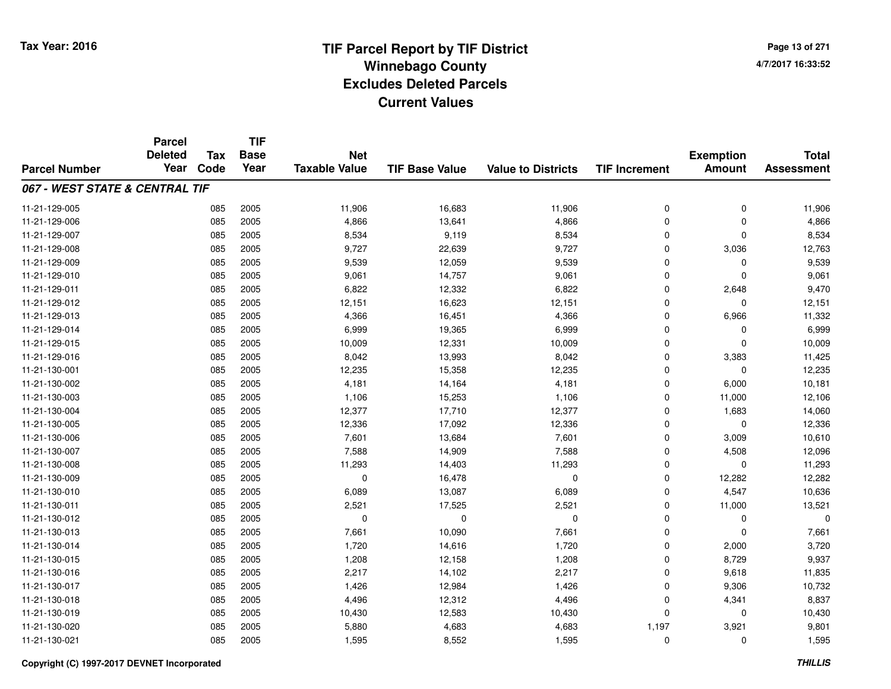**Page 13 of 2714/7/2017 16:33:52**

|                                | <b>Parcel</b>          |                    | <b>TIF</b>          |                                    |                       |                           |                      |                                   |                                   |
|--------------------------------|------------------------|--------------------|---------------------|------------------------------------|-----------------------|---------------------------|----------------------|-----------------------------------|-----------------------------------|
| <b>Parcel Number</b>           | <b>Deleted</b><br>Year | <b>Tax</b><br>Code | <b>Base</b><br>Year | <b>Net</b><br><b>Taxable Value</b> | <b>TIF Base Value</b> | <b>Value to Districts</b> | <b>TIF Increment</b> | <b>Exemption</b><br><b>Amount</b> | <b>Total</b><br><b>Assessment</b> |
|                                |                        |                    |                     |                                    |                       |                           |                      |                                   |                                   |
| 067 - WEST STATE & CENTRAL TIF |                        |                    |                     |                                    |                       |                           |                      |                                   |                                   |
| 11-21-129-005                  |                        | 085                | 2005                | 11,906                             | 16,683                | 11,906                    | 0                    | $\mathbf 0$                       | 11,906                            |
| 11-21-129-006                  |                        | 085                | 2005                | 4,866                              | 13,641                | 4,866                     | $\Omega$             | $\Omega$                          | 4,866                             |
| 11-21-129-007                  |                        | 085                | 2005                | 8,534                              | 9,119                 | 8,534                     | $\mathbf 0$          | $\mathbf 0$                       | 8,534                             |
| 11-21-129-008                  |                        | 085                | 2005                | 9,727                              | 22,639                | 9,727                     | $\Omega$             | 3,036                             | 12,763                            |
| 11-21-129-009                  |                        | 085                | 2005                | 9,539                              | 12,059                | 9,539                     | $\mathbf 0$          | 0                                 | 9,539                             |
| 11-21-129-010                  |                        | 085                | 2005                | 9,061                              | 14,757                | 9,061                     | $\Omega$             | $\Omega$                          | 9,061                             |
| 11-21-129-011                  |                        | 085                | 2005                | 6,822                              | 12,332                | 6,822                     | $\mathbf 0$          | 2,648                             | 9,470                             |
| 11-21-129-012                  |                        | 085                | 2005                | 12,151                             | 16,623                | 12,151                    | $\Omega$             | $\Omega$                          | 12,151                            |
| 11-21-129-013                  |                        | 085                | 2005                | 4,366                              | 16,451                | 4,366                     | $\mathbf 0$          | 6,966                             | 11,332                            |
| 11-21-129-014                  |                        | 085                | 2005                | 6,999                              | 19,365                | 6,999                     | $\Omega$             | 0                                 | 6,999                             |
| 11-21-129-015                  |                        | 085                | 2005                | 10,009                             | 12,331                | 10,009                    | $\Omega$             | $\Omega$                          | 10,009                            |
| 11-21-129-016                  |                        | 085                | 2005                | 8,042                              | 13,993                | 8,042                     | $\mathbf 0$          | 3,383                             | 11,425                            |
| 11-21-130-001                  |                        | 085                | 2005                | 12,235                             | 15,358                | 12,235                    | $\Omega$             | $\mathbf 0$                       | 12,235                            |
| 11-21-130-002                  |                        | 085                | 2005                | 4,181                              | 14,164                | 4,181                     | $\mathbf 0$          | 6,000                             | 10,181                            |
| 11-21-130-003                  |                        | 085                | 2005                | 1,106                              | 15,253                | 1,106                     | $\mathbf 0$          | 11,000                            | 12,106                            |
| 11-21-130-004                  |                        | 085                | 2005                | 12,377                             | 17,710                | 12,377                    | $\mathbf 0$          | 1,683                             | 14,060                            |
| 11-21-130-005                  |                        | 085                | 2005                | 12,336                             | 17,092                | 12,336                    | $\mathbf 0$          | $\mathbf 0$                       | 12,336                            |
| 11-21-130-006                  |                        | 085                | 2005                | 7,601                              | 13,684                | 7,601                     | $\mathbf 0$          | 3,009                             | 10,610                            |
| 11-21-130-007                  |                        | 085                | 2005                | 7,588                              | 14,909                | 7,588                     | $\mathbf 0$          | 4,508                             | 12,096                            |
| 11-21-130-008                  |                        | 085                | 2005                | 11,293                             | 14,403                | 11,293                    | 0                    | $\mathbf 0$                       | 11,293                            |
| 11-21-130-009                  |                        | 085                | 2005                | $\mathbf 0$                        | 16,478                | $\pmb{0}$                 | $\mathbf 0$          | 12,282                            | 12,282                            |
| 11-21-130-010                  |                        | 085                | 2005                | 6,089                              | 13,087                | 6,089                     | $\mathbf 0$          | 4,547                             | 10,636                            |
| 11-21-130-011                  |                        | 085                | 2005                | 2,521                              | 17,525                | 2,521                     | 0                    | 11,000                            | 13,521                            |
| 11-21-130-012                  |                        | 085                | 2005                | $\mathbf 0$                        | $\mathbf 0$           | $\mathbf 0$               | $\mathbf 0$          | $\mathbf 0$                       | $\Omega$                          |
| 11-21-130-013                  |                        | 085                | 2005                | 7,661                              | 10,090                | 7,661                     | $\mathbf 0$          | $\Omega$                          | 7,661                             |
| 11-21-130-014                  |                        | 085                | 2005                | 1,720                              | 14,616                | 1,720                     | $\mathbf 0$          | 2,000                             | 3,720                             |
| 11-21-130-015                  |                        | 085                | 2005                | 1,208                              | 12,158                | 1,208                     | $\mathbf 0$          | 8,729                             | 9,937                             |
| 11-21-130-016                  |                        | 085                | 2005                | 2,217                              | 14,102                | 2,217                     | $\mathbf 0$          | 9,618                             | 11,835                            |
| 11-21-130-017                  |                        | 085                | 2005                | 1,426                              | 12,984                | 1,426                     | $\mathbf 0$          | 9,306                             | 10,732                            |
| 11-21-130-018                  |                        | 085                | 2005                | 4,496                              | 12,312                | 4,496                     | $\mathbf 0$          | 4,341                             | 8,837                             |
| 11-21-130-019                  |                        | 085                | 2005                | 10,430                             | 12,583                | 10,430                    | $\Omega$             | 0                                 | 10,430                            |
| 11-21-130-020                  |                        | 085                | 2005                | 5,880                              | 4,683                 | 4,683                     | 1,197                | 3,921                             | 9,801                             |
| 11-21-130-021                  |                        | 085                | 2005                | 1,595                              | 8,552                 | 1,595                     | $\Omega$             | $\Omega$                          | 1,595                             |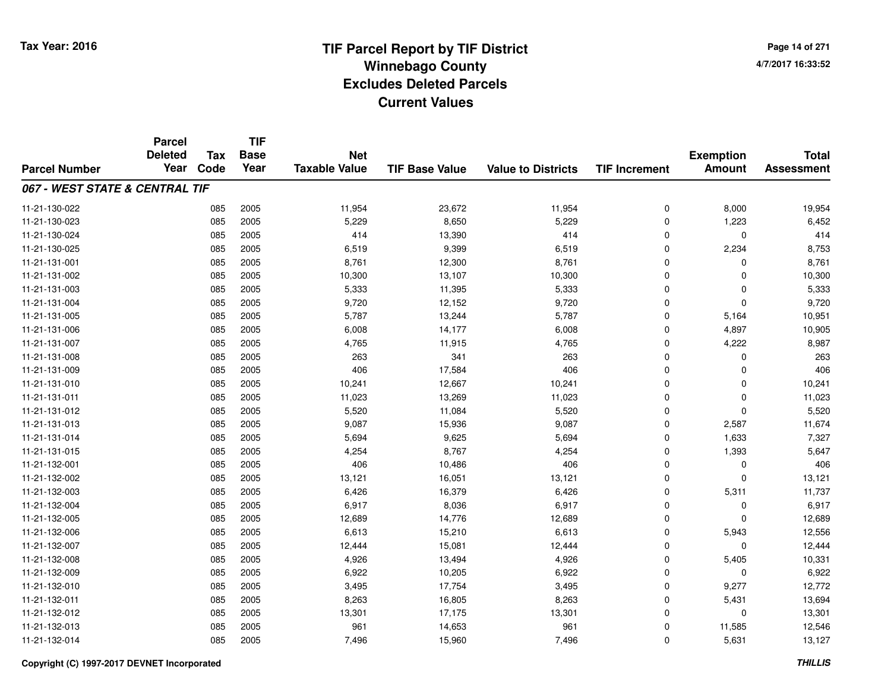**Page 14 of 2714/7/2017 16:33:52**

|                                | <b>Parcel</b>          |                    | <b>TIF</b>          |                                    |                       |                           |                      |                                   |                                   |
|--------------------------------|------------------------|--------------------|---------------------|------------------------------------|-----------------------|---------------------------|----------------------|-----------------------------------|-----------------------------------|
| <b>Parcel Number</b>           | <b>Deleted</b><br>Year | <b>Tax</b><br>Code | <b>Base</b><br>Year | <b>Net</b><br><b>Taxable Value</b> | <b>TIF Base Value</b> | <b>Value to Districts</b> | <b>TIF Increment</b> | <b>Exemption</b><br><b>Amount</b> | <b>Total</b><br><b>Assessment</b> |
|                                |                        |                    |                     |                                    |                       |                           |                      |                                   |                                   |
| 067 - WEST STATE & CENTRAL TIF |                        |                    |                     |                                    |                       |                           |                      |                                   |                                   |
| 11-21-130-022                  |                        | 085                | 2005                | 11,954                             | 23,672                | 11,954                    | 0                    | 8,000                             | 19,954                            |
| 11-21-130-023                  |                        | 085                | 2005                | 5,229                              | 8,650                 | 5,229                     | $\Omega$             | 1,223                             | 6,452                             |
| 11-21-130-024                  |                        | 085                | 2005                | 414                                | 13,390                | 414                       | $\mathbf 0$          | 0                                 | 414                               |
| 11-21-130-025                  |                        | 085                | 2005                | 6,519                              | 9,399                 | 6,519                     | $\Omega$             | 2,234                             | 8,753                             |
| 11-21-131-001                  |                        | 085                | 2005                | 8,761                              | 12,300                | 8,761                     | $\mathbf 0$          | 0                                 | 8,761                             |
| 11-21-131-002                  |                        | 085                | 2005                | 10,300                             | 13,107                | 10,300                    | $\Omega$             | $\Omega$                          | 10,300                            |
| 11-21-131-003                  |                        | 085                | 2005                | 5,333                              | 11,395                | 5,333                     | $\mathbf 0$          | $\mathbf 0$                       | 5,333                             |
| 11-21-131-004                  |                        | 085                | 2005                | 9,720                              | 12,152                | 9,720                     | $\Omega$             | $\mathbf 0$                       | 9,720                             |
| 11-21-131-005                  |                        | 085                | 2005                | 5,787                              | 13,244                | 5,787                     | $\mathbf 0$          | 5,164                             | 10,951                            |
| 11-21-131-006                  |                        | 085                | 2005                | 6,008                              | 14,177                | 6,008                     | $\mathbf 0$          | 4,897                             | 10,905                            |
| 11-21-131-007                  |                        | 085                | 2005                | 4,765                              | 11,915                | 4,765                     | $\Omega$             | 4,222                             | 8,987                             |
| 11-21-131-008                  |                        | 085                | 2005                | 263                                | 341                   | 263                       | 0                    | 0                                 | 263                               |
| 11-21-131-009                  |                        | 085                | 2005                | 406                                | 17,584                | 406                       | $\Omega$             | 0                                 | 406                               |
| 11-21-131-010                  |                        | 085                | 2005                | 10,241                             | 12,667                | 10,241                    | $\mathbf 0$          | 0                                 | 10,241                            |
| 11-21-131-011                  |                        | 085                | 2005                | 11,023                             | 13,269                | 11,023                    | $\Omega$             | $\mathbf 0$                       | 11,023                            |
| 11-21-131-012                  |                        | 085                | 2005                | 5,520                              | 11,084                | 5,520                     | $\mathbf 0$          | $\mathbf 0$                       | 5,520                             |
| 11-21-131-013                  |                        | 085                | 2005                | 9,087                              | 15,936                | 9,087                     | $\mathbf 0$          | 2,587                             | 11,674                            |
| 11-21-131-014                  |                        | 085                | 2005                | 5,694                              | 9,625                 | 5,694                     | 0                    | 1,633                             | 7,327                             |
| 11-21-131-015                  |                        | 085                | 2005                | 4,254                              | 8,767                 | 4,254                     | $\mathbf 0$          | 1,393                             | 5,647                             |
| 11-21-132-001                  |                        | 085                | 2005                | 406                                | 10,486                | 406                       | $\mathbf 0$          | $\mathbf 0$                       | 406                               |
| 11-21-132-002                  |                        | 085                | 2005                | 13,121                             | 16,051                | 13,121                    | $\mathbf 0$          | $\mathbf 0$                       | 13,121                            |
| 11-21-132-003                  |                        | 085                | 2005                | 6,426                              | 16,379                | 6,426                     | $\mathbf 0$          | 5,311                             | 11,737                            |
| 11-21-132-004                  |                        | 085                | 2005                | 6,917                              | 8,036                 | 6,917                     | $\mathbf 0$          | $\mathbf 0$                       | 6,917                             |
| 11-21-132-005                  |                        | 085                | 2005                | 12,689                             | 14,776                | 12,689                    | $\mathbf 0$          | $\mathbf 0$                       | 12,689                            |
| 11-21-132-006                  |                        | 085                | 2005                | 6,613                              | 15,210                | 6,613                     | $\mathbf 0$          | 5,943                             | 12,556                            |
| 11-21-132-007                  |                        | 085                | 2005                | 12,444                             | 15,081                | 12,444                    | $\mathbf 0$          | $\mathbf 0$                       | 12,444                            |
| 11-21-132-008                  |                        | 085                | 2005                | 4,926                              | 13,494                | 4,926                     | $\mathbf 0$          | 5,405                             | 10,331                            |
| 11-21-132-009                  |                        | 085                | 2005                | 6,922                              | 10,205                | 6,922                     | $\mathbf 0$          | $\mathbf 0$                       | 6,922                             |
| 11-21-132-010                  |                        | 085                | 2005                | 3,495                              | 17,754                | 3,495                     | $\mathbf 0$          | 9,277                             | 12,772                            |
| 11-21-132-011                  |                        | 085                | 2005                | 8,263                              | 16,805                | 8,263                     | $\mathbf 0$          | 5,431                             | 13,694                            |
| 11-21-132-012                  |                        | 085                | 2005                | 13,301                             | 17,175                | 13,301                    | $\Omega$             | 0                                 | 13,301                            |
| 11-21-132-013                  |                        | 085                | 2005                | 961                                | 14,653                | 961                       | $\mathbf 0$          | 11,585                            | 12,546                            |
| 11-21-132-014                  |                        | 085                | 2005                | 7,496                              | 15,960                | 7,496                     | $\Omega$             | 5,631                             | 13,127                            |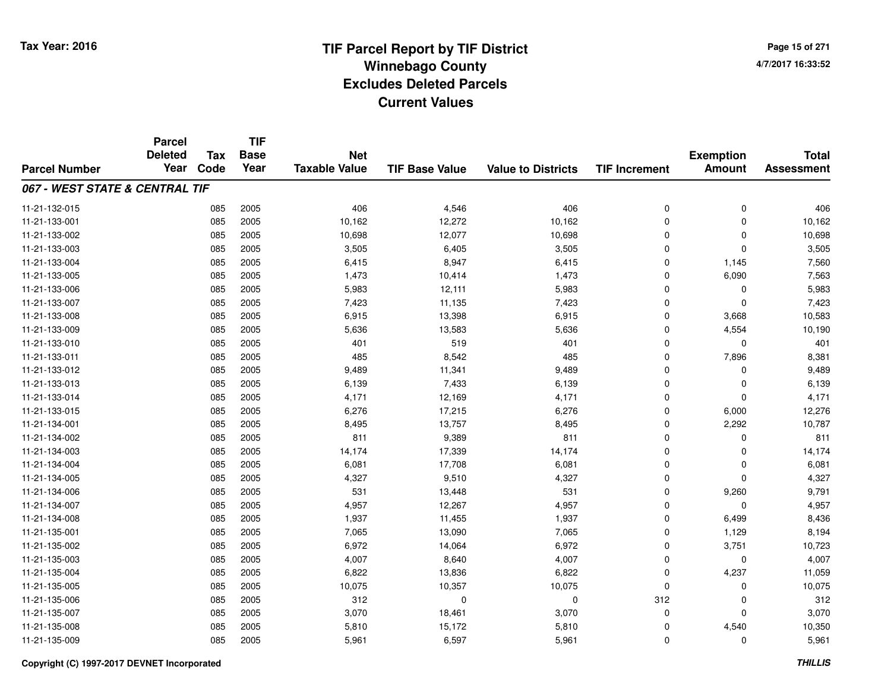**TIF**

**Parcel**

**Page 15 of 2714/7/2017 16:33:52**

| <b>Parcel Number</b>           | <b>Deleted</b><br>Year | Tax<br>Code | <b>Base</b><br>Year | <b>Net</b><br><b>Taxable Value</b> | <b>TIF Base Value</b> | <b>Value to Districts</b> | <b>TIF Increment</b> | <b>Exemption</b><br><b>Amount</b> | <b>Total</b><br><b>Assessment</b> |
|--------------------------------|------------------------|-------------|---------------------|------------------------------------|-----------------------|---------------------------|----------------------|-----------------------------------|-----------------------------------|
|                                |                        |             |                     |                                    |                       |                           |                      |                                   |                                   |
| 067 - WEST STATE & CENTRAL TIF |                        |             |                     |                                    |                       |                           |                      |                                   |                                   |
| 11-21-132-015                  |                        | 085         | 2005                | 406                                | 4,546                 | 406                       | 0                    | 0                                 | 406                               |
| 11-21-133-001                  |                        | 085         | 2005                | 10,162                             | 12,272                | 10,162                    | 0                    | 0                                 | 10,162                            |
| 11-21-133-002                  |                        | 085         | 2005                | 10,698                             | 12,077                | 10,698                    | 0                    | 0                                 | 10,698                            |
| 11-21-133-003                  |                        | 085         | 2005                | 3,505                              | 6,405                 | 3,505                     | 0                    | 0                                 | 3,505                             |
| 11-21-133-004                  |                        | 085         | 2005                | 6,415                              | 8,947                 | 6,415                     | 0                    | 1,145                             | 7,560                             |
| 11-21-133-005                  |                        | 085         | 2005                | 1,473                              | 10,414                | 1,473                     | 0                    | 6,090                             | 7,563                             |
| 11-21-133-006                  |                        | 085         | 2005                | 5,983                              | 12,111                | 5,983                     | 0                    | 0                                 | 5,983                             |
| 11-21-133-007                  |                        | 085         | 2005                | 7,423                              | 11,135                | 7,423                     | 0                    | $\mathbf 0$                       | 7,423                             |
| 11-21-133-008                  |                        | 085         | 2005                | 6,915                              | 13,398                | 6,915                     | 0                    | 3,668                             | 10,583                            |
| 11-21-133-009                  |                        | 085         | 2005                | 5,636                              | 13,583                | 5,636                     | 0                    | 4,554                             | 10,190                            |
| 11-21-133-010                  |                        | 085         | 2005                | 401                                | 519                   | 401                       | 0                    | 0                                 | 401                               |
| 11-21-133-011                  |                        | 085         | 2005                | 485                                | 8,542                 | 485                       | 0                    | 7,896                             | 8,381                             |
| 11-21-133-012                  |                        | 085         | 2005                | 9,489                              | 11,341                | 9,489                     | 0                    | 0                                 | 9,489                             |
| 11-21-133-013                  |                        | 085         | 2005                | 6,139                              | 7,433                 | 6,139                     | 0                    | 0                                 | 6,139                             |
| 11-21-133-014                  |                        | 085         | 2005                | 4,171                              | 12,169                | 4,171                     | 0                    | 0                                 | 4,171                             |
| 11-21-133-015                  |                        | 085         | 2005                | 6,276                              | 17,215                | 6,276                     | 0                    | 6,000                             | 12,276                            |
| 11-21-134-001                  |                        | 085         | 2005                | 8,495                              | 13,757                | 8,495                     | 0                    | 2,292                             | 10,787                            |
| 11-21-134-002                  |                        | 085         | 2005                | 811                                | 9,389                 | 811                       | 0                    | $\Omega$                          | 811                               |
| 11-21-134-003                  |                        | 085         | 2005                | 14,174                             | 17,339                | 14,174                    | 0                    | 0                                 | 14,174                            |
| 11-21-134-004                  |                        | 085         | 2005                | 6,081                              | 17,708                | 6,081                     | 0                    | 0                                 | 6,081                             |
| 11-21-134-005                  |                        | 085         | 2005                | 4,327                              | 9,510                 | 4,327                     | 0                    | $\mathbf 0$                       | 4,327                             |
| 11-21-134-006                  |                        | 085         | 2005                | 531                                | 13,448                | 531                       | 0                    | 9,260                             | 9,791                             |
| 11-21-134-007                  |                        | 085         | 2005                | 4,957                              | 12,267                | 4,957                     | 0                    | 0                                 | 4,957                             |
| 11-21-134-008                  |                        | 085         | 2005                | 1,937                              | 11,455                | 1,937                     | 0                    | 6,499                             | 8,436                             |
| 11-21-135-001                  |                        | 085         | 2005                | 7,065                              | 13,090                | 7,065                     | 0                    | 1,129                             | 8,194                             |
| 11-21-135-002                  |                        | 085         | 2005                | 6,972                              | 14,064                | 6,972                     | 0                    | 3,751                             | 10,723                            |
| 11-21-135-003                  |                        | 085         | 2005                | 4,007                              | 8,640                 | 4,007                     | 0                    | $\mathbf 0$                       | 4,007                             |
| 11-21-135-004                  |                        | 085         | 2005                | 6,822                              | 13,836                | 6,822                     | 0                    | 4,237                             | 11,059                            |
| 11-21-135-005                  |                        | 085         | 2005                | 10,075                             | 10,357                | 10,075                    | 0                    | 0                                 | 10,075                            |
| 11-21-135-006                  |                        | 085         | 2005                | 312                                | 0                     | $\mathbf 0$               | 312                  | 0                                 | 312                               |
| 11-21-135-007                  |                        | 085         | 2005                | 3,070                              | 18,461                | 3,070                     | 0                    | $\mathbf 0$                       | 3,070                             |
| 11-21-135-008                  |                        | 085         | 2005                | 5,810                              | 15,172                | 5,810                     | 0                    | 4,540                             | 10,350                            |
| 11-21-135-009                  |                        | 085         | 2005                | 5,961                              | 6,597                 | 5,961                     | 0                    | 0                                 | 5,961                             |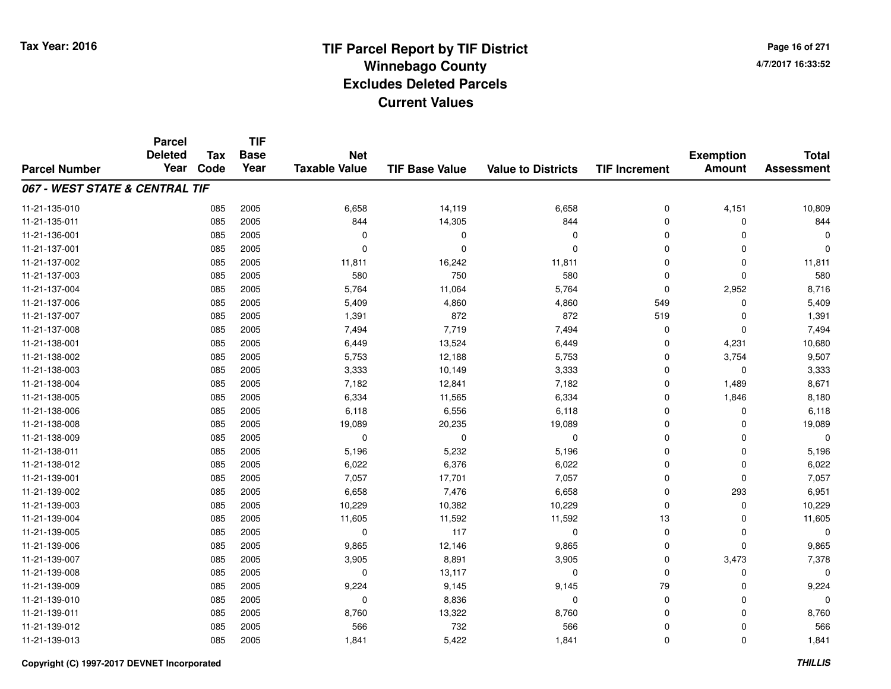**TIF**

**Parcel**

**Page 16 of 2714/7/2017 16:33:52**

#### **TIF Base ValueParcel NumberTotal AssessmentExemption Amount Value to Districts TIF Increment Base YearTax Code Deleted YearNet Taxable Value067 - WEST STATE & CENTRAL TIF**11-21-135-0100 085 2005 6,658 14,119 6,658 0 4,151 10,809 11-21-135-0111 085 2005 844 14,305 844 0 0 844 11-21-136-001 <sup>085</sup> <sup>0</sup> <sup>2005</sup> <sup>0</sup> <sup>0</sup> <sup>0</sup> <sup>0</sup> <sup>0</sup> 11-21-137-001 <sup>085</sup> <sup>0</sup> <sup>2005</sup> <sup>0</sup> <sup>0</sup> <sup>0</sup> <sup>0</sup> <sup>0</sup> 11-21-137-0022 085 2005 11,811 16,242 11,811 0 0 11,811 11-21-137-0033 085 2005 580 750 580 0 0 580 11-21-137-004 <sup>085</sup> 5,764 <sup>2005</sup> 11,064 5,764 <sup>0</sup> 2,952 8,716 11-21-137-006 <sup>085</sup> 5,409 <sup>2005</sup> 4,860 4,860 <sup>549</sup> <sup>0</sup> 5,409 11-21-137-007 <sup>085</sup> 1,391 <sup>2005</sup> <sup>872</sup> <sup>872</sup> <sup>519</sup> <sup>0</sup> 1,391 11-21-137-008 <sup>085</sup> 7,494 <sup>2005</sup> 7,719 7,494 <sup>0</sup> <sup>0</sup> 7,494 11-21-138-0011 085 2005 6,449 13,524 6,449 0 4,231 10,680 11-21-138-0022 085 2005 5,753 12,188 5,753 0 3,754 9,507 11-21-138-0033 085 2005 3,333 10,149 3,333 0 3,333 11-21-138-004 <sup>085</sup> 7,182 <sup>2005</sup> 12,841 7,182 <sup>0</sup> 1,489 8,671 11-21-138-0055 085 2005 6,334 11,565 6,334 0 1,846 8,180 11-21-138-0066 085 2005 6,118 6,556 6,118 0 0 6,118 11-21-138-008 <sup>085</sup> 19,089 <sup>2005</sup> 20,235 19,089 <sup>0</sup> <sup>0</sup> 19,089 11-21-138-009 <sup>085</sup> <sup>0</sup> <sup>2005</sup> <sup>0</sup> <sup>0</sup> <sup>0</sup> <sup>0</sup> <sup>0</sup> 11-21-138-0111 085 2005 5,196 5,232 5,196 0 0 5,196 11-21-138-0122 085 2005 6,022 6,376 6,022 0 0 6,022 11-21-139-0011 085 2005 7,057 17,701 7,057 0 7,057 11-21-139-0022 085 2005 6,658 7,476 6,658 0 293 6,951 11-21-139-0033 085 2005 10,229 10,382 10,229 0 0 10,229 11-21-139-0044 085 2005 11,605 11,592 13 11,605 11-21-139-005 <sup>085</sup> <sup>0</sup> <sup>2005</sup> <sup>117</sup> <sup>0</sup> <sup>0</sup> <sup>0</sup> <sup>0</sup> 11-21-139-0066 085 2005 9,865 12,146 9,865 0 0 9,865 11-21-139-007 <sup>085</sup> 3,905 <sup>2005</sup> 8,891 3,905 <sup>0</sup> 3,473 7,378 11-21-139-0088 085 2005 0 13,117 0 0 0 0 11-21-139-0099 085 2005 9,224 9,145 9,145 79 0 9,224 11-21-139-010 <sup>085</sup> <sup>0</sup> <sup>2005</sup> 8,836 <sup>0</sup> <sup>0</sup> <sup>0</sup> <sup>0</sup> 11-21-139-0111 085 2005 8,760 13,322 8,760 0 0 8,760 11-21-139-012 <sup>085</sup> <sup>566</sup> <sup>2005</sup> <sup>732</sup> <sup>566</sup> <sup>0</sup> <sup>0</sup> <sup>566</sup> 11-21-139-0133 085 2005 1,841 5,422 1,841 0 0 1,841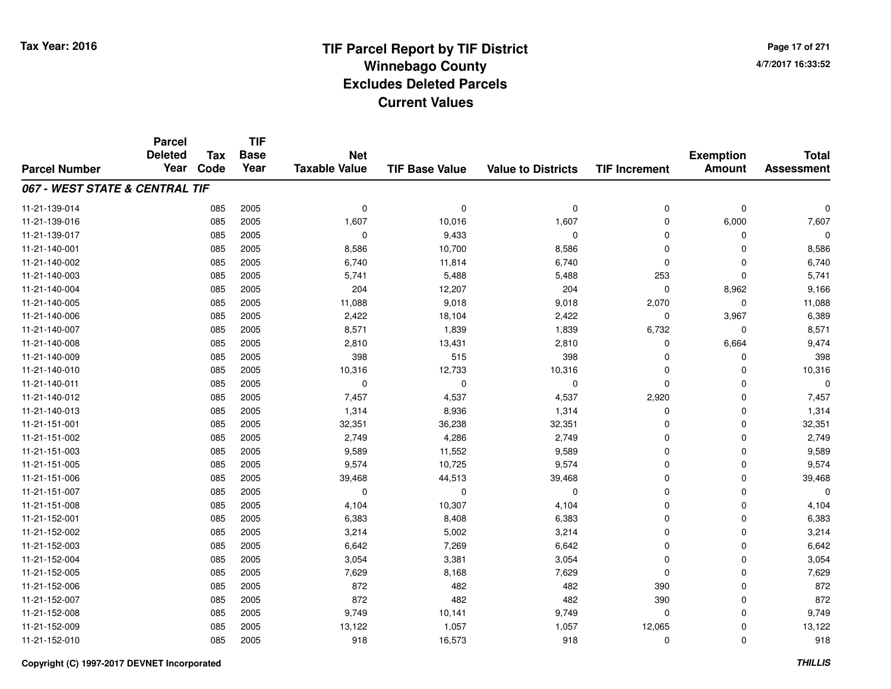**Page 17 of 2714/7/2017 16:33:52**

#### **TIF Base ValueParcel NumberTotal AssessmentExemption Amount Value to Districts TIF IncrementTIF Base YearTax CodeParcel Deleted YearNet Taxable Value067 - WEST STATE & CENTRAL TIF**11-21-139-014 <sup>085</sup> <sup>0</sup> <sup>2005</sup> <sup>0</sup> <sup>0</sup> <sup>0</sup> <sup>0</sup> <sup>0</sup> 11-21-139-016 <sup>085</sup> 1,607 <sup>2005</sup> 10,016 1,607 <sup>0</sup> 6,000 7,607 11-21-139-017 $7$  085 2005 0 0 9,433 0 0 0 0 0 0 11-21-140-0011 085 2005 8,586 10,700 8,586 0 0 8,586 11-21-140-0022 085 2005 6,740 11,814 6,740 0 0 6,740 11-21-140-0033 085 2005 5,741 5,488 5,488 253 0 5,741 11-21-140-0044 085 2005 204 12,207 204 0 8,962 9,166 11-21-140-005 <sup>085</sup> 11,088 <sup>2005</sup> 9,018 9,018 2,070 <sup>0</sup> 11,088 11-21-140-0066 085 2005 2,422 18,104 2,422 0 3,967 6,389 11-21-140-007 <sup>085</sup> 8,571 <sup>2005</sup> 1,839 1,839 6,732 <sup>0</sup> 8,571 11-21-140-0088 085 2005 2,810 13,431 2,810 0 6,664 9,474 11-21-140-0099 085 2005 398 515 398 0 0 398 11-21-140-0100 085 2005 10,316 12,733 10,316 0 0 10,316 11-21-140-011 <sup>085</sup> <sup>0</sup> <sup>2005</sup> <sup>0</sup> <sup>0</sup> <sup>0</sup> <sup>0</sup> <sup>0</sup> 11-21-140-012 <sup>085</sup> 7,457 <sup>2005</sup> 4,537 4,537 2,920 <sup>0</sup> 7,457 11-21-140-0133 085 2005 1,314 8,936 1,314 0 0 1,314 11-21-151-0011 085 2005 32,351 36,238 32,351 0 32,351 11-21-151-0022 085 2005 2,749 4,286 2,749 0 0 2,749 11-21-151-003 $3$  085 2005 2005 9,589 11,552 9,589 9,589 0 0 0 9,589 11-21-151-005 <sup>085</sup> 9,574 <sup>2005</sup> 10,725 9,574 <sup>0</sup> <sup>0</sup> 9,574 11-21-151-006 <sup>085</sup> 39,468 <sup>2005</sup> 44,513 39,468 <sup>0</sup> <sup>0</sup> 39,468 11-21-151-007 <sup>085</sup> <sup>0</sup> <sup>2005</sup> <sup>0</sup> <sup>0</sup> <sup>0</sup> <sup>0</sup> <sup>0</sup> 11-21-151-0088 085 2005 4,104 10,307 4,104 0 0 4,104 11-21-152-0011 085 2005 6,383 8,408 6,383 0 0 6,383 11-21-152-0022 085 2005 3,214 5,002 3,214 0 0 3,214 11-21-152-0033 085 2005 6,642 7,269 6,642 0 0 6,642 11-21-152-0044 085 2005 3,054 3,381 3,054 0 0 3,054 11-21-152-0055 085 2005 7,629 8,168 7,629 0 7,629 11-21-152-0066 085 2005 872 482 482 390 0 872 11-21-152-007 <sup>085</sup> <sup>872</sup> <sup>2005</sup> <sup>482</sup> <sup>482</sup> <sup>390</sup> <sup>0</sup> <sup>872</sup> 11-21-152-008 <sup>085</sup> 9,749 <sup>2005</sup> 10,141 9,749 <sup>0</sup> <sup>0</sup> 9,749 11-21-152-009 <sup>085</sup> 13,122 <sup>2005</sup> 1,057 1,057 12,065 <sup>0</sup> 13,122 11-21-152-0100 085 2005 918 16,573 918 0 0 918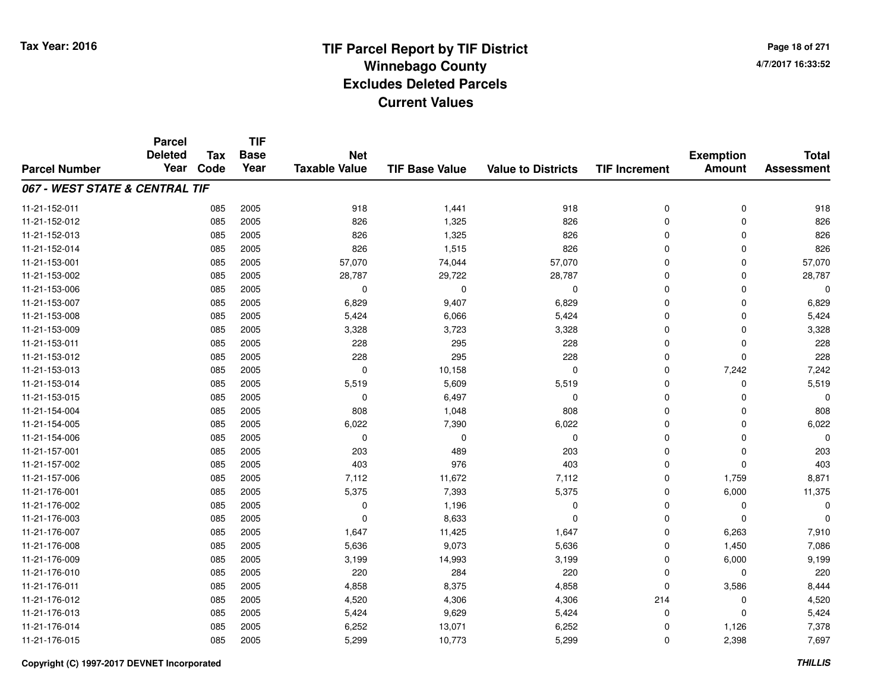# **TIF Parcel Report by TIF District Tax Year: 2016 Winnebago Countyy** and the contract of the contract of the contract of the contract of the contract of the contract of the contract of the contract of the contract of the contract of the contract of the contract of the contract of the co **Excludes Deleted ParcelsCurrent Values**

**Page 18 of 2714/7/2017 16:33:52**

|                                | <b>Parcel</b><br><b>Deleted</b> | <b>Tax</b> | <b>TIF</b><br><b>Base</b> | <b>Net</b>           |                       |                           |                      | <b>Exemption</b> | <b>Total</b>      |
|--------------------------------|---------------------------------|------------|---------------------------|----------------------|-----------------------|---------------------------|----------------------|------------------|-------------------|
| <b>Parcel Number</b>           | Year                            | Code       | Year                      | <b>Taxable Value</b> | <b>TIF Base Value</b> | <b>Value to Districts</b> | <b>TIF Increment</b> | <b>Amount</b>    | <b>Assessment</b> |
| 067 - WEST STATE & CENTRAL TIF |                                 |            |                           |                      |                       |                           |                      |                  |                   |
| 11-21-152-011                  |                                 | 085        | 2005                      | 918                  | 1,441                 | 918                       | 0                    | $\mathbf 0$      | 918               |
| 11-21-152-012                  |                                 | 085        | 2005                      | 826                  | 1,325                 | 826                       | 0                    | $\mathbf 0$      | 826               |
| 11-21-152-013                  |                                 | 085        | 2005                      | 826                  | 1,325                 | 826                       | $\mathbf 0$          | $\Omega$         | 826               |
| 11-21-152-014                  |                                 | 085        | 2005                      | 826                  | 1,515                 | 826                       | 0                    | $\Omega$         | 826               |
| 11-21-153-001                  |                                 | 085        | 2005                      | 57,070               | 74,044                | 57,070                    | $\mathbf 0$          | $\mathbf 0$      | 57,070            |
| 11-21-153-002                  |                                 | 085        | 2005                      | 28,787               | 29,722                | 28,787                    | 0                    | 0                | 28,787            |
| 11-21-153-006                  |                                 | 085        | 2005                      | 0                    | $\mathbf 0$           | $\mathbf 0$               | 0                    | $\Omega$         | 0                 |
| 11-21-153-007                  |                                 | 085        | 2005                      | 6,829                | 9,407                 | 6,829                     | 0                    | $\Omega$         | 6,829             |
| 11-21-153-008                  |                                 | 085        | 2005                      | 5,424                | 6,066                 | 5,424                     | 0                    | $\Omega$         | 5,424             |
| 11-21-153-009                  |                                 | 085        | 2005                      | 3,328                | 3,723                 | 3,328                     | 0                    | $\Omega$         | 3,328             |
| 11-21-153-011                  |                                 | 085        | 2005                      | 228                  | 295                   | 228                       | $\mathbf 0$          | $\Omega$         | 228               |
| 11-21-153-012                  |                                 | 085        | 2005                      | 228                  | 295                   | 228                       | 0                    | 0                | 228               |
| 11-21-153-013                  |                                 | 085        | 2005                      | $\mathbf 0$          | 10,158                | $\Omega$                  | $\mathbf 0$          | 7,242            | 7,242             |
| 11-21-153-014                  |                                 | 085        | 2005                      | 5,519                | 5,609                 | 5,519                     | 0                    | $\Omega$         | 5,519             |
| 11-21-153-015                  |                                 | 085        | 2005                      | $\mathbf 0$          | 6,497                 | $\mathbf 0$               | $\mathbf 0$          | $\Omega$         | $\Omega$          |
| 11-21-154-004                  |                                 | 085        | 2005                      | 808                  | 1,048                 | 808                       | 0                    | 0                | 808               |
| 11-21-154-005                  |                                 | 085        | 2005                      | 6,022                | 7,390                 | 6,022                     | 0                    | $\mathbf 0$      | 6,022             |
| 11-21-154-006                  |                                 | 085        | 2005                      | 0                    | $\mathbf 0$           | 0                         | 0                    | 0                | $\Omega$          |
| 11-21-157-001                  |                                 | 085        | 2005                      | 203                  | 489                   | 203                       | 0                    | 0                | 203               |
| 11-21-157-002                  |                                 | 085        | 2005                      | 403                  | 976                   | 403                       | 0                    | 0                | 403               |
| 11-21-157-006                  |                                 | 085        | 2005                      | 7,112                | 11,672                | 7,112                     | 0                    | 1,759            | 8,871             |
| 11-21-176-001                  |                                 | 085        | 2005                      | 5,375                | 7,393                 | 5,375                     | 0                    | 6,000            | 11,375            |
| 11-21-176-002                  |                                 | 085        | 2005                      | 0                    | 1,196                 | 0                         | 0                    | 0                | $\Omega$          |
| 11-21-176-003                  |                                 | 085        | 2005                      | 0                    | 8,633                 | 0                         | 0                    | 0                | O                 |
| 11-21-176-007                  |                                 | 085        | 2005                      | 1,647                | 11,425                | 1,647                     | 0                    | 6,263            | 7,910             |
| 11-21-176-008                  |                                 | 085        | 2005                      | 5,636                | 9,073                 | 5,636                     | 0                    | 1,450            | 7,086             |
| 11-21-176-009                  |                                 | 085        | 2005                      | 3,199                | 14,993                | 3,199                     | 0                    | 6,000            | 9,199             |
| 11-21-176-010                  |                                 | 085        | 2005                      | 220                  | 284                   | 220                       | 0                    | 0                | 220               |
| 11-21-176-011                  |                                 | 085        | 2005                      | 4,858                | 8,375                 | 4,858                     | $\mathbf 0$          | 3,586            | 8,444             |
| 11-21-176-012                  |                                 | 085        | 2005                      | 4,520                | 4,306                 | 4,306                     | 214                  | 0                | 4,520             |
| 11-21-176-013                  |                                 | 085        | 2005                      | 5,424                | 9,629                 | 5,424                     | 0                    | $\Omega$         | 5,424             |
| 11-21-176-014                  |                                 | 085        | 2005                      | 6,252                | 13,071                | 6,252                     | 0                    | 1,126            | 7,378             |
| 11-21-176-015                  |                                 | 085        | 2005                      | 5,299                | 10,773                | 5,299                     | 0                    | 2,398            | 7,697             |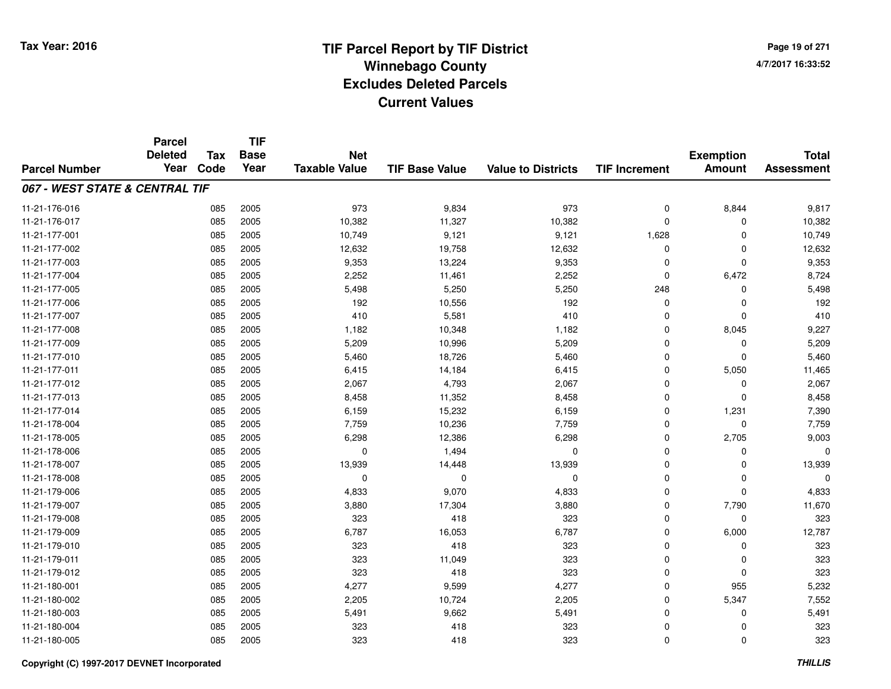**TIF**

**Parcel**

**Page 19 of 2714/7/2017 16:33:52**

#### **TIF Base ValueParcel NumberTotal AssessmentExemption Amount Value to Districts TIF Increment Base YearTax Code Deleted YearNet Taxable Value067 - WEST STATE & CENTRAL TIF**11-21-176-016 <sup>085</sup> <sup>973</sup> <sup>2005</sup> 9,834 <sup>973</sup> <sup>0</sup> 8,844 9,817 11-21-176-0177 085 2005 10,382 11,327 10,382 0 0 10,382 11-21-177-0011 085 2005 10,749 9,121 9,121 1,628 0 10,749 11-21-177-0022 2 085 2005 12,632 19,758 12,632 0 0 12,632 11-21-177-003 <sup>085</sup> 9,353 <sup>2005</sup> 13,224 9,353 <sup>0</sup> <sup>0</sup> 9,353 11-21-177-004 <sup>085</sup> 2,252 <sup>2005</sup> 11,461 2,252 <sup>0</sup> 6,472 8,724 11-21-177-005 <sup>085</sup> 5,498 <sup>2005</sup> 5,250 5,250 <sup>248</sup> <sup>0</sup> 5,498 11-21-177-0066 085 2005 192 10,556 192 0 0 192 11-21-177-0077 085 2005 410 5,581 410 0 0 410 11-21-177-008 <sup>085</sup> 1,182 <sup>2005</sup> 10,348 1,182 <sup>0</sup> 8,045 9,227 11-21-177-009 <sup>085</sup> 5,209 <sup>2005</sup> 10,996 5,209 <sup>0</sup> <sup>0</sup> 5,209 11-21-177-0100 085 2005 5,460 18,726 5,460 0 0 5,460 11-21-177-0111 085 2005 6,415 14,184 6,415 0 5,050 11,465 11-21-177-0122 085 2005 2,067 4,793 2,067 0 0 2,067 11-21-177-0133 085 2005 8,458 11,352 8,458 0 0 8,458 11-21-177-014 <sup>085</sup> 6,159 <sup>2005</sup> 15,232 6,159 <sup>0</sup> 1,231 7,390 11-21-178-0044 085 2005 7,759 10,236 7,759 0 7,759 11-21-178-005 <sup>085</sup> 6,298 <sup>2005</sup> 12,386 6,298 <sup>0</sup> 2,705 9,003 11-21-178-006 <sup>085</sup> <sup>0</sup> <sup>2005</sup> 1,494 <sup>0</sup> <sup>0</sup> <sup>0</sup> <sup>0</sup> 11-21-178-007 <sup>085</sup> 13,939 <sup>2005</sup> 14,448 13,939 <sup>0</sup> <sup>0</sup> 13,939 11-21-178-008 <sup>085</sup> <sup>0</sup> <sup>2005</sup> <sup>0</sup> <sup>0</sup> <sup>0</sup> <sup>0</sup> <sup>0</sup> 11-21-179-0066 085 2005 4,833 9,070 4,833 0 0 4,833 11-21-179-007 <sup>085</sup> 3,880 <sup>2005</sup> 17,304 3,880 <sup>0</sup> 7,790 11,670 11-21-179-008 <sup>085</sup> <sup>323</sup> <sup>2005</sup> <sup>418</sup> <sup>323</sup> <sup>0</sup> <sup>0</sup> <sup>323</sup> 11-21-179-009 <sup>085</sup> 6,787 <sup>2005</sup> 16,053 6,787 <sup>0</sup> 6,000 12,787 11-21-179-010 <sup>085</sup> <sup>323</sup> <sup>2005</sup> <sup>418</sup> <sup>323</sup> <sup>0</sup> <sup>0</sup> <sup>323</sup> 11-21-179-0111 085 2005 323 11,049 323 0 0 323 11-21-179-012 <sup>085</sup> <sup>323</sup> <sup>2005</sup> <sup>418</sup> <sup>323</sup> <sup>0</sup> <sup>0</sup> <sup>323</sup> 11-21-180-0011 085 2005 4,277 9,599 4,277 0 955 5,232 11-21-180-002 <sup>085</sup> 2,205 <sup>2005</sup> 10,724 2,205 <sup>0</sup> 5,347 7,552 11-21-180-0033 085 2005 5,491 9,662 5,491 0 5,491 11-21-180-004 <sup>085</sup> <sup>323</sup> <sup>2005</sup> <sup>418</sup> <sup>323</sup> <sup>0</sup> <sup>0</sup> <sup>323</sup> 11-21-180-005<sup>085</sup> <sup>323</sup> <sup>2005</sup> <sup>418</sup> <sup>323</sup> <sup>0</sup> <sup>0</sup> <sup>323</sup>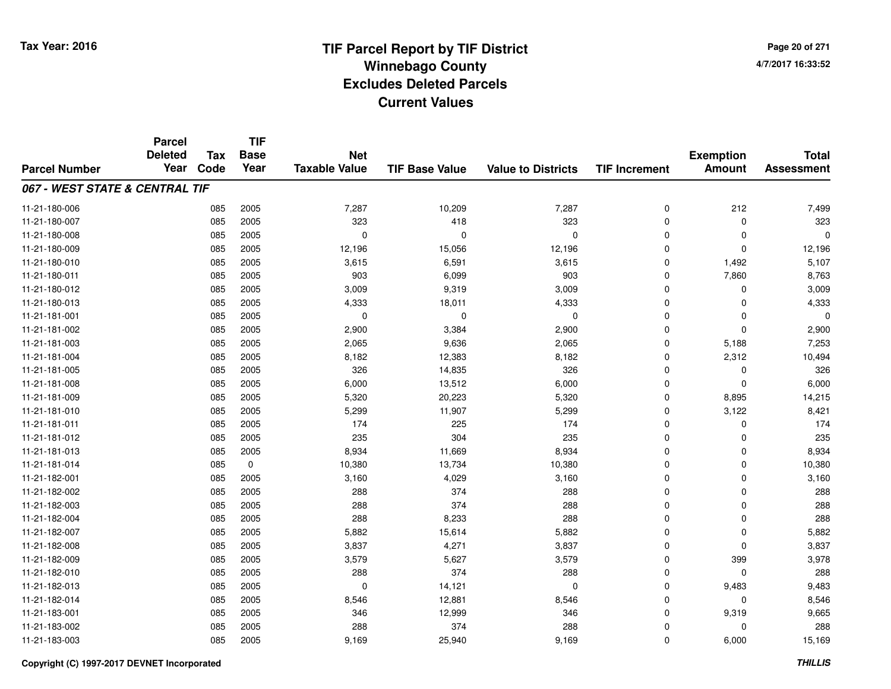**Page 20 of 2714/7/2017 16:33:52**

#### **TIF Base ValueParcel NumberTotal AssessmentExemption Amount Value to Districts TIF IncrementTIF Base YearTax CodeParcel Deleted YearNet Taxable Value067 - WEST STATE & CENTRAL TIF**11-21-180-006 <sup>085</sup> 7,287 <sup>2005</sup> 10,209 7,287 <sup>0</sup> <sup>212</sup> 7,499 11-21-180-007 <sup>085</sup> <sup>323</sup> <sup>2005</sup> <sup>418</sup> <sup>323</sup> <sup>0</sup> <sup>0</sup> <sup>323</sup> 11-21-180-008 <sup>085</sup> <sup>0</sup> <sup>2005</sup> <sup>0</sup> <sup>0</sup> <sup>0</sup> <sup>0</sup> <sup>0</sup> 11-21-180-0099 085 2005 12,196 15,056 12,196 0 0 12,196 11-21-180-0100 085 2005 3,615 6,591 3,615 0 1,492 5,107 11-21-180-0111 085 2005 903 6,099 903 0 7,860 8,763 11-21-180-0122 085 2005 3,009 9,319 3,009 0 0 3,009 11-21-180-0133 085 2005 4,333 18,011 4,333 0 4,333 11-21-181-001 <sup>085</sup> <sup>0</sup> <sup>2005</sup> <sup>0</sup> <sup>0</sup> <sup>0</sup> <sup>0</sup> <sup>0</sup> 11-21-181-0022 085 2005 2,900 3,384 2,900 0 0 2,900 11-21-181-0033 085 2005 2,065 9,636 2,065 0 5,188 7,253 11-21-181-004 <sup>085</sup> 8,182 <sup>2005</sup> 12,383 8,182 <sup>0</sup> 2,312 10,494 11-21-181-005 <sup>085</sup> <sup>326</sup> <sup>2005</sup> 14,835 <sup>326</sup> <sup>0</sup> <sup>0</sup> <sup>326</sup> 11-21-181-0088 085 2005 6,000 13,512 6,000 0 0 6,000 11-21-181-0099 085 2005 5,320 20,223 5,320 0 8,895 14,215 11-21-181-0100 085 2005 5,299 11,907 5,299 0 3,122 8,421 11-21-181-0111 085 2005 174 225 174 0 0 174 11-21-181-012 <sup>085</sup> <sup>235</sup> <sup>2005</sup> <sup>304</sup> <sup>235</sup> <sup>0</sup> <sup>0</sup> <sup>235</sup> 11-21-181-0133 085 2005 8,934 11,669 8,934 0 0 8,934 11-21-181-014 <sup>085</sup> 10,380 <sup>0</sup> 13,734 10,380 <sup>0</sup> <sup>0</sup> 10,380 11-21-182-0011 085 2005 3,160 4,029 3,160 0 0 3,160 11-21-182-002 <sup>085</sup> <sup>288</sup> <sup>2005</sup> <sup>374</sup> <sup>288</sup> <sup>0</sup> <sup>0</sup> <sup>288</sup> 11-21-182-0033 085 2005 288 374 288 0 0 288 11-21-182-004 <sup>085</sup> <sup>288</sup> <sup>2005</sup> 8,233 <sup>288</sup> <sup>0</sup> <sup>0</sup> <sup>288</sup> 11-21-182-007 <sup>085</sup> 5,882 <sup>2005</sup> 15,614 5,882 <sup>0</sup> <sup>0</sup> 5,882 11-21-182-008 <sup>085</sup> 3,837 <sup>2005</sup> 4,271 3,837 <sup>0</sup> <sup>0</sup> 3,837 11-21-182-009 <sup>085</sup> 3,579 <sup>2005</sup> 5,627 3,579 <sup>0</sup> <sup>399</sup> 3,978 11-21-182-010 <sup>085</sup> <sup>288</sup> <sup>2005</sup> <sup>374</sup> <sup>288</sup> <sup>0</sup> <sup>0</sup> <sup>288</sup> 11-21-182-0133 085 2005 0 14,121 0 9,483 9,483 11-21-182-0144 085 2005 8,546 12,881 8,546 0 0 8,546 11-21-183-0011 085 2005 346 12,999 346 0 9,319 9,665 11-21-183-002 <sup>085</sup> <sup>288</sup> <sup>2005</sup> <sup>374</sup> <sup>288</sup> <sup>0</sup> <sup>0</sup> <sup>288</sup> 11-21-183-0033 085 2005 9,169 25,940 9,169 0 6,000 15,169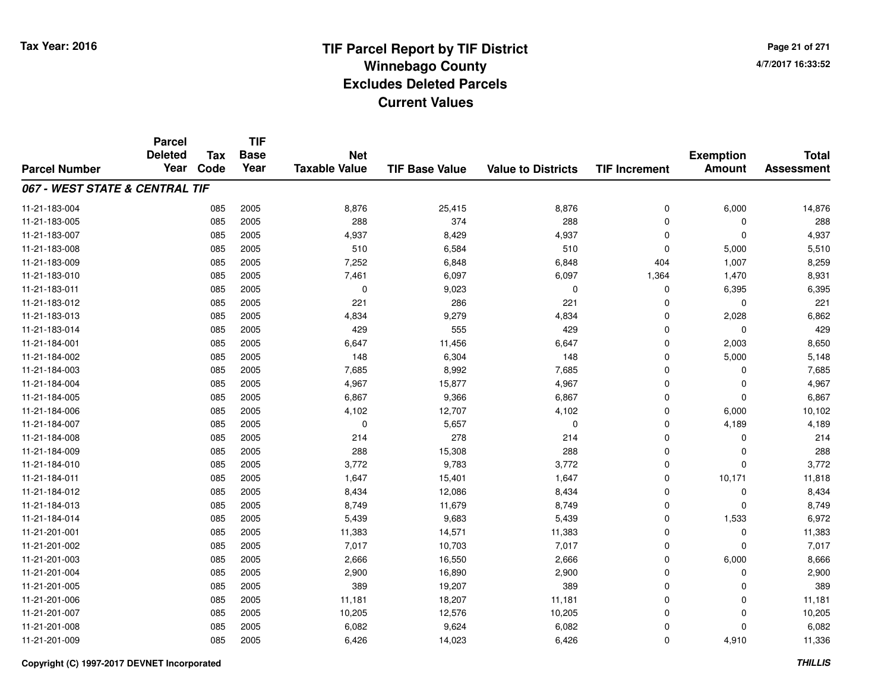**TIF**

**Parcel**

**Page 21 of 2714/7/2017 16:33:52**

| <b>Parcel Number</b>           | <b>Deleted</b><br>Year | Tax<br>Code | <b>Base</b><br>Year | <b>Net</b><br><b>Taxable Value</b> | <b>TIF Base Value</b> | <b>Value to Districts</b> | <b>TIF Increment</b> | <b>Exemption</b><br><b>Amount</b> | <b>Total</b><br><b>Assessment</b> |
|--------------------------------|------------------------|-------------|---------------------|------------------------------------|-----------------------|---------------------------|----------------------|-----------------------------------|-----------------------------------|
| 067 - WEST STATE & CENTRAL TIF |                        |             |                     |                                    |                       |                           |                      |                                   |                                   |
| 11-21-183-004                  |                        | 085         | 2005                | 8,876                              | 25,415                | 8,876                     | 0                    | 6,000                             | 14,876                            |
| 11-21-183-005                  |                        | 085         | 2005                | 288                                | 374                   | 288                       | $\mathbf 0$          | 0                                 | 288                               |
| 11-21-183-007                  |                        | 085         | 2005                | 4,937                              | 8,429                 | 4,937                     | 0                    | $\Omega$                          | 4,937                             |
| 11-21-183-008                  |                        | 085         | 2005                | 510                                | 6,584                 | 510                       | $\Omega$             | 5,000                             | 5,510                             |
| 11-21-183-009                  |                        | 085         | 2005                | 7,252                              | 6,848                 | 6,848                     | 404                  | 1,007                             | 8,259                             |
| 11-21-183-010                  |                        | 085         | 2005                | 7,461                              | 6,097                 | 6,097                     | 1,364                | 1,470                             | 8,931                             |
| 11-21-183-011                  |                        | 085         | 2005                | $\Omega$                           | 9,023                 | $\mathbf 0$               | 0                    | 6,395                             | 6,395                             |
| 11-21-183-012                  |                        | 085         | 2005                | 221                                | 286                   | 221                       | $\Omega$             | 0                                 | 221                               |
| 11-21-183-013                  |                        | 085         | 2005                | 4,834                              | 9,279                 | 4,834                     | 0                    | 2,028                             | 6,862                             |
| 11-21-183-014                  |                        | 085         | 2005                | 429                                | 555                   | 429                       | 0                    | 0                                 | 429                               |
| 11-21-184-001                  |                        | 085         | 2005                | 6,647                              | 11,456                | 6,647                     | 0                    | 2,003                             | 8,650                             |
| 11-21-184-002                  |                        | 085         | 2005                | 148                                | 6,304                 | 148                       | $\mathbf 0$          | 5,000                             | 5,148                             |
| 11-21-184-003                  |                        | 085         | 2005                | 7,685                              | 8,992                 | 7,685                     | $\mathbf 0$          | 0                                 | 7,685                             |
| 11-21-184-004                  |                        | 085         | 2005                | 4,967                              | 15,877                | 4,967                     | 0                    | $\Omega$                          | 4,967                             |
| 11-21-184-005                  |                        | 085         | 2005                | 6,867                              | 9,366                 | 6,867                     | 0                    | 0                                 | 6,867                             |
| 11-21-184-006                  |                        | 085         | 2005                | 4,102                              | 12,707                | 4,102                     | 0                    | 6,000                             | 10,102                            |
| 11-21-184-007                  |                        | 085         | 2005                | 0                                  | 5,657                 | 0                         | 0                    | 4,189                             | 4,189                             |
| 11-21-184-008                  |                        | 085         | 2005                | 214                                | 278                   | 214                       | 0                    | 0                                 | 214                               |
| 11-21-184-009                  |                        | 085         | 2005                | 288                                | 15,308                | 288                       | $\Omega$             | $\Omega$                          | 288                               |
| 11-21-184-010                  |                        | 085         | 2005                | 3,772                              | 9,783                 | 3,772                     | $\Omega$             | $\Omega$                          | 3,772                             |
| 11-21-184-011                  |                        | 085         | 2005                | 1,647                              | 15,401                | 1,647                     | $\mathbf 0$          | 10,171                            | 11,818                            |
| 11-21-184-012                  |                        | 085         | 2005                | 8,434                              | 12,086                | 8,434                     | $\mathbf 0$          | 0                                 | 8,434                             |
| 11-21-184-013                  |                        | 085         | 2005                | 8,749                              | 11,679                | 8,749                     | 0                    | $\Omega$                          | 8,749                             |
| 11-21-184-014                  |                        | 085         | 2005                | 5,439                              | 9,683                 | 5,439                     | 0                    | 1,533                             | 6,972                             |
| 11-21-201-001                  |                        | 085         | 2005                | 11,383                             | 14,571                | 11,383                    | 0                    | $\mathbf 0$                       | 11,383                            |
| 11-21-201-002                  |                        | 085         | 2005                | 7,017                              | 10,703                | 7,017                     | 0                    | $\Omega$                          | 7,017                             |
| 11-21-201-003                  |                        | 085         | 2005                | 2,666                              | 16,550                | 2,666                     | $\mathbf 0$          | 6,000                             | 8,666                             |
| 11-21-201-004                  |                        | 085         | 2005                | 2,900                              | 16,890                | 2,900                     | $\Omega$             | $\Omega$                          | 2,900                             |
| 11-21-201-005                  |                        | 085         | 2005                | 389                                | 19,207                | 389                       | $\mathbf 0$          | $\Omega$                          | 389                               |
| 11-21-201-006                  |                        | 085         | 2005                | 11,181                             | 18,207                | 11,181                    | $\mathbf 0$          | $\Omega$                          | 11,181                            |
| 11-21-201-007                  |                        | 085         | 2005                | 10,205                             | 12,576                | 10,205                    | $\mathbf 0$          | 0                                 | 10,205                            |
| 11-21-201-008                  |                        | 085         | 2005                | 6,082                              | 9,624                 | 6,082                     | $\mathbf 0$          | $\Omega$                          | 6,082                             |
| 11-21-201-009                  |                        | 085         | 2005                | 6,426                              | 14,023                | 6,426                     | $\Omega$             | 4,910                             | 11,336                            |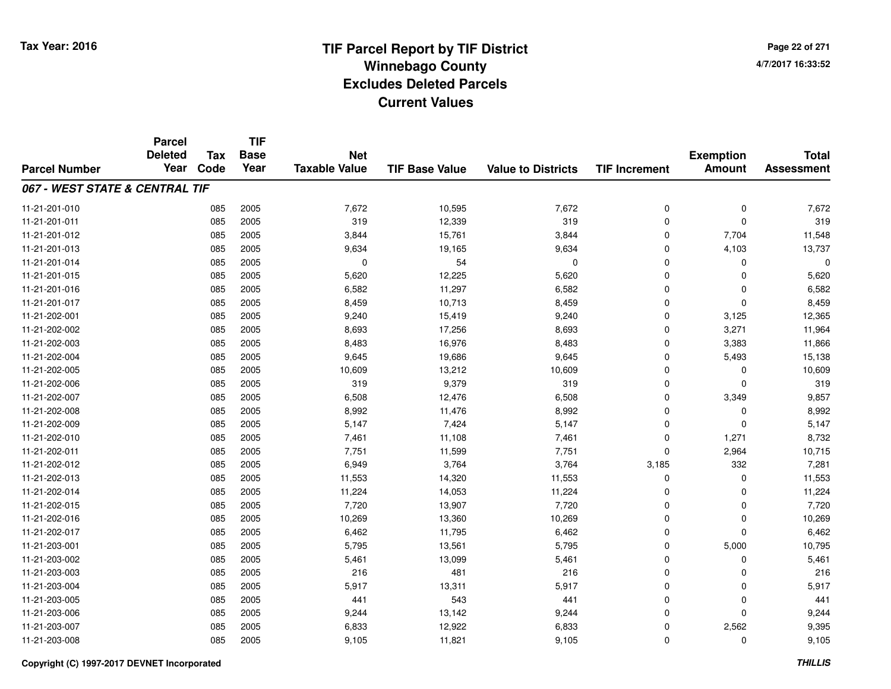**TIF**

**Parcel**

**Page 22 of 2714/7/2017 16:33:52**

| <b>Parcel Number</b>           | <b>Deleted</b><br>Year | Tax<br>Code | <b>Base</b><br>Year | <b>Net</b><br><b>Taxable Value</b> | <b>TIF Base Value</b> | <b>Value to Districts</b> | <b>TIF Increment</b> | <b>Exemption</b><br><b>Amount</b> | <b>Total</b><br><b>Assessment</b> |
|--------------------------------|------------------------|-------------|---------------------|------------------------------------|-----------------------|---------------------------|----------------------|-----------------------------------|-----------------------------------|
| 067 - WEST STATE & CENTRAL TIF |                        |             |                     |                                    |                       |                           |                      |                                   |                                   |
| 11-21-201-010                  |                        | 085         | 2005                | 7,672                              | 10,595                | 7,672                     | 0                    | $\mathbf 0$                       | 7,672                             |
| 11-21-201-011                  |                        | 085         | 2005                | 319                                | 12,339                | 319                       | 0                    | $\mathbf 0$                       | 319                               |
| 11-21-201-012                  |                        | 085         | 2005                | 3,844                              | 15,761                | 3,844                     | 0                    | 7,704                             | 11,548                            |
| 11-21-201-013                  |                        | 085         | 2005                | 9,634                              | 19,165                | 9,634                     | $\mathbf 0$          | 4,103                             | 13,737                            |
| 11-21-201-014                  |                        | 085         | 2005                | $\mathbf 0$                        | 54                    | $\mathbf 0$               | 0                    | $\Omega$                          | 0                                 |
| 11-21-201-015                  |                        | 085         | 2005                | 5,620                              | 12,225                | 5,620                     | 0                    | $\Omega$                          | 5,620                             |
| 11-21-201-016                  |                        | 085         | 2005                | 6,582                              | 11,297                | 6,582                     | 0                    | $\Omega$                          | 6,582                             |
| 11-21-201-017                  |                        | 085         | 2005                | 8,459                              | 10,713                | 8,459                     | 0                    | $\Omega$                          | 8,459                             |
| 11-21-202-001                  |                        | 085         | 2005                | 9,240                              | 15,419                | 9,240                     | $\mathbf 0$          | 3,125                             | 12,365                            |
| 11-21-202-002                  |                        | 085         | 2005                | 8,693                              | 17,256                | 8,693                     | $\mathbf 0$          | 3,271                             | 11,964                            |
| 11-21-202-003                  |                        | 085         | 2005                | 8,483                              | 16,976                | 8,483                     | $\mathbf 0$          | 3,383                             | 11,866                            |
| 11-21-202-004                  |                        | 085         | 2005                | 9,645                              | 19,686                | 9,645                     | 0                    | 5,493                             | 15,138                            |
| 11-21-202-005                  |                        | 085         | 2005                | 10,609                             | 13,212                | 10,609                    | 0                    | 0                                 | 10,609                            |
| 11-21-202-006                  |                        | 085         | 2005                | 319                                | 9,379                 | 319                       | $\mathbf 0$          | $\Omega$                          | 319                               |
| 11-21-202-007                  |                        | 085         | 2005                | 6,508                              | 12,476                | 6,508                     | $\mathbf 0$          | 3,349                             | 9,857                             |
| 11-21-202-008                  |                        | 085         | 2005                | 8,992                              | 11,476                | 8,992                     | $\mathbf 0$          | 0                                 | 8,992                             |
| 11-21-202-009                  |                        | 085         | 2005                | 5,147                              | 7,424                 | 5,147                     | 0                    | 0                                 | 5,147                             |
| 11-21-202-010                  |                        | 085         | 2005                | 7,461                              | 11,108                | 7,461                     | 0                    | 1,271                             | 8,732                             |
| 11-21-202-011                  |                        | 085         | 2005                | 7,751                              | 11,599                | 7,751                     | $\mathbf 0$          | 2,964                             | 10,715                            |
| 11-21-202-012                  |                        | 085         | 2005                | 6,949                              | 3,764                 | 3,764                     | 3,185                | 332                               | 7,281                             |
| 11-21-202-013                  |                        | 085         | 2005                | 11,553                             | 14,320                | 11,553                    | $\mathbf 0$          | $\Omega$                          | 11,553                            |
| 11-21-202-014                  |                        | 085         | 2005                | 11,224                             | 14,053                | 11,224                    | $\mathbf 0$          | $\Omega$                          | 11,224                            |
| 11-21-202-015                  |                        | 085         | 2005                | 7,720                              | 13,907                | 7,720                     | 0                    | 0                                 | 7,720                             |
| 11-21-202-016                  |                        | 085         | 2005                | 10,269                             | 13,360                | 10,269                    | 0                    | 0                                 | 10,269                            |
| 11-21-202-017                  |                        | 085         | 2005                | 6,462                              | 11,795                | 6,462                     | 0                    | 0                                 | 6,462                             |
| 11-21-203-001                  |                        | 085         | 2005                | 5,795                              | 13,561                | 5,795                     | 0                    | 5,000                             | 10,795                            |
| 11-21-203-002                  |                        | 085         | 2005                | 5,461                              | 13,099                | 5,461                     | $\mathbf 0$          | $\Omega$                          | 5,461                             |
| 11-21-203-003                  |                        | 085         | 2005                | 216                                | 481                   | 216                       | $\mathbf 0$          | $\Omega$                          | 216                               |
| 11-21-203-004                  |                        | 085         | 2005                | 5,917                              | 13,311                | 5,917                     | 0                    | 0                                 | 5,917                             |
| 11-21-203-005                  |                        | 085         | 2005                | 441                                | 543                   | 441                       | 0                    | 0                                 | 441                               |
| 11-21-203-006                  |                        | 085         | 2005                | 9,244                              | 13,142                | 9,244                     | 0                    | $\Omega$                          | 9,244                             |
| 11-21-203-007                  |                        | 085         | 2005                | 6,833                              | 12,922                | 6,833                     | 0                    | 2,562                             | 9,395                             |
| 11-21-203-008                  |                        | 085         | 2005                | 9,105                              | 11,821                | 9,105                     | 0                    | 0                                 | 9,105                             |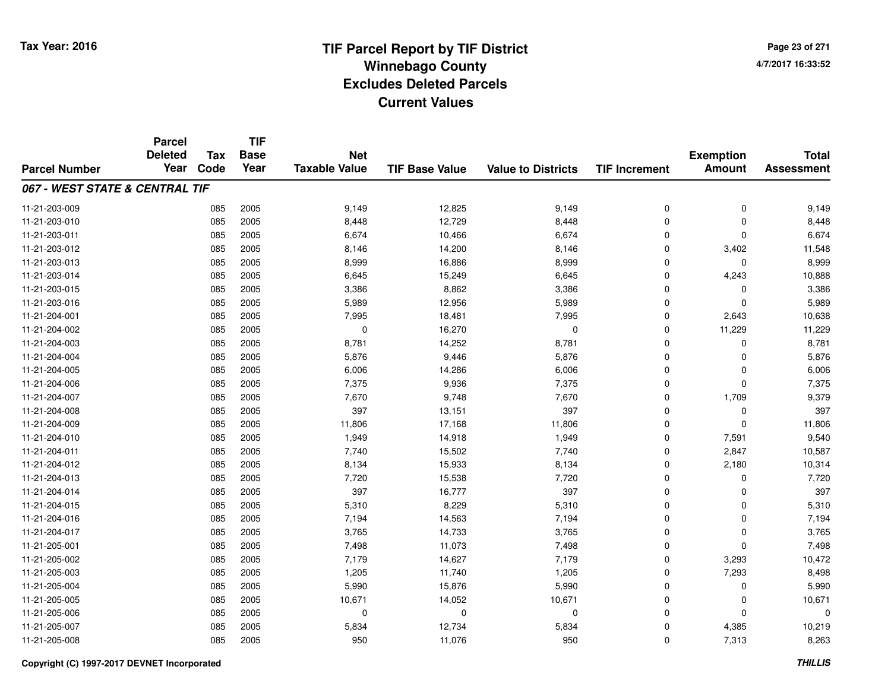**Page 23 of 2714/7/2017 16:33:52**

|                                | <b>Parcel</b>  |            | <b>TIF</b> | <b>Base</b><br><b>Net</b> |                       |                           |                      |                  |                   |
|--------------------------------|----------------|------------|------------|---------------------------|-----------------------|---------------------------|----------------------|------------------|-------------------|
|                                | <b>Deleted</b> | <b>Tax</b> |            |                           |                       |                           |                      | <b>Exemption</b> | <b>Total</b>      |
| <b>Parcel Number</b>           | Year           | Code       | Year       | <b>Taxable Value</b>      | <b>TIF Base Value</b> | <b>Value to Districts</b> | <b>TIF Increment</b> | <b>Amount</b>    | <b>Assessment</b> |
| 067 - WEST STATE & CENTRAL TIF |                |            |            |                           |                       |                           |                      |                  |                   |
| 11-21-203-009                  |                | 085        | 2005       | 9,149                     | 12,825                | 9,149                     | 0                    | 0                | 9,149             |
| 11-21-203-010                  |                | 085        | 2005       | 8,448                     | 12,729                | 8,448                     | 0                    | $\Omega$         | 8,448             |
| 11-21-203-011                  |                | 085        | 2005       | 6,674                     | 10,466                | 6,674                     | 0                    | $\Omega$         | 6,674             |
| 11-21-203-012                  |                | 085        | 2005       | 8,146                     | 14,200                | 8,146                     | 0                    | 3,402            | 11,548            |
| 11-21-203-013                  |                | 085        | 2005       | 8,999                     | 16,886                | 8,999                     | 0                    | 0                | 8,999             |
| 11-21-203-014                  |                | 085        | 2005       | 6,645                     | 15,249                | 6,645                     | 0                    | 4,243            | 10,888            |
| 11-21-203-015                  |                | 085        | 2005       | 3,386                     | 8,862                 | 3,386                     | 0                    | $\mathbf 0$      | 3,386             |
| 11-21-203-016                  |                | 085        | 2005       | 5,989                     | 12,956                | 5,989                     | 0                    | $\Omega$         | 5,989             |
| 11-21-204-001                  |                | 085        | 2005       | 7,995                     | 18,481                | 7,995                     | 0                    | 2,643            | 10,638            |
| 11-21-204-002                  |                | 085        | 2005       | 0                         | 16,270                | 0                         | 0                    | 11,229           | 11,229            |
| 11-21-204-003                  |                | 085        | 2005       | 8,781                     | 14,252                | 8,781                     | 0                    | $\Omega$         | 8,781             |
| 11-21-204-004                  |                | 085        | 2005       | 5,876                     | 9,446                 | 5,876                     | 0                    | 0                | 5,876             |
| 11-21-204-005                  |                | 085        | 2005       | 6,006                     | 14,286                | 6,006                     | 0                    | $\Omega$         | 6,006             |
| 11-21-204-006                  |                | 085        | 2005       | 7,375                     | 9,936                 | 7,375                     | 0                    | $\mathbf 0$      | 7,375             |
| 11-21-204-007                  |                | 085        | 2005       | 7,670                     | 9,748                 | 7,670                     | 0                    | 1,709            | 9,379             |
| 11-21-204-008                  |                | 085        | 2005       | 397                       | 13,151                | 397                       | 0                    | 0                | 397               |
| 11-21-204-009                  |                | 085        | 2005       | 11,806                    | 17,168                | 11,806                    | 0                    | $\mathbf 0$      | 11,806            |
| 11-21-204-010                  |                | 085        | 2005       | 1,949                     | 14,918                | 1,949                     | 0                    | 7,591            | 9,540             |
| 11-21-204-011                  |                | 085        | 2005       | 7,740                     | 15,502                | 7,740                     | 0                    | 2,847            | 10,587            |
| 11-21-204-012                  |                | 085        | 2005       | 8,134                     | 15,933                | 8,134                     | 0                    | 2,180            | 10,314            |
| 11-21-204-013                  |                | 085        | 2005       | 7,720                     | 15,538                | 7,720                     | 0                    | 0                | 7,720             |
| 11-21-204-014                  |                | 085        | 2005       | 397                       | 16,777                | 397                       | 0                    | $\mathbf 0$      | 397               |
| 11-21-204-015                  |                | 085        | 2005       | 5,310                     | 8,229                 | 5,310                     | 0                    | 0                | 5,310             |
| 11-21-204-016                  |                | 085        | 2005       | 7,194                     | 14,563                | 7,194                     | 0                    | $\mathbf 0$      | 7,194             |
| 11-21-204-017                  |                | 085        | 2005       | 3,765                     | 14,733                | 3,765                     | 0                    | $\mathbf 0$      | 3,765             |
| 11-21-205-001                  |                | 085        | 2005       | 7,498                     | 11,073                | 7,498                     | 0                    | $\Omega$         | 7,498             |
| 11-21-205-002                  |                | 085        | 2005       | 7,179                     | 14,627                | 7,179                     | 0                    | 3,293            | 10,472            |
| 11-21-205-003                  |                | 085        | 2005       | 1,205                     | 11,740                | 1,205                     | 0                    | 7,293            | 8,498             |
| 11-21-205-004                  |                | 085        | 2005       | 5,990                     | 15,876                | 5,990                     | 0                    | 0                | 5,990             |
| 11-21-205-005                  |                | 085        | 2005       | 10,671                    | 14,052                | 10,671                    | 0                    | 0                | 10,671            |
| 11-21-205-006                  |                | 085        | 2005       | 0                         | $\mathbf 0$           | $\Omega$                  | 0                    | $\Omega$         | 0                 |
| 11-21-205-007                  |                | 085        | 2005       | 5,834                     | 12,734                | 5,834                     | 0                    | 4,385            | 10,219            |
| 11-21-205-008                  |                | 085        | 2005       | 950                       | 11,076                | 950                       | 0                    | 7,313            | 8,263             |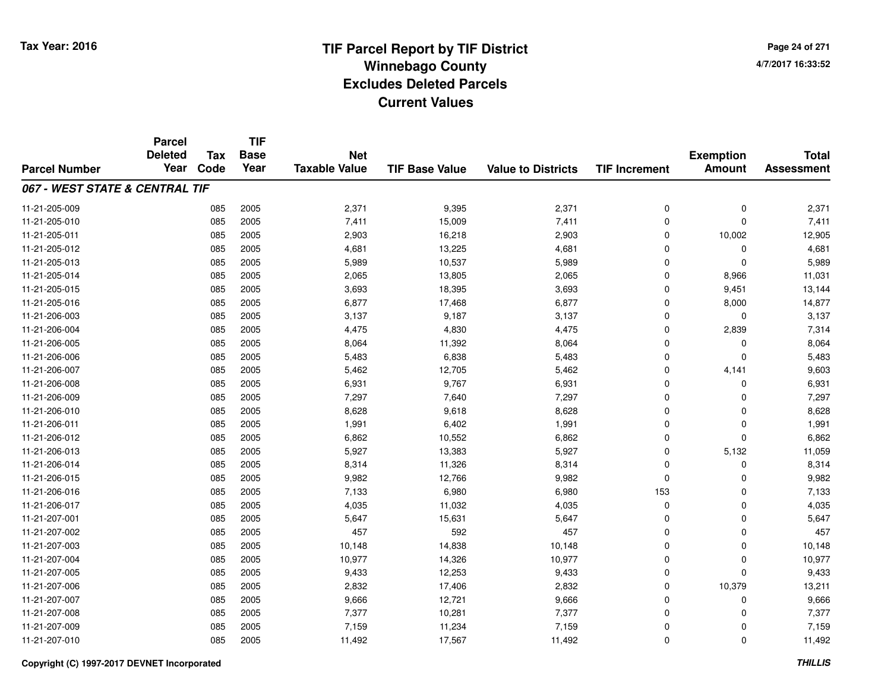**TIF**

**Parcel**

**Page 24 of 2714/7/2017 16:33:52**

| <b>Parcel Number</b>           | <b>Deleted</b><br>Year | Tax<br>Code | <b>Base</b><br>Year | <b>Net</b><br><b>Taxable Value</b> | <b>TIF Base Value</b> | <b>Value to Districts</b> | <b>TIF Increment</b> | <b>Exemption</b><br><b>Amount</b> | <b>Total</b><br><b>Assessment</b> |
|--------------------------------|------------------------|-------------|---------------------|------------------------------------|-----------------------|---------------------------|----------------------|-----------------------------------|-----------------------------------|
| 067 - WEST STATE & CENTRAL TIF |                        |             |                     |                                    |                       |                           |                      |                                   |                                   |
| 11-21-205-009                  |                        | 085         | 2005                | 2,371                              | 9,395                 | 2,371                     | 0                    | $\mathbf 0$                       | 2,371                             |
| 11-21-205-010                  |                        | 085         | 2005                | 7,411                              | 15,009                | 7,411                     | 0                    | $\mathbf 0$                       | 7,411                             |
| 11-21-205-011                  |                        | 085         | 2005                | 2,903                              | 16,218                | 2,903                     | 0                    | 10,002                            | 12,905                            |
| 11-21-205-012                  |                        | 085         | 2005                | 4,681                              | 13,225                | 4,681                     | 0                    | $\Omega$                          | 4,681                             |
| 11-21-205-013                  |                        | 085         | 2005                | 5,989                              | 10,537                | 5,989                     | $\mathbf 0$          | $\Omega$                          | 5,989                             |
| 11-21-205-014                  |                        | 085         | 2005                | 2,065                              | 13,805                | 2,065                     | $\mathbf 0$          | 8,966                             | 11,031                            |
| 11-21-205-015                  |                        | 085         | 2005                | 3,693                              | 18,395                | 3,693                     | $\mathbf 0$          | 9,451                             | 13,144                            |
| 11-21-205-016                  |                        | 085         | 2005                | 6,877                              | 17,468                | 6,877                     | $\mathbf 0$          | 8,000                             | 14,877                            |
| 11-21-206-003                  |                        | 085         | 2005                | 3,137                              | 9,187                 | 3,137                     | 0                    | 0                                 | 3,137                             |
| 11-21-206-004                  |                        | 085         | 2005                | 4,475                              | 4,830                 | 4,475                     | 0                    | 2,839                             | 7,314                             |
| 11-21-206-005                  |                        | 085         | 2005                | 8,064                              | 11,392                | 8,064                     | $\mathbf 0$          | $\Omega$                          | 8,064                             |
| 11-21-206-006                  |                        | 085         | 2005                | 5,483                              | 6,838                 | 5,483                     | $\mathbf 0$          | $\Omega$                          | 5,483                             |
| 11-21-206-007                  |                        | 085         | 2005                | 5,462                              | 12,705                | 5,462                     | $\mathbf 0$          | 4,141                             | 9,603                             |
| 11-21-206-008                  |                        | 085         | 2005                | 6,931                              | 9,767                 | 6,931                     | $\mathbf 0$          | $\Omega$                          | 6,931                             |
| 11-21-206-009                  |                        | 085         | 2005                | 7,297                              | 7,640                 | 7,297                     | $\mathbf 0$          | $\Omega$                          | 7,297                             |
| 11-21-206-010                  |                        | 085         | 2005                | 8,628                              | 9,618                 | 8,628                     | 0                    | $\Omega$                          | 8,628                             |
| 11-21-206-011                  |                        | 085         | 2005                | 1,991                              | 6,402                 | 1,991                     | 0                    | $\Omega$                          | 1,991                             |
| 11-21-206-012                  |                        | 085         | 2005                | 6,862                              | 10,552                | 6,862                     | 0                    | 0                                 | 6,862                             |
| 11-21-206-013                  |                        | 085         | 2005                | 5,927                              | 13,383                | 5,927                     | $\mathbf 0$          | 5,132                             | 11,059                            |
| 11-21-206-014                  |                        | 085         | 2005                | 8,314                              | 11,326                | 8,314                     | $\mathbf 0$          | $\Omega$                          | 8,314                             |
| 11-21-206-015                  |                        | 085         | 2005                | 9,982                              | 12,766                | 9,982                     | $\mathbf 0$          | $\Omega$                          | 9,982                             |
| 11-21-206-016                  |                        | 085         | 2005                | 7,133                              | 6,980                 | 6,980                     | 153                  | $\Omega$                          | 7,133                             |
| 11-21-206-017                  |                        | 085         | 2005                | 4,035                              | 11,032                | 4,035                     | 0                    | 0                                 | 4,035                             |
| 11-21-207-001                  |                        | 085         | 2005                | 5,647                              | 15,631                | 5,647                     | 0                    | 0                                 | 5,647                             |
| 11-21-207-002                  |                        | 085         | 2005                | 457                                | 592                   | 457                       | 0                    | $\Omega$                          | 457                               |
| 11-21-207-003                  |                        | 085         | 2005                | 10,148                             | 14,838                | 10,148                    | 0                    | 0                                 | 10,148                            |
| 11-21-207-004                  |                        | 085         | 2005                | 10,977                             | 14,326                | 10,977                    | $\mathbf 0$          | $\Omega$                          | 10,977                            |
| 11-21-207-005                  |                        | 085         | 2005                | 9,433                              | 12,253                | 9,433                     | $\mathbf 0$          | $\Omega$                          | 9,433                             |
| 11-21-207-006                  |                        | 085         | 2005                | 2,832                              | 17,406                | 2,832                     | $\mathbf 0$          | 10,379                            | 13,211                            |
| 11-21-207-007                  |                        | 085         | 2005                | 9,666                              | 12,721                | 9,666                     | 0                    | 0                                 | 9,666                             |
| 11-21-207-008                  |                        | 085         | 2005                | 7,377                              | 10,281                | 7,377                     | 0                    | $\Omega$                          | 7,377                             |
| 11-21-207-009                  |                        | 085         | 2005                | 7,159                              | 11,234                | 7,159                     | 0                    | $\Omega$                          | 7,159                             |
| 11-21-207-010                  |                        | 085         | 2005                | 11,492                             | 17,567                | 11,492                    | 0                    | 0                                 | 11,492                            |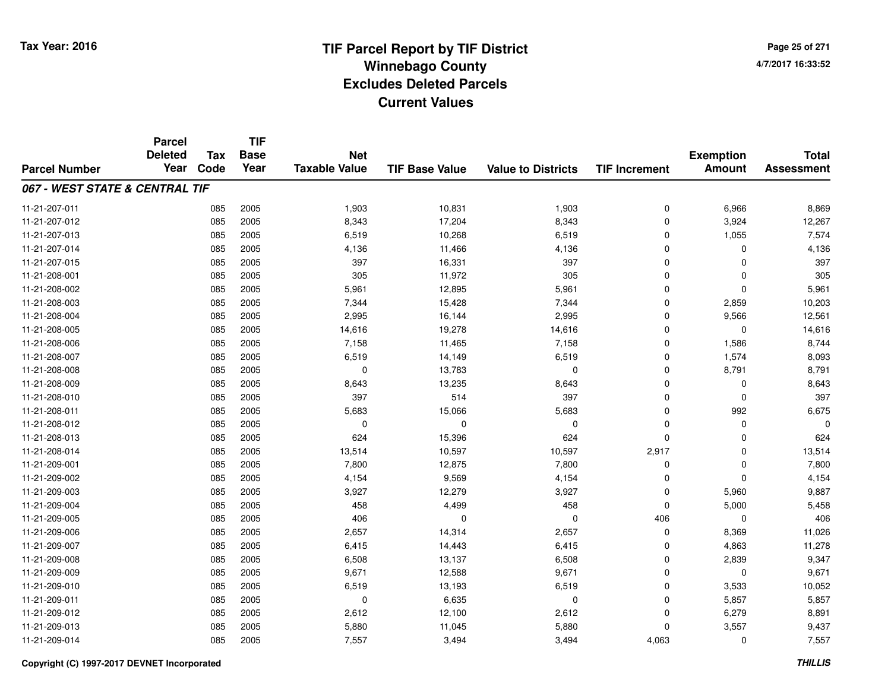**TIF**

**Parcel**

**Page 25 of 2714/7/2017 16:33:52**

#### **TIF Base ValueParcel NumberTotal AssessmentExemption Amount Value to Districts TIF Increment Base YearTax Code Deleted YearNet Taxable Value067 - WEST STATE & CENTRAL TIF**11-21-207-0111 085 2005 1,903 10,831 1,903 0 6,966 8,869 11-21-207-012 <sup>085</sup> 8,343 <sup>2005</sup> 17,204 8,343 <sup>0</sup> 3,924 12,267 11-21-207-0133 085 2005 6,519 10,268 6,519 0 1,055 7,574 11-21-207-0144 085 2005 4,136 11,466 4,136 0 0 4,136 11-21-207-015 <sup>085</sup> <sup>397</sup> <sup>2005</sup> 16,331 <sup>397</sup> <sup>0</sup> <sup>0</sup> <sup>397</sup> 11-21-208-0011 085 2005 305 11,972 305 0 0 305 11-21-208-0022 085 2005 5,961 12,895 5,961 0 0 5,961 11-21-208-0033 085 2005 7,344 15,428 7,344 0 2,859 10,203 11-21-208-0044 085 2005 2,995 16,144 2,995 0 9,566 12,561 11-21-208-0055 085 2005 14,616 19,278 14,616 0 0 14,616 11-21-208-0066 085 2005 7,158 11,465 7,158 0 1,586 8,744 11-21-208-007 <sup>085</sup> 6,519 <sup>2005</sup> 14,149 6,519 <sup>0</sup> 1,574 8,093 11-21-208-0088 085 2005 0 13,783 0 0 8,791 8,791 11-21-208-0099 085 2005 8,643 13,235 8,643 0 0 8,643 11-21-208-010 <sup>085</sup> <sup>397</sup> <sup>2005</sup> <sup>514</sup> <sup>397</sup> <sup>0</sup> <sup>0</sup> <sup>397</sup> 11-21-208-0111 085 2005 5,683 15,066 5,683 0 992 6,675 11-21-208-012 <sup>085</sup> <sup>0</sup> <sup>2005</sup> <sup>0</sup> <sup>0</sup> <sup>0</sup> <sup>0</sup> <sup>0</sup> 11-21-208-0133 085 2005 624 15,396 624 0 0 624 11-21-208-014 <sup>085</sup> 13,514 <sup>2005</sup> 10,597 10,597 2,917 <sup>0</sup> 13,514 11-21-209-0011 085 2005 7,800 12,875 7,800 0 7,800 11-21-209-0022 085 2005 4,154 9,569 4,154 0 0 4,154 11-21-209-0033 085 2005 3,927 12,279 3,927 0 5,960 9,887 11-21-209-004 <sup>085</sup> <sup>458</sup> <sup>2005</sup> 4,499 <sup>458</sup> <sup>0</sup> 5,000 5,458 11-21-209-005 <sup>085</sup> <sup>406</sup> <sup>2005</sup> <sup>0</sup> <sup>0</sup> <sup>406</sup> <sup>0</sup> <sup>406</sup> 11-21-209-0066 085 2005 2,657 14,314 2,657 0 8,369 11,026 11-21-209-007 <sup>085</sup> 6,415 <sup>2005</sup> 14,443 6,415 <sup>0</sup> 4,863 11,278 11-21-209-0088 085 2005 6,508 13,137 6,508 0 2,839 9,347 11-21-209-0099 085 2005 9,671 12,588 9,671 0 0 9,671 11-21-209-0100 085 2005 6,519 13,193 6,519 0 3,533 10,052 11-21-209-0111 085 2005 0 6,635 0 0 5,857 5,857 11-21-209-0122 085 2005 2,612 12,100 2,612 0 6,279 8,891 11-21-209-013 <sup>085</sup> 5,880 <sup>2005</sup> 11,045 5,880 <sup>0</sup> 3,557 9,437 11-21-209-0144 2005 2005 2005 7,557 3,494 3,494 3,494 4,063 0 7,557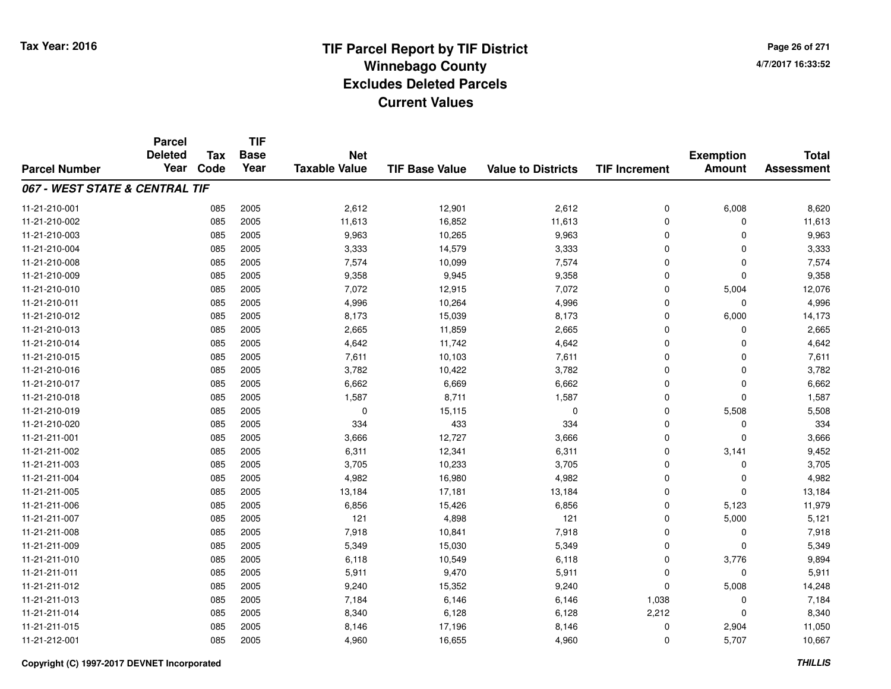# **TIF Parcel Report by TIF District Tax Year: 2016 Winnebago Countyy** and the contract of the contract of the contract of the contract of the contract of the contract of the contract of the contract of the contract of the contract of the contract of the contract of the contract of the co **Excludes Deleted ParcelsCurrent Values**

**Page 26 of 2714/7/2017 16:33:52**

|                                | <b>Parcel</b><br><b>Deleted</b> | <b>Tax</b> | <b>TIF</b><br><b>Base</b> | <b>Net</b>           |                       |                           |                      | <b>Exemption</b> | <b>Total</b>      |
|--------------------------------|---------------------------------|------------|---------------------------|----------------------|-----------------------|---------------------------|----------------------|------------------|-------------------|
| <b>Parcel Number</b>           | Year                            | Code       | Year                      | <b>Taxable Value</b> | <b>TIF Base Value</b> | <b>Value to Districts</b> | <b>TIF Increment</b> | <b>Amount</b>    | <b>Assessment</b> |
| 067 - WEST STATE & CENTRAL TIF |                                 |            |                           |                      |                       |                           |                      |                  |                   |
| 11-21-210-001                  |                                 | 085        | 2005                      | 2,612                | 12,901                | 2,612                     | 0                    | 6,008            | 8,620             |
| 11-21-210-002                  |                                 | 085        | 2005                      | 11,613               | 16,852                | 11,613                    | 0                    | 0                | 11,613            |
| 11-21-210-003                  |                                 | 085        | 2005                      | 9,963                | 10,265                | 9,963                     | $\mathbf 0$          | $\Omega$         | 9,963             |
| 11-21-210-004                  |                                 | 085        | 2005                      | 3,333                | 14,579                | 3,333                     | 0                    | 0                | 3,333             |
| 11-21-210-008                  |                                 | 085        | 2005                      | 7,574                | 10,099                | 7,574                     | $\mathbf 0$          | $\Omega$         | 7,574             |
| 11-21-210-009                  |                                 | 085        | 2005                      | 9,358                | 9,945                 | 9,358                     | 0                    | 0                | 9,358             |
| 11-21-210-010                  |                                 | 085        | 2005                      | 7,072                | 12,915                | 7,072                     | 0                    | 5,004            | 12,076            |
| 11-21-210-011                  |                                 | 085        | 2005                      | 4,996                | 10,264                | 4,996                     | 0                    | 0                | 4,996             |
| 11-21-210-012                  |                                 | 085        | 2005                      | 8,173                | 15,039                | 8,173                     | 0                    | 6,000            | 14,173            |
| 11-21-210-013                  |                                 | 085        | 2005                      | 2,665                | 11,859                | 2,665                     | 0                    | $\Omega$         | 2,665             |
| 11-21-210-014                  |                                 | 085        | 2005                      | 4,642                | 11,742                | 4,642                     | $\mathbf 0$          | $\Omega$         | 4,642             |
| 11-21-210-015                  |                                 | 085        | 2005                      | 7,611                | 10,103                | 7,611                     | 0                    | $\Omega$         | 7,611             |
| 11-21-210-016                  |                                 | 085        | 2005                      | 3,782                | 10,422                | 3,782                     | $\mathbf 0$          | $\Omega$         | 3,782             |
| 11-21-210-017                  |                                 | 085        | 2005                      | 6,662                | 6,669                 | 6,662                     | 0                    | 0                | 6,662             |
| 11-21-210-018                  |                                 | 085        | 2005                      | 1,587                | 8,711                 | 1,587                     | $\mathbf 0$          | $\mathbf 0$      | 1,587             |
| 11-21-210-019                  |                                 | 085        | 2005                      | 0                    | 15,115                | 0                         | 0                    | 5,508            | 5,508             |
| 11-21-210-020                  |                                 | 085        | 2005                      | 334                  | 433                   | 334                       | 0                    | 0                | 334               |
| 11-21-211-001                  |                                 | 085        | 2005                      | 3,666                | 12,727                | 3,666                     | 0                    | $\mathbf 0$      | 3,666             |
| 11-21-211-002                  |                                 | 085        | 2005                      | 6,311                | 12,341                | 6,311                     | 0                    | 3,141            | 9,452             |
| 11-21-211-003                  |                                 | 085        | 2005                      | 3,705                | 10,233                | 3,705                     | 0                    | 0                | 3,705             |
| 11-21-211-004                  |                                 | 085        | 2005                      | 4,982                | 16,980                | 4,982                     | 0                    | 0                | 4,982             |
| 11-21-211-005                  |                                 | 085        | 2005                      | 13,184               | 17,181                | 13,184                    | 0                    | 0                | 13,184            |
| 11-21-211-006                  |                                 | 085        | 2005                      | 6,856                | 15,426                | 6,856                     | 0                    | 5,123            | 11,979            |
| 11-21-211-007                  |                                 | 085        | 2005                      | 121                  | 4,898                 | 121                       | 0                    | 5,000            | 5,121             |
| 11-21-211-008                  |                                 | 085        | 2005                      | 7,918                | 10,841                | 7,918                     | 0                    | 0                | 7,918             |
| 11-21-211-009                  |                                 | 085        | 2005                      | 5,349                | 15,030                | 5,349                     | 0                    | $\Omega$         | 5,349             |
| 11-21-211-010                  |                                 | 085        | 2005                      | 6,118                | 10,549                | 6,118                     | 0                    | 3,776            | 9,894             |
| 11-21-211-011                  |                                 | 085        | 2005                      | 5,911                | 9,470                 | 5,911                     | 0                    | 0                | 5,911             |
| 11-21-211-012                  |                                 | 085        | 2005                      | 9,240                | 15,352                | 9,240                     | $\mathbf 0$          | 5,008            | 14,248            |
| 11-21-211-013                  |                                 | 085        | 2005                      | 7,184                | 6,146                 | 6,146                     | 1,038                | 0                | 7,184             |
| 11-21-211-014                  |                                 | 085        | 2005                      | 8,340                | 6,128                 | 6,128                     | 2,212                | $\Omega$         | 8,340             |
| 11-21-211-015                  |                                 | 085        | 2005                      | 8,146                | 17,196                | 8,146                     | 0                    | 2,904            | 11,050            |
| 11-21-212-001                  |                                 | 085        | 2005                      | 4,960                | 16,655                | 4,960                     | 0                    | 5,707            | 10,667            |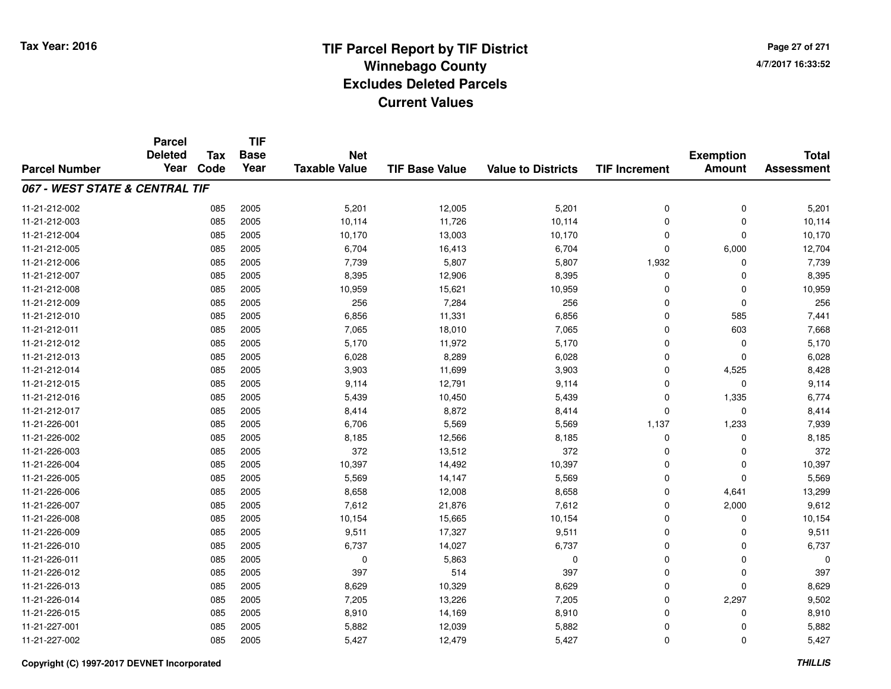**Page 27 of 2714/7/2017 16:33:52**

|                                | <b>Parcel</b>          |                    | <b>TIF</b><br><b>Base</b> | <b>Net</b>           |                       |                           | <b>Total</b>         |                                   |                   |
|--------------------------------|------------------------|--------------------|---------------------------|----------------------|-----------------------|---------------------------|----------------------|-----------------------------------|-------------------|
| <b>Parcel Number</b>           | <b>Deleted</b><br>Year | <b>Tax</b><br>Code | Year                      | <b>Taxable Value</b> | <b>TIF Base Value</b> | <b>Value to Districts</b> | <b>TIF Increment</b> | <b>Exemption</b><br><b>Amount</b> | <b>Assessment</b> |
|                                |                        |                    |                           |                      |                       |                           |                      |                                   |                   |
| 067 - WEST STATE & CENTRAL TIF |                        |                    |                           |                      |                       |                           |                      |                                   |                   |
| 11-21-212-002                  |                        | 085                | 2005                      | 5,201                | 12,005                | 5,201                     | 0                    | 0                                 | 5,201             |
| 11-21-212-003                  |                        | 085                | 2005                      | 10,114               | 11,726                | 10,114                    | $\mathbf 0$          | $\mathbf 0$                       | 10,114            |
| 11-21-212-004                  |                        | 085                | 2005                      | 10,170               | 13,003                | 10,170                    | 0                    | $\mathbf 0$                       | 10,170            |
| 11-21-212-005                  |                        | 085                | 2005                      | 6,704                | 16,413                | 6,704                     | 0                    | 6,000                             | 12,704            |
| 11-21-212-006                  |                        | 085                | 2005                      | 7,739                | 5,807                 | 5,807                     | 1,932                | $\Omega$                          | 7,739             |
| 11-21-212-007                  |                        | 085                | 2005                      | 8,395                | 12,906                | 8,395                     | 0                    | $\Omega$                          | 8,395             |
| 11-21-212-008                  |                        | 085                | 2005                      | 10,959               | 15,621                | 10,959                    | 0                    | $\Omega$                          | 10,959            |
| 11-21-212-009                  |                        | 085                | 2005                      | 256                  | 7,284                 | 256                       | $\mathbf 0$          | $\mathbf 0$                       | 256               |
| 11-21-212-010                  |                        | 085                | 2005                      | 6,856                | 11,331                | 6,856                     | 0                    | 585                               | 7,441             |
| 11-21-212-011                  |                        | 085                | 2005                      | 7,065                | 18,010                | 7,065                     | $\mathbf 0$          | 603                               | 7,668             |
| 11-21-212-012                  |                        | 085                | 2005                      | 5,170                | 11,972                | 5,170                     | 0                    | $\mathbf 0$                       | 5,170             |
| 11-21-212-013                  |                        | 085                | 2005                      | 6,028                | 8,289                 | 6,028                     | 0                    | 0                                 | 6,028             |
| 11-21-212-014                  |                        | 085                | 2005                      | 3,903                | 11,699                | 3,903                     | $\mathbf 0$          | 4,525                             | 8,428             |
| 11-21-212-015                  |                        | 085                | 2005                      | 9,114                | 12,791                | 9,114                     | 0                    | $\mathbf 0$                       | 9,114             |
| 11-21-212-016                  |                        | 085                | 2005                      | 5,439                | 10,450                | 5,439                     | 0                    | 1,335                             | 6,774             |
| 11-21-212-017                  |                        | 085                | 2005                      | 8,414                | 8,872                 | 8,414                     | 0                    | $\mathbf 0$                       | 8,414             |
| 11-21-226-001                  |                        | 085                | 2005                      | 6,706                | 5,569                 | 5,569                     | 1,137                | 1,233                             | 7,939             |
| 11-21-226-002                  |                        | 085                | 2005                      | 8,185                | 12,566                | 8,185                     | 0                    | $\mathbf 0$                       | 8,185             |
| 11-21-226-003                  |                        | 085                | 2005                      | 372                  | 13,512                | 372                       | 0                    | 0                                 | 372               |
| 11-21-226-004                  |                        | 085                | 2005                      | 10,397               | 14,492                | 10,397                    | 0                    | $\mathbf 0$                       | 10,397            |
| 11-21-226-005                  |                        | 085                | 2005                      | 5,569                | 14,147                | 5,569                     | 0                    | $\mathbf 0$                       | 5,569             |
| 11-21-226-006                  |                        | 085                | 2005                      | 8,658                | 12,008                | 8,658                     | 0                    | 4,641                             | 13,299            |
| 11-21-226-007                  |                        | 085                | 2005                      | 7,612                | 21,876                | 7,612                     | 0                    | 2,000                             | 9,612             |
| 11-21-226-008                  |                        | 085                | 2005                      | 10,154               | 15,665                | 10,154                    | 0                    | 0                                 | 10,154            |
| 11-21-226-009                  |                        | 085                | 2005                      | 9,511                | 17,327                | 9,511                     | 0                    | 0                                 | 9,511             |
| 11-21-226-010                  |                        | 085                | 2005                      | 6,737                | 14,027                | 6,737                     | 0                    | $\Omega$                          | 6,737             |
| 11-21-226-011                  |                        | 085                | 2005                      | 0                    | 5,863                 | $\mathbf 0$               | 0                    | $\mathbf 0$                       | $\Omega$          |
| 11-21-226-012                  |                        | 085                | 2005                      | 397                  | 514                   | 397                       | 0                    | $\mathbf 0$                       | 397               |
| 11-21-226-013                  |                        | 085                | 2005                      | 8,629                | 10,329                | 8,629                     | 0                    | $\Omega$                          | 8,629             |
| 11-21-226-014                  |                        | 085                | 2005                      | 7,205                | 13,226                | 7,205                     | 0                    | 2,297                             | 9,502             |
| 11-21-226-015                  |                        | 085                | 2005                      | 8,910                | 14,169                | 8,910                     | 0                    | $\Omega$                          | 8,910             |
| 11-21-227-001                  |                        | 085                | 2005                      | 5,882                | 12,039                | 5,882                     | 0                    | $\Omega$                          | 5,882             |
| 11-21-227-002                  |                        | 085                | 2005                      | 5,427                | 12,479                | 5,427                     | 0                    | $\Omega$                          | 5,427             |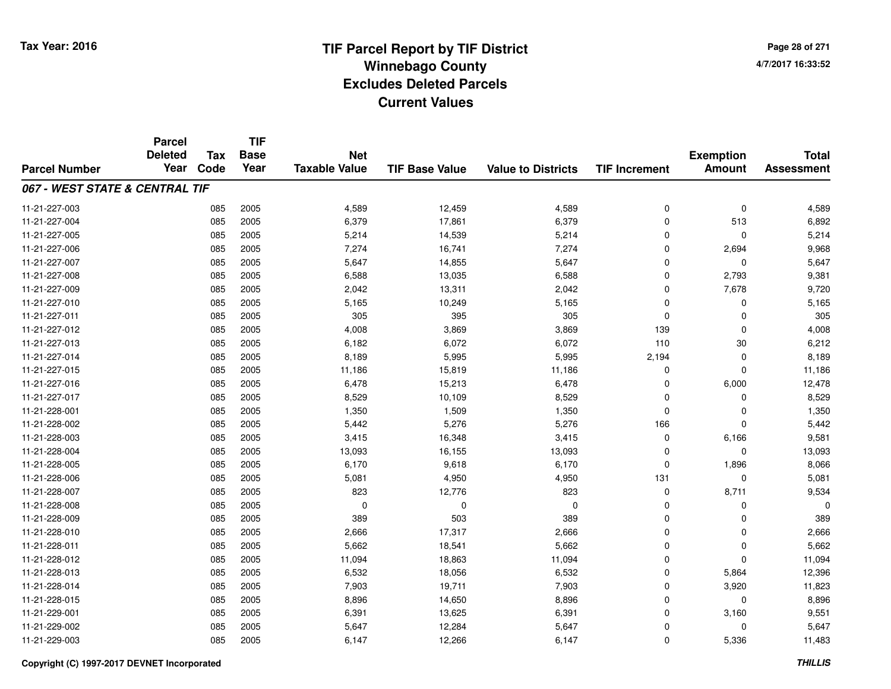**Page 28 of 2714/7/2017 16:33:52**

|                                | <b>Parcel</b>          |                    | <b>TIF</b>          |                                    |                       |                           | <b>Total</b>         |                                   |                   |
|--------------------------------|------------------------|--------------------|---------------------|------------------------------------|-----------------------|---------------------------|----------------------|-----------------------------------|-------------------|
|                                | <b>Deleted</b><br>Year | <b>Tax</b><br>Code | <b>Base</b><br>Year | <b>Net</b><br><b>Taxable Value</b> |                       |                           |                      | <b>Exemption</b><br><b>Amount</b> | <b>Assessment</b> |
| <b>Parcel Number</b>           |                        |                    |                     |                                    | <b>TIF Base Value</b> | <b>Value to Districts</b> | <b>TIF Increment</b> |                                   |                   |
| 067 - WEST STATE & CENTRAL TIF |                        |                    |                     |                                    |                       |                           |                      |                                   |                   |
| 11-21-227-003                  |                        | 085                | 2005                | 4,589                              | 12,459                | 4,589                     | 0                    | 0                                 | 4,589             |
| 11-21-227-004                  |                        | 085                | 2005                | 6,379                              | 17,861                | 6,379                     | $\Omega$             | 513                               | 6,892             |
| 11-21-227-005                  |                        | 085                | 2005                | 5,214                              | 14,539                | 5,214                     | 0                    | 0                                 | 5,214             |
| 11-21-227-006                  |                        | 085                | 2005                | 7,274                              | 16,741                | 7,274                     | $\Omega$             | 2,694                             | 9,968             |
| 11-21-227-007                  |                        | 085                | 2005                | 5,647                              | 14,855                | 5,647                     | 0                    | 0                                 | 5,647             |
| 11-21-227-008                  |                        | 085                | 2005                | 6,588                              | 13,035                | 6,588                     | $\Omega$             | 2,793                             | 9,381             |
| 11-21-227-009                  |                        | 085                | 2005                | 2,042                              | 13,311                | 2,042                     | $\Omega$             | 7,678                             | 9,720             |
| 11-21-227-010                  |                        | 085                | 2005                | 5,165                              | 10,249                | 5,165                     | $\Omega$             | $\mathbf 0$                       | 5,165             |
| 11-21-227-011                  |                        | 085                | 2005                | 305                                | 395                   | 305                       | $\mathbf 0$          | $\mathbf 0$                       | 305               |
| 11-21-227-012                  |                        | 085                | 2005                | 4,008                              | 3,869                 | 3,869                     | 139                  | 0                                 | 4,008             |
| 11-21-227-013                  |                        | 085                | 2005                | 6,182                              | 6,072                 | 6,072                     | 110                  | 30                                | 6,212             |
| 11-21-227-014                  |                        | 085                | 2005                | 8,189                              | 5,995                 | 5,995                     | 2,194                | 0                                 | 8,189             |
| 11-21-227-015                  |                        | 085                | 2005                | 11,186                             | 15,819                | 11,186                    | $\Omega$             | $\mathbf 0$                       | 11,186            |
| 11-21-227-016                  |                        | 085                | 2005                | 6,478                              | 15,213                | 6,478                     | $\Omega$             | 6,000                             | 12,478            |
| 11-21-227-017                  |                        | 085                | 2005                | 8,529                              | 10,109                | 8,529                     | $\Omega$             | $\mathbf 0$                       | 8,529             |
| 11-21-228-001                  |                        | 085                | 2005                | 1,350                              | 1,509                 | 1,350                     | $\mathbf 0$          | 0                                 | 1,350             |
| 11-21-228-002                  |                        | 085                | 2005                | 5,442                              | 5,276                 | 5,276                     | 166                  | $\mathbf 0$                       | 5,442             |
| 11-21-228-003                  |                        | 085                | 2005                | 3,415                              | 16,348                | 3,415                     | $\mathbf 0$          | 6,166                             | 9,581             |
| 11-21-228-004                  |                        | 085                | 2005                | 13,093                             | 16,155                | 13,093                    | 0                    | $\mathbf 0$                       | 13,093            |
| 11-21-228-005                  |                        | 085                | 2005                | 6,170                              | 9,618                 | 6,170                     | $\mathbf 0$          | 1,896                             | 8,066             |
| 11-21-228-006                  |                        | 085                | 2005                | 5,081                              | 4,950                 | 4,950                     | 131                  | 0                                 | 5,081             |
| 11-21-228-007                  |                        | 085                | 2005                | 823                                | 12,776                | 823                       | $\mathbf 0$          | 8,711                             | 9,534             |
| 11-21-228-008                  |                        | 085                | 2005                | 0                                  | 0                     | 0                         | $\mathbf 0$          | 0                                 |                   |
| 11-21-228-009                  |                        | 085                | 2005                | 389                                | 503                   | 389                       | $\mathbf 0$          | $\mathbf 0$                       | 389               |
| 11-21-228-010                  |                        | 085                | 2005                | 2,666                              | 17,317                | 2,666                     | $\mathbf 0$          | $\mathbf 0$                       | 2,666             |
| 11-21-228-011                  |                        | 085                | 2005                | 5,662                              | 18,541                | 5,662                     | $\mathbf 0$          | $\mathbf 0$                       | 5,662             |
| 11-21-228-012                  |                        | 085                | 2005                | 11,094                             | 18,863                | 11,094                    | $\mathbf 0$          | $\mathbf 0$                       | 11,094            |
| 11-21-228-013                  |                        | 085                | 2005                | 6,532                              | 18,056                | 6,532                     | $\mathbf 0$          | 5,864                             | 12,396            |
| 11-21-228-014                  |                        | 085                | 2005                | 7,903                              | 19,711                | 7,903                     | $\mathbf 0$          | 3,920                             | 11,823            |
| 11-21-228-015                  |                        | 085                | 2005                | 8,896                              | 14,650                | 8,896                     | 0                    | 0                                 | 8,896             |
| 11-21-229-001                  |                        | 085                | 2005                | 6,391                              | 13,625                | 6,391                     | $\Omega$             | 3,160                             | 9,551             |
| 11-21-229-002                  |                        | 085                | 2005                | 5,647                              | 12,284                | 5,647                     | $\Omega$             | 0                                 | 5,647             |
| 11-21-229-003                  |                        | 085                | 2005                | 6,147                              | 12,266                | 6,147                     | $\Omega$             | 5,336                             | 11,483            |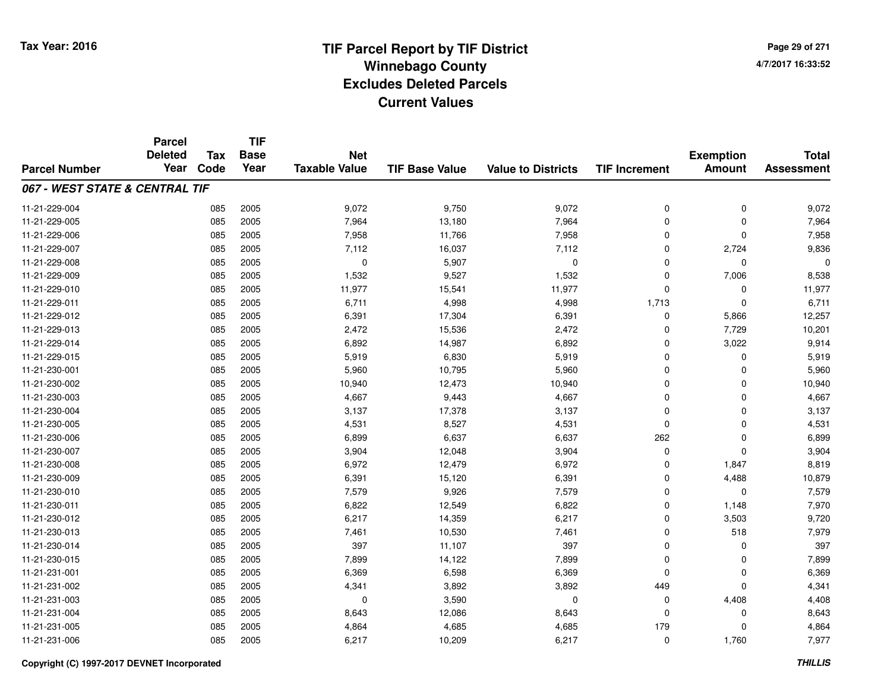**Page 29 of 2714/7/2017 16:33:52**

|                                | <b>Parcel</b>          |                    | <b>TIF</b><br><b>Base</b> |                                    |                       |                           |                      | <b>Exemption</b> |                                   |
|--------------------------------|------------------------|--------------------|---------------------------|------------------------------------|-----------------------|---------------------------|----------------------|------------------|-----------------------------------|
| <b>Parcel Number</b>           | <b>Deleted</b><br>Year | <b>Tax</b><br>Code | Year                      | <b>Net</b><br><b>Taxable Value</b> | <b>TIF Base Value</b> | <b>Value to Districts</b> | <b>TIF Increment</b> | <b>Amount</b>    | <b>Total</b><br><b>Assessment</b> |
| 067 - WEST STATE & CENTRAL TIF |                        |                    |                           |                                    |                       |                           |                      |                  |                                   |
| 11-21-229-004                  |                        | 085                | 2005                      | 9,072                              | 9,750                 | 9,072                     |                      | 0                | 9,072                             |
| 11-21-229-005                  |                        | 085                | 2005                      | 7,964                              | 13,180                | 7,964                     | 0<br>$\mathbf 0$     | $\Omega$         | 7,964                             |
| 11-21-229-006                  |                        | 085                | 2005                      | 7,958                              | 11,766                | 7,958                     | 0                    | $\Omega$         | 7,958                             |
| 11-21-229-007                  |                        | 085                | 2005                      | 7,112                              | 16,037                | 7,112                     | $\mathbf 0$          | 2,724            | 9,836                             |
| 11-21-229-008                  |                        | 085                | 2005                      | 0                                  | 5,907                 | $\mathbf 0$               | 0                    | 0                | 0                                 |
| 11-21-229-009                  |                        | 085                | 2005                      | 1,532                              | 9,527                 | 1,532                     | 0                    | 7,006            | 8,538                             |
| 11-21-229-010                  |                        | 085                | 2005                      | 11,977                             | 15,541                | 11,977                    | 0                    | $\mathbf 0$      | 11,977                            |
| 11-21-229-011                  |                        | 085                | 2005                      | 6,711                              | 4,998                 | 4,998                     | 1,713                | $\Omega$         | 6,711                             |
| 11-21-229-012                  |                        | 085                | 2005                      | 6,391                              | 17,304                | 6,391                     | 0                    | 5,866            | 12,257                            |
| 11-21-229-013                  |                        | 085                | 2005                      | 2,472                              | 15,536                | 2,472                     | 0                    | 7,729            | 10,201                            |
| 11-21-229-014                  |                        | 085                | 2005                      | 6,892                              | 14,987                | 6,892                     | 0                    | 3,022            | 9,914                             |
| 11-21-229-015                  |                        | 085                | 2005                      | 5,919                              | 6,830                 | 5,919                     | 0                    | 0                | 5,919                             |
| 11-21-230-001                  |                        | 085                | 2005                      | 5,960                              | 10,795                | 5,960                     | $\mathbf 0$          | $\Omega$         | 5,960                             |
| 11-21-230-002                  |                        | 085                | 2005                      | 10,940                             | 12,473                | 10,940                    | 0                    | 0                | 10,940                            |
| 11-21-230-003                  |                        | 085                | 2005                      | 4,667                              | 9,443                 | 4,667                     | 0                    | $\Omega$         | 4,667                             |
| 11-21-230-004                  |                        | 085                | 2005                      | 3,137                              | 17,378                | 3,137                     | 0                    | 0                | 3,137                             |
| 11-21-230-005                  |                        | 085                | 2005                      | 4,531                              | 8,527                 | 4,531                     | 0                    | $\mathbf 0$      | 4,531                             |
| 11-21-230-006                  |                        | 085                | 2005                      | 6,899                              | 6,637                 | 6,637                     | 262                  | $\mathbf 0$      | 6,899                             |
| 11-21-230-007                  |                        | 085                | 2005                      | 3,904                              | 12,048                | 3,904                     | 0                    | $\mathbf 0$      | 3,904                             |
| 11-21-230-008                  |                        | 085                | 2005                      | 6,972                              | 12,479                | 6,972                     | 0                    | 1,847            | 8,819                             |
| 11-21-230-009                  |                        | 085                | 2005                      | 6,391                              | 15,120                | 6,391                     | 0                    | 4,488            | 10,879                            |
| 11-21-230-010                  |                        | 085                | 2005                      | 7,579                              | 9,926                 | 7,579                     | 0                    | $\mathbf 0$      | 7,579                             |
| 11-21-230-011                  |                        | 085                | 2005                      | 6,822                              | 12,549                | 6,822                     | 0                    | 1,148            | 7,970                             |
| 11-21-230-012                  |                        | 085                | 2005                      | 6,217                              | 14,359                | 6,217                     | 0                    | 3,503            | 9,720                             |
| 11-21-230-013                  |                        | 085                | 2005                      | 7,461                              | 10,530                | 7,461                     | 0                    | 518              | 7,979                             |
| 11-21-230-014                  |                        | 085                | 2005                      | 397                                | 11,107                | 397                       | 0                    | 0                | 397                               |
| 11-21-230-015                  |                        | 085                | 2005                      | 7,899                              | 14,122                | 7,899                     | 0                    | $\mathbf 0$      | 7,899                             |
| 11-21-231-001                  |                        | 085                | 2005                      | 6,369                              | 6,598                 | 6,369                     | $\mathbf 0$          | 0                | 6,369                             |
| 11-21-231-002                  |                        | 085                | 2005                      | 4,341                              | 3,892                 | 3,892                     | 449                  | $\Omega$         | 4,341                             |
| 11-21-231-003                  |                        | 085                | 2005                      | 0                                  | 3,590                 | $\mathbf 0$               | 0                    | 4,408            | 4,408                             |
| 11-21-231-004                  |                        | 085                | 2005                      | 8,643                              | 12,086                | 8,643                     | $\mathbf 0$          | $\Omega$         | 8,643                             |
| 11-21-231-005                  |                        | 085                | 2005                      | 4,864                              | 4,685                 | 4,685                     | 179                  | $\Omega$         | 4,864                             |
| 11-21-231-006                  |                        | 085                | 2005                      | 6,217                              | 10,209                | 6,217                     | 0                    | 1,760            | 7,977                             |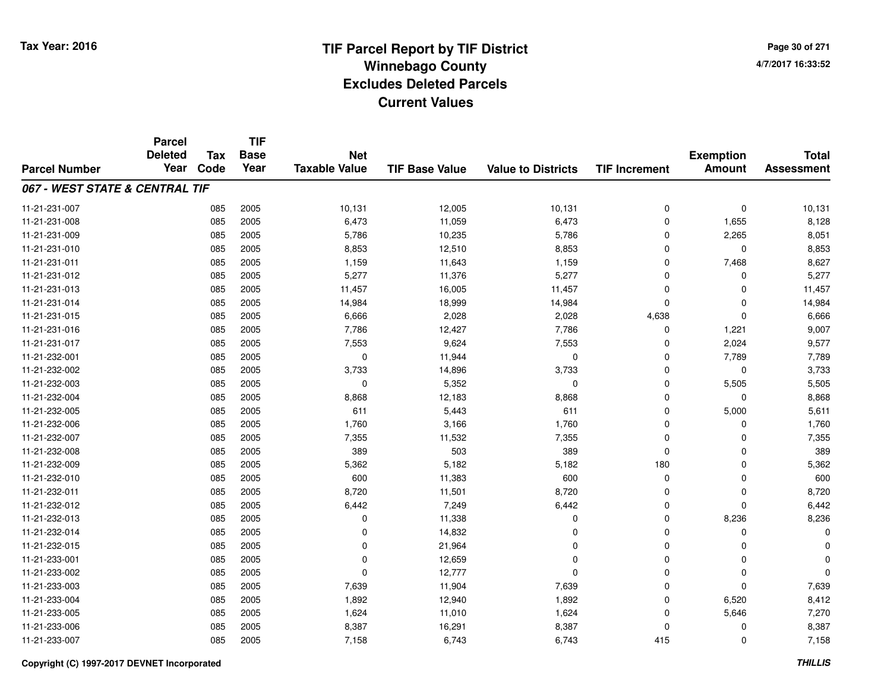**TIF**

**Parcel**

**Page 30 of 2714/7/2017 16:33:52**

| <b>Parcel Number</b>           | <b>Deleted</b><br>Year | Tax<br>Code | <b>Base</b><br>Year | <b>Net</b><br><b>Taxable Value</b> | <b>TIF Base Value</b> | <b>Value to Districts</b> | <b>TIF Increment</b> | <b>Exemption</b><br><b>Amount</b> | <b>Total</b><br><b>Assessment</b> |
|--------------------------------|------------------------|-------------|---------------------|------------------------------------|-----------------------|---------------------------|----------------------|-----------------------------------|-----------------------------------|
| 067 - WEST STATE & CENTRAL TIF |                        |             |                     |                                    |                       |                           |                      |                                   |                                   |
| 11-21-231-007                  |                        | 085         | 2005                | 10,131                             | 12,005                | 10,131                    | 0                    | $\pmb{0}$                         | 10,131                            |
| 11-21-231-008                  |                        | 085         | 2005                | 6,473                              | 11,059                | 6,473                     | 0                    | 1,655                             | 8,128                             |
| 11-21-231-009                  |                        | 085         | 2005                | 5,786                              | 10,235                | 5,786                     | 0                    | 2,265                             | 8,051                             |
| 11-21-231-010                  |                        | 085         | 2005                | 8,853                              | 12,510                | 8,853                     | 0                    | $\Omega$                          | 8,853                             |
| 11-21-231-011                  |                        | 085         | 2005                | 1,159                              | 11,643                | 1,159                     | 0                    | 7,468                             | 8,627                             |
| 11-21-231-012                  |                        | 085         | 2005                | 5,277                              | 11,376                | 5,277                     | $\mathbf 0$          | $\Omega$                          | 5,277                             |
| 11-21-231-013                  |                        | 085         | 2005                | 11,457                             | 16,005                | 11,457                    | $\mathbf 0$          | $\Omega$                          | 11,457                            |
| 11-21-231-014                  |                        | 085         | 2005                | 14,984                             | 18,999                | 14,984                    | 0                    | $\Omega$                          | 14,984                            |
| 11-21-231-015                  |                        | 085         | 2005                | 6,666                              | 2,028                 | 2,028                     | 4,638                | $\Omega$                          | 6,666                             |
| 11-21-231-016                  |                        | 085         | 2005                | 7,786                              | 12,427                | 7,786                     | 0                    | 1,221                             | 9,007                             |
| 11-21-231-017                  |                        | 085         | 2005                | 7,553                              | 9,624                 | 7,553                     | 0                    | 2,024                             | 9,577                             |
| 11-21-232-001                  |                        | 085         | 2005                | $\mathbf 0$                        | 11,944                | $\mathbf 0$               | $\Omega$             | 7,789                             | 7,789                             |
| 11-21-232-002                  |                        | 085         | 2005                | 3,733                              | 14,896                | 3,733                     | $\Omega$             | $\Omega$                          | 3,733                             |
| 11-21-232-003                  |                        | 085         | 2005                | $\mathbf 0$                        | 5,352                 | $\mathbf 0$               | $\mathbf 0$          | 5,505                             | 5,505                             |
| 11-21-232-004                  |                        | 085         | 2005                | 8,868                              | 12,183                | 8,868                     | $\mathbf 0$          | 0                                 | 8,868                             |
| 11-21-232-005                  |                        | 085         | 2005                | 611                                | 5,443                 | 611                       | $\mathbf 0$          | 5,000                             | 5,611                             |
| 11-21-232-006                  |                        | 085         | 2005                | 1,760                              | 3,166                 | 1,760                     | 0                    | 0                                 | 1,760                             |
| 11-21-232-007                  |                        | 085         | 2005                | 7,355                              | 11,532                | 7,355                     | 0                    | $\Omega$                          | 7,355                             |
| 11-21-232-008                  |                        | 085         | 2005                | 389                                | 503                   | 389                       | $\mathbf 0$          | $\Omega$                          | 389                               |
| 11-21-232-009                  |                        | 085         | 2005                | 5,362                              | 5,182                 | 5,182                     | 180                  | 0                                 | 5,362                             |
| 11-21-232-010                  |                        | 085         | 2005                | 600                                | 11,383                | 600                       | 0                    | 0                                 | 600                               |
| 11-21-232-011                  |                        | 085         | 2005                | 8,720                              | 11,501                | 8,720                     | $\mathbf 0$          | $\Omega$                          | 8,720                             |
| 11-21-232-012                  |                        | 085         | 2005                | 6,442                              | 7,249                 | 6,442                     | 0                    | $\Omega$                          | 6,442                             |
| 11-21-232-013                  |                        | 085         | 2005                | 0                                  | 11,338                | 0                         | 0                    | 8,236                             | 8,236                             |
| 11-21-232-014                  |                        | 085         | 2005                | 0                                  | 14,832                | $\Omega$                  | 0                    | $\Omega$                          | 0                                 |
| 11-21-232-015                  |                        | 085         | 2005                | $\Omega$                           | 21,964                | ∩                         | 0                    | $\Omega$                          | 0                                 |
| 11-21-233-001                  |                        | 085         | 2005                | $\Omega$                           | 12,659                | $\Omega$                  | $\mathbf 0$          | $\Omega$                          | $\Omega$                          |
| 11-21-233-002                  |                        | 085         | 2005                | $\Omega$                           | 12,777                | $\Omega$                  | $\mathbf 0$          | $\Omega$                          | $\Omega$                          |
| 11-21-233-003                  |                        | 085         | 2005                | 7,639                              | 11,904                | 7,639                     | $\mathbf 0$          | $\Omega$                          | 7,639                             |
| 11-21-233-004                  |                        | 085         | 2005                | 1,892                              | 12,940                | 1,892                     | $\mathbf 0$          | 6,520                             | 8,412                             |
| 11-21-233-005                  |                        | 085         | 2005                | 1,624                              | 11,010                | 1,624                     | 0                    | 5,646                             | 7,270                             |
| 11-21-233-006                  |                        | 085         | 2005                | 8,387                              | 16,291                | 8,387                     | $\mathbf 0$          | $\Omega$                          | 8,387                             |
| 11-21-233-007                  |                        | 085         | 2005                | 7,158                              | 6,743                 | 6,743                     | 415                  | $\Omega$                          | 7,158                             |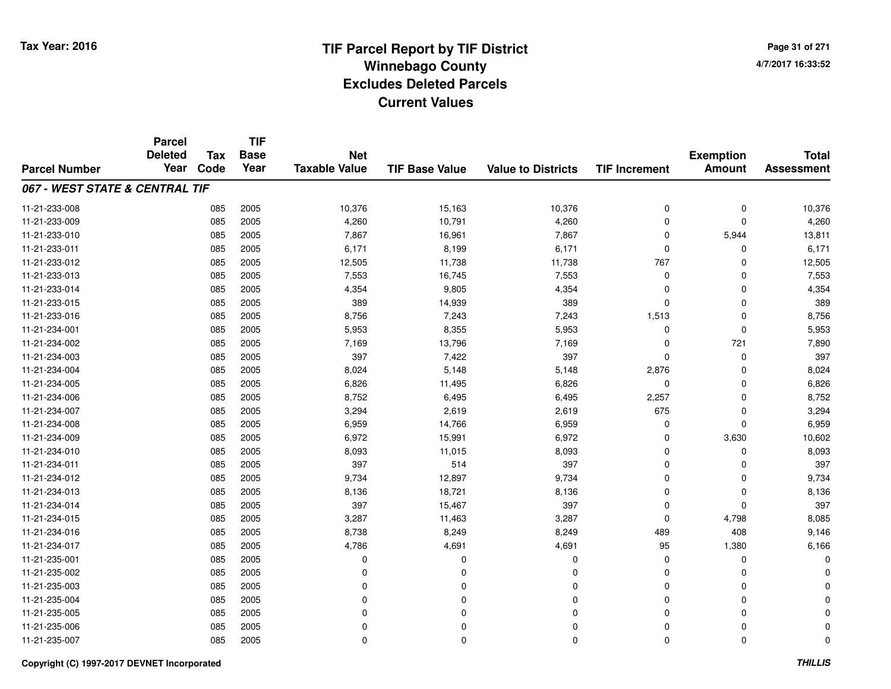# **TIF Parcel Report by TIF District Tax Year: 2016 Winnebago Countyy** and the contract of the contract of the contract of the contract of the contract of the contract of the contract of the contract of the contract of the contract of the contract of the contract of the contract of the co **Excludes Deleted ParcelsCurrent Values**

**Page 31 of 2714/7/2017 16:33:52**

|                                | <b>Parcel</b><br><b>Deleted</b> | <b>Tax</b> | <b>TIF</b><br><b>Base</b> | <b>Net</b>           |                       |                           |                      | <b>Exemption</b> | <b>Total</b>      |
|--------------------------------|---------------------------------|------------|---------------------------|----------------------|-----------------------|---------------------------|----------------------|------------------|-------------------|
| <b>Parcel Number</b>           | Year                            | Code       | Year                      | <b>Taxable Value</b> | <b>TIF Base Value</b> | <b>Value to Districts</b> | <b>TIF Increment</b> | <b>Amount</b>    | <b>Assessment</b> |
| 067 - WEST STATE & CENTRAL TIF |                                 |            |                           |                      |                       |                           |                      |                  |                   |
| 11-21-233-008                  |                                 | 085        | 2005                      | 10,376               | 15,163                | 10,376                    | $\mathbf 0$          | $\mathbf 0$      | 10,376            |
| 11-21-233-009                  |                                 | 085        | 2005                      | 4,260                | 10,791                | 4,260                     | $\mathbf 0$          | $\mathbf 0$      | 4,260             |
| 11-21-233-010                  |                                 | 085        | 2005                      | 7,867                | 16,961                | 7,867                     | $\mathbf 0$          | 5,944            | 13,811            |
| 11-21-233-011                  |                                 | 085        | 2005                      | 6,171                | 8,199                 | 6,171                     | 0                    | 0                | 6,171             |
| 11-21-233-012                  |                                 | 085        | 2005                      | 12,505               | 11,738                | 11,738                    | 767                  | $\Omega$         | 12,505            |
| 11-21-233-013                  |                                 | 085        | 2005                      | 7,553                | 16,745                | 7,553                     | 0                    | 0                | 7,553             |
| 11-21-233-014                  |                                 | 085        | 2005                      | 4,354                | 9,805                 | 4,354                     | $\Omega$             | $\mathbf 0$      | 4,354             |
| 11-21-233-015                  |                                 | 085        | 2005                      | 389                  | 14,939                | 389                       | $\Omega$             | 0                | 389               |
| 11-21-233-016                  |                                 | 085        | 2005                      | 8,756                | 7,243                 | 7,243                     | 1,513                | $\mathbf 0$      | 8,756             |
| 11-21-234-001                  |                                 | 085        | 2005                      | 5,953                | 8,355                 | 5,953                     | 0                    | $\mathbf 0$      | 5,953             |
| 11-21-234-002                  |                                 | 085        | 2005                      | 7,169                | 13,796                | 7,169                     | $\Omega$             | 721              | 7,890             |
| 11-21-234-003                  |                                 | 085        | 2005                      | 397                  | 7,422                 | 397                       | $\Omega$             | 0                | 397               |
| 11-21-234-004                  |                                 | 085        | 2005                      | 8,024                | 5,148                 | 5,148                     | 2,876                | $\mathbf 0$      | 8,024             |
| 11-21-234-005                  |                                 | 085        | 2005                      | 6,826                | 11,495                | 6,826                     | 0                    | 0                | 6,826             |
| 11-21-234-006                  |                                 | 085        | 2005                      | 8,752                | 6,495                 | 6,495                     | 2,257                | $\mathbf 0$      | 8,752             |
| 11-21-234-007                  |                                 | 085        | 2005                      | 3,294                | 2,619                 | 2,619                     | 675                  | 0                | 3,294             |
| 11-21-234-008                  |                                 | 085        | 2005                      | 6,959                | 14,766                | 6,959                     | 0                    | $\mathbf 0$      | 6,959             |
| 11-21-234-009                  |                                 | 085        | 2005                      | 6,972                | 15,991                | 6,972                     | 0                    | 3,630            | 10,602            |
| 11-21-234-010                  |                                 | 085        | 2005                      | 8,093                | 11,015                | 8,093                     | $\mathbf 0$          | $\mathbf 0$      | 8,093             |
| 11-21-234-011                  |                                 | 085        | 2005                      | 397                  | 514                   | 397                       | 0                    | 0                | 397               |
| 11-21-234-012                  |                                 | 085        | 2005                      | 9,734                | 12,897                | 9,734                     | $\mathbf 0$          | 0                | 9,734             |
| 11-21-234-013                  |                                 | 085        | 2005                      | 8,136                | 18,721                | 8,136                     | 0                    | 0                | 8,136             |
| 11-21-234-014                  |                                 | 085        | 2005                      | 397                  | 15,467                | 397                       | $\mathbf 0$          | $\mathbf 0$      | 397               |
| 11-21-234-015                  |                                 | 085        | 2005                      | 3,287                | 11,463                | 3,287                     | $\mathbf 0$          | 4,798            | 8,085             |
| 11-21-234-016                  |                                 | 085        | 2005                      | 8,738                | 8,249                 | 8,249                     | 489                  | 408              | 9,146             |
| 11-21-234-017                  |                                 | 085        | 2005                      | 4,786                | 4,691                 | 4,691                     | 95                   | 1,380            | 6,166             |
| 11-21-235-001                  |                                 | 085        | 2005                      | $\Omega$             | $\Omega$              | $\mathbf 0$               | $\mathbf 0$          | $\mathbf 0$      |                   |
| 11-21-235-002                  |                                 | 085        | 2005                      | 0                    | 0                     | 0                         | 0                    | 0                |                   |
| 11-21-235-003                  |                                 | 085        | 2005                      | $\Omega$             | $\Omega$              | $\Omega$                  | $\Omega$             | $\Omega$         |                   |
| 11-21-235-004                  |                                 | 085        | 2005                      | 0                    | $\Omega$              | $\Omega$                  | $\Omega$             | $\Omega$         |                   |
| 11-21-235-005                  |                                 | 085        | 2005                      | $\Omega$             | 0                     | $\Omega$                  | $\Omega$             | $\Omega$         |                   |
| 11-21-235-006                  |                                 | 085        | 2005                      | $\Omega$             | $\Omega$              | $\mathbf 0$               | $\Omega$             | 0                |                   |
| 11-21-235-007                  |                                 | 085        | 2005                      | $\Omega$             | 0                     | $\mathbf 0$               | $\Omega$             | $\mathbf 0$      |                   |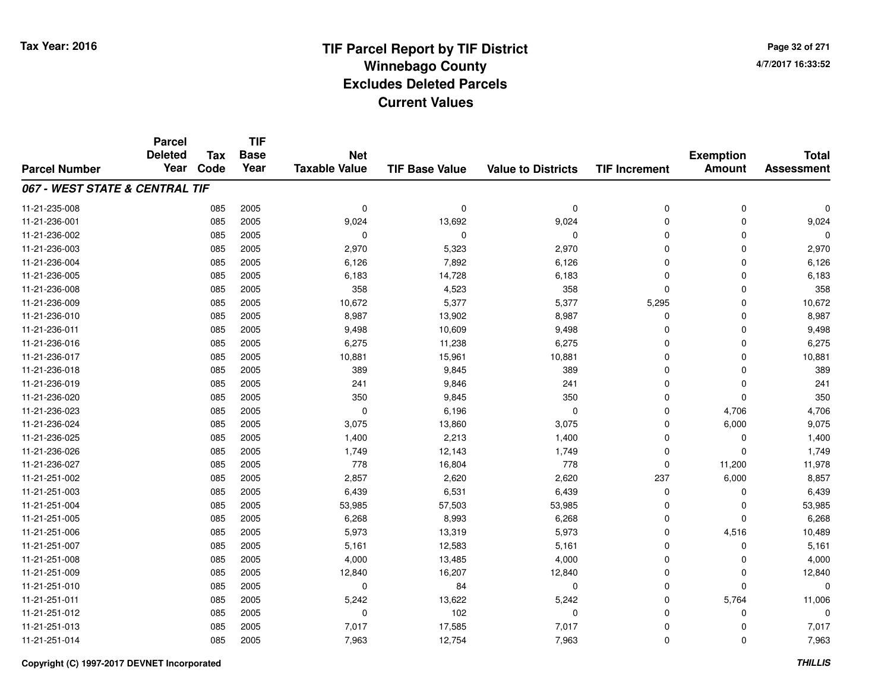**TIF**

**Parcel**

**Page 32 of 2714/7/2017 16:33:52**

| <b>Parcel Number</b>           | aivu<br><b>Deleted</b><br>Year | <b>Tax</b><br>Code | .<br><b>Base</b><br>Year | <b>Net</b><br><b>Taxable Value</b> | <b>TIF Base Value</b> | <b>Value to Districts</b> | <b>TIF Increment</b> | <b>Exemption</b><br><b>Amount</b> | <b>Total</b><br><b>Assessment</b> |
|--------------------------------|--------------------------------|--------------------|--------------------------|------------------------------------|-----------------------|---------------------------|----------------------|-----------------------------------|-----------------------------------|
|                                |                                |                    |                          |                                    |                       |                           |                      |                                   |                                   |
| 067 - WEST STATE & CENTRAL TIF |                                |                    |                          |                                    |                       |                           |                      |                                   |                                   |
| 11-21-235-008                  |                                | 085                | 2005                     | 0                                  | $\mathbf 0$           | 0                         | 0                    | 0                                 | $\Omega$                          |
| 11-21-236-001                  |                                | 085                | 2005                     | 9,024                              | 13,692                | 9,024                     | 0                    | 0                                 | 9,024                             |
| 11-21-236-002                  |                                | 085                | 2005                     | 0                                  | 0                     | $\mathbf 0$               | 0                    | 0                                 | $\Omega$                          |
| 11-21-236-003                  |                                | 085                | 2005                     | 2,970                              | 5,323                 | 2,970                     | 0                    | 0                                 | 2,970                             |
| 11-21-236-004                  |                                | 085                | 2005                     | 6,126                              | 7,892                 | 6,126                     | 0                    | 0                                 | 6,126                             |
| 11-21-236-005                  |                                | 085                | 2005                     | 6,183                              | 14,728                | 6,183                     | 0                    | 0                                 | 6,183                             |
| 11-21-236-008                  |                                | 085                | 2005                     | 358                                | 4,523                 | 358                       | 0                    | 0                                 | 358                               |
| 11-21-236-009                  |                                | 085                | 2005                     | 10,672                             | 5,377                 | 5,377                     | 5,295                | 0                                 | 10,672                            |
| 11-21-236-010                  |                                | 085                | 2005                     | 8,987                              | 13,902                | 8,987                     | 0                    | 0                                 | 8,987                             |
| 11-21-236-011                  |                                | 085                | 2005                     | 9,498                              | 10,609                | 9,498                     | 0                    | 0                                 | 9,498                             |
| 11-21-236-016                  |                                | 085                | 2005                     | 6,275                              | 11,238                | 6,275                     | 0                    | 0                                 | 6,275                             |
| 11-21-236-017                  |                                | 085                | 2005                     | 10,881                             | 15,961                | 10,881                    | 0                    | 0                                 | 10,881                            |
| 11-21-236-018                  |                                | 085                | 2005                     | 389                                | 9,845                 | 389                       | 0                    | 0                                 | 389                               |
| 11-21-236-019                  |                                | 085                | 2005                     | 241                                | 9,846                 | 241                       | 0                    | 0                                 | 241                               |
| 11-21-236-020                  |                                | 085                | 2005                     | 350                                | 9,845                 | 350                       | 0                    | 0                                 | 350                               |
| 11-21-236-023                  |                                | 085                | 2005                     | 0                                  | 6,196                 | $\mathbf 0$               | 0                    | 4,706                             | 4,706                             |
| 11-21-236-024                  |                                | 085                | 2005                     | 3,075                              | 13,860                | 3,075                     | 0                    | 6,000                             | 9,075                             |
| 11-21-236-025                  |                                | 085                | 2005                     | 1,400                              | 2,213                 | 1,400                     | 0                    | 0                                 | 1,400                             |
| 11-21-236-026                  |                                | 085                | 2005                     | 1,749                              | 12,143                | 1,749                     | 0                    | 0                                 | 1,749                             |
| 11-21-236-027                  |                                | 085                | 2005                     | 778                                | 16,804                | 778                       | 0                    | 11,200                            | 11,978                            |
| 11-21-251-002                  |                                | 085                | 2005                     | 2,857                              | 2,620                 | 2,620                     | 237                  | 6,000                             | 8,857                             |
| 11-21-251-003                  |                                | 085                | 2005                     | 6,439                              | 6,531                 | 6,439                     | 0                    | 0                                 | 6,439                             |
| 11-21-251-004                  |                                | 085                | 2005                     | 53,985                             | 57,503                | 53,985                    | 0                    | 0                                 | 53,985                            |
| 11-21-251-005                  |                                | 085                | 2005                     | 6,268                              | 8,993                 | 6,268                     | 0                    | 0                                 | 6,268                             |
| 11-21-251-006                  |                                | 085                | 2005                     | 5,973                              | 13,319                | 5,973                     | 0                    | 4,516                             | 10,489                            |
| 11-21-251-007                  |                                | 085                | 2005                     | 5,161                              | 12,583                | 5,161                     | 0                    | 0                                 | 5,161                             |
| 11-21-251-008                  |                                | 085                | 2005                     | 4,000                              | 13,485                | 4,000                     | 0                    | 0                                 | 4,000                             |
| 11-21-251-009                  |                                | 085                | 2005                     | 12,840                             | 16,207                | 12,840                    | 0                    | 0                                 | 12,840                            |
| 11-21-251-010                  |                                | 085                | 2005                     | 0                                  | 84                    | 0                         | 0                    | 0                                 | $\Omega$                          |
| 11-21-251-011                  |                                | 085                | 2005                     | 5,242                              | 13,622                | 5,242                     | 0                    | 5,764                             | 11,006                            |
| 11-21-251-012                  |                                | 085                | 2005                     | 0                                  | 102                   | 0                         | 0                    | 0                                 | $\Omega$                          |
| 11-21-251-013                  |                                | 085                | 2005                     | 7,017                              | 17,585                | 7,017                     | 0                    | 0                                 | 7,017                             |
| 11-21-251-014                  |                                | 085                | 2005                     | 7,963                              | 12,754                | 7,963                     | 0                    | 0                                 | 7,963                             |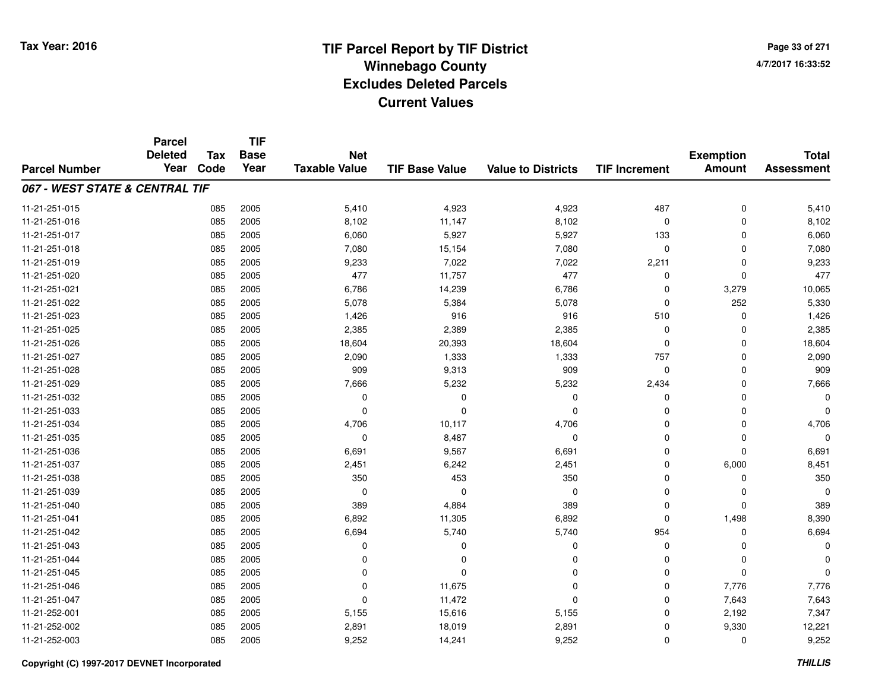**TIF**

**Parcel**

**Page 33 of 2714/7/2017 16:33:52**

| <b>Parcel Number</b>           | <b>Deleted</b><br>Year | Tax<br>Code | <b>Base</b><br>Year | <b>Net</b><br><b>Taxable Value</b> | <b>TIF Base Value</b> | <b>Value to Districts</b> | <b>TIF Increment</b> | <b>Exemption</b><br><b>Amount</b> | <b>Total</b><br><b>Assessment</b> |
|--------------------------------|------------------------|-------------|---------------------|------------------------------------|-----------------------|---------------------------|----------------------|-----------------------------------|-----------------------------------|
| 067 - WEST STATE & CENTRAL TIF |                        |             |                     |                                    |                       |                           |                      |                                   |                                   |
| 11-21-251-015                  |                        | 085         | 2005                | 5,410                              | 4,923                 | 4,923                     | 487                  | $\mathbf 0$                       | 5,410                             |
| 11-21-251-016                  |                        | 085         | 2005                | 8,102                              | 11,147                | 8,102                     | 0                    | 0                                 | 8,102                             |
| 11-21-251-017                  |                        | 085         | 2005                | 6,060                              | 5,927                 | 5,927                     | 133                  | $\Omega$                          | 6,060                             |
| 11-21-251-018                  |                        | 085         | 2005                | 7,080                              | 15,154                | 7,080                     | $\mathbf 0$          | $\Omega$                          | 7,080                             |
| 11-21-251-019                  |                        | 085         | 2005                | 9,233                              | 7,022                 | 7,022                     | 2,211                | $\Omega$                          | 9,233                             |
| 11-21-251-020                  |                        | 085         | 2005                | 477                                | 11,757                | 477                       | 0                    | $\Omega$                          | 477                               |
| 11-21-251-021                  |                        | 085         | 2005                | 6,786                              | 14,239                | 6,786                     | 0                    | 3,279                             | 10,065                            |
| 11-21-251-022                  |                        | 085         | 2005                | 5,078                              | 5,384                 | 5,078                     | 0                    | 252                               | 5,330                             |
| 11-21-251-023                  |                        | 085         | 2005                | 1,426                              | 916                   | 916                       | 510                  | 0                                 | 1,426                             |
| 11-21-251-025                  |                        | 085         | 2005                | 2,385                              | 2,389                 | 2,385                     | 0                    | $\Omega$                          | 2,385                             |
| 11-21-251-026                  |                        | 085         | 2005                | 18,604                             | 20,393                | 18,604                    | $\mathbf 0$          | $\Omega$                          | 18,604                            |
| 11-21-251-027                  |                        | 085         | 2005                | 2,090                              | 1,333                 | 1,333                     | 757                  | 0                                 | 2,090                             |
| 11-21-251-028                  |                        | 085         | 2005                | 909                                | 9,313                 | 909                       | 0                    | $\mathbf 0$                       | 909                               |
| 11-21-251-029                  |                        | 085         | 2005                | 7,666                              | 5,232                 | 5,232                     | 2,434                | $\mathbf 0$                       | 7,666                             |
| 11-21-251-032                  |                        | 085         | 2005                | 0                                  | 0                     | 0                         | 0                    | 0                                 | 0                                 |
| 11-21-251-033                  |                        | 085         | 2005                | 0                                  | $\Omega$              | 0                         | 0                    | 0                                 | $\Omega$                          |
| 11-21-251-034                  |                        | 085         | 2005                | 4,706                              | 10,117                | 4,706                     | 0                    | 0                                 | 4,706                             |
| 11-21-251-035                  |                        | 085         | 2005                | 0                                  | 8,487                 | 0                         | 0                    | 0                                 | 0                                 |
| 11-21-251-036                  |                        | 085         | 2005                | 6,691                              | 9,567                 | 6,691                     | $\mathbf 0$          | $\Omega$                          | 6,691                             |
| 11-21-251-037                  |                        | 085         | 2005                | 2,451                              | 6,242                 | 2,451                     | $\mathbf 0$          | 6,000                             | 8,451                             |
| 11-21-251-038                  |                        | 085         | 2005                | 350                                | 453                   | 350                       | $\mathbf 0$          | $\Omega$                          | 350                               |
| 11-21-251-039                  |                        | 085         | 2005                | 0                                  | $\Omega$              | 0                         | $\mathbf 0$          | $\Omega$                          | 0                                 |
| 11-21-251-040                  |                        | 085         | 2005                | 389                                | 4,884                 | 389                       | 0                    | $\Omega$                          | 389                               |
| 11-21-251-041                  |                        | 085         | 2005                | 6,892                              | 11,305                | 6,892                     | 0                    | 1,498                             | 8,390                             |
| 11-21-251-042                  |                        | 085         | 2005                | 6,694                              | 5,740                 | 5,740                     | 954                  | 0                                 | 6,694                             |
| 11-21-251-043                  |                        | 085         | 2005                | 0                                  | 0                     | $\Omega$                  | 0                    | $\Omega$                          | 0                                 |
| 11-21-251-044                  |                        | 085         | 2005                | $\Omega$                           | $\Omega$              | $\Omega$                  | $\mathbf 0$          | $\Omega$                          | $\Omega$                          |
| 11-21-251-045                  |                        | 085         | 2005                | $\Omega$                           | $\Omega$              | $\Omega$                  | $\mathbf 0$          | $\Omega$                          | $\Omega$                          |
| 11-21-251-046                  |                        | 085         | 2005                | $\Omega$                           | 11,675                | $\Omega$                  | $\mathbf 0$          | 7,776                             | 7,776                             |
| 11-21-251-047                  |                        | 085         | 2005                | 0                                  | 11,472                | $\Omega$                  | $\mathbf 0$          | 7,643                             | 7,643                             |
| 11-21-252-001                  |                        | 085         | 2005                | 5,155                              | 15,616                | 5,155                     | 0                    | 2,192                             | 7,347                             |
| 11-21-252-002                  |                        | 085         | 2005                | 2,891                              | 18,019                | 2,891                     | 0                    | 9,330                             | 12,221                            |
| 11-21-252-003                  |                        | 085         | 2005                | 9,252                              | 14,241                | 9,252                     | 0                    | 0                                 | 9,252                             |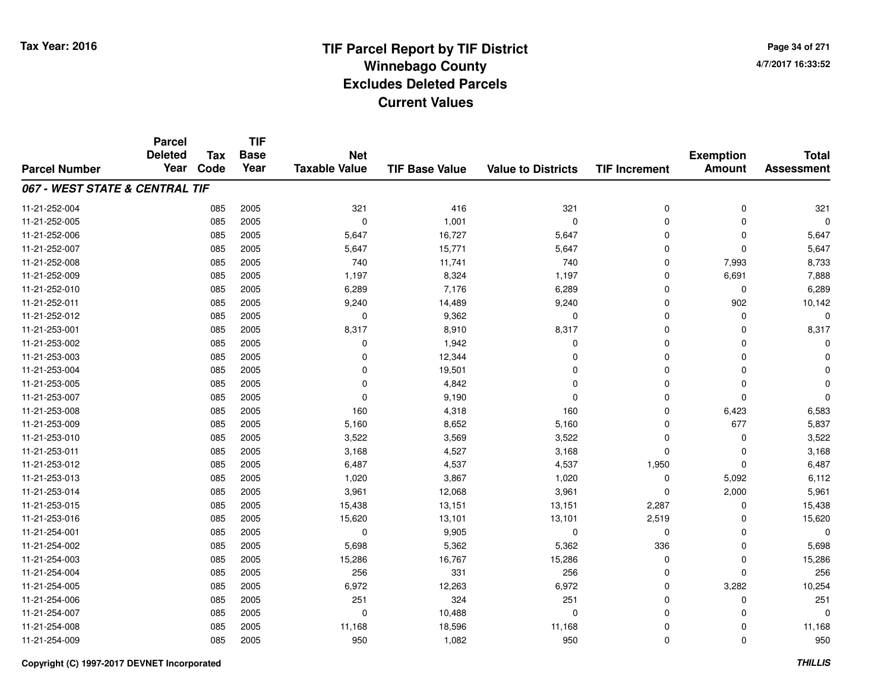**Page 34 of 2714/7/2017 16:33:52**

#### **TIF Base ValueParcel NumberTotal AssessmentExemption Amount Value to Districts TIF IncrementTIF Base YearTax CodeParcel Deleted YearNet Taxable Value067 - WEST STATE & CENTRAL TIF**11-21-252-004 <sup>085</sup> <sup>321</sup> <sup>2005</sup> <sup>416</sup> <sup>321</sup> <sup>0</sup> <sup>0</sup> <sup>321</sup> 11-21-252-005 <sup>085</sup> <sup>0</sup> <sup>2005</sup> 1,001 <sup>0</sup> <sup>0</sup> <sup>0</sup> <sup>0</sup> 11-21-252-006 <sup>085</sup> 5,647 <sup>2005</sup> 16,727 5,647 <sup>0</sup> <sup>0</sup> 5,647 11-21-252-007 <sup>085</sup> 5,647 <sup>2005</sup> 15,771 5,647 <sup>0</sup> <sup>0</sup> 5,647 11-21-252-008 <sup>085</sup> <sup>740</sup> <sup>2005</sup> 11,741 <sup>740</sup> <sup>0</sup> 7,993 8,733 11-21-252-0099 085 2005 1,197 8,324 1,197 0 6,691 7,888 11-21-252-0100 085 2005 6,289 7,176 6,289 0 0 6,289 11-21-252-0111 085 2005 9,240 14,489 9,240 0 902 10,142 11-21-252-012 $2$  085 2005 0 0 9,362 0 0 0 0 0 0 11-21-253-0011 085 2005 8,317 8,910 8,317 0 0 8,317 11-21-253-002 $2$  085 2005 0 0  $1,942$  0 0 0 0 0 11-21-253-0033 085 2005 0 12,344 0 0 0 0 11-21-253-004 <sup>085</sup> <sup>0</sup> <sup>2005</sup> 19,501 <sup>0</sup> <sup>0</sup> <sup>0</sup> <sup>0</sup> 11-21-253-005 <sup>085</sup> <sup>0</sup> <sup>2005</sup> 4,842 <sup>0</sup> <sup>0</sup> <sup>0</sup> <sup>0</sup> 11-21-253-007 $7$  085 2005 0 0 9,190 0 0 0 0 0 0 0 11-21-253-0088 085 2005 160 4,318 160 0 6,423 6,583 11-21-253-0099 085 2005 5,160 8,652 5,160 0 677 5,837 11-21-253-0100 085 2005 3,522 3,569 3,522 0 0 3,522 11-21-253-0111 085 2005 3,168 4,527 3,168 0 0 3,168 11-21-253-012 <sup>085</sup> 6,487 <sup>2005</sup> 4,537 4,537 1,950 <sup>0</sup> 6,487 11-21-253-0133 085 2005 1,020 3,867 1,020 0 5,092 6,112 11-21-253-014 <sup>085</sup> 3,961 <sup>2005</sup> 12,068 3,961 <sup>0</sup> 2,000 5,961 11-21-253-015 <sup>085</sup> 15,438 <sup>2005</sup> 13,151 13,151 2,287 <sup>0</sup> 15,438 11-21-253-016 <sup>085</sup> 15,620 <sup>2005</sup> 13,101 13,101 2,519 <sup>0</sup> 15,620 11-21-254-0011 085 2005 0 9,905 0 0 0 0 11-21-254-0022 085 2005 5,698 5,362 5,362 336 0 5,698 11-21-254-0033 085 2005 15,286 16,767 15,286 0 0 15,286 11-21-254-0044 256 2005 256 256 331 256 256 331 256 0 0 0 256 11-21-254-005 <sup>085</sup> 6,972 <sup>2005</sup> 12,263 6,972 <sup>0</sup> 3,282 10,254 11-21-254-006 <sup>085</sup> <sup>251</sup> <sup>2005</sup> <sup>324</sup> <sup>251</sup> <sup>0</sup> <sup>0</sup> <sup>251</sup> 11-21-254-007 <sup>085</sup> <sup>0</sup> <sup>2005</sup> 10,488 <sup>0</sup> <sup>0</sup> <sup>0</sup> <sup>0</sup> 11-21-254-008 <sup>085</sup> 11,168 <sup>2005</sup> 18,596 11,168 <sup>0</sup> <sup>0</sup> 11,168 11-21-254-009<sup>085</sup> <sup>950</sup> <sup>2005</sup> 1,082 <sup>950</sup> <sup>0</sup> <sup>0</sup> <sup>950</sup>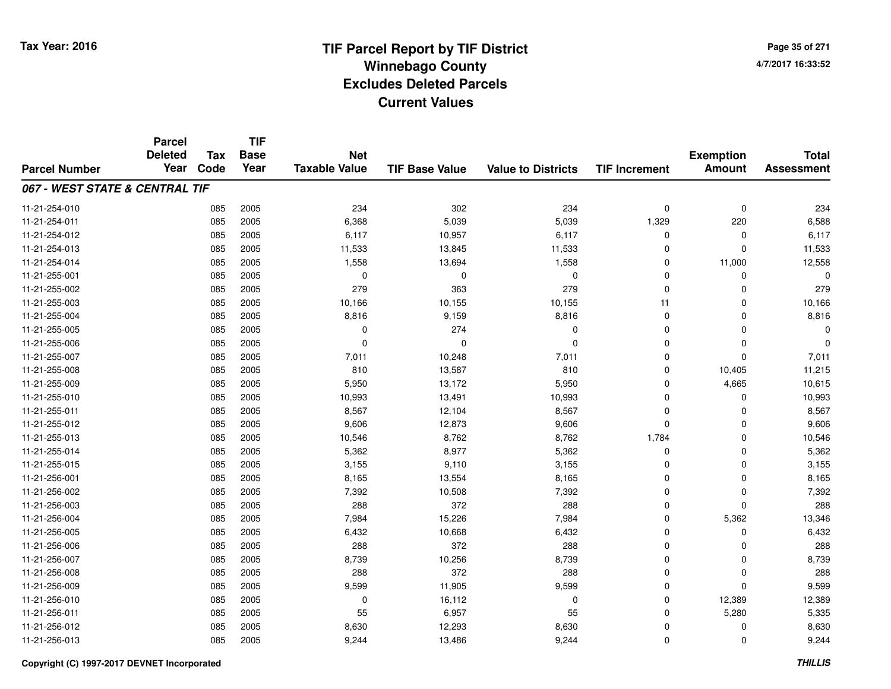**TIF**

**Parcel**

**Page 35 of 2714/7/2017 16:33:52**

| <b>Parcel Number</b>           | <b>Deleted</b><br>Year | <b>Tax</b><br>Code | <b>Base</b><br>Year | <b>Net</b><br><b>Taxable Value</b> | <b>TIF Base Value</b> | <b>Value to Districts</b> | <b>TIF Increment</b> | <b>Exemption</b><br><b>Amount</b> | <b>Total</b><br><b>Assessment</b> |
|--------------------------------|------------------------|--------------------|---------------------|------------------------------------|-----------------------|---------------------------|----------------------|-----------------------------------|-----------------------------------|
| 067 - WEST STATE & CENTRAL TIF |                        |                    |                     |                                    |                       |                           |                      |                                   |                                   |
| 11-21-254-010                  |                        | 085                | 2005                | 234                                | 302                   | 234                       | $\mathbf 0$          | $\mathbf 0$                       | 234                               |
| 11-21-254-011                  |                        | 085                | 2005                | 6,368                              | 5,039                 | 5,039                     | 1,329                | 220                               | 6,588                             |
| 11-21-254-012                  |                        | 085                | 2005                | 6,117                              | 10,957                | 6,117                     | $\Omega$             | 0                                 | 6,117                             |
| 11-21-254-013                  |                        | 085                | 2005                | 11,533                             | 13,845                | 11,533                    | $\Omega$             | 0                                 | 11,533                            |
| 11-21-254-014                  |                        | 085                | 2005                | 1,558                              | 13,694                | 1,558                     | 0                    | 11,000                            | 12,558                            |
| 11-21-255-001                  |                        | 085                | 2005                | $\Omega$                           | $\mathbf 0$           | $\mathbf 0$               | $\Omega$             | $\Omega$                          |                                   |
| 11-21-255-002                  |                        | 085                | 2005                | 279                                | 363                   | 279                       | $\mathbf 0$          | $\Omega$                          | 279                               |
| 11-21-255-003                  |                        | 085                | 2005                | 10,166                             | 10,155                | 10,155                    | 11                   | $\Omega$                          | 10,166                            |
| 11-21-255-004                  |                        | 085                | 2005                | 8,816                              | 9,159                 | 8,816                     | $\mathbf 0$          | $\Omega$                          | 8,816                             |
| 11-21-255-005                  |                        | 085                | 2005                | 0                                  | 274                   | $\mathbf 0$               | $\Omega$             | $\Omega$                          | 0                                 |
| 11-21-255-006                  |                        | 085                | 2005                | 0                                  | $\Omega$              | 0                         | $\Omega$             | 0                                 | $\Omega$                          |
| 11-21-255-007                  |                        | 085                | 2005                | 7,011                              | 10,248                | 7,011                     | $\Omega$             | 0                                 | 7,011                             |
| 11-21-255-008                  |                        | 085                | 2005                | 810                                | 13,587                | 810                       | $\Omega$             | 10,405                            | 11,215                            |
| 11-21-255-009                  |                        | 085                | 2005                | 5,950                              | 13,172                | 5,950                     | $\Omega$             | 4,665                             | 10,615                            |
| 11-21-255-010                  |                        | 085                | 2005                | 10,993                             | 13,491                | 10,993                    | $\Omega$             | $\Omega$                          | 10,993                            |
| 11-21-255-011                  |                        | 085                | 2005                | 8,567                              | 12,104                | 8,567                     | $\Omega$             | $\Omega$                          | 8,567                             |
| 11-21-255-012                  |                        | 085                | 2005                | 9,606                              | 12,873                | 9,606                     | $\Omega$             | $\Omega$                          | 9,606                             |
| 11-21-255-013                  |                        | 085                | 2005                | 10,546                             | 8,762                 | 8,762                     | 1,784                | $\Omega$                          | 10,546                            |
| 11-21-255-014                  |                        | 085                | 2005                | 5,362                              | 8,977                 | 5,362                     | $\Omega$             | $\Omega$                          | 5,362                             |
| 11-21-255-015                  |                        | 085                | 2005                | 3,155                              | 9,110                 | 3,155                     | $\Omega$             | $\Omega$                          | 3,155                             |
| 11-21-256-001                  |                        | 085                | 2005                | 8,165                              | 13,554                | 8,165                     | $\Omega$             | $\Omega$                          | 8,165                             |
| 11-21-256-002                  |                        | 085                | 2005                | 7,392                              | 10,508                | 7,392                     | $\Omega$             | 0                                 | 7,392                             |
| 11-21-256-003                  |                        | 085                | 2005                | 288                                | 372                   | 288                       | 0                    | $\Omega$                          | 288                               |
| 11-21-256-004                  |                        | 085                | 2005                | 7,984                              | 15,226                | 7,984                     | 0                    | 5,362                             | 13,346                            |
| 11-21-256-005                  |                        | 085                | 2005                | 6,432                              | 10,668                | 6,432                     | $\Omega$             | $\Omega$                          | 6,432                             |
| 11-21-256-006                  |                        | 085                | 2005                | 288                                | 372                   | 288                       | $\Omega$             | $\Omega$                          | 288                               |
| 11-21-256-007                  |                        | 085                | 2005                | 8,739                              | 10,256                | 8,739                     | $\Omega$             | $\Omega$                          | 8,739                             |
| 11-21-256-008                  |                        | 085                | 2005                | 288                                | 372                   | 288                       | $\Omega$             | $\Omega$                          | 288                               |
| 11-21-256-009                  |                        | 085                | 2005                | 9,599                              | 11,905                | 9,599                     | $\Omega$             | $\Omega$                          | 9,599                             |
| 11-21-256-010                  |                        | 085                | 2005                | 0                                  | 16,112                | $\mathbf 0$               | $\Omega$             | 12,389                            | 12,389                            |
| 11-21-256-011                  |                        | 085                | 2005                | 55                                 | 6,957                 | 55                        | $\Omega$             | 5,280                             | 5,335                             |
| 11-21-256-012                  |                        | 085                | 2005                | 8,630                              | 12,293                | 8,630                     | $\Omega$             | $\Omega$                          | 8,630                             |
| 11-21-256-013                  |                        | 085                | 2005                | 9,244                              | 13,486                | 9,244                     | $\mathbf 0$          | 0                                 | 9,244                             |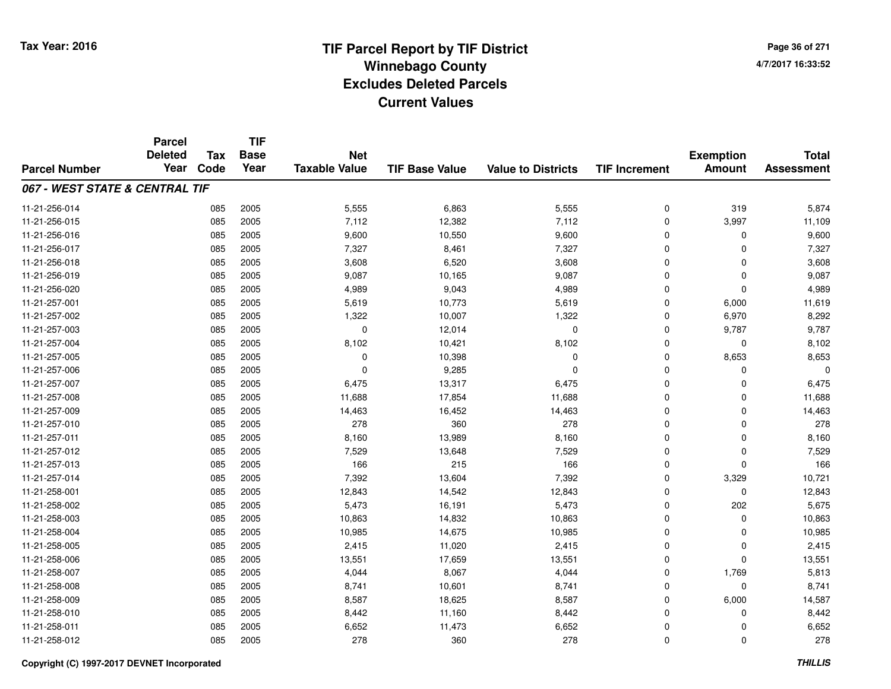**TIF**

**Parcel**

**Page 36 of 2714/7/2017 16:33:52**

#### **TIF Base ValueParcel NumberTotal AssessmentExemption Amount Value to Districts TIF Increment Base YearTax Code Deleted YearNet Taxable Value067 - WEST STATE & CENTRAL TIF**11-21-256-014 <sup>085</sup> 5,555 <sup>2005</sup> 6,863 5,555 <sup>0</sup> <sup>319</sup> 5,874 11-21-256-015 <sup>085</sup> 7,112 <sup>2005</sup> 12,382 7,112 <sup>0</sup> 3,997 11,109 11-21-256-016 <sup>085</sup> 9,600 <sup>2005</sup> 10,550 9,600 <sup>0</sup> <sup>0</sup> 9,600 11-21-256-017 <sup>085</sup> 7,327 <sup>2005</sup> 8,461 7,327 <sup>0</sup> <sup>0</sup> 7,327 11-21-256-0188 085 2005 3,608 6,520 3,608 0 0 3,608 11-21-256-019 <sup>085</sup> 9,087 <sup>2005</sup> 10,165 9,087 <sup>0</sup> <sup>0</sup> 9,087 11-21-256-0200 085 2005 4,989 9,043 4,989 0 0 4,989 11-21-257-0011 085 2005 5,619 10,773 5,619 0 6,000 11,619 11-21-257-0022 2 085 2005 1,322 10,007 1,322 0 6,970 8,292 11-21-257-003 <sup>085</sup> <sup>0</sup> <sup>2005</sup> 12,014 <sup>0</sup> <sup>0</sup> 9,787 9,787 11-21-257-004 <sup>085</sup> 8,102 <sup>2005</sup> 10,421 8,102 <sup>0</sup> <sup>0</sup> 8,102 11-21-257-005 <sup>085</sup> <sup>0</sup> <sup>2005</sup> 10,398 <sup>0</sup> <sup>0</sup> 8,653 8,653 11-21-257-006 <sup>085</sup> <sup>0</sup> <sup>2005</sup> 9,285 <sup>0</sup> <sup>0</sup> <sup>0</sup> <sup>0</sup> 11-21-257-007 <sup>085</sup> 6,475 <sup>2005</sup> 13,317 6,475 <sup>0</sup> <sup>0</sup> 6,475 11-21-257-008 <sup>085</sup> 11,688 <sup>2005</sup> 17,854 11,688 <sup>0</sup> <sup>0</sup> 11,688 11-21-257-0099 085 2005 14,463 16,452 14,463 0 0 14,463 11-21-257-0100 085 2005 278 360 278 0 0 278 11-21-257-0111 085 2005 8,160 13,989 8,160 0 0 8,160 11-21-257-0122 085 2005 7,529 13,648 7,529 0 0 7,529 11-21-257-0133 085 2005 166 215 166 0 0 166 11-21-257-014 <sup>085</sup> 7,392 <sup>2005</sup> 13,604 7,392 <sup>0</sup> 3,329 10,721 11-21-258-0011 085 2005 12,843 14,542 12,843 0 12,843 11-21-258-0022 085 2005 5,473 16,191 5,473 0 202 5,675 11-21-258-0033 085 2005 10,863 14,832 10,863 0 0 10,863 11-21-258-004 <sup>085</sup> 10,985 <sup>2005</sup> 14,675 10,985 <sup>0</sup> <sup>0</sup> 10,985 11-21-258-005 <sup>085</sup> 2,415 <sup>2005</sup> 11,020 2,415 <sup>0</sup> <sup>0</sup> 2,415 11-21-258-0066 085 2005 13,551 17,659 13,551 0 0 13,551 11-21-258-007 <sup>085</sup> 4,044 <sup>2005</sup> 8,067 4,044 <sup>0</sup> 1,769 5,813 11-21-258-0088 085 2005 8,741 10,601 8,741 0 0 8,741 11-21-258-0099 085 2005 8,587 18,625 8,587 0 6,000 14,587 11-21-258-010 <sup>085</sup> 8,442 <sup>2005</sup> 11,160 8,442 <sup>0</sup> <sup>0</sup> 8,442 11-21-258-0111 085 2005 6,652 11,473 6,652 0 0 6,652 11-21-258-012<sup>085</sup> <sup>278</sup> <sup>2005</sup> <sup>360</sup> <sup>278</sup> <sup>0</sup> <sup>0</sup> <sup>278</sup>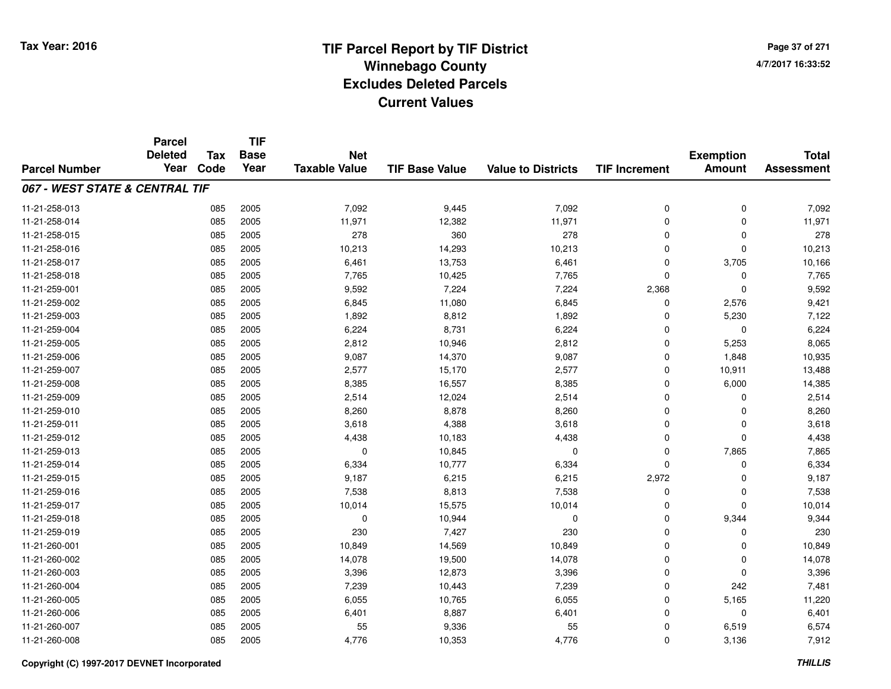**Page 37 of 2714/7/2017 16:33:52**

|                                | <b>Parcel</b>          |                    | <b>TIF</b>          |                                    |                       |                           |                      |                                   |                                   |
|--------------------------------|------------------------|--------------------|---------------------|------------------------------------|-----------------------|---------------------------|----------------------|-----------------------------------|-----------------------------------|
| <b>Parcel Number</b>           | <b>Deleted</b><br>Year | <b>Tax</b><br>Code | <b>Base</b><br>Year | <b>Net</b><br><b>Taxable Value</b> | <b>TIF Base Value</b> | <b>Value to Districts</b> | <b>TIF Increment</b> | <b>Exemption</b><br><b>Amount</b> | <b>Total</b><br><b>Assessment</b> |
|                                |                        |                    |                     |                                    |                       |                           |                      |                                   |                                   |
| 067 - WEST STATE & CENTRAL TIF |                        |                    |                     |                                    |                       |                           |                      |                                   |                                   |
| 11-21-258-013                  |                        | 085                | 2005                | 7,092                              | 9,445                 | 7,092                     | 0                    | $\mathbf 0$                       | 7,092                             |
| 11-21-258-014                  |                        | 085                | 2005                | 11,971                             | 12,382                | 11,971                    | $\Omega$             | $\Omega$                          | 11,971                            |
| 11-21-258-015                  |                        | 085                | 2005                | 278                                | 360                   | 278                       | $\Omega$             | 0                                 | 278                               |
| 11-21-258-016                  |                        | 085                | 2005                | 10,213                             | 14,293                | 10,213                    | $\Omega$             | $\mathbf{0}$                      | 10,213                            |
| 11-21-258-017                  |                        | 085                | 2005                | 6,461                              | 13,753                | 6,461                     | $\Omega$             | 3,705                             | 10,166                            |
| 11-21-258-018                  |                        | 085                | 2005                | 7,765                              | 10,425                | 7,765                     | $\Omega$             | 0                                 | 7,765                             |
| 11-21-259-001                  |                        | 085                | 2005                | 9,592                              | 7,224                 | 7,224                     | 2,368                | $\mathbf 0$                       | 9,592                             |
| 11-21-259-002                  |                        | 085                | 2005                | 6,845                              | 11,080                | 6,845                     | $\Omega$             | 2,576                             | 9,421                             |
| 11-21-259-003                  |                        | 085                | 2005                | 1,892                              | 8,812                 | 1,892                     | $\Omega$             | 5,230                             | 7,122                             |
| 11-21-259-004                  |                        | 085                | 2005                | 6,224                              | 8,731                 | 6,224                     | $\Omega$             | 0                                 | 6,224                             |
| 11-21-259-005                  |                        | 085                | 2005                | 2,812                              | 10,946                | 2,812                     | $\Omega$             | 5,253                             | 8,065                             |
| 11-21-259-006                  |                        | 085                | 2005                | 9,087                              | 14,370                | 9,087                     | 0                    | 1,848                             | 10,935                            |
| 11-21-259-007                  |                        | 085                | 2005                | 2,577                              | 15,170                | 2,577                     | $\Omega$             | 10,911                            | 13,488                            |
| 11-21-259-008                  |                        | 085                | 2005                | 8,385                              | 16,557                | 8,385                     | $\mathbf 0$          | 6,000                             | 14,385                            |
| 11-21-259-009                  |                        | 085                | 2005                | 2,514                              | 12,024                | 2,514                     | $\Omega$             | $\Omega$                          | 2,514                             |
| 11-21-259-010                  |                        | 085                | 2005                | 8,260                              | 8,878                 | 8,260                     | $\mathbf 0$          | $\Omega$                          | 8,260                             |
| 11-21-259-011                  |                        | 085                | 2005                | 3,618                              | 4,388                 | 3,618                     | $\mathbf 0$          | 0                                 | 3,618                             |
| 11-21-259-012                  |                        | 085                | 2005                | 4,438                              | 10,183                | 4,438                     | $\mathbf 0$          | $\mathbf{0}$                      | 4,438                             |
| 11-21-259-013                  |                        | 085                | 2005                | $\mathbf 0$                        | 10,845                | $\mathbf 0$               | $\mathbf 0$          | 7,865                             | 7,865                             |
| 11-21-259-014                  |                        | 085                | 2005                | 6,334                              | 10,777                | 6,334                     | $\mathbf 0$          | $\mathbf 0$                       | 6,334                             |
| 11-21-259-015                  |                        | 085                | 2005                | 9,187                              | 6,215                 | 6,215                     | 2,972                | $\mathbf 0$                       | 9,187                             |
| 11-21-259-016                  |                        | 085                | 2005                | 7,538                              | 8,813                 | 7,538                     | $\mathbf 0$          | 0                                 | 7,538                             |
| 11-21-259-017                  |                        | 085                | 2005                | 10,014                             | 15,575                | 10,014                    | 0                    | $\mathbf{0}$                      | 10,014                            |
| 11-21-259-018                  |                        | 085                | 2005                | $\mathbf 0$                        | 10,944                | $\mathbf 0$               | $\mathbf 0$          | 9,344                             | 9,344                             |
| 11-21-259-019                  |                        | 085                | 2005                | 230                                | 7,427                 | 230                       | $\mathbf 0$          | $\mathbf 0$                       | 230                               |
| 11-21-260-001                  |                        | 085                | 2005                | 10,849                             | 14,569                | 10,849                    | $\mathbf 0$          | $\Omega$                          | 10,849                            |
| 11-21-260-002                  |                        | 085                | 2005                | 14,078                             | 19,500                | 14,078                    | $\mathbf 0$          | $\mathbf 0$                       | 14,078                            |
| 11-21-260-003                  |                        | 085                | 2005                | 3,396                              | 12,873                | 3,396                     | $\Omega$             | 0                                 | 3,396                             |
| 11-21-260-004                  |                        | 085                | 2005                | 7,239                              | 10,443                | 7,239                     | $\mathbf 0$          | 242                               | 7,481                             |
| 11-21-260-005                  |                        | 085                | 2005                | 6,055                              | 10,765                | 6,055                     | $\mathbf 0$          | 5,165                             | 11,220                            |
| 11-21-260-006                  |                        | 085                | 2005                | 6,401                              | 8,887                 | 6,401                     | $\Omega$             | $\mathbf{0}$                      | 6,401                             |
| 11-21-260-007                  |                        | 085                | 2005                | 55                                 | 9,336                 | 55                        | 0                    | 6,519                             | 6,574                             |
| 11-21-260-008                  |                        | 085                | 2005                | 4,776                              | 10,353                | 4,776                     | $\Omega$             | 3,136                             | 7,912                             |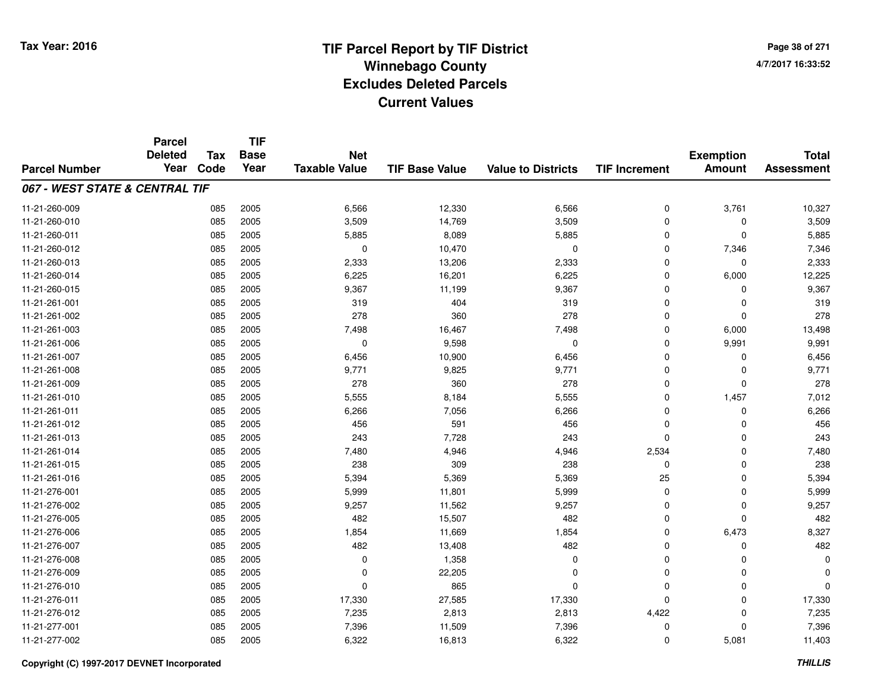**TIF**

**Parcel**

**Page 38 of 2714/7/2017 16:33:52**

#### **TIF Base ValueParcel NumberTotal AssessmentExemption Amount Value to Districts TIF Increment Base YearTax Code Deleted YearNet Taxable Value067 - WEST STATE & CENTRAL TIF**11-21-260-0099 085 2005 6,566 12,330 6,566 0 3,761 10,327 11-21-260-0100 085 2005 3,509 14,769 3,509 0 0 3,509 11-21-260-0111 085 2005 5,885 8,089 5,885 0 0 5,885 11-21-260-0122 085 2005 0 10,470 0 7,346 7,346 11-21-260-0133 2005 2005 2005 2,333 2006 13,206 2,333 2010 2,333 2010 2,333 2010 2,333 11-21-260-0144 085 2005 6,225 16,201 6,225 0 6,000 12,225 11-21-260-015 <sup>085</sup> 9,367 <sup>2005</sup> 11,199 9,367 <sup>0</sup> <sup>0</sup> 9,367 11-21-261-0011 085 2005 319 404 319 0 0 319 11-21-261-002 <sup>085</sup> <sup>278</sup> <sup>2005</sup> <sup>360</sup> <sup>278</sup> <sup>0</sup> <sup>0</sup> <sup>278</sup> 11-21-261-0033 085 2005 7,498 16,467 7,498 0 6,000 13,498 11-21-261-0066 085 2005 0 9,598 0 0 9,991 9,991 11-21-261-007 <sup>085</sup> 6,456 <sup>2005</sup> 10,900 6,456 <sup>0</sup> <sup>0</sup> 6,456 11-21-261-008 <sup>085</sup> 9,771 <sup>2005</sup> 9,825 9,771 <sup>0</sup> <sup>0</sup> 9,771 11-21-261-0099 085 2005 278 360 278 0 0 278 11-21-261-0100 085 2005 5,555 8,184 5,555 0 1,457 7,012 11-21-261-0111 085 2005 6,266 7,056 6,266 0 0 6,266 11-21-261-0122 085 2005 456 591 456 0 0 456 11-21-261-0133 085 2005 243 7,728 243 0 0 243 11-21-261-014 <sup>085</sup> 7,480 <sup>2005</sup> 4,946 4,946 2,534 <sup>0</sup> 7,480 11-21-261-015 <sup>085</sup> <sup>238</sup> <sup>2005</sup> <sup>309</sup> <sup>238</sup> <sup>0</sup> <sup>0</sup> <sup>238</sup> 11-21-261-016 <sup>085</sup> 5,394 <sup>2005</sup> 5,369 5,369 <sup>25</sup> <sup>0</sup> 5,394 11-21-276-0011 085 2005 5,999 11,801 5,999 0 0 5,999 11-21-276-0022 085 2005 9,257 11,562 9,257 0 0 9,257 11-21-276-0055 085 2005 482 15,507 482 0 0 482 11-21-276-0066 085 2005 1,854 11,669 1,854 0 6,473 8,327 11-21-276-0077 085 2005 482 13,408 482 0 0 482 11-21-276-0088 085 2005 0 1,358 0 0 0 0 11-21-276-0099 085 2005 0 22,205 0 0 0 0 11-21-276-0100 085 2005 0 865 0 0 0 0 11-21-276-011 <sup>085</sup> 17,330 <sup>2005</sup> 27,585 17,330 <sup>0</sup> <sup>0</sup> 17,330 11-21-276-012 <sup>085</sup> 7,235 <sup>2005</sup> 2,813 2,813 4,422 <sup>0</sup> 7,235 11-21-277-0011 085 2005 7,396 11,509 7,396 0 7,396 11-21-277-0022 085 2005 6,322 16,813 6,322 0 5,081 11,403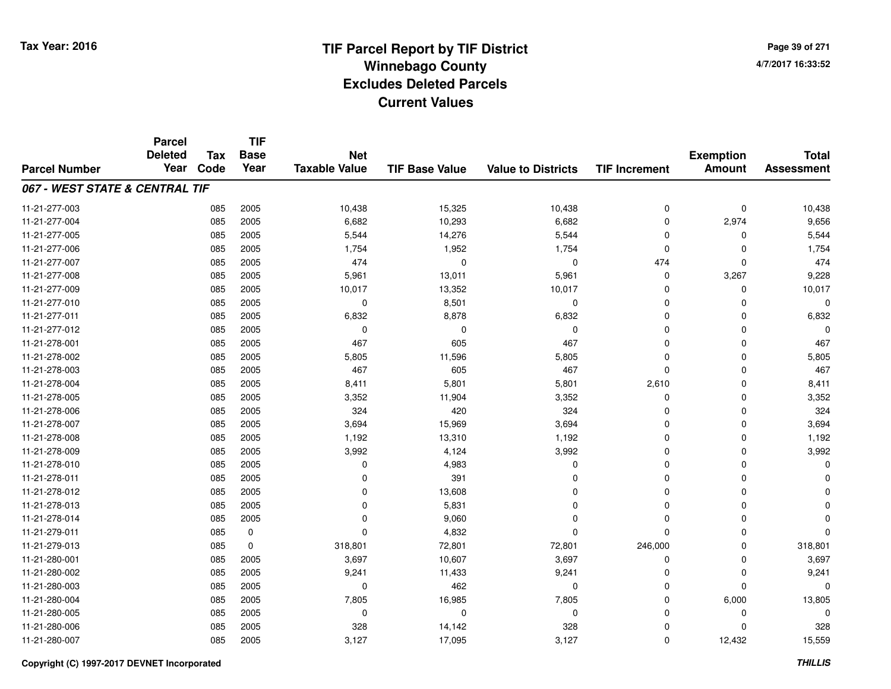**TIF**

**Parcel**

**Page 39 of 2714/7/2017 16:33:52**

| <b>Parcel Number</b>           | <b>ul vu</b><br><b>Deleted</b><br>Year | Tax<br>Code | <b>Base</b><br>Year | <b>Net</b><br><b>Taxable Value</b> | <b>TIF Base Value</b> | <b>Value to Districts</b> | <b>TIF Increment</b> | <b>Exemption</b><br><b>Amount</b> | <b>Total</b><br><b>Assessment</b> |
|--------------------------------|----------------------------------------|-------------|---------------------|------------------------------------|-----------------------|---------------------------|----------------------|-----------------------------------|-----------------------------------|
| 067 - WEST STATE & CENTRAL TIF |                                        |             |                     |                                    |                       |                           |                      |                                   |                                   |
| 11-21-277-003                  |                                        | 085         | 2005                | 10,438                             | 15,325                | 10,438                    | 0                    | $\pmb{0}$                         | 10,438                            |
| 11-21-277-004                  |                                        | 085         | 2005                | 6,682                              | 10,293                | 6,682                     | 0                    | 2,974                             | 9,656                             |
| 11-21-277-005                  |                                        | 085         | 2005                | 5,544                              | 14,276                | 5,544                     | 0                    | $\Omega$                          | 5,544                             |
| 11-21-277-006                  |                                        | 085         | 2005                | 1,754                              | 1,952                 | 1,754                     | 0                    | $\Omega$                          | 1,754                             |
| 11-21-277-007                  |                                        | 085         | 2005                | 474                                | 0                     | 0                         | 474                  | $\Omega$                          | 474                               |
| 11-21-277-008                  |                                        | 085         | 2005                | 5,961                              | 13,011                | 5,961                     | $\mathbf 0$          | 3,267                             | 9,228                             |
| 11-21-277-009                  |                                        | 085         | 2005                | 10,017                             | 13,352                | 10,017                    | $\mathbf 0$          | $\Omega$                          | 10,017                            |
| 11-21-277-010                  |                                        | 085         | 2005                | $\mathbf 0$                        | 8,501                 | $\mathbf 0$               | $\mathbf 0$          | $\Omega$                          | $\Omega$                          |
| 11-21-277-011                  |                                        | 085         | 2005                | 6,832                              | 8,878                 | 6,832                     | $\mathbf 0$          | $\Omega$                          | 6,832                             |
| 11-21-277-012                  |                                        | 085         | 2005                | 0                                  | $\Omega$              | 0                         | $\mathbf 0$          | 0                                 | $\Omega$                          |
| 11-21-278-001                  |                                        | 085         | 2005                | 467                                | 605                   | 467                       | $\mathbf 0$          | 0                                 | 467                               |
| 11-21-278-002                  |                                        | 085         | 2005                | 5,805                              | 11,596                | 5,805                     | $\mathbf 0$          | 0                                 | 5,805                             |
| 11-21-278-003                  |                                        | 085         | 2005                | 467                                | 605                   | 467                       | $\mathbf 0$          | 0                                 | 467                               |
| 11-21-278-004                  |                                        | 085         | 2005                | 8,411                              | 5,801                 | 5,801                     | 2,610                | 0                                 | 8,411                             |
| 11-21-278-005                  |                                        | 085         | 2005                | 3,352                              | 11,904                | 3,352                     | 0                    | 0                                 | 3,352                             |
| 11-21-278-006                  |                                        | 085         | 2005                | 324                                | 420                   | 324                       | $\mathbf 0$          | $\mathbf 0$                       | 324                               |
| 11-21-278-007                  |                                        | 085         | 2005                | 3,694                              | 15,969                | 3,694                     | $\mathbf 0$          | 0                                 | 3,694                             |
| 11-21-278-008                  |                                        | 085         | 2005                | 1,192                              | 13,310                | 1,192                     | $\mathbf 0$          | $\Omega$                          | 1,192                             |
| 11-21-278-009                  |                                        | 085         | 2005                | 3,992                              | 4,124                 | 3,992                     | $\mathbf 0$          | $\Omega$                          | 3,992                             |
| 11-21-278-010                  |                                        | 085         | 2005                | 0                                  | 4,983                 | $\Omega$                  | $\mathbf 0$          | $\Omega$                          | $\Omega$                          |
| 11-21-278-011                  |                                        | 085         | 2005                | $\Omega$                           | 391                   | $\Omega$                  | 0                    | $\Omega$                          | O                                 |
| 11-21-278-012                  |                                        | 085         | 2005                | $\Omega$                           | 13,608                | $\Omega$                  | 0                    | $\Omega$                          | n                                 |
| 11-21-278-013                  |                                        | 085         | 2005                | 0                                  | 5,831                 | $\Omega$                  | 0                    | $\Omega$                          | ŋ                                 |
| 11-21-278-014                  |                                        | 085         | 2005                | $\Omega$                           | 9,060                 | $\Omega$                  | 0                    | 0                                 | 0                                 |
| 11-21-279-011                  |                                        | 085         | $\pmb{0}$           | $\Omega$                           | 4,832                 | $\Omega$                  | 0                    | $\Omega$                          | $\Omega$                          |
| 11-21-279-013                  |                                        | 085         | $\mathbf 0$         | 318,801                            | 72,801                | 72,801                    | 246,000              | $\mathbf 0$                       | 318,801                           |
| 11-21-280-001                  |                                        | 085         | 2005                | 3,697                              | 10,607                | 3,697                     | 0                    | 0                                 | 3,697                             |
| 11-21-280-002                  |                                        | 085         | 2005                | 9,241                              | 11,433                | 9,241                     | $\mathbf 0$          | 0                                 | 9,241                             |
| 11-21-280-003                  |                                        | 085         | 2005                | 0                                  | 462                   | 0                         | $\mathbf 0$          | $\Omega$                          | 0                                 |
| 11-21-280-004                  |                                        | 085         | 2005                | 7,805                              | 16,985                | 7,805                     | 0                    | 6,000                             | 13,805                            |
| 11-21-280-005                  |                                        | 085         | 2005                | 0                                  | 0                     | 0                         | 0                    | 0                                 | $\Omega$                          |
| 11-21-280-006                  |                                        | 085         | 2005                | 328                                | 14,142                | 328                       | 0                    | $\Omega$                          | 328                               |
| 11-21-280-007                  |                                        | 085         | 2005                | 3,127                              | 17,095                | 3,127                     | 0                    | 12,432                            | 15,559                            |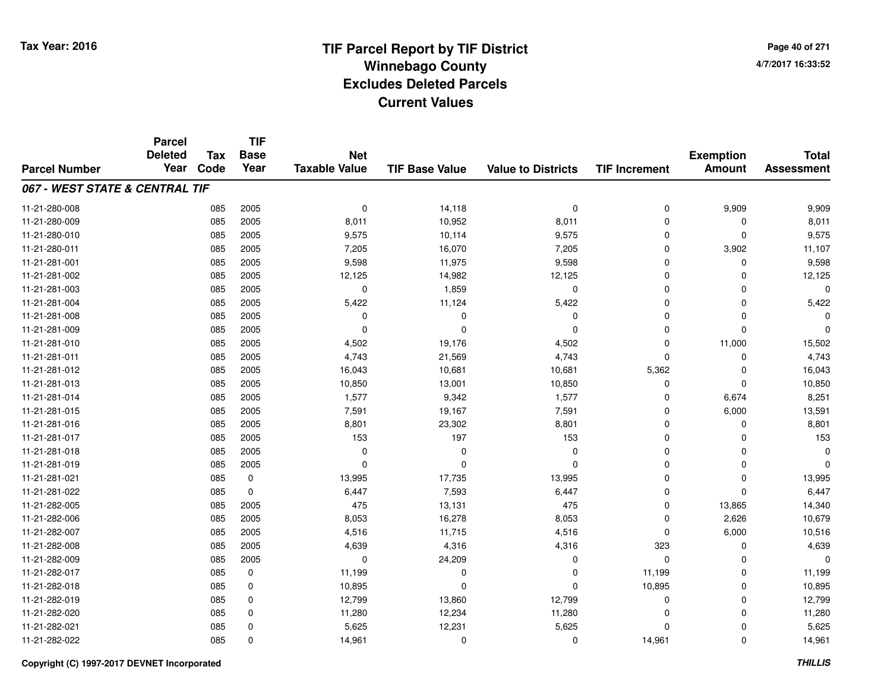**TIF**

**Parcel**

**Page 40 of 2714/7/2017 16:33:52**

| <b>Parcel Number</b>           | <b>Deleted</b><br>Year | <b>Tax</b><br>Code | <b>Base</b><br>Year | <b>Net</b><br><b>Taxable Value</b> | <b>TIF Base Value</b> | <b>Value to Districts</b> | <b>TIF Increment</b> | <b>Exemption</b><br><b>Amount</b> | <b>Total</b><br><b>Assessment</b> |
|--------------------------------|------------------------|--------------------|---------------------|------------------------------------|-----------------------|---------------------------|----------------------|-----------------------------------|-----------------------------------|
| 067 - WEST STATE & CENTRAL TIF |                        |                    |                     |                                    |                       |                           |                      |                                   |                                   |
| 11-21-280-008                  |                        | 085                | 2005                | 0                                  | 14,118                | $\mathbf 0$               | 0                    | 9,909                             | 9,909                             |
| 11-21-280-009                  |                        | 085                | 2005                | 8,011                              | 10,952                | 8,011                     | 0                    | $\Omega$                          | 8,011                             |
| 11-21-280-010                  |                        | 085                | 2005                | 9,575                              | 10,114                | 9,575                     | 0                    | $\Omega$                          | 9,575                             |
| 11-21-280-011                  |                        | 085                | 2005                | 7,205                              | 16,070                | 7,205                     | $\mathbf 0$          | 3,902                             | 11,107                            |
| 11-21-281-001                  |                        | 085                | 2005                | 9,598                              | 11,975                | 9,598                     | 0                    | $\Omega$                          | 9,598                             |
| 11-21-281-002                  |                        | 085                | 2005                | 12,125                             | 14,982                | 12,125                    | 0                    | $\Omega$                          | 12,125                            |
| 11-21-281-003                  |                        | 085                | 2005                | 0                                  | 1,859                 | $\mathbf 0$               | 0                    | $\Omega$                          | $\Omega$                          |
| 11-21-281-004                  |                        | 085                | 2005                | 5,422                              | 11,124                | 5,422                     | 0                    | $\mathbf 0$                       | 5,422                             |
| 11-21-281-008                  |                        | 085                | 2005                | 0                                  | 0                     | 0                         | 0                    | $\Omega$                          | $\Omega$                          |
| 11-21-281-009                  |                        | 085                | 2005                | $\Omega$                           | $\Omega$              | $\mathbf 0$               | 0                    | $\Omega$                          | $\Omega$                          |
| 11-21-281-010                  |                        | 085                | 2005                | 4,502                              | 19,176                | 4,502                     | $\mathbf 0$          | 11,000                            | 15,502                            |
| 11-21-281-011                  |                        | 085                | 2005                | 4,743                              | 21,569                | 4,743                     | $\mathbf 0$          | 0                                 | 4,743                             |
| 11-21-281-012                  |                        | 085                | 2005                | 16,043                             | 10,681                | 10,681                    | 5,362                | $\Omega$                          | 16,043                            |
| 11-21-281-013                  |                        | 085                | 2005                | 10,850                             | 13,001                | 10,850                    | 0                    | 0                                 | 10,850                            |
| 11-21-281-014                  |                        | 085                | 2005                | 1,577                              | 9,342                 | 1,577                     | $\Omega$             | 6,674                             | 8,251                             |
| 11-21-281-015                  |                        | 085                | 2005                | 7,591                              | 19,167                | 7,591                     | $\Omega$             | 6,000                             | 13,591                            |
| 11-21-281-016                  |                        | 085                | 2005                | 8,801                              | 23,302                | 8,801                     | 0                    | $\Omega$                          | 8,801                             |
| 11-21-281-017                  |                        | 085                | 2005                | 153                                | 197                   | 153                       | 0                    | $\Omega$                          | 153                               |
| 11-21-281-018                  |                        | 085                | 2005                | 0                                  | 0                     | $\Omega$                  | 0                    | $\Omega$                          | $\mathbf 0$                       |
| 11-21-281-019                  |                        | 085                | 2005                | $\Omega$                           | $\Omega$              | $\Omega$                  | 0                    | $\Omega$                          | $\Omega$                          |
| 11-21-281-021                  |                        | 085                | 0                   | 13,995                             | 17,735                | 13,995                    | 0                    | $\Omega$                          | 13,995                            |
| 11-21-281-022                  |                        | 085                | 0                   | 6,447                              | 7,593                 | 6,447                     | 0                    | $\Omega$                          | 6,447                             |
| 11-21-282-005                  |                        | 085                | 2005                | 475                                | 13,131                | 475                       | 0                    | 13,865                            | 14,340                            |
| 11-21-282-006                  |                        | 085                | 2005                | 8,053                              | 16,278                | 8,053                     | 0                    | 2,626                             | 10,679                            |
| 11-21-282-007                  |                        | 085                | 2005                | 4,516                              | 11,715                | 4,516                     | $\mathbf 0$          | 6,000                             | 10,516                            |
| 11-21-282-008                  |                        | 085                | 2005                | 4,639                              | 4,316                 | 4,316                     | 323                  | $\Omega$                          | 4,639                             |
| 11-21-282-009                  |                        | 085                | 2005                | $\mathbf 0$                        | 24,209                | 0                         | 0                    | $\Omega$                          | $\Omega$                          |
| 11-21-282-017                  |                        | 085                | 0                   | 11,199                             | 0                     | $\Omega$                  | 11,199               | $\Omega$                          | 11,199                            |
| 11-21-282-018                  |                        | 085                | 0                   | 10,895                             | $\Omega$              | $\Omega$                  | 10,895               | 0                                 | 10,895                            |
| 11-21-282-019                  |                        | 085                | 0                   | 12,799                             | 13,860                | 12,799                    | 0                    | $\Omega$                          | 12,799                            |
| 11-21-282-020                  |                        | 085                | 0                   | 11,280                             | 12,234                | 11,280                    | 0                    | $\Omega$                          | 11,280                            |
| 11-21-282-021                  |                        | 085                | 0                   | 5,625                              | 12,231                | 5,625                     | 0                    | $\Omega$                          | 5,625                             |
| 11-21-282-022                  |                        | 085                | 0                   | 14,961                             | 0                     | 0                         | 14,961               | $\mathbf 0$                       | 14,961                            |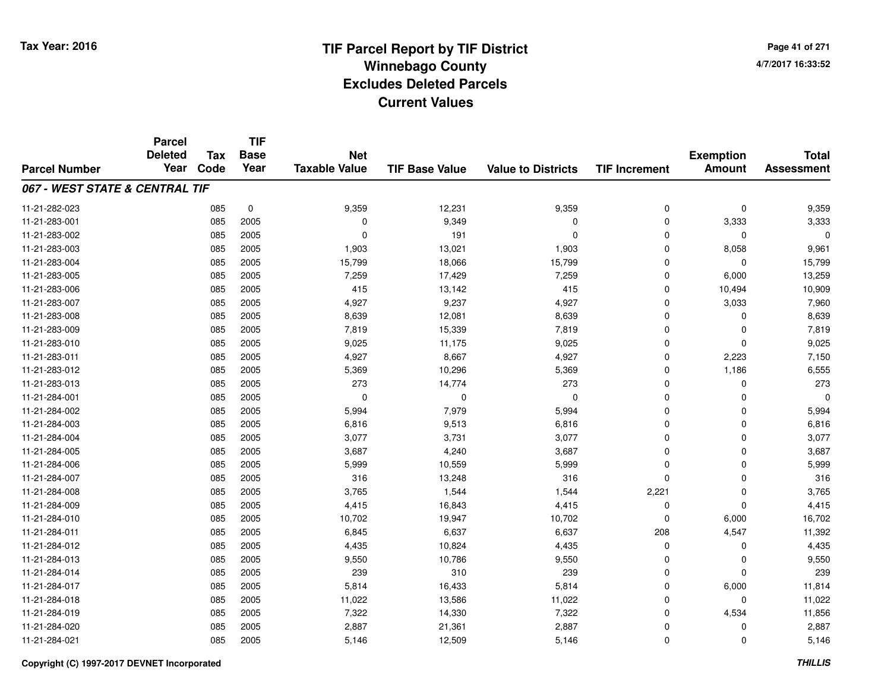**Page 41 of 2714/7/2017 16:33:52**

#### **TIF Base ValueParcel NumberTotal AssessmentExemption Amount Value to Districts TIF IncrementTIF Base YearTax CodeParcel Deleted YearNet Taxable Value067 - WEST STATE & CENTRAL TIF**11-21-282-0233 085 0 9,359 12,231 9,359 0 0 9,359 11-21-283-0011 085 2005 0 9,349 0 0 3,333 3,333 11-21-283-0022 085 2005 0 191 0 0 0 0 11-21-283-0033 085 2005 1,903 13,021 1,903 0 8,058 9,961 11-21-283-004 <sup>085</sup> 15,799 <sup>2005</sup> 18,066 15,799 <sup>0</sup> <sup>0</sup> 15,799 11-21-283-005 <sup>085</sup> 7,259 <sup>2005</sup> 17,429 7,259 <sup>0</sup> 6,000 13,259 11-21-283-0066 085 2005 415 13,142 415 0 10,494 10,909 11-21-283-007 <sup>085</sup> 4,927 <sup>2005</sup> 9,237 4,927 <sup>0</sup> 3,033 7,960 11-21-283-0088 085 2005 8,639 12,081 8,639 0 0 8,639 11-21-283-0099 085 2005 7,819 15,339 7,819 0 7,819 11-21-283-0100 085 2005 9,025 11,175 9,025 0 0 9,025 11-21-283-0111 085 2005 4,927 8,667 4,927 0 2,223 7,150 11-21-283-0122 085 2005 5,369 10,296 5,369 0 1,186 6,555 11-21-283-013 <sup>085</sup> <sup>273</sup> <sup>2005</sup> 14,774 <sup>273</sup> <sup>0</sup> <sup>0</sup> <sup>273</sup> 11-21-284-001 <sup>085</sup> <sup>0</sup> <sup>2005</sup> <sup>0</sup> <sup>0</sup> <sup>0</sup> <sup>0</sup> <sup>0</sup> 11-21-284-0022 085 2005 5,994 7,979 5,994 0 0 5,994 11-21-284-0033 085 2005 6,816 9,513 6,816 0 0 6,816 11-21-284-004 <sup>085</sup> 3,077 <sup>2005</sup> 3,731 3,077 <sup>0</sup> <sup>0</sup> 3,077 11-21-284-005 <sup>085</sup> 3,687 <sup>2005</sup> 4,240 3,687 <sup>0</sup> <sup>0</sup> 3,687 11-21-284-006 <sup>085</sup> 5,999 <sup>2005</sup> 10,559 5,999 <sup>0</sup> <sup>0</sup> 5,999 11-21-284-0077 085 2005 316 13,248 316 0 0 316 11-21-284-008 <sup>085</sup> 3,765 <sup>2005</sup> 1,544 1,544 2,221 <sup>0</sup> 3,765 11-21-284-0099 085 2005 4,415 16,843 4,415 0 0 4,415 11-21-284-0100 085 2005 10,702 19,947 10,702 0 6,000 16,702 11-21-284-0111 085 2005 6,845 6,637 6,637 208 4,547 11,392 11-21-284-0122 085 2005 4,435 10,824 4,435 0 0 4,435 11-21-284-0133 085 2005 9,550 10,786 9,550 0 0 9,550 11-21-284-014 <sup>085</sup> <sup>239</sup> <sup>2005</sup> <sup>310</sup> <sup>239</sup> <sup>0</sup> <sup>0</sup> <sup>239</sup> 11-21-284-0177 085 2005 5,814 16,433 5,814 0 6,000 11,814 11-21-284-0188 085 2005 11,022 13,586 11,022 0 11,022 11-21-284-0199 085 2005 7,322 14,330 7,322 0 4,534 11,856 11-21-284-0200 085 2005 2,887 21,361 2,887 0 0 2,887 11-21-284-0211 085 2005 5,146 12,509 5,146 0 0 5,146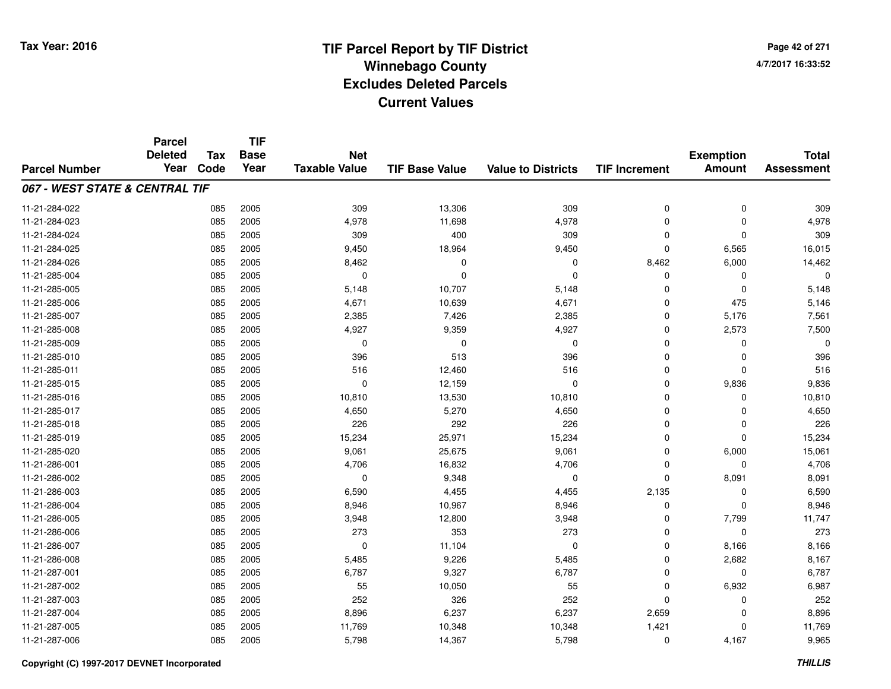**Page 42 of 2714/7/2017 16:33:52**

|                                | <b>Parcel</b><br><b>Deleted</b> | <b>Tax</b> | <b>TIF</b><br><b>Base</b> | <b>Net</b>           |                       |                           |                      | <b>Exemption</b> | <b>Total</b>      |
|--------------------------------|---------------------------------|------------|---------------------------|----------------------|-----------------------|---------------------------|----------------------|------------------|-------------------|
| <b>Parcel Number</b>           | Year                            | Code       | Year                      | <b>Taxable Value</b> | <b>TIF Base Value</b> | <b>Value to Districts</b> | <b>TIF Increment</b> | <b>Amount</b>    | <b>Assessment</b> |
| 067 - WEST STATE & CENTRAL TIF |                                 |            |                           |                      |                       |                           |                      |                  |                   |
| 11-21-284-022                  |                                 | 085        | 2005                      | 309                  | 13,306                | 309                       | 0                    | 0                | 309               |
| 11-21-284-023                  |                                 | 085        | 2005                      | 4,978                | 11,698                | 4,978                     | $\Omega$             | $\mathbf 0$      | 4,978             |
| 11-21-284-024                  |                                 | 085        | 2005                      | 309                  | 400                   | 309                       | $\Omega$             | $\mathbf 0$      | 309               |
| 11-21-284-025                  |                                 | 085        | 2005                      | 9,450                | 18,964                | 9,450                     | $\Omega$             | 6,565            | 16,015            |
| 11-21-284-026                  |                                 | 085        | 2005                      | 8,462                | 0                     | $\mathbf 0$               | 8,462                | 6,000            | 14,462            |
| 11-21-285-004                  |                                 | 085        | 2005                      | $\mathbf 0$          | $\Omega$              | $\mathbf 0$               | $\Omega$             | $\mathbf 0$      |                   |
| 11-21-285-005                  |                                 | 085        | 2005                      | 5,148                | 10,707                | 5,148                     | $\Omega$             | $\mathbf 0$      | 5,148             |
| 11-21-285-006                  |                                 | 085        | 2005                      | 4,671                | 10,639                | 4,671                     | $\Omega$             | 475              | 5,146             |
| 11-21-285-007                  |                                 | 085        | 2005                      | 2,385                | 7,426                 | 2,385                     | $\mathbf 0$          | 5,176            | 7,561             |
| 11-21-285-008                  |                                 | 085        | 2005                      | 4,927                | 9,359                 | 4,927                     | $\Omega$             | 2,573            | 7,500             |
| 11-21-285-009                  |                                 | 085        | 2005                      | $\mathbf 0$          | 0                     | $\mathbf 0$               | $\Omega$             | $\Omega$         |                   |
| 11-21-285-010                  |                                 | 085        | 2005                      | 396                  | 513                   | 396                       | 0                    | $\mathbf 0$      | 396               |
| 11-21-285-011                  |                                 | 085        | 2005                      | 516                  | 12,460                | 516                       | $\Omega$             | $\mathbf 0$      | 516               |
| 11-21-285-015                  |                                 | 085        | 2005                      | 0                    | 12,159                | 0                         | 0                    | 9,836            | 9,836             |
| 11-21-285-016                  |                                 | 085        | 2005                      | 10,810               | 13,530                | 10,810                    | $\Omega$             | 0                | 10,810            |
| 11-21-285-017                  |                                 | 085        | 2005                      | 4,650                | 5,270                 | 4,650                     | $\mathbf 0$          | 0                | 4,650             |
| 11-21-285-018                  |                                 | 085        | 2005                      | 226                  | 292                   | 226                       | $\Omega$             | 0                | 226               |
| 11-21-285-019                  |                                 | 085        | 2005                      | 15,234               | 25,971                | 15,234                    | $\mathbf 0$          | $\mathbf 0$      | 15,234            |
| 11-21-285-020                  |                                 | 085        | 2005                      | 9,061                | 25,675                | 9,061                     | 0                    | 6,000            | 15,061            |
| 11-21-286-001                  |                                 | 085        | 2005                      | 4,706                | 16,832                | 4,706                     | $\mathbf 0$          | $\mathbf 0$      | 4,706             |
| 11-21-286-002                  |                                 | 085        | 2005                      | 0                    | 9,348                 | 0                         | $\mathbf 0$          | 8,091            | 8,091             |
| 11-21-286-003                  |                                 | 085        | 2005                      | 6,590                | 4,455                 | 4,455                     | 2,135                | $\mathbf 0$      | 6,590             |
| 11-21-286-004                  |                                 | 085        | 2005                      | 8,946                | 10,967                | 8,946                     | 0                    | $\mathbf 0$      | 8,946             |
| 11-21-286-005                  |                                 | 085        | 2005                      | 3,948                | 12,800                | 3,948                     | $\Omega$             | 7,799            | 11,747            |
| 11-21-286-006                  |                                 | 085        | 2005                      | 273                  | 353                   | 273                       | $\mathbf 0$          | $\mathbf 0$      | 273               |
| 11-21-286-007                  |                                 | 085        | 2005                      | $\mathbf 0$          | 11,104                | $\mathbf 0$               | $\mathbf 0$          | 8,166            | 8,166             |
| 11-21-286-008                  |                                 | 085        | 2005                      | 5,485                | 9,226                 | 5,485                     | $\mathbf 0$          | 2,682            | 8,167             |
| 11-21-287-001                  |                                 | 085        | 2005                      | 6,787                | 9,327                 | 6,787                     | 0                    | $\mathbf 0$      | 6,787             |
| 11-21-287-002                  |                                 | 085        | 2005                      | 55                   | 10,050                | 55                        | $\mathbf 0$          | 6,932            | 6,987             |
| 11-21-287-003                  |                                 | 085        | 2005                      | 252                  | 326                   | 252                       | $\Omega$             | 0                | 252               |
| 11-21-287-004                  |                                 | 085        | 2005                      | 8,896                | 6,237                 | 6,237                     | 2,659                | $\mathbf 0$      | 8,896             |
| 11-21-287-005                  |                                 | 085        | 2005                      | 11,769               | 10,348                | 10,348                    | 1,421                | $\mathbf 0$      | 11,769            |
| 11-21-287-006                  |                                 | 085        | 2005                      | 5,798                | 14,367                | 5,798                     | $\Omega$             | 4,167            | 9,965             |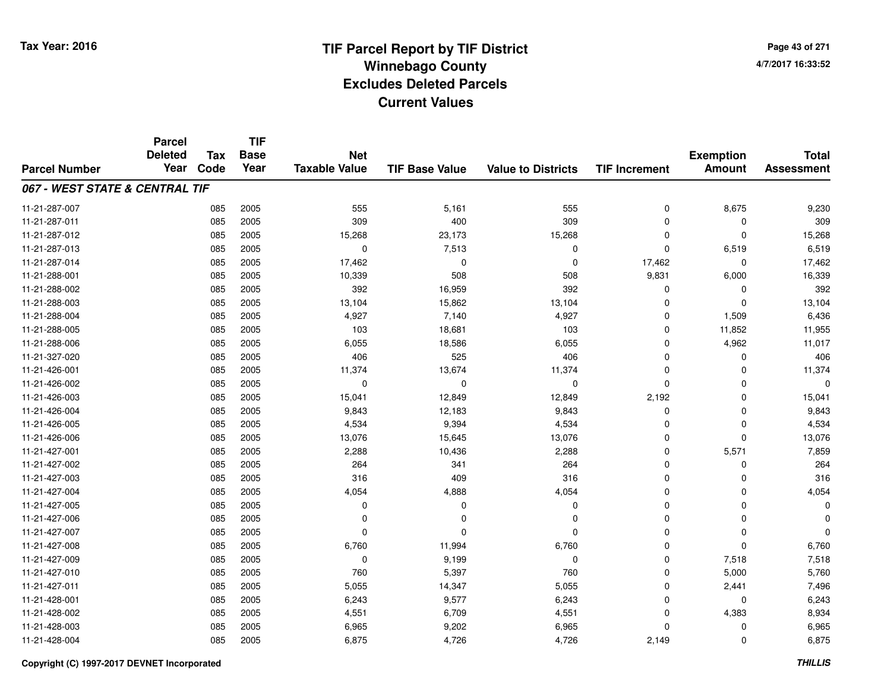**TIF**

**Parcel**

**Page 43 of 2714/7/2017 16:33:52**

| <b>Parcel Number</b>           | <b>Deleted</b><br>Year | <b>Tax</b><br>Code | .<br><b>Base</b><br>Year | <b>Net</b><br><b>Taxable Value</b> | <b>TIF Base Value</b> | <b>Value to Districts</b> | <b>TIF Increment</b> | <b>Exemption</b><br><b>Amount</b> | <b>Total</b><br><b>Assessment</b> |
|--------------------------------|------------------------|--------------------|--------------------------|------------------------------------|-----------------------|---------------------------|----------------------|-----------------------------------|-----------------------------------|
| 067 - WEST STATE & CENTRAL TIF |                        |                    |                          |                                    |                       |                           |                      |                                   |                                   |
| 11-21-287-007                  |                        | 085                | 2005                     | 555                                | 5,161                 | 555                       | $\mathbf 0$          | 8,675                             | 9,230                             |
| 11-21-287-011                  |                        | 085                | 2005                     | 309                                | 400                   | 309                       | $\Omega$             | 0                                 | 309                               |
| 11-21-287-012                  |                        | 085                | 2005                     | 15,268                             | 23,173                | 15,268                    | $\Omega$             | $\mathbf 0$                       | 15,268                            |
| 11-21-287-013                  |                        | 085                | 2005                     | $\Omega$                           | 7,513                 | 0                         | $\Omega$             | 6,519                             | 6,519                             |
| 11-21-287-014                  |                        | 085                | 2005                     | 17,462                             | 0                     | 0                         | 17,462               | 0                                 | 17,462                            |
| 11-21-288-001                  |                        | 085                | 2005                     | 10,339                             | 508                   | 508                       | 9,831                | 6,000                             | 16,339                            |
| 11-21-288-002                  |                        | 085                | 2005                     | 392                                | 16,959                | 392                       | 0                    | $\mathbf 0$                       | 392                               |
| 11-21-288-003                  |                        | 085                | 2005                     | 13,104                             | 15,862                | 13,104                    | $\Omega$             | $\Omega$                          | 13,104                            |
| 11-21-288-004                  |                        | 085                | 2005                     | 4,927                              | 7,140                 | 4,927                     | $\Omega$             | 1,509                             | 6,436                             |
| 11-21-288-005                  |                        | 085                | 2005                     | 103                                | 18,681                | 103                       | 0                    | 11,852                            | 11,955                            |
| 11-21-288-006                  |                        | 085                | 2005                     | 6,055                              | 18,586                | 6,055                     | 0                    | 4,962                             | 11,017                            |
| 11-21-327-020                  |                        | 085                | 2005                     | 406                                | 525                   | 406                       | $\Omega$             | 0                                 | 406                               |
| 11-21-426-001                  |                        | 085                | 2005                     | 11,374                             | 13,674                | 11,374                    | $\Omega$             | $\mathbf 0$                       | 11,374                            |
| 11-21-426-002                  |                        | 085                | 2005                     | 0                                  | 0                     | 0                         | $\Omega$             | $\mathbf 0$                       |                                   |
| 11-21-426-003                  |                        | 085                | 2005                     | 15,041                             | 12,849                | 12,849                    | 2,192                | $\Omega$                          | 15,041                            |
| 11-21-426-004                  |                        | 085                | 2005                     | 9,843                              | 12,183                | 9,843                     | 0                    | $\Omega$                          | 9,843                             |
| 11-21-426-005                  |                        | 085                | 2005                     | 4,534                              | 9,394                 | 4,534                     | $\Omega$             | $\Omega$                          | 4,534                             |
| 11-21-426-006                  |                        | 085                | 2005                     | 13,076                             | 15,645                | 13,076                    | $\Omega$             | $\Omega$                          | 13,076                            |
| 11-21-427-001                  |                        | 085                | 2005                     | 2,288                              | 10,436                | 2,288                     | 0                    | 5,571                             | 7,859                             |
| 11-21-427-002                  |                        | 085                | 2005                     | 264                                | 341                   | 264                       | $\Omega$             | $\mathbf 0$                       | 264                               |
| 11-21-427-003                  |                        | 085                | 2005                     | 316                                | 409                   | 316                       | $\Omega$             | $\Omega$                          | 316                               |
| 11-21-427-004                  |                        | 085                | 2005                     | 4,054                              | 4,888                 | 4,054                     | $\Omega$             | $\mathbf 0$                       | 4,054                             |
| 11-21-427-005                  |                        | 085                | 2005                     | 0                                  | 0                     | 0                         | $\Omega$             | $\mathbf 0$                       | O                                 |
| 11-21-427-006                  |                        | 085                | 2005                     | 0                                  | 0                     | $\mathbf 0$               | $\Omega$             | $\mathbf 0$                       |                                   |
| 11-21-427-007                  |                        | 085                | 2005                     | $\Omega$                           | $\Omega$              | $\Omega$                  | $\Omega$             | $\Omega$                          |                                   |
| 11-21-427-008                  |                        | 085                | 2005                     | 6,760                              | 11,994                | 6,760                     | $\Omega$             | $\Omega$                          | 6,760                             |
| 11-21-427-009                  |                        | 085                | 2005                     | $\Omega$                           | 9,199                 | $\mathbf 0$               | $\Omega$             | 7,518                             | 7,518                             |
| 11-21-427-010                  |                        | 085                | 2005                     | 760                                | 5,397                 | 760                       | 0                    | 5,000                             | 5,760                             |
| 11-21-427-011                  |                        | 085                | 2005                     | 5,055                              | 14,347                | 5,055                     | $\Omega$             | 2,441                             | 7,496                             |
| 11-21-428-001                  |                        | 085                | 2005                     | 6,243                              | 9,577                 | 6,243                     | $\Omega$             | $\mathbf 0$                       | 6,243                             |
| 11-21-428-002                  |                        | 085                | 2005                     | 4,551                              | 6,709                 | 4,551                     | $\Omega$             | 4,383                             | 8,934                             |
| 11-21-428-003                  |                        | 085                | 2005                     | 6,965                              | 9,202                 | 6,965                     | $\Omega$             | $\mathbf 0$                       | 6,965                             |
| 11-21-428-004                  |                        | 085                | 2005                     | 6,875                              | 4,726                 | 4,726                     | 2,149                | 0                                 | 6,875                             |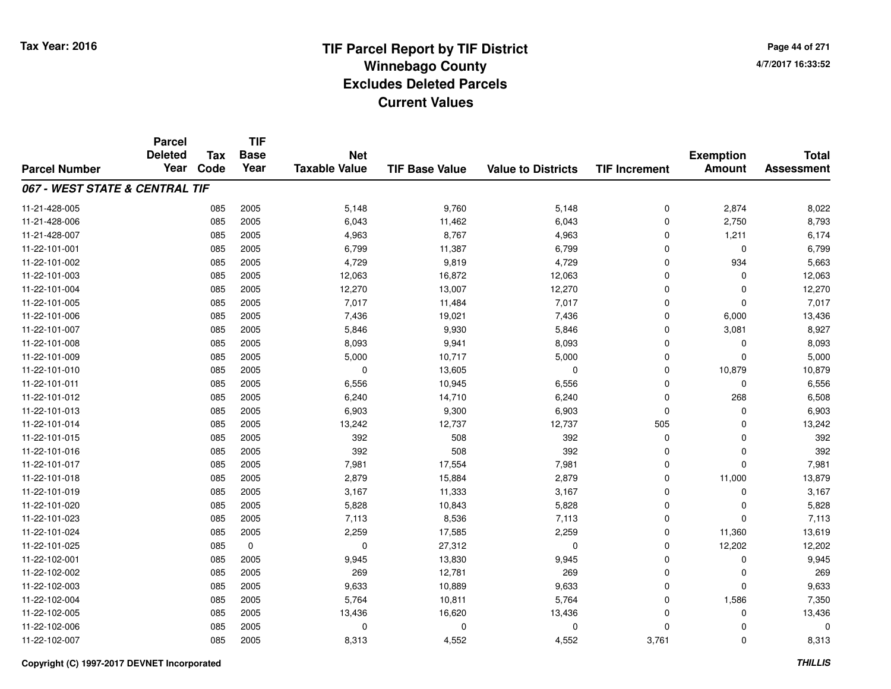**TIF**

**Parcel**

**Page 44 of 2714/7/2017 16:33:52**

| <b>Parcel Number</b>           | <b>Deleted</b><br>Year | Tax<br>Code | <b>Base</b><br>Year | <b>Net</b><br><b>Taxable Value</b> | <b>TIF Base Value</b> | <b>Value to Districts</b> | <b>TIF Increment</b> | <b>Exemption</b><br><b>Amount</b> | <b>Total</b><br><b>Assessment</b> |
|--------------------------------|------------------------|-------------|---------------------|------------------------------------|-----------------------|---------------------------|----------------------|-----------------------------------|-----------------------------------|
| 067 - WEST STATE & CENTRAL TIF |                        |             |                     |                                    |                       |                           |                      |                                   |                                   |
| 11-21-428-005                  |                        | 085         | 2005                | 5,148                              | 9,760                 | 5,148                     | 0                    | 2,874                             | 8,022                             |
| 11-21-428-006                  |                        | 085         | 2005                | 6,043                              | 11,462                | 6,043                     | 0                    | 2,750                             | 8,793                             |
| 11-21-428-007                  |                        | 085         | 2005                | 4,963                              | 8,767                 | 4,963                     | 0                    | 1,211                             | 6,174                             |
| 11-22-101-001                  |                        | 085         | 2005                | 6,799                              | 11,387                | 6,799                     | $\mathbf 0$          | $\mathbf 0$                       | 6,799                             |
| 11-22-101-002                  |                        | 085         | 2005                | 4,729                              | 9,819                 | 4,729                     | 0                    | 934                               | 5,663                             |
| 11-22-101-003                  |                        | 085         | 2005                | 12,063                             | 16,872                | 12,063                    | $\mathbf 0$          | $\Omega$                          | 12,063                            |
| 11-22-101-004                  |                        | 085         | 2005                | 12,270                             | 13,007                | 12,270                    | 0                    | $\Omega$                          | 12,270                            |
| 11-22-101-005                  |                        | 085         | 2005                | 7,017                              | 11,484                | 7,017                     | 0                    | $\Omega$                          | 7,017                             |
| 11-22-101-006                  |                        | 085         | 2005                | 7,436                              | 19,021                | 7,436                     | 0                    | 6,000                             | 13,436                            |
| 11-22-101-007                  |                        | 085         | 2005                | 5,846                              | 9,930                 | 5,846                     | 0                    | 3,081                             | 8,927                             |
| 11-22-101-008                  |                        | 085         | 2005                | 8,093                              | 9,941                 | 8,093                     | $\mathbf 0$          | $\Omega$                          | 8,093                             |
| 11-22-101-009                  |                        | 085         | 2005                | 5,000                              | 10,717                | 5,000                     | $\mathbf 0$          | $\Omega$                          | 5,000                             |
| 11-22-101-010                  |                        | 085         | 2005                | $\mathbf 0$                        | 13,605                | $\mathbf 0$               | $\mathbf 0$          | 10,879                            | 10,879                            |
| 11-22-101-011                  |                        | 085         | 2005                | 6,556                              | 10,945                | 6,556                     | 0                    | 0                                 | 6,556                             |
| 11-22-101-012                  |                        | 085         | 2005                | 6,240                              | 14,710                | 6,240                     | 0                    | 268                               | 6,508                             |
| 11-22-101-013                  |                        | 085         | 2005                | 6,903                              | 9,300                 | 6,903                     | 0                    | 0                                 | 6,903                             |
| 11-22-101-014                  |                        | 085         | 2005                | 13,242                             | 12,737                | 12,737                    | 505                  | $\Omega$                          | 13,242                            |
| 11-22-101-015                  |                        | 085         | 2005                | 392                                | 508                   | 392                       | 0                    | 0                                 | 392                               |
| 11-22-101-016                  |                        | 085         | 2005                | 392                                | 508                   | 392                       | $\mathbf 0$          | $\mathbf 0$                       | 392                               |
| 11-22-101-017                  |                        | 085         | 2005                | 7,981                              | 17,554                | 7,981                     | $\mathbf 0$          | $\Omega$                          | 7,981                             |
| 11-22-101-018                  |                        | 085         | 2005                | 2,879                              | 15,884                | 2,879                     | $\mathbf 0$          | 11,000                            | 13,879                            |
| 11-22-101-019                  |                        | 085         | 2005                | 3,167                              | 11,333                | 3,167                     | 0                    | $\Omega$                          | 3,167                             |
| 11-22-101-020                  |                        | 085         | 2005                | 5,828                              | 10,843                | 5,828                     | 0                    | $\Omega$                          | 5,828                             |
| 11-22-101-023                  |                        | 085         | 2005                | 7,113                              | 8,536                 | 7,113                     | 0                    | $\Omega$                          | 7,113                             |
| 11-22-101-024                  |                        | 085         | 2005                | 2,259                              | 17,585                | 2,259                     | 0                    | 11,360                            | 13,619                            |
| 11-22-101-025                  |                        | 085         | 0                   | $\Omega$                           | 27,312                | $\mathbf 0$               | 0                    | 12,202                            | 12,202                            |
| 11-22-102-001                  |                        | 085         | 2005                | 9,945                              | 13,830                | 9,945                     | $\mathbf 0$          | $\Omega$                          | 9,945                             |
| 11-22-102-002                  |                        | 085         | 2005                | 269                                | 12,781                | 269                       | $\mathbf 0$          | $\Omega$                          | 269                               |
| 11-22-102-003                  |                        | 085         | 2005                | 9,633                              | 10,889                | 9,633                     | 0                    | $\Omega$                          | 9,633                             |
| 11-22-102-004                  |                        | 085         | 2005                | 5,764                              | 10,811                | 5,764                     | $\mathbf 0$          | 1,586                             | 7,350                             |
| 11-22-102-005                  |                        | 085         | 2005                | 13,436                             | 16,620                | 13,436                    | 0                    | $\Omega$                          | 13,436                            |
| 11-22-102-006                  |                        | 085         | 2005                | 0                                  | $\Omega$              | $\mathbf 0$               | 0                    | $\Omega$                          | 0                                 |
| 11-22-102-007                  |                        | 085         | 2005                | 8,313                              | 4,552                 | 4,552                     | 3,761                | 0                                 | 8,313                             |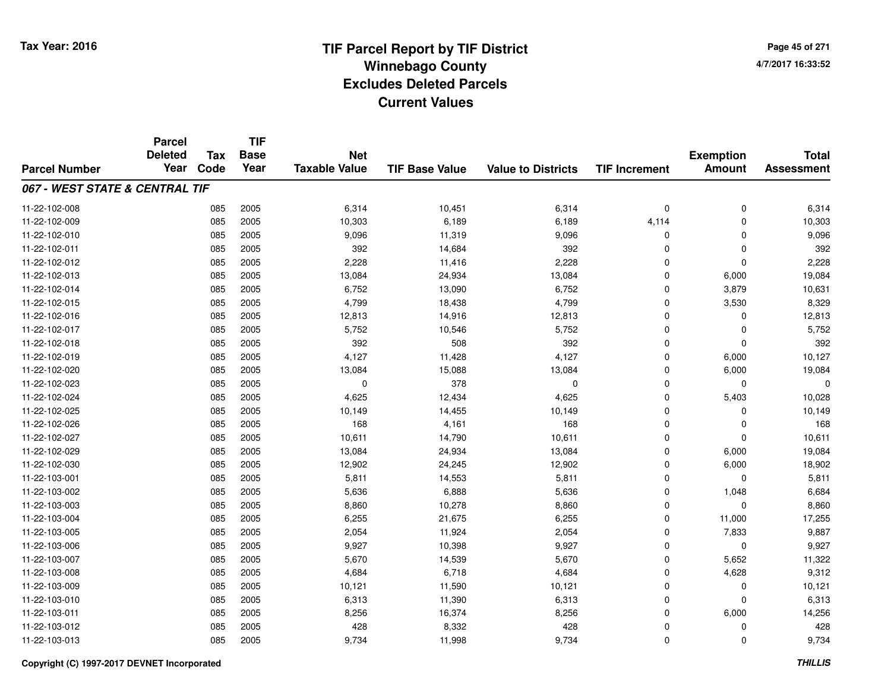**Page 45 of 2714/7/2017 16:33:52**

|                                | <b>Parcel</b>          |                    | <b>TIF</b>          |                                    |                       |                           |                      |                                   |                                   |
|--------------------------------|------------------------|--------------------|---------------------|------------------------------------|-----------------------|---------------------------|----------------------|-----------------------------------|-----------------------------------|
| <b>Parcel Number</b>           | <b>Deleted</b><br>Year | <b>Tax</b><br>Code | <b>Base</b><br>Year | <b>Net</b><br><b>Taxable Value</b> | <b>TIF Base Value</b> | <b>Value to Districts</b> | <b>TIF Increment</b> | <b>Exemption</b><br><b>Amount</b> | <b>Total</b><br><b>Assessment</b> |
|                                |                        |                    |                     |                                    |                       |                           |                      |                                   |                                   |
| 067 - WEST STATE & CENTRAL TIF |                        |                    |                     |                                    |                       |                           |                      |                                   |                                   |
| 11-22-102-008                  |                        | 085                | 2005                | 6,314                              | 10,451                | 6,314                     | $\mathbf 0$          | $\mathbf 0$                       | 6,314                             |
| 11-22-102-009                  |                        | 085                | 2005                | 10,303                             | 6,189                 | 6,189                     | 4,114                | $\Omega$                          | 10,303                            |
| 11-22-102-010                  |                        | 085                | 2005                | 9,096                              | 11,319                | 9,096                     | 0                    | 0                                 | 9,096                             |
| 11-22-102-011                  |                        | 085                | 2005                | 392                                | 14,684                | 392                       | $\Omega$             | $\mathbf{0}$                      | 392                               |
| 11-22-102-012                  |                        | 085                | 2005                | 2,228                              | 11,416                | 2,228                     | $\mathbf 0$          | $\mathbf{0}$                      | 2,228                             |
| 11-22-102-013                  |                        | 085                | 2005                | 13,084                             | 24,934                | 13,084                    | $\Omega$             | 6,000                             | 19,084                            |
| 11-22-102-014                  |                        | 085                | 2005                | 6,752                              | 13,090                | 6,752                     | $\mathbf 0$          | 3,879                             | 10,631                            |
| 11-22-102-015                  |                        | 085                | 2005                | 4,799                              | 18,438                | 4,799                     | $\Omega$             | 3,530                             | 8,329                             |
| 11-22-102-016                  |                        | 085                | 2005                | 12,813                             | 14,916                | 12,813                    | $\mathbf 0$          | $\mathbf{0}$                      | 12,813                            |
| 11-22-102-017                  |                        | 085                | 2005                | 5,752                              | 10,546                | 5,752                     | $\mathbf 0$          | 0                                 | 5,752                             |
| 11-22-102-018                  |                        | 085                | 2005                | 392                                | 508                   | 392                       | $\Omega$             | $\Omega$                          | 392                               |
| 11-22-102-019                  |                        | 085                | 2005                | 4,127                              | 11,428                | 4,127                     | 0                    | 6,000                             | 10,127                            |
| 11-22-102-020                  |                        | 085                | 2005                | 13,084                             | 15,088                | 13,084                    | $\Omega$             | 6,000                             | 19,084                            |
| 11-22-102-023                  |                        | 085                | 2005                | $\Omega$                           | 378                   | 0                         | $\mathbf 0$          | 0                                 | $\Omega$                          |
| 11-22-102-024                  |                        | 085                | 2005                | 4,625                              | 12,434                | 4,625                     | $\mathbf 0$          | 5,403                             | 10,028                            |
| 11-22-102-025                  |                        | 085                | 2005                | 10,149                             | 14,455                | 10,149                    | $\mathbf 0$          | 0                                 | 10,149                            |
| 11-22-102-026                  |                        | 085                | 2005                | 168                                | 4,161                 | 168                       | $\mathbf 0$          | 0                                 | 168                               |
| 11-22-102-027                  |                        | 085                | 2005                | 10,611                             | 14,790                | 10,611                    | $\mathbf 0$          | $\mathbf 0$                       | 10,611                            |
| 11-22-102-029                  |                        | 085                | 2005                | 13,084                             | 24,934                | 13,084                    | $\mathbf 0$          | 6,000                             | 19,084                            |
| 11-22-102-030                  |                        | 085                | 2005                | 12,902                             | 24,245                | 12,902                    | $\mathbf 0$          | 6,000                             | 18,902                            |
| 11-22-103-001                  |                        | 085                | 2005                | 5,811                              | 14,553                | 5,811                     | $\mathbf 0$          | $\mathbf 0$                       | 5,811                             |
| 11-22-103-002                  |                        | 085                | 2005                | 5,636                              | 6,888                 | 5,636                     | $\mathbf 0$          | 1,048                             | 6,684                             |
| 11-22-103-003                  |                        | 085                | 2005                | 8,860                              | 10,278                | 8,860                     | $\mathbf 0$          | $\mathbf 0$                       | 8,860                             |
| 11-22-103-004                  |                        | 085                | 2005                | 6,255                              | 21,675                | 6,255                     | $\mathbf 0$          | 11,000                            | 17,255                            |
| 11-22-103-005                  |                        | 085                | 2005                | 2,054                              | 11,924                | 2,054                     | $\mathbf 0$          | 7,833                             | 9,887                             |
| 11-22-103-006                  |                        | 085                | 2005                | 9,927                              | 10,398                | 9,927                     | $\mathbf 0$          | $\mathbf 0$                       | 9,927                             |
| 11-22-103-007                  |                        | 085                | 2005                | 5,670                              | 14,539                | 5,670                     | $\mathbf 0$          | 5,652                             | 11,322                            |
| 11-22-103-008                  |                        | 085                | 2005                | 4,684                              | 6,718                 | 4,684                     | $\mathbf 0$          | 4,628                             | 9,312                             |
| 11-22-103-009                  |                        | 085                | 2005                | 10,121                             | 11,590                | 10,121                    | $\mathbf 0$          | 0                                 | 10,121                            |
| 11-22-103-010                  |                        | 085                | 2005                | 6,313                              | 11,390                | 6,313                     | $\mathbf 0$          | 0                                 | 6,313                             |
| 11-22-103-011                  |                        | 085                | 2005                | 8,256                              | 16,374                | 8,256                     | $\Omega$             | 6,000                             | 14,256                            |
| 11-22-103-012                  |                        | 085                | 2005                | 428                                | 8,332                 | 428                       | 0                    | $\Omega$                          | 428                               |
| 11-22-103-013                  |                        | 085                | 2005                | 9,734                              | 11,998                | 9,734                     | $\Omega$             | $\Omega$                          | 9,734                             |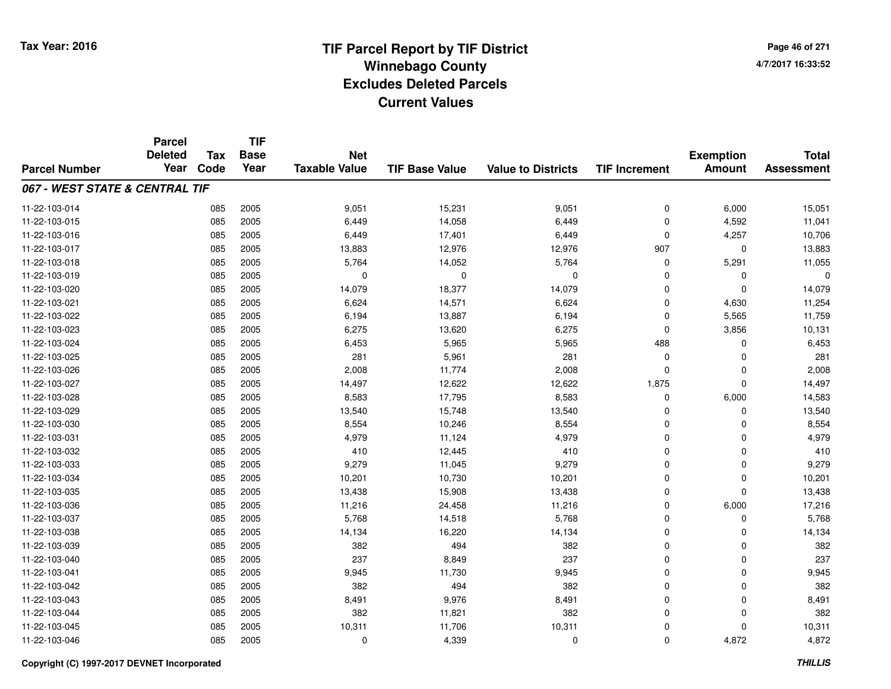**TIF**

**Parcel**

**Page 46 of 2714/7/2017 16:33:52**

#### **TIF Base ValueParcel NumberTotal AssessmentExemption Amount Value to Districts TIF Increment Base YearTax Code Deleted YearNet Taxable Value067 - WEST STATE & CENTRAL TIF**11-22-103-014 <sup>085</sup> 9,051 <sup>2005</sup> 15,231 9,051 <sup>0</sup> 6,000 15,051 11-22-103-015 <sup>085</sup> 6,449 <sup>2005</sup> 14,058 6,449 <sup>0</sup> 4,592 11,041 11-22-103-0166 085 2005 6,449 17,401 6,449 0 4,257 10,706 11-22-103-017 <sup>085</sup> 13,883 <sup>2005</sup> 12,976 12,976 <sup>907</sup> <sup>0</sup> 13,883 11-22-103-018 <sup>085</sup> 5,764 <sup>2005</sup> 14,052 5,764 <sup>0</sup> 5,291 11,055 11-22-103-019 <sup>085</sup> <sup>0</sup> <sup>2005</sup> <sup>0</sup> <sup>0</sup> <sup>0</sup> <sup>0</sup> <sup>0</sup> 11-22-103-0200 085 2005 14,079 18,377 14,079 0 0 14,079 11-22-103-0211 085 2005 6,624 14,571 6,624 0 4,630 11,254 11-22-103-0222 085 2005 6,194 13,887 6,194 0 5,565 11,759 11-22-103-0233 085 2005 6,275 13,620 6,275 0 3,856 10,131 11-22-103-024 <sup>085</sup> 6,453 <sup>2005</sup> 5,965 5,965 <sup>488</sup> <sup>0</sup> 6,453 11-22-103-025 <sup>085</sup> <sup>281</sup> <sup>2005</sup> 5,961 <sup>281</sup> <sup>0</sup> <sup>0</sup> <sup>281</sup> 11-22-103-026 <sup>085</sup> 2,008 <sup>2005</sup> 11,774 2,008 <sup>0</sup> <sup>0</sup> 2,008 11-22-103-027 <sup>085</sup> 14,497 <sup>2005</sup> 12,622 12,622 1,875 <sup>0</sup> 14,497 11-22-103-0288 085 2005 8,583 17,795 8,583 0 6,000 14,583 11-22-103-0299 085 2005 13,540 15,748 13,540 0 0 13,540 11-22-103-0300 085 2005 8,554 10,246 8,554 0 0 8,554 11-22-103-0311 085 2005 4,979 11,124 4,979 0 0 4,979 11-22-103-0322 085 2005 410 12,445 410 0 0 410 11-22-103-0333 085 2005 9,279 11,045 9,279 0 0 9,279 11-22-103-034 <sup>085</sup> 10,201 <sup>2005</sup> 10,730 10,201 <sup>0</sup> <sup>0</sup> 10,201 11-22-103-035 <sup>085</sup> 13,438 <sup>2005</sup> 15,908 13,438 <sup>0</sup> <sup>0</sup> 13,438 11-22-103-036 <sup>085</sup> 11,216 <sup>2005</sup> 24,458 11,216 <sup>0</sup> 6,000 17,216 11-22-103-037 <sup>085</sup> 5,768 <sup>2005</sup> 14,518 5,768 <sup>0</sup> <sup>0</sup> 5,768 11-22-103-0388 085 2005 14,134 16,220 14,134 0 0 14,134 11-22-103-0399 085 2005 382 494 382 0 0 382 11-22-103-0400 085 2005 237 8,849 237 0 0 237 11-22-103-0411 085 2005 9,945 11,730 9,945 0 0 9,945 11-22-103-0422 085 2005 382 494 382 0 0 382 11-22-103-0433 085 2005 8,491 9,976 8,491 0 0 8,491 11-22-103-044 <sup>085</sup> <sup>382</sup> <sup>2005</sup> 11,821 <sup>382</sup> <sup>0</sup> <sup>0</sup> <sup>382</sup> 11-22-103-045 <sup>085</sup> 10,311 <sup>2005</sup> 11,706 10,311 <sup>0</sup> <sup>0</sup> 10,311 11-22-103-046<sup>085</sup> <sup>0</sup> <sup>2005</sup> 4,339 <sup>0</sup> <sup>0</sup> 4,872 4,872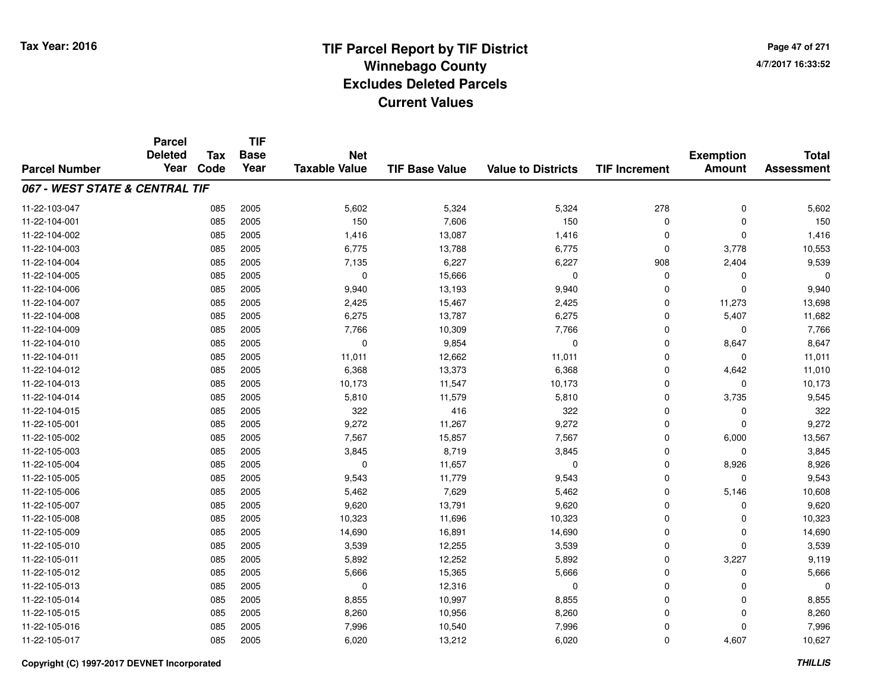**TIF**

**Parcel**

**Page 47 of 2714/7/2017 16:33:52**

| <b>Parcel Number</b>           | <b>Deleted</b><br>Year | Tax<br>Code | <b>Base</b><br>Year | <b>Net</b><br><b>Taxable Value</b> | <b>TIF Base Value</b> | <b>Value to Districts</b> | <b>TIF Increment</b> | <b>Exemption</b><br><b>Amount</b> | <b>Total</b><br><b>Assessment</b> |
|--------------------------------|------------------------|-------------|---------------------|------------------------------------|-----------------------|---------------------------|----------------------|-----------------------------------|-----------------------------------|
| 067 - WEST STATE & CENTRAL TIF |                        |             |                     |                                    |                       |                           |                      |                                   |                                   |
| 11-22-103-047                  |                        | 085         | 2005                | 5,602                              | 5,324                 | 5,324                     | 278                  | $\mathbf 0$                       | 5,602                             |
| 11-22-104-001                  |                        | 085         | 2005                | 150                                | 7,606                 | 150                       | 0                    | $\mathbf 0$                       | 150                               |
| 11-22-104-002                  |                        | 085         | 2005                | 1,416                              | 13,087                | 1,416                     | 0                    | $\mathbf 0$                       | 1,416                             |
| 11-22-104-003                  |                        | 085         | 2005                | 6,775                              | 13,788                | 6,775                     | $\Omega$             | 3,778                             | 10,553                            |
| 11-22-104-004                  |                        | 085         | 2005                | 7,135                              | 6,227                 | 6,227                     | 908                  | 2,404                             | 9,539                             |
| 11-22-104-005                  |                        | 085         | 2005                | $\mathbf 0$                        | 15,666                | $\mathbf 0$               | 0                    | $\Omega$                          | $\Omega$                          |
| 11-22-104-006                  |                        | 085         | 2005                | 9,940                              | 13,193                | 9,940                     | 0                    | $\Omega$                          | 9,940                             |
| 11-22-104-007                  |                        | 085         | 2005                | 2,425                              | 15,467                | 2,425                     | 0                    | 11,273                            | 13,698                            |
| 11-22-104-008                  |                        | 085         | 2005                | 6,275                              | 13,787                | 6,275                     | 0                    | 5,407                             | 11,682                            |
| 11-22-104-009                  |                        | 085         | 2005                | 7,766                              | 10,309                | 7,766                     | 0                    | 0                                 | 7,766                             |
| 11-22-104-010                  |                        | 085         | 2005                | $\mathbf 0$                        | 9,854                 | $\mathbf 0$               | $\mathbf 0$          | 8,647                             | 8,647                             |
| 11-22-104-011                  |                        | 085         | 2005                | 11,011                             | 12,662                | 11,011                    | $\mathbf 0$          | $\Omega$                          | 11,011                            |
| 11-22-104-012                  |                        | 085         | 2005                | 6,368                              | 13,373                | 6,368                     | $\mathbf 0$          | 4,642                             | 11,010                            |
| 11-22-104-013                  |                        | 085         | 2005                | 10,173                             | 11,547                | 10,173                    | $\mathbf 0$          | 0                                 | 10,173                            |
| 11-22-104-014                  |                        | 085         | 2005                | 5,810                              | 11,579                | 5,810                     | 0                    | 3,735                             | 9,545                             |
| 11-22-104-015                  |                        | 085         | 2005                | 322                                | 416                   | 322                       | 0                    | 0                                 | 322                               |
| 11-22-105-001                  |                        | 085         | 2005                | 9,272                              | 11,267                | 9,272                     | 0                    | $\Omega$                          | 9,272                             |
| 11-22-105-002                  |                        | 085         | 2005                | 7,567                              | 15,857                | 7,567                     | 0                    | 6,000                             | 13,567                            |
| 11-22-105-003                  |                        | 085         | 2005                | 3,845                              | 8,719                 | 3,845                     | $\mathbf 0$          | $\Omega$                          | 3,845                             |
| 11-22-105-004                  |                        | 085         | 2005                | $\mathbf 0$                        | 11,657                | $\mathbf 0$               | $\mathbf 0$          | 8,926                             | 8,926                             |
| 11-22-105-005                  |                        | 085         | 2005                | 9,543                              | 11,779                | 9,543                     | $\mathbf 0$          | $\Omega$                          | 9,543                             |
| 11-22-105-006                  |                        | 085         | 2005                | 5,462                              | 7,629                 | 5,462                     | $\mathbf 0$          | 5,146                             | 10,608                            |
| 11-22-105-007                  |                        | 085         | 2005                | 9,620                              | 13,791                | 9,620                     | 0                    | $\Omega$                          | 9,620                             |
| 11-22-105-008                  |                        | 085         | 2005                | 10,323                             | 11,696                | 10,323                    | 0                    | $\Omega$                          | 10,323                            |
| 11-22-105-009                  |                        | 085         | 2005                | 14,690                             | 16,891                | 14,690                    | 0                    | 0                                 | 14,690                            |
| 11-22-105-010                  |                        | 085         | 2005                | 3,539                              | 12,255                | 3,539                     | 0                    | $\Omega$                          | 3,539                             |
| 11-22-105-011                  |                        | 085         | 2005                | 5,892                              | 12,252                | 5,892                     | $\mathbf 0$          | 3,227                             | 9,119                             |
| 11-22-105-012                  |                        | 085         | 2005                | 5,666                              | 15,365                | 5,666                     | $\mathbf 0$          | $\Omega$                          | 5,666                             |
| 11-22-105-013                  |                        | 085         | 2005                | $\mathbf 0$                        | 12,316                | 0                         | 0                    | $\Omega$                          | 0                                 |
| 11-22-105-014                  |                        | 085         | 2005                | 8,855                              | 10,997                | 8,855                     | 0                    | 0                                 | 8,855                             |
| 11-22-105-015                  |                        | 085         | 2005                | 8,260                              | 10,956                | 8,260                     | 0                    | $\Omega$                          | 8,260                             |
| 11-22-105-016                  |                        | 085         | 2005                | 7,996                              | 10,540                | 7,996                     | 0                    | $\Omega$                          | 7,996                             |
| 11-22-105-017                  |                        | 085         | 2005                | 6,020                              | 13,212                | 6,020                     | 0                    | 4,607                             | 10,627                            |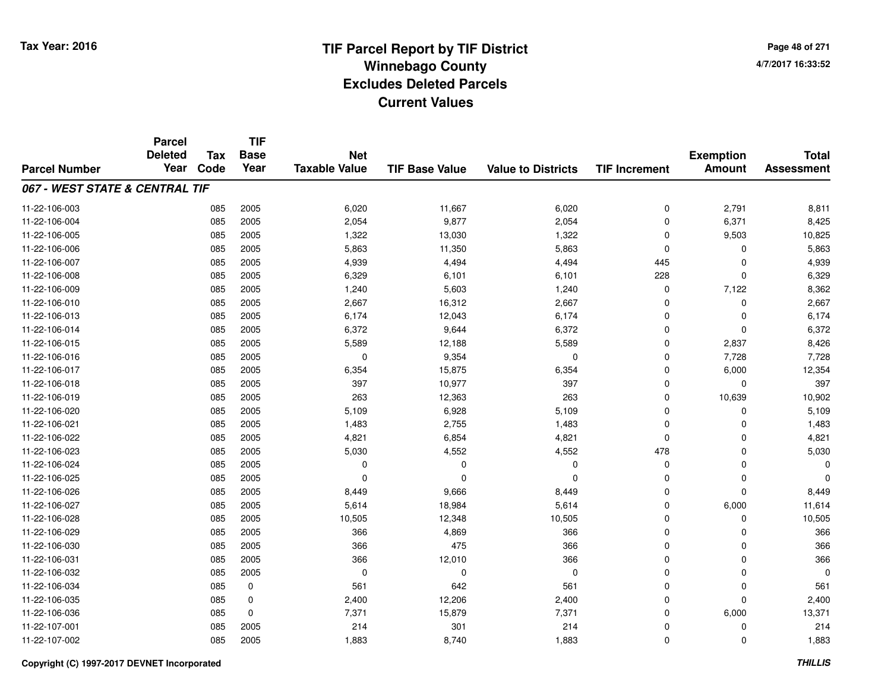**TIF**

**Parcel**

**Page 48 of 2714/7/2017 16:33:52**

#### **TIF Base ValueParcel NumberTotal AssessmentExemption Amount Value to Districts TIF Increment Base YearTax Code Deleted YearNet Taxable Value067 - WEST STATE & CENTRAL TIF**11-22-106-0033 085 2005 6,020 11,667 6,020 0 2,791 8,811 11-22-106-004 <sup>085</sup> 2,054 <sup>2005</sup> 9,877 2,054 <sup>0</sup> 6,371 8,425 11-22-106-0055 085 2005 1,322 13,030 1,322 0 9,503 10,825 11-22-106-006 <sup>085</sup> 5,863 <sup>2005</sup> 11,350 5,863 <sup>0</sup> <sup>0</sup> 5,863 11-22-106-007 <sup>085</sup> 4,939 <sup>2005</sup> 4,494 4,494 <sup>445</sup> <sup>0</sup> 4,939 11-22-106-0088 085 2005 6,329 6,101 6,101 228 0 6,329 11-22-106-0099 085 2005 1,240 5,603 1,240 0 7,122 8,362 11-22-106-0100 085 2005 2,667 16,312 2,667 0 0 2,667 11-22-106-0133 085 2005 6,174 12,043 6,174 0 0 6,174 11-22-106-014 <sup>085</sup> 6,372 <sup>2005</sup> 9,644 6,372 <sup>0</sup> <sup>0</sup> 6,372 11-22-106-015 <sup>085</sup> 5,589 <sup>2005</sup> 12,188 5,589 <sup>0</sup> 2,837 8,426 11-22-106-016 <sup>085</sup> <sup>0</sup> <sup>2005</sup> 9,354 <sup>0</sup> <sup>0</sup> 7,728 7,728 11-22-106-017 <sup>085</sup> 6,354 <sup>2005</sup> 15,875 6,354 <sup>0</sup> 6,000 12,354 11-22-106-018 <sup>085</sup> <sup>397</sup> <sup>2005</sup> 10,977 <sup>397</sup> <sup>0</sup> <sup>0</sup> <sup>397</sup> 11-22-106-0199 085 2005 263 12,363 263 0 10,639 10,902 11-22-106-020 <sup>085</sup> 5,109 <sup>2005</sup> 6,928 5,109 <sup>0</sup> <sup>0</sup> 5,109 11-22-106-0211 085 2005 1,483 2,755 1,483 0 0 1,483 11-22-106-0222 085 2005 4,821 6,854 4,821 0 4,821 11-22-106-023 <sup>085</sup> 5,030 <sup>2005</sup> 4,552 4,552 <sup>478</sup> <sup>0</sup> 5,030 11-22-106-024 <sup>085</sup> <sup>0</sup> <sup>2005</sup> <sup>0</sup> <sup>0</sup> <sup>0</sup> <sup>0</sup> <sup>0</sup> 11-22-106-025 <sup>085</sup> <sup>0</sup> <sup>2005</sup> <sup>0</sup> <sup>0</sup> <sup>0</sup> <sup>0</sup> <sup>0</sup> 11-22-106-026 <sup>085</sup> 8,449 <sup>2005</sup> 9,666 8,449 <sup>0</sup> <sup>0</sup> 8,449 11-22-106-0277 085 2005 5,614 18,984 5,614 0 6,000 11,614 11-22-106-0288 085 2005 10,505 12,348 10,505 0 0 10,505 11-22-106-0299 085 2005 366 4,869 366 0 0 366 11-22-106-0300 085 2005 366 475 366 0 0 366 11-22-106-0311 085 2005 366 12,010 366 0 0 366 11-22-106-032 <sup>085</sup> <sup>0</sup> <sup>2005</sup> <sup>0</sup> <sup>0</sup> <sup>0</sup> <sup>0</sup> <sup>0</sup> 11-22-106-0344 085 0 561 642 561 0 0 561 11-22-106-035 <sup>085</sup> 2,400 <sup>0</sup> 12,206 2,400 <sup>0</sup> <sup>0</sup> 2,400 11-22-106-0366 085 0 7,371 15,879 7,371 0 6,000 13,371 11-22-107-0011 085 2005 214 301 214 0 0 214 11-22-107-0022 2 085 2005 1,883 8,740 1,883 0 0 1,883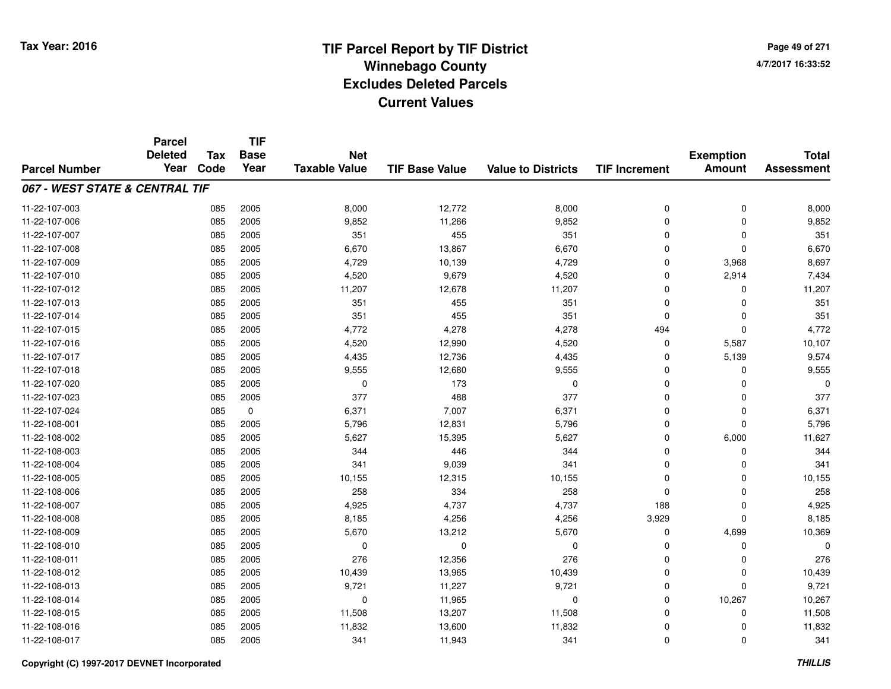**Page 49 of 2714/7/2017 16:33:52**

|                                | <b>Parcel</b>          |                    | <b>TIF</b>          |                                    |                       |                           |                      |                                   |                                   |
|--------------------------------|------------------------|--------------------|---------------------|------------------------------------|-----------------------|---------------------------|----------------------|-----------------------------------|-----------------------------------|
| <b>Parcel Number</b>           | <b>Deleted</b><br>Year | <b>Tax</b><br>Code | <b>Base</b><br>Year | <b>Net</b><br><b>Taxable Value</b> | <b>TIF Base Value</b> | <b>Value to Districts</b> | <b>TIF Increment</b> | <b>Exemption</b><br><b>Amount</b> | <b>Total</b><br><b>Assessment</b> |
|                                |                        |                    |                     |                                    |                       |                           |                      |                                   |                                   |
| 067 - WEST STATE & CENTRAL TIF |                        |                    |                     |                                    |                       |                           |                      |                                   |                                   |
| 11-22-107-003                  |                        | 085                | 2005                | 8,000                              | 12,772                | 8,000                     | 0                    | $\mathbf 0$                       | 8,000                             |
| 11-22-107-006                  |                        | 085                | 2005                | 9,852                              | 11,266                | 9,852                     | $\Omega$             | $\Omega$                          | 9,852                             |
| 11-22-107-007                  |                        | 085                | 2005                | 351                                | 455                   | 351                       | $\Omega$             | 0                                 | 351                               |
| 11-22-107-008                  |                        | 085                | 2005                | 6,670                              | 13,867                | 6,670                     | $\Omega$             | $\Omega$                          | 6,670                             |
| 11-22-107-009                  |                        | 085                | 2005                | 4,729                              | 10,139                | 4,729                     | $\mathbf 0$          | 3,968                             | 8,697                             |
| 11-22-107-010                  |                        | 085                | 2005                | 4,520                              | 9,679                 | 4,520                     | $\Omega$             | 2,914                             | 7,434                             |
| 11-22-107-012                  |                        | 085                | 2005                | 11,207                             | 12,678                | 11,207                    | $\Omega$             | $\Omega$                          | 11,207                            |
| 11-22-107-013                  |                        | 085                | 2005                | 351                                | 455                   | 351                       | $\Omega$             | $\Omega$                          | 351                               |
| 11-22-107-014                  |                        | 085                | 2005                | 351                                | 455                   | 351                       | $\mathbf 0$          | $\mathbf{0}$                      | 351                               |
| 11-22-107-015                  |                        | 085                | 2005                | 4,772                              | 4,278                 | 4,278                     | 494                  | $\mathbf{0}$                      | 4,772                             |
| 11-22-107-016                  |                        | 085                | 2005                | 4,520                              | 12,990                | 4,520                     | $\mathbf 0$          | 5,587                             | 10,107                            |
| 11-22-107-017                  |                        | 085                | 2005                | 4,435                              | 12,736                | 4,435                     | 0                    | 5,139                             | 9,574                             |
| 11-22-107-018                  |                        | 085                | 2005                | 9,555                              | 12,680                | 9,555                     | $\Omega$             | $\Omega$                          | 9,555                             |
| 11-22-107-020                  |                        | 085                | 2005                | 0                                  | 173                   | $\mathbf 0$               | $\mathbf 0$          | $\Omega$                          |                                   |
| 11-22-107-023                  |                        | 085                | 2005                | 377                                | 488                   | 377                       | $\Omega$             | 0                                 | 377                               |
| 11-22-107-024                  |                        | 085                | $\pmb{0}$           | 6,371                              | 7,007                 | 6,371                     | $\mathbf 0$          | $\mathbf 0$                       | 6,371                             |
| 11-22-108-001                  |                        | 085                | 2005                | 5,796                              | 12,831                | 5,796                     | $\mathbf 0$          | $\mathbf{0}$                      | 5,796                             |
| 11-22-108-002                  |                        | 085                | 2005                | 5,627                              | 15,395                | 5,627                     | $\mathbf 0$          | 6,000                             | 11,627                            |
| 11-22-108-003                  |                        | 085                | 2005                | 344                                | 446                   | 344                       | $\mathbf 0$          | 0                                 | 344                               |
| 11-22-108-004                  |                        | 085                | 2005                | 341                                | 9,039                 | 341                       | $\mathbf 0$          | $\Omega$                          | 341                               |
| 11-22-108-005                  |                        | 085                | 2005                | 10,155                             | 12,315                | 10,155                    | $\mathbf 0$          | $\mathbf 0$                       | 10,155                            |
| 11-22-108-006                  |                        | 085                | 2005                | 258                                | 334                   | 258                       | $\Omega$             | $\mathbf{0}$                      | 258                               |
| 11-22-108-007                  |                        | 085                | 2005                | 4,925                              | 4,737                 | 4,737                     | 188                  | $\mathbf 0$                       | 4,925                             |
| 11-22-108-008                  |                        | 085                | 2005                | 8,185                              | 4,256                 | 4,256                     | 3,929                | $\mathbf{0}$                      | 8,185                             |
| 11-22-108-009                  |                        | 085                | 2005                | 5,670                              | 13,212                | 5,670                     | 0                    | 4,699                             | 10,369                            |
| 11-22-108-010                  |                        | 085                | 2005                | $\mathbf 0$                        | $\mathbf 0$           | $\mathbf 0$               | $\Omega$             | $\mathbf 0$                       |                                   |
| 11-22-108-011                  |                        | 085                | 2005                | 276                                | 12,356                | 276                       | $\mathbf 0$          | $\Omega$                          | 276                               |
| 11-22-108-012                  |                        | 085                | 2005                | 10,439                             | 13,965                | 10,439                    | $\mathbf 0$          | 0                                 | 10,439                            |
| 11-22-108-013                  |                        | 085                | 2005                | 9,721                              | 11,227                | 9,721                     | $\mathbf 0$          | $\mathbf 0$                       | 9,721                             |
| 11-22-108-014                  |                        | 085                | 2005                | 0                                  | 11,965                | $\mathbf 0$               | $\mathbf 0$          | 10,267                            | 10,267                            |
| 11-22-108-015                  |                        | 085                | 2005                | 11,508                             | 13,207                | 11,508                    | $\Omega$             | 0                                 | 11,508                            |
| 11-22-108-016                  |                        | 085                | 2005                | 11,832                             | 13,600                | 11,832                    | $\mathbf 0$          | $\Omega$                          | 11,832                            |
| 11-22-108-017                  |                        | 085                | 2005                | 341                                | 11,943                | 341                       | $\Omega$             | $\Omega$                          | 341                               |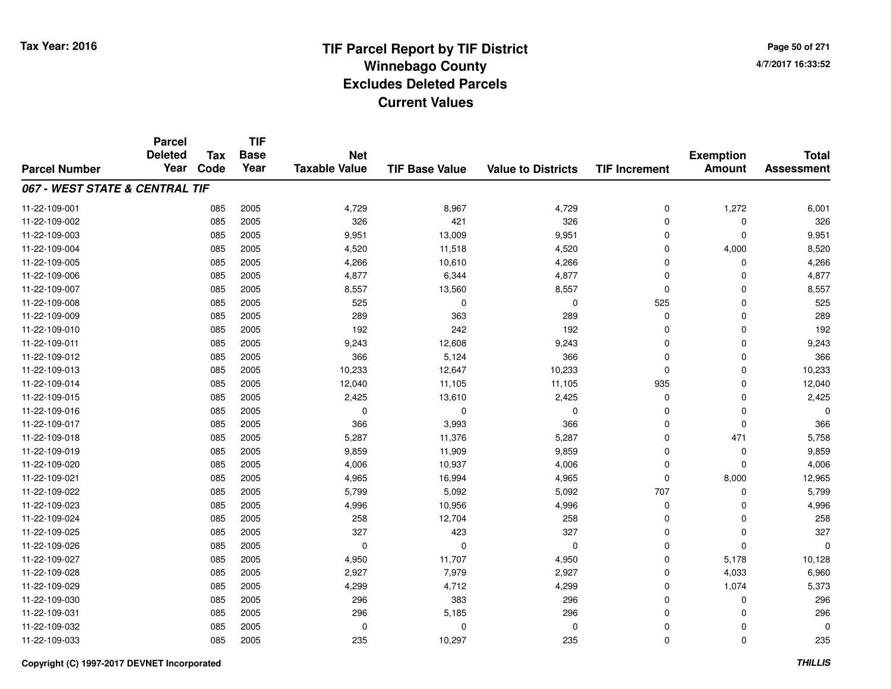**TIF**

**Parcel**

**Page 50 of 2714/7/2017 16:33:52**

| <b>Parcel Number</b>           | <b>Deleted</b><br>Year | <b>Tax</b><br>Code | <b>Base</b><br>Year | <b>Net</b><br><b>Taxable Value</b> | <b>TIF Base Value</b> | <b>Value to Districts</b> | <b>TIF Increment</b> | <b>Exemption</b><br><b>Amount</b> | <b>Total</b><br><b>Assessment</b> |
|--------------------------------|------------------------|--------------------|---------------------|------------------------------------|-----------------------|---------------------------|----------------------|-----------------------------------|-----------------------------------|
| 067 - WEST STATE & CENTRAL TIF |                        |                    |                     |                                    |                       |                           |                      |                                   |                                   |
|                                |                        |                    |                     |                                    |                       |                           |                      |                                   |                                   |
| 11-22-109-001                  |                        | 085                | 2005                | 4,729                              | 8,967                 | 4,729                     | 0                    | 1,272                             | 6,001                             |
| 11-22-109-002                  |                        | 085                | 2005                | 326                                | 421                   | 326                       | 0                    | $\mathbf 0$                       | 326                               |
| 11-22-109-003                  |                        | 085                | 2005                | 9,951                              | 13,009                | 9,951                     | $\mathbf 0$          | $\mathbf 0$                       | 9,951                             |
| 11-22-109-004                  |                        | 085                | 2005                | 4,520                              | 11,518                | 4,520                     | $\Omega$             | 4,000                             | 8,520                             |
| 11-22-109-005                  |                        | 085                | 2005                | 4,266                              | 10,610                | 4,266                     | $\Omega$             | $\mathbf 0$                       | 4,266                             |
| 11-22-109-006                  |                        | 085                | 2005                | 4,877                              | 6,344                 | 4,877                     | $\Omega$             | $\mathbf 0$                       | 4,877                             |
| 11-22-109-007                  |                        | 085                | 2005                | 8,557                              | 13,560                | 8,557                     | $\Omega$             | $\mathbf 0$                       | 8,557                             |
| 11-22-109-008                  |                        | 085                | 2005                | 525                                | 0                     | $\mathbf 0$               | 525                  | $\mathbf 0$                       | 525                               |
| 11-22-109-009                  |                        | 085                | 2005                | 289                                | 363                   | 289                       | 0                    | $\mathbf 0$                       | 289                               |
| 11-22-109-010                  |                        | 085                | 2005                | 192                                | 242                   | 192                       | $\Omega$             | 0                                 | 192                               |
| 11-22-109-011                  |                        | 085                | 2005                | 9,243                              | 12,608                | 9,243                     | $\Omega$             | $\Omega$                          | 9,243                             |
| 11-22-109-012                  |                        | 085                | 2005                | 366                                | 5,124                 | 366                       | $\Omega$             | $\mathbf 0$                       | 366                               |
| 11-22-109-013                  |                        | 085                | 2005                | 10,233                             | 12,647                | 10,233                    | $\Omega$             | $\Omega$                          | 10,233                            |
| 11-22-109-014                  |                        | 085                | 2005                | 12,040                             | 11,105                | 11,105                    | 935                  | $\mathbf 0$                       | 12,040                            |
| 11-22-109-015                  |                        | 085                | 2005                | 2,425                              | 13,610                | 2,425                     | 0                    | $\mathbf 0$                       | 2,425                             |
| 11-22-109-016                  |                        | 085                | 2005                | 0                                  | 0                     | 0                         | 0                    | $\mathbf 0$                       |                                   |
| 11-22-109-017                  |                        | 085                | 2005                | 366                                | 3,993                 | 366                       | 0                    | $\mathbf 0$                       | 366                               |
| 11-22-109-018                  |                        | 085                | 2005                | 5,287                              | 11,376                | 5,287                     | 0                    | 471                               | 5,758                             |
| 11-22-109-019                  |                        | 085                | 2005                | 9,859                              | 11,909                | 9,859                     | $\Omega$             | $\mathbf 0$                       | 9,859                             |
| 11-22-109-020                  |                        | 085                | 2005                | 4,006                              | 10,937                | 4,006                     | $\Omega$             | $\Omega$                          | 4,006                             |
| 11-22-109-021                  |                        | 085                | 2005                | 4,965                              | 16,994                | 4,965                     | 0                    | 8,000                             | 12,965                            |
| 11-22-109-022                  |                        | 085                | 2005                | 5,799                              | 5,092                 | 5,092                     | 707                  | $\mathbf 0$                       | 5,799                             |
| 11-22-109-023                  |                        | 085                | 2005                | 4,996                              | 10,956                | 4,996                     | 0                    | $\mathbf 0$                       | 4,996                             |
| 11-22-109-024                  |                        | 085                | 2005                | 258                                | 12,704                | 258                       | $\Omega$             | $\mathbf 0$                       | 258                               |
| 11-22-109-025                  |                        | 085                | 2005                | 327                                | 423                   | 327                       | 0                    | $\mathbf 0$                       | 327                               |
| 11-22-109-026                  |                        | 085                | 2005                | $\Omega$                           | $\Omega$              | $\mathbf 0$               | 0                    | $\Omega$                          |                                   |
| 11-22-109-027                  |                        | 085                | 2005                | 4,950                              | 11,707                | 4,950                     | $\mathbf 0$          | 5,178                             | 10,128                            |
| 11-22-109-028                  |                        | 085                | 2005                | 2,927                              | 7,979                 | 2,927                     | $\mathbf 0$          | 4,033                             | 6,960                             |
| 11-22-109-029                  |                        | 085                | 2005                | 4,299                              | 4,712                 | 4,299                     | $\mathbf 0$          | 1,074                             | 5,373                             |
| 11-22-109-030                  |                        | 085                | 2005                | 296                                | 383                   | 296                       | $\mathbf 0$          | $\mathbf 0$                       | 296                               |
| 11-22-109-031                  |                        | 085                | 2005                | 296                                | 5,185                 | 296                       | $\mathbf 0$          | $\mathbf 0$                       | 296                               |
| 11-22-109-032                  |                        | 085                | 2005                | 0                                  | 0                     | $\mathbf 0$               | 0                    | $\mathbf 0$                       |                                   |
| 11-22-109-033                  |                        | 085                | 2005                | 235                                | 10,297                | 235                       | $\mathbf 0$          | $\mathbf 0$                       | 235                               |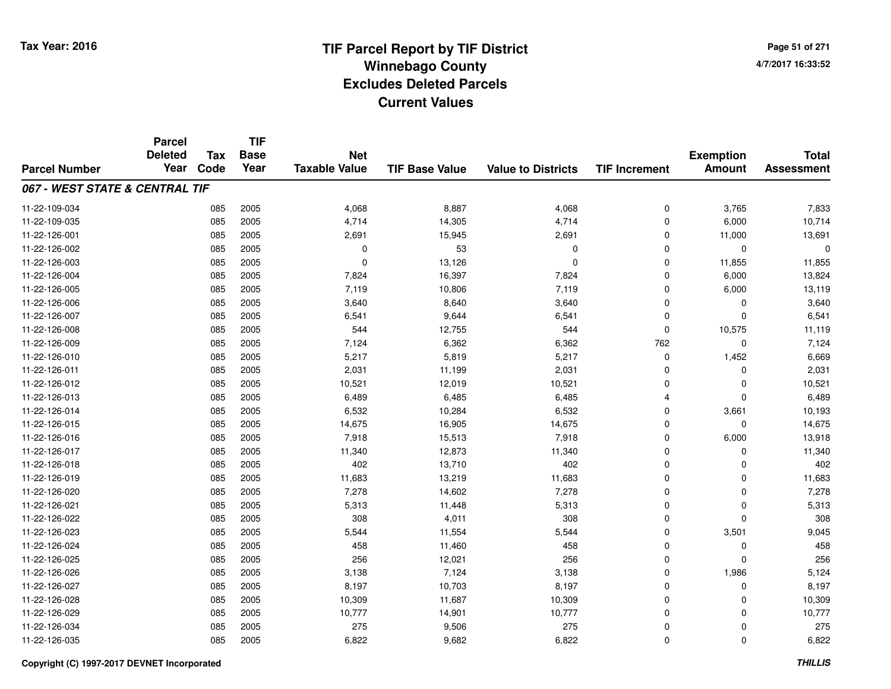**TIF**

**Parcel**

**Page 51 of 2714/7/2017 16:33:52**

| <b>Parcel Number</b>           | <b>Deleted</b><br>Year | <b>Tax</b><br>Code | <b>Base</b><br>Year | <b>Net</b><br><b>Taxable Value</b> | <b>TIF Base Value</b> | <b>Value to Districts</b> | <b>TIF Increment</b> | <b>Exemption</b><br><b>Amount</b> | <b>Total</b><br><b>Assessment</b> |
|--------------------------------|------------------------|--------------------|---------------------|------------------------------------|-----------------------|---------------------------|----------------------|-----------------------------------|-----------------------------------|
| 067 - WEST STATE & CENTRAL TIF |                        |                    |                     |                                    |                       |                           |                      |                                   |                                   |
| 11-22-109-034                  |                        | 085                | 2005                | 4,068                              | 8,887                 | 4,068                     | 0                    | 3,765                             | 7,833                             |
| 11-22-109-035                  |                        | 085                | 2005                | 4,714                              | 14,305                | 4,714                     | $\Omega$             | 6,000                             | 10,714                            |
| 11-22-126-001                  |                        | 085                | 2005                | 2,691                              | 15,945                | 2,691                     | 0                    | 11,000                            | 13,691                            |
| 11-22-126-002                  |                        | 085                | 2005                | 0                                  | 53                    | 0                         | $\Omega$             | $\mathbf 0$                       | 0                                 |
| 11-22-126-003                  |                        | 085                | 2005                | $\Omega$                           | 13,126                | $\mathbf 0$               | 0                    | 11,855                            | 11,855                            |
| 11-22-126-004                  |                        | 085                | 2005                | 7,824                              | 16,397                | 7,824                     | $\mathbf 0$          | 6,000                             | 13,824                            |
| 11-22-126-005                  |                        | 085                | 2005                | 7,119                              | 10,806                | 7,119                     | $\mathbf 0$          | 6,000                             | 13,119                            |
| 11-22-126-006                  |                        | 085                | 2005                | 3,640                              | 8,640                 | 3,640                     | $\mathbf 0$          | 0                                 | 3,640                             |
| 11-22-126-007                  |                        | 085                | 2005                | 6,541                              | 9,644                 | 6,541                     | $\Omega$             | $\Omega$                          | 6,541                             |
| 11-22-126-008                  |                        | 085                | 2005                | 544                                | 12,755                | 544                       | $\Omega$             | 10,575                            | 11,119                            |
| 11-22-126-009                  |                        | 085                | 2005                | 7,124                              | 6,362                 | 6,362                     | 762                  | 0                                 | 7,124                             |
| 11-22-126-010                  |                        | 085                | 2005                | 5,217                              | 5,819                 | 5,217                     | 0                    | 1,452                             | 6,669                             |
| 11-22-126-011                  |                        | 085                | 2005                | 2,031                              | 11,199                | 2,031                     | $\Omega$             | 0                                 | 2,031                             |
| 11-22-126-012                  |                        | 085                | 2005                | 10,521                             | 12,019                | 10,521                    | 0                    | 0                                 | 10,521                            |
| 11-22-126-013                  |                        | 085                | 2005                | 6,489                              | 6,485                 | 6,485                     | $\overline{4}$       | $\Omega$                          | 6,489                             |
| 11-22-126-014                  |                        | 085                | 2005                | 6,532                              | 10,284                | 6,532                     | $\mathbf 0$          | 3,661                             | 10,193                            |
| 11-22-126-015                  |                        | 085                | 2005                | 14,675                             | 16,905                | 14,675                    | $\Omega$             | $\Omega$                          | 14,675                            |
| 11-22-126-016                  |                        | 085                | 2005                | 7,918                              | 15,513                | 7,918                     | $\mathbf 0$          | 6,000                             | 13,918                            |
| 11-22-126-017                  |                        | 085                | 2005                | 11,340                             | 12,873                | 11,340                    | $\Omega$             | $\Omega$                          | 11,340                            |
| 11-22-126-018                  |                        | 085                | 2005                | 402                                | 13,710                | 402                       | $\Omega$             | $\Omega$                          | 402                               |
| 11-22-126-019                  |                        | 085                | 2005                | 11,683                             | 13,219                | 11,683                    | $\Omega$             | $\Omega$                          | 11,683                            |
| 11-22-126-020                  |                        | 085                | 2005                | 7,278                              | 14,602                | 7,278                     | 0                    | 0                                 | 7,278                             |
| 11-22-126-021                  |                        | 085                | 2005                | 5,313                              | 11,448                | 5,313                     | 0                    | 0                                 | 5,313                             |
| 11-22-126-022                  |                        | 085                | 2005                | 308                                | 4,011                 | 308                       | 0                    | $\Omega$                          | 308                               |
| 11-22-126-023                  |                        | 085                | 2005                | 5,544                              | 11,554                | 5,544                     | $\mathbf 0$          | 3,501                             | 9,045                             |
| 11-22-126-024                  |                        | 085                | 2005                | 458                                | 11,460                | 458                       | $\Omega$             | 0                                 | 458                               |
| 11-22-126-025                  |                        | 085                | 2005                | 256                                | 12,021                | 256                       | $\Omega$             | $\Omega$                          | 256                               |
| 11-22-126-026                  |                        | 085                | 2005                | 3,138                              | 7,124                 | 3,138                     | $\mathbf 0$          | 1,986                             | 5,124                             |
| 11-22-126-027                  |                        | 085                | 2005                | 8,197                              | 10,703                | 8,197                     | $\mathbf 0$          | $\Omega$                          | 8,197                             |
| 11-22-126-028                  |                        | 085                | 2005                | 10,309                             | 11,687                | 10,309                    | $\mathbf 0$          | $\Omega$                          | 10,309                            |
| 11-22-126-029                  |                        | 085                | 2005                | 10,777                             | 14,901                | 10,777                    | $\mathbf 0$          | $\Omega$                          | 10,777                            |
| 11-22-126-034                  |                        | 085                | 2005                | 275                                | 9,506                 | 275                       | $\mathbf 0$          | $\Omega$                          | 275                               |
| 11-22-126-035                  |                        | 085                | 2005                | 6,822                              | 9,682                 | 6,822                     | $\mathbf 0$          | $\mathbf{0}$                      | 6,822                             |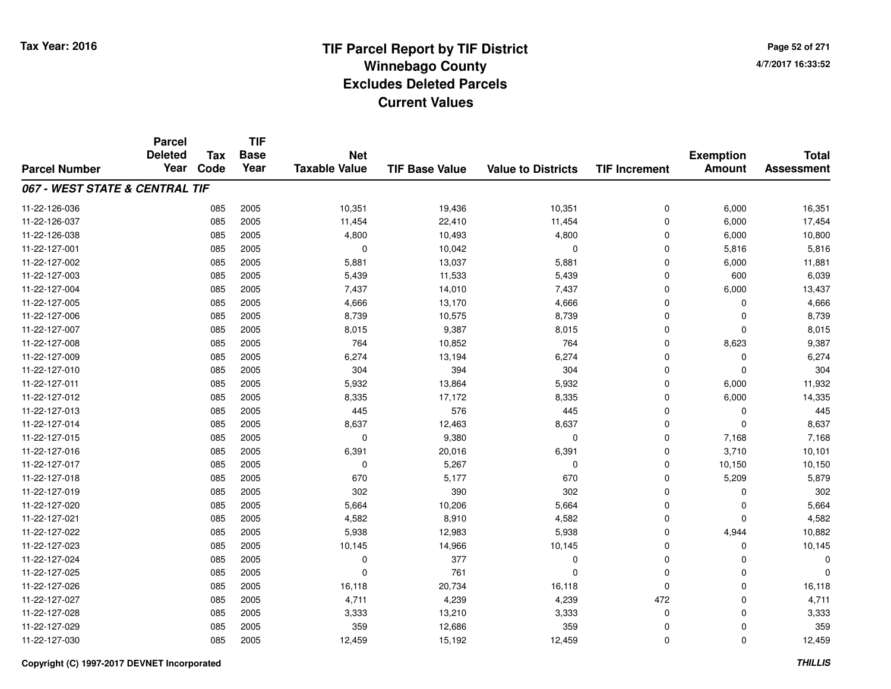**TIF**

**Parcel**

**Page 52 of 2714/7/2017 16:33:52**

#### **TIF Base ValueParcel NumberTotal AssessmentExemption Amount Value to Districts TIF Increment Base YearTax Code Deleted YearNet Taxable Value067 - WEST STATE & CENTRAL TIF**11-22-126-0366 085 2005 10,351 19,436 10,351 0 6,000 16,351 11-22-126-037 <sup>085</sup> 11,454 <sup>2005</sup> 22,410 11,454 <sup>0</sup> 6,000 17,454 11-22-126-0388 085 2005 4,800 10,493 4,800 0 6,000 10,800 11-22-127-0011 085 2005 0 10,042 0 0 5,816 5,816 11-22-127-0022 085 2005 5,881 13,037 5,881 0 6,000 11,881 11-22-127-0033 085 2005 5,439 11,533 5,439 0 600 6,039 11-22-127-004 <sup>085</sup> 7,437 <sup>2005</sup> 14,010 7,437 <sup>0</sup> 6,000 13,437 11-22-127-005 <sup>085</sup> 4,666 <sup>2005</sup> 13,170 4,666 <sup>0</sup> <sup>0</sup> 4,666 11-22-127-006 <sup>085</sup> 8,739 <sup>2005</sup> 10,575 8,739 <sup>0</sup> <sup>0</sup> 8,739 11-22-127-0077 085 2005 8,015 9,387 8,015 0 0 8,015 11-22-127-0088 085 2005 764 10,852 764 0 8,623 9,387 11-22-127-0099 085 2005 6,274 13,194 6,274 0 0 6,274 11-22-127-010 <sup>085</sup> <sup>304</sup> <sup>2005</sup> <sup>394</sup> <sup>304</sup> <sup>0</sup> <sup>0</sup> <sup>304</sup> 11-22-127-0111 085 2005 5,932 13,864 5,932 0 6,000 11,932 11-22-127-0122 085 2005 8,335 17,172 8,335 0 6,000 14,335 11-22-127-0133 085 2005 445 576 445 0 0 445 11-22-127-0144 085 2005 8,637 12,463 8,637 0 8,637 11-22-127-0155 085 2005 0 9,380 0 0 7,168 7,168 11-22-127-016 <sup>085</sup> 6,391 <sup>2005</sup> 20,016 6,391 <sup>0</sup> 3,710 10,101 11-22-127-017 <sup>085</sup> <sup>0</sup> <sup>2005</sup> 5,267 <sup>0</sup> <sup>0</sup> 10,150 10,150 11-22-127-018 <sup>085</sup> <sup>670</sup> <sup>2005</sup> 5,177 <sup>670</sup> <sup>0</sup> 5,209 5,879 11-22-127-0199 085 2005 302 390 302 0 0 302 11-22-127-0200 085 2005 5,664 10,206 5,664 0 0 5,664 11-22-127-0211 085 2005 4,582 8,910 4,582 0 0 4,582 11-22-127-0222 3 3 3 3 4,944 2 5,938 2005 2005 12,983 2006 5,938 2010 5,938 2010 10,882 2010 10,882 2010 10,882 2005 2010 1 11-22-127-0233 085 2005 10,145 14,966 10,145 0 0 10,145 11-22-127-024 <sup>085</sup> <sup>0</sup> <sup>2005</sup> <sup>377</sup> <sup>0</sup> <sup>0</sup> <sup>0</sup> <sup>0</sup> 11-22-127-025 <sup>085</sup> <sup>0</sup> <sup>2005</sup> <sup>761</sup> <sup>0</sup> <sup>0</sup> <sup>0</sup> <sup>0</sup> 11-22-127-0266 085 2005 16,118 20,734 16,118 0 0 16,118 11-22-127-027 <sup>085</sup> 4,711 <sup>2005</sup> 4,239 4,239 <sup>472</sup> <sup>0</sup> 4,711 11-22-127-028 <sup>085</sup> 3,333 <sup>2005</sup> 13,210 3,333 <sup>0</sup> <sup>0</sup> 3,333 11-22-127-0299 085 2005 359 12,686 359 0 0 359 11-22-127-0300 085 2005 12,459 15,192 12,459 0 0 12,459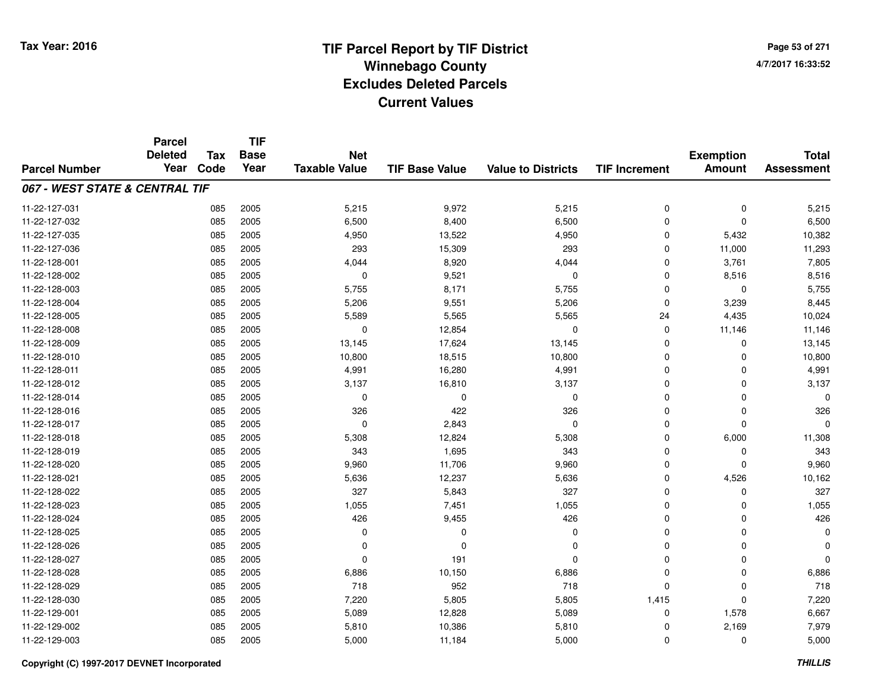**TIF**

**Parcel**

**Page 53 of 2714/7/2017 16:33:52**

#### **TIF Base ValueParcel NumberTotal AssessmentExemption Amount Value to Districts TIF Increment Base YearTax Code Deleted YearNet Taxable Value067 - WEST STATE & CENTRAL TIF**11-22-127-0311 085 2005 5,215 9,972 5,215 0 0 5,215 11-22-127-0322 085 2005 6,500 8,400 6,500 0 0 6,500 11-22-127-035 <sup>085</sup> 4,950 <sup>2005</sup> 13,522 4,950 <sup>0</sup> 5,432 10,382 11-22-127-036 <sup>085</sup> <sup>293</sup> <sup>2005</sup> 15,309 <sup>293</sup> <sup>0</sup> 11,000 11,293 11-22-128-0011 085 2005 4,044 8,920 4,044 0 3,761 7,805 11-22-128-0022 085 2005 0 9,521 0 0 8,516 8,516 11-22-128-0033 085 2005 5,755 8,171 5,755 0 0 5,755 11-22-128-004 <sup>085</sup> 5,206 <sup>2005</sup> 9,551 5,206 <sup>0</sup> 3,239 8,445 11-22-128-005 <sup>085</sup> 5,589 <sup>2005</sup> 5,565 5,565 <sup>24</sup> 4,435 10,024 11-22-128-0088 085 2005 0 12,854 0 0 11,146 11,146 11-22-128-0099 085 2005 13,145 17,624 13,145 0 0 13,145 11-22-128-0100 085 2005 10,800 18,515 10,800 0 0 10,800 11-22-128-0111 085 2005 4,991 16,280 4,991 0 4,991 11-22-128-0122 085 2005 3,137 16,810 3,137 0 0 3,137 11-22-128-014 <sup>085</sup> <sup>0</sup> <sup>2005</sup> <sup>0</sup> <sup>0</sup> <sup>0</sup> <sup>0</sup> <sup>0</sup> 11-22-128-0166 085 2005 326 422 326 0 0 326 11-22-128-017 <sup>085</sup> <sup>0</sup> <sup>2005</sup> 2,843 <sup>0</sup> <sup>0</sup> <sup>0</sup> <sup>0</sup> 11-22-128-018 <sup>085</sup> 5,308 <sup>2005</sup> 12,824 5,308 <sup>0</sup> 6,000 11,308 11-22-128-0199 085 2005 343 1,695 343 0 0 343 11-22-128-020 <sup>085</sup> 9,960 <sup>2005</sup> 11,706 9,960 <sup>0</sup> <sup>0</sup> 9,960 11-22-128-0211 085 2005 5,636 12,237 5,636 0 4,526 10,162 11-22-128-022 <sup>085</sup> <sup>327</sup> <sup>2005</sup> 5,843 <sup>327</sup> <sup>0</sup> <sup>0</sup> <sup>327</sup> 11-22-128-0233 085 2005 1,055 7,451 1,055 0 0 1,055 11-22-128-024 <sup>085</sup> <sup>426</sup> <sup>2005</sup> 9,455 <sup>426</sup> <sup>0</sup> <sup>0</sup> <sup>426</sup> 11-22-128-025 <sup>085</sup> <sup>0</sup> <sup>2005</sup> <sup>0</sup> <sup>0</sup> <sup>0</sup> <sup>0</sup> <sup>0</sup> 11-22-128-026 <sup>085</sup> <sup>0</sup> <sup>2005</sup> <sup>0</sup> <sup>0</sup> <sup>0</sup> <sup>0</sup> <sup>0</sup> 11-22-128-027 <sup>085</sup> <sup>0</sup> <sup>2005</sup> <sup>191</sup> <sup>0</sup> <sup>0</sup> <sup>0</sup> <sup>0</sup> 11-22-128-0288 085 2005 6,886 10,150 6,886 0 0 6,886 11-22-128-0299 085 2005 718 952 718 0 0 718 11-22-128-0300 085 2005 7,220 5,805 5,805 1,415 0 7,220 11-22-129-0011 085 2005 5,089 12,828 5,089 0 1,578 6,667 11-22-129-002 <sup>085</sup> 5,810 <sup>2005</sup> 10,386 5,810 <sup>0</sup> 2,169 7,979 11-22-129-003 $3$  6,000 2005 2005 5,000 2011,184 5,000 5,000 0 0 5,000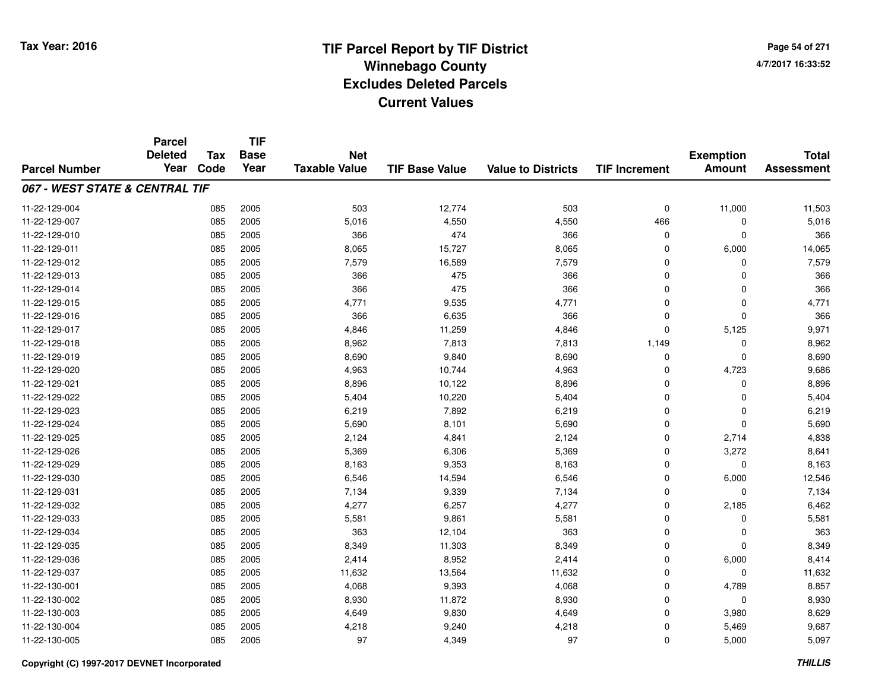**TIF**

**Parcel**

**Page 54 of 2714/7/2017 16:33:52**

| <b>Parcel Number</b>           | <b>Deleted</b><br>Year | Tax<br>Code | <b>Base</b><br>Year | <b>Net</b><br><b>Taxable Value</b> | <b>TIF Base Value</b> | <b>Value to Districts</b> | <b>TIF Increment</b> | <b>Exemption</b><br><b>Amount</b> | <b>Total</b><br><b>Assessment</b> |
|--------------------------------|------------------------|-------------|---------------------|------------------------------------|-----------------------|---------------------------|----------------------|-----------------------------------|-----------------------------------|
| 067 - WEST STATE & CENTRAL TIF |                        |             |                     |                                    |                       |                           |                      |                                   |                                   |
| 11-22-129-004                  |                        | 085         | 2005                | 503                                | 12,774                | 503                       | 0                    | 11,000                            | 11,503                            |
| 11-22-129-007                  |                        | 085         | 2005                | 5,016                              | 4,550                 | 4,550                     | 466                  | 0                                 | 5,016                             |
| 11-22-129-010                  |                        | 085         | 2005                | 366                                | 474                   | 366                       | 0                    | 0                                 | 366                               |
| 11-22-129-011                  |                        | 085         | 2005                | 8,065                              | 15,727                | 8,065                     | 0                    | 6,000                             | 14,065                            |
| 11-22-129-012                  |                        | 085         | 2005                | 7,579                              | 16,589                | 7,579                     | $\mathbf 0$          | $\Omega$                          | 7,579                             |
| 11-22-129-013                  |                        | 085         | 2005                | 366                                | 475                   | 366                       | $\mathbf 0$          | $\Omega$                          | 366                               |
| 11-22-129-014                  |                        | 085         | 2005                | 366                                | 475                   | 366                       | 0                    | $\Omega$                          | 366                               |
| 11-22-129-015                  |                        | 085         | 2005                | 4,771                              | 9,535                 | 4,771                     | 0                    | $\Omega$                          | 4,771                             |
| 11-22-129-016                  |                        | 085         | 2005                | 366                                | 6,635                 | 366                       | 0                    | $\Omega$                          | 366                               |
| 11-22-129-017                  |                        | 085         | 2005                | 4,846                              | 11,259                | 4,846                     | 0                    | 5,125                             | 9,971                             |
| 11-22-129-018                  |                        | 085         | 2005                | 8,962                              | 7,813                 | 7,813                     | 1,149                | $\Omega$                          | 8,962                             |
| 11-22-129-019                  |                        | 085         | 2005                | 8,690                              | 9,840                 | 8,690                     | 0                    | $\mathbf 0$                       | 8,690                             |
| 11-22-129-020                  |                        | 085         | 2005                | 4,963                              | 10,744                | 4,963                     | $\mathbf 0$          | 4,723                             | 9,686                             |
| 11-22-129-021                  |                        | 085         | 2005                | 8,896                              | 10,122                | 8,896                     | $\mathbf 0$          | $\Omega$                          | 8,896                             |
| 11-22-129-022                  |                        | 085         | 2005                | 5,404                              | 10,220                | 5,404                     | $\mathbf 0$          | $\Omega$                          | 5,404                             |
| 11-22-129-023                  |                        | 085         | 2005                | 6,219                              | 7,892                 | 6,219                     | 0                    | $\Omega$                          | 6,219                             |
| 11-22-129-024                  |                        | 085         | 2005                | 5,690                              | 8,101                 | 5,690                     | 0                    | 0                                 | 5,690                             |
| 11-22-129-025                  |                        | 085         | 2005                | 2,124                              | 4,841                 | 2,124                     | 0                    | 2,714                             | 4,838                             |
| 11-22-129-026                  |                        | 085         | 2005                | 5,369                              | 6,306                 | 5,369                     | $\mathbf 0$          | 3,272                             | 8,641                             |
| 11-22-129-029                  |                        | 085         | 2005                | 8,163                              | 9,353                 | 8,163                     | $\mathbf 0$          | $\Omega$                          | 8,163                             |
| 11-22-129-030                  |                        | 085         | 2005                | 6,546                              | 14,594                | 6,546                     | $\mathbf 0$          | 6,000                             | 12,546                            |
| 11-22-129-031                  |                        | 085         | 2005                | 7,134                              | 9,339                 | 7,134                     | 0                    | 0                                 | 7,134                             |
| 11-22-129-032                  |                        | 085         | 2005                | 4,277                              | 6,257                 | 4,277                     | 0                    | 2,185                             | 6,462                             |
| 11-22-129-033                  |                        | 085         | 2005                | 5,581                              | 9,861                 | 5,581                     | 0                    | 0                                 | 5,581                             |
| 11-22-129-034                  |                        | 085         | 2005                | 363                                | 12,104                | 363                       | 0                    | 0                                 | 363                               |
| 11-22-129-035                  |                        | 085         | 2005                | 8,349                              | 11,303                | 8,349                     | 0                    | $\Omega$                          | 8,349                             |
| 11-22-129-036                  |                        | 085         | 2005                | 2,414                              | 8,952                 | 2,414                     | $\mathbf 0$          | 6,000                             | 8,414                             |
| 11-22-129-037                  |                        | 085         | 2005                | 11,632                             | 13,564                | 11,632                    | 0                    | 0                                 | 11,632                            |
| 11-22-130-001                  |                        | 085         | 2005                | 4,068                              | 9,393                 | 4,068                     | 0                    | 4,789                             | 8,857                             |
| 11-22-130-002                  |                        | 085         | 2005                | 8,930                              | 11,872                | 8,930                     | 0                    | 0                                 | 8,930                             |
| 11-22-130-003                  |                        | 085         | 2005                | 4,649                              | 9,830                 | 4,649                     | $\mathbf 0$          | 3,980                             | 8,629                             |
| 11-22-130-004                  |                        | 085         | 2005                | 4,218                              | 9,240                 | 4,218                     | 0                    | 5,469                             | 9,687                             |
| 11-22-130-005                  |                        | 085         | 2005                | 97                                 | 4,349                 | 97                        | 0                    | 5,000                             | 5,097                             |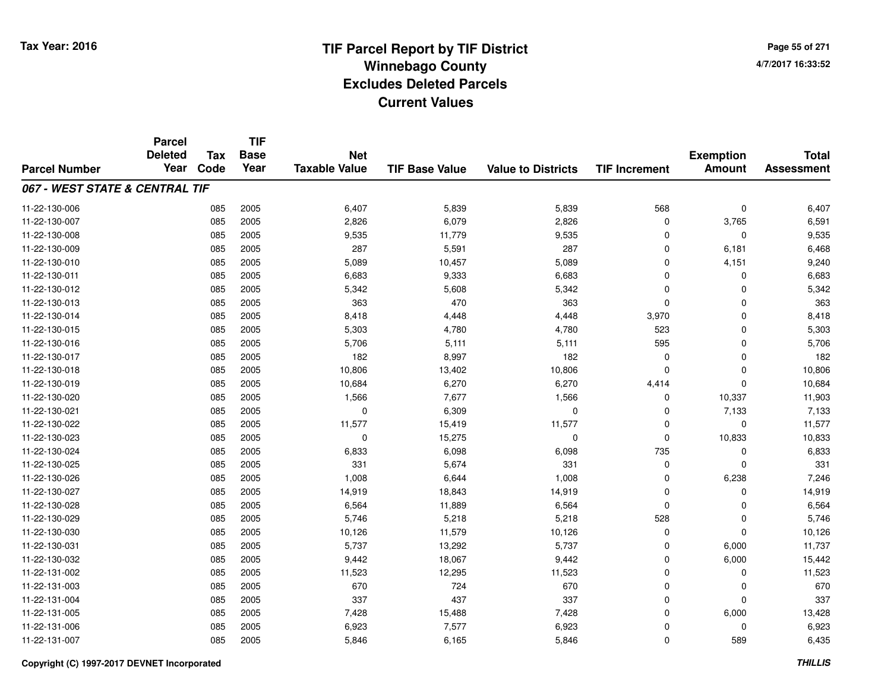# **TIF Parcel Report by TIF District Tax Year: 2016 Winnebago Countyy** and the contract of the contract of the contract of the contract of the contract of the contract of the contract of the contract of the contract of the contract of the contract of the contract of the contract of the co **Excludes Deleted ParcelsCurrent Values**

**Page 55 of 2714/7/2017 16:33:52**

|                                | <b>Parcel</b><br><b>Deleted</b> | <b>Tax</b> | <b>TIF</b><br><b>Base</b> | <b>Net</b>           |                       |                           |                      | <b>Exemption</b> | <b>Total</b>      |
|--------------------------------|---------------------------------|------------|---------------------------|----------------------|-----------------------|---------------------------|----------------------|------------------|-------------------|
| <b>Parcel Number</b>           | Year                            | Code       | Year                      | <b>Taxable Value</b> | <b>TIF Base Value</b> | <b>Value to Districts</b> | <b>TIF Increment</b> | <b>Amount</b>    | <b>Assessment</b> |
| 067 - WEST STATE & CENTRAL TIF |                                 |            |                           |                      |                       |                           |                      |                  |                   |
| 11-22-130-006                  |                                 | 085        | 2005                      | 6,407                | 5,839                 | 5,839                     | 568                  | $\mathbf 0$      | 6,407             |
| 11-22-130-007                  |                                 | 085        | 2005                      | 2,826                | 6,079                 | 2,826                     | 0                    | 3,765            | 6,591             |
| 11-22-130-008                  |                                 | 085        | 2005                      | 9,535                | 11,779                | 9,535                     | $\Omega$             | $\mathbf 0$      | 9,535             |
| 11-22-130-009                  |                                 | 085        | 2005                      | 287                  | 5,591                 | 287                       | 0                    | 6,181            | 6,468             |
| 11-22-130-010                  |                                 | 085        | 2005                      | 5,089                | 10,457                | 5,089                     | $\mathbf 0$          | 4,151            | 9,240             |
| 11-22-130-011                  |                                 | 085        | 2005                      | 6,683                | 9,333                 | 6,683                     | $\mathbf 0$          | 0                | 6,683             |
| 11-22-130-012                  |                                 | 085        | 2005                      | 5,342                | 5,608                 | 5,342                     | $\Omega$             | $\mathbf 0$      | 5,342             |
| 11-22-130-013                  |                                 | 085        | 2005                      | 363                  | 470                   | 363                       | $\Omega$             | $\mathbf 0$      | 363               |
| 11-22-130-014                  |                                 | 085        | 2005                      | 8,418                | 4,448                 | 4,448                     | 3,970                | $\mathbf 0$      | 8,418             |
| 11-22-130-015                  |                                 | 085        | 2005                      | 5,303                | 4,780                 | 4,780                     | 523                  | $\mathbf 0$      | 5,303             |
| 11-22-130-016                  |                                 | 085        | 2005                      | 5,706                | 5,111                 | 5,111                     | 595                  | $\mathbf 0$      | 5,706             |
| 11-22-130-017                  |                                 | 085        | 2005                      | 182                  | 8,997                 | 182                       | 0                    | $\mathbf 0$      | 182               |
| 11-22-130-018                  |                                 | 085        | 2005                      | 10,806               | 13,402                | 10,806                    | $\Omega$             | $\mathbf 0$      | 10,806            |
| 11-22-130-019                  |                                 | 085        | 2005                      | 10,684               | 6,270                 | 6,270                     | 4,414                | $\mathbf 0$      | 10,684            |
| 11-22-130-020                  |                                 | 085        | 2005                      | 1,566                | 7,677                 | 1,566                     | 0                    | 10,337           | 11,903            |
| 11-22-130-021                  |                                 | 085        | 2005                      | 0                    | 6,309                 | 0                         | 0                    | 7,133            | 7,133             |
| 11-22-130-022                  |                                 | 085        | 2005                      | 11,577               | 15,419                | 11,577                    | $\mathbf 0$          | $\mathbf 0$      | 11,577            |
| 11-22-130-023                  |                                 | 085        | 2005                      | 0                    | 15,275                | 0                         | $\mathbf 0$          | 10,833           | 10,833            |
| 11-22-130-024                  |                                 | 085        | 2005                      | 6,833                | 6,098                 | 6,098                     | 735                  | $\mathbf 0$      | 6,833             |
| 11-22-130-025                  |                                 | 085        | 2005                      | 331                  | 5,674                 | 331                       | 0                    | 0                | 331               |
| 11-22-130-026                  |                                 | 085        | 2005                      | 1,008                | 6,644                 | 1,008                     | $\mathbf 0$          | 6,238            | 7,246             |
| 11-22-130-027                  |                                 | 085        | 2005                      | 14,919               | 18,843                | 14,919                    | 0                    | 0                | 14,919            |
| 11-22-130-028                  |                                 | 085        | 2005                      | 6,564                | 11,889                | 6,564                     | $\mathbf 0$          | $\mathbf 0$      | 6,564             |
| 11-22-130-029                  |                                 | 085        | 2005                      | 5,746                | 5,218                 | 5,218                     | 528                  | $\mathbf 0$      | 5,746             |
| 11-22-130-030                  |                                 | 085        | 2005                      | 10,126               | 11,579                | 10,126                    | $\mathbf 0$          | $\mathbf 0$      | 10,126            |
| 11-22-130-031                  |                                 | 085        | 2005                      | 5,737                | 13,292                | 5,737                     | $\mathbf 0$          | 6,000            | 11,737            |
| 11-22-130-032                  |                                 | 085        | 2005                      | 9,442                | 18,067                | 9,442                     | $\mathbf 0$          | 6,000            | 15,442            |
| 11-22-131-002                  |                                 | 085        | 2005                      | 11,523               | 12,295                | 11,523                    | $\mathbf 0$          | 0                | 11,523            |
| 11-22-131-003                  |                                 | 085        | 2005                      | 670                  | 724                   | 670                       | $\Omega$             | 0                | 670               |
| 11-22-131-004                  |                                 | 085        | 2005                      | 337                  | 437                   | 337                       | 0                    | $\mathbf 0$      | 337               |
| 11-22-131-005                  |                                 | 085        | 2005                      | 7,428                | 15,488                | 7,428                     | $\Omega$             | 6,000            | 13,428            |
| 11-22-131-006                  |                                 | 085        | 2005                      | 6,923                | 7,577                 | 6,923                     | 0                    | $\mathbf 0$      | 6,923             |
| 11-22-131-007                  |                                 | 085        | 2005                      | 5,846                | 6,165                 | 5,846                     | $\Omega$             | 589              | 6,435             |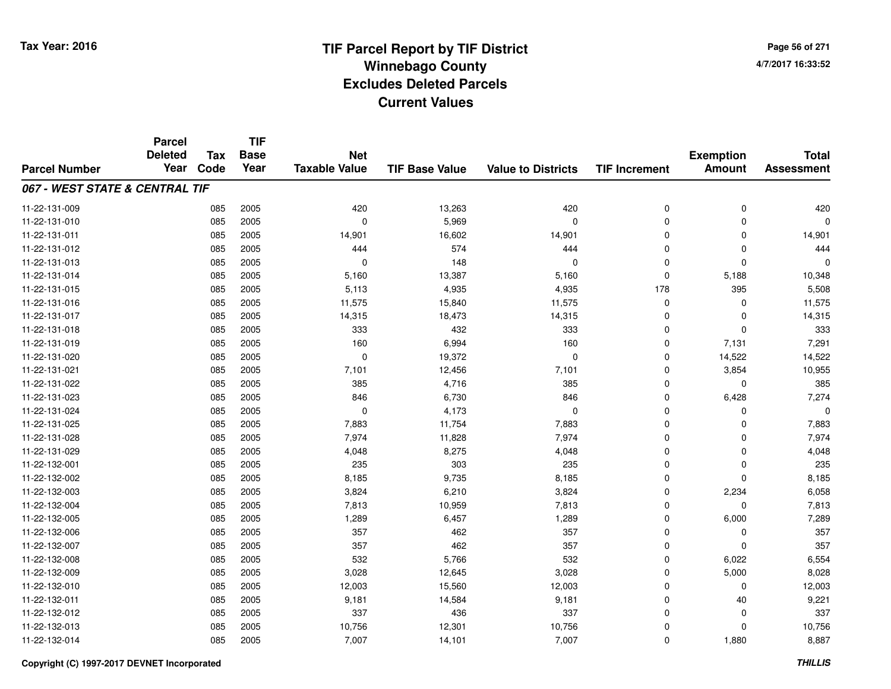**TIF**

**Parcel**

**Page 56 of 2714/7/2017 16:33:52**

| <b>Parcel Number</b>           | <b>Deleted</b><br>Year | Tax<br>Code | <b>Base</b><br>Year | <b>Net</b><br><b>Taxable Value</b> | <b>TIF Base Value</b> | <b>Value to Districts</b> | <b>TIF Increment</b> | <b>Exemption</b><br><b>Amount</b> | <b>Total</b><br><b>Assessment</b> |
|--------------------------------|------------------------|-------------|---------------------|------------------------------------|-----------------------|---------------------------|----------------------|-----------------------------------|-----------------------------------|
| 067 - WEST STATE & CENTRAL TIF |                        |             |                     |                                    |                       |                           |                      |                                   |                                   |
| 11-22-131-009                  |                        | 085         | 2005                | 420                                | 13,263                | 420                       | 0                    | $\mathbf 0$                       | 420                               |
| 11-22-131-010                  |                        | 085         | 2005                | $\mathbf 0$                        | 5,969                 | $\mathbf 0$               | 0                    | $\mathbf 0$                       | 0                                 |
| 11-22-131-011                  |                        | 085         | 2005                | 14,901                             | 16,602                | 14,901                    | $\mathbf 0$          | $\Omega$                          | 14,901                            |
| 11-22-131-012                  |                        | 085         | 2005                | 444                                | 574                   | 444                       | $\Omega$             | $\Omega$                          | 444                               |
| 11-22-131-013                  |                        | 085         | 2005                | $\Omega$                           | 148                   | $\Omega$                  | $\mathbf 0$          | $\Omega$                          | $\Omega$                          |
| 11-22-131-014                  |                        | 085         | 2005                | 5,160                              | 13,387                | 5,160                     | $\mathbf 0$          | 5,188                             | 10,348                            |
| 11-22-131-015                  |                        | 085         | 2005                | 5,113                              | 4,935                 | 4,935                     | 178                  | 395                               | 5,508                             |
| 11-22-131-016                  |                        | 085         | 2005                | 11,575                             | 15,840                | 11,575                    | 0                    | 0                                 | 11,575                            |
| 11-22-131-017                  |                        | 085         | 2005                | 14,315                             | 18,473                | 14,315                    | 0                    | $\Omega$                          | 14,315                            |
| 11-22-131-018                  |                        | 085         | 2005                | 333                                | 432                   | 333                       | 0                    | $\Omega$                          | 333                               |
| 11-22-131-019                  |                        | 085         | 2005                | 160                                | 6,994                 | 160                       | $\mathbf 0$          | 7,131                             | 7,291                             |
| 11-22-131-020                  |                        | 085         | 2005                | $\mathbf 0$                        | 19,372                | $\mathbf 0$               | $\mathbf 0$          | 14,522                            | 14,522                            |
| 11-22-131-021                  |                        | 085         | 2005                | 7,101                              | 12,456                | 7,101                     | $\mathbf 0$          | 3,854                             | 10,955                            |
| 11-22-131-022                  |                        | 085         | 2005                | 385                                | 4,716                 | 385                       | 0                    | $\mathbf 0$                       | 385                               |
| 11-22-131-023                  |                        | 085         | 2005                | 846                                | 6,730                 | 846                       | 0                    | 6,428                             | 7,274                             |
| 11-22-131-024                  |                        | 085         | 2005                | $\mathbf 0$                        | 4,173                 | $\mathbf 0$               | 0                    | $\Omega$                          | 0                                 |
| 11-22-131-025                  |                        | 085         | 2005                | 7,883                              | 11,754                | 7,883                     | 0                    | $\Omega$                          | 7,883                             |
| 11-22-131-028                  |                        | 085         | 2005                | 7,974                              | 11,828                | 7,974                     | 0                    | $\Omega$                          | 7,974                             |
| 11-22-131-029                  |                        | 085         | 2005                | 4,048                              | 8,275                 | 4,048                     | $\mathbf 0$          | $\mathbf 0$                       | 4,048                             |
| 11-22-132-001                  |                        | 085         | 2005                | 235                                | 303                   | 235                       | $\mathbf 0$          | $\Omega$                          | 235                               |
| 11-22-132-002                  |                        | 085         | 2005                | 8,185                              | 9,735                 | 8,185                     | $\mathbf 0$          | $\Omega$                          | 8,185                             |
| 11-22-132-003                  |                        | 085         | 2005                | 3,824                              | 6,210                 | 3,824                     | $\mathbf 0$          | 2,234                             | 6,058                             |
| 11-22-132-004                  |                        | 085         | 2005                | 7,813                              | 10,959                | 7,813                     | 0                    | 0                                 | 7,813                             |
| 11-22-132-005                  |                        | 085         | 2005                | 1,289                              | 6,457                 | 1,289                     | 0                    | 6,000                             | 7,289                             |
| 11-22-132-006                  |                        | 085         | 2005                | 357                                | 462                   | 357                       | 0                    | 0                                 | 357                               |
| 11-22-132-007                  |                        | 085         | 2005                | 357                                | 462                   | 357                       | 0                    | $\mathbf 0$                       | 357                               |
| 11-22-132-008                  |                        | 085         | 2005                | 532                                | 5,766                 | 532                       | $\mathbf 0$          | 6,022                             | 6,554                             |
| 11-22-132-009                  |                        | 085         | 2005                | 3,028                              | 12,645                | 3,028                     | $\mathbf 0$          | 5,000                             | 8,028                             |
| 11-22-132-010                  |                        | 085         | 2005                | 12,003                             | 15,560                | 12,003                    | 0                    | 0                                 | 12,003                            |
| 11-22-132-011                  |                        | 085         | 2005                | 9,181                              | 14,584                | 9,181                     | 0                    | 40                                | 9,221                             |
| 11-22-132-012                  |                        | 085         | 2005                | 337                                | 436                   | 337                       | 0                    | 0                                 | 337                               |
| 11-22-132-013                  |                        | 085         | 2005                | 10,756                             | 12,301                | 10,756                    | 0                    | 0                                 | 10,756                            |
| 11-22-132-014                  |                        | 085         | 2005                | 7,007                              | 14,101                | 7,007                     | 0                    | 1,880                             | 8,887                             |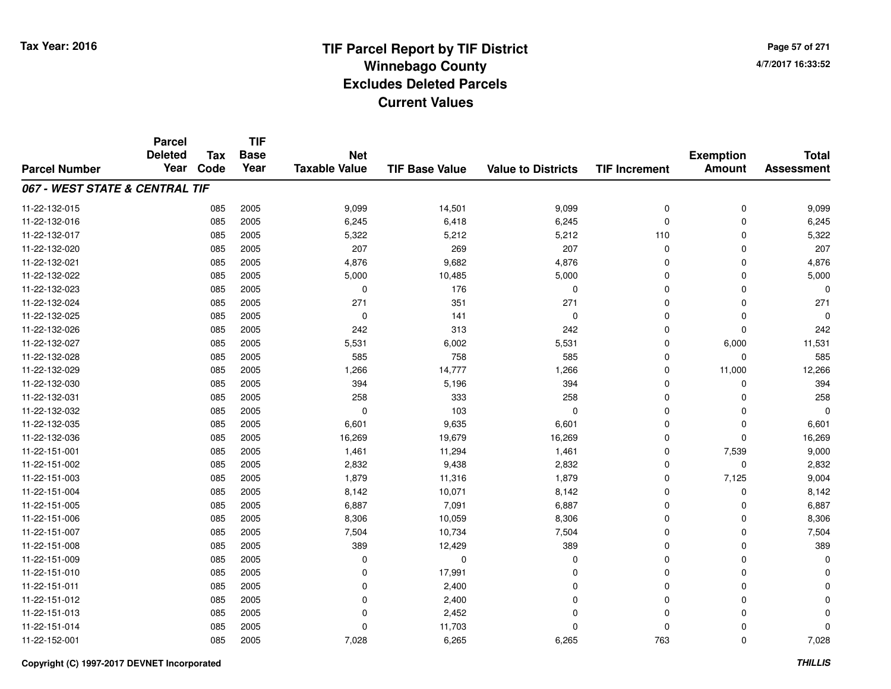**Page 57 of 2714/7/2017 16:33:52**

|                                | <b>Parcel</b><br><b>Deleted</b> | <b>Tax</b> | <b>TIF</b><br><b>Base</b> | <b>Net</b>           |                       |                           |                      |                                   | <b>Total</b>      |
|--------------------------------|---------------------------------|------------|---------------------------|----------------------|-----------------------|---------------------------|----------------------|-----------------------------------|-------------------|
| <b>Parcel Number</b>           | Year                            | Code       | Year                      | <b>Taxable Value</b> | <b>TIF Base Value</b> | <b>Value to Districts</b> | <b>TIF Increment</b> | <b>Exemption</b><br><b>Amount</b> | <b>Assessment</b> |
| 067 - WEST STATE & CENTRAL TIF |                                 |            |                           |                      |                       |                           |                      |                                   |                   |
| 11-22-132-015                  |                                 | 085        | 2005                      | 9,099                | 14,501                | 9,099                     | 0                    | 0                                 | 9,099             |
| 11-22-132-016                  |                                 | 085        | 2005                      | 6,245                | 6,418                 | 6,245                     | 0                    | $\mathbf 0$                       | 6,245             |
| 11-22-132-017                  |                                 | 085        | 2005                      | 5,322                | 5,212                 | 5,212                     | 110                  | $\Omega$                          | 5,322             |
| 11-22-132-020                  |                                 | 085        | 2005                      | 207                  | 269                   | 207                       | 0                    | $\Omega$                          | 207               |
| 11-22-132-021                  |                                 | 085        | 2005                      | 4,876                | 9,682                 | 4,876                     | 0                    | $\Omega$                          | 4,876             |
| 11-22-132-022                  |                                 | 085        | 2005                      | 5,000                | 10,485                | 5,000                     | 0                    | $\Omega$                          | 5,000             |
| 11-22-132-023                  |                                 | 085        | 2005                      | $\mathbf 0$          | 176                   | $\mathbf 0$               | 0                    | $\Omega$                          | $\Omega$          |
| 11-22-132-024                  |                                 | 085        | 2005                      | 271                  | 351                   | 271                       | $\mathbf 0$          | $\Omega$                          | 271               |
| 11-22-132-025                  |                                 | 085        | 2005                      | $\mathbf 0$          | 141                   | $\mathbf 0$               | 0                    | $\mathbf 0$                       | $\Omega$          |
| 11-22-132-026                  |                                 | 085        | 2005                      | 242                  | 313                   | 242                       | $\mathbf 0$          | $\Omega$                          | 242               |
| 11-22-132-027                  |                                 | 085        | 2005                      | 5,531                | 6,002                 | 5,531                     | 0                    | 6,000                             | 11,531            |
| 11-22-132-028                  |                                 | 085        | 2005                      | 585                  | 758                   | 585                       | 0                    | $\mathbf 0$                       | 585               |
| 11-22-132-029                  |                                 | 085        | 2005                      | 1,266                | 14,777                | 1,266                     | 0                    | 11,000                            | 12,266            |
| 11-22-132-030                  |                                 | 085        | 2005                      | 394                  | 5,196                 | 394                       | 0                    | 0                                 | 394               |
| 11-22-132-031                  |                                 | 085        | 2005                      | 258                  | 333                   | 258                       | 0                    | $\Omega$                          | 258               |
| 11-22-132-032                  |                                 | 085        | 2005                      | $\mathbf 0$          | 103                   | $\mathbf 0$               | 0                    | 0                                 | $\Omega$          |
| 11-22-132-035                  |                                 | 085        | 2005                      | 6,601                | 9,635                 | 6,601                     | 0                    | 0                                 | 6,601             |
| 11-22-132-036                  |                                 | 085        | 2005                      | 16,269               | 19,679                | 16,269                    | 0                    | $\mathbf 0$                       | 16,269            |
| 11-22-151-001                  |                                 | 085        | 2005                      | 1,461                | 11,294                | 1,461                     | 0                    | 7,539                             | 9,000             |
| 11-22-151-002                  |                                 | 085        | 2005                      | 2,832                | 9,438                 | 2,832                     | 0                    | $\mathbf 0$                       | 2,832             |
| 11-22-151-003                  |                                 | 085        | 2005                      | 1,879                | 11,316                | 1,879                     | 0                    | 7,125                             | 9,004             |
| 11-22-151-004                  |                                 | 085        | 2005                      | 8,142                | 10,071                | 8,142                     | 0                    | $\mathbf 0$                       | 8,142             |
| 11-22-151-005                  |                                 | 085        | 2005                      | 6,887                | 7,091                 | 6,887                     | 0                    | 0                                 | 6,887             |
| 11-22-151-006                  |                                 | 085        | 2005                      | 8,306                | 10,059                | 8,306                     | 0                    | $\Omega$                          | 8,306             |
| 11-22-151-007                  |                                 | 085        | 2005                      | 7,504                | 10,734                | 7,504                     | 0                    | $\mathbf 0$                       | 7,504             |
| 11-22-151-008                  |                                 | 085        | 2005                      | 389                  | 12,429                | 389                       | 0                    | $\Omega$                          | 389               |
| 11-22-151-009                  |                                 | 085        | 2005                      | 0                    | $\mathbf 0$           | $\mathbf 0$               | 0                    | $\mathbf 0$                       | $\Omega$          |
| 11-22-151-010                  |                                 | 085        | 2005                      | 0                    | 17,991                | $\Omega$                  | 0                    | $\Omega$                          |                   |
| 11-22-151-011                  |                                 | 085        | 2005                      | 0                    | 2,400                 | $\Omega$                  | 0                    | 0                                 |                   |
| 11-22-151-012                  |                                 | 085        | 2005                      | 0                    | 2,400                 | $\Omega$                  | 0                    | $\Omega$                          |                   |
| 11-22-151-013                  |                                 | 085        | 2005                      | $\mathbf 0$          | 2,452                 | $\Omega$                  | $\mathbf 0$          | $\Omega$                          |                   |
| 11-22-151-014                  |                                 | 085        | 2005                      | 0                    | 11,703                | $\Omega$                  | 0                    | $\Omega$                          | O                 |
| 11-22-152-001                  |                                 | 085        | 2005                      | 7,028                | 6,265                 | 6,265                     | 763                  | $\Omega$                          | 7,028             |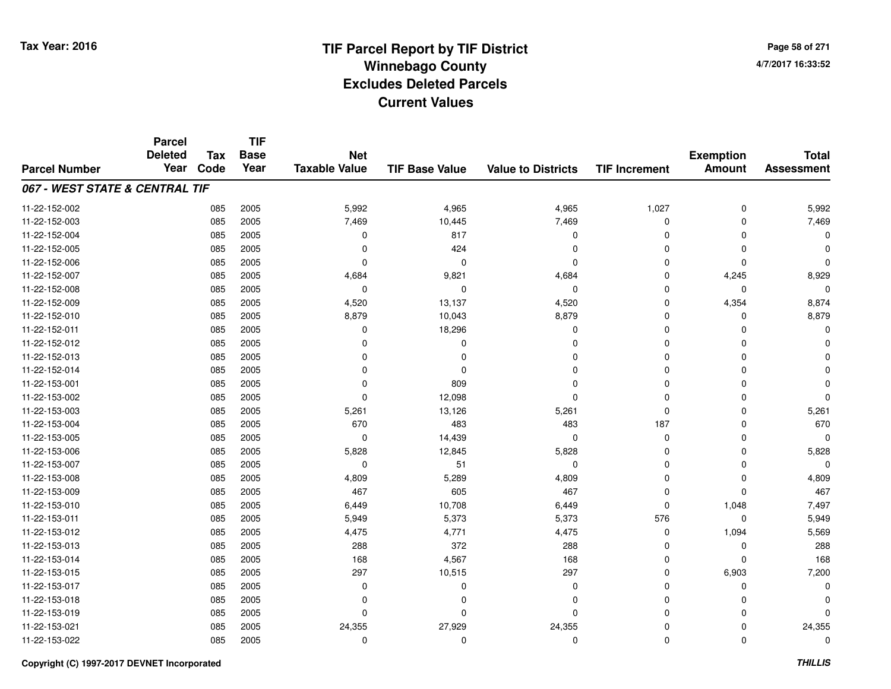# **TIF Parcel Report by TIF District Tax Year: 2016 Winnebago Countyy** and the contract of the contract of the contract of the contract of the contract of the contract of the contract of the contract of the contract of the contract of the contract of the contract of the contract of the co **Excludes Deleted ParcelsCurrent Values**

**Page 58 of 2714/7/2017 16:33:52**

|                                | <b>Parcel</b><br><b>Deleted</b> | <b>Tax</b> | <b>TIF</b><br><b>Base</b> | <b>Net</b>           |                       |                           |                      | <b>Exemption</b> | <b>Total</b>      |
|--------------------------------|---------------------------------|------------|---------------------------|----------------------|-----------------------|---------------------------|----------------------|------------------|-------------------|
| <b>Parcel Number</b>           | Year                            | Code       | Year                      | <b>Taxable Value</b> | <b>TIF Base Value</b> | <b>Value to Districts</b> | <b>TIF Increment</b> | <b>Amount</b>    | <b>Assessment</b> |
| 067 - WEST STATE & CENTRAL TIF |                                 |            |                           |                      |                       |                           |                      |                  |                   |
| 11-22-152-002                  |                                 | 085        | 2005                      | 5,992                | 4,965                 | 4,965                     | 1,027                | $\mathbf 0$      | 5,992             |
| 11-22-152-003                  |                                 | 085        | 2005                      | 7,469                | 10,445                | 7,469                     | 0                    | $\mathbf 0$      | 7,469             |
| 11-22-152-004                  |                                 | 085        | 2005                      | 0                    | 817                   | $\mathbf 0$               | $\mathbf 0$          | $\Omega$         | $\Omega$          |
| 11-22-152-005                  |                                 | 085        | 2005                      | 0                    | 424                   | 0                         | 0                    | $\Omega$         | $\Omega$          |
| 11-22-152-006                  |                                 | 085        | 2005                      | $\Omega$             | $\Omega$              | $\Omega$                  | $\mathbf 0$          | $\Omega$         | $\Omega$          |
| 11-22-152-007                  |                                 | 085        | 2005                      | 4,684                | 9,821                 | 4,684                     | 0                    | 4,245            | 8,929             |
| 11-22-152-008                  |                                 | 085        | 2005                      | $\mathbf 0$          | $\Omega$              | $\mathbf 0$               | $\mathbf 0$          | $\mathbf 0$      | $\Omega$          |
| 11-22-152-009                  |                                 | 085        | 2005                      | 4,520                | 13,137                | 4,520                     | $\mathbf 0$          | 4,354            | 8,874             |
| 11-22-152-010                  |                                 | 085        | 2005                      | 8,879                | 10,043                | 8,879                     | $\mathbf 0$          | $\Omega$         | 8,879             |
| 11-22-152-011                  |                                 | 085        | 2005                      | 0                    | 18,296                | $\mathbf 0$               | $\mathbf 0$          | $\Omega$         | $\Omega$          |
| 11-22-152-012                  |                                 | 085        | 2005                      | $\Omega$             | 0                     | $\Omega$                  | $\Omega$             | $\Omega$         |                   |
| 11-22-152-013                  |                                 | 085        | 2005                      | 0                    | $\Omega$              | 0                         | 0                    | $\Omega$         |                   |
| 11-22-152-014                  |                                 | 085        | 2005                      | $\Omega$             | $\Omega$              | $\Omega$                  | $\mathbf 0$          | $\Omega$         |                   |
| 11-22-153-001                  |                                 | 085        | 2005                      | $\Omega$             | 809                   | 0                         | 0                    | $\Omega$         |                   |
| 11-22-153-002                  |                                 | 085        | 2005                      | 0                    | 12,098                | $\Omega$                  | $\mathbf 0$          | $\Omega$         | $\Omega$          |
| 11-22-153-003                  |                                 | 085        | 2005                      | 5,261                | 13,126                | 5,261                     | 0                    | $\Omega$         | 5,261             |
| 11-22-153-004                  |                                 | 085        | 2005                      | 670                  | 483                   | 483                       | 187                  | $\Omega$         | 670               |
| 11-22-153-005                  |                                 | 085        | 2005                      | 0                    | 14,439                | $\mathbf 0$               | 0                    | 0                | 0                 |
| 11-22-153-006                  |                                 | 085        | 2005                      | 5,828                | 12,845                | 5,828                     | 0                    | 0                | 5,828             |
| 11-22-153-007                  |                                 | 085        | 2005                      | 0                    | 51                    | $\mathbf 0$               | 0                    | 0                | $\Omega$          |
| 11-22-153-008                  |                                 | 085        | 2005                      | 4,809                | 5,289                 | 4,809                     | 0                    | 0                | 4,809             |
| 11-22-153-009                  |                                 | 085        | 2005                      | 467                  | 605                   | 467                       | 0                    | $\mathbf 0$      | 467               |
| 11-22-153-010                  |                                 | 085        | 2005                      | 6,449                | 10,708                | 6,449                     | $\mathbf 0$          | 1,048            | 7,497             |
| 11-22-153-011                  |                                 | 085        | 2005                      | 5,949                | 5,373                 | 5,373                     | 576                  | $\mathbf 0$      | 5,949             |
| 11-22-153-012                  |                                 | 085        | 2005                      | 4,475                | 4,771                 | 4,475                     | 0                    | 1,094            | 5,569             |
| 11-22-153-013                  |                                 | 085        | 2005                      | 288                  | 372                   | 288                       | 0                    | $\mathbf 0$      | 288               |
| 11-22-153-014                  |                                 | 085        | 2005                      | 168                  | 4,567                 | 168                       | 0                    | $\Omega$         | 168               |
| 11-22-153-015                  |                                 | 085        | 2005                      | 297                  | 10,515                | 297                       | 0                    | 6,903            | 7,200             |
| 11-22-153-017                  |                                 | 085        | 2005                      | 0                    | 0                     | 0                         | $\mathbf 0$          | $\Omega$         | $\Omega$          |
| 11-22-153-018                  |                                 | 085        | 2005                      | 0                    | 0                     | $\mathbf 0$               | 0                    | $\Omega$         |                   |
| 11-22-153-019                  |                                 | 085        | 2005                      | $\Omega$             | $\Omega$              | $\Omega$                  | $\mathbf 0$          | $\Omega$         | $\Omega$          |
| 11-22-153-021                  |                                 | 085        | 2005                      | 24,355               | 27,929                | 24,355                    | 0                    | $\Omega$         | 24,355            |
| 11-22-153-022                  |                                 | 085        | 2005                      | $\Omega$             | $\mathbf 0$           | $\mathbf 0$               | $\mathbf 0$          | $\Omega$         | 0                 |

#### **Copyright (C) 1997-2017 DEVNET Incorporated**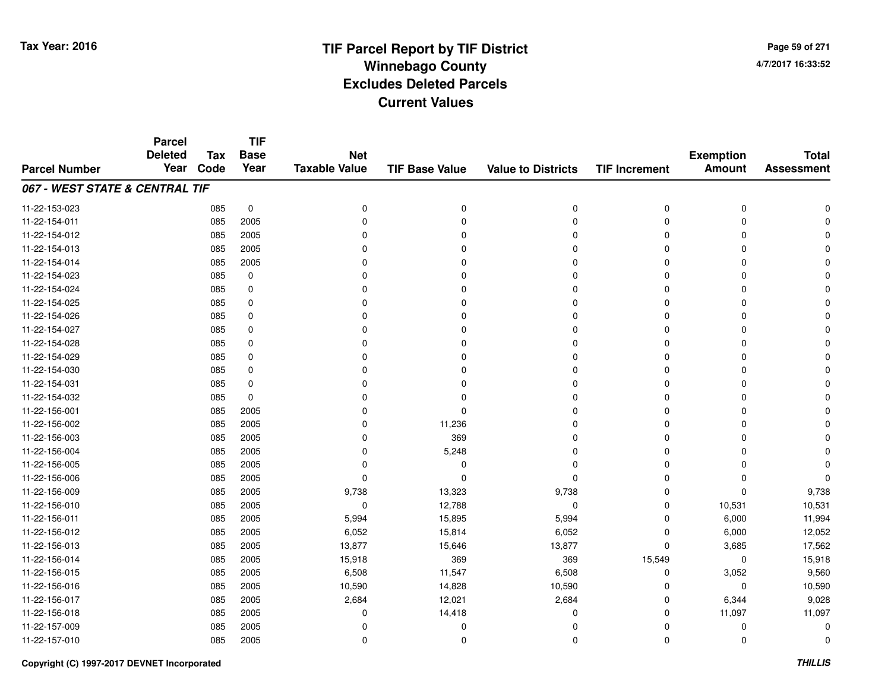**Page 59 of 2714/7/2017 16:33:52**

#### **TIF Base ValueParcel NumberTotal AssessmentExemption Amount Value to Districts TIF IncrementTIF Base YearTax CodeParcel Deleted YearNet Taxable Value067 - WEST STATE & CENTRAL TIF**11-22-153-023 <sup>085</sup> <sup>0</sup> <sup>0</sup> <sup>0</sup> <sup>0</sup> <sup>0</sup> <sup>0</sup> <sup>0</sup> 11-22-154-011 <sup>085</sup> <sup>0</sup> <sup>2005</sup> <sup>0</sup> <sup>0</sup> <sup>0</sup> <sup>0</sup> <sup>0</sup> 11-22-154-012 <sup>085</sup> <sup>0</sup> <sup>2005</sup> <sup>0</sup> <sup>0</sup> <sup>0</sup> <sup>0</sup> <sup>0</sup> 11-22-154-013 <sup>085</sup> <sup>0</sup> <sup>2005</sup> <sup>0</sup> <sup>0</sup> <sup>0</sup> <sup>0</sup> <sup>0</sup> 11-22-154-014 <sup>085</sup> <sup>0</sup> <sup>2005</sup> <sup>0</sup> <sup>0</sup> <sup>0</sup> <sup>0</sup> <sup>0</sup> 11-22-154-023 <sup>085</sup> <sup>0</sup> <sup>0</sup> <sup>0</sup> <sup>0</sup> <sup>0</sup> <sup>0</sup> <sup>0</sup> 11-22-154-024 <sup>085</sup> <sup>0</sup> <sup>0</sup> <sup>0</sup> <sup>0</sup> <sup>0</sup> <sup>0</sup> <sup>0</sup> 11-22-154-025 <sup>085</sup> <sup>0</sup> <sup>0</sup> <sup>0</sup> <sup>0</sup> <sup>0</sup> <sup>0</sup> <sup>0</sup> 11-22-154-026 <sup>085</sup> <sup>0</sup> <sup>0</sup> <sup>0</sup> <sup>0</sup> <sup>0</sup> <sup>0</sup> <sup>0</sup> 11-22-154-027 <sup>085</sup> <sup>0</sup> <sup>0</sup> <sup>0</sup> <sup>0</sup> <sup>0</sup> <sup>0</sup> <sup>0</sup> 11-22-154-028 <sup>085</sup> <sup>0</sup> <sup>0</sup> <sup>0</sup> <sup>0</sup> <sup>0</sup> <sup>0</sup> <sup>0</sup> 11-22-154-029 <sup>085</sup> <sup>0</sup> <sup>0</sup> <sup>0</sup> <sup>0</sup> <sup>0</sup> <sup>0</sup> <sup>0</sup> 11-22-154-030 <sup>085</sup> <sup>0</sup> <sup>0</sup> <sup>0</sup> <sup>0</sup> <sup>0</sup> <sup>0</sup> <sup>0</sup> 11-22-154-031 <sup>085</sup> <sup>0</sup> <sup>0</sup> <sup>0</sup> <sup>0</sup> <sup>0</sup> <sup>0</sup> <sup>0</sup> 11-22-154-032 <sup>085</sup> <sup>0</sup> <sup>0</sup> <sup>0</sup> <sup>0</sup> <sup>0</sup> <sup>0</sup> <sup>0</sup> 11-22-156-001 <sup>085</sup> <sup>0</sup> <sup>2005</sup> <sup>0</sup> <sup>0</sup> <sup>0</sup> <sup>0</sup> <sup>0</sup> 11-22-156-0022 085 2005 0 11,236 0 0 0 0 11-22-156-0033 085 2005 0 369 0 0 0 0 11-22-156-004 $\frac{4}{10}$  085 2005 0 0 5,248 0 0 0 0 0 0 0 11-22-156-005 <sup>085</sup> <sup>0</sup> <sup>2005</sup> <sup>0</sup> <sup>0</sup> <sup>0</sup> <sup>0</sup> <sup>0</sup> 11-22-156-006 <sup>085</sup> <sup>0</sup> <sup>2005</sup> <sup>0</sup> <sup>0</sup> <sup>0</sup> <sup>0</sup> <sup>0</sup> 11-22-156-009 <sup>085</sup> 9,738 <sup>2005</sup> 13,323 9,738 <sup>0</sup> <sup>0</sup> 9,738 11-22-156-0100 085 2005 0 12,788 0 0 10,531 10,531 11-22-156-0111 085 2005 5,994 15,895 5,994 0 6,000 11,994 11-22-156-0122 085 2005 6,052 15,814 6,052 0 6,000 12,052 11-22-156-0133 085 2005 13,877 15,646 13,877 0 3,685 17,562 11-22-156-014 <sup>085</sup> 15,918 <sup>2005</sup> <sup>369</sup> <sup>369</sup> 15,549 <sup>0</sup> 15,918 11-22-156-015 <sup>085</sup> 6,508 <sup>2005</sup> 11,547 6,508 <sup>0</sup> 3,052 9,560 11-22-156-016 <sup>085</sup> 10,590 <sup>2005</sup> 14,828 10,590 <sup>0</sup> <sup>0</sup> 10,590 11-22-156-017 <sup>085</sup> 2,684 <sup>2005</sup> 12,021 2,684 <sup>0</sup> 6,344 9,028 11-22-156-0188 085 2005 0 14,418 0 11,097 11-22-157-009 <sup>085</sup> <sup>0</sup> <sup>2005</sup> <sup>0</sup> <sup>0</sup> <sup>0</sup> <sup>0</sup> <sup>0</sup> 11-22-157-010<sup>085</sup> <sup>0</sup> <sup>2005</sup> <sup>0</sup> <sup>0</sup> <sup>0</sup> <sup>0</sup> <sup>0</sup>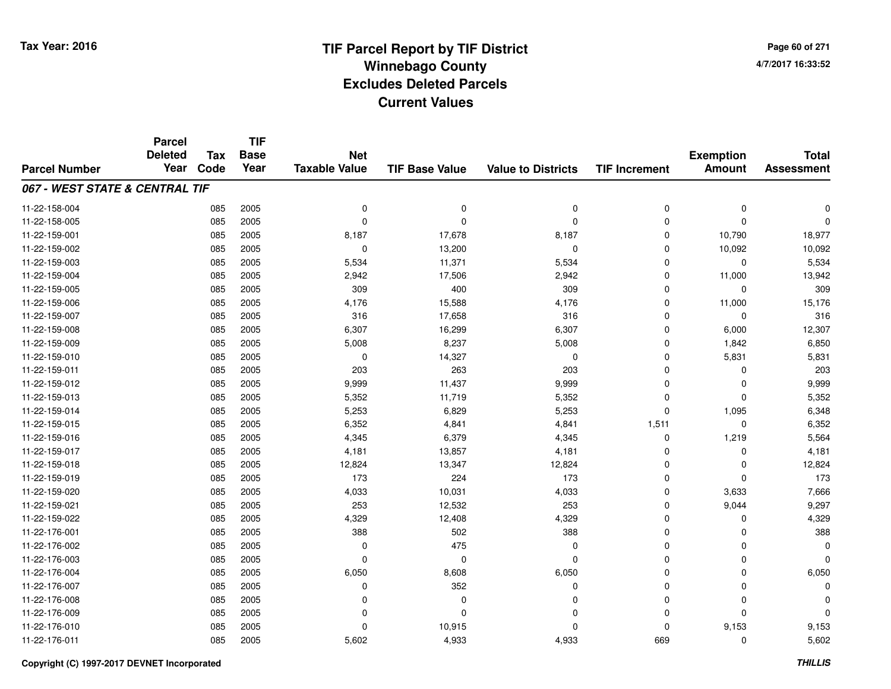**Page 60 of 2714/7/2017 16:33:52**

#### **TIF Base ValueParcel NumberTotal AssessmentExemption Amount Value to Districts TIF IncrementTIF Base YearTax CodeParcel Deleted YearNet Taxable Value067 - WEST STATE & CENTRAL TIF**11-22-158-004 <sup>085</sup> <sup>0</sup> <sup>2005</sup> <sup>0</sup> <sup>0</sup> <sup>0</sup> <sup>0</sup> <sup>0</sup> 11-22-158-005 <sup>085</sup> <sup>0</sup> <sup>2005</sup> <sup>0</sup> <sup>0</sup> <sup>0</sup> <sup>0</sup> <sup>0</sup> 11-22-159-001 <sup>085</sup> 8,187 <sup>2005</sup> 17,678 8,187 <sup>0</sup> 10,790 18,977 11-22-159-002 <sup>085</sup> <sup>0</sup> <sup>2005</sup> 13,200 <sup>0</sup> <sup>0</sup> 10,092 10,092 11-22-159-0033 085 2005 5,534 11,371 5,534 0 0 5,534 11-22-159-004 <sup>085</sup> 2,942 <sup>2005</sup> 17,506 2,942 <sup>0</sup> 11,000 13,942 11-22-159-005 <sup>085</sup> <sup>309</sup> <sup>2005</sup> <sup>400</sup> <sup>309</sup> <sup>0</sup> <sup>0</sup> <sup>309</sup> 11-22-159-006 <sup>085</sup> 4,176 <sup>2005</sup> 15,588 4,176 <sup>0</sup> 11,000 15,176 11-22-159-0077 085 2005 316 17,658 316 0 0 316 11-22-159-0088 085 2005 6,307 16,299 6,307 0 6,000 12,307 11-22-159-0099 085 2005 5,008 8,237 5,008 0 1,842 6,850 11-22-159-0100 085 2005 0 14,327 0 0 5,831 5,831 11-22-159-011 <sup>085</sup> <sup>203</sup> <sup>2005</sup> <sup>263</sup> <sup>203</sup> <sup>0</sup> <sup>0</sup> <sup>203</sup> 11-22-159-012 <sup>085</sup> 9,999 <sup>2005</sup> 11,437 9,999 <sup>0</sup> <sup>0</sup> 9,999 11-22-159-013 <sup>085</sup> 5,352 <sup>2005</sup> 11,719 5,352 <sup>0</sup> <sup>0</sup> 5,352 11-22-159-014 <sup>085</sup> 5,253 <sup>2005</sup> 6,829 5,253 <sup>0</sup> 1,095 6,348 11-22-159-015 <sup>085</sup> 6,352 <sup>2005</sup> 4,841 4,841 1,511 <sup>0</sup> 6,352 11-22-159-0166 085 2005 4,345 6,379 4,345 0 1,219 5,564 11-22-159-0177 085 2005 4,181 13,857 4,181 0 0 4,181 11-22-159-018 <sup>085</sup> 12,824 <sup>2005</sup> 13,347 12,824 <sup>0</sup> <sup>0</sup> 12,824 11-22-159-0199 085 2005 173 224 173 0 0 173 11-22-159-0200 085 2005 4,033 10,031 4,033 0 3,633 7,666 11-22-159-0211 085 2005 253 12,532 253 0 9,044 9,297 11-22-159-0222 085 2005 4,329 12,408 4,329 0 0 4,329 11-22-176-0011 085 2005 388 502 388 0 0 388 11-22-176-0022 085 2005 0 475 0 0 0 11-22-176-003 <sup>085</sup> <sup>0</sup> <sup>2005</sup> <sup>0</sup> <sup>0</sup> <sup>0</sup> <sup>0</sup> <sup>0</sup> 11-22-176-004 <sup>085</sup> 6,050 <sup>2005</sup> 8,608 6,050 <sup>0</sup> <sup>0</sup> 6,050 11-22-176-007 <sup>085</sup> <sup>0</sup> <sup>2005</sup> <sup>352</sup> <sup>0</sup> <sup>0</sup> <sup>0</sup> <sup>0</sup> 11-22-176-008 <sup>085</sup> <sup>0</sup> <sup>2005</sup> <sup>0</sup> <sup>0</sup> <sup>0</sup> <sup>0</sup> <sup>0</sup> 11-22-176-009 <sup>085</sup> <sup>0</sup> <sup>2005</sup> <sup>0</sup> <sup>0</sup> <sup>0</sup> <sup>0</sup> <sup>0</sup> 11-22-176-0100 085 2005 0 10,915 0 0 9,153 9,153 11-22-176-0111 085 2005 5,602 4,933 4,933 669 0 5,602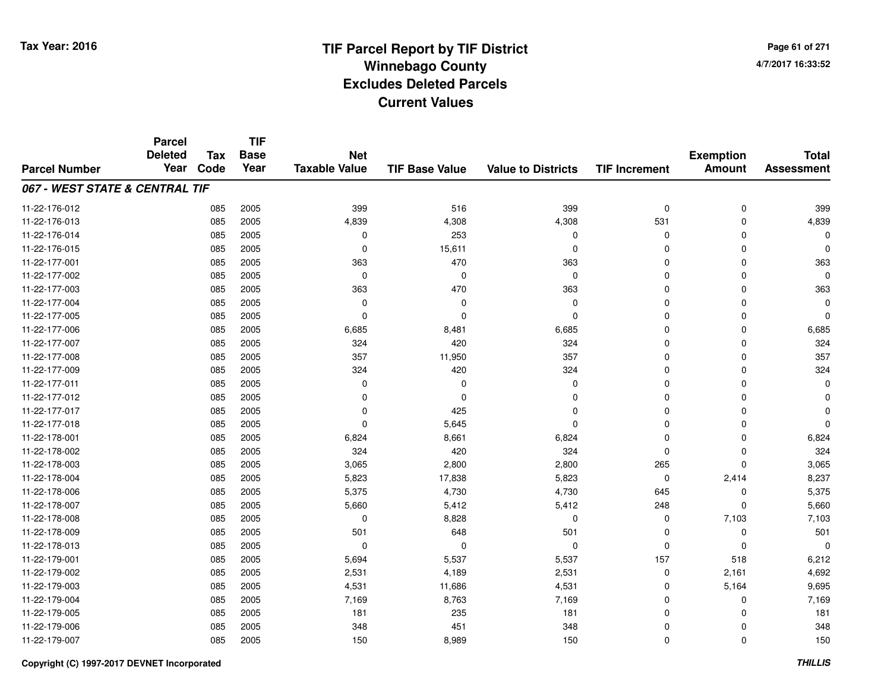**TIF**

**Parcel**

**Page 61 of 2714/7/2017 16:33:52**

| <b>Parcel Number</b>           | <b>Deleted</b><br>Year | <b>Tax</b><br>Code | <b>Base</b><br>Year | <b>Net</b><br><b>Taxable Value</b> | <b>TIF Base Value</b> | <b>Value to Districts</b> | <b>TIF Increment</b> | <b>Exemption</b><br><b>Amount</b> | <b>Total</b><br><b>Assessment</b> |
|--------------------------------|------------------------|--------------------|---------------------|------------------------------------|-----------------------|---------------------------|----------------------|-----------------------------------|-----------------------------------|
| 067 - WEST STATE & CENTRAL TIF |                        |                    |                     |                                    |                       |                           |                      |                                   |                                   |
| 11-22-176-012                  |                        | 085                | 2005                | 399                                | 516                   | 399                       | $\mathbf 0$          | $\mathbf 0$                       | 399                               |
| 11-22-176-013                  |                        | 085                | 2005                | 4,839                              | 4,308                 | 4,308                     | 531                  | $\mathbf 0$                       | 4,839                             |
| 11-22-176-014                  |                        | 085                | 2005                | 0                                  | 253                   | $\mathbf 0$               | 0                    | $\Omega$                          |                                   |
| 11-22-176-015                  |                        | 085                | 2005                | 0                                  | 15,611                | $\mathbf 0$               | $\Omega$             | 0                                 | 0                                 |
| 11-22-177-001                  |                        | 085                | 2005                | 363                                | 470                   | 363                       | $\Omega$             | 0                                 | 363                               |
| 11-22-177-002                  |                        | 085                | 2005                | $\mathbf 0$                        | $\mathbf 0$           | $\mathbf 0$               | $\Omega$             | $\Omega$                          | $\Omega$                          |
| 11-22-177-003                  |                        | 085                | 2005                | 363                                | 470                   | 363                       | $\Omega$             | $\Omega$                          | 363                               |
| 11-22-177-004                  |                        | 085                | 2005                | 0                                  | 0                     | $\mathbf 0$               | $\Omega$             | $\Omega$                          | $\Omega$                          |
| 11-22-177-005                  |                        | 085                | 2005                | $\Omega$                           | $\Omega$              | $\mathbf 0$               | $\Omega$             | $\Omega$                          | $\Omega$                          |
| 11-22-177-006                  |                        | 085                | 2005                | 6,685                              | 8,481                 | 6,685                     | 0                    | $\Omega$                          | 6,685                             |
| 11-22-177-007                  |                        | 085                | 2005                | 324                                | 420                   | 324                       | 0                    | $\Omega$                          | 324                               |
| 11-22-177-008                  |                        | 085                | 2005                | 357                                | 11,950                | 357                       | 0                    | $\Omega$                          | 357                               |
| 11-22-177-009                  |                        | 085                | 2005                | 324                                | 420                   | 324                       | $\Omega$             | $\Omega$                          | 324                               |
| 11-22-177-011                  |                        | 085                | 2005                | 0                                  | 0                     | 0                         | $\Omega$             | $\Omega$                          | 0                                 |
| 11-22-177-012                  |                        | 085                | 2005                | $\Omega$                           | $\Omega$              | $\Omega$                  | $\Omega$             | $\Omega$                          | U                                 |
| 11-22-177-017                  |                        | 085                | 2005                | $\Omega$                           | 425                   | $\Omega$                  | $\Omega$             | $\Omega$                          | O                                 |
| 11-22-177-018                  |                        | 085                | 2005                | $\Omega$                           | 5,645                 | $\Omega$                  | $\Omega$             | $\Omega$                          | $\Omega$                          |
| 11-22-178-001                  |                        | 085                | 2005                | 6,824                              | 8,661                 | 6,824                     | $\Omega$             | $\Omega$                          | 6,824                             |
| 11-22-178-002                  |                        | 085                | 2005                | 324                                | 420                   | 324                       | $\Omega$             | $\Omega$                          | 324                               |
| 11-22-178-003                  |                        | 085                | 2005                | 3,065                              | 2,800                 | 2,800                     | 265                  | $\Omega$                          | 3,065                             |
| 11-22-178-004                  |                        | 085                | 2005                | 5,823                              | 17,838                | 5,823                     | $\mathbf 0$          | 2,414                             | 8,237                             |
| 11-22-178-006                  |                        | 085                | 2005                | 5,375                              | 4,730                 | 4,730                     | 645                  | 0                                 | 5,375                             |
| 11-22-178-007                  |                        | 085                | 2005                | 5,660                              | 5,412                 | 5,412                     | 248                  | $\Omega$                          | 5,660                             |
| 11-22-178-008                  |                        | 085                | 2005                | 0                                  | 8,828                 | $\mathbf 0$               | 0                    | 7,103                             | 7,103                             |
| 11-22-178-009                  |                        | 085                | 2005                | 501                                | 648                   | 501                       | $\Omega$             | $\mathbf{0}$                      | 501                               |
| 11-22-178-013                  |                        | 085                | 2005                | $\Omega$                           | $\Omega$              | $\mathbf{0}$              | $\mathbf 0$          | $\Omega$                          | $\Omega$                          |
| 11-22-179-001                  |                        | 085                | 2005                | 5,694                              | 5,537                 | 5,537                     | 157                  | 518                               | 6,212                             |
| 11-22-179-002                  |                        | 085                | 2005                | 2,531                              | 4,189                 | 2,531                     | 0                    | 2,161                             | 4,692                             |
| 11-22-179-003                  |                        | 085                | 2005                | 4,531                              | 11,686                | 4,531                     | $\Omega$             | 5,164                             | 9,695                             |
| 11-22-179-004                  |                        | 085                | 2005                | 7,169                              | 8,763                 | 7,169                     | 0                    | $\Omega$                          | 7,169                             |
| 11-22-179-005                  |                        | 085                | 2005                | 181                                | 235                   | 181                       | $\mathbf 0$          | $\Omega$                          | 181                               |
| 11-22-179-006                  |                        | 085                | 2005                | 348                                | 451                   | 348                       | $\mathbf 0$          | $\Omega$                          | 348                               |
| 11-22-179-007                  |                        | 085                | 2005                | 150                                | 8,989                 | 150                       | $\mathbf 0$          | $\mathbf{0}$                      | 150                               |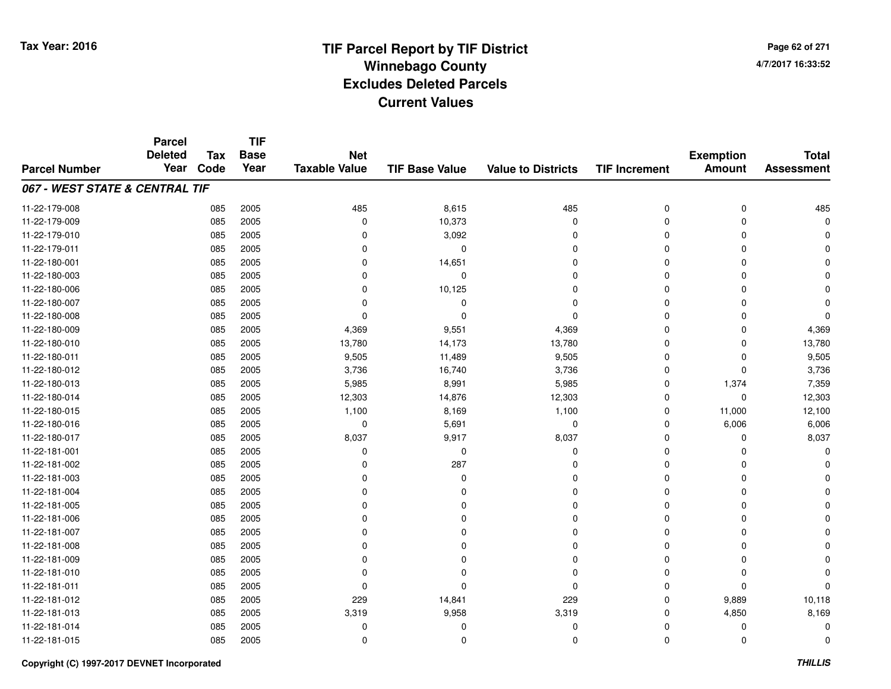**TIF**

**Parcel**

**Page 62 of 2714/7/2017 16:33:52**

| <b>Parcel Number</b>           | <b>Deleted</b><br>Year | <b>Tax</b><br>Code | .<br><b>Base</b><br>Year | <b>Net</b><br><b>Taxable Value</b> | <b>TIF Base Value</b> | <b>Value to Districts</b> | <b>TIF Increment</b> | <b>Exemption</b><br><b>Amount</b> | <b>Total</b><br><b>Assessment</b> |
|--------------------------------|------------------------|--------------------|--------------------------|------------------------------------|-----------------------|---------------------------|----------------------|-----------------------------------|-----------------------------------|
| 067 - WEST STATE & CENTRAL TIF |                        |                    |                          |                                    |                       |                           |                      |                                   |                                   |
| 11-22-179-008                  |                        | 085                | 2005                     | 485                                | 8,615                 | 485                       | 0                    | $\mathbf 0$                       | 485                               |
| 11-22-179-009                  |                        | 085                | 2005                     | $\Omega$                           | 10,373                | $\mathbf 0$               | 0                    | 0                                 | 0                                 |
| 11-22-179-010                  |                        | 085                | 2005                     | $\Omega$                           | 3,092                 | 0                         | 0                    | $\Omega$                          |                                   |
| 11-22-179-011                  |                        | 085                | 2005                     | 0                                  | 0                     | $\Omega$                  | $\Omega$             | O                                 |                                   |
| 11-22-180-001                  |                        | 085                | 2005                     | $\Omega$                           | 14,651                | $\Omega$                  | $\Omega$             | O                                 |                                   |
| 11-22-180-003                  |                        | 085                | 2005                     | $\Omega$                           | 0                     | $\Omega$                  | $\Omega$             | $\Omega$                          |                                   |
| 11-22-180-006                  |                        | 085                | 2005                     | $\Omega$                           | 10,125                | $\mathbf 0$               | $\Omega$             | $\Omega$                          |                                   |
| 11-22-180-007                  |                        | 085                | 2005                     | $\Omega$                           | 0                     | 0                         | $\Omega$             | O                                 |                                   |
| 11-22-180-008                  |                        | 085                | 2005                     | $\Omega$                           | $\Omega$              | $\Omega$                  | $\Omega$             | $\Omega$                          |                                   |
| 11-22-180-009                  |                        | 085                | 2005                     | 4,369                              | 9,551                 | 4,369                     | $\Omega$             | $\Omega$                          | 4,369                             |
| 11-22-180-010                  |                        | 085                | 2005                     | 13,780                             | 14,173                | 13,780                    | $\Omega$             | $\Omega$                          | 13,780                            |
| 11-22-180-011                  |                        | 085                | 2005                     | 9,505                              | 11,489                | 9,505                     | $\Omega$             | $\Omega$                          | 9,505                             |
| 11-22-180-012                  |                        | 085                | 2005                     | 3,736                              | 16,740                | 3,736                     | $\Omega$             | $\Omega$                          | 3,736                             |
| 11-22-180-013                  |                        | 085                | 2005                     | 5,985                              | 8,991                 | 5,985                     | $\Omega$             | 1,374                             | 7,359                             |
| 11-22-180-014                  |                        | 085                | 2005                     | 12,303                             | 14,876                | 12,303                    | $\Omega$             | 0                                 | 12,303                            |
| 11-22-180-015                  |                        | 085                | 2005                     | 1,100                              | 8,169                 | 1,100                     | 0                    | 11,000                            | 12,100                            |
| 11-22-180-016                  |                        | 085                | 2005                     | 0                                  | 5,691                 | $\pmb{0}$                 | 0                    | 6,006                             | 6,006                             |
| 11-22-180-017                  |                        | 085                | 2005                     | 8,037                              | 9,917                 | 8,037                     | $\Omega$             | $\Omega$                          | 8,037                             |
| 11-22-181-001                  |                        | 085                | 2005                     | $\Omega$                           | 0                     | 0                         | $\Omega$             | $\Omega$                          | U                                 |
| 11-22-181-002                  |                        | 085                | 2005                     | $\Omega$                           | 287                   | 0                         | $\Omega$             | O                                 |                                   |
| 11-22-181-003                  |                        | 085                | 2005                     | O                                  | $\Omega$              | $\Omega$                  | $\Omega$             | O                                 |                                   |
| 11-22-181-004                  |                        | 085                | 2005                     | $\Omega$                           | $\Omega$              | $\Omega$                  | $\Omega$             | $\Omega$                          |                                   |
| 11-22-181-005                  |                        | 085                | 2005                     | $\Omega$                           | $\Omega$              | $\Omega$                  | $\Omega$             | $\Omega$                          |                                   |
| 11-22-181-006                  |                        | 085                | 2005                     | $\Omega$                           | $\Omega$              | $\Omega$                  | $\Omega$             | O                                 |                                   |
| 11-22-181-007                  |                        | 085                | 2005                     | $\Omega$                           | $\Omega$              | $\Omega$                  | $\Omega$             | O                                 |                                   |
| 11-22-181-008                  |                        | 085                | 2005                     | $\Omega$                           | $\Omega$              | $\Omega$                  | $\Omega$             | O                                 |                                   |
| 11-22-181-009                  |                        | 085                | 2005                     | $\Omega$                           | $\Omega$              | $\mathbf 0$               | $\Omega$             | 0                                 |                                   |
| 11-22-181-010                  |                        | 085                | 2005                     | $\Omega$                           | $\Omega$              | $\mathbf 0$               | $\Omega$             | $\Omega$                          |                                   |
| 11-22-181-011                  |                        | 085                | 2005                     | $\Omega$                           | $\Omega$              | $\mathbf 0$               | $\Omega$             | $\Omega$                          | O                                 |
| 11-22-181-012                  |                        | 085                | 2005                     | 229                                | 14,841                | 229                       | 0                    | 9,889                             | 10,118                            |
| 11-22-181-013                  |                        | 085                | 2005                     | 3,319                              | 9,958                 | 3,319                     | $\Omega$             | 4,850                             | 8,169                             |
| 11-22-181-014                  |                        | 085                | 2005                     | $\Omega$                           | 0                     | 0                         | $\Omega$             | $\Omega$                          | U                                 |
| 11-22-181-015                  |                        | 085                | 2005                     | 0                                  | 0                     | $\mathbf 0$               | $\mathbf 0$          | $\mathbf 0$                       | 0                                 |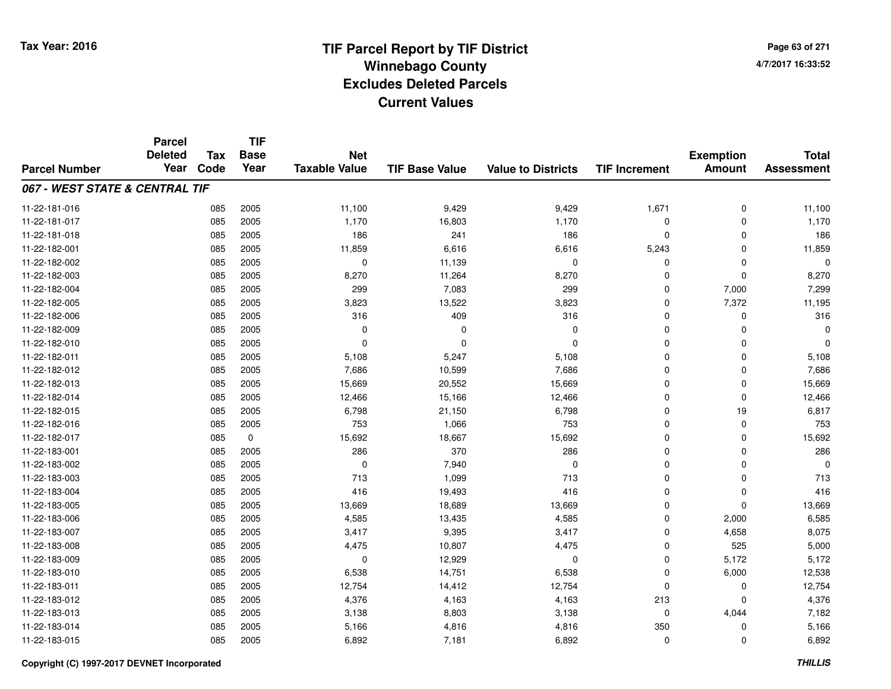**TIF**

**Parcel**

**Page 63 of 2714/7/2017 16:33:52**

| <b>Parcel Number</b>           | <b>Deleted</b><br>Year | Tax<br>Code | <b>Base</b><br>Year | <b>Net</b><br><b>Taxable Value</b> | <b>TIF Base Value</b> | <b>Value to Districts</b> | <b>TIF Increment</b> | <b>Exemption</b><br><b>Amount</b> | <b>Total</b><br><b>Assessment</b> |
|--------------------------------|------------------------|-------------|---------------------|------------------------------------|-----------------------|---------------------------|----------------------|-----------------------------------|-----------------------------------|
| 067 - WEST STATE & CENTRAL TIF |                        |             |                     |                                    |                       |                           |                      |                                   |                                   |
| 11-22-181-016                  |                        | 085         | 2005                | 11,100                             | 9,429                 | 9,429                     | 1,671                | $\mathbf 0$                       | 11,100                            |
| 11-22-181-017                  |                        | 085         | 2005                | 1,170                              | 16,803                | 1,170                     | 0                    | 0                                 | 1,170                             |
| 11-22-181-018                  |                        | 085         | 2005                | 186                                | 241                   | 186                       | 0                    | $\Omega$                          | 186                               |
| 11-22-182-001                  |                        | 085         | 2005                | 11,859                             | 6,616                 | 6,616                     | 5,243                | $\Omega$                          | 11,859                            |
| 11-22-182-002                  |                        | 085         | 2005                | $\mathbf 0$                        | 11,139                | $\mathbf 0$               | $\mathbf 0$          | $\Omega$                          | $\Omega$                          |
| 11-22-182-003                  |                        | 085         | 2005                | 8,270                              | 11,264                | 8,270                     | $\mathbf 0$          | $\Omega$                          | 8,270                             |
| 11-22-182-004                  |                        | 085         | 2005                | 299                                | 7,083                 | 299                       | $\mathbf 0$          | 7,000                             | 7,299                             |
| 11-22-182-005                  |                        | 085         | 2005                | 3,823                              | 13,522                | 3,823                     | $\mathbf 0$          | 7,372                             | 11,195                            |
| 11-22-182-006                  |                        | 085         | 2005                | 316                                | 409                   | 316                       | $\mathbf 0$          | 0                                 | 316                               |
| 11-22-182-009                  |                        | 085         | 2005                | $\mathbf 0$                        | 0                     | 0                         | 0                    | $\Omega$                          | $\Omega$                          |
| 11-22-182-010                  |                        | 085         | 2005                | $\Omega$                           | $\Omega$              | $\Omega$                  | $\mathbf 0$          | $\Omega$                          | $\Omega$                          |
| 11-22-182-011                  |                        | 085         | 2005                | 5,108                              | 5,247                 | 5,108                     | 0                    | $\Omega$                          | 5,108                             |
| 11-22-182-012                  |                        | 085         | 2005                | 7,686                              | 10,599                | 7,686                     | $\mathbf 0$          | $\Omega$                          | 7,686                             |
| 11-22-182-013                  |                        | 085         | 2005                | 15,669                             | 20,552                | 15,669                    | $\mathbf 0$          | 0                                 | 15,669                            |
| 11-22-182-014                  |                        | 085         | 2005                | 12,466                             | 15,166                | 12,466                    | $\mathbf 0$          | 0                                 | 12,466                            |
| 11-22-182-015                  |                        | 085         | 2005                | 6,798                              | 21,150                | 6,798                     | 0                    | 19                                | 6,817                             |
| 11-22-182-016                  |                        | 085         | 2005                | 753                                | 1,066                 | 753                       | 0                    | 0                                 | 753                               |
| 11-22-182-017                  |                        | 085         | 0                   | 15,692                             | 18,667                | 15,692                    | 0                    | 0                                 | 15,692                            |
| 11-22-183-001                  |                        | 085         | 2005                | 286                                | 370                   | 286                       | $\mathbf 0$          | 0                                 | 286                               |
| 11-22-183-002                  |                        | 085         | 2005                | $\mathbf 0$                        | 7,940                 | $\mathbf 0$               | $\mathbf 0$          | 0                                 | $\Omega$                          |
| 11-22-183-003                  |                        | 085         | 2005                | 713                                | 1,099                 | 713                       | $\mathbf 0$          | $\mathbf 0$                       | 713                               |
| 11-22-183-004                  |                        | 085         | 2005                | 416                                | 19,493                | 416                       | $\mathbf 0$          | $\Omega$                          | 416                               |
| 11-22-183-005                  |                        | 085         | 2005                | 13,669                             | 18,689                | 13,669                    | $\mathbf 0$          | $\Omega$                          | 13,669                            |
| 11-22-183-006                  |                        | 085         | 2005                | 4,585                              | 13,435                | 4,585                     | 0                    | 2,000                             | 6,585                             |
| 11-22-183-007                  |                        | 085         | 2005                | 3,417                              | 9,395                 | 3,417                     | 0                    | 4,658                             | 8,075                             |
| 11-22-183-008                  |                        | 085         | 2005                | 4,475                              | 10,807                | 4,475                     | 0                    | 525                               | 5,000                             |
| 11-22-183-009                  |                        | 085         | 2005                | $\mathbf 0$                        | 12,929                | $\mathbf 0$               | $\mathbf 0$          | 5,172                             | 5,172                             |
| 11-22-183-010                  |                        | 085         | 2005                | 6,538                              | 14,751                | 6,538                     | $\mathbf 0$          | 6,000                             | 12,538                            |
| 11-22-183-011                  |                        | 085         | 2005                | 12,754                             | 14,412                | 12,754                    | 0                    | 0                                 | 12,754                            |
| 11-22-183-012                  |                        | 085         | 2005                | 4,376                              | 4,163                 | 4,163                     | 213                  | $\Omega$                          | 4,376                             |
| 11-22-183-013                  |                        | 085         | 2005                | 3,138                              | 8,803                 | 3,138                     | 0                    | 4,044                             | 7,182                             |
| 11-22-183-014                  |                        | 085         | 2005                | 5,166                              | 4,816                 | 4,816                     | 350                  | $\Omega$                          | 5,166                             |
| 11-22-183-015                  |                        | 085         | 2005                | 6,892                              | 7,181                 | 6,892                     | 0                    | $\Omega$                          | 6,892                             |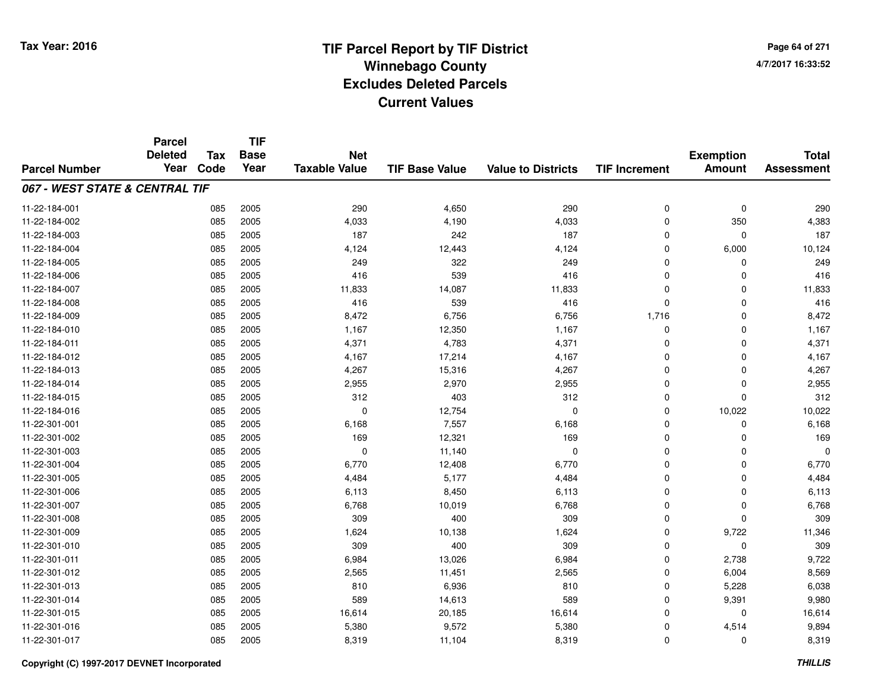**TIF**

**Parcel**

**Page 64 of 2714/7/2017 16:33:52**

| <b>Parcel Number</b>           | <b>Deleted</b><br>Year | <b>Tax</b><br>Code | .<br><b>Base</b><br>Year | <b>Net</b><br><b>Taxable Value</b> | <b>TIF Base Value</b> | <b>Value to Districts</b> | <b>TIF Increment</b> | <b>Exemption</b><br><b>Amount</b> | <b>Total</b><br><b>Assessment</b> |
|--------------------------------|------------------------|--------------------|--------------------------|------------------------------------|-----------------------|---------------------------|----------------------|-----------------------------------|-----------------------------------|
| 067 - WEST STATE & CENTRAL TIF |                        |                    |                          |                                    |                       |                           |                      |                                   |                                   |
| 11-22-184-001                  |                        | 085                | 2005                     | 290                                | 4,650                 | 290                       | 0                    | $\mathbf 0$                       | 290                               |
| 11-22-184-002                  |                        | 085                | 2005                     | 4,033                              | 4,190                 | 4,033                     | 0                    | 350                               | 4,383                             |
| 11-22-184-003                  |                        | 085                | 2005                     | 187                                | 242                   | 187                       | $\Omega$             | 0                                 | 187                               |
| 11-22-184-004                  |                        | 085                | 2005                     | 4,124                              | 12,443                | 4,124                     | 0                    | 6,000                             | 10,124                            |
| 11-22-184-005                  |                        | 085                | 2005                     | 249                                | 322                   | 249                       | 0                    | 0                                 | 249                               |
| 11-22-184-006                  |                        | 085                | 2005                     | 416                                | 539                   | 416                       | $\Omega$             | $\Omega$                          | 416                               |
| 11-22-184-007                  |                        | 085                | 2005                     | 11,833                             | 14,087                | 11,833                    | $\Omega$             | $\Omega$                          | 11,833                            |
| 11-22-184-008                  |                        | 085                | 2005                     | 416                                | 539                   | 416                       | $\Omega$             | $\Omega$                          | 416                               |
| 11-22-184-009                  |                        | 085                | 2005                     | 8,472                              | 6,756                 | 6,756                     | 1,716                | 0                                 | 8,472                             |
| 11-22-184-010                  |                        | 085                | 2005                     | 1,167                              | 12,350                | 1,167                     | 0                    | 0                                 | 1,167                             |
| 11-22-184-011                  |                        | 085                | 2005                     | 4,371                              | 4,783                 | 4,371                     | 0                    | 0                                 | 4,371                             |
| 11-22-184-012                  |                        | 085                | 2005                     | 4,167                              | 17,214                | 4,167                     | 0                    | 0                                 | 4,167                             |
| 11-22-184-013                  |                        | 085                | 2005                     | 4,267                              | 15,316                | 4,267                     | 0                    | 0                                 | 4,267                             |
| 11-22-184-014                  |                        | 085                | 2005                     | 2,955                              | 2,970                 | 2,955                     | 0                    | 0                                 | 2,955                             |
| 11-22-184-015                  |                        | 085                | 2005                     | 312                                | 403                   | 312                       | $\Omega$             | $\Omega$                          | 312                               |
| 11-22-184-016                  |                        | 085                | 2005                     | $\Omega$                           | 12,754                | $\mathbf 0$               | $\mathbf 0$          | 10,022                            | 10,022                            |
| 11-22-301-001                  |                        | 085                | 2005                     | 6,168                              | 7,557                 | 6,168                     | $\Omega$             | $\Omega$                          | 6,168                             |
| 11-22-301-002                  |                        | 085                | 2005                     | 169                                | 12,321                | 169                       | $\mathbf 0$          | $\Omega$                          | 169                               |
| 11-22-301-003                  |                        | 085                | 2005                     | $\Omega$                           | 11,140                | $\mathbf 0$               | $\Omega$             | $\Omega$                          | $\Omega$                          |
| 11-22-301-004                  |                        | 085                | 2005                     | 6,770                              | 12,408                | 6,770                     | $\mathbf 0$          | 0                                 | 6,770                             |
| 11-22-301-005                  |                        | 085                | 2005                     | 4,484                              | 5,177                 | 4,484                     | 0                    | $\Omega$                          | 4,484                             |
| 11-22-301-006                  |                        | 085                | 2005                     | 6,113                              | 8,450                 | 6,113                     | 0                    | 0                                 | 6,113                             |
| 11-22-301-007                  |                        | 085                | 2005                     | 6,768                              | 10,019                | 6,768                     | 0                    | 0                                 | 6,768                             |
| 11-22-301-008                  |                        | 085                | 2005                     | 309                                | 400                   | 309                       | 0                    | $\Omega$                          | 309                               |
| 11-22-301-009                  |                        | 085                | 2005                     | 1,624                              | 10,138                | 1,624                     | $\Omega$             | 9,722                             | 11,346                            |
| 11-22-301-010                  |                        | 085                | 2005                     | 309                                | 400                   | 309                       | $\Omega$             | $\Omega$                          | 309                               |
| 11-22-301-011                  |                        | 085                | 2005                     | 6,984                              | 13,026                | 6,984                     | $\mathbf 0$          | 2,738                             | 9,722                             |
| 11-22-301-012                  |                        | 085                | 2005                     | 2,565                              | 11,451                | 2,565                     | $\Omega$             | 6,004                             | 8,569                             |
| 11-22-301-013                  |                        | 085                | 2005                     | 810                                | 6,936                 | 810                       | $\mathbf 0$          | 5,228                             | 6,038                             |
| 11-22-301-014                  |                        | 085                | 2005                     | 589                                | 14,613                | 589                       | $\mathbf 0$          | 9,391                             | 9,980                             |
| 11-22-301-015                  |                        | 085                | 2005                     | 16,614                             | 20,185                | 16,614                    | $\mathbf 0$          | $\Omega$                          | 16,614                            |
| 11-22-301-016                  |                        | 085                | 2005                     | 5,380                              | 9,572                 | 5,380                     | $\mathbf 0$          | 4,514                             | 9,894                             |
| 11-22-301-017                  |                        | 085                | 2005                     | 8,319                              | 11,104                | 8,319                     | $\mathbf 0$          | 0                                 | 8,319                             |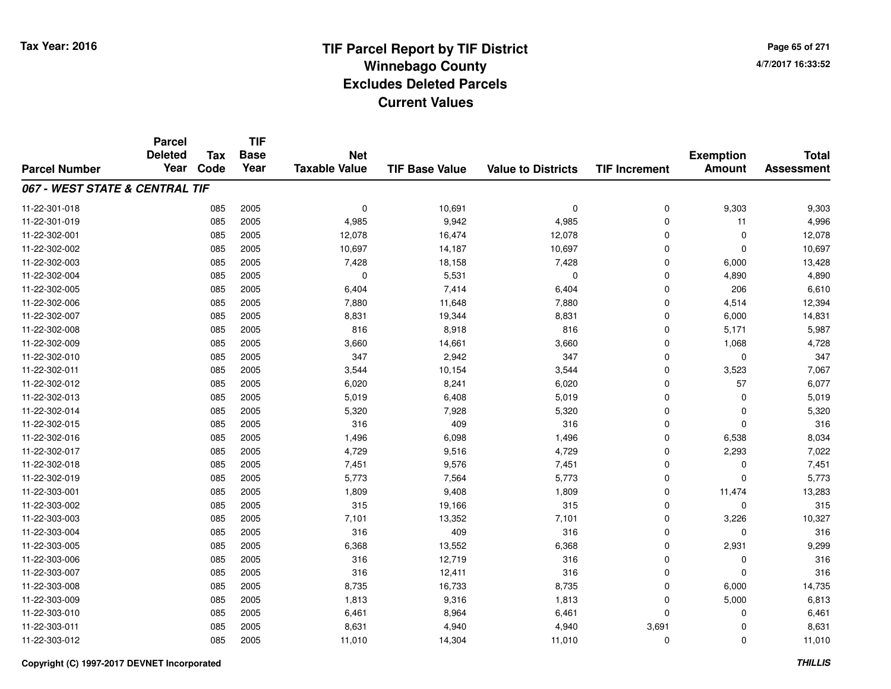# **TIF Parcel Report by TIF District Tax Year: 2016 Winnebago Countyy** and the contract of the contract of the contract of the contract of the contract of the contract of the contract of the contract of the contract of the contract of the contract of the contract of the contract of the co **Excludes Deleted ParcelsCurrent Values**

**Page 65 of 2714/7/2017 16:33:52**

|                                | <b>Parcel</b><br><b>Deleted</b> | <b>Tax</b> | <b>TIF</b><br><b>Base</b> | <b>Net</b>           |                       |                           |                      | <b>Exemption</b> | <b>Total</b>      |
|--------------------------------|---------------------------------|------------|---------------------------|----------------------|-----------------------|---------------------------|----------------------|------------------|-------------------|
| <b>Parcel Number</b>           | Year                            | Code       | Year                      | <b>Taxable Value</b> | <b>TIF Base Value</b> | <b>Value to Districts</b> | <b>TIF Increment</b> | <b>Amount</b>    | <b>Assessment</b> |
| 067 - WEST STATE & CENTRAL TIF |                                 |            |                           |                      |                       |                           |                      |                  |                   |
| 11-22-301-018                  |                                 | 085        | 2005                      | $\mathbf 0$          | 10,691                | $\mathbf 0$               | 0                    | 9,303            | 9,303             |
| 11-22-301-019                  |                                 | 085        | 2005                      | 4,985                | 9,942                 | 4,985                     | 0                    | 11               | 4,996             |
| 11-22-302-001                  |                                 | 085        | 2005                      | 12,078               | 16,474                | 12,078                    | $\mathbf 0$          | $\mathbf 0$      | 12,078            |
| 11-22-302-002                  |                                 | 085        | 2005                      | 10,697               | 14,187                | 10,697                    | 0                    | $\Omega$         | 10,697            |
| 11-22-302-003                  |                                 | 085        | 2005                      | 7,428                | 18,158                | 7,428                     | $\mathbf 0$          | 6,000            | 13,428            |
| 11-22-302-004                  |                                 | 085        | 2005                      | 0                    | 5,531                 | 0                         | 0                    | 4,890            | 4,890             |
| 11-22-302-005                  |                                 | 085        | 2005                      | 6,404                | 7,414                 | 6,404                     | 0                    | 206              | 6,610             |
| 11-22-302-006                  |                                 | 085        | 2005                      | 7,880                | 11,648                | 7,880                     | 0                    | 4,514            | 12,394            |
| 11-22-302-007                  |                                 | 085        | 2005                      | 8,831                | 19,344                | 8,831                     | 0                    | 6,000            | 14,831            |
| 11-22-302-008                  |                                 | 085        | 2005                      | 816                  | 8,918                 | 816                       | 0                    | 5,171            | 5,987             |
| 11-22-302-009                  |                                 | 085        | 2005                      | 3,660                | 14,661                | 3,660                     | $\mathbf 0$          | 1,068            | 4,728             |
| 11-22-302-010                  |                                 | 085        | 2005                      | 347                  | 2,942                 | 347                       | 0                    | 0                | 347               |
| 11-22-302-011                  |                                 | 085        | 2005                      | 3,544                | 10,154                | 3,544                     | $\mathbf 0$          | 3,523            | 7,067             |
| 11-22-302-012                  |                                 | 085        | 2005                      | 6,020                | 8,241                 | 6,020                     | 0                    | 57               | 6,077             |
| 11-22-302-013                  |                                 | 085        | 2005                      | 5,019                | 6,408                 | 5,019                     | $\mathbf 0$          | $\mathbf 0$      | 5,019             |
| 11-22-302-014                  |                                 | 085        | 2005                      | 5,320                | 7,928                 | 5,320                     | 0                    | 0                | 5,320             |
| 11-22-302-015                  |                                 | 085        | 2005                      | 316                  | 409                   | 316                       | 0                    | $\Omega$         | 316               |
| 11-22-302-016                  |                                 | 085        | 2005                      | 1,496                | 6,098                 | 1,496                     | 0                    | 6,538            | 8,034             |
| 11-22-302-017                  |                                 | 085        | 2005                      | 4,729                | 9,516                 | 4,729                     | 0                    | 2,293            | 7,022             |
| 11-22-302-018                  |                                 | 085        | 2005                      | 7,451                | 9,576                 | 7,451                     | 0                    | 0                | 7,451             |
| 11-22-302-019                  |                                 | 085        | 2005                      | 5,773                | 7,564                 | 5,773                     | 0                    | $\Omega$         | 5,773             |
| 11-22-303-001                  |                                 | 085        | 2005                      | 1,809                | 9,408                 | 1,809                     | 0                    | 11,474           | 13,283            |
| 11-22-303-002                  |                                 | 085        | 2005                      | 315                  | 19,166                | 315                       | 0                    | 0                | 315               |
| 11-22-303-003                  |                                 | 085        | 2005                      | 7,101                | 13,352                | 7,101                     | 0                    | 3,226            | 10,327            |
| 11-22-303-004                  |                                 | 085        | 2005                      | 316                  | 409                   | 316                       | 0                    | $\mathbf 0$      | 316               |
| 11-22-303-005                  |                                 | 085        | 2005                      | 6,368                | 13,552                | 6,368                     | 0                    | 2,931            | 9,299             |
| 11-22-303-006                  |                                 | 085        | 2005                      | 316                  | 12,719                | 316                       | 0                    | $\mathbf 0$      | 316               |
| 11-22-303-007                  |                                 | 085        | 2005                      | 316                  | 12,411                | 316                       | 0                    | $\mathbf 0$      | 316               |
| 11-22-303-008                  |                                 | 085        | 2005                      | 8,735                | 16,733                | 8,735                     | 0                    | 6,000            | 14,735            |
| 11-22-303-009                  |                                 | 085        | 2005                      | 1,813                | 9,316                 | 1,813                     | 0                    | 5,000            | 6,813             |
| 11-22-303-010                  |                                 | 085        | 2005                      | 6,461                | 8,964                 | 6,461                     | $\mathbf 0$          | $\Omega$         | 6,461             |
| 11-22-303-011                  |                                 | 085        | 2005                      | 8,631                | 4,940                 | 4,940                     | 3,691                | $\Omega$         | 8,631             |
| 11-22-303-012                  |                                 | 085        | 2005                      | 11,010               | 14,304                | 11,010                    | $\mathbf 0$          | $\Omega$         | 11,010            |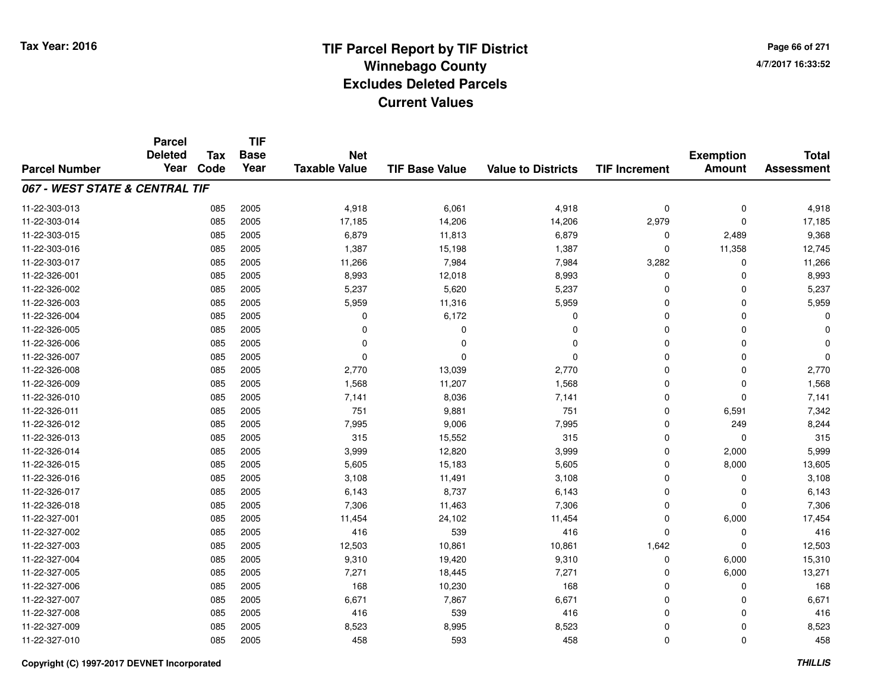**Page 66 of 2714/7/2017 16:33:52**

|                                | <b>Parcel</b>          |                    | <b>TIF</b>          |                      |                       |                           |                      |                  |                                   |
|--------------------------------|------------------------|--------------------|---------------------|----------------------|-----------------------|---------------------------|----------------------|------------------|-----------------------------------|
|                                | <b>Deleted</b><br>Year | <b>Tax</b><br>Code | <b>Base</b><br>Year | <b>Net</b>           |                       |                           |                      | <b>Exemption</b> | <b>Total</b><br><b>Assessment</b> |
| <b>Parcel Number</b>           |                        |                    |                     | <b>Taxable Value</b> | <b>TIF Base Value</b> | <b>Value to Districts</b> | <b>TIF Increment</b> | <b>Amount</b>    |                                   |
| 067 - WEST STATE & CENTRAL TIF |                        |                    |                     |                      |                       |                           |                      |                  |                                   |
| 11-22-303-013                  |                        | 085                | 2005                | 4,918                | 6,061                 | 4,918                     | 0                    | 0                | 4,918                             |
| 11-22-303-014                  |                        | 085                | 2005                | 17,185               | 14,206                | 14,206                    | 2,979                | $\Omega$         | 17,185                            |
| 11-22-303-015                  |                        | 085                | 2005                | 6,879                | 11,813                | 6,879                     | 0                    | 2,489            | 9,368                             |
| 11-22-303-016                  |                        | 085                | 2005                | 1,387                | 15,198                | 1,387                     | 0                    | 11,358           | 12,745                            |
| 11-22-303-017                  |                        | 085                | 2005                | 11,266               | 7,984                 | 7,984                     | 3,282                | 0                | 11,266                            |
| 11-22-326-001                  |                        | 085                | 2005                | 8,993                | 12,018                | 8,993                     | 0                    | $\Omega$         | 8,993                             |
| 11-22-326-002                  |                        | 085                | 2005                | 5,237                | 5,620                 | 5,237                     | 0                    | $\Omega$         | 5,237                             |
| 11-22-326-003                  |                        | 085                | 2005                | 5,959                | 11,316                | 5,959                     | $\mathbf 0$          | $\Omega$         | 5,959                             |
| 11-22-326-004                  |                        | 085                | 2005                | 0                    | 6,172                 | 0                         | 0                    | $\Omega$         | O                                 |
| 11-22-326-005                  |                        | 085                | 2005                | $\Omega$             | $\Omega$              | $\Omega$                  | $\mathbf 0$          | $\Omega$         |                                   |
| 11-22-326-006                  |                        | 085                | 2005                | $\Omega$             | $\Omega$              | $\Omega$                  | 0                    | $\Omega$         | $\Omega$                          |
| 11-22-326-007                  |                        | 085                | 2005                | 0                    | $\Omega$              | $\Omega$                  | 0                    | $\Omega$         | $\Omega$                          |
| 11-22-326-008                  |                        | 085                | 2005                | 2,770                | 13,039                | 2,770                     | $\mathbf 0$          | $\Omega$         | 2,770                             |
| 11-22-326-009                  |                        | 085                | 2005                | 1,568                | 11,207                | 1,568                     | 0                    | $\mathbf 0$      | 1,568                             |
| 11-22-326-010                  |                        | 085                | 2005                | 7,141                | 8,036                 | 7,141                     | 0                    | $\Omega$         | 7,141                             |
| 11-22-326-011                  |                        | 085                | 2005                | 751                  | 9,881                 | 751                       | 0                    | 6,591            | 7,342                             |
| 11-22-326-012                  |                        | 085                | 2005                | 7,995                | 9,006                 | 7,995                     | 0                    | 249              | 8,244                             |
| 11-22-326-013                  |                        | 085                | 2005                | 315                  | 15,552                | 315                       | 0                    | $\mathbf 0$      | 315                               |
| 11-22-326-014                  |                        | 085                | 2005                | 3,999                | 12,820                | 3,999                     | 0                    | 2,000            | 5,999                             |
| 11-22-326-015                  |                        | 085                | 2005                | 5,605                | 15,183                | 5,605                     | 0                    | 8,000            | 13,605                            |
| 11-22-326-016                  |                        | 085                | 2005                | 3,108                | 11,491                | 3,108                     | 0                    | 0                | 3,108                             |
| 11-22-326-017                  |                        | 085                | 2005                | 6,143                | 8,737                 | 6,143                     | 0                    | $\mathbf 0$      | 6,143                             |
| 11-22-326-018                  |                        | 085                | 2005                | 7,306                | 11,463                | 7,306                     | 0                    | $\mathbf 0$      | 7,306                             |
| 11-22-327-001                  |                        | 085                | 2005                | 11,454               | 24,102                | 11,454                    | 0                    | 6,000            | 17,454                            |
| 11-22-327-002                  |                        | 085                | 2005                | 416                  | 539                   | 416                       | 0                    | 0                | 416                               |
| 11-22-327-003                  |                        | 085                | 2005                | 12,503               | 10,861                | 10,861                    | 1,642                | $\Omega$         | 12,503                            |
| 11-22-327-004                  |                        | 085                | 2005                | 9,310                | 19,420                | 9,310                     | 0                    | 6,000            | 15,310                            |
| 11-22-327-005                  |                        | 085                | 2005                | 7,271                | 18,445                | 7,271                     | 0                    | 6,000            | 13,271                            |
| 11-22-327-006                  |                        | 085                | 2005                | 168                  | 10,230                | 168                       | 0                    | 0                | 168                               |
| 11-22-327-007                  |                        | 085                | 2005                | 6,671                | 7,867                 | 6,671                     | 0                    | 0                | 6,671                             |
| 11-22-327-008                  |                        | 085                | 2005                | 416                  | 539                   | 416                       | 0                    | $\Omega$         | 416                               |
| 11-22-327-009                  |                        | 085                | 2005                | 8,523                | 8,995                 | 8,523                     | 0                    | 0                | 8,523                             |
| 11-22-327-010                  |                        | 085                | 2005                | 458                  | 593                   | 458                       | 0                    | $\Omega$         | 458                               |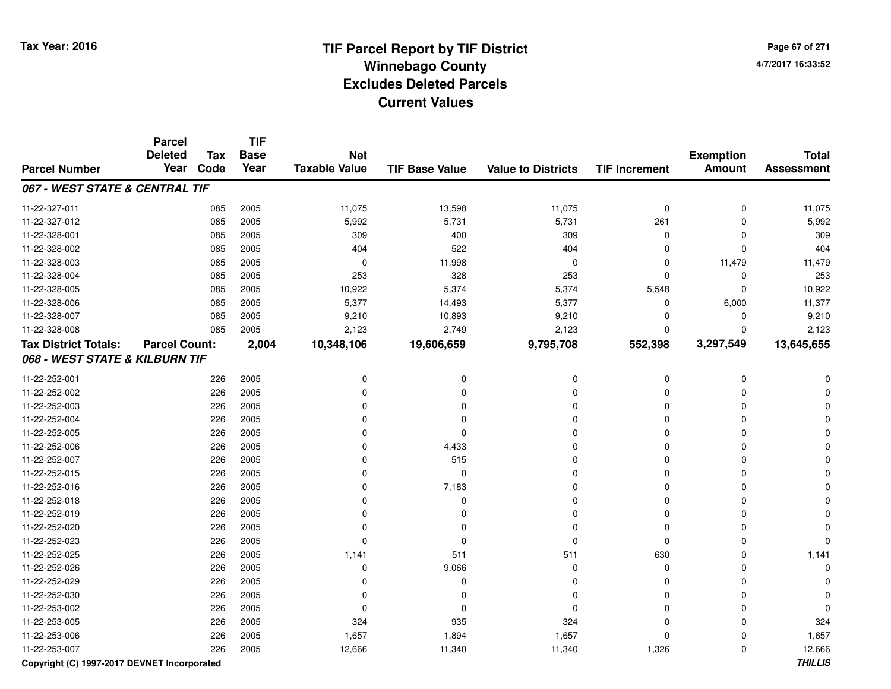# **TIF Parcel Report by TIF District Tax Year: 2016 Winnebago Countyy** and the contract of the contract of the contract of the contract of the contract of the contract of the contract of the contract of the contract of the contract of the contract of the contract of the contract of the co **Excludes Deleted ParcelsCurrent Values**

**Page 67 of 2714/7/2017 16:33:52**

|                                | <b>Parcel</b><br><b>Deleted</b> |                    | <b>TIF</b>          |                                    |                       |                           |                      |                                   |                                   |
|--------------------------------|---------------------------------|--------------------|---------------------|------------------------------------|-----------------------|---------------------------|----------------------|-----------------------------------|-----------------------------------|
| <b>Parcel Number</b>           | Year                            | <b>Tax</b><br>Code | <b>Base</b><br>Year | <b>Net</b><br><b>Taxable Value</b> | <b>TIF Base Value</b> | <b>Value to Districts</b> | <b>TIF Increment</b> | <b>Exemption</b><br><b>Amount</b> | <b>Total</b><br><b>Assessment</b> |
| 067 - WEST STATE & CENTRAL TIF |                                 |                    |                     |                                    |                       |                           |                      |                                   |                                   |
| 11-22-327-011                  |                                 | 085                | 2005                | 11,075                             | 13,598                | 11,075                    | $\mathbf 0$          | 0                                 | 11,075                            |
| 11-22-327-012                  |                                 | 085                | 2005                | 5,992                              | 5,731                 | 5,731                     | 261                  | $\mathbf 0$                       | 5,992                             |
| 11-22-328-001                  |                                 | 085                | 2005                | 309                                | 400                   | 309                       | $\mathbf 0$          | $\Omega$                          | 309                               |
| 11-22-328-002                  |                                 | 085                | 2005                | 404                                | 522                   | 404                       | 0                    | $\Omega$                          | 404                               |
| 11-22-328-003                  |                                 | 085                | 2005                | 0                                  | 11,998                | $\mathbf 0$               | 0                    | 11,479                            | 11,479                            |
| 11-22-328-004                  |                                 | 085                | 2005                | 253                                | 328                   | 253                       | $\Omega$             | $\Omega$                          | 253                               |
| 11-22-328-005                  |                                 | 085                | 2005                | 10,922                             | 5,374                 | 5,374                     | 5,548                | $\Omega$                          | 10,922                            |
| 11-22-328-006                  |                                 | 085                | 2005                | 5,377                              | 14,493                | 5,377                     | $\mathbf 0$          | 6,000                             | 11,377                            |
| 11-22-328-007                  |                                 | 085                | 2005                | 9,210                              | 10,893                | 9,210                     | $\mathbf 0$          | 0                                 | 9,210                             |
| 11-22-328-008                  |                                 | 085                | 2005                | 2,123                              | 2,749                 | 2,123                     | $\mathbf 0$          | $\mathbf 0$                       | 2,123                             |
| <b>Tax District Totals:</b>    | <b>Parcel Count:</b>            |                    | 2,004               | 10,348,106                         | 19,606,659            | 9,795,708                 | 552,398              | 3,297,549                         | 13,645,655                        |
| 068 - WEST STATE & KILBURN TIF |                                 |                    |                     |                                    |                       |                           |                      |                                   |                                   |
| 11-22-252-001                  |                                 | 226                | 2005                | $\mathbf 0$                        | 0                     | $\mathbf 0$               | $\pmb{0}$            | $\mathbf 0$                       |                                   |
| 11-22-252-002                  |                                 | 226                | 2005                | $\Omega$                           | $\Omega$              | 0                         | $\Omega$             | 0                                 |                                   |
| 11-22-252-003                  |                                 | 226                | 2005                | 0                                  | 0                     | 0                         | $\Omega$             | 0                                 |                                   |
| 11-22-252-004                  |                                 | 226                | 2005                | 0                                  | 0                     | $\Omega$                  | $\mathbf 0$          | O                                 |                                   |
| 11-22-252-005                  |                                 | 226                | 2005                | $\Omega$                           | $\Omega$              | $\Omega$                  | $\mathbf 0$          | 0                                 |                                   |
| 11-22-252-006                  |                                 | 226                | 2005                | $\Omega$                           | 4,433                 | $\Omega$                  | $\Omega$             | $\Omega$                          |                                   |
| 11-22-252-007                  |                                 | 226                | 2005                | $\Omega$                           | 515                   | $\Omega$                  | 0                    | $\Omega$                          |                                   |
| 11-22-252-015                  |                                 | 226                | 2005                | $\Omega$                           | 0                     | $\Omega$                  | $\mathbf 0$          | $\Omega$                          |                                   |
| 11-22-252-016                  |                                 | 226                | 2005                | $\Omega$                           | 7,183                 | $\Omega$                  | $\mathbf 0$          | $\Omega$                          |                                   |
| 11-22-252-018                  |                                 | 226                | 2005                | $\Omega$                           | 0                     | $\Omega$                  | $\mathbf 0$          | 0                                 |                                   |
| 11-22-252-019                  |                                 | 226                | 2005                | $\Omega$                           | 0                     | $\Omega$                  | $\mathbf 0$          | 0                                 |                                   |
| 11-22-252-020                  |                                 | 226                | 2005                | $\Omega$                           | 0                     | $\Omega$                  | $\mathbf 0$          | $\Omega$                          |                                   |
| 11-22-252-023                  |                                 | 226                | 2005                | $\Omega$                           | 0                     | $\mathbf 0$               | $\mathbf 0$          | $\Omega$                          |                                   |
| 11-22-252-025                  |                                 | 226                | 2005                | 1,141                              | 511                   | 511                       | 630                  | 0                                 | 1,141                             |
| 11-22-252-026                  |                                 | 226                | 2005                | $\Omega$                           | 9,066                 | 0                         | $\mathbf 0$          | $\Omega$                          |                                   |
| 11-22-252-029                  |                                 | 226                | 2005                | $\Omega$                           | 0                     | $\Omega$                  | $\Omega$             | 0                                 |                                   |
| 11-22-252-030                  |                                 | 226                | 2005                | $\Omega$                           | 0                     | $\mathbf 0$               | $\Omega$             | 0                                 |                                   |
| 11-22-253-002                  |                                 | 226                | 2005                | 0                                  | 0                     | $\Omega$                  | $\Omega$             | 0                                 | ŋ                                 |
| 11-22-253-005                  |                                 | 226                | 2005                | 324                                | 935                   | 324                       | $\Omega$             | 0                                 | 324                               |
| 11-22-253-006                  |                                 | 226                | 2005                | 1,657                              | 1,894                 | 1,657                     | $\mathbf 0$          | $\Omega$                          | 1,657                             |
| 11-22-253-007                  |                                 | 226                | 2005                | 12,666                             | 11,340                | 11,340                    | 1,326                | 0                                 | 12,666                            |

**Copyright (C) 1997-2017 DEVNET Incorporated**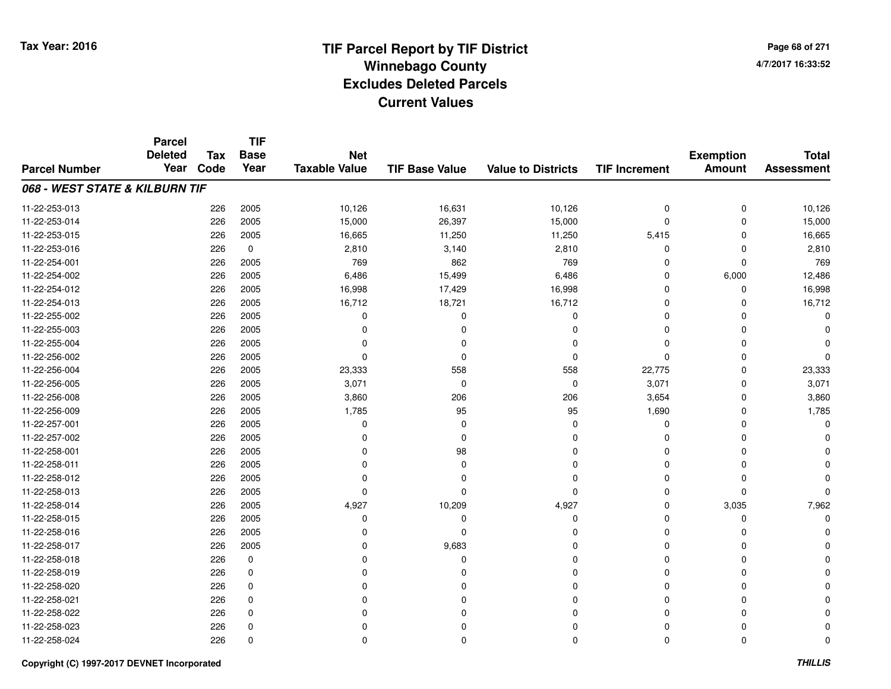# **TIF Parcel Report by TIF District Tax Year: 2016 Winnebago Countyy** and the contract of the contract of the contract of the contract of the contract of the contract of the contract of the contract of the contract of the contract of the contract of the contract of the contract of the co **Excludes Deleted ParcelsCurrent Values**

**Page 68 of 2714/7/2017 16:33:52**

|                                | <b>Parcel</b><br><b>Deleted</b> | <b>TIF</b><br><b>Tax</b><br><b>Base</b><br><b>Net</b> |             |                      |                       | <b>Exemption</b>          | <b>Total</b>         |               |                   |
|--------------------------------|---------------------------------|-------------------------------------------------------|-------------|----------------------|-----------------------|---------------------------|----------------------|---------------|-------------------|
| <b>Parcel Number</b>           | Year                            | Code                                                  | Year        | <b>Taxable Value</b> | <b>TIF Base Value</b> | <b>Value to Districts</b> | <b>TIF Increment</b> | <b>Amount</b> | <b>Assessment</b> |
| 068 - WEST STATE & KILBURN TIF |                                 |                                                       |             |                      |                       |                           |                      |               |                   |
| 11-22-253-013                  |                                 | 226                                                   | 2005        | 10,126               | 16,631                | 10,126                    | $\pmb{0}$            | $\mathbf 0$   | 10,126            |
| 11-22-253-014                  |                                 | 226                                                   | 2005        | 15,000               | 26,397                | 15,000                    | $\mathbf 0$          | $\Omega$      | 15,000            |
| 11-22-253-015                  |                                 | 226                                                   | 2005        | 16,665               | 11,250                | 11,250                    | 5,415                | $\Omega$      | 16,665            |
| 11-22-253-016                  |                                 | 226                                                   | 0           | 2,810                | 3,140                 | 2,810                     | 0                    | $\Omega$      | 2,810             |
| 11-22-254-001                  |                                 | 226                                                   | 2005        | 769                  | 862                   | 769                       | 0                    | $\Omega$      | 769               |
| 11-22-254-002                  |                                 | 226                                                   | 2005        | 6,486                | 15,499                | 6,486                     | 0                    | 6,000         | 12,486            |
| 11-22-254-012                  |                                 | 226                                                   | 2005        | 16,998               | 17,429                | 16,998                    | $\mathbf 0$          | 0             | 16,998            |
| 11-22-254-013                  |                                 | 226                                                   | 2005        | 16,712               | 18,721                | 16,712                    | $\mathbf 0$          | $\Omega$      | 16,712            |
| 11-22-255-002                  |                                 | 226                                                   | 2005        | $\Omega$             | $\mathbf 0$           | $\mathbf{0}$              | $\Omega$             |               | $\Omega$          |
| 11-22-255-003                  |                                 | 226                                                   | 2005        | O                    | $\Omega$              | $\Omega$                  | $\Omega$             | $\Omega$      |                   |
| 11-22-255-004                  |                                 | 226                                                   | 2005        |                      | $\Omega$              | $\Omega$                  | $\Omega$             | n             |                   |
| 11-22-256-002                  |                                 | 226                                                   | 2005        | 0                    | $\Omega$              | 0                         | 0                    | <sup>0</sup>  | 0                 |
| 11-22-256-004                  |                                 | 226                                                   | 2005        | 23,333               | 558                   | 558                       | 22,775               | $\Omega$      | 23,333            |
| 11-22-256-005                  |                                 | 226                                                   | 2005        | 3,071                | 0                     | $\mathbf 0$               | 3,071                | $\Omega$      | 3,071             |
| 11-22-256-008                  |                                 | 226                                                   | 2005        | 3,860                | 206                   | 206                       | 3,654                | $\Omega$      | 3,860             |
| 11-22-256-009                  |                                 | 226                                                   | 2005        | 1,785                | 95                    | 95                        | 1,690                | $\Omega$      | 1,785             |
| 11-22-257-001                  |                                 | 226                                                   | 2005        | $\Omega$             | $\Omega$              | 0                         | 0                    | $\Omega$      |                   |
| 11-22-257-002                  |                                 | 226                                                   | 2005        | 0                    | 0                     | $\Omega$                  | 0                    | $\Omega$      |                   |
| 11-22-258-001                  |                                 | 226                                                   | 2005        | $\Omega$             | 98                    | 0                         | 0                    | $\Omega$      |                   |
| 11-22-258-011                  |                                 | 226                                                   | 2005        | 0                    | 0                     | 0                         | 0                    | 0             |                   |
| 11-22-258-012                  |                                 | 226                                                   | 2005        | 0                    | 0                     | 0                         | 0                    | $\Omega$      |                   |
| 11-22-258-013                  |                                 | 226                                                   | 2005        | $\Omega$             | 0                     | 0                         | 0                    | $\Omega$      |                   |
| 11-22-258-014                  |                                 | 226                                                   | 2005        | 4,927                | 10,209                | 4,927                     | 0                    | 3,035         | 7,962             |
| 11-22-258-015                  |                                 | 226                                                   | 2005        | 0                    | 0                     | $\mathbf 0$               | 0                    | 0             |                   |
| 11-22-258-016                  |                                 | 226                                                   | 2005        | $\Omega$             | $\mathbf 0$           | $\Omega$                  | $\Omega$             | $\Omega$      |                   |
| 11-22-258-017                  |                                 | 226                                                   | 2005        | $\Omega$             | 9,683                 | $\Omega$                  | $\Omega$             | $\Omega$      |                   |
| 11-22-258-018                  |                                 | 226                                                   | $\mathbf 0$ | $\Omega$             | $\mathbf 0$           | $\Omega$                  | $\Omega$             | $\Omega$      |                   |
| 11-22-258-019                  |                                 | 226                                                   | 0           | 0                    | $\Omega$              | 0                         | 0                    | $\Omega$      |                   |
| 11-22-258-020                  |                                 | 226                                                   | 0           | $\Omega$             | 0                     | $\Omega$                  | $\Omega$             | $\Omega$      |                   |
| 11-22-258-021                  |                                 | 226                                                   | 0           | 0                    | 0                     | $\Omega$                  | 0                    | $\Omega$      |                   |
| 11-22-258-022                  |                                 | 226                                                   | $\mathbf 0$ | O                    | 0                     | $\Omega$                  | $\Omega$             | $\Omega$      |                   |
| 11-22-258-023                  |                                 | 226                                                   | 0           |                      | 0                     | $\Omega$                  | 0                    |               |                   |
| 11-22-258-024                  |                                 | 226                                                   | $\mathbf 0$ | 0                    | $\mathbf 0$           | $\Omega$                  | $\mathbf 0$          | $\Omega$      | $\Omega$          |

#### **Copyright (C) 1997-2017 DEVNET Incorporated**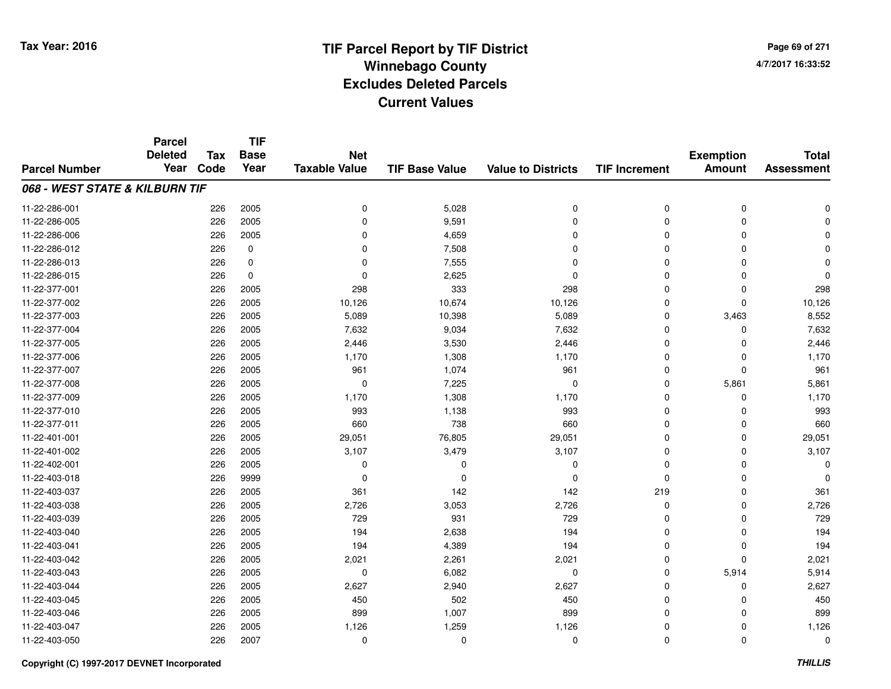**Page 69 of 2714/7/2017 16:33:52**

#### **TIF Base ValueParcel NumberTotal AssessmentExemption Amount Value to Districts TIF IncrementTIF Base YearTax CodeParcel Deleted YearNet Taxable Value068 - WEST STATE & KILBURN TIF**11-22-286-0011 and  $226$  2005 and  $226$  2005 between  $226$  2005 between  $226$  2005 between  $226$  2005 between  $226$  2005 between  $226$  2005 between  $226$  2005 between  $226$  2005 between  $226$  2012 between  $226$  2012 between  $226$  2012 11-22-286-0055 226 2005 0 9,591 0 0 0 0 11-22-286-006 <sup>226</sup> <sup>0</sup> <sup>2005</sup> 4,659 <sup>0</sup> <sup>0</sup> <sup>0</sup> <sup>0</sup> 11-22-286-0122 226 0 0 7,508 0 0 0 0 11-22-286-0133 226 0 0 7,555 0 0 0 0 11-22-286-0155 226 0 0 2,625 0 0 0 0 11-22-377-0011 226 2005 298 333 298 0 0 298 11-22-377-0022 226 2005 10,126 10,674 10,126 0 0 10,126 11-22-377-0033 226 2005 5,089 10,398 5,089 0 3,463 8,552 11-22-377-0044 226 2005 7,632 9,034 7,632 0 7,632 11-22-377-005 <sup>226</sup> 2,446 <sup>2005</sup> 3,530 2,446 <sup>0</sup> <sup>0</sup> 2,446 11-22-377-006 <sup>226</sup> 1,170 <sup>2005</sup> 1,308 1,170 <sup>0</sup> <sup>0</sup> 1,170 11-22-377-007 <sup>226</sup> <sup>961</sup> <sup>2005</sup> 1,074 <sup>961</sup> <sup>0</sup> <sup>0</sup> <sup>961</sup> 11-22-377-0088 226 2005 0 7,225 0 0 5,861 5,861 11-22-377-009 <sup>226</sup> 1,170 <sup>2005</sup> 1,308 1,170 <sup>0</sup> <sup>0</sup> 1,170 11-22-377-010 <sup>226</sup> <sup>993</sup> <sup>2005</sup> 1,138 <sup>993</sup> <sup>0</sup> <sup>0</sup> <sup>993</sup> 11-22-377-0111 226 2005 660 738 660 0 0 660 11-22-401-0011 226 2005 29,051 76,805 29,051 0 29,051 11-22-401-0022 226 2005 3,107 3,479 3,107 0 0 3,107 11-22-402-001 <sup>226</sup> <sup>0</sup> <sup>2005</sup> <sup>0</sup> <sup>0</sup> <sup>0</sup> <sup>0</sup> <sup>0</sup> 11-22-403-018 <sup>226</sup> <sup>0</sup> <sup>9999</sup> <sup>0</sup> <sup>0</sup> <sup>0</sup> <sup>0</sup> <sup>0</sup> 11-22-403-037 <sup>226</sup> <sup>361</sup> <sup>2005</sup> <sup>142</sup> <sup>142</sup> <sup>219</sup> <sup>0</sup> <sup>361</sup> 11-22-403-0388 226 2005 2,726 3,053 2,726 0 0 2,726 11-22-403-0399 226 2005 729 931 729 0 0 729 11-22-403-0400 226 2005 194 2,638 194 0 0 194 11-22-403-0411 226 2005 194 4,389 194 0 0 194 11-22-403-0422 226 2005 2,021 2,261 2,021 0 2,021 11-22-403-0433 226 2005 0 6,082 0 0 5,914 5,914 11-22-403-0444 226 2005 2,627 2,940 2,627 2,940 2,627 0 0 0 2,627 11-22-403-045 <sup>226</sup> <sup>450</sup> <sup>2005</sup> <sup>502</sup> <sup>450</sup> <sup>0</sup> <sup>0</sup> <sup>450</sup> 11-22-403-046 <sup>226</sup> <sup>899</sup> <sup>2005</sup> 1,007 <sup>899</sup> <sup>0</sup> <sup>0</sup> <sup>899</sup> 11-22-403-047 <sup>226</sup> 1,126 <sup>2005</sup> 1,259 1,126 <sup>0</sup> <sup>0</sup> 1,126 11-22-403-050<sup>226</sup> <sup>0</sup> <sup>2007</sup> <sup>0</sup> <sup>0</sup> <sup>0</sup> <sup>0</sup> <sup>0</sup>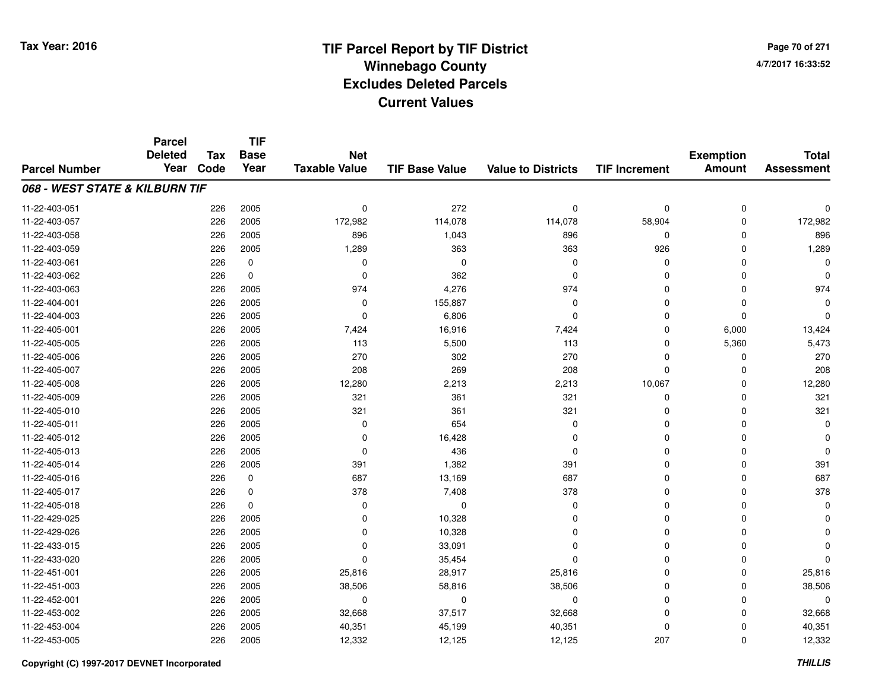**TIF**

**Parcel**

**Page 70 of 2714/7/2017 16:33:52**

#### **TIF Base ValueParcel NumberTotal AssessmentExemption Amount Value to Districts TIF Increment Base YearTax Code Deleted YearNet Taxable Value068 - WEST STATE & KILBURN TIF**11-22-403-0511 226 2005 0 272 0 0 0 0 0 0 11-22-403-057 <sup>226</sup> 172,982 <sup>2005</sup> 114,078 114,078 58,904 <sup>0</sup> 172,982 11-22-403-058 <sup>226</sup> <sup>896</sup> <sup>2005</sup> 1,043 <sup>896</sup> <sup>0</sup> <sup>0</sup> <sup>896</sup> 11-22-403-0599 226 2005 1,289 363 363 926 0 1,289 11-22-403-061 <sup>226</sup> <sup>0</sup> <sup>0</sup> <sup>0</sup> <sup>0</sup> <sup>0</sup> <sup>0</sup> <sup>0</sup> 11-22-403-062 <sup>226</sup> <sup>0</sup> <sup>0</sup> <sup>362</sup> <sup>0</sup> <sup>0</sup> <sup>0</sup> <sup>0</sup> 11-22-403-0633 226 2005 974 4,276 974 0 0 974 11-22-404-0011 226 2005 0 155,887 0 0 0 0 11-22-404-0033 226 2005 0 6,806 0 0 0 0 11-22-405-0011 226 2005 7,424 16,916 7,424 0 6,000 13,424 11-22-405-005 <sup>226</sup> <sup>113</sup> <sup>2005</sup> 5,500 <sup>113</sup> <sup>0</sup> 5,360 5,473 11-22-405-006 <sup>226</sup> <sup>270</sup> <sup>2005</sup> <sup>302</sup> <sup>270</sup> <sup>0</sup> <sup>0</sup> <sup>270</sup> 11-22-405-007 <sup>226</sup> <sup>208</sup> <sup>2005</sup> <sup>269</sup> <sup>208</sup> <sup>0</sup> <sup>0</sup> <sup>208</sup> 11-22-405-008 <sup>226</sup> 12,280 <sup>2005</sup> 2,213 2,213 10,067 <sup>0</sup> 12,280 11-22-405-0099 226 2005 321 361 321 0 0 321 11-22-405-0100 226 2005 321 361 321 0 321 11-22-405-0111 226 2005 0 654 0 0 0 0 11-22-405-0122 226 2005 0 16,428 0 0 0 0 11-22-405-0133 and the contract of the contract of the contract of the contract of the contract of  $\alpha$  of  $\alpha$  of  $\alpha$  of  $\alpha$  of  $\alpha$  of  $\alpha$  of  $\alpha$  of  $\alpha$  of  $\alpha$  of  $\alpha$  of  $\alpha$  of  $\alpha$  of  $\alpha$  of  $\alpha$  of  $\alpha$  of  $\alpha$  of  $\alpha$  of 11-22-405-014 <sup>226</sup> <sup>391</sup> <sup>2005</sup> 1,382 <sup>391</sup> <sup>0</sup> <sup>0</sup> <sup>391</sup> 11-22-405-0166 226 0 687 13,169 687 0 0 687 11-22-405-017 <sup>226</sup> <sup>378</sup> <sup>0</sup> 7,408 <sup>378</sup> <sup>0</sup> <sup>0</sup> <sup>378</sup> 11-22-405-018 <sup>226</sup> <sup>0</sup> <sup>0</sup> <sup>0</sup> <sup>0</sup> <sup>0</sup> <sup>0</sup> <sup>0</sup> 11-22-429-025 <sup>226</sup> <sup>0</sup> <sup>2005</sup> 10,328 <sup>0</sup> <sup>0</sup> <sup>0</sup> <sup>0</sup> 11-22-429-0266 226 2005 0 10,328 0 0 0 0 11-22-433-015 <sup>226</sup> <sup>0</sup> <sup>2005</sup> 33,091 <sup>0</sup> <sup>0</sup> <sup>0</sup> <sup>0</sup> 11-22-433-020 <sup>226</sup> <sup>0</sup> <sup>2005</sup> 35,454 <sup>0</sup> <sup>0</sup> <sup>0</sup> <sup>0</sup> 11-22-451-0011 226 2005 25,816 28,917 25,816 0 25,816 11-22-451-0033 226 2005 38,506 58,816 38,506 0 0 38,506 11-22-452-001 <sup>226</sup> <sup>0</sup> <sup>2005</sup> <sup>0</sup> <sup>0</sup> <sup>0</sup> <sup>0</sup> <sup>0</sup> 11-22-453-0022 226 2005 32,668 37,517 32,668 0 32,668 11-22-453-004 <sup>226</sup> 40,351 <sup>2005</sup> 45,199 40,351 <sup>0</sup> <sup>0</sup> 40,351 11-22-453-005<sup>226</sup> 12,332 <sup>2005</sup> 12,125 12,125 <sup>207</sup> <sup>0</sup> 12,332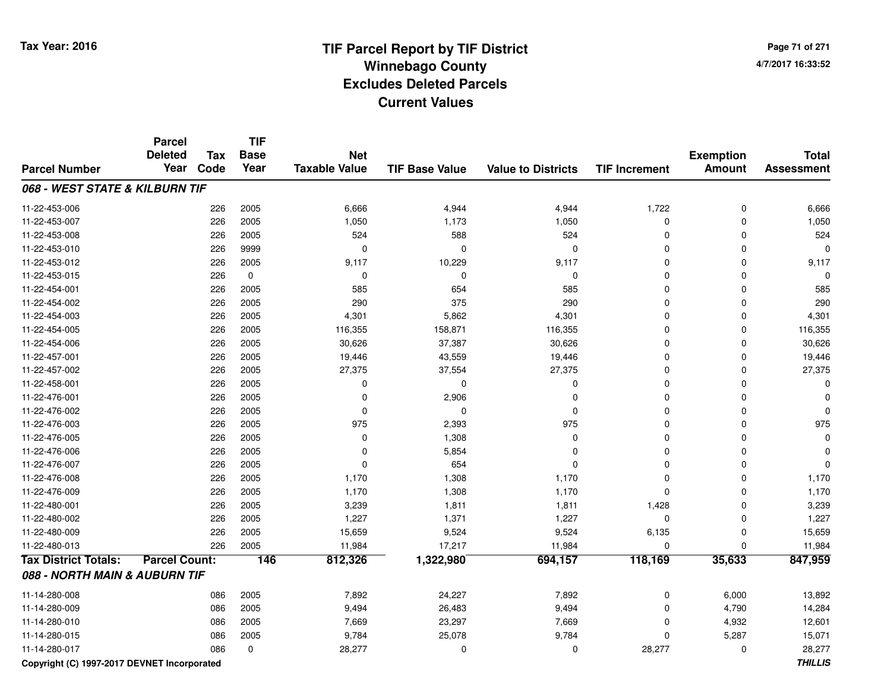**Page 71 of 2714/7/2017 16:33:52**

#### **TIF Base ValueParcel NumberTotal AssessmentExemption Amount Value to Districts TIF IncrementTIF Base YearTax CodeParcel Deleted YearNet Taxable Value068 - WEST STATE & KILBURN TIF**11-22-453-006 <sup>226</sup> 6,666 <sup>2005</sup> 4,944 4,944 1,722 <sup>0</sup> 6,666 11-22-453-007 <sup>226</sup> 1,050 <sup>2005</sup> 1,173 1,050 <sup>0</sup> <sup>0</sup> 1,050 11-22-453-008 <sup>226</sup> <sup>524</sup> <sup>2005</sup> <sup>588</sup> <sup>524</sup> <sup>0</sup> <sup>0</sup> <sup>524</sup> 11-22-453-010 <sup>226</sup> <sup>0</sup> <sup>9999</sup> <sup>0</sup> <sup>0</sup> <sup>0</sup> <sup>0</sup> <sup>0</sup> 11-22-453-012 <sup>226</sup> 9,117 <sup>2005</sup> 10,229 9,117 <sup>0</sup> <sup>0</sup> 9,117 11-22-453-015 <sup>226</sup> <sup>0</sup> <sup>0</sup> <sup>0</sup> <sup>0</sup> <sup>0</sup> <sup>0</sup> <sup>0</sup> 11-22-454-0011 226 2005 585 654 585 0 0 585 11-22-454-002 <sup>226</sup> <sup>290</sup> <sup>2005</sup> <sup>375</sup> <sup>290</sup> <sup>0</sup> <sup>0</sup> <sup>290</sup> 11-22-454-0033 226 2005 4,301 5,862 4,301 0 4,301 11-22-454-005 <sup>226</sup> 116,355 <sup>2005</sup> 158,871 116,355 <sup>0</sup> <sup>0</sup> 116,355 11-22-454-0066 226 2005 30,626 37,387 30,626 0 0 30,626 11-22-457-0011 226 2005 19,446 43,559 19,446 0 0 19,446 11-22-457-002 <sup>226</sup> 27,375 <sup>2005</sup> 37,554 27,375 <sup>0</sup> <sup>0</sup> 27,375 11-22-458-001 <sup>226</sup> <sup>0</sup> <sup>2005</sup> <sup>0</sup> <sup>0</sup> <sup>0</sup> <sup>0</sup> <sup>0</sup> 11-22-476-0011 226 2005 0 2,906 0 0 0 0 11-22-476-002 <sup>226</sup> <sup>0</sup> <sup>2005</sup> <sup>0</sup> <sup>0</sup> <sup>0</sup> <sup>0</sup> <sup>0</sup> 11-22-476-0033 226 2005 975 2,393 975 0 0 975 11-22-476-005 <sup>226</sup> <sup>0</sup> <sup>2005</sup> 1,308 <sup>0</sup> <sup>0</sup> <sup>0</sup> <sup>0</sup> 11-22-476-006 <sup>226</sup> <sup>0</sup> <sup>2005</sup> 5,854 <sup>0</sup> <sup>0</sup> <sup>0</sup> <sup>0</sup> 11-22-476-0077 226 2005 0 654 0 0 0 0 11-22-476-008 <sup>226</sup> 1,170 <sup>2005</sup> 1,308 1,170 <sup>0</sup> <sup>0</sup> 1,170 11-22-476-009 <sup>226</sup> 1,170 <sup>2005</sup> 1,308 1,170 <sup>0</sup> <sup>0</sup> 1,170 11-22-480-0011 226 2005 3,239 1,811 1,811 1,428 0 3,239 11-22-480-0022 226 2005 1,227 1,371 1,227 0 0 1,227 11-22-480-0099 226 2005 15,659 9,524 9,524 6,135 0 15,659 11-22-480-0133 226 2005 11,984 17,217 11,984 0 0 11,984 **Tax District Totals: Parcel Count: <sup>146</sup> 812,326 1,322,980 694,157 118,169 35,633 847,959 088 - NORTH MAIN & AUBURN TIF**11-14-280-0088 086 2005 7,892 24,227 7,892 0 6,000 13,892 11-14-280-0099 086 2005 9,494 26,483 9,494 0 4,790 14,284 11-14-280-0100 086 2005 7,669 23,297 7,669 0 4,932 12,601 11-14-280-015 <sup>086</sup> 9,784 <sup>2005</sup> 25,078 9,784 <sup>0</sup> 5,287 15,071 11-14-280-0177 086 0 28,277 0 0 28,277 0 28,277 **Copyright (C) 1997-2017 DEVNET IncorporatedTHILLIS**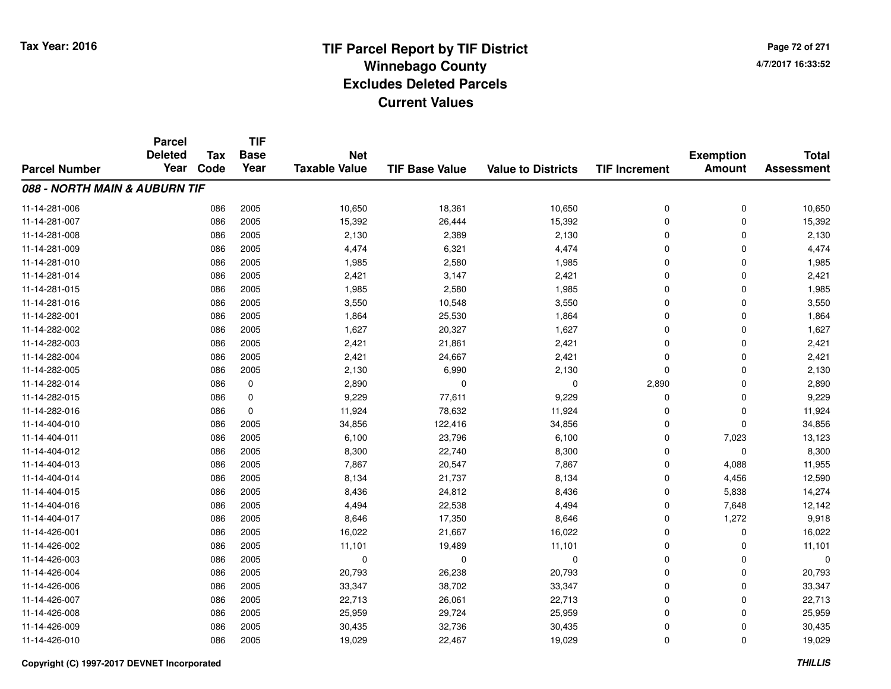# **TIF Parcel Report by TIF District Tax Year: 2016 Winnebago Countyy** and the contract of the contract of the contract of the contract of the contract of the contract of the contract of the contract of the contract of the contract of the contract of the contract of the contract of the co **Excludes Deleted ParcelsCurrent Values**

**Page 72 of 2714/7/2017 16:33:52**

| <b>Parcel Number</b> | <b>Parcel</b><br><b>Deleted</b><br>Year | <b>Tax</b><br>Code | <b>TIF</b><br><b>Base</b><br>Year | <b>Net</b><br><b>Taxable Value</b> | <b>TIF Base Value</b> | <b>Value to Districts</b> | <b>TIF Increment</b> | <b>Exemption</b><br><b>Amount</b> | <b>Total</b><br><b>Assessment</b> |
|----------------------|-----------------------------------------|--------------------|-----------------------------------|------------------------------------|-----------------------|---------------------------|----------------------|-----------------------------------|-----------------------------------|
|                      |                                         |                    |                                   |                                    |                       |                           |                      |                                   |                                   |
| 11-14-281-006        |                                         | 086                | 2005                              | 10,650                             | 18,361                | 10,650                    | 0                    | 0                                 | 10,650                            |
| 11-14-281-007        |                                         | 086                | 2005                              | 15,392                             | 26,444                | 15,392                    | 0                    | $\mathbf 0$                       | 15,392                            |
| 11-14-281-008        |                                         | 086                | 2005                              | 2,130                              | 2,389                 | 2,130                     | $\mathbf 0$          | $\Omega$                          | 2,130                             |
| 11-14-281-009        |                                         | 086                | 2005                              | 4,474                              | 6,321                 | 4,474                     | 0                    | $\Omega$                          | 4,474                             |
| 11-14-281-010        |                                         | 086                | 2005                              | 1,985                              | 2,580                 | 1,985                     | $\mathbf 0$          | $\Omega$                          | 1,985                             |
| 11-14-281-014        |                                         | 086                | 2005                              | 2,421                              | 3,147                 | 2,421                     | 0                    | 0                                 | 2,421                             |
| 11-14-281-015        |                                         | 086                | 2005                              | 1,985                              | 2,580                 | 1,985                     | $\mathbf 0$          | $\Omega$                          | 1,985                             |
| 11-14-281-016        |                                         | 086                | 2005                              | 3,550                              | 10,548                | 3,550                     | 0                    | $\Omega$                          | 3,550                             |
| 11-14-282-001        |                                         | 086                | 2005                              | 1,864                              | 25,530                | 1,864                     | 0                    | $\Omega$                          | 1,864                             |
| 11-14-282-002        |                                         | 086                | 2005                              | 1,627                              | 20,327                | 1,627                     | $\mathbf 0$          | $\Omega$                          | 1,627                             |
| 11-14-282-003        |                                         | 086                | 2005                              | 2,421                              | 21,861                | 2,421                     | $\mathbf 0$          | $\Omega$                          | 2,421                             |
| 11-14-282-004        |                                         | 086                | 2005                              | 2,421                              | 24,667                | 2,421                     | 0                    | $\Omega$                          | 2,421                             |
| 11-14-282-005        |                                         | 086                | 2005                              | 2,130                              | 6,990                 | 2,130                     | $\mathbf 0$          | $\Omega$                          | 2,130                             |
| 11-14-282-014        |                                         | 086                | 0                                 | 2,890                              | 0                     | 0                         | 2,890                | 0                                 | 2,890                             |
| 11-14-282-015        |                                         | 086                | 0                                 | 9,229                              | 77,611                | 9,229                     | 0                    | $\mathbf 0$                       | 9,229                             |
| 11-14-282-016        |                                         | 086                | 0                                 | 11,924                             | 78,632                | 11,924                    | 0                    | 0                                 | 11,924                            |
| 11-14-404-010        |                                         | 086                | 2005                              | 34,856                             | 122,416               | 34,856                    | 0                    | $\mathbf 0$                       | 34,856                            |
| 11-14-404-011        |                                         | 086                | 2005                              | 6,100                              | 23,796                | 6,100                     | 0                    | 7,023                             | 13,123                            |
| 11-14-404-012        |                                         | 086                | 2005                              | 8,300                              | 22,740                | 8,300                     | 0                    | $\mathbf 0$                       | 8,300                             |
| 11-14-404-013        |                                         | 086                | 2005                              | 7,867                              | 20,547                | 7,867                     | 0                    | 4,088                             | 11,955                            |
| 11-14-404-014        |                                         | 086                | 2005                              | 8,134                              | 21,737                | 8,134                     | 0                    | 4,456                             | 12,590                            |
| 11-14-404-015        |                                         | 086                | 2005                              | 8,436                              | 24,812                | 8,436                     | 0                    | 5,838                             | 14,274                            |
| 11-14-404-016        |                                         | 086                | 2005                              | 4,494                              | 22,538                | 4,494                     | 0                    | 7,648                             | 12,142                            |
| 11-14-404-017        |                                         | 086                | 2005                              | 8,646                              | 17,350                | 8,646                     | 0                    | 1,272                             | 9,918                             |
| 11-14-426-001        |                                         | 086                | 2005                              | 16,022                             | 21,667                | 16,022                    | 0                    | $\mathbf 0$                       | 16,022                            |
| 11-14-426-002        |                                         | 086                | 2005                              | 11,101                             | 19,489                | 11,101                    | 0                    | 0                                 | 11,101                            |
| 11-14-426-003        |                                         | 086                | 2005                              | 0                                  | $\mathbf 0$           | $\mathbf 0$               | 0                    | $\Omega$                          | 0                                 |
| 11-14-426-004        |                                         | 086                | 2005                              | 20,793                             | 26,238                | 20,793                    | 0                    | 0                                 | 20,793                            |
| 11-14-426-006        |                                         | 086                | 2005                              | 33,347                             | 38,702                | 33,347                    | 0                    | $\Omega$                          | 33,347                            |
| 11-14-426-007        |                                         | 086                | 2005                              | 22,713                             | 26,061                | 22,713                    | 0                    | 0                                 | 22,713                            |
| 11-14-426-008        |                                         | 086                | 2005                              | 25,959                             | 29,724                | 25,959                    | 0                    | $\Omega$                          | 25,959                            |
| 11-14-426-009        |                                         | 086                | 2005                              | 30,435                             | 32,736                | 30,435                    | 0                    | $\Omega$                          | 30,435                            |
| 11-14-426-010        |                                         | 086                | 2005                              | 19,029                             | 22,467                | 19,029                    | 0                    | $\Omega$                          | 19,029                            |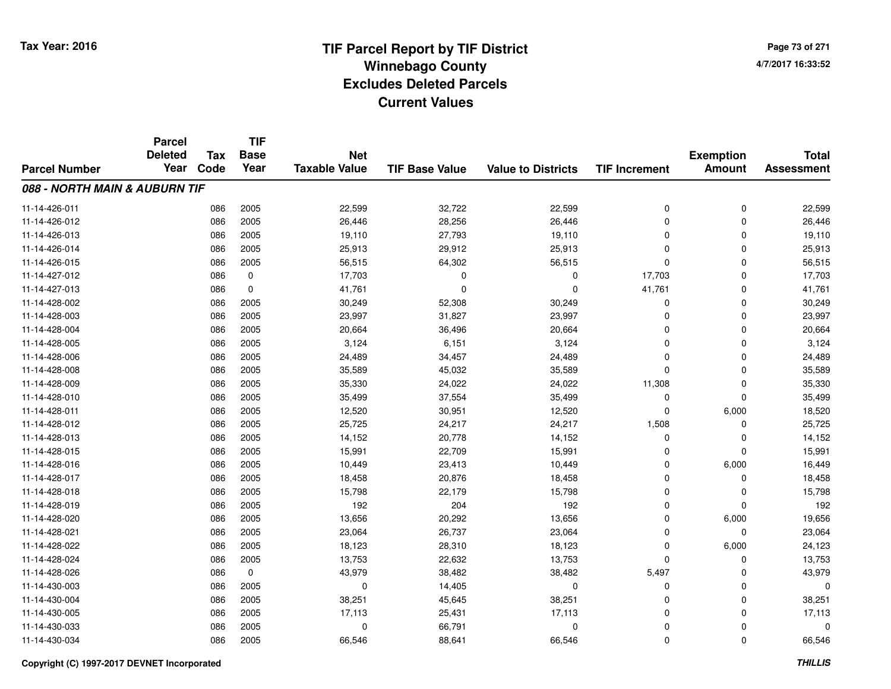# **TIF Parcel Report by TIF District Tax Year: 2016 Winnebago Countyy** and the contract of the contract of the contract of the contract of the contract of the contract of the contract of the contract of the contract of the contract of the contract of the contract of the contract of the co **Excludes Deleted ParcelsCurrent Values**

**Page 73 of 2714/7/2017 16:33:52**

|                               | <b>Parcel</b><br><b>Deleted</b> |      | <b>Tax</b>  | <b>TIF</b><br><b>Base</b> | <b>Net</b>            |                           |                      |               | <b>Exemption</b>  | <b>Total</b> |
|-------------------------------|---------------------------------|------|-------------|---------------------------|-----------------------|---------------------------|----------------------|---------------|-------------------|--------------|
| <b>Parcel Number</b>          | Year                            | Code | Year        | <b>Taxable Value</b>      | <b>TIF Base Value</b> | <b>Value to Districts</b> | <b>TIF Increment</b> | <b>Amount</b> | <b>Assessment</b> |              |
| 088 - NORTH MAIN & AUBURN TIF |                                 |      |             |                           |                       |                           |                      |               |                   |              |
| 11-14-426-011                 |                                 | 086  | 2005        | 22,599                    | 32,722                | 22,599                    | 0                    | 0             | 22,599            |              |
| 11-14-426-012                 |                                 | 086  | 2005        | 26,446                    | 28,256                | 26,446                    | $\Omega$             | $\mathbf 0$   | 26,446            |              |
| 11-14-426-013                 |                                 | 086  | 2005        | 19,110                    | 27,793                | 19,110                    | $\Omega$             | $\Omega$      | 19,110            |              |
| 11-14-426-014                 |                                 | 086  | 2005        | 25,913                    | 29,912                | 25,913                    | 0                    | $\Omega$      | 25,913            |              |
| 11-14-426-015                 |                                 | 086  | 2005        | 56,515                    | 64,302                | 56,515                    | $\mathbf 0$          | $\mathbf 0$   | 56,515            |              |
| 11-14-427-012                 |                                 | 086  | 0           | 17,703                    | 0                     | $\mathbf 0$               | 17,703               | 0             | 17,703            |              |
| 11-14-427-013                 |                                 | 086  | $\mathbf 0$ | 41,761                    | $\Omega$              | $\mathbf{0}$              | 41,761               | $\Omega$      | 41,761            |              |
| 11-14-428-002                 |                                 | 086  | 2005        | 30,249                    | 52,308                | 30,249                    | 0                    | $\Omega$      | 30,249            |              |
| 11-14-428-003                 |                                 | 086  | 2005        | 23,997                    | 31,827                | 23,997                    | $\mathbf 0$          | $\Omega$      | 23,997            |              |
| 11-14-428-004                 |                                 | 086  | 2005        | 20,664                    | 36,496                | 20,664                    | $\mathbf 0$          | $\Omega$      | 20,664            |              |
| 11-14-428-005                 |                                 | 086  | 2005        | 3,124                     | 6,151                 | 3,124                     | $\Omega$             | $\Omega$      | 3,124             |              |
| 11-14-428-006                 |                                 | 086  | 2005        | 24,489                    | 34,457                | 24,489                    | $\Omega$             | $\Omega$      | 24,489            |              |
| 11-14-428-008                 |                                 | 086  | 2005        | 35,589                    | 45,032                | 35,589                    | $\Omega$             | $\Omega$      | 35,589            |              |
| 11-14-428-009                 |                                 | 086  | 2005        | 35,330                    | 24,022                | 24,022                    | 11,308               | 0             | 35,330            |              |
| 11-14-428-010                 |                                 | 086  | 2005        | 35,499                    | 37,554                | 35,499                    | 0                    | $\mathbf 0$   | 35,499            |              |
| 11-14-428-011                 |                                 | 086  | 2005        | 12,520                    | 30,951                | 12,520                    | 0                    | 6,000         | 18,520            |              |
| 11-14-428-012                 |                                 | 086  | 2005        | 25,725                    | 24,217                | 24,217                    | 1,508                | $\Omega$      | 25,725            |              |
| 11-14-428-013                 |                                 | 086  | 2005        | 14,152                    | 20,778                | 14,152                    | 0                    | 0             | 14,152            |              |
| 11-14-428-015                 |                                 | 086  | 2005        | 15,991                    | 22,709                | 15,991                    | 0                    | $\mathbf 0$   | 15,991            |              |
| 11-14-428-016                 |                                 | 086  | 2005        | 10,449                    | 23,413                | 10,449                    | 0                    | 6,000         | 16,449            |              |
| 11-14-428-017                 |                                 | 086  | 2005        | 18,458                    | 20,876                | 18,458                    | 0                    | 0             | 18,458            |              |
| 11-14-428-018                 |                                 | 086  | 2005        | 15,798                    | 22,179                | 15,798                    | 0                    | 0             | 15,798            |              |
| 11-14-428-019                 |                                 | 086  | 2005        | 192                       | 204                   | 192                       | 0                    | $\Omega$      | 192               |              |
| 11-14-428-020                 |                                 | 086  | 2005        | 13,656                    | 20,292                | 13,656                    | 0                    | 6,000         | 19,656            |              |
| 11-14-428-021                 |                                 | 086  | 2005        | 23,064                    | 26,737                | 23,064                    | $\mathbf 0$          | $\mathbf 0$   | 23,064            |              |
| 11-14-428-022                 |                                 | 086  | 2005        | 18,123                    | 28,310                | 18,123                    | 0                    | 6,000         | 24,123            |              |
| 11-14-428-024                 |                                 | 086  | 2005        | 13,753                    | 22,632                | 13,753                    | $\mathbf{0}$         | $\mathbf 0$   | 13,753            |              |
| 11-14-428-026                 |                                 | 086  | $\pmb{0}$   | 43,979                    | 38,482                | 38,482                    | 5,497                | 0             | 43,979            |              |
| 11-14-430-003                 |                                 | 086  | 2005        | $\mathbf 0$               | 14,405                | $\mathbf 0$               | 0                    | $\Omega$      | 0                 |              |
| 11-14-430-004                 |                                 | 086  | 2005        | 38,251                    | 45,645                | 38,251                    | 0                    | 0             | 38,251            |              |
| 11-14-430-005                 |                                 | 086  | 2005        | 17,113                    | 25,431                | 17,113                    | $\Omega$             | $\Omega$      | 17,113            |              |
| 11-14-430-033                 |                                 | 086  | 2005        | $\Omega$                  | 66,791                | $\mathbf 0$               | 0                    | $\Omega$      | 0                 |              |
| 11-14-430-034                 |                                 | 086  | 2005        | 66,546                    | 88,641                | 66,546                    | $\mathbf 0$          | $\Omega$      | 66,546            |              |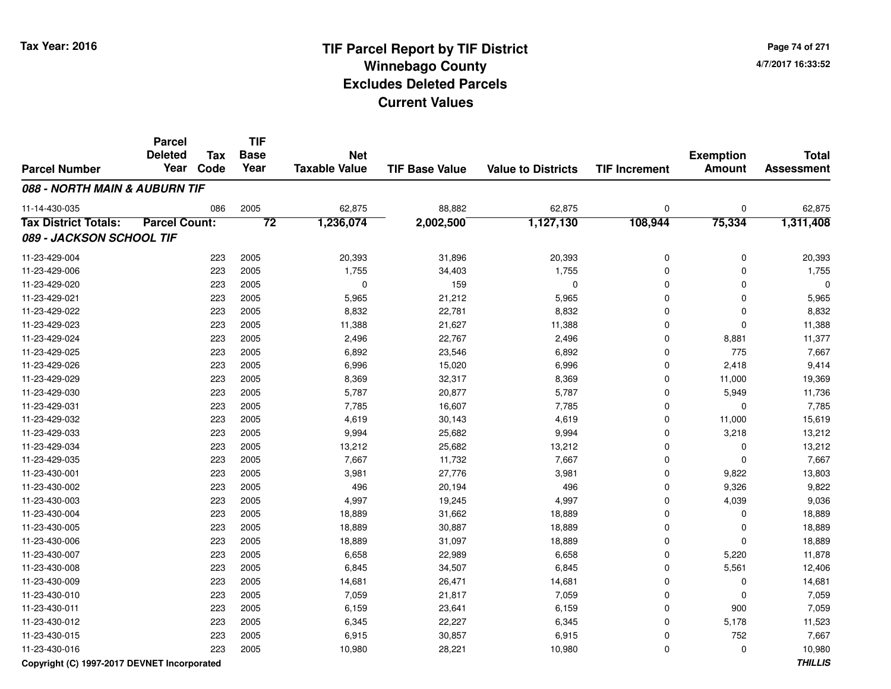**TIF**

**Parcel**

| Page 74 of 271    |
|-------------------|
| 4/7/2017 16:33:52 |

#### **TIF Base ValueParcel NumberTotal AssessmentExemption Amount Value to Districts TIF Increment Base YearTax Code Deleted YearNet Taxable Value088 - NORTH MAIN & AUBURN TIF**11-14-430-035 <sup>086</sup> 62,875 <sup>2005</sup> 88,882 62,875 <sup>0</sup> <sup>0</sup> 62,875 **Tax District Totals: Parcel Count: <sup>72</sup> 1,236,074 2,002,500 1,127,130 108,944 75,334 1,311,408 089 - JACKSON SCHOOL TIF**11-23-429-004 <sup>223</sup> 20,393 <sup>2005</sup> 31,896 20,393 <sup>0</sup> <sup>0</sup> 20,393 11-23-429-0066 223 2005 1,755 34,403 1,755 0 0 1,755 11-23-429-020 <sup>223</sup> <sup>0</sup> <sup>2005</sup> <sup>159</sup> <sup>0</sup> <sup>0</sup> <sup>0</sup> <sup>0</sup> 11-23-429-0211 223 2005 5,965 21,212 5,965 0 0 5,965 11-23-429-0222 223 2005 8,832 22,781 8,832 0 0 8,832 11-23-429-0233 223 2005 11,388 21,627 11,388 0 0 11,388 11-23-429-024 <sup>223</sup> 2,496 <sup>2005</sup> 22,767 2,496 <sup>0</sup> 8,881 11,377 11-23-429-025 <sup>223</sup> 6,892 <sup>2005</sup> 23,546 6,892 <sup>0</sup> <sup>775</sup> 7,667 11-23-429-0266 223 2005 6,996 15,020 6,996 0 2,418 9,414 11-23-429-029 <sup>223</sup> 8,369 <sup>2005</sup> 32,317 8,369 <sup>0</sup> 11,000 19,369 11-23-429-0300 223 2005 5,787 20,877 5,787 0 5,949 11,736 11-23-429-0311 223 2005 7,785 16,607 7,785 0 7,785 11-23-429-0322 223 2005 4,619 30,143 4,619 0 11,000 15,619 11-23-429-0333 223 2005 9,994 25,682 9,994 0 3,218 13,212 11-23-429-034 <sup>223</sup> 13,212 <sup>2005</sup> 25,682 13,212 <sup>0</sup> <sup>0</sup> 13,212 11-23-429-035 <sup>223</sup> 7,667 <sup>2005</sup> 11,732 7,667 <sup>0</sup> <sup>0</sup> 7,667 11-23-430-0011 223 2005 3,981 27,776 3,981 0 9,822 13,803 11-23-430-0022 223 2005 496 20,194 496 0 9,326 9,822 11-23-430-003 <sup>223</sup> 4,997 <sup>2005</sup> 19,245 4,997 <sup>0</sup> 4,039 9,036 11-23-430-004 <sup>223</sup> 18,889 <sup>2005</sup> 31,662 18,889 <sup>0</sup> <sup>0</sup> 18,889 11-23-430-005 <sup>223</sup> 18,889 <sup>2005</sup> 30,887 18,889 <sup>0</sup> <sup>0</sup> 18,889 11-23-430-006 <sup>223</sup> 18,889 <sup>2005</sup> 31,097 18,889 <sup>0</sup> <sup>0</sup> 18,889 11-23-430-007 <sup>223</sup> 6,658 <sup>2005</sup> 22,989 6,658 <sup>0</sup> 5,220 11,878 11-23-430-0088 223 2005 6,845 34,507 6,845 0 5,561 12,406 11-23-430-0099 223 2005 14,681 26,471 14,681 0 0 14,681 11-23-430-0100 223 2005 7,059 21,817 7,059 0 7,059 11-23-430-0111 223 2005 6,159 23,641 6,159 0 900 7,059 11-23-430-012 <sup>223</sup> 6,345 <sup>2005</sup> 22,227 6,345 <sup>0</sup> 5,178 11,523 11-23-430-015 <sup>223</sup> 6,915 <sup>2005</sup> 30,857 6,915 <sup>0</sup> <sup>752</sup> 7,667 11-23-430-016<sup>223</sup> 10,980 <sup>2005</sup> 28,221 10,980 <sup>0</sup> <sup>0</sup> 10,980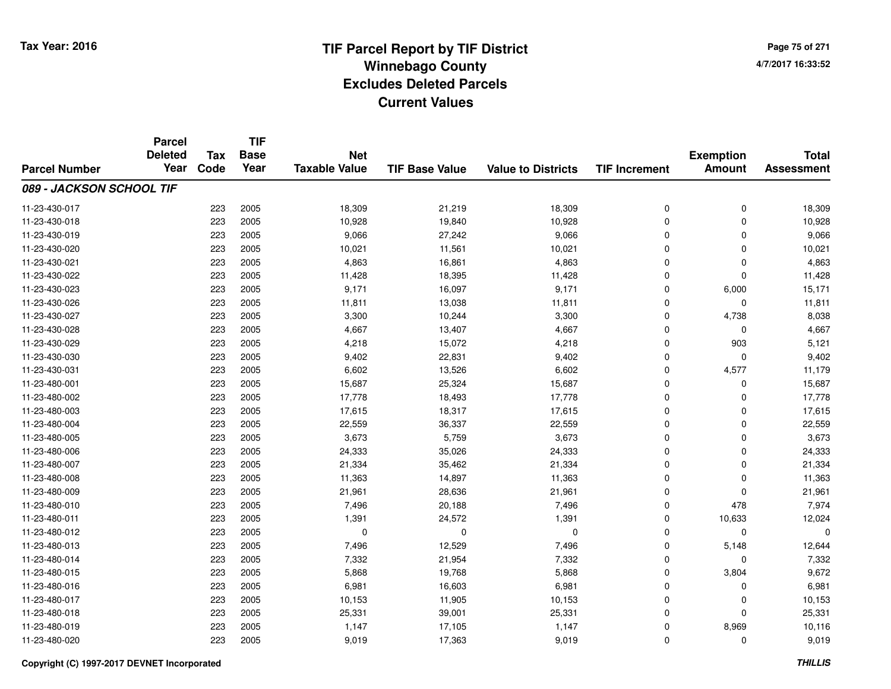**TIF**

**Parcel**

**Page 75 of 2714/7/2017 16:33:52**

#### **TIF Base ValueParcel NumberTotal AssessmentExemption Amount Value to Districts TIF Increment Base YearTax Code Deleted YearNet Taxable Value089 - JACKSON SCHOOL TIF**11-23-430-017 <sup>223</sup> 18,309 <sup>2005</sup> 21,219 18,309 <sup>0</sup> <sup>0</sup> 18,309 11-23-430-018 <sup>223</sup> 10,928 <sup>2005</sup> 19,840 10,928 <sup>0</sup> <sup>0</sup> 10,928 11-23-430-019 <sup>223</sup> 9,066 <sup>2005</sup> 27,242 9,066 <sup>0</sup> <sup>0</sup> 9,066 11-23-430-0200 223 2005 10,021 11,561 10,021 0 0 10,021 11-23-430-0211 223 2005 4,863 16,861 4,863 0 4,863 11-23-430-0222 223 2005 11,428 18,395 11,428 0 0 11,428 11-23-430-023 <sup>223</sup> 9,171 <sup>2005</sup> 16,097 9,171 <sup>0</sup> 6,000 15,171 11-23-430-026 <sup>223</sup> 11,811 <sup>2005</sup> 13,038 11,811 <sup>0</sup> <sup>0</sup> 11,811 11-23-430-027 <sup>223</sup> 3,300 <sup>2005</sup> 10,244 3,300 <sup>0</sup> 4,738 8,038 11-23-430-0288 223 2005 4,667 13,407 4,667 0 0 4,667 11-23-430-0299 223 2005 4,218 15,072 4,218 0 903 5,121 11-23-430-030 $\overline{0}$  223 2005 9,402 22,831 9,402 0 0 0 9,402 11-23-430-0311 223 2005 6,602 13,526 6,602 0 4,577 11,179 11-23-480-0011 223 2005 15,687 25,324 15,687 0 0 15,687 11-23-480-002 <sup>223</sup> 17,778 <sup>2005</sup> 18,493 17,778 <sup>0</sup> <sup>0</sup> 17,778 11-23-480-0033 223 2005 17,615 18,317 17,615 0 0 17,615 11-23-480-0044 223 2005 22,559 36,337 22,559 22,559 0 0 0 22,559 11-23-480-005 <sup>223</sup> 3,673 <sup>2005</sup> 5,759 3,673 <sup>0</sup> <sup>0</sup> 3,673 11-23-480-006 <sup>223</sup> 24,333 <sup>2005</sup> 35,026 24,333 <sup>0</sup> <sup>0</sup> 24,333 11-23-480-007 <sup>223</sup> 21,334 <sup>2005</sup> 35,462 21,334 <sup>0</sup> <sup>0</sup> 21,334 11-23-480-008 <sup>223</sup> 11,363 <sup>2005</sup> 14,897 11,363 <sup>0</sup> <sup>0</sup> 11,363 11-23-480-0099 223 2005 21,961 28,636 21,961 0 0 21,961 11-23-480-0100 223 2005 7,496 20,188 7,496 0 478 7,974 11-23-480-0111 223 2005 1,391 24,572 1,391 0 10,633 12,024 11-23-480-012 <sup>223</sup> <sup>0</sup> <sup>2005</sup> <sup>0</sup> <sup>0</sup> <sup>0</sup> <sup>0</sup> <sup>0</sup> 11-23-480-0133 223 2005 7,496 12,529 7,496 0 5,148 12,644 11-23-480-014 <sup>223</sup> 7,332 <sup>2005</sup> 21,954 7,332 <sup>0</sup> <sup>0</sup> 7,332 11-23-480-015 <sup>223</sup> 5,868 <sup>2005</sup> 19,768 5,868 <sup>0</sup> 3,804 9,672 11-23-480-0166 223 2005 6,981 16,603 6,981 0 0 6,981 11-23-480-017 <sup>223</sup> 10,153 <sup>2005</sup> 11,905 10,153 <sup>0</sup> <sup>0</sup> 10,153 11-23-480-018 <sup>223</sup> 25,331 <sup>2005</sup> 39,001 25,331 <sup>0</sup> <sup>0</sup> 25,331 11-23-480-0199 223 2005 1,147 17,105 1,147 0 8,969 10,116 11-23-480-0200 223 2005 9,019 17,363 9,019 0 0 9,019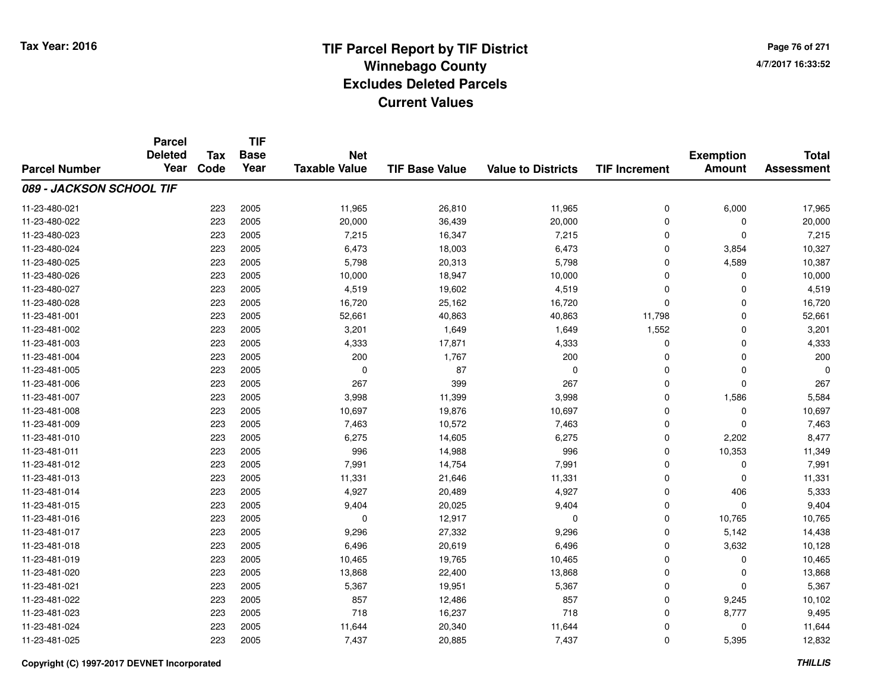**TIF**

**Parcel**

**Page 76 of 2714/7/2017 16:33:52**

| <b>Parcel Number</b>     | <b>Deleted</b><br>Year | Tax<br>Code | <b>Base</b><br>Year | <b>Net</b><br><b>Taxable Value</b> | <b>TIF Base Value</b> | <b>Value to Districts</b> | <b>TIF Increment</b> | <b>Exemption</b><br><b>Amount</b> | <b>Total</b><br><b>Assessment</b> |
|--------------------------|------------------------|-------------|---------------------|------------------------------------|-----------------------|---------------------------|----------------------|-----------------------------------|-----------------------------------|
| 089 - JACKSON SCHOOL TIF |                        |             |                     |                                    |                       |                           |                      |                                   |                                   |
| 11-23-480-021            |                        | 223         | 2005                | 11,965                             | 26,810                | 11,965                    | 0                    | 6,000                             | 17,965                            |
| 11-23-480-022            |                        | 223         | 2005                | 20,000                             | 36,439                | 20,000                    | 0                    | 0                                 | 20,000                            |
| 11-23-480-023            |                        | 223         | 2005                | 7,215                              | 16,347                | 7,215                     | 0                    | $\mathbf 0$                       | 7,215                             |
| 11-23-480-024            |                        | 223         | 2005                | 6,473                              | 18,003                | 6,473                     | $\Omega$             | 3,854                             | 10,327                            |
| 11-23-480-025            |                        | 223         | 2005                | 5,798                              | 20,313                | 5,798                     | 0                    | 4,589                             | 10,387                            |
| 11-23-480-026            |                        | 223         | 2005                | 10,000                             | 18,947                | 10,000                    | $\mathbf 0$          | $\Omega$                          | 10,000                            |
| 11-23-480-027            |                        | 223         | 2005                | 4,519                              | 19,602                | 4,519                     | $\mathbf 0$          | $\Omega$                          | 4,519                             |
| 11-23-480-028            |                        | 223         | 2005                | 16,720                             | 25,162                | 16,720                    | 0                    | $\Omega$                          | 16,720                            |
| 11-23-481-001            |                        | 223         | 2005                | 52,661                             | 40,863                | 40,863                    | 11,798               | $\Omega$                          | 52,661                            |
| 11-23-481-002            |                        | 223         | 2005                | 3,201                              | 1,649                 | 1,649                     | 1,552                | $\Omega$                          | 3,201                             |
| 11-23-481-003            |                        | 223         | 2005                | 4,333                              | 17,871                | 4,333                     | $\mathbf 0$          | 0                                 | 4,333                             |
| 11-23-481-004            |                        | 223         | 2005                | 200                                | 1,767                 | 200                       | $\mathbf 0$          | $\mathbf 0$                       | 200                               |
| 11-23-481-005            |                        | 223         | 2005                | $\mathbf 0$                        | 87                    | $\mathbf 0$               | $\Omega$             | $\Omega$                          | $\Omega$                          |
| 11-23-481-006            |                        | 223         | 2005                | 267                                | 399                   | 267                       | $\mathbf 0$          | $\Omega$                          | 267                               |
| 11-23-481-007            |                        | 223         | 2005                | 3,998                              | 11,399                | 3,998                     | $\mathbf 0$          | 1,586                             | 5,584                             |
| 11-23-481-008            |                        | 223         | 2005                | 10,697                             | 19,876                | 10,697                    | 0                    | 0                                 | 10,697                            |
| 11-23-481-009            |                        | 223         | 2005                | 7,463                              | 10,572                | 7,463                     | 0                    | 0                                 | 7,463                             |
| 11-23-481-010            |                        | 223         | 2005                | 6,275                              | 14,605                | 6,275                     | 0                    | 2,202                             | 8,477                             |
| 11-23-481-011            |                        | 223         | 2005                | 996                                | 14,988                | 996                       | $\mathbf 0$          | 10,353                            | 11,349                            |
| 11-23-481-012            |                        | 223         | 2005                | 7,991                              | 14,754                | 7,991                     | $\mathbf 0$          | $\Omega$                          | 7,991                             |
| 11-23-481-013            |                        | 223         | 2005                | 11,331                             | 21,646                | 11,331                    | $\mathbf 0$          | $\Omega$                          | 11,331                            |
| 11-23-481-014            |                        | 223         | 2005                | 4,927                              | 20,489                | 4,927                     | $\mathbf 0$          | 406                               | 5,333                             |
| 11-23-481-015            |                        | 223         | 2005                | 9,404                              | 20,025                | 9,404                     | 0                    | 0                                 | 9,404                             |
| 11-23-481-016            |                        | 223         | 2005                | 0                                  | 12,917                | $\mathbf 0$               | 0                    | 10,765                            | 10,765                            |
| 11-23-481-017            |                        | 223         | 2005                | 9,296                              | 27,332                | 9,296                     | 0                    | 5,142                             | 14,438                            |
| 11-23-481-018            |                        | 223         | 2005                | 6,496                              | 20,619                | 6,496                     | 0                    | 3,632                             | 10,128                            |
| 11-23-481-019            |                        | 223         | 2005                | 10,465                             | 19,765                | 10,465                    | $\mathbf 0$          | $\Omega$                          | 10,465                            |
| 11-23-481-020            |                        | 223         | 2005                | 13,868                             | 22,400                | 13,868                    | $\mathbf 0$          | $\Omega$                          | 13,868                            |
| 11-23-481-021            |                        | 223         | 2005                | 5,367                              | 19,951                | 5,367                     | $\mathbf 0$          | $\Omega$                          | 5,367                             |
| 11-23-481-022            |                        | 223         | 2005                | 857                                | 12,486                | 857                       | $\mathbf 0$          | 9,245                             | 10,102                            |
| 11-23-481-023            |                        | 223         | 2005                | 718                                | 16,237                | 718                       | 0                    | 8,777                             | 9,495                             |
| 11-23-481-024            |                        | 223         | 2005                | 11,644                             | 20,340                | 11,644                    | 0                    | 0                                 | 11,644                            |
| 11-23-481-025            |                        | 223         | 2005                | 7,437                              | 20,885                | 7,437                     | 0                    | 5,395                             | 12,832                            |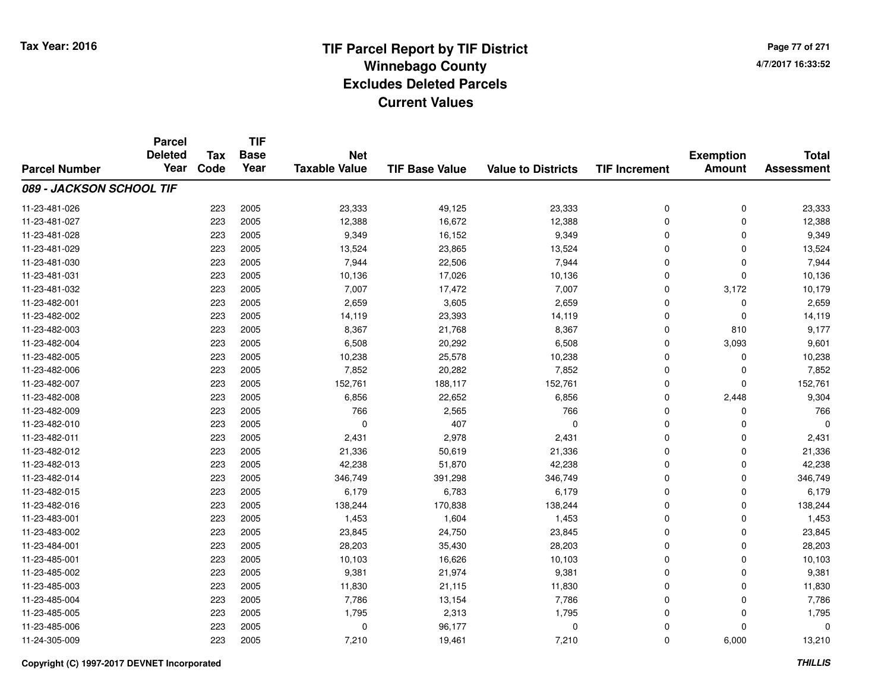**Page 77 of 2714/7/2017 16:33:52**

|                          | <b>Parcel</b><br><b>Deleted</b> | <b>Tax</b> | <b>TIF</b><br><b>Base</b> | <b>Net</b>           |                       |                           |                      | <b>Exemption</b> | <b>Total</b>      |
|--------------------------|---------------------------------|------------|---------------------------|----------------------|-----------------------|---------------------------|----------------------|------------------|-------------------|
| <b>Parcel Number</b>     | Year                            | Code       | Year                      | <b>Taxable Value</b> | <b>TIF Base Value</b> | <b>Value to Districts</b> | <b>TIF Increment</b> | <b>Amount</b>    | <b>Assessment</b> |
| 089 - JACKSON SCHOOL TIF |                                 |            |                           |                      |                       |                           |                      |                  |                   |
| 11-23-481-026            |                                 | 223        | 2005                      | 23,333               | 49,125                | 23,333                    | 0                    | 0                | 23,333            |
| 11-23-481-027            |                                 | 223        | 2005                      | 12,388               | 16,672                | 12,388                    | 0                    | $\mathbf 0$      | 12,388            |
| 11-23-481-028            |                                 | 223        | 2005                      | 9,349                | 16,152                | 9,349                     | 0                    | $\Omega$         | 9,349             |
| 11-23-481-029            |                                 | 223        | 2005                      | 13,524               | 23,865                | 13,524                    | 0                    | $\Omega$         | 13,524            |
| 11-23-481-030            |                                 | 223        | 2005                      | 7,944                | 22,506                | 7,944                     | 0                    | $\Omega$         | 7,944             |
| 11-23-481-031            |                                 | 223        | 2005                      | 10,136               | 17,026                | 10,136                    | 0                    | $\Omega$         | 10,136            |
| 11-23-481-032            |                                 | 223        | 2005                      | 7,007                | 17,472                | 7,007                     | 0                    | 3,172            | 10,179            |
| 11-23-482-001            |                                 | 223        | 2005                      | 2,659                | 3,605                 | 2,659                     | $\mathbf 0$          | $\Omega$         | 2,659             |
| 11-23-482-002            |                                 | 223        | 2005                      | 14,119               | 23,393                | 14,119                    | 0                    | $\mathbf 0$      | 14,119            |
| 11-23-482-003            |                                 | 223        | 2005                      | 8,367                | 21,768                | 8,367                     | 0                    | 810              | 9,177             |
| 11-23-482-004            |                                 | 223        | 2005                      | 6,508                | 20,292                | 6,508                     | 0                    | 3,093            | 9,601             |
| 11-23-482-005            |                                 | 223        | 2005                      | 10,238               | 25,578                | 10,238                    | 0                    | 0                | 10,238            |
| 11-23-482-006            |                                 | 223        | 2005                      | 7,852                | 20,282                | 7,852                     | $\mathbf 0$          | $\Omega$         | 7,852             |
| 11-23-482-007            |                                 | 223        | 2005                      | 152,761              | 188,117               | 152,761                   | 0                    | $\mathbf 0$      | 152,761           |
| 11-23-482-008            |                                 | 223        | 2005                      | 6,856                | 22,652                | 6,856                     | 0                    | 2,448            | 9,304             |
| 11-23-482-009            |                                 | 223        | 2005                      | 766                  | 2,565                 | 766                       | 0                    | 0                | 766               |
| 11-23-482-010            |                                 | 223        | 2005                      | $\mathbf 0$          | 407                   | $\mathbf 0$               | 0                    | 0                | $\Omega$          |
| 11-23-482-011            |                                 | 223        | 2005                      | 2,431                | 2,978                 | 2,431                     | 0                    | 0                | 2,431             |
| 11-23-482-012            |                                 | 223        | 2005                      | 21,336               | 50,619                | 21,336                    | 0                    | 0                | 21,336            |
| 11-23-482-013            |                                 | 223        | 2005                      | 42,238               | 51,870                | 42,238                    | 0                    | $\mathbf 0$      | 42,238            |
| 11-23-482-014            |                                 | 223        | 2005                      | 346,749              | 391,298               | 346,749                   | 0                    | 0                | 346,749           |
| 11-23-482-015            |                                 | 223        | 2005                      | 6,179                | 6,783                 | 6,179                     | 0                    | $\Omega$         | 6,179             |
| 11-23-482-016            |                                 | 223        | 2005                      | 138,244              | 170,838               | 138,244                   | 0                    | $\mathbf 0$      | 138,244           |
| 11-23-483-001            |                                 | 223        | 2005                      | 1,453                | 1,604                 | 1,453                     | 0                    | $\Omega$         | 1,453             |
| 11-23-483-002            |                                 | 223        | 2005                      | 23,845               | 24,750                | 23,845                    | 0                    | $\mathbf 0$      | 23,845            |
| 11-23-484-001            |                                 | 223        | 2005                      | 28,203               | 35,430                | 28,203                    | 0                    | $\Omega$         | 28,203            |
| 11-23-485-001            |                                 | 223        | 2005                      | 10,103               | 16,626                | 10,103                    | 0                    | $\mathbf 0$      | 10,103            |
| 11-23-485-002            |                                 | 223        | 2005                      | 9,381                | 21,974                | 9,381                     | 0                    | $\Omega$         | 9,381             |
| 11-23-485-003            |                                 | 223        | 2005                      | 11,830               | 21,115                | 11,830                    | 0                    | $\mathbf 0$      | 11,830            |
| 11-23-485-004            |                                 | 223        | 2005                      | 7,786                | 13,154                | 7,786                     | 0                    | 0                | 7,786             |
| 11-23-485-005            |                                 | 223        | 2005                      | 1,795                | 2,313                 | 1,795                     | $\Omega$             | $\Omega$         | 1,795             |
| 11-23-485-006            |                                 | 223        | 2005                      | 0                    | 96,177                | 0                         | 0                    | $\Omega$         | 0                 |
| 11-24-305-009            |                                 | 223        | 2005                      | 7,210                | 19,461                | 7,210                     | 0                    | 6,000            | 13,210            |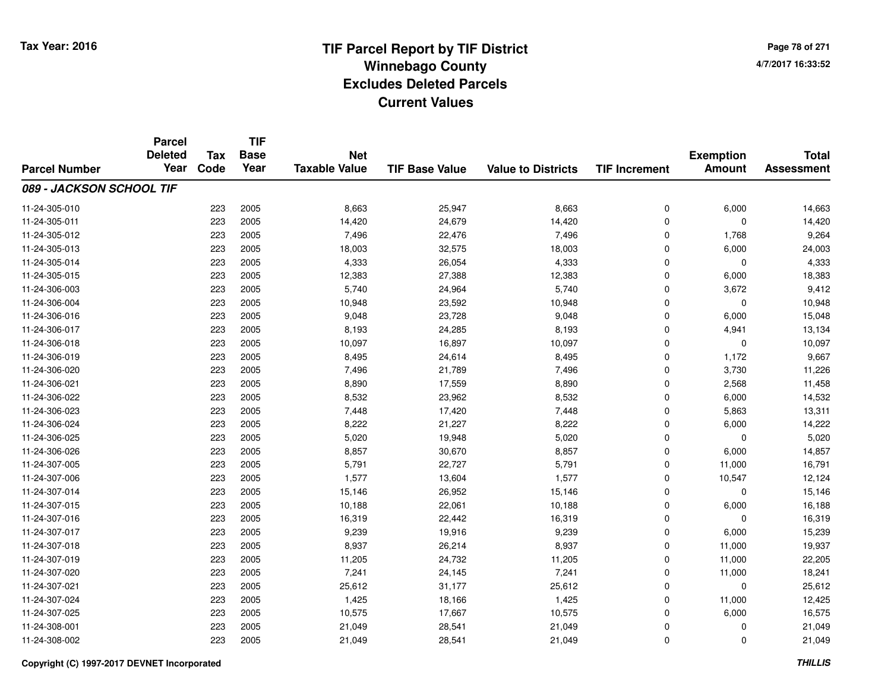# **TIF Parcel Report by TIF District Tax Year: 2016 Winnebago Countyy** and the contract of the contract of the contract of the contract of the contract of the contract of the contract of the contract of the contract of the contract of the contract of the contract of the contract of the co **Excludes Deleted ParcelsCurrent Values**

**Page 78 of 2714/7/2017 16:33:52**

|                          | <b>Parcel</b><br><b>Deleted</b> | <b>Tax</b> | <b>TIF</b><br><b>Base</b> | <b>Net</b>           |                       |                           |                      | <b>Exemption</b> | <b>Total</b>      |
|--------------------------|---------------------------------|------------|---------------------------|----------------------|-----------------------|---------------------------|----------------------|------------------|-------------------|
| <b>Parcel Number</b>     | Year                            | Code       | Year                      | <b>Taxable Value</b> | <b>TIF Base Value</b> | <b>Value to Districts</b> | <b>TIF Increment</b> | <b>Amount</b>    | <b>Assessment</b> |
| 089 - JACKSON SCHOOL TIF |                                 |            |                           |                      |                       |                           |                      |                  |                   |
| 11-24-305-010            |                                 | 223        | 2005                      | 8,663                | 25,947                | 8,663                     | 0                    | 6,000            | 14,663            |
| 11-24-305-011            |                                 | 223        | 2005                      | 14,420               | 24,679                | 14,420                    | 0                    | $\mathbf 0$      | 14,420            |
| 11-24-305-012            |                                 | 223        | 2005                      | 7,496                | 22,476                | 7,496                     | 0                    | 1,768            | 9,264             |
| 11-24-305-013            |                                 | 223        | 2005                      | 18,003               | 32,575                | 18,003                    | 0                    | 6,000            | 24,003            |
| 11-24-305-014            |                                 | 223        | 2005                      | 4,333                | 26,054                | 4,333                     | 0                    | $\Omega$         | 4,333             |
| 11-24-305-015            |                                 | 223        | 2005                      | 12,383               | 27,388                | 12,383                    | 0                    | 6,000            | 18,383            |
| 11-24-306-003            |                                 | 223        | 2005                      | 5,740                | 24,964                | 5,740                     | 0                    | 3,672            | 9,412             |
| 11-24-306-004            |                                 | 223        | 2005                      | 10,948               | 23,592                | 10,948                    | 0                    | 0                | 10,948            |
| 11-24-306-016            |                                 | 223        | 2005                      | 9,048                | 23,728                | 9,048                     | 0                    | 6,000            | 15,048            |
| 11-24-306-017            |                                 | 223        | 2005                      | 8,193                | 24,285                | 8,193                     | 0                    | 4,941            | 13,134            |
| 11-24-306-018            |                                 | 223        | 2005                      | 10,097               | 16,897                | 10,097                    | 0                    | $\Omega$         | 10,097            |
| 11-24-306-019            |                                 | 223        | 2005                      | 8,495                | 24,614                | 8,495                     | 0                    | 1,172            | 9,667             |
| 11-24-306-020            |                                 | 223        | 2005                      | 7,496                | 21,789                | 7,496                     | 0                    | 3,730            | 11,226            |
| 11-24-306-021            |                                 | 223        | 2005                      | 8,890                | 17,559                | 8,890                     | 0                    | 2,568            | 11,458            |
| 11-24-306-022            |                                 | 223        | 2005                      | 8,532                | 23,962                | 8,532                     | 0                    | 6,000            | 14,532            |
| 11-24-306-023            |                                 | 223        | 2005                      | 7,448                | 17,420                | 7,448                     | 0                    | 5,863            | 13,311            |
| 11-24-306-024            |                                 | 223        | 2005                      | 8,222                | 21,227                | 8,222                     | 0                    | 6,000            | 14,222            |
| 11-24-306-025            |                                 | 223        | 2005                      | 5,020                | 19,948                | 5,020                     | 0                    | 0                | 5,020             |
| 11-24-306-026            |                                 | 223        | 2005                      | 8,857                | 30,670                | 8,857                     | 0                    | 6,000            | 14,857            |
| 11-24-307-005            |                                 | 223        | 2005                      | 5,791                | 22,727                | 5,791                     | 0                    | 11,000           | 16,791            |
| 11-24-307-006            |                                 | 223        | 2005                      | 1,577                | 13,604                | 1,577                     | 0                    | 10,547           | 12,124            |
| 11-24-307-014            |                                 | 223        | 2005                      | 15,146               | 26,952                | 15,146                    | 0                    | 0                | 15,146            |
| 11-24-307-015            |                                 | 223        | 2005                      | 10,188               | 22,061                | 10,188                    | 0                    | 6,000            | 16,188            |
| 11-24-307-016            |                                 | 223        | 2005                      | 16,319               | 22,442                | 16,319                    | 0                    | 0                | 16,319            |
| 11-24-307-017            |                                 | 223        | 2005                      | 9,239                | 19,916                | 9,239                     | 0                    | 6,000            | 15,239            |
| 11-24-307-018            |                                 | 223        | 2005                      | 8,937                | 26,214                | 8,937                     | 0                    | 11,000           | 19,937            |
| 11-24-307-019            |                                 | 223        | 2005                      | 11,205               | 24,732                | 11,205                    | 0                    | 11,000           | 22,205            |
| 11-24-307-020            |                                 | 223        | 2005                      | 7,241                | 24,145                | 7,241                     | 0                    | 11,000           | 18,241            |
| 11-24-307-021            |                                 | 223        | 2005                      | 25,612               | 31,177                | 25,612                    | 0                    | $\mathbf 0$      | 25,612            |
| 11-24-307-024            |                                 | 223        | 2005                      | 1,425                | 18,166                | 1,425                     | 0                    | 11,000           | 12,425            |
| 11-24-307-025            |                                 | 223        | 2005                      | 10,575               | 17,667                | 10,575                    | 0                    | 6,000            | 16,575            |
| 11-24-308-001            |                                 | 223        | 2005                      | 21,049               | 28,541                | 21,049                    | 0                    | 0                | 21,049            |
| 11-24-308-002            |                                 | 223        | 2005                      | 21,049               | 28,541                | 21,049                    | 0                    | $\Omega$         | 21,049            |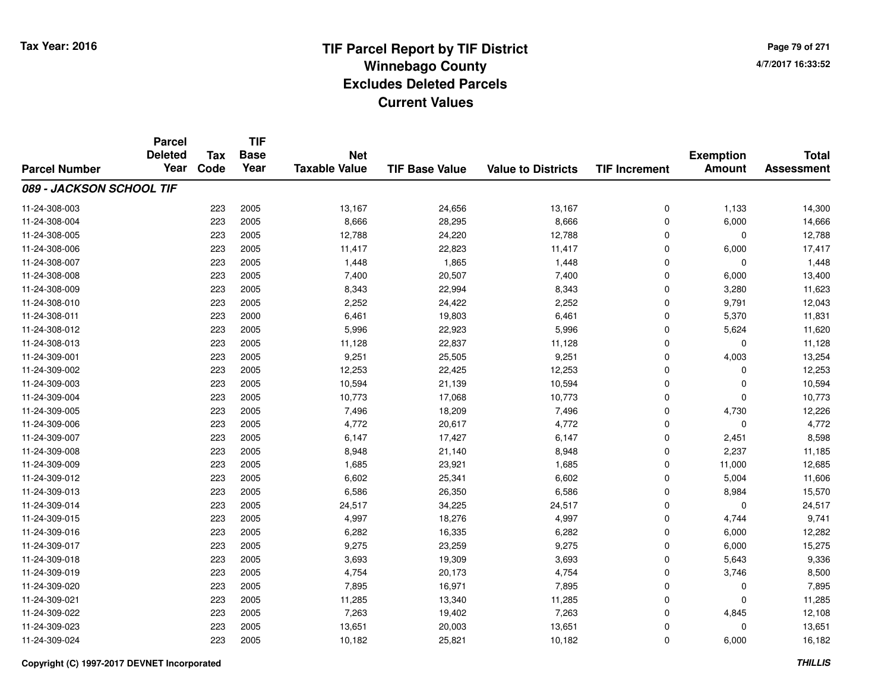# **TIF Parcel Report by TIF District Tax Year: 2016 Winnebago Countyy** and the contract of the contract of the contract of the contract of the contract of the contract of the contract of the contract of the contract of the contract of the contract of the contract of the contract of the co **Excludes Deleted ParcelsCurrent Values**

**Page 79 of 2714/7/2017 16:33:52**

|                          | <b>Parcel</b><br><b>Deleted</b> | <b>Tax</b> | <b>TIF</b><br><b>Base</b> | <b>Net</b>           |                       |                           |                      | <b>Exemption</b> | <b>Total</b>      |
|--------------------------|---------------------------------|------------|---------------------------|----------------------|-----------------------|---------------------------|----------------------|------------------|-------------------|
| <b>Parcel Number</b>     | Year                            | Code       | Year                      | <b>Taxable Value</b> | <b>TIF Base Value</b> | <b>Value to Districts</b> | <b>TIF Increment</b> | <b>Amount</b>    | <b>Assessment</b> |
| 089 - JACKSON SCHOOL TIF |                                 |            |                           |                      |                       |                           |                      |                  |                   |
| 11-24-308-003            |                                 | 223        | 2005                      | 13,167               | 24,656                | 13,167                    | 0                    | 1,133            | 14,300            |
| 11-24-308-004            |                                 | 223        | 2005                      | 8,666                | 28,295                | 8,666                     | 0                    | 6,000            | 14,666            |
| 11-24-308-005            |                                 | 223        | 2005                      | 12,788               | 24,220                | 12,788                    | 0                    | $\mathbf 0$      | 12,788            |
| 11-24-308-006            |                                 | 223        | 2005                      | 11,417               | 22,823                | 11,417                    | 0                    | 6,000            | 17,417            |
| 11-24-308-007            |                                 | 223        | 2005                      | 1,448                | 1,865                 | 1,448                     | 0                    | $\Omega$         | 1,448             |
| 11-24-308-008            |                                 | 223        | 2005                      | 7,400                | 20,507                | 7,400                     | 0                    | 6,000            | 13,400            |
| 11-24-308-009            |                                 | 223        | 2005                      | 8,343                | 22,994                | 8,343                     | 0                    | 3,280            | 11,623            |
| 11-24-308-010            |                                 | 223        | 2005                      | 2,252                | 24,422                | 2,252                     | 0                    | 9,791            | 12,043            |
| 11-24-308-011            |                                 | 223        | 2000                      | 6,461                | 19,803                | 6,461                     | 0                    | 5,370            | 11,831            |
| 11-24-308-012            |                                 | 223        | 2005                      | 5,996                | 22,923                | 5,996                     | 0                    | 5,624            | 11,620            |
| 11-24-308-013            |                                 | 223        | 2005                      | 11,128               | 22,837                | 11,128                    | 0                    | $\Omega$         | 11,128            |
| 11-24-309-001            |                                 | 223        | 2005                      | 9,251                | 25,505                | 9,251                     | 0                    | 4,003            | 13,254            |
| 11-24-309-002            |                                 | 223        | 2005                      | 12,253               | 22,425                | 12,253                    | $\mathbf 0$          | $\Omega$         | 12,253            |
| 11-24-309-003            |                                 | 223        | 2005                      | 10,594               | 21,139                | 10,594                    | 0                    | 0                | 10,594            |
| 11-24-309-004            |                                 | 223        | 2005                      | 10,773               | 17,068                | 10,773                    | $\mathbf 0$          | $\mathbf 0$      | 10,773            |
| 11-24-309-005            |                                 | 223        | 2005                      | 7,496                | 18,209                | 7,496                     | 0                    | 4,730            | 12,226            |
| 11-24-309-006            |                                 | 223        | 2005                      | 4,772                | 20,617                | 4,772                     | 0                    | $\mathbf 0$      | 4,772             |
| 11-24-309-007            |                                 | 223        | 2005                      | 6,147                | 17,427                | 6,147                     | 0                    | 2,451            | 8,598             |
| 11-24-309-008            |                                 | 223        | 2005                      | 8,948                | 21,140                | 8,948                     | 0                    | 2,237            | 11,185            |
| 11-24-309-009            |                                 | 223        | 2005                      | 1,685                | 23,921                | 1,685                     | 0                    | 11,000           | 12,685            |
| 11-24-309-012            |                                 | 223        | 2005                      | 6,602                | 25,341                | 6,602                     | 0                    | 5,004            | 11,606            |
| 11-24-309-013            |                                 | 223        | 2005                      | 6,586                | 26,350                | 6,586                     | 0                    | 8,984            | 15,570            |
| 11-24-309-014            |                                 | 223        | 2005                      | 24,517               | 34,225                | 24,517                    | 0                    | 0                | 24,517            |
| 11-24-309-015            |                                 | 223        | 2005                      | 4,997                | 18,276                | 4,997                     | 0                    | 4,744            | 9,741             |
| 11-24-309-016            |                                 | 223        | 2005                      | 6,282                | 16,335                | 6,282                     | 0                    | 6,000            | 12,282            |
| 11-24-309-017            |                                 | 223        | 2005                      | 9,275                | 23,259                | 9,275                     | 0                    | 6,000            | 15,275            |
| 11-24-309-018            |                                 | 223        | 2005                      | 3,693                | 19,309                | 3,693                     | 0                    | 5,643            | 9,336             |
| 11-24-309-019            |                                 | 223        | 2005                      | 4,754                | 20,173                | 4,754                     | 0                    | 3,746            | 8,500             |
| 11-24-309-020            |                                 | 223        | 2005                      | 7,895                | 16,971                | 7,895                     | 0                    | 0                | 7,895             |
| 11-24-309-021            |                                 | 223        | 2005                      | 11,285               | 13,340                | 11,285                    | 0                    | $\Omega$         | 11,285            |
| 11-24-309-022            |                                 | 223        | 2005                      | 7,263                | 19,402                | 7,263                     | 0                    | 4,845            | 12,108            |
| 11-24-309-023            |                                 | 223        | 2005                      | 13,651               | 20,003                | 13,651                    | 0                    | 0                | 13,651            |
| 11-24-309-024            |                                 | 223        | 2005                      | 10,182               | 25,821                | 10,182                    | 0                    | 6,000            | 16,182            |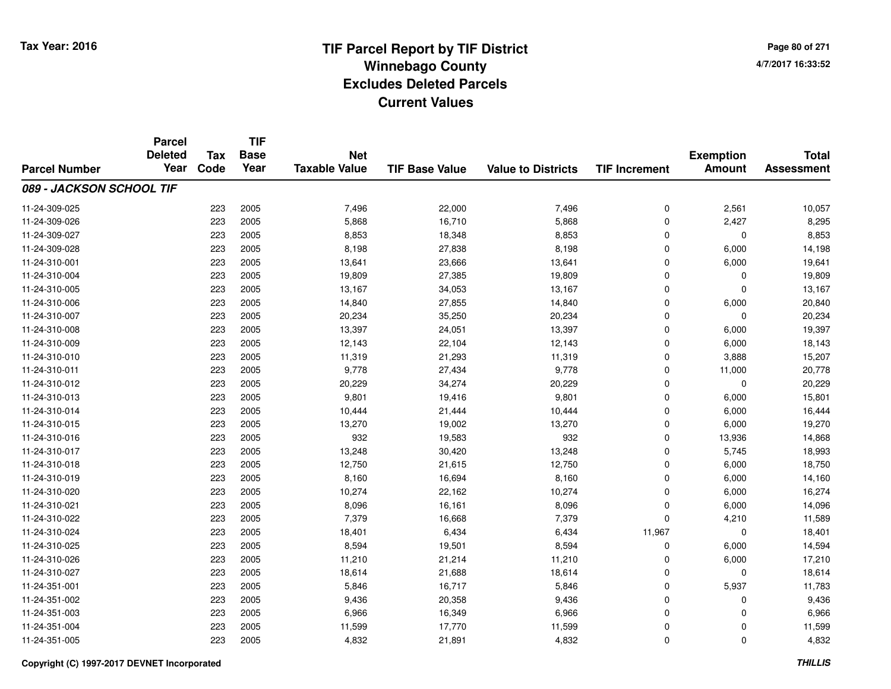**TIF**

**Parcel**

**Page 80 of 2714/7/2017 16:33:52**

| <b>Parcel Number</b>     | <b>urvo</b><br><b>Deleted</b><br>Year | <b>Tax</b><br>Code | <b>Base</b><br>Year | <b>Net</b><br><b>Taxable Value</b> | <b>TIF Base Value</b> | <b>Value to Districts</b> | <b>TIF Increment</b> | <b>Exemption</b><br><b>Amount</b> | <b>Total</b><br><b>Assessment</b> |
|--------------------------|---------------------------------------|--------------------|---------------------|------------------------------------|-----------------------|---------------------------|----------------------|-----------------------------------|-----------------------------------|
| 089 - JACKSON SCHOOL TIF |                                       |                    |                     |                                    |                       |                           |                      |                                   |                                   |
| 11-24-309-025            |                                       | 223                | 2005                | 7,496                              | 22,000                | 7,496                     | 0                    | 2,561                             | 10,057                            |
| 11-24-309-026            |                                       | 223                | 2005                | 5,868                              | 16,710                | 5,868                     | 0                    | 2,427                             | 8,295                             |
| 11-24-309-027            |                                       | 223                | 2005                | 8,853                              | 18,348                | 8,853                     | 0                    | 0                                 | 8,853                             |
| 11-24-309-028            |                                       | 223                | 2005                | 8,198                              | 27,838                | 8,198                     | 0                    | 6,000                             | 14,198                            |
| 11-24-310-001            |                                       | 223                | 2005                | 13,641                             | 23,666                | 13,641                    | 0                    | 6,000                             | 19,641                            |
| 11-24-310-004            |                                       | 223                | 2005                | 19,809                             | 27,385                | 19,809                    | $\overline{0}$       | $\Omega$                          | 19,809                            |
| 11-24-310-005            |                                       | 223                | 2005                | 13,167                             | 34,053                | 13,167                    | 0                    | $\Omega$                          | 13,167                            |
| 11-24-310-006            |                                       | 223                | 2005                | 14,840                             | 27,855                | 14,840                    | 0                    | 6,000                             | 20,840                            |
| 11-24-310-007            |                                       | 223                | 2005                | 20,234                             | 35,250                | 20,234                    | 0                    | $\Omega$                          | 20,234                            |
| 11-24-310-008            |                                       | 223                | 2005                | 13,397                             | 24,051                | 13,397                    | 0                    | 6,000                             | 19,397                            |
| 11-24-310-009            |                                       | 223                | 2005                | 12,143                             | 22,104                | 12,143                    | 0                    | 6,000                             | 18,143                            |
| 11-24-310-010            |                                       | 223                | 2005                | 11,319                             | 21,293                | 11,319                    | 0                    | 3,888                             | 15,207                            |
| 11-24-310-011            |                                       | 223                | 2005                | 9,778                              | 27,434                | 9,778                     | 0                    | 11,000                            | 20,778                            |
| 11-24-310-012            |                                       | 223                | 2005                | 20,229                             | 34,274                | 20,229                    | 0                    | $\mathbf 0$                       | 20,229                            |
| 11-24-310-013            |                                       | 223                | 2005                | 9,801                              | 19,416                | 9,801                     | 0                    | 6,000                             | 15,801                            |
| 11-24-310-014            |                                       | 223                | 2005                | 10,444                             | 21,444                | 10,444                    | $\mathbf 0$          | 6,000                             | 16,444                            |
| 11-24-310-015            |                                       | 223                | 2005                | 13,270                             | 19,002                | 13,270                    | $\mathbf 0$          | 6,000                             | 19,270                            |
| 11-24-310-016            |                                       | 223                | 2005                | 932                                | 19,583                | 932                       | $\mathbf 0$          | 13,936                            | 14,868                            |
| 11-24-310-017            |                                       | 223                | 2005                | 13,248                             | 30,420                | 13,248                    | $\mathbf 0$          | 5,745                             | 18,993                            |
| 11-24-310-018            |                                       | 223                | 2005                | 12,750                             | 21,615                | 12,750                    | $\mathbf 0$          | 6,000                             | 18,750                            |
| 11-24-310-019            |                                       | 223                | 2005                | 8,160                              | 16,694                | 8,160                     | $\mathbf 0$          | 6,000                             | 14,160                            |
| 11-24-310-020            |                                       | 223                | 2005                | 10,274                             | 22,162                | 10,274                    | 0                    | 6,000                             | 16,274                            |
| 11-24-310-021            |                                       | 223                | 2005                | 8,096                              | 16,161                | 8,096                     | 0                    | 6,000                             | 14,096                            |
| 11-24-310-022            |                                       | 223                | 2005                | 7,379                              | 16,668                | 7,379                     | 0                    | 4,210                             | 11,589                            |
| 11-24-310-024            |                                       | 223                | 2005                | 18,401                             | 6,434                 | 6,434                     | 11,967               | $\mathbf 0$                       | 18,401                            |
| 11-24-310-025            |                                       | 223                | 2005                | 8,594                              | 19,501                | 8,594                     | $\mathbf 0$          | 6,000                             | 14,594                            |
| 11-24-310-026            |                                       | 223                | 2005                | 11,210                             | 21,214                | 11,210                    | 0                    | 6,000                             | 17,210                            |
| 11-24-310-027            |                                       | 223                | 2005                | 18,614                             | 21,688                | 18,614                    | 0                    | 0                                 | 18,614                            |
| 11-24-351-001            |                                       | 223                | 2005                | 5,846                              | 16,717                | 5,846                     | 0                    | 5,937                             | 11,783                            |
| 11-24-351-002            |                                       | 223                | 2005                | 9,436                              | 20,358                | 9,436                     | 0                    | 0                                 | 9,436                             |
| 11-24-351-003            |                                       | 223                | 2005                | 6,966                              | 16,349                | 6,966                     | 0                    | $\Omega$                          | 6,966                             |
| 11-24-351-004            |                                       | 223                | 2005                | 11,599                             | 17,770                | 11,599                    | 0                    | 0                                 | 11,599                            |
| 11-24-351-005            |                                       | 223                | 2005                | 4,832                              | 21,891                | 4,832                     | 0                    | $\mathbf 0$                       | 4,832                             |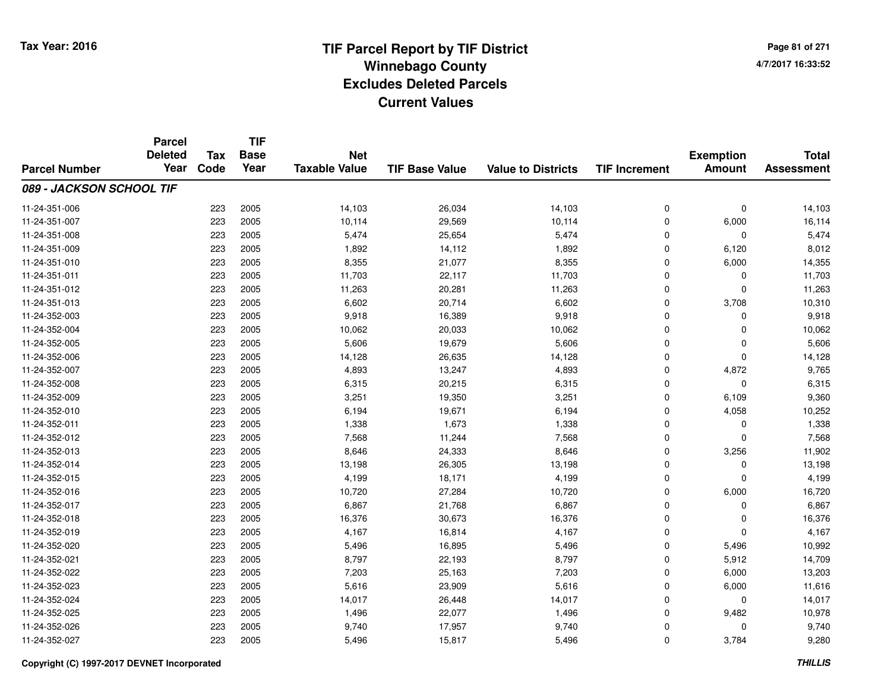**TIF**

**Parcel**

**Page 81 of 2714/7/2017 16:33:52**

| <b>Parcel Number</b>     | <b>Deleted</b><br>Year | <b>Tax</b><br>Code | <b>Base</b><br>Year | <b>Net</b><br><b>Taxable Value</b> | <b>TIF Base Value</b> | <b>Value to Districts</b> | <b>TIF Increment</b> | <b>Exemption</b><br><b>Amount</b> | <b>Total</b><br><b>Assessment</b> |
|--------------------------|------------------------|--------------------|---------------------|------------------------------------|-----------------------|---------------------------|----------------------|-----------------------------------|-----------------------------------|
| 089 - JACKSON SCHOOL TIF |                        |                    |                     |                                    |                       |                           |                      |                                   |                                   |
| 11-24-351-006            |                        | 223                | 2005                | 14,103                             | 26,034                | 14,103                    | 0                    | $\mathbf 0$                       | 14,103                            |
| 11-24-351-007            |                        | 223                | 2005                | 10,114                             | 29,569                | 10,114                    | 0                    | 6,000                             | 16,114                            |
| 11-24-351-008            |                        | 223                | 2005                | 5,474                              | 25,654                | 5,474                     | 0                    | 0                                 | 5,474                             |
| 11-24-351-009            |                        | 223                | 2005                | 1,892                              | 14,112                | 1,892                     | 0                    | 6,120                             | 8,012                             |
| 11-24-351-010            |                        | 223                | 2005                | 8,355                              | 21,077                | 8,355                     | 0                    | 6,000                             | 14,355                            |
| 11-24-351-011            |                        | 223                | 2005                | 11,703                             | 22,117                | 11,703                    | 0                    | $\Omega$                          | 11,703                            |
| 11-24-351-012            |                        | 223                | 2005                | 11,263                             | 20,281                | 11,263                    | $\mathbf 0$          | $\Omega$                          | 11,263                            |
| 11-24-351-013            |                        | 223                | 2005                | 6,602                              | 20,714                | 6,602                     | $\mathbf 0$          | 3,708                             | 10,310                            |
| 11-24-352-003            |                        | 223                | 2005                | 9,918                              | 16,389                | 9,918                     | $\mathbf 0$          | $\Omega$                          | 9,918                             |
| 11-24-352-004            |                        | 223                | 2005                | 10,062                             | 20,033                | 10,062                    | $\mathbf 0$          | $\Omega$                          | 10,062                            |
| 11-24-352-005            |                        | 223                | 2005                | 5,606                              | 19,679                | 5,606                     | 0                    | $\Omega$                          | 5,606                             |
| 11-24-352-006            |                        | 223                | 2005                | 14,128                             | 26,635                | 14,128                    | 0                    | 0                                 | 14,128                            |
| 11-24-352-007            |                        | 223                | 2005                | 4,893                              | 13,247                | 4,893                     | $\mathbf 0$          | 4,872                             | 9,765                             |
| 11-24-352-008            |                        | 223                | 2005                | 6,315                              | 20,215                | 6,315                     | 0                    | 0                                 | 6,315                             |
| 11-24-352-009            |                        | 223                | 2005                | 3,251                              | 19,350                | 3,251                     | 0                    | 6,109                             | 9,360                             |
| 11-24-352-010            |                        | 223                | 2005                | 6,194                              | 19,671                | 6,194                     | $\mathbf 0$          | 4,058                             | 10,252                            |
| 11-24-352-011            |                        | 223                | 2005                | 1,338                              | 1,673                 | 1,338                     | $\mathbf 0$          | 0                                 | 1,338                             |
| 11-24-352-012            |                        | 223                | 2005                | 7,568                              | 11,244                | 7,568                     | $\mathbf 0$          | $\Omega$                          | 7,568                             |
| 11-24-352-013            |                        | 223                | 2005                | 8,646                              | 24,333                | 8,646                     | $\mathbf 0$          | 3,256                             | 11,902                            |
| 11-24-352-014            |                        | 223                | 2005                | 13,198                             | 26,305                | 13,198                    | $\mathbf 0$          | 0                                 | 13,198                            |
| 11-24-352-015            |                        | 223                | 2005                | 4,199                              | 18,171                | 4,199                     | 0                    | $\Omega$                          | 4,199                             |
| 11-24-352-016            |                        | 223                | 2005                | 10,720                             | 27,284                | 10,720                    | $\mathbf 0$          | 6,000                             | 16,720                            |
| 11-24-352-017            |                        | 223                | 2005                | 6,867                              | 21,768                | 6,867                     | 0                    | 0                                 | 6,867                             |
| 11-24-352-018            |                        | 223                | 2005                | 16,376                             | 30,673                | 16,376                    | 0                    | 0                                 | 16,376                            |
| 11-24-352-019            |                        | 223                | 2005                | 4,167                              | 16,814                | 4,167                     | $\mathbf 0$          | $\Omega$                          | 4,167                             |
| 11-24-352-020            |                        | 223                | 2005                | 5,496                              | 16,895                | 5,496                     | $\mathbf 0$          | 5,496                             | 10,992                            |
| 11-24-352-021            |                        | 223                | 2005                | 8,797                              | 22,193                | 8,797                     | $\mathbf 0$          | 5,912                             | 14,709                            |
| 11-24-352-022            |                        | 223                | 2005                | 7,203                              | 25,163                | 7,203                     | $\mathbf 0$          | 6,000                             | 13,203                            |
| 11-24-352-023            |                        | 223                | 2005                | 5,616                              | 23,909                | 5,616                     | $\mathbf 0$          | 6,000                             | 11,616                            |
| 11-24-352-024            |                        | 223                | 2005                | 14,017                             | 26,448                | 14,017                    | 0                    | 0                                 | 14,017                            |
| 11-24-352-025            |                        | 223                | 2005                | 1,496                              | 22,077                | 1,496                     | 0                    | 9,482                             | 10,978                            |
| 11-24-352-026            |                        | 223                | 2005                | 9,740                              | 17,957                | 9,740                     | 0                    | 0                                 | 9,740                             |
| 11-24-352-027            |                        | 223                | 2005                | 5,496                              | 15,817                | 5,496                     | 0                    | 3,784                             | 9,280                             |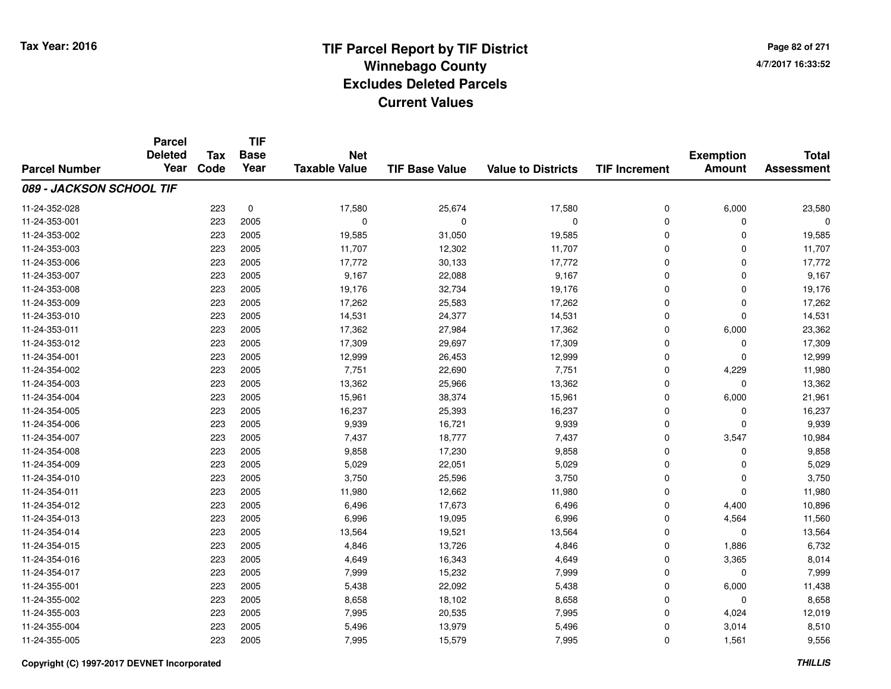# **TIF Parcel Report by TIF District Tax Year: 2016 Winnebago Countyy** and the contract of the contract of the contract of the contract of the contract of the contract of the contract of the contract of the contract of the contract of the contract of the contract of the contract of the co **Excludes Deleted ParcelsCurrent Values**

**Page 82 of 2714/7/2017 16:33:52**

|                          | <b>Parcel</b><br><b>Deleted</b> | <b>Tax</b> | <b>TIF</b><br><b>Base</b> | <b>Net</b>           |                       |                           |                      | <b>Exemption</b> | <b>Total</b>      |
|--------------------------|---------------------------------|------------|---------------------------|----------------------|-----------------------|---------------------------|----------------------|------------------|-------------------|
| <b>Parcel Number</b>     | Year                            | Code       | Year                      | <b>Taxable Value</b> | <b>TIF Base Value</b> | <b>Value to Districts</b> | <b>TIF Increment</b> | <b>Amount</b>    | <b>Assessment</b> |
| 089 - JACKSON SCHOOL TIF |                                 |            |                           |                      |                       |                           |                      |                  |                   |
| 11-24-352-028            |                                 | 223        | $\pmb{0}$                 | 17,580               | 25,674                | 17,580                    | 0                    | 6,000            | 23,580            |
| 11-24-353-001            |                                 | 223        | 2005                      | $\mathbf 0$          | $\mathbf 0$           | $\mathbf 0$               | 0                    | 0                | 0                 |
| 11-24-353-002            |                                 | 223        | 2005                      | 19,585               | 31,050                | 19,585                    | $\mathbf 0$          | $\Omega$         | 19,585            |
| 11-24-353-003            |                                 | 223        | 2005                      | 11,707               | 12,302                | 11,707                    | 0                    | $\Omega$         | 11,707            |
| 11-24-353-006            |                                 | 223        | 2005                      | 17,772               | 30,133                | 17,772                    | $\mathbf 0$          | $\Omega$         | 17,772            |
| 11-24-353-007            |                                 | 223        | 2005                      | 9,167                | 22,088                | 9,167                     | 0                    | $\Omega$         | 9,167             |
| 11-24-353-008            |                                 | 223        | 2005                      | 19,176               | 32,734                | 19,176                    | $\mathbf 0$          | $\Omega$         | 19,176            |
| 11-24-353-009            |                                 | 223        | 2005                      | 17,262               | 25,583                | 17,262                    | $\mathbf 0$          | $\Omega$         | 17,262            |
| 11-24-353-010            |                                 | 223        | 2005                      | 14,531               | 24,377                | 14,531                    | $\mathbf 0$          | $\Omega$         | 14,531            |
| 11-24-353-011            |                                 | 223        | 2005                      | 17,362               | 27,984                | 17,362                    | 0                    | 6,000            | 23,362            |
| 11-24-353-012            |                                 | 223        | 2005                      | 17,309               | 29,697                | 17,309                    | $\mathbf 0$          | $\Omega$         | 17,309            |
| 11-24-354-001            |                                 | 223        | 2005                      | 12,999               | 26,453                | 12,999                    | 0                    | 0                | 12,999            |
| 11-24-354-002            |                                 | 223        | 2005                      | 7,751                | 22,690                | 7,751                     | $\mathbf 0$          | 4,229            | 11,980            |
| 11-24-354-003            |                                 | 223        | 2005                      | 13,362               | 25,966                | 13,362                    | 0                    | $\mathbf 0$      | 13,362            |
| 11-24-354-004            |                                 | 223        | 2005                      | 15,961               | 38,374                | 15,961                    | 0                    | 6,000            | 21,961            |
| 11-24-354-005            |                                 | 223        | 2005                      | 16,237               | 25,393                | 16,237                    | 0                    | 0                | 16,237            |
| 11-24-354-006            |                                 | 223        | 2005                      | 9,939                | 16,721                | 9,939                     | $\mathbf 0$          | $\Omega$         | 9,939             |
| 11-24-354-007            |                                 | 223        | 2005                      | 7,437                | 18,777                | 7,437                     | 0                    | 3,547            | 10,984            |
| 11-24-354-008            |                                 | 223        | 2005                      | 9,858                | 17,230                | 9,858                     | 0                    | 0                | 9,858             |
| 11-24-354-009            |                                 | 223        | 2005                      | 5,029                | 22,051                | 5,029                     | 0                    | 0                | 5,029             |
| 11-24-354-010            |                                 | 223        | 2005                      | 3,750                | 25,596                | 3,750                     | 0                    | 0                | 3,750             |
| 11-24-354-011            |                                 | 223        | 2005                      | 11,980               | 12,662                | 11,980                    | 0                    | 0                | 11,980            |
| 11-24-354-012            |                                 | 223        | 2005                      | 6,496                | 17,673                | 6,496                     | $\mathbf 0$          | 4,400            | 10,896            |
| 11-24-354-013            |                                 | 223        | 2005                      | 6,996                | 19,095                | 6,996                     | $\pmb{0}$            | 4,564            | 11,560            |
| 11-24-354-014            |                                 | 223        | 2005                      | 13,564               | 19,521                | 13,564                    | $\mathbf 0$          | $\mathbf 0$      | 13,564            |
| 11-24-354-015            |                                 | 223        | 2005                      | 4,846                | 13,726                | 4,846                     | 0                    | 1,886            | 6,732             |
| 11-24-354-016            |                                 | 223        | 2005                      | 4,649                | 16,343                | 4,649                     | $\mathbf 0$          | 3,365            | 8,014             |
| 11-24-354-017            |                                 | 223        | 2005                      | 7,999                | 15,232                | 7,999                     | 0                    | 0                | 7,999             |
| 11-24-355-001            |                                 | 223        | 2005                      | 5,438                | 22,092                | 5,438                     | 0                    | 6,000            | 11,438            |
| 11-24-355-002            |                                 | 223        | 2005                      | 8,658                | 18,102                | 8,658                     | 0                    | 0                | 8,658             |
| 11-24-355-003            |                                 | 223        | 2005                      | 7,995                | 20,535                | 7,995                     | 0                    | 4,024            | 12,019            |
| 11-24-355-004            |                                 | 223        | 2005                      | 5,496                | 13,979                | 5,496                     | 0                    | 3,014            | 8,510             |
| 11-24-355-005            |                                 | 223        | 2005                      | 7,995                | 15,579                | 7,995                     | $\mathbf 0$          | 1,561            | 9,556             |

#### **Copyright (C) 1997-2017 DEVNET Incorporated**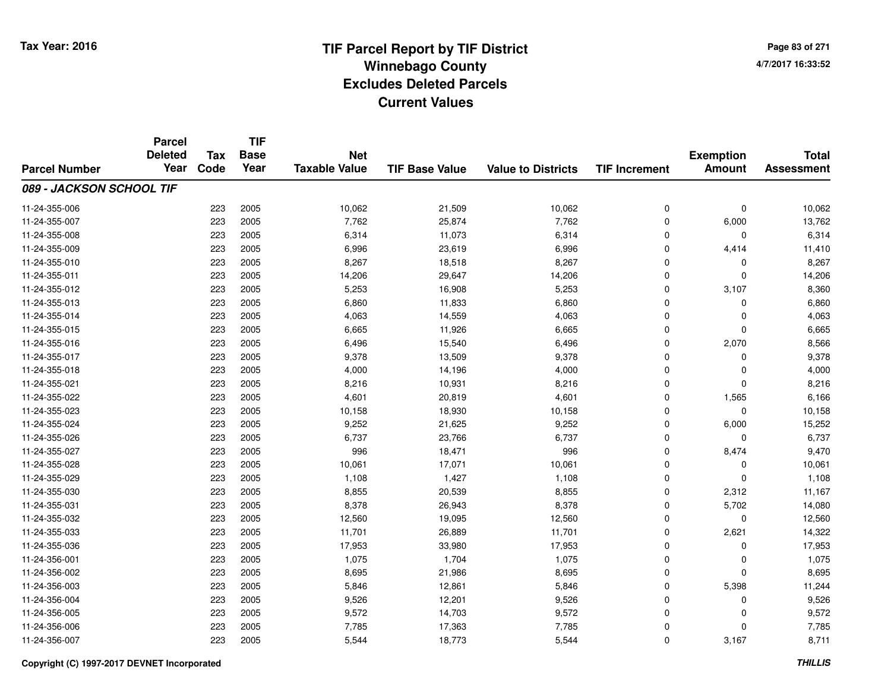**Page 83 of 2714/7/2017 16:33:52**

|                          | <b>Parcel</b><br><b>Deleted</b> | <b>Tax</b> | <b>TIF</b><br><b>Base</b> | <b>Net</b>           |                       |                           |                      |                                   | <b>Total</b>      |
|--------------------------|---------------------------------|------------|---------------------------|----------------------|-----------------------|---------------------------|----------------------|-----------------------------------|-------------------|
| <b>Parcel Number</b>     | Year                            | Code       | Year                      | <b>Taxable Value</b> | <b>TIF Base Value</b> | <b>Value to Districts</b> | <b>TIF Increment</b> | <b>Exemption</b><br><b>Amount</b> | <b>Assessment</b> |
| 089 - JACKSON SCHOOL TIF |                                 |            |                           |                      |                       |                           |                      |                                   |                   |
| 11-24-355-006            |                                 | 223        | 2005                      | 10,062               | 21,509                | 10,062                    | 0                    | 0                                 | 10,062            |
| 11-24-355-007            |                                 | 223        | 2005                      | 7,762                | 25,874                | 7,762                     | 0                    | 6,000                             | 13,762            |
| 11-24-355-008            |                                 | 223        | 2005                      | 6,314                | 11,073                | 6,314                     | 0                    | $\Omega$                          | 6,314             |
| 11-24-355-009            |                                 | 223        | 2005                      | 6,996                | 23,619                | 6,996                     | 0                    | 4,414                             | 11,410            |
| 11-24-355-010            |                                 | 223        | 2005                      | 8,267                | 18,518                | 8,267                     | 0                    | 0                                 | 8,267             |
| 11-24-355-011            |                                 | 223        | 2005                      | 14,206               | 29,647                | 14,206                    | 0                    | $\Omega$                          | 14,206            |
| 11-24-355-012            |                                 | 223        | 2005                      | 5,253                | 16,908                | 5,253                     | 0                    | 3,107                             | 8,360             |
| 11-24-355-013            |                                 | 223        | 2005                      | 6,860                | 11,833                | 6,860                     | $\mathbf 0$          | $\Omega$                          | 6,860             |
| 11-24-355-014            |                                 | 223        | 2005                      | 4,063                | 14,559                | 4,063                     | 0                    | $\mathbf 0$                       | 4,063             |
| 11-24-355-015            |                                 | 223        | 2005                      | 6,665                | 11,926                | 6,665                     | 0                    | $\Omega$                          | 6,665             |
| 11-24-355-016            |                                 | 223        | 2005                      | 6,496                | 15,540                | 6,496                     | 0                    | 2,070                             | 8,566             |
| 11-24-355-017            |                                 | 223        | 2005                      | 9,378                | 13,509                | 9,378                     | 0                    | $\Omega$                          | 9,378             |
| 11-24-355-018            |                                 | 223        | 2005                      | 4,000                | 14,196                | 4,000                     | 0                    | $\Omega$                          | 4,000             |
| 11-24-355-021            |                                 | 223        | 2005                      | 8,216                | 10,931                | 8,216                     | 0                    | $\Omega$                          | 8,216             |
| 11-24-355-022            |                                 | 223        | 2005                      | 4,601                | 20,819                | 4,601                     | 0                    | 1,565                             | 6,166             |
| 11-24-355-023            |                                 | 223        | 2005                      | 10,158               | 18,930                | 10,158                    | 0                    | $\mathbf 0$                       | 10,158            |
| 11-24-355-024            |                                 | 223        | 2005                      | 9,252                | 21,625                | 9,252                     | 0                    | 6,000                             | 15,252            |
| 11-24-355-026            |                                 | 223        | 2005                      | 6,737                | 23,766                | 6,737                     | 0                    | $\mathbf 0$                       | 6,737             |
| 11-24-355-027            |                                 | 223        | 2005                      | 996                  | 18,471                | 996                       | 0                    | 8,474                             | 9,470             |
| 11-24-355-028            |                                 | 223        | 2005                      | 10,061               | 17,071                | 10,061                    | 0                    | $\mathbf 0$                       | 10,061            |
| 11-24-355-029            |                                 | 223        | 2005                      | 1,108                | 1,427                 | 1,108                     | 0                    | $\mathbf 0$                       | 1,108             |
| 11-24-355-030            |                                 | 223        | 2005                      | 8,855                | 20,539                | 8,855                     | 0                    | 2,312                             | 11,167            |
| 11-24-355-031            |                                 | 223        | 2005                      | 8,378                | 26,943                | 8,378                     | 0                    | 5,702                             | 14,080            |
| 11-24-355-032            |                                 | 223        | 2005                      | 12,560               | 19,095                | 12,560                    | 0                    | $\mathbf 0$                       | 12,560            |
| 11-24-355-033            |                                 | 223        | 2005                      | 11,701               | 26,889                | 11,701                    | 0                    | 2,621                             | 14,322            |
| 11-24-355-036            |                                 | 223        | 2005                      | 17,953               | 33,980                | 17,953                    | 0                    | $\mathbf 0$                       | 17,953            |
| 11-24-356-001            |                                 | 223        | 2005                      | 1,075                | 1,704                 | 1,075                     | 0                    | $\mathbf 0$                       | 1,075             |
| 11-24-356-002            |                                 | 223        | 2005                      | 8,695                | 21,986                | 8,695                     | 0                    | $\Omega$                          | 8,695             |
| 11-24-356-003            |                                 | 223        | 2005                      | 5,846                | 12,861                | 5,846                     | 0                    | 5,398                             | 11,244            |
| 11-24-356-004            |                                 | 223        | 2005                      | 9,526                | 12,201                | 9,526                     | 0                    | 0                                 | 9,526             |
| 11-24-356-005            |                                 | 223        | 2005                      | 9,572                | 14,703                | 9,572                     | 0                    | $\Omega$                          | 9,572             |
| 11-24-356-006            |                                 | 223        | 2005                      | 7,785                | 17,363                | 7,785                     | 0                    | $\Omega$                          | 7,785             |
| 11-24-356-007            |                                 | 223        | 2005                      | 5,544                | 18,773                | 5,544                     | 0                    | 3,167                             | 8,711             |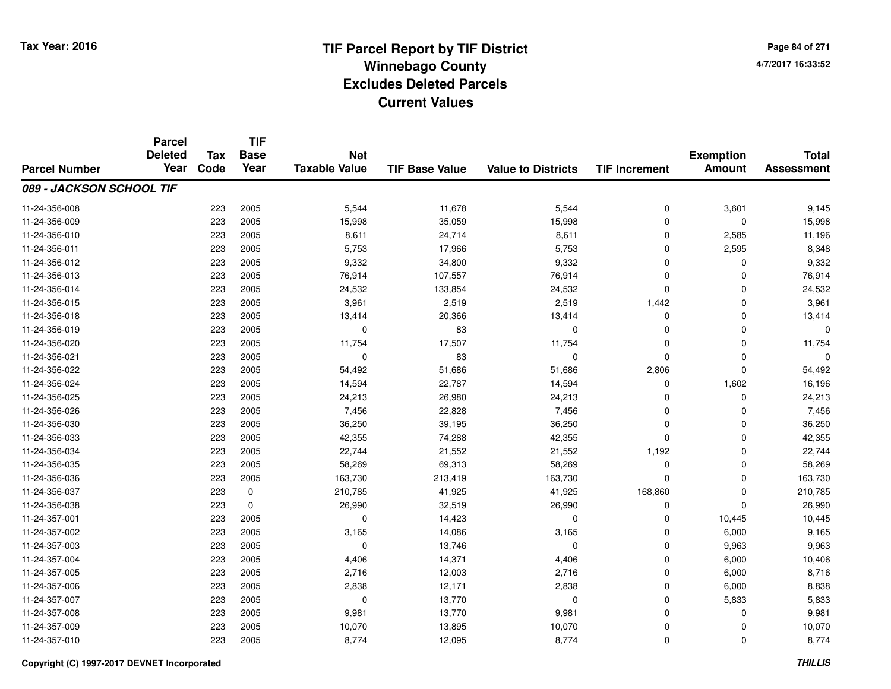# **TIF Parcel Report by TIF District Tax Year: 2016 Winnebago Countyy** and the contract of the contract of the contract of the contract of the contract of the contract of the contract of the contract of the contract of the contract of the contract of the contract of the contract of the co **Excludes Deleted ParcelsCurrent Values**

**Page 84 of 2714/7/2017 16:33:52**

|                          | <b>Parcel</b><br><b>Deleted</b> | <b>Tax</b> | <b>TIF</b><br><b>Base</b> | <b>Net</b>           |                       |                           |                      | <b>Exemption</b> | <b>Total</b>      |
|--------------------------|---------------------------------|------------|---------------------------|----------------------|-----------------------|---------------------------|----------------------|------------------|-------------------|
| <b>Parcel Number</b>     | Year                            | Code       | Year                      | <b>Taxable Value</b> | <b>TIF Base Value</b> | <b>Value to Districts</b> | <b>TIF Increment</b> | <b>Amount</b>    | <b>Assessment</b> |
| 089 - JACKSON SCHOOL TIF |                                 |            |                           |                      |                       |                           |                      |                  |                   |
| 11-24-356-008            |                                 | 223        | 2005                      | 5,544                | 11,678                | 5,544                     | $\mathbf 0$          | 3,601            | 9,145             |
| 11-24-356-009            |                                 | 223        | 2005                      | 15,998               | 35,059                | 15,998                    | $\mathbf 0$          | $\mathbf 0$      | 15,998            |
| 11-24-356-010            |                                 | 223        | 2005                      | 8,611                | 24,714                | 8,611                     | $\Omega$             | 2,585            | 11,196            |
| 11-24-356-011            |                                 | 223        | 2005                      | 5,753                | 17,966                | 5,753                     | 0                    | 2,595            | 8,348             |
| 11-24-356-012            |                                 | 223        | 2005                      | 9,332                | 34,800                | 9,332                     | $\Omega$             | $\mathbf 0$      | 9,332             |
| 11-24-356-013            |                                 | 223        | 2005                      | 76,914               | 107,557               | 76,914                    | $\Omega$             | $\mathbf 0$      | 76,914            |
| 11-24-356-014            |                                 | 223        | 2005                      | 24,532               | 133,854               | 24,532                    | $\Omega$             | $\mathbf 0$      | 24,532            |
| 11-24-356-015            |                                 | 223        | 2005                      | 3,961                | 2,519                 | 2,519                     | 1,442                | $\mathbf 0$      | 3,961             |
| 11-24-356-018            |                                 | 223        | 2005                      | 13,414               | 20,366                | 13,414                    | $\Omega$             | $\mathbf 0$      | 13,414            |
| 11-24-356-019            |                                 | 223        | 2005                      | 0                    | 83                    | 0                         | $\Omega$             | $\mathbf 0$      | $\Omega$          |
| 11-24-356-020            |                                 | 223        | 2005                      | 11,754               | 17,507                | 11,754                    | $\Omega$             | $\Omega$         | 11,754            |
| 11-24-356-021            |                                 | 223        | 2005                      | 0                    | 83                    | $\mathbf 0$               | $\Omega$             | $\mathbf 0$      | O                 |
| 11-24-356-022            |                                 | 223        | 2005                      | 54,492               | 51,686                | 51,686                    | 2,806                | $\mathbf 0$      | 54,492            |
| 11-24-356-024            |                                 | 223        | 2005                      | 14,594               | 22,787                | 14,594                    | 0                    | 1,602            | 16,196            |
| 11-24-356-025            |                                 | 223        | 2005                      | 24,213               | 26,980                | 24,213                    | $\Omega$             | $\mathbf 0$      | 24,213            |
| 11-24-356-026            |                                 | 223        | 2005                      | 7,456                | 22,828                | 7,456                     | $\Omega$             | 0                | 7,456             |
| 11-24-356-030            |                                 | 223        | 2005                      | 36,250               | 39,195                | 36,250                    | $\Omega$             | $\mathbf 0$      | 36,250            |
| 11-24-356-033            |                                 | 223        | 2005                      | 42,355               | 74,288                | 42,355                    | $\Omega$             | 0                | 42,355            |
| 11-24-356-034            |                                 | 223        | 2005                      | 22,744               | 21,552                | 21,552                    | 1,192                | $\mathbf 0$      | 22,744            |
| 11-24-356-035            |                                 | 223        | 2005                      | 58,269               | 69,313                | 58,269                    | $\mathbf 0$          | $\mathbf 0$      | 58,269            |
| 11-24-356-036            |                                 | 223        | 2005                      | 163,730              | 213,419               | 163,730                   | $\Omega$             | $\mathbf 0$      | 163,730           |
| 11-24-356-037            |                                 | 223        | 0                         | 210,785              | 41,925                | 41,925                    | 168,860              | 0                | 210,785           |
| 11-24-356-038            |                                 | 223        | $\mathbf 0$               | 26,990               | 32,519                | 26,990                    | 0                    | $\mathbf 0$      | 26,990            |
| 11-24-357-001            |                                 | 223        | 2005                      | 0                    | 14,423                | 0                         | 0                    | 10,445           | 10,445            |
| 11-24-357-002            |                                 | 223        | 2005                      | 3,165                | 14,086                | 3,165                     | $\mathbf 0$          | 6,000            | 9,165             |
| 11-24-357-003            |                                 | 223        | 2005                      | 0                    | 13,746                | $\mathbf 0$               | $\mathbf 0$          | 9,963            | 9,963             |
| 11-24-357-004            |                                 | 223        | 2005                      | 4,406                | 14,371                | 4,406                     | $\mathbf 0$          | 6,000            | 10,406            |
| 11-24-357-005            |                                 | 223        | 2005                      | 2,716                | 12,003                | 2,716                     | $\mathbf 0$          | 6,000            | 8,716             |
| 11-24-357-006            |                                 | 223        | 2005                      | 2,838                | 12,171                | 2,838                     | $\mathbf 0$          | 6,000            | 8,838             |
| 11-24-357-007            |                                 | 223        | 2005                      | 0                    | 13,770                | 0                         | 0                    | 5,833            | 5,833             |
| 11-24-357-008            |                                 | 223        | 2005                      | 9,981                | 13,770                | 9,981                     | $\Omega$             | $\mathbf 0$      | 9,981             |
| 11-24-357-009            |                                 | 223        | 2005                      | 10,070               | 13,895                | 10,070                    | $\Omega$             | 0                | 10,070            |
| 11-24-357-010            |                                 | 223        | 2005                      | 8,774                | 12,095                | 8,774                     | $\Omega$             | $\mathbf 0$      | 8,774             |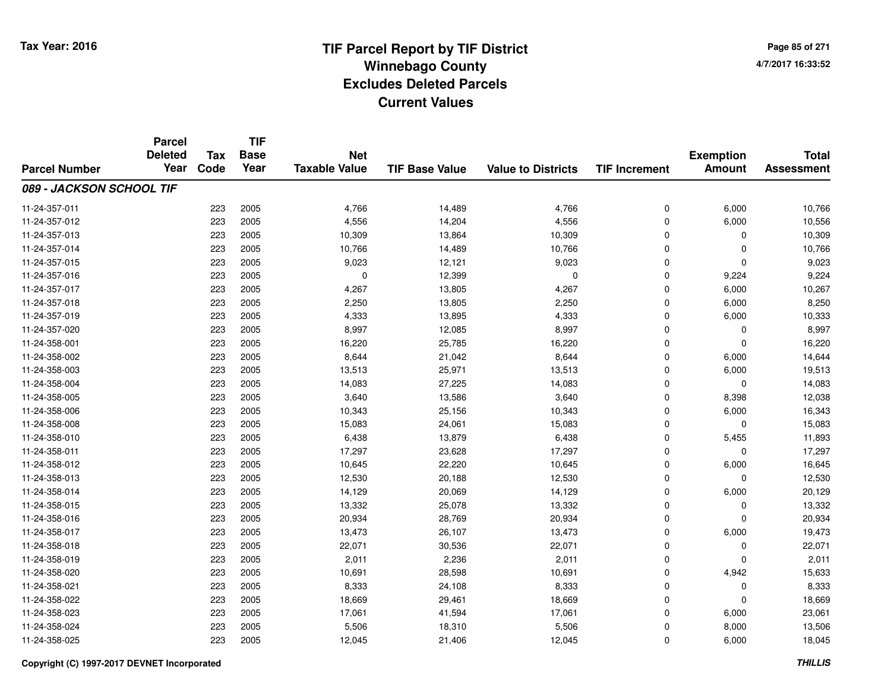# **TIF Parcel Report by TIF District Tax Year: 2016 Winnebago Countyy** and the contract of the contract of the contract of the contract of the contract of the contract of the contract of the contract of the contract of the contract of the contract of the contract of the contract of the co **Excludes Deleted ParcelsCurrent Values**

**Page 85 of 2714/7/2017 16:33:52**

|                          | <b>Parcel</b><br><b>Deleted</b> | <b>Tax</b> | <b>TIF</b><br><b>Base</b> | <b>Net</b>           |                       |                           |                      | <b>Exemption</b> | <b>Total</b>      |
|--------------------------|---------------------------------|------------|---------------------------|----------------------|-----------------------|---------------------------|----------------------|------------------|-------------------|
| <b>Parcel Number</b>     | Year                            | Code       | Year                      | <b>Taxable Value</b> | <b>TIF Base Value</b> | <b>Value to Districts</b> | <b>TIF Increment</b> | <b>Amount</b>    | <b>Assessment</b> |
| 089 - JACKSON SCHOOL TIF |                                 |            |                           |                      |                       |                           |                      |                  |                   |
| 11-24-357-011            |                                 | 223        | 2005                      | 4,766                | 14,489                | 4,766                     | $\mathbf 0$          | 6,000            | 10,766            |
| 11-24-357-012            |                                 | 223        | 2005                      | 4,556                | 14,204                | 4,556                     | $\mathbf 0$          | 6,000            | 10,556            |
| 11-24-357-013            |                                 | 223        | 2005                      | 10,309               | 13,864                | 10,309                    | $\Omega$             | $\Omega$         | 10,309            |
| 11-24-357-014            |                                 | 223        | 2005                      | 10,766               | 14,489                | 10,766                    | $\mathbf 0$          | 0                | 10,766            |
| 11-24-357-015            |                                 | 223        | 2005                      | 9,023                | 12,121                | 9,023                     | $\Omega$             | $\Omega$         | 9,023             |
| 11-24-357-016            |                                 | 223        | 2005                      | $\mathbf 0$          | 12,399                | $\mathbf 0$               | $\mathbf 0$          | 9,224            | 9,224             |
| 11-24-357-017            |                                 | 223        | 2005                      | 4,267                | 13,805                | 4,267                     | $\mathbf 0$          | 6,000            | 10,267            |
| 11-24-357-018            |                                 | 223        | 2005                      | 2,250                | 13,805                | 2,250                     | $\mathbf 0$          | 6,000            | 8,250             |
| 11-24-357-019            |                                 | 223        | 2005                      | 4,333                | 13,895                | 4,333                     | $\Omega$             | 6,000            | 10,333            |
| 11-24-357-020            |                                 | 223        | 2005                      | 8,997                | 12,085                | 8,997                     | $\Omega$             | 0                | 8,997             |
| 11-24-358-001            |                                 | 223        | 2005                      | 16,220               | 25,785                | 16,220                    | $\Omega$             | $\Omega$         | 16,220            |
| 11-24-358-002            |                                 | 223        | 2005                      | 8,644                | 21,042                | 8,644                     | $\mathbf 0$          | 6,000            | 14,644            |
| 11-24-358-003            |                                 | 223        | 2005                      | 13,513               | 25,971                | 13,513                    | $\Omega$             | 6,000            | 19,513            |
| 11-24-358-004            |                                 | 223        | 2005                      | 14,083               | 27,225                | 14,083                    | $\mathbf 0$          | 0                | 14,083            |
| 11-24-358-005            |                                 | 223        | 2005                      | 3,640                | 13,586                | 3,640                     | $\Omega$             | 8,398            | 12,038            |
| 11-24-358-006            |                                 | 223        | 2005                      | 10,343               | 25,156                | 10,343                    | $\mathbf 0$          | 6,000            | 16,343            |
| 11-24-358-008            |                                 | 223        | 2005                      | 15,083               | 24,061                | 15,083                    | $\mathbf 0$          | 0                | 15,083            |
| 11-24-358-010            |                                 | 223        | 2005                      | 6,438                | 13,879                | 6,438                     | $\mathbf 0$          | 5,455            | 11,893            |
| 11-24-358-011            |                                 | 223        | 2005                      | 17,297               | 23,628                | 17,297                    | $\mathbf 0$          | $\mathbf{0}$     | 17,297            |
| 11-24-358-012            |                                 | 223        | 2005                      | 10,645               | 22,220                | 10,645                    | $\mathbf 0$          | 6,000            | 16,645            |
| 11-24-358-013            |                                 | 223        | 2005                      | 12,530               | 20,188                | 12,530                    | $\mathbf 0$          | $\mathbf{0}$     | 12,530            |
| 11-24-358-014            |                                 | 223        | 2005                      | 14,129               | 20,069                | 14,129                    | 0                    | 6,000            | 20,129            |
| 11-24-358-015            |                                 | 223        | 2005                      | 13,332               | 25,078                | 13,332                    | $\mathbf 0$          | $\mathbf 0$      | 13,332            |
| 11-24-358-016            |                                 | 223        | 2005                      | 20,934               | 28,769                | 20,934                    | 0                    | $\mathbf 0$      | 20,934            |
| 11-24-358-017            |                                 | 223        | 2005                      | 13,473               | 26,107                | 13,473                    | $\mathbf 0$          | 6,000            | 19,473            |
| 11-24-358-018            |                                 | 223        | 2005                      | 22,071               | 30,536                | 22,071                    | $\mathbf 0$          | $\mathbf 0$      | 22,071            |
| 11-24-358-019            |                                 | 223        | 2005                      | 2,011                | 2,236                 | 2,011                     | $\mathbf 0$          | $\Omega$         | 2,011             |
| 11-24-358-020            |                                 | 223        | 2005                      | 10,691               | 28,598                | 10,691                    | $\mathbf 0$          | 4,942            | 15,633            |
| 11-24-358-021            |                                 | 223        | 2005                      | 8,333                | 24,108                | 8,333                     | $\mathbf 0$          | $\mathbf 0$      | 8,333             |
| 11-24-358-022            |                                 | 223        | 2005                      | 18,669               | 29,461                | 18,669                    | $\mathbf 0$          | 0                | 18,669            |
| 11-24-358-023            |                                 | 223        | 2005                      | 17,061               | 41,594                | 17,061                    | $\Omega$             | 6,000            | 23,061            |
| 11-24-358-024            |                                 | 223        | 2005                      | 5,506                | 18,310                | 5,506                     | $\mathbf 0$          | 8,000            | 13,506            |
| 11-24-358-025            |                                 | 223        | 2005                      | 12,045               | 21,406                | 12,045                    | $\Omega$             | 6,000            | 18,045            |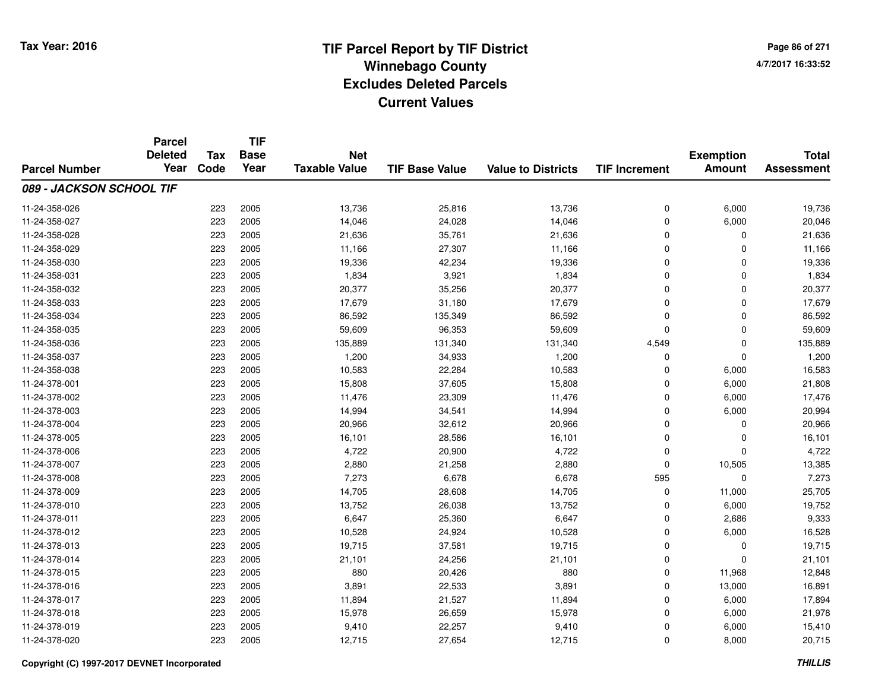# **TIF Parcel Report by TIF District Tax Year: 2016 Winnebago Countyy** and the contract of the contract of the contract of the contract of the contract of the contract of the contract of the contract of the contract of the contract of the contract of the contract of the contract of the co **Excludes Deleted ParcelsCurrent Values**

**Page 86 of 2714/7/2017 16:33:52**

|                          | <b>Parcel</b><br><b>Deleted</b> | <b>Tax</b> | <b>TIF</b><br><b>Base</b> | <b>Net</b>           |                       |                           |                      | <b>Exemption</b> | <b>Total</b>      |
|--------------------------|---------------------------------|------------|---------------------------|----------------------|-----------------------|---------------------------|----------------------|------------------|-------------------|
| <b>Parcel Number</b>     | Year                            | Code       | Year                      | <b>Taxable Value</b> | <b>TIF Base Value</b> | <b>Value to Districts</b> | <b>TIF Increment</b> | <b>Amount</b>    | <b>Assessment</b> |
| 089 - JACKSON SCHOOL TIF |                                 |            |                           |                      |                       |                           |                      |                  |                   |
| 11-24-358-026            |                                 | 223        | 2005                      | 13,736               | 25,816                | 13,736                    | 0                    | 6,000            | 19,736            |
| 11-24-358-027            |                                 | 223        | 2005                      | 14,046               | 24,028                | 14,046                    | 0                    | 6,000            | 20,046            |
| 11-24-358-028            |                                 | 223        | 2005                      | 21,636               | 35,761                | 21,636                    | 0                    | 0                | 21,636            |
| 11-24-358-029            |                                 | 223        | 2005                      | 11,166               | 27,307                | 11,166                    | 0                    | $\Omega$         | 11,166            |
| 11-24-358-030            |                                 | 223        | 2005                      | 19,336               | 42,234                | 19,336                    | $\mathbf 0$          | $\Omega$         | 19,336            |
| 11-24-358-031            |                                 | 223        | 2005                      | 1,834                | 3,921                 | 1,834                     | 0                    | 0                | 1,834             |
| 11-24-358-032            |                                 | 223        | 2005                      | 20,377               | 35,256                | 20,377                    | 0                    | $\mathbf 0$      | 20,377            |
| 11-24-358-033            |                                 | 223        | 2005                      | 17,679               | 31,180                | 17,679                    | 0                    | $\Omega$         | 17,679            |
| 11-24-358-034            |                                 | 223        | 2005                      | 86,592               | 135,349               | 86,592                    | 0                    | $\Omega$         | 86,592            |
| 11-24-358-035            |                                 | 223        | 2005                      | 59,609               | 96,353                | 59,609                    | 0                    | $\mathbf 0$      | 59,609            |
| 11-24-358-036            |                                 | 223        | 2005                      | 135,889              | 131,340               | 131,340                   | 4,549                | $\mathbf 0$      | 135,889           |
| 11-24-358-037            |                                 | 223        | 2005                      | 1,200                | 34,933                | 1,200                     | 0                    | $\mathbf 0$      | 1,200             |
| 11-24-358-038            |                                 | 223        | 2005                      | 10,583               | 22,284                | 10,583                    | $\mathbf 0$          | 6,000            | 16,583            |
| 11-24-378-001            |                                 | 223        | 2005                      | 15,808               | 37,605                | 15,808                    | 0                    | 6,000            | 21,808            |
| 11-24-378-002            |                                 | 223        | 2005                      | 11,476               | 23,309                | 11,476                    | 0                    | 6,000            | 17,476            |
| 11-24-378-003            |                                 | 223        | 2005                      | 14,994               | 34,541                | 14,994                    | 0                    | 6,000            | 20,994            |
| 11-24-378-004            |                                 | 223        | 2005                      | 20,966               | 32,612                | 20,966                    | 0                    | 0                | 20,966            |
| 11-24-378-005            |                                 | 223        | 2005                      | 16,101               | 28,586                | 16,101                    | 0                    | 0                | 16,101            |
| 11-24-378-006            |                                 | 223        | 2005                      | 4,722                | 20,900                | 4,722                     | 0                    | $\mathbf 0$      | 4,722             |
| 11-24-378-007            |                                 | 223        | 2005                      | 2,880                | 21,258                | 2,880                     | 0                    | 10,505           | 13,385            |
| 11-24-378-008            |                                 | 223        | 2005                      | 7,273                | 6,678                 | 6,678                     | 595                  | $\mathbf 0$      | 7,273             |
| 11-24-378-009            |                                 | 223        | 2005                      | 14,705               | 28,608                | 14,705                    | 0                    | 11,000           | 25,705            |
| 11-24-378-010            |                                 | 223        | 2005                      | 13,752               | 26,038                | 13,752                    | 0                    | 6,000            | 19,752            |
| 11-24-378-011            |                                 | 223        | 2005                      | 6,647                | 25,360                | 6,647                     | 0                    | 2,686            | 9,333             |
| 11-24-378-012            |                                 | 223        | 2005                      | 10,528               | 24,924                | 10,528                    | 0                    | 6,000            | 16,528            |
| 11-24-378-013            |                                 | 223        | 2005                      | 19,715               | 37,581                | 19,715                    | 0                    | 0                | 19,715            |
| 11-24-378-014            |                                 | 223        | 2005                      | 21,101               | 24,256                | 21,101                    | 0                    | $\Omega$         | 21,101            |
| 11-24-378-015            |                                 | 223        | 2005                      | 880                  | 20,426                | 880                       | 0                    | 11,968           | 12,848            |
| 11-24-378-016            |                                 | 223        | 2005                      | 3,891                | 22,533                | 3,891                     | 0                    | 13,000           | 16,891            |
| 11-24-378-017            |                                 | 223        | 2005                      | 11,894               | 21,527                | 11,894                    | 0                    | 6,000            | 17,894            |
| 11-24-378-018            |                                 | 223        | 2005                      | 15,978               | 26,659                | 15,978                    | 0                    | 6,000            | 21,978            |
| 11-24-378-019            |                                 | 223        | 2005                      | 9,410                | 22,257                | 9,410                     | 0                    | 6,000            | 15,410            |
| 11-24-378-020            |                                 | 223        | 2005                      | 12,715               | 27,654                | 12,715                    | 0                    | 8,000            | 20,715            |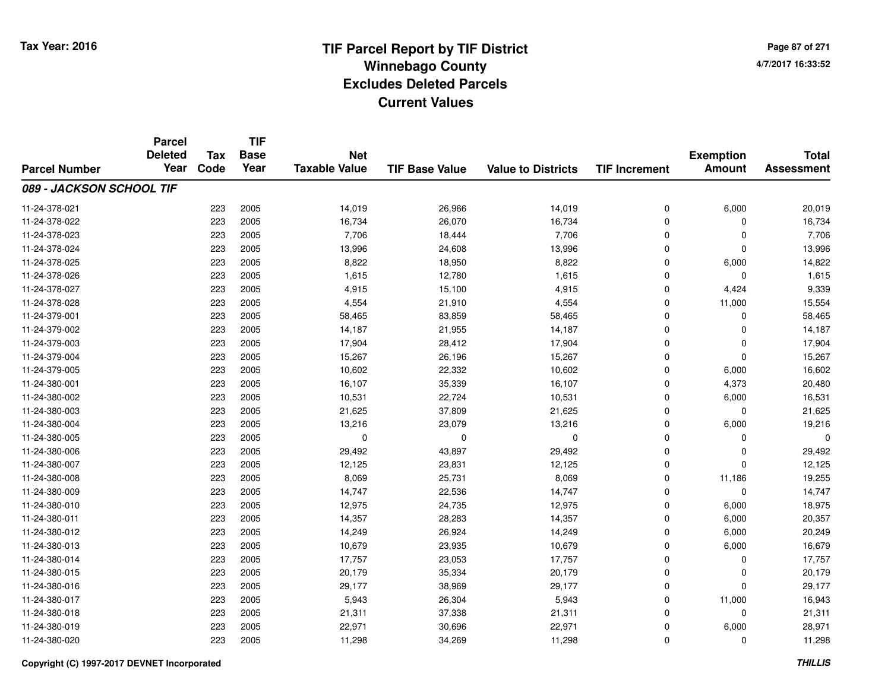**Page 87 of 2714/7/2017 16:33:52**

|                          | <b>Parcel</b><br><b>Deleted</b> | <b>Tax</b> | <b>TIF</b><br><b>Base</b> | <b>Net</b>           |                       |                           |                      |                                   | <b>Total</b>      |
|--------------------------|---------------------------------|------------|---------------------------|----------------------|-----------------------|---------------------------|----------------------|-----------------------------------|-------------------|
| <b>Parcel Number</b>     | Year                            | Code       | Year                      | <b>Taxable Value</b> | <b>TIF Base Value</b> | <b>Value to Districts</b> | <b>TIF Increment</b> | <b>Exemption</b><br><b>Amount</b> | <b>Assessment</b> |
| 089 - JACKSON SCHOOL TIF |                                 |            |                           |                      |                       |                           |                      |                                   |                   |
| 11-24-378-021            |                                 | 223        | 2005                      | 14,019               | 26,966                | 14,019                    | 0                    | 6,000                             | 20,019            |
| 11-24-378-022            |                                 | 223        | 2005                      | 16,734               | 26,070                | 16,734                    | 0                    | $\Omega$                          | 16,734            |
| 11-24-378-023            |                                 | 223        | 2005                      | 7,706                | 18,444                | 7,706                     | 0                    | $\mathbf 0$                       | 7,706             |
| 11-24-378-024            |                                 | 223        | 2005                      | 13,996               | 24,608                | 13,996                    | 0                    | $\Omega$                          | 13,996            |
| 11-24-378-025            |                                 | 223        | 2005                      | 8,822                | 18,950                | 8,822                     | 0                    | 6,000                             | 14,822            |
| 11-24-378-026            |                                 | 223        | 2005                      | 1,615                | 12,780                | 1,615                     | 0                    | $\Omega$                          | 1,615             |
| 11-24-378-027            |                                 | 223        | 2005                      | 4,915                | 15,100                | 4,915                     | 0                    | 4,424                             | 9,339             |
| 11-24-378-028            |                                 | 223        | 2005                      | 4,554                | 21,910                | 4,554                     | 0                    | 11,000                            | 15,554            |
| 11-24-379-001            |                                 | 223        | 2005                      | 58,465               | 83,859                | 58,465                    | 0                    | $\mathbf 0$                       | 58,465            |
| 11-24-379-002            |                                 | 223        | 2005                      | 14,187               | 21,955                | 14,187                    | 0                    | 0                                 | 14,187            |
| 11-24-379-003            |                                 | 223        | 2005                      | 17,904               | 28,412                | 17,904                    | 0                    | $\Omega$                          | 17,904            |
| 11-24-379-004            |                                 | 223        | 2005                      | 15,267               | 26,196                | 15,267                    | 0                    | $\mathbf{0}$                      | 15,267            |
| 11-24-379-005            |                                 | 223        | 2005                      | 10,602               | 22,332                | 10,602                    | 0                    | 6,000                             | 16,602            |
| 11-24-380-001            |                                 | 223        | 2005                      | 16,107               | 35,339                | 16,107                    | 0                    | 4,373                             | 20,480            |
| 11-24-380-002            |                                 | 223        | 2005                      | 10,531               | 22,724                | 10,531                    | 0                    | 6,000                             | 16,531            |
| 11-24-380-003            |                                 | 223        | 2005                      | 21,625               | 37,809                | 21,625                    | 0                    | $\mathbf 0$                       | 21,625            |
| 11-24-380-004            |                                 | 223        | 2005                      | 13,216               | 23,079                | 13,216                    | 0                    | 6,000                             | 19,216            |
| 11-24-380-005            |                                 | 223        | 2005                      | 0                    | $\mathbf 0$           | 0                         | 0                    | 0                                 | $\mathbf 0$       |
| 11-24-380-006            |                                 | 223        | 2005                      | 29,492               | 43,897                | 29,492                    | 0                    | 0                                 | 29,492            |
| 11-24-380-007            |                                 | 223        | 2005                      | 12,125               | 23,831                | 12,125                    | 0                    | $\mathbf 0$                       | 12,125            |
| 11-24-380-008            |                                 | 223        | 2005                      | 8,069                | 25,731                | 8,069                     | 0                    | 11,186                            | 19,255            |
| 11-24-380-009            |                                 | 223        | 2005                      | 14,747               | 22,536                | 14,747                    | 0                    | $\mathbf 0$                       | 14,747            |
| 11-24-380-010            |                                 | 223        | 2005                      | 12,975               | 24,735                | 12,975                    | 0                    | 6,000                             | 18,975            |
| 11-24-380-011            |                                 | 223        | 2005                      | 14,357               | 28,283                | 14,357                    | 0                    | 6,000                             | 20,357            |
| 11-24-380-012            |                                 | 223        | 2005                      | 14,249               | 26,924                | 14,249                    | 0                    | 6,000                             | 20,249            |
| 11-24-380-013            |                                 | 223        | 2005                      | 10,679               | 23,935                | 10,679                    | 0                    | 6,000                             | 16,679            |
| 11-24-380-014            |                                 | 223        | 2005                      | 17,757               | 23,053                | 17,757                    | 0                    | $\mathbf 0$                       | 17,757            |
| 11-24-380-015            |                                 | 223        | 2005                      | 20,179               | 35,334                | 20,179                    | 0                    | 0                                 | 20,179            |
| 11-24-380-016            |                                 | 223        | 2005                      | 29,177               | 38,969                | 29,177                    | 0                    | $\mathbf 0$                       | 29,177            |
| 11-24-380-017            |                                 | 223        | 2005                      | 5,943                | 26,304                | 5,943                     | 0                    | 11,000                            | 16,943            |
| 11-24-380-018            |                                 | 223        | 2005                      | 21,311               | 37,338                | 21,311                    | 0                    | $\Omega$                          | 21,311            |
| 11-24-380-019            |                                 | 223        | 2005                      | 22,971               | 30,696                | 22,971                    | 0                    | 6,000                             | 28,971            |
| 11-24-380-020            |                                 | 223        | 2005                      | 11,298               | 34,269                | 11,298                    | 0                    | $\Omega$                          | 11,298            |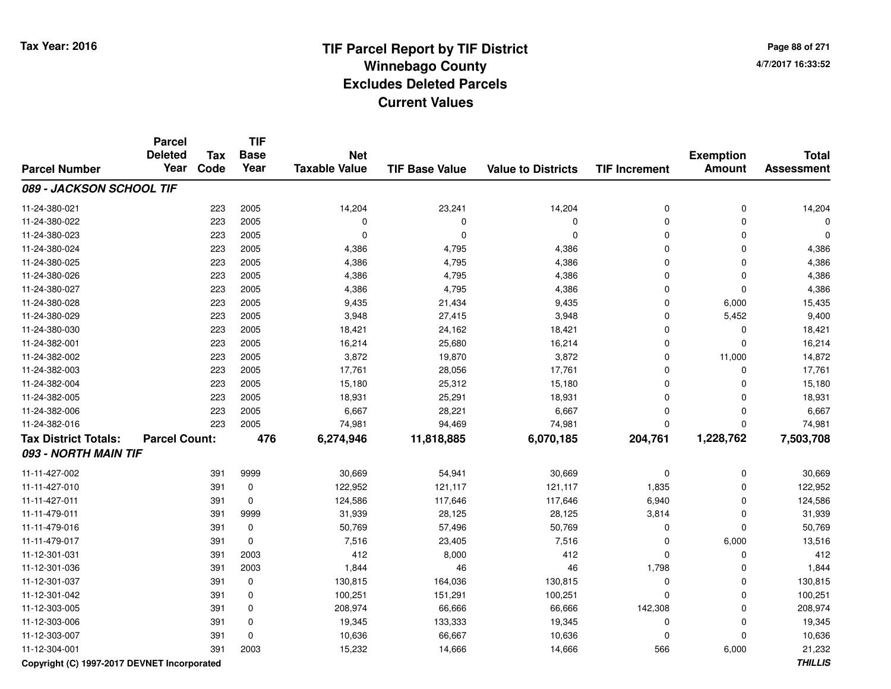**Page 88 of 2714/7/2017 16:33:52**

|                             | <b>Parcel</b><br><b>Deleted</b> | <b>Tax</b> | <b>TIF</b><br><b>Base</b> | <b>Net</b>           |                       |                           |                      | <b>Exemption</b> | <b>Total</b>      |
|-----------------------------|---------------------------------|------------|---------------------------|----------------------|-----------------------|---------------------------|----------------------|------------------|-------------------|
| <b>Parcel Number</b>        | Year                            | Code       | Year                      | <b>Taxable Value</b> | <b>TIF Base Value</b> | <b>Value to Districts</b> | <b>TIF Increment</b> | <b>Amount</b>    | <b>Assessment</b> |
| 089 - JACKSON SCHOOL TIF    |                                 |            |                           |                      |                       |                           |                      |                  |                   |
| 11-24-380-021               |                                 | 223        | 2005                      | 14,204               | 23,241                | 14,204                    | $\mathbf 0$          | $\mathbf 0$      | 14,204            |
| 11-24-380-022               |                                 | 223        | 2005                      | 0                    | $\Omega$              | $\mathbf 0$               | $\mathbf 0$          | $\mathbf 0$      | 0                 |
| 11-24-380-023               |                                 | 223        | 2005                      | 0                    | $\mathbf 0$           | $\mathbf 0$               | $\Omega$             | $\Omega$         | $\Omega$          |
| 11-24-380-024               |                                 | 223        | 2005                      | 4,386                | 4,795                 | 4,386                     | $\Omega$             | $\Omega$         | 4,386             |
| 11-24-380-025               |                                 | 223        | 2005                      | 4,386                | 4,795                 | 4,386                     | $\Omega$             | 0                | 4,386             |
| 11-24-380-026               |                                 | 223        | 2005                      | 4,386                | 4,795                 | 4,386                     | $\Omega$             | 0                | 4,386             |
| 11-24-380-027               |                                 | 223        | 2005                      | 4,386                | 4,795                 | 4,386                     | $\Omega$             | $\mathbf 0$      | 4,386             |
| 11-24-380-028               |                                 | 223        | 2005                      | 9,435                | 21,434                | 9,435                     | 0                    | 6,000            | 15,435            |
| 11-24-380-029               |                                 | 223        | 2005                      | 3,948                | 27,415                | 3,948                     | $\mathbf 0$          | 5,452            | 9,400             |
| 11-24-380-030               |                                 | 223        | 2005                      | 18,421               | 24,162                | 18,421                    | $\Omega$             | 0                | 18,421            |
| 11-24-382-001               |                                 | 223        | 2005                      | 16,214               | 25,680                | 16,214                    | $\mathbf 0$          | $\mathbf 0$      | 16,214            |
| 11-24-382-002               |                                 | 223        | 2005                      | 3,872                | 19,870                | 3,872                     | $\mathbf 0$          | 11,000           | 14,872            |
| 11-24-382-003               |                                 | 223        | 2005                      | 17,761               | 28,056                | 17,761                    | $\mathbf 0$          | 0                | 17,761            |
| 11-24-382-004               |                                 | 223        | 2005                      | 15,180               | 25,312                | 15,180                    | $\Omega$             | $\Omega$         | 15,180            |
| 11-24-382-005               |                                 | 223        | 2005                      | 18,931               | 25,291                | 18,931                    | $\Omega$             | $\Omega$         | 18,931            |
| 11-24-382-006               |                                 | 223        | 2005                      | 6,667                | 28,221                | 6,667                     | $\Omega$             | $\mathbf 0$      | 6,667             |
| 11-24-382-016               |                                 | 223        | 2005                      | 74,981               | 94,469                | 74,981                    | $\Omega$             | $\Omega$         | 74,981            |
| <b>Tax District Totals:</b> | <b>Parcel Count:</b>            |            | 476                       | 6,274,946            | 11,818,885            | 6,070,185                 | 204,761              | 1,228,762        | 7,503,708         |
| 093 - NORTH MAIN TIF        |                                 |            |                           |                      |                       |                           |                      |                  |                   |
| 11-11-427-002               |                                 | 391        | 9999                      | 30,669               | 54,941                | 30,669                    | $\mathbf 0$          | $\mathbf 0$      | 30,669            |
| 11-11-427-010               |                                 | 391        | 0                         | 122,952              | 121,117               | 121,117                   | 1,835                | $\mathbf 0$      | 122,952           |
| 11-11-427-011               |                                 | 391        | $\mathbf 0$               | 124,586              | 117,646               | 117,646                   | 6,940                | $\mathbf 0$      | 124,586           |
| 11-11-479-011               |                                 | 391        | 9999                      | 31,939               | 28,125                | 28,125                    | 3,814                | $\mathbf 0$      | 31,939            |
| 11-11-479-016               |                                 | 391        | 0                         | 50,769               | 57,496                | 50,769                    | $\Omega$             | $\mathbf 0$      | 50,769            |
| 11-11-479-017               |                                 | 391        | 0                         | 7,516                | 23,405                | 7,516                     | $\Omega$             | 6,000            | 13,516            |
| 11-12-301-031               |                                 | 391        | 2003                      | 412                  | 8,000                 | 412                       | 0                    | 0                | 412               |
| 11-12-301-036               |                                 | 391        | 2003                      | 1,844                | 46                    | 46                        | 1,798                | 0                | 1,844             |
| 11-12-301-037               |                                 | 391        | 0                         | 130,815              | 164,036               | 130,815                   | $\mathbf 0$          | 0                | 130,815           |
| 11-12-301-042               |                                 | 391        | 0                         | 100,251              | 151,291               | 100,251                   | $\mathbf 0$          | $\mathbf 0$      | 100,251           |
| 11-12-303-005               |                                 | 391        | 0                         | 208,974              | 66,666                | 66,666                    | 142,308              | $\mathbf 0$      | 208,974           |
| 11-12-303-006               |                                 | 391        | $\mathbf 0$               | 19,345               | 133,333               | 19,345                    | $\mathbf 0$          | $\mathbf 0$      | 19,345            |
| 11-12-303-007               |                                 | 391        | $\mathbf 0$               | 10,636               | 66,667                | 10,636                    | $\Omega$             | $\Omega$         | 10,636            |
| 11-12-304-001               |                                 | 391        | 2003                      | 15,232               | 14,666                | 14,666                    | 566                  | 6,000            | 21,232            |

**Copyright (C) 1997-2017 DEVNET Incorporated**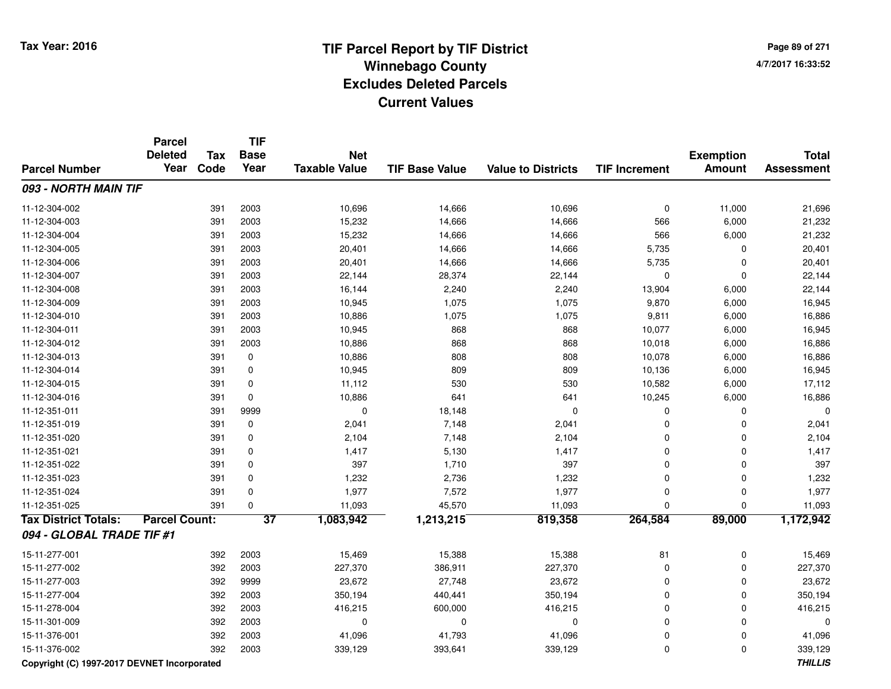# **TIF Parcel Report by TIF District Tax Year: 2016 Winnebago Countyy** and the contract of the contract of the contract of the contract of the contract of the contract of the contract of the contract of the contract of the contract of the contract of the contract of the contract of the co **Excludes Deleted ParcelsCurrent Values**

**Page 89 of 2714/7/2017 16:33:52**

|                             | <b>Parcel</b><br><b>Deleted</b> | <b>Tax</b> | <b>TIF</b><br><b>Base</b> | <b>Net</b>           |                       |                           |                      | <b>Exemption</b> | <b>Total</b>      |
|-----------------------------|---------------------------------|------------|---------------------------|----------------------|-----------------------|---------------------------|----------------------|------------------|-------------------|
| <b>Parcel Number</b>        | Year                            | Code       | Year                      | <b>Taxable Value</b> | <b>TIF Base Value</b> | <b>Value to Districts</b> | <b>TIF Increment</b> | <b>Amount</b>    | <b>Assessment</b> |
| 093 - NORTH MAIN TIF        |                                 |            |                           |                      |                       |                           |                      |                  |                   |
| 11-12-304-002               |                                 | 391        | 2003                      | 10,696               | 14,666                | 10,696                    | 0                    | 11,000           | 21,696            |
| 11-12-304-003               |                                 | 391        | 2003                      | 15,232               | 14,666                | 14,666                    | 566                  | 6,000            | 21,232            |
| 11-12-304-004               |                                 | 391        | 2003                      | 15,232               | 14,666                | 14,666                    | 566                  | 6,000            | 21,232            |
| 11-12-304-005               |                                 | 391        | 2003                      | 20,401               | 14,666                | 14,666                    | 5,735                | 0                | 20,401            |
| 11-12-304-006               |                                 | 391        | 2003                      | 20,401               | 14,666                | 14,666                    | 5,735                | $\mathbf 0$      | 20,401            |
| 11-12-304-007               |                                 | 391        | 2003                      | 22,144               | 28,374                | 22,144                    | 0                    | $\mathbf 0$      | 22,144            |
| 11-12-304-008               |                                 | 391        | 2003                      | 16,144               | 2,240                 | 2,240                     | 13,904               | 6,000            | 22,144            |
| 11-12-304-009               |                                 | 391        | 2003                      | 10,945               | 1,075                 | 1,075                     | 9,870                | 6,000            | 16,945            |
| 11-12-304-010               |                                 | 391        | 2003                      | 10,886               | 1,075                 | 1,075                     | 9,811                | 6,000            | 16,886            |
| 11-12-304-011               |                                 | 391        | 2003                      | 10,945               | 868                   | 868                       | 10,077               | 6,000            | 16,945            |
| 11-12-304-012               |                                 | 391        | 2003                      | 10,886               | 868                   | 868                       | 10,018               | 6,000            | 16,886            |
| 11-12-304-013               |                                 | 391        | 0                         | 10,886               | 808                   | 808                       | 10,078               | 6,000            | 16,886            |
| 11-12-304-014               |                                 | 391        | 0                         | 10,945               | 809                   | 809                       | 10,136               | 6,000            | 16,945            |
| 11-12-304-015               |                                 | 391        | $\mathbf 0$               | 11,112               | 530                   | 530                       | 10,582               | 6,000            | 17,112            |
| 11-12-304-016               |                                 | 391        | $\mathbf 0$               | 10,886               | 641                   | 641                       | 10,245               | 6,000            | 16,886            |
| 11-12-351-011               |                                 | 391        | 9999                      | 0                    | 18,148                | $\mathbf 0$               | $\mathbf 0$          | $\mathbf 0$      | $\Omega$          |
| 11-12-351-019               |                                 | 391        | 0                         | 2,041                | 7,148                 | 2,041                     | $\Omega$             | $\mathbf 0$      | 2,041             |
| 11-12-351-020               |                                 | 391        | 0                         | 2,104                | 7,148                 | 2,104                     | $\Omega$             | 0                | 2,104             |
| 11-12-351-021               |                                 | 391        | 0                         | 1,417                | 5,130                 | 1,417                     | $\Omega$             | 0                | 1,417             |
| 11-12-351-022               |                                 | 391        | $\mathbf 0$               | 397                  | 1,710                 | 397                       | $\Omega$             | $\mathbf 0$      | 397               |
| 11-12-351-023               |                                 | 391        | $\mathbf 0$               | 1,232                | 2,736                 | 1,232                     | $\Omega$             | $\mathbf 0$      | 1,232             |
| 11-12-351-024               |                                 | 391        | $\mathbf 0$               | 1,977                | 7,572                 | 1,977                     | $\mathbf 0$          | $\mathbf 0$      | 1,977             |
| 11-12-351-025               |                                 | 391        | $\Omega$                  | 11,093               | 45,570                | 11,093                    | $\Omega$             | $\Omega$         | 11,093            |
| <b>Tax District Totals:</b> | <b>Parcel Count:</b>            |            | $\overline{37}$           | 1,083,942            | 1,213,215             | 819,358                   | 264,584              | 89,000           | 1,172,942         |
| 094 - GLOBAL TRADE TIF #1   |                                 |            |                           |                      |                       |                           |                      |                  |                   |
| 15-11-277-001               |                                 | 392        | 2003                      | 15,469               | 15,388                | 15,388                    | 81                   | $\pmb{0}$        | 15,469            |
| 15-11-277-002               |                                 | 392        | 2003                      | 227,370              | 386,911               | 227,370                   | $\mathbf 0$          | $\pmb{0}$        | 227,370           |
| 15-11-277-003               |                                 | 392        | 9999                      | 23,672               | 27,748                | 23,672                    | $\mathbf 0$          | $\mathbf 0$      | 23,672            |
| 15-11-277-004               |                                 | 392        | 2003                      | 350,194              | 440,441               | 350,194                   | $\mathbf 0$          | $\mathbf 0$      | 350,194           |
| 15-11-278-004               |                                 | 392        | 2003                      | 416,215              | 600,000               | 416,215                   | $\mathbf 0$          | $\mathbf 0$      | 416,215           |
| 15-11-301-009               |                                 | 392        | 2003                      | 0                    | $\mathbf 0$           | $\mathbf 0$               | $\mathbf 0$          | $\mathbf 0$      | $\mathbf 0$       |
| 15-11-376-001               |                                 | 392        | 2003                      | 41,096               | 41,793                | 41,096                    | $\mathbf 0$          | $\mathbf 0$      | 41,096            |
| 15-11-376-002               |                                 | 392        | 2003                      | 339,129              | 393,641               | 339,129                   | $\Omega$             | $\mathbf 0$      | 339,129           |

**Copyright (C) 1997-2017 DEVNET Incorporated**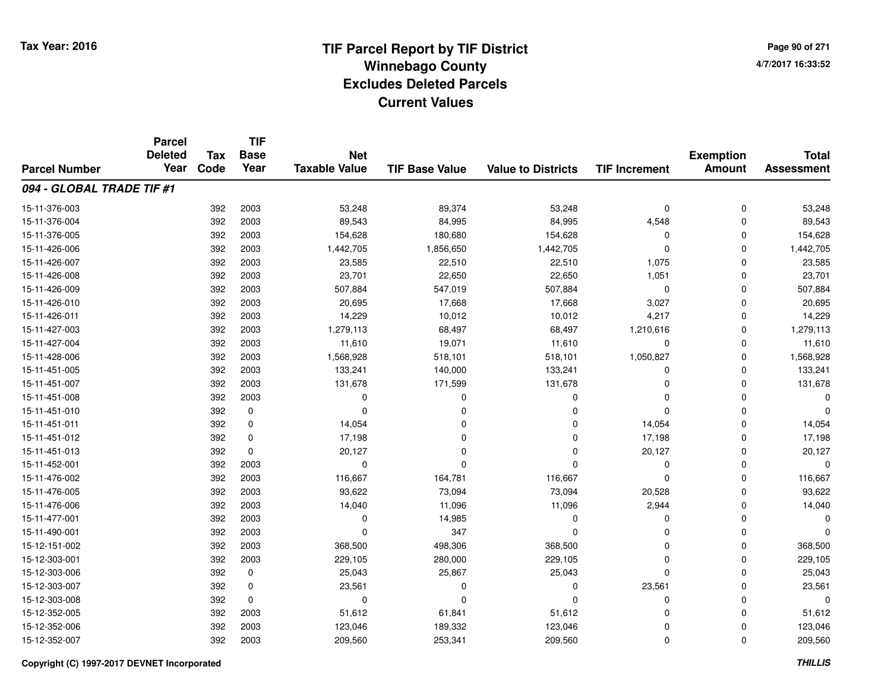# **TIF Parcel Report by TIF District Tax Year: 2016 Winnebago Countyy** and the contract of the contract of the contract of the contract of the contract of the contract of the contract of the contract of the contract of the contract of the contract of the contract of the contract of the co **Excludes Deleted ParcelsCurrent Values**

**Page 90 of 2714/7/2017 16:33:52**

|                           | <b>Parcel</b><br><b>Deleted</b> | <b>Tax</b> | <b>TIF</b><br><b>Base</b> | <b>Net</b>           |                       |                           |                      | <b>Exemption</b> | <b>Total</b>      |
|---------------------------|---------------------------------|------------|---------------------------|----------------------|-----------------------|---------------------------|----------------------|------------------|-------------------|
| <b>Parcel Number</b>      | Year                            | Code       | Year                      | <b>Taxable Value</b> | <b>TIF Base Value</b> | <b>Value to Districts</b> | <b>TIF Increment</b> | <b>Amount</b>    | <b>Assessment</b> |
| 094 - GLOBAL TRADE TIF #1 |                                 |            |                           |                      |                       |                           |                      |                  |                   |
| 15-11-376-003             |                                 | 392        | 2003                      | 53,248               | 89,374                | 53,248                    | $\mathbf 0$          | $\mathbf 0$      | 53,248            |
| 15-11-376-004             |                                 | 392        | 2003                      | 89,543               | 84,995                | 84,995                    | 4,548                | $\mathbf 0$      | 89,543            |
| 15-11-376-005             |                                 | 392        | 2003                      | 154,628              | 180,680               | 154,628                   | $\Omega$             | $\Omega$         | 154,628           |
| 15-11-426-006             |                                 | 392        | 2003                      | 1,442,705            | 1,856,650             | 1,442,705                 | $\Omega$             | $\mathbf 0$      | 1,442,705         |
| 15-11-426-007             |                                 | 392        | 2003                      | 23,585               | 22,510                | 22,510                    | 1,075                | $\Omega$         | 23,585            |
| 15-11-426-008             |                                 | 392        | 2003                      | 23,701               | 22,650                | 22,650                    | 1,051                | $\mathbf 0$      | 23,701            |
| 15-11-426-009             |                                 | 392        | 2003                      | 507,884              | 547,019               | 507,884                   | $\Omega$             | $\mathbf 0$      | 507,884           |
| 15-11-426-010             |                                 | 392        | 2003                      | 20,695               | 17,668                | 17,668                    | 3,027                | 0                | 20,695            |
| 15-11-426-011             |                                 | 392        | 2003                      | 14,229               | 10,012                | 10,012                    | 4,217                | $\mathbf 0$      | 14,229            |
| 15-11-427-003             |                                 | 392        | 2003                      | 1,279,113            | 68,497                | 68,497                    | 1,210,616            | $\mathbf 0$      | 1,279,113         |
| 15-11-427-004             |                                 | 392        | 2003                      | 11,610               | 19,071                | 11,610                    | $\mathbf 0$          | $\Omega$         | 11,610            |
| 15-11-428-006             |                                 | 392        | 2003                      | 1,568,928            | 518,101               | 518,101                   | 1,050,827            | $\mathbf 0$      | 1,568,928         |
| 15-11-451-005             |                                 | 392        | 2003                      | 133,241              | 140,000               | 133,241                   | $\Omega$             | $\Omega$         | 133,241           |
| 15-11-451-007             |                                 | 392        | 2003                      | 131,678              | 171,599               | 131,678                   | $\Omega$             | 0                | 131,678           |
| 15-11-451-008             |                                 | 392        | 2003                      | 0                    | 0                     | $\mathbf 0$               | $\Omega$             | $\Omega$         |                   |
| 15-11-451-010             |                                 | 392        | 0                         | 0                    | $\Omega$              | 0                         | $\Omega$             | 0                |                   |
| 15-11-451-011             |                                 | 392        | 0                         | 14,054               | $\Omega$              | 0                         | 14,054               | $\mathbf 0$      | 14,054            |
| 15-11-451-012             |                                 | 392        | 0                         | 17,198               | $\Omega$              | $\mathbf 0$               | 17,198               | 0                | 17,198            |
| 15-11-451-013             |                                 | 392        | $\mathbf 0$               | 20,127               | $\Omega$              | $\mathbf 0$               | 20,127               | $\mathbf 0$      | 20,127            |
| 15-11-452-001             |                                 | 392        | 2003                      | 0                    | $\Omega$              | 0                         | 0                    | 0                |                   |
| 15-11-476-002             |                                 | 392        | 2003                      | 116,667              | 164,781               | 116,667                   | $\Omega$             | $\mathbf 0$      | 116,667           |
| 15-11-476-005             |                                 | 392        | 2003                      | 93,622               | 73,094                | 73,094                    | 20,528               | 0                | 93,622            |
| 15-11-476-006             |                                 | 392        | 2003                      | 14,040               | 11,096                | 11,096                    | 2,944                | $\mathbf 0$      | 14,040            |
| 15-11-477-001             |                                 | 392        | 2003                      | 0                    | 14,985                | 0                         | 0                    | $\mathbf 0$      |                   |
| 15-11-490-001             |                                 | 392        | 2003                      | 0                    | 347                   | $\mathbf 0$               | $\Omega$             | $\mathbf 0$      |                   |
| 15-12-151-002             |                                 | 392        | 2003                      | 368,500              | 498,306               | 368,500                   | $\Omega$             | $\mathbf 0$      | 368,500           |
| 15-12-303-001             |                                 | 392        | 2003                      | 229,105              | 280,000               | 229,105                   | $\Omega$             | $\mathbf 0$      | 229,105           |
| 15-12-303-006             |                                 | 392        | 0                         | 25,043               | 25,867                | 25,043                    | $\Omega$             | $\mathbf 0$      | 25,043            |
| 15-12-303-007             |                                 | 392        | 0                         | 23,561               | 0                     | $\mathbf 0$               | 23,561               | $\Omega$         | 23,561            |
| 15-12-303-008             |                                 | 392        | 0                         | 0                    | 0                     | 0                         | 0                    | $\mathbf 0$      | $\Omega$          |
| 15-12-352-005             |                                 | 392        | 2003                      | 51,612               | 61,841                | 51,612                    | $\Omega$             | $\Omega$         | 51,612            |
| 15-12-352-006             |                                 | 392        | 2003                      | 123,046              | 189,332               | 123,046                   | 0                    | $\mathbf 0$      | 123,046           |
| 15-12-352-007             |                                 | 392        | 2003                      | 209,560              | 253,341               | 209,560                   | $\Omega$             | $\mathbf 0$      | 209,560           |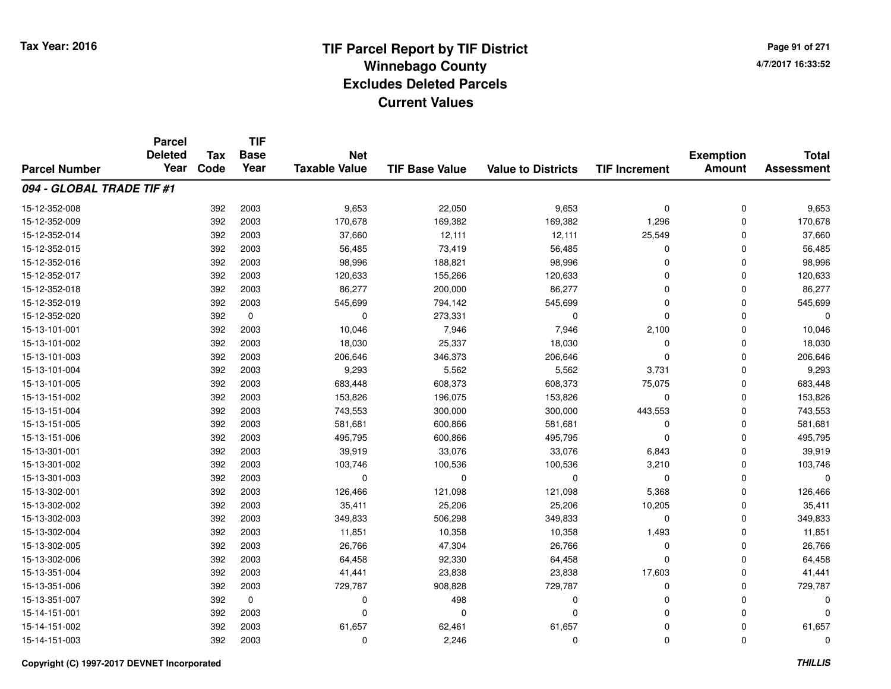**TIF**

**Parcel**

**Page 91 of 2714/7/2017 16:33:52**

| <b>Parcel Number</b>      | <b>Deleted</b><br>Year | <b>Tax</b><br>Code | <b>Base</b><br>Year | <b>Net</b><br><b>Taxable Value</b> | <b>TIF Base Value</b> | <b>Value to Districts</b> | <b>TIF Increment</b> | <b>Exemption</b><br><b>Amount</b> | <b>Total</b><br><b>Assessment</b> |
|---------------------------|------------------------|--------------------|---------------------|------------------------------------|-----------------------|---------------------------|----------------------|-----------------------------------|-----------------------------------|
| 094 - GLOBAL TRADE TIF #1 |                        |                    |                     |                                    |                       |                           |                      |                                   |                                   |
| 15-12-352-008             |                        | 392                | 2003                | 9,653                              | 22,050                | 9,653                     | $\mathbf 0$          | $\mathbf 0$                       | 9,653                             |
| 15-12-352-009             |                        | 392                | 2003                | 170,678                            | 169,382               | 169,382                   | 1,296                | $\mathbf 0$                       | 170,678                           |
| 15-12-352-014             |                        | 392                | 2003                | 37,660                             | 12,111                | 12,111                    | 25,549               | $\mathbf 0$                       | 37,660                            |
| 15-12-352-015             |                        | 392                | 2003                | 56,485                             | 73,419                | 56,485                    | 0                    | $\mathbf 0$                       | 56,485                            |
| 15-12-352-016             |                        | 392                | 2003                | 98,996                             | 188,821               | 98,996                    | $\Omega$             | $\mathbf 0$                       | 98,996                            |
| 15-12-352-017             |                        | 392                | 2003                | 120,633                            | 155,266               | 120,633                   | $\Omega$             | $\Omega$                          | 120,633                           |
| 15-12-352-018             |                        | 392                | 2003                | 86,277                             | 200,000               | 86,277                    | $\Omega$             | $\Omega$                          | 86,277                            |
| 15-12-352-019             |                        | 392                | 2003                | 545,699                            | 794,142               | 545,699                   | $\Omega$             | $\Omega$                          | 545,699                           |
| 15-12-352-020             |                        | 392                | $\mathbf 0$         | $\mathbf 0$                        | 273,331               | $\mathbf 0$               | $\Omega$             | $\Omega$                          |                                   |
| 15-13-101-001             |                        | 392                | 2003                | 10,046                             | 7,946                 | 7,946                     | 2,100                | $\mathbf 0$                       | 10,046                            |
| 15-13-101-002             |                        | 392                | 2003                | 18,030                             | 25,337                | 18,030                    | $\Omega$             | $\mathbf 0$                       | 18,030                            |
| 15-13-101-003             |                        | 392                | 2003                | 206,646                            | 346,373               | 206,646                   | $\Omega$             | $\mathbf 0$                       | 206,646                           |
| 15-13-101-004             |                        | 392                | 2003                | 9,293                              | 5,562                 | 5,562                     | 3,731                | $\mathbf 0$                       | 9,293                             |
| 15-13-101-005             |                        | 392                | 2003                | 683,448                            | 608,373               | 608,373                   | 75,075               | $\mathbf 0$                       | 683,448                           |
| 15-13-151-002             |                        | 392                | 2003                | 153,826                            | 196,075               | 153,826                   | $\Omega$             | $\Omega$                          | 153,826                           |
| 15-13-151-004             |                        | 392                | 2003                | 743,553                            | 300,000               | 300,000                   | 443,553              | $\Omega$                          | 743,553                           |
| 15-13-151-005             |                        | 392                | 2003                | 581,681                            | 600,866               | 581,681                   | $\Omega$             | $\Omega$                          | 581,681                           |
| 15-13-151-006             |                        | 392                | 2003                | 495,795                            | 600,866               | 495,795                   | $\Omega$             | $\Omega$                          | 495,795                           |
| 15-13-301-001             |                        | 392                | 2003                | 39,919                             | 33,076                | 33,076                    | 6,843                | $\mathbf 0$                       | 39,919                            |
| 15-13-301-002             |                        | 392                | 2003                | 103,746                            | 100,536               | 100,536                   | 3,210                | $\mathbf 0$                       | 103,746                           |
| 15-13-301-003             |                        | 392                | 2003                | 0                                  | 0                     | $\mathbf 0$               | 0                    | $\mathbf 0$                       |                                   |
| 15-13-302-001             |                        | 392                | 2003                | 126,466                            | 121,098               | 121,098                   | 5,368                | $\mathbf 0$                       | 126,466                           |
| 15-13-302-002             |                        | 392                | 2003                | 35,411                             | 25,206                | 25,206                    | 10,205               | $\mathbf 0$                       | 35,411                            |
| 15-13-302-003             |                        | 392                | 2003                | 349,833                            | 506,298               | 349,833                   | 0                    | $\mathbf 0$                       | 349,833                           |
| 15-13-302-004             |                        | 392                | 2003                | 11,851                             | 10,358                | 10,358                    | 1,493                | $\Omega$                          | 11,851                            |
| 15-13-302-005             |                        | 392                | 2003                | 26,766                             | 47,304                | 26,766                    | $\Omega$             | $\Omega$                          | 26,766                            |
| 15-13-302-006             |                        | 392                | 2003                | 64,458                             | 92,330                | 64,458                    | $\Omega$             | $\Omega$                          | 64,458                            |
| 15-13-351-004             |                        | 392                | 2003                | 41,441                             | 23,838                | 23,838                    | 17,603               | $\mathbf 0$                       | 41,441                            |
| 15-13-351-006             |                        | 392                | 2003                | 729,787                            | 908,828               | 729,787                   | $\Omega$             | $\mathbf 0$                       | 729,787                           |
| 15-13-351-007             |                        | 392                | $\mathbf 0$         | 0                                  | 498                   | $\mathbf 0$               | $\Omega$             | $\mathbf 0$                       |                                   |
| 15-14-151-001             |                        | 392                | 2003                | $\Omega$                           | $\Omega$              | $\mathbf 0$               | $\Omega$             | $\mathbf 0$                       |                                   |
| 15-14-151-002             |                        | 392                | 2003                | 61,657                             | 62,461                | 61,657                    | $\Omega$             | $\mathbf 0$                       | 61,657                            |
| 15-14-151-003             |                        | 392                | 2003                | 0                                  | 2,246                 | $\mathbf 0$               | $\mathbf 0$          | 0                                 | $\Omega$                          |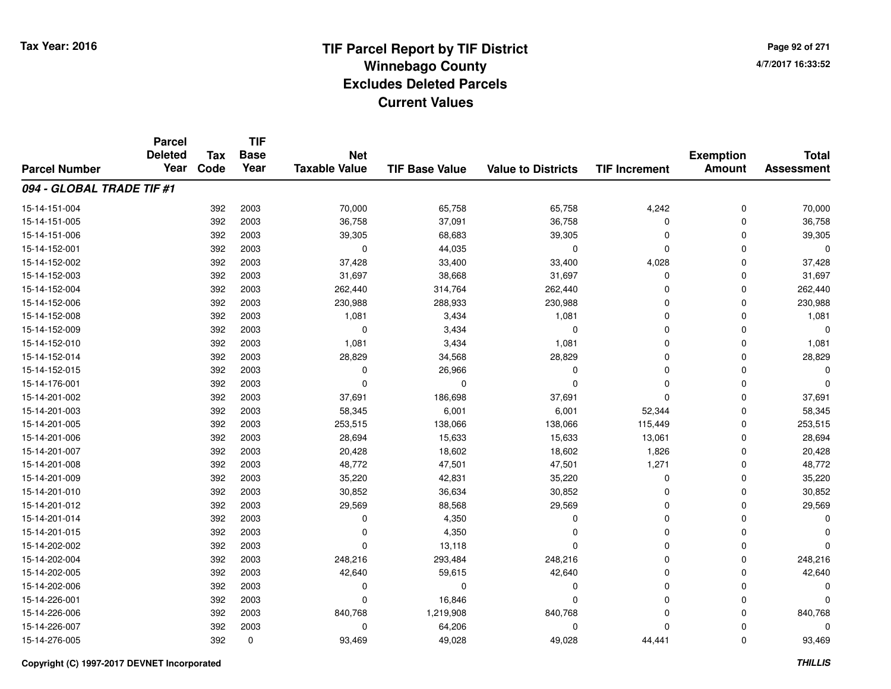**Page 92 of 2714/7/2017 16:33:52**

|                           | <b>Parcel</b>          |            | <b>TIF</b>  |                      |                       |                           |                      | <b>Total</b>     |                   |
|---------------------------|------------------------|------------|-------------|----------------------|-----------------------|---------------------------|----------------------|------------------|-------------------|
|                           | <b>Deleted</b><br>Year | <b>Tax</b> | <b>Base</b> | <b>Net</b>           |                       |                           |                      | <b>Exemption</b> |                   |
| <b>Parcel Number</b>      |                        | Code       | Year        | <b>Taxable Value</b> | <b>TIF Base Value</b> | <b>Value to Districts</b> | <b>TIF Increment</b> | <b>Amount</b>    | <b>Assessment</b> |
| 094 - GLOBAL TRADE TIF #1 |                        |            |             |                      |                       |                           |                      |                  |                   |
| 15-14-151-004             |                        | 392        | 2003        | 70,000               | 65,758                | 65,758                    | 4,242                | 0                | 70,000            |
| 15-14-151-005             |                        | 392        | 2003        | 36,758               | 37,091                | 36,758                    | 0                    | $\mathbf 0$      | 36,758            |
| 15-14-151-006             |                        | 392        | 2003        | 39,305               | 68,683                | 39,305                    | 0                    | 0                | 39,305            |
| 15-14-152-001             |                        | 392        | 2003        | $\mathbf 0$          | 44,035                | 0                         | 0                    | $\Omega$         | $\Omega$          |
| 15-14-152-002             |                        | 392        | 2003        | 37,428               | 33,400                | 33,400                    | 4,028                | 0                | 37,428            |
| 15-14-152-003             |                        | 392        | 2003        | 31,697               | 38,668                | 31,697                    | 0                    | $\mathbf 0$      | 31,697            |
| 15-14-152-004             |                        | 392        | 2003        | 262,440              | 314,764               | 262,440                   | 0                    | $\mathbf 0$      | 262,440           |
| 15-14-152-006             |                        | 392        | 2003        | 230,988              | 288,933               | 230,988                   | 0                    | $\Omega$         | 230,988           |
| 15-14-152-008             |                        | 392        | 2003        | 1,081                | 3,434                 | 1,081                     | 0                    | $\Omega$         | 1,081             |
| 15-14-152-009             |                        | 392        | 2003        | 0                    | 3,434                 | $\Omega$                  | 0                    | $\Omega$         | $\Omega$          |
| 15-14-152-010             |                        | 392        | 2003        | 1,081                | 3,434                 | 1,081                     | 0                    | 0                | 1,081             |
| 15-14-152-014             |                        | 392        | 2003        | 28,829               | 34,568                | 28,829                    | 0                    | 0                | 28,829            |
| 15-14-152-015             |                        | 392        | 2003        | 0                    | 26,966                | $\Omega$                  | 0                    | $\Omega$         |                   |
| 15-14-176-001             |                        | 392        | 2003        | $\Omega$             | $\Omega$              | $\Omega$                  | 0                    | 0                | O                 |
| 15-14-201-002             |                        | 392        | 2003        | 37,691               | 186,698               | 37,691                    | 0                    | $\Omega$         | 37,691            |
| 15-14-201-003             |                        | 392        | 2003        | 58,345               | 6,001                 | 6,001                     | 52,344               | 0                | 58,345            |
| 15-14-201-005             |                        | 392        | 2003        | 253,515              | 138,066               | 138,066                   | 115,449              | 0                | 253,515           |
| 15-14-201-006             |                        | 392        | 2003        | 28,694               | 15,633                | 15,633                    | 13,061               | $\mathbf 0$      | 28,694            |
| 15-14-201-007             |                        | 392        | 2003        | 20,428               | 18,602                | 18,602                    | 1,826                | 0                | 20,428            |
| 15-14-201-008             |                        | 392        | 2003        | 48,772               | 47,501                | 47,501                    | 1,271                | $\mathbf 0$      | 48,772            |
| 15-14-201-009             |                        | 392        | 2003        | 35,220               | 42,831                | 35,220                    | 0                    | 0                | 35,220            |
| 15-14-201-010             |                        | 392        | 2003        | 30,852               | 36,634                | 30,852                    | 0                    | $\mathbf 0$      | 30,852            |
| 15-14-201-012             |                        | 392        | 2003        | 29,569               | 88,568                | 29,569                    | 0                    | $\mathbf 0$      | 29,569            |
| 15-14-201-014             |                        | 392        | 2003        | $\mathbf 0$          | 4,350                 | 0                         | 0                    | $\Omega$         | $\Omega$          |
| 15-14-201-015             |                        | 392        | 2003        | 0                    | 4,350                 | 0                         | 0                    | $\mathbf 0$      |                   |
| 15-14-202-002             |                        | 392        | 2003        | $\Omega$             | 13,118                | $\Omega$                  | 0                    | $\Omega$         |                   |
| 15-14-202-004             |                        | 392        | 2003        | 248,216              | 293,484               | 248,216                   | 0                    | $\mathbf 0$      | 248,216           |
| 15-14-202-005             |                        | 392        | 2003        | 42,640               | 59,615                | 42,640                    | 0                    | $\Omega$         | 42,640            |
| 15-14-202-006             |                        | 392        | 2003        | 0                    | 0                     | 0                         | 0                    | $\mathbf 0$      | O                 |
| 15-14-226-001             |                        | 392        | 2003        | $\Omega$             | 16,846                | $\Omega$                  | 0                    | 0                |                   |
| 15-14-226-006             |                        | 392        | 2003        | 840,768              | 1,219,908             | 840,768                   | 0                    | $\Omega$         | 840,768           |
| 15-14-226-007             |                        | 392        | 2003        | $\Omega$             | 64,206                | $\Omega$                  | $\Omega$             | $\Omega$         |                   |
| 15-14-276-005             |                        | 392        | 0           | 93,469               | 49,028                | 49,028                    | 44,441               | $\Omega$         | 93,469            |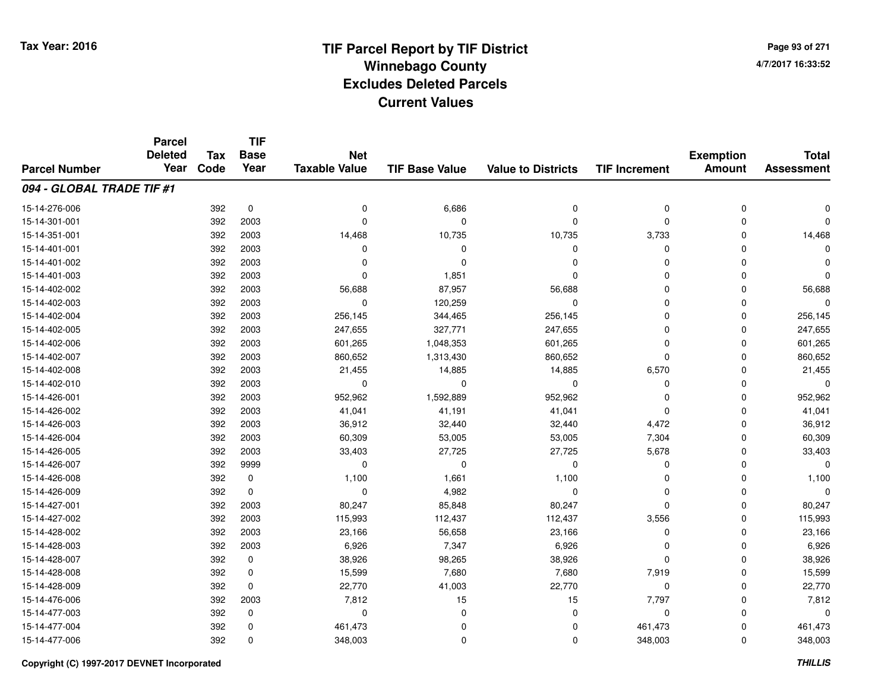**Page 93 of 2714/7/2017 16:33:52**

|                           | <b>Parcel</b><br><b>Deleted</b> | <b>Tax</b> | <b>TIF</b><br><b>Base</b> | <b>Net</b>           |                       |                           |                      | <b>Exemption</b> | <b>Total</b>      |
|---------------------------|---------------------------------|------------|---------------------------|----------------------|-----------------------|---------------------------|----------------------|------------------|-------------------|
| <b>Parcel Number</b>      | Year                            | Code       | Year                      | <b>Taxable Value</b> | <b>TIF Base Value</b> | <b>Value to Districts</b> | <b>TIF Increment</b> | <b>Amount</b>    | <b>Assessment</b> |
| 094 - GLOBAL TRADE TIF #1 |                                 |            |                           |                      |                       |                           |                      |                  |                   |
| 15-14-276-006             |                                 | 392        | $\pmb{0}$                 | 0                    | 6,686                 | 0                         | 0                    | $\mathbf 0$      | O                 |
| 15-14-301-001             |                                 | 392        | 2003                      | $\Omega$             | 0                     | $\Omega$                  | $\mathbf 0$          | $\Omega$         | U                 |
| 15-14-351-001             |                                 | 392        | 2003                      | 14,468               | 10,735                | 10,735                    | 3,733                | $\Omega$         | 14,468            |
| 15-14-401-001             |                                 | 392        | 2003                      | 0                    | $\Omega$              | $\Omega$                  | 0                    | $\Omega$         | $\Omega$          |
| 15-14-401-002             |                                 | 392        | 2003                      | $\Omega$             | $\Omega$              | $\Omega$                  | 0                    | $\Omega$         | O                 |
| 15-14-401-003             |                                 | 392        | 2003                      | $\Omega$             | 1,851                 | $\Omega$                  | $\mathbf 0$          | $\Omega$         | $\Omega$          |
| 15-14-402-002             |                                 | 392        | 2003                      | 56,688               | 87,957                | 56,688                    | $\mathbf 0$          | $\Omega$         | 56,688            |
| 15-14-402-003             |                                 | 392        | 2003                      | 0                    | 120,259               | 0                         | $\mathbf 0$          | $\Omega$         | $\Omega$          |
| 15-14-402-004             |                                 | 392        | 2003                      | 256,145              | 344,465               | 256,145                   | 0                    | 0                | 256,145           |
| 15-14-402-005             |                                 | 392        | 2003                      | 247,655              | 327,771               | 247,655                   | 0                    | $\Omega$         | 247,655           |
| 15-14-402-006             |                                 | 392        | 2003                      | 601,265              | 1,048,353             | 601,265                   | 0                    | $\Omega$         | 601,265           |
| 15-14-402-007             |                                 | 392        | 2003                      | 860,652              | 1,313,430             | 860,652                   | 0                    | $\Omega$         | 860,652           |
| 15-14-402-008             |                                 | 392        | 2003                      | 21,455               | 14,885                | 14,885                    | 6,570                | $\Omega$         | 21,455            |
| 15-14-402-010             |                                 | 392        | 2003                      | 0                    | 0                     | 0                         | 0                    | $\Omega$         | 0                 |
| 15-14-426-001             |                                 | 392        | 2003                      | 952,962              | 1,592,889             | 952,962                   | $\Omega$             | $\Omega$         | 952,962           |
| 15-14-426-002             |                                 | 392        | 2003                      | 41,041               | 41,191                | 41,041                    | 0                    | $\Omega$         | 41,041            |
| 15-14-426-003             |                                 | 392        | 2003                      | 36,912               | 32,440                | 32,440                    | 4,472                | $\Omega$         | 36,912            |
| 15-14-426-004             |                                 | 392        | 2003                      | 60,309               | 53,005                | 53,005                    | 7,304                | $\Omega$         | 60,309            |
| 15-14-426-005             |                                 | 392        | 2003                      | 33,403               | 27,725                | 27,725                    | 5,678                | $\mathbf 0$      | 33,403            |
| 15-14-426-007             |                                 | 392        | 9999                      | $\mathbf 0$          | 0                     | 0                         | 0                    | $\Omega$         | $\Omega$          |
| 15-14-426-008             |                                 | 392        | $\pmb{0}$                 | 1,100                | 1,661                 | 1,100                     | 0                    | $\mathbf 0$      | 1,100             |
| 15-14-426-009             |                                 | 392        | 0                         | $\mathbf 0$          | 4,982                 | $\mathbf 0$               | $\mathbf 0$          | 0                | $\Omega$          |
| 15-14-427-001             |                                 | 392        | 2003                      | 80,247               | 85,848                | 80,247                    | 0                    | 0                | 80,247            |
| 15-14-427-002             |                                 | 392        | 2003                      | 115,993              | 112,437               | 112,437                   | 3,556                | 0                | 115,993           |
| 15-14-428-002             |                                 | 392        | 2003                      | 23,166               | 56,658                | 23,166                    | 0                    | 0                | 23,166            |
| 15-14-428-003             |                                 | 392        | 2003                      | 6,926                | 7,347                 | 6,926                     | 0                    | $\Omega$         | 6,926             |
| 15-14-428-007             |                                 | 392        | 0                         | 38,926               | 98,265                | 38,926                    | $\mathbf 0$          | $\Omega$         | 38,926            |
| 15-14-428-008             |                                 | 392        | 0                         | 15,599               | 7,680                 | 7,680                     | 7,919                | $\mathbf 0$      | 15,599            |
| 15-14-428-009             |                                 | 392        | 0                         | 22,770               | 41,003                | 22,770                    | 0                    | $\Omega$         | 22,770            |
| 15-14-476-006             |                                 | 392        | 2003                      | 7,812                | 15                    | 15                        | 7,797                | $\mathbf 0$      | 7,812             |
| 15-14-477-003             |                                 | 392        | 0                         | $\mathbf 0$          | 0                     | $\Omega$                  | 0                    | $\Omega$         | $\Omega$          |
| 15-14-477-004             |                                 | 392        | 0                         | 461,473              | $\Omega$              | $\Omega$                  | 461,473              | $\Omega$         | 461,473           |
| 15-14-477-006             |                                 | 392        | $\mathbf 0$               | 348,003              | $\Omega$              | $\Omega$                  | 348,003              | $\Omega$         | 348,003           |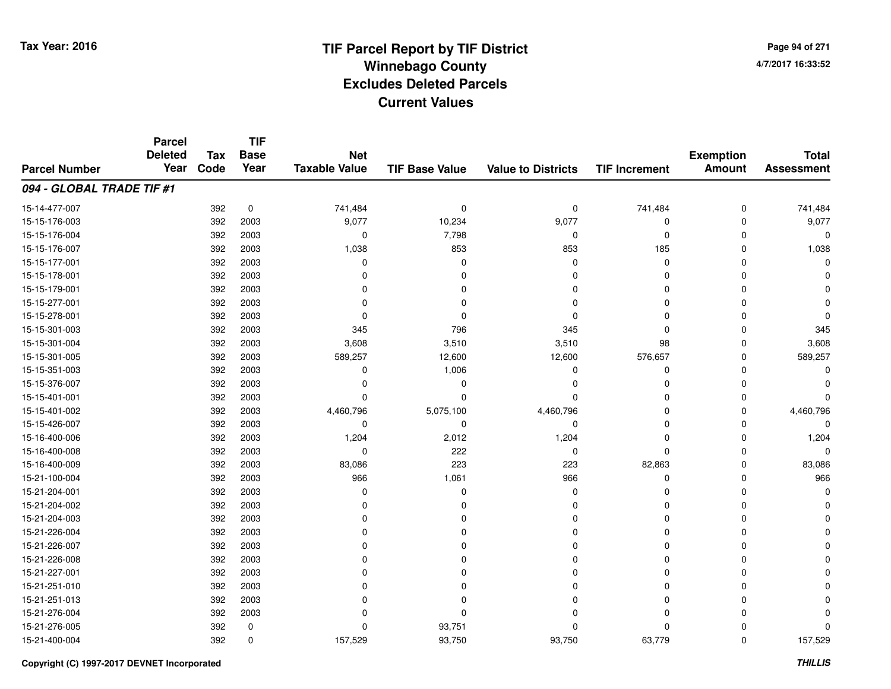**Page 94 of 2714/7/2017 16:33:52**

#### **TIF Base ValueParcel NumberTotal AssessmentExemption Amount Value to Districts TIF IncrementTIF Base YearTax CodeParcel Deleted YearNet Taxable Value094 - GLOBAL TRADE TIF #1**15-14-477-007 <sup>392</sup> 741,484 <sup>0</sup> <sup>0</sup> <sup>0</sup> 741,484 <sup>0</sup> 741,484 15-15-176-003 <sup>392</sup> 9,077 <sup>2003</sup> 10,234 9,077 <sup>0</sup> <sup>0</sup> 9,077 15-15-176-004 $\frac{4}{10}$  392 2003 0 0 7,798 0 0 0 0 0 0 0 15-15-176-007 <sup>392</sup> 1,038 <sup>2003</sup> <sup>853</sup> <sup>853</sup> <sup>185</sup> <sup>0</sup> 1,038 15-15-177-001 <sup>392</sup> <sup>0</sup> <sup>2003</sup> <sup>0</sup> <sup>0</sup> <sup>0</sup> <sup>0</sup> <sup>0</sup> 15-15-178-001 <sup>392</sup> <sup>0</sup> <sup>2003</sup> <sup>0</sup> <sup>0</sup> <sup>0</sup> <sup>0</sup> <sup>0</sup> 15-15-179-001 <sup>392</sup> <sup>0</sup> <sup>2003</sup> <sup>0</sup> <sup>0</sup> <sup>0</sup> <sup>0</sup> <sup>0</sup> 15-15-277-001 <sup>392</sup> <sup>0</sup> <sup>2003</sup> <sup>0</sup> <sup>0</sup> <sup>0</sup> <sup>0</sup> <sup>0</sup> 15-15-278-001 <sup>392</sup> <sup>0</sup> <sup>2003</sup> <sup>0</sup> <sup>0</sup> <sup>0</sup> <sup>0</sup> <sup>0</sup> 15-15-301-003 <sup>392</sup> <sup>345</sup> <sup>2003</sup> <sup>796</sup> <sup>345</sup> <sup>0</sup> <sup>0</sup> <sup>345</sup> 15-15-301-0044 2003 392 3003 3,608 3,510 3,510 3,510 3,510 3,510 3,510 3,510 3 3,608 15-15-301-005 <sup>392</sup> 589,257 <sup>2003</sup> 12,600 12,600 576,657 <sup>0</sup> 589,257 15-15-351-0033 392 2003 0 1,006 0 0 0 0 15-15-376-007 <sup>392</sup> <sup>0</sup> <sup>2003</sup> <sup>0</sup> <sup>0</sup> <sup>0</sup> <sup>0</sup> <sup>0</sup> 15-15-401-001 <sup>392</sup> <sup>0</sup> <sup>2003</sup> <sup>0</sup> <sup>0</sup> <sup>0</sup> <sup>0</sup> <sup>0</sup> 15-15-401-002 <sup>392</sup> 4,460,796 <sup>2003</sup> 5,075,100 4,460,796 <sup>0</sup> <sup>0</sup> 4,460,796 15-15-426-007 <sup>392</sup> <sup>0</sup> <sup>2003</sup> <sup>0</sup> <sup>0</sup> <sup>0</sup> <sup>0</sup> <sup>0</sup> 15-16-400-006 <sup>392</sup> 1,204 <sup>2003</sup> 2,012 1,204 <sup>0</sup> <sup>0</sup> 1,204 15-16-400-0088 392 2003 0 222 0 0 0 0 15-16-400-009 <sup>392</sup> 83,086 <sup>2003</sup> <sup>223</sup> <sup>223</sup> 82,863 <sup>0</sup> 83,086 15-21-100-004 <sup>392</sup> <sup>966</sup> <sup>2003</sup> 1,061 <sup>966</sup> <sup>0</sup> <sup>0</sup> <sup>966</sup> 15-21-204-001 <sup>392</sup> <sup>0</sup> <sup>2003</sup> <sup>0</sup> <sup>0</sup> <sup>0</sup> <sup>0</sup> <sup>0</sup> 15-21-204-002 <sup>392</sup> <sup>0</sup> <sup>2003</sup> <sup>0</sup> <sup>0</sup> <sup>0</sup> <sup>0</sup> <sup>0</sup> 15-21-204-003 <sup>392</sup> <sup>0</sup> <sup>2003</sup> <sup>0</sup> <sup>0</sup> <sup>0</sup> <sup>0</sup> <sup>0</sup> 15-21-226-004 <sup>392</sup> <sup>0</sup> <sup>2003</sup> <sup>0</sup> <sup>0</sup> <sup>0</sup> <sup>0</sup> <sup>0</sup> 15-21-226-007 <sup>392</sup> <sup>0</sup> <sup>2003</sup> <sup>0</sup> <sup>0</sup> <sup>0</sup> <sup>0</sup> <sup>0</sup> 15-21-226-008 <sup>392</sup> <sup>0</sup> <sup>2003</sup> <sup>0</sup> <sup>0</sup> <sup>0</sup> <sup>0</sup> <sup>0</sup> 15-21-227-001 <sup>392</sup> <sup>0</sup> <sup>2003</sup> <sup>0</sup> <sup>0</sup> <sup>0</sup> <sup>0</sup> <sup>0</sup> 15-21-251-010 <sup>392</sup> <sup>0</sup> <sup>2003</sup> <sup>0</sup> <sup>0</sup> <sup>0</sup> <sup>0</sup> <sup>0</sup> 15-21-251-013 <sup>392</sup> <sup>0</sup> <sup>2003</sup> <sup>0</sup> <sup>0</sup> <sup>0</sup> <sup>0</sup> <sup>0</sup> 15-21-276-004 <sup>392</sup> <sup>0</sup> <sup>2003</sup> <sup>0</sup> <sup>0</sup> <sup>0</sup> <sup>0</sup> <sup>0</sup> 15-21-276-0055 392 0 0 93,751 0 0 15-21-400-004<sup>392</sup> 157,529 <sup>0</sup> 93,750 93,750 63,779 <sup>0</sup> 157,529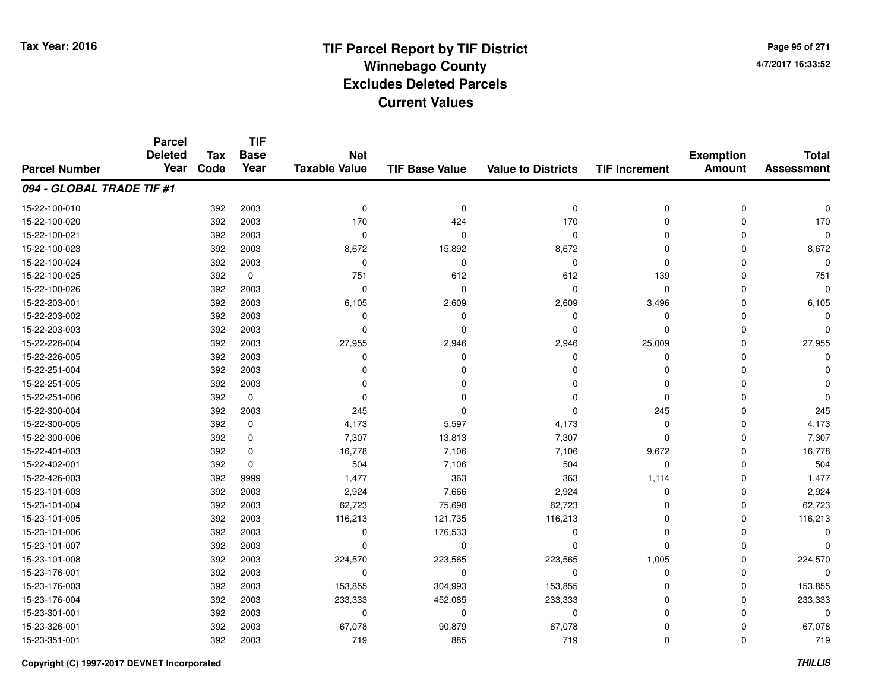**Page 95 of 2714/7/2017 16:33:52**

|                           | <b>Parcel</b><br><b>Deleted</b> |                    | <b>TIF</b>          |                                    |                       |                           |                      |                                   |                                   |
|---------------------------|---------------------------------|--------------------|---------------------|------------------------------------|-----------------------|---------------------------|----------------------|-----------------------------------|-----------------------------------|
| <b>Parcel Number</b>      | Year                            | <b>Tax</b><br>Code | <b>Base</b><br>Year | <b>Net</b><br><b>Taxable Value</b> | <b>TIF Base Value</b> | <b>Value to Districts</b> | <b>TIF Increment</b> | <b>Exemption</b><br><b>Amount</b> | <b>Total</b><br><b>Assessment</b> |
|                           |                                 |                    |                     |                                    |                       |                           |                      |                                   |                                   |
| 094 - GLOBAL TRADE TIF #1 |                                 |                    |                     |                                    |                       |                           |                      |                                   |                                   |
| 15-22-100-010             |                                 | 392                | 2003                | 0                                  | 0                     | $\mathbf 0$               | 0                    | 0                                 |                                   |
| 15-22-100-020             |                                 | 392                | 2003                | 170                                | 424                   | 170                       | $\Omega$             | $\Omega$                          | 170                               |
| 15-22-100-021             |                                 | 392                | 2003                | 0                                  | $\Omega$              | $\mathbf 0$               | $\Omega$             | $\Omega$                          | $\Omega$                          |
| 15-22-100-023             |                                 | 392                | 2003                | 8,672                              | 15,892                | 8,672                     | $\Omega$             | $\Omega$                          | 8,672                             |
| 15-22-100-024             |                                 | 392                | 2003                | 0                                  | $\mathbf 0$           | $\mathbf 0$               | $\Omega$             | $\mathbf 0$                       |                                   |
| 15-22-100-025             |                                 | 392                | $\mathbf 0$         | 751                                | 612                   | 612                       | 139                  | $\mathbf 0$                       | 751                               |
| 15-22-100-026             |                                 | 392                | 2003                | 0                                  | $\mathbf 0$           | $\mathbf 0$               | $\mathbf 0$          | $\Omega$                          |                                   |
| 15-22-203-001             |                                 | 392                | 2003                | 6,105                              | 2,609                 | 2,609                     | 3,496                | $\Omega$                          | 6,105                             |
| 15-22-203-002             |                                 | 392                | 2003                | $\mathbf 0$                        | $\Omega$              | $\mathbf 0$               | 0                    | $\Omega$                          |                                   |
| 15-22-203-003             |                                 | 392                | 2003                | $\Omega$                           | $\Omega$              | $\Omega$                  | $\Omega$             | $\Omega$                          |                                   |
| 15-22-226-004             |                                 | 392                | 2003                | 27,955                             | 2,946                 | 2,946                     | 25,009               | $\Omega$                          | 27,955                            |
| 15-22-226-005             |                                 | 392                | 2003                | 0                                  | 0                     | 0                         | $\Omega$             | $\Omega$                          |                                   |
| 15-22-251-004             |                                 | 392                | 2003                | $\Omega$                           | $\Omega$              | $\Omega$                  | $\Omega$             | $\Omega$                          |                                   |
| 15-22-251-005             |                                 | 392                | 2003                | 0                                  | 0                     | 0                         | 0                    | 0                                 |                                   |
| 15-22-251-006             |                                 | 392                | 0                   | 0                                  | $\Omega$              | 0                         | $\Omega$             | $\mathbf 0$                       |                                   |
| 15-22-300-004             |                                 | 392                | 2003                | 245                                | 0                     | $\mathbf 0$               | 245                  | $\mathbf 0$                       | 245                               |
| 15-22-300-005             |                                 | 392                | 0                   | 4,173                              | 5,597                 | 4,173                     | $\mathbf 0$          | $\mathbf 0$                       | 4,173                             |
| 15-22-300-006             |                                 | 392                | 0                   | 7,307                              | 13,813                | 7,307                     | $\mathbf 0$          | $\mathbf 0$                       | 7,307                             |
| 15-22-401-003             |                                 | 392                | 0                   | 16,778                             | 7,106                 | 7,106                     | 9,672                | $\mathbf 0$                       | 16,778                            |
| 15-22-402-001             |                                 | 392                | $\mathbf 0$         | 504                                | 7,106                 | 504                       | $\mathbf 0$          | $\mathbf 0$                       | 504                               |
| 15-22-426-003             |                                 | 392                | 9999                | 1,477                              | 363                   | 363                       | 1,114                | 0                                 | 1,477                             |
| 15-23-101-003             |                                 | 392                | 2003                | 2,924                              | 7,666                 | 2,924                     | $\mathbf 0$          | $\mathbf 0$                       | 2,924                             |
| 15-23-101-004             |                                 | 392                | 2003                | 62,723                             | 75,698                | 62,723                    | 0                    | $\mathbf 0$                       | 62,723                            |
| 15-23-101-005             |                                 | 392                | 2003                | 116,213                            | 121,735               | 116,213                   | $\Omega$             | $\mathbf 0$                       | 116,213                           |
| 15-23-101-006             |                                 | 392                | 2003                | 0                                  | 176,533               | 0                         | $\mathbf 0$          | $\Omega$                          |                                   |
| 15-23-101-007             |                                 | 392                | 2003                | $\mathbf 0$                        | $\mathbf 0$           | $\mathbf 0$               | $\Omega$             | $\Omega$                          |                                   |
| 15-23-101-008             |                                 | 392                | 2003                | 224,570                            | 223,565               | 223,565                   | 1,005                | $\mathbf 0$                       | 224,570                           |
| 15-23-176-001             |                                 | 392                | 2003                | $\mathbf 0$                        | $\mathbf 0$           | $\mathbf 0$               | 0                    | $\Omega$                          | ŋ                                 |
| 15-23-176-003             |                                 | 392                | 2003                | 153,855                            | 304,993               | 153,855                   | 0                    | $\Omega$                          | 153,855                           |
| 15-23-176-004             |                                 | 392                | 2003                | 233,333                            | 452,085               | 233,333                   | $\Omega$             | 0                                 | 233,333                           |
| 15-23-301-001             |                                 | 392                | 2003                | $\mathbf 0$                        | $\mathbf 0$           | $\mathbf 0$               | $\Omega$             | $\Omega$                          |                                   |
| 15-23-326-001             |                                 | 392                | 2003                | 67,078                             | 90,879                | 67,078                    | $\Omega$             | $\Omega$                          | 67,078                            |
| 15-23-351-001             |                                 | 392                | 2003                | 719                                | 885                   | 719                       | $\Omega$             | $\mathbf 0$                       | 719                               |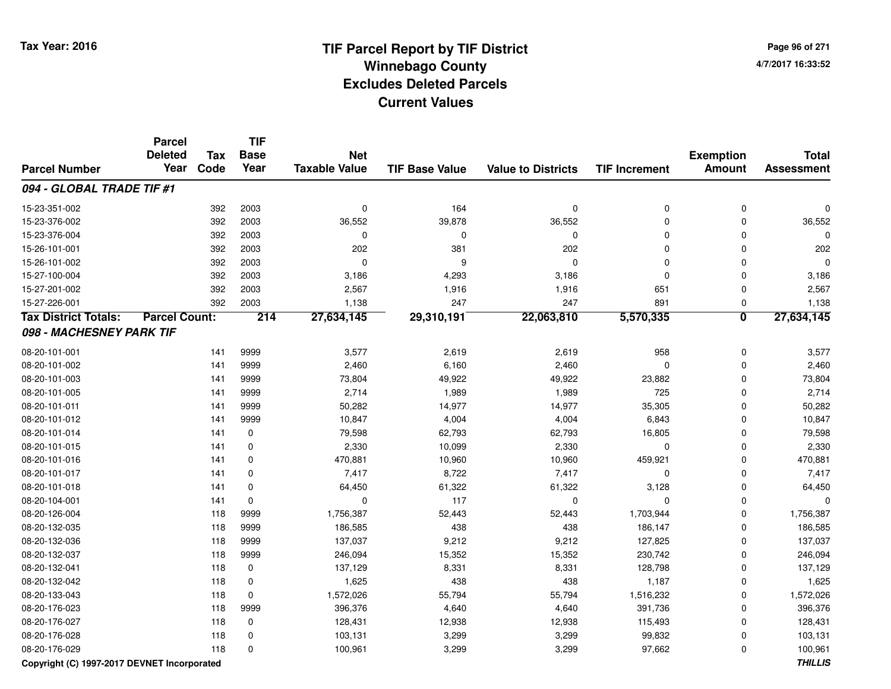**Page 96 of 2714/7/2017 16:33:52**

|                                             | <b>Parcel</b><br><b>Deleted</b> | <b>Tax</b> | <b>TIF</b><br><b>Base</b> | <b>Net</b>           |                       |                           |                      | <b>Exemption</b>        | <b>Total</b>      |
|---------------------------------------------|---------------------------------|------------|---------------------------|----------------------|-----------------------|---------------------------|----------------------|-------------------------|-------------------|
| <b>Parcel Number</b>                        | Year                            | Code       | Year                      | <b>Taxable Value</b> | <b>TIF Base Value</b> | <b>Value to Districts</b> | <b>TIF Increment</b> | <b>Amount</b>           | <b>Assessment</b> |
| 094 - GLOBAL TRADE TIF #1                   |                                 |            |                           |                      |                       |                           |                      |                         |                   |
| 15-23-351-002                               |                                 | 392        | 2003                      | 0                    | 164                   | $\mathbf 0$               | $\mathbf 0$          | $\mathbf 0$             | $\Omega$          |
| 15-23-376-002                               |                                 | 392        | 2003                      | 36,552               | 39,878                | 36,552                    | $\mathbf 0$          | $\Omega$                | 36,552            |
| 15-23-376-004                               |                                 | 392        | 2003                      | $\mathbf 0$          | 0                     | $\mathbf 0$               | $\mathbf 0$          | 0                       | $\Omega$          |
| 15-26-101-001                               |                                 | 392        | 2003                      | 202                  | 381                   | 202                       | $\mathbf 0$          | 0                       | 202               |
| 15-26-101-002                               |                                 | 392        | 2003                      | $\mathbf 0$          | 9                     | $\mathbf 0$               | $\mathbf 0$          | $\mathbf 0$             | $\Omega$          |
| 15-27-100-004                               |                                 | 392        | 2003                      | 3,186                | 4,293                 | 3,186                     | $\mathbf 0$          | $\mathbf 0$             | 3,186             |
| 15-27-201-002                               |                                 | 392        | 2003                      | 2,567                | 1,916                 | 1,916                     | 651                  | 0                       | 2,567             |
| 15-27-226-001                               |                                 | 392        | 2003                      | 1,138                | 247                   | 247                       | 891                  | 0                       | 1,138             |
| <b>Tax District Totals:</b>                 | <b>Parcel Count:</b>            |            | 214                       | 27,634,145           | 29,310,191            | 22,063,810                | 5,570,335            | $\overline{\mathbf{0}}$ | 27,634,145        |
| 098 - MACHESNEY PARK TIF                    |                                 |            |                           |                      |                       |                           |                      |                         |                   |
| 08-20-101-001                               |                                 | 141        | 9999                      | 3,577                | 2,619                 | 2,619                     | 958                  | $\mathbf 0$             | 3,577             |
| 08-20-101-002                               |                                 | 141        | 9999                      | 2,460                | 6,160                 | 2,460                     | $\Omega$             | $\Omega$                | 2,460             |
| 08-20-101-003                               |                                 | 141        | 9999                      | 73,804               | 49,922                | 49,922                    | 23,882               | $\mathbf 0$             | 73,804            |
| 08-20-101-005                               |                                 | 141        | 9999                      | 2,714                | 1,989                 | 1,989                     | 725                  | 0                       | 2,714             |
| 08-20-101-011                               |                                 | 141        | 9999                      | 50,282               | 14,977                | 14,977                    | 35,305               | 0                       | 50,282            |
| 08-20-101-012                               |                                 | 141        | 9999                      | 10,847               | 4,004                 | 4,004                     | 6,843                | $\mathbf 0$             | 10,847            |
| 08-20-101-014                               |                                 | 141        | 0                         | 79,598               | 62,793                | 62,793                    | 16,805               | 0                       | 79,598            |
| 08-20-101-015                               |                                 | 141        | 0                         | 2,330                | 10,099                | 2,330                     | $\mathbf 0$          | 0                       | 2,330             |
| 08-20-101-016                               |                                 | 141        | 0                         | 470,881              | 10,960                | 10,960                    | 459,921              | $\Omega$                | 470,881           |
| 08-20-101-017                               |                                 | 141        | $\mathbf 0$               | 7,417                | 8,722                 | 7,417                     | $\mathbf 0$          | $\mathbf 0$             | 7,417             |
| 08-20-101-018                               |                                 | 141        | $\mathbf 0$               | 64,450               | 61,322                | 61,322                    | 3,128                | $\mathbf 0$             | 64,450            |
| 08-20-104-001                               |                                 | 141        | $\mathbf 0$               | $\Omega$             | 117                   | $\mathbf 0$               | $\Omega$             | 0                       | $\mathbf 0$       |
| 08-20-126-004                               |                                 | 118        | 9999                      | 1,756,387            | 52,443                | 52,443                    | 1,703,944            | $\mathbf 0$             | 1,756,387         |
| 08-20-132-035                               |                                 | 118        | 9999                      | 186,585              | 438                   | 438                       | 186,147              | $\mathbf 0$             | 186,585           |
| 08-20-132-036                               |                                 | 118        | 9999                      | 137,037              | 9,212                 | 9,212                     | 127,825              | 0                       | 137,037           |
| 08-20-132-037                               |                                 | 118        | 9999                      | 246,094              | 15,352                | 15,352                    | 230,742              | 0                       | 246,094           |
| 08-20-132-041                               |                                 | 118        | $\mathbf 0$               | 137,129              | 8,331                 | 8,331                     | 128,798              | $\mathbf 0$             | 137,129           |
| 08-20-132-042                               |                                 | 118        | 0                         | 1,625                | 438                   | 438                       | 1,187                | 0                       | 1,625             |
| 08-20-133-043                               |                                 | 118        | $\mathbf 0$               | 1,572,026            | 55,794                | 55,794                    | 1,516,232            | $\mathbf 0$             | 1,572,026         |
| 08-20-176-023                               |                                 | 118        | 9999                      | 396,376              | 4,640                 | 4,640                     | 391,736              | $\mathbf 0$             | 396,376           |
| 08-20-176-027                               |                                 | 118        | $\pmb{0}$                 | 128,431              | 12,938                | 12,938                    | 115,493              | $\mathbf 0$             | 128,431           |
| 08-20-176-028                               |                                 | 118        | 0                         | 103,131              | 3,299                 | 3,299                     | 99,832               | 0                       | 103,131           |
| 08-20-176-029                               |                                 | 118        | $\Omega$                  | 100,961              | 3,299                 | 3,299                     | 97,662               | $\Omega$                | 100,961           |
| Copyright (C) 1997-2017 DEVNET Incorporated |                                 |            |                           |                      |                       |                           |                      |                         | <b>THILLIS</b>    |

**THILLIS**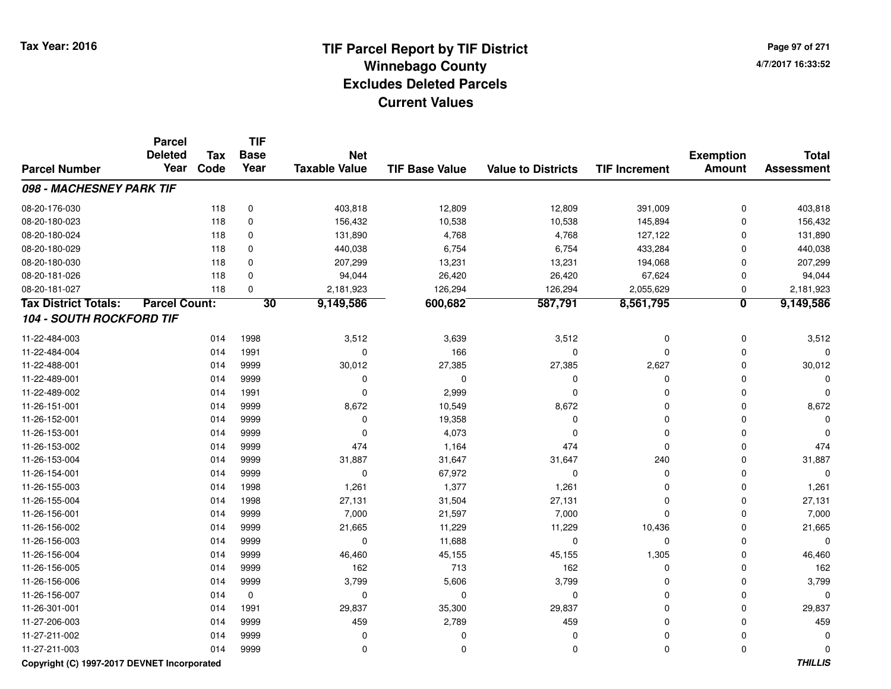**Page 97 of 2714/7/2017 16:33:52**

|                                 | <b>Parcel</b><br><b>Deleted</b> | <b>Tax</b> | <b>TIF</b><br><b>Base</b> | <b>Net</b>           |                       |                           |                      | <b>Exemption</b>        | <b>Total</b>      |
|---------------------------------|---------------------------------|------------|---------------------------|----------------------|-----------------------|---------------------------|----------------------|-------------------------|-------------------|
| <b>Parcel Number</b>            | Year                            | Code       | Year                      | <b>Taxable Value</b> | <b>TIF Base Value</b> | <b>Value to Districts</b> | <b>TIF Increment</b> | <b>Amount</b>           | <b>Assessment</b> |
| 098 - MACHESNEY PARK TIF        |                                 |            |                           |                      |                       |                           |                      |                         |                   |
| 08-20-176-030                   |                                 | 118        | 0                         | 403,818              | 12,809                | 12,809                    | 391,009              | $\mathbf 0$             | 403,818           |
| 08-20-180-023                   |                                 | 118        | 0                         | 156,432              | 10,538                | 10,538                    | 145,894              | $\mathbf 0$             | 156,432           |
| 08-20-180-024                   |                                 | 118        | 0                         | 131,890              | 4,768                 | 4,768                     | 127,122              | $\mathbf 0$             | 131,890           |
| 08-20-180-029                   |                                 | 118        | 0                         | 440,038              | 6,754                 | 6,754                     | 433,284              | $\mathbf 0$             | 440,038           |
| 08-20-180-030                   |                                 | 118        | 0                         | 207,299              | 13,231                | 13,231                    | 194,068              | $\mathbf 0$             | 207,299           |
| 08-20-181-026                   |                                 | 118        | $\mathbf 0$               | 94,044               | 26,420                | 26,420                    | 67,624               | $\mathbf 0$             | 94,044            |
| 08-20-181-027                   |                                 | 118        | $\mathbf 0$               | 2,181,923            | 126,294               | 126,294                   | 2,055,629            | 0                       | 2,181,923         |
| <b>Tax District Totals:</b>     | <b>Parcel Count:</b>            |            | 30                        | 9,149,586            | 600,682               | 587,791                   | 8,561,795            | $\overline{\mathbf{0}}$ | 9,149,586         |
| <b>104 - SOUTH ROCKFORD TIF</b> |                                 |            |                           |                      |                       |                           |                      |                         |                   |
| 11-22-484-003                   |                                 | 014        | 1998                      | 3,512                | 3,639                 | 3,512                     | $\mathbf 0$          | $\mathbf 0$             | 3,512             |
| 11-22-484-004                   |                                 | 014        | 1991                      | 0                    | 166                   | 0                         | 0                    | $\mathbf 0$             |                   |
| 11-22-488-001                   |                                 | 014        | 9999                      | 30,012               | 27,385                | 27,385                    | 2,627                | $\mathbf 0$             | 30,012            |
| 11-22-489-001                   |                                 | 014        | 9999                      | $\mathbf 0$          | $\mathbf 0$           | 0                         | $\Omega$             | $\mathbf 0$             |                   |
| 11-22-489-002                   |                                 | 014        | 1991                      | $\mathbf 0$          | 2,999                 | $\mathbf 0$               | 0                    | $\mathbf 0$             |                   |
| 11-26-151-001                   |                                 | 014        | 9999                      | 8,672                | 10,549                | 8,672                     | $\mathbf 0$          | $\mathbf 0$             | 8,672             |
| 11-26-152-001                   |                                 | 014        | 9999                      | $\mathbf 0$          | 19,358                | $\mathbf 0$               | $\mathbf 0$          | $\mathbf 0$             |                   |
| 11-26-153-001                   |                                 | 014        | 9999                      | $\mathbf 0$          | 4,073                 | $\mathbf 0$               | $\Omega$             | $\mathbf 0$             |                   |
| 11-26-153-002                   |                                 | 014        | 9999                      | 474                  | 1,164                 | 474                       | $\Omega$             | $\mathbf 0$             | 474               |
| 11-26-153-004                   |                                 | 014        | 9999                      | 31,887               | 31,647                | 31,647                    | 240                  | $\mathbf 0$             | 31,887            |
| 11-26-154-001                   |                                 | 014        | 9999                      | $\mathbf 0$          | 67,972                | $\mathbf 0$               | $\mathbf 0$          | $\mathbf 0$             | $\Omega$          |
| 11-26-155-003                   |                                 | 014        | 1998                      | 1,261                | 1,377                 | 1,261                     | $\Omega$             | $\mathbf 0$             | 1,261             |
| 11-26-155-004                   |                                 | 014        | 1998                      | 27,131               | 31,504                | 27,131                    | $\Omega$             | $\mathbf 0$             | 27,131            |
| 11-26-156-001                   |                                 | 014        | 9999                      | 7,000                | 21,597                | 7,000                     | $\Omega$             | $\mathbf 0$             | 7,000             |
| 11-26-156-002                   |                                 | 014        | 9999                      | 21,665               | 11,229                | 11,229                    | 10,436               | $\mathbf 0$             | 21,665            |
| 11-26-156-003                   |                                 | 014        | 9999                      | $\mathbf 0$          | 11,688                | $\mathbf 0$               | $\mathbf 0$          | $\mathbf 0$             | $\Omega$          |
| 11-26-156-004                   |                                 | 014        | 9999                      | 46,460               | 45,155                | 45,155                    | 1,305                | $\mathbf 0$             | 46,460            |
| 11-26-156-005                   |                                 | 014        | 9999                      | 162                  | 713                   | 162                       | $\mathbf 0$          | $\mathbf 0$             | 162               |
| 11-26-156-006                   |                                 | 014        | 9999                      | 3,799                | 5,606                 | 3,799                     | 0                    | $\mathbf 0$             | 3,799             |
| 11-26-156-007                   |                                 | 014        | 0                         | 0                    | 0                     | $\pmb{0}$                 | $\mathbf 0$          | $\mathbf 0$             | $\Omega$          |
| 11-26-301-001                   |                                 | 014        | 1991                      | 29,837               | 35,300                | 29,837                    | $\mathbf 0$          | $\mathbf 0$             | 29,837            |
| 11-27-206-003                   |                                 | 014        | 9999                      | 459                  | 2,789                 | 459                       | $\mathbf 0$          | $\mathbf 0$             | 459               |
| 11-27-211-002                   |                                 | 014        | 9999                      | 0                    | 0                     | $\mathbf 0$               | $\Omega$             | $\mathbf 0$             |                   |
| 11-27-211-003                   |                                 | 014        | 9999                      | 0                    | 0                     | $\mathbf 0$               | $\Omega$             | $\mathbf 0$             | $\Omega$          |

#### **Copyright (C) 1997-2017 DEVNET Incorporated**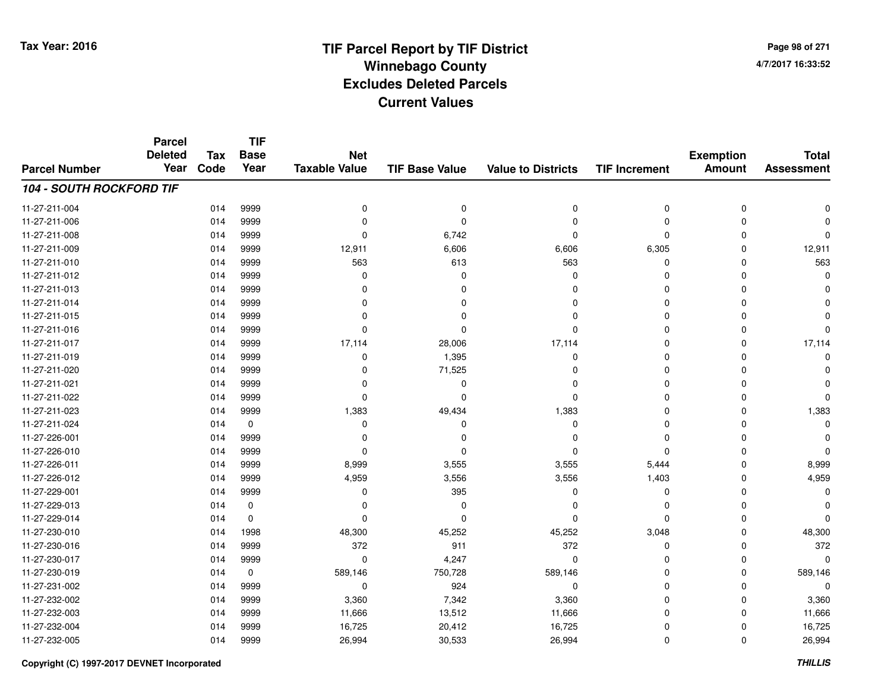**Page 98 of 2714/7/2017 16:33:52**

|                                 | <b>Parcel</b><br><b>Deleted</b> | <b>Tax</b> | <b>TIF</b><br><b>Base</b> | <b>Net</b>           |                       |                           |                      | <b>Exemption</b> | <b>Total</b>      |
|---------------------------------|---------------------------------|------------|---------------------------|----------------------|-----------------------|---------------------------|----------------------|------------------|-------------------|
| <b>Parcel Number</b>            | Year                            | Code       | Year                      | <b>Taxable Value</b> | <b>TIF Base Value</b> | <b>Value to Districts</b> | <b>TIF Increment</b> | <b>Amount</b>    | <b>Assessment</b> |
| <b>104 - SOUTH ROCKFORD TIF</b> |                                 |            |                           |                      |                       |                           |                      |                  |                   |
| 11-27-211-004                   |                                 | 014        | 9999                      | 0                    | $\pmb{0}$             | 0                         | 0                    | 0                | $\Omega$          |
| 11-27-211-006                   |                                 | 014        | 9999                      | 0                    | 0                     | $\mathbf 0$               | 0                    | 0                |                   |
| 11-27-211-008                   |                                 | 014        | 9999                      | 0                    | 6,742                 | 0                         | 0                    | 0                | n                 |
| 11-27-211-009                   |                                 | 014        | 9999                      | 12,911               | 6,606                 | 6,606                     | 6,305                | 0                | 12,911            |
| 11-27-211-010                   |                                 | 014        | 9999                      | 563                  | 613                   | 563                       | 0                    | 0                | 563               |
| 11-27-211-012                   |                                 | 014        | 9999                      | $\Omega$             | $\Omega$              | $\mathbf 0$               | 0                    | 0                | $\Omega$          |
| 11-27-211-013                   |                                 | 014        | 9999                      | $\Omega$             | $\Omega$              | 0                         | 0                    | 0                | ∩                 |
| 11-27-211-014                   |                                 | 014        | 9999                      | 0                    | $\Omega$              | 0                         | 0                    | 0                | ∩                 |
| 11-27-211-015                   |                                 | 014        | 9999                      | $\Omega$             | $\Omega$              | 0                         | 0                    | $\Omega$         |                   |
| 11-27-211-016                   |                                 | 014        | 9999                      | $\Omega$             | $\Omega$              | $\Omega$                  | 0                    | 0                | $\Omega$          |
| 11-27-211-017                   |                                 | 014        | 9999                      | 17,114               | 28,006                | 17,114                    | 0                    | 0                | 17,114            |
| 11-27-211-019                   |                                 | 014        | 9999                      | 0                    | 1,395                 | 0                         | 0                    | 0                | $\Omega$          |
| 11-27-211-020                   |                                 | 014        | 9999                      | $\Omega$             | 71,525                | $\Omega$                  | 0                    | $\Omega$         |                   |
| 11-27-211-021                   |                                 | 014        | 9999                      | $\Omega$             | $\Omega$              | $\Omega$                  | 0                    | $\Omega$         |                   |
| 11-27-211-022                   |                                 | 014        | 9999                      | $\Omega$             | $\Omega$              | $\Omega$                  | 0                    | $\Omega$         | $\Omega$          |
| 11-27-211-023                   |                                 | 014        | 9999                      | 1,383                | 49,434                | 1,383                     | 0                    | 0                | 1,383             |
| 11-27-211-024                   |                                 | 014        | 0                         | $\Omega$             | $\Omega$              | 0                         | 0                    | $\Omega$         | $\Omega$          |
| 11-27-226-001                   |                                 | 014        | 9999                      | $\Omega$             | <sup>0</sup>          | 0                         | 0                    | 0                |                   |
| 11-27-226-010                   |                                 | 014        | 9999                      | 0                    | $\Omega$              | 0                         | 0                    | 0                | $\Omega$          |
| 11-27-226-011                   |                                 | 014        | 9999                      | 8,999                | 3,555                 | 3,555                     | 5,444                | 0                | 8,999             |
| 11-27-226-012                   |                                 | 014        | 9999                      | 4,959                | 3,556                 | 3,556                     | 1,403                | 0                | 4,959             |
| 11-27-229-001                   |                                 | 014        | 9999                      | 0                    | 395                   | 0                         | 0                    | 0                | $\Omega$          |
| 11-27-229-013                   |                                 | 014        | 0                         | 0                    | $\Omega$              | 0                         | 0                    | 0                | O                 |
| 11-27-229-014                   |                                 | 014        | $\mathbf 0$               | $\Omega$             | $\Omega$              | $\mathbf 0$               | 0                    | 0                | $\Omega$          |
| 11-27-230-010                   |                                 | 014        | 1998                      | 48,300               | 45,252                | 45,252                    | 3,048                | 0                | 48,300            |
| 11-27-230-016                   |                                 | 014        | 9999                      | 372                  | 911                   | 372                       | 0                    | 0                | 372               |
| 11-27-230-017                   |                                 | 014        | 9999                      | $\mathbf 0$          | 4,247                 | 0                         | 0                    | 0                | $\Omega$          |
| 11-27-230-019                   |                                 | 014        | $\mathbf 0$               | 589,146              | 750,728               | 589,146                   | 0                    | 0                | 589,146           |
| 11-27-231-002                   |                                 | 014        | 9999                      | 0                    | 924                   | 0                         | 0                    | 0                | $\Omega$          |
| 11-27-232-002                   |                                 | 014        | 9999                      | 3,360                | 7,342                 | 3,360                     | 0                    | 0                | 3,360             |
| 11-27-232-003                   |                                 | 014        | 9999                      | 11,666               | 13,512                | 11,666                    | 0                    | 0                | 11,666            |
| 11-27-232-004                   |                                 | 014        | 9999                      | 16,725               | 20,412                | 16,725                    | 0                    | 0                | 16,725            |
| 11-27-232-005                   |                                 | 014        | 9999                      | 26,994               | 30,533                | 26,994                    | 0                    | 0                | 26,994            |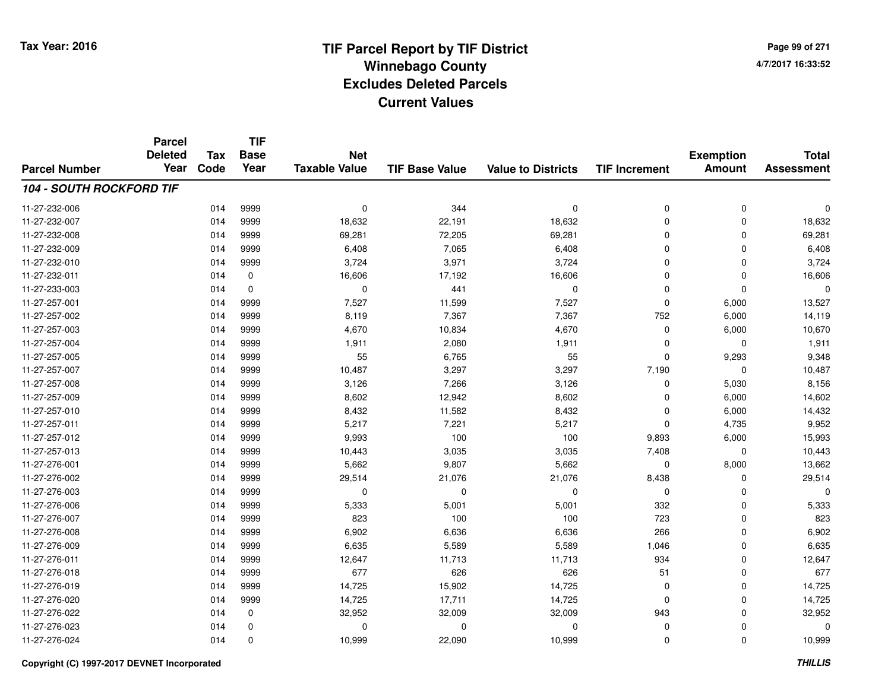**Page 99 of 2714/7/2017 16:33:52**

| <b>Parcel Number</b> | <b>Parcel</b><br><b>Deleted</b><br>Year | <b>Tax</b><br>Code | <b>TIF</b><br><b>Base</b><br>Year | <b>Net</b><br><b>Taxable Value</b> | <b>TIF Base Value</b> | <b>Value to Districts</b> | <b>TIF Increment</b> | <b>Exemption</b><br><b>Amount</b> | <b>Total</b><br><b>Assessment</b> |
|----------------------|-----------------------------------------|--------------------|-----------------------------------|------------------------------------|-----------------------|---------------------------|----------------------|-----------------------------------|-----------------------------------|
|                      |                                         |                    |                                   |                                    |                       |                           |                      |                                   |                                   |
| 11-27-232-006        |                                         | 014                | 9999                              | $\mathbf 0$                        | 344                   | $\mathbf 0$               | $\mathbf 0$          | 0                                 | 0                                 |
| 11-27-232-007        |                                         | 014                | 9999                              | 18,632                             | 22,191                | 18,632                    | $\mathbf 0$          | $\Omega$                          | 18,632                            |
| 11-27-232-008        |                                         | 014                | 9999                              | 69,281                             | 72,205                | 69,281                    | $\mathbf 0$          | $\Omega$                          | 69,281                            |
| 11-27-232-009        |                                         | 014                | 9999                              | 6,408                              | 7,065                 | 6,408                     | $\mathbf 0$          | $\Omega$                          | 6,408                             |
| 11-27-232-010        |                                         | 014                | 9999                              | 3,724                              | 3,971                 | 3,724                     | $\mathbf 0$          | 0                                 | 3,724                             |
| 11-27-232-011        |                                         | 014                | 0                                 | 16,606                             | 17,192                | 16,606                    | $\mathbf 0$          | 0                                 | 16,606                            |
| 11-27-233-003        |                                         | 014                | $\mathbf 0$                       | $\mathbf 0$                        | 441                   | $\mathbf 0$               | $\mathbf 0$          | $\mathbf 0$                       | 0                                 |
| 11-27-257-001        |                                         | 014                | 9999                              | 7,527                              | 11,599                | 7,527                     | $\mathbf 0$          | 6,000                             | 13,527                            |
| 11-27-257-002        |                                         | 014                | 9999                              | 8,119                              | 7,367                 | 7,367                     | 752                  | 6,000                             | 14,119                            |
| 11-27-257-003        |                                         | 014                | 9999                              | 4,670                              | 10,834                | 4,670                     | $\mathbf 0$          | 6,000                             | 10,670                            |
| 11-27-257-004        |                                         | 014                | 9999                              | 1,911                              | 2,080                 | 1,911                     | $\mathbf 0$          | $\Omega$                          | 1,911                             |
| 11-27-257-005        |                                         | 014                | 9999                              | 55                                 | 6,765                 | 55                        | $\mathbf 0$          | 9,293                             | 9,348                             |
| 11-27-257-007        |                                         | 014                | 9999                              | 10,487                             | 3,297                 | 3,297                     | 7,190                | $\mathbf 0$                       | 10,487                            |
| 11-27-257-008        |                                         | 014                | 9999                              | 3,126                              | 7,266                 | 3,126                     | 0                    | 5,030                             | 8,156                             |
| 11-27-257-009        |                                         | 014                | 9999                              | 8,602                              | 12,942                | 8,602                     | $\mathbf 0$          | 6,000                             | 14,602                            |
| 11-27-257-010        |                                         | 014                | 9999                              | 8,432                              | 11,582                | 8,432                     | $\mathbf 0$          | 6,000                             | 14,432                            |
| 11-27-257-011        |                                         | 014                | 9999                              | 5,217                              | 7,221                 | 5,217                     | $\mathbf 0$          | 4,735                             | 9,952                             |
| 11-27-257-012        |                                         | 014                | 9999                              | 9,993                              | 100                   | 100                       | 9,893                | 6,000                             | 15,993                            |
| 11-27-257-013        |                                         | 014                | 9999                              | 10,443                             | 3,035                 | 3,035                     | 7,408                | 0                                 | 10,443                            |
| 11-27-276-001        |                                         | 014                | 9999                              | 5,662                              | 9,807                 | 5,662                     | 0                    | 8,000                             | 13,662                            |
| 11-27-276-002        |                                         | 014                | 9999                              | 29,514                             | 21,076                | 21,076                    | 8,438                | 0                                 | 29,514                            |
| 11-27-276-003        |                                         | 014                | 9999                              | 0                                  | 0                     | $\mathbf 0$               | 0                    | 0                                 | 0                                 |
| 11-27-276-006        |                                         | 014                | 9999                              | 5,333                              | 5,001                 | 5,001                     | 332                  | $\mathbf 0$                       | 5,333                             |
| 11-27-276-007        |                                         | 014                | 9999                              | 823                                | 100                   | 100                       | 723                  | $\mathbf 0$                       | 823                               |
| 11-27-276-008        |                                         | 014                | 9999                              | 6,902                              | 6,636                 | 6,636                     | 266                  | $\mathbf 0$                       | 6,902                             |
| 11-27-276-009        |                                         | 014                | 9999                              | 6,635                              | 5,589                 | 5,589                     | 1,046                | $\mathbf 0$                       | 6,635                             |
| 11-27-276-011        |                                         | 014                | 9999                              | 12,647                             | 11,713                | 11,713                    | 934                  | $\Omega$                          | 12,647                            |
| 11-27-276-018        |                                         | 014                | 9999                              | 677                                | 626                   | 626                       | 51                   | 0                                 | 677                               |
| 11-27-276-019        |                                         | 014                | 9999                              | 14,725                             | 15,902                | 14,725                    | $\mathbf 0$          | $\Omega$                          | 14,725                            |
| 11-27-276-020        |                                         | 014                | 9999                              | 14,725                             | 17,711                | 14,725                    | $\mathbf 0$          | $\Omega$                          | 14,725                            |
| 11-27-276-022        |                                         | 014                | 0                                 | 32,952                             | 32,009                | 32,009                    | 943                  | $\Omega$                          | 32,952                            |
| 11-27-276-023        |                                         | 014                | 0                                 | $\Omega$                           | 0                     | $\mathbf 0$               | $\mathbf 0$          | $\Omega$                          | 0                                 |
| 11-27-276-024        |                                         | 014                | $\mathbf 0$                       | 10,999                             | 22,090                | 10,999                    | $\mathbf 0$          | $\mathbf 0$                       | 10,999                            |

#### **Copyright (C) 1997-2017 DEVNET Incorporated**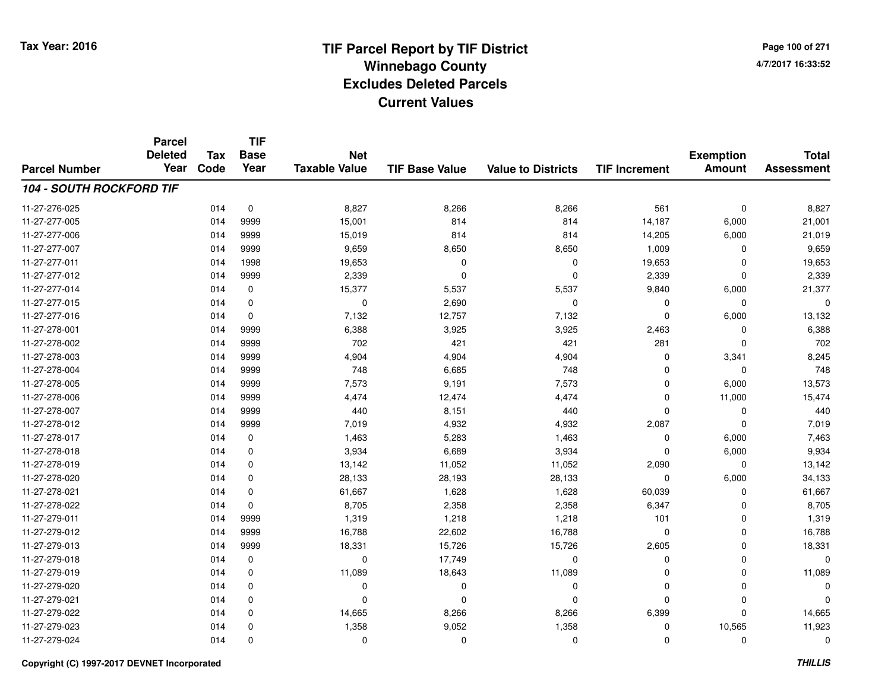**Page 100 of 2714/7/2017 16:33:52**

#### **TIF Base ValueParcel NumberTotal AssessmentExemption Amount Value to Districts TIF IncrementTIF Base YearTax CodeParcel Deleted YearNet Taxable Value104 - SOUTH ROCKFORD TIF**11-27-276-0255 014 0 8,827 8,266 8,266 561 0 8,827 11-27-277-005 <sup>014</sup> 15,001 <sup>9999</sup> <sup>814</sup> <sup>814</sup> 14,187 6,000 21,001 11-27-277-0066 014 9999 15,019 814 814 14,205 6,000 21,019 11-27-277-007 <sup>014</sup> 9,659 <sup>9999</sup> 8,650 8,650 1,009 <sup>0</sup> 9,659 11-27-277-0111 014 1998 19,653 0 0 19,653 0 19,653 11-27-277-012 <sup>014</sup> 2,339 <sup>9999</sup> <sup>0</sup> <sup>0</sup> 2,339 <sup>0</sup> 2,339 11-27-277-014 <sup>014</sup> 15,377 <sup>0</sup> 5,537 5,537 9,840 6,000 21,377 11-27-277-015 <sup>014</sup> <sup>0</sup> <sup>0</sup> 2,690 <sup>0</sup> <sup>0</sup> <sup>0</sup> <sup>0</sup> 11-27-277-0166 014 0 7,132 12,757 7,132 0 6,000 13,132 11-27-278-0011 014 9999 6,388 3,925 3,925 2,463 0 6,388 11-27-278-002 <sup>014</sup> <sup>702</sup> <sup>9999</sup> <sup>421</sup> <sup>421</sup> <sup>281</sup> <sup>0</sup> <sup>702</sup> 11-27-278-003 <sup>014</sup> 4,904 <sup>9999</sup> 4,904 4,904 <sup>0</sup> 3,341 8,245 11-27-278-0044 014 9999 748 6,685 748 0 0 748 11-27-278-005 <sup>014</sup> 7,573 <sup>9999</sup> 9,191 7,573 <sup>0</sup> 6,000 13,573 11-27-278-006 <sup>014</sup> 4,474 <sup>9999</sup> 12,474 4,474 <sup>0</sup> 11,000 15,474 11-27-278-0077 014 9999 440 8,151 440 0 0 440 11-27-278-0122 014 9999 7,019 4,932 4,932 2,087 0 7,019 11-27-278-0177 014 0 1,463 5,283 1,463 0 6,000 7,463 11-27-278-0188 014 0 3,934 6,689 3,934 0 6,000 9,934 11-27-278-0199 014 0 13,142 11,052 11,052 2,090 0 13,142 11-27-278-0200 014 0 28,133 28,193 28,133 0 6,000 34,133 11-27-278-0211 014 0 61,667 1,628 1,628 60,039 0 61,667 11-27-278-0222 014 0 8,705 2,358 2,358 6,347 0 8,705 11-27-279-0111 1 014 9999 1,319 1,218 1,218 101 0 1,319 11-27-279-0122 014 9999 16,788 22,602 16,788 0 0 16,788 11-27-279-0133 014 9999 18,331 15,726 15,726 2,605 0 18,331 11-27-279-018 <sup>014</sup> <sup>0</sup> <sup>0</sup> 17,749 <sup>0</sup> <sup>0</sup> <sup>0</sup> <sup>0</sup> 11-27-279-0199 014 0 11,089 18,643 11,089 0 11,089 11-27-279-020 <sup>014</sup> <sup>0</sup> <sup>0</sup> <sup>0</sup> <sup>0</sup> <sup>0</sup> <sup>0</sup> <sup>0</sup> 11-27-279-021 <sup>014</sup> <sup>0</sup> <sup>0</sup> <sup>0</sup> <sup>0</sup> <sup>0</sup> <sup>0</sup> <sup>0</sup> 11-27-279-0222 014 0 14,665 8,266 8,266 6,399 0 14,665 11-27-279-0233 014 0 1,358 9,052 1,358 0 10,565 11,923 11-27-279-024<sup>014</sup> <sup>0</sup> <sup>0</sup> <sup>0</sup> <sup>0</sup> <sup>0</sup> <sup>0</sup> <sup>0</sup>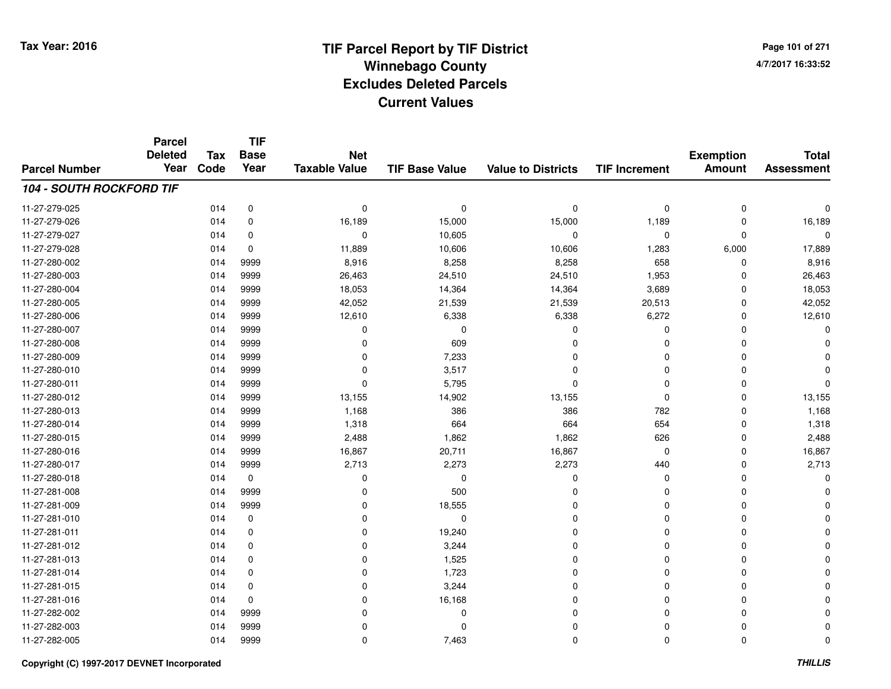**Page 101 of 2714/7/2017 16:33:52**

#### **TIF Base ValueParcel NumberTotal AssessmentExemption Amount Value to Districts TIF IncrementTIF Base YearTax CodeParcel Deleted YearNet Taxable Value104 - SOUTH ROCKFORD TIF**11-27-279-025 <sup>014</sup> <sup>0</sup> <sup>0</sup> <sup>0</sup> <sup>0</sup> <sup>0</sup> <sup>0</sup> <sup>0</sup> 11-27-279-0266 014 0 16,189 15,000 15,000 1,189 0 16,189 11-27-279-027 <sup>014</sup> <sup>0</sup> <sup>0</sup> 10,605 <sup>0</sup> <sup>0</sup> <sup>0</sup> <sup>0</sup> 11-27-279-0288 014 0 11,889 10,606 17,889 11-27-280-0022 014 9999 8,916 8,258 8,258 658 0 8,916 11-27-280-0033 014 9999 26,463 24,510 24,510 1,953 0 26,463 11-27-280-0044 14,364 18,053 18,053 18,053 14,364 14,364 14,364 3,689 0 18,053 11-27-280-005 <sup>014</sup> 42,052 <sup>9999</sup> 21,539 21,539 20,513 <sup>0</sup> 42,052 11-27-280-006 <sup>014</sup> 12,610 <sup>9999</sup> 6,338 6,338 6,272 <sup>0</sup> 12,610 11-27-280-007 <sup>014</sup> <sup>0</sup> <sup>9999</sup> <sup>0</sup> <sup>0</sup> <sup>0</sup> <sup>0</sup> <sup>0</sup> 11-27-280-008 <sup>014</sup> <sup>0</sup> <sup>9999</sup> <sup>609</sup> <sup>0</sup> <sup>0</sup> <sup>0</sup> <sup>0</sup> 11-27-280-0099 014 9999 0 7,233 0 0 0 0 11-27-280-0100 014 9999 0 3,517 0 0 0 0 11-27-280-0111 and the contract of the contract of the contract of the contract of the contract of  $\sim$  0 contract of  $\sim$  0 contract of  $\sim$  0 contract of  $\sim$  0 contract of  $\sim$  0 contract of  $\sim$  0 contract of  $\sim$  0 contract of  $\$ 11-27-280-0122 014 9999 13,155 14,902 13,155 0 0 13,155 11-27-280-0133 014 9999 1,168 386 386 782 0 1,168 11-27-280-0144 014 9999 1,318 664 664 654 0 1,318 11-27-280-0155 014 9999 2,488 1,862 1,862 626 0 2,488 11-27-280-0166 014 9999 16,867 20,711 16,867 0 0 16,867 11-27-280-017 <sup>014</sup> 2,713 <sup>9999</sup> 2,273 2,273 <sup>440</sup> <sup>0</sup> 2,713 11-27-280-018 <sup>014</sup> <sup>0</sup> <sup>0</sup> <sup>0</sup> <sup>0</sup> <sup>0</sup> <sup>0</sup> <sup>0</sup> 11-27-281-008 <sup>014</sup> <sup>0</sup> <sup>9999</sup> <sup>500</sup> <sup>0</sup> <sup>0</sup> <sup>0</sup> <sup>0</sup> 11-27-281-009 <sup>014</sup> <sup>0</sup> <sup>9999</sup> 18,555 <sup>0</sup> <sup>0</sup> <sup>0</sup> <sup>0</sup> 11-27-281-010 <sup>014</sup> <sup>0</sup> <sup>0</sup> <sup>0</sup> <sup>0</sup> <sup>0</sup> <sup>0</sup> <sup>0</sup> 11-27-281-011 <sup>014</sup> <sup>0</sup> <sup>0</sup> 19,240 <sup>0</sup> <sup>0</sup> <sup>0</sup> <sup>0</sup> 11-27-281-012 $2$  014 0 0 0 3,244 0 0 0 0 0 0 11-27-281-0133 014 0 0 0  $1,525$  0 0 0 0 0 11-27-281-014 <sup>014</sup> <sup>0</sup> <sup>0</sup> 1,723 <sup>0</sup> <sup>0</sup> <sup>0</sup> <sup>0</sup> 11-27-281-015 <sup>014</sup> <sup>0</sup> <sup>0</sup> 3,244 <sup>0</sup> <sup>0</sup> <sup>0</sup> <sup>0</sup> 11-27-281-0166 014 0 0 16,168 0 0 0 0 11-27-282-002 <sup>014</sup> <sup>0</sup> <sup>9999</sup> <sup>0</sup> <sup>0</sup> <sup>0</sup> <sup>0</sup> <sup>0</sup> 11-27-282-003 <sup>014</sup> <sup>0</sup> <sup>9999</sup> <sup>0</sup> <sup>0</sup> <sup>0</sup> <sup>0</sup> <sup>0</sup> 11-27-282-0055 014 9999 0 7,463 0 0 0 0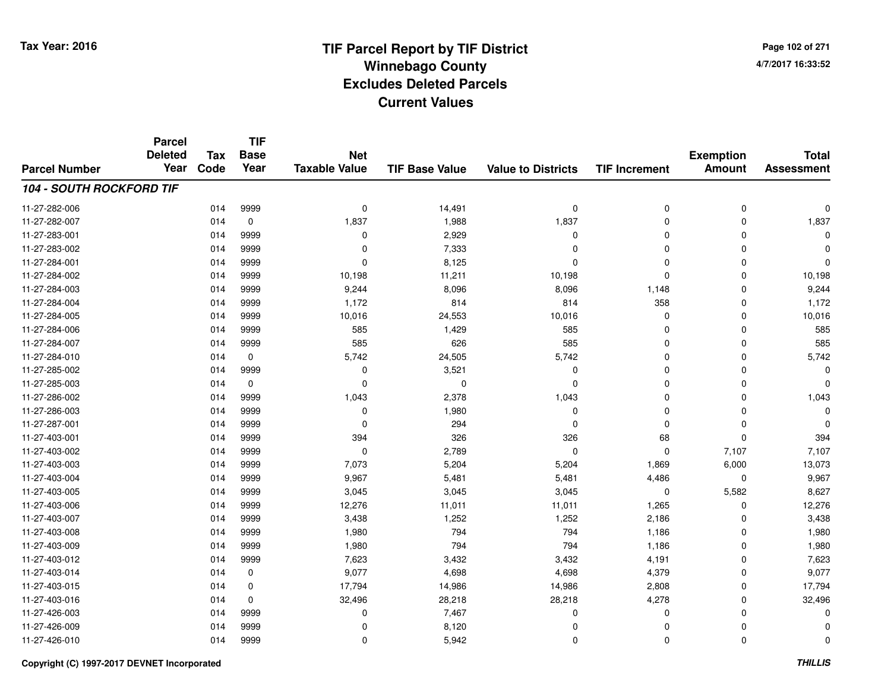**Page 102 of 2714/7/2017 16:33:52**

| <b>Parcel Number</b> | <b>Parcel</b><br><b>Deleted</b><br>Year | Tax<br>Code | <b>TIF</b><br><b>Base</b><br>Year | <b>Net</b><br><b>Taxable Value</b> | <b>TIF Base Value</b> | <b>Value to Districts</b> | <b>TIF Increment</b> | <b>Exemption</b><br><b>Amount</b> | <b>Total</b><br><b>Assessment</b> |
|----------------------|-----------------------------------------|-------------|-----------------------------------|------------------------------------|-----------------------|---------------------------|----------------------|-----------------------------------|-----------------------------------|
|                      |                                         |             |                                   |                                    |                       |                           |                      |                                   |                                   |
| 11-27-282-006        |                                         | 014         | 9999                              | 0                                  | 14,491                | 0                         | 0                    | $\mathbf 0$                       | 0                                 |
| 11-27-282-007        |                                         | 014         | $\pmb{0}$                         | 1,837                              | 1,988                 | 1,837                     | 0                    | $\mathbf 0$                       | 1,837                             |
| 11-27-283-001        |                                         | 014         | 9999                              | 0                                  | 2,929                 | $\Omega$                  | $\mathbf 0$          | $\Omega$                          | $\Omega$                          |
| 11-27-283-002        |                                         | 014         | 9999                              | 0                                  | 7,333                 | $\Omega$                  | $\mathbf 0$          | $\Omega$                          | $\Omega$                          |
| 11-27-284-001        |                                         | 014         | 9999                              | $\Omega$                           | 8,125                 | $\Omega$                  | $\mathbf 0$          | $\mathbf 0$                       | $\Omega$                          |
| 11-27-284-002        |                                         | 014         | 9999                              | 10,198                             | 11,211                | 10,198                    | 0                    | 0                                 | 10,198                            |
| 11-27-284-003        |                                         | 014         | 9999                              | 9,244                              | 8,096                 | 8,096                     | 1,148                | $\mathbf 0$                       | 9,244                             |
| 11-27-284-004        |                                         | 014         | 9999                              | 1,172                              | 814                   | 814                       | 358                  | $\Omega$                          | 1,172                             |
| 11-27-284-005        |                                         | 014         | 9999                              | 10,016                             | 24,553                | 10,016                    | 0                    | $\Omega$                          | 10,016                            |
| 11-27-284-006        |                                         | 014         | 9999                              | 585                                | 1,429                 | 585                       | $\mathbf 0$          | $\Omega$                          | 585                               |
| 11-27-284-007        |                                         | 014         | 9999                              | 585                                | 626                   | 585                       | $\mathbf 0$          | $\Omega$                          | 585                               |
| 11-27-284-010        |                                         | 014         | 0                                 | 5,742                              | 24,505                | 5,742                     | 0                    | $\Omega$                          | 5,742                             |
| 11-27-285-002        |                                         | 014         | 9999                              | 0                                  | 3,521                 | $\Omega$                  | $\mathbf 0$          | $\Omega$                          | 0                                 |
| 11-27-285-003        |                                         | 014         | 0                                 | 0                                  | $\mathbf 0$           | 0                         | 0                    | $\Omega$                          | 0                                 |
| 11-27-286-002        |                                         | 014         | 9999                              | 1,043                              | 2,378                 | 1,043                     | $\mathbf 0$          | $\Omega$                          | 1,043                             |
| 11-27-286-003        |                                         | 014         | 9999                              | 0                                  | 1,980                 | 0                         | 0                    | 0                                 | $\Omega$                          |
| 11-27-287-001        |                                         | 014         | 9999                              | $\mathbf 0$                        | 294                   | $\Omega$                  | 0                    | $\mathbf 0$                       |                                   |
| 11-27-403-001        |                                         | 014         | 9999                              | 394                                | 326                   | 326                       | 68                   | $\mathbf 0$                       | 394                               |
| 11-27-403-002        |                                         | 014         | 9999                              | 0                                  | 2,789                 | $\mathbf 0$               | 0                    | 7,107                             | 7,107                             |
| 11-27-403-003        |                                         | 014         | 9999                              | 7,073                              | 5,204                 | 5,204                     | 1,869                | 6,000                             | 13,073                            |
| 11-27-403-004        |                                         | 014         | 9999                              | 9,967                              | 5,481                 | 5,481                     | 4,486                | $\mathbf 0$                       | 9,967                             |
| 11-27-403-005        |                                         | 014         | 9999                              | 3,045                              | 3,045                 | 3,045                     | 0                    | 5,582                             | 8,627                             |
| 11-27-403-006        |                                         | 014         | 9999                              | 12,276                             | 11,011                | 11,011                    | 1,265                | 0                                 | 12,276                            |
| 11-27-403-007        |                                         | 014         | 9999                              | 3,438                              | 1,252                 | 1,252                     | 2,186                | 0                                 | 3,438                             |
| 11-27-403-008        |                                         | 014         | 9999                              | 1,980                              | 794                   | 794                       | 1,186                | $\mathbf 0$                       | 1,980                             |
| 11-27-403-009        |                                         | 014         | 9999                              | 1,980                              | 794                   | 794                       | 1,186                | $\mathbf 0$                       | 1,980                             |
| 11-27-403-012        |                                         | 014         | 9999                              | 7,623                              | 3,432                 | 3,432                     | 4,191                | $\mathbf 0$                       | 7,623                             |
| 11-27-403-014        |                                         | 014         | 0                                 | 9,077                              | 4,698                 | 4,698                     | 4,379                | 0                                 | 9,077                             |
| 11-27-403-015        |                                         | 014         | 0                                 | 17,794                             | 14,986                | 14,986                    | 2,808                | $\mathbf 0$                       | 17,794                            |
| 11-27-403-016        |                                         | 014         | 0                                 | 32,496                             | 28,218                | 28,218                    | 4,278                | 0                                 | 32,496                            |
| 11-27-426-003        |                                         | 014         | 9999                              | 0                                  | 7,467                 | $\Omega$                  | 0                    | $\Omega$                          | $\Omega$                          |
| 11-27-426-009        |                                         | 014         | 9999                              | 0                                  | 8,120                 | $\Omega$                  | 0                    | 0                                 | $\Omega$                          |
| 11-27-426-010        |                                         | 014         | 9999                              | $\mathbf 0$                        | 5,942                 | $\Omega$                  | 0                    | $\Omega$                          | 0                                 |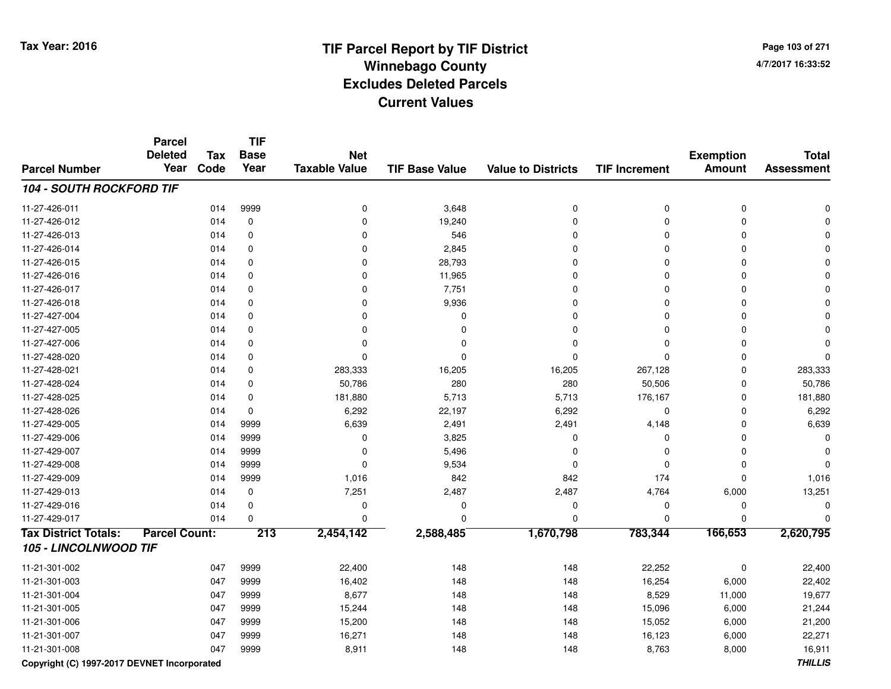**Page 103 of 2714/7/2017 16:33:52**

#### **TIF Base ValueParcel NumberTotal AssessmentExemption Amount Value to Districts TIF IncrementTIF Base YearTax CodeParcel Deleted YearNet Taxable Value104 - SOUTH ROCKFORD TIF**11-27-426-0111 and the contract of the contract of the contract of the contract of the contract of  $\alpha$  of  $\alpha$  of  $\alpha$  of  $\alpha$  of  $\alpha$  of  $\alpha$  of  $\alpha$  of  $\alpha$  of  $\alpha$  of  $\alpha$  of  $\alpha$  of  $\alpha$  of  $\alpha$  of  $\alpha$  of  $\alpha$  of  $\alpha$  of  $\alpha$  of 11-27-426-0122 014 0 0 19,240 0 0 11-27-426-0133 014 0 0 0 546 0 0 0 0 0 0 11-27-426-014 <sup>014</sup> <sup>0</sup> <sup>0</sup> 2,845 <sup>0</sup> <sup>0</sup> <sup>0</sup> <sup>0</sup> 11-27-426-015 <sup>014</sup> <sup>0</sup> <sup>0</sup> 28,793 <sup>0</sup> <sup>0</sup> <sup>0</sup> <sup>0</sup> 11-27-426-0166 014 0 0 11,965 0 0 0 11-27-426-0177 014 0 0 7,751 0 0 11-27-426-018 <sup>014</sup> <sup>0</sup> <sup>0</sup> 9,936 <sup>0</sup> <sup>0</sup> <sup>0</sup> <sup>0</sup> 11-27-427-004 <sup>014</sup> <sup>0</sup> <sup>0</sup> <sup>0</sup> <sup>0</sup> <sup>0</sup> <sup>0</sup> <sup>0</sup> 11-27-427-005 <sup>014</sup> <sup>0</sup> <sup>0</sup> <sup>0</sup> <sup>0</sup> <sup>0</sup> <sup>0</sup> <sup>0</sup> 11-27-427-006 <sup>014</sup> <sup>0</sup> <sup>0</sup> <sup>0</sup> <sup>0</sup> <sup>0</sup> <sup>0</sup> <sup>0</sup> 11-27-428-020 <sup>014</sup> <sup>0</sup> <sup>0</sup> <sup>0</sup> <sup>0</sup> <sup>0</sup> <sup>0</sup> <sup>0</sup> 11-27-428-0211 014 0 283,333 16,205 16,205 267,128 0 283,333 11-27-428-024 <sup>014</sup> 50,786 <sup>0</sup> <sup>280</sup> <sup>280</sup> 50,506 <sup>0</sup> 50,786 11-27-428-0255 014 0 181,880 5,713 5,713 176,167 0 181,880 11-27-428-0266 014 0 6,292 22,197 6,292 0 0 6,292 11-27-429-0055 014 9999 6,639 2,491 2,491 4,148 0 6,639 11-27-429-006 <sup>014</sup> <sup>0</sup> <sup>9999</sup> 3,825 <sup>0</sup> <sup>0</sup> <sup>0</sup> <sup>0</sup> 11-27-429-007 $7$  014 9999 0 0 5,496 0 0 0 0 0 0 11-27-429-0088 014 9999 0 9,534 0 0 0 0 11-27-429-0099 014 9999 1,016 842 842 174 0 1,016 11-27-429-0133 014 0 7,251 2,487 2,487 4,764 6,000 13,251 11-27-429-016 <sup>014</sup> <sup>0</sup> <sup>0</sup> <sup>0</sup> <sup>0</sup> <sup>0</sup> <sup>0</sup> <sup>0</sup> 11-27-429-017 <sup>014</sup> <sup>0</sup> <sup>0</sup> <sup>0</sup> <sup>0</sup> <sup>0</sup> <sup>0</sup> <sup>0</sup> **Tax District Totals: Parcel Count: <sup>213</sup> 2,454,142 2,588,485 1,670,798 783,344 166,653 2,620,795 105 - LINCOLNWOOD TIF**11-21-301-0022 047 9999 22,400 148 148 22,252 0 22,400 11-21-301-0033 047 9999 16,402 148 148 16,254 6,000 22,402 11-21-301-004 <sup>047</sup> 8,677 <sup>9999</sup> <sup>148</sup> <sup>148</sup> 8,529 11,000 19,677 11-21-301-0055 047 9999 15,244 148 148 15,096 6,000 21,244 11-21-301-006 <sup>047</sup> 15,200 <sup>9999</sup> <sup>148</sup> <sup>148</sup> 15,052 6,000 21,200 11-21-301-007 <sup>047</sup> 16,271 <sup>9999</sup> <sup>148</sup> <sup>148</sup> 16,123 6,000 22,271 11-21-301-008<sup>047</sup> 8,911 <sup>9999</sup> <sup>148</sup> <sup>148</sup> 8,763 8,000 16,911

**Copyright (C) 1997-2017 DEVNET Incorporated**

**THILLIS**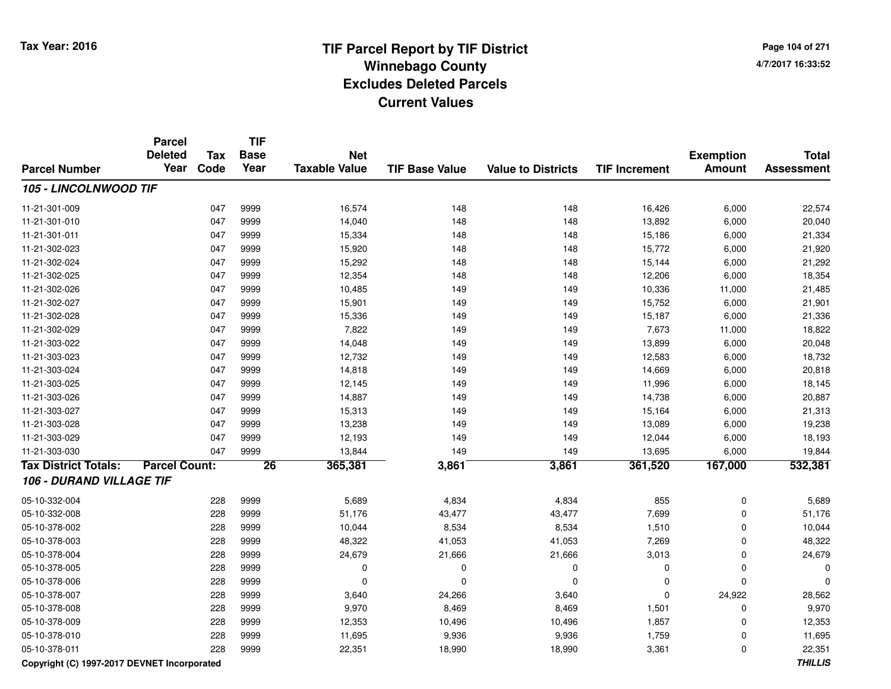**Page 104 of 2714/7/2017 16:33:52**

|                             | <b>Parcel</b><br><b>Deleted</b> | <b>Tax</b> | <b>TIF</b><br><b>Base</b> | <b>Net</b>           |                       |                           |                      | <b>Exemption</b> | <b>Total</b>      |
|-----------------------------|---------------------------------|------------|---------------------------|----------------------|-----------------------|---------------------------|----------------------|------------------|-------------------|
| <b>Parcel Number</b>        | Year                            | Code       | Year                      | <b>Taxable Value</b> | <b>TIF Base Value</b> | <b>Value to Districts</b> | <b>TIF Increment</b> | <b>Amount</b>    | <b>Assessment</b> |
| 105 - LINCOLNWOOD TIF       |                                 |            |                           |                      |                       |                           |                      |                  |                   |
| 11-21-301-009               |                                 | 047        | 9999                      | 16,574               | 148                   | 148                       | 16,426               | 6,000            | 22,574            |
| 11-21-301-010               |                                 | 047        | 9999                      | 14,040               | 148                   | 148                       | 13,892               | 6,000            | 20,040            |
| 11-21-301-011               |                                 | 047        | 9999                      | 15,334               | 148                   | 148                       | 15,186               | 6,000            | 21,334            |
| 11-21-302-023               |                                 | 047        | 9999                      | 15,920               | 148                   | 148                       | 15,772               | 6,000            | 21,920            |
| 11-21-302-024               |                                 | 047        | 9999                      | 15,292               | 148                   | 148                       | 15,144               | 6,000            | 21,292            |
| 11-21-302-025               |                                 | 047        | 9999                      | 12,354               | 148                   | 148                       | 12,206               | 6,000            | 18,354            |
| 11-21-302-026               |                                 | 047        | 9999                      | 10,485               | 149                   | 149                       | 10,336               | 11,000           | 21,485            |
| 11-21-302-027               |                                 | 047        | 9999                      | 15,901               | 149                   | 149                       | 15,752               | 6,000            | 21,901            |
| 11-21-302-028               |                                 | 047        | 9999                      | 15,336               | 149                   | 149                       | 15,187               | 6,000            | 21,336            |
| 11-21-302-029               |                                 | 047        | 9999                      | 7,822                | 149                   | 149                       | 7,673                | 11,000           | 18,822            |
| 11-21-303-022               |                                 | 047        | 9999                      | 14,048               | 149                   | 149                       | 13,899               | 6,000            | 20,048            |
| 11-21-303-023               |                                 | 047        | 9999                      | 12,732               | 149                   | 149                       | 12,583               | 6,000            | 18,732            |
| 11-21-303-024               |                                 | 047        | 9999                      | 14,818               | 149                   | 149                       | 14,669               | 6,000            | 20,818            |
| 11-21-303-025               |                                 | 047        | 9999                      | 12,145               | 149                   | 149                       | 11,996               | 6,000            | 18,145            |
| 11-21-303-026               |                                 | 047        | 9999                      | 14,887               | 149                   | 149                       | 14,738               | 6,000            | 20,887            |
| 11-21-303-027               |                                 | 047        | 9999                      | 15,313               | 149                   | 149                       | 15,164               | 6,000            | 21,313            |
| 11-21-303-028               |                                 | 047        | 9999                      | 13,238               | 149                   | 149                       | 13,089               | 6,000            | 19,238            |
| 11-21-303-029               |                                 | 047        | 9999                      | 12,193               | 149                   | 149                       | 12,044               | 6,000            | 18,193            |
| 11-21-303-030               |                                 | 047        | 9999                      | 13,844               | 149                   | 149                       | 13,695               | 6,000            | 19,844            |
| <b>Tax District Totals:</b> | <b>Parcel Count:</b>            |            | $\overline{26}$           | 365,381              | 3,861                 | 3,861                     | 361,520              | 167,000          | 532,381           |
| 106 - DURAND VILLAGE TIF    |                                 |            |                           |                      |                       |                           |                      |                  |                   |
| 05-10-332-004               |                                 | 228        | 9999                      | 5,689                | 4,834                 | 4,834                     | 855                  | $\mathbf 0$      | 5,689             |
| 05-10-332-008               |                                 | 228        | 9999                      | 51,176               | 43,477                | 43,477                    | 7,699                | $\mathbf{0}$     | 51,176            |
| 05-10-378-002               |                                 | 228        | 9999                      | 10,044               | 8,534                 | 8,534                     | 1,510                | $\mathbf{0}$     | 10,044            |
| 05-10-378-003               |                                 | 228        | 9999                      | 48,322               | 41,053                | 41,053                    | 7,269                | $\mathbf{0}$     | 48,322            |
| 05-10-378-004               |                                 | 228        | 9999                      | 24,679               | 21,666                | 21,666                    | 3,013                | $\mathbf 0$      | 24,679            |
| 05-10-378-005               |                                 | 228        | 9999                      | $\mathbf 0$          | 0                     | 0                         | $\mathbf 0$          | $\mathbf 0$      |                   |
| 05-10-378-006               |                                 | 228        | 9999                      | 0                    | 0                     | 0                         | $\mathbf 0$          | $\mathbf{0}$     |                   |
| 05-10-378-007               |                                 | 228        | 9999                      | 3,640                | 24,266                | 3,640                     | $\mathbf 0$          | 24,922           | 28,562            |
| 05-10-378-008               |                                 | 228        | 9999                      | 9,970                | 8,469                 | 8,469                     | 1,501                | $\mathbf 0$      | 9,970             |
| 05-10-378-009               |                                 | 228        | 9999                      | 12,353               | 10,496                | 10,496                    | 1,857                | $\mathbf 0$      | 12,353            |
| 05-10-378-010               |                                 | 228        | 9999                      | 11,695               | 9,936                 | 9,936                     | 1,759                | $\mathbf 0$      | 11,695            |
| 05-10-378-011               |                                 | 228        | 9999                      | 22,351               | 18,990                | 18,990                    | 3,361                | $\mathbf 0$      | 22,351            |

**Copyright (C) 1997-2017 DEVNET Incorporated**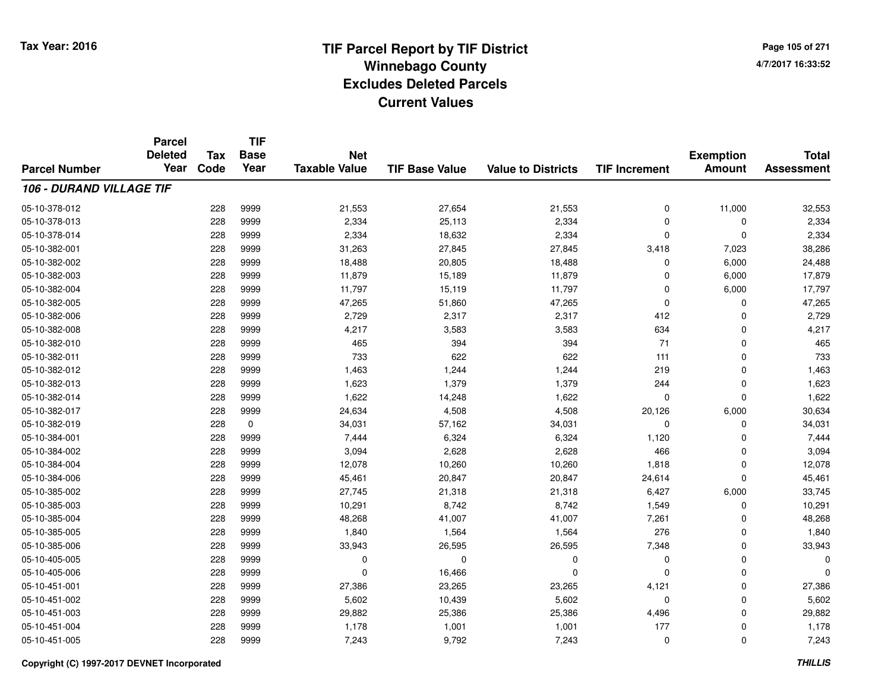**TIF**

**Parcel**

**Page 105 of 2714/7/2017 16:33:52**

#### **TIF Base ValueParcel NumberTotal AssessmentExemption Amount Value to Districts TIF Increment Base YearTax Code Deleted YearNet Taxable Value106 - DURAND VILLAGE TIF**05-10-378-0122 228 9999 21,553 27,654 21,553 0 11,000 32,553 05-10-378-0133 228  $9999$  2,334 25,113 2,334 2,334 0 0 0 2,334 05-10-378-0144 228 9999 2,334 18,632 2,334 2,334 2,334 0 0 0 2,334 05-10-382-0011 228 9999 31,263 27,845 27,845 3,418 7,023 38,286 05-10-382-0022 228 9999 18,488 20,805 18,488 0 6,000 24,488 05-10-382-0033 228 9999 11,879 15,189 11,879 0 6,000 17,879 05-10-382-004 <sup>228</sup> 11,797 <sup>9999</sup> 15,119 11,797 <sup>0</sup> 6,000 17,797 05-10-382-0055 228 9999 47,265 51,860 47,265 0 0 47,265 05-10-382-0066 228 9999 2,729 2,317 2,317 412 0 2,729 05-10-382-008 <sup>228</sup> 4,217 <sup>9999</sup> 3,583 3,583 <sup>634</sup> <sup>0</sup> 4,217 05-10-382-0100 228 9999 465 394 394 71 0 465 05-10-382-0111 228 9999 733 622 622 111 0 733 05-10-382-0122 23 9999 1,463 1,244 1,244 219 219 0 1,463 05-10-382-0133 228 9999 1,623 1,379 1,379 244 0 1,623 05-10-382-0144 228 9999 1,622 14,248 1,622 0 0 1,622 05-10-382-017 <sup>228</sup> 24,634 <sup>9999</sup> 4,508 4,508 20,126 6,000 30,634 05-10-382-0199 228 0 34,031 57,162 34,031 0 0 34,031 05-10-384-0011 228 9999 7,444 6,324 6,324 1,120 0 7,444 05-10-384-0022 228 9999 3,094 2,628 2,628 466 0 3,094 05-10-384-0044 10,260 12,078 12,078 10,260 10,260 1,818 0 1,818 0 12,078 05-10-384-006 <sup>228</sup> 45,461 <sup>9999</sup> 20,847 20,847 24,614 <sup>0</sup> 45,461 05-10-385-0022 228 9999 27,745 21,318 21,318 6,427 6,000 33,745 05-10-385-0033 228 9999 10,291 8,742 8,742 1,549 0 10,291 05-10-385-0044 228 9999 48,268 41,007 41,007 7,261 0 48,268 05-10-385-0055 228 9999 1,840 1,564 1,564 276 0 1,840 05-10-385-0066 228 9999 33,943 26,595 26,595 7,348 0 33,943 05-10-405-005 <sup>228</sup> <sup>0</sup> <sup>9999</sup> <sup>0</sup> <sup>0</sup> <sup>0</sup> <sup>0</sup> <sup>0</sup> 05-10-405-006 <sup>228</sup> <sup>0</sup> <sup>9999</sup> 16,466 <sup>0</sup> <sup>0</sup> <sup>0</sup> <sup>0</sup> 05-10-451-0011 228 9999 27,386 23,265 23,265 4,121 0 27,386 05-10-451-0022 23 9999 5,602 10,439 5,602 5,602 5,602 0 0 5,602 05-10-451-0033 228 9999 29,882 25,386 25,386 4,496 0 29,882 05-10-451-004 <sup>228</sup> 1,178 <sup>9999</sup> 1,001 1,001 <sup>177</sup> <sup>0</sup> 1,178 05-10-451-0055 228 9999 7,243 9,792 7,243 0 7,243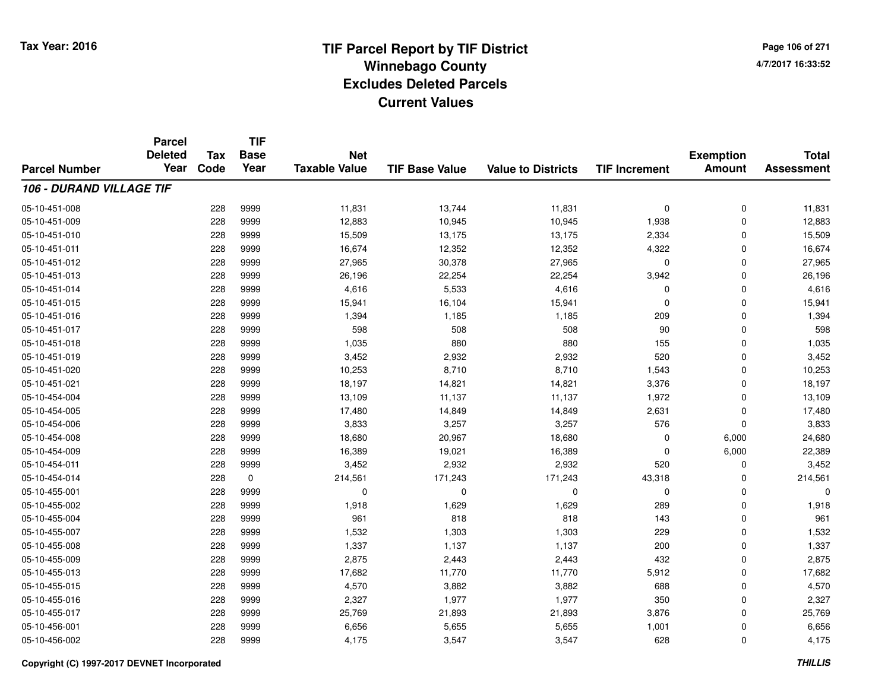**TIF**

**Parcel**

**Page 106 of 2714/7/2017 16:33:52**

#### **TIF Base ValueParcel NumberTotal AssessmentExemption Amount Value to Districts TIF Increment Base YearTax Code Deleted YearNet Taxable Value106 - DURAND VILLAGE TIF**05-10-451-008 <sup>228</sup> 11,831 <sup>9999</sup> 13,744 11,831 <sup>0</sup> <sup>0</sup> 11,831 05-10-451-0099 228 9999 12,883 10,945 10,945 1,938 0 12,883 05-10-451-010 <sup>228</sup> 15,509 <sup>9999</sup> 13,175 13,175 2,334 <sup>0</sup> 15,509 05-10-451-0111 228 9999 16,674 12,352 12,352 4,322 0 16,674 05-10-451-0122 228 9999 27,965 30,378 27,965 0 0 27,965 05-10-451-0133 228 9999 26,196 22,254 22,254 3,942 0 26,196 05-10-451-0144 228 9999 4,616 5,533 4,616 0 4,616 05-10-451-0155 228 9999 15,941 16,104 15,941 0 15,941 05-10-451-0166 228 9999 1,394 1,185 1,185 209 0 1,394 05-10-451-017 <sup>228</sup> <sup>598</sup> <sup>9999</sup> <sup>508</sup> <sup>508</sup> <sup>90</sup> <sup>0</sup> <sup>598</sup> 05-10-451-018 <sup>228</sup> 1,035 <sup>9999</sup> <sup>880</sup> <sup>880</sup> <sup>155</sup> <sup>0</sup> 1,035 05-10-451-019 <sup>228</sup> 3,452 <sup>9999</sup> 2,932 2,932 <sup>520</sup> <sup>0</sup> 3,452 05-10-451-020 <sup>228</sup> 10,253 <sup>9999</sup> 8,710 8,710 1,543 <sup>0</sup> 10,253 05-10-451-0211 228 9999 18,197 14,821 14,821 3,376 0 18,197 05-10-454-004 <sup>228</sup> 13,109 <sup>9999</sup> 11,137 11,137 1,972 <sup>0</sup> 13,109 05-10-454-005 <sup>228</sup> 17,480 <sup>9999</sup> 14,849 14,849 2,631 <sup>0</sup> 17,480 05-10-454-0066 228 9999 3,833 3,257 3,257 576 0 3,833 05-10-454-008 <sup>228</sup> 18,680 <sup>9999</sup> 20,967 18,680 <sup>0</sup> 6,000 24,680 05-10-454-0099 228 9999 16,389 19,021 16,389 0 6,000 22,389 05-10-454-011 <sup>228</sup> 3,452 <sup>9999</sup> 2,932 2,932 <sup>520</sup> <sup>0</sup> 3,452 05-10-454-014 <sup>228</sup> 214,561 <sup>0</sup> 171,243 171,243 43,318 <sup>0</sup> 214,561 05-10-455-001 <sup>228</sup> <sup>0</sup> <sup>9999</sup> <sup>0</sup> <sup>0</sup> <sup>0</sup> <sup>0</sup> <sup>0</sup> 05-10-455-0022 228 9999 1,918 1,629 1,629 289 0 1,918 05-10-455-004 <sup>228</sup> <sup>961</sup> <sup>9999</sup> <sup>818</sup> <sup>818</sup> <sup>143</sup> <sup>0</sup> <sup>961</sup> 05-10-455-007 <sup>228</sup> 1,532 <sup>9999</sup> 1,303 1,303 <sup>229</sup> <sup>0</sup> 1,532 05-10-455-008 <sup>228</sup> 1,337 <sup>9999</sup> 1,137 1,137 <sup>200</sup> <sup>0</sup> 1,337 05-10-455-0099 228 9999 2,875 2,443 2,443 432 0 2,875 05-10-455-013 <sup>228</sup> 17,682 <sup>9999</sup> 11,770 11,770 5,912 <sup>0</sup> 17,682 05-10-455-015 <sup>228</sup> 4,570 <sup>9999</sup> 3,882 3,882 <sup>688</sup> <sup>0</sup> 4,570 05-10-455-016 <sup>228</sup> 2,327 <sup>9999</sup> 1,977 1,977 <sup>350</sup> <sup>0</sup> 2,327 05-10-455-017 <sup>228</sup> 25,769 <sup>9999</sup> 21,893 21,893 3,876 <sup>0</sup> 25,769 05-10-456-0011 228 9999 6,656 5,655 5,655 1,001 0 6,656 05-10-456-002<sup>228</sup> 4,175 <sup>9999</sup> 3,547 3,547 <sup>628</sup> <sup>0</sup> 4,175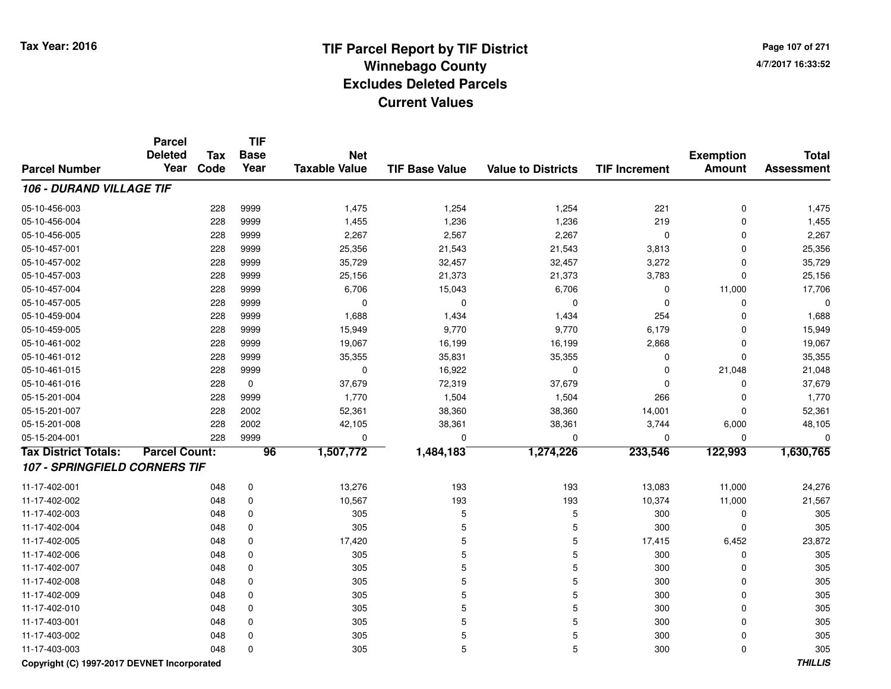**Page 107 of 2714/7/2017 16:33:52**

#### **TIF Base ValueParcel NumberTotal AssessmentExemption Amount Value to Districts TIF IncrementTIF Base YearTax CodeParcel Deleted YearNet Taxable Value106 - DURAND VILLAGE TIF**05-10-456-0033 228 9999 1,475 1,254 1,254 221 0 1,475 05-10-456-0044 228 9999 1,455 1,236 1,236 219 0 1,455 05-10-456-0055 228 9999 2,267 2,567 2,267 0 0 2,267 05-10-457-001 <sup>228</sup> 25,356 <sup>9999</sup> 21,543 21,543 3,813 <sup>0</sup> 25,356 05-10-457-0022 228 9999 35,729 32,457 3,457 3,272 0 35,729 05-10-457-003 <sup>228</sup> 25,156 <sup>9999</sup> 21,373 21,373 3,783 <sup>0</sup> 25,156 05-10-457-004 <sup>228</sup> 6,706 <sup>9999</sup> 15,043 6,706 <sup>0</sup> 11,000 17,706 05-10-457-005 <sup>228</sup> <sup>0</sup> <sup>9999</sup> <sup>0</sup> <sup>0</sup> <sup>0</sup> <sup>0</sup> <sup>0</sup> 05-10-459-004 <sup>228</sup> 1,688 <sup>9999</sup> 1,434 1,434 <sup>254</sup> <sup>0</sup> 1,688 05-10-459-005 <sup>228</sup> 15,949 <sup>9999</sup> 9,770 9,770 6,179 <sup>0</sup> 15,949 05-10-461-002 <sup>228</sup> 19,067 <sup>9999</sup> 16,199 16,199 2,868 <sup>0</sup> 19,067 05-10-461-0122 228 9999 35,355 35,831 35,355 0 35,355 05-10-461-0155 228 9999 0 16,922 0 0 21,048 21,048 05-10-461-0166 228 0 37,679 72,319 37,679 0 0 37,679 05-15-201-004 <sup>228</sup> 1,770 <sup>9999</sup> 1,504 1,504 <sup>266</sup> <sup>0</sup> 1,770 05-15-201-007 <sup>228</sup> 52,361 <sup>2002</sup> 38,360 38,360 14,001 <sup>0</sup> 52,361 05-15-201-0088 228 2002 42,105 38,361 38,361 3,744 6,000 48,105 05-15-204-001 <sup>228</sup> <sup>0</sup> <sup>9999</sup> <sup>0</sup> <sup>0</sup> <sup>0</sup> <sup>0</sup> <sup>0</sup> **Tax District Totals: Parcel Count: <sup>96</sup> 1,507,772 1,484,183 1,274,226 233,546 122,993 1,630,765 107 - SPRINGFIELD CORNERS TIF**11-17-402-0011 048 0 13,276 193 193 13,083 11,000 24,276 11-17-402-002 <sup>048</sup> 10,567 <sup>0</sup> <sup>193</sup> <sup>193</sup> 10,374 11,000 21,567 11-17-402-003 <sup>048</sup> <sup>305</sup> <sup>0</sup> <sup>5</sup> <sup>5</sup> <sup>300</sup> <sup>0</sup> <sup>305</sup> 11-17-402-004 <sup>048</sup> <sup>305</sup> <sup>0</sup> <sup>5</sup> <sup>5</sup> <sup>300</sup> <sup>0</sup> <sup>305</sup> 11-17-402-005 <sup>048</sup> 17,420 <sup>0</sup> <sup>5</sup> <sup>5</sup> 17,415 6,452 23,872 11-17-402-006 <sup>048</sup> <sup>305</sup> <sup>0</sup> <sup>5</sup> <sup>5</sup> <sup>300</sup> <sup>0</sup> <sup>305</sup> 11-17-402-007 <sup>048</sup> <sup>305</sup> <sup>0</sup> <sup>5</sup> <sup>5</sup> <sup>300</sup> <sup>0</sup> <sup>305</sup> 11-17-402-008 <sup>048</sup> <sup>305</sup> <sup>0</sup> <sup>5</sup> <sup>5</sup> <sup>300</sup> <sup>0</sup> <sup>305</sup> 11-17-402-009 <sup>048</sup> <sup>305</sup> <sup>0</sup> <sup>5</sup> <sup>5</sup> <sup>300</sup> <sup>0</sup> <sup>305</sup> 11-17-402-010 <sup>048</sup> <sup>305</sup> <sup>0</sup> <sup>5</sup> <sup>5</sup> <sup>300</sup> <sup>0</sup> <sup>305</sup> 11-17-403-001 <sup>048</sup> <sup>305</sup> <sup>0</sup> <sup>5</sup> <sup>5</sup> <sup>300</sup> <sup>0</sup> <sup>305</sup> 11-17-403-002 <sup>048</sup> <sup>305</sup> <sup>0</sup> <sup>5</sup> <sup>5</sup> <sup>300</sup> <sup>0</sup> <sup>305</sup> 11-17-403-003<sup>048</sup> <sup>305</sup> <sup>0</sup> <sup>5</sup> <sup>5</sup> <sup>300</sup> <sup>0</sup> <sup>305</sup>

#### **Copyright (C) 1997-2017 DEVNET Incorporated**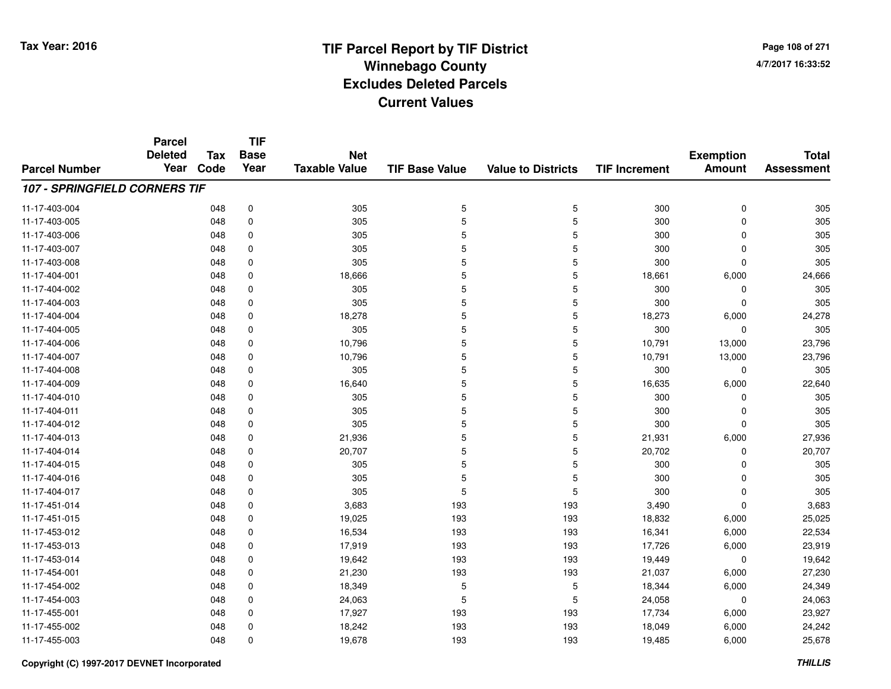**Page 108 of 2714/7/2017 16:33:52**

#### **TIF Base ValueParcel NumberTotal AssessmentExemption Amount Value to Districts TIF IncrementTIF Base YearTax CodeParcel Deleted YearNet Taxable Value107 - SPRINGFIELD CORNERS TIF**11-17-403-004 <sup>048</sup> <sup>305</sup> <sup>0</sup> <sup>5</sup> <sup>5</sup> <sup>300</sup> <sup>0</sup> <sup>305</sup> 11-17-403-005 <sup>048</sup> <sup>305</sup> <sup>0</sup> <sup>5</sup> <sup>5</sup> <sup>300</sup> <sup>0</sup> <sup>305</sup> 11-17-403-006 <sup>048</sup> <sup>305</sup> <sup>0</sup> <sup>5</sup> <sup>5</sup> <sup>300</sup> <sup>0</sup> <sup>305</sup> 11-17-403-007 <sup>048</sup> <sup>305</sup> <sup>0</sup> <sup>5</sup> <sup>5</sup> <sup>300</sup> <sup>0</sup> <sup>305</sup> 11-17-403-008 <sup>048</sup> <sup>305</sup> <sup>0</sup> <sup>5</sup> <sup>5</sup> <sup>300</sup> <sup>0</sup> <sup>305</sup> 11-17-404-0011 048 0 18,666 5 5 18,661 6,000 24,666 11-17-404-002 <sup>048</sup> <sup>305</sup> <sup>0</sup> <sup>5</sup> <sup>5</sup> <sup>300</sup> <sup>0</sup> <sup>305</sup> 11-17-404-003 <sup>048</sup> <sup>305</sup> <sup>0</sup> <sup>5</sup> <sup>5</sup> <sup>300</sup> <sup>0</sup> <sup>305</sup> 11-17-404-004 <sup>048</sup> 18,278 <sup>0</sup> <sup>5</sup> <sup>5</sup> 18,273 6,000 24,278 11-17-404-005 <sup>048</sup> <sup>305</sup> <sup>0</sup> <sup>5</sup> <sup>5</sup> <sup>300</sup> <sup>0</sup> <sup>305</sup> 11-17-404-006 <sup>048</sup> 10,796 <sup>0</sup> <sup>5</sup> <sup>5</sup> 10,791 13,000 23,796 11-17-404-0077 048 0 10,796 5 5 10,791 13,000 23,796 11-17-404-008 <sup>048</sup> <sup>305</sup> <sup>0</sup> <sup>5</sup> <sup>5</sup> <sup>300</sup> <sup>0</sup> <sup>305</sup> 11-17-404-0099 048 0 16,640 5 5 16,635 6,000 22,640 11-17-404-010 <sup>048</sup> <sup>305</sup> <sup>0</sup> <sup>5</sup> <sup>5</sup> <sup>300</sup> <sup>0</sup> <sup>305</sup> 11-17-404-0111 5 300 0 305 5 5 300 0 305 305 11-17-404-012 <sup>048</sup> <sup>305</sup> <sup>0</sup> <sup>5</sup> <sup>5</sup> <sup>300</sup> <sup>0</sup> <sup>305</sup> 11-17-404-0133 048 0 21,936 5 5 21,931 6,000 27,936 11-17-404-0144 20,702 048 0 20,707 5 5 20,702 0 20,707 11-17-404-015 <sup>048</sup> <sup>305</sup> <sup>0</sup> <sup>5</sup> <sup>5</sup> <sup>300</sup> <sup>0</sup> <sup>305</sup> 11-17-404-016 <sup>048</sup> <sup>305</sup> <sup>0</sup> <sup>5</sup> <sup>5</sup> <sup>300</sup> <sup>0</sup> <sup>305</sup> 11-17-404-017 <sup>048</sup> <sup>305</sup> <sup>0</sup> <sup>5</sup> <sup>5</sup> <sup>300</sup> <sup>0</sup> <sup>305</sup> 11-17-451-014 <sup>048</sup> 3,683 <sup>0</sup> <sup>193</sup> <sup>193</sup> 3,490 <sup>0</sup> 3,683 11-17-451-0155 048 0 19,025 193 193 18,832 6,000 25,025 11-17-453-0122 048 0 16,534 193 193 16,341 6,000 22,534 11-17-453-0133 048 0 17,919 193 193 17,726 6,000 23,919 11-17-453-0144 048 0 19,642 193 193 19,449 0 19,642 11-17-454-0011 048 0 21,230 193 193 21,037 6,000 27,230 11-17-454-002 <sup>048</sup> 18,349 <sup>0</sup> <sup>5</sup> <sup>5</sup> 18,344 6,000 24,349 11-17-454-0033 048 0 24,063 5 5 24,058 0 24,063 11-17-455-0011 048 0 17,927 193 193 17,734 6,000 23,927 11-17-455-0022 048 0 18,242 193 193 18,049 6,000 24,242 11-17-455-0033 048 0 19,678 193 193 19,485 6,000 25,678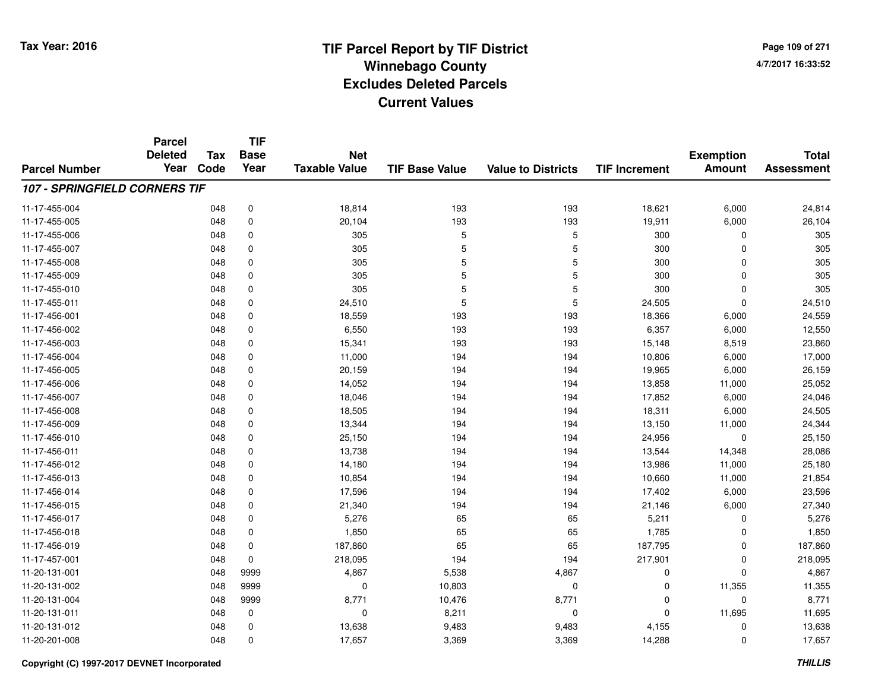**Page 109 of 2714/7/2017 16:33:52**

#### **TIF Base ValueParcel NumberTotal AssessmentExemption Amount Value to Districts TIF IncrementTIF Base YearTax CodeParcel Deleted YearNet Taxable Value107 - SPRINGFIELD CORNERS TIF**11-17-455-0044 18,621 18,814 18,814 193 193 18,621 18,621 6,000 24,814 11-17-455-005 <sup>048</sup> 20,104 <sup>0</sup> <sup>193</sup> <sup>193</sup> 19,911 6,000 26,104 11-17-455-006 <sup>048</sup> <sup>305</sup> <sup>0</sup> <sup>5</sup> <sup>5</sup> <sup>300</sup> <sup>0</sup> <sup>305</sup> 11-17-455-007 <sup>048</sup> <sup>305</sup> <sup>0</sup> <sup>5</sup> <sup>5</sup> <sup>300</sup> <sup>0</sup> <sup>305</sup> 11-17-455-008 <sup>048</sup> <sup>305</sup> <sup>0</sup> <sup>5</sup> <sup>5</sup> <sup>300</sup> <sup>0</sup> <sup>305</sup> 11-17-455-009 <sup>048</sup> <sup>305</sup> <sup>0</sup> <sup>5</sup> <sup>5</sup> <sup>300</sup> <sup>0</sup> <sup>305</sup> 11-17-455-010 <sup>048</sup> <sup>305</sup> <sup>0</sup> <sup>5</sup> <sup>5</sup> <sup>300</sup> <sup>0</sup> <sup>305</sup> 11-17-455-0111 048 0 24,510 5 5 24,505 0 24,510 11-17-456-0011 048 0 18,559 193 193 18,366 6,000 24,559 11-17-456-0022 048 0 6,550 193 193 6,357 6,000 12,550 11-17-456-0033 048 0 15,341 193 193 15,148 8,519 23,860 11-17-456-0044 10,806 6,000 11,000 11,000 194 194 194 10,806 6,000 17,000 11-17-456-0055 048 0 20,159 194 194 19,965 6,000 26,159 11-17-456-0066 048 0 14,052 194 194 13,858 11,000 25,052 11-17-456-007 <sup>048</sup> 18,046 <sup>0</sup> <sup>194</sup> <sup>194</sup> 17,852 6,000 24,046 11-17-456-0088 048 0 18,505 194 194 18,311 6,000 24,505 11-17-456-0099 048 0 13,344 194 194 13,150 11,000 24,344 11-17-456-0100 048 0 25,150 194 194 24,956 0 25,150 11-17-456-0111 048 0 13,738 194 194 13,544 14,348 28,086 11-17-456-012 <sup>048</sup> 14,180 <sup>0</sup> <sup>194</sup> <sup>194</sup> 13,986 11,000 25,180 11-17-456-0133 048 0 10,854 194 194 10,660 11,000 21,854 11-17-456-0144 048 0 17,596 194 194 17,402 6,000 23,596 11-17-456-0155 048 0 21,340 194 194 21,146 6,000 27,340 11-17-456-017 <sup>048</sup> 5,276 <sup>0</sup> <sup>65</sup> <sup>65</sup> 5,211 <sup>0</sup> 5,276 11-17-456-0188 048 0 1,850 65 65 1,785 0 1,850 11-17-456-0199 048 0 187,860 65 65 187,795 0 187,860 11-17-457-0011 048 0 218,095 194 194 217,901 0 218,095 11-20-131-0011 048 9999 4,867 5,538 4,867 0 0 4,867 11-20-131-0022 0 048 0999 0 0 10,803 0 0 0 11,355 11,355 11,355 p 11-20-131-004 <sup>048</sup> 8,771 <sup>9999</sup> 10,476 8,771 <sup>0</sup> <sup>0</sup> 8,771 11-20-131-0111 048 0 0 8,211 0 0 11,695 11,695 11-20-131-0122 048 0 13,638 9,483 9,483 4,155 0 13,638 11-20-201-0088 048 0 17,657 3,369 3,369 14,288 0 17,657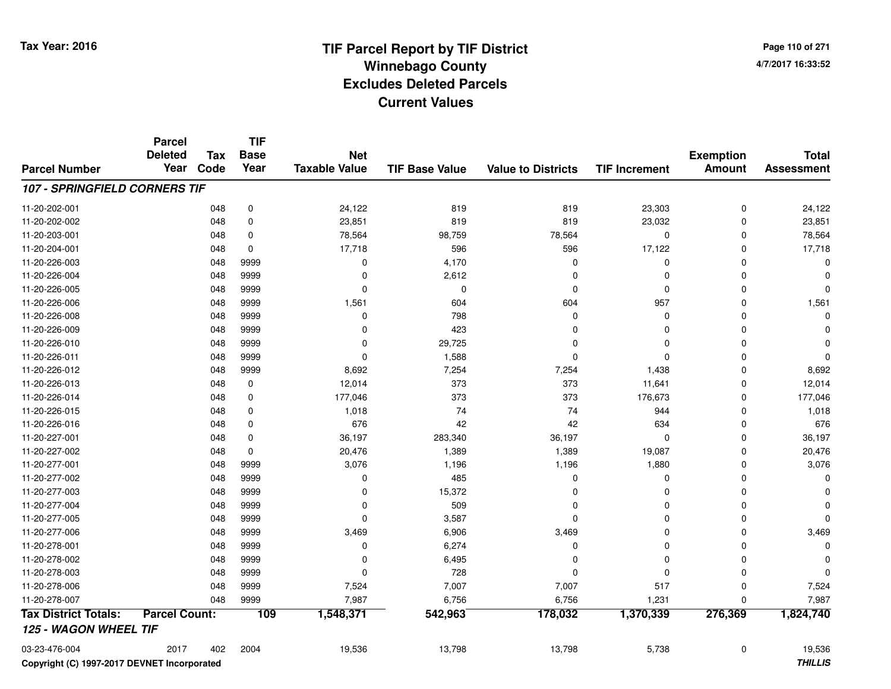**Page 110 of 2714/7/2017 16:33:52**

#### **TIF Base ValueParcel NumberTotal AssessmentExemption Amount Value to Districts TIF IncrementTIF Base YearTax CodeParcel Deleted YearNet Taxable Value107 - SPRINGFIELD CORNERS TIF**11-20-202-0011 048 0 24,122 819 819 23,303 0 24,122 11-20-202-0022 048 0 23,851 819 819 23,032 0 23,851 11-20-203-0011 048 0 78,564 98,759 78,564 0 0 78,564 11-20-204-001 <sup>048</sup> 17,718 <sup>0</sup> <sup>596</sup> <sup>596</sup> 17,122 <sup>0</sup> 17,718 11-20-226-0033 and the contract of the contract of the contract of the contract of the contract of  $\alpha$  of  $\alpha$  of  $\alpha$  of  $\alpha$  of  $\alpha$  of  $\alpha$  of  $\alpha$  of  $\alpha$  of  $\alpha$  of  $\alpha$  of  $\alpha$  of  $\alpha$  of  $\alpha$  of  $\alpha$  of  $\alpha$  of  $\alpha$  of  $\alpha$  of 11-20-226-004 <sup>048</sup> <sup>0</sup> <sup>9999</sup> 2,612 <sup>0</sup> <sup>0</sup> <sup>0</sup> <sup>0</sup> 11-20-226-005 <sup>048</sup> <sup>0</sup> <sup>9999</sup> <sup>0</sup> <sup>0</sup> <sup>0</sup> <sup>0</sup> <sup>0</sup> 11-20-226-0066 048 9999 1,561 604 604 957 0 1,561 11-20-226-008 <sup>048</sup> <sup>0</sup> <sup>9999</sup> <sup>798</sup> <sup>0</sup> <sup>0</sup> <sup>0</sup> <sup>0</sup> 11-20-226-009 <sup>048</sup> <sup>0</sup> <sup>9999</sup> <sup>423</sup> <sup>0</sup> <sup>0</sup> <sup>0</sup> <sup>0</sup> 11-20-226-0100 048 9999 0 29,725 0 0 0 0 11-20-226-0111 048 9999 0 1,588 0 0 0 0 11-20-226-012 <sup>048</sup> 8,692 <sup>9999</sup> 7,254 7,254 1,438 <sup>0</sup> 8,692 11-20-226-0133 048 0 12,014 373 373 11,641 0 12,014 11-20-226-0144 048 0 177,046 373 373 176,673 0 177,046 11-20-226-015 <sup>048</sup> 1,018 <sup>0</sup> <sup>74</sup> <sup>74</sup> <sup>944</sup> <sup>0</sup> 1,018 11-20-226-0166 048 0 676 42 42 634 0 676 11-20-227-0011 048 0 36,197 283,340 36,197 0 0 36,197 11-20-227-0022 048 0 20,476 1,389 1,389 19,087 0 20,476 11-20-277-0011 048 9999 3,076 1,196 1,196 1,880 0 3,076 11-20-277-0022 048 9999 0 485 0 0 0 0 11-20-277-0033 and the contract of the contract of the contract of the contract of the contract of  $\sim$  0 contract of  $\sim$  0 contract of  $\sim$  0 contract of  $\sim$  0 contract of  $\sim$  0 contract of  $\sim$  0 contract of  $\sim$  0 contract of  $\$ 11-20-277-004 <sup>048</sup> <sup>0</sup> <sup>9999</sup> <sup>509</sup> <sup>0</sup> <sup>0</sup> <sup>0</sup> <sup>0</sup> 11-20-277-005 $5$  048 9999 0 0 3,587 0 0 0 0 0 0 11-20-277-006 <sup>048</sup> 3,469 <sup>9999</sup> 6,906 3,469 <sup>0</sup> <sup>0</sup> 3,469 11-20-278-0011 and the contract of the contract of the contract of the contract of the contract of  $6,274$  and  $0$  and  $0$  and  $0$  and  $0$  and  $0$  and  $0$  and  $0$  and  $0$  and  $0$  and  $0$  and  $0$  and  $0$  and  $0$  and  $0$  and  $0$  and  $0$ 11-20-278-002 <sup>048</sup> <sup>0</sup> <sup>9999</sup> 6,495 <sup>0</sup> <sup>0</sup> <sup>0</sup> <sup>0</sup> 11-20-278-0033 048 9999 0 728 0 0 0 0 11-20-278-006 <sup>048</sup> 7,524 <sup>9999</sup> 7,007 7,007 <sup>517</sup> <sup>0</sup> 7,524 11-20-278-007 <sup>048</sup> 7,987 <sup>9999</sup> 6,756 6,756 1,231 <sup>0</sup> 7,987 **Tax District Totals: Parcel Count: <sup>109</sup> 1,548,371 542,963 178,032 1,370,339 276,369 1,824,740 125 - WAGON WHEEL TIF**03-23-476-004<sup>2017</sup> <sup>402</sup> <sup>2004</sup> 19,536 13,798 13,798 5,738 <sup>0</sup> 19,536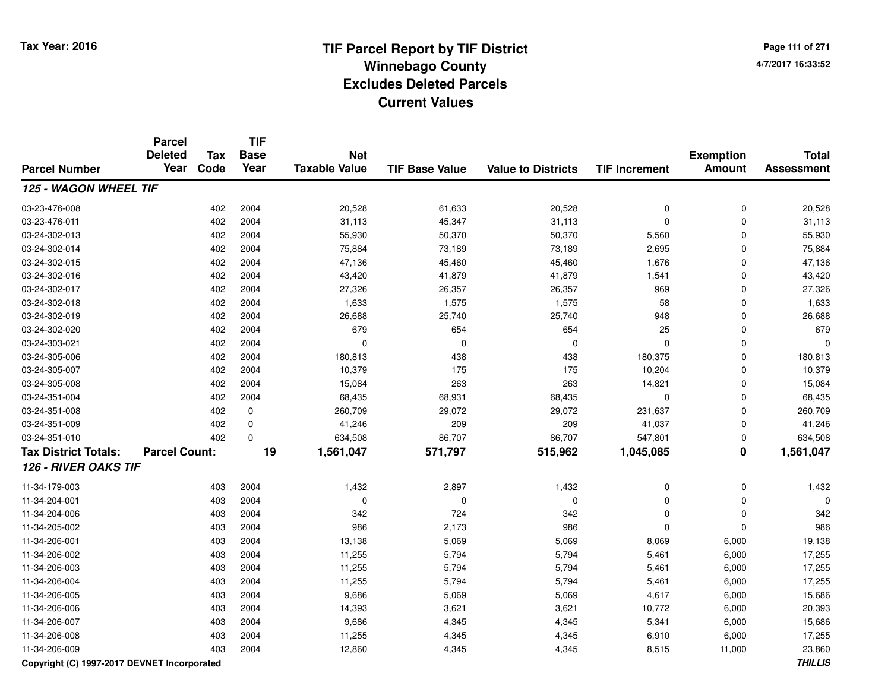**Page 111 of 2714/7/2017 16:33:52**

|                                             | <b>Parcel</b><br><b>Deleted</b> | <b>Tax</b> | <b>TIF</b><br><b>Base</b> | <b>Net</b>           |                       |                           |                      | <b>Exemption</b>        | <b>Total</b>   |
|---------------------------------------------|---------------------------------|------------|---------------------------|----------------------|-----------------------|---------------------------|----------------------|-------------------------|----------------|
| <b>Parcel Number</b>                        | Year                            | Code       | Year                      | <b>Taxable Value</b> | <b>TIF Base Value</b> | <b>Value to Districts</b> | <b>TIF Increment</b> | <b>Amount</b>           | Assessment     |
| 125 - WAGON WHEEL TIF                       |                                 |            |                           |                      |                       |                           |                      |                         |                |
| 03-23-476-008                               |                                 | 402        | 2004                      | 20,528               | 61,633                | 20,528                    | 0                    | $\mathbf 0$             | 20,528         |
| 03-23-476-011                               |                                 | 402        | 2004                      | 31,113               | 45,347                | 31,113                    | 0                    | $\mathbf 0$             | 31,113         |
| 03-24-302-013                               |                                 | 402        | 2004                      | 55,930               | 50,370                | 50,370                    | 5,560                | $\mathbf 0$             | 55,930         |
| 03-24-302-014                               |                                 | 402        | 2004                      | 75,884               | 73,189                | 73,189                    | 2,695                | $\mathbf 0$             | 75,884         |
| 03-24-302-015                               |                                 | 402        | 2004                      | 47,136               | 45,460                | 45,460                    | 1,676                | $\mathbf 0$             | 47,136         |
| 03-24-302-016                               |                                 | 402        | 2004                      | 43,420               | 41,879                | 41,879                    | 1,541                | $\mathbf 0$             | 43,420         |
| 03-24-302-017                               |                                 | 402        | 2004                      | 27,326               | 26,357                | 26,357                    | 969                  | $\mathbf 0$             | 27,326         |
| 03-24-302-018                               |                                 | 402        | 2004                      | 1,633                | 1,575                 | 1,575                     | 58                   | $\Omega$                | 1,633          |
| 03-24-302-019                               |                                 | 402        | 2004                      | 26,688               | 25,740                | 25,740                    | 948                  | 0                       | 26,688         |
| 03-24-302-020                               |                                 | 402        | 2004                      | 679                  | 654                   | 654                       | 25                   | $\mathbf 0$             | 679            |
| 03-24-303-021                               |                                 | 402        | 2004                      | $\Omega$             | $\mathbf 0$           | $\mathbf 0$               | $\mathbf 0$          | $\Omega$                | $\Omega$       |
| 03-24-305-006                               |                                 | 402        | 2004                      | 180,813              | 438                   | 438                       | 180,375              | $\mathbf 0$             | 180,813        |
| 03-24-305-007                               |                                 | 402        | 2004                      | 10,379               | 175                   | 175                       | 10,204               | 0                       | 10,379         |
| 03-24-305-008                               |                                 | 402        | 2004                      | 15,084               | 263                   | 263                       | 14,821               | $\mathbf 0$             | 15,084         |
| 03-24-351-004                               |                                 | 402        | 2004                      | 68,435               | 68,931                | 68,435                    | $\mathbf 0$          | $\mathbf 0$             | 68,435         |
| 03-24-351-008                               |                                 | 402        | $\pmb{0}$                 | 260,709              | 29,072                | 29,072                    | 231,637              | $\mathbf 0$             | 260,709        |
| 03-24-351-009                               |                                 | 402        | 0                         | 41,246               | 209                   | 209                       | 41,037               | $\mathbf 0$             | 41,246         |
| 03-24-351-010                               |                                 | 402        | $\mathbf 0$               | 634,508              | 86,707                | 86,707                    | 547,801              | $\mathbf 0$             | 634,508        |
| <b>Tax District Totals:</b>                 | <b>Parcel Count:</b>            |            | $\overline{19}$           | 1,561,047            | 571,797               | 515,962                   | 1,045,085            | $\overline{\mathbf{0}}$ | 1,561,047      |
| <b>126 - RIVER OAKS TIF</b>                 |                                 |            |                           |                      |                       |                           |                      |                         |                |
| 11-34-179-003                               |                                 | 403        | 2004                      | 1,432                | 2,897                 | 1,432                     | 0                    | $\pmb{0}$               | 1,432          |
| 11-34-204-001                               |                                 | 403        | 2004                      | $\mathbf 0$          | 0                     | 0                         | 0                    | $\pmb{0}$               | $\Omega$       |
| 11-34-204-006                               |                                 | 403        | 2004                      | 342                  | 724                   | 342                       | 0                    | $\mathbf 0$             | 342            |
| 11-34-205-002                               |                                 | 403        | 2004                      | 986                  | 2,173                 | 986                       | 0                    | $\mathbf 0$             | 986            |
| 11-34-206-001                               |                                 | 403        | 2004                      | 13,138               | 5,069                 | 5,069                     | 8,069                | 6,000                   | 19,138         |
| 11-34-206-002                               |                                 | 403        | 2004                      | 11,255               | 5,794                 | 5,794                     | 5,461                | 6,000                   | 17,255         |
| 11-34-206-003                               |                                 | 403        | 2004                      | 11,255               | 5,794                 | 5,794                     | 5,461                | 6,000                   | 17,255         |
| 11-34-206-004                               |                                 | 403        | 2004                      | 11,255               | 5,794                 | 5,794                     | 5,461                | 6,000                   | 17,255         |
| 11-34-206-005                               |                                 | 403        | 2004                      | 9,686                | 5,069                 | 5,069                     | 4,617                | 6,000                   | 15,686         |
| 11-34-206-006                               |                                 | 403        | 2004                      | 14,393               | 3,621                 | 3,621                     | 10,772               | 6,000                   | 20,393         |
| 11-34-206-007                               |                                 | 403        | 2004                      | 9,686                | 4,345                 | 4,345                     | 5,341                | 6,000                   | 15,686         |
| 11-34-206-008                               |                                 | 403        | 2004                      | 11,255               | 4,345                 | 4,345                     | 6,910                | 6,000                   | 17,255         |
| 11-34-206-009                               |                                 | 403        | 2004                      | 12,860               | 4,345                 | 4,345                     | 8,515                | 11,000                  | 23,860         |
| Convright (C) 1997-2017 DEVNET Incorporated |                                 |            |                           |                      |                       |                           |                      |                         | <b>THILLIS</b> |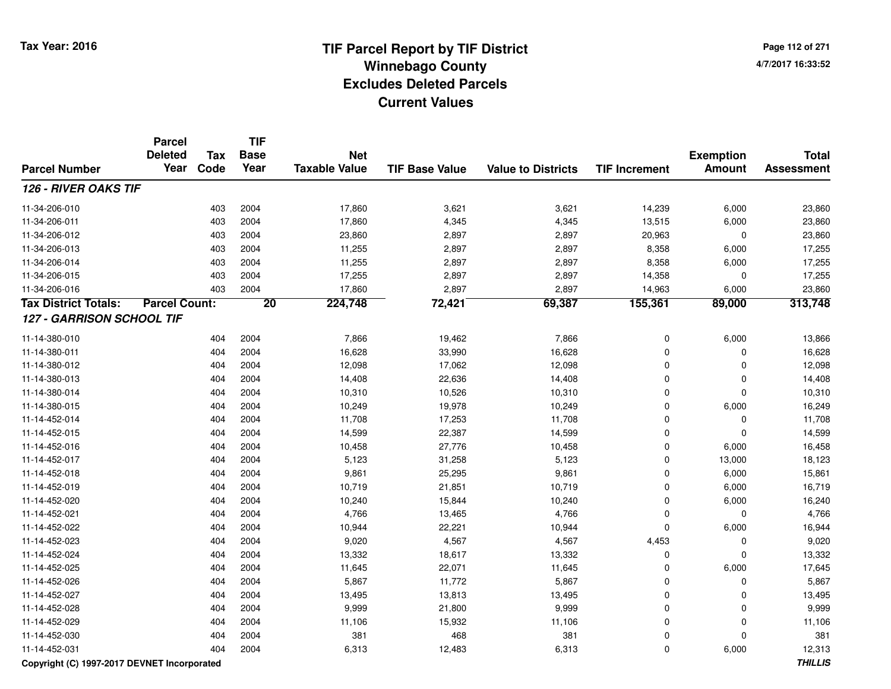**Page 112 of 2714/7/2017 16:33:52**

|                             | <b>Parcel</b><br><b>Deleted</b> | Tax  | <b>TIF</b><br><b>Base</b> | <b>Net</b><br><b>Taxable Value</b> |                       | <b>Value to Districts</b> | <b>TIF Increment</b> | <b>Exemption</b><br><b>Amount</b> | <b>Total</b><br><b>Assessment</b> |
|-----------------------------|---------------------------------|------|---------------------------|------------------------------------|-----------------------|---------------------------|----------------------|-----------------------------------|-----------------------------------|
| <b>Parcel Number</b>        | Year                            | Code | Year                      |                                    | <b>TIF Base Value</b> |                           |                      |                                   |                                   |
| 126 - RIVER OAKS TIF        |                                 |      |                           |                                    |                       |                           |                      |                                   |                                   |
| 11-34-206-010               |                                 | 403  | 2004                      | 17,860                             | 3,621                 | 3,621                     | 14,239               | 6,000                             | 23,860                            |
| 11-34-206-011               |                                 | 403  | 2004                      | 17,860                             | 4,345                 | 4,345                     | 13,515               | 6,000                             | 23,860                            |
| 11-34-206-012               |                                 | 403  | 2004                      | 23,860                             | 2,897                 | 2,897                     | 20,963               | $\mathbf 0$                       | 23,860                            |
| 11-34-206-013               |                                 | 403  | 2004                      | 11,255                             | 2,897                 | 2,897                     | 8,358                | 6,000                             | 17,255                            |
| 11-34-206-014               |                                 | 403  | 2004                      | 11,255                             | 2,897                 | 2,897                     | 8,358                | 6,000                             | 17,255                            |
| 11-34-206-015               |                                 | 403  | 2004                      | 17,255                             | 2,897                 | 2,897                     | 14,358               | 0                                 | 17,255                            |
| 11-34-206-016               |                                 | 403  | 2004                      | 17,860                             | 2,897                 | 2,897                     | 14,963               | 6,000                             | 23,860                            |
| <b>Tax District Totals:</b> | <b>Parcel Count:</b>            |      | $\overline{20}$           | 224,748                            | 72,421                | 69,387                    | 155,361              | 89,000                            | 313,748                           |
| 127 - GARRISON SCHOOL TIF   |                                 |      |                           |                                    |                       |                           |                      |                                   |                                   |
| 11-14-380-010               |                                 | 404  | 2004                      | 7,866                              | 19,462                | 7,866                     | 0                    | 6,000                             | 13,866                            |
| 11-14-380-011               |                                 | 404  | 2004                      | 16,628                             | 33,990                | 16,628                    | $\mathbf 0$          | $\mathbf 0$                       | 16,628                            |
| 11-14-380-012               |                                 | 404  | 2004                      | 12,098                             | 17,062                | 12,098                    | $\mathbf 0$          | $\mathbf 0$                       | 12,098                            |
| 11-14-380-013               |                                 | 404  | 2004                      | 14,408                             | 22,636                | 14,408                    | $\Omega$             | 0                                 | 14,408                            |
| 11-14-380-014               |                                 | 404  | 2004                      | 10,310                             | 10,526                | 10,310                    | 0                    | $\mathbf 0$                       | 10,310                            |
| 11-14-380-015               |                                 | 404  | 2004                      | 10,249                             | 19,978                | 10,249                    | $\mathbf 0$          | 6,000                             | 16,249                            |
| 11-14-452-014               |                                 | 404  | 2004                      | 11,708                             | 17,253                | 11,708                    | $\mathbf 0$          | $\mathbf 0$                       | 11,708                            |
| 11-14-452-015               |                                 | 404  | 2004                      | 14,599                             | 22,387                | 14,599                    | $\mathbf 0$          | $\mathbf{0}$                      | 14,599                            |
| 11-14-452-016               |                                 | 404  | 2004                      | 10,458                             | 27,776                | 10,458                    | $\mathbf 0$          | 6,000                             | 16,458                            |
| 11-14-452-017               |                                 | 404  | 2004                      | 5,123                              | 31,258                | 5,123                     | $\mathbf 0$          | 13,000                            | 18,123                            |
| 11-14-452-018               |                                 | 404  | 2004                      | 9,861                              | 25,295                | 9,861                     | $\mathbf 0$          | 6,000                             | 15,861                            |
| 11-14-452-019               |                                 | 404  | 2004                      | 10,719                             | 21,851                | 10,719                    | $\Omega$             | 6,000                             | 16,719                            |
| 11-14-452-020               |                                 | 404  | 2004                      | 10,240                             | 15,844                | 10,240                    | $\Omega$             | 6,000                             | 16,240                            |
| 11-14-452-021               |                                 | 404  | 2004                      | 4,766                              | 13,465                | 4,766                     | $\Omega$             | $\mathbf{0}$                      | 4,766                             |
| 11-14-452-022               |                                 | 404  | 2004                      | 10,944                             | 22,221                | 10,944                    | $\Omega$             | 6,000                             | 16,944                            |
| 11-14-452-023               |                                 | 404  | 2004                      | 9,020                              | 4,567                 | 4,567                     | 4,453                | 0                                 | 9,020                             |
| 11-14-452-024               |                                 | 404  | 2004                      | 13,332                             | 18,617                | 13,332                    | 0                    | $\mathbf 0$                       | 13,332                            |
| 11-14-452-025               |                                 | 404  | 2004                      | 11,645                             | 22,071                | 11,645                    | 0                    | 6,000                             | 17,645                            |
| 11-14-452-026               |                                 | 404  | 2004                      | 5,867                              | 11,772                | 5,867                     | $\mathbf 0$          | $\mathbf 0$                       | 5,867                             |
| 11-14-452-027               |                                 | 404  | 2004                      | 13,495                             | 13,813                | 13,495                    | 0                    | 0                                 | 13,495                            |
| 11-14-452-028               |                                 | 404  | 2004                      | 9,999                              | 21,800                | 9,999                     | $\mathbf 0$          | $\mathbf 0$                       | 9,999                             |
| 11-14-452-029               |                                 | 404  | 2004                      | 11,106                             | 15,932                | 11,106                    | $\mathbf 0$          | $\mathbf 0$                       | 11,106                            |
| 11-14-452-030               |                                 | 404  | 2004                      | 381                                | 468                   | 381                       | $\mathbf 0$          | $\mathbf{0}$                      | 381                               |
| 11-14-452-031               |                                 | 404  | 2004                      | 6,313                              | 12,483                | 6,313                     | $\Omega$             | 6,000                             | 12,313                            |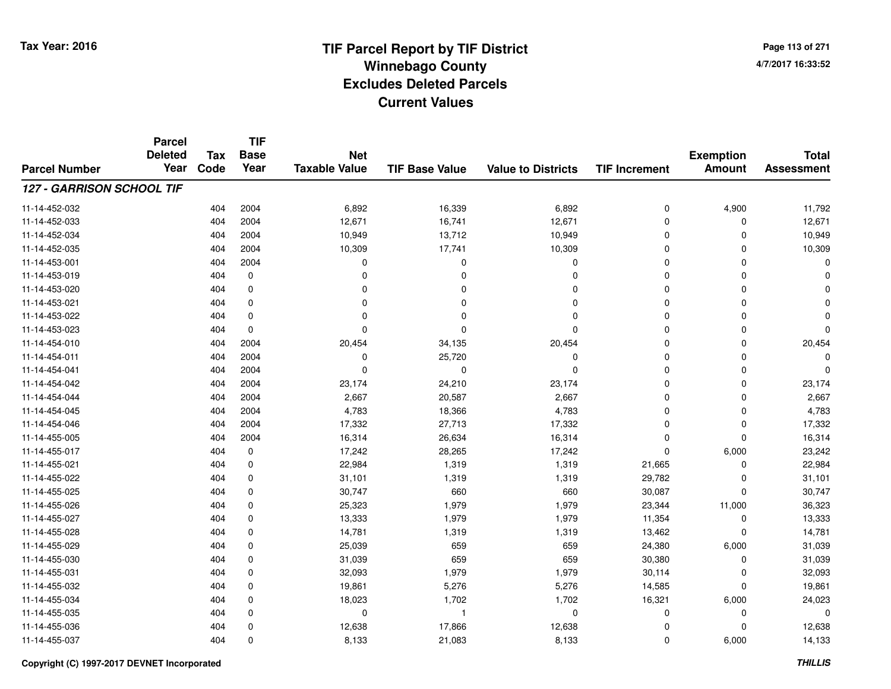**Page 113 of 2714/7/2017 16:33:52**

#### **TIF Base ValueParcel NumberTotal AssessmentExemption Amount Value to Districts TIF IncrementTIF Base YearTax CodeParcel Deleted YearNet Taxable Value127 - GARRISON SCHOOL TIF**11-14-452-0322 2 404 2004 6,892 16,339 6,892 0 4,900 11,792 11-14-452-0333 404 2004 12,671 16,741 12,671 0 0 12,671 11-14-452-034 <sup>404</sup> 10,949 <sup>2004</sup> 13,712 10,949 <sup>0</sup> <sup>0</sup> 10,949 11-14-452-035 <sup>404</sup> 10,309 <sup>2004</sup> 17,741 10,309 <sup>0</sup> <sup>0</sup> 10,309 11-14-453-001 <sup>404</sup> <sup>0</sup> <sup>2004</sup> <sup>0</sup> <sup>0</sup> <sup>0</sup> <sup>0</sup> <sup>0</sup> 11-14-453-019 <sup>404</sup> <sup>0</sup> <sup>0</sup> <sup>0</sup> <sup>0</sup> <sup>0</sup> <sup>0</sup> <sup>0</sup> 11-14-453-020 <sup>404</sup> <sup>0</sup> <sup>0</sup> <sup>0</sup> <sup>0</sup> <sup>0</sup> <sup>0</sup> <sup>0</sup> 11-14-453-021 <sup>404</sup> <sup>0</sup> <sup>0</sup> <sup>0</sup> <sup>0</sup> <sup>0</sup> <sup>0</sup> <sup>0</sup> 11-14-453-022 <sup>404</sup> <sup>0</sup> <sup>0</sup> <sup>0</sup> <sup>0</sup> <sup>0</sup> <sup>0</sup> <sup>0</sup> 11-14-453-023 <sup>404</sup> <sup>0</sup> <sup>0</sup> <sup>0</sup> <sup>0</sup> <sup>0</sup> <sup>0</sup> <sup>0</sup> 11-14-454-0100 404 2004 20,454 34,135 20,454 0 0 20,454 11-14-454-0111 and the contract of the contract of the contract of the contract of the contract of  $26.720$  and  $2004$  of  $2004$  of  $25.720$  and  $25.720$  and  $25.720$  and  $25.720$  and  $25.720$  and  $25.720$  and  $25.720$  and  $25.720$  an 11-14-454-041 <sup>404</sup> <sup>0</sup> <sup>2004</sup> <sup>0</sup> <sup>0</sup> <sup>0</sup> <sup>0</sup> <sup>0</sup> 11-14-454-0422 404 2004 23,174 24,210 23,174 0 0 23,174 11-14-454-0444 404 2004 2,667 20,587 2,667 0 2,667 11-14-454-0455 404 2004 4,783 18,366 4,783 0 0 4,783 11-14-454-046 <sup>404</sup> 17,332 <sup>2004</sup> 27,713 17,332 <sup>0</sup> <sup>0</sup> 17,332 11-14-455-0055 404 2004 16,314 26,634 16,314 0 0 16,314 11-14-455-0177 404 0 17,242 28,265 17,242 0 6,000 23,242 11-14-455-0211 404 0 22,984 1,319 1,319 21,665 0 22,984 11-14-455-022 <sup>404</sup> 31,101 <sup>0</sup> 1,319 1,319 29,782 <sup>0</sup> 31,101 11-14-455-0255 404 0 30,747 660 660 30,087 0 30,747 11-14-455-026 <sup>404</sup> 25,323 <sup>0</sup> 1,979 1,979 23,344 11,000 36,323 11-14-455-027 <sup>404</sup> 13,333 <sup>0</sup> 1,979 1,979 11,354 <sup>0</sup> 13,333 11-14-455-028 <sup>404</sup> 14,781 <sup>0</sup> 1,319 1,319 13,462 <sup>0</sup> 14,781 11-14-455-0299 404 0 25,039 659 659 24,380 6,000 31,039 11-14-455-0300 404 0 31,039 659 659 30,380 0 31,039 11-14-455-0311 404 0 32,093 1,979 1,979 30,114 0 32,093 11-14-455-032 <sup>404</sup> 19,861 <sup>0</sup> 5,276 5,276 14,585 <sup>0</sup> 19,861 11-14-455-034 <sup>404</sup> 18,023 <sup>0</sup> 1,702 1,702 16,321 6,000 24,023 11-14-455-035 <sup>404</sup> <sup>0</sup> <sup>0</sup> <sup>1</sup> <sup>0</sup> <sup>0</sup> <sup>0</sup> <sup>0</sup> 11-14-455-0366 404 0 12,638 17,866 12,638 0 0 12,638 11-14-455-0377 404 0 8,133 21,083 8,133 0 6,000 14,133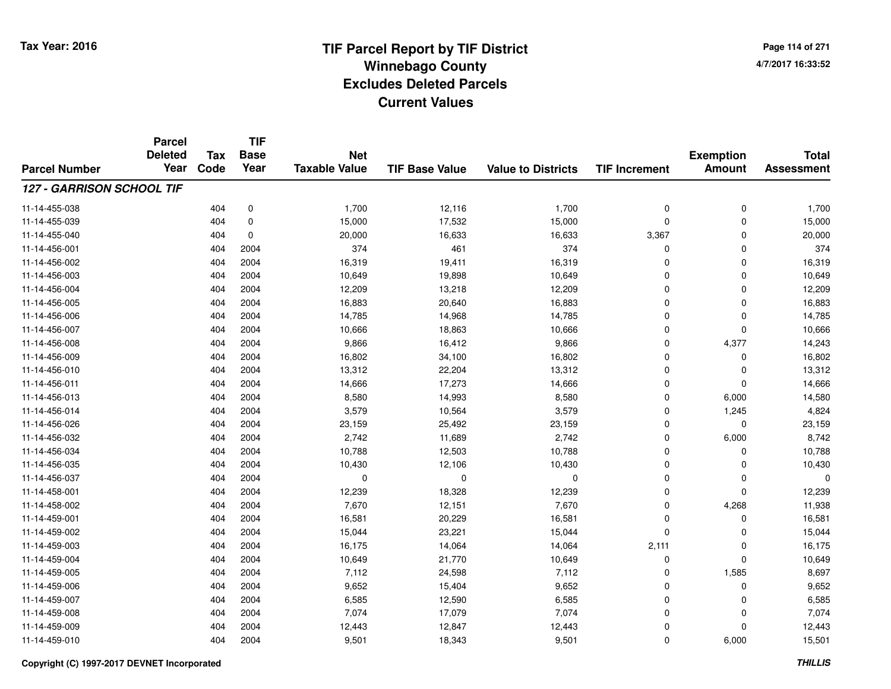**TIF**

**Parcel**

**Page 114 of 2714/7/2017 16:33:52**

#### **TIF Base ValueParcel NumberTotal AssessmentExemption Amount Value to Districts TIF Increment Base YearTax Code Deleted YearNet Taxable Value127 - GARRISON SCHOOL TIF**11-14-455-038 <sup>404</sup> 1,700 <sup>0</sup> 12,116 1,700 <sup>0</sup> <sup>0</sup> 1,700 11-14-455-0399 404 0 15,000 17,532 15,000 0 0 15,000 11-14-455-0400 404 0 20,000 16,633 16,633 3,367 0 20,000 11-14-456-0011 404 2004 374 461 374 0 0 374 11-14-456-0022 404 2004 16,319 19,411 16,319 0 16,319 11-14-456-0033 404 2004 10,649 19,898 10,649 0 0 10,649 11-14-456-004 <sup>404</sup> 12,209 <sup>2004</sup> 13,218 12,209 <sup>0</sup> <sup>0</sup> 12,209 11-14-456-0055 404 2004 16,883 20,640 16,883 0 0 16,883 11-14-456-0066 404 2004 14,785 14,968 14,785 0 0 14,785 11-14-456-007 <sup>404</sup> 10,666 <sup>2004</sup> 18,863 10,666 <sup>0</sup> <sup>0</sup> 10,666 11-14-456-0088 404 2004 9,866 16,412 9,866 0 4,377 14,243 11-14-456-0099 404 2004 16,802 34,100 16,802 0 0 16,802 11-14-456-0100 404 2004 13,312 22,204 13,312 0 0 13,312 11-14-456-0111 404 2004 14,666 17,273 14,666 0 14,666 11-14-456-0133 404 2004 8,580 14,993 8,580 0 6,000 14,580 11-14-456-0144 3,579 1,245 2004 3,579 10,564 3,579 3,579 0 1,245 4,824 11-14-456-026 <sup>404</sup> 23,159 <sup>2004</sup> 25,492 23,159 <sup>0</sup> <sup>0</sup> 23,159 11-14-456-0322 404 2004 2,742 11,689 2,742 0 6,000 8,742 11-14-456-034 <sup>404</sup> 10,788 <sup>2004</sup> 12,503 10,788 <sup>0</sup> <sup>0</sup> 10,788 11-14-456-035 <sup>404</sup> 10,430 <sup>2004</sup> 12,106 10,430 <sup>0</sup> <sup>0</sup> 10,430 11-14-456-037 <sup>404</sup> <sup>0</sup> <sup>2004</sup> <sup>0</sup> <sup>0</sup> <sup>0</sup> <sup>0</sup> <sup>0</sup> 11-14-458-0011 404 2004 12,239 18,328 12,239 0 12,239 11-14-458-002 <sup>404</sup> 7,670 <sup>2004</sup> 12,151 7,670 <sup>0</sup> 4,268 11,938 11-14-459-0011 404 2004 16,581 20,229 16,581 0 16,581 11-14-459-0022 404 2004 15,044 23,221 15,044 0 0 15,044 11-14-459-003 <sup>404</sup> 16,175 <sup>2004</sup> 14,064 14,064 2,111 <sup>0</sup> 16,175 11-14-459-004 <sup>404</sup> 10,649 <sup>2004</sup> 21,770 10,649 <sup>0</sup> <sup>0</sup> 10,649 11-14-459-005 <sup>404</sup> 7,112 <sup>2004</sup> 24,598 7,112 <sup>0</sup> 1,585 8,697 11-14-459-0066 404 2004 9,652 15,404 9,652 0 0 9,652 11-14-459-0077 404 2004 6,585 12,590 6,585 0 0 6,585 11-14-459-008 <sup>404</sup> 7,074 <sup>2004</sup> 17,079 7,074 <sup>0</sup> <sup>0</sup> 7,074 11-14-459-0099 404 2004 12,443 12,847 12,443 0 0 12,443 11-14-459-0100 404 2004 9,501 18,343 9,501 0 6,000 15,501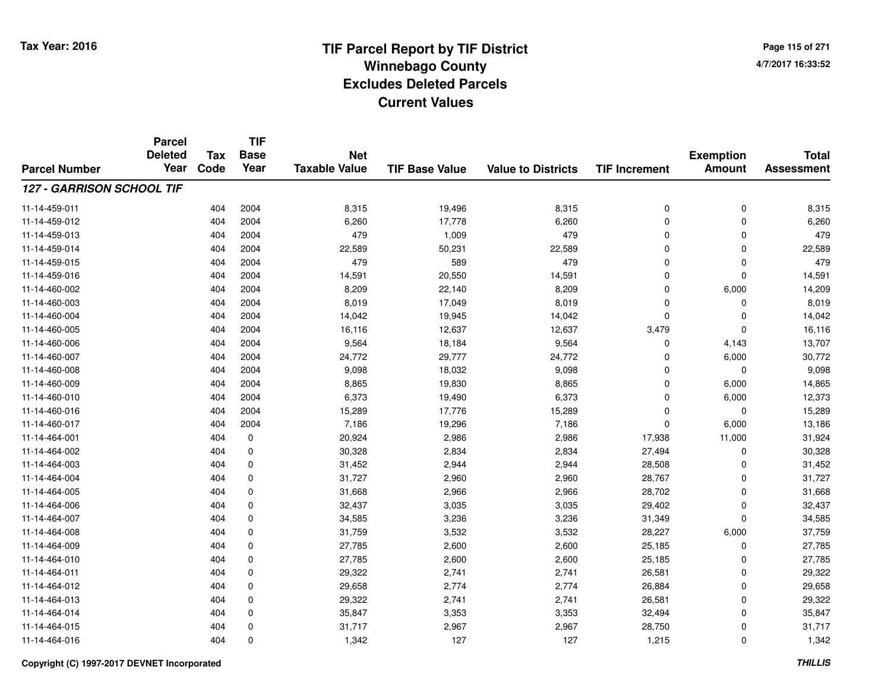**Page 115 of 2714/7/2017 16:33:52**

#### **TIF Base ValueParcel NumberTotal AssessmentExemption Amount Value to Districts TIF IncrementTIF Base YearTax CodeParcel Deleted YearNet Taxable Value127 - GARRISON SCHOOL TIF**11-14-459-0111 404 2004 8,315 19,496 8,315 0 8,315 11-14-459-0122 404 2004 6,260 17,778 6,260 0 0 6,260 11-14-459-0133 404 2004 479 1,009 479 0 0 479 11-14-459-0144 404 2004 22,589 50,231 22,589 0 22,589 11-14-459-015 <sup>404</sup> <sup>479</sup> <sup>2004</sup> <sup>589</sup> <sup>479</sup> <sup>0</sup> <sup>0</sup> <sup>479</sup> 11-14-459-0166 404 2004 14,591 20,550 14,591 0 14,591 11-14-460-0022 404 2004 8,209 22,140 8,209 0 6,000 14,209 11-14-460-0033 404 2004 8,019 17,049 8,019 0 0 8,019 11-14-460-0044 14,042 14,042 14,042 19,945 14,042 14,042 0 0 0 14,042 11-14-460-005 <sup>404</sup> 16,116 <sup>2004</sup> 12,637 12,637 3,479 <sup>0</sup> 16,116 11-14-460-0066 404 2004 9,564 18,184 9,564 0 4,143 13,707 11-14-460-007 <sup>404</sup> 24,772 <sup>2004</sup> 29,777 24,772 <sup>0</sup> 6,000 30,772 11-14-460-008 <sup>404</sup> 9,098 <sup>2004</sup> 18,032 9,098 <sup>0</sup> <sup>0</sup> 9,098 11-14-460-0099 404 2004 8,865 19,830 8,865 0 6,000 14,865 11-14-460-0100 404 2004 6,373 19,490 6,373 0 6,000 12,373 11-14-460-0166 404 2004 15,289 17,776 15,289 0 0 15,289 11-14-460-017 <sup>404</sup> 7,186 <sup>2004</sup> 19,296 7,186 <sup>0</sup> 6,000 13,186 11-14-464-0011 404 0 20,924 2,986 2,986 17,938 11,000 31,924 11-14-464-002 <sup>404</sup> 30,328 <sup>0</sup> 2,834 2,834 27,494 <sup>0</sup> 30,328 11-14-464-0033 404 0 31,452 2,944 2,944 28,508 0 31,452 11-14-464-0044 31,727 2,960 2,960 2,960 2,967 2,977 0 31,727 11-14-464-0055 404 0 31,668 2,966 2,966 28,702 0 31,668 11-14-464-006 <sup>404</sup> 32,437 <sup>0</sup> 3,035 3,035 29,402 <sup>0</sup> 32,437 11-14-464-0077 404 0 34,585 3,236 3,236 31,349 0 34,585 11-14-464-008 <sup>404</sup> 31,759 <sup>0</sup> 3,532 3,532 28,227 6,000 37,759 11-14-464-0099 404 0 27,785 2,600 2,600 25,185 0 27,785 11-14-464-0100 404 0 27,785 2,600 2,600 25,185 0 27,785 11-14-464-0111 404 0 29,322 2,741 2,741 26,581 0 29,322 11-14-464-0122 404 0 29,658 2,774 2,774 26,884 0 29,658 11-14-464-0133 404 0 29,322 2,741 2,741 26,581 0 29,322 11-14-464-0144 33,494 5 404 0 35,847 3,353 3,353 32,494 32,494 32,494 3 11-14-464-0155 404 0 31,717 2,967 2,967 28,750 0 31,717 11-14-464-0166 404 0 1,342 127 127 1,215 0 1,342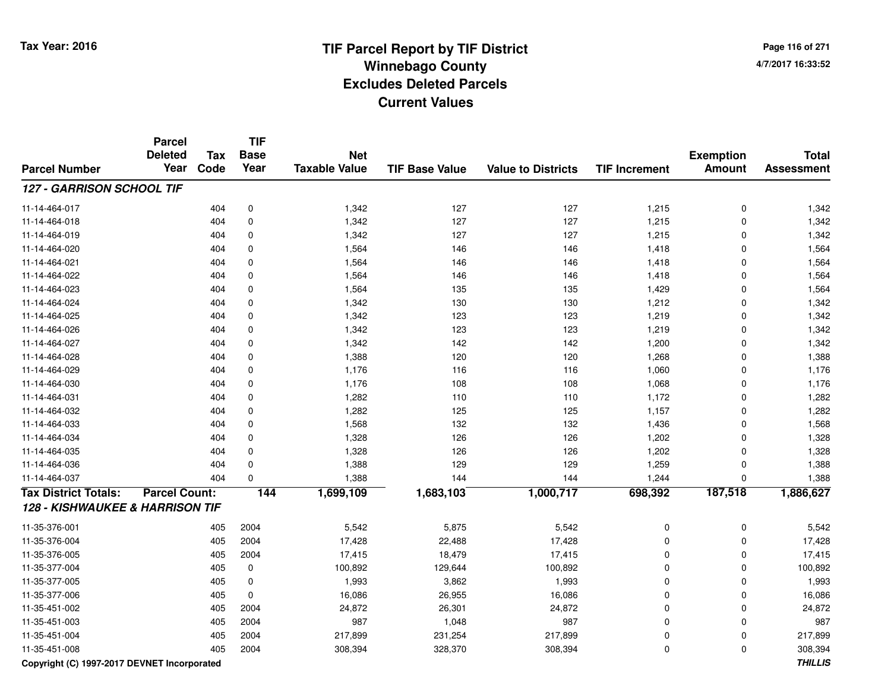**Page 116 of 2714/7/2017 16:33:52**

#### **TIF Base ValueParcel NumberTotal AssessmentExemption Amount Value to Districts TIF IncrementTIF Base YearTax CodeParcel Deleted YearNet Taxable Value127 - GARRISON SCHOOL TIF**11-14-464-017 <sup>404</sup> 1,342 <sup>0</sup> <sup>127</sup> <sup>127</sup> 1,215 <sup>0</sup> 1,342 11-14-464-0188 404 0 1,342 127 1,215 1,342 11-14-464-0199 404 0 1,342 127 127 1,215 0 1,342 11-14-464-0200 404 0 1,564 146 146 1,418 0 1,564 11-14-464-0211 404 0 1,564 146 1,418 0 1,564 11-14-464-0222 404 0 1,564 146 1,418 0 1,564 11-14-464-0233 404 0 1,564 135 1,429 0 1,564 11-14-464-0244 130 1,212 0 1,342 130 130 130 1,212 0 1,342 11-14-464-025 <sup>404</sup> 1,342 <sup>0</sup> <sup>123</sup> <sup>123</sup> 1,219 <sup>0</sup> 1,342 11-14-464-0266 404 0 1,342 123 123 1,219 0 1,342 11-14-464-0277 404 0 1,342 142 142 1,200 0 1,342 11-14-464-0288 404 0 1,388 120 120 1,268 0 1,388 11-14-464-0299 404 0 1,176 116 116 1,060 0 1,176 11-14-464-0300 404 0 1,176 108 108 1,068 0 1,176 11-14-464-0311 404 0 1,282 110 110 1,172 0 1,282 11-14-464-032 <sup>404</sup> 1,282 <sup>0</sup> <sup>125</sup> <sup>125</sup> 1,157 <sup>0</sup> 1,282 11-14-464-0333 404 0 1,568 132 1,432 1,436 0 1,568 11-14-464-0344 404 0 1,328 126 126 1,202 0 1,328 11-14-464-0355 404 0 1,328 126 126 1,202 0 1,328 11-14-464-0366 404 0 1,388 129 129 1,259 0 1,388 11-14-464-037 <sup>404</sup> 1,388 <sup>0</sup> <sup>144</sup> <sup>144</sup> 1,244 <sup>0</sup> 1,388 **Tax District Totals: Parcel Count: <sup>144</sup> 1,699,109 1,683,103 1,000,717 698,392 187,518 1,886,627 128 - KISHWAUKEE & HARRISON TIF**11-35-376-0011 405 2004 5,542 5,875 5,542 0 0 5,542 11-35-376-004 <sup>405</sup> 17,428 <sup>2004</sup> 22,488 17,428 <sup>0</sup> <sup>0</sup> 17,428 11-35-376-005 <sup>405</sup> 17,415 <sup>2004</sup> 18,479 17,415 <sup>0</sup> <sup>0</sup> 17,415 11-35-377-0044 405 0 100,892 129,644 100,892 0 0 100,892 11-35-377-0055 405 0 1,993 3,862 1,993 0 0 1,993 11-35-377-0066 405 0 16,086 26,955 16,086 0 0 16,086 11-35-451-0022 405 2004 24,872 26,301 24,872 0 0 24,872 11-35-451-0033 405 2004 987 1,048 987 0 0 987 11-35-451-004 <sup>405</sup> 217,899 <sup>2004</sup> 231,254 217,899 <sup>0</sup> <sup>0</sup> 217,899 11-35-451-008<sup>405</sup> 308,394 <sup>2004</sup> 328,370 308,394 <sup>0</sup> <sup>0</sup> 308,394

**Copyright (C) 1997-2017 DEVNET Incorporated**

**THILLIS**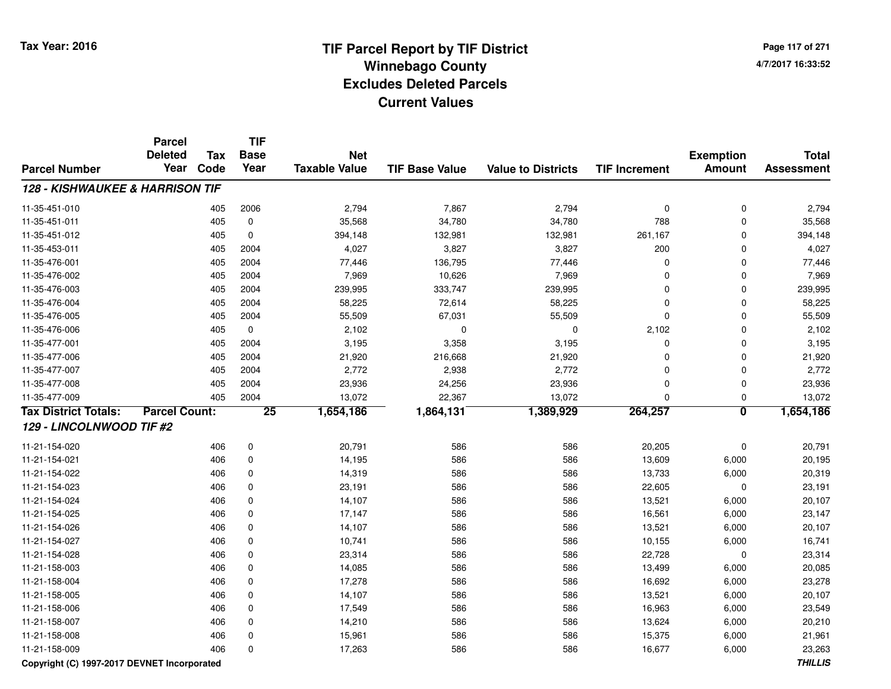**Page 117 of 2714/7/2017 16:33:52**

|                                            | <b>Parcel</b><br><b>Deleted</b><br>Year | <b>Tax</b> | <b>TIF</b><br><b>Base</b> | <b>Net</b>           |                       |                           |                      | <b>Exemption</b>        | <b>Total</b>      |
|--------------------------------------------|-----------------------------------------|------------|---------------------------|----------------------|-----------------------|---------------------------|----------------------|-------------------------|-------------------|
| <b>Parcel Number</b>                       |                                         | Code       | Year                      | <b>Taxable Value</b> | <b>TIF Base Value</b> | <b>Value to Districts</b> | <b>TIF Increment</b> | <b>Amount</b>           | <b>Assessment</b> |
| <b>128 - KISHWAUKEE &amp; HARRISON TIF</b> |                                         |            |                           |                      |                       |                           |                      |                         |                   |
| 11-35-451-010                              |                                         | 405        | 2006                      | 2,794                | 7,867                 | 2,794                     | 0                    | $\pmb{0}$               | 2,794             |
| 11-35-451-011                              |                                         | 405        | $\mathbf 0$               | 35,568               | 34,780                | 34,780                    | 788                  | 0                       | 35,568            |
| 11-35-451-012                              |                                         | 405        | $\mathbf 0$               | 394,148              | 132,981               | 132,981                   | 261,167              | 0                       | 394,148           |
| 11-35-453-011                              |                                         | 405        | 2004                      | 4,027                | 3,827                 | 3,827                     | 200                  | 0                       | 4,027             |
| 11-35-476-001                              |                                         | 405        | 2004                      | 77,446               | 136,795               | 77,446                    | 0                    | 0                       | 77,446            |
| 11-35-476-002                              |                                         | 405        | 2004                      | 7,969                | 10,626                | 7,969                     | 0                    | 0                       | 7,969             |
| 11-35-476-003                              |                                         | 405        | 2004                      | 239,995              | 333,747               | 239,995                   | 0                    | 0                       | 239,995           |
| 11-35-476-004                              |                                         | 405        | 2004                      | 58,225               | 72,614                | 58,225                    | 0                    | $\mathbf 0$             | 58,225            |
| 11-35-476-005                              |                                         | 405        | 2004                      | 55,509               | 67,031                | 55,509                    | 0                    | $\mathbf 0$             | 55,509            |
| 11-35-476-006                              |                                         | 405        | $\mathbf 0$               | 2,102                | 0                     | 0                         | 2,102                | 0                       | 2,102             |
| 11-35-477-001                              |                                         | 405        | 2004                      | 3,195                | 3,358                 | 3,195                     | 0                    | $\mathbf 0$             | 3,195             |
| 11-35-477-006                              |                                         | 405        | 2004                      | 21,920               | 216,668               | 21,920                    | 0                    | 0                       | 21,920            |
| 11-35-477-007                              |                                         | 405        | 2004                      | 2,772                | 2,938                 | 2,772                     | 0                    | $\mathbf 0$             | 2,772             |
| 11-35-477-008                              |                                         | 405        | 2004                      | 23,936               | 24,256                | 23,936                    | 0                    | $\mathbf 0$             | 23,936            |
| 11-35-477-009                              |                                         | 405        | 2004                      | 13,072               | 22,367                | 13,072                    | 0                    | 0                       | 13,072            |
| <b>Tax District Totals:</b>                | <b>Parcel Count:</b>                    |            | $\overline{25}$           | 1,654,186            | 1,864,131             | 1,389,929                 | 264,257              | $\overline{\mathbf{0}}$ | 1,654,186         |
| 129 - LINCOLNWOOD TIF #2                   |                                         |            |                           |                      |                       |                           |                      |                         |                   |
| 11-21-154-020                              |                                         | 406        | $\pmb{0}$                 | 20,791               | 586                   | 586                       | 20,205               | $\pmb{0}$               | 20,791            |
| 11-21-154-021                              |                                         | 406        | $\mathbf 0$               | 14,195               | 586                   | 586                       | 13,609               | 6,000                   | 20,195            |
| 11-21-154-022                              |                                         | 406        | $\mathbf 0$               | 14,319               | 586                   | 586                       | 13,733               | 6,000                   | 20,319            |
| 11-21-154-023                              |                                         | 406        | $\mathbf 0$               | 23,191               | 586                   | 586                       | 22,605               | $\mathbf 0$             | 23,191            |
| 11-21-154-024                              |                                         | 406        | $\mathbf 0$               | 14,107               | 586                   | 586                       | 13,521               | 6,000                   | 20,107            |
| 11-21-154-025                              |                                         | 406        | $\mathbf 0$               | 17,147               | 586                   | 586                       | 16,561               | 6,000                   | 23,147            |
| 11-21-154-026                              |                                         | 406        | $\mathbf 0$               | 14,107               | 586                   | 586                       | 13,521               | 6,000                   | 20,107            |
| 11-21-154-027                              |                                         | 406        | $\mathbf 0$               | 10,741               | 586                   | 586                       | 10,155               | 6,000                   | 16,741            |
| 11-21-154-028                              |                                         | 406        | $\mathbf 0$               | 23,314               | 586                   | 586                       | 22,728               | $\mathbf 0$             | 23,314            |
| 11-21-158-003                              |                                         | 406        | 0                         | 14,085               | 586                   | 586                       | 13,499               | 6,000                   | 20,085            |
| 11-21-158-004                              |                                         | 406        | 0                         | 17,278               | 586                   | 586                       | 16,692               | 6,000                   | 23,278            |
| 11-21-158-005                              |                                         | 406        | $\mathbf 0$               | 14,107               | 586                   | 586                       | 13,521               | 6,000                   | 20,107            |
| 11-21-158-006                              |                                         | 406        | $\mathbf 0$               | 17,549               | 586                   | 586                       | 16,963               | 6,000                   | 23,549            |
| 11-21-158-007                              |                                         | 406        | $\mathbf 0$               | 14,210               | 586                   | 586                       | 13,624               | 6,000                   | 20,210            |
| 11-21-158-008                              |                                         | 406        | $\Omega$                  | 15,961               | 586                   | 586                       | 15,375               | 6,000                   | 21,961            |
| 11-21-158-009                              |                                         | 406        | $\mathbf 0$               | 17,263               | 586                   | 586                       | 16,677               | 6,000                   | 23,263            |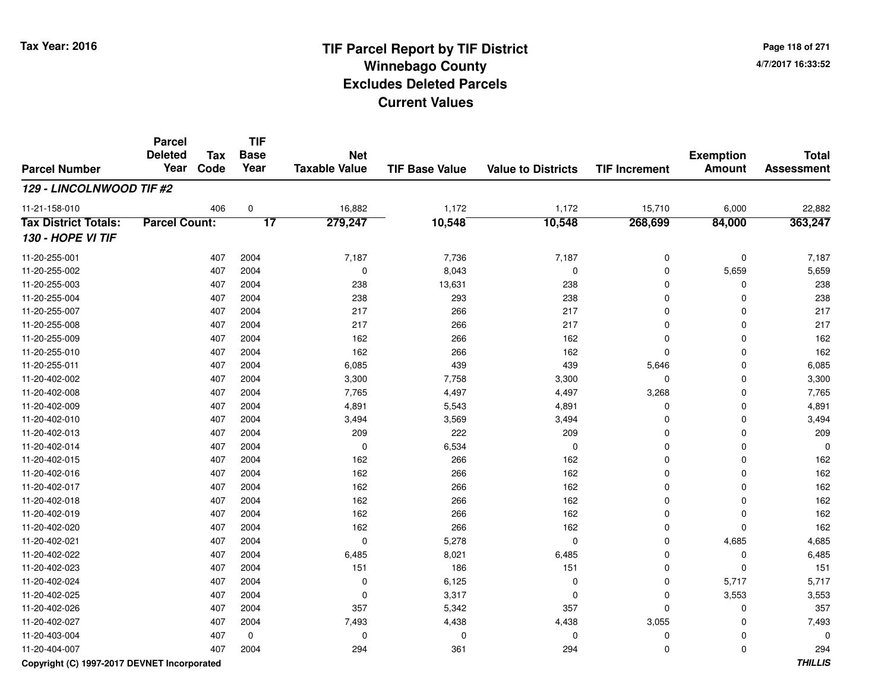**Page 118 of 2714/7/2017 16:33:52**

#### **TIF Base ValueParcel NumberTotal AssessmentExemption Amount Value to Districts TIF IncrementTIF Base YearTax CodeParcel Deleted YearNet Taxable Value129 - LINCOLNWOOD TIF #2**11-21-158-010 <sup>406</sup> 16,882 <sup>0</sup> 1,172 1,172 15,710 6,000 22,882 **Tax District Totals: Parcel Count: <sup>17</sup> 279,247 10,548 10,548 268,699 84,000 363,247 130 - HOPE VI TIF**11-20-255-0011 407 2004 7,187 7,736 7,187 0 0 7,187 11-20-255-0022 407 2004 0 8,043 0 0 5,659 5,659 11-20-255-0033 407 2004 238 13,631 238 0 238 11-20-255-004 <sup>407</sup> <sup>238</sup> <sup>2004</sup> <sup>293</sup> <sup>238</sup> <sup>0</sup> <sup>0</sup> <sup>238</sup> 11-20-255-007 <sup>407</sup> <sup>217</sup> <sup>2004</sup> <sup>266</sup> <sup>217</sup> <sup>0</sup> <sup>0</sup> <sup>217</sup> 11-20-255-0088 407 2004 217 266 217 0 0 217 11-20-255-009 <sup>407</sup> <sup>162</sup> <sup>2004</sup> <sup>266</sup> <sup>162</sup> <sup>0</sup> <sup>0</sup> <sup>162</sup> 11-20-255-010 <sup>407</sup> <sup>162</sup> <sup>2004</sup> <sup>266</sup> <sup>162</sup> <sup>0</sup> <sup>0</sup> <sup>162</sup> 11-20-255-0111 407 2004 6,085 439 439 5,646 0 6,085 11-20-402-0022 407 2004 3,300 7,758 3,300 0 0 3,300 11-20-402-0088 407 2004 7,765 4,497 4,497 3,268 0 7,765 11-20-402-0099 407 2004 4,891 5,543 4,891 0 4,891 11-20-402-010 $\frac{1}{400}$  2004 2004 3,494 3,569 3,494 3,494 0 3,494 0 3,494 0 11-20-402-0133 407 2004 209 222 209 0 0 209 11-20-402-014 <sup>407</sup> <sup>0</sup> <sup>2004</sup> 6,534 <sup>0</sup> <sup>0</sup> <sup>0</sup> <sup>0</sup> 11-20-402-015 <sup>407</sup> <sup>162</sup> <sup>2004</sup> <sup>266</sup> <sup>162</sup> <sup>0</sup> <sup>0</sup> <sup>162</sup> 11-20-402-016 <sup>407</sup> <sup>162</sup> <sup>2004</sup> <sup>266</sup> <sup>162</sup> <sup>0</sup> <sup>0</sup> <sup>162</sup> 11-20-402-0177 407 2004 162 266 162 0 0 162 11-20-402-0188 407 2004 162 266 162 0 0 162 11-20-402-019 <sup>407</sup> <sup>162</sup> <sup>2004</sup> <sup>266</sup> <sup>162</sup> <sup>0</sup> <sup>0</sup> <sup>162</sup> 11-20-402-020 <sup>407</sup> <sup>162</sup> <sup>2004</sup> <sup>266</sup> <sup>162</sup> <sup>0</sup> <sup>0</sup> <sup>162</sup> 11-20-402-0211 407 2004 0 5,278 0 0 4,685 4,685 11-20-402-0222 407 2004 6,485 8,021 6,485 0 0 6,485 11-20-402-0233 407 2004 151 186 151 0 0 151 11-20-402-024 <sup>407</sup> <sup>0</sup> <sup>2004</sup> 6,125 <sup>0</sup> <sup>0</sup> 5,717 5,717 11-20-402-025 <sup>407</sup> <sup>0</sup> <sup>2004</sup> 3,317 <sup>0</sup> <sup>0</sup> 3,553 3,553 11-20-402-026 <sup>407</sup> <sup>357</sup> <sup>2004</sup> 5,342 <sup>357</sup> <sup>0</sup> <sup>0</sup> <sup>357</sup> 11-20-402-027 <sup>407</sup> 7,493 <sup>2004</sup> 4,438 4,438 3,055 <sup>0</sup> 7,493 11-20-403-004 <sup>407</sup> <sup>0</sup> <sup>0</sup> <sup>0</sup> <sup>0</sup> <sup>0</sup> <sup>0</sup> <sup>0</sup> 11-20-404-0077 407 2004 294 361 294 0 0 294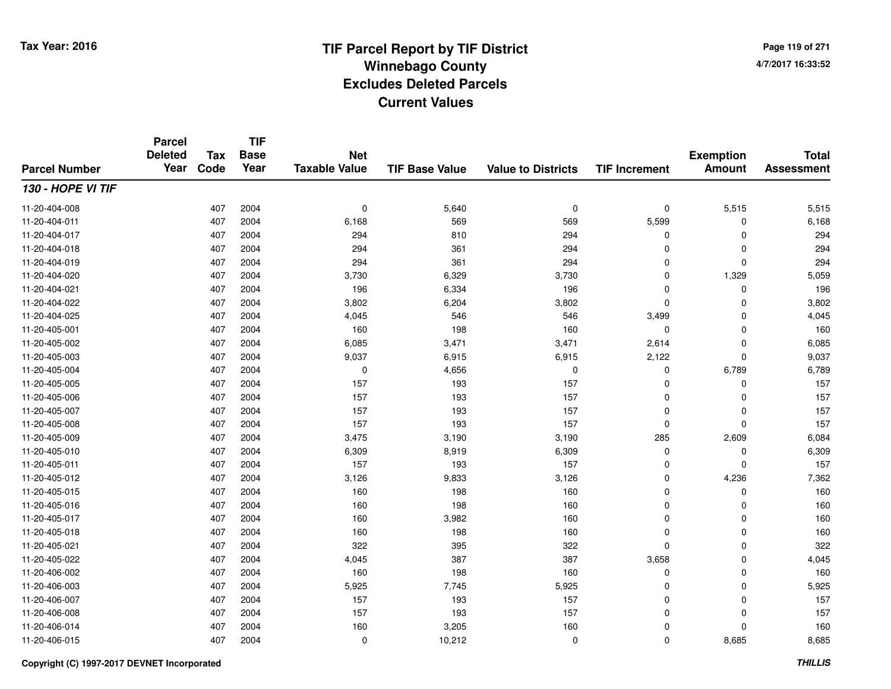**TIF**

**Parcel**

**Page 119 of 2714/7/2017 16:33:52**

#### **TIF Base ValueParcel NumberTotal AssessmentExemption Amount Value to Districts TIF Increment Base YearTax Code Deleted YearNet Taxable Value130 - HOPE VI TIF**11-20-404-0088 407 2004 0 5,640 0 0 5,515 5,515 11-20-404-0111 407 2004 6,168 569 569 5,599 0 6,168 11-20-404-017 <sup>407</sup> <sup>294</sup> <sup>2004</sup> <sup>810</sup> <sup>294</sup> <sup>0</sup> <sup>0</sup> <sup>294</sup> 11-20-404-0188 407 2004 294 361 294 0 0 294 11-20-404-0199 407 2004 294 361 294 0 0 294 11-20-404-0200 407 2004 3,730 6,329 3,730 0 1,329 5,059 11-20-404-0211 407 2004 196 6,334 196 0 0 196 11-20-404-0222 2 407 2004 3,802 6,204 3,802 0 0 3,802 11-20-404-025 <sup>407</sup> 4,045 <sup>2004</sup> <sup>546</sup> <sup>546</sup> 3,499 <sup>0</sup> 4,045 11-20-405-0011 407 2004 160 198 160 0 0 160 11-20-405-0022 2 2 3,471 3,471 3,471 2,614 0 6,085 3,471 3,471 3,471 3,471 2,614 0 6,085 11-20-405-0033 407 2004 9,037 6,915 6,915 2,122 0 9,037 11-20-405-004 <sup>407</sup> <sup>0</sup> <sup>2004</sup> 4,656 <sup>0</sup> <sup>0</sup> 6,789 6,789 11-20-405-005 <sup>407</sup> <sup>157</sup> <sup>2004</sup> <sup>193</sup> <sup>157</sup> <sup>0</sup> <sup>0</sup> <sup>157</sup> 11-20-405-0066 407 2004 157 193 157 0 0 157 11-20-405-007 <sup>407</sup> <sup>157</sup> <sup>2004</sup> <sup>193</sup> <sup>157</sup> <sup>0</sup> <sup>0</sup> <sup>157</sup> 11-20-405-008 <sup>407</sup> <sup>157</sup> <sup>2004</sup> <sup>193</sup> <sup>157</sup> <sup>0</sup> <sup>0</sup> <sup>157</sup> 11-20-405-0099 407 2004 3,475 3,190 285 2,609 6,084 11-20-405-0100 407 2004 6,309 8,919 6,309 0 0 6,309 11-20-405-0111 407 2004 157 193 157 0 0 157 11-20-405-0122 2 3,126 2 4,236 2 5,126 3,126 3,126 3,126 3,126 3,126 3,126 2 5 5 5 6 7,362 4,236 3,126 3,126 2 7,362 4 7,362 11-20-405-0155 407 2004 160 198 160 0 0 160 11-20-405-0166 407 2004 160 198 160 0 0 160 11-20-405-0177 407 2004 160 3,982 160 0 0 160 11-20-405-0188 407 2004 160 198 160 0 0 160 11-20-405-0211 407 2004 322 395 322 0 0 322 11-20-405-0222 407 2004 4,045 387 387 3,658 0 4,045 11-20-406-0022 407 2004 160 198 160 0 0 160 11-20-406-0033 407 2004 5,925 7,745 5,925 0 0 5,925 11-20-406-007 <sup>407</sup> <sup>157</sup> <sup>2004</sup> <sup>193</sup> <sup>157</sup> <sup>0</sup> <sup>0</sup> <sup>157</sup> 11-20-406-008 <sup>407</sup> <sup>157</sup> <sup>2004</sup> <sup>193</sup> <sup>157</sup> <sup>0</sup> <sup>0</sup> <sup>157</sup> 11-20-406-0144 407 2004 160 3,205 160 0 0 160 11-20-406-0155 407 2004 0 10,212 0 0 8,685 8,685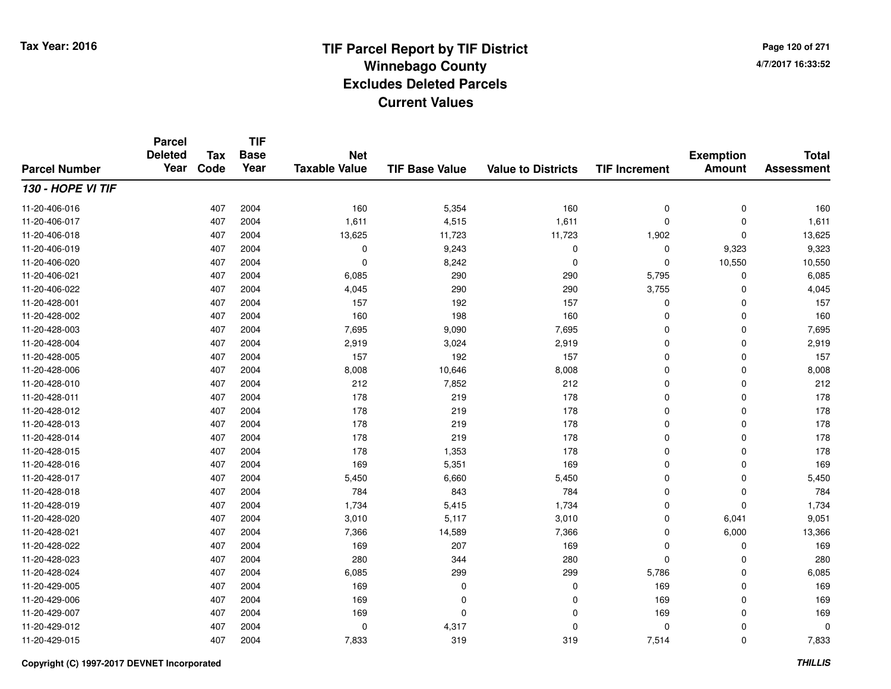**Page 120 of 2714/7/2017 16:33:52**

#### **TIF Base ValueParcel NumberTotal AssessmentExemption Amount Value to Districts TIF IncrementTIF Base YearTax CodeParcel Deleted YearNet Taxable Value130 - HOPE VI TIF**11-20-406-0166 407 2004 160 5,354 160 0 0 160 11-20-406-017 <sup>407</sup> 1,611 <sup>2004</sup> 4,515 1,611 <sup>0</sup> <sup>0</sup> 1,611 11-20-406-018 <sup>407</sup> 13,625 <sup>2004</sup> 11,723 11,723 1,902 <sup>0</sup> 13,625 11-20-406-0199 407 2004 0 9,243 0 0 9,323 9,323 11-20-406-0200 407 2004 0 8,242 0 0 10,550 10,550 11-20-406-0211 407 2004 6,085 290 290 5,795 0 6,085 11-20-406-0222 407 2004 4,045 290 290 3,755 0 4,045 11-20-428-0011 407 2004 157 192 157 0 0 157 11-20-428-0022 407 2004 160 198 160 0 0 160 11-20-428-0033 407 2004 7,695 9,090 7,695 0 7,695 11-20-428-0044 407 2004 2,919 3,024 2,919 0 0 2,919 11-20-428-005 <sup>407</sup> <sup>157</sup> <sup>2004</sup> <sup>192</sup> <sup>157</sup> <sup>0</sup> <sup>0</sup> <sup>157</sup> 11-20-428-006 <sup>407</sup> 8,008 <sup>2004</sup> 10,646 8,008 <sup>0</sup> <sup>0</sup> 8,008 11-20-428-0100 407 2004 212 7,852 212 0 0 212 11-20-428-0111 407 2004 178 219 178 0 0 178 11-20-428-012 <sup>407</sup> <sup>178</sup> <sup>2004</sup> <sup>219</sup> <sup>178</sup> <sup>0</sup> <sup>0</sup> <sup>178</sup> 11-20-428-0133 407 2004 178 219 178 0 0 178 11-20-428-014 <sup>407</sup> <sup>178</sup> <sup>2004</sup> <sup>219</sup> <sup>178</sup> <sup>0</sup> <sup>0</sup> <sup>178</sup> 11-20-428-015 <sup>407</sup> <sup>178</sup> <sup>2004</sup> 1,353 <sup>178</sup> <sup>0</sup> <sup>0</sup> <sup>178</sup> 11-20-428-0166 407 2004 169 5,351 169 0 0 169 11-20-428-017 <sup>407</sup> 5,450 <sup>2004</sup> 6,660 5,450 <sup>0</sup> <sup>0</sup> 5,450 11-20-428-018 <sup>407</sup> <sup>784</sup> <sup>2004</sup> <sup>843</sup> <sup>784</sup> <sup>0</sup> <sup>0</sup> <sup>784</sup> 11-20-428-0199 407 2004 1,734 5,415 1,734 0 0 1,734 11-20-428-0200 407 2004 3,010 5,117 3,010 0 6,041 9,051 11-20-428-0211 407 2004 7,366 14,589 7,366 0 6,000 13,366 11-20-428-0222 407 2004 169 207 169 0 0 169 11-20-428-0233 407 2004 280 344 280 0 0 280 11-20-428-024 <sup>407</sup> 6,085 <sup>2004</sup> <sup>299</sup> <sup>299</sup> 5,786 <sup>0</sup> 6,085 11-20-429-0055 407 2004 169 0 0 169 0 169 11-20-429-0066 407 2004 169 0 0 169 0 169 11-20-429-007 <sup>407</sup> <sup>169</sup> <sup>2004</sup> <sup>0</sup> <sup>0</sup> <sup>169</sup> <sup>0</sup> <sup>169</sup> 11-20-429-012 $2$  2004 0  $\frac{4}{317}$  0  $\frac{4}{317}$  0 0 0 0 0 0 11-20-429-015<sup>407</sup> 7,833 <sup>2004</sup> <sup>319</sup> <sup>319</sup> 7,514 <sup>0</sup> 7,833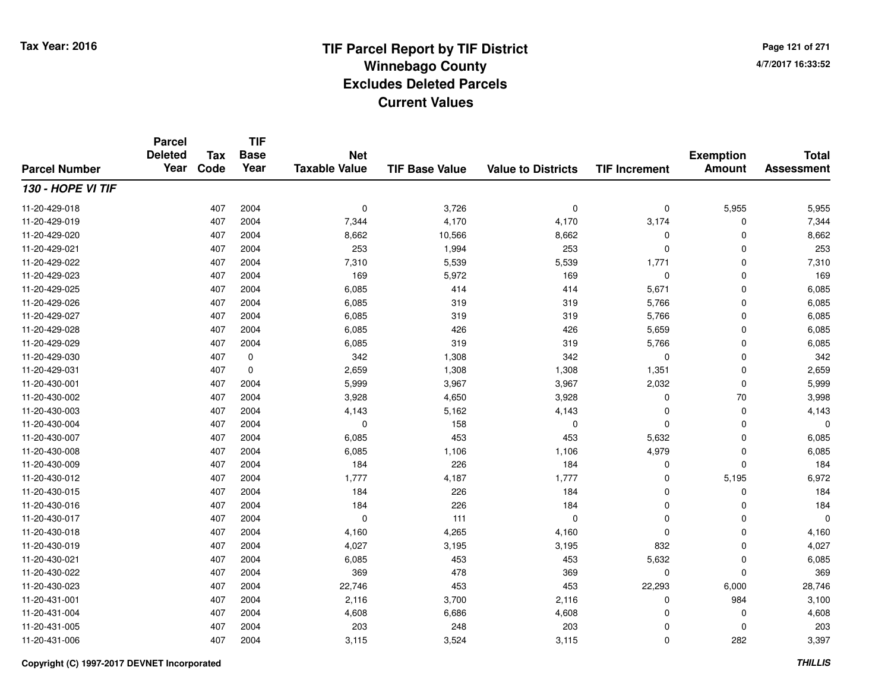**Page 121 of 2714/7/2017 16:33:52**

#### **TIF Base ValueParcel NumberTotal AssessmentExemption Amount Value to Districts TIF IncrementTIF Base YearTax CodeParcel Deleted YearNet Taxable Value130 - HOPE VI TIF**11-20-429-0188 407 2004 0 3,726 0 0 5,955 5,955 11-20-429-019 <sup>407</sup> 7,344 <sup>2004</sup> 4,170 4,170 3,174 <sup>0</sup> 7,344 11-20-429-0200 407 2004 8,662 10,566 8,662 0 0 8,662 11-20-429-0211 407 2004 253 1,994 253 0 0 253 11-20-429-022 <sup>407</sup> 7,310 <sup>2004</sup> 5,539 5,539 1,771 <sup>0</sup> 7,310 11-20-429-0233 407 2004 169 5,972 169 0 0 169 11-20-429-025 <sup>407</sup> 6,085 <sup>2004</sup> <sup>414</sup> <sup>414</sup> 5,671 <sup>0</sup> 6,085 11-20-429-0266 407 2004 6,085 319 319 5,766 0 6,085 11-20-429-027 <sup>407</sup> 6,085 <sup>2004</sup> <sup>319</sup> <sup>319</sup> 5,766 <sup>0</sup> 6,085 11-20-429-0288 407 2004 6,085 426 426 5,659 0 6,085 11-20-429-0299 407 2004 6,085 319 319 5,766 0 6,085 11-20-429-0300 407 0 342 1,308 342 0 0 342 11-20-429-0311 407 0 2,659 1,308 1,308 1,351 0 2,659 11-20-430-0011 407 2004 5,999 3,967 3,967 2,032 0 5,999 11-20-430-0022 2 407 2004 3,928 4,650 3,928 0 70 3,998 11-20-430-0033 407 2004 4,143 5,162 4,143 0 0 4,143 11-20-430-004 <sup>407</sup> <sup>0</sup> <sup>2004</sup> <sup>158</sup> <sup>0</sup> <sup>0</sup> <sup>0</sup> <sup>0</sup> 11-20-430-007 <sup>407</sup> 6,085 <sup>2004</sup> <sup>453</sup> <sup>453</sup> 5,632 <sup>0</sup> 6,085 11-20-430-008 <sup>407</sup> 6,085 <sup>2004</sup> 1,106 1,106 4,979 <sup>0</sup> 6,085 11-20-430-0099 407 2004 184 226 184 0 0 184 11-20-430-0122 1,777 2004 1,777 4,187 1,777 3 4,187 0 5,195 6,972 11-20-430-0155 407 2004 184 226 184 0 0 184 11-20-430-0166 407 2004 184 226 184 0 0 184 11-20-430-017 <sup>407</sup> <sup>0</sup> <sup>2004</sup> <sup>111</sup> <sup>0</sup> <sup>0</sup> <sup>0</sup> <sup>0</sup> 11-20-430-0188 407 2004 4,160 4,265 4,160 0 0 4,160 11-20-430-0199 407 2004 4,027 3,195 832 0 4,027 11-20-430-0211 407 2004 6,085 453 453 5,632 0 6,085 11-20-430-0222 407 2004 369 478 369 0 0 369 11-20-430-0233 407 2004 22,746 453 453 22,293 6,000 28,746 11-20-431-0011 407 2004 2,116 3,700 2,116 0 984 3,100 11-20-431-0044 407 2004 4,608 6,686 4,608 0 4,608 11-20-431-005 <sup>407</sup> <sup>203</sup> <sup>2004</sup> <sup>248</sup> <sup>203</sup> <sup>0</sup> <sup>0</sup> <sup>203</sup> 11-20-431-006<sup>407</sup> 3,115 <sup>2004</sup> 3,524 3,115 <sup>0</sup> <sup>282</sup> 3,397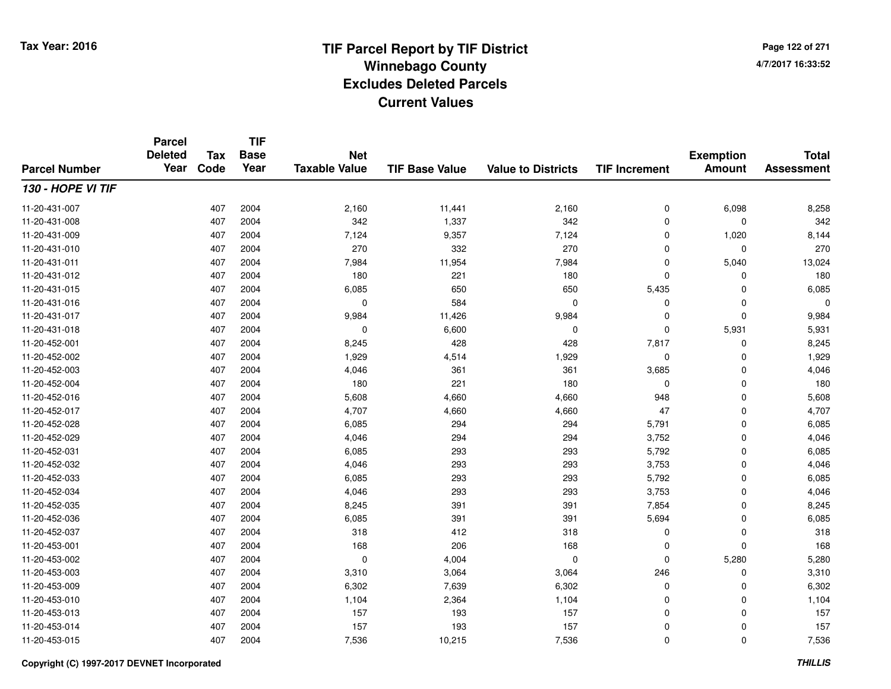**TIF**

**Parcel**

**Page 122 of 2714/7/2017 16:33:52**

#### **TIF Base ValueParcel NumberTotal AssessmentExemption Amount Value to Districts TIF Increment Base YearTax Code Deleted YearNet Taxable Value130 - HOPE VI TIF**11-20-431-007 <sup>407</sup> 2,160 <sup>2004</sup> 11,441 2,160 <sup>0</sup> 6,098 8,258 11-20-431-0088 407 2004 342 1,337 342 0 0 342 11-20-431-0099 407 2004 7,124 9,357 7,124 0 1,020 8,144 11-20-431-0100 407 2004 270 332 270 0 0 270 11-20-431-0111 407 2004 7,984 11,954 7,984 0 5,040 13,024 11-20-431-0122 407 2004 180 221 180 0 0 180 11-20-431-015 <sup>407</sup> 6,085 <sup>2004</sup> <sup>650</sup> <sup>650</sup> 5,435 <sup>0</sup> 6,085 11-20-431-016 <sup>407</sup> <sup>0</sup> <sup>2004</sup> <sup>584</sup> <sup>0</sup> <sup>0</sup> <sup>0</sup> <sup>0</sup> 11-20-431-017 <sup>407</sup> 9,984 <sup>2004</sup> 11,426 9,984 <sup>0</sup> <sup>0</sup> 9,984 11-20-431-0188 407 2004 0 6,600 0 0 5,931 5,931 11-20-452-0011 407 2004 8,245 428 428 7,817 0 8,245 11-20-452-0022 2 407 2004 1,929 4,514 1,929 0 0 1,929 11-20-452-0033 407 2004 4,046 361 361 3,685 0 4,046 11-20-452-004 <sup>407</sup> <sup>180</sup> <sup>2004</sup> <sup>221</sup> <sup>180</sup> <sup>0</sup> <sup>0</sup> <sup>180</sup> 11-20-452-016 <sup>407</sup> 5,608 <sup>2004</sup> 4,660 4,660 <sup>948</sup> <sup>0</sup> 5,608 11-20-452-017 <sup>407</sup> 4,707 <sup>2004</sup> 4,660 4,660 <sup>47</sup> <sup>0</sup> 4,707 11-20-452-028 <sup>407</sup> 6,085 <sup>2004</sup> <sup>294</sup> <sup>294</sup> 5,791 <sup>0</sup> 6,085 11-20-452-0299 407 2004 4,046 294 294 3,752 0 4,046 11-20-452-0311 407 2004 6,085 293 293 5,792 0 6,085 11-20-452-0322 407 2004 4,046 293 293 3,753 0 4,046 11-20-452-0333 407 2004 6,085 293 293 5,792 0 6,085 11-20-452-034 <sup>407</sup> 4,046 <sup>2004</sup> <sup>293</sup> <sup>293</sup> 3,753 <sup>0</sup> 4,046 11-20-452-035 <sup>407</sup> 8,245 <sup>2004</sup> <sup>391</sup> <sup>391</sup> 7,854 <sup>0</sup> 8,245 11-20-452-0366 407 2004 6,085 391 391 5,694 0 6,085 11-20-452-037 <sup>407</sup> <sup>318</sup> <sup>2004</sup> <sup>412</sup> <sup>318</sup> <sup>0</sup> <sup>0</sup> <sup>318</sup> 11-20-453-0011 407 2004 168 206 168 0 0 168 11-20-453-002 <sup>407</sup> <sup>0</sup> <sup>2004</sup> 4,004 <sup>0</sup> <sup>0</sup> 5,280 5,280 11-20-453-0033 407 2004 3,310 3,064 3,064 246 0 3,310 11-20-453-0099 407 2004 6,302 7,639 6,302 0 0 6,302 11-20-453-0100 407 2004 1,104 2,364 1,104 0 0 1,104 11-20-453-0133 407 2004 157 193 157 0 0 157 11-20-453-014 <sup>407</sup> <sup>157</sup> <sup>2004</sup> <sup>193</sup> <sup>157</sup> <sup>0</sup> <sup>0</sup> <sup>157</sup> 11-20-453-0155 407 2004 7,536 10,215 7,536 0 7,536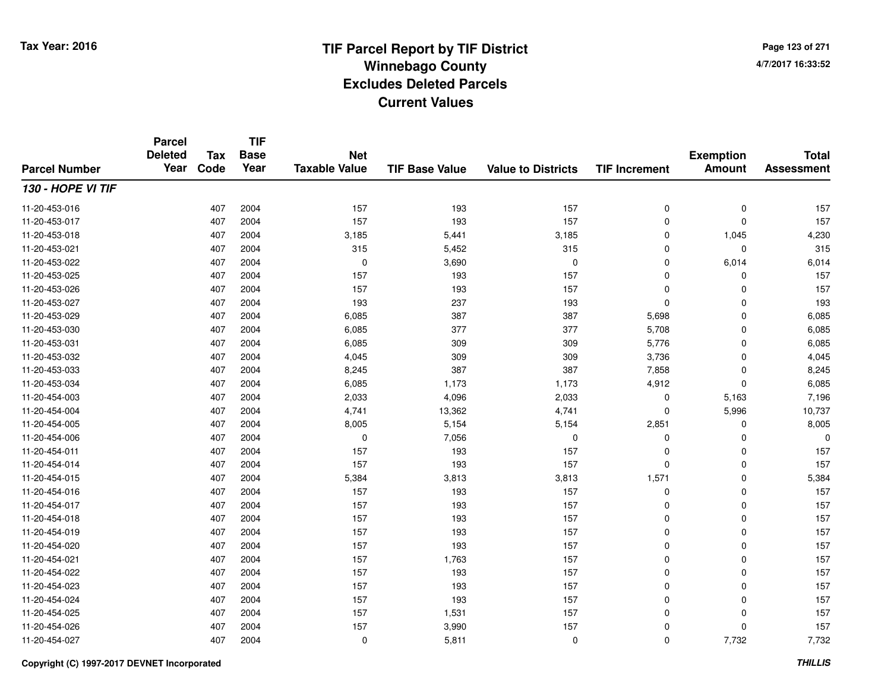**Page 123 of 2714/7/2017 16:33:52**

#### **TIF Base ValueParcel NumberTotal AssessmentExemption Amount Value to Districts TIF IncrementTIF Base YearTax CodeParcel Deleted YearNet Taxable Value130 - HOPE VI TIF**11-20-453-0166 407 2004 157 193 157 0 0 157 11-20-453-017 <sup>407</sup> <sup>157</sup> <sup>2004</sup> <sup>193</sup> <sup>157</sup> <sup>0</sup> <sup>0</sup> <sup>157</sup> 11-20-453-0188 407 2004 3,185 5,441 3,185 0 1,045 4,230 11-20-453-0211 407 2004 315 5,452 315 0 0 315 11-20-453-0222 407 2004 0 3,690 0 0 6,014 6,014 11-20-453-025 <sup>407</sup> <sup>157</sup> <sup>2004</sup> <sup>193</sup> <sup>157</sup> <sup>0</sup> <sup>0</sup> <sup>157</sup> 11-20-453-0266 407 2004 157 193 157 0 0 157 11-20-453-027 <sup>407</sup> <sup>193</sup> <sup>2004</sup> <sup>237</sup> <sup>193</sup> <sup>0</sup> <sup>0</sup> <sup>193</sup> 11-20-453-0299 407 2004 6,085 387 387 5,698 0 6,085 11-20-453-0300 407 2004 6,085 377 377 5,708 0 6,085 11-20-453-0311 407 2004 6,085 309 309 5,776 0 6,085 11-20-453-0322 407 2004 4,045 309 309 3,736 0 4,045 11-20-453-0333 407 2004 8,245 387 387 7,858 0 8,245 11-20-453-034 <sup>407</sup> 6,085 <sup>2004</sup> 1,173 1,173 4,912 <sup>0</sup> 6,085 11-20-454-0033 407 2004 2,033 4,096 2,033 0 5,163 7,196 11-20-454-004 <sup>407</sup> 4,741 <sup>2004</sup> 13,362 4,741 <sup>0</sup> 5,996 10,737 11-20-454-005 <sup>407</sup> 8,005 <sup>2004</sup> 5,154 5,154 2,851 <sup>0</sup> 8,005 11-20-454-006 <sup>407</sup> <sup>0</sup> <sup>2004</sup> 7,056 <sup>0</sup> <sup>0</sup> <sup>0</sup> <sup>0</sup> 11-20-454-0111 407 2004 157 193 157 0 0 157 11-20-454-014 <sup>407</sup> <sup>157</sup> <sup>2004</sup> <sup>193</sup> <sup>157</sup> <sup>0</sup> <sup>0</sup> <sup>157</sup> 11-20-454-015 <sup>407</sup> 5,384 <sup>2004</sup> 3,813 3,813 1,571 <sup>0</sup> 5,384 11-20-454-0166 407 2004 157 193 157 0 0 157 11-20-454-017 <sup>407</sup> <sup>157</sup> <sup>2004</sup> <sup>193</sup> <sup>157</sup> <sup>0</sup> <sup>0</sup> <sup>157</sup> 11-20-454-018 <sup>407</sup> <sup>157</sup> <sup>2004</sup> <sup>193</sup> <sup>157</sup> <sup>0</sup> <sup>0</sup> <sup>157</sup> 11-20-454-0199 407 2004 157 193 157 0 0 157 11-20-454-0200 407 2004 157 193 157 0 0 157 11-20-454-0211 407 2004 157 1,763 157 0 0 157 11-20-454-0222 407 2004 157 193 157 0 0 157 11-20-454-0233 407 2004 157 193 157 0 0 157 11-20-454-024 <sup>407</sup> <sup>157</sup> <sup>2004</sup> <sup>193</sup> <sup>157</sup> <sup>0</sup> <sup>0</sup> <sup>157</sup> 11-20-454-025 <sup>407</sup> <sup>157</sup> <sup>2004</sup> 1,531 <sup>157</sup> <sup>0</sup> <sup>0</sup> <sup>157</sup> 11-20-454-0266 407 2004 157 3,990 157 0 0 157 11-20-454-027<sup>407</sup> <sup>0</sup> <sup>2004</sup> 5,811 <sup>0</sup> <sup>0</sup> 7,732 7,732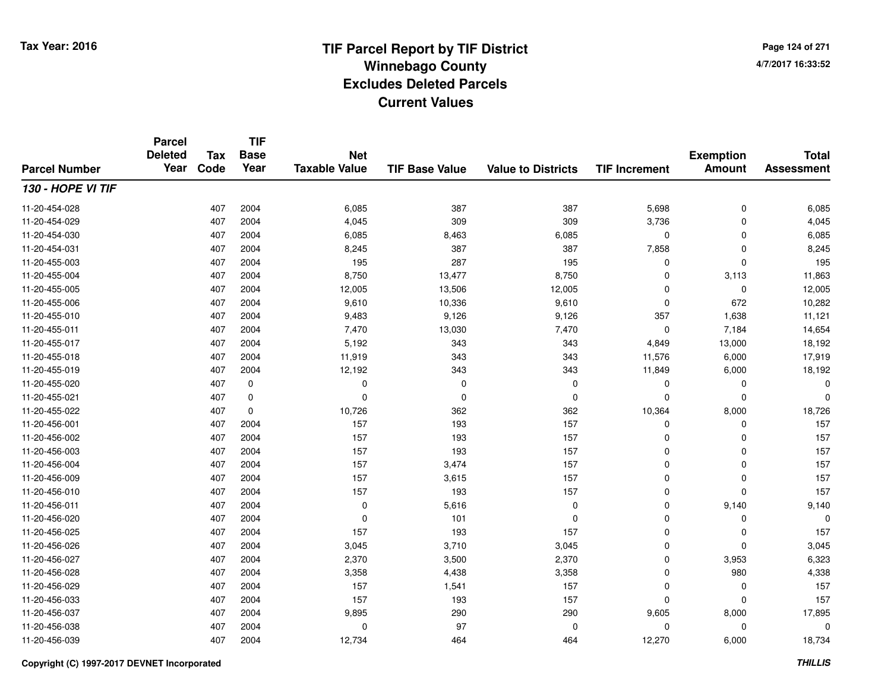**Page 124 of 2714/7/2017 16:33:52**

#### **TIF Base ValueParcel NumberTotal AssessmentExemption Amount Value to Districts TIF IncrementTIF Base YearTax CodeParcel Deleted YearNet Taxable Value130 - HOPE VI TIF**11-20-454-0288 407 2004 6,085 387 387 5,698 0 6,085 11-20-454-0299 407 2004 4,045 309 309 3,736 0 4,045 11-20-454-0300 407 2004 6,085 8,463 6,085 0 0 6,085 11-20-454-0311 407 2004 8,245 387 387 7,858 0 8,245 11-20-455-0033 407 2004 195 287 195 0 0 195 11-20-455-004 <sup>407</sup> 8,750 <sup>2004</sup> 13,477 8,750 <sup>0</sup> 3,113 11,863 11-20-455-005 <sup>407</sup> 12,005 <sup>2004</sup> 13,506 12,005 <sup>0</sup> <sup>0</sup> 12,005 11-20-455-0066 407 2004 9,610 10,336 9,610 0 672 10,282 11-20-455-0100 407 2004 9,483 9,126 9,126 357 1,638 11,121 11-20-455-0111 1 2004 14,654 14,654 15,030 13,030 7,470 15,184 14,654 11-20-455-017 <sup>407</sup> 5,192 <sup>2004</sup> <sup>343</sup> <sup>343</sup> 4,849 13,000 18,192 11-20-455-018 <sup>407</sup> 11,919 <sup>2004</sup> <sup>343</sup> <sup>343</sup> 11,576 6,000 17,919 11-20-455-019 <sup>407</sup> 12,192 <sup>2004</sup> <sup>343</sup> <sup>343</sup> 11,849 6,000 18,192 11-20-455-020 <sup>407</sup> <sup>0</sup> <sup>0</sup> <sup>0</sup> <sup>0</sup> <sup>0</sup> <sup>0</sup> <sup>0</sup> 11-20-455-021 <sup>407</sup> <sup>0</sup> <sup>0</sup> <sup>0</sup> <sup>0</sup> <sup>0</sup> <sup>0</sup> <sup>0</sup> 11-20-455-0222 407 0 10,726 362 362 10,364 8,000 18,726 11-20-456-0011 407 2004 157 193 157 0 0 157 11-20-456-0022 407 2004 157 193 157 0 0 157 11-20-456-0033 407 2004 157 193 157 0 0 157 11-20-456-004 <sup>407</sup> <sup>157</sup> <sup>2004</sup> 3,474 <sup>157</sup> <sup>0</sup> <sup>0</sup> <sup>157</sup> 11-20-456-0099 407 2004 157 3,615 157 0 0 157 11-20-456-0100 407 2004 157 193 157 0 0 157 11-20-456-0111 407 2004 0 5,616 0 0 9,140 9,140 11-20-456-020 <sup>407</sup> <sup>0</sup> <sup>2004</sup> <sup>101</sup> <sup>0</sup> <sup>0</sup> <sup>0</sup> <sup>0</sup> 11-20-456-025 <sup>407</sup> <sup>157</sup> <sup>2004</sup> <sup>193</sup> <sup>157</sup> <sup>0</sup> <sup>0</sup> <sup>157</sup> 11-20-456-0266 407 2004 3,045 3,710 3,045 0 0 3,045 11-20-456-027 <sup>407</sup> 2,370 <sup>2004</sup> 3,500 2,370 <sup>0</sup> 3,953 6,323 11-20-456-028 <sup>407</sup> 3,358 <sup>2004</sup> 4,438 3,358 <sup>0</sup> <sup>980</sup> 4,338 11-20-456-0299 407 2004 157 1,541 157 0 0 157 11-20-456-0333 407 2004 157 193 157 0 0 157 11-20-456-037 <sup>407</sup> 9,895 <sup>2004</sup> <sup>290</sup> <sup>290</sup> 9,605 8,000 17,895 11-20-456-038 <sup>407</sup> <sup>0</sup> <sup>2004</sup> <sup>97</sup> <sup>0</sup> <sup>0</sup> <sup>0</sup> <sup>0</sup> 11-20-456-039<sup>407</sup> 12,734 <sup>2004</sup> <sup>464</sup> <sup>464</sup> 12,270 6,000 18,734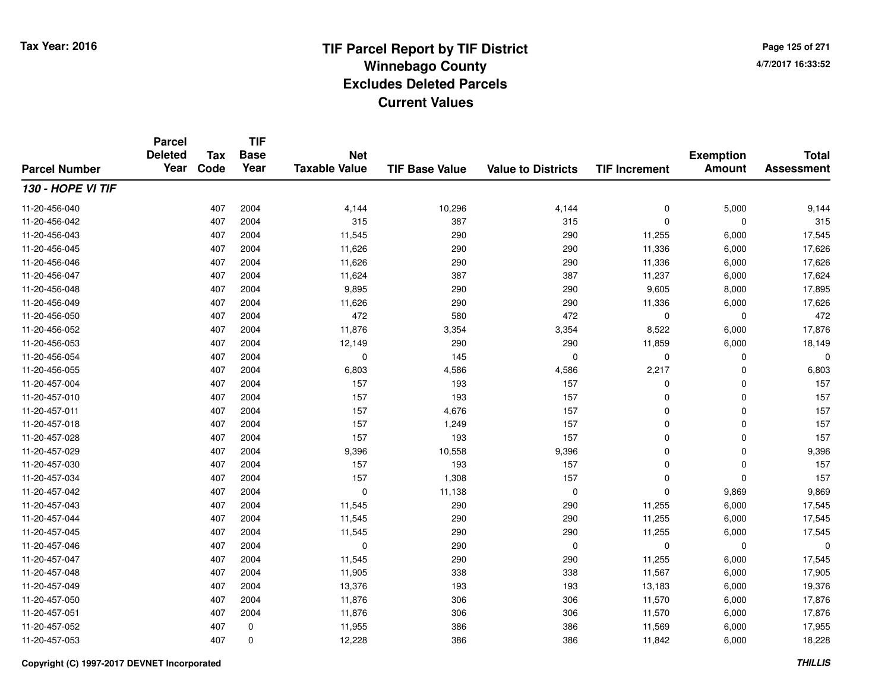**Page 125 of 2714/7/2017 16:33:52**

#### **TIF Base ValueParcel NumberTotal AssessmentExemption Amount Value to Districts TIF IncrementTIF Base YearTax CodeParcel Deleted YearNet Taxable Value130 - HOPE VI TIF**11-20-456-0400 407 2004 4,144 10,296 4,144 0 5,000 9,144 11-20-456-0422 407 2004 315 387 315 0 0 315 11-20-456-0433 407 2004 11,545 290 290 11,255 6,000 17,545 11-20-456-045 <sup>407</sup> 11,626 <sup>2004</sup> <sup>290</sup> <sup>290</sup> 11,336 6,000 17,626 11-20-456-046 <sup>407</sup> 11,626 <sup>2004</sup> <sup>290</sup> <sup>290</sup> 11,336 6,000 17,626 11-20-456-047 <sup>407</sup> 11,624 <sup>2004</sup> <sup>387</sup> <sup>387</sup> 11,237 6,000 17,624 11-20-456-0488 407 2004 9,895 290 290 9,605 8,000 17,895 11-20-456-0499 407 2004 11,626 290 290 11,336 6,000 17,626 11-20-456-0500 407 2004 472 580 472 0 0 472 11-20-456-0522 407 2004 11,876 3,354 3,354 8,522 6,000 17,876 11-20-456-053 <sup>407</sup> 12,149 <sup>2004</sup> <sup>290</sup> <sup>290</sup> 11,859 6,000 18,149 11-20-456-054 <sup>407</sup> <sup>0</sup> <sup>2004</sup> <sup>145</sup> <sup>0</sup> <sup>0</sup> <sup>0</sup> <sup>0</sup> 11-20-456-055 <sup>407</sup> 6,803 <sup>2004</sup> 4,586 4,586 2,217 <sup>0</sup> 6,803 11-20-457-004 <sup>407</sup> <sup>157</sup> <sup>2004</sup> <sup>193</sup> <sup>157</sup> <sup>0</sup> <sup>0</sup> <sup>157</sup> 11-20-457-0100 407 2004 157 193 157 0 0 157 11-20-457-0111 407 2004 157 4,676 157 0 0 157 11-20-457-018 <sup>407</sup> <sup>157</sup> <sup>2004</sup> 1,249 <sup>157</sup> <sup>0</sup> <sup>0</sup> <sup>157</sup> 11-20-457-028 <sup>407</sup> <sup>157</sup> <sup>2004</sup> <sup>193</sup> <sup>157</sup> <sup>0</sup> <sup>0</sup> <sup>157</sup> 11-20-457-0299 407 2004 9,396 10,558 9,396 0 0 9,396 11-20-457-0300 407 2004 157 193 157 0 0 157 11-20-457-034 <sup>407</sup> <sup>157</sup> <sup>2004</sup> 1,308 <sup>157</sup> <sup>0</sup> <sup>0</sup> <sup>157</sup> 11-20-457-0422 407 2004 0 11,138 0 0 9,869 9,869 11-20-457-0433 407 2004 11,545 290 290 11,255 6,000 17,545 11-20-457-044 <sup>407</sup> 11,545 <sup>2004</sup> <sup>290</sup> <sup>290</sup> 11,255 6,000 17,545 11-20-457-0455 407 2004 11,545 290 290 11,255 6,000 17,545 11-20-457-046 <sup>407</sup> <sup>0</sup> <sup>2004</sup> <sup>290</sup> <sup>0</sup> <sup>0</sup> <sup>0</sup> <sup>0</sup> 11-20-457-047 <sup>407</sup> 11,545 <sup>2004</sup> <sup>290</sup> <sup>290</sup> 11,255 6,000 17,545 11-20-457-048 <sup>407</sup> 11,905 <sup>2004</sup> <sup>338</sup> <sup>338</sup> 11,567 6,000 17,905 11-20-457-049 <sup>407</sup> 13,376 <sup>2004</sup> <sup>193</sup> <sup>193</sup> 13,183 6,000 19,376 11-20-457-0500 407 2004 11,876 306 306 11,570 6,000 17,876 11-20-457-0511 407 2004 11,876 306 306 11,570 6,000 17,876 11-20-457-052 <sup>407</sup> 11,955 <sup>0</sup> <sup>386</sup> <sup>386</sup> 11,569 6,000 17,955 11-20-457-0533 407 0 12,228 386 386 11,842 6,000 18,228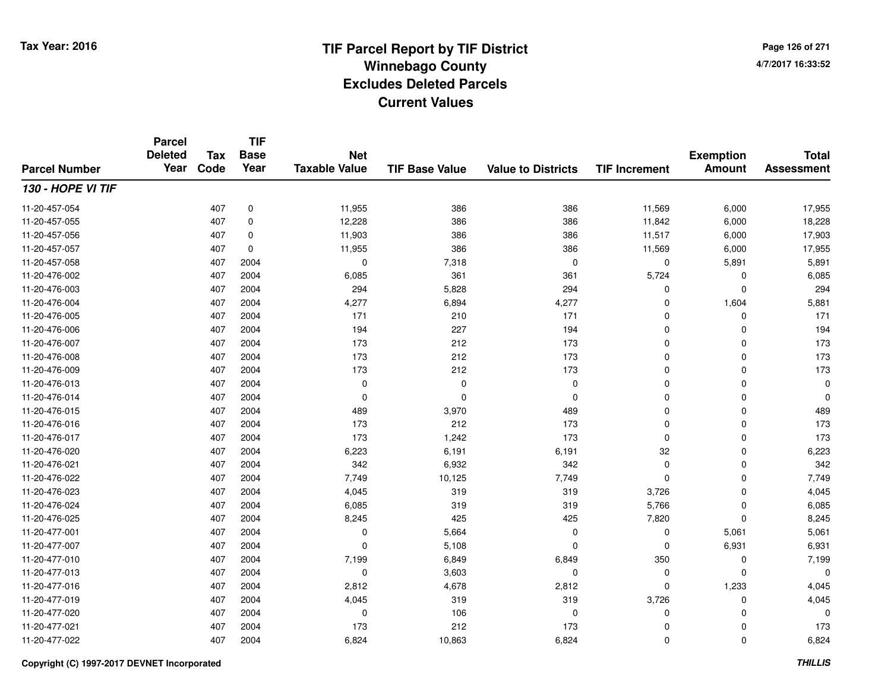**Page 126 of 2714/7/2017 16:33:52**

#### **TIF Base ValueParcel NumberTotal AssessmentExemption Amount Value to Districts TIF IncrementTIF Base YearTax CodeParcel Deleted YearNet Taxable Value130 - HOPE VI TIF**11-20-457-0544 407 0 11,955 386 386 11,569 6,000 17,955 11-20-457-0555 407 0 12,228 386 386 11,842 6,000 18,228 11-20-457-0566 407 0 11,903 386 386 11,517 6,000 17,903 11-20-457-0577 407 0 11,955 386 386 11,569 6,000 17,955 11-20-457-0588 407 2004 0 7,318 0 0 5,891 5,891 11-20-476-0022 407 2004 6,085 361 361 5,724 0 6,085 11-20-476-0033 407 2004 294 5,828 294 0 0 294 11-20-476-004 <sup>407</sup> 4,277 <sup>2004</sup> 6,894 4,277 <sup>0</sup> 1,604 5,881 11-20-476-005 <sup>407</sup> <sup>171</sup> <sup>2004</sup> <sup>210</sup> <sup>171</sup> <sup>0</sup> <sup>0</sup> <sup>171</sup> 11-20-476-0066 407 2004 194 227 194 0 0 194 11-20-476-007 <sup>407</sup> <sup>173</sup> <sup>2004</sup> <sup>212</sup> <sup>173</sup> <sup>0</sup> <sup>0</sup> <sup>173</sup> 11-20-476-008 <sup>407</sup> <sup>173</sup> <sup>2004</sup> <sup>212</sup> <sup>173</sup> <sup>0</sup> <sup>0</sup> <sup>173</sup> 11-20-476-009 <sup>407</sup> <sup>173</sup> <sup>2004</sup> <sup>212</sup> <sup>173</sup> <sup>0</sup> <sup>0</sup> <sup>173</sup> 11-20-476-013 <sup>407</sup> <sup>0</sup> <sup>2004</sup> <sup>0</sup> <sup>0</sup> <sup>0</sup> <sup>0</sup> <sup>0</sup> 11-20-476-014 <sup>407</sup> <sup>0</sup> <sup>2004</sup> <sup>0</sup> <sup>0</sup> <sup>0</sup> <sup>0</sup> <sup>0</sup> 11-20-476-015 <sup>407</sup> <sup>489</sup> <sup>2004</sup> 3,970 <sup>489</sup> <sup>0</sup> <sup>0</sup> <sup>489</sup> 11-20-476-016 <sup>407</sup> <sup>173</sup> <sup>2004</sup> <sup>212</sup> <sup>173</sup> <sup>0</sup> <sup>0</sup> <sup>173</sup> 11-20-476-017 <sup>407</sup> <sup>173</sup> <sup>2004</sup> 1,242 <sup>173</sup> <sup>0</sup> <sup>0</sup> <sup>173</sup> 11-20-476-0200 407 2004 6,223 6,191 6,191 32 0 6,223 11-20-476-0211 407 2004 342 6,932 342 0 0 342 11-20-476-0222 407 2004 7,749 10,125 7,749 0 0 7,749 11-20-476-0233 407 2004 4,045 319 3,726 0 4,045 11-20-476-024 <sup>407</sup> 6,085 <sup>2004</sup> <sup>319</sup> <sup>319</sup> 5,766 <sup>0</sup> 6,085 11-20-476-025 <sup>407</sup> 8,245 <sup>2004</sup> <sup>425</sup> <sup>425</sup> 7,820 <sup>0</sup> 8,245 11-20-477-0011 407 2004 0 5,664 0 0 5,061 5,061 11-20-477-0077 407 2004 0 5,108 0 0 6,931 6,931 11-20-477-0100 407 2004 7,199 6,849 6,849 350 0 7,199 11-20-477-013 $3$  3  $0$   $0$   $0$   $3,603$   $0$   $0$   $0$   $0$ 11-20-477-0166 407 2004 2,812 4,678 2,812 0 1,233 4,045 11-20-477-0199 407 2004 4,045 319 3,726 0 4,045 11-20-477-020 <sup>407</sup> <sup>0</sup> <sup>2004</sup> <sup>106</sup> <sup>0</sup> <sup>0</sup> <sup>0</sup> <sup>0</sup> 11-20-477-0211 407 2004 173 212 173 0 0 173 11-20-477-0222 407 2004 6,824 10,863 6,824 0 6,824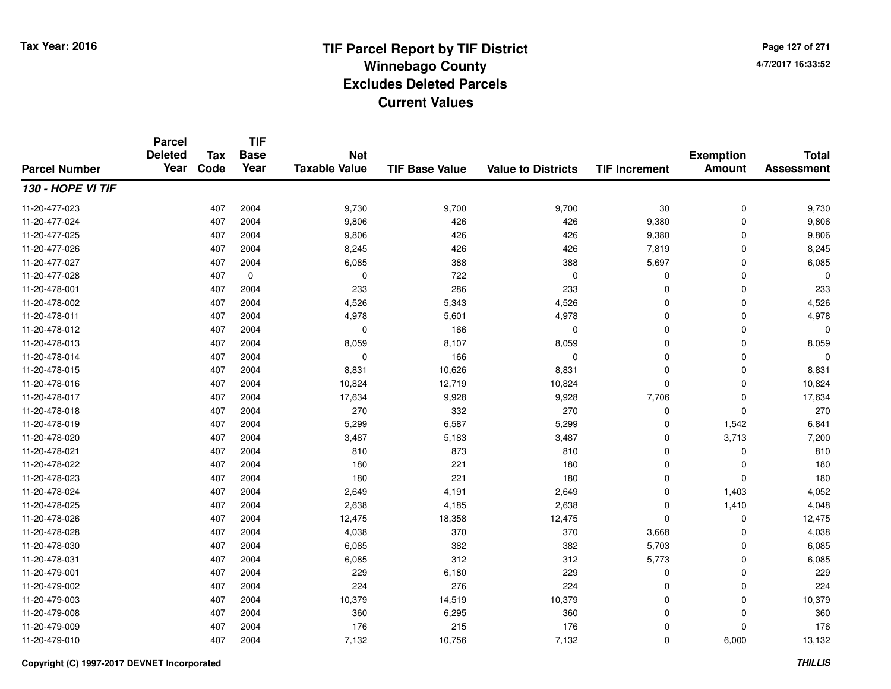**TIF**

**Parcel**

**Page 127 of 2714/7/2017 16:33:52**

#### **TIF Base ValueParcel NumberTotal AssessmentExemption Amount Value to Districts TIF Increment Base YearTax Code Deleted YearNet Taxable Value130 - HOPE VI TIF**11-20-477-023 <sup>407</sup> 9,730 <sup>2004</sup> 9,700 9,700 <sup>30</sup> <sup>0</sup> 9,730 11-20-477-024 <sup>407</sup> 9,806 <sup>2004</sup> <sup>426</sup> <sup>426</sup> 9,380 <sup>0</sup> 9,806 11-20-477-025 <sup>407</sup> 9,806 <sup>2004</sup> <sup>426</sup> <sup>426</sup> 9,380 <sup>0</sup> 9,806 11-20-477-026 <sup>407</sup> 8,245 <sup>2004</sup> <sup>426</sup> <sup>426</sup> 7,819 <sup>0</sup> 8,245 11-20-477-027 <sup>407</sup> 6,085 <sup>2004</sup> <sup>388</sup> <sup>388</sup> 5,697 <sup>0</sup> 6,085 11-20-477-0288 407 0 0 722 0 0 0 0 0 11-20-478-0011 407 2004 233 286 233 0 0 233 11-20-478-0022 407 2004 4,526 5,343 4,526 0 0 4,526 11-20-478-0111 407 2004 4,978 5,601 4,978 0 0 4,978 11-20-478-012 <sup>407</sup> <sup>0</sup> <sup>2004</sup> <sup>166</sup> <sup>0</sup> <sup>0</sup> <sup>0</sup> <sup>0</sup> 11-20-478-0133 407 2004 8,059 8,107 8,059 0 0 8,059 11-20-478-0144 2005 12004 2004 0 2004 0 2005 166 201 0 202 0 202 0 202 0 202 0 202 0 202 0 20 11-20-478-0155 407 2004 8,831 10,626 8,831 0 0 8,831 11-20-478-016 <sup>407</sup> 10,824 <sup>2004</sup> 12,719 10,824 <sup>0</sup> <sup>0</sup> 10,824 11-20-478-017 <sup>407</sup> 17,634 <sup>2004</sup> 9,928 9,928 7,706 <sup>0</sup> 17,634 11-20-478-018 <sup>407</sup> <sup>270</sup> <sup>2004</sup> <sup>332</sup> <sup>270</sup> <sup>0</sup> <sup>0</sup> <sup>270</sup> 11-20-478-0199 407 2004 5,299 6,587 5,299 0 1,542 6,841 11-20-478-020 <sup>407</sup> 3,487 <sup>2004</sup> 5,183 3,487 <sup>0</sup> 3,713 7,200 11-20-478-0211 407 2004 810 873 810 0 0 810 11-20-478-0222 407 2004 180 221 180 0 0 180 11-20-478-0233 407 2004 180 221 180 0 0 180 11-20-478-0244 2,649 2004 2,649 2,649 4,191 2,649 2,649 0 1,403 4,052 11-20-478-0255 407 2004 2,638 4,185 2,638 0 1,410 4,048 11-20-478-0266 407 2004 12,475 18,358 12,475 0 0 12,475 11-20-478-0288 407 2004 4,038 370 370 3,668 0 4,038 11-20-478-0300 407 2004 6,085 382 382 5,703 0 6,085 11-20-478-0311 407 2004 6,085 312 312 5,773 0 6,085 11-20-479-0011 407 2004 229 6,180 229 0 0 229 11-20-479-0022 407 2004 224 276 224 0 0 224 11-20-479-0033 407 2004 10,379 14,519 10,379 0 0 10,379 11-20-479-0088 407 2004 360 6,295 360 0 0 360 11-20-479-0099 407 2004 176 215 176 0 0 176 11-20-479-0100 407 2004 7,132 10,756 7,132 0 6,000 13,132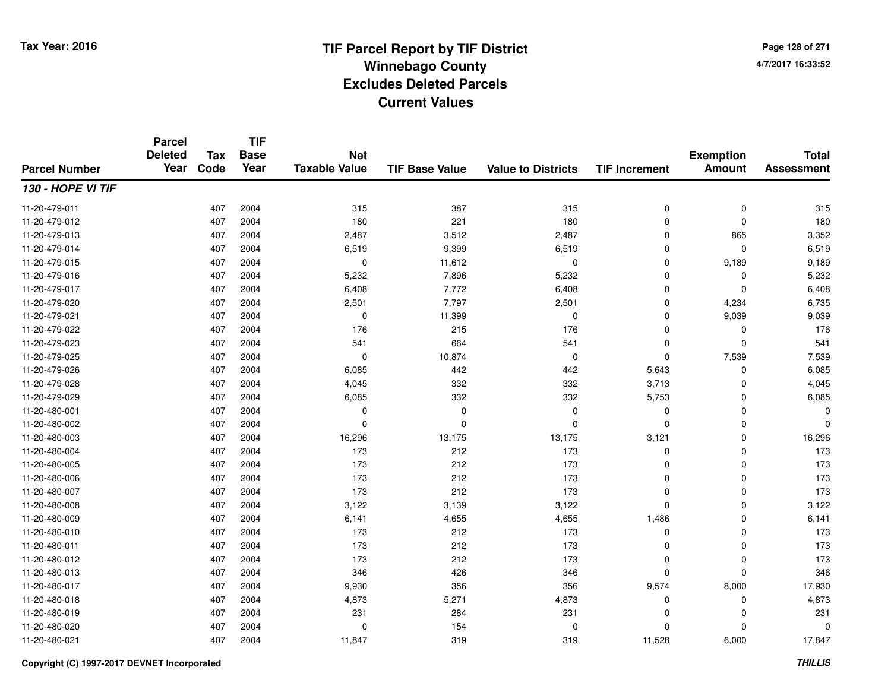**Page 128 of 2714/7/2017 16:33:52**

#### **TIF Base ValueParcel NumberTotal AssessmentExemption Amount Value to Districts TIF IncrementTIF Base YearTax CodeParcel Deleted YearNet Taxable Value130 - HOPE VI TIF**11-20-479-0111 407 2004 315 387 315 0 0 315 11-20-479-0122 407 2004 180 221 180 0 0 180 11-20-479-0133 407 2004 2,487 3,512 2,487 0 865 3,352 11-20-479-0144 407 2004 6,519 9,399 6,519 0 0 6,519 11-20-479-015 <sup>407</sup> <sup>0</sup> <sup>2004</sup> 11,612 <sup>0</sup> <sup>0</sup> 9,189 9,189 11-20-479-016 <sup>407</sup> 5,232 <sup>2004</sup> 7,896 5,232 <sup>0</sup> <sup>0</sup> 5,232 11-20-479-017 <sup>407</sup> 6,408 <sup>2004</sup> 7,772 6,408 <sup>0</sup> <sup>0</sup> 6,408 11-20-479-0200 407 2004 2,501 7,797 2,501 0 4,234 6,735 11-20-479-0211 407 2004 0 11,399 0 0 9,039 9,039 11-20-479-0222 407 2004 176 215 176 0 0 176 11-20-479-0233 407 2004 541 664 541 0 0 541 11-20-479-0255 407 2004 0 10,874 0 0 7,539 7,539 11-20-479-0266 407 2004 6,085 442 442 5,643 0 6,085 11-20-479-0288 407 2004 4,045 332 332 3,713 0 4,045 11-20-479-0299 407 2004 6,085 332 332 5,753 0 6,085 11-20-480-001 <sup>407</sup> <sup>0</sup> <sup>2004</sup> <sup>0</sup> <sup>0</sup> <sup>0</sup> <sup>0</sup> <sup>0</sup> 11-20-480-002 <sup>407</sup> <sup>0</sup> <sup>2004</sup> <sup>0</sup> <sup>0</sup> <sup>0</sup> <sup>0</sup> <sup>0</sup> 11-20-480-003 <sup>407</sup> 16,296 <sup>2004</sup> 13,175 13,175 3,121 <sup>0</sup> 16,296 11-20-480-004 <sup>407</sup> <sup>173</sup> <sup>2004</sup> <sup>212</sup> <sup>173</sup> <sup>0</sup> <sup>0</sup> <sup>173</sup> 11-20-480-005 <sup>407</sup> <sup>173</sup> <sup>2004</sup> <sup>212</sup> <sup>173</sup> <sup>0</sup> <sup>0</sup> <sup>173</sup> 11-20-480-006 <sup>407</sup> <sup>173</sup> <sup>2004</sup> <sup>212</sup> <sup>173</sup> <sup>0</sup> <sup>0</sup> <sup>173</sup> 11-20-480-007 <sup>407</sup> <sup>173</sup> <sup>2004</sup> <sup>212</sup> <sup>173</sup> <sup>0</sup> <sup>0</sup> <sup>173</sup> 11-20-480-0088 407 2004 3,122 3,139 3,122 0 0 3,122 11-20-480-0099 407 2004 6,141 4,655 4,655 1,486 0 6,141 11-20-480-010 <sup>407</sup> <sup>173</sup> <sup>2004</sup> <sup>212</sup> <sup>173</sup> <sup>0</sup> <sup>0</sup> <sup>173</sup> 11-20-480-0111 407 2004 173 212 173 0 0 173 11-20-480-012 <sup>407</sup> <sup>173</sup> <sup>2004</sup> <sup>212</sup> <sup>173</sup> <sup>0</sup> <sup>0</sup> <sup>173</sup> 11-20-480-0133 407 2004 346 426 346 0 0 346 11-20-480-017 <sup>407</sup> 9,930 <sup>2004</sup> <sup>356</sup> <sup>356</sup> 9,574 8,000 17,930 11-20-480-0188 407 2004 4,873 5,271 4,873 0 0 4,873 11-20-480-019 <sup>407</sup> <sup>231</sup> <sup>2004</sup> <sup>284</sup> <sup>231</sup> <sup>0</sup> <sup>0</sup> <sup>231</sup> 11-20-480-0200 2004 0 2004 0 2004 0 2005 0 201 0 202 0 202 0 202 0 202 0 202 0 202 0 202 0 20<br>0 202 0 202 0 202 0 202 0 202 0 202 0 202 0 202 0 202 0 202 0 202 0 202 0 202 0 202 0 202 0 202 0 202 0 202 0 11-20-480-021<sup>407</sup> 11,847 <sup>2004</sup> <sup>319</sup> <sup>319</sup> 11,528 6,000 17,847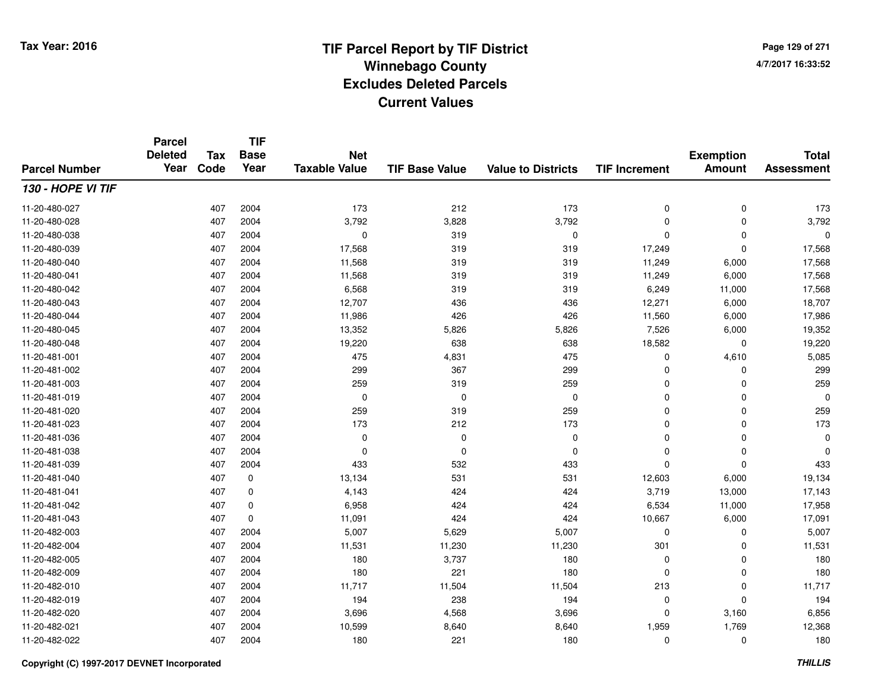**Page 129 of 2714/7/2017 16:33:52**

#### **TIF Base ValueParcel NumberTotal AssessmentExemption Amount Value to Districts TIF IncrementTIF Base YearTax CodeParcel Deleted YearNet Taxable Value130 - HOPE VI TIF**11-20-480-027 <sup>407</sup> <sup>173</sup> <sup>2004</sup> <sup>212</sup> <sup>173</sup> <sup>0</sup> <sup>0</sup> <sup>173</sup> 11-20-480-0288 407 2004 3,792 3,828 3,792 0 0 3,792 11-20-480-038 <sup>407</sup> <sup>0</sup> <sup>2004</sup> <sup>319</sup> <sup>0</sup> <sup>0</sup> <sup>0</sup> <sup>0</sup> 11-20-480-0399 407 2004 17,568 319 319 17,249 0 17,568 11-20-480-0400 407 2004 11,568 319 319 11,249 6,000 17,568 11-20-480-0411 407 2004 11,568 319 319 11,249 6,000 17,568 11-20-480-042 <sup>407</sup> 6,568 <sup>2004</sup> <sup>319</sup> <sup>319</sup> 6,249 11,000 17,568 11-20-480-0433 407 2004 12,707 436 436 12,271 6,000 18,707 11-20-480-044 <sup>407</sup> 11,986 <sup>2004</sup> <sup>426</sup> <sup>426</sup> 11,560 6,000 17,986 11-20-480-0455 3 3 3 3 407 2004 13,352 5,826 5,826 5,826 5,826 5,826 5,526 6,000 19,352 11-20-480-0488 407 2004 19,220 638 638 18,582 0 19,220 11-20-481-0011 407 2004 475 4,831 475 0 4,610 5,085 11-20-481-002 <sup>407</sup> <sup>299</sup> <sup>2004</sup> <sup>367</sup> <sup>299</sup> <sup>0</sup> <sup>0</sup> <sup>299</sup> 11-20-481-0033 407 2004 259 319 259 0 0 259 11-20-481-019 <sup>407</sup> <sup>0</sup> <sup>2004</sup> <sup>0</sup> <sup>0</sup> <sup>0</sup> <sup>0</sup> <sup>0</sup> 11-20-481-0200 407 2004 259 319 259 0 0 259 11-20-481-023 <sup>407</sup> <sup>173</sup> <sup>2004</sup> <sup>212</sup> <sup>173</sup> <sup>0</sup> <sup>0</sup> <sup>173</sup> 11-20-481-036 <sup>407</sup> <sup>0</sup> <sup>2004</sup> <sup>0</sup> <sup>0</sup> <sup>0</sup> <sup>0</sup> <sup>0</sup> 11-20-481-038 <sup>407</sup> <sup>0</sup> <sup>2004</sup> <sup>0</sup> <sup>0</sup> <sup>0</sup> <sup>0</sup> <sup>0</sup> 11-20-481-0399 407 2004 433 532 433 0 0 433 11-20-481-0400 407 0 13,134 531 531 12,603 6,000 19,134 11-20-481-0411 407 0 4,143 424 424 3,719 13,000 17,143 11-20-481-0422 6,534 11,000 6,958 6,958 424 424 424 6,534 11,000 17,958 11-20-481-0433 407 0 11,091 424 424 10,667 6,000 17,091 11-20-482-0033 407 2004 5,007 5,629 5,007 0 5,007 11-20-482-004 <sup>407</sup> 11,531 <sup>2004</sup> 11,230 11,230 <sup>301</sup> <sup>0</sup> 11,531 11-20-482-005 <sup>407</sup> <sup>180</sup> <sup>2004</sup> 3,737 <sup>180</sup> <sup>0</sup> <sup>0</sup> <sup>180</sup> 11-20-482-0099 407 2004 180 221 180 0 0 180 11-20-482-0100 407 2004 11,717 11,504 213 0 11,717 11-20-482-0199 407 2004 194 238 194 0 0 194 11-20-482-0200 407 2004 3,696 4,568 3,696 0 3,160 6,856 11-20-482-0211 407 2004 10,599 8,640 8,640 1,959 1,769 12,368 11-20-482-0222 407 2004 180 221 180 0 0 180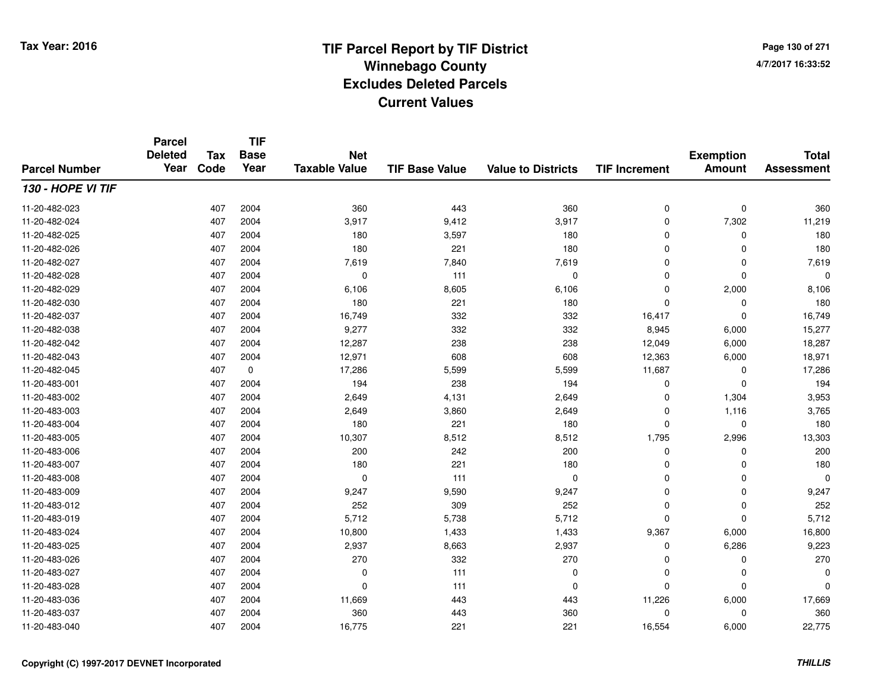**TIF**

**Parcel**

**Page 130 of 2714/7/2017 16:33:52**

#### **TIF Base ValueParcel NumberTotal AssessmentExemption Amount Value to Districts TIF Increment Base YearTax Code Deleted YearNet Taxable Value130 - HOPE VI TIF**11-20-482-0233 407 2004 360 443 360 0 0 360 11-20-482-024 <sup>407</sup> 3,917 <sup>2004</sup> 9,412 3,917 <sup>0</sup> 7,302 11,219 11-20-482-0255 407 2004 180 3,597 180 0 0 180 11-20-482-026 <sup>407</sup> <sup>180</sup> <sup>2004</sup> <sup>221</sup> <sup>180</sup> <sup>0</sup> <sup>0</sup> <sup>180</sup> 11-20-482-0277 407 2004 7,619 7,840 7,619 0 0 7,619 11-20-482-028 <sup>407</sup> <sup>0</sup> <sup>2004</sup> <sup>111</sup> <sup>0</sup> <sup>0</sup> <sup>0</sup> <sup>0</sup> 11-20-482-0299 407 2004 6,106 8,605 6,106 0 2,000 8,106 11-20-482-0300 407 2004 180 221 180 0 0 180 11-20-482-037 <sup>407</sup> 16,749 <sup>2004</sup> <sup>332</sup> <sup>332</sup> 16,417 <sup>0</sup> 16,749 11-20-482-038 <sup>407</sup> 9,277 <sup>2004</sup> <sup>332</sup> <sup>332</sup> 8,945 6,000 15,277 11-20-482-042 <sup>407</sup> 12,287 <sup>2004</sup> <sup>238</sup> <sup>238</sup> 12,049 6,000 18,287 11-20-482-0433 407 2004 12,971 608 608 12,363 6,000 18,971 11-20-482-0455 407 0 17,286 5,599 5,599 11,687 0 17,286 11-20-483-0011 407 2004 194 238 194 0 0 194 11-20-483-0022 2 407 2004 2,649 4,131 2,649 0 1,304 3,953 11-20-483-0033 407 2004 2,649 3,860 2,649 0 1,116 3,765 11-20-483-004 <sup>407</sup> <sup>180</sup> <sup>2004</sup> <sup>221</sup> <sup>180</sup> <sup>0</sup> <sup>0</sup> <sup>180</sup> 11-20-483-0055 407 2004 10,307 8,512 8,512 1,795 2,996 13,303 11-20-483-006 <sup>407</sup> <sup>200</sup> <sup>2004</sup> <sup>242</sup> <sup>200</sup> <sup>0</sup> <sup>0</sup> <sup>200</sup> 11-20-483-007 <sup>407</sup> <sup>180</sup> <sup>2004</sup> <sup>221</sup> <sup>180</sup> <sup>0</sup> <sup>0</sup> <sup>180</sup> 11-20-483-008 <sup>407</sup> <sup>0</sup> <sup>2004</sup> <sup>111</sup> <sup>0</sup> <sup>0</sup> <sup>0</sup> <sup>0</sup> 11-20-483-0099 407 2004 9,247 9,590 9,247 0 0 9,247 11-20-483-0122 407 2004 252 309 252 0 0 252 11-20-483-019 <sup>407</sup> 5,712 <sup>2004</sup> 5,738 5,712 <sup>0</sup> <sup>0</sup> 5,712 11-20-483-024 <sup>407</sup> 10,800 <sup>2004</sup> 1,433 1,433 9,367 6,000 16,800 11-20-483-0255 407 2004 2,937 8,663 2,937 0 6,286 9,223 11-20-483-026 <sup>407</sup> <sup>270</sup> <sup>2004</sup> <sup>332</sup> <sup>270</sup> <sup>0</sup> <sup>0</sup> <sup>270</sup> 11-20-483-027 <sup>407</sup> <sup>0</sup> <sup>2004</sup> <sup>111</sup> <sup>0</sup> <sup>0</sup> <sup>0</sup> <sup>0</sup> 11-20-483-028 <sup>407</sup> <sup>0</sup> <sup>2004</sup> <sup>111</sup> <sup>0</sup> <sup>0</sup> <sup>0</sup> <sup>0</sup> 11-20-483-0366 407 2004 11,669 443 443 11,226 6,000 17,669 11-20-483-0377 407 2004 360 443 360 0 0 360 11-20-483-0400 407 2004 16,775 221 221 16,554 6,000 22,775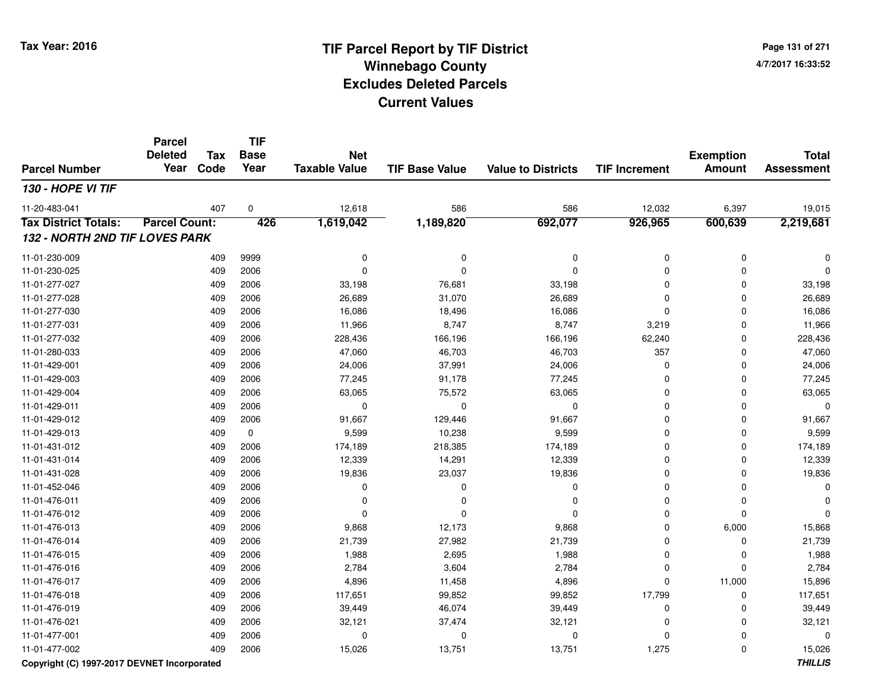**Page 131 of 2714/7/2017 16:33:52**

#### **TIF Base ValueParcel NumberTotal AssessmentExemption Amount Value to Districts TIF IncrementTIF Base YearTax CodeParcel Deleted YearNet Taxable Value130 - HOPE VI TIF**11-20-483-0411 407 0 12,618 586 586 12,032 6,397 19,015 **Tax District Totals: Parcel Count: <sup>426</sup> 1,619,042 1,189,820 692,077 926,965 600,639 2,219,681 132 - NORTH 2ND TIF LOVES PARK**11-01-230-009 <sup>409</sup> <sup>0</sup> <sup>9999</sup> <sup>0</sup> <sup>0</sup> <sup>0</sup> <sup>0</sup> <sup>0</sup> 11-01-230-025 <sup>409</sup> <sup>0</sup> <sup>2006</sup> <sup>0</sup> <sup>0</sup> <sup>0</sup> <sup>0</sup> <sup>0</sup> 11-01-277-027 <sup>409</sup> 33,198 <sup>2006</sup> 76,681 33,198 <sup>0</sup> <sup>0</sup> 33,198 11-01-277-028 <sup>409</sup> 26,689 <sup>2006</sup> 31,070 26,689 <sup>0</sup> <sup>0</sup> 26,689 11-01-277-0300 409 2006 16,086 18,496 16,086 0 0 16,086 11-01-277-0311 409 2006 11,966 8,747 8,747 3,219 0 11,966 11-01-277-0322 409 2006 228,436 166,196 166,196 62,240 0 228,436 11-01-280-0333 409 2006 47,060 46,703 46,703 357 0 47,060 11-01-429-0011 409 2006 24,006 37,991 24,006 0 24,006 11-01-429-0033 409 2006 77,245 91,178 77,245 0 0 77,245 11-01-429-004 <sup>409</sup> 63,065 <sup>2006</sup> 75,572 63,065 <sup>0</sup> <sup>0</sup> 63,065 11-01-429-011 <sup>409</sup> <sup>0</sup> <sup>2006</sup> <sup>0</sup> <sup>0</sup> <sup>0</sup> <sup>0</sup> <sup>0</sup> 11-01-429-012 <sup>409</sup> 91,667 <sup>2006</sup> 129,446 91,667 <sup>0</sup> <sup>0</sup> 91,667 11-01-429-013 $3$  0  $409$  0  $9,599$  10,238  $9,599$  9,599 0 0  $9,599$ 11-01-431-012 <sup>409</sup> 174,189 <sup>2006</sup> 218,385 174,189 <sup>0</sup> <sup>0</sup> 174,189 11-01-431-0144 409 2006 12,339 14,291 12,339 0 0 12,339 11-01-431-028 <sup>409</sup> 19,836 <sup>2006</sup> 23,037 19,836 <sup>0</sup> <sup>0</sup> 19,836 11-01-452-046 <sup>409</sup> <sup>0</sup> <sup>2006</sup> <sup>0</sup> <sup>0</sup> <sup>0</sup> <sup>0</sup> <sup>0</sup> 11-01-476-011 <sup>409</sup> <sup>0</sup> <sup>2006</sup> <sup>0</sup> <sup>0</sup> <sup>0</sup> <sup>0</sup> <sup>0</sup> 11-01-476-012 <sup>409</sup> <sup>0</sup> <sup>2006</sup> <sup>0</sup> <sup>0</sup> <sup>0</sup> <sup>0</sup> <sup>0</sup> 11-01-476-0133 409 2006 9,868 12,173 9,868 0 6,000 15,868 11-01-476-014 <sup>409</sup> 21,739 <sup>2006</sup> 27,982 21,739 <sup>0</sup> <sup>0</sup> 21,739 11-01-476-0155 409 2006 1,988 2,695 1,988 0 0 1,988 11-01-476-016 <sup>409</sup> 2,784 <sup>2006</sup> 3,604 2,784 <sup>0</sup> <sup>0</sup> 2,784 11-01-476-017 <sup>409</sup> 4,896 <sup>2006</sup> 11,458 4,896 <sup>0</sup> 11,000 15,896 11-01-476-018 <sup>409</sup> 117,651 <sup>2006</sup> 99,852 99,852 17,799 <sup>0</sup> 117,651 11-01-476-0199 409 2006 39,449 46,074 39,449 0 0 39,449 11-01-476-0211 409 2006 32,121 37,474 32,121 0 0 32,121 11-01-477-001 <sup>409</sup> <sup>0</sup> <sup>2006</sup> <sup>0</sup> <sup>0</sup> <sup>0</sup> <sup>0</sup> <sup>0</sup> 11-01-477-0022 409 2006 15,026 13,751 1,3,751 1,275 0 15,026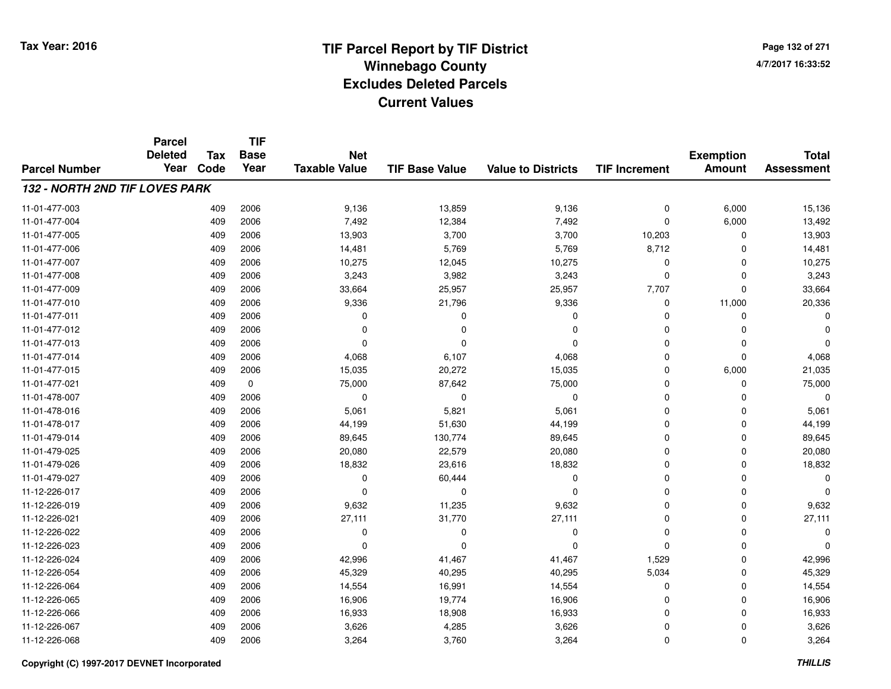**TIF**

**Parcel**

**Page 132 of 2714/7/2017 16:33:52**

#### **TIF Base ValueParcel NumberTotal AssessmentExemption Amount Value to Districts TIF Increment Base YearTax Code Deleted YearNet Taxable Value132 - NORTH 2ND TIF LOVES PARK**11-01-477-0033 409 2006 9,136 13,859 9,136 0 6,000 15,136 11-01-477-004 <sup>409</sup> 7,492 <sup>2006</sup> 12,384 7,492 <sup>0</sup> 6,000 13,492 11-01-477-005 <sup>409</sup> 13,903 <sup>2006</sup> 3,700 3,700 10,203 <sup>0</sup> 13,903 11-01-477-0066 409 2006 14,481 5,769 5,769 8,712 0 14,481 11-01-477-007 <sup>409</sup> 10,275 <sup>2006</sup> 12,045 10,275 <sup>0</sup> <sup>0</sup> 10,275 11-01-477-0088 409 2006 3,243 3,982 3,243 0 0 3,243 11-01-477-009 <sup>409</sup> 33,664 <sup>2006</sup> 25,957 25,957 7,707 <sup>0</sup> 33,664 11-01-477-0100 409 2006 9,336 21,796 9,336 0 11,000 20,336 11-01-477-011 <sup>409</sup> <sup>0</sup> <sup>2006</sup> <sup>0</sup> <sup>0</sup> <sup>0</sup> <sup>0</sup> <sup>0</sup> 11-01-477-012 <sup>409</sup> <sup>0</sup> <sup>2006</sup> <sup>0</sup> <sup>0</sup> <sup>0</sup> <sup>0</sup> <sup>0</sup> 11-01-477-013 <sup>409</sup> <sup>0</sup> <sup>2006</sup> <sup>0</sup> <sup>0</sup> <sup>0</sup> <sup>0</sup> <sup>0</sup> 11-01-477-0144 409 2006 4,068 6,107 4,068 0 4,068 11-01-477-015 <sup>409</sup> 15,035 <sup>2006</sup> 20,272 15,035 <sup>0</sup> 6,000 21,035 11-01-477-0211 409 0 75,000 87,642 75,000 0 75,000 11-01-478-007 <sup>409</sup> <sup>0</sup> <sup>2006</sup> <sup>0</sup> <sup>0</sup> <sup>0</sup> <sup>0</sup> <sup>0</sup> 11-01-478-0166 409 2006 5,061 5,821 5,061 0 5,061 11-01-478-017 <sup>409</sup> 44,199 <sup>2006</sup> 51,630 44,199 <sup>0</sup> <sup>0</sup> 44,199 11-01-479-014 <sup>409</sup> 89,645 <sup>2006</sup> 130,774 89,645 <sup>0</sup> <sup>0</sup> 89,645 11-01-479-025 <sup>409</sup> 20,080 <sup>2006</sup> 22,579 20,080 <sup>0</sup> <sup>0</sup> 20,080 11-01-479-0266 409 2006 18,832 23,616 18,832 0 0 18,832 11-01-479-027 $7$  0 2006 0 0 60,444 0 0 0 0 0 0 0 0 11-12-226-017 <sup>409</sup> <sup>0</sup> <sup>2006</sup> <sup>0</sup> <sup>0</sup> <sup>0</sup> <sup>0</sup> <sup>0</sup> 11-12-226-0199 409 2006 9,632 11,235 9,632 0 0 9,632 11-12-226-0211 409 2006 27,111 31,770 27,111 0 0 27,111 11-12-226-022 <sup>409</sup> <sup>0</sup> <sup>2006</sup> <sup>0</sup> <sup>0</sup> <sup>0</sup> <sup>0</sup> <sup>0</sup> 11-12-226-023 <sup>409</sup> <sup>0</sup> <sup>2006</sup> <sup>0</sup> <sup>0</sup> <sup>0</sup> <sup>0</sup> <sup>0</sup> 11-12-226-024 <sup>409</sup> 42,996 <sup>2006</sup> 41,467 41,467 1,529 <sup>0</sup> 42,996 11-12-226-0544 2006 45,329 40,295 46,295 45,329 40,295 40,295 40,295 5,034 5,034 5,034 40,405,329 11-12-226-0644 409 2006 14,554 16,991 14,554 0 14,554 11-12-226-0655 409 2006 16,906 19,774 16,906 0 0 16,906 11-12-226-0666 409 2006 16,933 18,908 16,933 0 0 16,933 11-12-226-0677 409 2006 3,626 4,285 3,626 0 0 3,626 11-12-226-0688 409 2006 3,264 3,760 3,264 0 0 3,264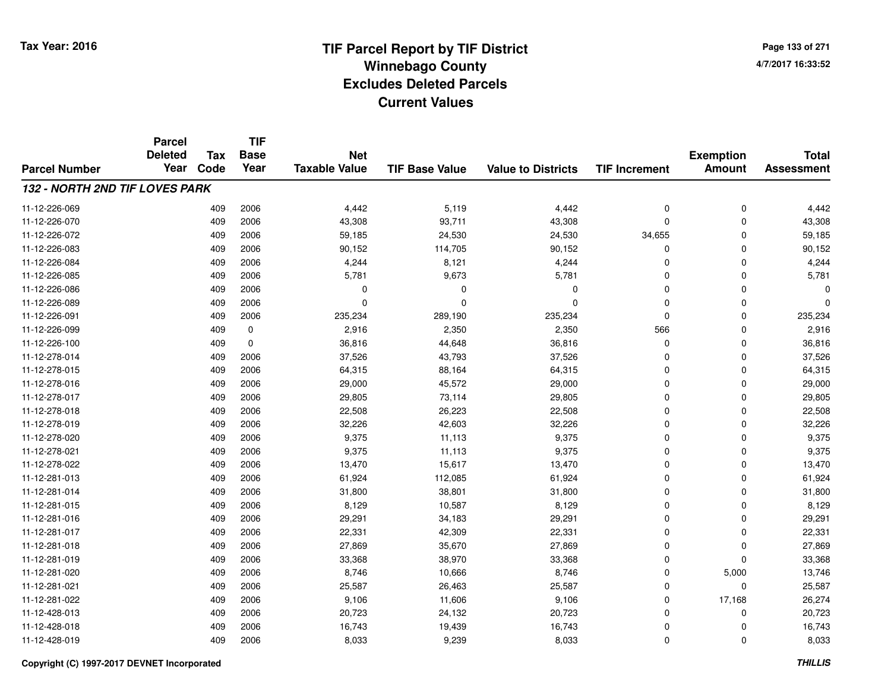**Page 133 of 2714/7/2017 16:33:52**

|                                | <b>Parcel</b><br><b>Deleted</b> | <b>Tax</b> | <b>TIF</b><br><b>Base</b> | <b>Net</b>           |                       |                           |                      | <b>Exemption</b> | <b>Total</b>      |
|--------------------------------|---------------------------------|------------|---------------------------|----------------------|-----------------------|---------------------------|----------------------|------------------|-------------------|
| <b>Parcel Number</b>           | Year                            | Code       | Year                      | <b>Taxable Value</b> | <b>TIF Base Value</b> | <b>Value to Districts</b> | <b>TIF Increment</b> | <b>Amount</b>    | <b>Assessment</b> |
| 132 - NORTH 2ND TIF LOVES PARK |                                 |            |                           |                      |                       |                           |                      |                  |                   |
| 11-12-226-069                  |                                 | 409        | 2006                      | 4,442                | 5,119                 | 4,442                     | 0                    | $\mathbf 0$      | 4,442             |
| 11-12-226-070                  |                                 | 409        | 2006                      | 43,308               | 93,711                | 43,308                    | 0                    | $\mathbf 0$      | 43,308            |
| 11-12-226-072                  |                                 | 409        | 2006                      | 59,185               | 24,530                | 24,530                    | 34,655               | $\Omega$         | 59,185            |
| 11-12-226-083                  |                                 | 409        | 2006                      | 90,152               | 114,705               | 90,152                    | 0                    | 0                | 90,152            |
| 11-12-226-084                  |                                 | 409        | 2006                      | 4,244                | 8,121                 | 4,244                     | 0                    | $\Omega$         | 4,244             |
| 11-12-226-085                  |                                 | 409        | 2006                      | 5,781                | 9,673                 | 5,781                     | 0                    | $\Omega$         | 5,781             |
| 11-12-226-086                  |                                 | 409        | 2006                      | 0                    | 0                     | 0                         | 0                    | $\Omega$         |                   |
| 11-12-226-089                  |                                 | 409        | 2006                      | $\Omega$             | $\Omega$              | $\Omega$                  | 0                    | $\mathbf 0$      | 0                 |
| 11-12-226-091                  |                                 | 409        | 2006                      | 235,234              | 289,190               | 235,234                   | 0                    | $\mathbf 0$      | 235,234           |
| 11-12-226-099                  |                                 | 409        | 0                         | 2,916                | 2,350                 | 2,350                     | 566                  | $\mathbf 0$      | 2,916             |
| 11-12-226-100                  |                                 | 409        | $\mathbf 0$               | 36,816               | 44,648                | 36,816                    | 0                    | $\mathbf 0$      | 36,816            |
| 11-12-278-014                  |                                 | 409        | 2006                      | 37,526               | 43,793                | 37,526                    | 0                    | $\mathbf 0$      | 37,526            |
| 11-12-278-015                  |                                 | 409        | 2006                      | 64,315               | 88,164                | 64,315                    | 0                    | $\mathbf 0$      | 64,315            |
| 11-12-278-016                  |                                 | 409        | 2006                      | 29,000               | 45,572                | 29,000                    | 0                    | $\mathbf 0$      | 29,000            |
| 11-12-278-017                  |                                 | 409        | 2006                      | 29,805               | 73,114                | 29,805                    | 0                    | $\mathbf 0$      | 29,805            |
| 11-12-278-018                  |                                 | 409        | 2006                      | 22,508               | 26,223                | 22,508                    | 0                    | 0                | 22,508            |
| 11-12-278-019                  |                                 | 409        | 2006                      | 32,226               | 42,603                | 32,226                    | 0                    | $\Omega$         | 32,226            |
| 11-12-278-020                  |                                 | 409        | 2006                      | 9,375                | 11,113                | 9,375                     | 0                    | 0                | 9,375             |
| 11-12-278-021                  |                                 | 409        | 2006                      | 9,375                | 11,113                | 9,375                     | 0                    | $\mathbf 0$      | 9,375             |
| 11-12-278-022                  |                                 | 409        | 2006                      | 13,470               | 15,617                | 13,470                    | 0                    | 0                | 13,470            |
| 11-12-281-013                  |                                 | 409        | 2006                      | 61,924               | 112,085               | 61,924                    | 0                    | $\Omega$         | 61,924            |
| 11-12-281-014                  |                                 | 409        | 2006                      | 31,800               | 38,801                | 31,800                    | 0                    | 0                | 31,800            |
| 11-12-281-015                  |                                 | 409        | 2006                      | 8,129                | 10,587                | 8,129                     | 0                    | $\mathbf 0$      | 8,129             |
| 11-12-281-016                  |                                 | 409        | 2006                      | 29,291               | 34,183                | 29,291                    | 0                    | $\mathbf 0$      | 29,291            |
| 11-12-281-017                  |                                 | 409        | 2006                      | 22,331               | 42,309                | 22,331                    | 0                    | $\Omega$         | 22,331            |
| 11-12-281-018                  |                                 | 409        | 2006                      | 27,869               | 35,670                | 27,869                    | 0                    | $\mathbf 0$      | 27,869            |
| 11-12-281-019                  |                                 | 409        | 2006                      | 33,368               | 38,970                | 33,368                    | 0                    | $\mathbf 0$      | 33,368            |
| 11-12-281-020                  |                                 | 409        | 2006                      | 8,746                | 10,666                | 8,746                     | 0                    | 5,000            | 13,746            |
| 11-12-281-021                  |                                 | 409        | 2006                      | 25,587               | 26,463                | 25,587                    | 0                    | $\mathbf 0$      | 25,587            |
| 11-12-281-022                  |                                 | 409        | 2006                      | 9,106                | 11,606                | 9,106                     | 0                    | 17,168           | 26,274            |
| 11-12-428-013                  |                                 | 409        | 2006                      | 20,723               | 24,132                | 20,723                    | 0                    | 0                | 20,723            |
| 11-12-428-018                  |                                 | 409        | 2006                      | 16,743               | 19,439                | 16,743                    | 0                    | 0                | 16,743            |
| 11-12-428-019                  |                                 | 409        | 2006                      | 8,033                | 9,239                 | 8,033                     | 0                    | $\Omega$         | 8,033             |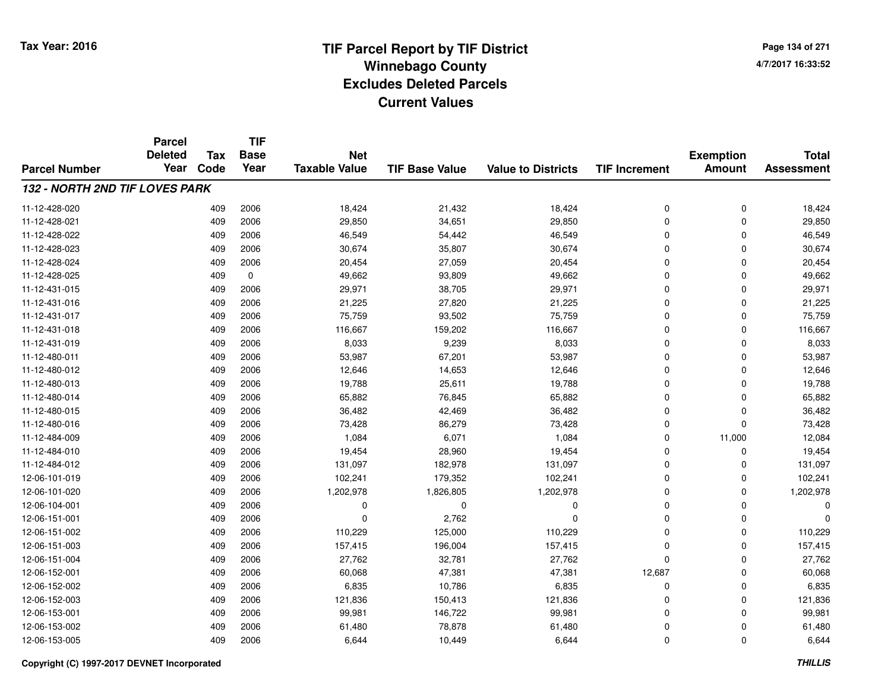**TIF**

**Parcel**

**Page 134 of 2714/7/2017 16:33:52**

#### **TIF Base ValueParcel NumberTotal AssessmentExemption Amount Value to Districts TIF Increment Base YearTax Code Deleted YearNet Taxable Value132 - NORTH 2ND TIF LOVES PARK**11-12-428-0200 409 2006 18,424 21,432 18,424 0 0 18,424 11-12-428-0211 409 2006 29,850 34,651 29,850 0 29,850 11-12-428-0222 409 2006 46,549 54,442 46,549 0 0 46,549 11-12-428-0233 409 2006 30,674 35,807 30,674 0 0 30,674 11-12-428-0244 20,454 2006 2006 20,454 27,059 20,454 20,454 0 0 0 20,454 11-12-428-025 <sup>409</sup> 49,662 <sup>0</sup> 93,809 49,662 <sup>0</sup> <sup>0</sup> 49,662 11-12-431-015 <sup>409</sup> 29,971 <sup>2006</sup> 38,705 29,971 <sup>0</sup> <sup>0</sup> 29,971 11-12-431-0166 409 2006 21,225 27,820 21,225 0 0 21,225 11-12-431-017 <sup>409</sup> 75,759 <sup>2006</sup> 93,502 75,759 <sup>0</sup> <sup>0</sup> 75,759 11-12-431-0188 409 2006 116,667 159,202 116,667 0 116,667 11-12-431-0199 409 2006 8,033 9,239 8,033 0 8,033 11-12-480-0111 409 2006 53,987 67,201 53,987 0 0 53,987 11-12-480-0122 409 2006 12,646 14,653 12,646 0 0 12,646 11-12-480-0133 409 2006 19,788 25,611 19,788 0 0 19,788 11-12-480-014 <sup>409</sup> 65,882 <sup>2006</sup> 76,845 65,882 <sup>0</sup> <sup>0</sup> 65,882 11-12-480-0155 409 2006 36,482 42,469 36,482 0 0 36,482 11-12-480-016 <sup>409</sup> 73,428 <sup>2006</sup> 86,279 73,428 <sup>0</sup> <sup>0</sup> 73,428 11-12-484-0099 409 2006 1,084 6,071 1,084 0 11,000 12,084 11-12-484-0100 409 2006 19,454 28,960 19,454 0 0 19,454 11-12-484-012 <sup>409</sup> 131,097 <sup>2006</sup> 182,978 131,097 <sup>0</sup> <sup>0</sup> 131,097 12-06-101-0199 409 2006 102,241 179,352 102,241 0 102,241 12-06-101-0200 409 2006 1,202,978 1,826,805 1,202,978 0 1,202,978 12-06-104-001 <sup>409</sup> <sup>0</sup> <sup>2006</sup> <sup>0</sup> <sup>0</sup> <sup>0</sup> <sup>0</sup> <sup>0</sup> 12-06-151-001 $1$  and  $409$  2006 and  $200$  contracts and  $2,762$  contracts and  $200$  contracts and  $200$  contracts and  $200$ 12-06-151-002 <sup>409</sup> 110,229 <sup>2006</sup> 125,000 110,229 <sup>0</sup> <sup>0</sup> 110,229 12-06-151-0033 409 2006 157,415 196,004 157,415 0 0 157,415 12-06-151-004 <sup>409</sup> 27,762 <sup>2006</sup> 32,781 27,762 <sup>0</sup> <sup>0</sup> 27,762 12-06-152-0011 409 2006 60,068 47,381 47,381 12,687 0 60,068 12-06-152-0022 409 2006 6,835 10,786 6,835 0 6,835 12-06-152-0033 409 2006 121,836 150,413 121,836 0 0 121,836 12-06-153-0011 409 2006 99,981 146,722 99,981 0 0 99,981 12-06-153-0022 409 2006 61,480 78,878 61,480 0 0 61,480 12-06-153-0055 409 2006 6,644 10,449 6,644 0 6,644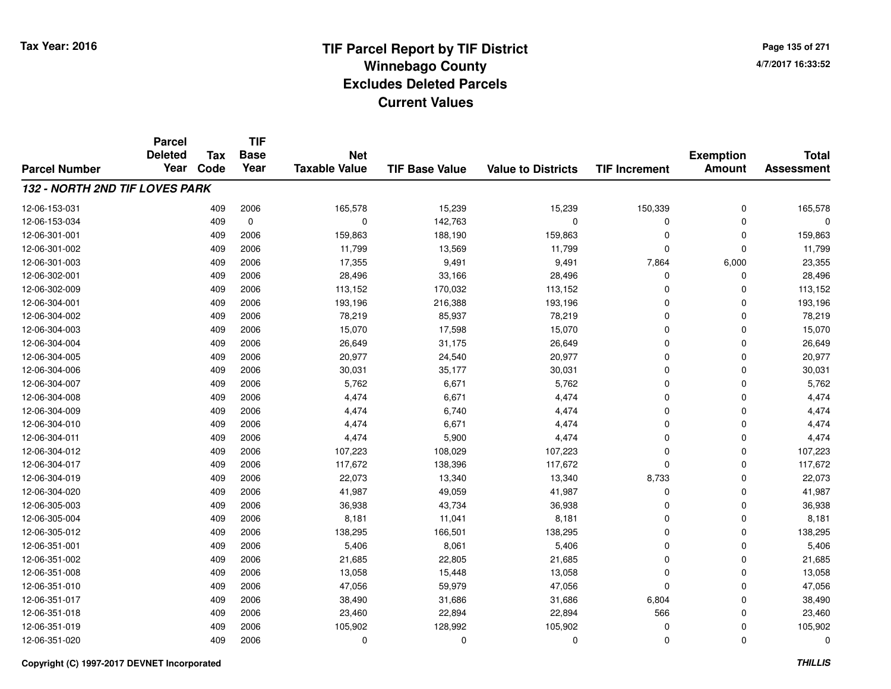**TIF**

**Parcel**

**Page 135 of 2714/7/2017 16:33:52**

#### **TIF Base ValueParcel NumberTotal AssessmentExemption Amount Value to Districts TIF Increment Base YearTax Code Deleted YearNet Taxable Value132 - NORTH 2ND TIF LOVES PARK**12-06-153-0311 409 2006 165,578 15,239 15,239 150,339 0 165,578 12-06-153-0344 409 0 0 142,763 0 12-06-301-0011 409 2006 159,863 188,190 159,863 0 159,863 12-06-301-0022 409 2006 11,799 13,569 11,799 0 0 11,799 12-06-301-0033 409 2006 17,355 9,491 9,491 7,864 6,000 23,355 12-06-302-0011 409 2006 28,496 33,166 28,496 0 28,496 12-06-302-009 <sup>409</sup> 113,152 <sup>2006</sup> 170,032 113,152 <sup>0</sup> <sup>0</sup> 113,152 12-06-304-0011 409 2006 193,196 216,388 193,196 0 0 193,196 12-06-304-0022 409 2006 78,219 85,937 78,219 0 0 78,219 12-06-304-0033 409 2006 15,070 17,598 15,070 0 0 15,070 12-06-304-0044 409 2006 26,649 31,175 26,649 0 26,649 12-06-304-005 <sup>409</sup> 20,977 <sup>2006</sup> 24,540 20,977 <sup>0</sup> <sup>0</sup> 20,977 12-06-304-006 <sup>409</sup> 30,031 <sup>2006</sup> 35,177 30,031 <sup>0</sup> <sup>0</sup> 30,031 12-06-304-007 <sup>409</sup> 5,762 <sup>2006</sup> 6,671 5,762 <sup>0</sup> <sup>0</sup> 5,762 12-06-304-008 <sup>409</sup> 4,474 <sup>2006</sup> 6,671 4,474 <sup>0</sup> <sup>0</sup> 4,474 12-06-304-009 <sup>409</sup> 4,474 <sup>2006</sup> 6,740 4,474 <sup>0</sup> <sup>0</sup> 4,474 12-06-304-0100 409 2006 4,474 6,671 4,474 0 0 4,474 12-06-304-0111 1 2 3 409 2006 4,474 5,900 4,474 5,900 4,474 0 0 4,474 12-06-304-0122 2 409 2006 107,223 108,029 107,223 0 107,223 12-06-304-017 <sup>409</sup> 117,672 <sup>2006</sup> 138,396 117,672 <sup>0</sup> <sup>0</sup> 117,672 12-06-304-019 <sup>409</sup> 22,073 <sup>2006</sup> 13,340 13,340 8,733 <sup>0</sup> 22,073 12-06-304-0200 409 2006 41,987 49,059 41,987 0 0 41,987 12-06-305-0033 409 2006 36,938 43,734 36,938 0 0 36,938 12-06-305-004 <sup>409</sup> 8,181 <sup>2006</sup> 11,041 8,181 <sup>0</sup> <sup>0</sup> 8,181 12-06-305-0122 2 409 2006 138,295 166,501 138,295 0 138,295 12-06-351-0011 409 2006 5,406 8,061 5,406 0 5,406 12-06-351-0022 409 2006 21,685 22,805 21,685 0 21,685 12-06-351-0088 409 2006 13,058 15,448 13,058 0 13,058 12-06-351-010 <sup>409</sup> 47,056 <sup>2006</sup> 59,979 47,056 <sup>0</sup> <sup>0</sup> 47,056 12-06-351-017 <sup>409</sup> 38,490 <sup>2006</sup> 31,686 31,686 6,804 <sup>0</sup> 38,490 12-06-351-018 <sup>409</sup> 23,460 <sup>2006</sup> 22,894 22,894 <sup>566</sup> <sup>0</sup> 23,460 12-06-351-019 <sup>409</sup> 105,902 <sup>2006</sup> 128,992 105,902 <sup>0</sup> <sup>0</sup> 105,902 12-06-351-020<sup>409</sup> <sup>0</sup> <sup>2006</sup> <sup>0</sup> <sup>0</sup> <sup>0</sup> <sup>0</sup> <sup>0</sup>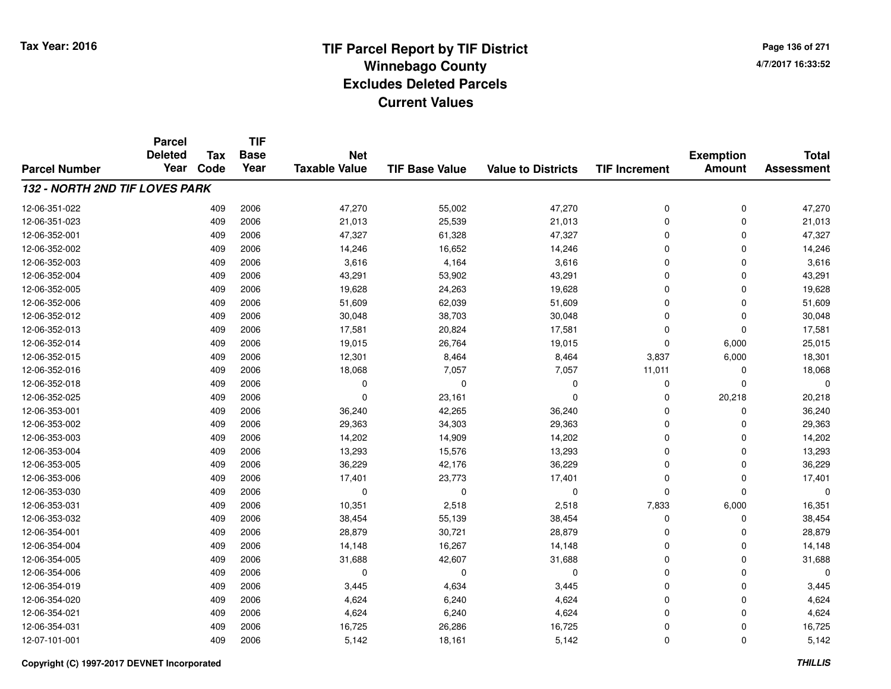**TIF**

**Parcel**

**Page 136 of 2714/7/2017 16:33:52**

#### **TIF Base ValueParcel NumberTotal AssessmentExemption Amount Value to Districts TIF Increment Base YearTax Code Deleted YearNet Taxable Value132 - NORTH 2ND TIF LOVES PARK**12-06-351-0222 409 2006 47,270 55,002 47,270 0 0 47,270 12-06-351-0233 409 2006 21,013 25,539 21,013 0 0 21,013 12-06-352-0011 409 2006 47,327 61,328 47,327 0 0 47,327 12-06-352-0022 409 2006 14,246 16,652 14,246 0 0 14,246 12-06-352-0033 409 2006 3,616 4,164 3,616 0 0 3,616 12-06-352-0044 2006 43,291 53,902 43,291 53,902 43,291 0 0 0 43,291 12-06-352-0055 409 2006 19,628 24,263 19,628 0 0 19,628 12-06-352-006 <sup>409</sup> 51,609 <sup>2006</sup> 62,039 51,609 <sup>0</sup> <sup>0</sup> 51,609 12-06-352-0122 409 2006 30,048 38,703 30,048 0 30,048 12-06-352-0133 409 2006 17,581 20,824 17,581 0 0 17,581 12-06-352-014 <sup>409</sup> 19,015 <sup>2006</sup> 26,764 19,015 <sup>0</sup> 6,000 25,015 12-06-352-015 <sup>409</sup> 12,301 <sup>2006</sup> 8,464 8,464 3,837 6,000 18,301 12-06-352-016 <sup>409</sup> 18,068 <sup>2006</sup> 7,057 7,057 11,011 <sup>0</sup> 18,068 12-06-352-018 <sup>409</sup> <sup>0</sup> <sup>2006</sup> <sup>0</sup> <sup>0</sup> <sup>0</sup> <sup>0</sup> <sup>0</sup> 12-06-352-0255 409 2006 0 23,161 0 0 20,218 20,218 12-06-353-0011 409 2006 36,240 42,265 36,240 0 0 36,240 12-06-353-0022 409 2006 29,363 34,303 29,363 0 29,363 12-06-353-0033 409 2006 14,202 14,909 14,202 0 14,202 12-06-353-0044 409 2006 13,293 15,576 13,293 0 0 13,293 12-06-353-0055 409 2006 36,229 42,176 36,229 0 0 36,229 12-06-353-006 <sup>409</sup> 17,401 <sup>2006</sup> 23,773 17,401 <sup>0</sup> <sup>0</sup> 17,401 12-06-353-030 <sup>409</sup> <sup>0</sup> <sup>2006</sup> <sup>0</sup> <sup>0</sup> <sup>0</sup> <sup>0</sup> <sup>0</sup> 12-06-353-0311 409 2006 10,351 2,518 2,518 7,833 6,000 16,351 12-06-353-0322 409 2006 38,454 55,139 38,454 0 0 38,454 12-06-354-0011 409 2006 28,879 30,721 28,879 0 28,879 12-06-354-004 <sup>409</sup> 14,148 <sup>2006</sup> 16,267 14,148 <sup>0</sup> <sup>0</sup> 14,148 12-06-354-0055 409 2006 31,688 42,607 31,688 0 0 31,688 12-06-354-006 <sup>409</sup> <sup>0</sup> <sup>2006</sup> <sup>0</sup> <sup>0</sup> <sup>0</sup> <sup>0</sup> <sup>0</sup> 12-06-354-0199 409 2006 3,445 4,634 3,445 0 0 3,445 12-06-354-0200 409 2006 4,624 6,240 4,624 0 0 4,624 12-06-354-0211 409 2006 4,624 6,240 4,624 0 4,624 12-06-354-0311 409 2006 16,725 26,286 16,725 0 0 16,725 12-07-101-0011 409 2006 5,142 18,161 5,142 0 0 5,142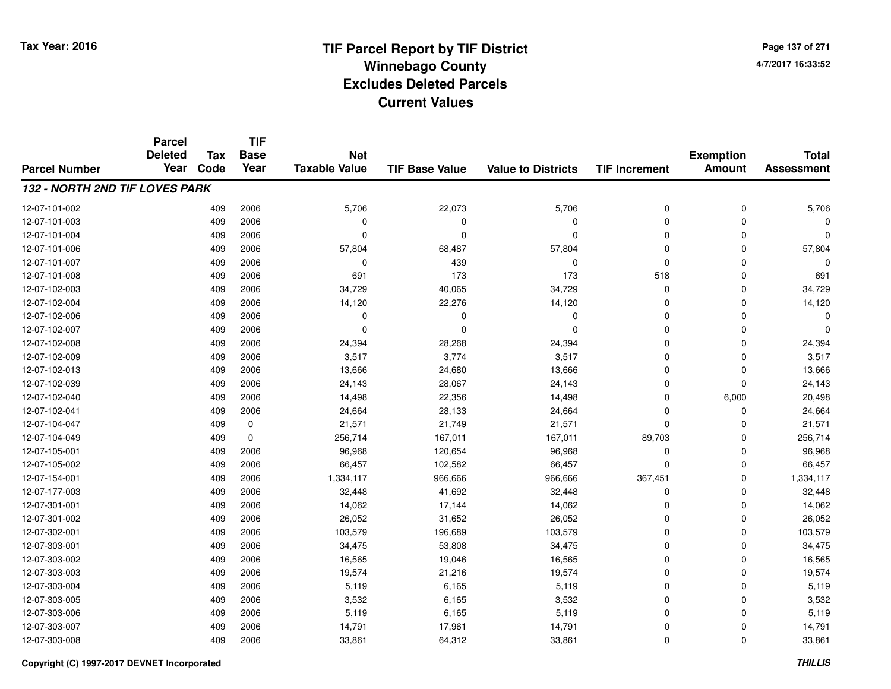**Page 137 of 2714/7/2017 16:33:52**

#### **TIF Base ValueParcel NumberTotal AssessmentExemption Amount Value to Districts TIF IncrementTIF Base YearTax CodeParcel Deleted YearNet Taxable Value132 - NORTH 2ND TIF LOVES PARK**12-07-101-0022 409 2006 5,706 22,073 5,706 0 0 5,706 12-07-101-003 <sup>409</sup> <sup>0</sup> <sup>2006</sup> <sup>0</sup> <sup>0</sup> <sup>0</sup> <sup>0</sup> <sup>0</sup> 12-07-101-004 <sup>409</sup> <sup>0</sup> <sup>2006</sup> <sup>0</sup> <sup>0</sup> <sup>0</sup> <sup>0</sup> <sup>0</sup> 12-07-101-006 <sup>409</sup> 57,804 <sup>2006</sup> 68,487 57,804 <sup>0</sup> <sup>0</sup> 57,804 12-07-101-007 <sup>409</sup> <sup>0</sup> <sup>2006</sup> <sup>439</sup> <sup>0</sup> <sup>0</sup> <sup>0</sup> <sup>0</sup> 12-07-101-008 <sup>409</sup> <sup>691</sup> <sup>2006</sup> <sup>173</sup> <sup>173</sup> <sup>518</sup> <sup>0</sup> <sup>691</sup> 12-07-102-0033 409 2006 34,729 40,065 34,729 0 0 34,729 12-07-102-004 <sup>409</sup> 14,120 <sup>2006</sup> 22,276 14,120 <sup>0</sup> <sup>0</sup> 14,120 12-07-102-006 <sup>409</sup> <sup>0</sup> <sup>2006</sup> <sup>0</sup> <sup>0</sup> <sup>0</sup> <sup>0</sup> <sup>0</sup> 12-07-102-007 <sup>409</sup> <sup>0</sup> <sup>2006</sup> <sup>0</sup> <sup>0</sup> <sup>0</sup> <sup>0</sup> <sup>0</sup> 12-07-102-0088 409 2006 24,394 28,268 24,394 0 0 24,394 12-07-102-0099 409 2006 3,517 3,774 3,517 0 0 3,517 12-07-102-0133 409 2006 13,666 24,680 13,666 0 0 13,666 12-07-102-039 <sup>409</sup> 24,143 <sup>2006</sup> 28,067 24,143 <sup>0</sup> <sup>0</sup> 24,143 12-07-102-0400 409 2006 14,498 22,356 14,498 0 6,000 20,498 12-07-102-0411 409 2006 24,664 28,133 24,664 0 24,664 12-07-104-047 <sup>409</sup> 21,571 <sup>0</sup> 21,749 21,571 <sup>0</sup> <sup>0</sup> 21,571 12-07-104-0499 409 0 256,714 167,011 167,011 89,703 0 256,714 12-07-105-001 <sup>409</sup> 96,968 <sup>2006</sup> 120,654 96,968 <sup>0</sup> <sup>0</sup> 96,968 12-07-105-0022 409 2006 66,457 102,582 66,457 0 0 66,457 12-07-154-0011 1 1 1 1,334,117 1 966,666 966,666 966,666 367,451 0 1,334,117 12-07-177-0033 409 2006 32,448 41,692 32,448 0 32,448 12-07-301-0011 409 2006 14,062 17,144 14,062 0 14,062 12-07-301-0022 2 2 2006 26,052 31,652 26,052 26,052 30 26,052 3 26,052 3 26,052 26,052 26,052 12-07-302-0011 409 2006 103,579 196,689 103,579 0 103,579 12-07-303-0011 409 2006 34,475 53,808 34,475 0 0 34,475 12-07-303-0022 409 2006 16,565 19,046 16,565 0 0 16,565 12-07-303-003 <sup>409</sup> 19,574 <sup>2006</sup> 21,216 19,574 <sup>0</sup> <sup>0</sup> 19,574 12-07-303-004 <sup>409</sup> 5,119 <sup>2006</sup> 6,165 5,119 <sup>0</sup> <sup>0</sup> 5,119 12-07-303-005 <sup>409</sup> 3,532 <sup>2006</sup> 6,165 3,532 <sup>0</sup> <sup>0</sup> 3,532 12-07-303-006 <sup>409</sup> 5,119 <sup>2006</sup> 6,165 5,119 <sup>0</sup> <sup>0</sup> 5,119 12-07-303-007 <sup>409</sup> 14,791 <sup>2006</sup> 17,961 14,791 <sup>0</sup> <sup>0</sup> 14,791 12-07-303-0088 409 2006 33,861 64,312 33,861 0 0 33,861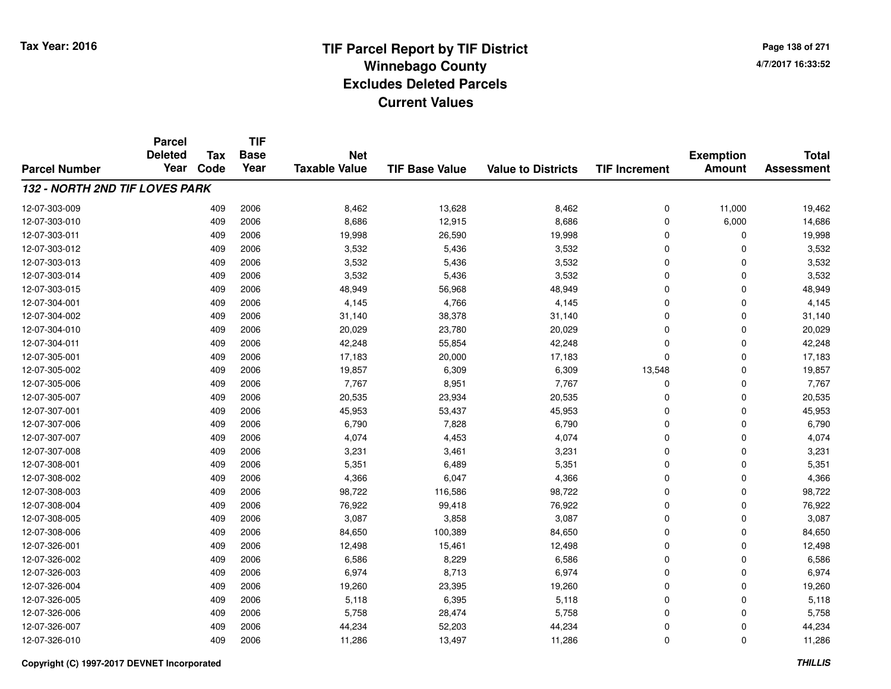**TIF**

**Parcel**

**Page 138 of 2714/7/2017 16:33:52**

#### **TIF Base ValueParcel NumberTotal AssessmentExemption Amount Value to Districts TIF Increment Base YearTax Code Deleted YearNet Taxable Value132 - NORTH 2ND TIF LOVES PARK**12-07-303-0099 409 2006 8,462 13,628 8,462 0 11,000 19,462 12-07-303-0100 409 2006 8,686 12,915 8,686 0 6,000 14,686 12-07-303-0111 409 2006 19,998 26,590 19,998 0 19,998 12-07-303-0122 409 2006 3,532 5,436 3,532 0 0 3,532 12-07-303-013 $3$  3 2006 2006 3,532 5,436 3,532 3,532 0 0 0  $3,532$ 12-07-303-0144 409 2006 3,532 5,436 3,532 0 0 3,532 12-07-303-0155 409 2006 48,949 56,968 48,949 0 0 48,949 12-07-304-0011 409 2006 4,145 4,766 4,145 0 0 4,145 12-07-304-0022 409 2006 31,140 38,378 31,140 0 0 31,140 12-07-304-0100 409 2006 20,029 23,780 20,029 0 0 20,029 12-07-304-0111 409 2006 42,248 55,854 42,248 0 42,248 12-07-305-001 <sup>409</sup> 17,183 <sup>2006</sup> 20,000 17,183 <sup>0</sup> <sup>0</sup> 17,183 12-07-305-0022 409 2006 19,857 6,309 6,309 13,548 0 19,857 12-07-305-006 <sup>409</sup> 7,767 <sup>2006</sup> 8,951 7,767 <sup>0</sup> <sup>0</sup> 7,767 12-07-305-007 <sup>409</sup> 20,535 <sup>2006</sup> 23,934 20,535 <sup>0</sup> <sup>0</sup> 20,535 12-07-307-0011 409 2006 45,953 53,437 45,953 0 45,953 12-07-307-006 <sup>409</sup> 6,790 <sup>2006</sup> 7,828 6,790 <sup>0</sup> <sup>0</sup> 6,790 12-07-307-007 <sup>409</sup> 4,074 <sup>2006</sup> 4,453 4,074 <sup>0</sup> <sup>0</sup> 4,074 12-07-307-0088 409 2006 3,231 3,461 3,231 0 3,231 12-07-308-0011 409 2006 5,351 6,489 5,351 0 0 5,351 12-07-308-0022 409 2006 4,366 6,047 4,366 0 0 4,366 12-07-308-0033 409 2006 98,722 116,586 98,722 0 0 98,722 12-07-308-004 <sup>409</sup> 76,922 <sup>2006</sup> 99,418 76,922 <sup>0</sup> <sup>0</sup> 76,922 12-07-308-005 <sup>409</sup> 3,087 <sup>2006</sup> 3,858 3,087 <sup>0</sup> <sup>0</sup> 3,087 12-07-308-006 <sup>409</sup> 84,650 <sup>2006</sup> 100,389 84,650 <sup>0</sup> <sup>0</sup> 84,650 12-07-326-0011 409 2006 12,498 15,461 12,498 0 12,498 12-07-326-0022 409 2006 6,586 8,229 6,586 0 0 6,586 12-07-326-0033 409 2006 6,974 8,713 6,974 0 0 6,974 12-07-326-004 <sup>409</sup> 19,260 <sup>2006</sup> 23,395 19,260 <sup>0</sup> <sup>0</sup> 19,260 12-07-326-0055 409 2006 5,118 6,395 5,118 0 0 5,118 12-07-326-006 <sup>409</sup> 5,758 <sup>2006</sup> 28,474 5,758 <sup>0</sup> <sup>0</sup> 5,758 12-07-326-007 <sup>409</sup> 44,234 <sup>2006</sup> 52,203 44,234 <sup>0</sup> <sup>0</sup> 44,234 12-07-326-0100 409 2006 11,286 13,497 11,286 0 0 11,286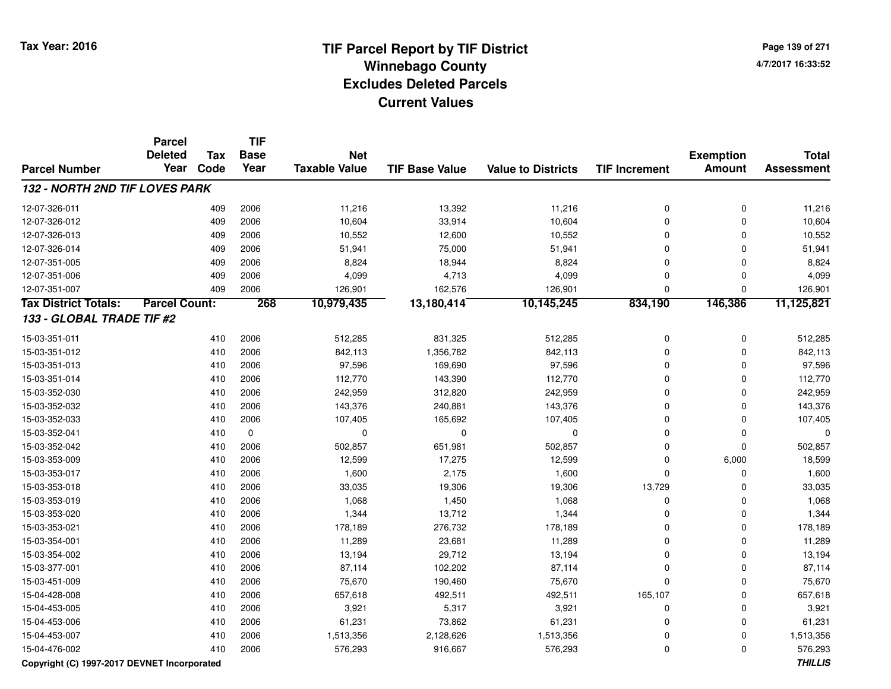**Page 139 of 2714/7/2017 16:33:52**

|                                       | <b>Parcel</b>        |      | <b>TIF</b>  |                      |                       |                           |                      |                  |                   |
|---------------------------------------|----------------------|------|-------------|----------------------|-----------------------|---------------------------|----------------------|------------------|-------------------|
|                                       | <b>Deleted</b>       | Tax  | <b>Base</b> | <b>Net</b>           |                       |                           |                      | <b>Exemption</b> | <b>Total</b>      |
| <b>Parcel Number</b>                  | Year                 | Code | Year        | <b>Taxable Value</b> | <b>TIF Base Value</b> | <b>Value to Districts</b> | <b>TIF Increment</b> | <b>Amount</b>    | <b>Assessment</b> |
| <b>132 - NORTH 2ND TIF LOVES PARK</b> |                      |      |             |                      |                       |                           |                      |                  |                   |
| 12-07-326-011                         |                      | 409  | 2006        | 11,216               | 13,392                | 11,216                    | 0                    | $\mathbf 0$      | 11,216            |
| 12-07-326-012                         |                      | 409  | 2006        | 10,604               | 33,914                | 10,604                    | 0                    | 0                | 10,604            |
| 12-07-326-013                         |                      | 409  | 2006        | 10,552               | 12,600                | 10,552                    | 0                    | $\Omega$         | 10,552            |
| 12-07-326-014                         |                      | 409  | 2006        | 51,941               | 75,000                | 51,941                    | 0                    | $\Omega$         | 51,941            |
| 12-07-351-005                         |                      | 409  | 2006        | 8,824                | 18,944                | 8,824                     | $\mathbf 0$          | $\Omega$         | 8,824             |
| 12-07-351-006                         |                      | 409  | 2006        | 4,099                | 4,713                 | 4,099                     | 0                    | $\Omega$         | 4,099             |
| 12-07-351-007                         |                      | 409  | 2006        | 126,901              | 162,576               | 126,901                   | $\mathbf 0$          | $\Omega$         | 126,901           |
| <b>Tax District Totals:</b>           | <b>Parcel Count:</b> |      | 268         | 10,979,435           | 13,180,414            | 10,145,245                | 834,190              | 146,386          | 11,125,821        |
| 133 - GLOBAL TRADE TIF #2             |                      |      |             |                      |                       |                           |                      |                  |                   |
| 15-03-351-011                         |                      | 410  | 2006        | 512,285              | 831,325               | 512,285                   | 0                    | 0                | 512,285           |
| 15-03-351-012                         |                      | 410  | 2006        | 842,113              | 1,356,782             | 842,113                   | 0                    | 0                | 842,113           |
| 15-03-351-013                         |                      | 410  | 2006        | 97,596               | 169,690               | 97,596                    | $\mathbf 0$          | $\Omega$         | 97,596            |
| 15-03-351-014                         |                      | 410  | 2006        | 112,770              | 143,390               | 112,770                   | 0                    | $\Omega$         | 112,770           |
| 15-03-352-030                         |                      | 410  | 2006        | 242,959              | 312,820               | 242,959                   | 0                    | 0                | 242,959           |
| 15-03-352-032                         |                      | 410  | 2006        | 143,376              | 240,881               | 143,376                   | 0                    | $\mathbf 0$      | 143,376           |
| 15-03-352-033                         |                      | 410  | 2006        | 107,405              | 165,692               | 107,405                   | 0                    | $\mathbf 0$      | 107,405           |
| 15-03-352-041                         |                      | 410  | $\mathbf 0$ | $\mathbf 0$          | $\mathbf 0$           | 0                         | 0                    | $\mathbf 0$      | 0                 |
| 15-03-352-042                         |                      | 410  | 2006        | 502,857              | 651,981               | 502,857                   | $\overline{0}$       | $\Omega$         | 502,857           |
| 15-03-353-009                         |                      | 410  | 2006        | 12,599               | 17,275                | 12,599                    | 0                    | 6,000            | 18,599            |
| 15-03-353-017                         |                      | 410  | 2006        | 1,600                | 2,175                 | 1,600                     | 0                    | $\Omega$         | 1,600             |
| 15-03-353-018                         |                      | 410  | 2006        | 33,035               | 19,306                | 19,306                    | 13,729               | $\Omega$         | 33,035            |
| 15-03-353-019                         |                      | 410  | 2006        | 1,068                | 1,450                 | 1,068                     | 0                    | $\Omega$         | 1,068             |
| 15-03-353-020                         |                      | 410  | 2006        | 1,344                | 13,712                | 1,344                     | $\mathbf 0$          | $\Omega$         | 1,344             |
| 15-03-353-021                         |                      | 410  | 2006        | 178,189              | 276,732               | 178,189                   | $\Omega$             | $\Omega$         | 178,189           |
| 15-03-354-001                         |                      | 410  | 2006        | 11,289               | 23,681                | 11,289                    | $\mathbf 0$          | $\Omega$         | 11,289            |
| 15-03-354-002                         |                      | 410  | 2006        | 13,194               | 29,712                | 13,194                    | 0                    | $\mathbf 0$      | 13,194            |
| 15-03-377-001                         |                      | 410  | 2006        | 87,114               | 102,202               | 87,114                    | 0                    | $\mathbf 0$      | 87,114            |
| 15-03-451-009                         |                      | 410  | 2006        | 75,670               | 190,460               | 75,670                    | 0                    | 0                | 75,670            |
| 15-04-428-008                         |                      | 410  | 2006        | 657,618              | 492,511               | 492,511                   | 165,107              | 0                | 657,618           |
| 15-04-453-005                         |                      | 410  | 2006        | 3,921                | 5,317                 | 3,921                     | 0                    | $\mathbf 0$      | 3,921             |
| 15-04-453-006                         |                      | 410  | 2006        | 61,231               | 73,862                | 61,231                    | 0                    | $\mathbf 0$      | 61,231            |
| 15-04-453-007                         |                      | 410  | 2006        | 1,513,356            | 2,128,626             | 1,513,356                 | 0                    | $\mathbf 0$      | 1,513,356         |
| 15-04-476-002                         |                      | 410  | 2006        | 576,293              | 916,667               | 576,293                   | $\mathbf 0$          | $\Omega$         | 576,293           |

**Copyright (C) 1997-2017 DEVNET Incorporated**

**THILLIS**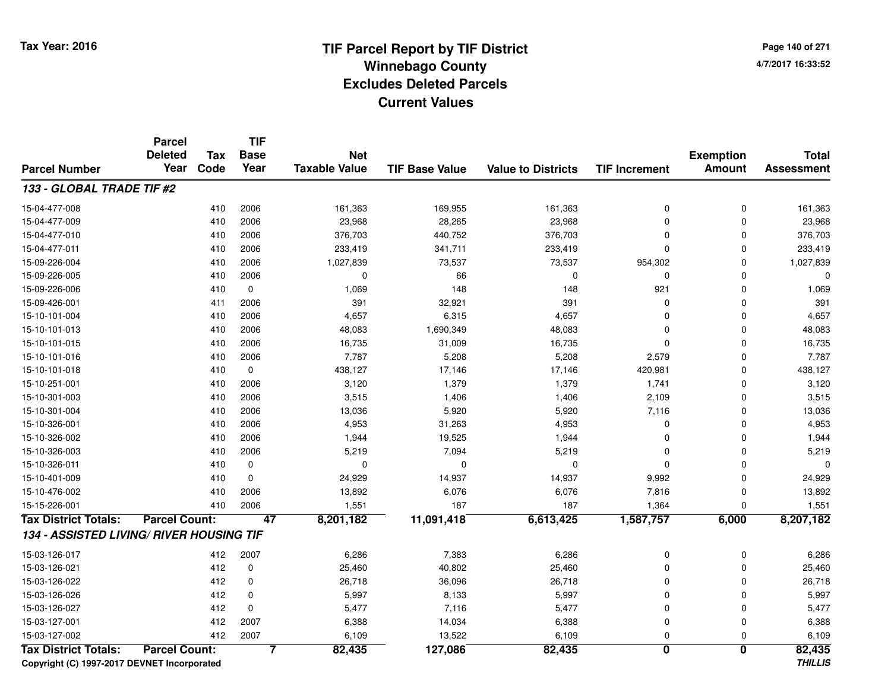**Page 140 of 2714/7/2017 16:33:52**

#### **TIF Base ValueParcel NumberTotal AssessmentExemption Amount Value to Districts TIF IncrementTIF Base YearTax CodeParcel Deleted YearNet Taxable Value133 - GLOBAL TRADE TIF #2**15-04-477-0088 410 2006 161,363 169,955 161,363 0 161,363 15-04-477-0099 410 2006 23,968 28,265 23,968 0 23,968 15-04-477-010 <sup>410</sup> 376,703 <sup>2006</sup> 440,752 376,703 <sup>0</sup> <sup>0</sup> 376,703 15-04-477-0111 410 2006 233,419 341,711 233,419 0 233,419 15-09-226-004410 2006 1,027,839 23,537 73,537 73,537 954,302 0 1,027,839 15-09-226-005 <sup>410</sup> <sup>0</sup> <sup>2006</sup> <sup>66</sup> <sup>0</sup> <sup>0</sup> <sup>0</sup> <sup>0</sup> 15-09-226-0066 410 0 1,069 148 148 921 0 1,069 15-09-426-0011 411 2006 391 32,921 391 0 391 15-10-101-0044 410 2006 4,657 6,315 4,657 0 4,657 15-10-101-0133 410 2006 48,083 1,690,349 48,083 0 48,083 15-10-101-015 <sup>410</sup> 16,735 <sup>2006</sup> 31,009 16,735 <sup>0</sup> <sup>0</sup> 16,735 15-10-101-016 <sup>410</sup> 7,787 <sup>2006</sup> 5,208 5,208 2,579 <sup>0</sup> 7,787 15-10-101-0188 410 0 438,127 17,146 17,146 420,981 0 438,127 15-10-251-0011 1 2006 3,120 1,379 1,379 1,379 1,379 1,374 0 3,120 15-10-301-0033 410 2006 3,515 1,406 1,406 2,109 0 3,515 15-10-301-004 <sup>410</sup> 13,036 <sup>2006</sup> 5,920 5,920 7,116 <sup>0</sup> 13,036 15-10-326-0011 410 2006 4,953 31,263 4,953 0 4,953 15-10-326-0022 410 2006 1,944 19,525 1,944 0 1,944 15-10-326-0033 410 2006 5,219 7,094 5,219 0 0 5,219 15-10-326-011 <sup>410</sup> <sup>0</sup> <sup>0</sup> <sup>0</sup> <sup>0</sup> <sup>0</sup> <sup>0</sup> <sup>0</sup> 15-10-401-0099 410 0 24,929 14,937 14,937 9,992 0 24,929 15-10-476-002 <sup>410</sup> 13,892 <sup>2006</sup> 6,076 6,076 7,816 <sup>0</sup> 13,892 15-15-226-0011 410 2006 1,551 187 1,364 1,551 **Tax District Totals: Parcel Count: <sup>47</sup> 8,201,182 11,091,418 6,613,425 1,587,757 6,000 8,207,182 134 - ASSISTED LIVING/ RIVER HOUSING TIF**15-03-126-0177 412 2007 6,286 7,383 6,286 0 0 6,286 15-03-126-0211 412 0 25,460 40,802 25,460 0 25,460 15-03-126-0222 412 0 26,718 36,096 26,718 0 0 26,718 15-03-126-026 <sup>412</sup> 5,997 <sup>0</sup> 8,133 5,997 <sup>0</sup> <sup>0</sup> 5,997 15-03-126-027 <sup>412</sup> 5,477 <sup>0</sup> 7,116 5,477 <sup>0</sup> <sup>0</sup> 5,477 15-03-127-0011 412 2007 6,388 14,034 6,388 0 0 6,388 15-03-127-0022 412 2007 6,109 13,522 6,109 0 0 6,109 **Tax District Totals: Parcel Count: <sup>7</sup>82,435 127,086 82,435 <sup>0</sup> <sup>0</sup> 82,435**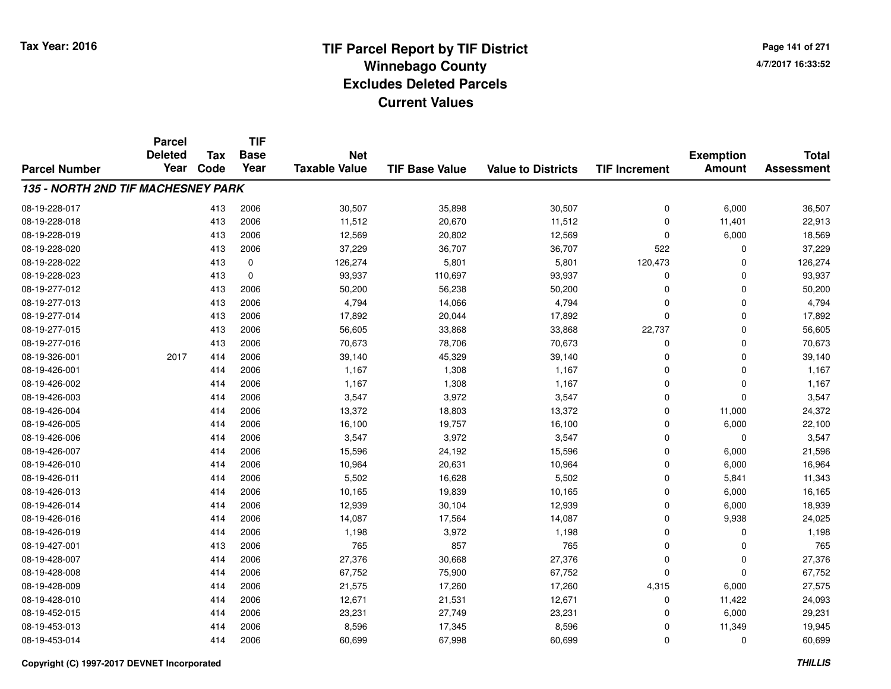**Page 141 of 2714/7/2017 16:33:52**

#### **TIF Base ValueParcel NumberTotal AssessmentExemption Amount Value to Districts TIF IncrementTIF Base YearTax CodeParcel Deleted YearNet Taxable Value135 - NORTH 2ND TIF MACHESNEY PARK**08-19-228-017 <sup>413</sup> 30,507 <sup>2006</sup> 35,898 30,507 <sup>0</sup> 6,000 36,507 08-19-228-018 <sup>413</sup> 11,512 <sup>2006</sup> 20,670 11,512 <sup>0</sup> 11,401 22,913 08-19-228-019 <sup>413</sup> 12,569 <sup>2006</sup> 20,802 12,569 <sup>0</sup> 6,000 18,569 08-19-228-0200 413 2006 37,229 36,707 36,707 522 0 37,229 08-19-228-0222 413 0 126,274 5,801 5,801 120,473 0 126,274 08-19-228-0233 413 0 93,937 110,697 93,937 0 0 93,937 08-19-277-0122 413 2006 50,200 56,238 50,200 0 50,200 08-19-277-0133 413 2006 4,794 14,066 4,794 0 0 4,794 08-19-277-014 <sup>413</sup> 17,892 <sup>2006</sup> 20,044 17,892 <sup>0</sup> <sup>0</sup> 17,892 08-19-277-015 <sup>413</sup> 56,605 <sup>2006</sup> 33,868 33,868 22,737 <sup>0</sup> 56,605 08-19-277-016 <sup>413</sup> 70,673 <sup>2006</sup> 78,706 70,673 <sup>0</sup> <sup>0</sup> 70,673 08-19-326-0011 2017 414 2006 39,140 45,329 39,140 0 39,140 08-19-426-0011 414 2006 1,167 1,308 1,167 0 0 1,167 08-19-426-0022 414 2006 1,167 1,308 1,167 0 0 1,167 08-19-426-003 $3 \hspace{1.5mm} 3 \hspace{1.5mm} 414 \hspace{1.5mm} 2006 \hspace{1.5mm} 3,547 \hspace{1.5mm} 3,547 \hspace{1.5mm} 3,547 \hspace{1.5mm} 0 \hspace{1.5mm} 0 \hspace{1.5mm} 3,547$ 08-19-426-0044 1 2006 13,372 18,803 13,372 0 11,000 24,372 08-19-426-005 <sup>414</sup> 16,100 <sup>2006</sup> 19,757 16,100 <sup>0</sup> 6,000 22,100 08-19-426-006 <sup>414</sup> 3,547 <sup>2006</sup> 3,972 3,547 <sup>0</sup> <sup>0</sup> 3,547 08-19-426-007 <sup>414</sup> 15,596 <sup>2006</sup> 24,192 15,596 <sup>0</sup> 6,000 21,596 08-19-426-0100 414 2006 10,964 20,631 10,964 0 6,000 16,964 08-19-426-0111 414 2006 5,502 16,628 5,502 0 5,841 11,343 08-19-426-0133 414 2006 10,165 19,839 10,165 0 6,000 16,165 08-19-426-014 <sup>414</sup> 12,939 <sup>2006</sup> 30,104 12,939 <sup>0</sup> 6,000 18,939 08-19-426-0166 414 2006 14,087 17,564 14,087 0 9,938 24,025 08-19-426-0199 414 2006 1,198 3,972 1,198 0 0 1,198 08-19-427-0011 413 2006 765 857 765 0 0 765 08-19-428-007 <sup>414</sup> 27,376 <sup>2006</sup> 30,668 27,376 <sup>0</sup> <sup>0</sup> 27,376 08-19-428-008 <sup>414</sup> 67,752 <sup>2006</sup> 75,900 67,752 <sup>0</sup> <sup>0</sup> 67,752 08-19-428-009 <sup>414</sup> 21,575 <sup>2006</sup> 17,260 17,260 4,315 6,000 27,575 08-19-428-0100 414 2006 12,671 21,531 12,671 0 11,422 24,093 08-19-452-015 <sup>414</sup> 23,231 <sup>2006</sup> 27,749 23,231 <sup>0</sup> 6,000 29,231 08-19-453-0133 414 2006 8,596 17,345 8,596 0 11,349 19,945 08-19-453-014<sup>414</sup> 60,699 <sup>2006</sup> 67,998 60,699 <sup>0</sup> <sup>0</sup> 60,699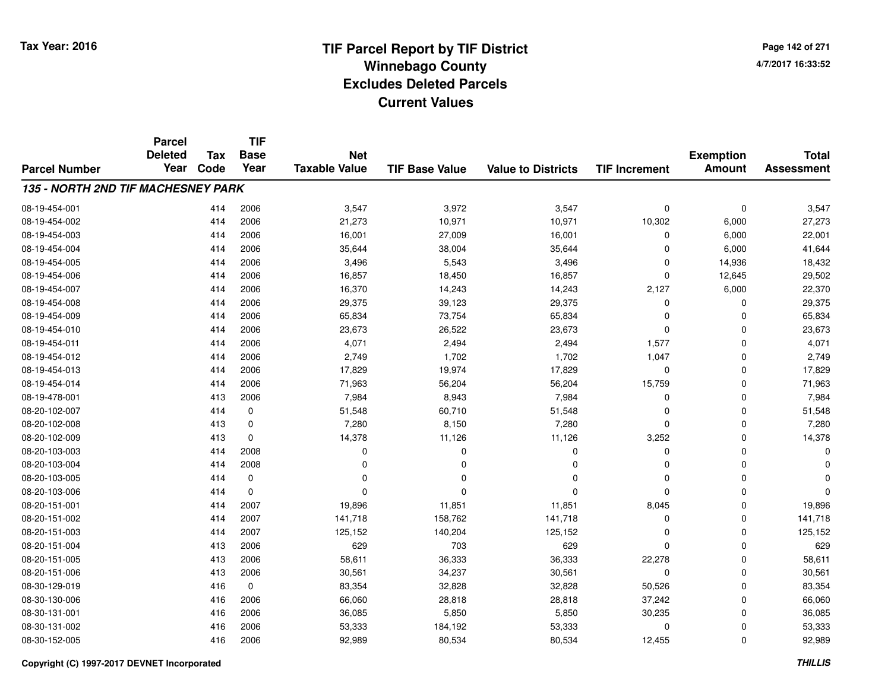**TIF**

**Parcel**

**Page 142 of 2714/7/2017 16:33:52**

#### **TIF Base ValueParcel NumberTotal AssessmentExemption Amount Value to Districts TIF Increment Base YearTax**Year Code **DeletedNet Taxable Value135 - NORTH 2ND TIF MACHESNEY PARK**08-19-454-0011 414 2006 3,547 3,972 3,547 0 0 3,547 08-19-454-0022 2 414 2006 21,273 10,971 10,971 10,302 6,000 27,273 08-19-454-0033 414 2006 16,001 27,009 16,001 0 6,000 22,001 08-19-454-004 <sup>414</sup> 35,644 <sup>2006</sup> 38,004 35,644 <sup>0</sup> 6,000 41,644 08-19-454-005 <sup>414</sup> 3,496 <sup>2006</sup> 5,543 3,496 <sup>0</sup> 14,936 18,432 08-19-454-0066 414 2006 16,857 18,450 16,857 0 12,645 29,502 08-19-454-007 <sup>414</sup> 16,370 <sup>2006</sup> 14,243 14,243 2,127 6,000 22,370 08-19-454-008 <sup>414</sup> 29,375 <sup>2006</sup> 39,123 29,375 <sup>0</sup> <sup>0</sup> 29,375 08-19-454-0099 414 2006 65,834 73,754 65,834 0 0 65,834 08-19-454-0100 414 2006 23,673 26,522 23,673 0 0 23,673 08-19-454-0111 1 2006 1,071 2,494 2,494 2,494 1,577 0 4,071 08-19-454-012 <sup>414</sup> 2,749 <sup>2006</sup> 1,702 1,702 1,047 <sup>0</sup> 2,749 08-19-454-0133 414 2006 17,829 19,974 17,829 0 0 17,829 08-19-454-0144 2006 71,963 56,204 56,204 56,204 56,204 56,759 0 71,963 08-19-478-0011 413 2006 7,984 8,943 7,984 0 0 7,984 08-20-102-0077 414 0 51,548 60,710 51,548 0 0 51,548 08-20-102-0088 413 0 7,280 8,150 7,280 0 0 7,280 08-20-102-0099 413 0 14,378 11,126 1,126 3,252 0 14,378 08-20-103-003 <sup>414</sup> <sup>0</sup> <sup>2008</sup> <sup>0</sup> <sup>0</sup> <sup>0</sup> <sup>0</sup> <sup>0</sup> 08-20-103-004 <sup>414</sup> <sup>0</sup> <sup>2008</sup> <sup>0</sup> <sup>0</sup> <sup>0</sup> <sup>0</sup> <sup>0</sup> 08-20-103-005 <sup>414</sup> <sup>0</sup> <sup>0</sup> <sup>0</sup> <sup>0</sup> <sup>0</sup> <sup>0</sup> <sup>0</sup> 08-20-103-006 <sup>414</sup> <sup>0</sup> <sup>0</sup> <sup>0</sup> <sup>0</sup> <sup>0</sup> <sup>0</sup> <sup>0</sup> 08-20-151-0011 414 2007 19,896 11,851 1,851 8,045 0 19,896 08-20-151-0022 414 2007 141,718 158,762 141,718 0 0 141,718 08-20-151-003 <sup>414</sup> 125,152 <sup>2007</sup> 140,204 125,152 <sup>0</sup> <sup>0</sup> 125,152 08-20-151-004 <sup>413</sup> <sup>629</sup> <sup>2006</sup> <sup>703</sup> <sup>629</sup> <sup>0</sup> <sup>0</sup> <sup>629</sup> 08-20-151-005 <sup>413</sup> 58,611 <sup>2006</sup> 36,333 36,333 22,278 <sup>0</sup> 58,611 08-20-151-006 <sup>413</sup> 30,561 <sup>2006</sup> 34,237 30,561 <sup>0</sup> <sup>0</sup> 30,561 08-30-129-0199 416 0 83,354 32,828 32,828 50,526 0 83,354 08-30-130-006 <sup>416</sup> 66,060 <sup>2006</sup> 28,818 28,818 37,242 <sup>0</sup> 66,060 08-30-131-0011 416 2006 36,085 5,850 5,850 30,235 0 36,085 08-30-131-0022 416 2006 53,333 184,192 53,333 0 0 53,333 08-30-152-005<sup>416</sup> 92,989 <sup>2006</sup> 80,534 80,534 12,455 <sup>0</sup> 92,989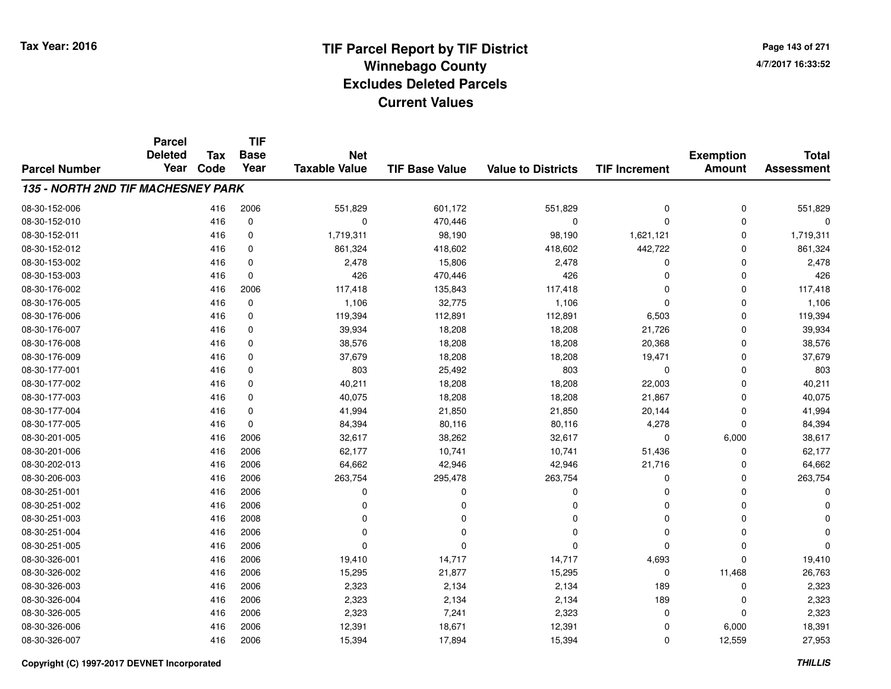**TIF**

**Parcel**

**Page 143 of 2714/7/2017 16:33:52**

| <b>Parcel Number</b>               | <b>Deleted</b><br>Year | <b>Tax</b><br>Code | <b>Base</b><br>Year | <b>Net</b><br><b>Taxable Value</b> | <b>TIF Base Value</b> | <b>Value to Districts</b> | <b>TIF Increment</b> | <b>Exemption</b><br><b>Amount</b> | <b>Total</b><br><b>Assessment</b> |
|------------------------------------|------------------------|--------------------|---------------------|------------------------------------|-----------------------|---------------------------|----------------------|-----------------------------------|-----------------------------------|
| 135 - NORTH 2ND TIF MACHESNEY PARK |                        |                    |                     |                                    |                       |                           |                      |                                   |                                   |
| 08-30-152-006                      |                        | 416                | 2006                | 551,829                            | 601,172               | 551,829                   | 0                    | 0                                 | 551,829                           |
| 08-30-152-010                      |                        | 416                | $\mathbf 0$         | $\Omega$                           | 470,446               | $\Omega$                  | 0                    | $\Omega$                          | 0                                 |
| 08-30-152-011                      |                        | 416                | 0                   | 1,719,311                          | 98,190                | 98,190                    | 1,621,121            | $\Omega$                          | 1,719,311                         |
| 08-30-152-012                      |                        | 416                | 0                   | 861,324                            | 418,602               | 418,602                   | 442,722              | $\Omega$                          | 861,324                           |
| 08-30-153-002                      |                        | 416                | 0                   | 2,478                              | 15,806                | 2,478                     | 0                    | $\Omega$                          | 2,478                             |
| 08-30-153-003                      |                        | 416                | $\Omega$            | 426                                | 470,446               | 426                       | 0                    | $\Omega$                          | 426                               |
| 08-30-176-002                      |                        | 416                | 2006                | 117,418                            | 135,843               | 117,418                   | 0                    | $\mathbf 0$                       | 117,418                           |
| 08-30-176-005                      |                        | 416                | $\mathbf 0$         | 1,106                              | 32,775                | 1,106                     | $\Omega$             | $\Omega$                          | 1,106                             |
| 08-30-176-006                      |                        | 416                | 0                   | 119,394                            | 112,891               | 112,891                   | 6,503                | $\mathbf 0$                       | 119,394                           |
| 08-30-176-007                      |                        | 416                | 0                   | 39,934                             | 18,208                | 18,208                    | 21,726               | $\Omega$                          | 39,934                            |
| 08-30-176-008                      |                        | 416                | 0                   | 38,576                             | 18,208                | 18,208                    | 20,368               | 0                                 | 38,576                            |
| 08-30-176-009                      |                        | 416                | 0                   | 37,679                             | 18,208                | 18,208                    | 19,471               | 0                                 | 37,679                            |
| 08-30-177-001                      |                        | 416                | 0                   | 803                                | 25,492                | 803                       | 0                    | 0                                 | 803                               |
| 08-30-177-002                      |                        | 416                | 0                   | 40,211                             | 18,208                | 18,208                    | 22,003               | 0                                 | 40,211                            |
| 08-30-177-003                      |                        | 416                | $\Omega$            | 40,075                             | 18,208                | 18,208                    | 21,867               | $\Omega$                          | 40,075                            |
| 08-30-177-004                      |                        | 416                | $\Omega$            | 41,994                             | 21,850                | 21,850                    | 20,144               | $\Omega$                          | 41,994                            |
| 08-30-177-005                      |                        | 416                | $\Omega$            | 84,394                             | 80,116                | 80,116                    | 4,278                | $\Omega$                          | 84,394                            |
| 08-30-201-005                      |                        | 416                | 2006                | 32,617                             | 38,262                | 32,617                    | $\mathbf 0$          | 6,000                             | 38,617                            |
| 08-30-201-006                      |                        | 416                | 2006                | 62,177                             | 10,741                | 10,741                    | 51,436               | $\Omega$                          | 62,177                            |
| 08-30-202-013                      |                        | 416                | 2006                | 64,662                             | 42,946                | 42,946                    | 21,716               | $\Omega$                          | 64,662                            |
| 08-30-206-003                      |                        | 416                | 2006                | 263,754                            | 295,478               | 263,754                   | 0                    | $\Omega$                          | 263,754                           |
| 08-30-251-001                      |                        | 416                | 2006                | 0                                  | O                     | 0                         | 0                    | $\Omega$                          | 0                                 |
| 08-30-251-002                      |                        | 416                | 2006                | O                                  |                       | $\Omega$                  | 0                    | $\Omega$                          | ŋ                                 |
| 08-30-251-003                      |                        | 416                | 2008                | O                                  |                       | $\Omega$                  | 0                    | $\Omega$                          | ŋ                                 |
| 08-30-251-004                      |                        | 416                | 2006                | $\Omega$                           | n                     | $\Omega$                  | 0                    | $\Omega$                          | $\Omega$                          |
| 08-30-251-005                      |                        | 416                | 2006                | $\Omega$                           | $\Omega$              | $\Omega$                  | $\Omega$             | $\Omega$                          | $\Omega$                          |
| 08-30-326-001                      |                        | 416                | 2006                | 19,410                             | 14,717                | 14,717                    | 4,693                | $\Omega$                          | 19,410                            |
| 08-30-326-002                      |                        | 416                | 2006                | 15,295                             | 21,877                | 15,295                    | 0                    | 11,468                            | 26,763                            |
| 08-30-326-003                      |                        | 416                | 2006                | 2,323                              | 2,134                 | 2,134                     | 189                  | 0                                 | 2,323                             |
| 08-30-326-004                      |                        | 416                | 2006                | 2,323                              | 2,134                 | 2,134                     | 189                  | $\Omega$                          | 2,323                             |
| 08-30-326-005                      |                        | 416                | 2006                | 2,323                              | 7,241                 | 2,323                     | 0                    | $\Omega$                          | 2,323                             |
| 08-30-326-006                      |                        | 416                | 2006                | 12,391                             | 18,671                | 12,391                    | 0                    | 6,000                             | 18,391                            |
| 08-30-326-007                      |                        | 416                | 2006                | 15,394                             | 17,894                | 15,394                    | 0                    | 12,559                            | 27,953                            |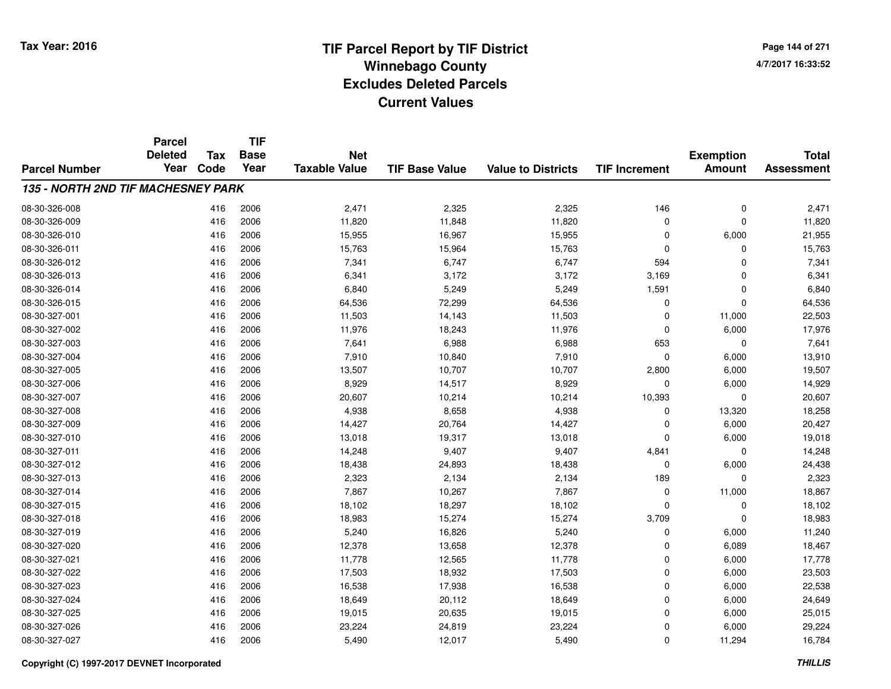**Page 144 of 2714/7/2017 16:33:52**

|                                    | <b>Parcel</b>          |             | <b>TIF</b>          |                                    |                       |                           |                      |                                   |                                   |
|------------------------------------|------------------------|-------------|---------------------|------------------------------------|-----------------------|---------------------------|----------------------|-----------------------------------|-----------------------------------|
|                                    | <b>Deleted</b><br>Year | Tax<br>Code | <b>Base</b><br>Year | <b>Net</b><br><b>Taxable Value</b> |                       |                           |                      | <b>Exemption</b><br><b>Amount</b> | <b>Total</b><br><b>Assessment</b> |
| <b>Parcel Number</b>               |                        |             |                     |                                    | <b>TIF Base Value</b> | <b>Value to Districts</b> | <b>TIF Increment</b> |                                   |                                   |
| 135 - NORTH 2ND TIF MACHESNEY PARK |                        |             |                     |                                    |                       |                           |                      |                                   |                                   |
| 08-30-326-008                      |                        | 416         | 2006                | 2,471                              | 2,325                 | 2,325                     | 146                  | 0                                 | 2,471                             |
| 08-30-326-009                      |                        | 416         | 2006                | 11,820                             | 11,848                | 11,820                    | $\mathbf 0$          | $\Omega$                          | 11,820                            |
| 08-30-326-010                      |                        | 416         | 2006                | 15,955                             | 16,967                | 15,955                    | $\mathbf 0$          | 6,000                             | 21,955                            |
| 08-30-326-011                      |                        | 416         | 2006                | 15,763                             | 15,964                | 15,763                    | 0                    | $\Omega$                          | 15,763                            |
| 08-30-326-012                      |                        | 416         | 2006                | 7,341                              | 6,747                 | 6,747                     | 594                  | $\Omega$                          | 7,341                             |
| 08-30-326-013                      |                        | 416         | 2006                | 6,341                              | 3,172                 | 3,172                     | 3,169                | $\Omega$                          | 6,341                             |
| 08-30-326-014                      |                        | 416         | 2006                | 6,840                              | 5,249                 | 5,249                     | 1,591                | $\mathbf 0$                       | 6,840                             |
| 08-30-326-015                      |                        | 416         | 2006                | 64,536                             | 72,299                | 64,536                    | 0                    | $\Omega$                          | 64,536                            |
| 08-30-327-001                      |                        | 416         | 2006                | 11,503                             | 14,143                | 11,503                    | 0                    | 11,000                            | 22,503                            |
| 08-30-327-002                      |                        | 416         | 2006                | 11,976                             | 18,243                | 11,976                    | 0                    | 6,000                             | 17,976                            |
| 08-30-327-003                      |                        | 416         | 2006                | 7,641                              | 6,988                 | 6,988                     | 653                  | $\Omega$                          | 7,641                             |
| 08-30-327-004                      |                        | 416         | 2006                | 7,910                              | 10,840                | 7,910                     | 0                    | 6,000                             | 13,910                            |
| 08-30-327-005                      |                        | 416         | 2006                | 13,507                             | 10,707                | 10,707                    | 2,800                | 6,000                             | 19,507                            |
| 08-30-327-006                      |                        | 416         | 2006                | 8,929                              | 14,517                | 8,929                     | 0                    | 6,000                             | 14,929                            |
| 08-30-327-007                      |                        | 416         | 2006                | 20,607                             | 10,214                | 10,214                    | 10,393               | $\mathbf 0$                       | 20,607                            |
| 08-30-327-008                      |                        | 416         | 2006                | 4,938                              | 8,658                 | 4,938                     | 0                    | 13,320                            | 18,258                            |
| 08-30-327-009                      |                        | 416         | 2006                | 14,427                             | 20,764                | 14,427                    | 0                    | 6,000                             | 20,427                            |
| 08-30-327-010                      |                        | 416         | 2006                | 13,018                             | 19,317                | 13,018                    | 0                    | 6,000                             | 19,018                            |
| 08-30-327-011                      |                        | 416         | 2006                | 14,248                             | 9,407                 | 9,407                     | 4,841                | $\mathbf 0$                       | 14,248                            |
| 08-30-327-012                      |                        | 416         | 2006                | 18,438                             | 24,893                | 18,438                    | 0                    | 6,000                             | 24,438                            |
| 08-30-327-013                      |                        | 416         | 2006                | 2,323                              | 2,134                 | 2,134                     | 189                  | 0                                 | 2,323                             |
| 08-30-327-014                      |                        | 416         | 2006                | 7,867                              | 10,267                | 7,867                     | 0                    | 11,000                            | 18,867                            |
| 08-30-327-015                      |                        | 416         | 2006                | 18,102                             | 18,297                | 18,102                    | 0                    | 0                                 | 18,102                            |
| 08-30-327-018                      |                        | 416         | 2006                | 18,983                             | 15,274                | 15,274                    | 3,709                | $\Omega$                          | 18,983                            |
| 08-30-327-019                      |                        | 416         | 2006                | 5,240                              | 16,826                | 5,240                     | 0                    | 6,000                             | 11,240                            |
| 08-30-327-020                      |                        | 416         | 2006                | 12,378                             | 13,658                | 12,378                    | 0                    | 6,089                             | 18,467                            |
| 08-30-327-021                      |                        | 416         | 2006                | 11,778                             | 12,565                | 11,778                    | 0                    | 6,000                             | 17,778                            |
| 08-30-327-022                      |                        | 416         | 2006                | 17,503                             | 18,932                | 17,503                    | 0                    | 6,000                             | 23,503                            |
| 08-30-327-023                      |                        | 416         | 2006                | 16,538                             | 17,938                | 16,538                    | 0                    | 6,000                             | 22,538                            |
| 08-30-327-024                      |                        | 416         | 2006                | 18,649                             | 20,112                | 18,649                    | 0                    | 6,000                             | 24,649                            |
| 08-30-327-025                      |                        | 416         | 2006                | 19,015                             | 20,635                | 19,015                    | $\mathbf 0$          | 6,000                             | 25,015                            |
| 08-30-327-026                      |                        | 416         | 2006                | 23,224                             | 24,819                | 23,224                    | 0                    | 6,000                             | 29,224                            |
| 08-30-327-027                      |                        | 416         | 2006                | 5,490                              | 12,017                | 5,490                     | 0                    | 11,294                            | 16,784                            |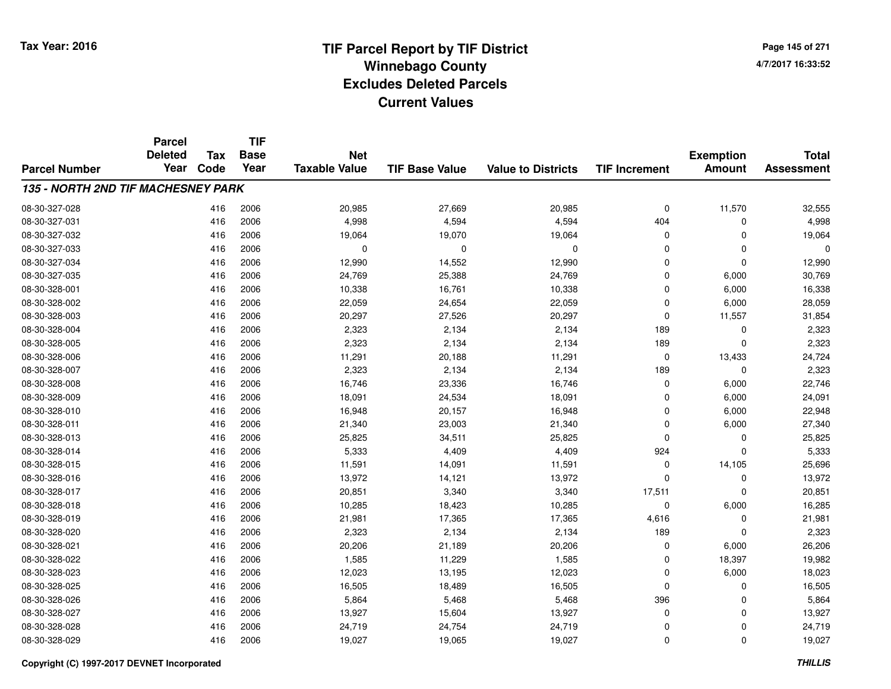**Page 145 of 2714/7/2017 16:33:52**

#### **TIF Base ValueParcel NumberTotal AssessmentExemption Amount Value to Districts TIF IncrementTIF Base YearTax CodeParcel Deleted YearNet Taxable Value135 - NORTH 2ND TIF MACHESNEY PARK**08-30-327-028 <sup>416</sup> 20,985 <sup>2006</sup> 27,669 20,985 <sup>0</sup> 11,570 32,555 08-30-327-0311 416 2006 4,998 4,594 4,594 404 0 4,998 08-30-327-0322 416 2006 19,064 19,070 19,064 0 19,064 08-30-327-033 <sup>416</sup> <sup>0</sup> <sup>2006</sup> <sup>0</sup> <sup>0</sup> <sup>0</sup> <sup>0</sup> <sup>0</sup> 08-30-327-034 <sup>416</sup> 12,990 <sup>2006</sup> 14,552 12,990 <sup>0</sup> <sup>0</sup> 12,990 08-30-327-035 <sup>416</sup> 24,769 <sup>2006</sup> 25,388 24,769 <sup>0</sup> 6,000 30,769 08-30-328-0011 416 2006 10,338 16,761 10,338 0 6,000 16,338 08-30-328-0022 416 2006 22,059 24,654 22,059 0 6,000 28,059 08-30-328-003 <sup>416</sup> 20,297 <sup>2006</sup> 27,526 20,297 <sup>0</sup> 11,557 31,854 08-30-328-0044 2,134 2006 2,323 2,134 2,134 2,134 2,134 2,134 2,134 2,134 2,134 2,134 2,134 2,323 08-30-328-0055 416 2006 2,323 2,134 2,134 189 0 2,323 08-30-328-006 <sup>416</sup> 11,291 <sup>2006</sup> 20,188 11,291 <sup>0</sup> 13,433 24,724 08-30-328-007 <sup>416</sup> 2,323 <sup>2006</sup> 2,134 2,134 <sup>189</sup> <sup>0</sup> 2,323 08-30-328-0088 416 2006 16,746 23,336 16,746 0 6,000 22,746 08-30-328-0099 416 2006 18,091 24,534 18,091 0 6,000 24,091 08-30-328-0100 416 2006 16,948 20,157 16,948 0 6,000 22,948 08-30-328-0111 416 2006 21,340 23,003 21,340 0 6,000 27,340 08-30-328-0133 416 2006 25,825 34,511 25,825 0 0 25,825 08-30-328-0144 2006 5,333 4,409 4,409 4,409 924 0 5,333 08-30-328-0155 416 2006 11,591 14,091 11,591 0 14,105 25,696 08-30-328-016 <sup>416</sup> 13,972 <sup>2006</sup> 14,121 13,972 <sup>0</sup> <sup>0</sup> 13,972 08-30-328-017 <sup>416</sup> 20,851 <sup>2006</sup> 3,340 3,340 17,511 <sup>0</sup> 20,851 08-30-328-0188 416 2006 10,285 18,423 10,285 0 6,000 16,285 08-30-328-019 <sup>416</sup> 21,981 <sup>2006</sup> 17,365 17,365 4,616 <sup>0</sup> 21,981 08-30-328-0200 416 2006 2,323 2,134 2,134 189 0 2,323 08-30-328-0211 416 2006 20,206 21,189 20,206 0 6,000 26,206 08-30-328-0222 2 3 397 19,982 1,585 1,585 11,229 1,585 1,585 0 18,397 19,982 08-30-328-0233 416 2006 12,023 13,195 12,023 0 6,000 18,023 08-30-328-0255 416 2006 16,505 18,489 16,505 0 0 16,505 08-30-328-026 <sup>416</sup> 5,864 <sup>2006</sup> 5,468 5,468 <sup>396</sup> <sup>0</sup> 5,864 08-30-328-0277 416 2006 13,927 15,604 13,927 0 13,927 08-30-328-028 <sup>416</sup> 24,719 <sup>2006</sup> 24,754 24,719 <sup>0</sup> <sup>0</sup> 24,719 08-30-328-0299 416 2006 19,027 19,065 19,027 0 0 19,027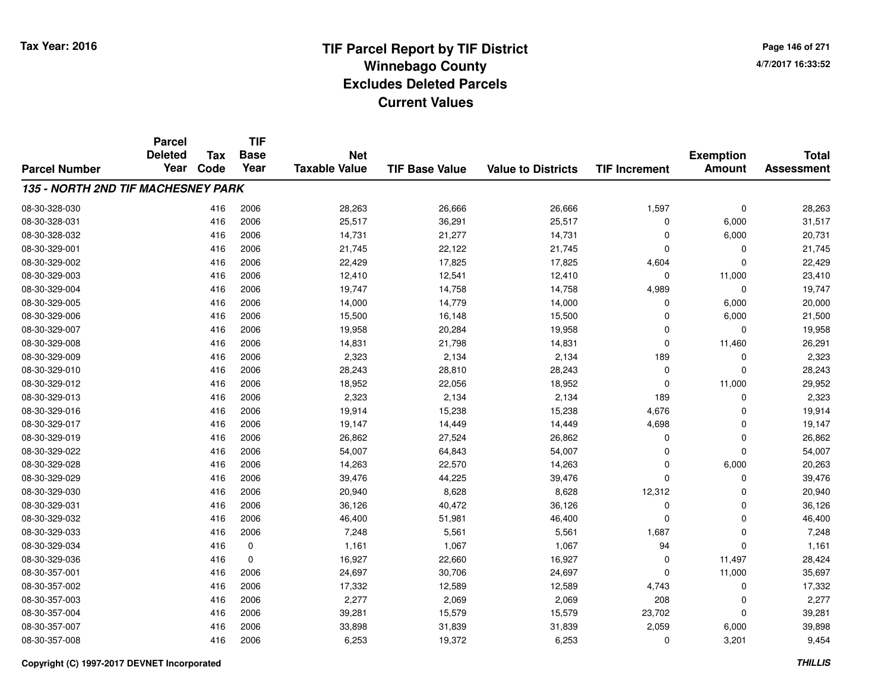**TIF**

**Parcel**

**Page 146 of 2714/7/2017 16:33:52**

#### **TIF Base ValueParcel NumberTotal AssessmentExemption Amount Value to Districts TIF Increment Base YearTax Code Deleted YearNet Taxable Value135 - NORTH 2ND TIF MACHESNEY PARK**08-30-328-0300 416 2006 28,263 26,666 26,666 1,597 0 28,263 08-30-328-0311 416 2006 25,517 36,291 25,517 0 6,000 31,517 08-30-328-0322 416 2006 14,731 21,277 14,731 0 6,000 20,731 08-30-329-0011 416 2006 21,745 22,122 21,745 0 0 21,745 08-30-329-0022 416 2006 22,429 17,825 17,825 4,604 0 22,429 08-30-329-0033 416 2006 12,410 12,541 12,410 0 11,000 23,410 08-30-329-004 <sup>416</sup> 19,747 <sup>2006</sup> 14,758 14,758 4,989 <sup>0</sup> 19,747 08-30-329-005 <sup>416</sup> 14,000 <sup>2006</sup> 14,779 14,000 <sup>0</sup> 6,000 20,000 08-30-329-0066 416 2006 15,500 16,148 15,500 0 6,000 21,500 08-30-329-007 <sup>416</sup> 19,958 <sup>2006</sup> 20,284 19,958 <sup>0</sup> <sup>0</sup> 19,958 08-30-329-008 <sup>416</sup> 14,831 <sup>2006</sup> 21,798 14,831 <sup>0</sup> 11,460 26,291 08-30-329-0099 416 2006 2,323 2,134 2,134 189 0 2,323 08-30-329-0100 416 2006 28,243 28,810 28,243 0 0 28,243 08-30-329-0122 416 2006 18,952 22,056 18,952 0 11,000 29,952 08-30-329-0133 416 2006 2,323 2,134 2,134 189 0 2,323 08-30-329-016 <sup>416</sup> 19,914 <sup>2006</sup> 15,238 15,238 4,676 <sup>0</sup> 19,914 08-30-329-017 <sup>416</sup> 19,147 <sup>2006</sup> 14,449 14,449 4,698 <sup>0</sup> 19,147 08-30-329-0199 416 2006 26,862 27,524 26,862 0 0 26,862 08-30-329-0222 416 2006 54,007 64,843 54,007 0 0 54,007 08-30-329-0288 416 2006 14,263 22,570 14,263 0 6,000 20,263 08-30-329-0299 416 2006 39,476 44,225 39,476 0 0 39,476 08-30-329-0300 416 2006 20,940 8,628 8,628 12,312 0 20,940 08-30-329-0311 416 2006 36,126 40,472 36,126 0 0 36,126 08-30-329-0322 416 2006 46,400 51,981 46,400 0 46,400 08-30-329-0333 416 2006 7,248 5,561 5,561 1,687 0 7,248 08-30-329-034 <sup>416</sup> 1,161 <sup>0</sup> 1,067 1,067 <sup>94</sup> <sup>0</sup> 1,161 08-30-329-0366 416 0 16,927 22,660 16,927 0 11,497 28,424 08-30-357-0011 416 2006 24,697 30,706 24,697 0 11,000 35,697 08-30-357-0022 2 3 416 2006 17,332 12,589 12,589 12,589 4,743 0 17,332 08-30-357-003 $3$  2006 2006 2,277 2,069 2,069 2,069 2,069 208 0 2,277 08-30-357-0044 23,702 23,281 39,281 39,281 39,281 39,281 39,281 39,281 39,281 39,281 4 30,579 39,281 4 39,281 4 4 4 4 4 4 5 08-30-357-007 <sup>416</sup> 33,898 <sup>2006</sup> 31,839 31,839 2,059 6,000 39,898 08-30-357-0088 416 2006 6,253 19,372 6,253 0 3,201 9,454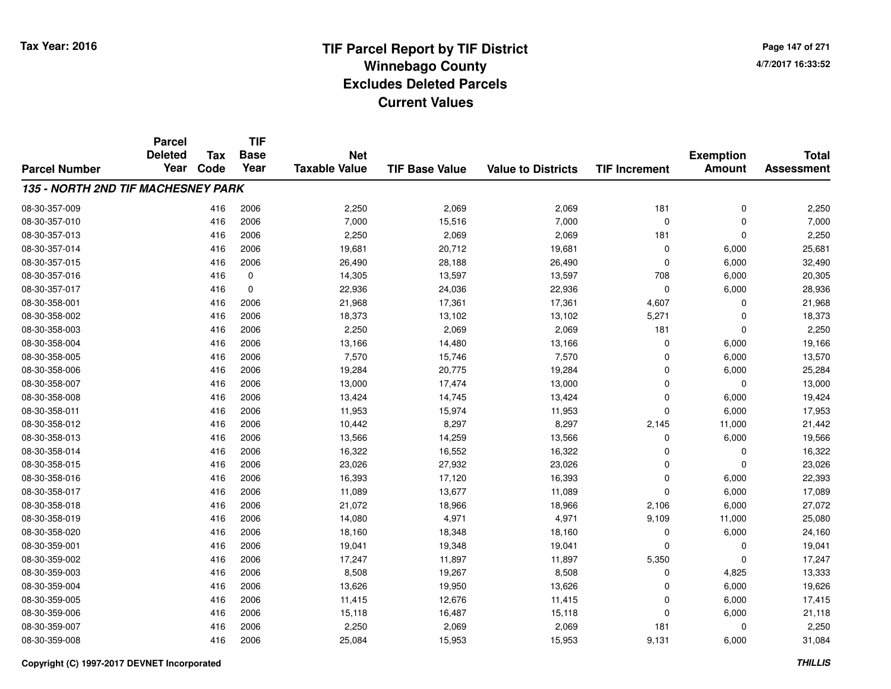**TIF**

**Parcel**

**Page 147 of 2714/7/2017 16:33:52**

#### **TIF Base ValueParcel NumberTotal AssessmentExemption Amount Value to Districts TIF Increment Base YearTax Code Deleted YearNet Taxable Value135 - NORTH 2ND TIF MACHESNEY PARK**08-30-357-0099 416 2006 2,250 2,069 2,069 181 0 2,250 08-30-357-0100 416 2006 7,000 15,516 7,000 0 7,000 08-30-357-0133 416 2006 2,250 2,069 2,069 181 0 2,250 08-30-357-014 <sup>416</sup> 19,681 <sup>2006</sup> 20,712 19,681 <sup>0</sup> 6,000 25,681 08-30-357-015 <sup>416</sup> 26,490 <sup>2006</sup> 28,188 26,490 <sup>0</sup> 6,000 32,490 08-30-357-0166 416 0 14,305 13,597 13,597 708 6,000 20,305 08-30-357-0177 416 0 22,936 24,036 22,936 0 6,000 28,936 08-30-358-0011 416 2006 21,968 17,361 17,361 4,607 0 21,968 08-30-358-0022 416 2006 18,373 13,102 13,102 5,271 0 18,373 08-30-358-0033 416 2006 2,250 2,069 2,069 181 0 2,250 08-30-358-004 <sup>416</sup> 13,166 <sup>2006</sup> 14,480 13,166 <sup>0</sup> 6,000 19,166 08-30-358-005 <sup>416</sup> 7,570 <sup>2006</sup> 15,746 7,570 <sup>0</sup> 6,000 13,570 08-30-358-006 <sup>416</sup> 19,284 <sup>2006</sup> 20,775 19,284 <sup>0</sup> 6,000 25,284 08-30-358-007 <sup>416</sup> 13,000 <sup>2006</sup> 17,474 13,000 <sup>0</sup> <sup>0</sup> 13,000 08-30-358-0088 416 2006 13,424 14,745 13,424 0 6,000 19,424 08-30-358-0111 416 2006 11,953 15,974 11,953 0 6,000 17,953 08-30-358-012 <sup>416</sup> 10,442 <sup>2006</sup> 8,297 8,297 2,145 11,000 21,442 08-30-358-0133 416 2006 13,566 14,259 13,566 0 6,000 19,566 08-30-358-0144 416 2006 16,322 16,552 16,322 0 0 16,322 08-30-358-0155 416 2006 23,026 27,932 23,026 0 0 23,026 08-30-358-016 <sup>416</sup> 16,393 <sup>2006</sup> 17,120 16,393 <sup>0</sup> 6,000 22,393 08-30-358-017 <sup>416</sup> 11,089 <sup>2006</sup> 13,677 11,089 <sup>0</sup> 6,000 17,089 08-30-358-0188 21,072 21,072 21,072 21,079 18,966 2,106 2,106 18,966 2,106 27,072 3 2,106 27,072 08-30-358-019 <sup>416</sup> 14,080 <sup>2006</sup> 4,971 4,971 9,109 11,000 25,080 08-30-358-0200 416 2006 18,160 18,348 18,160 0 6,000 24,160 08-30-359-0011 416 2006 19,041 19,348 19,041 0 19,041 08-30-359-002 <sup>416</sup> 17,247 <sup>2006</sup> 11,897 11,897 5,350 <sup>0</sup> 17,247 08-30-359-0033 416 2006 8,508 19,267 8,508 0 4,825 13,333 08-30-359-004 <sup>416</sup> 13,626 <sup>2006</sup> 19,950 13,626 <sup>0</sup> 6,000 19,626 08-30-359-005 <sup>416</sup> 11,415 <sup>2006</sup> 12,676 11,415 <sup>0</sup> 6,000 17,415 08-30-359-006 <sup>416</sup> 15,118 <sup>2006</sup> 16,487 15,118 <sup>0</sup> 6,000 21,118 08-30-359-007 <sup>416</sup> 2,250 <sup>2006</sup> 2,069 2,069 <sup>181</sup> <sup>0</sup> 2,250 08-30-359-008<sup>416</sup> 25,084 <sup>2006</sup> 15,953 15,953 9,131 6,000 31,084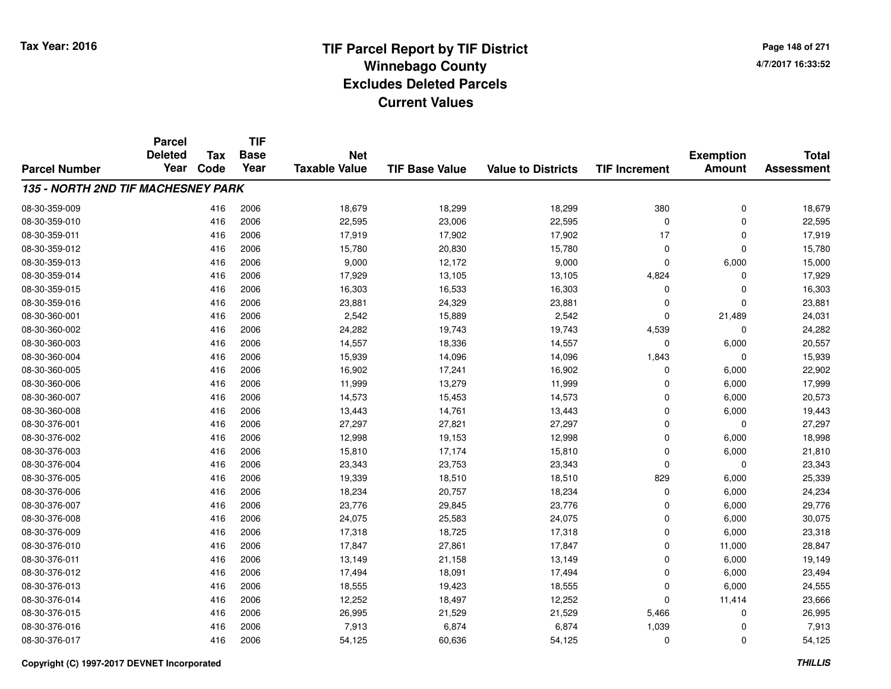**TIF**

**Parcel**

**Page 148 of 2714/7/2017 16:33:52**

#### **TIF Base ValueParcel NumberTotal AssessmentExemption Amount Value to Districts TIF Increment Base YearTax Code Deleted YearNet Taxable Value135 - NORTH 2ND TIF MACHESNEY PARK**08-30-359-009 <sup>416</sup> 18,679 <sup>2006</sup> 18,299 18,299 <sup>380</sup> <sup>0</sup> 18,679 08-30-359-0100 416 2006 22,595 23,006 22,595 0 22,595 08-30-359-0111 416 2006 17,919 17,902 17,919 08-30-359-0122 416 2006 15,780 20,830 15,780 0 0 15,780 08-30-359-0133 416 2006 9,000 12,172 9,000 0 6,000 15,000 08-30-359-014 <sup>416</sup> 17,929 <sup>2006</sup> 13,105 13,105 4,824 <sup>0</sup> 17,929 08-30-359-015 <sup>416</sup> 16,303 <sup>2006</sup> 16,533 16,303 <sup>0</sup> <sup>0</sup> 16,303 08-30-359-016 <sup>416</sup> 23,881 <sup>2006</sup> 24,329 23,881 <sup>0</sup> <sup>0</sup> 23,881 08-30-360-0011 416 2006 2,542 15,889 2,542 0 21,489 24,031 08-30-360-002 <sup>416</sup> 24,282 <sup>2006</sup> 19,743 19,743 4,539 <sup>0</sup> 24,282 08-30-360-0033 416 2006 14,557 18,336 14,557 0 6,000 20,557 08-30-360-0044 2006 15,939 14,096 15,939 14,096 14,096 14,096 14,843 0 1,843 14,096 15,939 08-30-360-005 <sup>416</sup> 16,902 <sup>2006</sup> 17,241 16,902 <sup>0</sup> 6,000 22,902 08-30-360-006 <sup>416</sup> 11,999 <sup>2006</sup> 13,279 11,999 <sup>0</sup> 6,000 17,999 08-30-360-007 <sup>416</sup> 14,573 <sup>2006</sup> 15,453 14,573 <sup>0</sup> 6,000 20,573 08-30-360-0088 416 2006 13,443 14,761 13,443 0 6,000 19,443 08-30-376-0011 416 2006 27,297 27,821 27,297 0 0 27,297 08-30-376-0022 2 2 2 3 416 2006 12,998 12,998 19,153 12,998 12,998 0 6,000 18,998 08-30-376-0033 416 2006 15,810 17,174 15,810 0 6,000 21,810 08-30-376-0044 23,343 2006 23,343 23,753 23,343 23,753 23,343 0 23,343 23,343 08-30-376-005 <sup>416</sup> 19,339 <sup>2006</sup> 18,510 18,510 <sup>829</sup> 6,000 25,339 08-30-376-006 <sup>416</sup> 18,234 <sup>2006</sup> 20,757 18,234 <sup>0</sup> 6,000 24,234 08-30-376-007 <sup>416</sup> 23,776 <sup>2006</sup> 29,845 23,776 <sup>0</sup> 6,000 29,776 08-30-376-0088 416 2006 24,075 25,583 24,075 0 6,000 30,075 08-30-376-009 <sup>416</sup> 17,318 <sup>2006</sup> 18,725 17,318 <sup>0</sup> 6,000 23,318 08-30-376-0100 416 2006 17,847 27,861 17,847 0 11,000 28,847 08-30-376-0111 416 2006 13,149 21,158 13,149 0 6,000 19,149 08-30-376-0122 416 2006 17,494 18,091 17,494 0 6,000 23,494 08-30-376-0133 416 2006 18,555 19,423 18,555 0 6,000 24,555 08-30-376-0144 416 2006 12,252 18,497 12,252 0 11,414 23,666 08-30-376-0155 416 2006 26,995 21,529 21,529 5,466 0 26,995 08-30-376-016 <sup>416</sup> 7,913 <sup>2006</sup> 6,874 6,874 1,039 <sup>0</sup> 7,913 08-30-376-017<sup>416</sup> 54,125 <sup>2006</sup> 60,636 54,125 <sup>0</sup> <sup>0</sup> 54,125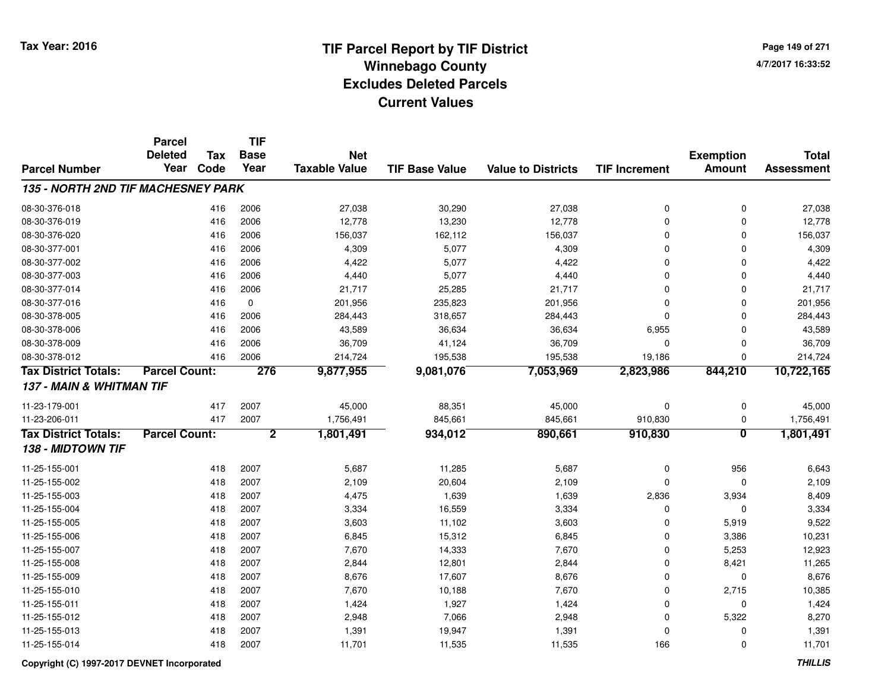**Page 149 of 2714/7/2017 16:33:52**

|                                    | <b>Parcel</b><br><b>Deleted</b> | <b>Tax</b> | <b>TIF</b><br><b>Base</b> | <b>Net</b>           |                       |                           |                      | <b>Exemption</b>        | <b>Total</b>      |
|------------------------------------|---------------------------------|------------|---------------------------|----------------------|-----------------------|---------------------------|----------------------|-------------------------|-------------------|
| <b>Parcel Number</b>               | Year                            | Code       | Year                      | <b>Taxable Value</b> | <b>TIF Base Value</b> | <b>Value to Districts</b> | <b>TIF Increment</b> | <b>Amount</b>           | <b>Assessment</b> |
| 135 - NORTH 2ND TIF MACHESNEY PARK |                                 |            |                           |                      |                       |                           |                      |                         |                   |
| 08-30-376-018                      |                                 | 416        | 2006                      | 27,038               | 30,290                | 27,038                    | 0                    | 0                       | 27,038            |
| 08-30-376-019                      |                                 | 416        | 2006                      | 12,778               | 13,230                | 12,778                    | 0                    | $\mathbf 0$             | 12,778            |
| 08-30-376-020                      |                                 | 416        | 2006                      | 156,037              | 162,112               | 156,037                   | 0                    | $\Omega$                | 156,037           |
| 08-30-377-001                      |                                 | 416        | 2006                      | 4,309                | 5,077                 | 4,309                     | 0                    | $\Omega$                | 4,309             |
| 08-30-377-002                      |                                 | 416        | 2006                      | 4,422                | 5,077                 | 4,422                     | 0                    | $\Omega$                | 4,422             |
| 08-30-377-003                      |                                 | 416        | 2006                      | 4,440                | 5,077                 | 4,440                     | 0                    | $\mathbf 0$             | 4,440             |
| 08-30-377-014                      |                                 | 416        | 2006                      | 21,717               | 25,285                | 21,717                    | 0                    | $\mathbf 0$             | 21,717            |
| 08-30-377-016                      |                                 | 416        | 0                         | 201,956              | 235,823               | 201,956                   | 0                    | 0                       | 201,956           |
| 08-30-378-005                      |                                 | 416        | 2006                      | 284,443              | 318,657               | 284,443                   | 0                    | $\mathbf 0$             | 284,443           |
| 08-30-378-006                      |                                 | 416        | 2006                      | 43,589               | 36,634                | 36,634                    | 6,955                | $\mathbf 0$             | 43,589            |
| 08-30-378-009                      |                                 | 416        | 2006                      | 36,709               | 41,124                | 36,709                    | 0                    | 0                       | 36,709            |
| 08-30-378-012                      |                                 | 416        | 2006                      | 214,724              | 195,538               | 195,538                   | 19,186               | $\Omega$                | 214,724           |
| <b>Tax District Totals:</b>        | <b>Parcel Count:</b>            |            | 276                       | 9,877,955            | 9,081,076             | 7,053,969                 | 2,823,986            | 844,210                 | 10,722,165        |
| 137 - MAIN & WHITMAN TIF           |                                 |            |                           |                      |                       |                           |                      |                         |                   |
| 11-23-179-001                      |                                 | 417        | 2007                      | 45,000               | 88,351                | 45,000                    | 0                    | 0                       | 45,000            |
| 11-23-206-011                      |                                 | 417        | 2007                      | 1,756,491            | 845,661               | 845,661                   | 910,830              | 0                       | 1,756,491         |
| <b>Tax District Totals:</b>        | <b>Parcel Count:</b>            |            | $\overline{2}$            | 1,801,491            | 934,012               | 890,661                   | 910,830              | $\overline{\mathbf{0}}$ | 1,801,491         |
| 138 - MIDTOWN TIF                  |                                 |            |                           |                      |                       |                           |                      |                         |                   |
| 11-25-155-001                      |                                 | 418        | 2007                      | 5,687                | 11,285                | 5,687                     | 0                    | 956                     | 6,643             |
| 11-25-155-002                      |                                 | 418        | 2007                      | 2,109                | 20,604                | 2,109                     | 0                    | 0                       | 2,109             |
| 11-25-155-003                      |                                 | 418        | 2007                      | 4,475                | 1,639                 | 1,639                     | 2,836                | 3,934                   | 8,409             |
| 11-25-155-004                      |                                 | 418        | 2007                      | 3,334                | 16,559                | 3,334                     | 0                    | $\mathbf 0$             | 3,334             |
| 11-25-155-005                      |                                 | 418        | 2007                      | 3,603                | 11,102                | 3,603                     | 0                    | 5,919                   | 9,522             |
| 11-25-155-006                      |                                 | 418        | 2007                      | 6,845                | 15,312                | 6,845                     | 0                    | 3,386                   | 10,231            |
| 11-25-155-007                      |                                 | 418        | 2007                      | 7,670                | 14,333                | 7,670                     | 0                    | 5,253                   | 12,923            |
| 11-25-155-008                      |                                 | 418        | 2007                      | 2,844                | 12,801                | 2,844                     | 0                    | 8,421                   | 11,265            |
| 11-25-155-009                      |                                 | 418        | 2007                      | 8,676                | 17,607                | 8,676                     | 0                    | $\mathbf 0$             | 8,676             |
| 11-25-155-010                      |                                 | 418        | 2007                      | 7,670                | 10,188                | 7,670                     | 0                    | 2,715                   | 10,385            |
| 11-25-155-011                      |                                 | 418        | 2007                      | 1,424                | 1,927                 | 1,424                     | 0                    | $\mathbf 0$             | 1,424             |
| 11-25-155-012                      |                                 | 418        | 2007                      | 2,948                | 7,066                 | 2,948                     | 0                    | 5,322                   | 8,270             |
| 11-25-155-013                      |                                 | 418        | 2007                      | 1,391                | 19,947                | 1,391                     | 0                    | 0                       | 1,391             |
| 11-25-155-014                      |                                 | 418        | 2007                      | 11,701               | 11,535                | 11,535                    | 166                  | $\Omega$                | 11,701            |

### **Copyright (C) 1997-2017 DEVNET Incorporated**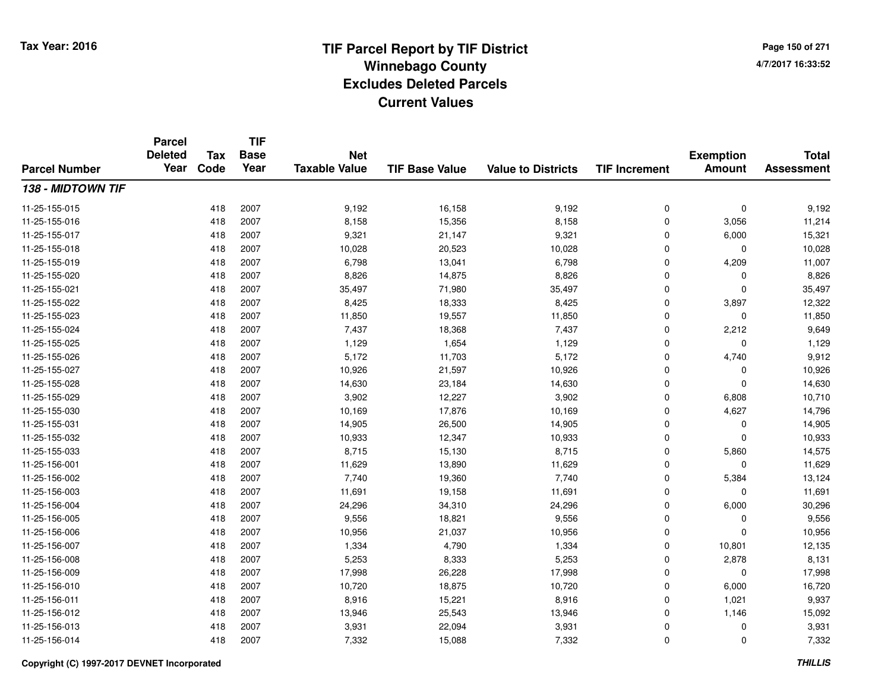**TIF**

**Parcel**

**Page 150 of 2714/7/2017 16:33:52**

#### **TIF Base ValueParcel NumberTotal AssessmentExemption Amount Value to Districts TIF Increment Base YearTax Code Deleted YearNet Taxable Value138 - MIDTOWN TIF**11-25-155-015 <sup>418</sup> 9,192 <sup>2007</sup> 16,158 9,192 <sup>0</sup> <sup>0</sup> 9,192 11-25-155-0166 418 2007 8,158 15,356 8,158 0 3,056 11,214 11-25-155-017 <sup>418</sup> 9,321 <sup>2007</sup> 21,147 9,321 <sup>0</sup> 6,000 15,321 11-25-155-018 <sup>418</sup> 10,028 <sup>2007</sup> 20,523 10,028 <sup>0</sup> <sup>0</sup> 10,028 11-25-155-0199 418 2007 6,798 13,041 6,798 0 4,209 11,007 11-25-155-0200 418 2007 8,826 14,875 8,826 0 0 8,826 11-25-155-0211 418 2007 35,497 71,980 35,497 0 0 35,497 11-25-155-022 <sup>418</sup> 8,425 <sup>2007</sup> 18,333 8,425 <sup>0</sup> 3,897 12,322 11-25-155-0233 418 2007 11,850 19,557 11,850 0 11,850 11-25-155-024 <sup>418</sup> 7,437 <sup>2007</sup> 18,368 7,437 <sup>0</sup> 2,212 9,649 11-25-155-025 <sup>418</sup> 1,129 <sup>2007</sup> 1,654 1,129 <sup>0</sup> <sup>0</sup> 1,129 11-25-155-026 <sup>418</sup> 5,172 <sup>2007</sup> 11,703 5,172 <sup>0</sup> 4,740 9,912 11-25-155-027 <sup>418</sup> 10,926 <sup>2007</sup> 21,597 10,926 <sup>0</sup> <sup>0</sup> 10,926 11-25-155-0288 418 2007 14,630 23,184 14,630 0 0 14,630 11-25-155-0299 418 2007 3,902 12,227 3,902 0 6,808 10,710 11-25-155-0300 418 2007 10,169 17,876 10,169 0 4,627 14,796 11-25-155-0311 418 2007 14,905 26,500 14,905 0 0 14,905 11-25-155-032 <sup>418</sup> 10,933 <sup>2007</sup> 12,347 10,933 <sup>0</sup> <sup>0</sup> 10,933 11-25-155-0333 418 2007 8,715 15,130 8,715 0 5,860 14,575 11-25-156-0011 418 2007 11,629 13,890 11,629 0 0 11,629 11-25-156-0022 418 2007 7,740 19,360 7,740 0 5,384 13,124 11-25-156-0033 418 2007 11,691 19,158 11,691 0 11,691 11-25-156-004 <sup>418</sup> 24,296 <sup>2007</sup> 34,310 24,296 <sup>0</sup> 6,000 30,296 11-25-156-0055 418 2007 9,556 18,821 9,556 0 0 9,556 11-25-156-006 <sup>418</sup> 10,956 <sup>2007</sup> 21,037 10,956 <sup>0</sup> <sup>0</sup> 10,956 11-25-156-007 <sup>418</sup> 1,334 <sup>2007</sup> 4,790 1,334 <sup>0</sup> 10,801 12,135 11-25-156-008 <sup>418</sup> 5,253 <sup>2007</sup> 8,333 5,253 <sup>0</sup> 2,878 8,131 11-25-156-0099 418 2007 17,998 26,228 17,998 0 0 17,998 11-25-156-0100 418 2007 10,720 18,875 10,720 0 6,000 16,720 11-25-156-0111 418 2007 8,916 15,221 8,916 0 1,021 9,937 11-25-156-012 <sup>418</sup> 13,946 <sup>2007</sup> 25,543 13,946 <sup>0</sup> 1,146 15,092 11-25-156-0133 418 2007 3,931 22,094 3,931 0 0 3,931 11-25-156-0144 2007 2007 2007 2,332 3 2008 2009 2,332 3 2009 2,332 3 2009 2,332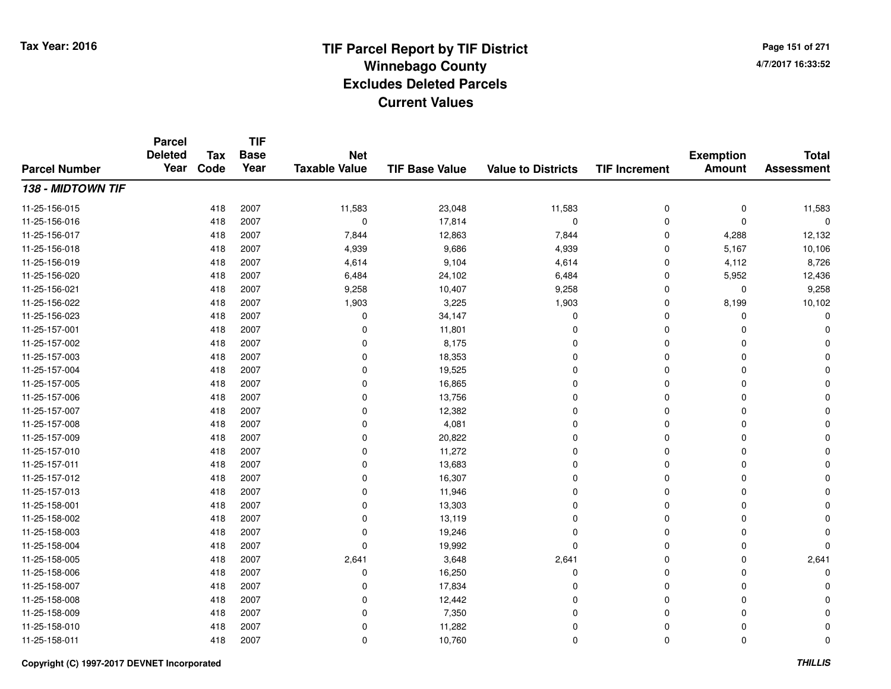**Page 151 of 2714/7/2017 16:33:52**

#### **TIF Base ValueParcel NumberTotal AssessmentExemption Amount Value to Districts TIF IncrementTIF Base YearTax CodeParcel Deleted YearNet Taxable Value138 - MIDTOWN TIF**11-25-156-015 <sup>418</sup> 11,583 <sup>2007</sup> 23,048 11,583 <sup>0</sup> <sup>0</sup> 11,583 11-25-156-016 <sup>418</sup> <sup>0</sup> <sup>2007</sup> 17,814 <sup>0</sup> <sup>0</sup> <sup>0</sup> <sup>0</sup> 11-25-156-017 <sup>418</sup> 7,844 <sup>2007</sup> 12,863 7,844 <sup>0</sup> 4,288 12,132 11-25-156-0188 418 2007 4,939 9,686 4,939 0 5,167 10,106 11-25-156-0199 418 2007 4,614 9,104 4,614 0 4,112 8,726 11-25-156-0200 418 2007 6,484 24,102 6,484 0 5,952 12,436 11-25-156-0211 418 2007 9,258 10,407 9,258 0 0 9,258 11-25-156-0222 2 418 2007 1,903 3,225 1,903 0 8,199 10,102 11-25-156-023 $3$  3  $418$  2007 0  $34,147$  0 0 0 0 0 0 0 11-25-157-0011 418 2007 0 11,801 0 0 0 0 11-25-157-002 <sup>418</sup> <sup>0</sup> <sup>2007</sup> 8,175 <sup>0</sup> <sup>0</sup> <sup>0</sup> <sup>0</sup> 11-25-157-0033 and the set of the contract of the contract of the contract of the contract of  $\sim$  0 cm  $\sim$  0 cm  $\sim$  0 cm  $\sim$  0 cm  $\sim$  0 cm  $\sim$  0 cm  $\sim$  0 cm  $\sim$  0 cm  $\sim$  0 cm  $\sim$  0 cm  $\sim$  0 cm  $\sim$  0 cm  $\sim$  0 cm  $\sim$  0 cm 11-25-157-004 <sup>418</sup> <sup>0</sup> <sup>2007</sup> 19,525 <sup>0</sup> <sup>0</sup> <sup>0</sup> <sup>0</sup> 11-25-157-005 <sup>418</sup> <sup>0</sup> <sup>2007</sup> 16,865 <sup>0</sup> <sup>0</sup> <sup>0</sup> <sup>0</sup> 11-25-157-006 <sup>418</sup> <sup>0</sup> <sup>2007</sup> 13,756 <sup>0</sup> <sup>0</sup> <sup>0</sup> <sup>0</sup> 11-25-157-007 $7$  and  $418$  2007 in the contract of the contract of the contract of the contract of  $12,382$  in the contract of  $0$  in the contract of  $0$  in the contract of  $0$  in the contract of  $0$  in the contract of  $0$  in the cont 11-25-157-0088 418 2007 0 4,081 0 0 0 0 11-25-157-009 <sup>418</sup> <sup>0</sup> <sup>2007</sup> 20,822 <sup>0</sup> <sup>0</sup> <sup>0</sup> <sup>0</sup> 11-25-157-010 <sup>418</sup> <sup>0</sup> <sup>2007</sup> 11,272 <sup>0</sup> <sup>0</sup> <sup>0</sup> <sup>0</sup> 11-25-157-0111 418 2007 0 13,683 0 0 0 0 11-25-157-012 <sup>418</sup> <sup>0</sup> <sup>2007</sup> 16,307 <sup>0</sup> <sup>0</sup> <sup>0</sup> <sup>0</sup> 11-25-157-013 <sup>418</sup> <sup>0</sup> <sup>2007</sup> 11,946 <sup>0</sup> <sup>0</sup> <sup>0</sup> <sup>0</sup> 11-25-158-0011 and the contract of the contract of the contract of the contract of the contract of  $13,303$  contract of  $0$  contract of  $0$  contract of  $0$  contract of  $0$  contract of  $0$  contract of  $0$  contract of  $0$  contract of  $0$ 11-25-158-0022 418 2007 0 13,119 0 0 0 0 11-25-158-003 <sup>418</sup> <sup>0</sup> <sup>2007</sup> 19,246 <sup>0</sup> <sup>0</sup> <sup>0</sup> <sup>0</sup> 11-25-158-004 <sup>418</sup> <sup>0</sup> <sup>2007</sup> 19,992 <sup>0</sup> <sup>0</sup> <sup>0</sup> <sup>0</sup> 11-25-158-0055 418 2007 2,641 3,648 2,641 0 2,641 11-25-158-006 <sup>418</sup> <sup>0</sup> <sup>2007</sup> 16,250 <sup>0</sup> <sup>0</sup> <sup>0</sup> <sup>0</sup> 11-25-158-007 $7$  and  $418$  2007 and the contract of the contract of the contract of the contract of  $17,834$  and  $0$  and  $0$  and  $0$  and  $0$  and  $0$  and  $0$  and  $0$  and  $0$  and  $0$  and  $0$  and  $0$  and  $0$  and  $0$  and  $0$  and  $0$  and 11-25-158-0088 418 2007 0 12,442 0 0 0 0 11-25-158-009 $9$  and  $418$  2007 and the contract of the contract of the contract of  $7,350$  and  $0$  and  $0$  and  $0$  and  $0$  and  $0$  and  $0$  and  $0$  and  $0$  and  $0$  and  $0$  and  $0$  and  $0$  and  $0$  and  $0$  and  $0$  and  $0$  and  $0$  and  $0$ 11-25-158-010 <sup>418</sup> <sup>0</sup> <sup>2007</sup> 11,282 <sup>0</sup> <sup>0</sup> <sup>0</sup> <sup>0</sup> 11-25-158-011<sup>418</sup> <sup>0</sup> <sup>2007</sup> 10,760 <sup>0</sup> <sup>0</sup> <sup>0</sup> <sup>0</sup>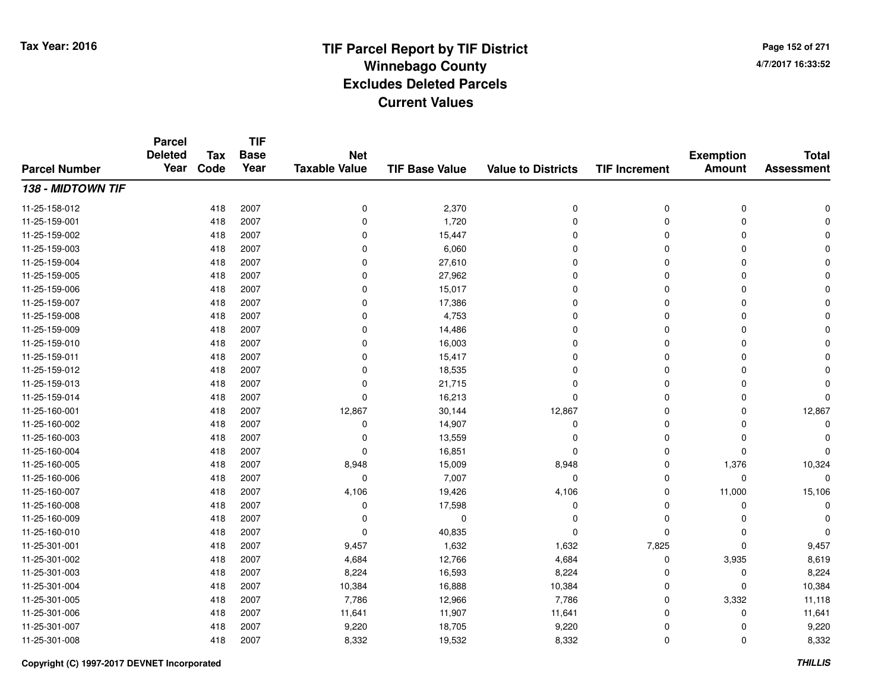**TIF**

**Parcel**

**Page 152 of 2714/7/2017 16:33:52**

#### **TIF Base ValueParcel NumberTotal AssessmentExemption Amount Value to Districts TIF Increment Base YearTax Code Deleted YearNet Taxable Value138 - MIDTOWN TIF**11-25-158-012 <sup>418</sup> <sup>0</sup> <sup>2007</sup> 2,370 <sup>0</sup> <sup>0</sup> <sup>0</sup> <sup>0</sup> 11-25-159-0011 and the contract of the contract of the contract of the contract of the contract of  $1,720$  and  $0$  and  $0$  and  $0$  and  $0$  and  $0$  and  $0$  and  $0$  and  $0$  and  $0$  and  $0$  and  $0$  and  $0$  and  $0$  and  $0$  and  $0$  and  $0$ 11-25-159-002 $2$  2 2  $418$  2007 0  $15,447$  0 0 0 0 0 0 0 11-25-159-003 <sup>418</sup> <sup>0</sup> <sup>2007</sup> 6,060 <sup>0</sup> <sup>0</sup> <sup>0</sup> <sup>0</sup> 11-25-159-004 <sup>418</sup> <sup>0</sup> <sup>2007</sup> 27,610 <sup>0</sup> <sup>0</sup> <sup>0</sup> <sup>0</sup> 11-25-159-005 <sup>418</sup> <sup>0</sup> <sup>2007</sup> 27,962 <sup>0</sup> <sup>0</sup> <sup>0</sup> <sup>0</sup> 11-25-159-006 <sup>418</sup> <sup>0</sup> <sup>2007</sup> 15,017 <sup>0</sup> <sup>0</sup> <sup>0</sup> <sup>0</sup> 11-25-159-007 $7$  and  $418$  2007 in the contract of the contract of the contract of the contract of the contract of the contract of  $0$  of  $0$  of  $0$  of  $0$  of  $0$  of  $0$  of  $0$  of  $0$  of  $0$  of  $0$  of  $0$  of  $0$  of  $0$  of  $0$  of  $0$  o 11-25-159-0088 418 2007 0 4,753 0 0 0 0 11-25-159-0099 418 2007 0 14,486 0 0 0 0 11-25-159-010 <sup>418</sup> <sup>0</sup> <sup>2007</sup> 16,003 <sup>0</sup> <sup>0</sup> <sup>0</sup> <sup>0</sup> 11-25-159-011 <sup>418</sup> <sup>0</sup> <sup>2007</sup> 15,417 <sup>0</sup> <sup>0</sup> <sup>0</sup> <sup>0</sup> 11-25-159-0122 and the contract of the contract of the contract of the contract of the contract of  $\sim$  0 contract of  $\sim$  0 contract of  $\sim$  0 contract of  $\sim$  0 contract of  $\sim$  0 contract of  $\sim$  0 contract of  $\sim$  0 contract of  $\$ 11-25-159-013 <sup>418</sup> <sup>0</sup> <sup>2007</sup> 21,715 <sup>0</sup> <sup>0</sup> <sup>0</sup> <sup>0</sup> 11-25-159-014 <sup>418</sup> <sup>0</sup> <sup>2007</sup> 16,213 <sup>0</sup> <sup>0</sup> <sup>0</sup> <sup>0</sup> 11-25-160-0011 418 2007 12,867 30,144 12,867 0 0 12,867 11-25-160-002 <sup>418</sup> <sup>0</sup> <sup>2007</sup> 14,907 <sup>0</sup> <sup>0</sup> <sup>0</sup> <sup>0</sup> 11-25-160-003 <sup>418</sup> <sup>0</sup> <sup>2007</sup> 13,559 <sup>0</sup> <sup>0</sup> <sup>0</sup> <sup>0</sup> 11-25-160-004 <sup>418</sup> <sup>0</sup> <sup>2007</sup> 16,851 <sup>0</sup> <sup>0</sup> <sup>0</sup> <sup>0</sup> 11-25-160-005 <sup>418</sup> 8,948 <sup>2007</sup> 15,009 8,948 <sup>0</sup> 1,376 10,324 11-25-160-006 <sup>418</sup> <sup>0</sup> <sup>2007</sup> 7,007 <sup>0</sup> <sup>0</sup> <sup>0</sup> <sup>0</sup> 11-25-160-007 <sup>418</sup> 4,106 <sup>2007</sup> 19,426 4,106 <sup>0</sup> 11,000 15,106 11-25-160-0088 418 2007 0 17,598 0 0 0 0 11-25-160-009 <sup>418</sup> <sup>0</sup> <sup>2007</sup> <sup>0</sup> <sup>0</sup> <sup>0</sup> <sup>0</sup> <sup>0</sup> 11-25-160-010 <sup>418</sup> <sup>0</sup> <sup>2007</sup> 40,835 <sup>0</sup> <sup>0</sup> <sup>0</sup> <sup>0</sup> 11-25-301-001 <sup>418</sup> 9,457 <sup>2007</sup> 1,632 1,632 7,825 <sup>0</sup> 9,457 11-25-301-0022 418 2007 4,684 12,766 4,684 0 3,935 8,619 11-25-301-003 $3$  3 2007 8,224 8.224 16,593 8,224 8,224 0 0 0 8,224 11-25-301-0044 2007 10,384 16,888 10,384 16,888 0 0 0 10,384 11-25-301-005 <sup>418</sup> 7,786 <sup>2007</sup> 12,966 7,786 <sup>0</sup> 3,332 11,118 11-25-301-0066 418 2007 11,641 11,907 11,641 0 11,641 11-25-301-007 <sup>418</sup> 9,220 <sup>2007</sup> 18,705 9,220 <sup>0</sup> <sup>0</sup> 9,220 11-25-301-0088 418 2007 8,332 19,532 8,332 0 0 8,332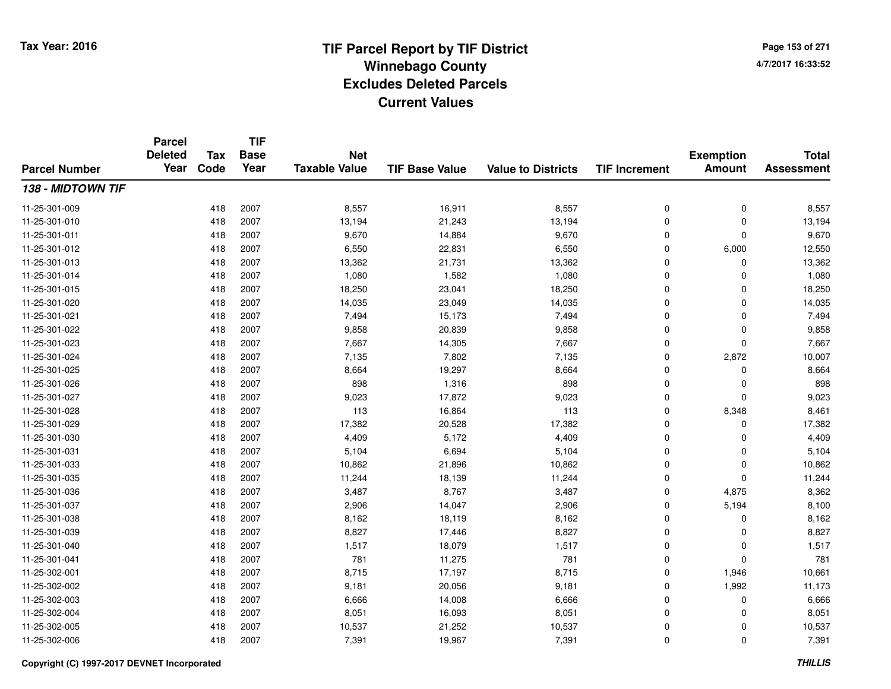**TIF**

**Parcel**

**Page 153 of 2714/7/2017 16:33:52**

#### **TIF Base ValueParcel NumberTotal AssessmentExemption Amount Value to Districts TIF Increment Base YearTax Code Deleted YearNet Taxable Value138 - MIDTOWN TIF**11-25-301-0099 418 2007 8,557 16,911 8,557 0 0 8,557 11-25-301-0100 418 2007 13,194 21,243 13,194 0 0 13,194 11-25-301-0111 418 2007 9,670 14,884 9,670 0 0 9,670 11-25-301-0122 418 2007 6,550 22,831 6,550 0 6,000 12,550 11-25-301-0133 418 2007 13,362 21,731 13,362 0 0 13,362 11-25-301-0144 418 2007 1,080 1,582 1,080 0 0 1,080 11-25-301-015 <sup>418</sup> 18,250 <sup>2007</sup> 23,041 18,250 <sup>0</sup> <sup>0</sup> 18,250 11-25-301-0200 418 2007 14,035 23,049 14,035 0 0 14,035 11-25-301-0211 418 2007 7,494 15,173 7,494 0 0 7,494 11-25-301-0222 418 2007 9,858 20,839 9,858 0 0 9,858 11-25-301-0233 418 2007 7,667 14,305 7,667 0 7,667 11-25-301-024 <sup>418</sup> 7,135 <sup>2007</sup> 7,802 7,135 <sup>0</sup> 2,872 10,007 11-25-301-0255 418 2007 8,664 19,297 8,664 0 0 8,664 11-25-301-0266 418 2007 898 1,316 898 0 0 898 11-25-301-027 <sup>418</sup> 9,023 <sup>2007</sup> 17,872 9,023 <sup>0</sup> <sup>0</sup> 9,023 11-25-301-0288 418 2007 113 16,864 113 0 8,348 8,461 11-25-301-0299 418 2007 17,382 20,528 17,382 0 0 17,382 11-25-301-0300 418 2007 4,409 5,172 4,409 0 0 4,409 11-25-301-0311 1 418 2007 5,104 6,694 5,104 0 0 5,104 11-25-301-033 <sup>418</sup> 10,862 <sup>2007</sup> 21,896 10,862 <sup>0</sup> <sup>0</sup> 10,862 11-25-301-035 <sup>418</sup> 11,244 <sup>2007</sup> 18,139 11,244 <sup>0</sup> <sup>0</sup> 11,244 11-25-301-036 <sup>418</sup> 3,487 <sup>2007</sup> 8,767 3,487 <sup>0</sup> 4,875 8,362 11-25-301-037 <sup>418</sup> 2,906 <sup>2007</sup> 14,047 2,906 <sup>0</sup> 5,194 8,100 11-25-301-0388 418 2007 8,162 18,119 8,162 0 0 8,162 11-25-301-0399 418 2007 8,827 17,446 8,827 0 0 8,827 11-25-301-0400 418 2007 1,517 18,079 1,517 0 0 1,517 11-25-301-0411 418 2007 781 11,275 781 0 0 781 11-25-302-0011 418 2007 8,715 17,197 8,715 0 1,946 10,661 11-25-302-002 <sup>418</sup> 9,181 <sup>2007</sup> 20,056 9,181 <sup>0</sup> 1,992 11,173 11-25-302-0033 418 2007 6,666 14,008 6,666 0 0 6,666 11-25-302-0044 2007 8,051 16,093 8,051 8,051 8,051 8,061 8,061 8,051 0 0 8,051 11-25-302-005 <sup>418</sup> 10,537 <sup>2007</sup> 21,252 10,537 <sup>0</sup> <sup>0</sup> 10,537 11-25-302-0066 418 2007 7,391 19,967 7,391 0 7,391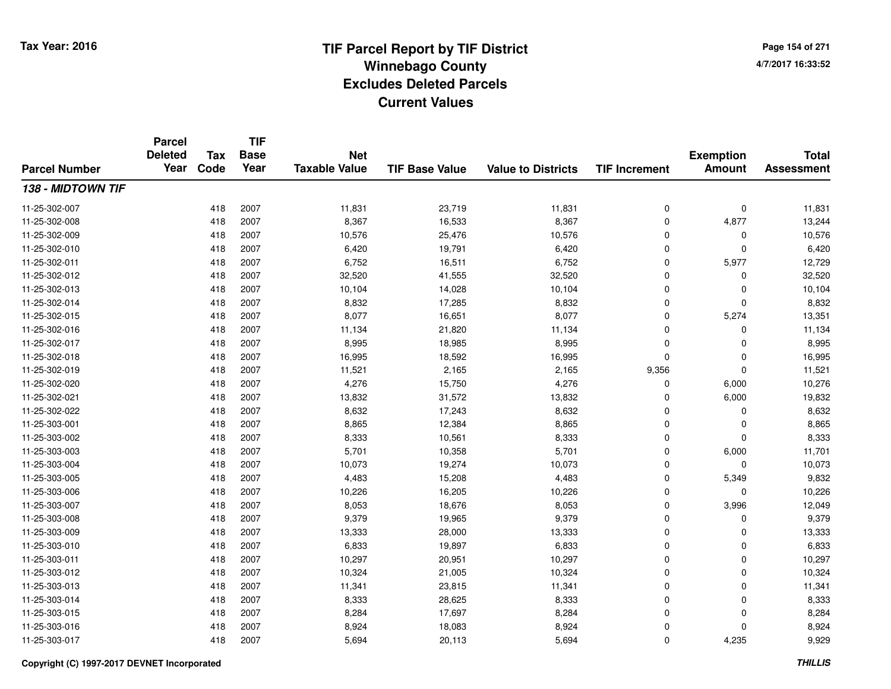**TIF**

**Parcel**

**Page 154 of 2714/7/2017 16:33:52**

#### **TIF Base ValueParcel NumberTotal AssessmentExemption Amount Value to Districts TIF Increment Base YearTax Code Deleted YearNet Taxable Value138 - MIDTOWN TIF**11-25-302-007 <sup>418</sup> 11,831 <sup>2007</sup> 23,719 11,831 <sup>0</sup> <sup>0</sup> 11,831 11-25-302-0088 418 2007 8,367 16,533 8,367 0 4,877 13,244 11-25-302-0099 418 2007 10,576 25,476 10,576 0 0 10,576 11-25-302-0100 418 2007 6,420 19,791 6,420 0 0 6,420 11-25-302-011 <sup>418</sup> 6,752 <sup>2007</sup> 16,511 6,752 <sup>0</sup> 5,977 12,729 11-25-302-0122 418 2007 32,520 41,555 32,520 0 0 32,520 11-25-302-0133 418 2007 10,104 14,028 10,104 0 0 10,104 11-25-302-0144 2007 8,832 17,285 8,832 8,832 8,832 8,832 8,832 8,832 8,832 8 0 11-25-302-015 <sup>418</sup> 8,077 <sup>2007</sup> 16,651 8,077 <sup>0</sup> 5,274 13,351 11-25-302-016 <sup>418</sup> 11,134 <sup>2007</sup> 21,820 11,134 <sup>0</sup> <sup>0</sup> 11,134 11-25-302-017 <sup>418</sup> 8,995 <sup>2007</sup> 18,985 8,995 <sup>0</sup> <sup>0</sup> 8,995 11-25-302-0188 418 2007 16,995 18,592 16,995 0 0 16,995 11-25-302-0199 418 2007 11,521 2,165 2,165 9,356 0 11,521 11-25-302-0200 418 2007 4,276 15,750 4,276 0 6,000 10,276 11-25-302-0211 418 2007 13,832 31,572 13,832 0 6,000 19,832 11-25-302-0222 418 2007 8,632 17,243 8,632 0 0 8,632 11-25-303-0011 418 2007 8,865 12,384 8,865 0 0 8,865 11-25-303-0022 418 2007 8,333 10,561 8,333 0 8,333 11-25-303-0033 418 2007 5,701 10,358 5,701 0 6,000 11,701 11-25-303-004 <sup>418</sup> 10,073 <sup>2007</sup> 19,274 10,073 <sup>0</sup> <sup>0</sup> 10,073 11-25-303-0055 21, 2007 118 2007 1,483 2007 15,208 2010 4,483 2010 5,349 5,349 5,832 5 4,483 1 5,484 5,832 5,832 5,549 5,832 11-25-303-0066 418 2007 10,226 16,205 10,226 0 0 10,226 11-25-303-007 <sup>418</sup> 8,053 <sup>2007</sup> 18,676 8,053 <sup>0</sup> 3,996 12,049 11-25-303-008 <sup>418</sup> 9,379 <sup>2007</sup> 19,965 9,379 <sup>0</sup> <sup>0</sup> 9,379 11-25-303-0099 418 2007 13,333 28,000 13,333 0 0 13,333 11-25-303-0100 418 2007 6,833 19,897 6,833 0 0 6,833 11-25-303-0111 418 2007 10,297 20,951 10,297 0 0 10,297 11-25-303-0122 2 2 2 2 3 418 2007 10,324 21,005 10,324 10,324 0 0 0 10,324 11-25-303-0133 418 2007 11,341 23,815 11,341 0 0 11,341 11-25-303-0144 28,625 2007 28,625 8,333 28,625 8,333 28,333 28,333 28,333 28,333 28,333 28,333 11-25-303-015 <sup>418</sup> 8,284 <sup>2007</sup> 17,697 8,284 <sup>0</sup> <sup>0</sup> 8,284 11-25-303-016 <sup>418</sup> 8,924 <sup>2007</sup> 18,083 8,924 <sup>0</sup> <sup>0</sup> 8,924 11-25-303-017<sup>418</sup> 5,694 <sup>2007</sup> 20,113 5,694 <sup>0</sup> 4,235 9,929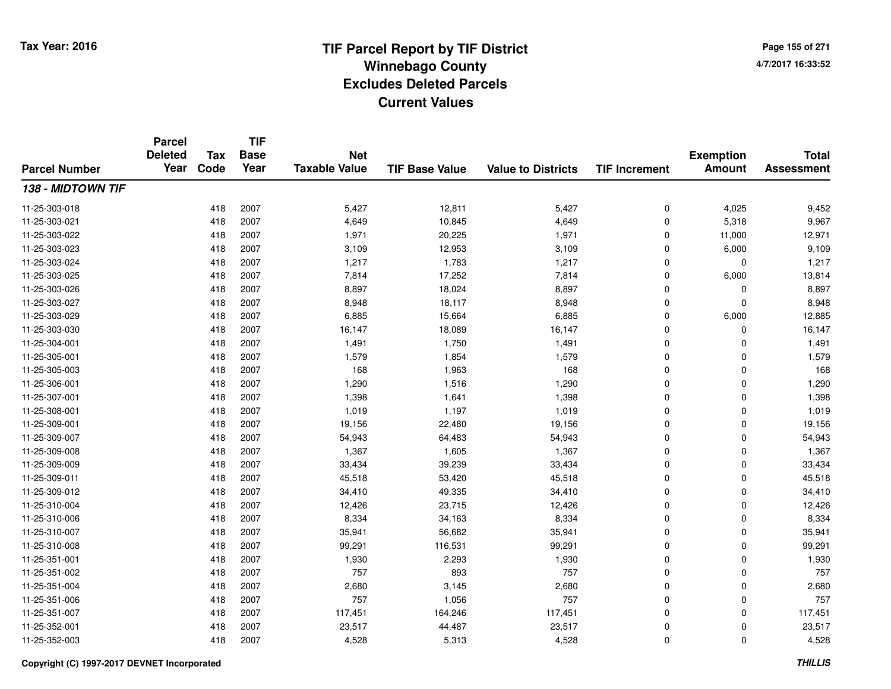**TIF**

**Parcel**

**Page 155 of 2714/7/2017 16:33:52**

#### **TIF Base ValueParcel NumberTotal AssessmentExemption Amount Value to Districts TIF Increment Base YearTax Code Deleted YearNet Taxable Value138 - MIDTOWN TIF**11-25-303-018 <sup>418</sup> 5,427 <sup>2007</sup> 12,811 5,427 <sup>0</sup> 4,025 9,452 11-25-303-0211 418 2007 4,649 10,845 4,649 0 5,318 9,967 11-25-303-0222 418 2007 1,971 20,225 1,971 0 11,000 12,971 11-25-303-0233 418 2007 3,109 12,953 3,109 0 6,000 9,109 11-25-303-024 <sup>418</sup> 1,217 <sup>2007</sup> 1,783 1,217 <sup>0</sup> <sup>0</sup> 1,217 11-25-303-0255 418 2007 7,814 17,252 7,814 0 6,000 13,814 11-25-303-026 <sup>418</sup> 8,897 <sup>2007</sup> 18,024 8,897 <sup>0</sup> <sup>0</sup> 8,897 11-25-303-0277 418 2007 8,948 18,117 8,948 0 0 8,948 11-25-303-0299 418 2007 6,885 15,664 6,885 0 6,000 12,885 11-25-303-0300 418 2007 16,147 18,089 16,147 0 0 16,147 11-25-304-0011 418 2007 1,491 1,750 1,491 0 0 1,491 11-25-305-0011 418 2007 1,579 1,854 1,579 0 0 1,579 11-25-305-0033 418 2007 168 1,963 168 0 0 168 11-25-306-0011 418 2007 1,290 1,516 1,290 0 0 1,290 11-25-307-0011 418 2007 1,398 1,641 1,398 0 0 1,398 11-25-308-0011 418 2007 1,019 1,197 1,019 0 0 1,019 11-25-309-0011 418 2007 19,156 22,480 19,156 0 0 19,156 11-25-309-007 <sup>418</sup> 54,943 <sup>2007</sup> 64,483 54,943 <sup>0</sup> <sup>0</sup> 54,943 11-25-309-0088 418 2007 1,367 1,605 1,367 0 0 1,367 11-25-309-009 <sup>418</sup> 33,434 <sup>2007</sup> 39,239 33,434 <sup>0</sup> <sup>0</sup> 33,434 11-25-309-0111 418 2007 45,518 53,420 45,518 0 0 45,518 11-25-309-0122 418 2007 34,410 49,335 34,410 0 0 34,410 11-25-310-004 <sup>418</sup> 12,426 <sup>2007</sup> 23,715 12,426 <sup>0</sup> <sup>0</sup> 12,426 11-25-310-006 <sup>418</sup> 8,334 <sup>2007</sup> 34,163 8,334 <sup>0</sup> <sup>0</sup> 8,334 11-25-310-0077 418 2007 35,941 56,682 35,941 0 0 35,941 11-25-310-008 <sup>418</sup> 99,291 <sup>2007</sup> 116,531 99,291 <sup>0</sup> <sup>0</sup> 99,291 11-25-351-0011 418 2007 1,930 2,293 1,930 0 0 1,930 11-25-351-002 <sup>418</sup> <sup>757</sup> <sup>2007</sup> <sup>893</sup> <sup>757</sup> <sup>0</sup> <sup>0</sup> <sup>757</sup> 11-25-351-0044 2007 2,680 2007 2,680 3,145 2,680 2,680 0 0 2,680 11-25-351-006 <sup>418</sup> <sup>757</sup> <sup>2007</sup> 1,056 <sup>757</sup> <sup>0</sup> <sup>0</sup> <sup>757</sup> 11-25-351-007 <sup>418</sup> 117,451 <sup>2007</sup> 164,246 117,451 <sup>0</sup> <sup>0</sup> 117,451 11-25-352-0011 418 2007 23,517 44,487 23,517 0 0 23,517 11-25-352-0033 418 2007 4,528 5,313 4,528 0 0 4,528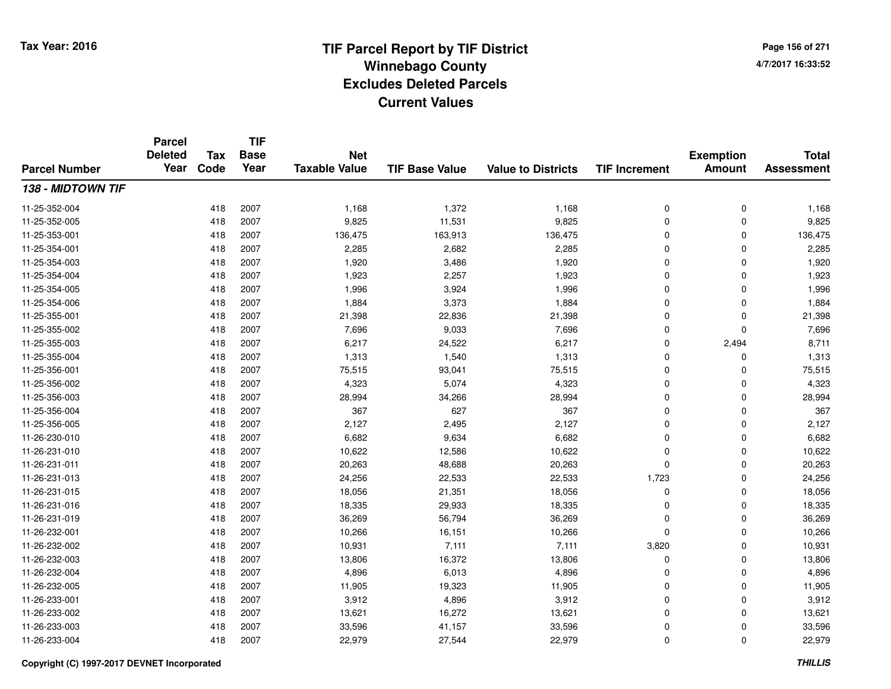**TIF**

**Parcel**

**Page 156 of 2714/7/2017 16:33:52**

#### **TIF Base ValueParcel NumberTotal AssessmentExemption Amount Value to Districts TIF Increment Base YearTax Code Deleted YearNet Taxable Value138 - MIDTOWN TIF**11-25-352-004 <sup>418</sup> 1,168 <sup>2007</sup> 1,372 1,168 <sup>0</sup> <sup>0</sup> 1,168 11-25-352-0055 418 2007 9,825 11,531 9,825 0 0 9,825 11-25-353-0011 418 2007 136,475 163,913 136,475 0 136,475 11-25-354-0011 418 2007 2,285 2,682 2,285 0 0 2,285 11-25-354-003 $3$  3 2007 2007 2009 2009 3,486 2009 3,486 3,480 3,480 3,480 3,920 3,920 3,920 3,920 3,920 3,920 3,920 3,920 3,920 3,920 3,920 3,920 3,920 3,920 3,920 3,920 3,920 3,920 3,920 3,920 3,920 3,920 3,920 3,920 3,920 3,920 3,92 11-25-354-004 <sup>418</sup> 1,923 <sup>2007</sup> 2,257 1,923 <sup>0</sup> <sup>0</sup> 1,923 11-25-354-005 <sup>418</sup> 1,996 <sup>2007</sup> 3,924 1,996 <sup>0</sup> <sup>0</sup> 1,996 11-25-354-0066 418 2007 1,884 3,373 1,884 0 0 1,884 11-25-355-0011 418 2007 21,398 22,836 21,398 0 0 21,398 11-25-355-0022 418 2007 7,696 9,033 7,696 0 7,696 11-25-355-0033 418 2007 6,217 24,522 6,217 0 2,494 8,711 11-25-355-004 <sup>418</sup> 1,313 <sup>2007</sup> 1,540 1,313 <sup>0</sup> <sup>0</sup> 1,313 11-25-356-0011 418 2007 75,515 93,041 75,515 0 75,515 11-25-356-0022 418 2007 4,323 5,074 4,323 0 0 4,323 11-25-356-0033 418 2007 28,994 34,266 28,994 0 0 28,994 11-25-356-004 <sup>418</sup> <sup>367</sup> <sup>2007</sup> <sup>627</sup> <sup>367</sup> <sup>0</sup> <sup>0</sup> <sup>367</sup> 11-25-356-005 <sup>418</sup> 2,127 <sup>2007</sup> 2,495 2,127 <sup>0</sup> <sup>0</sup> 2,127 11-26-230-0100 418 2007 6,682 9,634 6,682 0 0 6,682 11-26-231-0100 418 2007 10,622 12,586 10,622 0 0 10,622 11-26-231-0111 418 2007 20,263 48,688 20,263 0 0 20,263 11-26-231-013 <sup>418</sup> 24,256 <sup>2007</sup> 22,533 22,533 1,723 <sup>0</sup> 24,256 11-26-231-015 <sup>418</sup> 18,056 <sup>2007</sup> 21,351 18,056 <sup>0</sup> <sup>0</sup> 18,056 11-26-231-0166 418 2007 18,335 29,933 18,335 0 0 18,335 11-26-231-0199 418 2007 36,269 56,794 36,269 0 0 36,269 11-26-232-0011 418 2007 10,266 16,151 10,266 0 0 10,266 11-26-232-002 <sup>418</sup> 10,931 <sup>2007</sup> 7,111 7,111 3,820 <sup>0</sup> 10,931 11-26-232-0033 418 2007 13,806 16,372 13,806 0 0 13,806 11-26-232-0044 418 2007 4,896 6,013 4,896 0 0 4,896 11-26-232-005 <sup>418</sup> 11,905 <sup>2007</sup> 19,323 11,905 <sup>0</sup> <sup>0</sup> 11,905 11-26-233-0011 418 2007 3,912 4,896 3,912 0 0 3,912 11-26-233-0022 418 2007 13,621 16,272 13,621 0 0 13,621 11-26-233-0033 418 2007 33,596 41,157 33,596 0 0 33,596 11-26-233-004<sup>418</sup> 22,979 <sup>2007</sup> 27,544 22,979 <sup>0</sup> <sup>0</sup> 22,979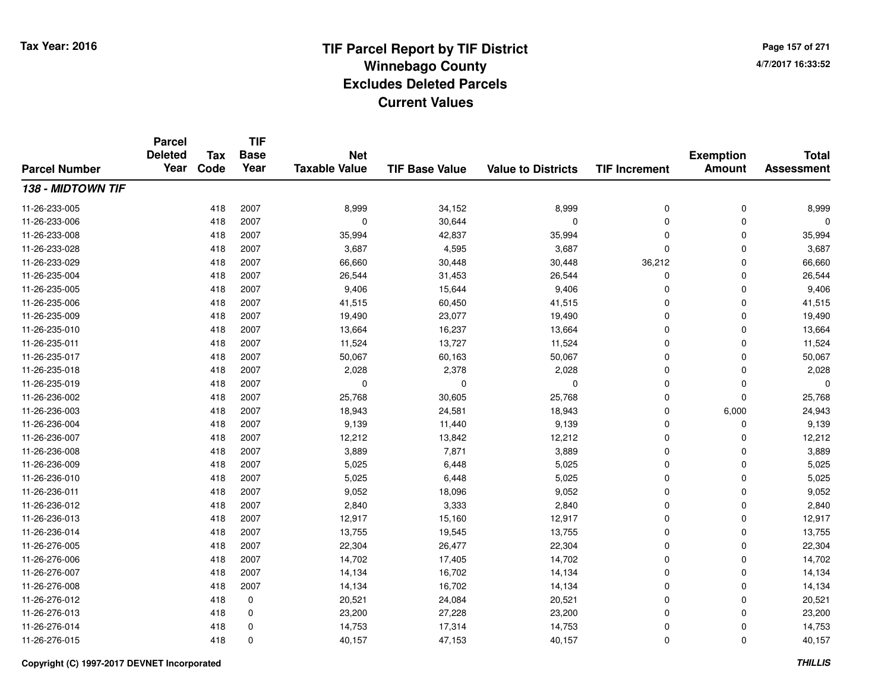**TIF**

**Parcel**

**Page 157 of 2714/7/2017 16:33:52**

#### **TIF Base ValueParcel NumberTotal AssessmentExemption Amount Value to Districts TIF Increment Base YearTax Code Deleted YearNet Taxable Value138 - MIDTOWN TIF**11-26-233-005 <sup>418</sup> 8,999 <sup>2007</sup> 34,152 8,999 <sup>0</sup> <sup>0</sup> 8,999 11-26-233-006 <sup>418</sup> <sup>0</sup> <sup>2007</sup> 30,644 <sup>0</sup> <sup>0</sup> <sup>0</sup> <sup>0</sup> 11-26-233-0088 418 2007 35,994 42,837 35,994 0 0 35,994 11-26-233-0288 418 2007 3,687 4,595 3,687 0 0 3,687 11-26-233-029 <sup>418</sup> 66,660 <sup>2007</sup> 30,448 30,448 36,212 <sup>0</sup> 66,660 11-26-235-0044 26,544 2007 26,544 31,453 26,544 26,544 0 0 0 26,544 11-26-235-005 <sup>418</sup> 9,406 <sup>2007</sup> 15,644 9,406 <sup>0</sup> <sup>0</sup> 9,406 11-26-235-0066 418 2007 41,515 60,450 41,515 0 0 41,515 11-26-235-009 <sup>418</sup> 19,490 <sup>2007</sup> 23,077 19,490 <sup>0</sup> <sup>0</sup> 19,490 11-26-235-0100 418 2007 13,664 16,237 13,664 0 0 13,664 11-26-235-0111 418 2007 11,524 13,727 11,524 0 0 11,524 11-26-235-017 <sup>418</sup> 50,067 <sup>2007</sup> 60,163 50,067 <sup>0</sup> <sup>0</sup> 50,067 11-26-235-0188 418 2007 2,028 2,378 2,028 0 0 2,028 11-26-235-019 <sup>418</sup> <sup>0</sup> <sup>2007</sup> <sup>0</sup> <sup>0</sup> <sup>0</sup> <sup>0</sup> <sup>0</sup> 11-26-236-0022 418 2007 25,768 30,605 25,768 0 25,768 11-26-236-0033 418 2007 18,943 24,581 18,943 0 6,000 24,943 11-26-236-004 <sup>418</sup> 9,139 <sup>2007</sup> 11,440 9,139 <sup>0</sup> <sup>0</sup> 9,139 11-26-236-007 <sup>418</sup> 12,212 <sup>2007</sup> 13,842 12,212 <sup>0</sup> <sup>0</sup> 12,212 11-26-236-0088 418 2007 3,889 7,871 3,889 0 0 3,889 11-26-236-0099 418 2007 5,025 6,448 5,025 0 0 5,025 11-26-236-0100 418 2007 5,025 6,448 5,025 0 0 5,025 11-26-236-0111 418 2007 9,052 18,096 9,052 0 0 9,052 11-26-236-0122 418 2007 2,840 3,333 2,840 0 0 2,840 11-26-236-0133 418 2007 12,917 15,160 12,917 0 0 12,917 11-26-236-014 <sup>418</sup> 13,755 <sup>2007</sup> 19,545 13,755 <sup>0</sup> <sup>0</sup> 13,755 11-26-276-005 <sup>418</sup> 22,304 <sup>2007</sup> 26,477 22,304 <sup>0</sup> <sup>0</sup> 22,304 11-26-276-006 <sup>418</sup> 14,702 <sup>2007</sup> 17,405 14,702 <sup>0</sup> <sup>0</sup> 14,702 11-26-276-007 <sup>418</sup> 14,134 <sup>2007</sup> 16,702 14,134 <sup>0</sup> <sup>0</sup> 14,134 11-26-276-008 <sup>418</sup> 14,134 <sup>2007</sup> 16,702 14,134 <sup>0</sup> <sup>0</sup> 14,134 11-26-276-0122 418 0 20,521 24,084 20,521 0 20,521 11-26-276-013 $3$  3 23,200 23,200 23,200 27,228 23,200 23,200 0 0 23,200 11-26-276-014 <sup>418</sup> 14,753 <sup>0</sup> 17,314 14,753 <sup>0</sup> <sup>0</sup> 14,753 11-26-276-015<sup>418</sup> 40,157 <sup>0</sup> 47,153 40,157 <sup>0</sup> <sup>0</sup> 40,157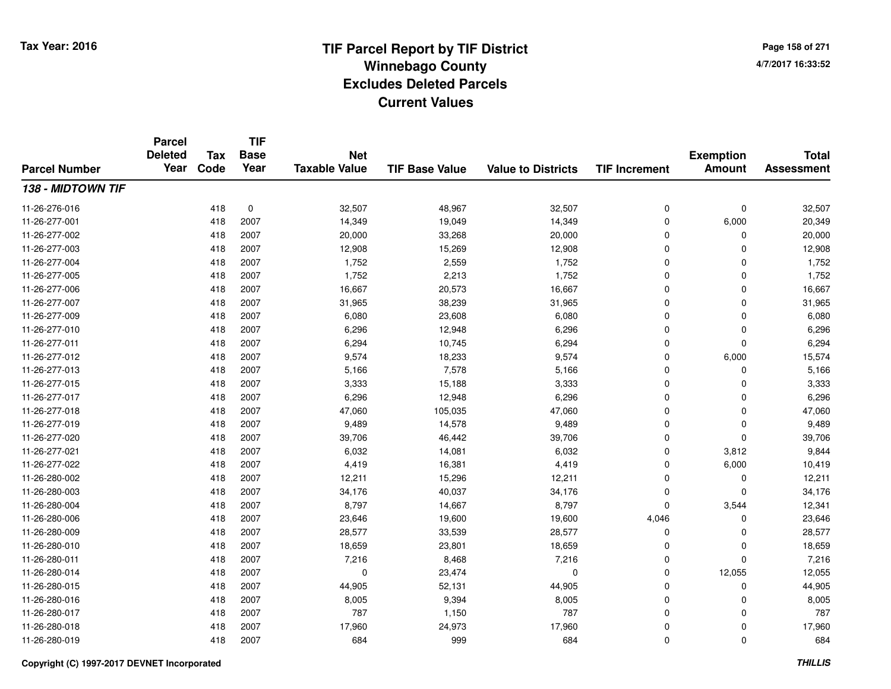**Page 158 of 2714/7/2017 16:33:52**

#### **TIF Base ValueParcel NumberTotal AssessmentExemption Amount Value to Districts TIF IncrementTIF Base YearTax CodeParcel Deleted YearNet Taxable Value138 - MIDTOWN TIF**11-26-276-0166 418 0 32,507 48,967 32,507 0 32,507 11-26-277-0011 418 2007 14,349 19,049 14,349 0 6,000 20,349 11-26-277-0022 418 2007 20,000 33,268 20,000 0 0 20,000 11-26-277-0033 418 2007 12,908 15,269 12,908 0 0 12,908 11-26-277-004 <sup>418</sup> 1,752 <sup>2007</sup> 2,559 1,752 <sup>0</sup> <sup>0</sup> 1,752 11-26-277-005 <sup>418</sup> 1,752 <sup>2007</sup> 2,213 1,752 <sup>0</sup> <sup>0</sup> 1,752 11-26-277-006 <sup>418</sup> 16,667 <sup>2007</sup> 20,573 16,667 <sup>0</sup> <sup>0</sup> 16,667 11-26-277-007 <sup>418</sup> 31,965 <sup>2007</sup> 38,239 31,965 <sup>0</sup> <sup>0</sup> 31,965 11-26-277-009 <sup>418</sup> 6,080 <sup>2007</sup> 23,608 6,080 <sup>0</sup> <sup>0</sup> 6,080 11-26-277-0100 418 2007 6,296 12,948 6,296 0 0 6,296 11-26-277-0111 418 2007 6,294 10,745 6,294 0 0 6,294 11-26-277-0122 418 2007 9,574 18,233 9,574 0 6,000 15,574 11-26-277-0133 418 2007 5,166 7,578 5,166 0 0 5,166 11-26-277-015 <sup>418</sup> 3,333 <sup>2007</sup> 15,188 3,333 <sup>0</sup> <sup>0</sup> 3,333 11-26-277-017 <sup>418</sup> 6,296 <sup>2007</sup> 12,948 6,296 <sup>0</sup> <sup>0</sup> 6,296 11-26-277-0188 418 2007 47,060 105,035 47,060 0 0 47,060 11-26-277-0199 418 2007 9,489 14,578 9,489 0 0 9,489 11-26-277-0200 418 2007 39,706 46,442 39,706 0 0 39,706 11-26-277-0211 418 2007 6,032 14,081 6,032 0 3,812 9,844 11-26-277-0222 418 2007 4,419 16,381 4,419 0 6,000 10,419 11-26-280-0022 418 2007 12,211 15,296 12,211 0 0 12,211 11-26-280-003 <sup>418</sup> 34,176 <sup>2007</sup> 40,037 34,176 <sup>0</sup> <sup>0</sup> 34,176 11-26-280-004 <sup>418</sup> 8,797 <sup>2007</sup> 14,667 8,797 <sup>0</sup> 3,544 12,341 11-26-280-006 <sup>418</sup> 23,646 <sup>2007</sup> 19,600 19,600 4,046 <sup>0</sup> 23,646 11-26-280-009 <sup>418</sup> 28,577 <sup>2007</sup> 33,539 28,577 <sup>0</sup> <sup>0</sup> 28,577 11-26-280-0100 418 2007 18,659 23,801 18,659 0 0 18,659 11-26-280-0111 418 2007 7,216 8,468 7,216 0 0 7,216 11-26-280-014 <sup>418</sup> <sup>0</sup> <sup>2007</sup> 23,474 <sup>0</sup> <sup>0</sup> 12,055 12,055 11-26-280-015 <sup>418</sup> 44,905 <sup>2007</sup> 52,131 44,905 <sup>0</sup> <sup>0</sup> 44,905 11-26-280-016 <sup>418</sup> 8,005 <sup>2007</sup> 9,394 8,005 <sup>0</sup> <sup>0</sup> 8,005 11-26-280-017 <sup>418</sup> <sup>787</sup> <sup>2007</sup> 1,150 <sup>787</sup> <sup>0</sup> <sup>0</sup> <sup>787</sup> 11-26-280-018 <sup>418</sup> 17,960 <sup>2007</sup> 24,973 17,960 <sup>0</sup> <sup>0</sup> 17,960 11-26-280-0199 418 2007 684 999 684 0 0 684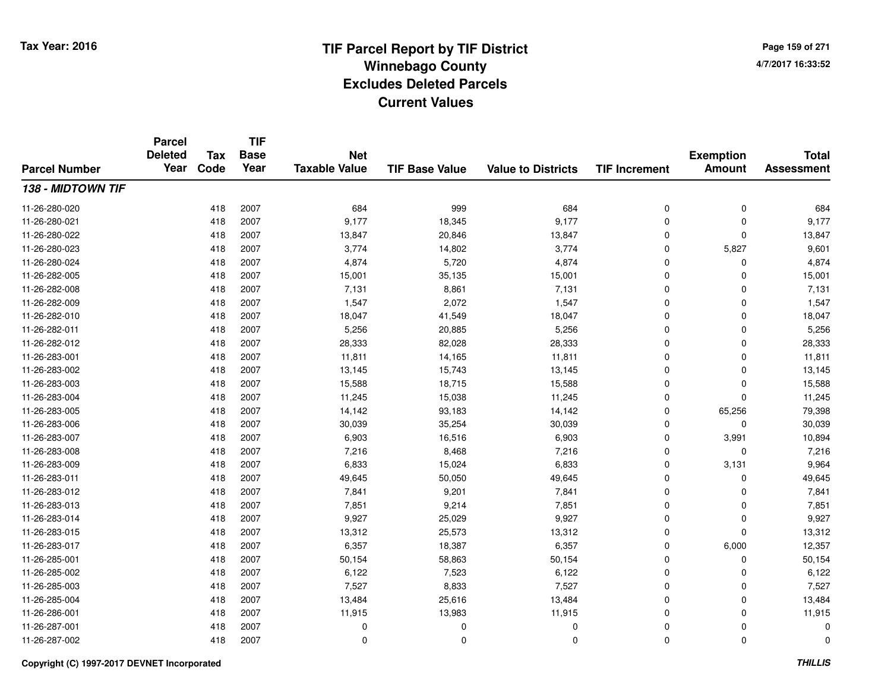**Page 159 of 2714/7/2017 16:33:52**

#### **TIF Base ValueParcel NumberTotal AssessmentExemption Amount Value to Districts TIF IncrementTIF Base YearTax CodeParcel Deleted YearNet Taxable Value138 - MIDTOWN TIF**11-26-280-0200 418 2007 684 999 684 0 0 684 11-26-280-021 <sup>418</sup> 9,177 <sup>2007</sup> 18,345 9,177 <sup>0</sup> <sup>0</sup> 9,177 11-26-280-0222 418 2007 13,847 20,846 13,847 0 0 13,847 11-26-280-0233 418 2007 3,774 14,802 3,774 0 5,827 9,601 11-26-280-0244 2007 4,874 5,720 4,874 0 0 0 4,874 11-26-282-005 <sup>418</sup> 15,001 <sup>2007</sup> 35,135 15,001 <sup>0</sup> <sup>0</sup> 15,001 11-26-282-008 <sup>418</sup> 7,131 <sup>2007</sup> 8,861 7,131 <sup>0</sup> <sup>0</sup> 7,131 11-26-282-0099 418 2007 1,547 2,072 1,547 0 0 1,547 11-26-282-0100 418 2007 18,047 41,549 18,047 0 0 18,047 11-26-282-0111 418 2007 5,256 20,885 5,256 0 0 5,256 11-26-282-0122 418 2007 28,333 82,028 28,333 0 0 28,333 11-26-283-0011 418 2007 11,811 14,165 11,811 0 0 11,811 11-26-283-0022 418 2007 13,145 15,743 13,145 0 0 13,145 11-26-283-0033 418 2007 15,588 18,715 15,588 0 0 15,588 11-26-283-0044 418 2007 11,245 15,038 11,245 0 0 11,245 11-26-283-0055 418 2007 14,142 93,183 14,142 0 65,256 79,398 11-26-283-006 <sup>418</sup> 30,039 <sup>2007</sup> 35,254 30,039 <sup>0</sup> <sup>0</sup> 30,039 11-26-283-007 <sup>418</sup> 6,903 <sup>2007</sup> 16,516 6,903 <sup>0</sup> 3,991 10,894 11-26-283-008 <sup>418</sup> 7,216 <sup>2007</sup> 8,468 7,216 <sup>0</sup> <sup>0</sup> 7,216 11-26-283-0099 418 2007 6,833 15,024 6,833 0 3,131 9,964 11-26-283-0111 418 2007 49,645 50,050 49,645 0 0 49,645 11-26-283-0122 418 2007 7,841 9,201 7,841 0 7,841 11-26-283-0133 418 2007 7,851 9,214 7,851 0 7,851 11-26-283-0144 2007 26,029 9,927 25,029 9,927 9,927 9,927 0 0 0 9,927 11-26-283-015 <sup>418</sup> 13,312 <sup>2007</sup> 25,573 13,312 <sup>0</sup> <sup>0</sup> 13,312 11-26-283-017 <sup>418</sup> 6,357 <sup>2007</sup> 18,387 6,357 <sup>0</sup> 6,000 12,357 11-26-285-0011 418 2007 50,154 58,863 50,154 0 0 50,154 11-26-285-0022 418 2007 6,122 7,523 6,122 0 0 6,122 11-26-285-0033 418 2007 7,527 8,833 7,527 0 0 7,527 11-26-285-0044 1 2007 13,484 26,616 13,484 25,616 13,484 0 0 0 13,484 11-26-286-0011 418 2007 11,915 13,983 11,915 0 0 11,915 11-26-287-001 <sup>418</sup> <sup>0</sup> <sup>2007</sup> <sup>0</sup> <sup>0</sup> <sup>0</sup> <sup>0</sup> <sup>0</sup> 11-26-287-002<sup>418</sup> <sup>0</sup> <sup>2007</sup> <sup>0</sup> <sup>0</sup> <sup>0</sup> <sup>0</sup> <sup>0</sup>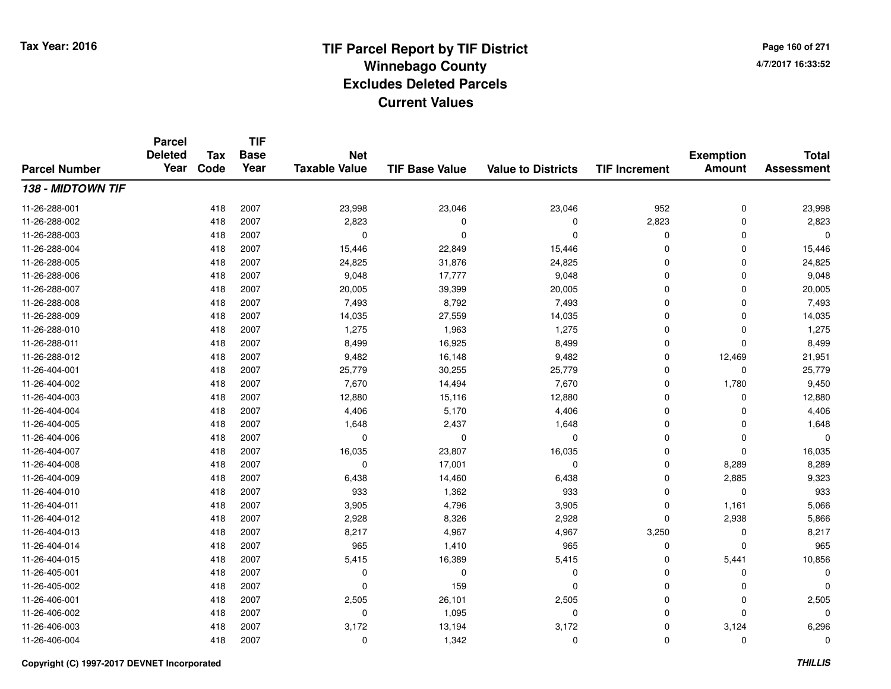**TIF**

**Parcel**

**Page 160 of 2714/7/2017 16:33:52**

#### **TIF Base ValueParcel NumberTotal AssessmentExemption Amount Value to Districts TIF Increment Base YearTax Code Deleted YearNet Taxable Value138 - MIDTOWN TIF**11-26-288-0011 418 2007 23,998 23,046 23,046 952 0 23,998 11-26-288-0022 418 2007 2,823 0 0 2,823 0 2,823 11-26-288-003 <sup>418</sup> <sup>0</sup> <sup>2007</sup> <sup>0</sup> <sup>0</sup> <sup>0</sup> <sup>0</sup> <sup>0</sup> 11-26-288-004 <sup>418</sup> 15,446 <sup>2007</sup> 22,849 15,446 <sup>0</sup> <sup>0</sup> 15,446 11-26-288-005 <sup>418</sup> 24,825 <sup>2007</sup> 31,876 24,825 <sup>0</sup> <sup>0</sup> 24,825 11-26-288-006 <sup>418</sup> 9,048 <sup>2007</sup> 17,777 9,048 <sup>0</sup> <sup>0</sup> 9,048 11-26-288-007 <sup>418</sup> 20,005 <sup>2007</sup> 39,399 20,005 <sup>0</sup> <sup>0</sup> 20,005 11-26-288-008 <sup>418</sup> 7,493 <sup>2007</sup> 8,792 7,493 <sup>0</sup> <sup>0</sup> 7,493 11-26-288-0099 418 2007 14,035 27,559 14,035 0 0 14,035 11-26-288-0100 418 2007 1,275 1,963 1,275 0 0 1,275 11-26-288-0111 418 2007 8,499 16,925 8,499 0 0 8,499 11-26-288-0122 418 2007 9,482 16,148 9,482 0 12,469 21,951 11-26-404-0011 418 2007 25,779 30,255 25,779 0 0 25,779 11-26-404-002 <sup>418</sup> 7,670 <sup>2007</sup> 14,494 7,670 <sup>0</sup> 1,780 9,450 11-26-404-0033 418 2007 12,880 15,116 12,880 0 0 12,880 11-26-404-004 <sup>418</sup> 4,406 <sup>2007</sup> 5,170 4,406 <sup>0</sup> <sup>0</sup> 4,406 11-26-404-0055 418 2007 1,648 2,437 1,648 0 0 1,648 11-26-404-006 <sup>418</sup> <sup>0</sup> <sup>2007</sup> <sup>0</sup> <sup>0</sup> <sup>0</sup> <sup>0</sup> <sup>0</sup> 11-26-404-007 <sup>418</sup> 16,035 <sup>2007</sup> 23,807 16,035 <sup>0</sup> <sup>0</sup> 16,035 11-26-404-0088 418 2007 0 17,001 0 0 8,289 8,289 11-26-404-0099 418 2007 6,438 14,460 6,438 0 2,885 9,323 11-26-404-010 <sup>418</sup> <sup>933</sup> <sup>2007</sup> 1,362 <sup>933</sup> <sup>0</sup> <sup>0</sup> <sup>933</sup> 11-26-404-0111 418 2007 3,905 4,796 3,905 0 1,161 5,066 11-26-404-0122 418 2007 2,928 8,326 2,928 0 2,938 5,866 11-26-404-0133 418 2007 8,217 4,967 4,967 3,250 0 8,217 11-26-404-014 <sup>418</sup> <sup>965</sup> <sup>2007</sup> 1,410 <sup>965</sup> <sup>0</sup> <sup>0</sup> <sup>965</sup> 11-26-404-0155 418 2007 5,415 16,389 5,415 0 5,441 10,856 11-26-405-001 <sup>418</sup> <sup>0</sup> <sup>2007</sup> <sup>0</sup> <sup>0</sup> <sup>0</sup> <sup>0</sup> <sup>0</sup> 11-26-405-0022 418 2007 0 159 0 0 0 0 11-26-406-0011 418 2007 2,505 26,101 2,505 0 0 2,505 11-26-406-002 <sup>418</sup> <sup>0</sup> <sup>2007</sup> 1,095 <sup>0</sup> <sup>0</sup> <sup>0</sup> <sup>0</sup> 11-26-406-0033 418 2007 3,172 13,194 3,172 0 3,124 6,296 11-26-406-004<sup>418</sup> <sup>0</sup> <sup>2007</sup> 1,342 <sup>0</sup> <sup>0</sup> <sup>0</sup> <sup>0</sup>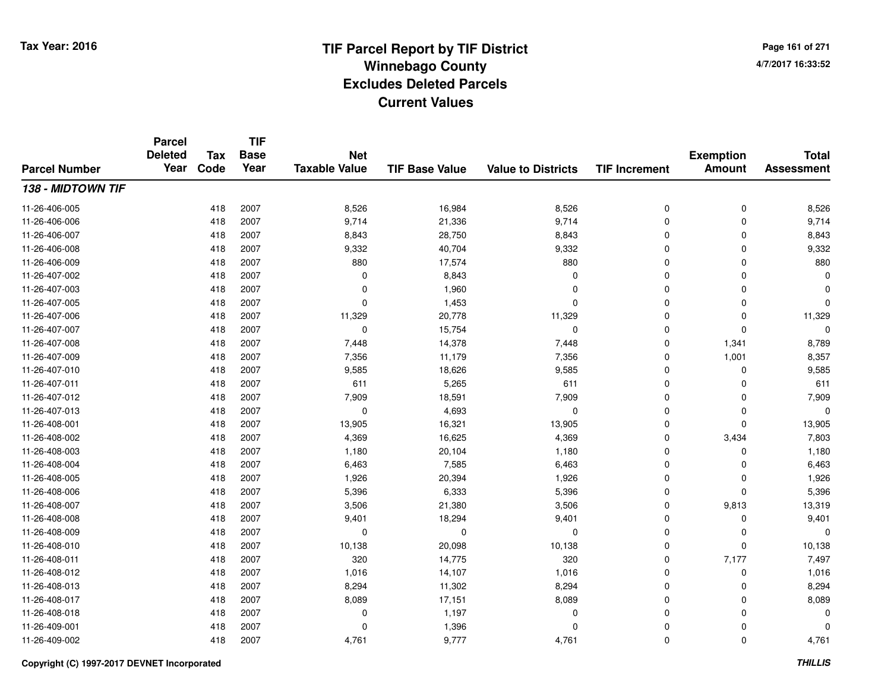**TIF**

**Parcel**

**Page 161 of 2714/7/2017 16:33:52**

#### **TIF Base ValueParcel NumberTotal AssessmentExemption Amount Value to Districts TIF Increment Base YearTax Code Deleted YearNet Taxable Value138 - MIDTOWN TIF**11-26-406-005 <sup>418</sup> 8,526 <sup>2007</sup> 16,984 8,526 <sup>0</sup> <sup>0</sup> 8,526 11-26-406-006 <sup>418</sup> 9,714 <sup>2007</sup> 21,336 9,714 <sup>0</sup> <sup>0</sup> 9,714 11-26-406-0077 418 2007 8,843 28,750 8,843 0 0 8,843 11-26-406-008 <sup>418</sup> 9,332 <sup>2007</sup> 40,704 9,332 <sup>0</sup> <sup>0</sup> 9,332 11-26-406-009 <sup>418</sup> <sup>880</sup> <sup>2007</sup> 17,574 <sup>880</sup> <sup>0</sup> <sup>0</sup> <sup>880</sup> 11-26-407-002 <sup>418</sup> <sup>0</sup> <sup>2007</sup> 8,843 <sup>0</sup> <sup>0</sup> <sup>0</sup> <sup>0</sup> 11-26-407-003 <sup>418</sup> <sup>0</sup> <sup>2007</sup> 1,960 <sup>0</sup> <sup>0</sup> <sup>0</sup> <sup>0</sup> 11-26-407-005 <sup>418</sup> <sup>0</sup> <sup>2007</sup> 1,453 <sup>0</sup> <sup>0</sup> <sup>0</sup> <sup>0</sup> 11-26-407-006 <sup>418</sup> 11,329 <sup>2007</sup> 20,778 11,329 <sup>0</sup> <sup>0</sup> 11,329 11-26-407-007 $7$  and  $418$  2007 it control to the control of the control of the control of the control of the control of the control of the control of the control of the control of the control of the control of the control of the cont 11-26-407-008 <sup>418</sup> 7,448 <sup>2007</sup> 14,378 7,448 <sup>0</sup> 1,341 8,789 11-26-407-009 <sup>418</sup> 7,356 <sup>2007</sup> 11,179 7,356 <sup>0</sup> 1,001 8,357 11-26-407-0100 418 2007 9,585 18,626 9,585 0 0 9,585 11-26-407-0111 418 2007 611 5,265 611 0 611 11-26-407-0122 418 2007 7,909 18,591 7,909 0 7,909 11-26-407-013 <sup>418</sup> <sup>0</sup> <sup>2007</sup> 4,693 <sup>0</sup> <sup>0</sup> <sup>0</sup> <sup>0</sup> 11-26-408-0011 418 2007 13,905 16,321 13,905 0 0 13,905 11-26-408-0022 2 418 2007 4,369 16,625 4,369 0 3,434 7,803 11-26-408-003 $3$  20,104  $\frac{1}{1,180}$  2007  $\frac{1}{1,180}$  20,104  $\frac{1}{1,180}$   $\frac{1}{1,180}$  0 0  $\frac{1}{1,180}$ 11-26-408-0044 418 2007 6,463 7,585 6,463 0 0 6,463 11-26-408-0055 418 2007 1,926 20,394 1,926 0 0 1,926 11-26-408-006 <sup>418</sup> 5,396 <sup>2007</sup> 6,333 5,396 <sup>0</sup> <sup>0</sup> 5,396 11-26-408-007 <sup>418</sup> 3,506 <sup>2007</sup> 21,380 3,506 <sup>0</sup> 9,813 13,319 11-26-408-0088 418 2007 9,401 18,294 9,401 0 0 9,401 11-26-408-009 <sup>418</sup> <sup>0</sup> <sup>2007</sup> <sup>0</sup> <sup>0</sup> <sup>0</sup> <sup>0</sup> <sup>0</sup> 11-26-408-0100 418 2007 10,138 20,098 10,138 0 0 10,138 11-26-408-011 <sup>418</sup> <sup>320</sup> <sup>2007</sup> 14,775 <sup>320</sup> <sup>0</sup> 7,177 7,497 11-26-408-0122 418 2007 1,016 14,107 1,016 0 0 1,016 11-26-408-013 $3$  2007 2007 2009 8,294 2009 3,294 3,294 8,294 3 200 0 8,294 11-26-408-017 <sup>418</sup> 8,089 <sup>2007</sup> 17,151 8,089 <sup>0</sup> <sup>0</sup> 8,089 11-26-408-0188 418 2007 0 1,197 0 0 0 0 11-26-409-0011 and the contract of the contract of the contract of the contract of the contract of  $1,396$  and  $0$  of  $0$  of  $0$  of  $0$  of  $0$  of  $0$  of  $0$  of  $0$  of  $0$  of  $0$  of  $0$  of  $0$  of  $0$  of  $0$  of  $0$  of  $0$  of  $0$  of  $0$  11-26-409-0022 418 2007 4,761 9,777 4,761 0 4,761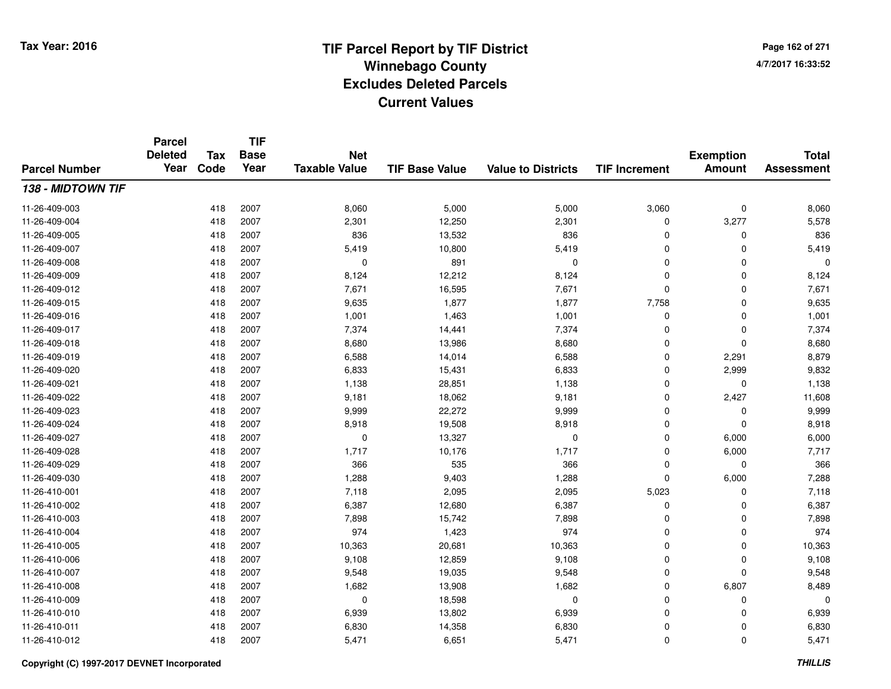**TIF**

**Parcel**

**Page 162 of 2714/7/2017 16:33:52**

#### **TIF Base ValueParcel NumberTotal AssessmentExemption Amount Value to Districts TIF Increment Base YearTax Code Deleted YearNet Taxable Value138 - MIDTOWN TIF**11-26-409-003 <sup>418</sup> 8,060 <sup>2007</sup> 5,000 5,000 3,060 <sup>0</sup> 8,060 11-26-409-004 <sup>418</sup> 2,301 <sup>2007</sup> 12,250 2,301 <sup>0</sup> 3,277 5,578 11-26-409-005 <sup>418</sup> <sup>836</sup> <sup>2007</sup> 13,532 <sup>836</sup> <sup>0</sup> <sup>0</sup> <sup>836</sup> 11-26-409-007 <sup>418</sup> 5,419 <sup>2007</sup> 10,800 5,419 <sup>0</sup> <sup>0</sup> 5,419 11-26-409-0088 418 2007 0 891 0 0 0 0 11-26-409-0099 418 2007 8,124 12,212 8,124 0 0 8,124 11-26-409-0122 418 2007 7,671 16,595 7,671 0 0 7,671 11-26-409-015 <sup>418</sup> 9,635 <sup>2007</sup> 1,877 1,877 7,758 <sup>0</sup> 9,635 11-26-409-016 <sup>418</sup> 1,001 <sup>2007</sup> 1,463 1,001 <sup>0</sup> <sup>0</sup> 1,001 11-26-409-017 <sup>418</sup> 7,374 <sup>2007</sup> 14,441 7,374 <sup>0</sup> <sup>0</sup> 7,374 11-26-409-0188 418 2007 8,680 13,986 8,680 0 0 8,680 11-26-409-0199 418 2007 6,588 14,014 6,588 0 2,291 8,879 11-26-409-0200 418 2007 6,833 15,431 6,833 0 2,999 9,832 11-26-409-0211 418 2007 1,138 28,851 1,138 0 0 1,138 11-26-409-022 <sup>418</sup> 9,181 <sup>2007</sup> 18,062 9,181 <sup>0</sup> 2,427 11,608 11-26-409-023 $3$  2007 2007 29,999 22,272 9,999 9 9,999 0 0 0 9,999 11-26-409-0244 418 2007 8,918 19,508 8,918 0 0 8,918 11-26-409-027 <sup>418</sup> <sup>0</sup> <sup>2007</sup> 13,327 <sup>0</sup> <sup>0</sup> 6,000 6,000 11-26-409-0288 1,717 1,717 10,176 1,717 1,717 1,717 1,717 1,717 0 6,000 7,717 11-26-409-029 <sup>418</sup> <sup>366</sup> <sup>2007</sup> <sup>535</sup> <sup>366</sup> <sup>0</sup> <sup>0</sup> <sup>366</sup> 11-26-409-0300 418 2007 1,288 9,403 1,288 0 6,000 7,288 11-26-410-0011 418 2007 7,118 2,095 2,095 5,023 0 7,118 11-26-410-0022 418 2007 6,387 12,680 6,387 0 0 6,387 11-26-410-0033 418 2007 7,898 15,742 7,898 0 7,898 11-26-410-004 <sup>418</sup> <sup>974</sup> <sup>2007</sup> 1,423 <sup>974</sup> <sup>0</sup> <sup>0</sup> <sup>974</sup> 11-26-410-005 <sup>418</sup> 10,363 <sup>2007</sup> 20,681 10,363 <sup>0</sup> <sup>0</sup> 10,363 11-26-410-006 <sup>418</sup> 9,108 <sup>2007</sup> 12,859 9,108 <sup>0</sup> <sup>0</sup> 9,108 11-26-410-0077 418 2007 9,548 19,035 9,548 0 0 9,548 11-26-410-0088 418 2007 1,682 13,908 1,682 0 6,807 8,489 11-26-410-0099 418 2007 0 18,598 0 0 0 0 11-26-410-0100 418 2007 6,939 13,802 6,939 0 0 6,939 11-26-410-0111 418 2007 6,830 14,358 6,830 0 0 6,830 11-26-410-0122 418 2007 5,471 6,651 5,471 0 0 5,471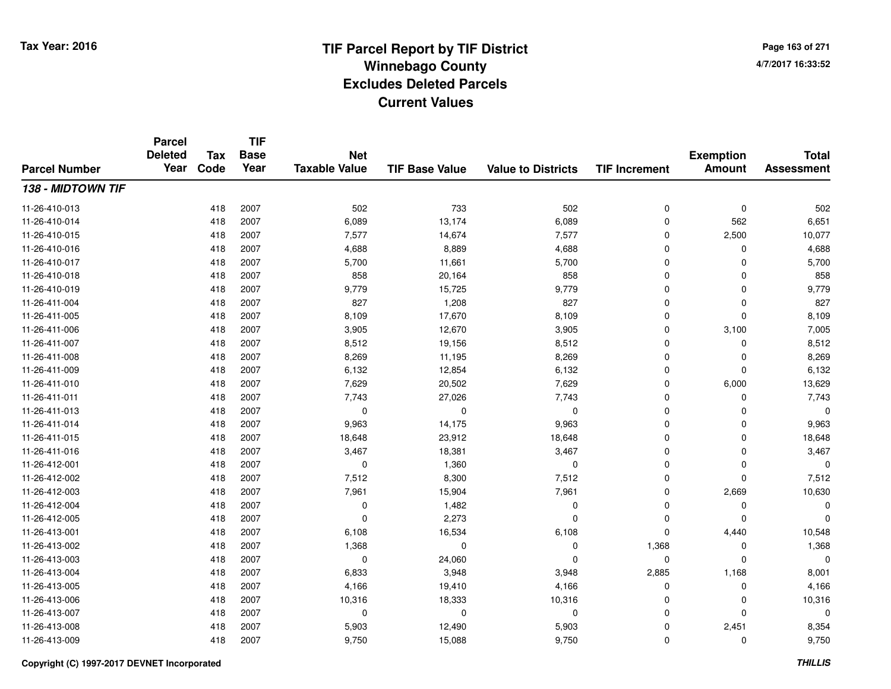**TIF**

**Parcel**

**Page 163 of 2714/7/2017 16:33:52**

#### **TIF Base ValueParcel NumberTotal AssessmentExemption Amount Value to Districts TIF Increment Base YearTax Code Deleted YearNet Taxable Value138 - MIDTOWN TIF**11-26-410-013 <sup>418</sup> <sup>502</sup> <sup>2007</sup> <sup>733</sup> <sup>502</sup> <sup>0</sup> <sup>0</sup> <sup>502</sup> 11-26-410-014 <sup>418</sup> 6,089 <sup>2007</sup> 13,174 6,089 <sup>0</sup> <sup>562</sup> 6,651 11-26-410-015 <sup>418</sup> 7,577 <sup>2007</sup> 14,674 7,577 <sup>0</sup> 2,500 10,077 11-26-410-0166 418 2007 4,688 8,889 4,688 0 0 4,688 11-26-410-017 <sup>418</sup> 5,700 <sup>2007</sup> 11,661 5,700 <sup>0</sup> <sup>0</sup> 5,700 11-26-410-018 <sup>418</sup> <sup>858</sup> <sup>2007</sup> 20,164 <sup>858</sup> <sup>0</sup> <sup>0</sup> <sup>858</sup> 11-26-410-019 <sup>418</sup> 9,779 <sup>2007</sup> 15,725 9,779 <sup>0</sup> <sup>0</sup> 9,779 11-26-411-004 <sup>418</sup> <sup>827</sup> <sup>2007</sup> 1,208 <sup>827</sup> <sup>0</sup> <sup>0</sup> <sup>827</sup> 11-26-411-005 <sup>418</sup> 8,109 <sup>2007</sup> 17,670 8,109 <sup>0</sup> <sup>0</sup> 8,109 11-26-411-006 <sup>418</sup> 3,905 <sup>2007</sup> 12,670 3,905 <sup>0</sup> 3,100 7,005 11-26-411-0077 418 2007 8,512 19,156 8,512 0 0 8,512 11-26-411-0088 418 2007 8,269 11,195 8,269 0 0 8,269 11-26-411-0099 418 2007 6,132 12,854 6,132 0 0 6,132 11-26-411-0100 418 2007 7,629 20,502 7,629 0 6,000 13,629 11-26-411-0111 418 2007 7,743 27,026 7,743 0 0 7,743 11-26-411-013 <sup>418</sup> <sup>0</sup> <sup>2007</sup> <sup>0</sup> <sup>0</sup> <sup>0</sup> <sup>0</sup> <sup>0</sup> 11-26-411-0144 2007 9,963 14,175 9,963 9,963 9,963 9,963 9,963 9,963 9,963 9,963 0 0 9,963 11-26-411-0155 418 2007 18,648 23,912 18,648 0 0 18,648 11-26-411-016 <sup>418</sup> 3,467 <sup>2007</sup> 18,381 3,467 <sup>0</sup> <sup>0</sup> 3,467 11-26-412-0011 and the contract of the contract of the contract of the contract of the contract of  $1,360$  and  $0$  of  $0$  of  $0$  of  $0$  of  $0$  of  $0$  of  $0$  of  $0$  of  $0$  of  $0$  of  $0$  of  $0$  of  $0$  of  $0$  of  $0$  of  $0$  of  $0$  of  $0$  11-26-412-0022 418 2007 7,512 8,300 7,512 0 0 7,512 11-26-412-0033 418 2007 7,961 15,904 7,961 0 2,669 10,630 11-26-412-004 <sup>418</sup> <sup>0</sup> <sup>2007</sup> 1,482 <sup>0</sup> <sup>0</sup> <sup>0</sup> <sup>0</sup> 11-26-412-005 <sup>418</sup> <sup>0</sup> <sup>2007</sup> 2,273 <sup>0</sup> <sup>0</sup> <sup>0</sup> <sup>0</sup> 11-26-413-0011 418 2007 6,108 16,534 6,108 0 4,440 10,548 11-26-413-002 <sup>418</sup> 1,368 <sup>2007</sup> <sup>0</sup> <sup>0</sup> 1,368 <sup>0</sup> 1,368 11-26-413-003 <sup>418</sup> <sup>0</sup> <sup>2007</sup> 24,060 <sup>0</sup> <sup>0</sup> <sup>0</sup> <sup>0</sup> 11-26-413-004 <sup>418</sup> 6,833 <sup>2007</sup> 3,948 3,948 2,885 1,168 8,001 11-26-413-005 <sup>418</sup> 4,166 <sup>2007</sup> 19,410 4,166 <sup>0</sup> <sup>0</sup> 4,166 11-26-413-006 <sup>418</sup> 10,316 <sup>2007</sup> 18,333 10,316 <sup>0</sup> <sup>0</sup> 10,316 11-26-413-007 <sup>418</sup> <sup>0</sup> <sup>2007</sup> <sup>0</sup> <sup>0</sup> <sup>0</sup> <sup>0</sup> <sup>0</sup> 11-26-413-008 <sup>418</sup> 5,903 <sup>2007</sup> 12,490 5,903 <sup>0</sup> 2,451 8,354 11-26-413-009<sup>418</sup> 9,750 <sup>2007</sup> 15,088 9,750 <sup>0</sup> <sup>0</sup> 9,750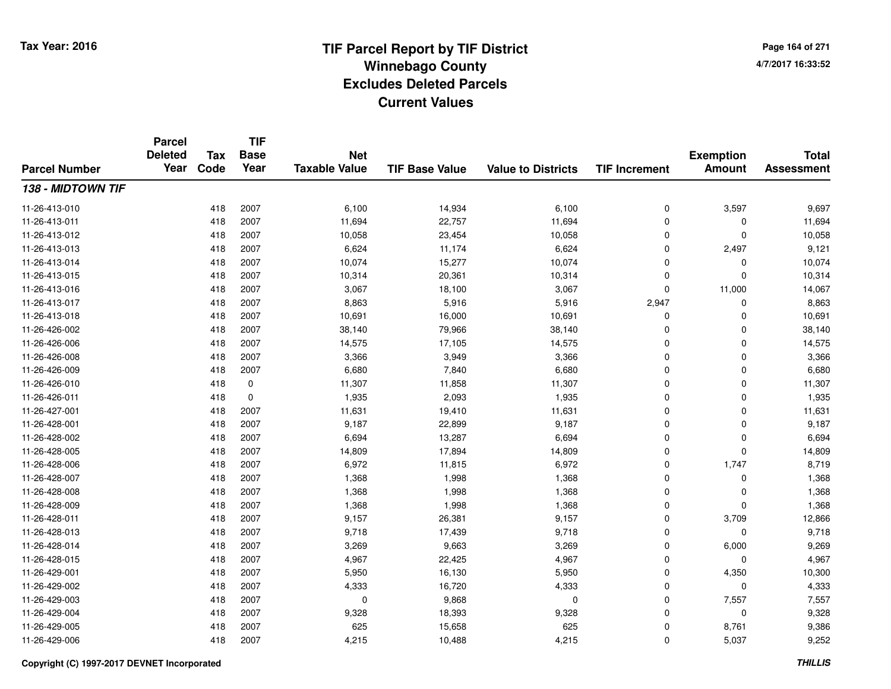**TIF**

**Parcel**

**Page 164 of 2714/7/2017 16:33:52**

#### **TIF Base ValueParcel NumberTotal AssessmentExemption Amount Value to Districts TIF Increment Base YearTax Code Deleted YearNet Taxable Value138 - MIDTOWN TIF**11-26-413-0100 418 2007 6,100 14,934 6,100 0 3,597 9,697 11-26-413-0111 418 2007 11,694 22,757 11,694 0 0 11,694 11-26-413-0122 418 2007 10,058 23,454 10,058 0 0 10,058 11-26-413-0133 418 2007 6,624 11,174 6,624 0 2,497 9,121 11-26-413-014 <sup>418</sup> 10,074 <sup>2007</sup> 15,277 10,074 <sup>0</sup> <sup>0</sup> 10,074 11-26-413-015 <sup>418</sup> 10,314 <sup>2007</sup> 20,361 10,314 <sup>0</sup> <sup>0</sup> 10,314 11-26-413-016 <sup>418</sup> 3,067 <sup>2007</sup> 18,100 3,067 <sup>0</sup> 11,000 14,067 11-26-413-017 <sup>418</sup> 8,863 <sup>2007</sup> 5,916 5,916 2,947 <sup>0</sup> 8,863 11-26-413-0188 418 2007 10,691 16,000 10,691 0 0 10,691 11-26-426-0022 418 2007 38,140 79,966 38,140 0 0 38,140 11-26-426-0066 418 2007 14,575 17,105 14,575 0 0 14,575 11-26-426-0088 418 2007 3,366 3,949 3,366 0 0 3,366 11-26-426-0099 418 2007 6,680 7,840 6,680 0 0 6,680 11-26-426-0100 418 0 11,307 11,858 11,307 0 0 11,307 11-26-426-0111 418 0 1,935 2,093 1,935 0 0 1,935 11-26-427-0011 418 2007 11,631 19,410 11,631 0 0 11,631 11-26-428-0011 418 2007 9,187 22,899 9,187 0 0 9,187 11-26-428-0022 418 2007 6,694 13,287 6,694 0 0 6,694 11-26-428-0055 418 2007 14,809 17,894 14,809 0 0 14,809 11-26-428-0066 418 2007 6,972 11,815 6,972 0 1,747 8,719 11-26-428-0077 418 2007 1,368 1,998 1,368 0 1,368 11-26-428-008 <sup>418</sup> 1,368 <sup>2007</sup> 1,998 1,368 <sup>0</sup> <sup>0</sup> 1,368 11-26-428-0099 418 2007 1,368 1,998 1,368 0 1,368 11-26-428-011 <sup>418</sup> 9,157 <sup>2007</sup> 26,381 9,157 <sup>0</sup> 3,709 12,866 11-26-428-013 <sup>418</sup> 9,718 <sup>2007</sup> 17,439 9,718 <sup>0</sup> <sup>0</sup> 9,718 11-26-428-014 <sup>418</sup> 3,269 <sup>2007</sup> 9,663 3,269 <sup>0</sup> 6,000 9,269 11-26-428-015 <sup>418</sup> 4,967 <sup>2007</sup> 22,425 4,967 <sup>0</sup> <sup>0</sup> 4,967 11-26-429-0011 418 2007 5,950 16,130 5,950 0 4,350 10,300 11-26-429-0022 418 2007 4,333 16,720 4,333 0 0 4,333 11-26-429-0033 418 2007 0 9,868 0 0 7,557 7,557 11-26-429-0044 2007 2007 2007 9,328 18,393 9,328 9,328 0 0 0 9,328 11-26-429-0055 418 2007 625 15,658 625 0 8,761 9,386 11-26-429-006<sup>418</sup> 4,215 <sup>2007</sup> 10,488 4,215 <sup>0</sup> 5,037 9,252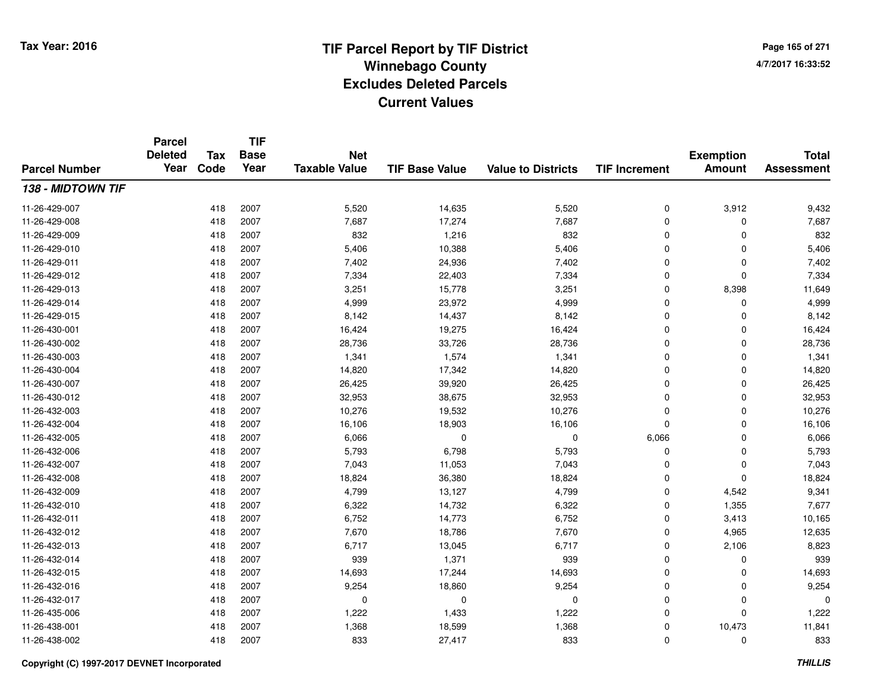**TIF**

**Parcel**

**Page 165 of 2714/7/2017 16:33:52**

#### **TIF Base ValueParcel NumberTotal AssessmentExemption Amount Value to Districts TIF Increment Base YearTax Code Deleted YearNet Taxable Value138 - MIDTOWN TIF**11-26-429-007 <sup>418</sup> 5,520 <sup>2007</sup> 14,635 5,520 <sup>0</sup> 3,912 9,432 11-26-429-008 <sup>418</sup> 7,687 <sup>2007</sup> 17,274 7,687 <sup>0</sup> <sup>0</sup> 7,687 11-26-429-0099 418 2007 832 1,216 832 0 0 832 11-26-429-0100 418 2007 5,406 10,388 5,406 0 0 5,406 11-26-429-0111 418 2007 7,402 24,936 7,402 0 0 7,402 11-26-429-0122 2 418 2007 7,334 22,403 7,334 0 0 7,334 11-26-429-0133 418 2007 3,251 15,778 3,251 0 8,398 11,649 11-26-429-014 <sup>418</sup> 4,999 <sup>2007</sup> 23,972 4,999 <sup>0</sup> <sup>0</sup> 4,999 11-26-429-015 <sup>418</sup> 8,142 <sup>2007</sup> 14,437 8,142 <sup>0</sup> <sup>0</sup> 8,142 11-26-430-0011 418 2007 16,424 19,275 16,424 0 0 16,424 11-26-430-0022 418 2007 28,736 33,726 28,736 0 0 28,736 11-26-430-0033 418 2007 1,341 1,574 1,341 0 0 1,341 11-26-430-004 <sup>418</sup> 14,820 <sup>2007</sup> 17,342 14,820 <sup>0</sup> <sup>0</sup> 14,820 11-26-430-007 <sup>418</sup> 26,425 <sup>2007</sup> 39,920 26,425 <sup>0</sup> <sup>0</sup> 26,425 11-26-430-012 <sup>418</sup> 32,953 <sup>2007</sup> 38,675 32,953 <sup>0</sup> <sup>0</sup> 32,953 11-26-432-0033 418 2007 10,276 19,532 10,276 0 0 10,276 11-26-432-004 <sup>418</sup> 16,106 <sup>2007</sup> 18,903 16,106 <sup>0</sup> <sup>0</sup> 16,106 11-26-432-005 <sup>418</sup> 6,066 <sup>2007</sup> <sup>0</sup> <sup>0</sup> 6,066 <sup>0</sup> 6,066 11-26-432-006 <sup>418</sup> 5,793 <sup>2007</sup> 6,798 5,793 <sup>0</sup> <sup>0</sup> 5,793 11-26-432-007 <sup>418</sup> 7,043 <sup>2007</sup> 11,053 7,043 <sup>0</sup> <sup>0</sup> 7,043 11-26-432-0088 418 2007 18,824 36,380 18,824 0 0 18,824 11-26-432-0099 418 2007 4,799 13,127 4,799 0 4,542 9,341 11-26-432-0100 418 2007 6,322 14,732 6,322 0 1,355 7,677 11-26-432-0111 418 2007 6,752 14,773 6,752 0 3,413 10,165 11-26-432-0122 418 2007 7,670 18,786 7,670 0 4,965 12,635 11-26-432-0133 418 2007 6,717 13,045 6,717 0 2,106 8,823 11-26-432-014 <sup>418</sup> <sup>939</sup> <sup>2007</sup> 1,371 <sup>939</sup> <sup>0</sup> <sup>0</sup> <sup>939</sup> 11-26-432-015 <sup>418</sup> 14,693 <sup>2007</sup> 17,244 14,693 <sup>0</sup> <sup>0</sup> 14,693 11-26-432-016 <sup>418</sup> 9,254 <sup>2007</sup> 18,860 9,254 <sup>0</sup> <sup>0</sup> 9,254 11-26-432-017 <sup>418</sup> <sup>0</sup> <sup>2007</sup> <sup>0</sup> <sup>0</sup> <sup>0</sup> <sup>0</sup> <sup>0</sup> 11-26-435-0066 418 2007 1,222 1,433 1,222 0 0 1,222 11-26-438-0011 418 2007 1,368 18,599 1,368 0 10,473 11,841 11-26-438-002<sup>418</sup> <sup>833</sup> <sup>2007</sup> 27,417 <sup>833</sup> <sup>0</sup> <sup>0</sup> <sup>833</sup>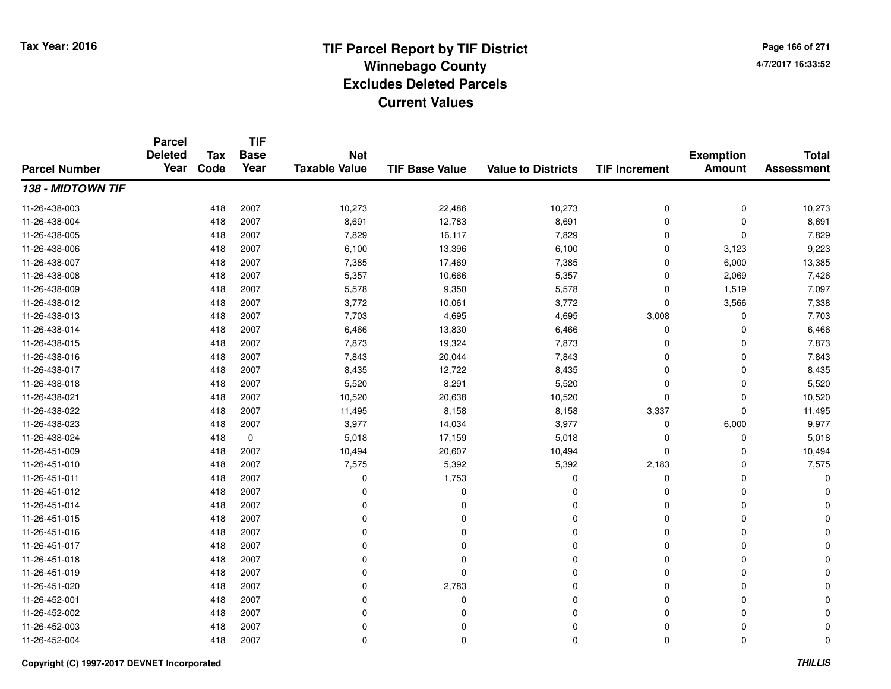**TIF**

**Parcel**

**Page 166 of 2714/7/2017 16:33:52**

#### **TIF Base ValueParcel NumberTotal AssessmentExemption Amount Value to Districts TIF Increment Base YearTax Code Deleted YearNet Taxable Value138 - MIDTOWN TIF**11-26-438-0033 418 2007 10,273 22,486 10,273 0 0 10,273 11-26-438-0044 418 2007 8,691 12,783 8,691 0 0 8,691 11-26-438-0055 418 2007 7,829 16,117 7,829 0 7,829 11-26-438-0066 418 2007 6,100 13,396 6,100 0 3,123 9,223 11-26-438-007 <sup>418</sup> 7,385 <sup>2007</sup> 17,469 7,385 <sup>0</sup> 6,000 13,385 11-26-438-008 <sup>418</sup> 5,357 <sup>2007</sup> 10,666 5,357 <sup>0</sup> 2,069 7,426 11-26-438-0099 418 2007 5,578 9,350 5,578 0 1,519 7,097 11-26-438-0122 418 2007 3,772 10,061 3,772 0 3,566 7,338 11-26-438-0133 418 2007 7,703 4,695 4,695 3,008 0 7,703 11-26-438-014 <sup>418</sup> 6,466 <sup>2007</sup> 13,830 6,466 <sup>0</sup> <sup>0</sup> 6,466 11-26-438-015 <sup>418</sup> 7,873 <sup>2007</sup> 19,324 7,873 <sup>0</sup> <sup>0</sup> 7,873 11-26-438-0166 418 2007 7,843 20,044 7,843 0 7,843 11-26-438-017 <sup>418</sup> 8,435 <sup>2007</sup> 12,722 8,435 <sup>0</sup> <sup>0</sup> 8,435 11-26-438-0188 418 2007 5,520 8,291 5,520 0 0 5,520 11-26-438-0211 418 2007 10,520 20,638 10,520 0 0 10,520 11-26-438-022 <sup>418</sup> 11,495 <sup>2007</sup> 8,158 8,158 3,337 <sup>0</sup> 11,495 11-26-438-0233 418 2007 3,977 14,034 3,977 0 6,000 9,977 11-26-438-0244 418 0 5,018 17,159 5,018 0 0 5,018 11-26-451-009 <sup>418</sup> 10,494 <sup>2007</sup> 20,607 10,494 <sup>0</sup> <sup>0</sup> 10,494 11-26-451-0100 418 2007 7,575 5,392 5,392 2,183 0 7,575 11-26-451-0111 and  $\frac{1}{418}$  2007 and  $\frac{1}{80}$  0 and  $\frac{1}{1753}$  control  $\frac{1}{80}$  0 control 0 control 0 control 0 control 0 control 0 control 0 control 0 control 0 control 0 control 0 control 0 control 0 control 0 control 0 con 11-26-451-012 <sup>418</sup> <sup>0</sup> <sup>2007</sup> <sup>0</sup> <sup>0</sup> <sup>0</sup> <sup>0</sup> <sup>0</sup> 11-26-451-014 <sup>418</sup> <sup>0</sup> <sup>2007</sup> <sup>0</sup> <sup>0</sup> <sup>0</sup> <sup>0</sup> <sup>0</sup> 11-26-451-015 <sup>418</sup> <sup>0</sup> <sup>2007</sup> <sup>0</sup> <sup>0</sup> <sup>0</sup> <sup>0</sup> <sup>0</sup> 11-26-451-016 <sup>418</sup> <sup>0</sup> <sup>2007</sup> <sup>0</sup> <sup>0</sup> <sup>0</sup> <sup>0</sup> <sup>0</sup> 11-26-451-017 <sup>418</sup> <sup>0</sup> <sup>2007</sup> <sup>0</sup> <sup>0</sup> <sup>0</sup> <sup>0</sup> <sup>0</sup> 11-26-451-018 <sup>418</sup> <sup>0</sup> <sup>2007</sup> <sup>0</sup> <sup>0</sup> <sup>0</sup> <sup>0</sup> <sup>0</sup> 11-26-451-019 <sup>418</sup> <sup>0</sup> <sup>2007</sup> <sup>0</sup> <sup>0</sup> <sup>0</sup> <sup>0</sup> <sup>0</sup> 11-26-451-020 <sup>418</sup> <sup>0</sup> <sup>2007</sup> 2,783 <sup>0</sup> <sup>0</sup> <sup>0</sup> <sup>0</sup> 11-26-452-001 <sup>418</sup> <sup>0</sup> <sup>2007</sup> <sup>0</sup> <sup>0</sup> <sup>0</sup> <sup>0</sup> <sup>0</sup> 11-26-452-002 <sup>418</sup> <sup>0</sup> <sup>2007</sup> <sup>0</sup> <sup>0</sup> <sup>0</sup> <sup>0</sup> <sup>0</sup> 11-26-452-003 <sup>418</sup> <sup>0</sup> <sup>2007</sup> <sup>0</sup> <sup>0</sup> <sup>0</sup> <sup>0</sup> <sup>0</sup> 11-26-452-004<sup>418</sup> <sup>0</sup> <sup>2007</sup> <sup>0</sup> <sup>0</sup> <sup>0</sup> <sup>0</sup> <sup>0</sup>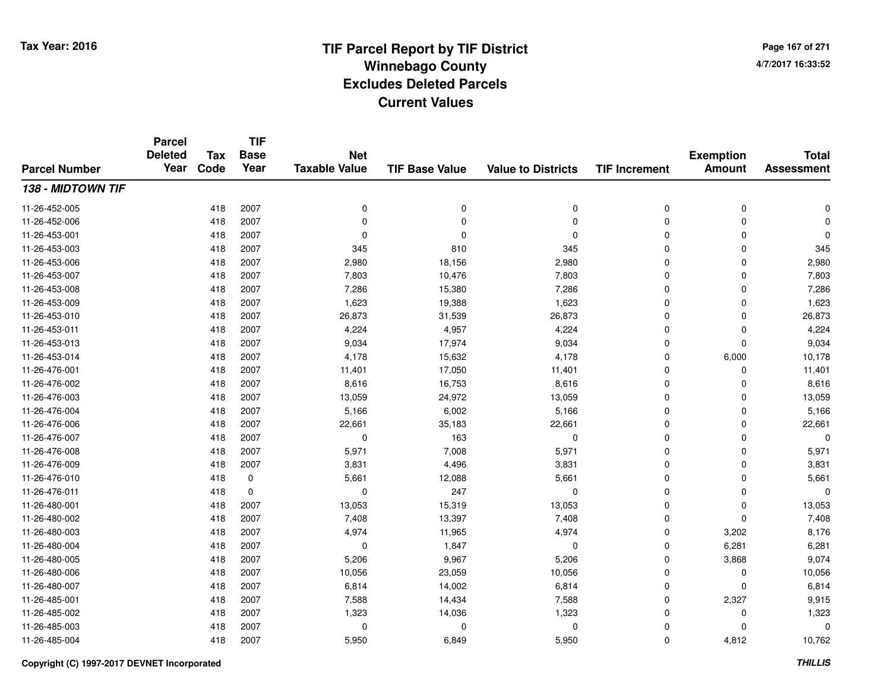**Page 167 of 2714/7/2017 16:33:52**

#### **TIF Base ValueParcel NumberTotal AssessmentExemption Amount Value to Districts TIF IncrementTIF Base YearTax CodeParcel Deleted YearNet Taxable Value138 - MIDTOWN TIF**11-26-452-005 <sup>418</sup> <sup>0</sup> <sup>2007</sup> <sup>0</sup> <sup>0</sup> <sup>0</sup> <sup>0</sup> <sup>0</sup> 11-26-452-006 <sup>418</sup> <sup>0</sup> <sup>2007</sup> <sup>0</sup> <sup>0</sup> <sup>0</sup> <sup>0</sup> <sup>0</sup> 11-26-453-001 <sup>418</sup> <sup>0</sup> <sup>2007</sup> <sup>0</sup> <sup>0</sup> <sup>0</sup> <sup>0</sup> <sup>0</sup> 11-26-453-0033 418 2007 345 810 345 0 0 345 11-26-453-006 <sup>418</sup> 2,980 <sup>2007</sup> 18,156 2,980 <sup>0</sup> <sup>0</sup> 2,980 11-26-453-007 <sup>418</sup> 7,803 <sup>2007</sup> 10,476 7,803 <sup>0</sup> <sup>0</sup> 7,803 11-26-453-0088 418 2007 7,286 15,380 7,286 0 0 7,286 11-26-453-0099 418 2007 1,623 19,388 1,623 0 1,623 11-26-453-0100 418 2007 26,873 31,539 26,873 0 0 26,873 11-26-453-0111 418 2007 4,224 4,957 4,224 0 4,224 11-26-453-013 <sup>418</sup> 9,034 <sup>2007</sup> 17,974 9,034 <sup>0</sup> <sup>0</sup> 9,034 11-26-453-014 <sup>418</sup> 4,178 <sup>2007</sup> 15,632 4,178 <sup>0</sup> 6,000 10,178 11-26-476-0011 418 2007 11,401 17,050 11,401 0 0 11,401 11-26-476-0022 418 2007 8,616 16,753 8,616 0 0 8,616 11-26-476-0033 418 2007 13,059 24,972 13,059 0 0 13,059 11-26-476-004 <sup>418</sup> 5,166 <sup>2007</sup> 6,002 5,166 <sup>0</sup> <sup>0</sup> 5,166 11-26-476-0066 418 2007 22,661 35,183 22,661 0 22,661 11-26-476-0077 418 2007 0 163 0 0 0 0 11-26-476-008 <sup>418</sup> 5,971 <sup>2007</sup> 7,008 5,971 <sup>0</sup> <sup>0</sup> 5,971 11-26-476-0099 418 2007 3,831 4,496 3,831 0 0 3,831 11-26-476-0100 418 0 5,661 12,088 5,661 0 0 5,661 11-26-476-011 <sup>418</sup> <sup>0</sup> <sup>0</sup> <sup>247</sup> <sup>0</sup> <sup>0</sup> <sup>0</sup> <sup>0</sup> 11-26-480-0011 418 2007 13,053 15,319 13,053 0 13,053 11-26-480-0022 418 2007 7,408 13,397 7,408 0 0 7,408 11-26-480-0033 418 2007 4,974 11,965 4,974 0 3,202 8,176 11-26-480-004 <sup>418</sup> <sup>0</sup> <sup>2007</sup> 1,847 <sup>0</sup> <sup>0</sup> 6,281 6,281 11-26-480-005 <sup>418</sup> 5,206 <sup>2007</sup> 9,967 5,206 <sup>0</sup> 3,868 9,074 11-26-480-006 <sup>418</sup> 10,056 <sup>2007</sup> 23,059 10,056 <sup>0</sup> <sup>0</sup> 10,056 11-26-480-0077 418 2007 6,814 14,002 6,814 0 0 6,814 11-26-485-0011 418 2007 7,588 14,434 7,588 0 2,327 9,915 11-26-485-002 <sup>418</sup> 1,323 <sup>2007</sup> 14,036 1,323 <sup>0</sup> <sup>0</sup> 1,323 11-26-485-003 <sup>418</sup> <sup>0</sup> <sup>2007</sup> <sup>0</sup> <sup>0</sup> <sup>0</sup> <sup>0</sup> <sup>0</sup> 11-26-485-004<sup>418</sup> 5,950 <sup>2007</sup> 6,849 5,950 <sup>0</sup> 4,812 10,762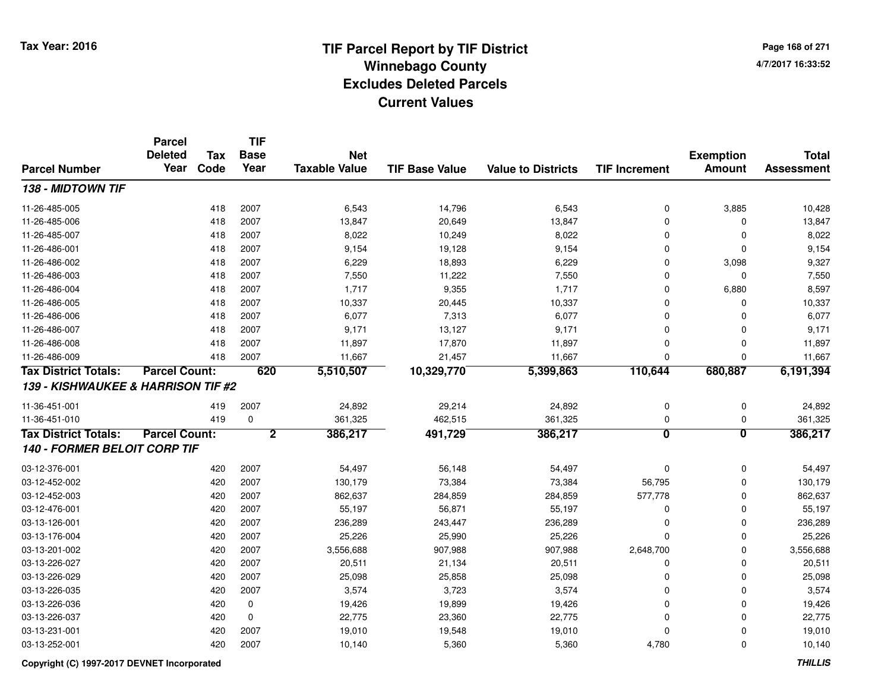**Page 168 of 2714/7/2017 16:33:52**

|                                    | <b>Parcel</b><br><b>Deleted</b> | <b>Tax</b> | <b>TIF</b><br><b>Base</b> | <b>Net</b>           |                       |                           |                         | <b>Exemption</b>        | <b>Total</b>      |
|------------------------------------|---------------------------------|------------|---------------------------|----------------------|-----------------------|---------------------------|-------------------------|-------------------------|-------------------|
| <b>Parcel Number</b>               | Year                            | Code       | Year                      | <b>Taxable Value</b> | <b>TIF Base Value</b> | <b>Value to Districts</b> | <b>TIF Increment</b>    | <b>Amount</b>           | <b>Assessment</b> |
| 138 - MIDTOWN TIF                  |                                 |            |                           |                      |                       |                           |                         |                         |                   |
| 11-26-485-005                      |                                 | 418        | 2007                      | 6,543                | 14,796                | 6,543                     | 0                       | 3,885                   | 10,428            |
| 11-26-485-006                      |                                 | 418        | 2007                      | 13,847               | 20,649                | 13,847                    | 0                       | $\mathbf 0$             | 13,847            |
| 11-26-485-007                      |                                 | 418        | 2007                      | 8,022                | 10,249                | 8,022                     | 0                       | $\mathbf 0$             | 8,022             |
| 11-26-486-001                      |                                 | 418        | 2007                      | 9,154                | 19,128                | 9,154                     | 0                       | $\mathbf 0$             | 9,154             |
| 11-26-486-002                      |                                 | 418        | 2007                      | 6,229                | 18,893                | 6,229                     | 0                       | 3,098                   | 9,327             |
| 11-26-486-003                      |                                 | 418        | 2007                      | 7,550                | 11,222                | 7,550                     | 0                       | $\mathbf 0$             | 7,550             |
| 11-26-486-004                      |                                 | 418        | 2007                      | 1,717                | 9,355                 | 1,717                     | 0                       | 6,880                   | 8,597             |
| 11-26-486-005                      |                                 | 418        | 2007                      | 10,337               | 20,445                | 10,337                    | 0                       | $\mathbf 0$             | 10,337            |
| 11-26-486-006                      |                                 | 418        | 2007                      | 6,077                | 7,313                 | 6,077                     | 0                       | $\mathbf 0$             | 6,077             |
| 11-26-486-007                      |                                 | 418        | 2007                      | 9,171                | 13,127                | 9,171                     | 0                       | $\mathbf 0$             | 9,171             |
| 11-26-486-008                      |                                 | 418        | 2007                      | 11,897               | 17,870                | 11,897                    | 0                       | $\mathbf 0$             | 11,897            |
| 11-26-486-009                      |                                 | 418        | 2007                      | 11,667               | 21,457                | 11,667                    | $\mathbf 0$             | 0                       | 11,667            |
| <b>Tax District Totals:</b>        | <b>Parcel Count:</b>            |            | 620                       | 5,510,507            | 10,329,770            | 5,399,863                 | 110,644                 | 680,887                 | 6,191,394         |
| 139 - KISHWAUKEE & HARRISON TIF #2 |                                 |            |                           |                      |                       |                           |                         |                         |                   |
| 11-36-451-001                      |                                 | 419        | 2007                      | 24,892               | 29,214                | 24,892                    | 0                       | 0                       | 24,892            |
| 11-36-451-010                      |                                 | 419        | $\mathbf 0$               | 361,325              | 462,515               | 361,325                   | 0                       | 0                       | 361,325           |
| <b>Tax District Totals:</b>        | <b>Parcel Count:</b>            |            | $\overline{2}$            | 386,217              | 491,729               | 386,217                   | $\overline{\mathbf{0}}$ | $\overline{\mathbf{0}}$ | 386,217           |
| 140 - FORMER BELOIT CORP TIF       |                                 |            |                           |                      |                       |                           |                         |                         |                   |
| 03-12-376-001                      |                                 | 420        | 2007                      | 54,497               | 56,148                | 54,497                    | 0                       | $\mathbf 0$             | 54,497            |
| 03-12-452-002                      |                                 | 420        | 2007                      | 130,179              | 73,384                | 73,384                    | 56,795                  | 0                       | 130,179           |
| 03-12-452-003                      |                                 | 420        | 2007                      | 862,637              | 284,859               | 284,859                   | 577,778                 | 0                       | 862,637           |
| 03-12-476-001                      |                                 | 420        | 2007                      | 55,197               | 56,871                | 55,197                    | 0                       | $\mathbf 0$             | 55,197            |
| 03-13-126-001                      |                                 | 420        | 2007                      | 236,289              | 243,447               | 236,289                   | 0                       | $\mathbf 0$             | 236,289           |
| 03-13-176-004                      |                                 | 420        | 2007                      | 25,226               | 25,990                | 25,226                    | $\mathbf 0$             | 0                       | 25,226            |
| 03-13-201-002                      |                                 | 420        | 2007                      | 3,556,688            | 907,988               | 907,988                   | 2,648,700               | 0                       | 3,556,688         |
| 03-13-226-027                      |                                 | 420        | 2007                      | 20,511               | 21,134                | 20,511                    | 0                       | $\mathbf 0$             | 20,511            |
| 03-13-226-029                      |                                 | 420        | 2007                      | 25,098               | 25,858                | 25,098                    | 0                       | $\Omega$                | 25,098            |
| 03-13-226-035                      |                                 | 420        | 2007                      | 3,574                | 3,723                 | 3,574                     | $\Omega$                | $\Omega$                | 3,574             |
| 03-13-226-036                      |                                 | 420        | $\mathbf 0$               | 19,426               | 19,899                | 19,426                    | 0                       | 0                       | 19,426            |
| 03-13-226-037                      |                                 | 420        | $\mathbf 0$               | 22,775               | 23,360                | 22,775                    | 0                       | $\mathbf 0$             | 22,775            |
| 03-13-231-001                      |                                 | 420        | 2007                      | 19,010               | 19,548                | 19,010                    | 0                       | $\Omega$                | 19,010            |
| 03-13-252-001                      |                                 | 420        | 2007                      | 10,140               | 5,360                 | 5,360                     | 4,780                   | $\Omega$                | 10,140            |

**Copyright (C) 1997-2017 DEVNET Incorporated**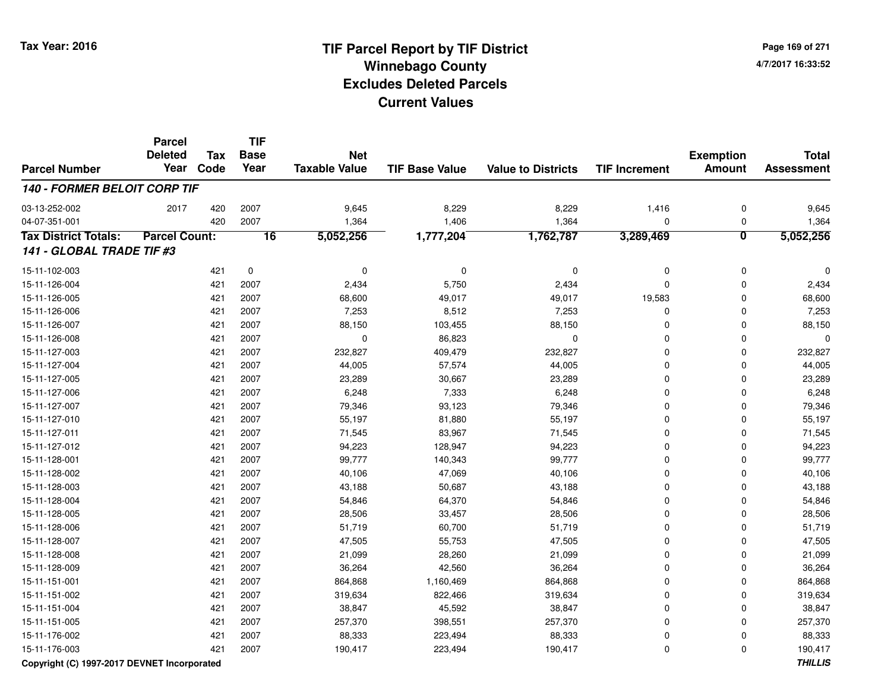**TIF**

**Parcel**

**Page 169 of 2714/7/2017 16:33:52**

#### **TIF Base ValueParcel NumberTotal AssessmentExemption Amount Value to Districts TIF Increment Base YearTax Code Deleted YearNet Taxable Value140 - FORMER BELOIT CORP TIF**03-13-252-0022 2017 420 2007 9,645 8,229 8,229 1,416 0 9,645 04-07-351-0011 420 2007 1,364 1,406 1,364 0 0 1,364 **Tax District Totals: Parcel Count: <sup>16</sup> 5,052,256 1,777,204 1,762,787 3,289,469 <sup>0</sup> 5,052,256 141 - GLOBAL TRADE TIF #3**15-11-102-003 <sup>421</sup> <sup>0</sup> <sup>0</sup> <sup>0</sup> <sup>0</sup> <sup>0</sup> <sup>0</sup> <sup>0</sup> 15-11-126-0044 221 2007 2,434 5,750 2,434 2007 2,434 0 0 0 2,434 15-11-126-0055 421 2007 68,600 49,017 49,017 19,583 0 68,600 15-11-126-0066 421 2007 7,253 8,512 7,253 0 7,253 15-11-126-007 <sup>421</sup> 88,150 <sup>2007</sup> 103,455 88,150 <sup>0</sup> <sup>0</sup> 88,150 15-11-126-0088 421 2007 0 86,823 0 0 0 0 15-11-127-0033 421 2007 232,827 409,479 232,827 0 0 232,827 15-11-127-004421 2007 144,005 57,574 244,005 9 44,005 0 0 44,005 15-11-127-0055 421 2007 23,289 30,667 23,289 0 0 23,289 15-11-127-0066 421 2007 6,248 7,333 6,248 0 0 6,248 15-11-127-007 <sup>421</sup> 79,346 <sup>2007</sup> 93,123 79,346 <sup>0</sup> <sup>0</sup> 79,346 15-11-127-0100 421 2007 55,197 81,880 55,197 0 0 55,197 15-11-127-0111 421 2007 71,545 83,967 71,545 0 0 71,545 15-11-127-0122 421 2007 94,223 128,947 94,223 0 0 94,223 15-11-128-001 <sup>421</sup> 99,777 <sup>2007</sup> 140,343 99,777 <sup>0</sup> <sup>0</sup> 99,777 15-11-128-0022 421 2007 40,106 47,069 40,106 0 0 40,106 15-11-128-0033 421 2007 43,188 50,687 43,188 0 0 43,188 15-11-128-004 <sup>421</sup> 54,846 <sup>2007</sup> 64,370 54,846 <sup>0</sup> <sup>0</sup> 54,846 15-11-128-0055 421 2007 28,506 33,457 28,506 0 0 28,506 15-11-128-0066 421 2007 51,719 60,700 51,719 0 0 51,719 15-11-128-007 <sup>421</sup> 47,505 <sup>2007</sup> 55,753 47,505 <sup>0</sup> <sup>0</sup> 47,505 15-11-128-008 <sup>421</sup> 21,099 <sup>2007</sup> 28,260 21,099 <sup>0</sup> <sup>0</sup> 21,099 15-11-128-0099 421 2007 36,264 42,560 36,264 0 0 36,264 15-11-151-0011 421 2007 864,868 1,160,469 864,868 0 864,868 15-11-151-0022 421 2007 319,634 822,466 319,634 0 319,634 15-11-151-004 <sup>421</sup> 38,847 <sup>2007</sup> 45,592 38,847 <sup>0</sup> <sup>0</sup> 38,847 15-11-151-005 <sup>421</sup> 257,370 <sup>2007</sup> 398,551 257,370 <sup>0</sup> <sup>0</sup> 257,370 15-11-176-002 <sup>421</sup> 88,333 <sup>2007</sup> 223,494 88,333 <sup>0</sup> <sup>0</sup> 88,333 15-11-176-003<sup>421</sup> 190,417 <sup>2007</sup> 223,494 190,417 <sup>0</sup> <sup>0</sup> 190,417

### **Copyright (C) 1997-2017 DEVNET Incorporated**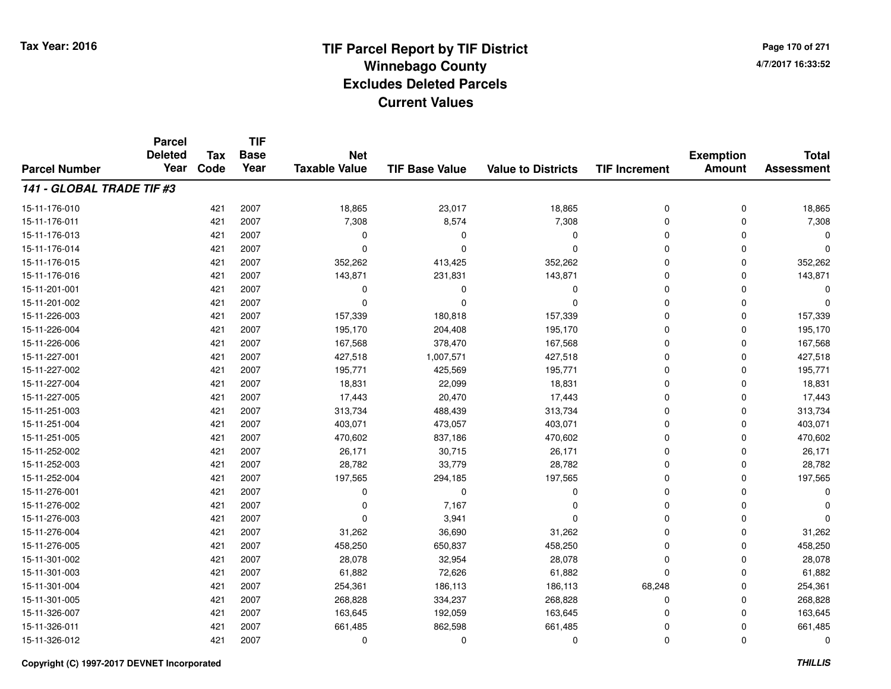**Page 170 of 2714/7/2017 16:33:52**

#### **TIF Base ValueParcel NumberTotal AssessmentExemption Amount Value to Districts TIF IncrementTIF Base YearTax CodeParcel Deleted YearNet Taxable Value141 - GLOBAL TRADE TIF #3**15-11-176-0100 421 2007 18,865 23,017 18,865 0 0 18,865 15-11-176-0111 421 2007 7,308 8,574 7,308 0 0 7,308 15-11-176-013 <sup>421</sup> <sup>0</sup> <sup>2007</sup> <sup>0</sup> <sup>0</sup> <sup>0</sup> <sup>0</sup> <sup>0</sup> 15-11-176-014 <sup>421</sup> <sup>0</sup> <sup>2007</sup> <sup>0</sup> <sup>0</sup> <sup>0</sup> <sup>0</sup> <sup>0</sup> 15-11-176-0155 421 2007 352,262 413,425 352,262 0 352,262 15-11-176-016 <sup>421</sup> 143,871 <sup>2007</sup> 231,831 143,871 <sup>0</sup> <sup>0</sup> 143,871 15-11-201-001 <sup>421</sup> <sup>0</sup> <sup>2007</sup> <sup>0</sup> <sup>0</sup> <sup>0</sup> <sup>0</sup> <sup>0</sup> 15-11-201-002 <sup>421</sup> <sup>0</sup> <sup>2007</sup> <sup>0</sup> <sup>0</sup> <sup>0</sup> <sup>0</sup> <sup>0</sup> 15-11-226-0033 421 2007 157,339 180,818 157,339 0 0 157,339 15-11-226-004 <sup>421</sup> 195,170 <sup>2007</sup> 204,408 195,170 <sup>0</sup> <sup>0</sup> 195,170 15-11-226-0066 421 2007 167,568 378,470 167,568 0 0 167,568 15-11-227-0011 421 2007 427,518 1,007,571 427,518 0 427,518 15-11-227-0022 421 2007 195,771 425,569 195,771 0 0 195,771 15-11-227-0044 221 2007 18,831 22,099 18,831 23,099 18,831 0 0 0 18,831 15-11-227-005 <sup>421</sup> 17,443 <sup>2007</sup> 20,470 17,443 <sup>0</sup> <sup>0</sup> 17,443 15-11-251-003 <sup>421</sup> 313,734 <sup>2007</sup> 488,439 313,734 <sup>0</sup> <sup>0</sup> 313,734 15-11-251-004 <sup>421</sup> 403,071 <sup>2007</sup> 473,057 403,071 <sup>0</sup> <sup>0</sup> 403,071 15-11-251-005 <sup>421</sup> 470,602 <sup>2007</sup> 837,186 470,602 <sup>0</sup> <sup>0</sup> 470,602 15-11-252-0022 421 2007 26,171 30,715 26,171 0 0 26,171 15-11-252-0033 421 2007 28,782 33,779 28,782 0 0 28,782 15-11-252-0044 421 2007 197,565 294,185 197,565 0 0 197,565 15-11-276-001 <sup>421</sup> <sup>0</sup> <sup>2007</sup> <sup>0</sup> <sup>0</sup> <sup>0</sup> <sup>0</sup> <sup>0</sup> 15-11-276-002 <sup>421</sup> <sup>0</sup> <sup>2007</sup> 7,167 <sup>0</sup> <sup>0</sup> <sup>0</sup> <sup>0</sup> 15-11-276-003 $3.941$   $421$   $2007$   $0$   $3.941$   $0$   $0$   $0$   $0$ 15-11-276-004 <sup>421</sup> 31,262 <sup>2007</sup> 36,690 31,262 <sup>0</sup> <sup>0</sup> 31,262 15-11-276-005 <sup>421</sup> 458,250 <sup>2007</sup> 650,837 458,250 <sup>0</sup> <sup>0</sup> 458,250 15-11-301-0022 421 2007 28,078 32,954 28,078 0 28,078 15-11-301-0033 421 2007 61,882 72,626 61,882 0 0 61,882 15-11-301-004 <sup>421</sup> 254,361 <sup>2007</sup> 186,113 186,113 68,248 <sup>0</sup> 254,361 15-11-301-0055 421 2007 268,828 334,237 268,828 0 268,828 15-11-326-0077 421 2007 163,645 192,059 163,645 0 0 163,645 15-11-326-0111 421 2007 661,485 862,598 661,485 0 0 661,485 15-11-326-012<sup>421</sup> <sup>0</sup> <sup>2007</sup> <sup>0</sup> <sup>0</sup> <sup>0</sup> <sup>0</sup> <sup>0</sup>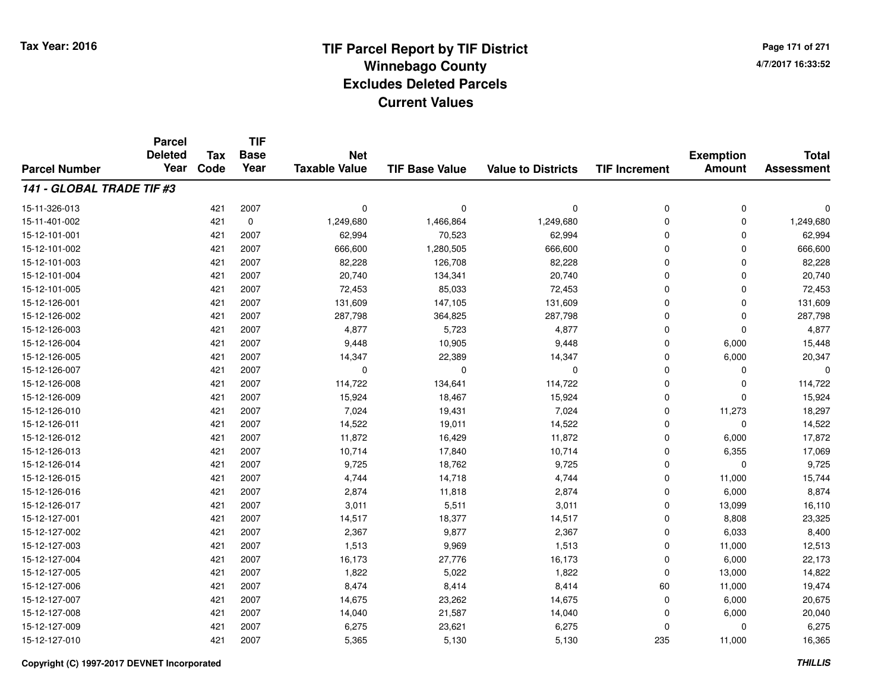**Page 171 of 2714/7/2017 16:33:52**

#### **TIF Base ValueParcel NumberTotal AssessmentExemption Amount Value to Districts TIF IncrementTIF Base YearTax CodeParcel Deleted YearNet Taxable Value141 - GLOBAL TRADE TIF #3**15-11-326-013 <sup>421</sup> <sup>0</sup> <sup>2007</sup> <sup>0</sup> <sup>0</sup> <sup>0</sup> <sup>0</sup> <sup>0</sup> 15-11-401-0022 421 0 1,249,680 1,466,864 1,249,680 0 1,249,680 15-12-101-0011 421 2007 62,994 70,523 62,994 0 0 62,994 15-12-101-002 <sup>421</sup> 666,600 <sup>2007</sup> 1,280,505 666,600 <sup>0</sup> <sup>0</sup> 666,600 15-12-101-0033 421 2007 82,228 126,708 82,228 0 0 82,228 15-12-101-004 <sup>421</sup> 20,740 <sup>2007</sup> 134,341 20,740 <sup>0</sup> <sup>0</sup> 20,740 15-12-101-005 <sup>421</sup> 72,453 <sup>2007</sup> 85,033 72,453 <sup>0</sup> <sup>0</sup> 72,453 15-12-126-0011 421 2007 131,609 147,105 131,609 0 131,609 15-12-126-0022 421 2007 287,798 364,825 287,798 0 0 287,798 15-12-126-0033 421 2007 4,877 5,723 4,877 0 0 4,877 15-12-126-004 <sup>421</sup> 9,448 <sup>2007</sup> 10,905 9,448 <sup>0</sup> 6,000 15,448 15-12-126-005 <sup>421</sup> 14,347 <sup>2007</sup> 22,389 14,347 <sup>0</sup> 6,000 20,347 15-12-126-007 <sup>421</sup> <sup>0</sup> <sup>2007</sup> <sup>0</sup> <sup>0</sup> <sup>0</sup> <sup>0</sup> <sup>0</sup> 15-12-126-008 <sup>421</sup> 114,722 <sup>2007</sup> 134,641 114,722 <sup>0</sup> <sup>0</sup> 114,722 15-12-126-0099 421 2007 15,924 18,467 15,924 0 0 15,924 15-12-126-0100 421 2007 7,024 19,431 7,024 0 11,273 18,297 15-12-126-0111 421 2007 14,522 19,011 14,522 0 0 14,522 15-12-126-0122 11,872 11,872 11,872 16,429 11,872 11,872 0 6,000 17,872 15-12-126-013 <sup>421</sup> 10,714 <sup>2007</sup> 17,840 10,714 <sup>0</sup> 6,355 17,069 15-12-126-014 <sup>421</sup> 9,725 <sup>2007</sup> 18,762 9,725 <sup>0</sup> <sup>0</sup> 9,725 15-12-126-015 <sup>421</sup> 4,744 <sup>2007</sup> 14,718 4,744 <sup>0</sup> 11,000 15,744 15-12-126-016 <sup>421</sup> 2,874 <sup>2007</sup> 11,818 2,874 <sup>0</sup> 6,000 8,874 15-12-126-017 <sup>421</sup> 3,011 <sup>2007</sup> 5,511 3,011 <sup>0</sup> 13,099 16,110 15-12-127-0011 421 2007 14,517 18,377 14,517 0 8,808 23,325 15-12-127-0022 421 2007 2,367 9,877 2,367 0 6,033 8,400 15-12-127-0033 421 2007 1,513 9,969 1,513 0 11,000 12,513 15-12-127-004421 2007 16,173 27,776 16,173 16,173 27,776 16,173 0 6,000 22,173 15-12-127-0055 421 2007 1,822 5,022 1,822 0 13,000 14,822 15-12-127-006 <sup>421</sup> 8,474 <sup>2007</sup> 8,414 8,414 <sup>60</sup> 11,000 19,474 15-12-127-007 <sup>421</sup> 14,675 <sup>2007</sup> 23,262 14,675 <sup>0</sup> 6,000 20,675 15-12-127-0088 421 2007 14,040 21,587 14,040 0 6,000 20,040 15-12-127-0099 421 2007 6,275 23,621 6,275 0 0 6,275 15-12-127-0100 421 2007 5,365 5,130 5,130 235 11,000 16,365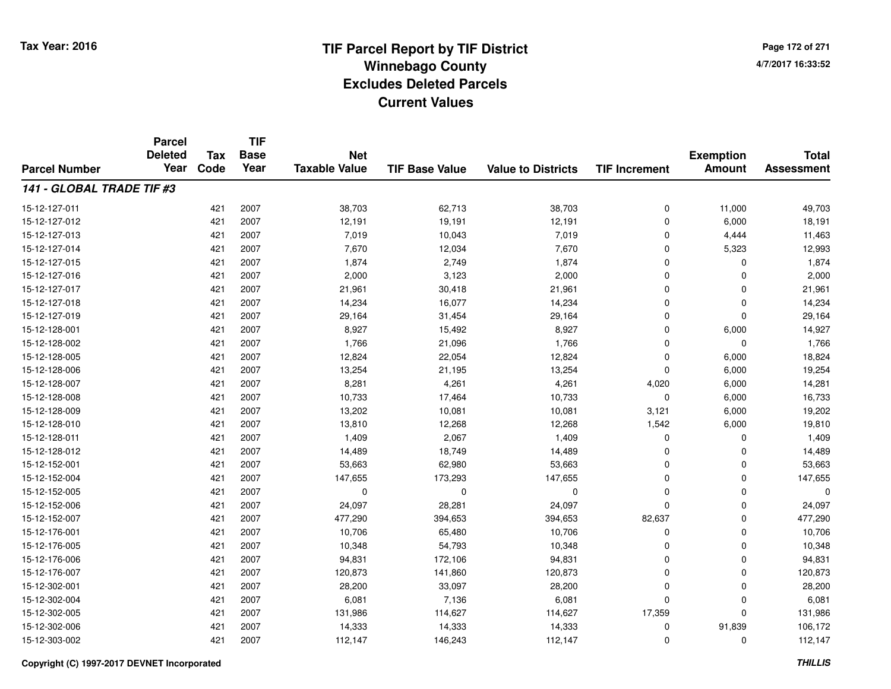**TIF**

**Parcel**

**Page 172 of 2714/7/2017 16:33:52**

#### **TIF Base ValueParcel NumberTotal AssessmentExemption Amount Value to Districts TIF Increment Base YearTax Code Deleted YearNet Taxable Value141 - GLOBAL TRADE TIF #3**15-12-127-011 <sup>421</sup> 38,703 <sup>2007</sup> 62,713 38,703 <sup>0</sup> 11,000 49,703 15-12-127-0122 421 2007 12,191 19,191 12,191 6,000 18,191 15-12-127-013 <sup>421</sup> 7,019 <sup>2007</sup> 10,043 7,019 <sup>0</sup> 4,444 11,463 15-12-127-014 <sup>421</sup> 7,670 <sup>2007</sup> 12,034 7,670 <sup>0</sup> 5,323 12,993 15-12-127-015 <sup>421</sup> 1,874 <sup>2007</sup> 2,749 1,874 <sup>0</sup> <sup>0</sup> 1,874 15-12-127-016 <sup>421</sup> 2,000 <sup>2007</sup> 3,123 2,000 <sup>0</sup> <sup>0</sup> 2,000 15-12-127-017 <sup>421</sup> 21,961 <sup>2007</sup> 30,418 21,961 <sup>0</sup> <sup>0</sup> 21,961 15-12-127-018 <sup>421</sup> 14,234 <sup>2007</sup> 16,077 14,234 <sup>0</sup> <sup>0</sup> 14,234 15-12-127-0199 421 2007 29,164 31,454 29,164 0 0 29,164 15-12-128-0011 421 2007 8,927 15,492 8,927 0 6,000 14,927 15-12-128-0022 421 2007 1,766 21,096 1,766 0 0 1,766 15-12-128-005 <sup>421</sup> 12,824 <sup>2007</sup> 22,054 12,824 <sup>0</sup> 6,000 18,824 15-12-128-006 <sup>421</sup> 13,254 <sup>2007</sup> 21,195 13,254 <sup>0</sup> 6,000 19,254 15-12-128-007 <sup>421</sup> 8,281 <sup>2007</sup> 4,261 4,261 4,020 6,000 14,281 15-12-128-008 <sup>421</sup> 10,733 <sup>2007</sup> 17,464 10,733 <sup>0</sup> 6,000 16,733 15-12-128-0099 421 2007 13,202 10,081 10,081 3,121 6,000 19,202 15-12-128-0100 12,268 19,810 13,810 13,810 12,268 12,268 12,268 1,542 6,000 19,810 15-12-128-0111 421 2007 1,409 2,067 1,409 0 0 1,409 15-12-128-0122 421 2007 14,489 18,749 14,489 0 0 14,489 15-12-152-001 <sup>421</sup> 53,663 <sup>2007</sup> 62,980 53,663 <sup>0</sup> <sup>0</sup> 53,663 15-12-152-004 <sup>421</sup> 147,655 <sup>2007</sup> 173,293 147,655 <sup>0</sup> <sup>0</sup> 147,655 15-12-152-005 <sup>421</sup> <sup>0</sup> <sup>2007</sup> <sup>0</sup> <sup>0</sup> <sup>0</sup> <sup>0</sup> <sup>0</sup> 15-12-152-006 <sup>421</sup> 24,097 <sup>2007</sup> 28,281 24,097 <sup>0</sup> <sup>0</sup> 24,097 15-12-152-007 <sup>421</sup> 477,290 <sup>2007</sup> 394,653 394,653 82,637 <sup>0</sup> 477,290 15-12-176-0011 1 421 2007 10,706 65,480 10,706 0 0 10,706 15-12-176-005 <sup>421</sup> 10,348 <sup>2007</sup> 54,793 10,348 <sup>0</sup> <sup>0</sup> 10,348 15-12-176-006 <sup>421</sup> 94,831 <sup>2007</sup> 172,106 94,831 <sup>0</sup> <sup>0</sup> 94,831 15-12-176-007 <sup>421</sup> 120,873 <sup>2007</sup> 141,860 120,873 <sup>0</sup> <sup>0</sup> 120,873 15-12-302-0011 421 2007 28,200 33,097 28,200 0 0 28,200 15-12-302-0044 421 2007 6,081 7,136 6,081 0 0 6,081 15-12-302-005 <sup>421</sup> 131,986 <sup>2007</sup> 114,627 114,627 17,359 <sup>0</sup> 131,986 15-12-302-006 <sup>421</sup> 14,333 <sup>2007</sup> 14,333 14,333 <sup>0</sup> 91,839 106,172 15-12-303-002<sup>421</sup> 112,147 <sup>2007</sup> 146,243 112,147 <sup>0</sup> <sup>0</sup> 112,147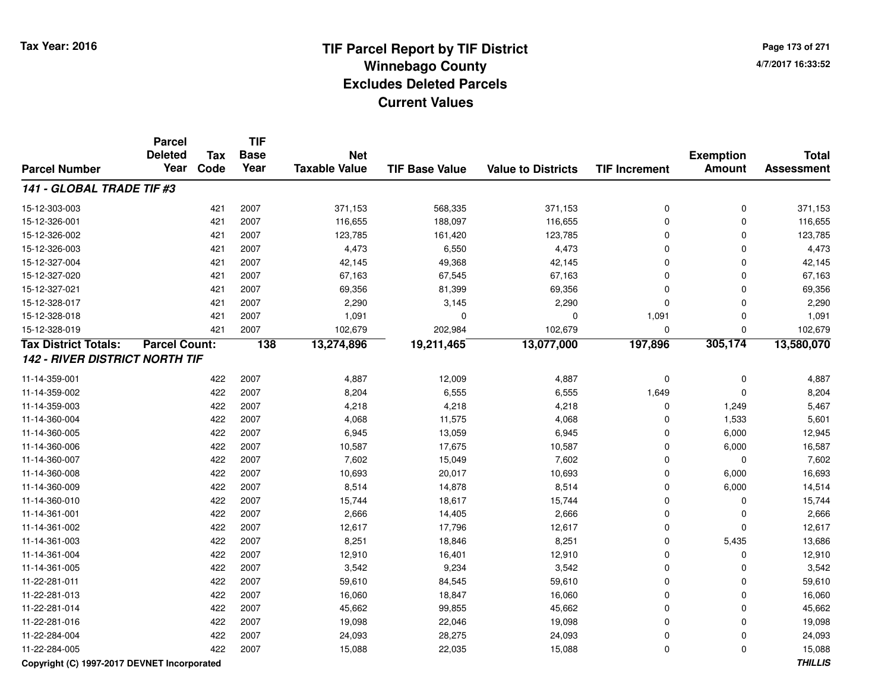# **TIF Parcel Report by TIF District Tax Year: 2016 Winnebago Countyy** and the contract of the contract of the contract of the contract of the contract of the contract of the contract of the contract of the contract of the contract of the contract of the contract of the contract of the co **Excludes Deleted ParcelsCurrent Values**

**Page 173 of 2714/7/2017 16:33:52**

|                                       | <b>Parcel</b><br><b>Deleted</b> | Tax  | <b>TIF</b><br><b>Base</b> | <b>Net</b>           |                       |                           |                      |                                   | <b>Total</b>      |
|---------------------------------------|---------------------------------|------|---------------------------|----------------------|-----------------------|---------------------------|----------------------|-----------------------------------|-------------------|
| <b>Parcel Number</b>                  | Year                            | Code | Year                      | <b>Taxable Value</b> | <b>TIF Base Value</b> | <b>Value to Districts</b> | <b>TIF Increment</b> | <b>Exemption</b><br><b>Amount</b> | <b>Assessment</b> |
| 141 - GLOBAL TRADE TIF #3             |                                 |      |                           |                      |                       |                           |                      |                                   |                   |
| 15-12-303-003                         |                                 | 421  | 2007                      | 371,153              | 568,335               | 371,153                   | $\mathbf 0$          | $\mathbf 0$                       | 371,153           |
| 15-12-326-001                         |                                 | 421  | 2007                      | 116,655              | 188,097               | 116,655                   | $\mathbf 0$          | $\mathbf 0$                       | 116,655           |
| 15-12-326-002                         |                                 | 421  | 2007                      | 123,785              | 161,420               | 123,785                   | $\mathbf 0$          | $\mathbf 0$                       | 123,785           |
| 15-12-326-003                         |                                 | 421  | 2007                      | 4,473                | 6,550                 | 4,473                     | 0                    | $\mathbf 0$                       | 4,473             |
| 15-12-327-004                         |                                 | 421  | 2007                      | 42,145               | 49,368                | 42,145                    | 0                    | $\mathbf{0}$                      | 42,145            |
| 15-12-327-020                         |                                 | 421  | 2007                      | 67,163               | 67,545                | 67,163                    | 0                    | 0                                 | 67,163            |
| 15-12-327-021                         |                                 | 421  | 2007                      | 69,356               | 81,399                | 69,356                    | $\mathbf 0$          | $\mathbf 0$                       | 69,356            |
| 15-12-328-017                         |                                 | 421  | 2007                      | 2,290                | 3,145                 | 2,290                     | $\mathbf 0$          | $\mathbf 0$                       | 2,290             |
| 15-12-328-018                         |                                 | 421  | 2007                      | 1,091                | $\Omega$              | $\mathbf 0$               | 1,091                | $\mathbf{0}$                      | 1,091             |
| 15-12-328-019                         |                                 | 421  | 2007                      | 102,679              | 202,984               | 102,679                   | $\mathbf 0$          | $\mathbf{0}$                      | 102,679           |
| <b>Tax District Totals:</b>           | <b>Parcel Count:</b>            |      | 138                       | 13,274,896           | 19,211,465            | 13,077,000                | 197,896              | 305,174                           | 13,580,070        |
| <b>142 - RIVER DISTRICT NORTH TIF</b> |                                 |      |                           |                      |                       |                           |                      |                                   |                   |
| 11-14-359-001                         |                                 | 422  | 2007                      | 4,887                | 12,009                | 4,887                     | $\pmb{0}$            | $\mathbf 0$                       | 4,887             |
| 11-14-359-002                         |                                 | 422  | 2007                      | 8,204                | 6,555                 | 6,555                     | 1,649                | $\mathbf 0$                       | 8,204             |
| 11-14-359-003                         |                                 | 422  | 2007                      | 4,218                | 4,218                 | 4,218                     | $\mathbf 0$          | 1,249                             | 5,467             |
| 11-14-360-004                         |                                 | 422  | 2007                      | 4,068                | 11,575                | 4,068                     | $\Omega$             | 1,533                             | 5,601             |
| 11-14-360-005                         |                                 | 422  | 2007                      | 6,945                | 13,059                | 6,945                     | 0                    | 6,000                             | 12,945            |
| 11-14-360-006                         |                                 | 422  | 2007                      | 10,587               | 17,675                | 10,587                    | $\Omega$             | 6,000                             | 16,587            |
| 11-14-360-007                         |                                 | 422  | 2007                      | 7,602                | 15,049                | 7,602                     | $\Omega$             | $\mathbf 0$                       | 7,602             |
| 11-14-360-008                         |                                 | 422  | 2007                      | 10,693               | 20,017                | 10,693                    | $\mathbf 0$          | 6,000                             | 16,693            |
| 11-14-360-009                         |                                 | 422  | 2007                      | 8,514                | 14,878                | 8,514                     | $\mathbf 0$          | 6,000                             | 14,514            |
| 11-14-360-010                         |                                 | 422  | 2007                      | 15,744               | 18,617                | 15,744                    | $\Omega$             | 0                                 | 15,744            |
| 11-14-361-001                         |                                 | 422  | 2007                      | 2,666                | 14,405                | 2,666                     | $\Omega$             | 0                                 | 2,666             |
| 11-14-361-002                         |                                 | 422  | 2007                      | 12,617               | 17,796                | 12,617                    | $\Omega$             | $\mathbf 0$                       | 12,617            |
| 11-14-361-003                         |                                 | 422  | 2007                      | 8,251                | 18,846                | 8,251                     | $\mathbf 0$          | 5,435                             | 13,686            |
| 11-14-361-004                         |                                 | 422  | 2007                      | 12,910               | 16,401                | 12,910                    | 0                    | $\mathbf 0$                       | 12,910            |
| 11-14-361-005                         |                                 | 422  | 2007                      | 3,542                | 9,234                 | 3,542                     | $\mathbf 0$          | $\mathbf 0$                       | 3,542             |
| 11-22-281-011                         |                                 | 422  | 2007                      | 59,610               | 84,545                | 59,610                    | 0                    | $\mathbf 0$                       | 59,610            |
| 11-22-281-013                         |                                 | 422  | 2007                      | 16,060               | 18,847                | 16,060                    | 0                    | $\mathbf 0$                       | 16,060            |
| 11-22-281-014                         |                                 | 422  | 2007                      | 45,662               | 99,855                | 45,662                    | $\mathbf 0$          | $\mathbf 0$                       | 45,662            |
| 11-22-281-016                         |                                 | 422  | 2007                      | 19,098               | 22,046                | 19,098                    | $\mathbf 0$          | $\mathbf 0$                       | 19,098            |
| 11-22-284-004                         |                                 | 422  | 2007                      | 24,093               | 28,275                | 24,093                    | 0                    | $\mathbf 0$                       | 24,093            |
| 11-22-284-005                         |                                 | 422  | 2007                      | 15,088               | 22,035                | 15,088                    | $\mathbf 0$          | $\mathbf 0$                       | 15,088            |

### **Copyright (C) 1997-2017 DEVNET Incorporated**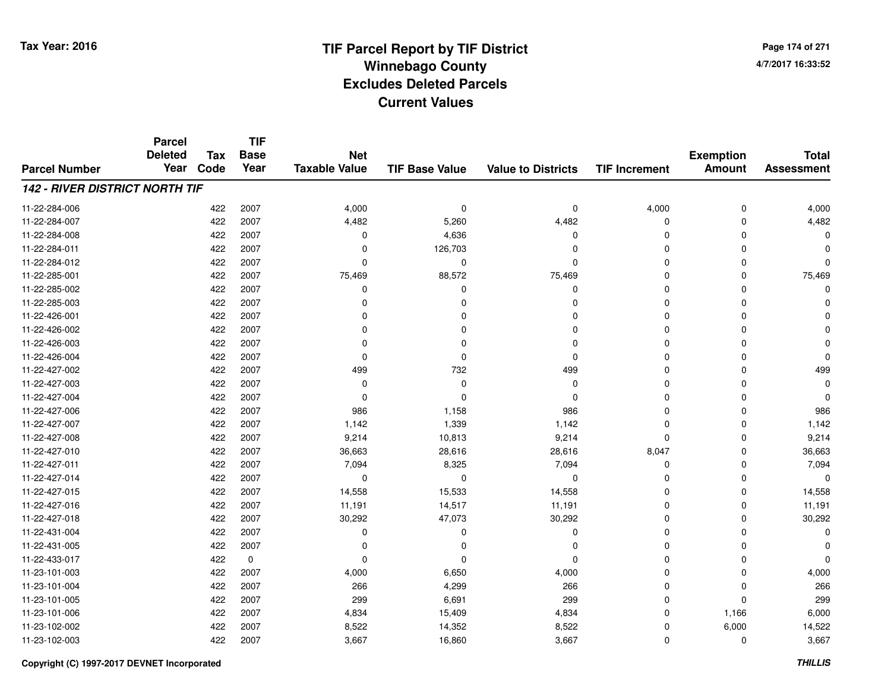**TIF**

**Parcel**

**Page 174 of 2714/7/2017 16:33:52**

#### **TIF Base ValueParcel NumberTotal AssessmentExemption Amount Value to Districts TIF Increment Base YearTax Code Deleted YearNet Taxable Value142 - RIVER DISTRICT NORTH TIF**11-22-284-006 <sup>422</sup> 4,000 <sup>2007</sup> <sup>0</sup> <sup>0</sup> 4,000 <sup>0</sup> 4,000 11-22-284-0077 422 2007 4,482 5,260 4,482 0 0 4,482 11-22-284-0088 422 2007 0 4,636 0 0 0 0 11-22-284-0111 422 2007 0 126,703 0 0 0 0 11-22-284-012 <sup>422</sup> <sup>0</sup> <sup>2007</sup> <sup>0</sup> <sup>0</sup> <sup>0</sup> <sup>0</sup> <sup>0</sup> 11-22-285-0011 422 2007 75,469 88,572 75,469 0 0 75,469 11-22-285-002 <sup>422</sup> <sup>0</sup> <sup>2007</sup> <sup>0</sup> <sup>0</sup> <sup>0</sup> <sup>0</sup> <sup>0</sup> 11-22-285-003 <sup>422</sup> <sup>0</sup> <sup>2007</sup> <sup>0</sup> <sup>0</sup> <sup>0</sup> <sup>0</sup> <sup>0</sup> 11-22-426-001 <sup>422</sup> <sup>0</sup> <sup>2007</sup> <sup>0</sup> <sup>0</sup> <sup>0</sup> <sup>0</sup> <sup>0</sup> 11-22-426-002 <sup>422</sup> <sup>0</sup> <sup>2007</sup> <sup>0</sup> <sup>0</sup> <sup>0</sup> <sup>0</sup> <sup>0</sup> 11-22-426-003 <sup>422</sup> <sup>0</sup> <sup>2007</sup> <sup>0</sup> <sup>0</sup> <sup>0</sup> <sup>0</sup> <sup>0</sup> 11-22-426-004 <sup>422</sup> <sup>0</sup> <sup>2007</sup> <sup>0</sup> <sup>0</sup> <sup>0</sup> <sup>0</sup> <sup>0</sup> 11-22-427-002 <sup>422</sup> <sup>499</sup> <sup>2007</sup> <sup>732</sup> <sup>499</sup> <sup>0</sup> <sup>0</sup> <sup>499</sup> 11-22-427-003 <sup>422</sup> <sup>0</sup> <sup>2007</sup> <sup>0</sup> <sup>0</sup> <sup>0</sup> <sup>0</sup> <sup>0</sup> 11-22-427-004 <sup>422</sup> <sup>0</sup> <sup>2007</sup> <sup>0</sup> <sup>0</sup> <sup>0</sup> <sup>0</sup> <sup>0</sup> 11-22-427-0066 422 2007 986 1,158 986 0 0 986 11-22-427-0077 422 2007 1,142 1,339 1,142 0 0 1,142 11-22-427-0088 422 2007 9,214 10,813 9,214 0 0 9,214 11-22-427-0100 422 2007 36,663 28,616 28,616 8,047 0 36,663 11-22-427-0111 422 2007 7,094 8,325 7,094 0 0 7,094 11-22-427-014 <sup>422</sup> <sup>0</sup> <sup>2007</sup> <sup>0</sup> <sup>0</sup> <sup>0</sup> <sup>0</sup> <sup>0</sup> 11-22-427-015 <sup>422</sup> 14,558 <sup>2007</sup> 15,533 14,558 <sup>0</sup> <sup>0</sup> 14,558 11-22-427-016 <sup>422</sup> 11,191 <sup>2007</sup> 14,517 11,191 <sup>0</sup> <sup>0</sup> 11,191 11-22-427-0188 422 2007 30,292 47,073 30,292 0 0 30,292 11-22-431-004 <sup>422</sup> <sup>0</sup> <sup>2007</sup> <sup>0</sup> <sup>0</sup> <sup>0</sup> <sup>0</sup> <sup>0</sup> 11-22-431-005 <sup>422</sup> <sup>0</sup> <sup>2007</sup> <sup>0</sup> <sup>0</sup> <sup>0</sup> <sup>0</sup> <sup>0</sup> 11-22-433-017 <sup>422</sup> <sup>0</sup> <sup>0</sup> <sup>0</sup> <sup>0</sup> <sup>0</sup> <sup>0</sup> <sup>0</sup> 11-23-101-003 $3$  6,650  $422$  2007  $4,000$  6,650  $4,000$   $6,650$   $4,000$   $0$  0  $4,000$ 11-23-101-0044 422 2007 266 4,299 266 0 0 266 11-23-101-005 <sup>422</sup> <sup>299</sup> <sup>2007</sup> 6,691 <sup>299</sup> <sup>0</sup> <sup>0</sup> <sup>299</sup> 11-23-101-006 <sup>422</sup> 4,834 <sup>2007</sup> 15,409 4,834 <sup>0</sup> 1,166 6,000 11-23-102-002 <sup>422</sup> 8,522 <sup>2007</sup> 14,352 8,522 <sup>0</sup> 6,000 14,522 11-23-102-0033 422 2007 3,667 16,860 3,667 0 0 3,667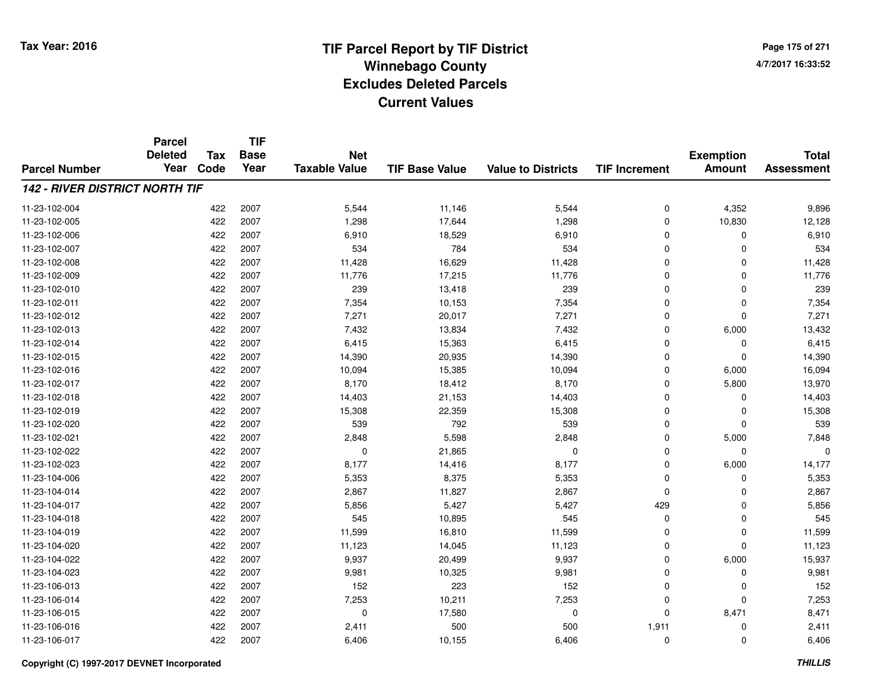**TIF**

**Parcel**

**Page 175 of 2714/7/2017 16:33:52**

#### **TIF Base ValueParcel NumberTotal AssessmentExemption Amount Value to Districts TIF Increment Base YearTax Code Deleted YearNet Taxable Value142 - RIVER DISTRICT NORTH TIF**11-23-102-004 <sup>422</sup> 5,544 <sup>2007</sup> 11,146 5,544 <sup>0</sup> 4,352 9,896 11-23-102-005 <sup>422</sup> 1,298 <sup>2007</sup> 17,644 1,298 <sup>0</sup> 10,830 12,128 11-23-102-0066 422 2007 6,910 18,529 6,910 0 0 6,910 11-23-102-007 <sup>422</sup> <sup>534</sup> <sup>2007</sup> <sup>784</sup> <sup>534</sup> <sup>0</sup> <sup>0</sup> <sup>534</sup> 11-23-102-008 <sup>422</sup> 11,428 <sup>2007</sup> 16,629 11,428 <sup>0</sup> <sup>0</sup> 11,428 11-23-102-0099 422 2007 11,776 17,215 11,776 0 0 11,776 11-23-102-0100 422 2007 239 13,418 239 0 0 239 11-23-102-0111 422 2007 7,354 10,153 7,354 0 0 7,354 11-23-102-012 <sup>422</sup> 7,271 <sup>2007</sup> 20,017 7,271 <sup>0</sup> <sup>0</sup> 7,271 11-23-102-0133 422 2007 7,432 13,834 7,432 0 6,000 13,432 11-23-102-014 <sup>422</sup> 6,415 <sup>2007</sup> 15,363 6,415 <sup>0</sup> <sup>0</sup> 6,415 11-23-102-015 <sup>422</sup> 14,390 <sup>2007</sup> 20,935 14,390 <sup>0</sup> <sup>0</sup> 14,390 11-23-102-0166 422 2007 10,094 15,385 10,094 0 6,000 16,094 11-23-102-017 <sup>422</sup> 8,170 <sup>2007</sup> 18,412 8,170 <sup>0</sup> 5,800 13,970 11-23-102-018 <sup>422</sup> 14,403 <sup>2007</sup> 21,153 14,403 <sup>0</sup> <sup>0</sup> 14,403 11-23-102-0199 422 2007 15,308 22,359 15,308 0 0 15,308 11-23-102-0200 422 2007 539 792 539 0 0 539 11-23-102-0211 422 2007 2,848 5,598 2,848 0 5,000 7,848 11-23-102-022 <sup>422</sup> <sup>0</sup> <sup>2007</sup> 21,865 <sup>0</sup> <sup>0</sup> <sup>0</sup> <sup>0</sup> 11-23-102-023 $3$  6,000  $422$  2007 8,177 14,416 8,177 8 8,177 0 6,000 14,177 11-23-104-006 <sup>422</sup> 5,353 <sup>2007</sup> 8,375 5,353 <sup>0</sup> <sup>0</sup> 5,353 11-23-104-014422 2007 2,867 11,827 2,867 2,867 2,867 3 2,867 0 0 0 2,867 11-23-104-017 <sup>422</sup> 5,856 <sup>2007</sup> 5,427 5,427 <sup>429</sup> <sup>0</sup> 5,856 11-23-104-0188 422 2007 545 10,895 545 0 0 545 11-23-104-0199 422 2007 11,599 16,810 11,599 0 0 11,599 11-23-104-0200 422 2007 11,123 14,045 11,123 0 0 11,123 11-23-104-022 <sup>422</sup> 9,937 <sup>2007</sup> 20,499 9,937 <sup>0</sup> 6,000 15,937 11-23-104-0233 422 2007 9,981 10,325 9,981 0 0 9,981 11-23-106-0133 422 2007 152 223 152 0 0 152 11-23-106-0144 422 2007 7,253 10,211 7,253 0 7,253 11-23-106-015 <sup>422</sup> <sup>0</sup> <sup>2007</sup> 17,580 <sup>0</sup> <sup>0</sup> 8,471 8,471 11-23-106-0166 422 2007 2,411 500 1,911 2,411 11-23-106-017<sup>422</sup> 6,406 <sup>2007</sup> 10,155 6,406 <sup>0</sup> <sup>0</sup> 6,406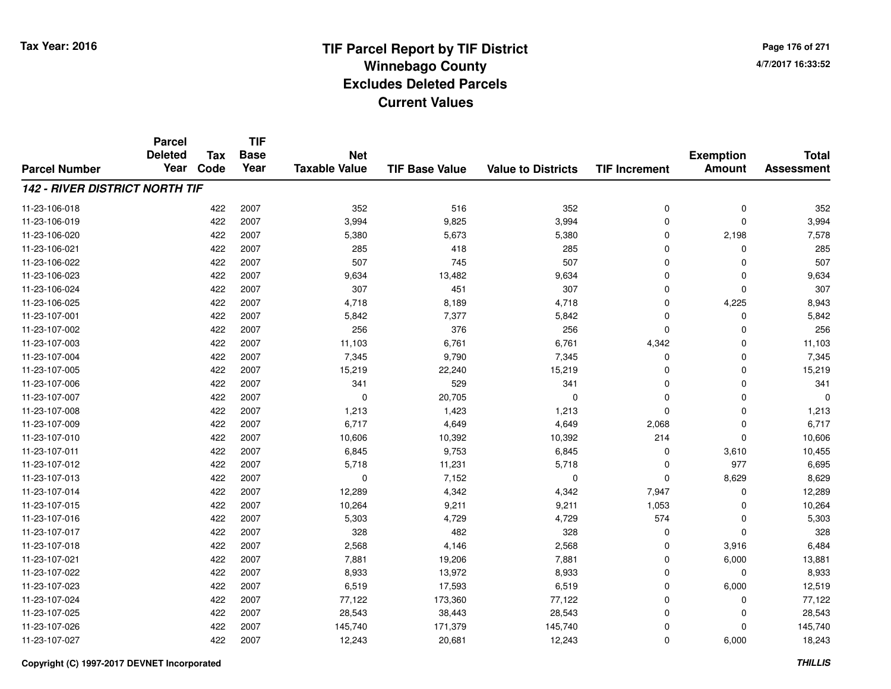**Page 176 of 2714/7/2017 16:33:52**

#### **TIF Base ValueParcel NumberTotal AssessmentExemption Amount Value to Districts TIF IncrementTIF Base YearTax CodeParcel Deleted YearNet Taxable Value142 - RIVER DISTRICT NORTH TIF**11-23-106-0188 422 2007 352 516 352 0 0 352 11-23-106-0199 422 2007 3,994 9,825 3,994 0 0 3,994 11-23-106-0200 422 2007 5,380 5,673 5,380 0 2,198 7,578 11-23-106-0211 422 2007 285 418 285 0 0 285 11-23-106-022 <sup>422</sup> <sup>507</sup> <sup>2007</sup> <sup>745</sup> <sup>507</sup> <sup>0</sup> <sup>0</sup> <sup>507</sup> 11-23-106-023 $3$  2007 9,634  $13,482$  9,634  $9,634$   $13,482$  9,634  $0$  0 0  $9,634$ 11-23-106-024 <sup>422</sup> <sup>307</sup> <sup>2007</sup> <sup>451</sup> <sup>307</sup> <sup>0</sup> <sup>0</sup> <sup>307</sup> 11-23-106-025 <sup>422</sup> 4,718 <sup>2007</sup> 8,189 4,718 <sup>0</sup> 4,225 8,943 11-23-107-0011 422 2007 5,842 7,377 5,842 0 0 5,842 11-23-107-002 <sup>422</sup> <sup>256</sup> <sup>2007</sup> <sup>376</sup> <sup>256</sup> <sup>0</sup> <sup>0</sup> <sup>256</sup> 11-23-107-0033 422 2007 11,103 6,761 6,761 4,342 0 11,103 11-23-107-0044 422 2007 7,345 9,790 7,345 0 0 7,345 11-23-107-0055 422 2007 15,219 22,240 15,219 0 0 15,219 11-23-107-006 <sup>422</sup> <sup>341</sup> <sup>2007</sup> <sup>529</sup> <sup>341</sup> <sup>0</sup> <sup>0</sup> <sup>341</sup> 11-23-107-007 $7$  and  $422$  2007 cm  $10$  20,705 cm  $10$  0 cm  $10$  0 cm  $10$  0 0 cm  $10$ 11-23-107-0088 422 2007 1,213 1,423 1,213 0 0 1,213 11-23-107-0099 422 2007 6,717 4,649 4,649 2,068 0 6,717 11-23-107-0100 422 2007 10,606 10,392 10,392 214 0 10,606 11-23-107-0111 422 2007 6,845 9,753 6,845 0 3,610 10,455 11-23-107-012 <sup>422</sup> 5,718 <sup>2007</sup> 11,231 5,718 <sup>0</sup> <sup>977</sup> 6,695 11-23-107-0133 422 2007 0 7,152 0 0 8,629 8,629 11-23-107-014422 2007 12,289 4,342 4,342 4,342 7,947 0 12,289 11-23-107-015 <sup>422</sup> 10,264 <sup>2007</sup> 9,211 9,211 1,053 <sup>0</sup> 10,264 11-23-107-016 <sup>422</sup> 5,303 <sup>2007</sup> 4,729 4,729 <sup>574</sup> <sup>0</sup> 5,303 11-23-107-0177 422 2007 328 482 328 0 0 328 11-23-107-0188 422 2007 2,568 4,146 2,568 0 3,916 6,484 11-23-107-0211 422 2007 7,881 19,206 7,881 0 6,000 13,881 11-23-107-022 <sup>422</sup> 8,933 <sup>2007</sup> 13,972 8,933 <sup>0</sup> <sup>0</sup> 8,933 11-23-107-0233 422 2007 6,519 17,593 6,519 0 6,000 12,519 11-23-107-0244 422 2007 77,122 173,360 77,122 0 0 77,122 11-23-107-025 <sup>422</sup> 28,543 <sup>2007</sup> 38,443 28,543 <sup>0</sup> <sup>0</sup> 28,543 11-23-107-026 <sup>422</sup> 145,740 <sup>2007</sup> 171,379 145,740 <sup>0</sup> <sup>0</sup> 145,740 11-23-107-027<sup>422</sup> 12,243 <sup>2007</sup> 20,681 12,243 <sup>0</sup> 6,000 18,243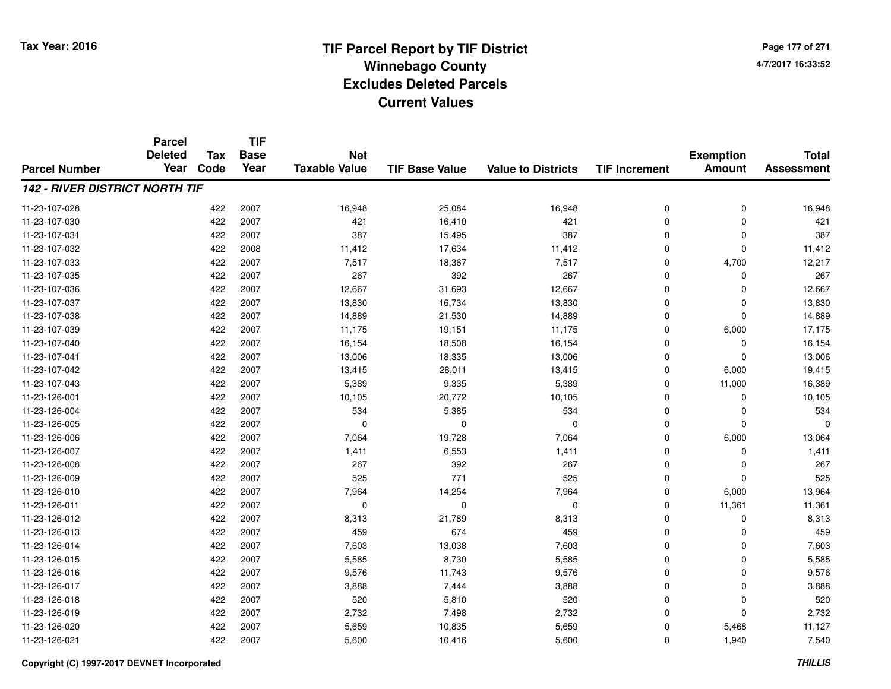**TIF**

**Parcel**

**Page 177 of 2714/7/2017 16:33:52**

#### **TIF Base ValueParcel NumberTotal AssessmentExemption Amount Value to Districts TIF Increment Base YearTax Code Deleted YearNet Taxable Value142 - RIVER DISTRICT NORTH TIF**11-23-107-0288 422 2007 16,948 25,084 16,948 0 0 16,948 11-23-107-0300 422 2007 421 16,410 421 0 0 421 11-23-107-0311 422 2007 387 15,495 387 0 0 387 11-23-107-0322 11,412 2008 11,412 17,634 11,412 0 0 0 11,412 11-23-107-0333 422 2007 7,517 18,367 7,517 0 4,700 12,217 11-23-107-035 <sup>422</sup> <sup>267</sup> <sup>2007</sup> <sup>392</sup> <sup>267</sup> <sup>0</sup> <sup>0</sup> <sup>267</sup> 11-23-107-036 <sup>422</sup> 12,667 <sup>2007</sup> 31,693 12,667 <sup>0</sup> <sup>0</sup> 12,667 11-23-107-037 <sup>422</sup> 13,830 <sup>2007</sup> 16,734 13,830 <sup>0</sup> <sup>0</sup> 13,830 11-23-107-0388 422 2007 14,889 21,530 14,889 0 0 14,889 11-23-107-039 <sup>422</sup> 11,175 <sup>2007</sup> 19,151 11,175 <sup>0</sup> 6,000 17,175 11-23-107-0400 422 2007 16,154 18,508 16,154 0 0 16,154 11-23-107-0411 422 2007 13,006 18,335 13,006 0 0 13,006 11-23-107-042 <sup>422</sup> 13,415 <sup>2007</sup> 28,011 13,415 <sup>0</sup> 6,000 19,415 11-23-107-0433 422 2007 5,389 9,335 5,389 0 11,000 16,389 11-23-126-0011 422 2007 10,105 20,772 10,105 0 0 10,105 11-23-126-004 <sup>422</sup> <sup>534</sup> <sup>2007</sup> 5,385 <sup>534</sup> <sup>0</sup> <sup>0</sup> <sup>534</sup> 11-23-126-005 <sup>422</sup> <sup>0</sup> <sup>2007</sup> <sup>0</sup> <sup>0</sup> <sup>0</sup> <sup>0</sup> <sup>0</sup> 11-23-126-0066 422 2007 7,064 19,728 7,064 0 6,000 13,064 11-23-126-007 <sup>422</sup> 1,411 <sup>2007</sup> 6,553 1,411 <sup>0</sup> <sup>0</sup> 1,411 11-23-126-008 <sup>422</sup> <sup>267</sup> <sup>2007</sup> <sup>392</sup> <sup>267</sup> <sup>0</sup> <sup>0</sup> <sup>267</sup> 11-23-126-0099 422 2007 525 771 525 0 0 525 11-23-126-0100 422 2007 7,964 14,254 7,964 0 6,000 13,964 11-23-126-011 <sup>422</sup> <sup>0</sup> <sup>2007</sup> <sup>0</sup> <sup>0</sup> <sup>0</sup> 11,361 11,361 11-23-126-012 <sup>422</sup> 8,313 <sup>2007</sup> 21,789 8,313 <sup>0</sup> <sup>0</sup> 8,313 11-23-126-0133 422 2007 459 674 459 0 0 459 11-23-126-014422 2007 13,038 7,603 7,603 0 0 0 7,603 11-23-126-015 <sup>422</sup> 5,585 <sup>2007</sup> 8,730 5,585 <sup>0</sup> <sup>0</sup> 5,585 11-23-126-0166 422 2007 9,576 11,743 9,576 0 0 9,576 11-23-126-0177 2007 2007 2007 3,888 2007 3,444 3 3,888 3,888 3 3,888 3,888 3,888 3,888 3,888 3,888 3,888 3,888 3,888 3,888 3,888 3,888 3,888 3,888 3,888 3,888 3,888 3,888 3,888 3,888 3,888 3,888 3,888 3,888 3,888 3,888 3,888 3,888 3,888 11-23-126-018 <sup>422</sup> <sup>520</sup> <sup>2007</sup> 5,810 <sup>520</sup> <sup>0</sup> <sup>0</sup> <sup>520</sup> 11-23-126-0199 422 2007 2,732 7,498 2,732 0 0 2,732 11-23-126-0200 422 2007 5,659 10,835 5,659 0 5,468 11,127 11-23-126-0211 422 2007 5,600 10,416 5,600 0 1,940 7,540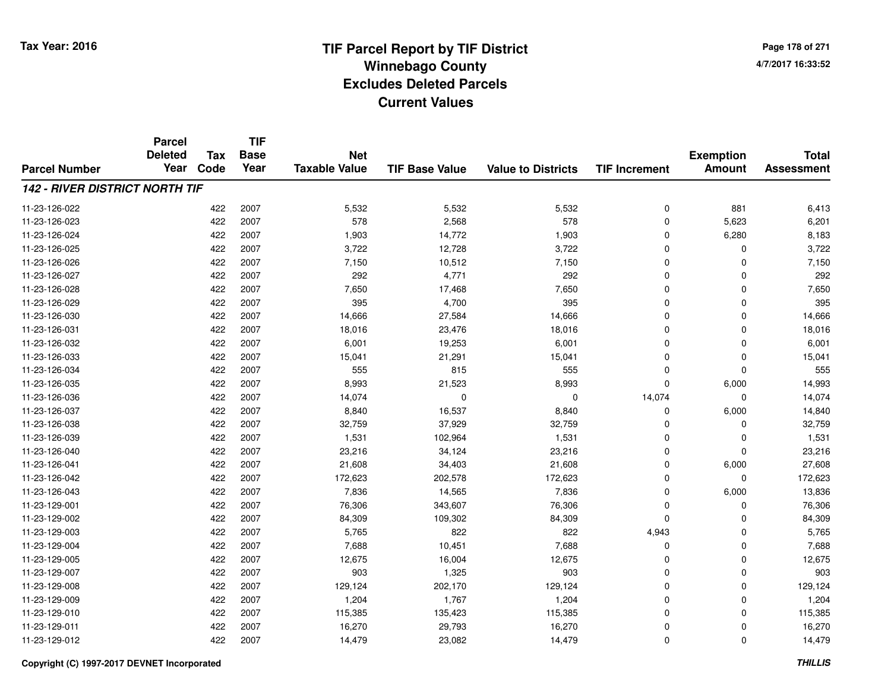**Page 178 of 2714/7/2017 16:33:52**

#### **TIF Base ValueParcel NumberTotal AssessmentExemption Amount Value to Districts TIF IncrementTIF Base YearTax CodeParcel Deleted YearNet Taxable Value142 - RIVER DISTRICT NORTH TIF**11-23-126-022 <sup>422</sup> 5,532 <sup>2007</sup> 5,532 5,532 <sup>0</sup> <sup>881</sup> 6,413 11-23-126-0233 422 2007 578 2,568 578 0 5,623 6,201 11-23-126-024 <sup>422</sup> 1,903 <sup>2007</sup> 14,772 1,903 <sup>0</sup> 6,280 8,183 11-23-126-0255 422 2007 3,722 12,728 3,722 0 0 3,722 11-23-126-026 <sup>422</sup> 7,150 <sup>2007</sup> 10,512 7,150 <sup>0</sup> <sup>0</sup> 7,150 11-23-126-027 <sup>422</sup> <sup>292</sup> <sup>2007</sup> 4,771 <sup>292</sup> <sup>0</sup> <sup>0</sup> <sup>292</sup> 11-23-126-0288 422 2007 7,650 17,468 7,650 0 0 7,650 11-23-126-0299 422 2007 395 4,700 395 0 0 395 11-23-126-0300 422 2007 14,666 27,584 14,666 0 0 14,666 11-23-126-0311 422 2007 18,016 23,476 18,016 0 0 18,016 11-23-126-0322 422 2007 6,001 19,253 6,001 0 6,001 11-23-126-0333 422 2007 15,041 21,291 15,041 0 0 15,041 11-23-126-034 <sup>422</sup> <sup>555</sup> <sup>2007</sup> <sup>815</sup> <sup>555</sup> <sup>0</sup> <sup>0</sup> <sup>555</sup> 11-23-126-035 <sup>422</sup> 8,993 <sup>2007</sup> 21,523 8,993 <sup>0</sup> 6,000 14,993 11-23-126-036 <sup>422</sup> 14,074 <sup>2007</sup> <sup>0</sup> <sup>0</sup> 14,074 <sup>0</sup> 14,074 11-23-126-037 <sup>422</sup> 8,840 <sup>2007</sup> 16,537 8,840 <sup>0</sup> 6,000 14,840 11-23-126-038 <sup>422</sup> 32,759 <sup>2007</sup> 37,929 32,759 <sup>0</sup> <sup>0</sup> 32,759 11-23-126-0399 422 2007 1,531 102,964 1,531 0 0 1,531 11-23-126-0400 422 2007 23,216 34,124 23,216 0 0 23,216 11-23-126-0411 422 2007 21,608 34,403 21,608 0 6,000 27,608 11-23-126-042 <sup>422</sup> 172,623 <sup>2007</sup> 202,578 172,623 <sup>0</sup> <sup>0</sup> 172,623 11-23-126-0433 422 2007 7,836 14,565 7,836 0 6,000 13,836 11-23-129-0011 422 2007 76,306 343,607 76,306 0 76,306 11-23-129-002 <sup>422</sup> 84,309 <sup>2007</sup> 109,302 84,309 <sup>0</sup> <sup>0</sup> 84,309 11-23-129-0033 422 2007 5,765 822 822 4,943 0 5,765 11-23-129-0044 422 2007 7,688 10,451 7,688 0 7,688 11-23-129-005 <sup>422</sup> 12,675 <sup>2007</sup> 16,004 12,675 <sup>0</sup> <sup>0</sup> 12,675 11-23-129-007 <sup>422</sup> <sup>903</sup> <sup>2007</sup> 1,325 <sup>903</sup> <sup>0</sup> <sup>0</sup> <sup>903</sup> 11-23-129-008 <sup>422</sup> 129,124 <sup>2007</sup> 202,170 129,124 <sup>0</sup> <sup>0</sup> 129,124 11-23-129-0099 422 2007 1,204 1,767 1,204 0 0 1,204 11-23-129-0100 422 2007 115,385 135,423 115,385 0 0 115,385 11-23-129-0111 422 2007 16,270 29,793 16,270 0 0 16,270 11-23-129-012<sup>422</sup> 14,479 <sup>2007</sup> 23,082 14,479 <sup>0</sup> <sup>0</sup> 14,479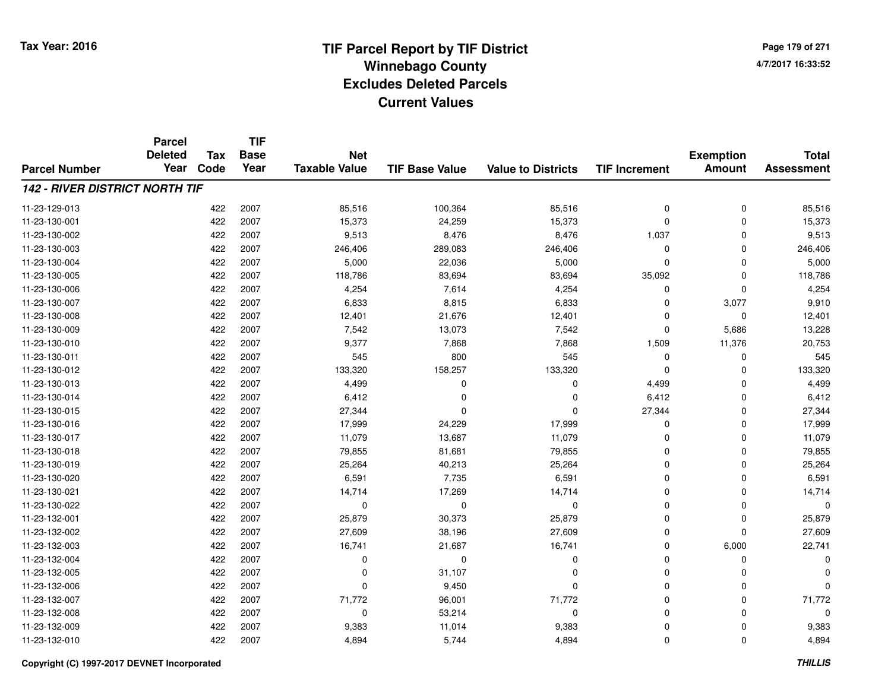**Page 179 of 2714/7/2017 16:33:52**

#### **TIF Base ValueParcel NumberTotal AssessmentExemption Amount Value to Districts TIF IncrementTIF Base YearTax CodeParcel Deleted YearNet Taxable Value142 - RIVER DISTRICT NORTH TIF**11-23-129-0133 422 2007 85,516 100,364 85,516 0 0 85,516 11-23-130-0011 422 2007 15,373 24,259 15,373 0 0 15,373 11-23-130-002 <sup>422</sup> 9,513 <sup>2007</sup> 8,476 8,476 1,037 <sup>0</sup> 9,513 11-23-130-0033 422 2007 246,406 289,083 246,406 0 0 246,406 11-23-130-004422 2007 5,000 22,036 5,000 5,000 5,000 5,000 6,000 5,000 5,000 65,000 65,000 6 11-23-130-005 <sup>422</sup> 118,786 <sup>2007</sup> 83,694 83,694 35,092 <sup>0</sup> 118,786 11-23-130-0066 422 2007 4,254 7,614 4,254 0 0 4,254 11-23-130-007 <sup>422</sup> 6,833 <sup>2007</sup> 8,815 6,833 <sup>0</sup> 3,077 9,910 11-23-130-008 <sup>422</sup> 12,401 <sup>2007</sup> 21,676 12,401 <sup>0</sup> <sup>0</sup> 12,401 11-23-130-0099 422 2007 7,542 13,073 7,542 0 5,686 13,228 11-23-130-0100 422 2007 9,377 7,868 7,868 1,509 11,376 20,753 11-23-130-0111 422 2007 545 800 545 0 0 545 11-23-130-012 <sup>422</sup> 133,320 <sup>2007</sup> 158,257 133,320 <sup>0</sup> <sup>0</sup> 133,320 11-23-130-0133 422 2007 4,499 0 0 4,499 0 4,499 11-23-130-014 <sup>422</sup> 6,412 <sup>2007</sup> <sup>0</sup> <sup>0</sup> 6,412 <sup>0</sup> 6,412 11-23-130-015 <sup>422</sup> 27,344 <sup>2007</sup> <sup>0</sup> <sup>0</sup> 27,344 <sup>0</sup> 27,344 11-23-130-0166 422 2007 17,999 24,229 17,999 0 0 17,999 11-23-130-017 <sup>422</sup> 11,079 <sup>2007</sup> 13,687 11,079 <sup>0</sup> <sup>0</sup> 11,079 11-23-130-0188 422 2007 79,855 81,681 79,855 0 0 79,855 11-23-130-0199 422 2007 25,264 40,213 25,264 0 0 25,264 11-23-130-0200 422 2007 6,591 7,735 6,591 0 0 6,591 11-23-130-0211 422 2007 14,714 17,269 14,714 0 0 14,714 11-23-130-022 <sup>422</sup> <sup>0</sup> <sup>2007</sup> <sup>0</sup> <sup>0</sup> <sup>0</sup> <sup>0</sup> <sup>0</sup> 11-23-132-0011 422 2007 25,879 30,373 25,879 0 0 25,879 11-23-132-0022 422 2007 27,609 38,196 27,609 0 0 27,609 11-23-132-0033 422 2007 16,741 21,687 16,741 0 6,000 22,741 11-23-132-004 <sup>422</sup> <sup>0</sup> <sup>2007</sup> <sup>0</sup> <sup>0</sup> <sup>0</sup> <sup>0</sup> <sup>0</sup> 11-23-132-005 <sup>422</sup> <sup>0</sup> <sup>2007</sup> 31,107 <sup>0</sup> <sup>0</sup> <sup>0</sup> <sup>0</sup> 11-23-132-006 <sup>422</sup> <sup>0</sup> <sup>2007</sup> 9,450 <sup>0</sup> <sup>0</sup> <sup>0</sup> <sup>0</sup> 11-23-132-007 <sup>422</sup> 71,772 <sup>2007</sup> 96,001 71,772 <sup>0</sup> <sup>0</sup> 71,772 11-23-132-0088 422 2007 0 53,214 0 0 0 0 11-23-132-0099 422 2007 9,383 11,014 9,383 0 0 9,383 11-23-132-0100 422 2007 4,894 5,744 4,894 0 0 4,894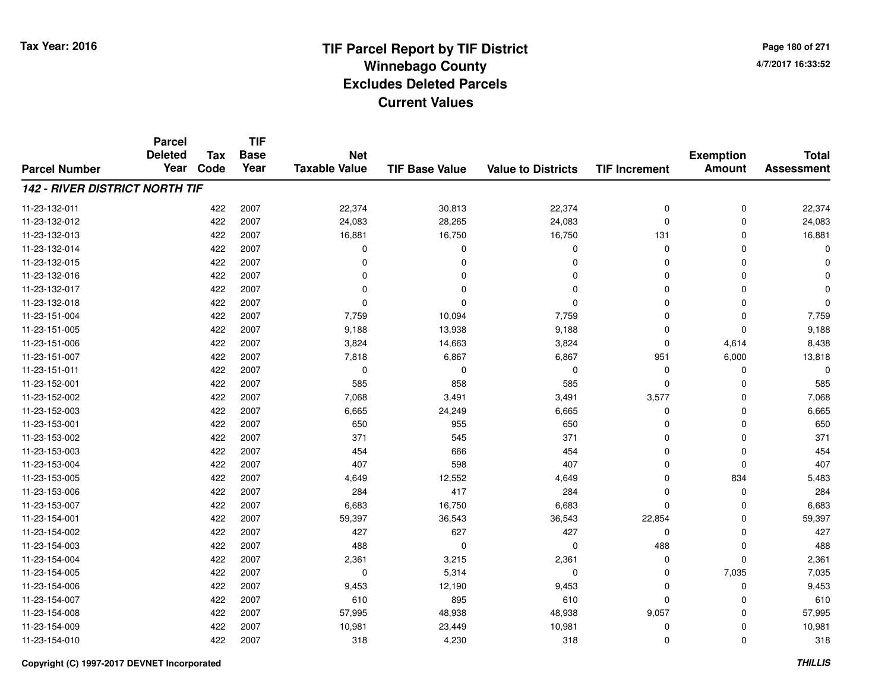**TIF**

**Parcel**

**Page 180 of 2714/7/2017 16:33:52**

#### **TIF Base ValueParcel NumberTotal AssessmentExemption Amount Value to Districts TIF Increment Base YearTax Code Deleted YearNet Taxable Value142 - RIVER DISTRICT NORTH TIF**11-23-132-0111 422 2007 22,374 30,813 22,374 0 0 22,374 11-23-132-0122 422 2007 24,083 28,265 24,083 0 0 24,083 11-23-132-0133 422 2007 16,881 16,750 16,750 131 0 16,881 11-23-132-014 <sup>422</sup> <sup>0</sup> <sup>2007</sup> <sup>0</sup> <sup>0</sup> <sup>0</sup> <sup>0</sup> <sup>0</sup> 11-23-132-015 <sup>422</sup> <sup>0</sup> <sup>2007</sup> <sup>0</sup> <sup>0</sup> <sup>0</sup> <sup>0</sup> <sup>0</sup> 11-23-132-016 <sup>422</sup> <sup>0</sup> <sup>2007</sup> <sup>0</sup> <sup>0</sup> <sup>0</sup> <sup>0</sup> <sup>0</sup> 11-23-132-017 <sup>422</sup> <sup>0</sup> <sup>2007</sup> <sup>0</sup> <sup>0</sup> <sup>0</sup> <sup>0</sup> <sup>0</sup> 11-23-132-018 <sup>422</sup> <sup>0</sup> <sup>2007</sup> <sup>0</sup> <sup>0</sup> <sup>0</sup> <sup>0</sup> <sup>0</sup> 11-23-151-004 <sup>422</sup> 7,759 <sup>2007</sup> 10,094 7,759 <sup>0</sup> <sup>0</sup> 7,759 11-23-151-005 <sup>422</sup> 9,188 <sup>2007</sup> 13,938 9,188 <sup>0</sup> <sup>0</sup> 9,188 11-23-151-0066 422 2007 3,824 14,663 3,824 0 4,614 8,438 11-23-151-007 <sup>422</sup> 7,818 <sup>2007</sup> 6,867 6,867 <sup>951</sup> 6,000 13,818 11-23-151-011 <sup>422</sup> <sup>0</sup> <sup>2007</sup> <sup>0</sup> <sup>0</sup> <sup>0</sup> <sup>0</sup> <sup>0</sup> 11-23-152-001 <sup>422</sup> <sup>585</sup> <sup>2007</sup> <sup>858</sup> <sup>585</sup> <sup>0</sup> <sup>0</sup> <sup>585</sup> 11-23-152-002 <sup>422</sup> 7,068 <sup>2007</sup> 3,491 3,491 3,577 <sup>0</sup> 7,068 11-23-152-0033 422 2007 6,665 24,249 6,665 0 0 6,665 11-23-153-0011 422 2007 650 955 650 0 0 650 11-23-153-002 <sup>422</sup> <sup>371</sup> <sup>2007</sup> <sup>545</sup> <sup>371</sup> <sup>0</sup> <sup>0</sup> <sup>371</sup> 11-23-153-003 <sup>422</sup> <sup>454</sup> <sup>2007</sup> <sup>666</sup> <sup>454</sup> <sup>0</sup> <sup>0</sup> <sup>454</sup> 11-23-153-004422 2007 - 1407 598 1407 - 1407 10 0 0 0 1407 11-23-153-005 <sup>422</sup> 4,649 <sup>2007</sup> 12,552 4,649 <sup>0</sup> <sup>834</sup> 5,483 11-23-153-0066 422 2007 284 417 284 0 0 284 11-23-153-0077 422 2007 6,683 16,750 6,683 0 0 6,683 11-23-154-001 <sup>422</sup> 59,397 <sup>2007</sup> 36,543 36,543 22,854 <sup>0</sup> 59,397 11-23-154-002 <sup>422</sup> <sup>427</sup> <sup>2007</sup> <sup>627</sup> <sup>427</sup> <sup>0</sup> <sup>0</sup> <sup>427</sup> 11-23-154-0033 422 2007 488 0 0 488 0 488 11-23-154-0044 422 2007 2,361 3,215 2,361 0 0 2,361 11-23-154-0055 422 2007 0 5,314 0 0 7,035 7,035 11-23-154-006 <sup>422</sup> 9,453 <sup>2007</sup> 12,190 9,453 <sup>0</sup> <sup>0</sup> 9,453 11-23-154-0077 422 2007 610 895 610 0 0 610 11-23-154-008 <sup>422</sup> 57,995 <sup>2007</sup> 48,938 48,938 9,057 <sup>0</sup> 57,995 11-23-154-0099 422 2007 10,981 23,449 10,981 0 10,981 11-23-154-0100 422 2007 318 4,230 318 0 0 318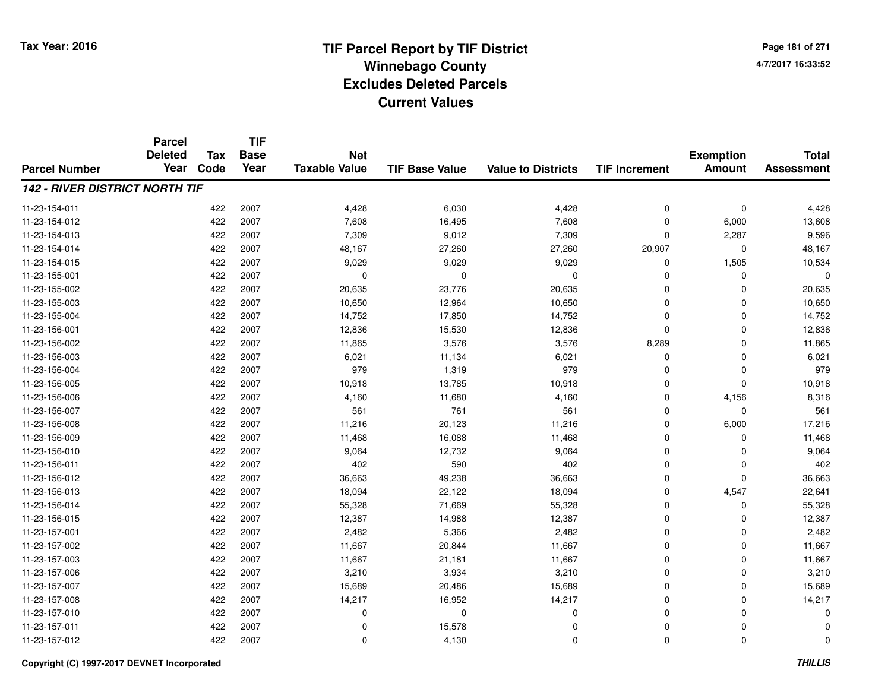**TIF**

**Parcel**

**Page 181 of 2714/7/2017 16:33:52**

#### **TIF Base ValueParcel NumberTotal AssessmentExemption Amount Value to Districts TIF Increment Base YearTax Code Deleted YearNet Taxable Value142 - RIVER DISTRICT NORTH TIF**11-23-154-0111 422 2007 4,428 6,030 4,428 0 0 4,428 11-23-154-012 <sup>422</sup> 7,608 <sup>2007</sup> 16,495 7,608 <sup>0</sup> 6,000 13,608 11-23-154-0133 422 2007 7,309 9,012 7,309 0 2,287 9,596 11-23-154-014422 2007 148,167 27,260 27,260 27,260 20,907 0 48,167 11-23-154-015 <sup>422</sup> 9,029 <sup>2007</sup> 9,029 9,029 <sup>0</sup> 1,505 10,534 11-23-155-001 <sup>422</sup> <sup>0</sup> <sup>2007</sup> <sup>0</sup> <sup>0</sup> <sup>0</sup> <sup>0</sup> <sup>0</sup> 11-23-155-0022 422 2007 20,635 23,776 20,635 0 0 20,635 11-23-155-0033 422 2007 10,650 12,964 10,650 0 0 10,650 11-23-155-0044 422 2007 14,752 17,850 14,752 0 0 14,752 11-23-156-0011 422 2007 12,836 15,530 12,836 0 0 12,836 11-23-156-0022 2 2007 11,865 3,576 3,576 3,576 8,289 0 11,865 3,576 3,576 3,576 3,576 3,576 3,289 11,865 11-23-156-0033 422 2007 6,021 11,134 6,021 0 0 6,021 11-23-156-004 <sup>422</sup> <sup>979</sup> <sup>2007</sup> 1,319 <sup>979</sup> <sup>0</sup> <sup>0</sup> <sup>979</sup> 11-23-156-0055 422 2007 10,918 13,785 10,918 0 0 10,918 11-23-156-006 <sup>422</sup> 4,160 <sup>2007</sup> 11,680 4,160 <sup>0</sup> 4,156 8,316 11-23-156-007 <sup>422</sup> <sup>561</sup> <sup>2007</sup> <sup>761</sup> <sup>561</sup> <sup>0</sup> <sup>0</sup> <sup>561</sup> 11-23-156-0088 422 2007 11,216 20,123 11,216 0 6,000 17,216 11-23-156-0099 422 2007 11,468 16,088 11,468 0 0 11,468 11-23-156-0100 422 2007 9,064 12,732 9,064 0 0 9,064 11-23-156-0111 422 2007 402 590 402 0 0 402 11-23-156-012 <sup>422</sup> 36,663 <sup>2007</sup> 49,238 36,663 <sup>0</sup> <sup>0</sup> 36,663 11-23-156-0133 422 2007 18,094 22,122 18,094 0 4,547 22,641 11-23-156-014422 2007 55,328 71,669 55,328 55,328 55,328 0 0 0 55,328 11-23-156-015 <sup>422</sup> 12,387 <sup>2007</sup> 14,988 12,387 <sup>0</sup> <sup>0</sup> 12,387 11-23-157-0011 422 2007 2,482 5,366 2,482 0 0 2,482 11-23-157-0022 2 2007 11,667 20,844 11,667 11,667 0 0 0 11,667 11-23-157-0033 422 2007 11,667 21,181 11,667 0 0 11,667 11-23-157-0066 422 2007 3,210 3,934 3,210 0 0 3,210 11-23-157-0077 422 2007 15,689 20,486 15,689 0 0 15,689 11-23-157-0088 422 2007 14,217 16,952 14,217 0 0 14,217 11-23-157-010 <sup>422</sup> <sup>0</sup> <sup>2007</sup> <sup>0</sup> <sup>0</sup> <sup>0</sup> <sup>0</sup> <sup>0</sup> 11-23-157-0111 and  $422$  2007 and  $200$  contracts to  $15,578$  contracts to  $0$  contracts to  $0$  contracts to  $0$  contracts to  $0$ 11-23-157-012 $2$  2007 0 4.130 0 0 0 0 0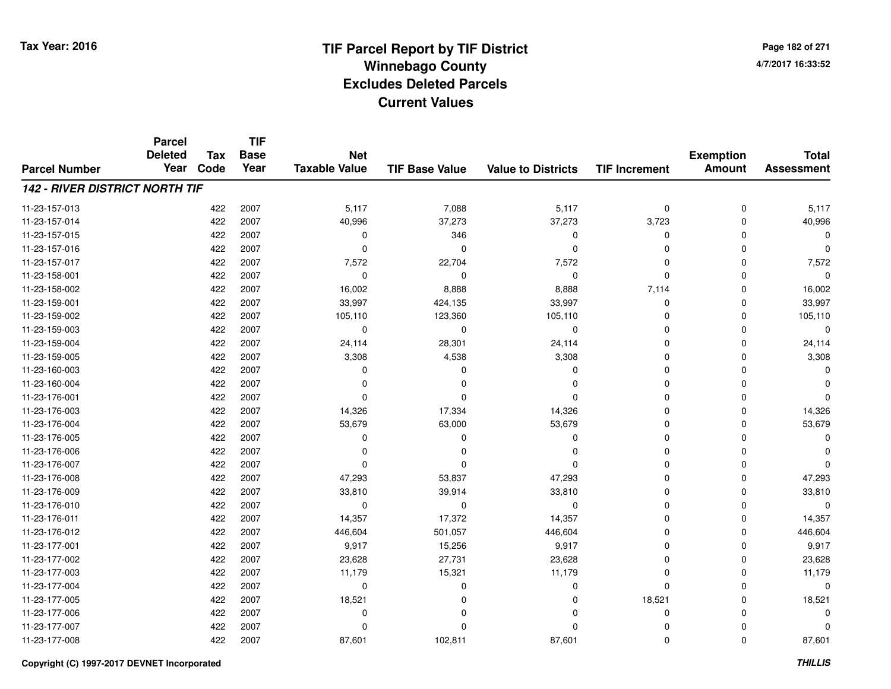**TIF**

**Parcel**

**Page 182 of 2714/7/2017 16:33:52**

#### **TIF Base ValueParcel NumberTotal AssessmentExemption Amount Value to Districts TIF Increment Base YearTax Code Deleted YearNet Taxable Value142 - RIVER DISTRICT NORTH TIF**11-23-157-013 <sup>422</sup> 5,117 <sup>2007</sup> 7,088 5,117 <sup>0</sup> <sup>0</sup> 5,117 11-23-157-014 <sup>422</sup> 40,996 <sup>2007</sup> 37,273 37,273 3,723 <sup>0</sup> 40,996 11-23-157-015 <sup>422</sup> <sup>0</sup> <sup>2007</sup> <sup>346</sup> <sup>0</sup> <sup>0</sup> <sup>0</sup> <sup>0</sup> 11-23-157-016 <sup>422</sup> <sup>0</sup> <sup>2007</sup> <sup>0</sup> <sup>0</sup> <sup>0</sup> <sup>0</sup> <sup>0</sup> 11-23-157-0177 422 2007 7,572 22,704 7,572 0 0 7,572 11-23-158-001 <sup>422</sup> <sup>0</sup> <sup>2007</sup> <sup>0</sup> <sup>0</sup> <sup>0</sup> <sup>0</sup> <sup>0</sup> 11-23-158-0022 2 2007 16,002 8,888 8,888 8,888 7,114 0 16,002 11-23-159-0011 422 2007 33,997 424,135 33,997 0 0 33,997 11-23-159-002 <sup>422</sup> 105,110 <sup>2007</sup> 123,360 105,110 <sup>0</sup> <sup>0</sup> 105,110 11-23-159-003 <sup>422</sup> <sup>0</sup> <sup>2007</sup> <sup>0</sup> <sup>0</sup> <sup>0</sup> <sup>0</sup> <sup>0</sup> 11-23-159-0044 422 2007 24,114 28,301 24,114 0 0 24,114 11-23-159-005 <sup>422</sup> 3,308 <sup>2007</sup> 4,538 3,308 <sup>0</sup> <sup>0</sup> 3,308 11-23-160-003 <sup>422</sup> <sup>0</sup> <sup>2007</sup> <sup>0</sup> <sup>0</sup> <sup>0</sup> <sup>0</sup> <sup>0</sup> 11-23-160-004 <sup>422</sup> <sup>0</sup> <sup>2007</sup> <sup>0</sup> <sup>0</sup> <sup>0</sup> <sup>0</sup> <sup>0</sup> 11-23-176-001 <sup>422</sup> <sup>0</sup> <sup>2007</sup> <sup>0</sup> <sup>0</sup> <sup>0</sup> <sup>0</sup> <sup>0</sup> 11-23-176-0033 422 2007 14,326 17,334 14,326 0 0 14,326 11-23-176-004 <sup>422</sup> 53,679 <sup>2007</sup> 63,000 53,679 <sup>0</sup> <sup>0</sup> 53,679 11-23-176-005 <sup>422</sup> <sup>0</sup> <sup>2007</sup> <sup>0</sup> <sup>0</sup> <sup>0</sup> <sup>0</sup> <sup>0</sup> 11-23-176-006 <sup>422</sup> <sup>0</sup> <sup>2007</sup> <sup>0</sup> <sup>0</sup> <sup>0</sup> <sup>0</sup> <sup>0</sup> 11-23-176-007 <sup>422</sup> <sup>0</sup> <sup>2007</sup> <sup>0</sup> <sup>0</sup> <sup>0</sup> <sup>0</sup> <sup>0</sup> 11-23-176-008 <sup>422</sup> 47,293 <sup>2007</sup> 53,837 47,293 <sup>0</sup> <sup>0</sup> 47,293 11-23-176-0099 422 2007 33,810 39,914 33,810 0 0 33,810 11-23-176-010 <sup>422</sup> <sup>0</sup> <sup>2007</sup> <sup>0</sup> <sup>0</sup> <sup>0</sup> <sup>0</sup> <sup>0</sup> 11-23-176-0111 422 2007 14,357 17,372 14,357 0 0 14,357 11-23-176-012 <sup>422</sup> 446,604 <sup>2007</sup> 501,057 446,604 <sup>0</sup> <sup>0</sup> 446,604 11-23-177-0011 422 2007 9,917 15,256 9,917 0 0 9,917 11-23-177-0022 422 2007 23,628 27,731 23,628 0 0 23,628 11-23-177-003 <sup>422</sup> 11,179 <sup>2007</sup> 15,321 11,179 <sup>0</sup> <sup>0</sup> 11,179 11-23-177-004 <sup>422</sup> <sup>0</sup> <sup>2007</sup> <sup>0</sup> <sup>0</sup> <sup>0</sup> <sup>0</sup> <sup>0</sup> 11-23-177-0055 422 2007 18,521 0 0 18,521 0 18,521 11-23-177-006 <sup>422</sup> <sup>0</sup> <sup>2007</sup> <sup>0</sup> <sup>0</sup> <sup>0</sup> <sup>0</sup> <sup>0</sup> 11-23-177-007 <sup>422</sup> <sup>0</sup> <sup>2007</sup> <sup>0</sup> <sup>0</sup> <sup>0</sup> <sup>0</sup> <sup>0</sup> 11-23-177-0088 422 2007 87,601 102,811 87,601 0 0 87,601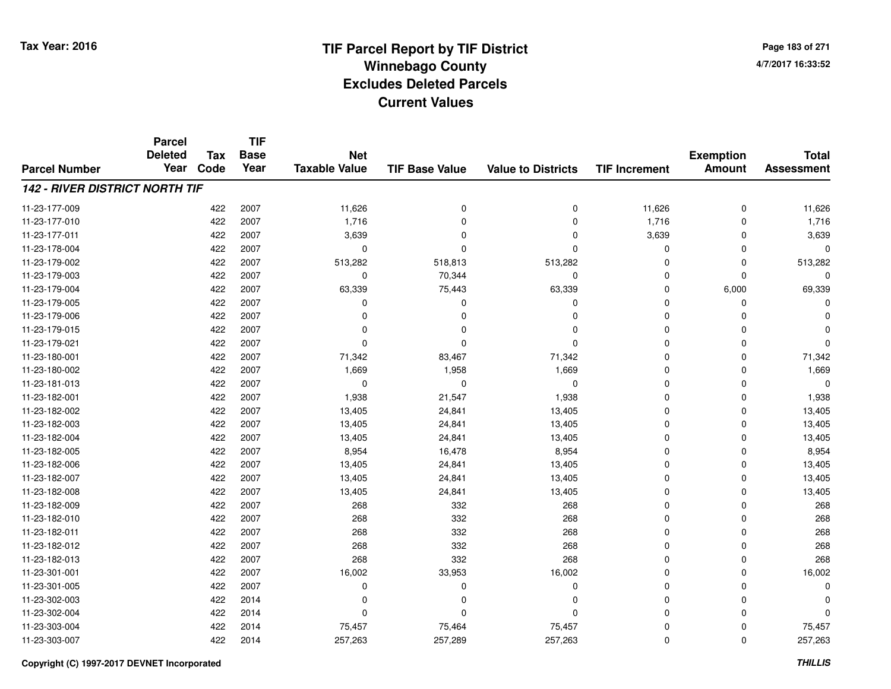**Page 183 of 2714/7/2017 16:33:52**

#### **TIF Base ValueParcel NumberTotal AssessmentExemption Amount Value to Districts TIF IncrementTIF Base YearTax CodeParcel Deleted YearNet Taxable Value142 - RIVER DISTRICT NORTH TIF**11-23-177-0099 422 2007 11,626 0 0 11,626 0 11,626 11-23-177-0100 1,716 1,716 1,716 0 0 1,716 0 0 1,716 0 1,716 0 1,716 11-23-177-0111 422 2007 3,639 0 3,639 0 3,639 11-23-178-004 <sup>422</sup> <sup>0</sup> <sup>2007</sup> <sup>0</sup> <sup>0</sup> <sup>0</sup> <sup>0</sup> <sup>0</sup> 11-23-179-002 <sup>422</sup> 513,282 <sup>2007</sup> 518,813 513,282 <sup>0</sup> <sup>0</sup> 513,282 11-23-179-0033 and  $422$  2007 cm  $10$  2007 cm  $10^{344}$  cm  $10^{10}$  cm  $10^{10}$  cm  $10^{10}$  cm  $10^{10}$  cm  $10^{10}$  cm  $10^{10}$  cm  $10^{10}$  cm  $10^{10}$  cm  $10^{10}$  cm  $10^{10}$  cm  $10^{10}$  cm  $10^{10}$  cm  $10^{10}$  cm  $10^{10}$  cm  $10^{10}$ 11-23-179-004 <sup>422</sup> 63,339 <sup>2007</sup> 75,443 63,339 <sup>0</sup> 6,000 69,339 11-23-179-005 <sup>422</sup> <sup>0</sup> <sup>2007</sup> <sup>0</sup> <sup>0</sup> <sup>0</sup> <sup>0</sup> <sup>0</sup> 11-23-179-006 <sup>422</sup> <sup>0</sup> <sup>2007</sup> <sup>0</sup> <sup>0</sup> <sup>0</sup> <sup>0</sup> <sup>0</sup> 11-23-179-015 <sup>422</sup> <sup>0</sup> <sup>2007</sup> <sup>0</sup> <sup>0</sup> <sup>0</sup> <sup>0</sup> <sup>0</sup> 11-23-179-021 <sup>422</sup> <sup>0</sup> <sup>2007</sup> <sup>0</sup> <sup>0</sup> <sup>0</sup> <sup>0</sup> <sup>0</sup> 11-23-180-0011 422 2007 71,342 83,467 71,342 0 0 71,342 11-23-180-002 <sup>422</sup> 1,669 <sup>2007</sup> 1,958 1,669 <sup>0</sup> <sup>0</sup> 1,669 11-23-181-013 <sup>422</sup> <sup>0</sup> <sup>2007</sup> <sup>0</sup> <sup>0</sup> <sup>0</sup> <sup>0</sup> <sup>0</sup> 11-23-182-0011 422 2007 1,938 21,547 1,938 0 0 1,938 11-23-182-002 <sup>422</sup> 13,405 <sup>2007</sup> 24,841 13,405 <sup>0</sup> <sup>0</sup> 13,405 11-23-182-0033 422 2007 13,405 24,841 13,405 0 0 13,405 11-23-182-004422 2007 13,405 24,841 13,405 13,405 0 0 0 13,405 11-23-182-005 <sup>422</sup> 8,954 <sup>2007</sup> 16,478 8,954 <sup>0</sup> <sup>0</sup> 8,954 11-23-182-0066 422 2007 13,405 24,841 13,405 0 0 13,405 11-23-182-007 <sup>422</sup> 13,405 <sup>2007</sup> 24,841 13,405 <sup>0</sup> <sup>0</sup> 13,405 11-23-182-0088 422 2007 13,405 24,841 13,405 0 0 13,405 11-23-182-0099 422 2007 268 332 268 0 0 268 11-23-182-0100 422 2007 268 332 268 0 0 268 11-23-182-0111 422 2007 268 332 268 0 0 268 11-23-182-012 <sup>422</sup> <sup>268</sup> <sup>2007</sup> <sup>332</sup> <sup>268</sup> <sup>0</sup> <sup>0</sup> <sup>268</sup> 11-23-182-0133 422 2007 268 332 268 0 0 268 11-23-301-0011 422 2007 16,002 33,953 16,002 0 0 16,002 11-23-301-005 <sup>422</sup> <sup>0</sup> <sup>2007</sup> <sup>0</sup> <sup>0</sup> <sup>0</sup> <sup>0</sup> <sup>0</sup> 11-23-302-003 <sup>422</sup> <sup>0</sup> <sup>2014</sup> <sup>0</sup> <sup>0</sup> <sup>0</sup> <sup>0</sup> <sup>0</sup> 11-23-302-004 <sup>422</sup> <sup>0</sup> <sup>2014</sup> <sup>0</sup> <sup>0</sup> <sup>0</sup> <sup>0</sup> <sup>0</sup> 11-23-303-004422 2014 75,457 75,464 75,457 75,457 75,457 0 0 75,457 11-23-303-007<sup>422</sup> 257,263 <sup>2014</sup> 257,289 257,263 <sup>0</sup> <sup>0</sup> 257,263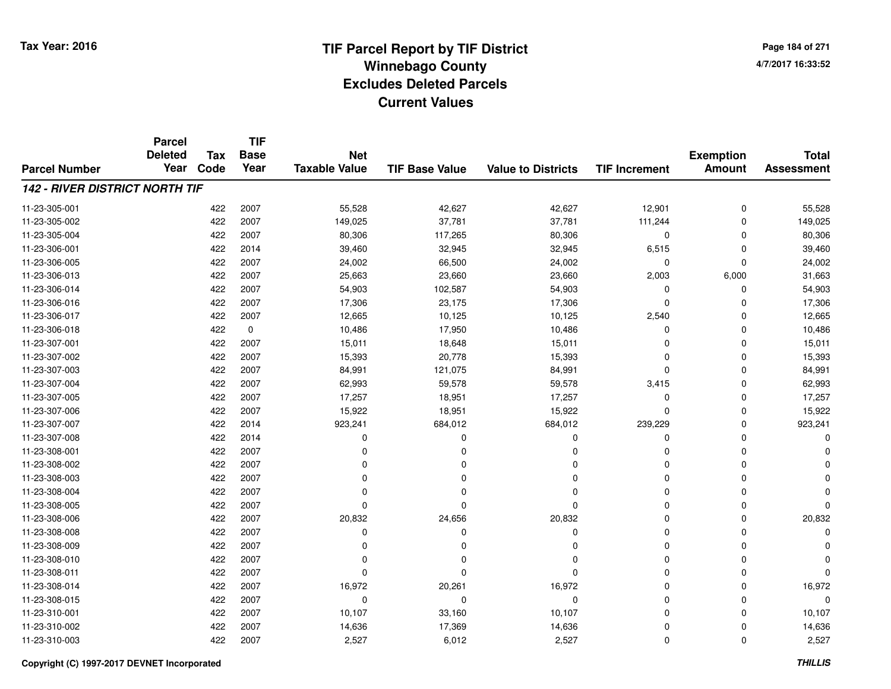**TIF**

**Parcel**

**Page 184 of 2714/7/2017 16:33:52**

#### **TIF Base ValueParcel NumberTotal AssessmentExemption Amount Value to Districts TIF Increment Base YearTax Code Deleted YearNet Taxable Value142 - RIVER DISTRICT NORTH TIF**11-23-305-0011 422 2007 55,528 42,627 42,627 12,901 0 55,528 11-23-305-0022 2007 149,025 37,781 37,781 37,781 37,781 37,781 37,181 37,181 37,181 37,181 37,181 37,181 37,781 37,781 37,18 11-23-305-004 <sup>422</sup> 80,306 <sup>2007</sup> 117,265 80,306 <sup>0</sup> <sup>0</sup> 80,306 11-23-306-0011 422 2014 39,460 32,945 32,945 6,515 0 39,460 11-23-306-005 <sup>422</sup> 24,002 <sup>2007</sup> 66,500 24,002 <sup>0</sup> <sup>0</sup> 24,002 11-23-306-0133 422 2007 25,663 23,660 23,660 2,003 6,000 31,663 11-23-306-014422 2007 54,903 102,587 54,903 54,903 0 0 0 54,903 11-23-306-016 <sup>422</sup> 17,306 <sup>2007</sup> 23,175 17,306 <sup>0</sup> <sup>0</sup> 17,306 11-23-306-017 <sup>422</sup> 12,665 <sup>2007</sup> 10,125 10,125 2,540 <sup>0</sup> 12,665 11-23-306-0188 422 0 10,486 17,950 10,486 0 0 10,486 11-23-307-0011 422 2007 15,011 18,648 15,011 0 0 15,011 11-23-307-0022 2 2007 15,393 20,778 15,393 20,778 15,393 0 0 0 15,393 11-23-307-0033 422 2007 84,991 121,075 84,991 0 0 84,991 11-23-307-004 <sup>422</sup> 62,993 <sup>2007</sup> 59,578 59,578 3,415 <sup>0</sup> 62,993 11-23-307-0055 422 2007 17,257 18,951 17,257 0 0 17,257 11-23-307-0066 422 2007 15,922 18,951 15,922 0 0 15,922 11-23-307-0077 422 2014 923,241 684,012 684,012 239,229 0 923,241 11-23-307-008 <sup>422</sup> <sup>0</sup> <sup>2014</sup> <sup>0</sup> <sup>0</sup> <sup>0</sup> <sup>0</sup> <sup>0</sup> 11-23-308-001 <sup>422</sup> <sup>0</sup> <sup>2007</sup> <sup>0</sup> <sup>0</sup> <sup>0</sup> <sup>0</sup> <sup>0</sup> 11-23-308-002 <sup>422</sup> <sup>0</sup> <sup>2007</sup> <sup>0</sup> <sup>0</sup> <sup>0</sup> <sup>0</sup> <sup>0</sup> 11-23-308-003 <sup>422</sup> <sup>0</sup> <sup>2007</sup> <sup>0</sup> <sup>0</sup> <sup>0</sup> <sup>0</sup> <sup>0</sup> 11-23-308-004 <sup>422</sup> <sup>0</sup> <sup>2007</sup> <sup>0</sup> <sup>0</sup> <sup>0</sup> <sup>0</sup> <sup>0</sup> 11-23-308-005 <sup>422</sup> <sup>0</sup> <sup>2007</sup> <sup>0</sup> <sup>0</sup> <sup>0</sup> <sup>0</sup> <sup>0</sup> 11-23-308-006 <sup>422</sup> 20,832 <sup>2007</sup> 24,656 20,832 <sup>0</sup> <sup>0</sup> 20,832 11-23-308-008 <sup>422</sup> <sup>0</sup> <sup>2007</sup> <sup>0</sup> <sup>0</sup> <sup>0</sup> <sup>0</sup> <sup>0</sup> 11-23-308-009 <sup>422</sup> <sup>0</sup> <sup>2007</sup> <sup>0</sup> <sup>0</sup> <sup>0</sup> <sup>0</sup> <sup>0</sup> 11-23-308-010 <sup>422</sup> <sup>0</sup> <sup>2007</sup> <sup>0</sup> <sup>0</sup> <sup>0</sup> <sup>0</sup> <sup>0</sup> 11-23-308-011 <sup>422</sup> <sup>0</sup> <sup>2007</sup> <sup>0</sup> <sup>0</sup> <sup>0</sup> <sup>0</sup> <sup>0</sup> 11-23-308-014422 2007 16,972 20,261 16,972 16,972 20,261 16,972 0 0 0 16,972 11-23-308-015 <sup>422</sup> <sup>0</sup> <sup>2007</sup> <sup>0</sup> <sup>0</sup> <sup>0</sup> <sup>0</sup> <sup>0</sup> 11-23-310-0011 422 2007 10,107 33,160 10,107 0 0 10,107 11-23-310-0022 422 2007 14,636 17,369 14,636 0 0 14,636 11-23-310-0033 2007 2,527 6,012 2,527 6,012 2,527 0 0 0 2,527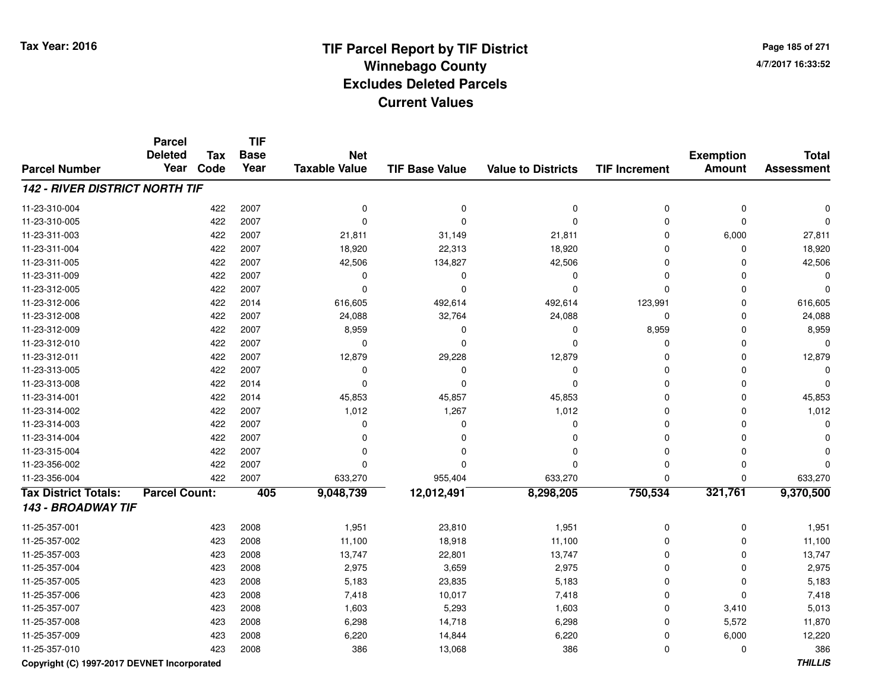**Page 185 of 2714/7/2017 16:33:52**

#### **TIF Base ValueParcel NumberTotal AssessmentExemption Amount Value to Districts TIF IncrementTIF Base YearTax CodeParcel Deleted YearNet Taxable Value142 - RIVER DISTRICT NORTH TIF**11-23-310-004 <sup>422</sup> <sup>0</sup> <sup>2007</sup> <sup>0</sup> <sup>0</sup> <sup>0</sup> <sup>0</sup> <sup>0</sup> 11-23-310-005 <sup>422</sup> <sup>0</sup> <sup>2007</sup> <sup>0</sup> <sup>0</sup> <sup>0</sup> <sup>0</sup> <sup>0</sup> 11-23-311-0033 422 2007 21,811 31,149 21,811 0 6,000 27,811 11-23-311-004422 2007 18,920 22,313 18,920 19 20,313 18,920 18,920 0 0 18,920 11-23-311-005 <sup>422</sup> 42,506 <sup>2007</sup> 134,827 42,506 <sup>0</sup> <sup>0</sup> 42,506 11-23-311-009 <sup>422</sup> <sup>0</sup> <sup>2007</sup> <sup>0</sup> <sup>0</sup> <sup>0</sup> <sup>0</sup> <sup>0</sup> 11-23-312-005 <sup>422</sup> <sup>0</sup> <sup>2007</sup> <sup>0</sup> <sup>0</sup> <sup>0</sup> <sup>0</sup> <sup>0</sup> 11-23-312-0066 422 2014 616,605 492,614 492,614 123,991 0 616,605 11-23-312-0088 422 2007 24,088 32,764 24,088 0 0 24,088 11-23-312-009 <sup>422</sup> 8,959 <sup>2007</sup> <sup>0</sup> <sup>0</sup> 8,959 <sup>0</sup> 8,959 11-23-312-010 <sup>422</sup> <sup>0</sup> <sup>2007</sup> <sup>0</sup> <sup>0</sup> <sup>0</sup> <sup>0</sup> <sup>0</sup> 11-23-312-0111 422 2007 12,879 29,228 12,879 0 0 12,879 11-23-313-005 <sup>422</sup> <sup>0</sup> <sup>2007</sup> <sup>0</sup> <sup>0</sup> <sup>0</sup> <sup>0</sup> <sup>0</sup> 11-23-313-008 <sup>422</sup> <sup>0</sup> <sup>2014</sup> <sup>0</sup> <sup>0</sup> <sup>0</sup> <sup>0</sup> <sup>0</sup> 11-23-314-0011 422 2014 45,853 45,857 45,853 0 0 45,853 11-23-314-0022 2 2007 1,012 1,267 1,012 1,012 0 0 0 1,012 11-23-314-003 <sup>422</sup> <sup>0</sup> <sup>2007</sup> <sup>0</sup> <sup>0</sup> <sup>0</sup> <sup>0</sup> <sup>0</sup> 11-23-314-004 <sup>422</sup> <sup>0</sup> <sup>2007</sup> <sup>0</sup> <sup>0</sup> <sup>0</sup> <sup>0</sup> <sup>0</sup> 11-23-315-004 <sup>422</sup> <sup>0</sup> <sup>2007</sup> <sup>0</sup> <sup>0</sup> <sup>0</sup> <sup>0</sup> <sup>0</sup> 11-23-356-002 <sup>422</sup> <sup>0</sup> <sup>2007</sup> <sup>0</sup> <sup>0</sup> <sup>0</sup> <sup>0</sup> <sup>0</sup> 11-23-356-004 <sup>422</sup> 633,270 <sup>2007</sup> 955,404 633,270 <sup>0</sup> <sup>0</sup> 633,270 **Tax District Totals: Parcel Count: <sup>405</sup> 9,048,739 12,012,491 8,298,205 750,534 321,761 9,370,500 143 - BROADWAY TIF**11-25-357-0011 423 2008 1,951 23,810 1,951 0 0 1,951 11-25-357-002 <sup>423</sup> 11,100 <sup>2008</sup> 18,918 11,100 <sup>0</sup> <sup>0</sup> 11,100 11-25-357-003 <sup>423</sup> 13,747 <sup>2008</sup> 22,801 13,747 <sup>0</sup> <sup>0</sup> 13,747 11-25-357-0044 423 2008 2,975 3,659 2,975 0 0 2,975 11-25-357-005 <sup>423</sup> 5,183 <sup>2008</sup> 23,835 5,183 <sup>0</sup> <sup>0</sup> 5,183 11-25-357-006 <sup>423</sup> 7,418 <sup>2008</sup> 10,017 7,418 <sup>0</sup> <sup>0</sup> 7,418 11-25-357-0077 423 2008 1,603 5,293 1,603 0 3,410 5,013 11-25-357-008 <sup>423</sup> 6,298 <sup>2008</sup> 14,718 6,298 <sup>0</sup> 5,572 11,870 11-25-357-0099 423 2008 6,220 14,844 6,220 0 6,000 12,220 11-25-357-0100 423 2008 386 13,068 386 0 0 386

**Copyright (C) 1997-2017 DEVNET Incorporated**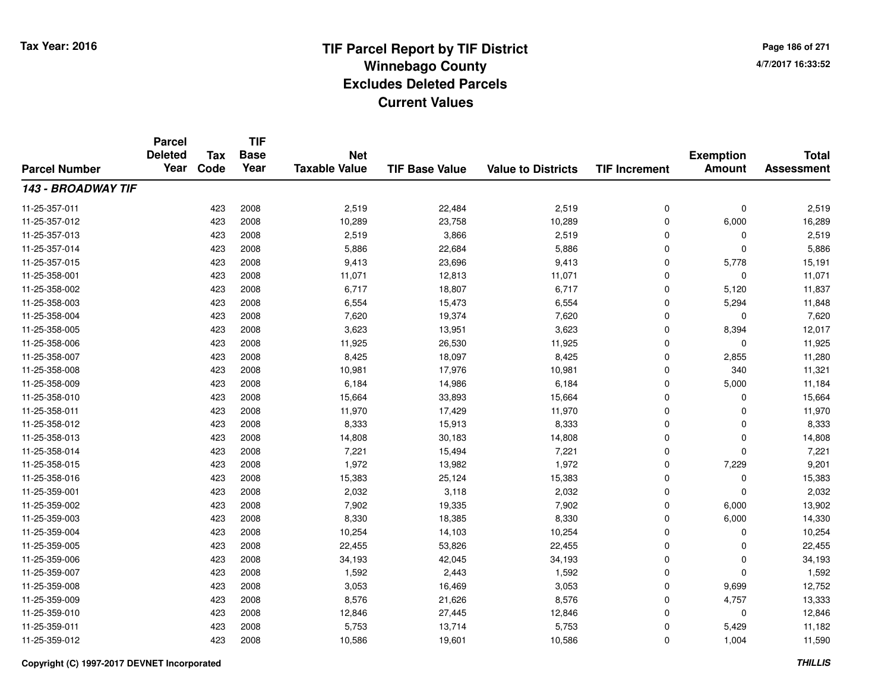**TIF**

**Parcel**

**Page 186 of 2714/7/2017 16:33:52**

#### **TIF Base ValueParcel NumberTotal AssessmentExemption Amount Value to Districts TIF Increment Base YearTax Code Deleted YearNet Taxable Value143 - BROADWAY TIF**11-25-357-0111 423 2008 2,519 22,484 2,519 0 0 2,519 11-25-357-0122 2 423 2008 10,289 23,758 10,289 0 6,000 16,289 11-25-357-013 $3$  2008 2,519 2,519 3,866 2,519 2,519 2,519 2,519 2,519 2,519 0 2,519 11-25-357-014423 5,886 22,684 5,886 5,886 5,886 5,886 5,886 5,886 5,886 5 6,886 5,886 5,886 5,886 5,886 5,886 5,886 5,886 5,886 5,886 5,886 5,886 5,886 5,886 5,886 5,886 5,886 5,886 5,886 5,886 5,886 5,886 5,886 5,886 5,886 5,886 5,886 11-25-357-015 <sup>423</sup> 9,413 <sup>2008</sup> 23,696 9,413 <sup>0</sup> 5,778 15,191 11-25-358-0011 423 2008 11,071 12,813 11,071 0 0 11,071 11-25-358-002 <sup>423</sup> 6,717 <sup>2008</sup> 18,807 6,717 <sup>0</sup> 5,120 11,837 11-25-358-0033 423 2008 6,554 15,473 6,554 0 5,294 11,848 11-25-358-004 <sup>423</sup> 7,620 <sup>2008</sup> 19,374 7,620 <sup>0</sup> <sup>0</sup> 7,620 11-25-358-005 <sup>423</sup> 3,623 <sup>2008</sup> 13,951 3,623 <sup>0</sup> 8,394 12,017 11-25-358-0066 423 2008 11,925 26,530 11,925 0 0 11,925 11-25-358-007 <sup>423</sup> 8,425 <sup>2008</sup> 18,097 8,425 <sup>0</sup> 2,855 11,280 11-25-358-008 <sup>423</sup> 10,981 <sup>2008</sup> 17,976 10,981 <sup>0</sup> <sup>340</sup> 11,321 11-25-358-0099 423 2008 6,184 14,986 6,184 0 5,000 11,184 11-25-358-0100 423 2008 15,664 33,893 15,664 0 0 15,664 11-25-358-0111 423 2008 11,970 17,429 11,970 0 0 11,970 11-25-358-012 <sup>423</sup> 8,333 <sup>2008</sup> 15,913 8,333 <sup>0</sup> <sup>0</sup> 8,333 11-25-358-0133 423 2008 14,808 30,183 14,808 0 0 14,808 11-25-358-014 <sup>423</sup> 7,221 <sup>2008</sup> 15,494 7,221 <sup>0</sup> <sup>0</sup> 7,221 11-25-358-015 <sup>423</sup> 1,972 <sup>2008</sup> 13,982 1,972 <sup>0</sup> 7,229 9,201 11-25-358-0166 423 2008 15,383 25,124 15,383 0 0 15,383 11-25-359-0011 423 2008 2,032 3,118 2,032 0 0 2,032 11-25-359-002 <sup>423</sup> 7,902 <sup>2008</sup> 19,335 7,902 <sup>0</sup> 6,000 13,902 11-25-359-0033 423 2008 8,330 18,385 8,330 0 6,000 14,330 11-25-359-004 <sup>423</sup> 10,254 <sup>2008</sup> 14,103 10,254 <sup>0</sup> <sup>0</sup> 10,254 11-25-359-005 <sup>423</sup> 22,455 <sup>2008</sup> 53,826 22,455 <sup>0</sup> <sup>0</sup> 22,455 11-25-359-006 <sup>423</sup> 34,193 <sup>2008</sup> 42,045 34,193 <sup>0</sup> <sup>0</sup> 34,193 11-25-359-0077 423 2008 1,592 2,443 1,592 0 0 1,592 11-25-359-0088 423 2008 3,053 16,469 3,053 0 9,699 12,752 11-25-359-009 <sup>423</sup> 8,576 <sup>2008</sup> 21,626 8,576 <sup>0</sup> 4,757 13,333 11-25-359-0100 423 2008 12,846 27,445 12,846 0 0 12,846 11-25-359-0111 423 2008 5,753 13,714 5,753 0 5,429 11,182 11-25-359-0122 423 2008 10,586 19,601 10,586 0 1,004 11,590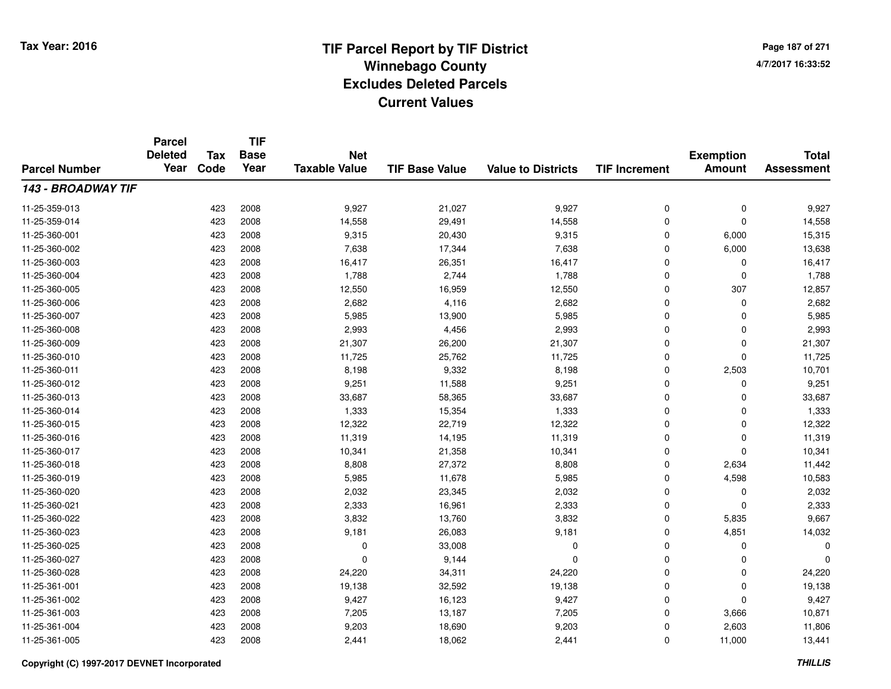**Page 187 of 2714/7/2017 16:33:52**

| <b>Parcel Number</b> | <b>Parcel</b><br><b>Deleted</b><br>Year | <b>Tax</b> | <b>TIF</b><br><b>Base</b> | <b>Net</b>           |                       | <b>Value to Districts</b> |                      | <b>Exemption</b><br><b>Amount</b> | <b>Total</b><br><b>Assessment</b> |
|----------------------|-----------------------------------------|------------|---------------------------|----------------------|-----------------------|---------------------------|----------------------|-----------------------------------|-----------------------------------|
|                      |                                         | Code       | Year                      | <b>Taxable Value</b> | <b>TIF Base Value</b> |                           | <b>TIF Increment</b> |                                   |                                   |
| 143 - BROADWAY TIF   |                                         |            |                           |                      |                       |                           |                      |                                   |                                   |
| 11-25-359-013        |                                         | 423        | 2008                      | 9,927                | 21,027                | 9,927                     | 0                    | $\mathbf 0$                       | 9,927                             |
| 11-25-359-014        |                                         | 423        | 2008                      | 14,558               | 29,491                | 14,558                    | 0                    | $\mathbf 0$                       | 14,558                            |
| 11-25-360-001        |                                         | 423        | 2008                      | 9,315                | 20,430                | 9,315                     | 0                    | 6,000                             | 15,315                            |
| 11-25-360-002        |                                         | 423        | 2008                      | 7,638                | 17,344                | 7,638                     | 0                    | 6,000                             | 13,638                            |
| 11-25-360-003        |                                         | 423        | 2008                      | 16,417               | 26,351                | 16,417                    | $\mathbf 0$          | 0                                 | 16,417                            |
| 11-25-360-004        |                                         | 423        | 2008                      | 1,788                | 2,744                 | 1,788                     | 0                    | 0                                 | 1,788                             |
| 11-25-360-005        |                                         | 423        | 2008                      | 12,550               | 16,959                | 12,550                    | 0                    | 307                               | 12,857                            |
| 11-25-360-006        |                                         | 423        | 2008                      | 2,682                | 4,116                 | 2,682                     | 0                    | 0                                 | 2,682                             |
| 11-25-360-007        |                                         | 423        | 2008                      | 5,985                | 13,900                | 5,985                     | 0                    | $\Omega$                          | 5,985                             |
| 11-25-360-008        |                                         | 423        | 2008                      | 2,993                | 4,456                 | 2,993                     | 0                    | $\Omega$                          | 2,993                             |
| 11-25-360-009        |                                         | 423        | 2008                      | 21,307               | 26,200                | 21,307                    | $\mathbf 0$          | $\Omega$                          | 21,307                            |
| 11-25-360-010        |                                         | 423        | 2008                      | 11,725               | 25,762                | 11,725                    | 0                    | $\mathbf 0$                       | 11,725                            |
| 11-25-360-011        |                                         | 423        | 2008                      | 8,198                | 9,332                 | 8,198                     | 0                    | 2,503                             | 10,701                            |
| 11-25-360-012        |                                         | 423        | 2008                      | 9,251                | 11,588                | 9,251                     | 0                    | 0                                 | 9,251                             |
| 11-25-360-013        |                                         | 423        | 2008                      | 33,687               | 58,365                | 33,687                    | $\mathbf 0$          | $\Omega$                          | 33,687                            |
| 11-25-360-014        |                                         | 423        | 2008                      | 1,333                | 15,354                | 1,333                     | 0                    | 0                                 | 1,333                             |
| 11-25-360-015        |                                         | 423        | 2008                      | 12,322               | 22,719                | 12,322                    | $\mathbf 0$          | $\Omega$                          | 12,322                            |
| 11-25-360-016        |                                         | 423        | 2008                      | 11,319               | 14,195                | 11,319                    | 0                    | $\mathbf 0$                       | 11,319                            |
| 11-25-360-017        |                                         | 423        | 2008                      | 10,341               | 21,358                | 10,341                    | 0                    | $\mathbf 0$                       | 10,341                            |
| 11-25-360-018        |                                         | 423        | 2008                      | 8,808                | 27,372                | 8,808                     | 0                    | 2,634                             | 11,442                            |
| 11-25-360-019        |                                         | 423        | 2008                      | 5,985                | 11,678                | 5,985                     | 0                    | 4,598                             | 10,583                            |
| 11-25-360-020        |                                         | 423        | 2008                      | 2,032                | 23,345                | 2,032                     | 0                    | 0                                 | 2,032                             |
| 11-25-360-021        |                                         | 423        | 2008                      | 2,333                | 16,961                | 2,333                     | 0                    | $\mathbf 0$                       | 2,333                             |
| 11-25-360-022        |                                         | 423        | 2008                      | 3,832                | 13,760                | 3,832                     | 0                    | 5,835                             | 9,667                             |
| 11-25-360-023        |                                         | 423        | 2008                      | 9,181                | 26,083                | 9,181                     | 0                    | 4,851                             | 14,032                            |
| 11-25-360-025        |                                         | 423        | 2008                      | 0                    | 33,008                | 0                         | 0                    | 0                                 | 0                                 |
| 11-25-360-027        |                                         | 423        | 2008                      | $\mathbf 0$          | 9,144                 | $\Omega$                  | 0                    | $\mathbf 0$                       | $\Omega$                          |
| 11-25-360-028        |                                         | 423        | 2008                      | 24,220               | 34,311                | 24,220                    | 0                    | 0                                 | 24,220                            |
| 11-25-361-001        |                                         | 423        | 2008                      | 19,138               | 32,592                | 19,138                    | 0                    | 0                                 | 19,138                            |
| 11-25-361-002        |                                         | 423        | 2008                      | 9,427                | 16,123                | 9,427                     | 0                    | $\Omega$                          | 9,427                             |
| 11-25-361-003        |                                         | 423        | 2008                      | 7,205                | 13,187                | 7,205                     | $\mathbf 0$          | 3,666                             | 10,871                            |
| 11-25-361-004        |                                         | 423        | 2008                      | 9,203                | 18,690                | 9,203                     | 0                    | 2,603                             | 11,806                            |
| 11-25-361-005        |                                         | 423        | 2008                      | 2,441                | 18,062                | 2,441                     | 0                    | 11,000                            | 13,441                            |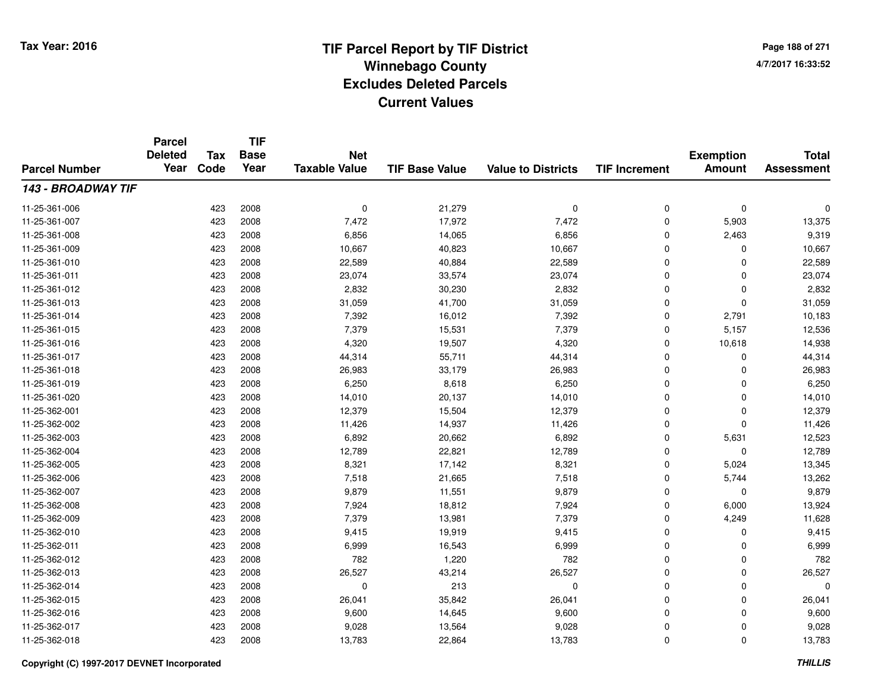**TIF**

**Parcel**

**Page 188 of 2714/7/2017 16:33:52**

#### **TIF Base ValueParcel NumberTotal AssessmentExemption Amount Value to Districts TIF Increment Base YearTax Code Deleted YearNet Taxable Value143 - BROADWAY TIF**11-25-361-006 <sup>423</sup> <sup>0</sup> <sup>2008</sup> 21,279 <sup>0</sup> <sup>0</sup> <sup>0</sup> <sup>0</sup> 11-25-361-007 <sup>423</sup> 7,472 <sup>2008</sup> 17,972 7,472 <sup>0</sup> 5,903 13,375 11-25-361-0088 423 2008 6,856 14,065 6,856 0 2,463 9,319 11-25-361-0099 423 2008 10,667 40,823 10,667 0 0 10,667 11-25-361-0100 423 2008 22,589 40,884 22,589 0 0 22,589 11-25-361-0111 423 2008 23,074 33,574 23,074 0 0 23,074 11-25-361-0122 2 423 2008 2,832 30,230 2,832 0 0 2,832 11-25-361-0133 423 2008 31,059 41,700 31,059 0 0 31,059 11-25-361-0144 423 2008 7,392 16,012 7,392 0 2,791 10,183 11-25-361-015 <sup>423</sup> 7,379 <sup>2008</sup> 15,531 7,379 <sup>0</sup> 5,157 12,536 11-25-361-0166 423 2008 4,320 19,507 4,320 0 10,618 14,938 11-25-361-017 <sup>423</sup> 44,314 <sup>2008</sup> 55,711 44,314 <sup>0</sup> <sup>0</sup> 44,314 11-25-361-018 <sup>423</sup> 26,983 <sup>2008</sup> 33,179 26,983 <sup>0</sup> <sup>0</sup> 26,983 11-25-361-0199 423 2008 6,250 8,618 6,250 0 6,250 11-25-361-0200 423 2008 14,010 20,137 14,010 0 0 14,010 11-25-362-0011 423 2008 12,379 15,504 12,379 0 0 12,379 11-25-362-0022 423 2008 11,426 14,937 11,426 0 0 11,426 11-25-362-0033 423 2008 6,892 20,662 6,892 0 5,631 12,523 11-25-362-004423 2008 12,789 22,821 12,789 22,821 12,789 0 0 0 12,789 11-25-362-005 <sup>423</sup> 8,321 <sup>2008</sup> 17,142 8,321 <sup>0</sup> 5,024 13,345 11-25-362-0066 423 2008 7,518 21,665 7,518 0 5,744 13,262 11-25-362-007 <sup>423</sup> 9,879 <sup>2008</sup> 11,551 9,879 <sup>0</sup> <sup>0</sup> 9,879 11-25-362-0088 423 2008 7,924 18,812 7,924 0 6,000 13,924 11-25-362-0099 423 2008 7,379 13,981 7,379 0 4,249 11,628 11-25-362-0100 423 2008 9,415 19,919 9,415 0 0 9,415 11-25-362-0111 423 2008 6,999 16,543 6,999 0 0 6,999 11-25-362-012 <sup>423</sup> <sup>782</sup> <sup>2008</sup> 1,220 <sup>782</sup> <sup>0</sup> <sup>0</sup> <sup>782</sup> 11-25-362-0133 423 2008 26,527 43,214 26,527 0 0 26,527 11-25-362-014 <sup>423</sup> <sup>0</sup> <sup>2008</sup> <sup>213</sup> <sup>0</sup> <sup>0</sup> <sup>0</sup> <sup>0</sup> 11-25-362-015 <sup>423</sup> 26,041 <sup>2008</sup> 35,842 26,041 <sup>0</sup> <sup>0</sup> 26,041 11-25-362-016 <sup>423</sup> 9,600 <sup>2008</sup> 14,645 9,600 <sup>0</sup> <sup>0</sup> 9,600 11-25-362-017 <sup>423</sup> 9,028 <sup>2008</sup> 13,564 9,028 <sup>0</sup> <sup>0</sup> 9,028 11-25-362-018<sup>423</sup> 13,783 <sup>2008</sup> 22,864 13,783 <sup>0</sup> <sup>0</sup> 13,783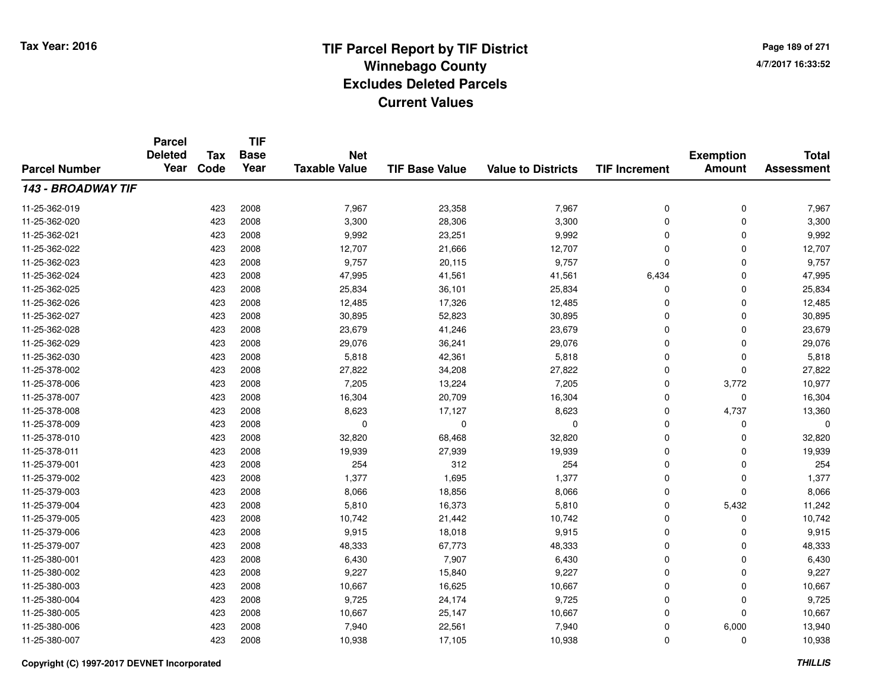**TIF**

**Parcel**

**Page 189 of 2714/7/2017 16:33:52**

#### **TIF Base ValueParcel NumberTotal AssessmentExemption Amount Value to Districts TIF Increment Base YearTax Code Deleted YearNet Taxable Value143 - BROADWAY TIF**11-25-362-0199 423 2008 7,967 23,358 7,967 0 0 7,967 11-25-362-0200 28,300 2008 28,300 28,306 3,300 3,300 0 0 3,300 0 3,300 0 3,300 0 3,300 0 3,300 0  $\sigma$ 11-25-362-0211 423 2008 9,992 23,251 9,992 0 0 9,992 11-25-362-0222 423 2008 12,707 21,666 12,707 0 0 12,707 11-25-362-023 $3$  2008 9,757 20,115 9,757 9,757 9,757 9,757 9,757 9,767 9,767 0 0 9,757 11-25-362-024423 2008 47,995 41,561 41,561 41,561 6,434 0 41,995 11-25-362-025 <sup>423</sup> 25,834 <sup>2008</sup> 36,101 25,834 <sup>0</sup> <sup>0</sup> 25,834 11-25-362-0266 423 2008 12,485 17,326 12,485 0 0 12,485 11-25-362-027 <sup>423</sup> 30,895 <sup>2008</sup> 52,823 30,895 <sup>0</sup> <sup>0</sup> 30,895 11-25-362-0288 423 2008 23,679 41,246 23,679 0 0 23,679 11-25-362-029 <sup>423</sup> 29,076 <sup>2008</sup> 36,241 29,076 <sup>0</sup> <sup>0</sup> 29,076 11-25-362-0300 423 2008 5,818 42,361 5,818 0 0 5,818 11-25-378-0022 2 423 2008 27,822 34,208 27,822 0 0 27,822 11-25-378-006 <sup>423</sup> 7,205 <sup>2008</sup> 13,224 7,205 <sup>0</sup> 3,772 10,977 11-25-378-007 <sup>423</sup> 16,304 <sup>2008</sup> 20,709 16,304 <sup>0</sup> <sup>0</sup> 16,304 11-25-378-0088 423 2008 8,623 17,127 8,623 0 4,737 13,360 11-25-378-009 <sup>423</sup> <sup>0</sup> <sup>2008</sup> <sup>0</sup> <sup>0</sup> <sup>0</sup> <sup>0</sup> <sup>0</sup> 11-25-378-0100 423 2008 32,820 68,468 32,820 0 0 32,820 11-25-378-0111 423 2008 19,939 27,939 19,939 0 0 19,939 11-25-379-0011 423 2008 254 312 254 0 0 254 11-25-379-0022 1,377 1,695 1,377 1,377 1,423 2008 1,377 1,595 1,377 1,377 1,377 1,377 1,377 1,377 1,377 1,377 1,377 1,377 1, 11-25-379-0033 423 2008 8,066 18,856 8,066 0 0 8,066 11-25-379-004 <sup>423</sup> 5,810 <sup>2008</sup> 16,373 5,810 <sup>0</sup> 5,432 11,242 11-25-379-005 <sup>423</sup> 10,742 <sup>2008</sup> 21,442 10,742 <sup>0</sup> <sup>0</sup> 10,742 11-25-379-0066 423 2008 9,915 18,018 9,915 0 0 9,915 11-25-379-007 <sup>423</sup> 48,333 <sup>2008</sup> 67,773 48,333 <sup>0</sup> <sup>0</sup> 48,333 11-25-380-0011 423 2008 6,430 7,907 6,430 0 0 6,430 11-25-380-0022 423 2008 9,227 15,840 9,227 0 0 9,227 11-25-380-0033 423 2008 10,667 16,625 10,667 0 0 10,667 11-25-380-004 <sup>423</sup> 9,725 <sup>2008</sup> 24,174 9,725 <sup>0</sup> <sup>0</sup> 9,725 11-25-380-005 <sup>423</sup> 10,667 <sup>2008</sup> 25,147 10,667 <sup>0</sup> <sup>0</sup> 10,667 11-25-380-006 <sup>423</sup> 7,940 <sup>2008</sup> 22,561 7,940 <sup>0</sup> 6,000 13,940 11-25-380-007<sup>423</sup> 10,938 <sup>2008</sup> 17,105 10,938 <sup>0</sup> <sup>0</sup> 10,938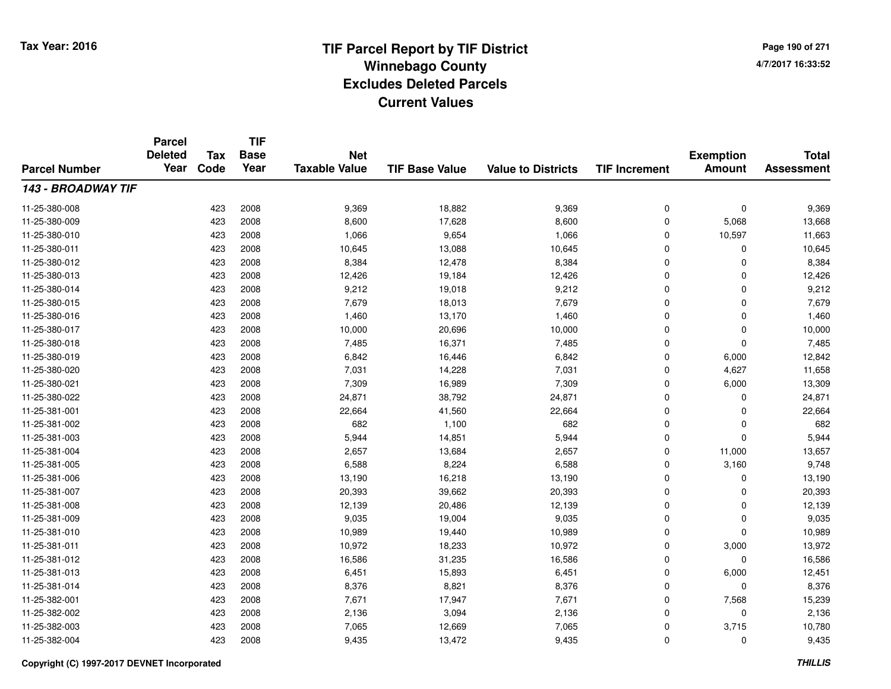**TIF**

**Parcel**

**Page 190 of 2714/7/2017 16:33:52**

#### **TIF Base ValueParcel NumberTotal AssessmentExemption Amount Value to Districts TIF Increment Base YearTax Code Deleted YearNet Taxable Value143 - BROADWAY TIF**11-25-380-008 <sup>423</sup> 9,369 <sup>2008</sup> 18,882 9,369 <sup>0</sup> <sup>0</sup> 9,369 11-25-380-0099 423 2008 8,600 17,628 8,600 0 5,068 13,668 11-25-380-0100 423 2008 1,066 9,654 1,066 0 10,597 11,663 11-25-380-0111 423 2008 10,645 13,088 10,645 0 0 10,645 11-25-380-0122 423 2008 8,384 12,478 8,384 0 0 8,384 11-25-380-0133 423 2008 12,426 19,184 12,426 0 0 12,426 11-25-380-014 <sup>423</sup> 9,212 <sup>2008</sup> 19,018 9,212 <sup>0</sup> <sup>0</sup> 9,212 11-25-380-0155 423 2008 7,679 18,013 7,679 0 7,679 11-25-380-016 <sup>423</sup> 1,460 <sup>2008</sup> 13,170 1,460 <sup>0</sup> <sup>0</sup> 1,460 11-25-380-017 <sup>423</sup> 10,000 <sup>2008</sup> 20,696 10,000 <sup>0</sup> <sup>0</sup> 10,000 11-25-380-0188 423 2008 7,485 16,371 7,485 0 0 7,485 11-25-380-0199 423 2008 6,842 16,446 6,842 0 6,000 12,842 11-25-380-0200 423 2008 7,031 14,228 7,031 0 4,627 11,658 11-25-380-0211 423 2008 7,309 16,989 7,309 0 6,000 13,309 11-25-380-0222 423 2008 24,871 38,792 24,871 0 0 24,871 11-25-381-0011 423 2008 22,664 41,560 22,664 0 0 22,664 11-25-381-0022 423 2008 682 1,100 682 0 0 682 11-25-381-003 $3$  6,944  $423$  2008 5,944 5,944 5,944 5,944 5,944 0 0 0 5,944 11-25-381-004 <sup>423</sup> 2,657 <sup>2008</sup> 13,684 2,657 <sup>0</sup> 11,000 13,657 11-25-381-005 <sup>423</sup> 6,588 <sup>2008</sup> 8,224 6,588 <sup>0</sup> 3,160 9,748 11-25-381-006 <sup>423</sup> 13,190 <sup>2008</sup> 16,218 13,190 <sup>0</sup> <sup>0</sup> 13,190 11-25-381-007 <sup>423</sup> 20,393 <sup>2008</sup> 39,662 20,393 <sup>0</sup> <sup>0</sup> 20,393 11-25-381-008 <sup>423</sup> 12,139 <sup>2008</sup> 20,486 12,139 <sup>0</sup> <sup>0</sup> 12,139 11-25-381-0099 423 2008 9,035 19,004 9,035 0 0 9,035 11-25-381-010 <sup>423</sup> 10,989 <sup>2008</sup> 19,440 10,989 <sup>0</sup> <sup>0</sup> 10,989 11-25-381-0111 423 2008 10,972 18,233 10,972 0 3,000 13,972 11-25-381-0122 423 2008 16,586 31,235 16,586 0 0 16,586 11-25-381-0133 423 2008 6,451 15,893 6,451 0 6,000 12,451 11-25-381-014 <sup>423</sup> 8,376 <sup>2008</sup> 8,821 8,376 <sup>0</sup> <sup>0</sup> 8,376 11-25-382-0011 423 2008 7,671 17,947 7,671 0 7,568 15,239 11-25-382-0022 423 2008 2,136 3,094 2,136 0 0 2,136 11-25-382-0033 423 2008 7,065 12,669 7,065 0 3,715 10,780 11-25-382-004<sup>423</sup> 9,435 <sup>2008</sup> 13,472 9,435 <sup>0</sup> <sup>0</sup> 9,435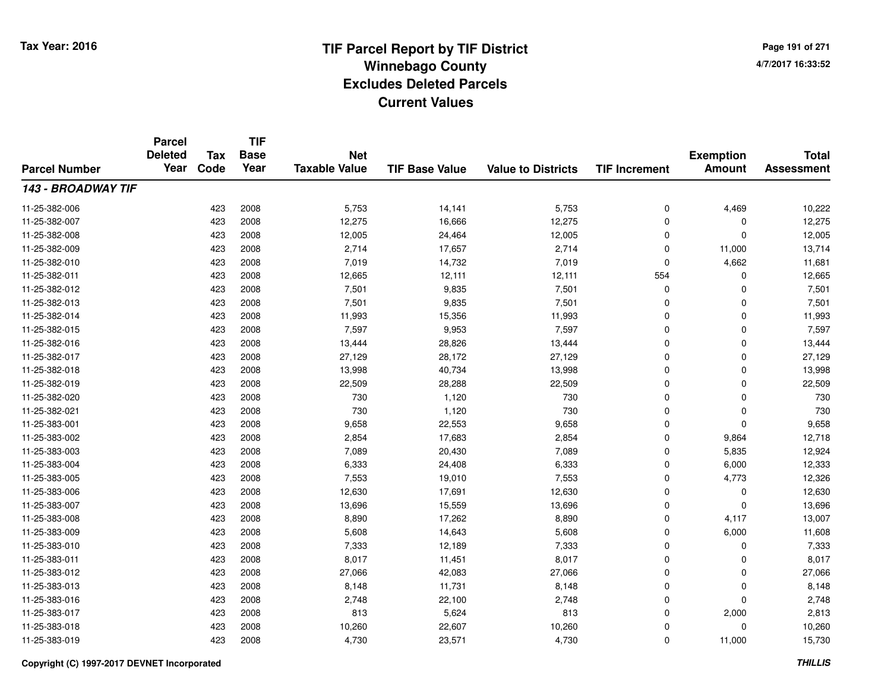**TIF**

**Parcel**

**Page 191 of 2714/7/2017 16:33:52**

#### **TIF Base ValueParcel NumberTotal AssessmentExemption Amount Value to Districts TIF Increment Base YearTax Code Deleted YearNet Taxable Value143 - BROADWAY TIF**11-25-382-006 <sup>423</sup> 5,753 <sup>2008</sup> 14,141 5,753 <sup>0</sup> 4,469 10,222 11-25-382-007 <sup>423</sup> 12,275 <sup>2008</sup> 16,666 12,275 <sup>0</sup> <sup>0</sup> 12,275 11-25-382-008 <sup>423</sup> 12,005 <sup>2008</sup> 24,464 12,005 <sup>0</sup> <sup>0</sup> 12,005 11-25-382-0099 423 2008 2,714 17,657 2,714 0 11,000 13,714 11-25-382-0100 423 2008 7,019 14,732 7,019 0 4,662 11,681 11-25-382-0111 423 2008 12,665 12,111 12,111 554 0 12,665 11-25-382-0122 423 2008 7,501 9,835 7,501 0 7,501 11-25-382-0133 423 2008 7,501 9,835 7,501 0 7,501 11-25-382-0144 423 2008 11,993 15,356 11,993 0 11,993 11-25-382-015 <sup>423</sup> 7,597 <sup>2008</sup> 9,953 7,597 <sup>0</sup> <sup>0</sup> 7,597 11-25-382-016 <sup>423</sup> 13,444 <sup>2008</sup> 28,826 13,444 <sup>0</sup> <sup>0</sup> 13,444 11-25-382-017 <sup>423</sup> 27,129 <sup>2008</sup> 28,172 27,129 <sup>0</sup> <sup>0</sup> 27,129 11-25-382-018 <sup>423</sup> 13,998 <sup>2008</sup> 40,734 13,998 <sup>0</sup> <sup>0</sup> 13,998 11-25-382-0199 423 2008 22,509 28,288 22,509 0 22,509 11-25-382-020 <sup>423</sup> <sup>730</sup> <sup>2008</sup> 1,120 <sup>730</sup> <sup>0</sup> <sup>0</sup> <sup>730</sup> 11-25-382-0211 423 2008 730 1,120 730 0 730 11-25-383-0011 423 2008 9,658 22,553 9,658 0 0 9,658 11-25-383-0022 423 2008 2,854 17,683 2,854 0 9,864 12,718 11-25-383-003 <sup>423</sup> 7,089 <sup>2008</sup> 20,430 7,089 <sup>0</sup> 5,835 12,924 11-25-383-004 <sup>423</sup> 6,333 <sup>2008</sup> 24,408 6,333 <sup>0</sup> 6,000 12,333 11-25-383-005 <sup>423</sup> 7,553 <sup>2008</sup> 19,010 7,553 <sup>0</sup> 4,773 12,326 11-25-383-006 <sup>423</sup> 12,630 <sup>2008</sup> 17,691 12,630 <sup>0</sup> <sup>0</sup> 12,630 11-25-383-007 <sup>423</sup> 13,696 <sup>2008</sup> 15,559 13,696 <sup>0</sup> <sup>0</sup> 13,696 11-25-383-0088 423 2008 8,890 17,262 8,890 0 4,117 13,007 11-25-383-0099 423 2008 5,608 14,643 5,608 0 6,000 11,608 11-25-383-0100 423 2008 7,333 12,189 7,333 0 0 7,333 11-25-383-0111 423 2008 8,017 11,451 8,017 0 0 8,017 11-25-383-0122 423 2008 27,066 42,083 27,066 0 0 27,066 11-25-383-0133 423 2008 8,148 11,731 8,148 0 0 8,148 11-25-383-016 <sup>423</sup> 2,748 <sup>2008</sup> 22,100 2,748 <sup>0</sup> <sup>0</sup> 2,748 11-25-383-0177 423 2008 813 5,624 813 0 2,000 2,813 11-25-383-018 <sup>423</sup> 10,260 <sup>2008</sup> 22,607 10,260 <sup>0</sup> <sup>0</sup> 10,260 11-25-383-019<sup>423</sup> 4,730 <sup>2008</sup> 23,571 4,730 <sup>0</sup> 11,000 15,730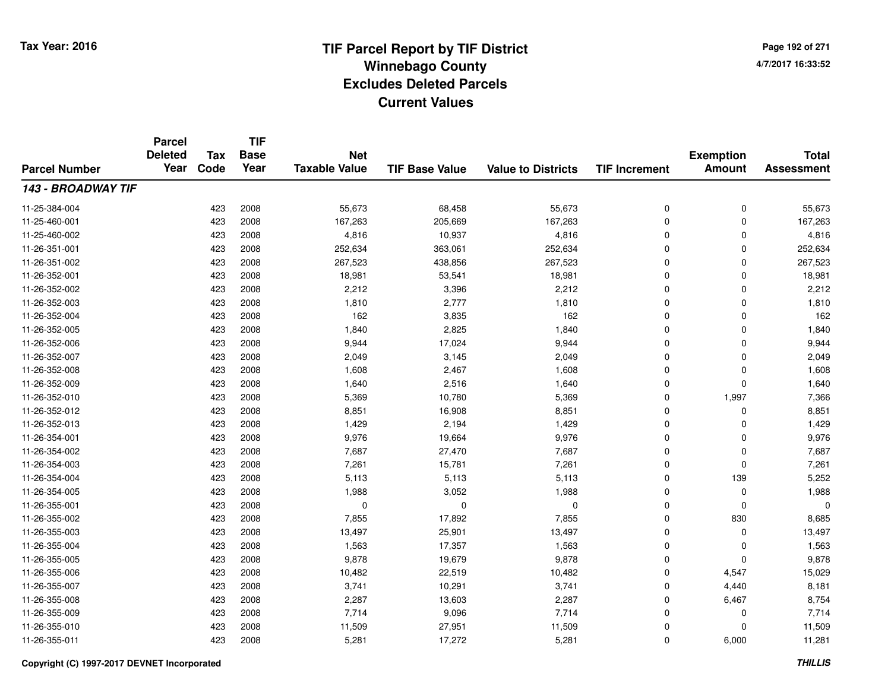**Page 192 of 2714/7/2017 16:33:52**

| <b>Parcel Number</b> | <b>Parcel</b><br><b>Deleted</b><br>Year | <b>Tax</b> | <b>TIF</b><br><b>Base</b> | <b>Net</b>           |                       |                           |                      | <b>Exemption</b> | <b>Total</b>      |
|----------------------|-----------------------------------------|------------|---------------------------|----------------------|-----------------------|---------------------------|----------------------|------------------|-------------------|
|                      |                                         | Code       | Year                      | <b>Taxable Value</b> | <b>TIF Base Value</b> | <b>Value to Districts</b> | <b>TIF Increment</b> | <b>Amount</b>    | <b>Assessment</b> |
| 143 - BROADWAY TIF   |                                         |            |                           |                      |                       |                           |                      |                  |                   |
| 11-25-384-004        |                                         | 423        | 2008                      | 55,673               | 68,458                | 55,673                    | 0                    | 0                | 55,673            |
| 11-25-460-001        |                                         | 423        | 2008                      | 167,263              | 205,669               | 167,263                   | 0                    | 0                | 167,263           |
| 11-25-460-002        |                                         | 423        | 2008                      | 4,816                | 10,937                | 4,816                     | 0                    | $\mathbf 0$      | 4,816             |
| 11-26-351-001        |                                         | 423        | 2008                      | 252,634              | 363,061               | 252,634                   | 0                    | 0                | 252,634           |
| 11-26-351-002        |                                         | 423        | 2008                      | 267,523              | 438,856               | 267,523                   | 0                    | $\mathbf 0$      | 267,523           |
| 11-26-352-001        |                                         | 423        | 2008                      | 18,981               | 53,541                | 18,981                    | 0                    | 0                | 18,981            |
| 11-26-352-002        |                                         | 423        | 2008                      | 2,212                | 3,396                 | 2,212                     | 0                    | $\mathbf 0$      | 2,212             |
| 11-26-352-003        |                                         | 423        | 2008                      | 1,810                | 2,777                 | 1,810                     | 0                    | 0                | 1,810             |
| 11-26-352-004        |                                         | 423        | 2008                      | 162                  | 3,835                 | 162                       | 0                    | $\mathbf 0$      | 162               |
| 11-26-352-005        |                                         | 423        | 2008                      | 1,840                | 2,825                 | 1,840                     | 0                    | 0                | 1,840             |
| 11-26-352-006        |                                         | 423        | 2008                      | 9,944                | 17,024                | 9,944                     | 0                    | $\mathbf 0$      | 9,944             |
| 11-26-352-007        |                                         | 423        | 2008                      | 2,049                | 3,145                 | 2,049                     | 0                    | 0                | 2,049             |
| 11-26-352-008        |                                         | 423        | 2008                      | 1,608                | 2,467                 | 1,608                     | 0                    | $\mathbf 0$      | 1,608             |
| 11-26-352-009        |                                         | 423        | 2008                      | 1,640                | 2,516                 | 1,640                     | 0                    | 0                | 1,640             |
| 11-26-352-010        |                                         | 423        | 2008                      | 5,369                | 10,780                | 5,369                     | 0                    | 1,997            | 7,366             |
| 11-26-352-012        |                                         | 423        | 2008                      | 8,851                | 16,908                | 8,851                     | 0                    | 0                | 8,851             |
| 11-26-352-013        |                                         | 423        | 2008                      | 1,429                | 2,194                 | 1,429                     | 0                    | 0                | 1,429             |
| 11-26-354-001        |                                         | 423        | 2008                      | 9,976                | 19,664                | 9,976                     | 0                    | 0                | 9,976             |
| 11-26-354-002        |                                         | 423        | 2008                      | 7,687                | 27,470                | 7,687                     | 0                    | 0                | 7,687             |
| 11-26-354-003        |                                         | 423        | 2008                      | 7,261                | 15,781                | 7,261                     | 0                    | 0                | 7,261             |
| 11-26-354-004        |                                         | 423        | 2008                      | 5,113                | 5,113                 | 5,113                     | 0                    | 139              | 5,252             |
| 11-26-354-005        |                                         | 423        | 2008                      | 1,988                | 3,052                 | 1,988                     | 0                    | 0                | 1,988             |
| 11-26-355-001        |                                         | 423        | 2008                      | 0                    | 0                     | 0                         | 0                    | $\mathbf 0$      | $\Omega$          |
| 11-26-355-002        |                                         | 423        | 2008                      | 7,855                | 17,892                | 7,855                     | 0                    | 830              | 8,685             |
| 11-26-355-003        |                                         | 423        | 2008                      | 13,497               | 25,901                | 13,497                    | 0                    | 0                | 13,497            |
| 11-26-355-004        |                                         | 423        | 2008                      | 1,563                | 17,357                | 1,563                     | 0                    | 0                | 1,563             |
| 11-26-355-005        |                                         | 423        | 2008                      | 9,878                | 19,679                | 9,878                     | 0                    | $\mathbf 0$      | 9,878             |
| 11-26-355-006        |                                         | 423        | 2008                      | 10,482               | 22,519                | 10,482                    | 0                    | 4,547            | 15,029            |
| 11-26-355-007        |                                         | 423        | 2008                      | 3,741                | 10,291                | 3,741                     | 0                    | 4,440            | 8,181             |
| 11-26-355-008        |                                         | 423        | 2008                      | 2,287                | 13,603                | 2,287                     | 0                    | 6,467            | 8,754             |
| 11-26-355-009        |                                         | 423        | 2008                      | 7,714                | 9,096                 | 7,714                     | 0                    | 0                | 7,714             |
| 11-26-355-010        |                                         | 423        | 2008                      | 11,509               | 27,951                | 11,509                    | 0                    | 0                | 11,509            |
| 11-26-355-011        |                                         | 423        | 2008                      | 5,281                | 17,272                | 5,281                     | 0                    | 6,000            | 11,281            |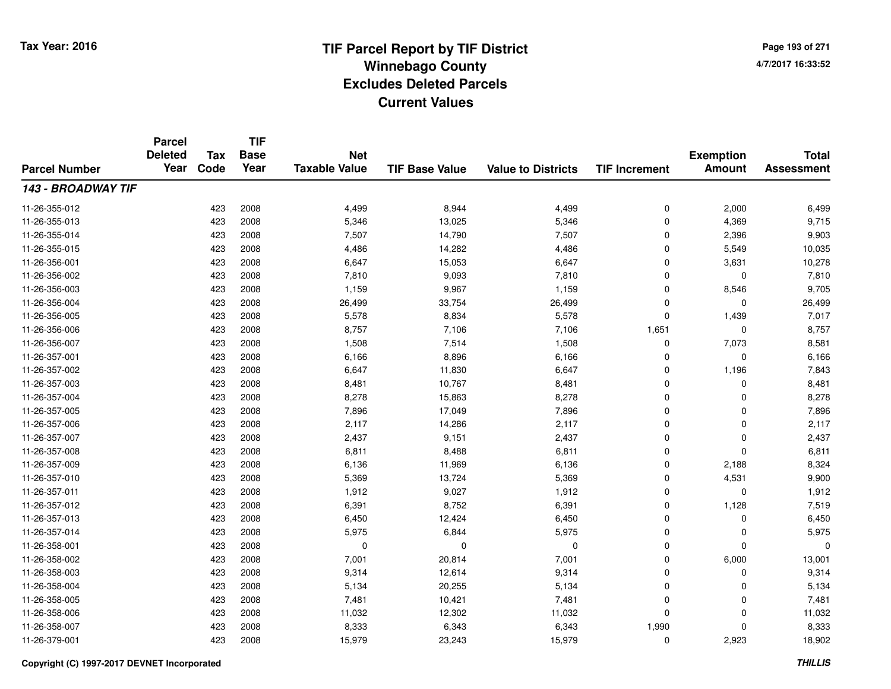**Page 193 of 2714/7/2017 16:33:52**

#### **TIF Base ValueParcel NumberTotal AssessmentExemption Amount Value to Districts TIF IncrementTIF Base YearTax CodeParcel Deleted YearNet Taxable Value143 - BROADWAY TIF**11-26-355-0122 423 2008 4,499 8,944 4,499 0 2,000 6,499 11-26-355-0133 423 2008 5,346 13,025 5,346 0 4,369 9,715 11-26-355-014 <sup>423</sup> 7,507 <sup>2008</sup> 14,790 7,507 <sup>0</sup> 2,396 9,903 11-26-355-0155 423 2008 4,486 14,282 4,486 0 5,549 10,035 11-26-356-0011 423 2008 6,647 15,053 6,647 0 3,631 10,278 11-26-356-0022 423 2008 7,810 9,093 7,810 0 7,810 11-26-356-0033 423 2008 1,159 9,967 1,159 0 8,546 9,705 11-26-356-004423 2008 26,499 26,499 33,754 26,499 26,499 0 0 0 26,499 11-26-356-005 <sup>423</sup> 5,578 <sup>2008</sup> 8,834 5,578 <sup>0</sup> 1,439 7,017 11-26-356-006 <sup>423</sup> 8,757 <sup>2008</sup> 7,106 7,106 1,651 <sup>0</sup> 8,757 11-26-356-007 <sup>423</sup> 1,508 <sup>2008</sup> 7,514 1,508 <sup>0</sup> 7,073 8,581 11-26-357-0011 423 2008 6,166 8,896 6,166 0 0 6,166 11-26-357-002 <sup>423</sup> 6,647 <sup>2008</sup> 11,830 6,647 <sup>0</sup> 1,196 7,843 11-26-357-0033 423 2008 8,481 10,767 8,481 0 0 8,481 11-26-357-004 <sup>423</sup> 8,278 <sup>2008</sup> 15,863 8,278 <sup>0</sup> <sup>0</sup> 8,278 11-26-357-0055 423 2008 7,896 17,049 7,896 0 7,896 11-26-357-006 <sup>423</sup> 2,117 <sup>2008</sup> 14,286 2,117 <sup>0</sup> <sup>0</sup> 2,117 11-26-357-007 <sup>423</sup> 2,437 <sup>2008</sup> 9,151 2,437 <sup>0</sup> <sup>0</sup> 2,437 11-26-357-0088 423 2008 6,811 8,488 6,811 0 6,811 11-26-357-0099 423 2008 6,136 11,969 6,136 0 2,188 8,324 11-26-357-0100 423 2008 5,369 13,724 5,369 0 4,531 9,900 11-26-357-0111 423 2008 1,912 9,027 1,912 0 0 1,912 11-26-357-012 <sup>423</sup> 6,391 <sup>2008</sup> 8,752 6,391 <sup>0</sup> 1,128 7,519 11-26-357-0133 423 2008 6,450 12,424 6,450 0 0 6,450 11-26-357-014423 2008 5,975 6,844 5,975 6,849 5,975 0 0 0 5,975 11-26-358-001 <sup>423</sup> <sup>0</sup> <sup>2008</sup> <sup>0</sup> <sup>0</sup> <sup>0</sup> <sup>0</sup> <sup>0</sup> 11-26-358-0022 423 2008 7,001 20,814 7,001 0 6,000 13,001 11-26-358-003 $3$  2008 9,314 12,614 9,314 9,314 0 0 0 9,314 11-26-358-0044 23 2008 5,134 20,255 5,134 5,134 20,255 5,134 0 0 0 5,134 11-26-358-005 <sup>423</sup> 7,481 <sup>2008</sup> 10,421 7,481 <sup>0</sup> <sup>0</sup> 7,481 11-26-358-0066 423 2008 11,032 12,302 11,032 0 11,032 11-26-358-007 <sup>423</sup> 8,333 <sup>2008</sup> 6,343 6,343 1,990 <sup>0</sup> 8,333 11-26-379-0011 423 2008 15,979 23,243 15,979 0 2,923 18,902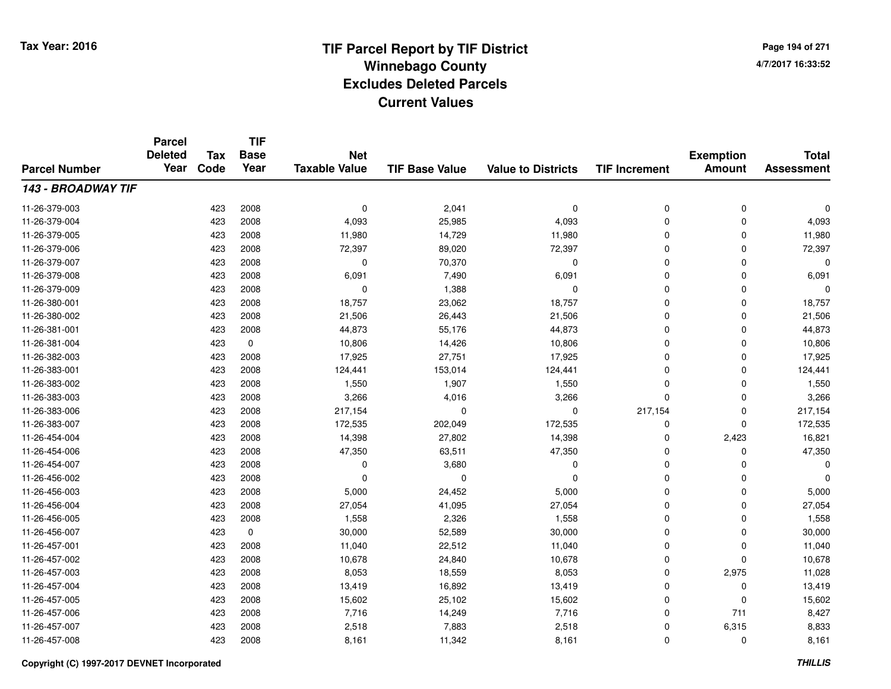**Page 194 of 2714/7/2017 16:33:52**

#### **TIF Base ValueParcel NumberTotal AssessmentExemption Amount Value to Districts TIF IncrementTIF Base YearTax CodeParcel Deleted YearNet Taxable Value143 - BROADWAY TIF**11-26-379-003 <sup>423</sup> <sup>0</sup> <sup>2008</sup> 2,041 <sup>0</sup> <sup>0</sup> <sup>0</sup> <sup>0</sup> 11-26-379-004 <sup>423</sup> 4,093 <sup>2008</sup> 25,985 4,093 <sup>0</sup> <sup>0</sup> 4,093 11-26-379-005 <sup>423</sup> 11,980 <sup>2008</sup> 14,729 11,980 <sup>0</sup> <sup>0</sup> 11,980 11-26-379-006 <sup>423</sup> 72,397 <sup>2008</sup> 89,020 72,397 <sup>0</sup> <sup>0</sup> 72,397 11-26-379-007 $7$  0  $423$  2008 0 0  $70,370$  0 0 0 0 0 0 0 11-26-379-0088 423 2008 6,091 7,490 6,091 0 6,091 11-26-379-009 <sup>423</sup> <sup>0</sup> <sup>2008</sup> 1,388 <sup>0</sup> <sup>0</sup> <sup>0</sup> <sup>0</sup> 11-26-380-0011 423 2008 18,757 23,062 18,757 0 0 18,757 11-26-380-0022 423 2008 21,506 26,443 21,506 0 0 21,506 11-26-381-0011 423 2008 44,873 55,176 44,873 0 0 44,873 11-26-381-0044 423 0 10,806 14,426 10,806 0 0 10,806 11-26-382-0033 423 2008 17,925 27,751 17,925 0 0 17,925 11-26-383-0011 423 2008 124,441 153,014 124,441 0 124,441 11-26-383-0022 423 2008 1,550 1,907 1,550 0 0 1,550 11-26-383-0033 423 2008 3,266 4,016 3,266 0 0 3,266 11-26-383-006 <sup>423</sup> 217,154 <sup>2008</sup> <sup>0</sup> <sup>0</sup> 217,154 <sup>0</sup> 217,154 11-26-383-007 <sup>423</sup> 172,535 <sup>2008</sup> 202,049 172,535 <sup>0</sup> <sup>0</sup> 172,535 11-26-454-004 <sup>423</sup> 14,398 <sup>2008</sup> 27,802 14,398 <sup>0</sup> 2,423 16,821 11-26-454-006 <sup>423</sup> 47,350 <sup>2008</sup> 63,511 47,350 <sup>0</sup> <sup>0</sup> 47,350 11-26-454-007 $7$  0  $423$  2008 0 0  $3,680$  0 0 0 0 0 0 0 0 11-26-456-002 <sup>423</sup> <sup>0</sup> <sup>2008</sup> <sup>0</sup> <sup>0</sup> <sup>0</sup> <sup>0</sup> <sup>0</sup> 11-26-456-003 $3$  6,000  $423$  2008 5,000  $24,452$  5,000 5,000 0 0 5,000 11-26-456-0044 23 2008 27,054 41,095 27,054 27,054 5 27,054 0 0 0 27,054 11-26-456-0055 423 2008 1,558 2,326 1,558 0 0 1,558 11-26-456-0077 423 0 30,000 52,589 30,000 0 0 30,000 11-26-457-0011 423 2008 11,040 22,512 11,040 0 0 11,040 11-26-457-0022 423 2008 10,678 24,840 10,678 0 0 10,678 11-26-457-0033 423 2008 8,053 18,559 8,053 0 2,975 11,028 11-26-457-004 <sup>423</sup> 13,419 <sup>2008</sup> 16,892 13,419 <sup>0</sup> <sup>0</sup> 13,419 11-26-457-005 <sup>423</sup> 15,602 <sup>2008</sup> 25,102 15,602 <sup>0</sup> <sup>0</sup> 15,602 11-26-457-006 <sup>423</sup> 7,716 <sup>2008</sup> 14,249 7,716 <sup>0</sup> <sup>711</sup> 8,427 11-26-457-007 <sup>423</sup> 2,518 <sup>2008</sup> 7,883 2,518 <sup>0</sup> 6,315 8,833 11-26-457-0088 423 2008 8,161 11,342 8,161 0 0 8,161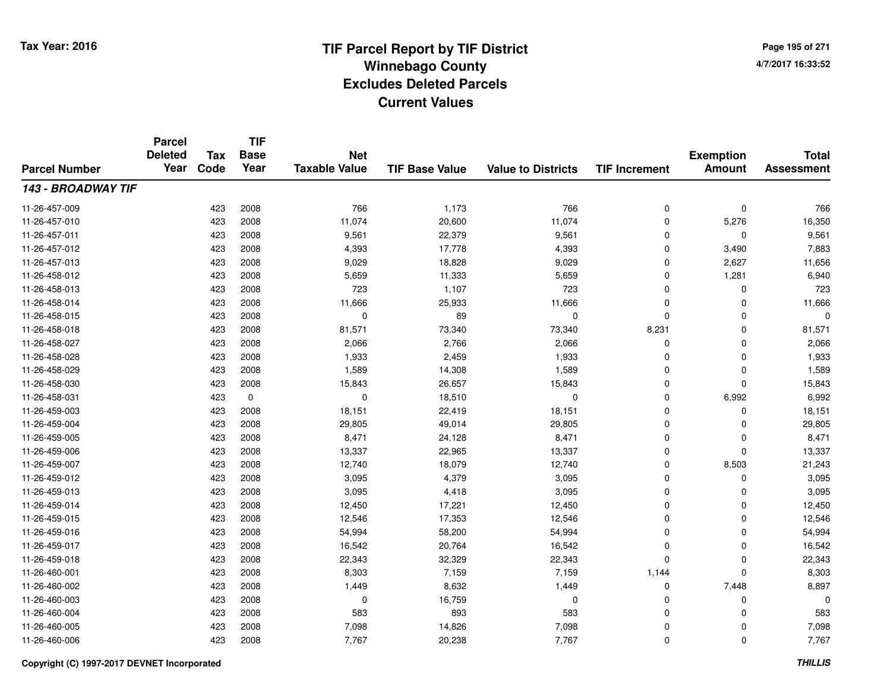**Page 195 of 2714/7/2017 16:33:52**

#### **TIF Base ValueParcel NumberTotal AssessmentExemption Amount Value to Districts TIF IncrementTIF Base YearTax CodeParcel Deleted YearNet Taxable Value143 - BROADWAY TIF**11-26-457-0099 423 2008 766 1,173 766 0 0 766 11-26-457-010 <sup>423</sup> 11,074 <sup>2008</sup> 20,600 11,074 <sup>0</sup> 5,276 16,350 11-26-457-0111 423 2008 9,561 22,379 9,561 0 0 9,561 11-26-457-0122 2 423 2008 4,393 17,778 4,393 0 3,490 7,883 11-26-457-0133 423 2008 9,029 18,828 9,029 0 2,627 11,656 11-26-458-0122 423 2008 5,659 11,333 5,659 0 1,281 6,940 11-26-458-0133 423 2008 723 1,107 723 0 0 723 11-26-458-014 <sup>423</sup> 11,666 <sup>2008</sup> 25,933 11,666 <sup>0</sup> <sup>0</sup> 11,666 11-26-458-015 <sup>423</sup> <sup>0</sup> <sup>2008</sup> <sup>89</sup> <sup>0</sup> <sup>0</sup> <sup>0</sup> <sup>0</sup> 11-26-458-018 <sup>423</sup> 81,571 <sup>2008</sup> 73,340 73,340 8,231 <sup>0</sup> 81,571 11-26-458-0277 423 2008 2,066 2,766 2,066 0 2,066 11-26-458-0288 423 2008 1,933 2,459 1,933 0 0 1,933 11-26-458-0299 423 2008 1,589 14,308 1,589 0 0 1,589 11-26-458-0300 423 2008 15,843 26,657 15,843 0 0 15,843 11-26-458-0311 423 0 0 18,510 0 0 6,992 6,992 11-26-459-003 <sup>423</sup> 18,151 <sup>2008</sup> 22,419 18,151 <sup>0</sup> <sup>0</sup> 18,151 11-26-459-004423 2008 29,805 49,014 29,805 29,805 0 0 0 29,805 11-26-459-005 <sup>423</sup> 8,471 <sup>2008</sup> 24,128 8,471 <sup>0</sup> <sup>0</sup> 8,471 11-26-459-006 <sup>423</sup> 13,337 <sup>2008</sup> 22,965 13,337 <sup>0</sup> <sup>0</sup> 13,337 11-26-459-007 <sup>423</sup> 12,740 <sup>2008</sup> 18,079 12,740 <sup>0</sup> 8,503 21,243 11-26-459-0122 423 2008 3,095 4,379 3,095 0 0 3,095 11-26-459-0133 423 2008 3,095 4,418 3,095 0 0 3,095 11-26-459-014 <sup>423</sup> 12,450 <sup>2008</sup> 17,221 12,450 <sup>0</sup> <sup>0</sup> 12,450 11-26-459-015 <sup>423</sup> 12,546 <sup>2008</sup> 17,353 12,546 <sup>0</sup> <sup>0</sup> 12,546 11-26-459-016 <sup>423</sup> 54,994 <sup>2008</sup> 58,200 54,994 <sup>0</sup> <sup>0</sup> 54,994 11-26-459-017 <sup>423</sup> 16,542 <sup>2008</sup> 20,764 16,542 <sup>0</sup> <sup>0</sup> 16,542 11-26-459-018 <sup>423</sup> 22,343 <sup>2008</sup> 32,329 22,343 <sup>0</sup> <sup>0</sup> 22,343 11-26-460-0011 423 2008 8,303 7,159 7,159 1,144 0 8,303 11-26-460-0022 423 2008 1,449 8,632 1,449 0 7,448 8,897 11-26-460-003 <sup>423</sup> <sup>0</sup> <sup>2008</sup> 16,759 <sup>0</sup> <sup>0</sup> <sup>0</sup> <sup>0</sup> 11-26-460-004 <sup>423</sup> <sup>583</sup> <sup>2008</sup> <sup>893</sup> <sup>583</sup> <sup>0</sup> <sup>0</sup> <sup>583</sup> 11-26-460-0055 423 2008 7,098 14,826 7,098 0 7,098 11-26-460-006<sup>423</sup> 7,767 <sup>2008</sup> 20,238 7,767 <sup>0</sup> <sup>0</sup> 7,767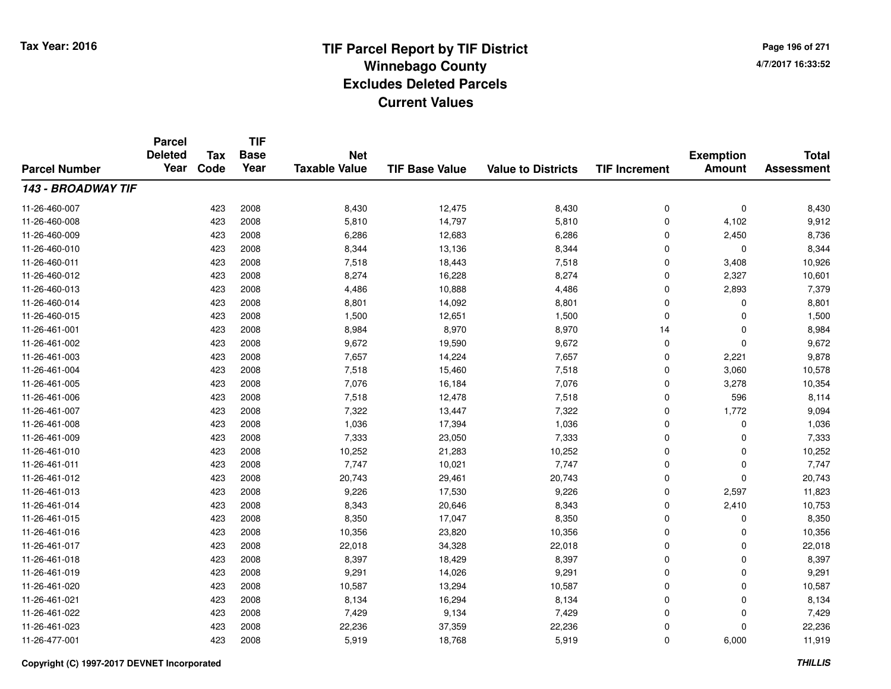**TIF**

**Parcel**

**Page 196 of 2714/7/2017 16:33:52**

#### **TIF Base ValueParcel NumberTotal AssessmentExemption Amount Value to Districts TIF Increment Base YearTax Code Deleted YearNet Taxable Value143 - BROADWAY TIF**11-26-460-007 <sup>423</sup> 8,430 <sup>2008</sup> 12,475 8,430 <sup>0</sup> <sup>0</sup> 8,430 11-26-460-008 <sup>423</sup> 5,810 <sup>2008</sup> 14,797 5,810 <sup>0</sup> 4,102 9,912 11-26-460-0099 423 2008 6,286 12,683 6,286 0 2,450 8,736 11-26-460-0100 423 2008 8,344 13,136 8,344 0 0 8,344 11-26-460-0111 423 2008 7,518 18,443 7,518 0 3,408 10,926 11-26-460-0122 423 2008 8,274 16,228 8,274 0 2,327 10,601 11-26-460-0133 423 2008 4,486 10,888 4,486 0 2,893 7,379 11-26-460-0144 423 2008 8,801 14,092 8,801 0 8,801 11-26-460-015 <sup>423</sup> 1,500 <sup>2008</sup> 12,651 1,500 <sup>0</sup> <sup>0</sup> 1,500 11-26-461-0011 423 2008 8,984 8,970 8,970 14 0 8,984 11-26-461-0022 423 2008 9,672 19,590 9,672 0 0 9,672 11-26-461-0033 423 2008 7,657 14,224 7,657 0 2,221 9,878 11-26-461-0044 23 2008 7,518 15,460 7,518 7,518 3,060 3,060 10,578 11-26-461-005 <sup>423</sup> 7,076 <sup>2008</sup> 16,184 7,076 <sup>0</sup> 3,278 10,354 11-26-461-006 <sup>423</sup> 7,518 <sup>2008</sup> 12,478 7,518 <sup>0</sup> <sup>596</sup> 8,114 11-26-461-007 <sup>423</sup> 7,322 <sup>2008</sup> 13,447 7,322 <sup>0</sup> 1,772 9,094 11-26-461-0088 423 2008 1,036 17,394 1,036 0 0 1,036 11-26-461-0099 423 2008 7,333 23,050 7,333 0 7,333 11-26-461-0100 423 2008 10,252 21,283 10,252 0 0 10,252 11-26-461-0111 423 2008 7,747 10,021 7,747 0 0 7,747 11-26-461-0122 423 2008 20,743 29,461 20,743 0 0 20,743 11-26-461-0133 423 2008 9,226 17,530 9,226 0 2,597 11,823 11-26-461-014 <sup>423</sup> 8,343 <sup>2008</sup> 20,646 8,343 <sup>0</sup> 2,410 10,753 11-26-461-015 <sup>423</sup> 8,350 <sup>2008</sup> 17,047 8,350 <sup>0</sup> <sup>0</sup> 8,350 11-26-461-016 <sup>423</sup> 10,356 <sup>2008</sup> 23,820 10,356 <sup>0</sup> <sup>0</sup> 10,356 11-26-461-017 <sup>423</sup> 22,018 <sup>2008</sup> 34,328 22,018 <sup>0</sup> <sup>0</sup> 22,018 11-26-461-018 <sup>423</sup> 8,397 <sup>2008</sup> 18,429 8,397 <sup>0</sup> <sup>0</sup> 8,397 11-26-461-0199 423 2008 9,291 14,026 9,291 0 9,291 11-26-461-0200 423 2008 10,587 13,294 10,587 0 0 10,587 11-26-461-0211 423 2008 8,134 16,294 8,134 0 0 8,134 11-26-461-0222 423 2008 7,429 9,134 7,429 0 0 7,429 11-26-461-0233 423 2008 22,236 37,359 22,236 0 0 22,236 11-26-477-0011 423 2008 5,919 18,768 5,919 0 6,000 11,919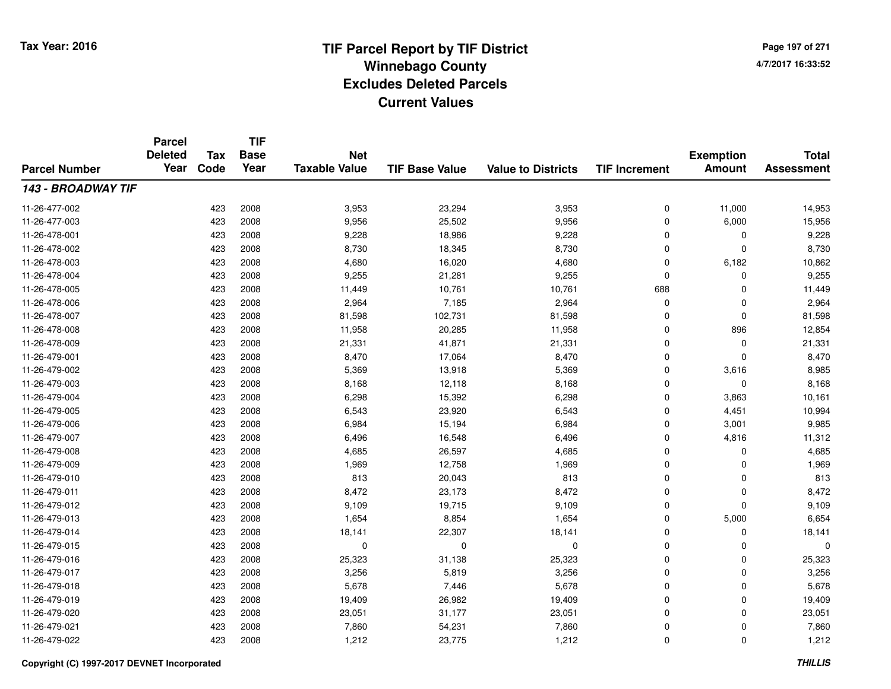**Page 197 of 2714/7/2017 16:33:52**

#### **TIF Base ValueParcel NumberTotal AssessmentExemption Amount Value to Districts TIF IncrementTIF Base YearTax CodeParcel Deleted YearNet Taxable Value143 - BROADWAY TIF**11-26-477-002 <sup>423</sup> 3,953 <sup>2008</sup> 23,294 3,953 <sup>0</sup> 11,000 14,953 11-26-477-0033 423 2008 9,956 25,502 9,956 0 6,000 15,956 11-26-478-0011 423 2008 9,228 18,986 9,228 0 0 9,228 11-26-478-002 <sup>423</sup> 8,730 <sup>2008</sup> 18,345 8,730 <sup>0</sup> <sup>0</sup> 8,730 11-26-478-0033 423 2008 4,680 16,020 4,680 0 6,182 10,862 11-26-478-004 <sup>423</sup> 9,255 <sup>2008</sup> 21,281 9,255 <sup>0</sup> <sup>0</sup> 9,255 11-26-478-0055 423 2008 11,449 10,761 10,761 688 0 11,449 11-26-478-0066 423 2008 2,964 7,185 2,964 0 0 2,964 11-26-478-007 <sup>423</sup> 81,598 <sup>2008</sup> 102,731 81,598 <sup>0</sup> <sup>0</sup> 81,598 11-26-478-008 <sup>423</sup> 11,958 <sup>2008</sup> 20,285 11,958 <sup>0</sup> <sup>896</sup> 12,854 11-26-478-009 <sup>423</sup> 21,331 <sup>2008</sup> 41,871 21,331 <sup>0</sup> <sup>0</sup> 21,331 11-26-479-0011 423 2008 8,470 17,064 8,470 0 0 8,470 11-26-479-002 <sup>423</sup> 5,369 <sup>2008</sup> 13,918 5,369 <sup>0</sup> 3,616 8,985 11-26-479-003 <sup>423</sup> 8,168 <sup>2008</sup> 12,118 8,168 <sup>0</sup> <sup>0</sup> 8,168 11-26-479-004 <sup>423</sup> 6,298 <sup>2008</sup> 15,392 6,298 <sup>0</sup> 3,863 10,161 11-26-479-005 <sup>423</sup> 6,543 <sup>2008</sup> 23,920 6,543 <sup>0</sup> 4,451 10,994 11-26-479-0066 423 2008 6,984 15,194 6,984 0 3,001 9,985 11-26-479-007 <sup>423</sup> 6,496 <sup>2008</sup> 16,548 6,496 <sup>0</sup> 4,816 11,312 11-26-479-0088 423 2008 4,685 26,597 4,685 0 4,685 11-26-479-0099 423 2008 1,969 12,758 1,969 0 0 1,969 11-26-479-0100 423 2008 813 20,043 813 0 0 813 11-26-479-0111 423 2008 8,472 23,173 8,472 0 0 8,472 11-26-479-0122 423 2008 9,109 19,715 9,109 0 0 9,109 11-26-479-0133 423 2008 1,654 8,854 1,654 0 5,000 6,654 11-26-479-014 <sup>423</sup> 18,141 <sup>2008</sup> 22,307 18,141 <sup>0</sup> <sup>0</sup> 18,141 11-26-479-015 <sup>423</sup> <sup>0</sup> <sup>2008</sup> <sup>0</sup> <sup>0</sup> <sup>0</sup> <sup>0</sup> <sup>0</sup> 11-26-479-016 <sup>423</sup> 25,323 <sup>2008</sup> 31,138 25,323 <sup>0</sup> <sup>0</sup> 25,323 11-26-479-0177 423 2008 3,256 5,819 3,256 0 3,256 11-26-479-018 <sup>423</sup> 5,678 <sup>2008</sup> 7,446 5,678 <sup>0</sup> <sup>0</sup> 5,678 11-26-479-019 <sup>423</sup> 19,409 <sup>2008</sup> 26,982 19,409 <sup>0</sup> <sup>0</sup> 19,409 11-26-479-0200 423 2008 23,051 31,177 23,051 0 0 23,051 11-26-479-0211 423 2008 7,860 54,231 7,860 0 7,860 11-26-479-022<sup>423</sup> 1,212 <sup>2008</sup> 23,775 1,212 <sup>0</sup> <sup>0</sup> 1,212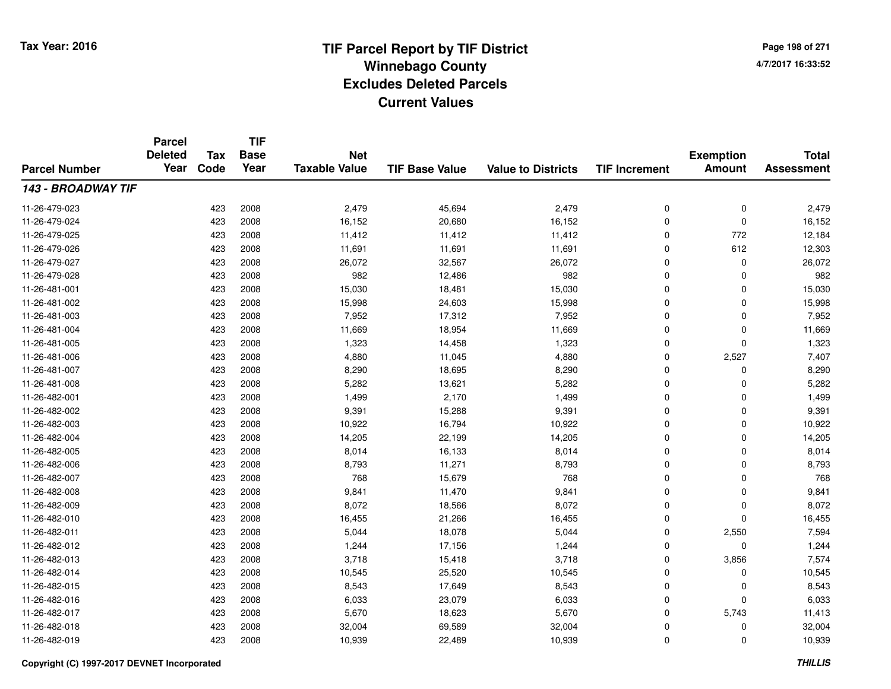**Page 198 of 2714/7/2017 16:33:52**

| <b>Parcel Number</b> | <b>Parcel</b><br><b>Deleted</b><br>Year | <b>Tax</b> | <b>TIF</b><br><b>Base</b> | <b>Net</b>           |                       |                           |                      | <b>Exemption</b> | <b>Total</b>      |
|----------------------|-----------------------------------------|------------|---------------------------|----------------------|-----------------------|---------------------------|----------------------|------------------|-------------------|
|                      |                                         | Code       | Year                      | <b>Taxable Value</b> | <b>TIF Base Value</b> | <b>Value to Districts</b> | <b>TIF Increment</b> | <b>Amount</b>    | <b>Assessment</b> |
| 143 - BROADWAY TIF   |                                         |            |                           |                      |                       |                           |                      |                  |                   |
| 11-26-479-023        |                                         | 423        | 2008                      | 2,479                | 45,694                | 2,479                     | 0                    | 0                | 2,479             |
| 11-26-479-024        |                                         | 423        | 2008                      | 16,152               | 20,680                | 16,152                    | 0                    | 0                | 16,152            |
| 11-26-479-025        |                                         | 423        | 2008                      | 11,412               | 11,412                | 11,412                    | 0                    | 772              | 12,184            |
| 11-26-479-026        |                                         | 423        | 2008                      | 11,691               | 11,691                | 11,691                    | 0                    | 612              | 12,303            |
| 11-26-479-027        |                                         | 423        | 2008                      | 26,072               | 32,567                | 26,072                    | 0                    | 0                | 26,072            |
| 11-26-479-028        |                                         | 423        | 2008                      | 982                  | 12,486                | 982                       | 0                    | 0                | 982               |
| 11-26-481-001        |                                         | 423        | 2008                      | 15,030               | 18,481                | 15,030                    | 0                    | 0                | 15,030            |
| 11-26-481-002        |                                         | 423        | 2008                      | 15,998               | 24,603                | 15,998                    | 0                    | 0                | 15,998            |
| 11-26-481-003        |                                         | 423        | 2008                      | 7,952                | 17,312                | 7,952                     | $\overline{0}$       | 0                | 7,952             |
| 11-26-481-004        |                                         | 423        | 2008                      | 11,669               | 18,954                | 11,669                    | 0                    | 0                | 11,669            |
| 11-26-481-005        |                                         | 423        | 2008                      | 1,323                | 14,458                | 1,323                     | 0                    | 0                | 1,323             |
| 11-26-481-006        |                                         | 423        | 2008                      | 4,880                | 11,045                | 4,880                     | 0                    | 2,527            | 7,407             |
| 11-26-481-007        |                                         | 423        | 2008                      | 8,290                | 18,695                | 8,290                     | 0                    | 0                | 8,290             |
| 11-26-481-008        |                                         | 423        | 2008                      | 5,282                | 13,621                | 5,282                     | 0                    | 0                | 5,282             |
| 11-26-482-001        |                                         | 423        | 2008                      | 1,499                | 2,170                 | 1,499                     | 0                    | 0                | 1,499             |
| 11-26-482-002        |                                         | 423        | 2008                      | 9,391                | 15,288                | 9,391                     | 0                    | 0                | 9,391             |
| 11-26-482-003        |                                         | 423        | 2008                      | 10,922               | 16,794                | 10,922                    | 0                    | 0                | 10,922            |
| 11-26-482-004        |                                         | 423        | 2008                      | 14,205               | 22,199                | 14,205                    | 0                    | 0                | 14,205            |
| 11-26-482-005        |                                         | 423        | 2008                      | 8,014                | 16,133                | 8,014                     | 0                    | 0                | 8,014             |
| 11-26-482-006        |                                         | 423        | 2008                      | 8,793                | 11,271                | 8,793                     | 0                    | 0                | 8,793             |
| 11-26-482-007        |                                         | 423        | 2008                      | 768                  | 15,679                | 768                       | 0                    | 0                | 768               |
| 11-26-482-008        |                                         | 423        | 2008                      | 9,841                | 11,470                | 9,841                     | 0                    | 0                | 9,841             |
| 11-26-482-009        |                                         | 423        | 2008                      | 8,072                | 18,566                | 8,072                     | 0                    | 0                | 8,072             |
| 11-26-482-010        |                                         | 423        | 2008                      | 16,455               | 21,266                | 16,455                    | 0                    | 0                | 16,455            |
| 11-26-482-011        |                                         | 423        | 2008                      | 5,044                | 18,078                | 5,044                     | 0                    | 2,550            | 7,594             |
| 11-26-482-012        |                                         | 423        | 2008                      | 1,244                | 17,156                | 1,244                     | 0                    | 0                | 1,244             |
| 11-26-482-013        |                                         | 423        | 2008                      | 3,718                | 15,418                | 3,718                     | 0                    | 3,856            | 7,574             |
| 11-26-482-014        |                                         | 423        | 2008                      | 10,545               | 25,520                | 10,545                    | 0                    | 0                | 10,545            |
| 11-26-482-015        |                                         | 423        | 2008                      | 8,543                | 17,649                | 8,543                     | 0                    | 0                | 8,543             |
| 11-26-482-016        |                                         | 423        | 2008                      | 6,033                | 23,079                | 6,033                     | 0                    | 0                | 6,033             |
| 11-26-482-017        |                                         | 423        | 2008                      | 5,670                | 18,623                | 5,670                     | 0                    | 5,743            | 11,413            |
| 11-26-482-018        |                                         | 423        | 2008                      | 32,004               | 69,589                | 32,004                    | 0                    | 0                | 32,004            |
| 11-26-482-019        |                                         | 423        | 2008                      | 10,939               | 22,489                | 10,939                    | $\overline{0}$       | 0                | 10,939            |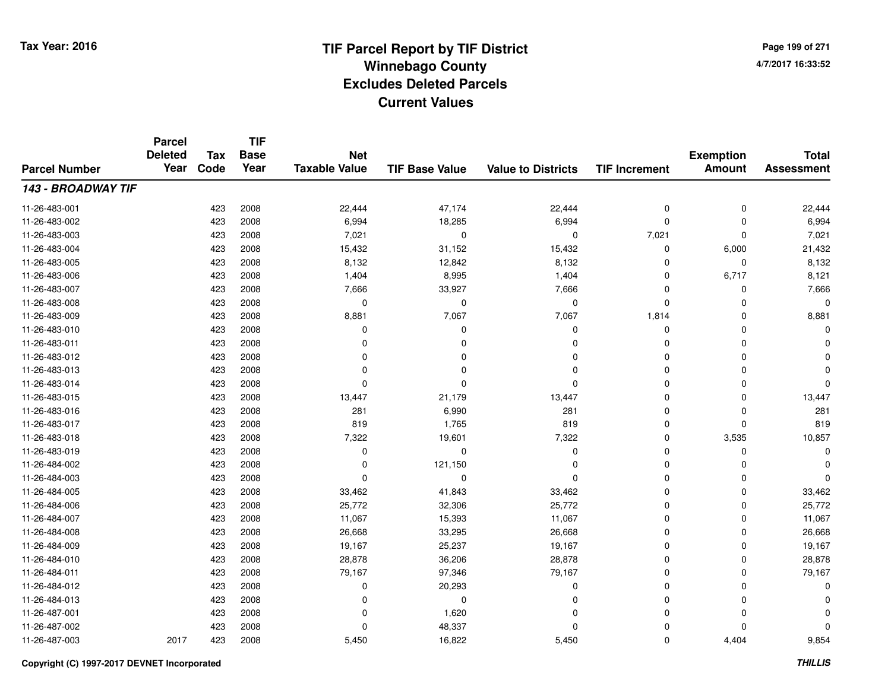**TIF**

**Parcel**

**Page 199 of 2714/7/2017 16:33:52**

#### **TIF Base ValueParcel NumberTotal AssessmentExemption Amount Value to Districts TIF Increment Base YearTax Code Deleted YearNet Taxable Value143 - BROADWAY TIF**11-26-483-0011 423 2008 22,444 47,174 22,444 0 0 22,444 11-26-483-0022 423 2008 6,994 18,285 6,994 0 0 6,994 11-26-483-0033 423 2008 7,021 0 7,021 0 7,021 11-26-483-004 <sup>423</sup> 15,432 <sup>2008</sup> 31,152 15,432 <sup>0</sup> 6,000 21,432 11-26-483-005 <sup>423</sup> 8,132 <sup>2008</sup> 12,842 8,132 <sup>0</sup> <sup>0</sup> 8,132 11-26-483-006 <sup>423</sup> 1,404 <sup>2008</sup> 8,995 1,404 <sup>0</sup> 6,717 8,121 11-26-483-007 <sup>423</sup> 7,666 <sup>2008</sup> 33,927 7,666 <sup>0</sup> <sup>0</sup> 7,666 11-26-483-008 <sup>423</sup> <sup>0</sup> <sup>2008</sup> <sup>0</sup> <sup>0</sup> <sup>0</sup> <sup>0</sup> <sup>0</sup> 11-26-483-0099 423 2008 8,881 7<sub>,</sub>067 7,067 1,814 0 8,881 11-26-483-010 <sup>423</sup> <sup>0</sup> <sup>2008</sup> <sup>0</sup> <sup>0</sup> <sup>0</sup> <sup>0</sup> <sup>0</sup> 11-26-483-011 <sup>423</sup> <sup>0</sup> <sup>2008</sup> <sup>0</sup> <sup>0</sup> <sup>0</sup> <sup>0</sup> <sup>0</sup> 11-26-483-012 <sup>423</sup> <sup>0</sup> <sup>2008</sup> <sup>0</sup> <sup>0</sup> <sup>0</sup> <sup>0</sup> <sup>0</sup> 11-26-483-013 <sup>423</sup> <sup>0</sup> <sup>2008</sup> <sup>0</sup> <sup>0</sup> <sup>0</sup> <sup>0</sup> <sup>0</sup> 11-26-483-014 <sup>423</sup> <sup>0</sup> <sup>2008</sup> <sup>0</sup> <sup>0</sup> <sup>0</sup> <sup>0</sup> <sup>0</sup> 11-26-483-015 <sup>423</sup> 13,447 <sup>2008</sup> 21,179 13,447 <sup>0</sup> <sup>0</sup> 13,447 11-26-483-016 <sup>423</sup> <sup>281</sup> <sup>2008</sup> 6,990 <sup>281</sup> <sup>0</sup> <sup>0</sup> <sup>281</sup> 11-26-483-017 <sup>423</sup> <sup>819</sup> <sup>2008</sup> 1,765 <sup>819</sup> <sup>0</sup> <sup>0</sup> <sup>819</sup> 11-26-483-0188 423 2008 7,322 19,601 7,322 0 3,535 10,857 11-26-483-019 <sup>423</sup> <sup>0</sup> <sup>2008</sup> <sup>0</sup> <sup>0</sup> <sup>0</sup> <sup>0</sup> <sup>0</sup> 11-26-484-002 <sup>423</sup> <sup>0</sup> <sup>2008</sup> 121,150 <sup>0</sup> <sup>0</sup> <sup>0</sup> <sup>0</sup> 11-26-484-003 <sup>423</sup> <sup>0</sup> <sup>2008</sup> <sup>0</sup> <sup>0</sup> <sup>0</sup> <sup>0</sup> <sup>0</sup> 11-26-484-005 <sup>423</sup> 33,462 <sup>2008</sup> 41,843 33,462 <sup>0</sup> <sup>0</sup> 33,462 11-26-484-006 <sup>423</sup> 25,772 <sup>2008</sup> 32,306 25,772 <sup>0</sup> <sup>0</sup> 25,772 11-26-484-007 <sup>423</sup> 11,067 <sup>2008</sup> 15,393 11,067 <sup>0</sup> <sup>0</sup> 11,067 11-26-484-0088 423 2008 26,668 33,295 26,668 0 0 26,668 11-26-484-009 <sup>423</sup> 19,167 <sup>2008</sup> 25,237 19,167 <sup>0</sup> <sup>0</sup> 19,167 11-26-484-0100 423 2008 28,878 36,206 28,878 0 28,878 11-26-484-0111 423 2008 79,167 97,346 79,167 0 0 79,167 11-26-484-012 <sup>423</sup> <sup>0</sup> <sup>2008</sup> 20,293 <sup>0</sup> <sup>0</sup> <sup>0</sup> <sup>0</sup> 11-26-484-013 <sup>423</sup> <sup>0</sup> <sup>2008</sup> <sup>0</sup> <sup>0</sup> <sup>0</sup> <sup>0</sup> <sup>0</sup> 11-26-487-0011 and  $423$  2008 cm  $1,620$  cm  $1,620$  cm  $0$  cm  $0$  cm  $0$  cm  $0$  cm  $0$ 11-26-487-002 <sup>423</sup> <sup>0</sup> <sup>2008</sup> 48,337 <sup>0</sup> <sup>0</sup> <sup>0</sup> <sup>0</sup> 11-26-487-003<sup>2017</sup> <sup>423</sup> <sup>2008</sup> 5,450 16,822 5,450 <sup>0</sup> 4,404 9,854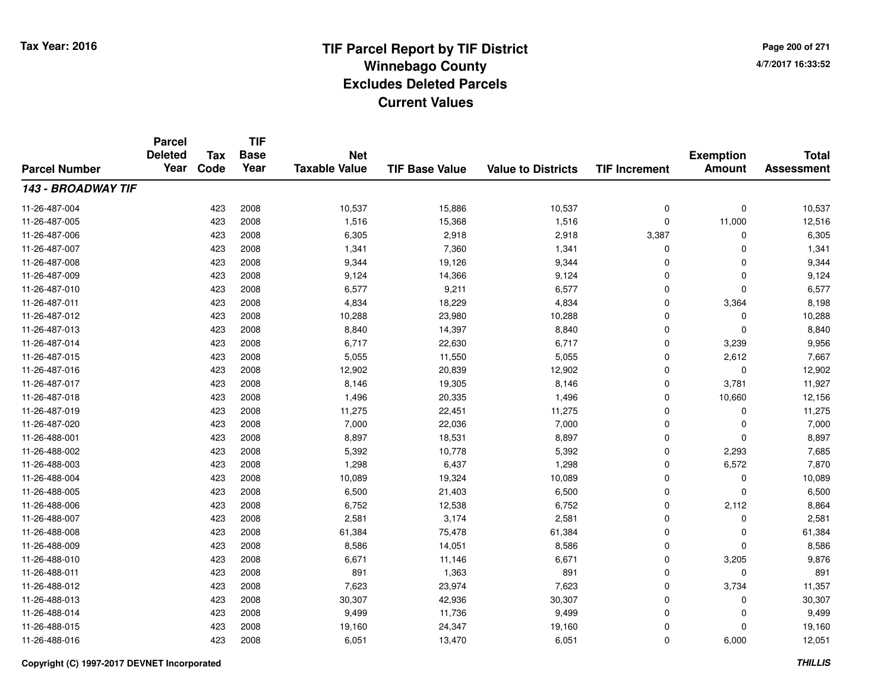**TIF**

**Parcel**

**Page 200 of 2714/7/2017 16:33:52**

#### **TIF Base ValueParcel NumberTotal AssessmentExemption Amount Value to Districts TIF Increment Base YearTax Code Deleted YearNet Taxable Value143 - BROADWAY TIF**11-26-487-004 <sup>423</sup> 10,537 <sup>2008</sup> 15,886 10,537 <sup>0</sup> <sup>0</sup> 10,537 11-26-487-005 <sup>423</sup> 1,516 <sup>2008</sup> 15,368 1,516 <sup>0</sup> 11,000 12,516 11-26-487-0066 423 2008 6,305 2,918 2,918 3,387 0 6,305 11-26-487-0077 423 2008 1,341 7,360 1,341 0 0 1,341 11-26-487-008 <sup>423</sup> 9,344 <sup>2008</sup> 19,126 9,344 <sup>0</sup> <sup>0</sup> 9,344 11-26-487-0099 423 2008 9,124 14,366 9,124 0 0 9,124 11-26-487-0100 423 2008 6,577 9,211 6,577 0 0 6,577 11-26-487-0111 423 2008 4,834 18,229 4,834 0 3,364 8,198 11-26-487-0122 2 2 2008 10,288 2008 23,980 10,288 2008 23,980 10,288 0 0 0 10,288 11-26-487-013 $3$  2008 8,840  $14,397$  8,840  $2008$  8,840 0 0 0 8,840 11-26-487-014 <sup>423</sup> 6,717 <sup>2008</sup> 22,630 6,717 <sup>0</sup> 3,239 9,956 11-26-487-015 <sup>423</sup> 5,055 <sup>2008</sup> 11,550 5,055 <sup>0</sup> 2,612 7,667 11-26-487-016 <sup>423</sup> 12,902 <sup>2008</sup> 20,839 12,902 <sup>0</sup> <sup>0</sup> 12,902 11-26-487-017 <sup>423</sup> 8,146 <sup>2008</sup> 19,305 8,146 <sup>0</sup> 3,781 11,927 11-26-487-018 <sup>423</sup> 1,496 <sup>2008</sup> 20,335 1,496 <sup>0</sup> 10,660 12,156 11-26-487-0199 423 2008 11,275 22,451 11,275 0 0 11,275 11-26-487-0200 423 2008 7,000 22,036 7,000 0 7,000 11-26-488-0011 423 2008 8,897 18,531 8,897 0 0 8,897 11-26-488-002 <sup>423</sup> 5,392 <sup>2008</sup> 10,778 5,392 <sup>0</sup> 2,293 7,685 11-26-488-0033 423 2008 1,298 6,437 1,298 0 6,572 7,870 11-26-488-004423 2008 10,089 10,089 19,324 10,089 0 0 0 10,089 11-26-488-005 <sup>423</sup> 6,500 <sup>2008</sup> 21,403 6,500 <sup>0</sup> <sup>0</sup> 6,500 11-26-488-0066 423 2008 6,752 12,538 6,752 0 2,112 8,864 11-26-488-007 <sup>423</sup> 2,581 <sup>2008</sup> 3,174 2,581 <sup>0</sup> <sup>0</sup> 2,581 11-26-488-0088 423 2008 61,384 75,478 61,384 0 0 61,384 11-26-488-0099 423 2008 8,586 14,051 8,586 0 0 8,586 11-26-488-0100 423 2008 6,671 11,146 6,671 0 3,205 9,876 11-26-488-0111 423 2008 891 1,363 891 0 0 891 11-26-488-012 <sup>423</sup> 7,623 <sup>2008</sup> 23,974 7,623 <sup>0</sup> 3,734 11,357 11-26-488-013 <sup>423</sup> 30,307 <sup>2008</sup> 42,936 30,307 <sup>0</sup> <sup>0</sup> 30,307 11-26-488-014 <sup>423</sup> 9,499 <sup>2008</sup> 11,736 9,499 <sup>0</sup> <sup>0</sup> 9,499 11-26-488-015 <sup>423</sup> 19,160 <sup>2008</sup> 24,347 19,160 <sup>0</sup> <sup>0</sup> 19,160 11-26-488-0166 423 2008 6,051 13,470 6,051 0 6,000 12,051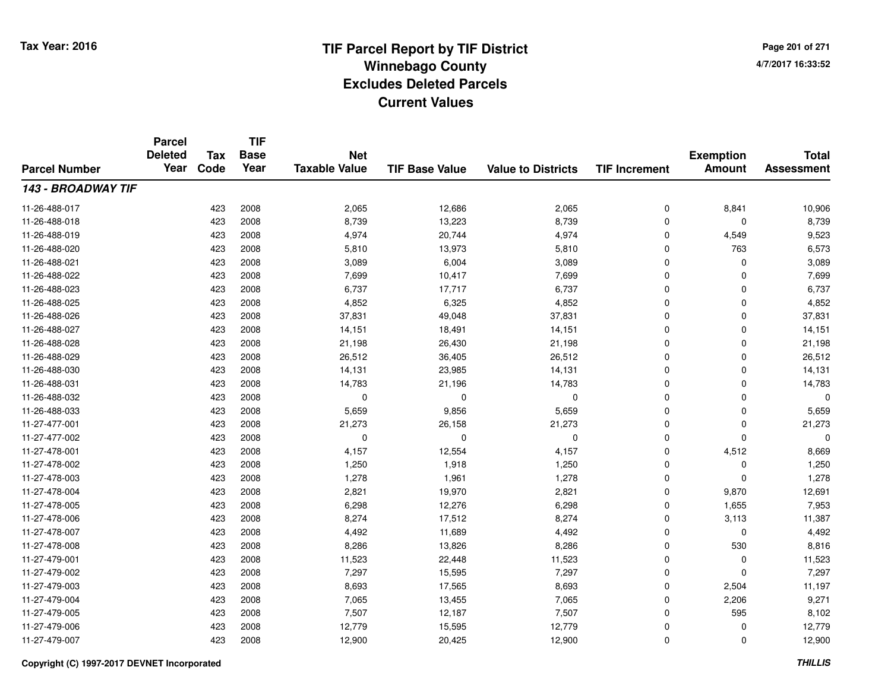**TIF**

**Parcel**

**Page 201 of 2714/7/2017 16:33:52**

#### **TIF Base ValueParcel NumberTotal AssessmentExemption Amount Value to Districts TIF Increment Base YearTax Code Deleted YearNet Taxable Value143 - BROADWAY TIF**11-26-488-017 <sup>423</sup> 2,065 <sup>2008</sup> 12,686 2,065 <sup>0</sup> 8,841 10,906 11-26-488-018 <sup>423</sup> 8,739 <sup>2008</sup> 13,223 8,739 <sup>0</sup> <sup>0</sup> 8,739 11-26-488-019 <sup>423</sup> 4,974 <sup>2008</sup> 20,744 4,974 <sup>0</sup> 4,549 9,523 11-26-488-0200 423 2008 5,810 13,973 5,810 0 763 6,573 11-26-488-0211 423 2008 3,089 6,004 3,089 0 0 3,089 11-26-488-0222 423 2008 7,699 10,417 7,699 0 0 7,699 11-26-488-023 <sup>423</sup> 6,737 <sup>2008</sup> 17,717 6,737 <sup>0</sup> <sup>0</sup> 6,737 11-26-488-025 <sup>423</sup> 4,852 <sup>2008</sup> 6,325 4,852 <sup>0</sup> <sup>0</sup> 4,852 11-26-488-026 <sup>423</sup> 37,831 <sup>2008</sup> 49,048 37,831 <sup>0</sup> <sup>0</sup> 37,831 11-26-488-027 <sup>423</sup> 14,151 <sup>2008</sup> 18,491 14,151 <sup>0</sup> <sup>0</sup> 14,151 11-26-488-028 <sup>423</sup> 21,198 <sup>2008</sup> 26,430 21,198 <sup>0</sup> <sup>0</sup> 21,198 11-26-488-0299 423 2008 26,512 36,405 26,512 0 0 26,512 11-26-488-0300 423 2008 14,131 23,985 14,131 0 0 14,131 11-26-488-0311 423 2008 14,783 21,196 14,783 0 0 14,783 11-26-488-032 <sup>423</sup> <sup>0</sup> <sup>2008</sup> <sup>0</sup> <sup>0</sup> <sup>0</sup> <sup>0</sup> <sup>0</sup> 11-26-488-0333 423 2008 5,659 9,856 5,659 0 0 5,659 11-27-477-0011 423 2008 21,273 26,158 21,273 0 0 21,273 11-27-477-002 <sup>423</sup> <sup>0</sup> <sup>2008</sup> <sup>0</sup> <sup>0</sup> <sup>0</sup> <sup>0</sup> <sup>0</sup> 11-27-478-0011 423 2008 4,157 12,554 4,157 0 4,512 8,669 11-27-478-0022 423 2008 1,250 1,918 1,250 0 0 1,250 11-27-478-0033 423 2008 1,278 1,961 1,278 0 0 1,278 11-27-478-004 <sup>423</sup> 2,821 <sup>2008</sup> 19,970 2,821 <sup>0</sup> 9,870 12,691 11-27-478-005 <sup>423</sup> 6,298 <sup>2008</sup> 12,276 6,298 <sup>0</sup> 1,655 7,953 11-27-478-006 <sup>423</sup> 8,274 <sup>2008</sup> 17,512 8,274 <sup>0</sup> 3,113 11,387 11-27-478-0077 423 2008 4,492 11,689 4,492 0 0 4,492 11-27-478-0088 423 2008 8,286 13,826 8,286 0 530 8,816 11-27-479-0011 423 2008 11,523 22,448 11,523 0 0 11,523 11-27-479-0022 2 423 2008 7,297 15,595 7,297 0 0 7,297 11-27-479-0033 423 2008 8,693 17,565 8,693 0 2,504 11,197 11-27-479-0044 423 2008 7,065 13,455 7,065 0 2,206 9,271 11-27-479-005 <sup>423</sup> 7,507 <sup>2008</sup> 12,187 7,507 <sup>0</sup> <sup>595</sup> 8,102 11-27-479-006 <sup>423</sup> 12,779 <sup>2008</sup> 15,595 12,779 <sup>0</sup> <sup>0</sup> 12,779 11-27-479-007<sup>423</sup> 12,900 <sup>2008</sup> 20,425 12,900 <sup>0</sup> <sup>0</sup> 12,900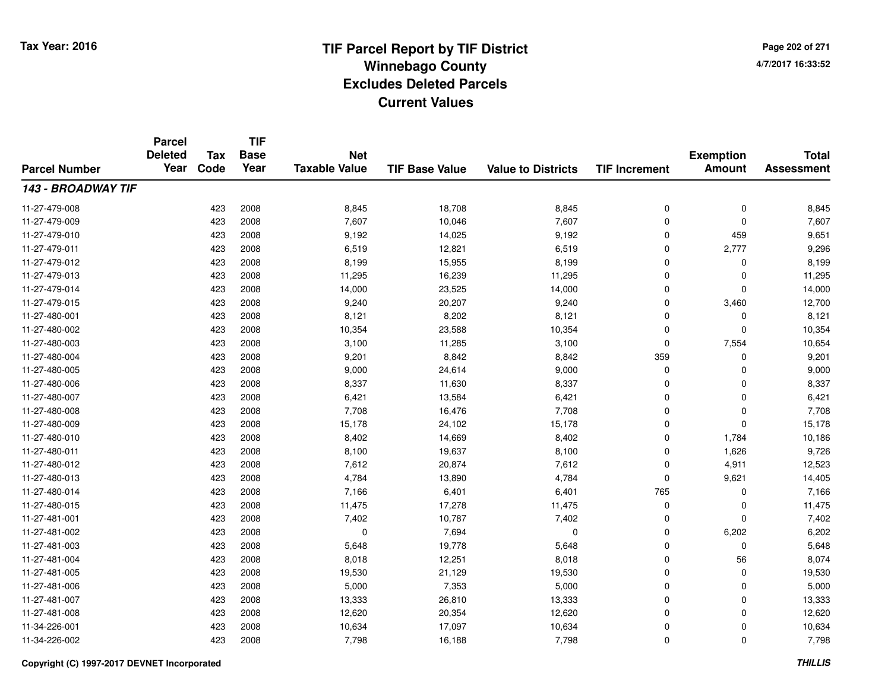**TIF**

**Parcel**

**Page 202 of 2714/7/2017 16:33:52**

#### **TIF Base ValueParcel NumberTotal AssessmentExemption Amount Value to Districts TIF Increment Base YearTax Code Deleted YearNet Taxable Value143 - BROADWAY TIF**11-27-479-0088 423 2008 8,845 18,708 8,845 0 0 8,845 11-27-479-0099 423 2008 7,607 10,046 7,607 0 7,607 11-27-479-0100 423 2008 9,192 14,025 9,192 0 459 9,651 11-27-479-0111 423 2008 6,519 12,821 6,519 0 2,777 9,296 11-27-479-0122 423 2008 8,199 15,955 8,199 0 0 8,199 11-27-479-0133 423 2008 11,295 16,239 11,295 0 0 11,295 11-27-479-014 <sup>423</sup> 14,000 <sup>2008</sup> 23,525 14,000 <sup>0</sup> <sup>0</sup> 14,000 11-27-479-015 <sup>423</sup> 9,240 <sup>2008</sup> 20,207 9,240 <sup>0</sup> 3,460 12,700 11-27-480-0011 423 2008 8,121 8,202 8,121 0 0 8,121 11-27-480-0022 2 2 2008 10,354 23,588 10,354 23,588 10,354 0 0 0 10,354 11-27-480-0033 423 2008 3,100 11,285 3,100 0 7,554 10,654 11-27-480-004 <sup>423</sup> 9,201 <sup>2008</sup> 8,842 8,842 <sup>359</sup> <sup>0</sup> 9,201 11-27-480-005 <sup>423</sup> 9,000 <sup>2008</sup> 24,614 9,000 <sup>0</sup> <sup>0</sup> 9,000 11-27-480-006 <sup>423</sup> 8,337 <sup>2008</sup> 11,630 8,337 <sup>0</sup> <sup>0</sup> 8,337 11-27-480-0077 423 2008 6,421 13,584 6,421 0 0 6,421 11-27-480-008 <sup>423</sup> 7,708 <sup>2008</sup> 16,476 7,708 <sup>0</sup> <sup>0</sup> 7,708 11-27-480-009 <sup>423</sup> 15,178 <sup>2008</sup> 24,102 15,178 <sup>0</sup> <sup>0</sup> 15,178 11-27-480-0100 423 2008 8,402 14,669 8,402 0 1,784 10,186 11-27-480-0111 423 2008 8,100 19,637 8,100 0 1,626 9,726 11-27-480-012 <sup>423</sup> 7,612 <sup>2008</sup> 20,874 7,612 <sup>0</sup> 4,911 12,523 11-27-480-0133 423 2008 4,784 13,890 4,784 0 9,621 14,405 11-27-480-014 <sup>423</sup> 7,166 <sup>2008</sup> 6,401 6,401 <sup>765</sup> <sup>0</sup> 7,166 11-27-480-015 <sup>423</sup> 11,475 <sup>2008</sup> 17,278 11,475 <sup>0</sup> <sup>0</sup> 11,475 11-27-481-0011 423 2008 7,402 10,787 7,402 0 0 7,402 11-27-481-0022 2 423 2008 0 7,694 0 0 6,202 6,202 11-27-481-0033 423 2008 5,648 19,778 5,648 0 0 5,648 11-27-481-004 <sup>423</sup> 8,018 <sup>2008</sup> 12,251 8,018 <sup>0</sup> <sup>56</sup> 8,074 11-27-481-005 <sup>423</sup> 19,530 <sup>2008</sup> 21,129 19,530 <sup>0</sup> <sup>0</sup> 19,530 11-27-481-006 <sup>423</sup> 5,000 <sup>2008</sup> 7,353 5,000 <sup>0</sup> <sup>0</sup> 5,000 11-27-481-007 <sup>423</sup> 13,333 <sup>2008</sup> 26,810 13,333 <sup>0</sup> <sup>0</sup> 13,333 11-27-481-008 <sup>423</sup> 12,620 <sup>2008</sup> 20,354 12,620 <sup>0</sup> <sup>0</sup> 12,620 11-34-226-0011 423 2008 10,634 17,097 10,634 0 0 10,634 11-34-226-0022 423 2008 7,798 16,188 7,798 0 0 7,798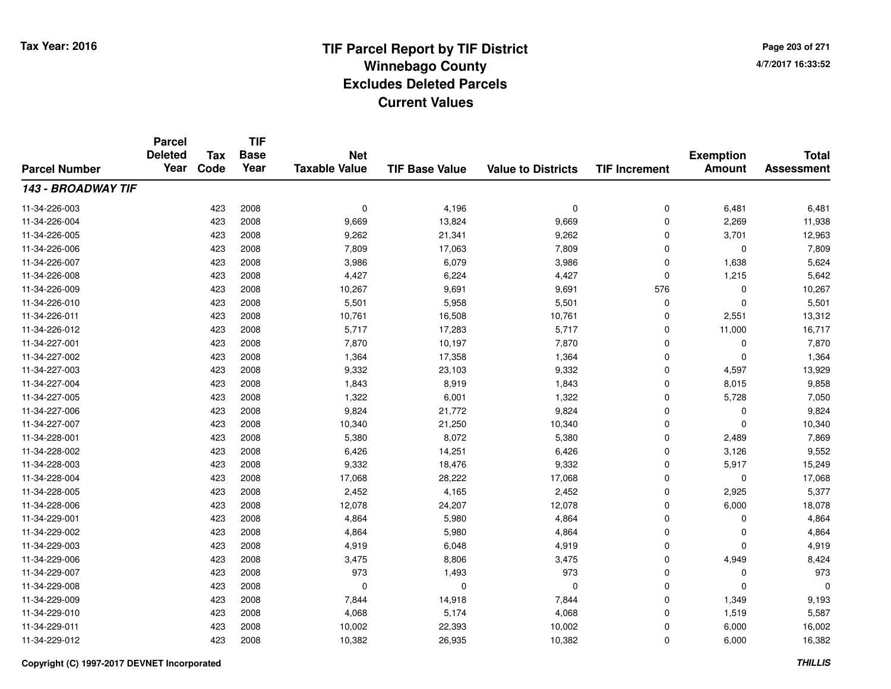**TIF**

**Parcel**

**Page 203 of 2714/7/2017 16:33:52**

#### **TIF Base ValueParcel NumberTotal AssessmentExemption Amount Value to Districts TIF Increment Base YearTax Code Deleted YearNet Taxable Value143 - BROADWAY TIF**11-34-226-0033 423 2008 0 4,196 0 0 6,481 6,481 11-34-226-0044 423 2008 9,669 13,824 9,669 0 2,269 11,938 11-34-226-005 <sup>423</sup> 9,262 <sup>2008</sup> 21,341 9,262 <sup>0</sup> 3,701 12,963 11-34-226-006 <sup>423</sup> 7,809 <sup>2008</sup> 17,063 7,809 <sup>0</sup> <sup>0</sup> 7,809 11-34-226-007 <sup>423</sup> 3,986 <sup>2008</sup> 6,079 3,986 <sup>0</sup> 1,638 5,624 11-34-226-0088 423 2008 4,427 6,224 4,427 0 1,215 5,642 11-34-226-0099 423 2008 10,267 9,691 9,691 576 0 10,267 11-34-226-0100 423 2008 5,501 5,958 5,501 0 5,501 11-34-226-0111 423 2008 10,761 16,508 10,761 0 2,551 13,312 11-34-226-012 <sup>423</sup> 5,717 <sup>2008</sup> 17,283 5,717 <sup>0</sup> 11,000 16,717 11-34-227-0011 423 2008 7,870 10,197 7,870 0 0 7,870 11-34-227-0022 1,364 1,364 1,364 1,364 1,358 1,364 1,364 0 0 0 1,364 11-34-227-003 <sup>423</sup> 9,332 <sup>2008</sup> 23,103 9,332 <sup>0</sup> 4,597 13,929 11-34-227-004 <sup>423</sup> 1,843 <sup>2008</sup> 8,919 1,843 <sup>0</sup> 8,015 9,858 11-34-227-005 <sup>423</sup> 1,322 <sup>2008</sup> 6,001 1,322 <sup>0</sup> 5,728 7,050 11-34-227-006 <sup>423</sup> 9,824 <sup>2008</sup> 21,772 9,824 <sup>0</sup> <sup>0</sup> 9,824 11-34-227-007 <sup>423</sup> 10,340 <sup>2008</sup> 21,250 10,340 <sup>0</sup> <sup>0</sup> 10,340 11-34-228-0011 423 2008 5,380 8,072 5,380 0 2,489 7,869 11-34-228-002 <sup>423</sup> 6,426 <sup>2008</sup> 14,251 6,426 <sup>0</sup> 3,126 9,552 11-34-228-003 <sup>423</sup> 9,332 <sup>2008</sup> 18,476 9,332 <sup>0</sup> 5,917 15,249 11-34-228-0044 423 2008 17,068 28,222 17,068 0 0 17,068 11-34-228-0055 423 2008 2,452 4,165 2,452 0 2,925 5,377 11-34-228-006 <sup>423</sup> 12,078 <sup>2008</sup> 24,207 12,078 <sup>0</sup> 6,000 18,078 11-34-229-0011 423 2008 4,864 5,980 4,864 0 0 4,864 11-34-229-0022 423 2008 4,864 5,980 4,864 0 0 4,864 11-34-229-0033 423 2008 4,919 6,048 4,919 0 0 4,919 11-34-229-006 <sup>423</sup> 3,475 <sup>2008</sup> 8,806 3,475 <sup>0</sup> 4,949 8,424 11-34-229-007 <sup>423</sup> <sup>973</sup> <sup>2008</sup> 1,493 <sup>973</sup> <sup>0</sup> <sup>0</sup> <sup>973</sup> 11-34-229-008 <sup>423</sup> <sup>0</sup> <sup>2008</sup> <sup>0</sup> <sup>0</sup> <sup>0</sup> <sup>0</sup> <sup>0</sup> 11-34-229-0099 423 2008 7,844 14,918 7,844 0 1,349 9,193 11-34-229-0100 423 2008 4,068 5,174 4,068 0 1,519 5,587 11-34-229-0111 423 2008 10,002 22,393 10,002 0 6,000 16,002 11-34-229-0122 6,000 16,382 10,382 2008 10,382 26,935 10,382 10,382 0 6,000 16,382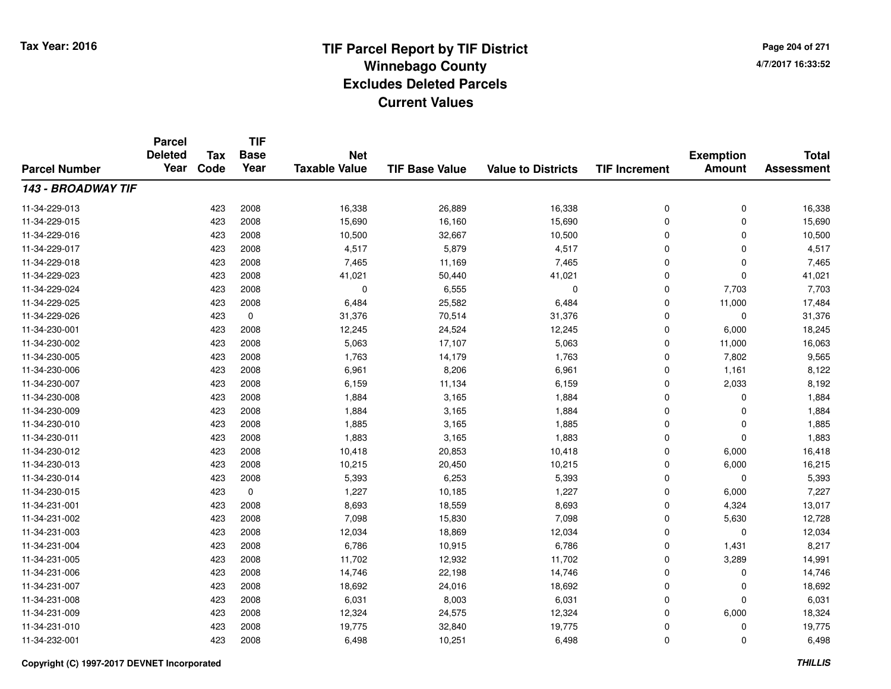**Page 204 of 2714/7/2017 16:33:52**

| <b>Parcel Number</b> | <b>Parcel</b><br><b>Deleted</b><br>Year | <b>Tax</b> | <b>TIF</b><br><b>Base</b> | <b>Net</b>           |                       |                           |                      | <b>Exemption</b> | <b>Total</b>      |
|----------------------|-----------------------------------------|------------|---------------------------|----------------------|-----------------------|---------------------------|----------------------|------------------|-------------------|
|                      |                                         | Code       | Year                      | <b>Taxable Value</b> | <b>TIF Base Value</b> | <b>Value to Districts</b> | <b>TIF Increment</b> | <b>Amount</b>    | <b>Assessment</b> |
| 143 - BROADWAY TIF   |                                         |            |                           |                      |                       |                           |                      |                  |                   |
| 11-34-229-013        |                                         | 423        | 2008                      | 16,338               | 26,889                | 16,338                    | 0                    | $\mathbf 0$      | 16,338            |
| 11-34-229-015        |                                         | 423        | 2008                      | 15,690               | 16,160                | 15,690                    | 0                    | 0                | 15,690            |
| 11-34-229-016        |                                         | 423        | 2008                      | 10,500               | 32,667                | 10,500                    | 0                    | $\mathbf 0$      | 10,500            |
| 11-34-229-017        |                                         | 423        | 2008                      | 4,517                | 5,879                 | 4,517                     | 0                    | 0                | 4,517             |
| 11-34-229-018        |                                         | 423        | 2008                      | 7,465                | 11,169                | 7,465                     | 0                    | $\mathbf 0$      | 7,465             |
| 11-34-229-023        |                                         | 423        | 2008                      | 41,021               | 50,440                | 41,021                    | 0                    | 0                | 41,021            |
| 11-34-229-024        |                                         | 423        | 2008                      | $\mathbf 0$          | 6,555                 | $\mathbf 0$               | 0                    | 7,703            | 7,703             |
| 11-34-229-025        |                                         | 423        | 2008                      | 6,484                | 25,582                | 6,484                     | 0                    | 11,000           | 17,484            |
| 11-34-229-026        |                                         | 423        | $\mathbf 0$               | 31,376               | 70,514                | 31,376                    | 0                    | 0                | 31,376            |
| 11-34-230-001        |                                         | 423        | 2008                      | 12,245               | 24,524                | 12,245                    | 0                    | 6,000            | 18,245            |
| 11-34-230-002        |                                         | 423        | 2008                      | 5,063                | 17,107                | 5,063                     | 0                    | 11,000           | 16,063            |
| 11-34-230-005        |                                         | 423        | 2008                      | 1,763                | 14,179                | 1,763                     | 0                    | 7,802            | 9,565             |
| 11-34-230-006        |                                         | 423        | 2008                      | 6,961                | 8,206                 | 6,961                     | 0                    | 1,161            | 8,122             |
| 11-34-230-007        |                                         | 423        | 2008                      | 6,159                | 11,134                | 6,159                     | 0                    | 2,033            | 8,192             |
| 11-34-230-008        |                                         | 423        | 2008                      | 1,884                | 3,165                 | 1,884                     | 0                    | 0                | 1,884             |
| 11-34-230-009        |                                         | 423        | 2008                      | 1,884                | 3,165                 | 1,884                     | 0                    | 0                | 1,884             |
| 11-34-230-010        |                                         | 423        | 2008                      | 1,885                | 3,165                 | 1,885                     | 0                    | 0                | 1,885             |
| 11-34-230-011        |                                         | 423        | 2008                      | 1,883                | 3,165                 | 1,883                     | 0                    | 0                | 1,883             |
| 11-34-230-012        |                                         | 423        | 2008                      | 10,418               | 20,853                | 10,418                    | 0                    | 6,000            | 16,418            |
| 11-34-230-013        |                                         | 423        | 2008                      | 10,215               | 20,450                | 10,215                    | 0                    | 6,000            | 16,215            |
| 11-34-230-014        |                                         | 423        | 2008                      | 5,393                | 6,253                 | 5,393                     | 0                    | 0                | 5,393             |
| 11-34-230-015        |                                         | 423        | $\mathbf 0$               | 1,227                | 10,185                | 1,227                     | 0                    | 6,000            | 7,227             |
| 11-34-231-001        |                                         | 423        | 2008                      | 8,693                | 18,559                | 8,693                     | 0                    | 4,324            | 13,017            |
| 11-34-231-002        |                                         | 423        | 2008                      | 7,098                | 15,830                | 7,098                     | 0                    | 5,630            | 12,728            |
| 11-34-231-003        |                                         | 423        | 2008                      | 12,034               | 18,869                | 12,034                    | 0                    | 0                | 12,034            |
| 11-34-231-004        |                                         | 423        | 2008                      | 6,786                | 10,915                | 6,786                     | 0                    | 1,431            | 8,217             |
| 11-34-231-005        |                                         | 423        | 2008                      | 11,702               | 12,932                | 11,702                    | 0                    | 3,289            | 14,991            |
| 11-34-231-006        |                                         | 423        | 2008                      | 14,746               | 22,198                | 14,746                    | 0                    | 0                | 14,746            |
| 11-34-231-007        |                                         | 423        | 2008                      | 18,692               | 24,016                | 18,692                    | 0                    | 0                | 18,692            |
| 11-34-231-008        |                                         | 423        | 2008                      | 6,031                | 8,003                 | 6,031                     | 0                    | 0                | 6,031             |
| 11-34-231-009        |                                         | 423        | 2008                      | 12,324               | 24,575                | 12,324                    | 0                    | 6,000            | 18,324            |
| 11-34-231-010        |                                         | 423        | 2008                      | 19,775               | 32,840                | 19,775                    | 0                    | 0                | 19,775            |
| 11-34-232-001        |                                         | 423        | 2008                      | 6,498                | 10,251                | 6,498                     | 0                    | $\mathbf 0$      | 6,498             |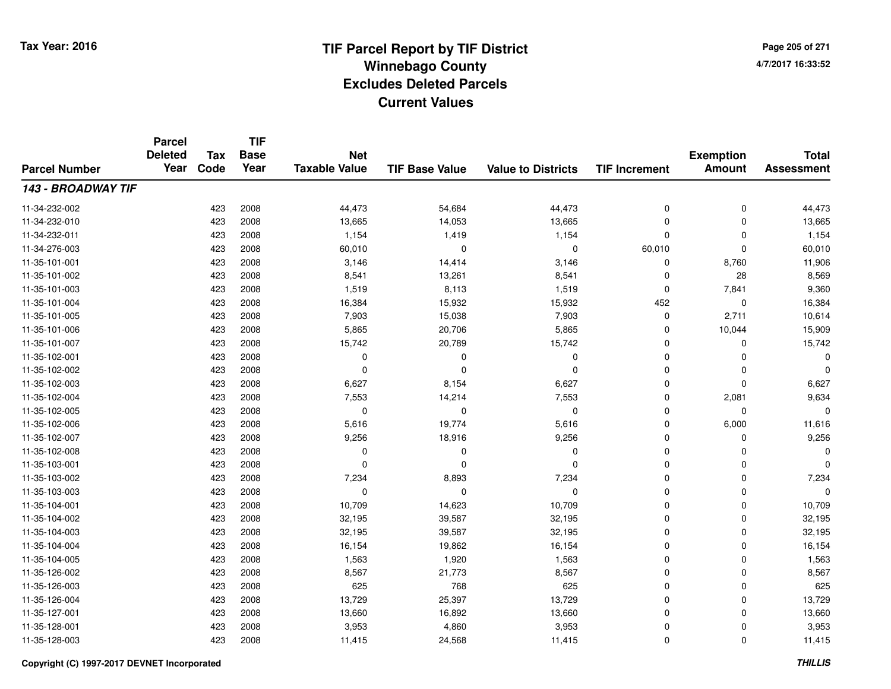**TIF**

**Parcel**

**Page 205 of 2714/7/2017 16:33:52**

#### **TIF Base ValueParcel NumberTotal AssessmentExemption Amount Value to Districts TIF Increment Base YearTax Code Deleted YearNet Taxable Value143 - BROADWAY TIF**11-34-232-0022 423 2008 44,473 54,684 44,473 0 0 44,473 11-34-232-0100 423 2008 13,665 14,053 13,665 0 0 13,665 11-34-232-0111 423 2008 1,154 1,419 1,154 0 0 1,154 11-34-276-003 <sup>423</sup> 60,010 <sup>2008</sup> <sup>0</sup> <sup>0</sup> 60,010 <sup>0</sup> 60,010 11-35-101-0011 423 2008 3,146 14,414 3,146 0 8,760 11,906 11-35-101-0022 423 2008 8,541 13,261 8,541 0 28 8,569 11-35-101-003 <sup>423</sup> 1,519 <sup>2008</sup> 8,113 1,519 <sup>0</sup> 7,841 9,360 11-35-101-004 <sup>423</sup> 16,384 <sup>2008</sup> 15,932 15,932 <sup>452</sup> <sup>0</sup> 16,384 11-35-101-005 <sup>423</sup> 7,903 <sup>2008</sup> 15,038 7,903 <sup>0</sup> 2,711 10,614 11-35-101-006 <sup>423</sup> 5,865 <sup>2008</sup> 20,706 5,865 <sup>0</sup> 10,044 15,909 11-35-101-007 <sup>423</sup> 15,742 <sup>2008</sup> 20,789 15,742 <sup>0</sup> <sup>0</sup> 15,742 11-35-102-001 <sup>423</sup> <sup>0</sup> <sup>2008</sup> <sup>0</sup> <sup>0</sup> <sup>0</sup> <sup>0</sup> <sup>0</sup> 11-35-102-002 <sup>423</sup> <sup>0</sup> <sup>2008</sup> <sup>0</sup> <sup>0</sup> <sup>0</sup> <sup>0</sup> <sup>0</sup> 11-35-102-0033 423 2008 6,627 8,154 6,627 0 0 6,627 11-35-102-004 <sup>423</sup> 7,553 <sup>2008</sup> 14,214 7,553 <sup>0</sup> 2,081 9,634 11-35-102-005 <sup>423</sup> <sup>0</sup> <sup>2008</sup> <sup>0</sup> <sup>0</sup> <sup>0</sup> <sup>0</sup> <sup>0</sup> 11-35-102-0066 423 2008 5,616 19,774 5,616 0 6,000 11,616 11-35-102-007 <sup>423</sup> 9,256 <sup>2008</sup> 18,916 9,256 <sup>0</sup> <sup>0</sup> 9,256 11-35-102-008 <sup>423</sup> <sup>0</sup> <sup>2008</sup> <sup>0</sup> <sup>0</sup> <sup>0</sup> <sup>0</sup> <sup>0</sup> 11-35-103-001 <sup>423</sup> <sup>0</sup> <sup>2008</sup> <sup>0</sup> <sup>0</sup> <sup>0</sup> <sup>0</sup> <sup>0</sup> 11-35-103-0022 423 2008 7,234 8,893 7,234 0 0 7,234 11-35-103-003 <sup>423</sup> <sup>0</sup> <sup>2008</sup> <sup>0</sup> <sup>0</sup> <sup>0</sup> <sup>0</sup> <sup>0</sup> 11-35-104-0011 423 2008 10,709 14,623 10,709 0 0 10,709 11-35-104-002 <sup>423</sup> 32,195 <sup>2008</sup> 39,587 32,195 <sup>0</sup> <sup>0</sup> 32,195 11-35-104-0033 423 2008 32,195 39,587 32,195 0 32,195 11-35-104-004 <sup>423</sup> 16,154 <sup>2008</sup> 19,862 16,154 <sup>0</sup> <sup>0</sup> 16,154 11-35-104-005 <sup>423</sup> 1,563 <sup>2008</sup> 1,920 1,563 <sup>0</sup> <sup>0</sup> 1,563 11-35-126-002 <sup>423</sup> 8,567 <sup>2008</sup> 21,773 8,567 <sup>0</sup> <sup>0</sup> 8,567 11-35-126-0033 423 2008 625 768 625 0 0 625 11-35-126-004 <sup>423</sup> 13,729 <sup>2008</sup> 25,397 13,729 <sup>0</sup> <sup>0</sup> 13,729 11-35-127-0011 423 2008 13,660 16,892 13,660 0 0 13,660 11-35-128-0011 423 2008 3,953 4,860 3,953 0 0 3,953 11-35-128-003<sup>423</sup> 11,415 <sup>2008</sup> 24,568 11,415 <sup>0</sup> <sup>0</sup> 11,415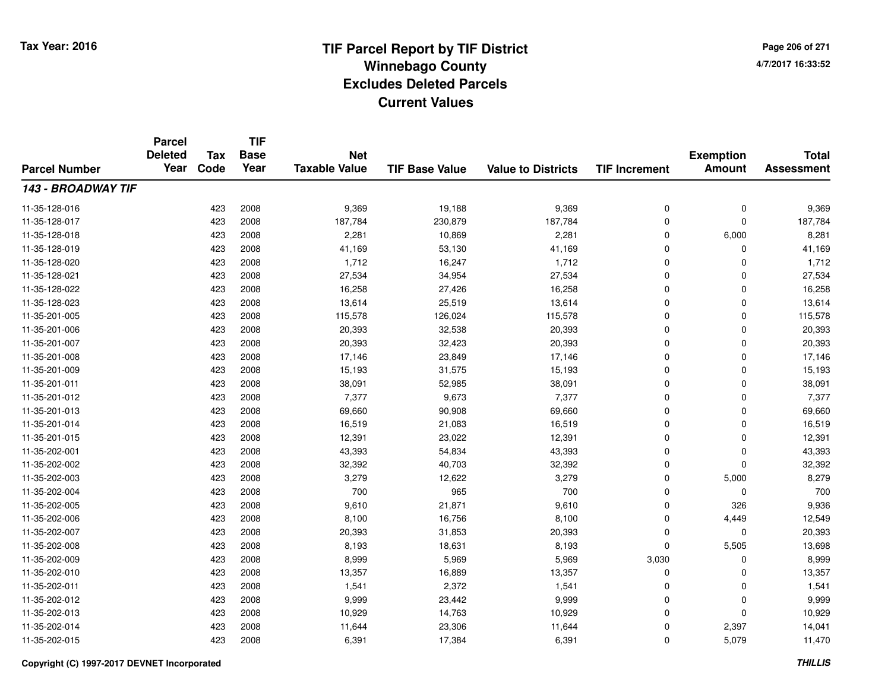**TIF**

**Parcel**

**Page 206 of 2714/7/2017 16:33:52**

#### **TIF Base ValueParcel NumberTotal AssessmentExemption Amount Value to Districts TIF Increment Base YearTax Code Deleted YearNet Taxable Value143 - BROADWAY TIF**11-35-128-0166 423 2008 9,369 19,188 9,369 0 0 9,369 11-35-128-017 <sup>423</sup> 187,784 <sup>2008</sup> 230,879 187,784 <sup>0</sup> <sup>0</sup> 187,784 11-35-128-0188 423 2008 2,281 10,869 2,281 0 6,000 8,281 11-35-128-0199 423 2008 41,169 53,130 41,169 0 0 41,169 11-35-128-0200 423 2008 1,712 16,247 1,712 0 0 1,712 11-35-128-0211 423 2008 27,534 34,954 27,534 0 0 27,534 11-35-128-0222 423 2008 16,258 27,426 16,258 0 0 16,258 11-35-128-0233 423 2008 13,614 25,519 13,614 0 0 13,614 11-35-201-005 <sup>423</sup> 115,578 <sup>2008</sup> 126,024 115,578 <sup>0</sup> <sup>0</sup> 115,578 11-35-201-006 <sup>423</sup> 20,393 <sup>2008</sup> 32,538 20,393 <sup>0</sup> <sup>0</sup> 20,393 11-35-201-007 <sup>423</sup> 20,393 <sup>2008</sup> 32,423 20,393 <sup>0</sup> <sup>0</sup> 20,393 11-35-201-008 <sup>423</sup> 17,146 <sup>2008</sup> 23,849 17,146 <sup>0</sup> <sup>0</sup> 17,146 11-35-201-009 <sup>423</sup> 15,193 <sup>2008</sup> 31,575 15,193 <sup>0</sup> <sup>0</sup> 15,193 11-35-201-0111 423 2008 38,091 52,985 38,091 0 0 38,091 11-35-201-0122 423 2008 7,377 9,673 7,377 0 0 7,377 11-35-201-0133 423 2008 69,660 90,908 69,660 0 0 69,660 11-35-201-014 <sup>423</sup> 16,519 <sup>2008</sup> 21,083 16,519 <sup>0</sup> <sup>0</sup> 16,519 11-35-201-015 <sup>423</sup> 12,391 <sup>2008</sup> 23,022 12,391 <sup>0</sup> <sup>0</sup> 12,391 11-35-202-0011 423 2008 43,393 54,834 43,393 0 0 43,393 11-35-202-002 <sup>423</sup> 32,392 <sup>2008</sup> 40,703 32,392 <sup>0</sup> <sup>0</sup> 32,392 11-35-202-0033 423 2008 3,279 12,622 3,279 0 5,000 8,279 11-35-202-0044 23 2008 700 965 700 700 960 700 0 0 0 700 11-35-202-005 <sup>423</sup> 9,610 <sup>2008</sup> 21,871 9,610 <sup>0</sup> <sup>326</sup> 9,936 11-35-202-006 <sup>423</sup> 8,100 <sup>2008</sup> 16,756 8,100 <sup>0</sup> 4,449 12,549 11-35-202-007 <sup>423</sup> 20,393 <sup>2008</sup> 31,853 20,393 <sup>0</sup> <sup>0</sup> 20,393 11-35-202-0088 423 2008 8,193 18,631 8,193 0 5,505 13,698 11-35-202-009 <sup>423</sup> 8,999 <sup>2008</sup> 5,969 5,969 3,030 <sup>0</sup> 8,999 11-35-202-0100 423 2008 13,357 16,889 13,357 0 0 13,357 11-35-202-0111 423 2008 1,541 2,372 1,541 0 0 1,541 11-35-202-012 <sup>423</sup> 9,999 <sup>2008</sup> 23,442 9,999 <sup>0</sup> <sup>0</sup> 9,999 11-35-202-0133 423 2008 10,929 14,763 10,929 0 0 10,929 11-35-202-014 <sup>423</sup> 11,644 <sup>2008</sup> 23,306 11,644 <sup>0</sup> 2,397 14,041 11-35-202-015<sup>423</sup> 6,391 <sup>2008</sup> 17,384 6,391 <sup>0</sup> 5,079 11,470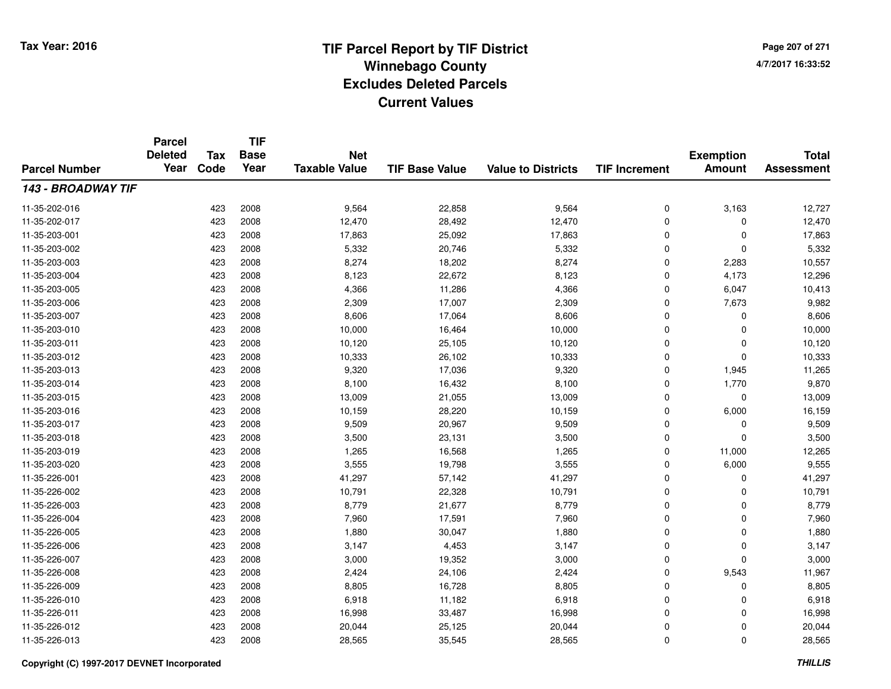**Page 207 of 2714/7/2017 16:33:52**

| <b>Parcel Number</b> | <b>Parcel</b><br><b>Deleted</b><br>Year | <b>Tax</b> | <b>TIF</b><br><b>Base</b> | <b>Net</b><br><b>Taxable Value</b> | <b>TIF Base Value</b> | <b>Value to Districts</b> |                      | <b>Exemption</b><br><b>Amount</b> | <b>Total</b><br><b>Assessment</b> |
|----------------------|-----------------------------------------|------------|---------------------------|------------------------------------|-----------------------|---------------------------|----------------------|-----------------------------------|-----------------------------------|
|                      |                                         | Code       | Year                      |                                    |                       |                           | <b>TIF Increment</b> |                                   |                                   |
| 143 - BROADWAY TIF   |                                         |            |                           |                                    |                       |                           |                      |                                   |                                   |
| 11-35-202-016        |                                         | 423        | 2008                      | 9,564                              | 22,858                | 9,564                     | 0                    | 3,163                             | 12,727                            |
| 11-35-202-017        |                                         | 423        | 2008                      | 12,470                             | 28,492                | 12,470                    | 0                    | 0                                 | 12,470                            |
| 11-35-203-001        |                                         | 423        | 2008                      | 17,863                             | 25,092                | 17,863                    | 0                    | $\Omega$                          | 17,863                            |
| 11-35-203-002        |                                         | 423        | 2008                      | 5,332                              | 20,746                | 5,332                     | 0                    | 0                                 | 5,332                             |
| 11-35-203-003        |                                         | 423        | 2008                      | 8,274                              | 18,202                | 8,274                     | $\mathbf 0$          | 2,283                             | 10,557                            |
| 11-35-203-004        |                                         | 423        | 2008                      | 8,123                              | 22,672                | 8,123                     | 0                    | 4,173                             | 12,296                            |
| 11-35-203-005        |                                         | 423        | 2008                      | 4,366                              | 11,286                | 4,366                     | 0                    | 6,047                             | 10,413                            |
| 11-35-203-006        |                                         | 423        | 2008                      | 2,309                              | 17,007                | 2,309                     | 0                    | 7,673                             | 9,982                             |
| 11-35-203-007        |                                         | 423        | 2008                      | 8,606                              | 17,064                | 8,606                     | 0                    | $\Omega$                          | 8,606                             |
| 11-35-203-010        |                                         | 423        | 2008                      | 10,000                             | 16,464                | 10,000                    | 0                    | $\Omega$                          | 10,000                            |
| 11-35-203-011        |                                         | 423        | 2008                      | 10,120                             | 25,105                | 10,120                    | 0                    | $\Omega$                          | 10,120                            |
| 11-35-203-012        |                                         | 423        | 2008                      | 10,333                             | 26,102                | 10,333                    | 0                    | $\Omega$                          | 10,333                            |
| 11-35-203-013        |                                         | 423        | 2008                      | 9,320                              | 17,036                | 9,320                     | 0                    | 1,945                             | 11,265                            |
| 11-35-203-014        |                                         | 423        | 2008                      | 8,100                              | 16,432                | 8,100                     | 0                    | 1,770                             | 9,870                             |
| 11-35-203-015        |                                         | 423        | 2008                      | 13,009                             | 21,055                | 13,009                    | 0                    | $\mathbf 0$                       | 13,009                            |
| 11-35-203-016        |                                         | 423        | 2008                      | 10,159                             | 28,220                | 10,159                    | 0                    | 6,000                             | 16,159                            |
| 11-35-203-017        |                                         | 423        | 2008                      | 9,509                              | 20,967                | 9,509                     | 0                    | 0                                 | 9,509                             |
| 11-35-203-018        |                                         | 423        | 2008                      | 3,500                              | 23,131                | 3,500                     | 0                    | $\mathbf 0$                       | 3,500                             |
| 11-35-203-019        |                                         | 423        | 2008                      | 1,265                              | 16,568                | 1,265                     | 0                    | 11,000                            | 12,265                            |
| 11-35-203-020        |                                         | 423        | 2008                      | 3,555                              | 19,798                | 3,555                     | 0                    | 6,000                             | 9,555                             |
| 11-35-226-001        |                                         | 423        | 2008                      | 41,297                             | 57,142                | 41,297                    | 0                    | 0                                 | 41,297                            |
| 11-35-226-002        |                                         | 423        | 2008                      | 10,791                             | 22,328                | 10,791                    | 0                    | 0                                 | 10,791                            |
| 11-35-226-003        |                                         | 423        | 2008                      | 8,779                              | 21,677                | 8,779                     | 0                    | $\mathbf 0$                       | 8,779                             |
| 11-35-226-004        |                                         | 423        | 2008                      | 7,960                              | 17,591                | 7,960                     | 0                    | $\mathbf 0$                       | 7,960                             |
| 11-35-226-005        |                                         | 423        | 2008                      | 1,880                              | 30,047                | 1,880                     | 0                    | $\mathbf 0$                       | 1,880                             |
| 11-35-226-006        |                                         | 423        | 2008                      | 3,147                              | 4,453                 | 3,147                     | 0                    | 0                                 | 3,147                             |
| 11-35-226-007        |                                         | 423        | 2008                      | 3,000                              | 19,352                | 3,000                     | 0                    | $\Omega$                          | 3,000                             |
| 11-35-226-008        |                                         | 423        | 2008                      | 2,424                              | 24,106                | 2,424                     | 0                    | 9,543                             | 11,967                            |
| 11-35-226-009        |                                         | 423        | 2008                      | 8,805                              | 16,728                | 8,805                     | 0                    | 0                                 | 8,805                             |
| 11-35-226-010        |                                         | 423        | 2008                      | 6,918                              | 11,182                | 6,918                     | 0                    | 0                                 | 6,918                             |
| 11-35-226-011        |                                         | 423        | 2008                      | 16,998                             | 33,487                | 16,998                    | 0                    | $\Omega$                          | 16,998                            |
| 11-35-226-012        |                                         | 423        | 2008                      | 20,044                             | 25,125                | 20,044                    | 0                    | 0                                 | 20,044                            |
| 11-35-226-013        |                                         | 423        | 2008                      | 28,565                             | 35,545                | 28,565                    | 0                    | $\Omega$                          | 28,565                            |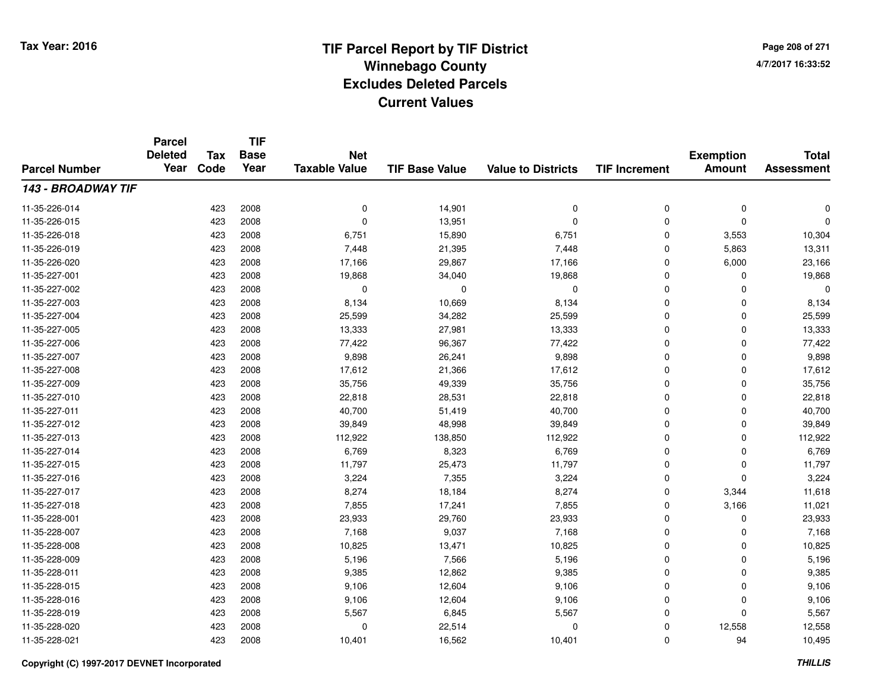**Page 208 of 2714/7/2017 16:33:52**

#### **TIF Base ValueParcel NumberTotal AssessmentExemption Amount Value to Districts TIF IncrementTIF Base YearTax CodeParcel Deleted YearNet Taxable Value143 - BROADWAY TIF**11-35-226-014 <sup>423</sup> <sup>0</sup> <sup>2008</sup> 14,901 <sup>0</sup> <sup>0</sup> <sup>0</sup> <sup>0</sup> 11-35-226-015 <sup>423</sup> <sup>0</sup> <sup>2008</sup> 13,951 <sup>0</sup> <sup>0</sup> <sup>0</sup> <sup>0</sup> 11-35-226-018 <sup>423</sup> 6,751 <sup>2008</sup> 15,890 6,751 <sup>0</sup> 3,553 10,304 11-35-226-019 <sup>423</sup> 7,448 <sup>2008</sup> 21,395 7,448 <sup>0</sup> 5,863 13,311 11-35-226-0200 423 2008 17,166 29,867 17,166 0 6,000 23,166 11-35-227-0011 423 2008 19,868 34,040 19,868 0 0 19,868 11-35-227-002 <sup>423</sup> <sup>0</sup> <sup>2008</sup> <sup>0</sup> <sup>0</sup> <sup>0</sup> <sup>0</sup> <sup>0</sup> 11-35-227-003 $3$  8,134  $423$  2008 8,134  $10,669$  8,134 8,134 0 0 0 8,134 11-35-227-004423 2008 25,599 34,282 25,599 36,599 36,298 25,599 35,599 35,599 35,599 35,599 35,599 35,599 35,599 423 36,599 11-35-227-005 <sup>423</sup> 13,333 <sup>2008</sup> 27,981 13,333 <sup>0</sup> <sup>0</sup> 13,333 11-35-227-0066 423 2008 77,422 96,367 77,422 0 0 77,422 11-35-227-007 <sup>423</sup> 9,898 <sup>2008</sup> 26,241 9,898 <sup>0</sup> <sup>0</sup> 9,898 11-35-227-0088 17,612 2008 17,612 21,366 17,612 2010 21,366 21,5612 21,512 0 0 17,612 11-35-227-0099 423 2008 35,756 49,339 35,756 0 0 35,756 11-35-227-0100 423 2008 22,818 28,531 22,818 0 22,818 11-35-227-0111 1 23 2008 1 20,700 51,419 1 40,700 0 0 0 40,700 11-35-227-0122 423 2008 39,849 48,998 39,849 0 0 39,849 11-35-227-0133 423 2008 112,922 138,850 112,922 0 0 112,922 11-35-227-014 <sup>423</sup> 6,769 <sup>2008</sup> 8,323 6,769 <sup>0</sup> <sup>0</sup> 6,769 11-35-227-015 <sup>423</sup> 11,797 <sup>2008</sup> 25,473 11,797 <sup>0</sup> <sup>0</sup> 11,797 11-35-227-016 <sup>423</sup> 3,224 <sup>2008</sup> 7,355 3,224 <sup>0</sup> <sup>0</sup> 3,224 11-35-227-017 <sup>423</sup> 8,274 <sup>2008</sup> 18,184 8,274 <sup>0</sup> 3,344 11,618 11-35-227-018 <sup>423</sup> 7,855 <sup>2008</sup> 17,241 7,855 <sup>0</sup> 3,166 11,021 11-35-228-0011 423 2008 23,933 29,760 23,933 0 0 23,933 11-35-228-007 <sup>423</sup> 7,168 <sup>2008</sup> 9,037 7,168 <sup>0</sup> <sup>0</sup> 7,168 11-35-228-0088 423 2008 10,825 13,471 10,825 0 0 10,825 11-35-228-0099 423 2008 5,196 7,566 5,196 0 0 5,196 11-35-228-0111 423 2008 9,385 12,862 9,385 0 0 9,385 11-35-228-015 <sup>423</sup> 9,106 <sup>2008</sup> 12,604 9,106 <sup>0</sup> <sup>0</sup> 9,106 11-35-228-016 <sup>423</sup> 9,106 <sup>2008</sup> 12,604 9,106 <sup>0</sup> <sup>0</sup> 9,106 11-35-228-019 <sup>423</sup> 5,567 <sup>2008</sup> 6,845 5,567 <sup>0</sup> <sup>0</sup> 5,567 11-35-228-0200 423 2008 0 22,514 0 0 12,558 12,558 11-35-228-0211 423 2008 10,401 16,562 10,401 0 94 10,495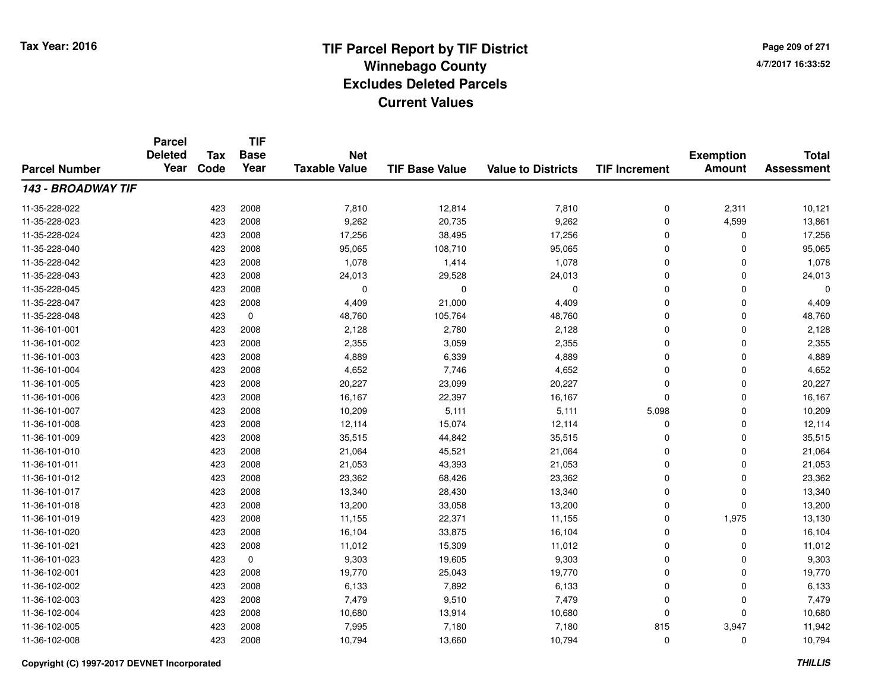**TIF**

**Parcel**

**Page 209 of 2714/7/2017 16:33:52**

#### **TIF Base ValueParcel NumberTotal AssessmentExemption Amount Value to Districts TIF Increment Base YearTax Code Deleted YearNet Taxable Value143 - BROADWAY TIF**11-35-228-0222 423 2008 7,810 12,814 7,810 0 2,311 10,121 11-35-228-023 <sup>423</sup> 9,262 <sup>2008</sup> 20,735 9,262 <sup>0</sup> 4,599 13,861 11-35-228-0244 423 2008 17,256 38,495 17,256 0 0 17,256 11-35-228-0400 423 2008 95,065 108,710 95,065 0 0 95,065 11-35-228-0422 423 2008 1,078 1,414 1,078 0 0 1,078 11-35-228-0433 423 2008 24,013 29,528 24,013 0 0 24,013 11-35-228-045 <sup>423</sup> <sup>0</sup> <sup>2008</sup> <sup>0</sup> <sup>0</sup> <sup>0</sup> <sup>0</sup> <sup>0</sup> 11-35-228-047 <sup>423</sup> 4,409 <sup>2008</sup> 21,000 4,409 <sup>0</sup> <sup>0</sup> 4,409 11-35-228-0488 423 0 48,760 105,764 48,760 0 48,760 11-36-101-0011 423 2008 2,128 2,780 2,128 0 0 2,128 11-36-101-0022 423 2008 2,355 3,059 2,355 0 2,355 11-36-101-0033 423 2008 4,889 6,339 4,889 0 0 4,889 11-36-101-0044 423 2008 4,652 7,746 4,652 0 0 4,652 11-36-101-005 <sup>423</sup> 20,227 <sup>2008</sup> 23,099 20,227 <sup>0</sup> <sup>0</sup> 20,227 11-36-101-006 <sup>423</sup> 16,167 <sup>2008</sup> 22,397 16,167 <sup>0</sup> <sup>0</sup> 16,167 11-36-101-007 <sup>423</sup> 10,209 <sup>2008</sup> 5,111 5,111 5,098 <sup>0</sup> 10,209 11-36-101-0088 12,114 12,114 15,074 12,114 15,074 12,114 0 0 0 12,114 11-36-101-0099 423 2008 35,515 44,842 35,515 0 0 35,515 11-36-101-0100 423 2008 21,064 45,521 21,064 0 0 21,064 11-36-101-0111 423 2008 21,053 43,393 21,053 0 0 21,053 11-36-101-0122 2 423 2008 23,362 68,426 23,362 0 0 23,362 11-36-101-017 <sup>423</sup> 13,340 <sup>2008</sup> 28,430 13,340 <sup>0</sup> <sup>0</sup> 13,340 11-36-101-0188 423 2008 13,200 33,058 13,200 0 0 13,200 11-36-101-019 <sup>423</sup> 11,155 <sup>2008</sup> 22,371 11,155 <sup>0</sup> 1,975 13,130 11-36-101-0200 423 2008 16,104 33,875 16,104 0 0 16,104 11-36-101-0211 423 2008 11,012 15,309 11,012 0 0 11,012 11-36-101-023 <sup>423</sup> 9,303 <sup>0</sup> 19,605 9,303 <sup>0</sup> <sup>0</sup> 9,303 11-36-102-0011 423 2008 19,770 25,043 19,770 0 0 19,770 11-36-102-0022 423 2008 6,133 7,892 6,133 0 0 6,133 11-36-102-0033 423 2008 7,479 9,510 7,479 0 0 7,479 11-36-102-004423 2008 10,680 13,914 10,680 13,914 10,680 0 0 0 10,680 11-36-102-0055 21.5 2008 2008 7,995 2008 2009 7,180 7,180 2015 11,942 3,947 5 3,947 5 3,947 11,942 11-36-102-008<sup>423</sup> 10,794 <sup>2008</sup> 13,660 10,794 <sup>0</sup> <sup>0</sup> 10,794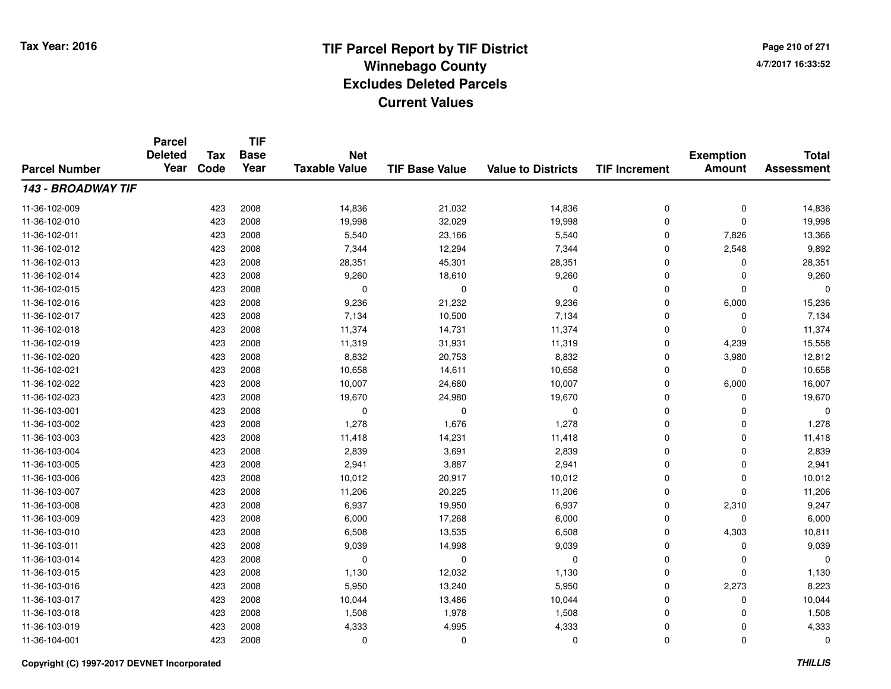**TIF**

**Parcel**

**Page 210 of 2714/7/2017 16:33:52**

#### **TIF Base ValueParcel NumberTotal AssessmentExemption Amount Value to Districts TIF Increment Base YearTax Code Deleted YearNet Taxable Value143 - BROADWAY TIF**11-36-102-0099 423 2008 14,836 21,032 14,836 0 0 14,836 11-36-102-0100 423 2008 19,998 32,029 19,998 0 0 19,998 11-36-102-0111 423 2008 5,540 23,166 5,540 0 7,826 13,366 11-36-102-012 <sup>423</sup> 7,344 <sup>2008</sup> 12,294 7,344 <sup>0</sup> 2,548 9,892 11-36-102-0133 423 2008 28,351 45,301 28,351 0 28,351 11-36-102-014 <sup>423</sup> 9,260 <sup>2008</sup> 18,610 9,260 <sup>0</sup> <sup>0</sup> 9,260 11-36-102-015 <sup>423</sup> <sup>0</sup> <sup>2008</sup> <sup>0</sup> <sup>0</sup> <sup>0</sup> <sup>0</sup> <sup>0</sup> 11-36-102-016 <sup>423</sup> 9,236 <sup>2008</sup> 21,232 9,236 <sup>0</sup> 6,000 15,236 11-36-102-017 <sup>423</sup> 7,134 <sup>2008</sup> 10,500 7,134 <sup>0</sup> <sup>0</sup> 7,134 11-36-102-018 <sup>423</sup> 11,374 <sup>2008</sup> 14,731 11,374 <sup>0</sup> <sup>0</sup> 11,374 11-36-102-0199 423 2008 11,319 31,931 11,319 0 4,239 15,558 11-36-102-0200 423 2008 8,832 20,753 8,832 0 3,980 12,812 11-36-102-0211 423 2008 10,658 14,611 10,658 0 0 10,658 11-36-102-0222 423 2008 10,007 24,680 10,007 0 6,000 16,007 11-36-102-023 <sup>423</sup> 19,670 <sup>2008</sup> 24,980 19,670 <sup>0</sup> <sup>0</sup> 19,670 11-36-103-001 <sup>423</sup> <sup>0</sup> <sup>2008</sup> <sup>0</sup> <sup>0</sup> <sup>0</sup> <sup>0</sup> <sup>0</sup> 11-36-103-0022 423 2008 1,278 1,676 1,278 0 0 1,278 11-36-103-003 <sup>423</sup> 11,418 <sup>2008</sup> 14,231 11,418 <sup>0</sup> <sup>0</sup> 11,418 11-36-103-004423 2008 2,839 2008 2,839 3,691 2,839 2,839 0 0 0 2,839 11-36-103-0055 423 2008 2,941 3,887 2,941 0 2,941 11-36-103-006 <sup>423</sup> 10,012 <sup>2008</sup> 20,917 10,012 <sup>0</sup> <sup>0</sup> 10,012 11-36-103-007 <sup>423</sup> 11,206 <sup>2008</sup> 20,225 11,206 <sup>0</sup> <sup>0</sup> 11,206 11-36-103-0088 423 2008 6,937 19,950 6,937 0 2,310 9,247 11-36-103-0099 423 2008 6,000 17,268 6,000 0 6,000 11-36-103-0100 423 2008 6,508 13,535 6,508 0 4,303 10,811 11-36-103-0111 423 2008 9,039 14,998 9,039 0 0 9,039 11-36-103-014 <sup>423</sup> <sup>0</sup> <sup>2008</sup> <sup>0</sup> <sup>0</sup> <sup>0</sup> <sup>0</sup> <sup>0</sup> 11-36-103-015 <sup>423</sup> 1,130 <sup>2008</sup> 12,032 1,130 <sup>0</sup> <sup>0</sup> 1,130 11-36-103-0166 423 2008 5,950 13,240 5,950 0 2,273 8,223 11-36-103-017 <sup>423</sup> 10,044 <sup>2008</sup> 13,486 10,044 <sup>0</sup> <sup>0</sup> 10,044 11-36-103-0188 423 2008 1,508 1,978 1,508 0 1,508 11-36-103-0199 423 2008 4,333 4,995 4,333 0 4,333 11-36-104-001<sup>423</sup> <sup>0</sup> <sup>2008</sup> <sup>0</sup> <sup>0</sup> <sup>0</sup> <sup>0</sup> <sup>0</sup>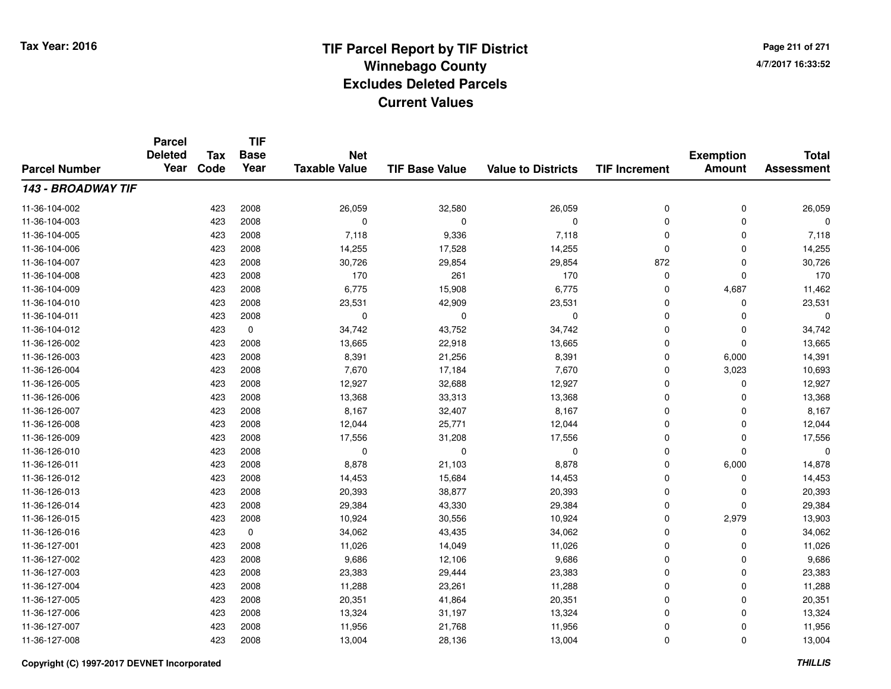**Page 211 of 2714/7/2017 16:33:52**

#### **TIF Base ValueParcel NumberTotal AssessmentExemption Amount Value to Districts TIF IncrementTIF Base YearTax CodeParcel Deleted YearNet Taxable Value143 - BROADWAY TIF**11-36-104-0022 423 2008 26,059 32,580 26,059 0 0 26,059 11-36-104-003 <sup>423</sup> <sup>0</sup> <sup>2008</sup> <sup>0</sup> <sup>0</sup> <sup>0</sup> <sup>0</sup> <sup>0</sup> 11-36-104-005 <sup>423</sup> 7,118 <sup>2008</sup> 9,336 7,118 <sup>0</sup> <sup>0</sup> 7,118 11-36-104-0066 423 2008 14,255 17,528 14,255 0 0 14,255 11-36-104-007 <sup>423</sup> 30,726 <sup>2008</sup> 29,854 29,854 <sup>872</sup> <sup>0</sup> 30,726 11-36-104-008 <sup>423</sup> <sup>170</sup> <sup>2008</sup> <sup>261</sup> <sup>170</sup> <sup>0</sup> <sup>0</sup> <sup>170</sup> 11-36-104-009 <sup>423</sup> 6,775 <sup>2008</sup> 15,908 6,775 <sup>0</sup> 4,687 11,462 11-36-104-0100 423 2008 23,531 42,909 23,531 0 0 23,531 11-36-104-011 <sup>423</sup> <sup>0</sup> <sup>2008</sup> <sup>0</sup> <sup>0</sup> <sup>0</sup> <sup>0</sup> <sup>0</sup> 11-36-104-0122 423 0 34,742 43,752 34,742 0 0 34,742 11-36-126-0022 423 2008 13,665 22,918 13,665 0 0 13,665 11-36-126-0033 423 2008 8,391 21,256 8,391 0 6,000 14,391 11-36-126-004 <sup>423</sup> 7,670 <sup>2008</sup> 17,184 7,670 <sup>0</sup> 3,023 10,693 11-36-126-005 <sup>423</sup> 12,927 <sup>2008</sup> 32,688 12,927 <sup>0</sup> <sup>0</sup> 12,927 11-36-126-0066 423 2008 13,368 33,313 13,368 0 0 13,368 11-36-126-007 <sup>423</sup> 8,167 <sup>2008</sup> 32,407 8,167 <sup>0</sup> <sup>0</sup> 8,167 11-36-126-0088 12,044 23 2008 12,044 25,771 26,044 25,771 26,044 0 0 0 12,044 11-36-126-0099 423 2008 17,556 31,208 17,556 0 0 17,556 11-36-126-010 <sup>423</sup> <sup>0</sup> <sup>2008</sup> <sup>0</sup> <sup>0</sup> <sup>0</sup> <sup>0</sup> <sup>0</sup> 11-36-126-0111 423 2008 8,878 21,103 8,878 0 6,000 14,878 11-36-126-0122 423 2008 14,453 15,684 14,453 0 0 14,453 11-36-126-013 <sup>423</sup> 20,393 <sup>2008</sup> 38,877 20,393 <sup>0</sup> <sup>0</sup> 20,393 11-36-126-0144 23 2008 29,384 43,330 29,384 29,384 29,384 0 0 29,384 11-36-126-015 <sup>423</sup> 10,924 <sup>2008</sup> 30,556 10,924 <sup>0</sup> 2,979 13,903 11-36-126-0166 423 0 34,062 43,435 34,062 0 0 34,062 11-36-127-0011 423 2008 11,026 14,049 11,026 0 11,026 11-36-127-0022 423 2008 9,686 12,106 9,686 0 0 9,686 11-36-127-0033 423 2008 23,383 29,444 23,383 0 0 23,383 11-36-127-0044 423 2008 11,288 23,261 11,288 0 11,288 11-36-127-005 <sup>423</sup> 20,351 <sup>2008</sup> 41,864 20,351 <sup>0</sup> <sup>0</sup> 20,351 11-36-127-006 <sup>423</sup> 13,324 <sup>2008</sup> 31,197 13,324 <sup>0</sup> <sup>0</sup> 13,324 11-36-127-007 <sup>423</sup> 11,956 <sup>2008</sup> 21,768 11,956 <sup>0</sup> <sup>0</sup> 11,956 11-36-127-0088 423 2008 13,004 28,136 13,004 0 0 13,004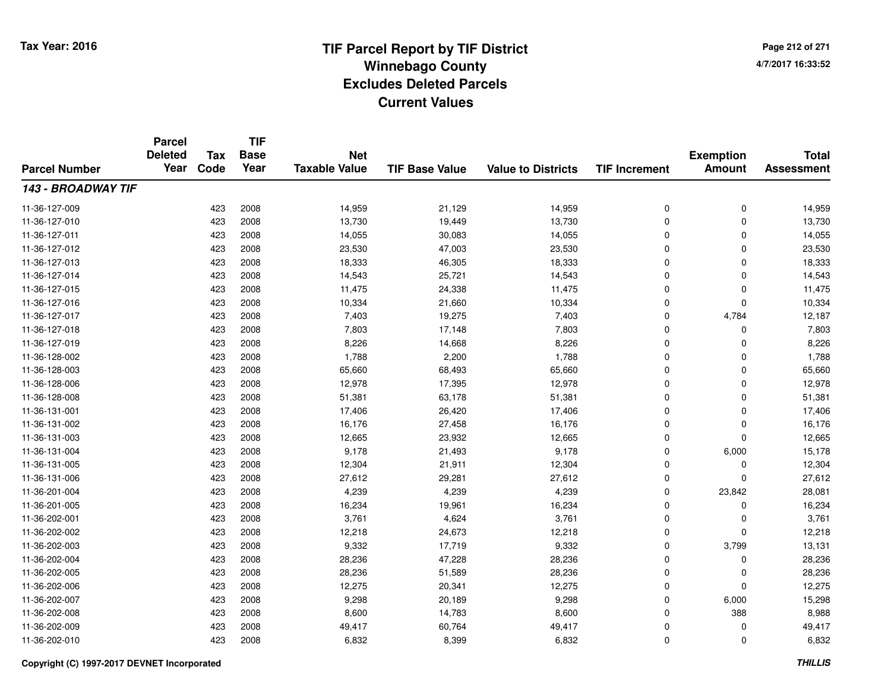**Page 212 of 2714/7/2017 16:33:52**

| <b>Parcel Number</b> | <b>Parcel</b><br><b>Deleted</b><br>Year | Tax  | <b>TIF</b><br><b>Base</b> | <b>Net</b>           |                       |                           |                      | <b>Exemption</b> | <b>Total</b>      |
|----------------------|-----------------------------------------|------|---------------------------|----------------------|-----------------------|---------------------------|----------------------|------------------|-------------------|
|                      |                                         | Code | Year                      | <b>Taxable Value</b> | <b>TIF Base Value</b> | <b>Value to Districts</b> | <b>TIF Increment</b> | <b>Amount</b>    | <b>Assessment</b> |
| 143 - BROADWAY TIF   |                                         |      |                           |                      |                       |                           |                      |                  |                   |
| 11-36-127-009        |                                         | 423  | 2008                      | 14,959               | 21,129                | 14,959                    | 0                    | 0                | 14,959            |
| 11-36-127-010        |                                         | 423  | 2008                      | 13,730               | 19,449                | 13,730                    | 0                    | 0                | 13,730            |
| 11-36-127-011        |                                         | 423  | 2008                      | 14,055               | 30,083                | 14,055                    | 0                    | $\mathbf 0$      | 14,055            |
| 11-36-127-012        |                                         | 423  | 2008                      | 23,530               | 47,003                | 23,530                    | 0                    | 0                | 23,530            |
| 11-36-127-013        |                                         | 423  | 2008                      | 18,333               | 46,305                | 18,333                    | 0                    | $\mathbf 0$      | 18,333            |
| 11-36-127-014        |                                         | 423  | 2008                      | 14,543               | 25,721                | 14,543                    | 0                    | 0                | 14,543            |
| 11-36-127-015        |                                         | 423  | 2008                      | 11,475               | 24,338                | 11,475                    | 0                    | 0                | 11,475            |
| 11-36-127-016        |                                         | 423  | 2008                      | 10,334               | 21,660                | 10,334                    | 0                    | 0                | 10,334            |
| 11-36-127-017        |                                         | 423  | 2008                      | 7,403                | 19,275                | 7,403                     | 0                    | 4,784            | 12,187            |
| 11-36-127-018        |                                         | 423  | 2008                      | 7,803                | 17,148                | 7,803                     | 0                    | 0                | 7,803             |
| 11-36-127-019        |                                         | 423  | 2008                      | 8,226                | 14,668                | 8,226                     | 0                    | $\mathbf 0$      | 8,226             |
| 11-36-128-002        |                                         | 423  | 2008                      | 1,788                | 2,200                 | 1,788                     | 0                    | 0                | 1,788             |
| 11-36-128-003        |                                         | 423  | 2008                      | 65,660               | 68,493                | 65,660                    | 0                    | $\mathbf 0$      | 65,660            |
| 11-36-128-006        |                                         | 423  | 2008                      | 12,978               | 17,395                | 12,978                    | 0                    | 0                | 12,978            |
| 11-36-128-008        |                                         | 423  | 2008                      | 51,381               | 63,178                | 51,381                    | 0                    | $\mathbf 0$      | 51,381            |
| 11-36-131-001        |                                         | 423  | 2008                      | 17,406               | 26,420                | 17,406                    | 0                    | 0                | 17,406            |
| 11-36-131-002        |                                         | 423  | 2008                      | 16,176               | 27,458                | 16,176                    | 0                    | 0                | 16,176            |
| 11-36-131-003        |                                         | 423  | 2008                      | 12,665               | 23,932                | 12,665                    | 0                    | 0                | 12,665            |
| 11-36-131-004        |                                         | 423  | 2008                      | 9,178                | 21,493                | 9,178                     | 0                    | 6,000            | 15,178            |
| 11-36-131-005        |                                         | 423  | 2008                      | 12,304               | 21,911                | 12,304                    | 0                    | 0                | 12,304            |
| 11-36-131-006        |                                         | 423  | 2008                      | 27,612               | 29,281                | 27,612                    | 0                    | 0                | 27,612            |
| 11-36-201-004        |                                         | 423  | 2008                      | 4,239                | 4,239                 | 4,239                     | 0                    | 23,842           | 28,081            |
| 11-36-201-005        |                                         | 423  | 2008                      | 16,234               | 19,961                | 16,234                    | 0                    | 0                | 16,234            |
| 11-36-202-001        |                                         | 423  | 2008                      | 3,761                | 4,624                 | 3,761                     | 0                    | 0                | 3,761             |
| 11-36-202-002        |                                         | 423  | 2008                      | 12,218               | 24,673                | 12,218                    | 0                    | $\mathbf 0$      | 12,218            |
| 11-36-202-003        |                                         | 423  | 2008                      | 9,332                | 17,719                | 9,332                     | 0                    | 3,799            | 13,131            |
| 11-36-202-004        |                                         | 423  | 2008                      | 28,236               | 47,228                | 28,236                    | 0                    | 0                | 28,236            |
| 11-36-202-005        |                                         | 423  | 2008                      | 28,236               | 51,589                | 28,236                    | 0                    | 0                | 28,236            |
| 11-36-202-006        |                                         | 423  | 2008                      | 12,275               | 20,341                | 12,275                    | 0                    | $\mathbf 0$      | 12,275            |
| 11-36-202-007        |                                         | 423  | 2008                      | 9,298                | 20,189                | 9,298                     | 0                    | 6,000            | 15,298            |
| 11-36-202-008        |                                         | 423  | 2008                      | 8,600                | 14,783                | 8,600                     | 0                    | 388              | 8,988             |
| 11-36-202-009        |                                         | 423  | 2008                      | 49,417               | 60,764                | 49,417                    | 0                    | 0                | 49,417            |
| 11-36-202-010        |                                         | 423  | 2008                      | 6,832                | 8,399                 | 6,832                     | 0                    | $\mathbf 0$      | 6,832             |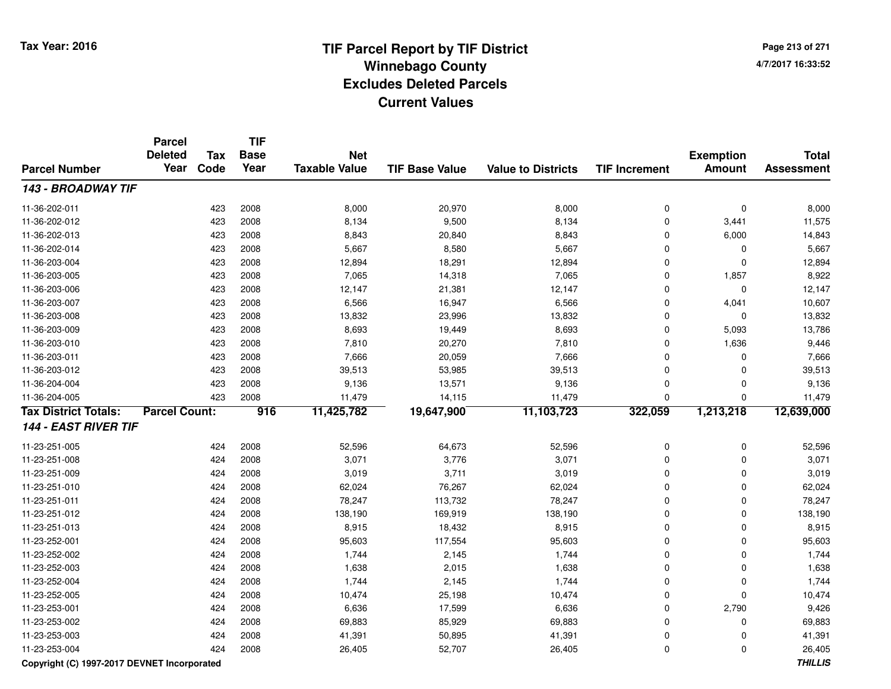**Page 213 of 2714/7/2017 16:33:52**

#### **TIF Base ValueParcel NumberTotal AssessmentExemption Amount Value to Districts TIF IncrementTIF Base YearTax CodeParcel Deleted YearNet Taxable Value143 - BROADWAY TIF**11-36-202-0111 423 2008 8,000 20,970 8,000 0 0 8,000 11-36-202-012 <sup>423</sup> 8,134 <sup>2008</sup> 9,500 8,134 <sup>0</sup> 3,441 11,575 11-36-202-0133 423 2008 8,843 20,840 8,843 0 6,000 14,843 11-36-202-0144 423 2008 5,667 8,580 5,667 0 0 5,667 11-36-203-004423 2008 12,894 18,291 18,294 18,295 18,294 0 0 0 12,894 11-36-203-0055 23 2008 12,065 14,318 7,065 25 7,065 14,318 7,065 25 1,857 8,922 11-36-203-006 <sup>423</sup> 12,147 <sup>2008</sup> 21,381 12,147 <sup>0</sup> <sup>0</sup> 12,147 11-36-203-007 <sup>423</sup> 6,566 <sup>2008</sup> 16,947 6,566 <sup>0</sup> 4,041 10,607 11-36-203-0088 423 2008 13,832 23,996 13,832 0 0 13,832 11-36-203-0099 423 2008 8,693 19,449 8,693 0 5,093 13,786 11-36-203-0100 423 2008 7,810 20,270 7,810 0 1,636 9,446 11-36-203-0111 423 2008 7,666 20,059 7,666 0 7,666 11-36-203-0122 423 2008 39,513 53,985 39,513 0 0 39,513 11-36-204-004 <sup>423</sup> 9,136 <sup>2008</sup> 13,571 9,136 <sup>0</sup> <sup>0</sup> 9,136 11-36-204-005 <sup>423</sup> 11,479 <sup>2008</sup> 14,115 11,479 <sup>0</sup> <sup>0</sup> 11,479 **Tax District Totals: Parcel Count: <sup>916</sup> 11,425,782 19,647,900 11,103,723 322,059 1,213,218 12,639,000 144 - EAST RIVER TIF**11-23-251-005 <sup>424</sup> 52,596 <sup>2008</sup> 64,673 52,596 <sup>0</sup> <sup>0</sup> 52,596 11-23-251-0088 424 2008 3,071 3,776 3,071 0 0 3,071 11-23-251-0099 424 2008 3,019 3,711 3,019 0 0 3,019 11-23-251-0100 424 2008 62,024 76,267 62,024 0 0 62,024 11-23-251-0111 424 2008 78,247 113,732 78,247 0 0 78,247 11-23-251-0122 424 2008 138,190 169,919 138,190 0 138,190 11-23-251-013 $3$  2008 8,915 18,432 8,915 8,915 0 0 8,915 11-23-252-0011 424 2008 95,603 117,554 95,603 0 0 95,603 11-23-252-0022 424 2008 1,744 2,145 1,744 0 0 1,744 11-23-252-0033 424 2008 1,638 2,015 1,638 0 0 1,638 11-23-252-0044 2008 1,744 2.145 1,744 2.145 1,744 0 0 0 1,744 11-23-252-005 <sup>424</sup> 10,474 <sup>2008</sup> 25,198 10,474 <sup>0</sup> <sup>0</sup> 10,474 11-23-253-0011 424 2008 6,636 17,599 6,636 0 2,790 9,426 11-23-253-0022 424 2008 69,883 85,929 69,883 0 0 69,883 11-23-253-0033 424 2008 41,391 50,895 41,391 0 0 41,391 11-23-253-004<sup>424</sup> 26,405 <sup>2008</sup> 52,707 26,405 <sup>0</sup> <sup>0</sup> 26,405

### **Copyright (C) 1997-2017 DEVNET Incorporated**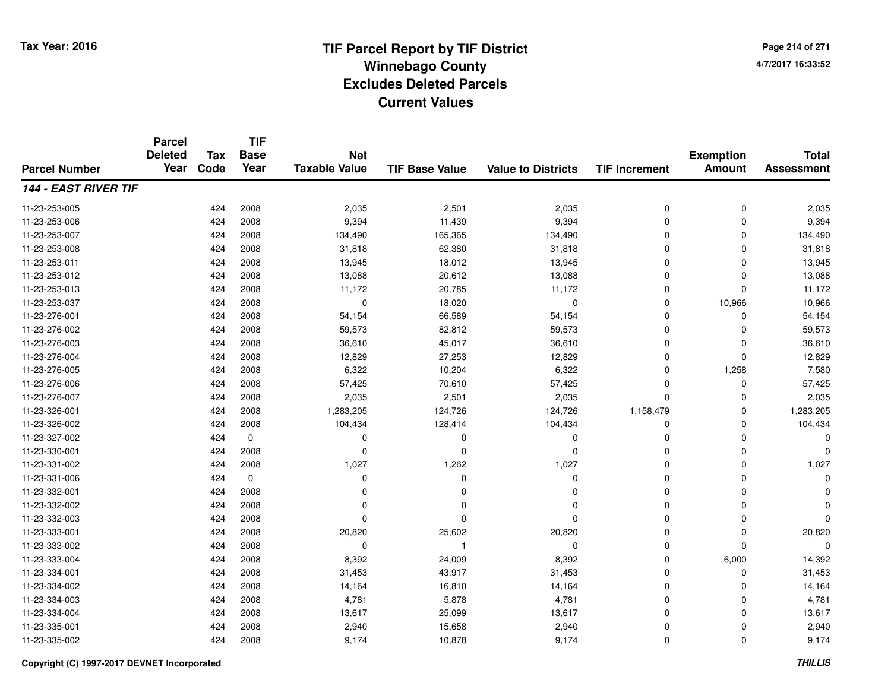**Page 214 of 2714/7/2017 16:33:52**

#### **TIF Base ValueParcel NumberTotal AssessmentExemption Amount Value to Districts TIF IncrementTIF Base YearTax CodeParcel Deleted YearNet Taxable Value144 - EAST RIVER TIF**11-23-253-0055 424 2008 2,035 2,501 2,035 0 2,035 11-23-253-006 <sup>424</sup> 9,394 <sup>2008</sup> 11,439 9,394 <sup>0</sup> <sup>0</sup> 9,394 11-23-253-007 <sup>424</sup> 134,490 <sup>2008</sup> 165,365 134,490 <sup>0</sup> <sup>0</sup> 134,490 11-23-253-0088 424 2008 31,818 62,380 31,818 0 0 31,818 11-23-253-0111 424 2008 13,945 18,012 13,945 0 0 13,945 11-23-253-0122 424 2008 13,088 20,612 13,088 0 0 13,088 11-23-253-013 <sup>424</sup> 11,172 <sup>2008</sup> 20,785 11,172 <sup>0</sup> <sup>0</sup> 11,172 11-23-253-037 <sup>424</sup> <sup>0</sup> <sup>2008</sup> 18,020 <sup>0</sup> <sup>0</sup> 10,966 10,966 11-23-276-0011 424 2008 54,154 66,589 54,154 0 0 54,154 11-23-276-002 <sup>424</sup> 59,573 <sup>2008</sup> 82,812 59,573 <sup>0</sup> <sup>0</sup> 59,573 11-23-276-0033 424 2008 36,610 45,017 36,610 0 0 36,610 11-23-276-0044 424 2008 12,829 27,253 12,829 0 0 12,829 11-23-276-0055 424 2008 6,322 10,204 6,322 0 1,258 7,580 11-23-276-0066 424 2008 57,425 70,610 57,425 0 0 57,425 11-23-276-0077 424 2008 2,035 2,501 2,035 0 2,035 11-23-326-001 <sup>424</sup> 1,283,205 <sup>2008</sup> 124,726 124,726 1,158,479 <sup>0</sup> 1,283,205 11-23-326-0022 424 2008 104,434 128,414 104,434 0 104,434 11-23-327-002 <sup>424</sup> <sup>0</sup> <sup>0</sup> <sup>0</sup> <sup>0</sup> <sup>0</sup> <sup>0</sup> <sup>0</sup> 11-23-330-001 <sup>424</sup> <sup>0</sup> <sup>2008</sup> <sup>0</sup> <sup>0</sup> <sup>0</sup> <sup>0</sup> <sup>0</sup> 11-23-331-0022 424 2008 1,027 1,262 1,027 0 0 1,027 11-23-331-006 <sup>424</sup> <sup>0</sup> <sup>0</sup> <sup>0</sup> <sup>0</sup> <sup>0</sup> <sup>0</sup> <sup>0</sup> 11-23-332-001 <sup>424</sup> <sup>0</sup> <sup>2008</sup> <sup>0</sup> <sup>0</sup> <sup>0</sup> <sup>0</sup> <sup>0</sup> 11-23-332-002 <sup>424</sup> <sup>0</sup> <sup>2008</sup> <sup>0</sup> <sup>0</sup> <sup>0</sup> <sup>0</sup> <sup>0</sup> 11-23-332-003 <sup>424</sup> <sup>0</sup> <sup>2008</sup> <sup>0</sup> <sup>0</sup> <sup>0</sup> <sup>0</sup> <sup>0</sup> 11-23-333-0011 424 2008 20,820 25,602 20,820 0 0 20,820 11-23-333-002 <sup>424</sup> <sup>0</sup> <sup>2008</sup> <sup>1</sup> <sup>0</sup> <sup>0</sup> <sup>0</sup> <sup>0</sup> 11-23-333-004 <sup>424</sup> 8,392 <sup>2008</sup> 24,009 8,392 <sup>0</sup> 6,000 14,392 11-23-334-0011 424 2008 31,453 43,917 31,453 0 0 31,453 11-23-334-0022 14,164 2008 14,164 16,810 14,164 16,810 14,164 0 0 0 14,164 11-23-334-0033 424 2008 4,781 5,878 4,781 0 0 4,781 11-23-334-004 <sup>424</sup> 13,617 <sup>2008</sup> 25,099 13,617 <sup>0</sup> <sup>0</sup> 13,617 11-23-335-0011 424 2008 2,940 15,658 2,940 0 0 2,940 11-23-335-002<sup>424</sup> 9,174 <sup>2008</sup> 10,878 9,174 <sup>0</sup> <sup>0</sup> 9,174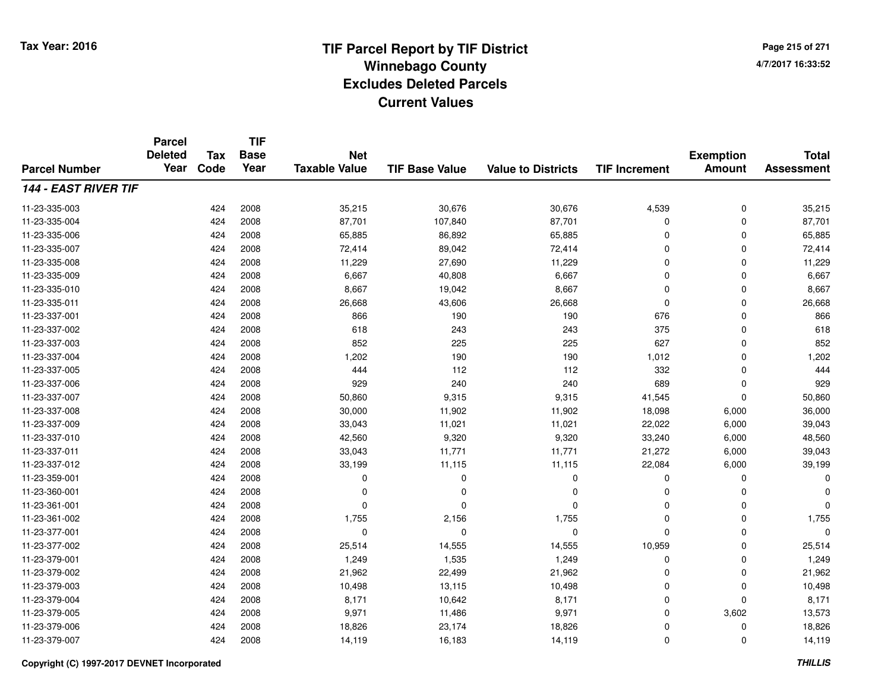**Page 215 of 2714/7/2017 16:33:52**

#### **TIF Base ValueParcel NumberTotal AssessmentExemption Amount Value to Districts TIF IncrementTIF Base YearTax CodeParcel Deleted YearNet Taxable Value144 - EAST RIVER TIF**11-23-335-0033 424 2008 35,215 30,676 30,676 4,539 0 35,215 11-23-335-004 <sup>424</sup> 87,701 <sup>2008</sup> 107,840 87,701 <sup>0</sup> <sup>0</sup> 87,701 11-23-335-0066 424 2008 65,885 86,892 65,885 0 0 65,885 11-23-335-0077 424 2008 72,414 89,042 72,414 0 0 72,414 11-23-335-008 <sup>424</sup> 11,229 <sup>2008</sup> 27,690 11,229 <sup>0</sup> <sup>0</sup> 11,229 11-23-335-0099 424 2008 6,667 40,808 6,667 0 0 6,667 11-23-335-0100 424 2008 8,667 19,042 8,667 0 0 8,667 11-23-335-0111 424 2008 26,668 43,606 26,668 0 0 26,668 11-23-337-0011 424 2008 866 190 190 676 0 866 11-23-337-002 <sup>424</sup> <sup>618</sup> <sup>2008</sup> <sup>243</sup> <sup>243</sup> <sup>375</sup> <sup>0</sup> <sup>618</sup> 11-23-337-003 <sup>424</sup> <sup>852</sup> <sup>2008</sup> <sup>225</sup> <sup>225</sup> <sup>627</sup> <sup>0</sup> <sup>852</sup> 11-23-337-004 <sup>424</sup> 1,202 <sup>2008</sup> <sup>190</sup> <sup>190</sup> 1,012 <sup>0</sup> 1,202 11-23-337-005 <sup>424</sup> <sup>444</sup> <sup>2008</sup> <sup>112</sup> <sup>112</sup> <sup>332</sup> <sup>0</sup> <sup>444</sup> 11-23-337-006 <sup>424</sup> <sup>929</sup> <sup>2008</sup> <sup>240</sup> <sup>240</sup> <sup>689</sup> <sup>0</sup> <sup>929</sup> 11-23-337-007 <sup>424</sup> 50,860 <sup>2008</sup> 9,315 9,315 41,545 <sup>0</sup> 50,860 11-23-337-008 <sup>424</sup> 30,000 <sup>2008</sup> 11,902 11,902 18,098 6,000 36,000 11-23-337-0099 424 2008 33,043 11,021 11,021 22,022 6,000 39,043 11-23-337-0100 424 2008 42,560 9,320 9,320 33,240 6,000 48,560 11-23-337-011 <sup>424</sup> 33,043 <sup>2008</sup> 11,771 11,771 21,272 6,000 39,043 11-23-337-012 <sup>424</sup> 33,199 <sup>2008</sup> 11,115 11,115 22,084 6,000 39,199 11-23-359-001 <sup>424</sup> <sup>0</sup> <sup>2008</sup> <sup>0</sup> <sup>0</sup> <sup>0</sup> <sup>0</sup> <sup>0</sup> 11-23-360-001 <sup>424</sup> <sup>0</sup> <sup>2008</sup> <sup>0</sup> <sup>0</sup> <sup>0</sup> <sup>0</sup> <sup>0</sup> 11-23-361-001 <sup>424</sup> <sup>0</sup> <sup>2008</sup> <sup>0</sup> <sup>0</sup> <sup>0</sup> <sup>0</sup> <sup>0</sup> 11-23-361-0022 424 2008 1,755 2,156 1,755 0 0 1,755 11-23-377-001 <sup>424</sup> <sup>0</sup> <sup>2008</sup> <sup>0</sup> <sup>0</sup> <sup>0</sup> <sup>0</sup> <sup>0</sup> 11-23-377-0022 424 2008 25,514 14,555 14,555 10,959 0 25,514 11-23-379-0011 424 2008 1,249 1,535 1,249 0 0 1,249 11-23-379-0022 2 2 2008 21,962 2 21,962 22,499 21,962 2 21,962 0 21,962 0 21,962 11-23-379-0033 424 2008 10,498 13,115 10,498 0 0 10,498 11-23-379-0044 2008 8,171 10,642 8,171 8,171 0 0 0 8,171 11-23-379-005 <sup>424</sup> 9,971 <sup>2008</sup> 11,486 9,971 <sup>0</sup> 3,602 13,573 11-23-379-0066 424 2008 18,826 23,174 18,826 0 0 18,826 11-23-379-007<sup>424</sup> 14,119 <sup>2008</sup> 16,183 14,119 <sup>0</sup> <sup>0</sup> 14,119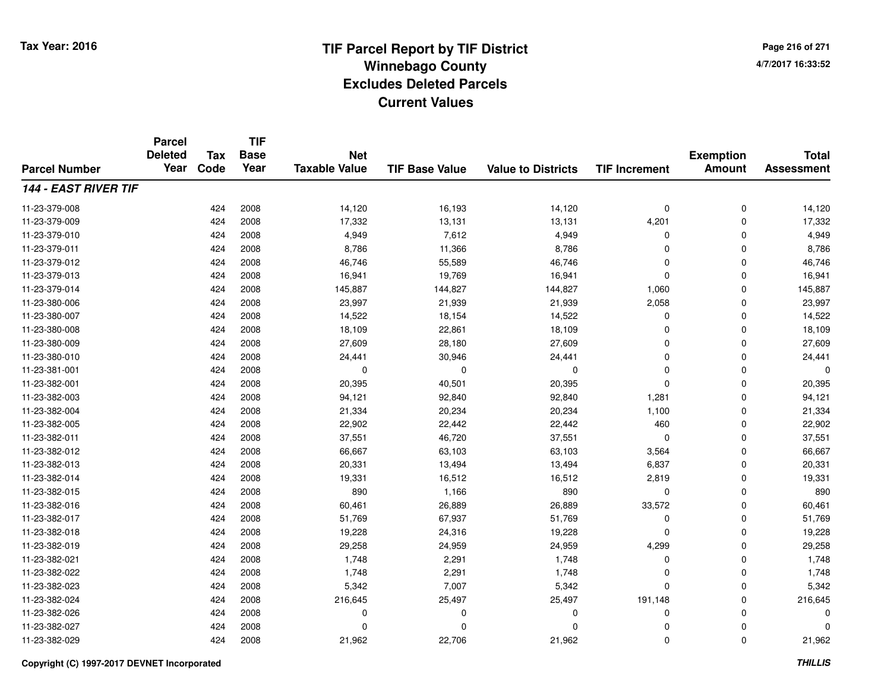**Page 216 of 2714/7/2017 16:33:52**

#### **TIF Base ValueParcel NumberTotal AssessmentExemption Amount Value to Districts TIF IncrementTIF Base YearTax CodeParcel Deleted YearNet Taxable Value144 - EAST RIVER TIF**11-23-379-008 <sup>424</sup> 14,120 <sup>2008</sup> 16,193 14,120 <sup>0</sup> <sup>0</sup> 14,120 11-23-379-009 <sup>424</sup> 17,332 <sup>2008</sup> 13,131 13,131 4,201 <sup>0</sup> 17,332 11-23-379-0100 424 2008 4,949 7,612 4,949 0 0 4,949 11-23-379-0111 424 2008 8,786 11,366 8,786 0 0 8,786 11-23-379-0122 424 2008 46,746 55,589 46,746 0 0 46,746 11-23-379-0133 424 2008 16,941 19,769 16,941 0 0 16,941 11-23-379-014 <sup>424</sup> 145,887 <sup>2008</sup> 144,827 144,827 1,060 <sup>0</sup> 145,887 11-23-380-006 <sup>424</sup> 23,997 <sup>2008</sup> 21,939 21,939 2,058 <sup>0</sup> 23,997 11-23-380-007 <sup>424</sup> 14,522 <sup>2008</sup> 18,154 14,522 <sup>0</sup> <sup>0</sup> 14,522 11-23-380-0088 424 2008 18,109 22,861 18,109 0 0 18,109 11-23-380-0099 424 2008 27,609 28,180 27,609 0 0 27,609 11-23-380-0100 424 2008 24,441 30,946 24,441 0 0 24,441 11-23-381-001 <sup>424</sup> <sup>0</sup> <sup>2008</sup> <sup>0</sup> <sup>0</sup> <sup>0</sup> <sup>0</sup> <sup>0</sup> 11-23-382-0011 424 2008 20,395 40,501 20,395 0 20,395 11-23-382-0033 424 2008 94,121 92,840 92,840 1,281 0 94,121 11-23-382-0044 2008 21,334 200,234 20,234 20,234 1,100 0 21,334 11-23-382-005 <sup>424</sup> 22,902 <sup>2008</sup> 22,442 22,442 <sup>460</sup> <sup>0</sup> 22,902 11-23-382-0111 424 2008 37,551 46,720 37,551 0 0 37,551 11-23-382-0122 424 2008 66,667 63,103 63,103 3,564 0 66,667 11-23-382-0133 424 2008 20,331 13,494 13,494 6,837 0 20,331 11-23-382-014 <sup>424</sup> 19,331 <sup>2008</sup> 16,512 16,512 2,819 <sup>0</sup> 19,331 11-23-382-015 <sup>424</sup> <sup>890</sup> <sup>2008</sup> 1,166 <sup>890</sup> <sup>0</sup> <sup>0</sup> <sup>890</sup> 11-23-382-0166 424 2008 60,461 26,889 26,889 33,572 0 60,461 11-23-382-017 <sup>424</sup> 51,769 <sup>2008</sup> 67,937 51,769 <sup>0</sup> <sup>0</sup> 51,769 11-23-382-0188 424 2008 19,228 24,316 19,228 0 0 19,228 11-23-382-019 <sup>424</sup> 29,258 <sup>2008</sup> 24,959 24,959 4,299 <sup>0</sup> 29,258 11-23-382-0211 424 2008 1,748 2,291 1,748 0 0 1,748 11-23-382-0222 424 2008 1,748 2,291 1,748 0 0 1,748 11-23-382-0233 23 23 23 23 24 2008 23 23 24 24 2008 5,342 23 24 35,342 23 24 35,342 23 24 35,342 23 23 24 35,342 23 23 23 24 35,342 23 23 23 23 23 23 23 23 24 35,342 23 23 23 23 24 35,342 23 23 24 35,342 23 23 24 35,342 23 23 24 35,34 11-23-382-024 <sup>424</sup> 216,645 <sup>2008</sup> 25,497 25,497 191,148 <sup>0</sup> 216,645 11-23-382-026 <sup>424</sup> <sup>0</sup> <sup>2008</sup> <sup>0</sup> <sup>0</sup> <sup>0</sup> <sup>0</sup> <sup>0</sup> 11-23-382-027 <sup>424</sup> <sup>0</sup> <sup>2008</sup> <sup>0</sup> <sup>0</sup> <sup>0</sup> <sup>0</sup> <sup>0</sup> 11-23-382-0299 424 2008 21,962 22,706 21,962 0 0 21,962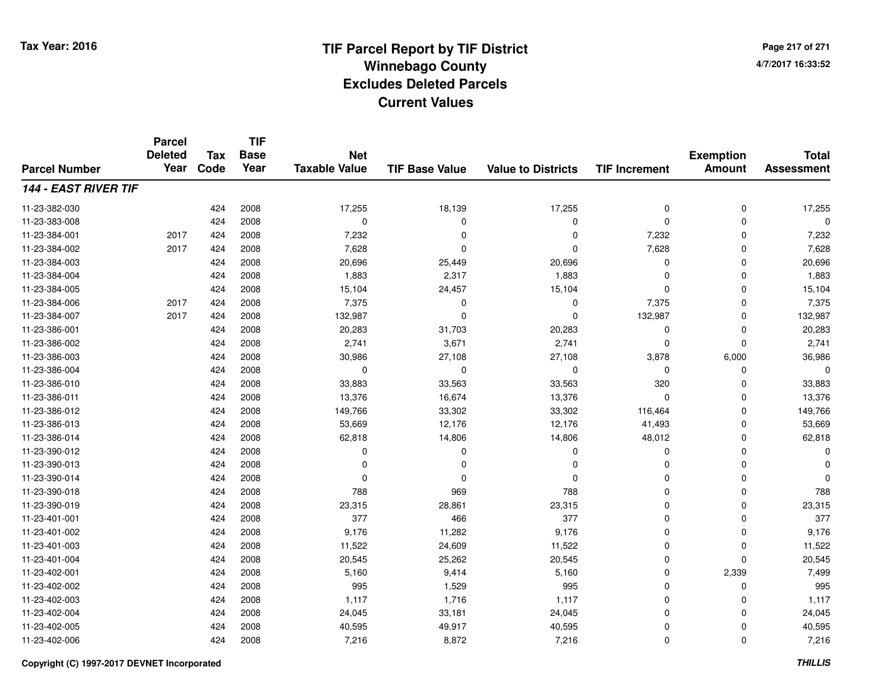**Page 217 of 2714/7/2017 16:33:52**

#### **TIF Base ValueParcel NumberTotal AssessmentExemption Amount Value to Districts TIF IncrementTIF Base YearTax CodeParcel Deleted YearNet Taxable Value144 - EAST RIVER TIF**11-23-382-0300 424 2008 17,255 18,139 17,255 0 0 17,255 11-23-383-008 <sup>424</sup> <sup>0</sup> <sup>2008</sup> <sup>0</sup> <sup>0</sup> <sup>0</sup> <sup>0</sup> <sup>0</sup> 11-23-384-001 <sup>2017</sup> <sup>424</sup> <sup>2008</sup> 7,232 <sup>0</sup> <sup>0</sup> 7,232 <sup>0</sup> 7,232 11-23-384-002 <sup>2017</sup> <sup>424</sup> <sup>2008</sup> 7,628 <sup>0</sup> <sup>0</sup> 7,628 <sup>0</sup> 7,628 11-23-384-0033 424 2008 20,696 25,449 20,696 0 0 20,696 11-23-384-0044 2008 1,883 2007 1,883 2,317 1,883 1,883 0 0 0 1,883 11-23-384-005 <sup>424</sup> 15,104 <sup>2008</sup> 24,457 15,104 <sup>0</sup> <sup>0</sup> 15,104 11-23-384-006 <sup>2017</sup> <sup>424</sup> <sup>2008</sup> 7,375 <sup>0</sup> <sup>0</sup> 7,375 <sup>0</sup> 7,375 11-23-384-007 <sup>2017</sup> <sup>424</sup> <sup>2008</sup> 132,987 <sup>0</sup> <sup>0</sup> 132,987 <sup>0</sup> 132,987 11-23-386-0011 424 2008 20,283 31,703 20,283 0 0 20,283 11-23-386-0022 424 2008 2,741 3,671 2,741 0 0 2,741 11-23-386-003 <sup>424</sup> 30,986 <sup>2008</sup> 27,108 27,108 3,878 6,000 36,986 11-23-386-004 <sup>424</sup> <sup>0</sup> <sup>2008</sup> <sup>0</sup> <sup>0</sup> <sup>0</sup> <sup>0</sup> <sup>0</sup> 11-23-386-010 <sup>424</sup> 33,883 <sup>2008</sup> 33,563 33,563 <sup>320</sup> <sup>0</sup> 33,883 11-23-386-0111 424 2008 13,376 16,674 13,376 0 0 13,376 11-23-386-012 <sup>424</sup> 149,766 <sup>2008</sup> 33,302 33,302 116,464 <sup>0</sup> 149,766 11-23-386-013 <sup>424</sup> 53,669 <sup>2008</sup> 12,176 12,176 41,493 <sup>0</sup> 53,669 11-23-386-014 <sup>424</sup> 62,818 <sup>2008</sup> 14,806 14,806 48,012 <sup>0</sup> 62,818 11-23-390-012 <sup>424</sup> <sup>0</sup> <sup>2008</sup> <sup>0</sup> <sup>0</sup> <sup>0</sup> <sup>0</sup> <sup>0</sup> 11-23-390-013 <sup>424</sup> <sup>0</sup> <sup>2008</sup> <sup>0</sup> <sup>0</sup> <sup>0</sup> <sup>0</sup> <sup>0</sup> 11-23-390-014 <sup>424</sup> <sup>0</sup> <sup>2008</sup> <sup>0</sup> <sup>0</sup> <sup>0</sup> <sup>0</sup> <sup>0</sup> 11-23-390-018 <sup>424</sup> <sup>788</sup> <sup>2008</sup> <sup>969</sup> <sup>788</sup> <sup>0</sup> <sup>0</sup> <sup>788</sup> 11-23-390-0199 424 2008 23,315 28,861 23,315 0 0 23,315 11-23-401-0011 424 2008 377 466 377 0 0 377 11-23-401-002 <sup>424</sup> 9,176 <sup>2008</sup> 11,282 9,176 <sup>0</sup> <sup>0</sup> 9,176 11-23-401-0033 424 2008 11,522 24,609 11,522 0 0 11,522 11-23-401-0044 23 2008 20,545 26,262 26,262 20,545 0 0 0 20,545 11-23-402-0011 424 2008 5,160 9,414 5,160 0 2,339 7,499 11-23-402-002 <sup>424</sup> <sup>995</sup> <sup>2008</sup> 1,529 <sup>995</sup> <sup>0</sup> <sup>0</sup> <sup>995</sup> 11-23-402-0033 1,117 1,117 1,117 1,117 1,117 1,117 1,117 1,117 0 0 0 1,117 11-23-402-004 <sup>424</sup> 24,045 <sup>2008</sup> 33,181 24,045 <sup>0</sup> <sup>0</sup> 24,045 11-23-402-0055 2008 2008 2005 40,595 40,917 49,917 40,595 5 40,595 0 0 0 40,595 11-23-402-0066 424 2008 7,216 8,872 7,216 0 0 7,216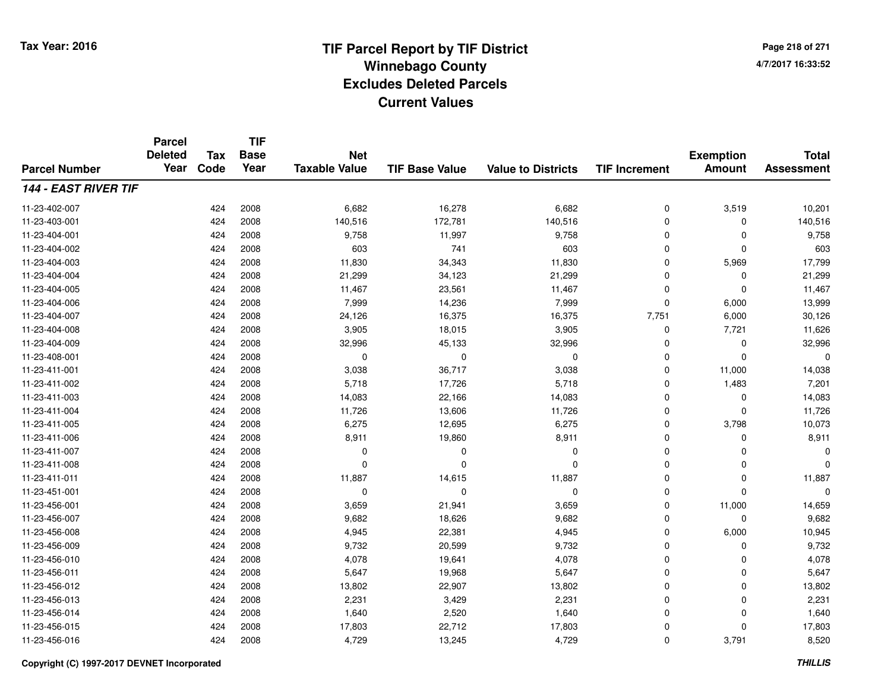**TIF**

**Parcel**

**Page 218 of 2714/7/2017 16:33:52**

#### **TIF Base ValueParcel NumberTotal AssessmentExemption Amount Value to Districts TIF Increment Base YearTax Code Deleted YearNet Taxable Value144 - EAST RIVER TIF**11-23-402-007 <sup>424</sup> 6,682 <sup>2008</sup> 16,278 6,682 <sup>0</sup> 3,519 10,201 11-23-403-0011 424 2008 140,516 172,781 140,516 0 0 140,516 11-23-404-0011 424 2008 9,758 11,997 9,758 0 0 9,758 11-23-404-0022 424 2008 603 741 603 0 0 603 11-23-404-003 <sup>424</sup> 11,830 <sup>2008</sup> 34,343 11,830 <sup>0</sup> 5,969 17,799 11-23-404-004 <sup>424</sup> 21,299 <sup>2008</sup> 34,123 21,299 <sup>0</sup> <sup>0</sup> 21,299 11-23-404-0055 424 2008 11,467 23,561 11,467 0 0 11,467 11-23-404-0066 424 2008 7,999 14,236 7,999 0 6,000 13,999 11-23-404-007 <sup>424</sup> 24,126 <sup>2008</sup> 16,375 16,375 7,751 6,000 30,126 11-23-404-0088 424 2008 3,905 18,015 3,905 0 7,721 11,626 11-23-404-0099 424 2008 32,996 45,133 32,996 0 0 32,996 11-23-408-001 <sup>424</sup> <sup>0</sup> <sup>2008</sup> <sup>0</sup> <sup>0</sup> <sup>0</sup> <sup>0</sup> <sup>0</sup> 11-23-411-0011 424 2008 3,038 36,717 3,038 0 11,000 14,038 11-23-411-002 <sup>424</sup> 5,718 <sup>2008</sup> 17,726 5,718 <sup>0</sup> 1,483 7,201 11-23-411-0033 424 2008 14,083 22,166 14,083 0 0 14,083 11-23-411-0044 424 2008 11,726 13,606 11,726 0 0 11,726 11-23-411-005 <sup>424</sup> 6,275 <sup>2008</sup> 12,695 6,275 <sup>0</sup> 3,798 10,073 11-23-411-0066 424 2008 8,911 19,860 8,911 0 0 8,911 11-23-411-007 <sup>424</sup> <sup>0</sup> <sup>2008</sup> <sup>0</sup> <sup>0</sup> <sup>0</sup> <sup>0</sup> <sup>0</sup> 11-23-411-008 <sup>424</sup> <sup>0</sup> <sup>2008</sup> <sup>0</sup> <sup>0</sup> <sup>0</sup> <sup>0</sup> <sup>0</sup> 11-23-411-0111 424 2008 11,887 14,615 11,887 0 11,887 11-23-451-001 <sup>424</sup> <sup>0</sup> <sup>2008</sup> <sup>0</sup> <sup>0</sup> <sup>0</sup> <sup>0</sup> <sup>0</sup> 11-23-456-0011 424 2008 3,659 21,941 3,659 0 11,000 14,659 11-23-456-007 <sup>424</sup> 9,682 <sup>2008</sup> 18,626 9,682 <sup>0</sup> <sup>0</sup> 9,682 11-23-456-0088 424 2008 4,945 22,381 4,945 0 6,000 10,945 11-23-456-009 <sup>424</sup> 9,732 <sup>2008</sup> 20,599 9,732 <sup>0</sup> <sup>0</sup> 9,732 11-23-456-0100 424 2008 4,078 19,641 4,078 0 0 4,078 11-23-456-0111 424 2008 5,647 19,968 5,647 0 0 5,647 11-23-456-012 <sup>424</sup> 13,802 <sup>2008</sup> 22,907 13,802 <sup>0</sup> <sup>0</sup> 13,802 11-23-456-0133 2008 2,231 2008 2,231 3,429 2,231 2,231 3,429 2,231 0 2,231 0 11-23-456-0144 424 2008 1,640 2,520 1,640 0 0 1,640 11-23-456-015 <sup>424</sup> 17,803 <sup>2008</sup> 22,712 17,803 <sup>0</sup> <sup>0</sup> 17,803 11-23-456-016<sup>424</sup> 4,729 <sup>2008</sup> 13,245 4,729 <sup>0</sup> 3,791 8,520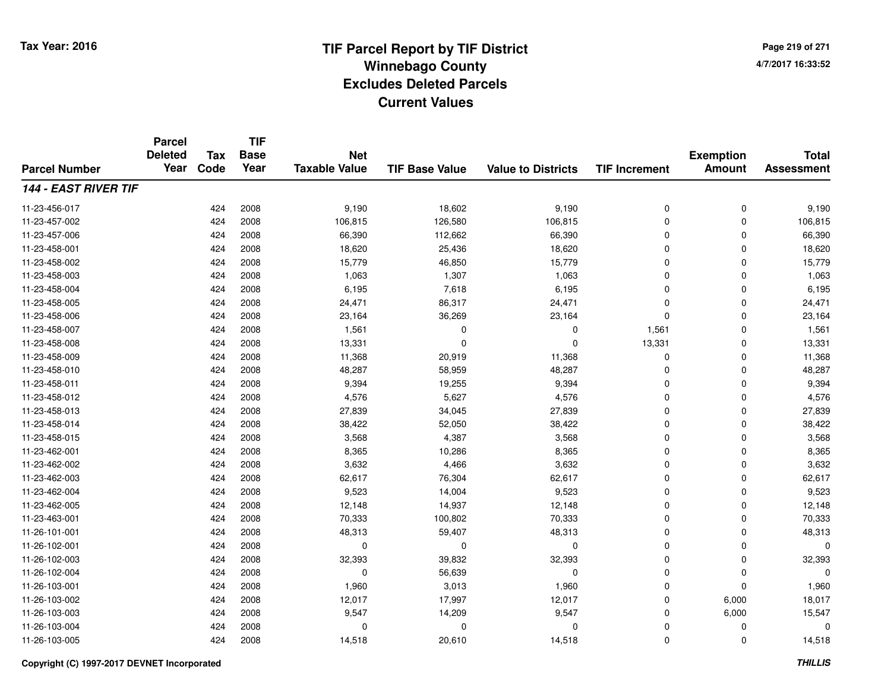**Page 219 of 2714/7/2017 16:33:52**

#### **TIF Base ValueParcel NumberTotal AssessmentExemption Amount Value to Districts TIF IncrementTIF Base YearTax CodeParcel Deleted YearNet Taxable Value144 - EAST RIVER TIF**11-23-456-017 <sup>424</sup> 9,190 <sup>2008</sup> 18,602 9,190 <sup>0</sup> <sup>0</sup> 9,190 11-23-457-0022 424 2008 106,815 126,580 106,815 0 106,815 11-23-457-0066 424 2008 66,390 112,662 66,390 0 0 66,390 11-23-458-0011 424 2008 18,620 25,436 18,620 0 0 18,620 11-23-458-0022 424 2008 15,779 46,850 15,779 0 0 15,779 11-23-458-0033 424 2008 1,063 1,307 1,063 0 0 1,063 11-23-458-004 <sup>424</sup> 6,195 <sup>2008</sup> 7,618 6,195 <sup>0</sup> <sup>0</sup> 6,195 11-23-458-005 <sup>424</sup> 24,471 <sup>2008</sup> 86,317 24,471 <sup>0</sup> <sup>0</sup> 24,471 11-23-458-006 <sup>424</sup> 23,164 <sup>2008</sup> 36,269 23,164 <sup>0</sup> <sup>0</sup> 23,164 11-23-458-007 <sup>424</sup> 1,561 <sup>2008</sup> <sup>0</sup> <sup>0</sup> 1,561 <sup>0</sup> 1,561 11-23-458-008 <sup>424</sup> 13,331 <sup>2008</sup> <sup>0</sup> <sup>0</sup> 13,331 <sup>0</sup> 13,331 11-23-458-0099 424 2008 11,368 20,919 11,368 0 0 11,368 11-23-458-0100 424 2008 48,287 58,959 48,287 0 0 48,287 11-23-458-0111 424 2008 9,394 19,255 9,394 0 0 9,394 11-23-458-0122 424 2008 4,576 5,627 4,576 0 0 4,576 11-23-458-0133 424 2008 27,839 34,045 27,839 0 0 27,839 11-23-458-0144 2008 38,422 52,050 38,422 53,422 54,422 0 0 0 38,422 11-23-458-015 <sup>424</sup> 3,568 <sup>2008</sup> 4,387 3,568 <sup>0</sup> <sup>0</sup> 3,568 11-23-462-0011 424 2008 8,365 10,286 8,365 0 0 8,365 11-23-462-0022 2 424 2008 3,632 4,466 3,632 0 0 3,632 11-23-462-0033 424 2008 62,617 76,304 62,617 0 0 62,617 11-23-462-0044 225 9,523 14,004 9,523 9,523 9,523 9,523 0 0 0 9,523 11-23-462-005 <sup>424</sup> 12,148 <sup>2008</sup> 14,937 12,148 <sup>0</sup> <sup>0</sup> 12,148 11-23-463-0011 424 2008 70,333 100,802 70,333 0 70,333 11-26-101-0011 424 2008 48,313 59,407 48,313 0 0 48,313 11-26-102-001 <sup>424</sup> <sup>0</sup> <sup>2008</sup> <sup>0</sup> <sup>0</sup> <sup>0</sup> <sup>0</sup> <sup>0</sup> 11-26-102-003 <sup>424</sup> 32,393 <sup>2008</sup> 39,832 32,393 <sup>0</sup> <sup>0</sup> 32,393 11-26-102-004 <sup>424</sup> <sup>0</sup> <sup>2008</sup> 56,639 <sup>0</sup> <sup>0</sup> <sup>0</sup> <sup>0</sup> 11-26-103-0011 424 2008 1,960 3,013 1,960 0 0 1,960 11-26-103-0022 424 2008 12,017 17,997 12,017 0 6,000 18,017 11-26-103-0033 424 2008 9,547 14,209 9,547 0 6,000 15,547 11-26-103-004 <sup>424</sup> <sup>0</sup> <sup>2008</sup> <sup>0</sup> <sup>0</sup> <sup>0</sup> <sup>0</sup> <sup>0</sup> 11-26-103-0055 424 2008 14,518 20,610 14,518 0 0 14,518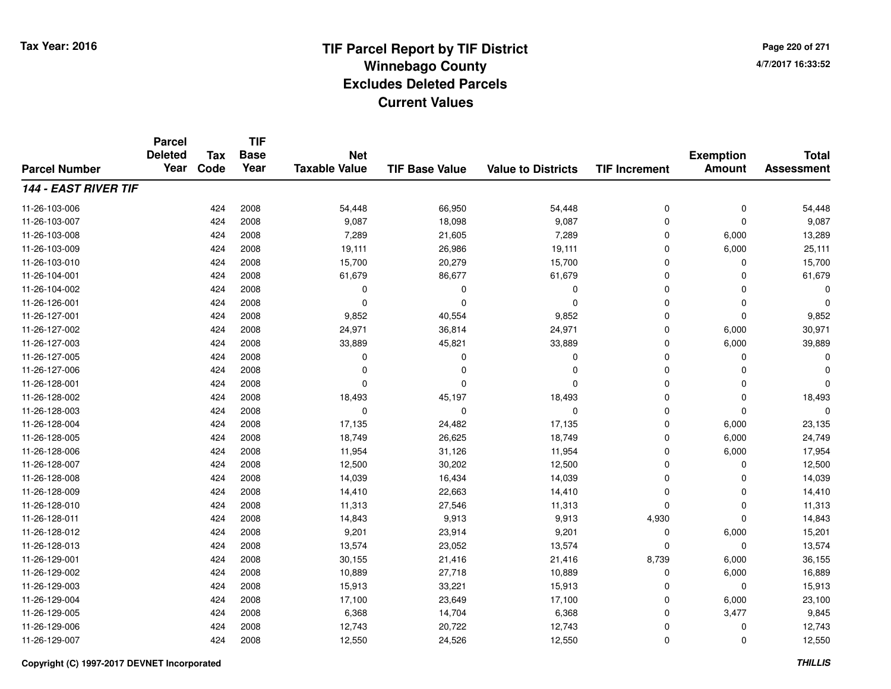**Page 220 of 2714/7/2017 16:33:52**

|                      | <b>Parcel</b><br><b>Deleted</b> | <b>Tax</b> | <b>TIF</b><br><b>Base</b><br>Year | <b>Net</b><br><b>Taxable Value</b> |                       |                           |                      | <b>Exemption</b> | <b>Total</b><br><b>Assessment</b> |
|----------------------|---------------------------------|------------|-----------------------------------|------------------------------------|-----------------------|---------------------------|----------------------|------------------|-----------------------------------|
| <b>Parcel Number</b> | Year                            | Code       |                                   |                                    | <b>TIF Base Value</b> | <b>Value to Districts</b> | <b>TIF Increment</b> | <b>Amount</b>    |                                   |
| 144 - EAST RIVER TIF |                                 |            |                                   |                                    |                       |                           |                      |                  |                                   |
| 11-26-103-006        |                                 | 424        | 2008                              | 54,448                             | 66,950                | 54,448                    | 0                    | 0                | 54,448                            |
| 11-26-103-007        |                                 | 424        | 2008                              | 9,087                              | 18,098                | 9,087                     | 0                    | 0                | 9,087                             |
| 11-26-103-008        |                                 | 424        | 2008                              | 7,289                              | 21,605                | 7,289                     | 0                    | 6,000            | 13,289                            |
| 11-26-103-009        |                                 | 424        | 2008                              | 19,111                             | 26,986                | 19,111                    | 0                    | 6,000            | 25,111                            |
| 11-26-103-010        |                                 | 424        | 2008                              | 15,700                             | 20,279                | 15,700                    | 0                    | $\mathbf 0$      | 15,700                            |
| 11-26-104-001        |                                 | 424        | 2008                              | 61,679                             | 86,677                | 61,679                    | 0                    | 0                | 61,679                            |
| 11-26-104-002        |                                 | 424        | 2008                              | 0                                  | 0                     | 0                         | 0                    | $\mathbf 0$      | O                                 |
| 11-26-126-001        |                                 | 424        | 2008                              | 0                                  | $\Omega$              | $\Omega$                  | 0                    | 0                | $\Omega$                          |
| 11-26-127-001        |                                 | 424        | 2008                              | 9,852                              | 40,554                | 9,852                     | 0                    | $\mathbf 0$      | 9,852                             |
| 11-26-127-002        |                                 | 424        | 2008                              | 24,971                             | 36,814                | 24,971                    | 0                    | 6,000            | 30,971                            |
| 11-26-127-003        |                                 | 424        | 2008                              | 33,889                             | 45,821                | 33,889                    | 0                    | 6,000            | 39,889                            |
| 11-26-127-005        |                                 | 424        | 2008                              | 0                                  | $\Omega$              | 0                         | 0                    | 0                |                                   |
| 11-26-127-006        |                                 | 424        | 2008                              | $\Omega$                           | $\Omega$              | $\Omega$                  | 0                    | 0                |                                   |
| 11-26-128-001        |                                 | 424        | 2008                              | 0                                  | $\Omega$              | $\Omega$                  | 0                    | 0                | $\Omega$                          |
| 11-26-128-002        |                                 | 424        | 2008                              | 18,493                             | 45,197                | 18,493                    | 0                    | $\mathbf 0$      | 18,493                            |
| 11-26-128-003        |                                 | 424        | 2008                              | $\mathbf 0$                        | $\Omega$              | 0                         | 0                    | 0                | $\Omega$                          |
| 11-26-128-004        |                                 | 424        | 2008                              | 17,135                             | 24,482                | 17,135                    | 0                    | 6,000            | 23,135                            |
| 11-26-128-005        |                                 | 424        | 2008                              | 18,749                             | 26,625                | 18,749                    | 0                    | 6,000            | 24,749                            |
| 11-26-128-006        |                                 | 424        | 2008                              | 11,954                             | 31,126                | 11,954                    | 0                    | 6,000            | 17,954                            |
| 11-26-128-007        |                                 | 424        | 2008                              | 12,500                             | 30,202                | 12,500                    | 0                    | 0                | 12,500                            |
| 11-26-128-008        |                                 | 424        | 2008                              | 14,039                             | 16,434                | 14,039                    | 0                    | 0                | 14,039                            |
| 11-26-128-009        |                                 | 424        | 2008                              | 14,410                             | 22,663                | 14,410                    | 0                    | 0                | 14,410                            |
| 11-26-128-010        |                                 | 424        | 2008                              | 11,313                             | 27,546                | 11,313                    | 0                    | 0                | 11,313                            |
| 11-26-128-011        |                                 | 424        | 2008                              | 14,843                             | 9,913                 | 9,913                     | 4,930                | $\mathbf 0$      | 14,843                            |
| 11-26-128-012        |                                 | 424        | 2008                              | 9,201                              | 23,914                | 9,201                     | 0                    | 6,000            | 15,201                            |
| 11-26-128-013        |                                 | 424        | 2008                              | 13,574                             | 23,052                | 13,574                    | 0                    | 0                | 13,574                            |
| 11-26-129-001        |                                 | 424        | 2008                              | 30,155                             | 21,416                | 21,416                    | 8,739                | 6,000            | 36,155                            |
| 11-26-129-002        |                                 | 424        | 2008                              | 10,889                             | 27,718                | 10,889                    | 0                    | 6,000            | 16,889                            |
| 11-26-129-003        |                                 | 424        | 2008                              | 15,913                             | 33,221                | 15,913                    | 0                    | 0                | 15,913                            |
| 11-26-129-004        |                                 | 424        | 2008                              | 17,100                             | 23,649                | 17,100                    | 0                    | 6,000            | 23,100                            |
| 11-26-129-005        |                                 | 424        | 2008                              | 6,368                              | 14,704                | 6,368                     | 0                    | 3,477            | 9,845                             |
| 11-26-129-006        |                                 | 424        | 2008                              | 12,743                             | 20,722                | 12,743                    | 0                    | 0                | 12,743                            |
| 11-26-129-007        |                                 | 424        | 2008                              | 12,550                             | 24,526                | 12,550                    | 0                    | $\mathbf 0$      | 12,550                            |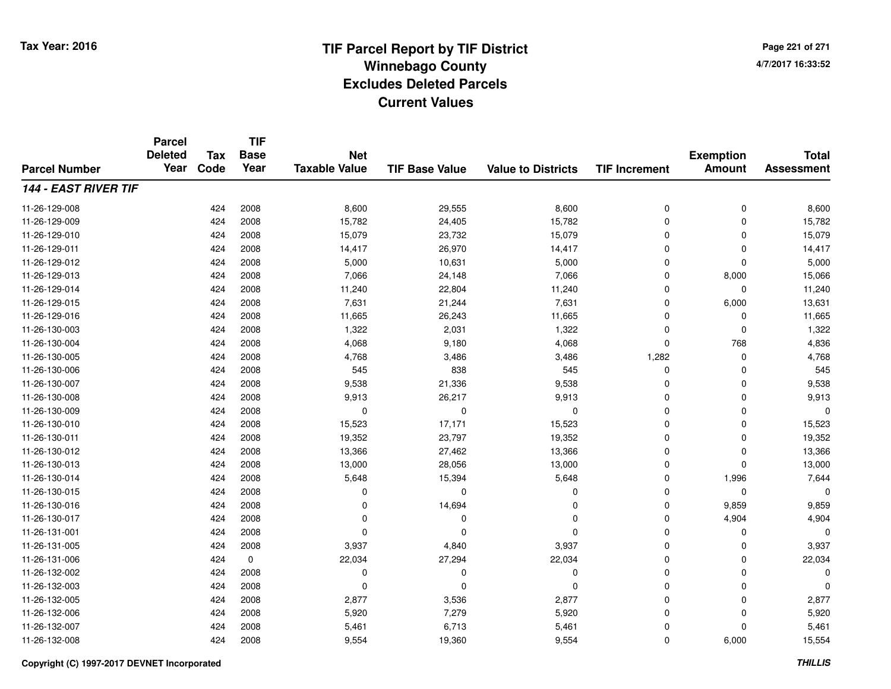**TIF**

**Parcel**

**Page 221 of 2714/7/2017 16:33:52**

#### **TIF Base ValueParcel NumberTotal AssessmentExemption Amount Value to Districts TIF Increment Base YearTax Code Deleted YearNet Taxable Value144 - EAST RIVER TIF**11-26-129-0088 424 2008 8,600 29,555 8,600 0 0 8,600 11-26-129-0099 424 2008 15,782 24,405 15,782 0 0 15,782 11-26-129-0100 424 2008 15,079 23,732 15,079 0 0 15,079 11-26-129-0111 424 2008 14,417 26,970 14,417 0 0 14,417 11-26-129-0122 424 2008 5,000 10,631 5,000 0 5,000 11-26-129-0133 424 2008 7,066 24,148 7,066 0 8,000 15,066 11-26-129-014 <sup>424</sup> 11,240 <sup>2008</sup> 22,804 11,240 <sup>0</sup> <sup>0</sup> 11,240 11-26-129-015 <sup>424</sup> 7,631 <sup>2008</sup> 21,244 7,631 <sup>0</sup> 6,000 13,631 11-26-129-0166 424 2008 11,665 26,243 11,665 0 0 11,665 11-26-130-003 <sup>424</sup> 1,322 <sup>2008</sup> 2,031 1,322 <sup>0</sup> <sup>0</sup> 1,322 11-26-130-004 <sup>424</sup> 4,068 <sup>2008</sup> 9,180 4,068 <sup>0</sup> <sup>768</sup> 4,836 11-26-130-005 <sup>424</sup> 4,768 <sup>2008</sup> 3,486 3,486 1,282 <sup>0</sup> 4,768 11-26-130-0066 424 2008 545 838 545 0 0 545 11-26-130-007 <sup>424</sup> 9,538 <sup>2008</sup> 21,336 9,538 <sup>0</sup> <sup>0</sup> 9,538 11-26-130-008 <sup>424</sup> 9,913 <sup>2008</sup> 26,217 9,913 <sup>0</sup> <sup>0</sup> 9,913 11-26-130-009 <sup>424</sup> <sup>0</sup> <sup>2008</sup> <sup>0</sup> <sup>0</sup> <sup>0</sup> <sup>0</sup> <sup>0</sup> 11-26-130-0100 424 2008 15,523 17,171 15,523 0 0 15,523 11-26-130-0111 424 2008 19,352 23,797 19,352 0 0 19,352 11-26-130-0122 424 2008 13,366 27,462 13,366 0 0 13,366 11-26-130-0133 424 2008 13,000 28,056 13,000 0 0 13,000 11-26-130-0144 5,648 2008 5,648 5,648 5,648 5,648 5,648 5,648 5,648 5,648 5,648 5,648 5,648 5,644 5 11-26-130-015 <sup>424</sup> <sup>0</sup> <sup>2008</sup> <sup>0</sup> <sup>0</sup> <sup>0</sup> <sup>0</sup> <sup>0</sup> 11-26-130-0166 424 2008 0 14,694 0 0 9,859 9,859 11-26-130-017 <sup>424</sup> <sup>0</sup> <sup>2008</sup> <sup>0</sup> <sup>0</sup> <sup>0</sup> 4,904 4,904 11-26-131-001 <sup>424</sup> <sup>0</sup> <sup>2008</sup> <sup>0</sup> <sup>0</sup> <sup>0</sup> <sup>0</sup> <sup>0</sup> 11-26-131-005 <sup>424</sup> 3,937 <sup>2008</sup> 4,840 3,937 <sup>0</sup> <sup>0</sup> 3,937 11-26-131-006 <sup>424</sup> 22,034 <sup>0</sup> 27,294 22,034 <sup>0</sup> <sup>0</sup> 22,034 11-26-132-002 <sup>424</sup> <sup>0</sup> <sup>2008</sup> <sup>0</sup> <sup>0</sup> <sup>0</sup> <sup>0</sup> <sup>0</sup> 11-26-132-003 <sup>424</sup> <sup>0</sup> <sup>2008</sup> <sup>0</sup> <sup>0</sup> <sup>0</sup> <sup>0</sup> <sup>0</sup> 11-26-132-005 <sup>424</sup> 2,877 <sup>2008</sup> 3,536 2,877 <sup>0</sup> <sup>0</sup> 2,877 11-26-132-006 <sup>424</sup> 5,920 <sup>2008</sup> 7,279 5,920 <sup>0</sup> <sup>0</sup> 5,920 11-26-132-007 <sup>424</sup> 5,461 <sup>2008</sup> 6,713 5,461 <sup>0</sup> <sup>0</sup> 5,461 11-26-132-0088 424 2008 9,554 19,360 9,554 0 6,000 15,554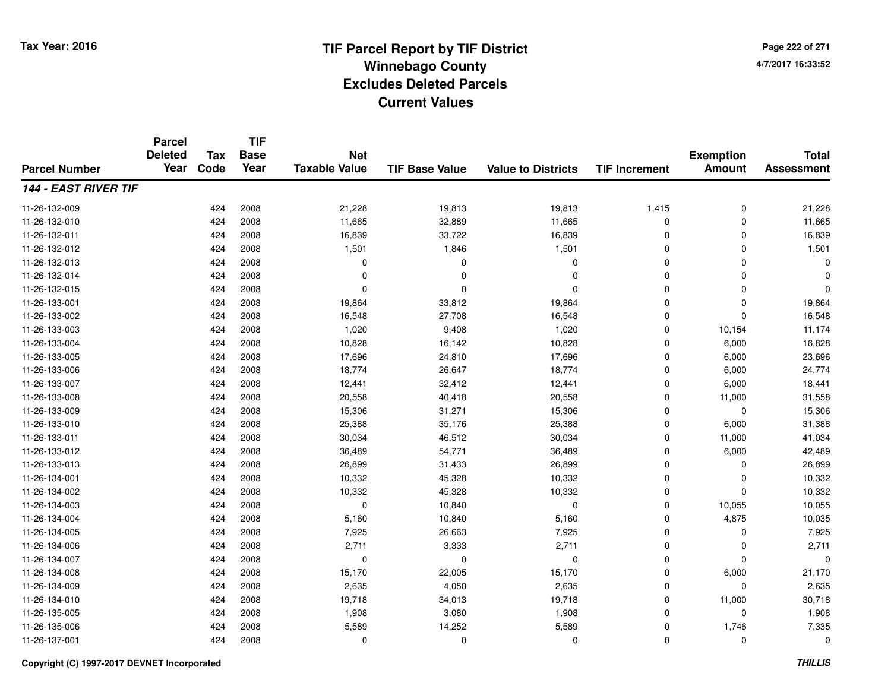**Page 222 of 2714/7/2017 16:33:52**

#### **TIF Base ValueParcel NumberTotal AssessmentExemption Amount Value to Districts TIF IncrementTIF Base YearTax CodeParcel Deleted YearNet Taxable Value144 - EAST RIVER TIF**11-26-132-0099 424 2008 21,228 19,813 19,813 1,415 0 21,228 11-26-132-0100 424 2008 11,665 32,889 11,665 0 0 11,665 11-26-132-0111 424 2008 16,839 33,722 16,839 0 0 16,839 11-26-132-0122 424 2008 1,501 1,846 1,501 0 0 1,501 11-26-132-013 <sup>424</sup> <sup>0</sup> <sup>2008</sup> <sup>0</sup> <sup>0</sup> <sup>0</sup> <sup>0</sup> <sup>0</sup> 11-26-132-014 <sup>424</sup> <sup>0</sup> <sup>2008</sup> <sup>0</sup> <sup>0</sup> <sup>0</sup> <sup>0</sup> <sup>0</sup> 11-26-132-015 <sup>424</sup> <sup>0</sup> <sup>2008</sup> <sup>0</sup> <sup>0</sup> <sup>0</sup> <sup>0</sup> <sup>0</sup> 11-26-133-0011 424 2008 19,864 33,812 19,864 0 0 19,864 11-26-133-0022 424 2008 16,548 27,708 16,548 0 0 16,548 11-26-133-0033 424 2008 1,020 9,408 1,020 0 10,154 11,174 11-26-133-004 <sup>424</sup> 10,828 <sup>2008</sup> 16,142 10,828 <sup>0</sup> 6,000 16,828 11-26-133-005 <sup>424</sup> 17,696 <sup>2008</sup> 24,810 17,696 <sup>0</sup> 6,000 23,696 11-26-133-006 <sup>424</sup> 18,774 <sup>2008</sup> 26,647 18,774 <sup>0</sup> 6,000 24,774 11-26-133-007 <sup>424</sup> 12,441 <sup>2008</sup> 32,412 12,441 <sup>0</sup> 6,000 18,441 11-26-133-0088 424 2008 20,558 40,418 20,558 0 11,000 31,558 11-26-133-0099 424 2008 15,306 31,271 15,306 0 0 15,306 11-26-133-0100 424 2008 25,388 35,176 25,388 0 6,000 31,388 11-26-133-0111 424 2008 30,034 46,512 30,034 0 11,000 41,034 11-26-133-0122 424 2008 36,489 54,771 36,489 0 6,000 42,489 11-26-133-0133 424 2008 26,899 31,433 26,899 0 0 26,899 11-26-134-0011 424 2008 10,332 45,328 10,332 0 0 10,332 11-26-134-0022 2 2 2 3 3 424 2008 2 3 40,332 45,328 5 45,328 5 45,328 5 46,328 5 47,332 5 424 5 424 5,332 5 424 5,332 5 424 11-26-134-0033 424 2008 0 10,840 0 0 10,055 10,055 11-26-134-004 <sup>424</sup> 5,160 <sup>2008</sup> 10,840 5,160 <sup>0</sup> 4,875 10,035 11-26-134-0055 424 2008 7,925 26,663 7,925 0 0 7,925 11-26-134-006 <sup>424</sup> 2,711 <sup>2008</sup> 3,333 2,711 <sup>0</sup> <sup>0</sup> 2,711 11-26-134-007 <sup>424</sup> <sup>0</sup> <sup>2008</sup> <sup>0</sup> <sup>0</sup> <sup>0</sup> <sup>0</sup> <sup>0</sup> 11-26-134-008 <sup>424</sup> 15,170 <sup>2008</sup> 22,005 15,170 <sup>0</sup> 6,000 21,170 11-26-134-0099 424 2008 2,635 4,050 2,635 0 0 2,635 11-26-134-0100 424 2008 19,718 34,013 19,718 0 11,000 30,718 11-26-135-0055 424 2008 1,908 3,080 1,908 0 0 1,908 11-26-135-0066 424 2008 5,589 14,252 5,589 0 1,746 7,335 11-26-137-001<sup>424</sup> <sup>0</sup> <sup>2008</sup> <sup>0</sup> <sup>0</sup> <sup>0</sup> <sup>0</sup> <sup>0</sup>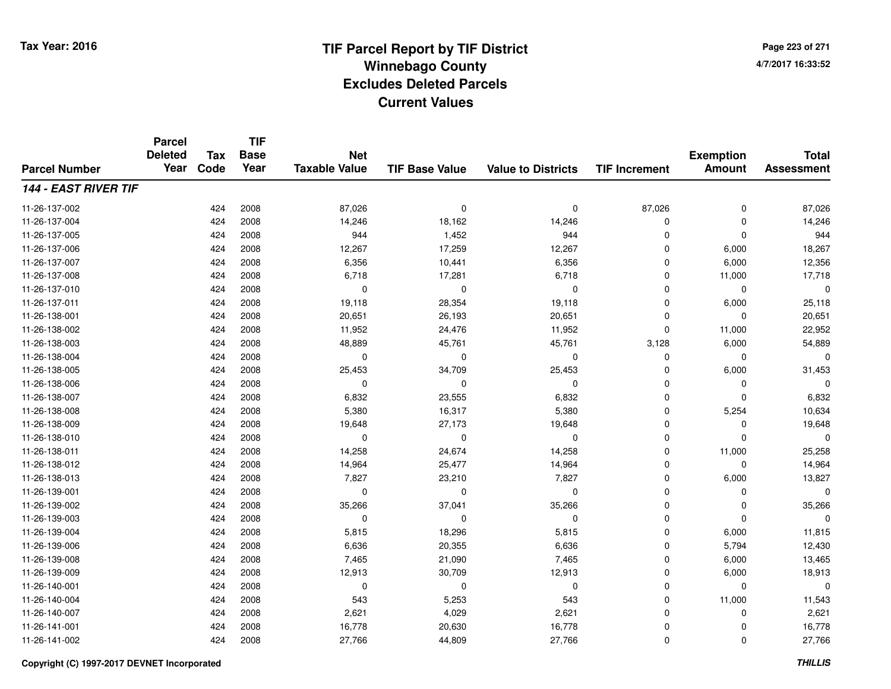**TIF**

**Parcel**

**Page 223 of 2714/7/2017 16:33:52**

#### **TIF Base ValueParcel NumberTotal AssessmentExemption Amount Value to Districts TIF Increment Base YearTax Code Deleted YearNet Taxable Value144 - EAST RIVER TIF**11-26-137-002 <sup>424</sup> 87,026 <sup>2008</sup> <sup>0</sup> <sup>0</sup> 87,026 <sup>0</sup> 87,026 11-26-137-0044 424 2008 14,246 18,162 14,246 0 0 14,246 11-26-137-005 <sup>424</sup> <sup>944</sup> <sup>2008</sup> 1,452 <sup>944</sup> <sup>0</sup> <sup>0</sup> <sup>944</sup> 11-26-137-006 <sup>424</sup> 12,267 <sup>2008</sup> 17,259 12,267 <sup>0</sup> 6,000 18,267 11-26-137-007 <sup>424</sup> 6,356 <sup>2008</sup> 10,441 6,356 <sup>0</sup> 6,000 12,356 11-26-137-008 <sup>424</sup> 6,718 <sup>2008</sup> 17,281 6,718 <sup>0</sup> 11,000 17,718 11-26-137-010 <sup>424</sup> <sup>0</sup> <sup>2008</sup> <sup>0</sup> <sup>0</sup> <sup>0</sup> <sup>0</sup> <sup>0</sup> 11-26-137-0111 424 2008 19,118 28,354 19,118 0 6,000 25,118 11-26-138-0011 424 2008 20,651 26,193 20,651 0 0 20,651 11-26-138-002 <sup>424</sup> 11,952 <sup>2008</sup> 24,476 11,952 <sup>0</sup> 11,000 22,952 11-26-138-0033 424 2008 48,889 45,761 45,761 3,128 6,000 54,889 11-26-138-004 <sup>424</sup> <sup>0</sup> <sup>2008</sup> <sup>0</sup> <sup>0</sup> <sup>0</sup> <sup>0</sup> <sup>0</sup> 11-26-138-005 <sup>424</sup> 25,453 <sup>2008</sup> 34,709 25,453 <sup>0</sup> 6,000 31,453 11-26-138-006 <sup>424</sup> <sup>0</sup> <sup>2008</sup> <sup>0</sup> <sup>0</sup> <sup>0</sup> <sup>0</sup> <sup>0</sup> 11-26-138-007 <sup>424</sup> 6,832 <sup>2008</sup> 23,555 6,832 <sup>0</sup> <sup>0</sup> 6,832 11-26-138-0088 424 2008 5,380 16,317 5,380 0 5,254 10,634 11-26-138-0099 424 2008 19,648 27,173 19,648 0 0 19,648 11-26-138-010 <sup>424</sup> <sup>0</sup> <sup>2008</sup> <sup>0</sup> <sup>0</sup> <sup>0</sup> <sup>0</sup> <sup>0</sup> 11-26-138-0111 424 2008 14,258 24,674 14,258 0 11,000 25,258 11-26-138-0122 2 2 2 3 424 2008 14,964 2 25,477 2 14,964 2 25,477 14,964 2 2 2 2 3 44,964 2 2 2 2 2 2 2 2 2 2 2 2 2 2 2 2 2 11-26-138-0133 424 2008 7,827 23,210 7,827 0 6,000 13,827 11-26-139-001 <sup>424</sup> <sup>0</sup> <sup>2008</sup> <sup>0</sup> <sup>0</sup> <sup>0</sup> <sup>0</sup> <sup>0</sup> 11-26-139-0022 424 2008 35,266 37,041 35,266 0 0 35,266 11-26-139-003 <sup>424</sup> <sup>0</sup> <sup>2008</sup> <sup>0</sup> <sup>0</sup> <sup>0</sup> <sup>0</sup> <sup>0</sup> 11-26-139-004 <sup>424</sup> 5,815 <sup>2008</sup> 18,296 5,815 <sup>0</sup> 6,000 11,815 11-26-139-0066 424 2008 6,636 20,355 6,636 0 5,794 12,430 11-26-139-0088 424 2008 7,465 21,090 7,465 0 6,000 13,465 11-26-139-0099 424 2008 12,913 30,709 12,913 0 6,000 18,913 11-26-140-001 <sup>424</sup> <sup>0</sup> <sup>2008</sup> <sup>0</sup> <sup>0</sup> <sup>0</sup> <sup>0</sup> <sup>0</sup> 11-26-140-004 <sup>424</sup> <sup>543</sup> <sup>2008</sup> 5,253 <sup>543</sup> <sup>0</sup> 11,000 11,543 11-26-140-0077 424 2008 2,621 4,029 2,621 0 2,621 11-26-141-0011 424 2008 16,778 20,630 16,778 0 0 16,778 11-26-141-0022 424 2008 27,766 44,809 27,766 0 0 27,766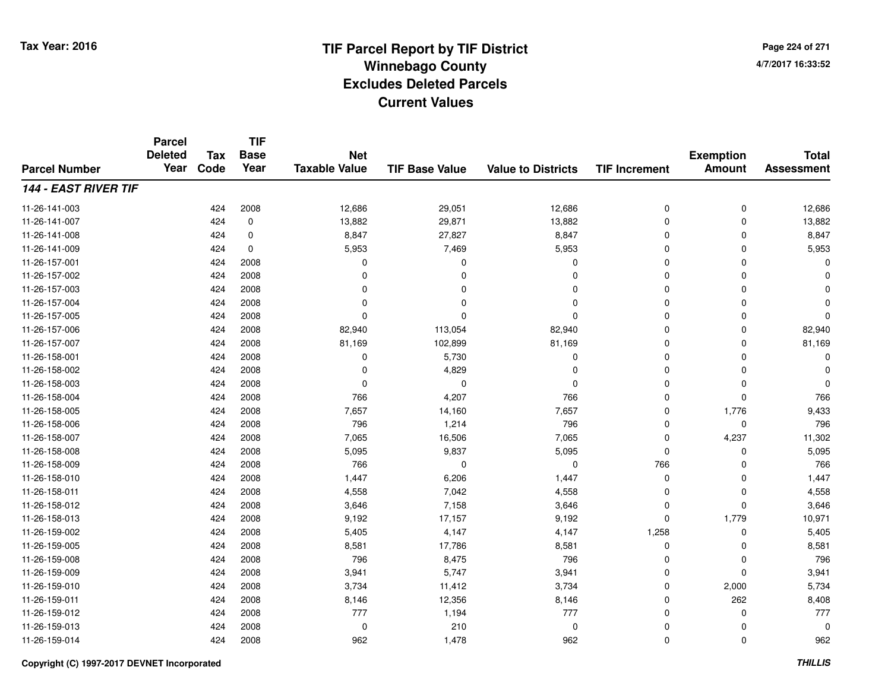**Page 224 of 2714/7/2017 16:33:52**

#### **TIF Base ValueParcel NumberTotal AssessmentExemption Amount Value to Districts TIF IncrementTIF Base YearTax CodeParcel Deleted YearNet Taxable Value144 - EAST RIVER TIF**11-26-141-0033 424 2008 12,686 29,051 12,686 0 0 12,686 11-26-141-0077 424 0 13,882 29,871 13,882 0 0 13,882 11-26-141-0088 424 0 8,847 27,827 8,847 0 0 8,847 11-26-141-0099 424 0 5,953 7,469 5,953 0 0 5,953 11-26-157-001 <sup>424</sup> <sup>0</sup> <sup>2008</sup> <sup>0</sup> <sup>0</sup> <sup>0</sup> <sup>0</sup> <sup>0</sup> 11-26-157-002 <sup>424</sup> <sup>0</sup> <sup>2008</sup> <sup>0</sup> <sup>0</sup> <sup>0</sup> <sup>0</sup> <sup>0</sup> 11-26-157-003 <sup>424</sup> <sup>0</sup> <sup>2008</sup> <sup>0</sup> <sup>0</sup> <sup>0</sup> <sup>0</sup> <sup>0</sup> 11-26-157-004 <sup>424</sup> <sup>0</sup> <sup>2008</sup> <sup>0</sup> <sup>0</sup> <sup>0</sup> <sup>0</sup> <sup>0</sup> 11-26-157-005 <sup>424</sup> <sup>0</sup> <sup>2008</sup> <sup>0</sup> <sup>0</sup> <sup>0</sup> <sup>0</sup> <sup>0</sup> 11-26-157-006 <sup>424</sup> 82,940 <sup>2008</sup> 113,054 82,940 <sup>0</sup> <sup>0</sup> 82,940 11-26-157-007 <sup>424</sup> 81,169 <sup>2008</sup> 102,899 81,169 <sup>0</sup> <sup>0</sup> 81,169 11-26-158-0011 and  $424$  2008 cm  $10$  being  $5,730$  cm  $0$  cm  $0$  cm  $0$  cm  $0$  cm  $0$  cm  $0$  cm  $0$  cm  $0$  cm  $0$  cm  $0$  cm  $0$  cm  $0$  cm  $0$  cm  $0$  cm  $0$  cm  $0$  cm  $0$  cm  $0$  cm  $0$  cm  $0$  cm  $0$  cm  $0$  cm  $0$  cm  $0$  cm  $0$  cm  $0$  11-26-158-002 <sup>424</sup> <sup>0</sup> <sup>2008</sup> 4,829 <sup>0</sup> <sup>0</sup> <sup>0</sup> <sup>0</sup> 11-26-158-003 <sup>424</sup> <sup>0</sup> <sup>2008</sup> <sup>0</sup> <sup>0</sup> <sup>0</sup> <sup>0</sup> <sup>0</sup> 11-26-158-0044 424 2008 766 4,207 766 0 0 766 11-26-158-005 <sup>424</sup> 7,657 <sup>2008</sup> 14,160 7,657 <sup>0</sup> 1,776 9,433 11-26-158-0066 424 2008 796 1,214 796 0 0 796 11-26-158-007 <sup>424</sup> 7,065 <sup>2008</sup> 16,506 7,065 <sup>0</sup> 4,237 11,302 11-26-158-008 <sup>424</sup> 5,095 <sup>2008</sup> 9,837 5,095 <sup>0</sup> <sup>0</sup> 5,095 11-26-158-009 <sup>424</sup> <sup>766</sup> <sup>2008</sup> <sup>0</sup> <sup>0</sup> <sup>766</sup> <sup>0</sup> <sup>766</sup> 11-26-158-0100 424 2008 1,447 6,206 1,447 0 0 1,447 11-26-158-0111 424 2008 4,558 7,042 4,558 0 0 4,558 11-26-158-0122 424 2008 3,646 7,158 3,646 0 0 3,646 11-26-158-013 <sup>424</sup> 9,192 <sup>2008</sup> 17,157 9,192 <sup>0</sup> 1,779 10,971 11-26-159-002 <sup>424</sup> 5,405 <sup>2008</sup> 4,147 4,147 1,258 <sup>0</sup> 5,405 11-26-159-005 <sup>424</sup> 8,581 <sup>2008</sup> 17,786 8,581 <sup>0</sup> <sup>0</sup> 8,581 11-26-159-008 <sup>424</sup> <sup>796</sup> <sup>2008</sup> 8,475 <sup>796</sup> <sup>0</sup> <sup>0</sup> <sup>796</sup> 11-26-159-0099 424 2008 3,941 5,747 3,941 0 0 3,941 11-26-159-0100 424 2008 3,734 11,412 3,734 0 2,000 5,734 11-26-159-0111 424 2008 8,146 12,356 8,146 0 262 8,408 11-26-159-012 <sup>424</sup> <sup>777</sup> <sup>2008</sup> 1,194 <sup>777</sup> <sup>0</sup> <sup>0</sup> <sup>777</sup> 11-26-159-013 $3$  0  $424$  2008 0 0  $210$  0 0 0 0 0 0 0 0 0 11-26-159-014<sup>424</sup> <sup>962</sup> <sup>2008</sup> 1,478 <sup>962</sup> <sup>0</sup> <sup>0</sup> <sup>962</sup>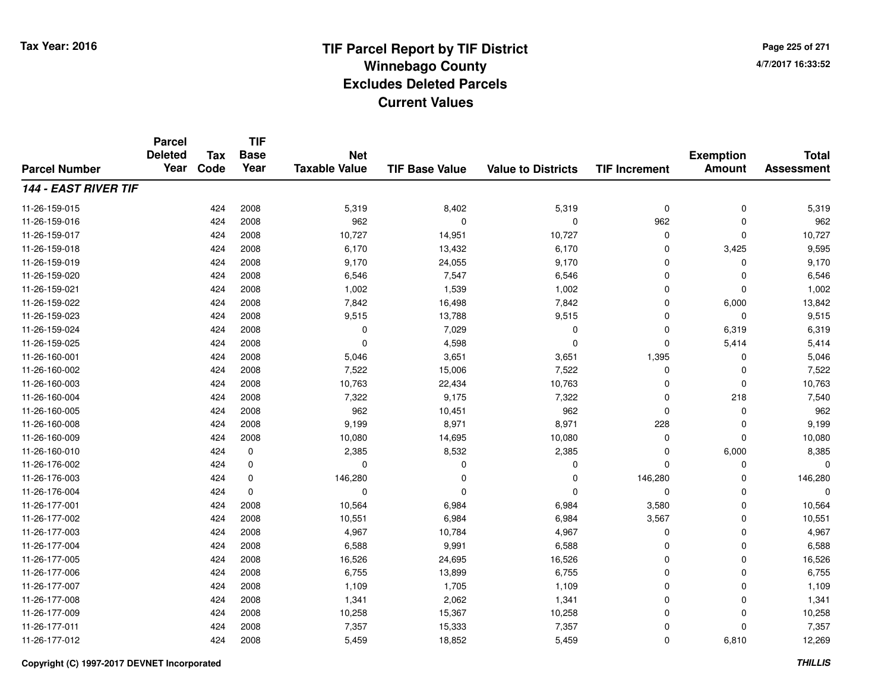**Page 225 of 2714/7/2017 16:33:52**

#### **TIF Base ValueParcel NumberTotal AssessmentExemption Amount Value to Districts TIF IncrementTIF Base YearTax CodeParcel Deleted YearNet Taxable Value144 - EAST RIVER TIF**11-26-159-015 <sup>424</sup> 5,319 <sup>2008</sup> 8,402 5,319 <sup>0</sup> <sup>0</sup> 5,319 11-26-159-0166 424 2008 962 0 0 962 0 962 11-26-159-017 <sup>424</sup> 10,727 <sup>2008</sup> 14,951 10,727 <sup>0</sup> <sup>0</sup> 10,727 11-26-159-0188 424 2008 6,170 13,432 6,170 0 3,425 9,595 11-26-159-019 <sup>424</sup> 9,170 <sup>2008</sup> 24,055 9,170 <sup>0</sup> <sup>0</sup> 9,170 11-26-159-0200 424 2008 6,546 7,547 6,546 0 0 6,546 11-26-159-0211 424 2008 1,002 1,539 1,002 0 0 1,002 11-26-159-0222 2 424 2008 7,842 16,498 7,842 0 6,000 13,842 11-26-159-023 $3$  2008 9,515  $13,788$  9,515  $9,515$   $2008$  9,515  $2008$  9,515  $2008$  9,515  $2008$  9,515  $2008$  9,515  $2008$  9,515  $2008$  9,515  $2008$  9,515  $2008$  9,515  $2008$  9,515  $2008$  9,515  $2008$  9,515  $2008$  9,515  $2008$  9,515 11-26-159-024 <sup>424</sup> <sup>0</sup> <sup>2008</sup> 7,029 <sup>0</sup> <sup>0</sup> 6,319 6,319 11-26-159-025 <sup>424</sup> <sup>0</sup> <sup>2008</sup> 4,598 <sup>0</sup> <sup>0</sup> 5,414 5,414 11-26-160-0011 424 2008 5,046 3,651 3,651 1,395 0 5,046 11-26-160-0022 424 2008 7,522 15,006 7,522 0 0 7,522 11-26-160-003 <sup>424</sup> 10,763 <sup>2008</sup> 22,434 10,763 <sup>0</sup> <sup>0</sup> 10,763 11-26-160-0044 424 2008 7,322 9,175 7,322 0 218 7,540 11-26-160-005 <sup>424</sup> <sup>962</sup> <sup>2008</sup> 10,451 <sup>962</sup> <sup>0</sup> <sup>0</sup> <sup>962</sup> 11-26-160-008 <sup>424</sup> 9,199 <sup>2008</sup> 8,971 8,971 <sup>228</sup> <sup>0</sup> 9,199 11-26-160-009 <sup>424</sup> 10,080 <sup>2008</sup> 14,695 10,080 <sup>0</sup> <sup>0</sup> 10,080 11-26-160-010 $\mathbf{Q}$  0  $\mathbf{Q}$   $\mathbf{Q}$   $\mathbf{Q}$   $\mathbf{Q}$   $\mathbf{Q}$   $\mathbf{Q}$   $\mathbf{Q}$   $\mathbf{Q}$   $\mathbf{Q}$   $\mathbf{Q}$   $\mathbf{Q}$   $\mathbf{Q}$   $\mathbf{Q}$   $\mathbf{Q}$   $\mathbf{Q}$   $\mathbf{Q}$   $\mathbf{Q}$   $\mathbf{Q}$   $\mathbf{Q}$   $\mathbf{Q}$   $\mathbf{Q}$   $\mathbf{Q}$   $\mathbf{Q}$   $\math$ 11-26-176-002 <sup>424</sup> <sup>0</sup> <sup>0</sup> <sup>0</sup> <sup>0</sup> <sup>0</sup> <sup>0</sup> <sup>0</sup> 11-26-176-0033 424 0 146,280 0 0 146,280 0 146,280 11-26-176-004 <sup>424</sup> <sup>0</sup> <sup>0</sup> <sup>0</sup> <sup>0</sup> <sup>0</sup> <sup>0</sup> <sup>0</sup> 11-26-177-0011 424 2008 10,564 6,984 6,984 3,580 0 10,564 11-26-177-0022 424 2008 10,551 6,984 6,984 3,567 0 10,551 11-26-177-0033 424 2008 4,967 10,784 4,967 0 0 4,967 11-26-177-004 <sup>424</sup> 6,588 <sup>2008</sup> 9,991 6,588 <sup>0</sup> <sup>0</sup> 6,588 11-26-177-0055 424 2008 16,526 24,695 16,526 0 0 16,526 11-26-177-0066 424 2008 6,755 13,899 6,755 0 0 6,755 11-26-177-007 <sup>424</sup> 1,109 <sup>2008</sup> 1,705 1,109 <sup>0</sup> <sup>0</sup> 1,109 11-26-177-0088 424 2008 1,341 2,062 1,341 0 0 1,341 11-26-177-0099 424 2008 10,258 15,367 10,258 0 0 10,258 11-26-177-0111 424 2008 7,357 15,333 7,357 0 0 7,357 11-26-177-012<sup>424</sup> 5,459 <sup>2008</sup> 18,852 5,459 <sup>0</sup> 6,810 12,269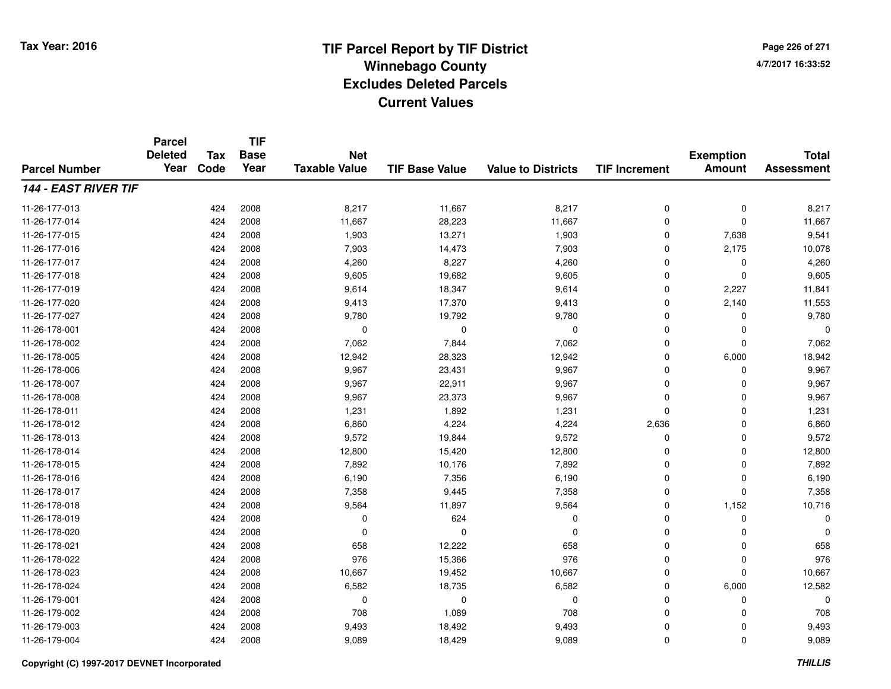**TIF**

**Parcel**

**Page 226 of 2714/7/2017 16:33:52**

#### **TIF Base ValueParcel NumberTotal AssessmentExemption Amount Value to Districts TIF Increment Base YearTax Code Deleted YearNet Taxable Value144 - EAST RIVER TIF**11-26-177-013 <sup>424</sup> 8,217 <sup>2008</sup> 11,667 8,217 <sup>0</sup> <sup>0</sup> 8,217 11-26-177-0144 424 2008 11,667 28,223 11,667 0 0 11,667 11-26-177-015 <sup>424</sup> 1,903 <sup>2008</sup> 13,271 1,903 <sup>0</sup> 7,638 9,541 11-26-177-016 <sup>424</sup> 7,903 <sup>2008</sup> 14,473 7,903 <sup>0</sup> 2,175 10,078 11-26-177-017 <sup>424</sup> 4,260 <sup>2008</sup> 8,227 4,260 <sup>0</sup> <sup>0</sup> 4,260 11-26-177-0188 424 2008 9,605 19,682 9,605 0 0 9,605 11-26-177-0199 424 2008 9,614 18,347 9,614 0 2,227 11,841 11-26-177-0200 424 2008 9,413 17,370 9,413 0 2,140 11,553 11-26-177-027 <sup>424</sup> 9,780 <sup>2008</sup> 19,792 9,780 <sup>0</sup> <sup>0</sup> 9,780 11-26-178-001 <sup>424</sup> <sup>0</sup> <sup>2008</sup> <sup>0</sup> <sup>0</sup> <sup>0</sup> <sup>0</sup> <sup>0</sup> 11-26-178-0022 2 2 2008 7,062 7,064 7,062 7,062 7,062 0 0 7,062 11-26-178-0055 424 2008 12,942 28,323 12,942 0 6,000 18,942 11-26-178-006 <sup>424</sup> 9,967 <sup>2008</sup> 23,431 9,967 <sup>0</sup> <sup>0</sup> 9,967 11-26-178-007 <sup>424</sup> 9,967 <sup>2008</sup> 22,911 9,967 <sup>0</sup> <sup>0</sup> 9,967 11-26-178-008 <sup>424</sup> 9,967 <sup>2008</sup> 23,373 9,967 <sup>0</sup> <sup>0</sup> 9,967 11-26-178-0111 424 2008 1,231 1,892 1,231 0 0 1,231 11-26-178-0122 424 2008 6,860 4,224 4,224 2,636 0 6,860 11-26-178-013 $3$  2008 9,572 19,844 9,572 9,572 9,572 9,572 9,572 9,572 9 0 9,572 11-26-178-014 <sup>424</sup> 12,800 <sup>2008</sup> 15,420 12,800 <sup>0</sup> <sup>0</sup> 12,800 11-26-178-0155 424 2008 7,892 10,176 7,892 0 7,892 11-26-178-0166 424 2008 6,190 7,356 6,190 0 0 6,190 11-26-178-0177 424 2008 7,358 9,445 7,358 0 7,358 11-26-178-018 <sup>424</sup> 9,564 <sup>2008</sup> 11,897 9,564 <sup>0</sup> 1,152 10,716 11-26-178-0199 424 2008 0 624 0 0 0 0 11-26-178-020 <sup>424</sup> <sup>0</sup> <sup>2008</sup> <sup>0</sup> <sup>0</sup> <sup>0</sup> <sup>0</sup> <sup>0</sup> 11-26-178-0211 424 2008 658 12,222 658 0 0 658 11-26-178-022 <sup>424</sup> <sup>976</sup> <sup>2008</sup> 15,366 <sup>976</sup> <sup>0</sup> <sup>0</sup> <sup>976</sup> 11-26-178-0233 424 2008 10,667 19,452 10,667 0 0 10,667 11-26-178-0244 424 2008 6,582 18,735 6,582 0 6,000 12,582 11-26-179-001 <sup>424</sup> <sup>0</sup> <sup>2008</sup> <sup>0</sup> <sup>0</sup> <sup>0</sup> <sup>0</sup> <sup>0</sup> 11-26-179-0022 424 2008 708 1,089 708 0 0 708 11-26-179-0033 424 2008 9,493 18,492 9,493 0 0 9,493 11-26-179-004<sup>424</sup> 9,089 <sup>2008</sup> 18,429 9,089 <sup>0</sup> <sup>0</sup> 9,089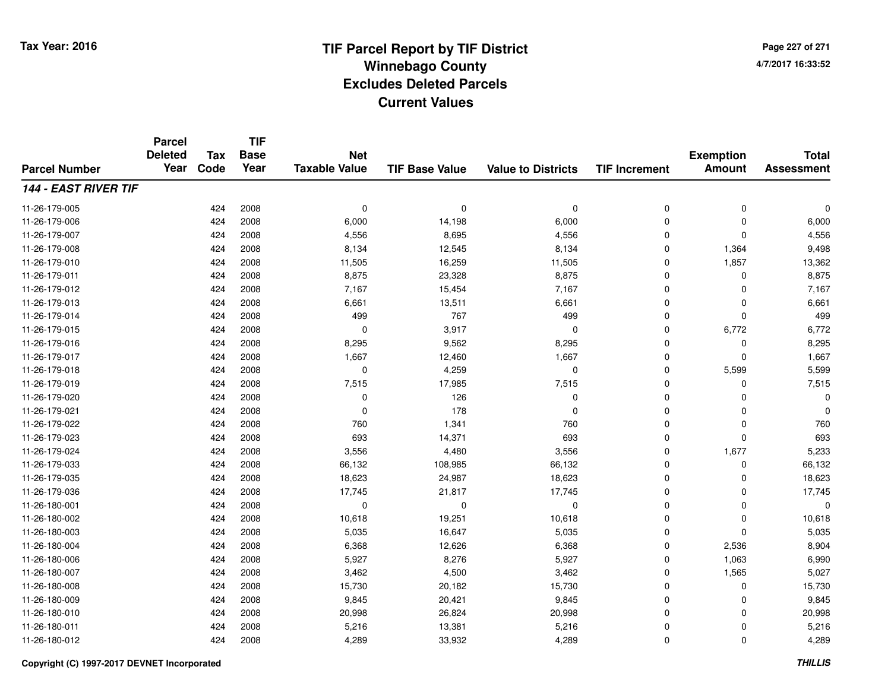**Page 227 of 2714/7/2017 16:33:52**

#### **TIF Base ValueParcel NumberTotal AssessmentExemption Amount Value to Districts TIF IncrementTIF Base YearTax CodeParcel Deleted YearNet Taxable Value144 - EAST RIVER TIF**11-26-179-005 <sup>424</sup> <sup>0</sup> <sup>2008</sup> <sup>0</sup> <sup>0</sup> <sup>0</sup> <sup>0</sup> <sup>0</sup> 11-26-179-006 <sup>424</sup> 6,000 <sup>2008</sup> 14,198 6,000 <sup>0</sup> <sup>0</sup> 6,000 11-26-179-007 <sup>424</sup> 4,556 <sup>2008</sup> 8,695 4,556 <sup>0</sup> <sup>0</sup> 4,556 11-26-179-0088 424 2008 8,134 12,545 8,134 0 1,364 9,498 11-26-179-0100 424 2008 11,505 16,259 11,505 0 1,857 13,362 11-26-179-0111 424 2008 8,875 23,328 8,875 0 0 8,875 11-26-179-012 <sup>424</sup> 7,167 <sup>2008</sup> 15,454 7,167 <sup>0</sup> <sup>0</sup> 7,167 11-26-179-0133 424 2008 6,661 13,511 6,661 0 0 6,661 11-26-179-014 <sup>424</sup> <sup>499</sup> <sup>2008</sup> <sup>767</sup> <sup>499</sup> <sup>0</sup> <sup>0</sup> <sup>499</sup> 11-26-179-015 <sup>424</sup> <sup>0</sup> <sup>2008</sup> 3,917 <sup>0</sup> <sup>0</sup> 6,772 6,772 11-26-179-0166 424 2008 8,295 9,562 8,295 0 0 8,295 11-26-179-0177 424 2008 1,667 12,460 1,667 0 0 1,667 11-26-179-0188 424 2008 0 4,259 0 0 5,599 5,599 11-26-179-0199 424 2008 7,515 17,985 7,515 0 7,515 11-26-179-0200 424 2008 0 126 0 0 0 0 11-26-179-0211 424 2008 0 178 0 0 0 0 11-26-179-0222 424 2008 760 1,341 760 0 0 760 11-26-179-0233 424 2008 693 14,371 693 0 0 693 11-26-179-024 <sup>424</sup> 3,556 <sup>2008</sup> 4,480 3,556 <sup>0</sup> 1,677 5,233 11-26-179-0333 424 2008 66,132 108,985 66,132 0 0 66,132 11-26-179-0355 424 2008 18,623 24,987 18,623 0 0 18,623 11-26-179-036 <sup>424</sup> 17,745 <sup>2008</sup> 21,817 17,745 <sup>0</sup> <sup>0</sup> 17,745 11-26-180-001 <sup>424</sup> <sup>0</sup> <sup>2008</sup> <sup>0</sup> <sup>0</sup> <sup>0</sup> <sup>0</sup> <sup>0</sup> 11-26-180-0022 424 2008 10,618 19,251 10,618 0 0 10,618 11-26-180-0033 424 2008 5,035 16,647 5,035 0 0 5,035 11-26-180-004 <sup>424</sup> 6,368 <sup>2008</sup> 12,626 6,368 <sup>0</sup> 2,536 8,904 11-26-180-006 <sup>424</sup> 5,927 <sup>2008</sup> 8,276 5,927 <sup>0</sup> 1,063 6,990 11-26-180-007 <sup>424</sup> 3,462 <sup>2008</sup> 4,500 3,462 <sup>0</sup> 1,565 5,027 11-26-180-008 <sup>424</sup> 15,730 <sup>2008</sup> 20,182 15,730 <sup>0</sup> <sup>0</sup> 15,730 11-26-180-0099 424 2008 9,845 20,421 9,845 0 0 9,845 11-26-180-0100 424 2008 20,998 26,824 20,998 0 0 20,998 11-26-180-0111 424 2008 5,216 13,381 5,216 0 0 5,216 11-26-180-0122 424 2008 4,289 33,932 4,289 0 0 4,289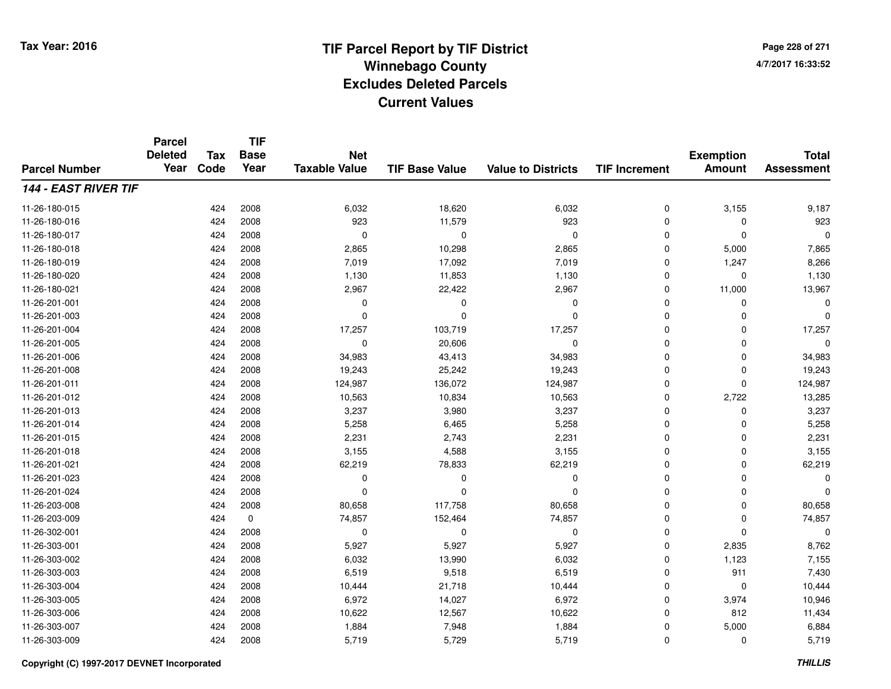**TIF**

**Parcel**

**Page 228 of 2714/7/2017 16:33:52**

#### **TIF Base ValueParcel NumberTotal AssessmentExemption Amount Value to Districts TIF Increment Base YearTax Code Deleted YearNet Taxable Value144 - EAST RIVER TIF**11-26-180-015 <sup>424</sup> 6,032 <sup>2008</sup> 18,620 6,032 <sup>0</sup> 3,155 9,187 11-26-180-016 <sup>424</sup> <sup>923</sup> <sup>2008</sup> 11,579 <sup>923</sup> <sup>0</sup> <sup>0</sup> <sup>923</sup> 11-26-180-017 <sup>424</sup> <sup>0</sup> <sup>2008</sup> <sup>0</sup> <sup>0</sup> <sup>0</sup> <sup>0</sup> <sup>0</sup> 11-26-180-0188 424 2008 2,865 10,298 2,865 0 5,000 7,865 11-26-180-0199 424 2008 7,019 17,092 7,019 0 1,247 8,266 11-26-180-020 <sup>424</sup> 1,130 <sup>2008</sup> 11,853 1,130 <sup>0</sup> <sup>0</sup> 1,130 11-26-180-0211 424 2008 2,967 22,422 2,967 0 11,000 13,967 11-26-201-001 <sup>424</sup> <sup>0</sup> <sup>2008</sup> <sup>0</sup> <sup>0</sup> <sup>0</sup> <sup>0</sup> <sup>0</sup> 11-26-201-003 <sup>424</sup> <sup>0</sup> <sup>2008</sup> <sup>0</sup> <sup>0</sup> <sup>0</sup> <sup>0</sup> <sup>0</sup> 11-26-201-004 <sup>424</sup> 17,257 <sup>2008</sup> 103,719 17,257 <sup>0</sup> <sup>0</sup> 17,257 11-26-201-005 <sup>424</sup> <sup>0</sup> <sup>2008</sup> 20,606 <sup>0</sup> <sup>0</sup> <sup>0</sup> <sup>0</sup> 11-26-201-006 <sup>424</sup> 34,983 <sup>2008</sup> 43,413 34,983 <sup>0</sup> <sup>0</sup> 34,983 11-26-201-0088 424 2008 19,243 25,242 19,243 0 0 19,243 11-26-201-0111 424 2008 124,987 136,072 124,987 0 124,987 11-26-201-0122 2 2 3,722 13,285 10,563 10,563 10,834 10,834 10,563 10,563 13,285 2,722 13,285 11-26-201-013 <sup>424</sup> 3,237 <sup>2008</sup> 3,980 3,237 <sup>0</sup> <sup>0</sup> 3,237 11-26-201-0144 5,258 6,465 5,258 6,465 5,258 6,465 5,258 6,465 5,258 6,465 6,465 6,258 6,258 6,258 6,258 6,258 6,258 6,258 6,258 6,258 6,258 6,258 6,258 6,258 6,258 6,258 6,258 6,258 6,258 6,258 6,258 6,258 6,258 6,258 6,258 6,258 6,258 11-26-201-015 <sup>424</sup> 2,231 <sup>2008</sup> 2,743 2,231 <sup>0</sup> <sup>0</sup> 2,231 11-26-201-0188 424 2008 3,155 4,588 3,155 0 0 3,155 11-26-201-0211 424 2008 62,219 78,833 62,219 0 0 62,219 11-26-201-023 <sup>424</sup> <sup>0</sup> <sup>2008</sup> <sup>0</sup> <sup>0</sup> <sup>0</sup> <sup>0</sup> <sup>0</sup> 11-26-201-024 <sup>424</sup> <sup>0</sup> <sup>2008</sup> <sup>0</sup> <sup>0</sup> <sup>0</sup> <sup>0</sup> <sup>0</sup> 11-26-203-008 <sup>424</sup> 80,658 <sup>2008</sup> 117,758 80,658 <sup>0</sup> <sup>0</sup> 80,658 11-26-203-0099 424 0 74,857 152,464 74,857 0 74,857 11-26-302-001 <sup>424</sup> <sup>0</sup> <sup>2008</sup> <sup>0</sup> <sup>0</sup> <sup>0</sup> <sup>0</sup> <sup>0</sup> 11-26-303-0011 424 2008 5,927 5,927 5,927 0 2,835 8,762 11-26-303-0022 424 2008 6,032 13,990 6,032 0 1,123 7,155 11-26-303-0033 424 2008 6,519 9,518 6,519 0 911 7,430 11-26-303-0044 10,444 2008 10,444 21,718 10,444 10 21,718 10,444 0 0 0 10,444 11-26-303-0055 424 2008 6,972 14,027 6,972 0 3,974 10,946 11-26-303-0066 424 2008 10,622 12,567 10,622 0 812<br> 424 2008 11-26-303-0077 424 2008 1,884 7,948 1,884 0 5,000 6,884 11-26-303-009<sup>424</sup> 5,719 <sup>2008</sup> 5,729 5,719 <sup>0</sup> <sup>0</sup> 5,719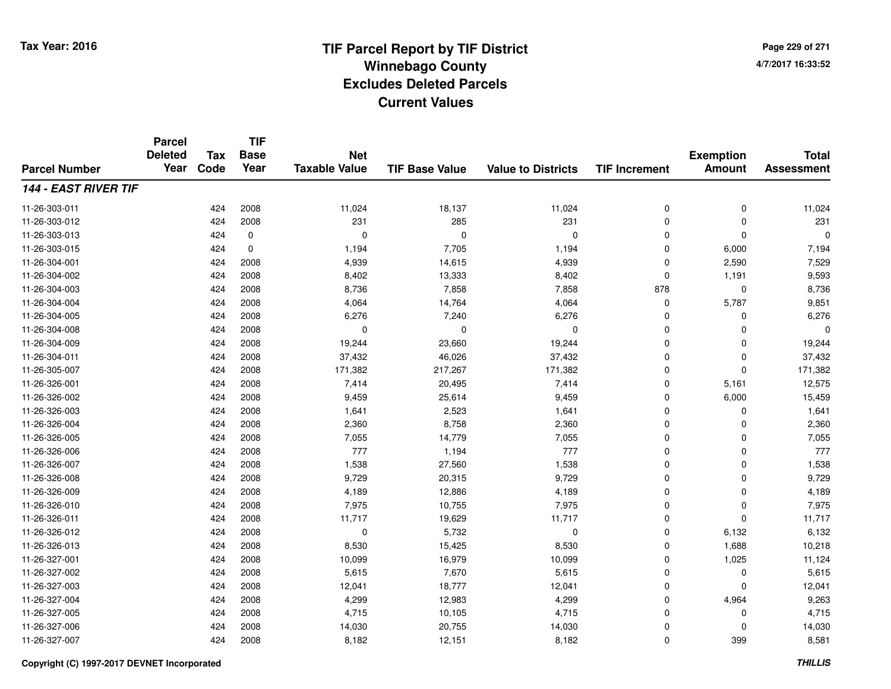**TIF**

**Parcel**

**Page 229 of 2714/7/2017 16:33:52**

#### **TIF Base ValueParcel NumberTotal AssessmentExemption Amount Value to Districts TIF Increment Base YearTax Code Deleted YearNet Taxable Value144 - EAST RIVER TIF**11-26-303-0111 424 2008 11,024 18,137 11,024 0 0 11,024 11-26-303-012 <sup>424</sup> <sup>231</sup> <sup>2008</sup> <sup>285</sup> <sup>231</sup> <sup>0</sup> <sup>0</sup> <sup>231</sup> 11-26-303-013 <sup>424</sup> <sup>0</sup> <sup>0</sup> <sup>0</sup> <sup>0</sup> <sup>0</sup> <sup>0</sup> <sup>0</sup> 11-26-303-015 <sup>424</sup> 1,194 <sup>0</sup> 7,705 1,194 <sup>0</sup> 6,000 7,194 11-26-304-0011 424 2008 4,939 14,615 4,939 0 2,590 7,529 11-26-304-002 <sup>424</sup> 8,402 <sup>2008</sup> 13,333 8,402 <sup>0</sup> 1,191 9,593 11-26-304-003 <sup>424</sup> 8,736 <sup>2008</sup> 7,858 7,858 <sup>878</sup> <sup>0</sup> 8,736 11-26-304-004 <sup>424</sup> 4,064 <sup>2008</sup> 14,764 4,064 <sup>0</sup> 5,787 9,851 11-26-304-005 <sup>424</sup> 6,276 <sup>2008</sup> 7,240 6,276 <sup>0</sup> <sup>0</sup> 6,276 11-26-304-008 <sup>424</sup> <sup>0</sup> <sup>2008</sup> <sup>0</sup> <sup>0</sup> <sup>0</sup> <sup>0</sup> <sup>0</sup> 11-26-304-0099 424 2008 19,244 23,660 19,244 0 0 19,244 11-26-304-0111 424 2008 37,432 46,026 37,432 0 0 37,432 11-26-305-007 <sup>424</sup> 171,382 <sup>2008</sup> 217,267 171,382 <sup>0</sup> <sup>0</sup> 171,382 11-26-326-0011 424 2008 7,414 20,495 7,414 0 5,161 12,575 11-26-326-0022 424 2008 9,459 25,614 9,459 0 6,000 15,459 11-26-326-0033 424 2008 1,641 2,523 1,641 0 0 1,641 11-26-326-0044 224 2008 2,360 8,758 2,360 2,360 8,758 2,360 0 0 2,360 11-26-326-0055 26 14,779 7,055 2008 7,055 7,055 7,055 7,055 9 14,779 7,055 150 161 161 161 17,055 17,055 17,055 1 11-26-326-006 <sup>424</sup> <sup>777</sup> <sup>2008</sup> 1,194 <sup>777</sup> <sup>0</sup> <sup>0</sup> <sup>777</sup> 11-26-326-0077 424 2008 1,538 27,560 1,538 0 0 1,538 11-26-326-008 <sup>424</sup> 9,729 <sup>2008</sup> 20,315 9,729 <sup>0</sup> <sup>0</sup> 9,729 11-26-326-0099 424 2008 4,189 12,886 4,189 0 0 4,189 11-26-326-0100 424 2008 7,975 10,755 7,975 0 0 7,975 11-26-326-0111 424 2008 11,717 19,629 11,717 0 0 11,717 11-26-326-0122 424 2008 0 5,732 0 0 6,132 6,132 11-26-326-0133 424 2008 8,530 15,425 8,530 0 1,688 10,218 11-26-327-0011 424 2008 10,099 16,979 10,099 0 1,025 11,124 11-26-327-0022 424 2008 5,615 7,670 5,615 0 0 5,615 11-26-327-0033 424 2008 12,041 18,777 12,041 0 0 12,041 11-26-327-004 <sup>424</sup> 4,299 <sup>2008</sup> 12,983 4,299 <sup>0</sup> 4,964 9,263 11-26-327-005 <sup>424</sup> 4,715 <sup>2008</sup> 10,105 4,715 <sup>0</sup> <sup>0</sup> 4,715 11-26-327-006 <sup>424</sup> 14,030 <sup>2008</sup> 20,755 14,030 <sup>0</sup> <sup>0</sup> 14,030 11-26-327-007<sup>424</sup> 8,182 <sup>2008</sup> 12,151 8,182 <sup>0</sup> <sup>399</sup> 8,581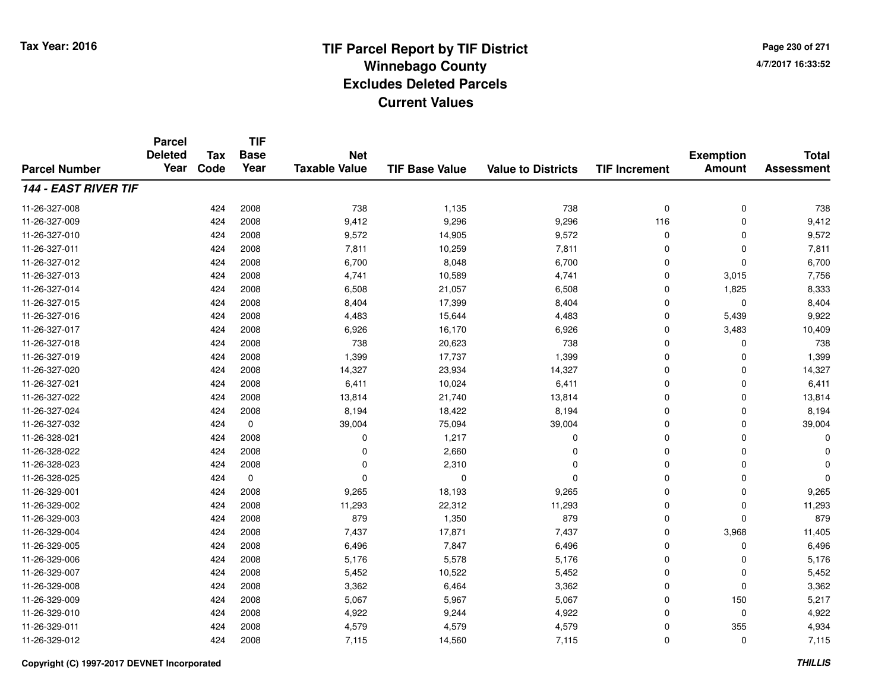**Page 230 of 2714/7/2017 16:33:52**

#### **TIF Base ValueParcel NumberTotal AssessmentExemption Amount Value to Districts TIF IncrementTIF Base YearTax CodeParcel Deleted YearNet Taxable Value144 - EAST RIVER TIF**11-26-327-008 <sup>424</sup> <sup>738</sup> <sup>2008</sup> 1,135 <sup>738</sup> <sup>0</sup> <sup>0</sup> <sup>738</sup> 11-26-327-0099 424 2008 9,412 9,296 9,296 116 0 9,412 11-26-327-0100 2009 1244 2008 29,572 2005 14,905 2010 9,572 2010 12 0 2010 9,572 0 0 0 9,572 0 0 0  $\frac{9}{3}$ 11-26-327-0111 424 2008 7,811 10,259 7,811 0 0 7,811 11-26-327-0122 424 2008 6,700 8,048 6,700 0 0 6,700 11-26-327-0133 424 2008 4,741 10,589 4,741 0 3,015 7,756 11-26-327-014 <sup>424</sup> 6,508 <sup>2008</sup> 21,057 6,508 <sup>0</sup> 1,825 8,333 11-26-327-015 <sup>424</sup> 8,404 <sup>2008</sup> 17,399 8,404 <sup>0</sup> <sup>0</sup> 8,404 11-26-327-016 <sup>424</sup> 4,483 <sup>2008</sup> 15,644 4,483 <sup>0</sup> 5,439 9,922 11-26-327-017 <sup>424</sup> 6,926 <sup>2008</sup> 16,170 6,926 <sup>0</sup> 3,483 10,409 11-26-327-018 <sup>424</sup> <sup>738</sup> <sup>2008</sup> 20,623 <sup>738</sup> <sup>0</sup> <sup>0</sup> <sup>738</sup> 11-26-327-0199 424 2008 1,399 17,737 1,399 0 0 1,399 11-26-327-0200 424 2008 14,327 23,934 14,327 0 0 14,327 11-26-327-0211 424 2008 6,411 10,024 6,411 0 6,411 11-26-327-0222 424 2008 13,814 21,740 13,814 0 0 13,814 11-26-327-0244 2008 1942 2008 8,194 18,422 8,194 8,194 0 0 0 8,194 11-26-327-0322 424 0 39,004 75,094 39,004 0 39,004 11-26-328-0211 and  $424$  2008 cm  $1,217$  cm  $0$  cm  $1,217$  cm  $0$  cm  $0$  cm  $0$  cm  $0$  cm  $0$ 11-26-328-022 <sup>424</sup> <sup>0</sup> <sup>2008</sup> 2,660 <sup>0</sup> <sup>0</sup> <sup>0</sup> <sup>0</sup> 11-26-328-0233 and  $424$  2008 cm  $2,310$  cm  $2,310$  cm  $2,310$  cm  $2,310$  cm  $2,310$  cm  $2,310$  cm  $2,310$  cm  $2,310$  cm  $2,310$  cm  $2,310$  cm  $2,310$  cm  $2,310$  cm  $2,310$  cm  $2,310$  cm  $2,310$  cm  $2,310$  cm  $2,310$  cm  $2,310$  cm  $2,$ 11-26-328-025 <sup>424</sup> <sup>0</sup> <sup>0</sup> <sup>0</sup> <sup>0</sup> <sup>0</sup> <sup>0</sup> <sup>0</sup> 11-26-329-0011 424 2008 9,265 18,193 9,265 0 0 9,265 11-26-329-002 <sup>424</sup> 11,293 <sup>2008</sup> 22,312 11,293 <sup>0</sup> <sup>0</sup> 11,293 11-26-329-0033 424 2008 879 1,350 879 0 0 879 11-26-329-004 <sup>424</sup> 7,437 <sup>2008</sup> 17,871 7,437 <sup>0</sup> 3,968 11,405 11-26-329-005 <sup>424</sup> 6,496 <sup>2008</sup> 7,847 6,496 <sup>0</sup> <sup>0</sup> 6,496 11-26-329-006 <sup>424</sup> 5,176 <sup>2008</sup> 5,578 5,176 <sup>0</sup> <sup>0</sup> 5,176 11-26-329-007 <sup>424</sup> 5,452 <sup>2008</sup> 10,522 5,452 <sup>0</sup> <sup>0</sup> 5,452 11-26-329-0088 424 2008 3,362 6,464 3,362 0 0 3,362 11-26-329-009 <sup>424</sup> 5,067 <sup>2008</sup> 5,967 5,067 <sup>0</sup> <sup>150</sup> 5,217 11-26-329-0100 424 2008 4,922 9,244 4,922 0 0 4,922 11-26-329-0111 424 2008 4,579 4,579 0 355 4,934 11-26-329-0122 424 2008 7,115 14,560 7,115 0 0 7,115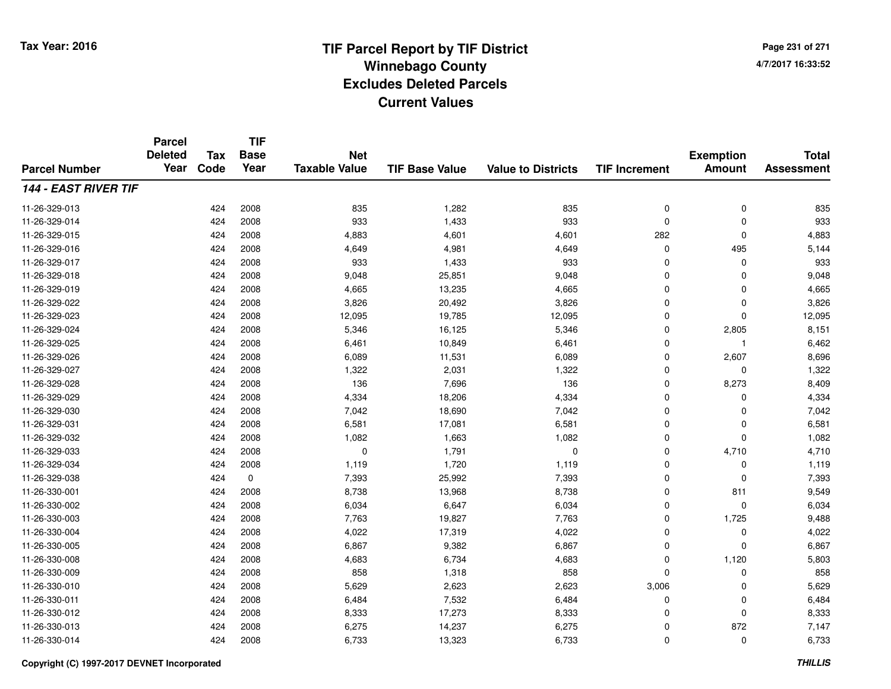**Page 231 of 2714/7/2017 16:33:52**

#### **TIF Base ValueParcel NumberTotal AssessmentExemption Amount Value to Districts TIF IncrementTIF Base YearTax CodeParcel Deleted YearNet Taxable Value144 - EAST RIVER TIF**11-26-329-0133 424 2008 835 1,282 835 0 0 835 11-26-329-014 <sup>424</sup> <sup>933</sup> <sup>2008</sup> 1,433 <sup>933</sup> <sup>0</sup> <sup>0</sup> <sup>933</sup> 11-26-329-015 <sup>424</sup> 4,883 <sup>2008</sup> 4,601 4,601 <sup>282</sup> <sup>0</sup> 4,883 11-26-329-0166 424 2008 4,649 4,981 4,649 0 495 5,144 11-26-329-017 <sup>424</sup> <sup>933</sup> <sup>2008</sup> 1,433 <sup>933</sup> <sup>0</sup> <sup>0</sup> <sup>933</sup> 11-26-329-018 <sup>424</sup> 9,048 <sup>2008</sup> 25,851 9,048 <sup>0</sup> <sup>0</sup> 9,048 11-26-329-0199 424 2008 4,665 13,235 4,665 0 0 4,665 11-26-329-0222 424 2008 3,826 20,492 3,826 0 0 3,826 11-26-329-0233 424 2008 12,095 19,785 12,095 0 0 12,095 11-26-329-024 <sup>424</sup> 5,346 <sup>2008</sup> 16,125 5,346 <sup>0</sup> 2,805 8,151 11-26-329-0255 424 2008 6,461 10,849 6,461 0 1 6,462 11-26-329-0266 424 2008 6,089 11,531 6,089 0 2,607 8,696 11-26-329-0277 424 2008 1,322 2,031 1,322 0 0 1,322 11-26-329-028 <sup>424</sup> <sup>136</sup> <sup>2008</sup> 7,696 <sup>136</sup> <sup>0</sup> 8,273 8,409 11-26-329-0299 424 2008 4,334 18,206 4,334 0 0 4,334 11-26-329-0300 424 2008 7,042 18,690 7,042 0 7,042 11-26-329-0311 424 2008 6,581 17,081 6,581 0 0 6,581 11-26-329-0322 2 2 2 3 424 2008 1,082 1,663 1,082 1,082 0 0 0 1,082 11-26-329-0333 1,710  $424$  2008 1,791 0 1,791 0 0 4,710 4,710  $4,710$ 11-26-329-034 <sup>424</sup> 1,119 <sup>2008</sup> 1,720 1,119 <sup>0</sup> <sup>0</sup> 1,119 11-26-329-038 <sup>424</sup> 7,393 <sup>0</sup> 25,992 7,393 <sup>0</sup> <sup>0</sup> 7,393 11-26-330-0011 424 2008 8,738 13,968 8,738 0 811 9,549 11-26-330-0022 424 2008 6,034 6,647 6,034 0 0 6,034 11-26-330-0033 424 2008 7,763 19,827 7,763 0 1,725 9,488 11-26-330-004 <sup>424</sup> 4,022 <sup>2008</sup> 17,319 4,022 <sup>0</sup> <sup>0</sup> 4,022 11-26-330-005 <sup>424</sup> 6,867 <sup>2008</sup> 9,382 6,867 <sup>0</sup> <sup>0</sup> 6,867 11-26-330-0088 424 2008 4,683 6,734 4,683 0 1,120 5,803 11-26-330-0099 424 2008 858 1,318 858 0 0 858 11-26-330-0100 424 2008 5,629 2,623 2,623 3,006 0 5,629 11-26-330-0111 424 2008 6,484 7,532 6,484 0 0 6,484 11-26-330-012 <sup>424</sup> 8,333 <sup>2008</sup> 17,273 8,333 <sup>0</sup> <sup>0</sup> 8,333 11-26-330-0133 424 2008 6,275 14,237 6,275 0 872 7,147 11-26-330-014<sup>424</sup> 6,733 <sup>2008</sup> 13,323 6,733 <sup>0</sup> <sup>0</sup> 6,733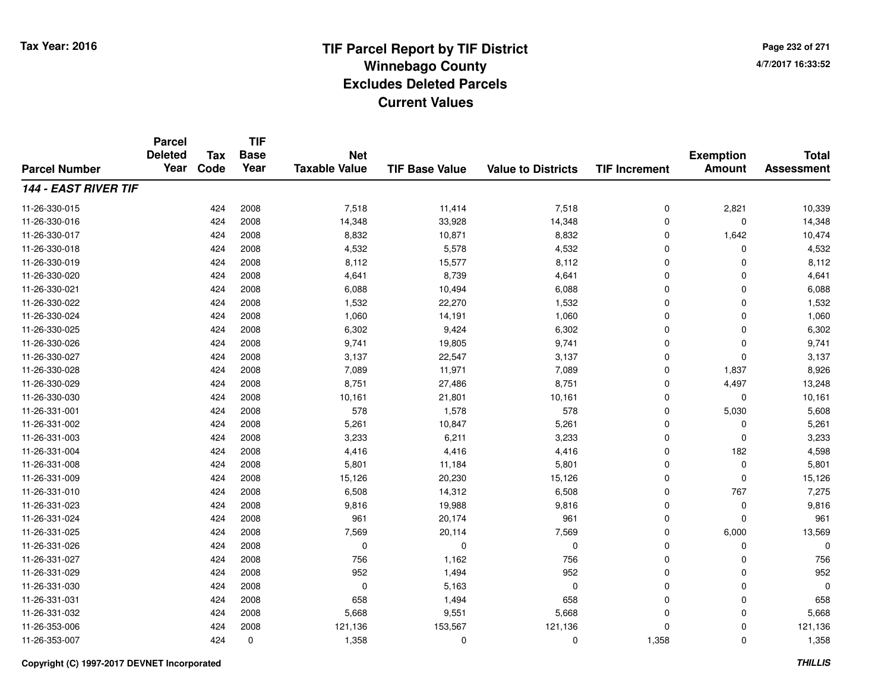**Page 232 of 2714/7/2017 16:33:52**

#### **TIF Base ValueParcel NumberTotal AssessmentExemption Amount Value to Districts TIF IncrementTIF Base YearTax CodeParcel Deleted YearNet Taxable Value144 - EAST RIVER TIF**11-26-330-015 <sup>424</sup> 7,518 <sup>2008</sup> 11,414 7,518 <sup>0</sup> 2,821 10,339 11-26-330-0166 424 2008 14,348 33,928 14,348 0 0 14,348 11-26-330-017 <sup>424</sup> 8,832 <sup>2008</sup> 10,871 8,832 <sup>0</sup> 1,642 10,474 11-26-330-0188 424 2008 4,532 5,578 4,532 0 0 4,532 11-26-330-019 <sup>424</sup> 8,112 <sup>2008</sup> 15,577 8,112 <sup>0</sup> <sup>0</sup> 8,112 11-26-330-0200 424 2008 4,641 8,739 4,641 0 0 4,641 11-26-330-0211 424 2008 6,088 10,494 6,088 0 0 6,088 11-26-330-0222 2 2 2008 1,532 22,270 1,532 0 0 0 1,532 11-26-330-024 <sup>424</sup> 1,060 <sup>2008</sup> 14,191 1,060 <sup>0</sup> <sup>0</sup> 1,060 11-26-330-025 <sup>424</sup> 6,302 <sup>2008</sup> 9,424 6,302 <sup>0</sup> <sup>0</sup> 6,302 11-26-330-026 <sup>424</sup> 9,741 <sup>2008</sup> 19,805 9,741 <sup>0</sup> <sup>0</sup> 9,741 11-26-330-027 <sup>424</sup> 3,137 <sup>2008</sup> 22,547 3,137 <sup>0</sup> <sup>0</sup> 3,137 11-26-330-028 <sup>424</sup> 7,089 <sup>2008</sup> 11,971 7,089 <sup>0</sup> 1,837 8,926 11-26-330-029 <sup>424</sup> 8,751 <sup>2008</sup> 27,486 8,751 <sup>0</sup> 4,497 13,248 11-26-330-0300 424 2008 10,161 21,801 10,161 0 0 10,161 11-26-331-0011 424 2008 578 1,578 578 0 5,030 5,608 11-26-331-0022 424 2008 5,261 10,847 5,261 0 5,261 11-26-331-003 <sup>424</sup> 3,233 <sup>2008</sup> 6,211 3,233 <sup>0</sup> <sup>0</sup> 3,233 11-26-331-0044 4 4.416 4.416 4.416 4.416 4.416 4.416 4.416 4.598 11-26-331-0088 424 2008 5,801 11,184 5,801 0 5,801 11-26-331-009 <sup>424</sup> 15,126 <sup>2008</sup> 20,230 15,126 <sup>0</sup> <sup>0</sup> 15,126 11-26-331-0100 424 2008 6,508 14,312 6,508 0 767 7,275 11-26-331-0233 424 2008 9,816 19,988 9,816 0 0 9,816 11-26-331-024 <sup>424</sup> <sup>961</sup> <sup>2008</sup> 20,174 <sup>961</sup> <sup>0</sup> <sup>0</sup> <sup>961</sup> 11-26-331-025 <sup>424</sup> 7,569 <sup>2008</sup> 20,114 7,569 <sup>0</sup> 6,000 13,569 11-26-331-026 <sup>424</sup> <sup>0</sup> <sup>2008</sup> <sup>0</sup> <sup>0</sup> <sup>0</sup> <sup>0</sup> <sup>0</sup> 11-26-331-027 <sup>424</sup> <sup>756</sup> <sup>2008</sup> 1,162 <sup>756</sup> <sup>0</sup> <sup>0</sup> <sup>756</sup> 11-26-331-0299 424 2008 952 1,494 952 0 0 952 11-26-331-030 <sup>424</sup> <sup>0</sup> <sup>2008</sup> 5,163 <sup>0</sup> <sup>0</sup> <sup>0</sup> <sup>0</sup> 11-26-331-0311 424 2008 658 1,494 658 0 0 658 11-26-331-0322 424 2008 5,668 9,551 5,668 0 0 5,668 11-26-353-006 <sup>424</sup> 121,136 <sup>2008</sup> 153,567 121,136 <sup>0</sup> <sup>0</sup> 121,136 11-26-353-007<sup>424</sup> 1,358 <sup>0</sup> <sup>0</sup> <sup>0</sup> 1,358 <sup>0</sup> 1,358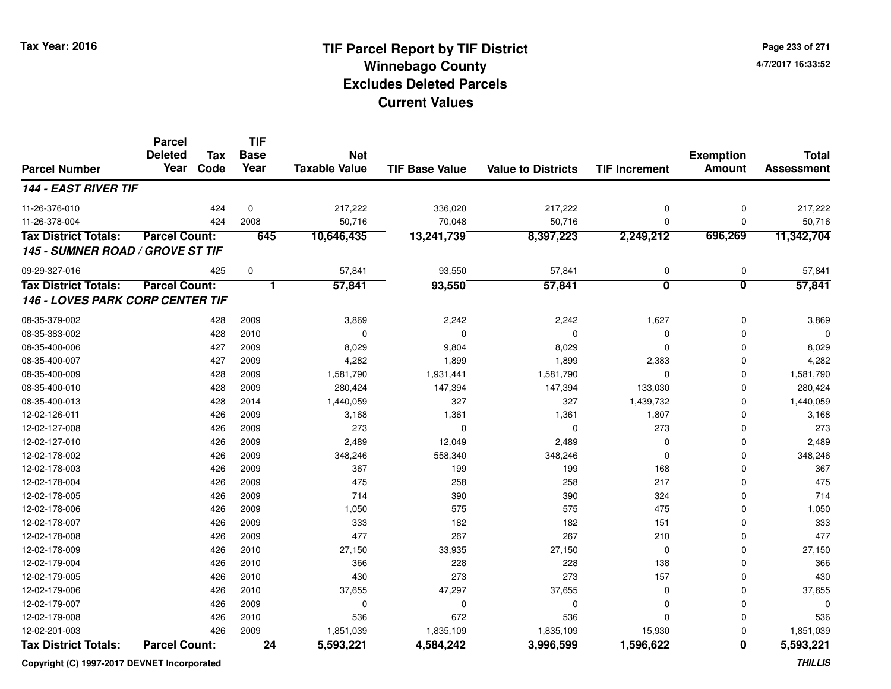**Page 233 of 2714/7/2017 16:33:52**

#### **TIF Base ValueParcel NumberTotal AssessmentExemption Amount Value to Districts TIF IncrementTIF Base YearTax CodeParcel Deleted YearNet Taxable Value144 - EAST RIVER TIF**11-26-376-0100 424 0 217,222 336,020 217,222 0 0 217,222 11-26-378-004 <sup>424</sup> 50,716 <sup>2008</sup> 70,048 50,716 <sup>0</sup> <sup>0</sup> 50,716 **Tax District Totals: Parcel Count: <sup>645</sup> 10,646,435 13,241,739 8,397,223 2,249,212 696,269 11,342,704 145 - SUMNER ROAD / GROVE ST TIF**09-29-327-0166 425 0 57,841 93,550 57,841 0 0 57,841 **Tax District Totals: Parcel Count: <sup>1</sup> 57,841 93,550 57,841 <sup>0</sup> <sup>0</sup> 57,841 146 - LOVES PARK CORP CENTER TIF**08-35-379-0022 428 2009 3,869 2,242 2,242 1,627 0 3,869 08-35-383-002 <sup>428</sup> <sup>0</sup> <sup>2010</sup> <sup>0</sup> <sup>0</sup> <sup>0</sup> <sup>0</sup> <sup>0</sup> 08-35-400-006 <sup>427</sup> 8,029 <sup>2009</sup> 9,804 8,029 <sup>0</sup> <sup>0</sup> 8,029 08-35-400-007 <sup>427</sup> 4,282 <sup>2009</sup> 1,899 1,899 2,383 <sup>0</sup> 4,282 08-35-400-0099 428 2009 1,581,790 1,931,441 1,581,790 0 1,581,790 08-35-400-0100 428 2009 280,424 147,394 147,394 133,030 0 280,424 08-35-400-013 <sup>428</sup> 1,440,059 <sup>2014</sup> <sup>327</sup> <sup>327</sup> 1,439,732 <sup>0</sup> 1,440,059 12-02-126-0111 426 2009 3,168 1,361 1,361 1,807 0 3,168 12-02-127-008 <sup>426</sup> <sup>273</sup> <sup>2009</sup> <sup>0</sup> <sup>0</sup> <sup>273</sup> <sup>0</sup> <sup>273</sup> 12-02-127-0100 426 2009 2,489 12,049 2,489 0 0 2,489 12-02-178-0022 426 2009 348,246 558,340 348,246 0 0 348,246 12-02-178-0033 426 2009 367 199 199 168 0 367 12-02-178-0044 426 2009 475 258 258 217 0 475 12-02-178-005 <sup>426</sup> <sup>714</sup> <sup>2009</sup> <sup>390</sup> <sup>390</sup> <sup>324</sup> <sup>0</sup> <sup>714</sup> 12-02-178-006 <sup>426</sup> 1,050 <sup>2009</sup> <sup>575</sup> <sup>575</sup> <sup>475</sup> <sup>0</sup> 1,050 12-02-178-0077 20 2009 182 182 182 182 182 182 151 0 333 12-02-178-008 <sup>426</sup> <sup>477</sup> <sup>2009</sup> <sup>267</sup> <sup>267</sup> <sup>210</sup> <sup>0</sup> <sup>477</sup> 12-02-178-009 <sup>426</sup> 27,150 <sup>2010</sup> 33,935 27,150 <sup>0</sup> <sup>0</sup> 27,150 12-02-179-0044 426 2010 366 228 228 138 0 366 12-02-179-005 <sup>426</sup> <sup>430</sup> <sup>2010</sup> <sup>273</sup> <sup>273</sup> <sup>157</sup> <sup>0</sup> <sup>430</sup> 12-02-179-0066 426 2010 37,655 47,297 37,655 0 37,655 12-02-179-007 <sup>426</sup> <sup>0</sup> <sup>2009</sup> <sup>0</sup> <sup>0</sup> <sup>0</sup> <sup>0</sup> <sup>0</sup> 12-02-179-008 <sup>426</sup> <sup>536</sup> <sup>2010</sup> <sup>672</sup> <sup>536</sup> <sup>0</sup> <sup>0</sup> <sup>536</sup> 12-02-201-0033 426 2009 1,851,039 1,835,109 1,835,109 15,930 0 1,851,039 **Tax District Totals: Parcel Count: <sup>24</sup>5,593,221 4,584,242 3,996,599 1,596,622 <sup>0</sup> 5,593,221**

**Copyright (C) 1997-2017 DEVNET Incorporated**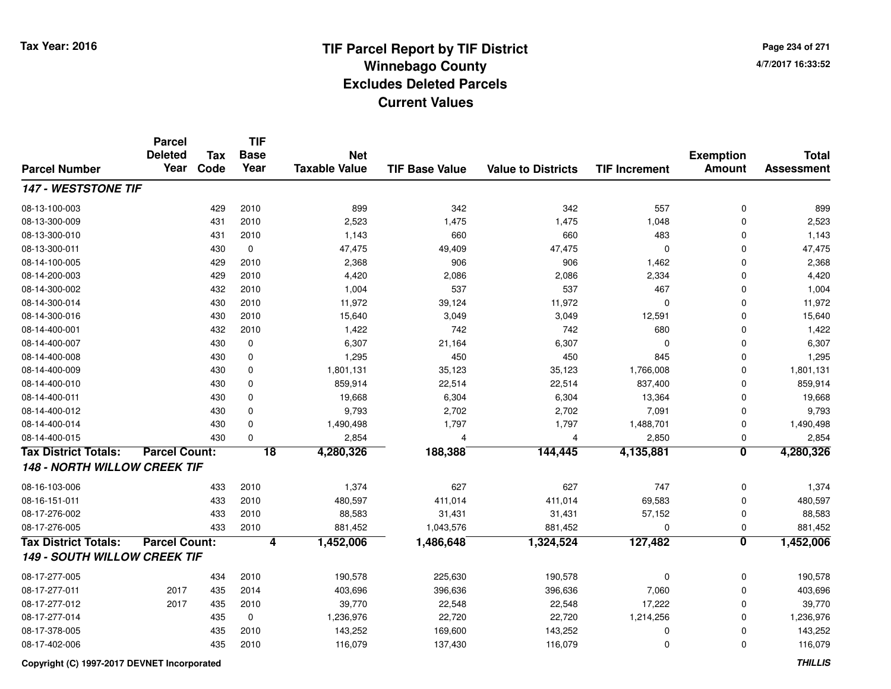**Page 234 of 2714/7/2017 16:33:52**

#### **TIF Base ValueParcel NumberTotal AssessmentExemption Amount Value to Districts TIF IncrementTIF Base YearTax CodeParcel Deleted YearNet Taxable Value147 - WESTSTONE TIF**08-13-100-003 <sup>429</sup> <sup>899</sup> <sup>2010</sup> <sup>342</sup> <sup>342</sup> <sup>557</sup> <sup>0</sup> <sup>899</sup> 08-13-300-009 <sup>431</sup> 2,523 <sup>2010</sup> 1,475 1,475 1,048 <sup>0</sup> 2,523 08-13-300-0100 431 2010 1,143 660 660 483 0 1,143 08-13-300-0111 430 0 47,475 49,409 47,475 0 0 47,475 08-14-100-005 <sup>429</sup> 2,368 <sup>2010</sup> <sup>906</sup> <sup>906</sup> 1,462 <sup>0</sup> 2,368 08-14-200-0033 429 2010 4,420 2,086 2,086 2,334 0 4,420 08-14-300-002 <sup>432</sup> 1,004 <sup>2010</sup> <sup>537</sup> <sup>537</sup> <sup>467</sup> <sup>0</sup> 1,004 08-14-300-014 <sup>430</sup> 11,972 <sup>2010</sup> 39,124 11,972 <sup>0</sup> <sup>0</sup> 11,972 08-14-300-016 <sup>430</sup> 15,640 <sup>2010</sup> 3,049 3,049 12,591 <sup>0</sup> 15,640 08-14-400-0011 432 2010 1,422 742 742 680 0 1,422 08-14-400-0077 430 0 6,307 21,164 6,307 0 0 6,307 08-14-400-0088 430 0 1,295 450 450 845 0 1,295 08-14-400-0099 430 0 1,801,131 35,123 35,123 1,766,008 0 1,801,131 08-14-400-0100 430 0 859,914 22,514 22,514 837,400 0 859,914 08-14-400-0111 430 0 19,668 6,304 6,304 13,364 0 19,668 08-14-400-012 <sup>430</sup> 9,793 <sup>0</sup> 2,702 2,702 7,091 <sup>0</sup> 9,793 08-14-400-014430 0 1,490,498 1,797 1,797 1,488,701 0 1,490,498 08-14-400-015 <sup>430</sup> 2,854 <sup>0</sup> <sup>4</sup> <sup>4</sup> 2,850 <sup>0</sup> 2,854 **Tax District Totals: Parcel Count: <sup>18</sup> 4,280,326 188,388 144,445 4,135,881 <sup>0</sup> 4,280,326 148 - NORTH WILLOW CREEK TIF**08-16-103-006 <sup>433</sup> 1,374 <sup>2010</sup> <sup>627</sup> <sup>627</sup> <sup>747</sup> <sup>0</sup> 1,374 08-16-151-0111 433 2010 480,597 411,014 411,014 69,583 0 480,597 08-17-276-002 <sup>433</sup> 88,583 <sup>2010</sup> 31,431 31,431 57,152 <sup>0</sup> 88,583 08-17-276-005 <sup>433</sup> 881,452 <sup>2010</sup> 1,043,576 881,452 <sup>0</sup> <sup>0</sup> 881,452 **Tax District Totals: Parcel Count: <sup>4</sup> 1,452,006 1,486,648 1,324,524 127,482 <sup>0</sup> 1,452,006 149 - SOUTH WILLOW CREEK TIF**08-17-277-005 <sup>434</sup> 190,578 <sup>2010</sup> 225,630 190,578 <sup>0</sup> <sup>0</sup> 190,578 08-17-277-0111 2017 435 2014 403,696 396,636 396,636 7,060 0 403,696 08-17-277-012 <sup>2017</sup> <sup>435</sup> <sup>2010</sup> 39,770 22,548 22,548 17,222 <sup>0</sup> 39,770 08-17-277-014435 0 1,236,976 22,720 22,720 1,214,256 0 1,236,976 1,236,976 22,720 1,214,256 0 1,236,976 08-17-378-0055 435 2010 143,252 169,600 143,252 0 0 143,252 08-17-402-006<sup>435</sup> 116,079 <sup>2010</sup> 137,430 116,079 <sup>0</sup> <sup>0</sup> 116,079

**Copyright (C) 1997-2017 DEVNET Incorporated**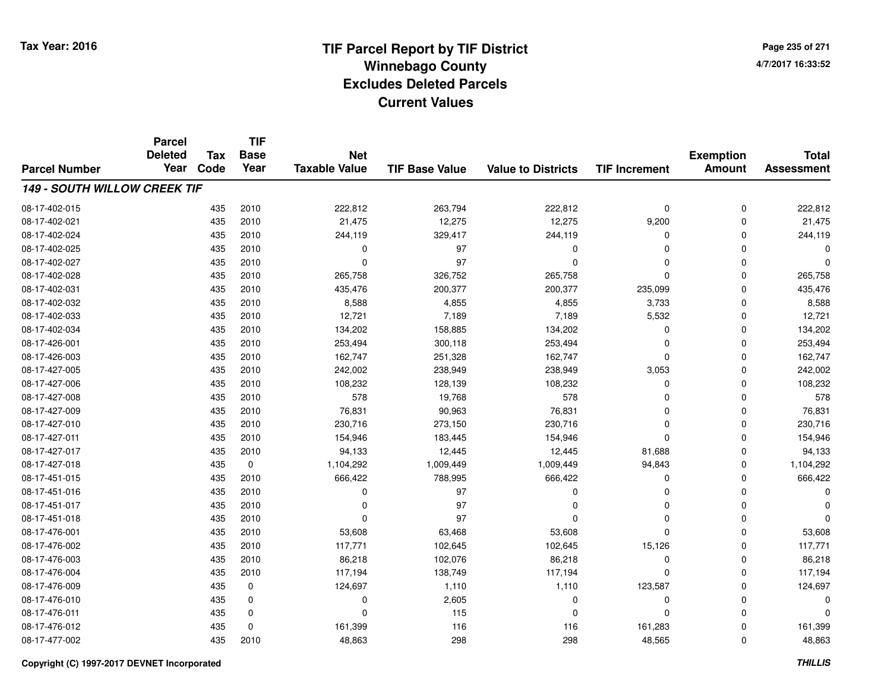**Page 235 of 2714/7/2017 16:33:52**

#### **TIF Base ValueParcel NumberTotal AssessmentExemption Amount Value to Districts TIF IncrementTIF Base YearTax CodeParcel Deleted YearNet Taxable Value149 - SOUTH WILLOW CREEK TIF**08-17-402-0155 435 2010 222,812 263,794 222,812 0 222,812 08-17-402-021 <sup>435</sup> 21,475 <sup>2010</sup> 12,275 12,275 9,200 <sup>0</sup> 21,475 08-17-402-024 <sup>435</sup> 244,119 <sup>2010</sup> 329,417 244,119 <sup>0</sup> <sup>0</sup> 244,119 08-17-402-025 <sup>435</sup> <sup>0</sup> <sup>2010</sup> <sup>97</sup> <sup>0</sup> <sup>0</sup> <sup>0</sup> <sup>0</sup> 08-17-402-027 <sup>435</sup> <sup>0</sup> <sup>2010</sup> <sup>97</sup> <sup>0</sup> <sup>0</sup> <sup>0</sup> <sup>0</sup> 08-17-402-028 <sup>435</sup> 265,758 <sup>2010</sup> 326,752 265,758 <sup>0</sup> <sup>0</sup> 265,758 08-17-402-0311 435 2010 435,476 200,377 200,377 235,099 0 435,476 08-17-402-0322 435 2010 8,588 4,855 4,855 3,733 0 8,588 08-17-402-033 <sup>435</sup> 12,721 <sup>2010</sup> 7,189 7,189 5,532 <sup>0</sup> 12,721 08-17-402-034 <sup>435</sup> 134,202 <sup>2010</sup> 158,885 134,202 <sup>0</sup> <sup>0</sup> 134,202 08-17-426-0011 435 2010 253,494 300,118 253,494 0 253,494 08-17-426-003 <sup>435</sup> 162,747 <sup>2010</sup> 251,328 162,747 <sup>0</sup> <sup>0</sup> 162,747 08-17-427-005 <sup>435</sup> 242,002 <sup>2010</sup> 238,949 238,949 3,053 <sup>0</sup> 242,002 08-17-427-006 <sup>435</sup> 108,232 <sup>2010</sup> 128,139 108,232 <sup>0</sup> <sup>0</sup> 108,232 08-17-427-008 <sup>435</sup> <sup>578</sup> <sup>2010</sup> 19,768 <sup>578</sup> <sup>0</sup> <sup>0</sup> <sup>578</sup> 08-17-427-0099 435 2010 76,831 90,963 76,831 0 76,831 08-17-427-0100 435 2010 230,716 273,150 230,716 0 230,716 08-17-427-0111 435 2010 154,946 183,445 154,946 0 154,946 08-17-427-017 <sup>435</sup> 94,133 <sup>2010</sup> 12,445 12,445 81,688 <sup>0</sup> 94,133 08-17-427-018 <sup>435</sup> 1,104,292 <sup>0</sup> 1,009,449 1,009,449 94,843 <sup>0</sup> 1,104,292 08-17-451-0155 435 2010 666,422 788,995 666,422 0 0 666,422 08-17-451-016 <sup>435</sup> <sup>0</sup> <sup>2010</sup> <sup>97</sup> <sup>0</sup> <sup>0</sup> <sup>0</sup> <sup>0</sup> 08-17-451-017 <sup>435</sup> <sup>0</sup> <sup>2010</sup> <sup>97</sup> <sup>0</sup> <sup>0</sup> <sup>0</sup> <sup>0</sup> 08-17-451-018 <sup>435</sup> <sup>0</sup> <sup>2010</sup> <sup>97</sup> <sup>0</sup> <sup>0</sup> <sup>0</sup> <sup>0</sup> 08-17-476-0011 435 2010 53,608 63,468 53,608 0 0 53,608 08-17-476-002 <sup>435</sup> 117,771 <sup>2010</sup> 102,645 102,645 15,126 <sup>0</sup> 117,771 08-17-476-0033 435 2010 86,218 102,076 86,218 0 0 86,218 08-17-476-004 <sup>435</sup> 117,194 <sup>2010</sup> 138,749 117,194 <sup>0</sup> <sup>0</sup> 117,194 08-17-476-009 <sup>435</sup> 124,697 <sup>0</sup> 1,110 1,110 123,587 <sup>0</sup> 124,697 08-17-476-010 <sup>435</sup> <sup>0</sup> <sup>0</sup> 2,605 <sup>0</sup> <sup>0</sup> <sup>0</sup> <sup>0</sup> 08-17-476-0111 435 0 0 115 0 0 0 0 0 08-17-476-012 <sup>435</sup> 161,399 <sup>0</sup> <sup>116</sup> <sup>116</sup> 161,283 <sup>0</sup> 161,399 08-17-477-002<sup>435</sup> 48,863 <sup>2010</sup> <sup>298</sup> <sup>298</sup> 48,565 <sup>0</sup> 48,863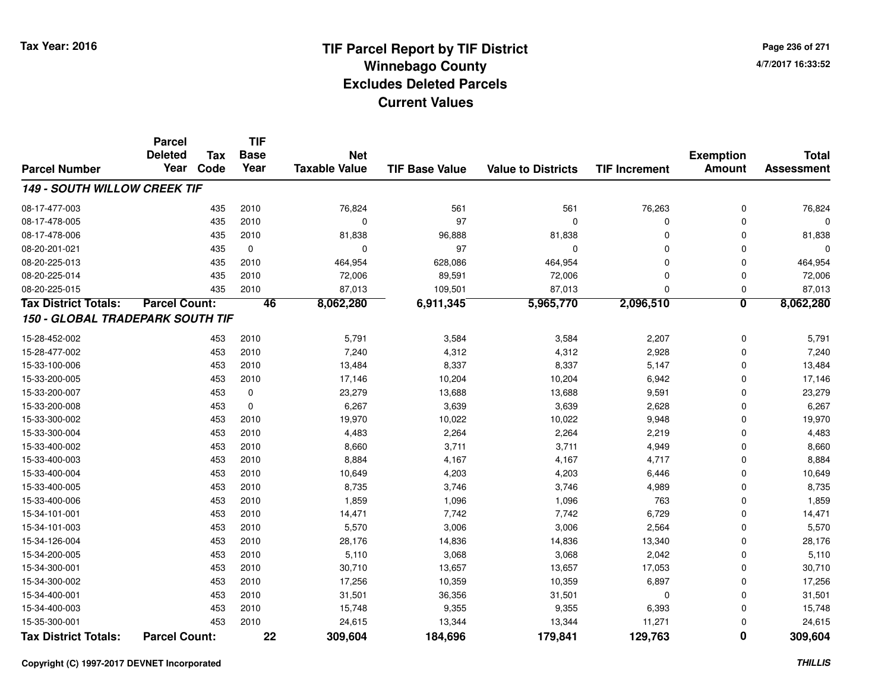**Page 236 of 2714/7/2017 16:33:52**

|                                     | <b>Parcel</b>          |                    | <b>TIF</b>          |                                    |                       |                           |                      |                                   |                                   |
|-------------------------------------|------------------------|--------------------|---------------------|------------------------------------|-----------------------|---------------------------|----------------------|-----------------------------------|-----------------------------------|
|                                     | <b>Deleted</b><br>Year | <b>Tax</b><br>Code | <b>Base</b><br>Year | <b>Net</b><br><b>Taxable Value</b> |                       |                           |                      | <b>Exemption</b><br><b>Amount</b> | <b>Total</b><br><b>Assessment</b> |
| <b>Parcel Number</b>                |                        |                    |                     |                                    | <b>TIF Base Value</b> | <b>Value to Districts</b> | <b>TIF Increment</b> |                                   |                                   |
| <b>149 - SOUTH WILLOW CREEK TIF</b> |                        |                    |                     |                                    |                       |                           |                      |                                   |                                   |
| 08-17-477-003                       |                        | 435                | 2010                | 76,824                             | 561                   | 561                       | 76,263               | $\mathbf 0$                       | 76,824                            |
| 08-17-478-005                       |                        | 435                | 2010                | 0                                  | 97                    | $\mathbf 0$               | 0                    | $\mathbf 0$                       | $\Omega$                          |
| 08-17-478-006                       |                        | 435                | 2010                | 81,838                             | 96,888                | 81,838                    | 0                    | $\Omega$                          | 81,838                            |
| 08-20-201-021                       |                        | 435                | 0                   | 0                                  | 97                    | 0                         | 0                    | $\Omega$                          | 0                                 |
| 08-20-225-013                       |                        | 435                | 2010                | 464,954                            | 628,086               | 464,954                   | $\mathbf 0$          | $\Omega$                          | 464,954                           |
| 08-20-225-014                       |                        | 435                | 2010                | 72,006                             | 89,591                | 72,006                    | 0                    | 0                                 | 72,006                            |
| 08-20-225-015                       |                        | 435                | 2010                | 87,013                             | 109,501               | 87,013                    | 0                    | 0                                 | 87,013                            |
| <b>Tax District Totals:</b>         | <b>Parcel Count:</b>   |                    | 46                  | 8,062,280                          | 6,911,345             | 5,965,770                 | 2,096,510            | $\overline{\mathbf{0}}$           | 8,062,280                         |
| 150 - GLOBAL TRADEPARK SOUTH TIF    |                        |                    |                     |                                    |                       |                           |                      |                                   |                                   |
| 15-28-452-002                       |                        | 453                | 2010                | 5,791                              | 3,584                 | 3,584                     | 2,207                | $\mathbf 0$                       | 5,791                             |
| 15-28-477-002                       |                        | 453                | 2010                | 7,240                              | 4,312                 | 4,312                     | 2,928                | $\mathbf 0$                       | 7,240                             |
| 15-33-100-006                       |                        | 453                | 2010                | 13,484                             | 8,337                 | 8,337                     | 5,147                | $\mathbf 0$                       | 13,484                            |
| 15-33-200-005                       |                        | 453                | 2010                | 17,146                             | 10,204                | 10,204                    | 6,942                | $\mathbf 0$                       | 17,146                            |
| 15-33-200-007                       |                        | 453                | 0                   | 23,279                             | 13,688                | 13,688                    | 9,591                | $\mathbf 0$                       | 23,279                            |
| 15-33-200-008                       |                        | 453                | $\mathbf 0$         | 6,267                              | 3,639                 | 3,639                     | 2,628                | $\mathbf 0$                       | 6,267                             |
| 15-33-300-002                       |                        | 453                | 2010                | 19,970                             | 10,022                | 10,022                    | 9,948                | $\Omega$                          | 19,970                            |
| 15-33-300-004                       |                        | 453                | 2010                | 4,483                              | 2,264                 | 2,264                     | 2,219                | $\mathbf 0$                       | 4,483                             |
| 15-33-400-002                       |                        | 453                | 2010                | 8,660                              | 3,711                 | 3,711                     | 4,949                | $\Omega$                          | 8,660                             |
| 15-33-400-003                       |                        | 453                | 2010                | 8,884                              | 4,167                 | 4,167                     | 4,717                | $\mathbf 0$                       | 8,884                             |
| 15-33-400-004                       |                        | 453                | 2010                | 10,649                             | 4,203                 | 4,203                     | 6,446                | $\Omega$                          | 10,649                            |
| 15-33-400-005                       |                        | 453                | 2010                | 8,735                              | 3,746                 | 3,746                     | 4,989                | $\mathbf 0$                       | 8,735                             |
| 15-33-400-006                       |                        | 453                | 2010                | 1,859                              | 1,096                 | 1,096                     | 763                  | $\Omega$                          | 1,859                             |
| 15-34-101-001                       |                        | 453                | 2010                | 14,471                             | 7,742                 | 7,742                     | 6,729                | $\mathbf 0$                       | 14,471                            |
| 15-34-101-003                       |                        | 453                | 2010                | 5,570                              | 3,006                 | 3,006                     | 2,564                | 0                                 | 5,570                             |
| 15-34-126-004                       |                        | 453                | 2010                | 28,176                             | 14,836                | 14,836                    | 13,340               | $\Omega$                          | 28,176                            |
| 15-34-200-005                       |                        | 453                | 2010                | 5,110                              | 3,068                 | 3,068                     | 2,042                | $\Omega$                          | 5,110                             |
| 15-34-300-001                       |                        | 453                | 2010                | 30,710                             | 13,657                | 13,657                    | 17,053               | $\Omega$                          | 30,710                            |
| 15-34-300-002                       |                        | 453                | 2010                | 17,256                             | 10,359                | 10,359                    | 6,897                | $\Omega$                          | 17,256                            |
| 15-34-400-001                       |                        | 453                | 2010                | 31,501                             | 36,356                | 31,501                    | 0                    | $\Omega$                          | 31,501                            |
| 15-34-400-003                       |                        | 453                | 2010                | 15,748                             | 9,355                 | 9,355                     | 6,393                | 0                                 | 15,748                            |
| 15-35-300-001                       |                        | 453                | 2010                | 24,615                             | 13,344                | 13,344                    | 11,271               | 0                                 | 24,615                            |
| <b>Tax District Totals:</b>         | <b>Parcel Count:</b>   |                    | $\overline{22}$     | 309,604                            | 184,696               | 179,841                   | 129,763              | $\overline{\mathbf{0}}$           | 309,604                           |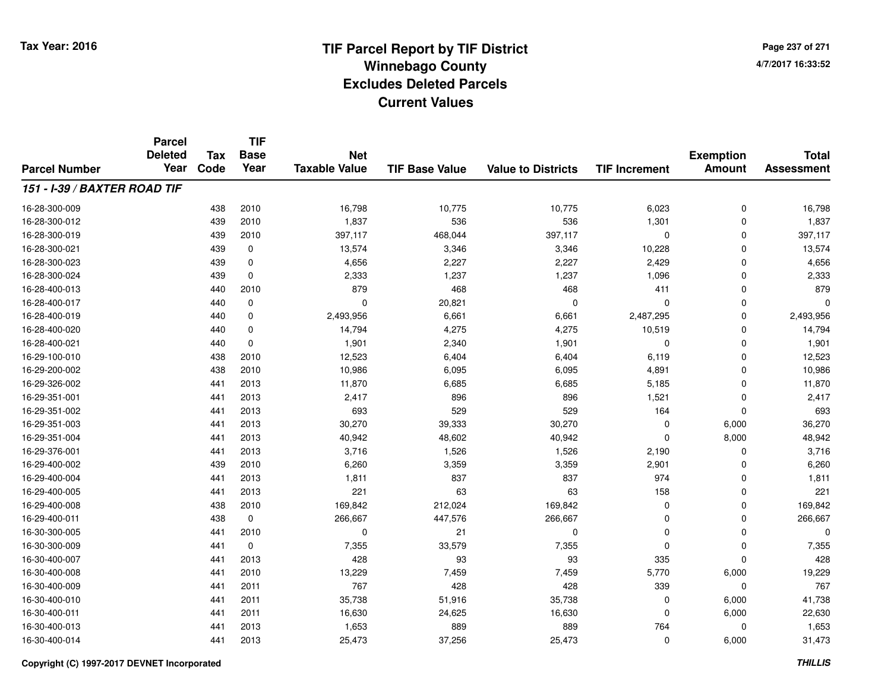**Page 237 of 2714/7/2017 16:33:52**

#### **TIF Base ValueParcel NumberTotal AssessmentExemption Amount Value to Districts TIF IncrementTIF Base YearTax CodeParcel Deleted YearNet Taxable Value151 - I-39 / BAXTER ROAD TIF**16-28-300-009 <sup>438</sup> 16,798 <sup>2010</sup> 10,775 10,775 6,023 <sup>0</sup> 16,798 16-28-300-0122 1,837 1,837 1,837 536 536 536 536 536 536 536 537 1,301 1,301 1,837 16-28-300-019 <sup>439</sup> 397,117 <sup>2010</sup> 468,044 397,117 <sup>0</sup> <sup>0</sup> 397,117 16-28-300-0211 439 0 13,574 3,346 3,346 10,228 0 13,574 16-28-300-0233 439 0 4,656 2,227 2,227 2,429 0 4,656 16-28-300-024 <sup>439</sup> 2,333 <sup>0</sup> 1,237 1,237 1,096 <sup>0</sup> 2,333 16-28-400-0133 440 2010 879 468 468 411 0 879 16-28-400-017 <sup>440</sup> <sup>0</sup> <sup>0</sup> 20,821 <sup>0</sup> <sup>0</sup> <sup>0</sup> <sup>0</sup> 16-28-400-0199 440 0 2,493,956 6,661 6,661 2,487,295 0 2,493,956 16-28-400-020 <sup>440</sup> 14,794 <sup>0</sup> 4,275 4,275 10,519 <sup>0</sup> 14,794 16-28-400-0211 440 0 1,901 2,340 1,901 0 0 1,901 16-29-100-0100 438 2010 12,523 6,404 6,404 6,119 0 12,523 16-29-200-002 <sup>438</sup> 10,986 <sup>2010</sup> 6,095 6,095 4,891 <sup>0</sup> 10,986 16-29-326-0022 441 2013 11,870 6,685 6,685 5,185 0 11,870 16-29-351-0011 441 2013 2,417 896 896 1,521 0 2,417 16-29-351-002 <sup>441</sup> <sup>693</sup> <sup>2013</sup> <sup>529</sup> <sup>529</sup> <sup>164</sup> <sup>0</sup> <sup>693</sup> 16-29-351-003 <sup>441</sup> 30,270 <sup>2013</sup> 39,333 30,270 <sup>0</sup> 6,000 36,270 16-29-351-00444 2013 440 2013 40,942 48,602 40,942 40,942 0 8,000 48,942 16-29-376-0011 441 2013 3,716 1,526 1,526 2,190 0 3,716 16-29-400-0022 439 2010 6,260 3,359 3,359 2,901 0 6,260 16-29-400-004 <sup>441</sup> 1,811 <sup>2013</sup> <sup>837</sup> <sup>837</sup> <sup>974</sup> <sup>0</sup> 1,811 16-29-400-005 <sup>441</sup> <sup>221</sup> <sup>2013</sup> <sup>63</sup> <sup>63</sup> <sup>158</sup> <sup>0</sup> <sup>221</sup> 16-29-400-008 <sup>438</sup> 169,842 <sup>2010</sup> 212,024 169,842 <sup>0</sup> <sup>0</sup> 169,842 16-29-400-0111 438 0 266,667 447,576 266,667 0 266,667 16-30-300-005 <sup>441</sup> <sup>0</sup> <sup>2010</sup> <sup>21</sup> <sup>0</sup> <sup>0</sup> <sup>0</sup> <sup>0</sup> 16-30-300-0099 441 0 7,355 33,579 7,355 0 0 7,355 16-30-400-007 <sup>441</sup> <sup>428</sup> <sup>2013</sup> <sup>93</sup> <sup>93</sup> <sup>335</sup> <sup>0</sup> <sup>428</sup> 16-30-400-008 <sup>441</sup> 13,229 <sup>2010</sup> 7,459 7,459 5,770 6,000 19,229 16-30-400-009 <sup>441</sup> <sup>767</sup> <sup>2011</sup> <sup>428</sup> <sup>428</sup> <sup>339</sup> <sup>0</sup> <sup>767</sup> 16-30-400-0100 441 2011 35,738 51,916 35,738 0 6,000 41,738 16-30-400-0111 441 2011 16,630 24,625 16,630 0 6,000 22,630 16-30-400-0133 441 2013 1,653 889 889 764 0 1,653 16-30-400-0144 25,473 26,000 31,473 37,256 25,473 37,256 37,256 31,473 3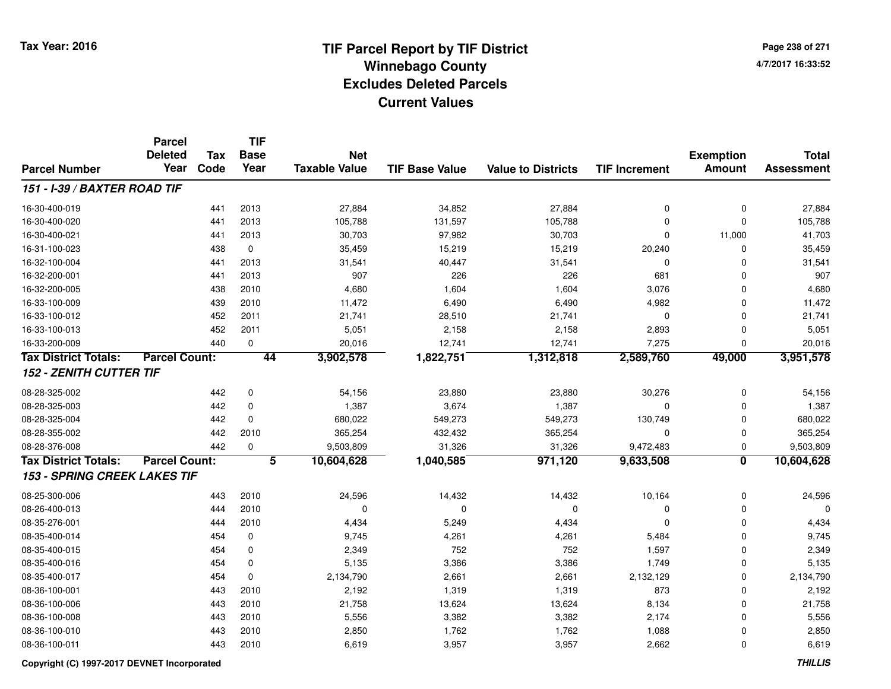**Page 238 of 2714/7/2017 16:33:52**

|                                     | <b>Parcel</b>        |            | <b>TIF</b>  |                      |                       |                           |                      |                  |                   |
|-------------------------------------|----------------------|------------|-------------|----------------------|-----------------------|---------------------------|----------------------|------------------|-------------------|
|                                     | <b>Deleted</b>       | <b>Tax</b> | <b>Base</b> | <b>Net</b>           |                       |                           |                      | <b>Exemption</b> | <b>Total</b>      |
| <b>Parcel Number</b>                | Year                 | Code       | Year        | <b>Taxable Value</b> | <b>TIF Base Value</b> | <b>Value to Districts</b> | <b>TIF Increment</b> | <b>Amount</b>    | <b>Assessment</b> |
| 151 - I-39 / BAXTER ROAD TIF        |                      |            |             |                      |                       |                           |                      |                  |                   |
| 16-30-400-019                       |                      | 441        | 2013        | 27,884               | 34,852                | 27,884                    | $\mathbf 0$          | $\mathbf 0$      | 27,884            |
| 16-30-400-020                       |                      | 441        | 2013        | 105,788              | 131,597               | 105,788                   | $\mathbf 0$          | $\mathbf 0$      | 105,788           |
| 16-30-400-021                       |                      | 441        | 2013        | 30,703               | 97,982                | 30,703                    | $\mathbf 0$          | 11,000           | 41,703            |
| 16-31-100-023                       |                      | 438        | $\mathbf 0$ | 35,459               | 15,219                | 15,219                    | 20,240               | 0                | 35,459            |
| 16-32-100-004                       |                      | 441        | 2013        | 31,541               | 40,447                | 31,541                    | $\mathbf 0$          | $\Omega$         | 31,541            |
| 16-32-200-001                       |                      | 441        | 2013        | 907                  | 226                   | 226                       | 681                  | 0                | 907               |
| 16-32-200-005                       |                      | 438        | 2010        | 4,680                | 1,604                 | 1,604                     | 3,076                | $\Omega$         | 4,680             |
| 16-33-100-009                       |                      | 439        | 2010        | 11,472               | 6,490                 | 6,490                     | 4,982                | 0                | 11,472            |
| 16-33-100-012                       |                      | 452        | 2011        | 21,741               | 28,510                | 21,741                    | $\mathbf 0$          | $\mathbf 0$      | 21,741            |
| 16-33-100-013                       |                      | 452        | 2011        | 5,051                | 2,158                 | 2,158                     | 2,893                | $\mathbf 0$      | 5,051             |
| 16-33-200-009                       |                      | 440        | $\mathbf 0$ | 20,016               | 12,741                | 12,741                    | 7,275                | $\mathbf 0$      | 20,016            |
| <b>Tax District Totals:</b>         | <b>Parcel Count:</b> |            | 44          | 3,902,578            | 1,822,751             | 1,312,818                 | 2,589,760            | 49,000           | 3,951,578         |
| <b>152 - ZENITH CUTTER TIF</b>      |                      |            |             |                      |                       |                           |                      |                  |                   |
| 08-28-325-002                       |                      | 442        | 0           | 54,156               | 23,880                | 23,880                    | 30,276               | $\mathbf 0$      | 54,156            |
| 08-28-325-003                       |                      | 442        | $\mathbf 0$ | 1,387                | 3,674                 | 1,387                     | 0                    | 0                | 1,387             |
| 08-28-325-004                       |                      | 442        | $\mathbf 0$ | 680,022              | 549,273               | 549,273                   | 130,749              | $\mathbf 0$      | 680,022           |
| 08-28-355-002                       |                      | 442        | 2010        | 365,254              | 432,432               | 365,254                   | $\mathbf 0$          | 0                | 365,254           |
| 08-28-376-008                       |                      | 442        | $\mathbf 0$ | 9,503,809            | 31,326                | 31,326                    | 9,472,483            | $\mathbf 0$      | 9,503,809         |
| <b>Tax District Totals:</b>         | <b>Parcel Count:</b> |            | 5           | 10,604,628           | 1,040,585             | 971,120                   | 9,633,508            | 0                | 10,604,628        |
| <b>153 - SPRING CREEK LAKES TIF</b> |                      |            |             |                      |                       |                           |                      |                  |                   |
| 08-25-300-006                       |                      | 443        | 2010        | 24,596               | 14,432                | 14,432                    | 10,164               | $\mathbf 0$      | 24,596            |
| 08-26-400-013                       |                      | 444        | 2010        | $\mathbf 0$          | $\Omega$              | 0                         | $\mathbf 0$          | $\mathbf 0$      | O                 |
| 08-35-276-001                       |                      | 444        | 2010        | 4,434                | 5,249                 | 4,434                     | $\mathbf 0$          | $\Omega$         | 4,434             |
| 08-35-400-014                       |                      | 454        | $\mathbf 0$ | 9,745                | 4,261                 | 4,261                     | 5,484                | 0                | 9,745             |
| 08-35-400-015                       |                      | 454        | 0           | 2,349                | 752                   | 752                       | 1,597                | $\mathbf 0$      | 2,349             |
| 08-35-400-016                       |                      | 454        | 0           | 5,135                | 3,386                 | 3,386                     | 1,749                | $\mathbf 0$      | 5,135             |
| 08-35-400-017                       |                      | 454        | $\Omega$    | 2,134,790            | 2,661                 | 2,661                     | 2,132,129            | $\mathbf 0$      | 2,134,790         |
| 08-36-100-001                       |                      | 443        | 2010        | 2,192                | 1,319                 | 1,319                     | 873                  | $\mathbf 0$      | 2,192             |
| 08-36-100-006                       |                      | 443        | 2010        | 21,758               | 13,624                | 13,624                    | 8,134                | 0                | 21,758            |
| 08-36-100-008                       |                      | 443        | 2010        | 5,556                | 3,382                 | 3,382                     | 2,174                | $\mathbf 0$      | 5,556             |
| 08-36-100-010                       |                      | 443        | 2010        | 2,850                | 1,762                 | 1,762                     | 1,088                | $\Omega$         | 2,850             |
| 08-36-100-011                       |                      | 443        | 2010        | 6,619                | 3,957                 | 3,957                     | 2,662                | $\mathbf 0$      | 6,619             |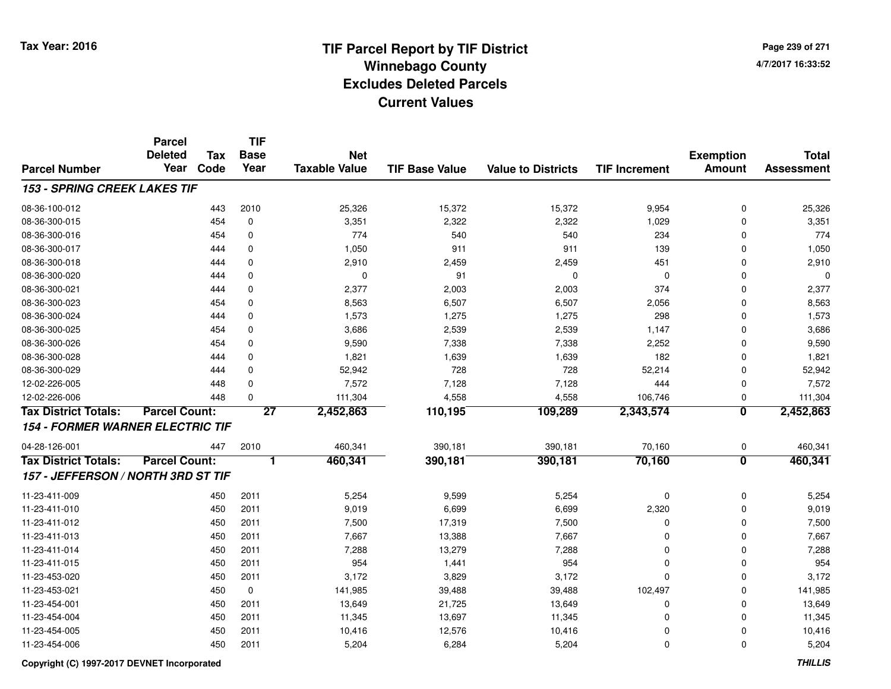**Page 239 of 2714/7/2017 16:33:52**

|                                         | <b>Parcel</b><br><b>Deleted</b> | <b>Tax</b> | <b>TIF</b><br><b>Base</b> | <b>Net</b>           |                       |                           |                      | <b>Exemption</b>        | <b>Total</b>      |
|-----------------------------------------|---------------------------------|------------|---------------------------|----------------------|-----------------------|---------------------------|----------------------|-------------------------|-------------------|
| <b>Parcel Number</b>                    | Year                            | Code       | Year                      | <b>Taxable Value</b> | <b>TIF Base Value</b> | <b>Value to Districts</b> | <b>TIF Increment</b> | <b>Amount</b>           | <b>Assessment</b> |
| 153 - SPRING CREEK LAKES TIF            |                                 |            |                           |                      |                       |                           |                      |                         |                   |
| 08-36-100-012                           |                                 | 443        | 2010                      | 25,326               | 15,372                | 15,372                    | 9,954                | $\mathbf 0$             | 25,326            |
| 08-36-300-015                           |                                 | 454        | 0                         | 3,351                | 2,322                 | 2,322                     | 1,029                | $\mathbf 0$             | 3,351             |
| 08-36-300-016                           |                                 | 454        | $\mathbf 0$               | 774                  | 540                   | 540                       | 234                  | $\Omega$                | 774               |
| 08-36-300-017                           |                                 | 444        | 0                         | 1,050                | 911                   | 911                       | 139                  | $\Omega$                | 1,050             |
| 08-36-300-018                           |                                 | 444        | $\mathbf 0$               | 2,910                | 2,459                 | 2,459                     | 451                  | $\Omega$                | 2,910             |
| 08-36-300-020                           |                                 | 444        | $\mathbf 0$               | $\mathbf 0$          | 91                    | $\mathbf 0$               | $\mathbf 0$          | $\Omega$                | 0                 |
| 08-36-300-021                           |                                 | 444        | $\mathbf 0$               | 2,377                | 2,003                 | 2,003                     | 374                  | $\Omega$                | 2,377             |
| 08-36-300-023                           |                                 | 454        | $\mathbf 0$               | 8,563                | 6,507                 | 6,507                     | 2,056                | $\Omega$                | 8,563             |
| 08-36-300-024                           |                                 | 444        | $\mathbf 0$               | 1,573                | 1,275                 | 1,275                     | 298                  | $\Omega$                | 1,573             |
| 08-36-300-025                           |                                 | 454        | $\mathbf 0$               | 3,686                | 2,539                 | 2,539                     | 1,147                | $\Omega$                | 3,686             |
| 08-36-300-026                           |                                 | 454        | $\mathbf 0$               | 9,590                | 7,338                 | 7,338                     | 2,252                | $\Omega$                | 9,590             |
| 08-36-300-028                           |                                 | 444        | $\mathbf 0$               | 1,821                | 1,639                 | 1,639                     | 182                  | $\mathbf 0$             | 1,821             |
| 08-36-300-029                           |                                 | 444        | $\mathbf 0$               | 52,942               | 728                   | 728                       | 52,214               | $\mathbf 0$             | 52,942            |
| 12-02-226-005                           |                                 | 448        | $\mathbf 0$               | 7,572                | 7,128                 | 7,128                     | 444                  | 0                       | 7,572             |
| 12-02-226-006                           |                                 | 448        | $\mathbf 0$               | 111,304              | 4,558                 | 4,558                     | 106,746              | 0                       | 111,304           |
| <b>Tax District Totals:</b>             | <b>Parcel Count:</b>            |            | $\overline{27}$           | 2,452,863            | 110, 195              | 109,289                   | 2,343,574            | $\overline{\mathbf{0}}$ | 2,452,863         |
| <b>154 - FORMER WARNER ELECTRIC TIF</b> |                                 |            |                           |                      |                       |                           |                      |                         |                   |
| 04-28-126-001                           |                                 | 447        | 2010                      | 460,341              | 390,181               | 390,181                   | 70,160               | 0                       | 460,341           |
| <b>Tax District Totals:</b>             | <b>Parcel Count:</b>            |            | 1                         | 460,341              | 390,181               | 390,181                   | 70,160               | $\overline{\mathbf{0}}$ | 460,341           |
| 157 - JEFFERSON / NORTH 3RD ST TIF      |                                 |            |                           |                      |                       |                           |                      |                         |                   |
| 11-23-411-009                           |                                 | 450        | 2011                      | 5,254                | 9,599                 | 5,254                     | 0                    | $\mathbf 0$             | 5,254             |
| 11-23-411-010                           |                                 | 450        | 2011                      | 9,019                | 6,699                 | 6,699                     | 2,320                | $\mathbf 0$             | 9,019             |
| 11-23-411-012                           |                                 | 450        | 2011                      | 7,500                | 17,319                | 7,500                     | 0                    | $\mathbf 0$             | 7,500             |
| 11-23-411-013                           |                                 | 450        | 2011                      | 7,667                | 13,388                | 7,667                     | 0                    | $\mathbf 0$             | 7,667             |
| 11-23-411-014                           |                                 | 450        | 2011                      | 7,288                | 13,279                | 7,288                     | 0                    | $\mathbf 0$             | 7,288             |
| 11-23-411-015                           |                                 | 450        | 2011                      | 954                  | 1,441                 | 954                       | 0                    | $\mathbf 0$             | 954               |
| 11-23-453-020                           |                                 | 450        | 2011                      | 3,172                | 3,829                 | 3,172                     | 0                    | $\mathbf 0$             | 3,172             |
| 11-23-453-021                           |                                 | 450        | 0                         | 141,985              | 39,488                | 39,488                    | 102,497              | $\mathbf 0$             | 141,985           |
| 11-23-454-001                           |                                 | 450        | 2011                      | 13,649               | 21,725                | 13,649                    | 0                    | $\mathbf 0$             | 13,649            |
| 11-23-454-004                           |                                 | 450        | 2011                      | 11,345               | 13,697                | 11,345                    | 0                    | $\mathbf 0$             | 11,345            |
| 11-23-454-005                           |                                 | 450        | 2011                      | 10,416               | 12,576                | 10,416                    | 0                    | $\Omega$                | 10,416            |
| 11-23-454-006                           |                                 | 450        | 2011                      | 5,204                | 6,284                 | 5,204                     | 0                    | $\Omega$                | 5,204             |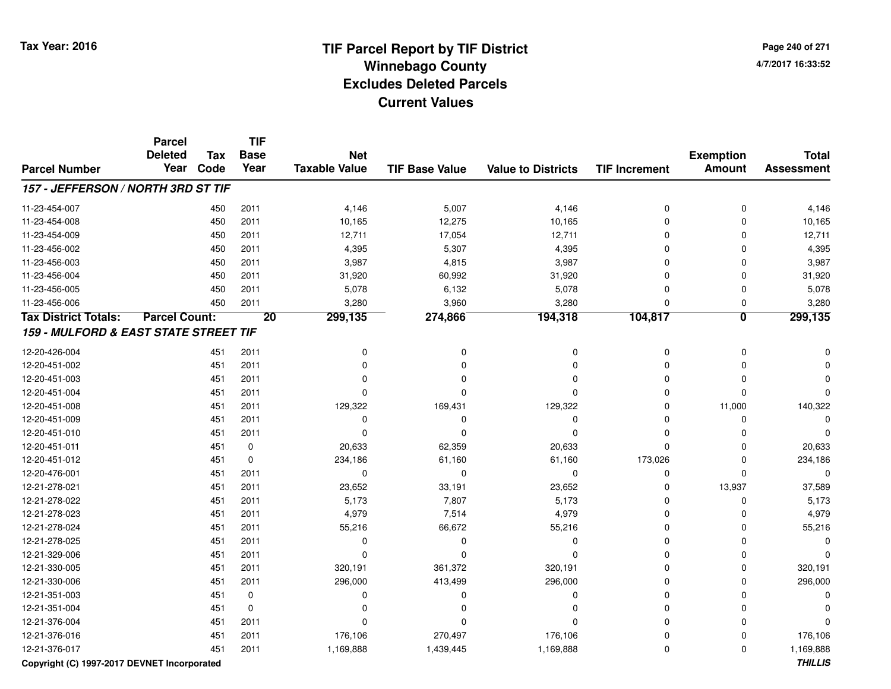**Page 240 of 2714/7/2017 16:33:52**

|                                       | <b>Parcel</b><br><b>Deleted</b> | <b>Tax</b> | <b>TIF</b><br><b>Base</b> | <b>Net</b>           |                       |                           |                      | <b>Exemption</b>        | <b>Total</b>      |
|---------------------------------------|---------------------------------|------------|---------------------------|----------------------|-----------------------|---------------------------|----------------------|-------------------------|-------------------|
| <b>Parcel Number</b>                  | Year                            | Code       | Year                      | <b>Taxable Value</b> | <b>TIF Base Value</b> | <b>Value to Districts</b> | <b>TIF Increment</b> | <b>Amount</b>           | <b>Assessment</b> |
| 157 - JEFFERSON / NORTH 3RD ST TIF    |                                 |            |                           |                      |                       |                           |                      |                         |                   |
| 11-23-454-007                         |                                 | 450        | 2011                      | 4,146                | 5,007                 | 4,146                     | 0                    | $\mathbf 0$             | 4,146             |
| 11-23-454-008                         |                                 | 450        | 2011                      | 10,165               | 12,275                | 10,165                    | $\mathbf 0$          | 0                       | 10,165            |
| 11-23-454-009                         |                                 | 450        | 2011                      | 12,711               | 17,054                | 12,711                    | 0                    | $\Omega$                | 12,711            |
| 11-23-456-002                         |                                 | 450        | 2011                      | 4,395                | 5,307                 | 4,395                     | $\mathbf 0$          | $\Omega$                | 4,395             |
| 11-23-456-003                         |                                 | 450        | 2011                      | 3,987                | 4,815                 | 3,987                     | 0                    | O                       | 3,987             |
| 11-23-456-004                         |                                 | 450        | 2011                      | 31,920               | 60,992                | 31,920                    | 0                    | 0                       | 31,920            |
| 11-23-456-005                         |                                 | 450        | 2011                      | 5,078                | 6,132                 | 5,078                     | 0                    | $\Omega$                | 5,078             |
| 11-23-456-006                         |                                 | 450        | 2011                      | 3,280                | 3,960                 | 3,280                     | $\mathbf 0$          | 0                       | 3,280             |
| <b>Tax District Totals:</b>           | <b>Parcel Count:</b>            |            | $\overline{20}$           | 299,135              | 274,866               | 194,318                   | 104,817              | $\overline{\mathbf{0}}$ | 299,135           |
| 159 - MULFORD & EAST STATE STREET TIF |                                 |            |                           |                      |                       |                           |                      |                         |                   |
| 12-20-426-004                         |                                 | 451        | 2011                      | O                    | 0                     | 0                         | 0                    | $\Omega$                |                   |
| 12-20-451-002                         |                                 | 451        | 2011                      | O                    | $\Omega$              | $\Omega$                  | $\mathbf 0$          | 0                       |                   |
| 12-20-451-003                         |                                 | 451        | 2011                      | 0                    | $\Omega$              | 0                         | 0                    | $\Omega$                |                   |
| 12-20-451-004                         |                                 | 451        | 2011                      | $\Omega$             | n                     | $\Omega$                  | 0                    | $\mathbf 0$             |                   |
| 12-20-451-008                         |                                 | 451        | 2011                      | 129,322              | 169,431               | 129,322                   | 0                    | 11,000                  | 140,322           |
| 12-20-451-009                         |                                 | 451        | 2011                      | 0                    | 0                     | 0                         | 0                    | 0                       | $\Omega$          |
| 12-20-451-010                         |                                 | 451        | 2011                      | $\Omega$             | $\Omega$              | $\Omega$                  | 0                    | $\Omega$                | $\Omega$          |
| 12-20-451-011                         |                                 | 451        | 0                         | 20,633               | 62,359                | 20,633                    | 0                    | $\Omega$                | 20,633            |
| 12-20-451-012                         |                                 | 451        | $\mathbf 0$               | 234,186              | 61,160                | 61,160                    | 173,026              | $\Omega$                | 234,186           |
| 12-20-476-001                         |                                 | 451        | 2011                      | $\mathbf 0$          | $\mathbf 0$           | 0                         | 0                    | $\Omega$                | $\Omega$          |
| 12-21-278-021                         |                                 | 451        | 2011                      | 23,652               | 33,191                | 23,652                    | 0                    | 13,937                  | 37,589            |
| 12-21-278-022                         |                                 | 451        | 2011                      | 5,173                | 7,807                 | 5,173                     | $\mathbf 0$          | 0                       | 5,173             |
| 12-21-278-023                         |                                 | 451        | 2011                      | 4,979                | 7,514                 | 4,979                     | $\mathbf 0$          | $\Omega$                | 4,979             |
| 12-21-278-024                         |                                 | 451        | 2011                      | 55,216               | 66,672                | 55,216                    | 0                    | 0                       | 55,216            |
| 12-21-278-025                         |                                 | 451        | 2011                      | 0                    | $\Omega$              | $\Omega$                  | 0                    | 0                       |                   |
| 12-21-329-006                         |                                 | 451        | 2011                      | $\Omega$             | n                     | $\Omega$                  | 0                    | 0                       | ŋ                 |
| 12-21-330-005                         |                                 | 451        | 2011                      | 320,191              | 361,372               | 320,191                   | 0                    | 0                       | 320,191           |
| 12-21-330-006                         |                                 | 451        | 2011                      | 296,000              | 413,499               | 296,000                   | 0                    | 0                       | 296,000           |
| 12-21-351-003                         |                                 | 451        | 0                         | 0                    | $\Omega$              | 0                         | 0                    | 0                       | U                 |
| 12-21-351-004                         |                                 | 451        | $\pmb{0}$                 | $\Omega$             | $\Omega$              | $\Omega$                  | $\overline{0}$       | $\Omega$                |                   |
| 12-21-376-004                         |                                 | 451        | 2011                      | $\Omega$             | $\Omega$              | $\Omega$                  | 0                    | $\Omega$                |                   |
| 12-21-376-016                         |                                 | 451        | 2011                      | 176,106              | 270,497               | 176,106                   | 0                    | 0                       | 176,106           |
| 12-21-376-017                         |                                 | 451        | 2011                      | 1,169,888            | 1,439,445             | 1,169,888                 | $\mathbf 0$          | $\Omega$                | 1,169,888         |

### **Copyright (C) 1997-2017 DEVNET Incorporated**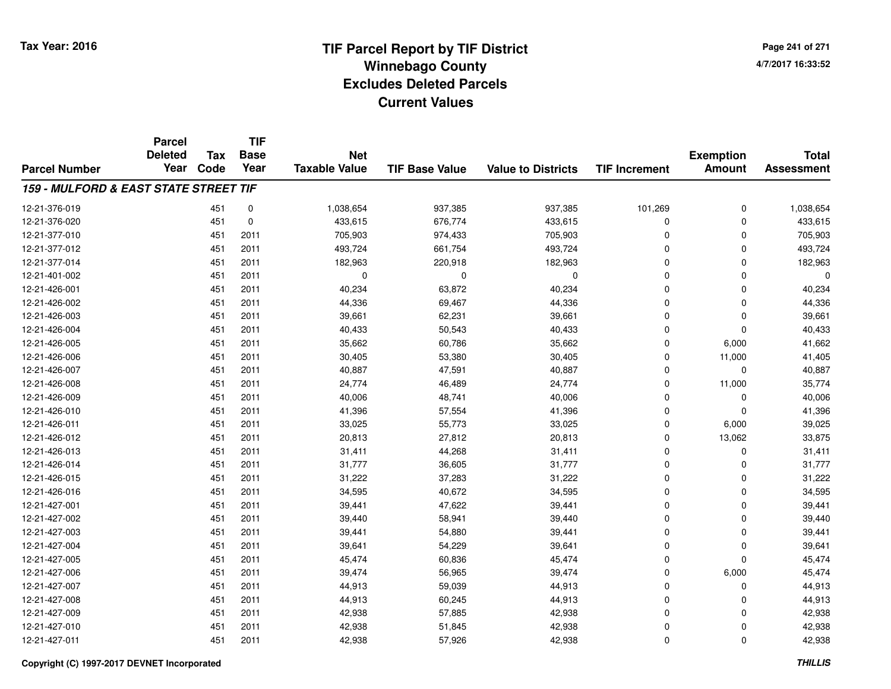**TIF**

**Parcel**

**Page 241 of 2714/7/2017 16:33:52**

#### **TIF Base ValueParcel NumberTotal AssessmentExemption Amount Value to Districts TIF Increment Base YearTax Code Deleted YearNet Taxable Value159 - MULFORD & EAST STATE STREET TIF**12-21-376-0199 451 0 1,038,654 937,385 937,385 101,269 0 1,038,654 12-21-376-0200 451 0 433,615 676,774 433,615 0 0 433,615 12-21-377-010 <sup>451</sup> 705,903 <sup>2011</sup> 974,433 705,903 <sup>0</sup> <sup>0</sup> 705,903 12-21-377-0122 451 2011 493,724 661,754 493,724 0 493,724 12-21-377-014 <sup>451</sup> 182,963 <sup>2011</sup> 220,918 182,963 <sup>0</sup> <sup>0</sup> 182,963 12-21-401-002 <sup>451</sup> <sup>0</sup> <sup>2011</sup> <sup>0</sup> <sup>0</sup> <sup>0</sup> <sup>0</sup> <sup>0</sup> 12-21-426-0011 1 2011 40,234 63,872 40,234 63,872 0 0 0 40,234 12-21-426-0022 451 2011 44,336 69,467 44,336 0 44,336 12-21-426-0033 451 2011 39,661 62,231 39,661 0 0 39,661 12-21-426-004 <sup>451</sup> 40,433 <sup>2011</sup> 50,543 40,433 <sup>0</sup> <sup>0</sup> 40,433 12-21-426-005 <sup>451</sup> 35,662 <sup>2011</sup> 60,786 35,662 <sup>0</sup> 6,000 41,662 12-21-426-006 <sup>451</sup> 30,405 <sup>2011</sup> 53,380 30,405 <sup>0</sup> 11,000 41,405 12-21-426-007 <sup>451</sup> 40,887 <sup>2011</sup> 47,591 40,887 <sup>0</sup> <sup>0</sup> 40,887 12-21-426-008 <sup>451</sup> 24,774 <sup>2011</sup> 46,489 24,774 <sup>0</sup> 11,000 35,774 12-21-426-0099 451 2011 40,006 48,741 40,006 0 0 40,006 12-21-426-0100 451 2011 41,396 57,554 41,396 0 0 41,396 12-21-426-011 <sup>451</sup> 33,025 <sup>2011</sup> 55,773 33,025 <sup>0</sup> 6,000 39,025 12-21-426-0122 451 2011 20,813 27,812 20,813 0 13,062 33,875 12-21-426-0133 451 2011 31,411 44,268 31,411 0 0 31,411 12-21-426-0144 31 3011 31,777 36,605 31,777 36,615 31,777 3 30,615 31,777 3 36,605 31,777 12-21-426-0155 451 2011 31,222 37,283 31,222 0 0 31,222 12-21-426-0166 451 2011 34,595 40,672 34,595 0 0 34,595 12-21-427-0011 451 2011 39,441 47,622 39,441 0 0 39,441 12-21-427-0022 451 2011 39,440 58,941 39,440 0 39,440 12-21-427-0033 451 2011 39,441 54,880 39,441 0 0 39,441 12-21-427-004 <sup>451</sup> 39,641 <sup>2011</sup> 54,229 39,641 <sup>0</sup> <sup>0</sup> 39,641 12-21-427-005 <sup>451</sup> 45,474 <sup>2011</sup> 60,836 45,474 <sup>0</sup> <sup>0</sup> 45,474 12-21-427-006 <sup>451</sup> 39,474 <sup>2011</sup> 56,965 39,474 <sup>0</sup> 6,000 45,474 12-21-427-007 <sup>451</sup> 44,913 <sup>2011</sup> 59,039 44,913 <sup>0</sup> <sup>0</sup> 44,913 12-21-427-0088 451 2011 44,913 60,245 44,913 0 0 44,913 12-21-427-0099 451 2011 42,938 57,885 42,938 0 42,938 12-21-427-0100 451 2011 42,938 51,845 42,938 0 0 42,938 12-21-427-0111 451 2011 42,938 57,926 42,938 0 42,938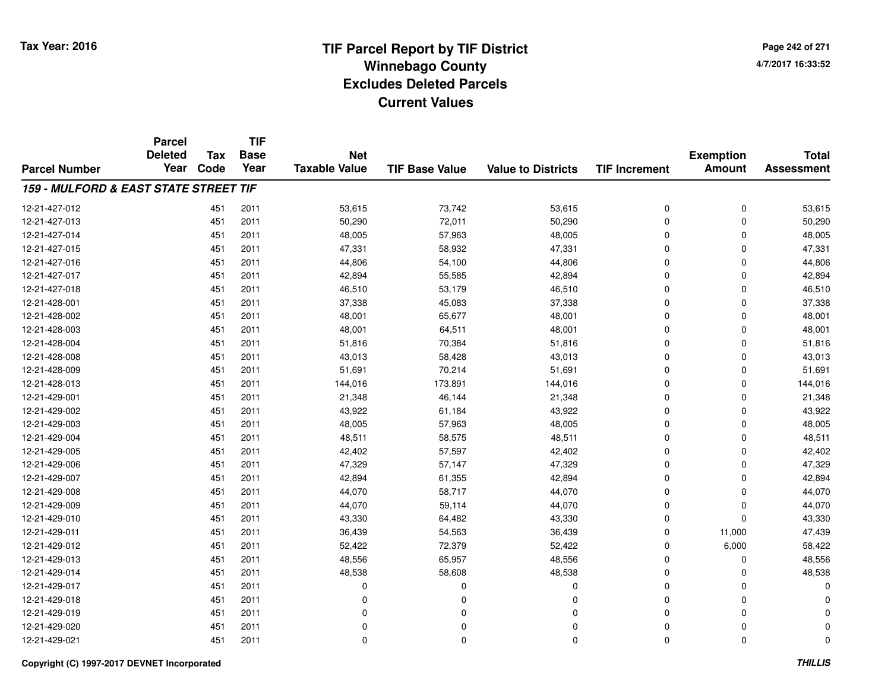**Page 242 of 2714/7/2017 16:33:52**

#### **TIF Base ValueParcel NumberTotal AssessmentExemption Amount Value to Districts TIF IncrementTIF Base YearTax CodeParcel Deleted YearNet Taxable Value159 - MULFORD & EAST STATE STREET TIF**12-21-427-0122 451 2011 53,615 73,742 53,615 0 0 53,615 12-21-427-013 <sup>451</sup> 50,290 <sup>2011</sup> 72,011 50,290 <sup>0</sup> <sup>0</sup> 50,290 12-21-427-014 <sup>451</sup> 48,005 <sup>2011</sup> 57,963 48,005 <sup>0</sup> <sup>0</sup> 48,005 12-21-427-015 <sup>451</sup> 47,331 <sup>2011</sup> 58,932 47,331 <sup>0</sup> <sup>0</sup> 47,331 12-21-427-016 <sup>451</sup> 44,806 <sup>2011</sup> 54,100 44,806 <sup>0</sup> <sup>0</sup> 44,806 12-21-427-017 <sup>451</sup> 42,894 <sup>2011</sup> 55,585 42,894 <sup>0</sup> <sup>0</sup> 42,894 12-21-427-018 <sup>451</sup> 46,510 <sup>2011</sup> 53,179 46,510 <sup>0</sup> <sup>0</sup> 46,510 12-21-428-001 <sup>451</sup> 37,338 <sup>2011</sup> 45,083 37,338 <sup>0</sup> <sup>0</sup> 37,338 12-21-428-0022 451 2011 48,001 65,677 48,001 0 0 48,001 12-21-428-0033 451 2011 48,001 64,511 48,001 0 48,001 12-21-428-004 <sup>451</sup> 51,816 <sup>2011</sup> 70,384 51,816 <sup>0</sup> <sup>0</sup> 51,816 12-21-428-0088 451 2011 43,013 58,428 43,013 0 0 43,013 12-21-428-0099 451 2011 51,691 70,214 51,691 0 0 51,691 12-21-428-0133 451 2011 144,016 173,891 144,016 0 0 144,016 12-21-429-0011 451 2011 21,348 46,144 21,348 0 0 21,348 12-21-429-0022 2 451 2011 43,922 61,184 43,922 0 0 43,922 12-21-429-0033 451 2011 48,005 57,963 48,005 0 48,005 12-21-429-004 <sup>451</sup> 48,511 <sup>2011</sup> 58,575 48,511 <sup>0</sup> <sup>0</sup> 48,511 12-21-429-005 <sup>451</sup> 42,402 <sup>2011</sup> 57,597 42,402 <sup>0</sup> <sup>0</sup> 42,402 12-21-429-006 <sup>451</sup> 47,329 <sup>2011</sup> 57,147 47,329 <sup>0</sup> <sup>0</sup> 47,329 12-21-429-007 <sup>451</sup> 42,894 <sup>2011</sup> 61,355 42,894 <sup>0</sup> <sup>0</sup> 42,894 12-21-429-008 <sup>451</sup> 44,070 <sup>2011</sup> 58,717 44,070 <sup>0</sup> <sup>0</sup> 44,070 12-21-429-009 <sup>451</sup> 44,070 <sup>2011</sup> 59,114 44,070 <sup>0</sup> <sup>0</sup> 44,070 12-21-429-0100 451 2011 43,330 64,482 43,330 0 0 43,330 12-21-429-011 <sup>451</sup> 36,439 <sup>2011</sup> 54,563 36,439 <sup>0</sup> 11,000 47,439 12-21-429-0122 451 2011 52,422 72,379 52,422 0 6,000 58,422 12-21-429-0133 451 2011 48,556 65,957 48,556 0 0 48,556 12-21-429-0144 2011 48,538 58,608 48,538 48,538 58,608 48,538 58,608 58,608 58,608 58,608 58,608 58,608 48,538 48,538 48,538 12-21-429-017 <sup>451</sup> <sup>0</sup> <sup>2011</sup> <sup>0</sup> <sup>0</sup> <sup>0</sup> <sup>0</sup> <sup>0</sup> 12-21-429-018 <sup>451</sup> <sup>0</sup> <sup>2011</sup> <sup>0</sup> <sup>0</sup> <sup>0</sup> <sup>0</sup> <sup>0</sup> 12-21-429-019 <sup>451</sup> <sup>0</sup> <sup>2011</sup> <sup>0</sup> <sup>0</sup> <sup>0</sup> <sup>0</sup> <sup>0</sup> 12-21-429-020 <sup>451</sup> <sup>0</sup> <sup>2011</sup> <sup>0</sup> <sup>0</sup> <sup>0</sup> <sup>0</sup> <sup>0</sup> 12-21-429-021<sup>451</sup> <sup>0</sup> <sup>2011</sup> <sup>0</sup> <sup>0</sup> <sup>0</sup> <sup>0</sup> <sup>0</sup>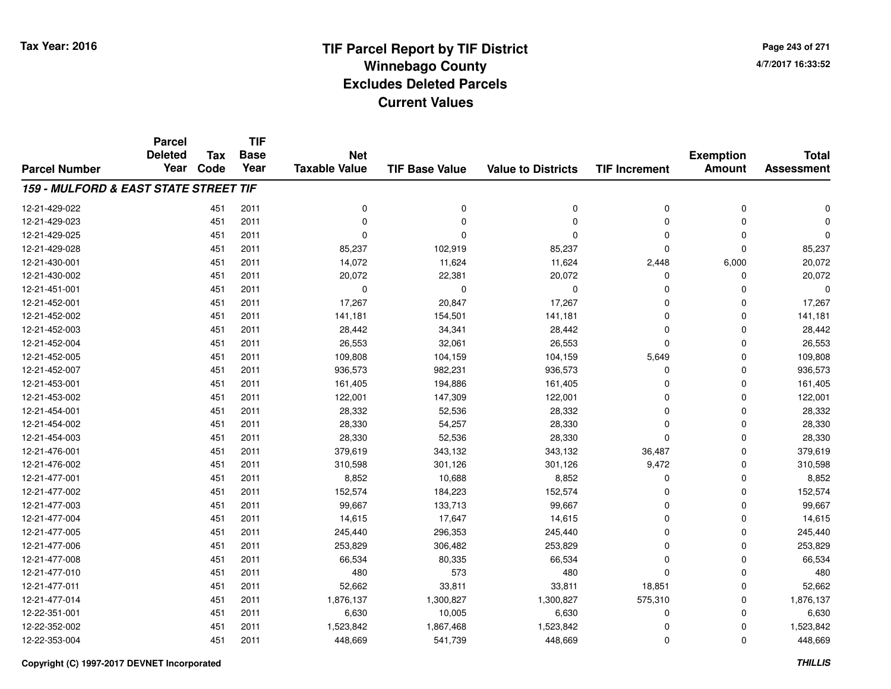**Page 243 of 2714/7/2017 16:33:52**

#### **TIF Base ValueParcel NumberTotal AssessmentExemption Amount Value to Districts TIF IncrementTIF Base YearTax CodeParcel Deleted YearNet Taxable Value159 - MULFORD & EAST STATE STREET TIF**12-21-429-022 <sup>451</sup> <sup>0</sup> <sup>2011</sup> <sup>0</sup> <sup>0</sup> <sup>0</sup> <sup>0</sup> <sup>0</sup> 12-21-429-023 <sup>451</sup> <sup>0</sup> <sup>2011</sup> <sup>0</sup> <sup>0</sup> <sup>0</sup> <sup>0</sup> <sup>0</sup> 12-21-429-025 <sup>451</sup> <sup>0</sup> <sup>2011</sup> <sup>0</sup> <sup>0</sup> <sup>0</sup> <sup>0</sup> <sup>0</sup> 12-21-429-028 <sup>451</sup> 85,237 <sup>2011</sup> 102,919 85,237 <sup>0</sup> <sup>0</sup> 85,237 12-21-430-0011 1 2011 14,072 11,624 11,624 2,448 6,000 20,072 12-21-430-0022 451 2011 20,072 22,381 20,072 0 0 20,072 12-21-451-001 <sup>451</sup> <sup>0</sup> <sup>2011</sup> <sup>0</sup> <sup>0</sup> <sup>0</sup> <sup>0</sup> <sup>0</sup> 12-21-452-0011 1 17,267 17,267 17,267 20,847 17,267 17,267 0 0 0 17,267 12-21-452-002 <sup>451</sup> 141,181 <sup>2011</sup> 154,501 141,181 <sup>0</sup> <sup>0</sup> 141,181 12-21-452-0033 451 2011 28,442 34,341 28,442 0 0 28,442 12-21-452-0044 26,553 2011 26,553 32,061 26,553 26,553 0 0 0 26,553 12-21-452-0055 451 2011 109,808 104,159 104,159 5,649 0 109,808 12-21-452-007 <sup>451</sup> 936,573 <sup>2011</sup> 982,231 936,573 <sup>0</sup> <sup>0</sup> 936,573 12-21-453-0011 451 2011 161,405 194,886 161,405 0 0 161,405 12-21-453-0022 451 2011 122,001 147,309 122,001 0 0 122,001 12-21-454-0011 451 2011 28,332 52,536 28,332 0 0 28,332 12-21-454-0022 451 2011 28,330 54,257 28,330 0 28,330 12-21-454-003 <sup>451</sup> 28,330 <sup>2011</sup> 52,536 28,330 <sup>0</sup> <sup>0</sup> 28,330 12-21-476-001 <sup>451</sup> 379,619 <sup>2011</sup> 343,132 343,132 36,487 <sup>0</sup> 379,619 12-21-476-002 <sup>451</sup> 310,598 <sup>2011</sup> 301,126 301,126 9,472 <sup>0</sup> 310,598 12-21-477-0011 451 2011 8,852 10,688 8,852 0 0 8,852 12-21-477-0022 451 2011 152,574 184,223 152,574 0 0 152,574 12-21-477-003 <sup>451</sup> 99,667 <sup>2011</sup> 133,713 99,667 <sup>0</sup> <sup>0</sup> 99,667 12-21-477-004 <sup>451</sup> 14,615 <sup>2011</sup> 17,647 14,615 <sup>0</sup> <sup>0</sup> 14,615 12-21-477-005 <sup>451</sup> 245,440 <sup>2011</sup> 296,353 245,440 <sup>0</sup> <sup>0</sup> 245,440 12-21-477-006 <sup>451</sup> 253,829 <sup>2011</sup> 306,482 253,829 <sup>0</sup> <sup>0</sup> 253,829 12-21-477-008 <sup>451</sup> 66,534 <sup>2011</sup> 80,335 66,534 <sup>0</sup> <sup>0</sup> 66,534 12-21-477-0100 451 2011 480 573 480 0 0 480 12-21-477-0111 451 2011 52,662 33,811 18,851 52,662 12-21-477-014 <sup>451</sup> 1,876,137 <sup>2011</sup> 1,300,827 1,300,827 575,310 <sup>0</sup> 1,876,137 12-22-351-0011 451 2011 6,630 10,005 6,630 0 6,630 12-22-352-0022 1,523,842 1,523,842 1,867,468 1,523,842 5 1,523,842 0 0 1,523,842 12-22-353-004451 2011 - 148,669 2011 541,739 31448,669 0 0 0 448,669 0 0 448,669 0 448,669 0 448,669 0 448,669 448,669 448,669 1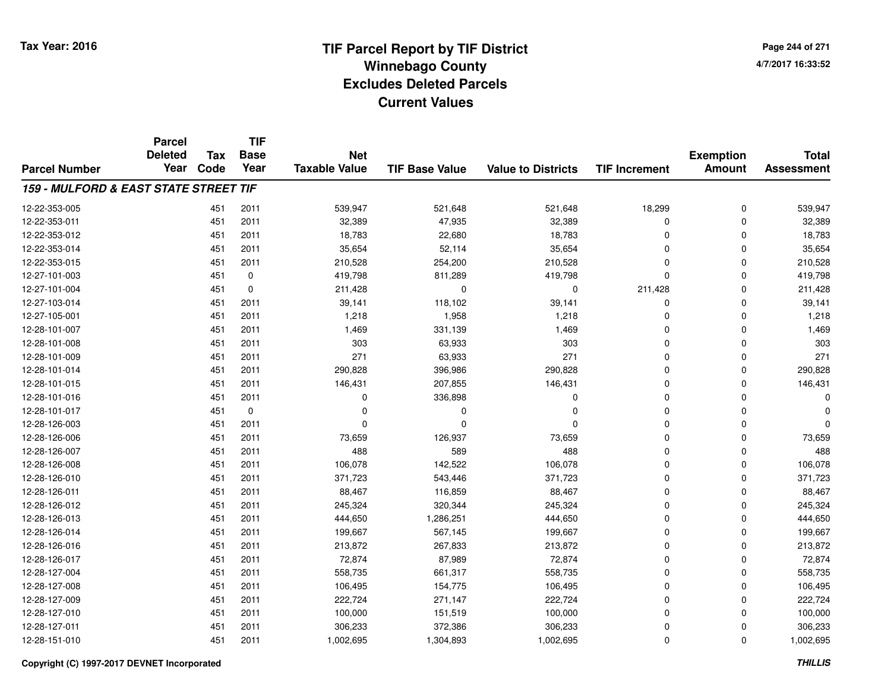**Page 244 of 2714/7/2017 16:33:52**

|                                       | <b>Parcel</b><br><b>Deleted</b> | <b>Tax</b> | <b>TIF</b><br><b>Base</b> | <b>Net</b>           |                       |                           |                      | <b>Exemption</b><br><b>Amount</b> | <b>Total</b><br><b>Assessment</b> |
|---------------------------------------|---------------------------------|------------|---------------------------|----------------------|-----------------------|---------------------------|----------------------|-----------------------------------|-----------------------------------|
| <b>Parcel Number</b>                  | Year                            | Code       | Year                      | <b>Taxable Value</b> | <b>TIF Base Value</b> | <b>Value to Districts</b> | <b>TIF Increment</b> |                                   |                                   |
| 159 - MULFORD & EAST STATE STREET TIF |                                 |            |                           |                      |                       |                           |                      |                                   |                                   |
| 12-22-353-005                         |                                 | 451        | 2011                      | 539,947              | 521,648               | 521,648                   | 18,299               | 0                                 | 539,947                           |
| 12-22-353-011                         |                                 | 451        | 2011                      | 32,389               | 47,935                | 32,389                    | 0                    | 0                                 | 32,389                            |
| 12-22-353-012                         |                                 | 451        | 2011                      | 18,783               | 22,680                | 18,783                    | $\mathbf 0$          | 0                                 | 18,783                            |
| 12-22-353-014                         |                                 | 451        | 2011                      | 35,654               | 52,114                | 35,654                    | 0                    | 0                                 | 35,654                            |
| 12-22-353-015                         |                                 | 451        | 2011                      | 210,528              | 254,200               | 210,528                   | 0                    | 0                                 | 210,528                           |
| 12-27-101-003                         |                                 | 451        | 0                         | 419,798              | 811,289               | 419,798                   | $\mathbf 0$          | 0                                 | 419,798                           |
| 12-27-101-004                         |                                 | 451        | $\mathbf 0$               | 211,428              | $\mathbf 0$           | 0                         | 211,428              | 0                                 | 211,428                           |
| 12-27-103-014                         |                                 | 451        | 2011                      | 39,141               | 118,102               | 39,141                    | 0                    | $\Omega$                          | 39,141                            |
| 12-27-105-001                         |                                 | 451        | 2011                      | 1,218                | 1,958                 | 1,218                     | $\mathbf 0$          | $\Omega$                          | 1,218                             |
| 12-28-101-007                         |                                 | 451        | 2011                      | 1,469                | 331,139               | 1,469                     | $\mathbf 0$          | $\Omega$                          | 1,469                             |
| 12-28-101-008                         |                                 | 451        | 2011                      | 303                  | 63,933                | 303                       | $\mathbf 0$          | $\Omega$                          | 303                               |
| 12-28-101-009                         |                                 | 451        | 2011                      | 271                  | 63,933                | 271                       | $\mathbf 0$          | $\Omega$                          | 271                               |
| 12-28-101-014                         |                                 | 451        | 2011                      | 290,828              | 396,986               | 290,828                   | $\mathbf 0$          | $\Omega$                          | 290,828                           |
| 12-28-101-015                         |                                 | 451        | 2011                      | 146,431              | 207,855               | 146,431                   | 0                    | $\Omega$                          | 146,431                           |
| 12-28-101-016                         |                                 | 451        | 2011                      | 0                    | 336,898               | 0                         | $\mathbf 0$          | $\Omega$                          | ŋ                                 |
| 12-28-101-017                         |                                 | 451        | 0                         | $\Omega$             | 0                     | 0                         | 0                    | $\Omega$                          | ŋ                                 |
| 12-28-126-003                         |                                 | 451        | 2011                      | $\Omega$             | n                     | $\Omega$                  | $\mathbf 0$          | $\Omega$                          | $\Omega$                          |
| 12-28-126-006                         |                                 | 451        | 2011                      | 73,659               | 126,937               | 73,659                    | 0                    | $\mathbf 0$                       | 73,659                            |
| 12-28-126-007                         |                                 | 451        | 2011                      | 488                  | 589                   | 488                       | $\mathbf 0$          | $\Omega$                          | 488                               |
| 12-28-126-008                         |                                 | 451        | 2011                      | 106,078              | 142,522               | 106,078                   | 0                    | 0                                 | 106,078                           |
| 12-28-126-010                         |                                 | 451        | 2011                      | 371,723              | 543,446               | 371,723                   | 0                    | 0                                 | 371,723                           |
| 12-28-126-011                         |                                 | 451        | 2011                      | 88,467               | 116,859               | 88,467                    | 0                    | 0                                 | 88,467                            |
| 12-28-126-012                         |                                 | 451        | 2011                      | 245,324              | 320,344               | 245,324                   | 0                    | 0                                 | 245,324                           |
| 12-28-126-013                         |                                 | 451        | 2011                      | 444,650              | 1,286,251             | 444,650                   | 0                    | $\mathbf 0$                       | 444,650                           |
| 12-28-126-014                         |                                 | 451        | 2011                      | 199,667              | 567,145               | 199,667                   | 0                    | $\Omega$                          | 199,667                           |
| 12-28-126-016                         |                                 | 451        | 2011                      | 213,872              | 267,833               | 213,872                   | 0                    | $\mathbf 0$                       | 213,872                           |
| 12-28-126-017                         |                                 | 451        | 2011                      | 72,874               | 87,989                | 72,874                    | 0                    | $\Omega$                          | 72,874                            |
| 12-28-127-004                         |                                 | 451        | 2011                      | 558,735              | 661,317               | 558,735                   | 0                    | 0                                 | 558,735                           |
| 12-28-127-008                         |                                 | 451        | 2011                      | 106,495              | 154,775               | 106,495                   | 0                    | $\Omega$                          | 106,495                           |
| 12-28-127-009                         |                                 | 451        | 2011                      | 222,724              | 271,147               | 222,724                   | 0                    | 0                                 | 222,724                           |
| 12-28-127-010                         |                                 | 451        | 2011                      | 100,000              | 151,519               | 100,000                   | $\mathbf 0$          | $\Omega$                          | 100,000                           |
| 12-28-127-011                         |                                 | 451        | 2011                      | 306,233              | 372,386               | 306,233                   | 0                    | $\Omega$                          | 306,233                           |
| 12-28-151-010                         |                                 | 451        | 2011                      | 1,002,695            | 1,304,893             | 1,002,695                 | 0                    | $\Omega$                          | 1,002,695                         |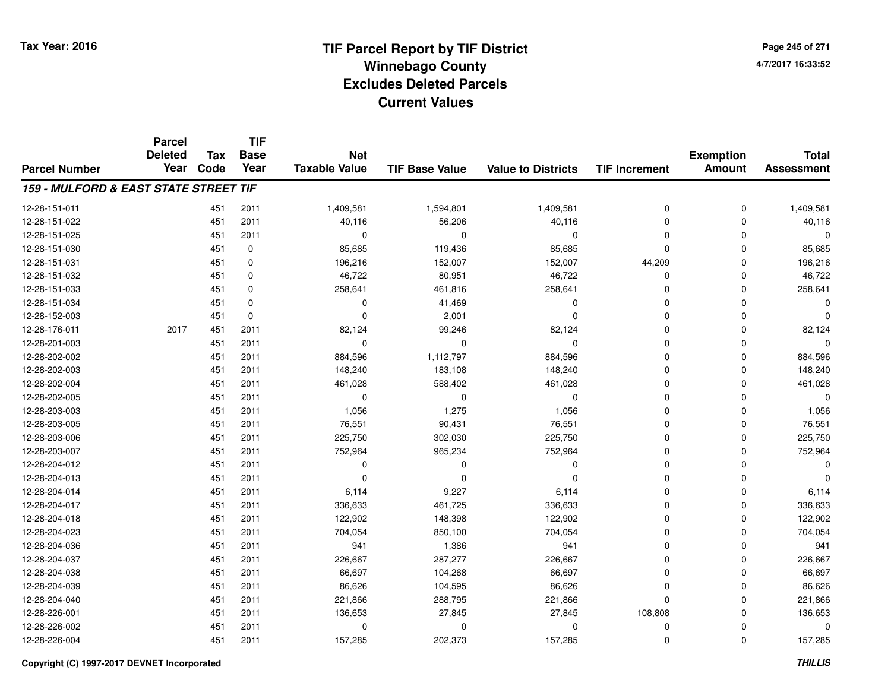**TIF**

**Parcel**

**Page 245 of 2714/7/2017 16:33:52**

#### **TIF Base ValueParcel NumberTotal AssessmentExemption Amount Value to Districts TIF Increment Base YearTax Code Deleted YearNet Taxable Value159 - MULFORD & EAST STATE STREET TIF**12-28-151-0111 451 2011 1,409,581 1,594,801 1,409,581 0 1,409,581 12-28-151-0222 451 2011 40,116 56,206 40,116 0 0 40,116 12-28-151-025 <sup>451</sup> <sup>0</sup> <sup>2011</sup> <sup>0</sup> <sup>0</sup> <sup>0</sup> <sup>0</sup> <sup>0</sup> 12-28-151-0300 451 0 85,685 119,436 85,685 0 0 85,685 12-28-151-0311 451 0 196,216 152,007 152,007 44,209 0 196,216 12-28-151-0322 451 0 46,722 80,951 46,722 0 0 46,722 12-28-151-0333 451 0 258,641 461,816 258,641 0 258,641 12-28-151-034 <sup>451</sup> <sup>0</sup> <sup>0</sup> 41,469 <sup>0</sup> <sup>0</sup> <sup>0</sup> <sup>0</sup> 12-28-152-003 <sup>451</sup> <sup>0</sup> <sup>0</sup> 2,001 <sup>0</sup> <sup>0</sup> <sup>0</sup> <sup>0</sup> 12-28-176-011 <sup>2017</sup> <sup>451</sup> <sup>2011</sup> 82,124 99,246 82,124 <sup>0</sup> <sup>0</sup> 82,124 12-28-201-003 <sup>451</sup> <sup>0</sup> <sup>2011</sup> <sup>0</sup> <sup>0</sup> <sup>0</sup> <sup>0</sup> <sup>0</sup> 12-28-202-0022 451 2011 884,596 1,112,797 884,596 0 0 884,596 12-28-202-0033 451 2011 148,240 183,108 148,240 0 0 148,240 12-28-202-004 <sup>451</sup> 461,028 <sup>2011</sup> 588,402 461,028 <sup>0</sup> <sup>0</sup> 461,028 12-28-202-005 <sup>451</sup> <sup>0</sup> <sup>2011</sup> <sup>0</sup> <sup>0</sup> <sup>0</sup> <sup>0</sup> <sup>0</sup> 12-28-203-0033 451 2011 1,056 1,275 1,056 0 0 1,056 12-28-203-005 <sup>451</sup> 76,551 <sup>2011</sup> 90,431 76,551 <sup>0</sup> <sup>0</sup> 76,551 12-28-203-006 <sup>451</sup> 225,750 <sup>2011</sup> 302,030 225,750 <sup>0</sup> <sup>0</sup> 225,750 12-28-203-007 <sup>451</sup> 752,964 <sup>2011</sup> 965,234 752,964 <sup>0</sup> <sup>0</sup> 752,964 12-28-204-012 <sup>451</sup> <sup>0</sup> <sup>2011</sup> <sup>0</sup> <sup>0</sup> <sup>0</sup> <sup>0</sup> <sup>0</sup> 12-28-204-013 <sup>451</sup> <sup>0</sup> <sup>2011</sup> <sup>0</sup> <sup>0</sup> <sup>0</sup> <sup>0</sup> <sup>0</sup> 12-28-204-014 <sup>451</sup> 6,114 <sup>2011</sup> 9,227 6,114 <sup>0</sup> <sup>0</sup> 6,114 12-28-204-017 <sup>451</sup> 336,633 <sup>2011</sup> 461,725 336,633 <sup>0</sup> <sup>0</sup> 336,633 12-28-204-018 <sup>451</sup> 122,902 <sup>2011</sup> 148,398 122,902 <sup>0</sup> <sup>0</sup> 122,902 12-28-204-023 <sup>451</sup> 704,054 <sup>2011</sup> 850,100 704,054 <sup>0</sup> <sup>0</sup> 704,054 12-28-204-036 <sup>451</sup> <sup>941</sup> <sup>2011</sup> 1,386 <sup>941</sup> <sup>0</sup> <sup>0</sup> <sup>941</sup> 12-28-204-037 <sup>451</sup> 226,667 <sup>2011</sup> 287,277 226,667 <sup>0</sup> <sup>0</sup> 226,667 12-28-204-0388 451 2011 66,697 104,268 66,697 0 0 66,697 12-28-204-0399 451 2011 86,626 104,595 86,626 0 0 86,626 12-28-204-0400 451 2011 221,866 288,795 221,866 0 0 221,866 12-28-226-0011 451 2011 136,653 27,845 27,845 108,808 0 136,653 12-28-226-002 <sup>451</sup> <sup>0</sup> <sup>2011</sup> <sup>0</sup> <sup>0</sup> <sup>0</sup> <sup>0</sup> <sup>0</sup> 12-28-226-004<sup>451</sup> 157,285 <sup>2011</sup> 202,373 157,285 <sup>0</sup> <sup>0</sup> 157,285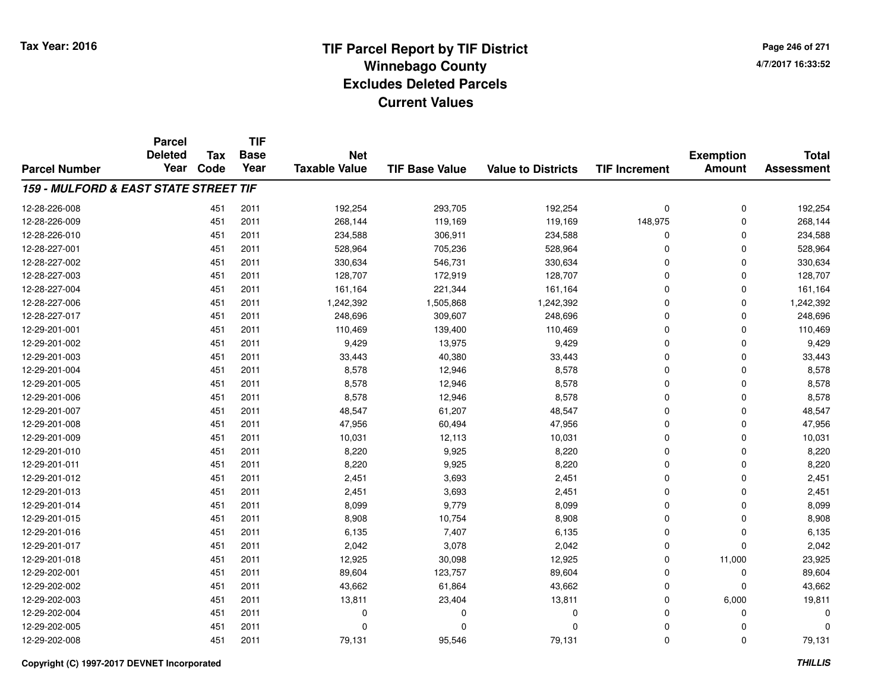**Page 246 of 2714/7/2017 16:33:52**

|                                       | <b>Parcel</b><br><b>Deleted</b> | <b>Tax</b> | <b>TIF</b><br><b>Base</b> | <b>Net</b><br><b>Taxable Value</b> | <b>TIF Base Value</b> | <b>Value to Districts</b> |                      | <b>Exemption</b> | <b>Total</b><br><b>Assessment</b> |
|---------------------------------------|---------------------------------|------------|---------------------------|------------------------------------|-----------------------|---------------------------|----------------------|------------------|-----------------------------------|
| <b>Parcel Number</b>                  | Year                            | Code       | Year                      |                                    |                       |                           | <b>TIF Increment</b> | Amount           |                                   |
| 159 - MULFORD & EAST STATE STREET TIF |                                 |            |                           |                                    |                       |                           |                      |                  |                                   |
| 12-28-226-008                         |                                 | 451        | 2011                      | 192,254                            | 293,705               | 192,254                   | 0                    | 0                | 192,254                           |
| 12-28-226-009                         |                                 | 451        | 2011                      | 268.144                            | 119,169               | 119,169                   | 148,975              | 0                | 268,144                           |
| 12-28-226-010                         |                                 | 451        | 2011                      | 234,588                            | 306,911               | 234,588                   | 0                    | 0                | 234,588                           |
| 12-28-227-001                         |                                 | 451        | 2011                      | 528,964                            | 705,236               | 528,964                   | 0                    | 0                | 528,964                           |
| 12-28-227-002                         |                                 | 451        | 2011                      | 330,634                            | 546,731               | 330,634                   | 0                    | 0                | 330,634                           |
| 12-28-227-003                         |                                 | 451        | 2011                      | 128,707                            | 172,919               | 128,707                   | 0                    | 0                | 128,707                           |
| 12-28-227-004                         |                                 | 451        | 2011                      | 161,164                            | 221,344               | 161,164                   | 0                    | 0                | 161,164                           |
| 12-28-227-006                         |                                 | 451        | 2011                      | 1,242,392                          | 1,505,868             | 1,242,392                 | 0                    | 0                | 1,242,392                         |
| 12-28-227-017                         |                                 | 451        | 2011                      | 248,696                            | 309,607               | 248,696                   | 0                    | 0                | 248,696                           |
| 12-29-201-001                         |                                 | 451        | 2011                      | 110,469                            | 139,400               | 110,469                   | 0                    | 0                | 110,469                           |
| 12-29-201-002                         |                                 | 451        | 2011                      | 9,429                              | 13,975                | 9,429                     | 0                    | 0                | 9,429                             |
| 12-29-201-003                         |                                 | 451        | 2011                      | 33,443                             | 40,380                | 33,443                    | 0                    | 0                | 33,443                            |
| 12-29-201-004                         |                                 | 451        | 2011                      | 8,578                              | 12,946                | 8,578                     | 0                    | 0                | 8,578                             |
| 12-29-201-005                         |                                 | 451        | 2011                      | 8,578                              | 12,946                | 8,578                     | 0                    | 0                | 8,578                             |
| 12-29-201-006                         |                                 | 451        | 2011                      | 8,578                              | 12,946                | 8,578                     | 0                    | 0                | 8,578                             |
| 12-29-201-007                         |                                 | 451        | 2011                      | 48,547                             | 61,207                | 48,547                    | 0                    | 0                | 48,547                            |
| 12-29-201-008                         |                                 | 451        | 2011                      | 47,956                             | 60,494                | 47,956                    | 0                    | 0                | 47,956                            |
| 12-29-201-009                         |                                 | 451        | 2011                      | 10,031                             | 12,113                | 10,031                    | 0                    | 0                | 10,031                            |
| 12-29-201-010                         |                                 | 451        | 2011                      | 8,220                              | 9,925                 | 8,220                     | 0                    | 0                | 8,220                             |
| 12-29-201-011                         |                                 | 451        | 2011                      | 8,220                              | 9,925                 | 8,220                     | 0                    | 0                | 8,220                             |
| 12-29-201-012                         |                                 | 451        | 2011                      | 2,451                              | 3,693                 | 2,451                     | 0                    | 0                | 2,451                             |
| 12-29-201-013                         |                                 | 451        | 2011                      | 2,451                              | 3,693                 | 2,451                     | 0                    | 0                | 2,451                             |
| 12-29-201-014                         |                                 | 451        | 2011                      | 8,099                              | 9,779                 | 8,099                     | 0                    | 0                | 8,099                             |
| 12-29-201-015                         |                                 | 451        | 2011                      | 8,908                              | 10,754                | 8,908                     | 0                    | 0                | 8,908                             |
| 12-29-201-016                         |                                 | 451        | 2011                      | 6,135                              | 7,407                 | 6,135                     | 0                    | 0                | 6,135                             |
| 12-29-201-017                         |                                 | 451        | 2011                      | 2,042                              | 3,078                 | 2,042                     | 0                    | 0                | 2,042                             |
| 12-29-201-018                         |                                 | 451        | 2011                      | 12,925                             | 30,098                | 12,925                    | 0                    | 11,000           | 23,925                            |
| 12-29-202-001                         |                                 | 451        | 2011                      | 89,604                             | 123,757               | 89,604                    | 0                    | 0                | 89,604                            |
| 12-29-202-002                         |                                 | 451        | 2011                      | 43,662                             | 61,864                | 43,662                    | 0                    | 0                | 43,662                            |
| 12-29-202-003                         |                                 | 451        | 2011                      | 13,811                             | 23,404                | 13,811                    | 0                    | 6,000            | 19,811                            |
| 12-29-202-004                         |                                 | 451        | 2011                      | $\mathbf 0$                        | 0                     | 0                         | $\Omega$             | 0                | $\Omega$                          |
| 12-29-202-005                         |                                 | 451        | 2011                      | $\mathbf 0$                        | 0                     | 0                         | $\Omega$             | 0                | $\Omega$                          |
| 12-29-202-008                         |                                 | 451        | 2011                      | 79,131                             | 95,546                | 79,131                    | 0                    | 0                | 79,131                            |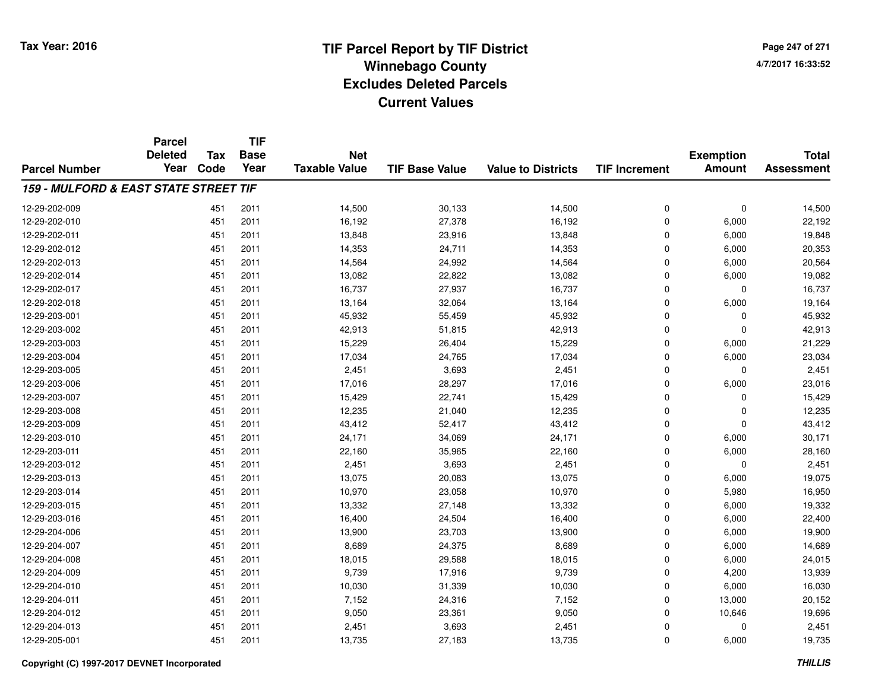**Page 247 of 2714/7/2017 16:33:52**

|                                       | <b>Parcel</b><br><b>Deleted</b> | <b>Tax</b> | <b>TIF</b><br><b>Base</b> | <b>Net</b>           |                       |                           |                      | <b>Exemption</b> | <b>Total</b>      |
|---------------------------------------|---------------------------------|------------|---------------------------|----------------------|-----------------------|---------------------------|----------------------|------------------|-------------------|
| <b>Parcel Number</b>                  | Year                            | Code       | Year                      | <b>Taxable Value</b> | <b>TIF Base Value</b> | <b>Value to Districts</b> | <b>TIF Increment</b> | <b>Amount</b>    | <b>Assessment</b> |
| 159 - MULFORD & EAST STATE STREET TIF |                                 |            |                           |                      |                       |                           |                      |                  |                   |
| 12-29-202-009                         |                                 | 451        | 2011                      | 14,500               | 30,133                | 14,500                    | 0                    | $\mathbf 0$      | 14,500            |
| 12-29-202-010                         |                                 | 451        | 2011                      | 16,192               | 27,378                | 16,192                    | 0                    | 6,000            | 22,192            |
| 12-29-202-011                         |                                 | 451        | 2011                      | 13,848               | 23,916                | 13,848                    | $\mathbf 0$          | 6,000            | 19,848            |
| 12-29-202-012                         |                                 | 451        | 2011                      | 14,353               | 24,711                | 14,353                    | 0                    | 6,000            | 20,353            |
| 12-29-202-013                         |                                 | 451        | 2011                      | 14,564               | 24,992                | 14,564                    | $\mathbf 0$          | 6,000            | 20,564            |
| 12-29-202-014                         |                                 | 451        | 2011                      | 13,082               | 22,822                | 13,082                    | 0                    | 6,000            | 19,082            |
| 12-29-202-017                         |                                 | 451        | 2011                      | 16,737               | 27,937                | 16,737                    | 0                    | $\Omega$         | 16,737            |
| 12-29-202-018                         |                                 | 451        | 2011                      | 13,164               | 32,064                | 13,164                    | 0                    | 6,000            | 19,164            |
| 12-29-203-001                         |                                 | 451        | 2011                      | 45,932               | 55,459                | 45,932                    | 0                    | $\Omega$         | 45,932            |
| 12-29-203-002                         |                                 | 451        | 2011                      | 42,913               | 51,815                | 42,913                    | 0                    | $\Omega$         | 42,913            |
| 12-29-203-003                         |                                 | 451        | 2011                      | 15,229               | 26,404                | 15,229                    | 0                    | 6,000            | 21,229            |
| 12-29-203-004                         |                                 | 451        | 2011                      | 17,034               | 24,765                | 17,034                    | 0                    | 6,000            | 23,034            |
| 12-29-203-005                         |                                 | 451        | 2011                      | 2,451                | 3,693                 | 2,451                     | 0                    | $\Omega$         | 2,451             |
| 12-29-203-006                         |                                 | 451        | 2011                      | 17,016               | 28,297                | 17,016                    | 0                    | 6,000            | 23,016            |
| 12-29-203-007                         |                                 | 451        | 2011                      | 15,429               | 22,741                | 15,429                    | $\mathbf 0$          | 0                | 15,429            |
| 12-29-203-008                         |                                 | 451        | 2011                      | 12,235               | 21,040                | 12,235                    | 0                    | 0                | 12,235            |
| 12-29-203-009                         |                                 | 451        | 2011                      | 43,412               | 52,417                | 43,412                    | 0                    | $\Omega$         | 43,412            |
| 12-29-203-010                         |                                 | 451        | 2011                      | 24,171               | 34,069                | 24,171                    | 0                    | 6,000            | 30,171            |
| 12-29-203-011                         |                                 | 451        | 2011                      | 22,160               | 35,965                | 22,160                    | 0                    | 6,000            | 28,160            |
| 12-29-203-012                         |                                 | 451        | 2011                      | 2,451                | 3,693                 | 2,451                     | 0                    | $\mathbf 0$      | 2,451             |
| 12-29-203-013                         |                                 | 451        | 2011                      | 13,075               | 20,083                | 13,075                    | 0                    | 6,000            | 19,075            |
| 12-29-203-014                         |                                 | 451        | 2011                      | 10,970               | 23,058                | 10,970                    | 0                    | 5,980            | 16,950            |
| 12-29-203-015                         |                                 | 451        | 2011                      | 13,332               | 27,148                | 13,332                    | 0                    | 6,000            | 19,332            |
| 12-29-203-016                         |                                 | 451        | 2011                      | 16,400               | 24,504                | 16,400                    | 0                    | 6,000            | 22,400            |
| 12-29-204-006                         |                                 | 451        | 2011                      | 13,900               | 23,703                | 13,900                    | 0                    | 6,000            | 19,900            |
| 12-29-204-007                         |                                 | 451        | 2011                      | 8,689                | 24,375                | 8,689                     | 0                    | 6,000            | 14,689            |
| 12-29-204-008                         |                                 | 451        | 2011                      | 18,015               | 29,588                | 18,015                    | 0                    | 6,000            | 24,015            |
| 12-29-204-009                         |                                 | 451        | 2011                      | 9,739                | 17,916                | 9,739                     | 0                    | 4,200            | 13,939            |
| 12-29-204-010                         |                                 | 451        | 2011                      | 10,030               | 31,339                | 10,030                    | 0                    | 6,000            | 16,030            |
| 12-29-204-011                         |                                 | 451        | 2011                      | 7,152                | 24,316                | 7,152                     | 0                    | 13,000           | 20,152            |
| 12-29-204-012                         |                                 | 451        | 2011                      | 9,050                | 23,361                | 9,050                     | 0                    | 10,646           | 19,696            |
| 12-29-204-013                         |                                 | 451        | 2011                      | 2,451                | 3,693                 | 2,451                     | 0                    | 0                | 2,451             |
| 12-29-205-001                         |                                 | 451        | 2011                      | 13,735               | 27,183                | 13,735                    | 0                    | 6,000            | 19,735            |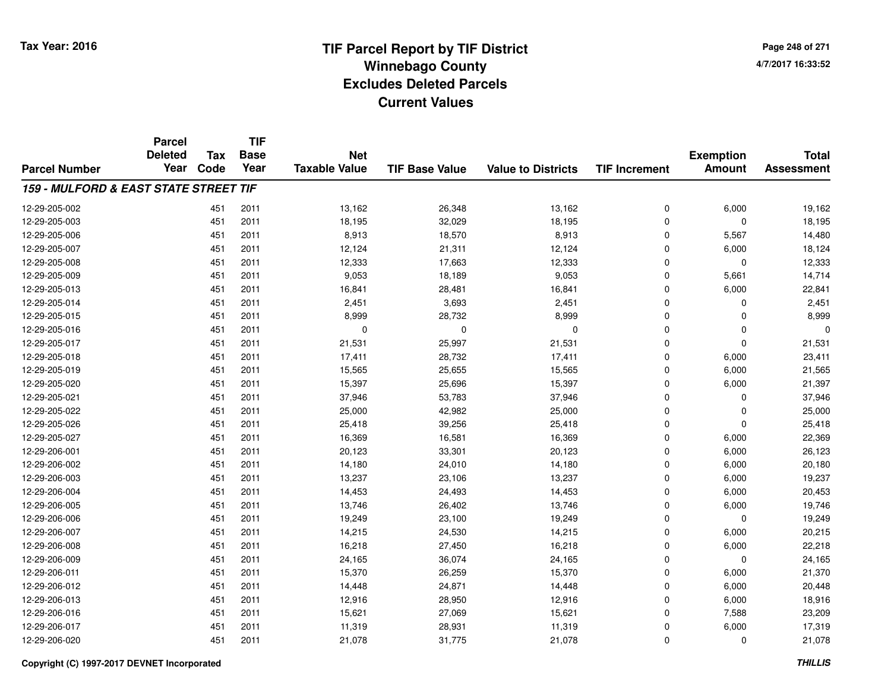**TIF**

**Parcel**

**Page 248 of 2714/7/2017 16:33:52**

#### **TIF Base ValueParcel NumberTotal AssessmentExemption Amount Value to Districts TIF Increment Base YearTax Code Deleted YearNet Taxable Value159 - MULFORD & EAST STATE STREET TIF**12-29-205-0022 13,162 13,162 2011 13,162 26,348 26,348 13,162 26,000 19,162 12-29-205-0033 451 2011 18,195 32,029 18,195 0 0 18,195 12-29-205-006 <sup>451</sup> 8,913 <sup>2011</sup> 18,570 8,913 <sup>0</sup> 5,567 14,480 12-29-205-007 <sup>451</sup> 12,124 <sup>2011</sup> 21,311 12,124 <sup>0</sup> 6,000 18,124 12-29-205-008 <sup>451</sup> 12,333 <sup>2011</sup> 17,663 12,333 <sup>0</sup> <sup>0</sup> 12,333 12-29-205-0099 451 2011 9,053 18,189 9,053 0 5,661 14,714 12-29-205-0133 451 2011 16,841 28,481 16,841 0 6,000 22,841 12-29-205-014 <sup>451</sup> 2,451 <sup>2011</sup> 3,693 2,451 <sup>0</sup> <sup>0</sup> 2,451 12-29-205-015 <sup>451</sup> 8,999 <sup>2011</sup> 28,732 8,999 <sup>0</sup> <sup>0</sup> 8,999 12-29-205-016 <sup>451</sup> <sup>0</sup> <sup>2011</sup> <sup>0</sup> <sup>0</sup> <sup>0</sup> <sup>0</sup> <sup>0</sup> 12-29-205-017 <sup>451</sup> 21,531 <sup>2011</sup> 25,997 21,531 <sup>0</sup> <sup>0</sup> 21,531 12-29-205-018 <sup>451</sup> 17,411 <sup>2011</sup> 28,732 17,411 <sup>0</sup> 6,000 23,411 12-29-205-0199 451 2011 15,565 25,655 15,565 0 6,000 21,565 12-29-205-0200 451 2011 15,397 25,696 15,397 0 6,000 21,397 12-29-205-021 <sup>451</sup> 37,946 <sup>2011</sup> 53,783 37,946 <sup>0</sup> <sup>0</sup> 37,946 12-29-205-022 <sup>451</sup> 25,000 <sup>2011</sup> 42,982 25,000 <sup>0</sup> <sup>0</sup> 25,000 12-29-205-026 <sup>451</sup> 25,418 <sup>2011</sup> 39,256 25,418 <sup>0</sup> <sup>0</sup> 25,418 12-29-205-027 <sup>451</sup> 16,369 <sup>2011</sup> 16,581 16,369 <sup>0</sup> 6,000 22,369 12-29-206-0011 451 2011 20,123 33,301 20,123 0 6,000 26,123 12-29-206-002 <sup>451</sup> 14,180 <sup>2011</sup> 24,010 14,180 <sup>0</sup> 6,000 20,180 12-29-206-003 <sup>451</sup> 13,237 <sup>2011</sup> 23,106 13,237 <sup>0</sup> 6,000 19,237 12-29-206-004 <sup>451</sup> 14,453 <sup>2011</sup> 24,493 14,453 <sup>0</sup> 6,000 20,453 12-29-206-005 <sup>451</sup> 13,746 <sup>2011</sup> 26,402 13,746 <sup>0</sup> 6,000 19,746 12-29-206-006 <sup>451</sup> 19,249 <sup>2011</sup> 23,100 19,249 <sup>0</sup> <sup>0</sup> 19,249 12-29-206-007 <sup>451</sup> 14,215 <sup>2011</sup> 24,530 14,215 <sup>0</sup> 6,000 20,215 12-29-206-0088 451 2011 16,218 27,450 16,218 0 6,000 22,218 12-29-206-009 <sup>451</sup> 24,165 <sup>2011</sup> 36,074 24,165 <sup>0</sup> <sup>0</sup> 24,165 12-29-206-0111 451 2011 15,370 26,259 15,370 0 6,000 21,370 12-29-206-0122 451 2011 14,448 24,871 14,448 0 6,000 20,448 12-29-206-0133 451 2011 12,916 28,950 12,916 0 6,000 18,916 12-29-206-0166 451 2011 15,621 27,069 15,621 0 7,588 23,209 12-29-206-017 <sup>451</sup> 11,319 <sup>2011</sup> 28,931 11,319 <sup>0</sup> 6,000 17,319 12-29-206-0200 451 2011 21,078 31,775 21,078 0 0 21,078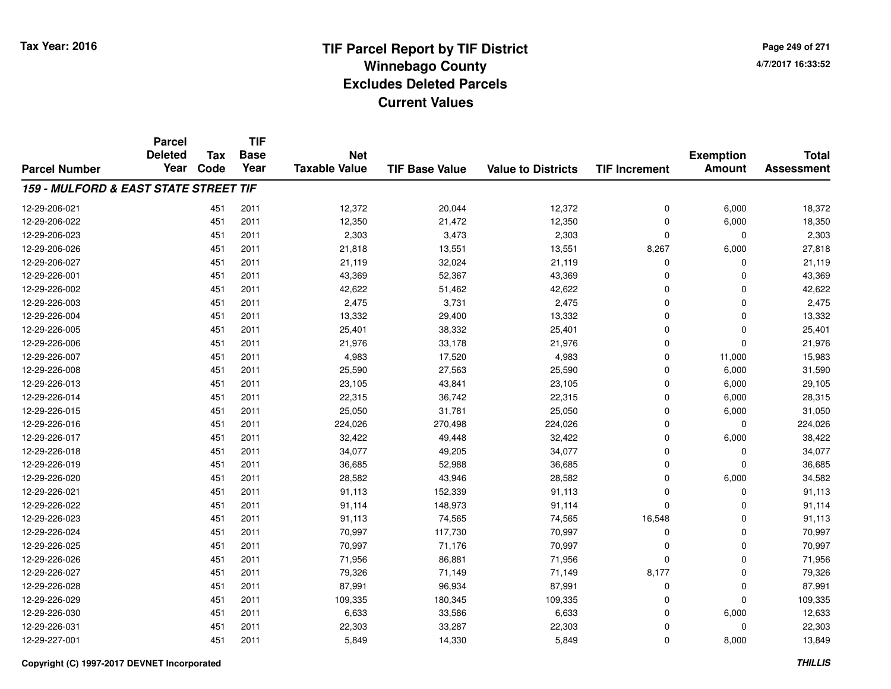**Page 249 of 2714/7/2017 16:33:52**

#### **TIF Base ValueParcel NumberTotal AssessmentExemption Amount Value to Districts TIF IncrementTIF Base YearTax CodeParcel Deleted YearNet Taxable Value159 - MULFORD & EAST STATE STREET TIF**12-29-206-0211 1 12,372 12,372 20,044 12,372 12,372 12,372 0 6,000 18,372 12-29-206-022 <sup>451</sup> 12,350 <sup>2011</sup> 21,472 12,350 <sup>0</sup> 6,000 18,350 12-29-206-0233 2,303 2,303 2,303 2,303 2,303 2,303 2,303 2,303 2,303 2,303 2,303 2,303 2,303 2,303 2,303 2,303 2,303 2,303 2,303 2,303 2,303 2,303 2,303 2,303 2,303 2,303 2,303 2,303 2,303 2,303 2,303 2,303 2,303 2,303 2,303 2,303 2,3 12-29-206-0266 451 2011 21,818 13,551 13,551 8,267 6,000 27,818 12-29-206-027 <sup>451</sup> 21,119 <sup>2011</sup> 32,024 21,119 <sup>0</sup> <sup>0</sup> 21,119 12-29-226-0011 451 2011 43,369 52,367 43,369 0 0 43,369 12-29-226-0022 451 2011 42,622 51,462 42,622 0 42,622 12-29-226-003 <sup>451</sup> 2,475 <sup>2011</sup> 3,731 2,475 <sup>0</sup> <sup>0</sup> 2,475 12-29-226-004 <sup>451</sup> 13,332 <sup>2011</sup> 29,400 13,332 <sup>0</sup> <sup>0</sup> 13,332 12-29-226-005 <sup>451</sup> 25,401 <sup>2011</sup> 38,332 25,401 <sup>0</sup> <sup>0</sup> 25,401 12-29-226-006 <sup>451</sup> 21,976 <sup>2011</sup> 33,178 21,976 <sup>0</sup> <sup>0</sup> 21,976 12-29-226-007 <sup>451</sup> 4,983 <sup>2011</sup> 17,520 4,983 <sup>0</sup> 11,000 15,983 12-29-226-0088 451 2011 25,590 27,563 25,590 0 6,000 31,590 12-29-226-0133 451 2011 23,105 43,841 23,105 0 6,000 29,105 12-29-226-014 <sup>451</sup> 22,315 <sup>2011</sup> 36,742 22,315 <sup>0</sup> 6,000 28,315 12-29-226-015 <sup>451</sup> 25,050 <sup>2011</sup> 31,781 25,050 <sup>0</sup> 6,000 31,050 12-29-226-016 <sup>451</sup> 224,026 <sup>2011</sup> 270,498 224,026 <sup>0</sup> <sup>0</sup> 224,026 12-29-226-0177 451 2011 32,422 49,448 32,422 0 6,000 38,422 12-29-226-018 <sup>451</sup> 34,077 <sup>2011</sup> 49,205 34,077 <sup>0</sup> <sup>0</sup> 34,077 12-29-226-0199 451 2011 36,685 52,988 36,685 0 0 36,685 12-29-226-0200 451 2011 28,582 43,946 28,582 0 6,000 34,582 12-29-226-021 <sup>451</sup> 91,113 <sup>2011</sup> 152,339 91,113 <sup>0</sup> <sup>0</sup> 91,113 12-29-226-022 <sup>451</sup> 91,114 <sup>2011</sup> 148,973 91,114 <sup>0</sup> <sup>0</sup> 91,114 12-29-226-023 <sup>451</sup> 91,113 <sup>2011</sup> 74,565 74,565 16,548 <sup>0</sup> 91,113 12-29-226-0244 2011 2011 70,997 117,730 70,997 0 0 0 70,997 12-29-226-025 <sup>451</sup> 70,997 <sup>2011</sup> 71,176 70,997 <sup>0</sup> <sup>0</sup> 70,997 12-29-226-0266 451 2011 71,956 86,881 71,956 0 0 71,956 12-29-226-027 <sup>451</sup> 79,326 <sup>2011</sup> 71,149 71,149 8,177 <sup>0</sup> 79,326 12-29-226-028 <sup>451</sup> 87,991 <sup>2011</sup> 96,934 87,991 <sup>0</sup> <sup>0</sup> 87,991 12-29-226-0299 451 2011 109,335 180,345 109,335 0 0 109,335 12-29-226-0300 451 2011 6,633 33,586 6,633 0 6,000 12,633 12-29-226-0311 451 2011 22,303 33,287 22,303 0 22,303 12-29-227-0011 451 2011 5,849 14,330 5,849 0 8,000 13,849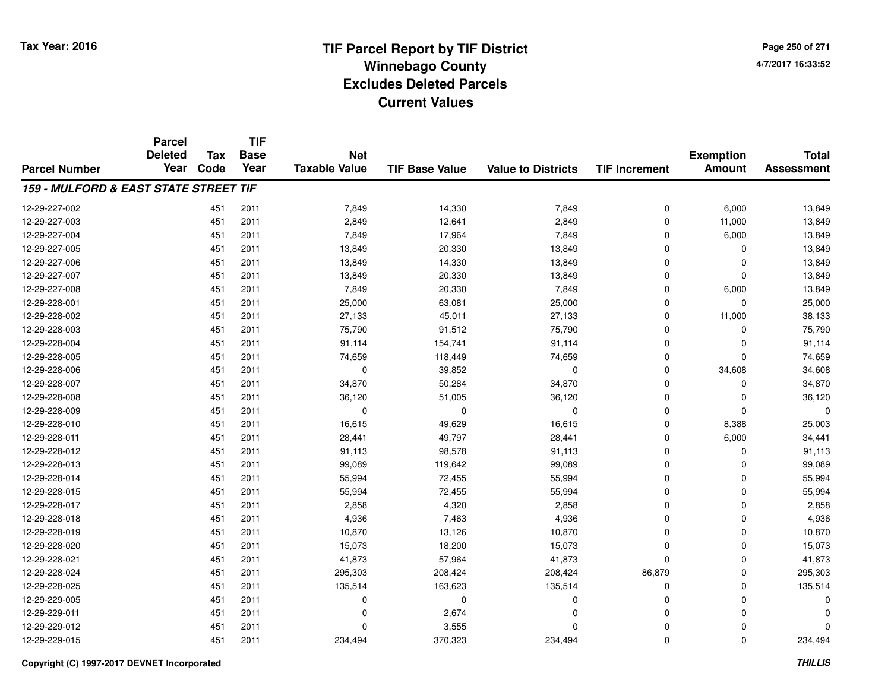**TIF**

**Parcel**

**Page 250 of 2714/7/2017 16:33:52**

#### **TIF Base ValueParcel NumberTotal AssessmentExemption Amount Value to Districts TIF Increment Base YearTax Code Deleted YearNet Taxable Value159 - MULFORD & EAST STATE STREET TIF**12-29-227-0022 451 2011 7,849 14,330 7,849 0 6,000 13,849 12-29-227-0033 451 2011 2,849 12,641 2,849 0 11,000 13,849 12-29-227-004 <sup>451</sup> 7,849 <sup>2011</sup> 17,964 7,849 <sup>0</sup> 6,000 13,849 12-29-227-005 <sup>451</sup> 13,849 <sup>2011</sup> 20,330 13,849 <sup>0</sup> <sup>0</sup> 13,849 12-29-227-0066 451 2011 13,849 14,330 13,849 0 0 13,849 12-29-227-007 <sup>451</sup> 13,849 <sup>2011</sup> 20,330 13,849 <sup>0</sup> <sup>0</sup> 13,849 12-29-227-008 <sup>451</sup> 7,849 <sup>2011</sup> 20,330 7,849 <sup>0</sup> 6,000 13,849 12-29-228-0011 451 2011 25,000 63,081 25,000 0 25,000 12-29-228-0022 451 2011 27,133 45,011 27,133 0 11,000 38,133 12-29-228-003 <sup>451</sup> 75,790 <sup>2011</sup> 91,512 75,790 <sup>0</sup> <sup>0</sup> 75,790 12-29-228-004 <sup>451</sup> 91,114 <sup>2011</sup> 154,741 91,114 <sup>0</sup> <sup>0</sup> 91,114 12-29-228-0055 451 2011 74,659 118,449 74,659 0 0 74,659 12-29-228-006 <sup>451</sup> <sup>0</sup> <sup>2011</sup> 39,852 <sup>0</sup> <sup>0</sup> 34,608 34,608 12-29-228-007 <sup>451</sup> 34,870 <sup>2011</sup> 50,284 34,870 <sup>0</sup> <sup>0</sup> 34,870 12-29-228-0088 451 2011 36,120 51,005 36,120 0 0 36,120 12-29-228-009 <sup>451</sup> <sup>0</sup> <sup>2011</sup> <sup>0</sup> <sup>0</sup> <sup>0</sup> <sup>0</sup> <sup>0</sup> 12-29-228-0100 451 2011 16,615 49,629 16,615 0 8,388 25,003 12-29-228-0111 451 2011 28,441 49,797 28,441 0 6,000 34,441 12-29-228-012 <sup>451</sup> 91,113 <sup>2011</sup> 98,578 91,113 <sup>0</sup> <sup>0</sup> 91,113 12-29-228-0133 451 2011 99,089 119,642 99,089 0 0 99,089 12-29-228-014 <sup>451</sup> 55,994 <sup>2011</sup> 72,455 55,994 <sup>0</sup> <sup>0</sup> 55,994 12-29-228-015 <sup>451</sup> 55,994 <sup>2011</sup> 72,455 55,994 <sup>0</sup> <sup>0</sup> 55,994 12-29-228-017 <sup>451</sup> 2,858 <sup>2011</sup> 4,320 2,858 <sup>0</sup> <sup>0</sup> 2,858 12-29-228-0188 451 2011 4,936 7,463 4,936 0 0 4,936 12-29-228-019 <sup>451</sup> 10,870 <sup>2011</sup> 13,126 10,870 <sup>0</sup> <sup>0</sup> 10,870 12-29-228-0200 451 2011 15,073 18,200 15,073 0 0 15,073 12-29-228-0211 451 2011 41,873 57,964 41,873 0 0 41,873 12-29-228-024 <sup>451</sup> 295,303 <sup>2011</sup> 208,424 208,424 86,879 <sup>0</sup> 295,303 12-29-228-0255 451 2011 135,514 163,623 135,514 0 0 135,514 12-29-229-005 <sup>451</sup> <sup>0</sup> <sup>2011</sup> <sup>0</sup> <sup>0</sup> <sup>0</sup> <sup>0</sup> <sup>0</sup> 12-29-229-0111 451 2011 0 2,674 0 0 0 0 12-29-229-0122 451 2011 0 3,555 0 0 0 0 12-29-229-015<sup>451</sup> 234,494 <sup>2011</sup> 370,323 234,494 <sup>0</sup> <sup>0</sup> 234,494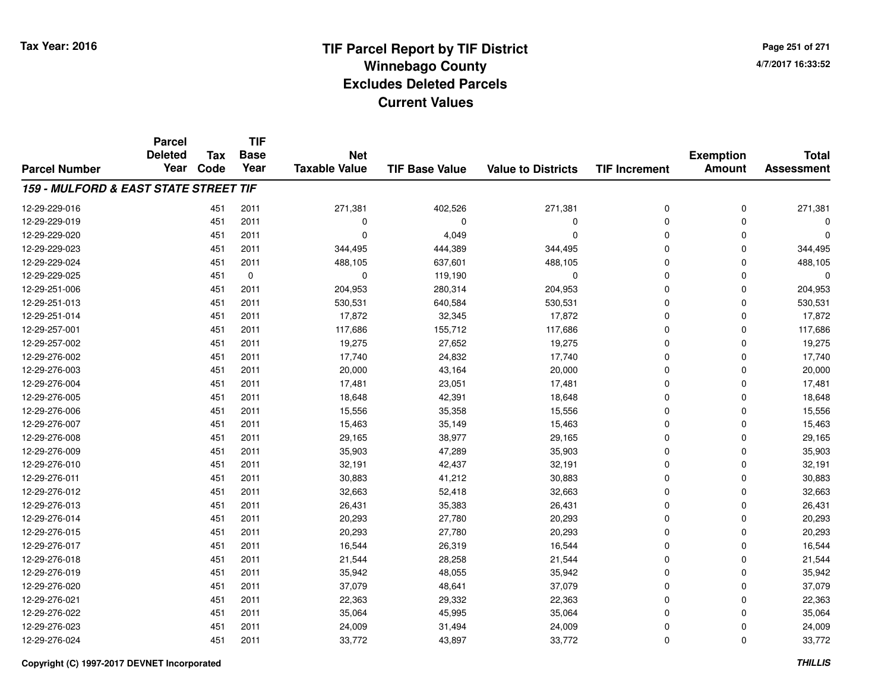**Page 251 of 2714/7/2017 16:33:52**

#### **TIF Base ValueParcel NumberTotal AssessmentExemption Amount Value to Districts TIF IncrementTIF Base YearTax CodeParcel Deleted YearNet Taxable Value159 - MULFORD & EAST STATE STREET TIF**12-29-229-016 <sup>451</sup> 271,381 <sup>2011</sup> 402,526 271,381 <sup>0</sup> <sup>0</sup> 271,381 12-29-229-019 <sup>451</sup> <sup>0</sup> <sup>2011</sup> <sup>0</sup> <sup>0</sup> <sup>0</sup> <sup>0</sup> <sup>0</sup> 12-29-229-0200 0  $\frac{451}{2011}$  0  $\frac{4,049}{10}$  0 0 0 0 0 0 12-29-229-0233 451 2011 344,495 444,389 344,495 0 0 344,495 12-29-229-024 <sup>451</sup> 488,105 <sup>2011</sup> 637,601 488,105 <sup>0</sup> <sup>0</sup> 488,105 12-29-229-0255 451 0 0 119,190 0 0 12-29-251-006 <sup>451</sup> 204,953 <sup>2011</sup> 280,314 204,953 <sup>0</sup> <sup>0</sup> 204,953 12-29-251-0133 451 2011 530,531 640,584 530,531 0 0 530,531 12-29-251-014 <sup>451</sup> 17,872 <sup>2011</sup> 32,345 17,872 <sup>0</sup> <sup>0</sup> 17,872 12-29-257-001 <sup>451</sup> 117,686 <sup>2011</sup> 155,712 117,686 <sup>0</sup> <sup>0</sup> 117,686 12-29-257-0022 451 2011 19,275 27,652 19,275 0 0 19,275 12-29-276-002 <sup>451</sup> 17,740 <sup>2011</sup> 24,832 17,740 <sup>0</sup> <sup>0</sup> 17,740 12-29-276-0033 451 2011 20,000 43,164 20,000 0 0 20,000 12-29-276-004 <sup>451</sup> 17,481 <sup>2011</sup> 23,051 17,481 <sup>0</sup> <sup>0</sup> 17,481 12-29-276-0055 451 2011 18,648 42,391 18,648 0 0 18,648 12-29-276-0066 451 2011 15,556 35,358 15,556 0 0 15,556 12-29-276-007 <sup>451</sup> 15,463 <sup>2011</sup> 35,149 15,463 <sup>0</sup> <sup>0</sup> 15,463 12-29-276-008 <sup>451</sup> 29,165 <sup>2011</sup> 38,977 29,165 <sup>0</sup> <sup>0</sup> 29,165 12-29-276-009 <sup>451</sup> 35,903 <sup>2011</sup> 47,289 35,903 <sup>0</sup> <sup>0</sup> 35,903 12-29-276-0100 451 2011 32,191 42,437 32,191 0 0 32,191 12-29-276-011 <sup>451</sup> 30,883 <sup>2011</sup> 41,212 30,883 <sup>0</sup> <sup>0</sup> 30,883 12-29-276-0122 451 2011 32,663 52,418 32,663 0 32,663 12-29-276-0133 451 2011 26,431 35,383 26,431 0 0 26,431 12-29-276-014 <sup>451</sup> 20,293 <sup>2011</sup> 27,780 20,293 <sup>0</sup> <sup>0</sup> 20,293 12-29-276-015 <sup>451</sup> 20,293 <sup>2011</sup> 27,780 20,293 <sup>0</sup> <sup>0</sup> 20,293 12-29-276-017 <sup>451</sup> 16,544 <sup>2011</sup> 26,319 16,544 <sup>0</sup> <sup>0</sup> 16,544 12-29-276-018 <sup>451</sup> 21,544 <sup>2011</sup> 28,258 21,544 <sup>0</sup> <sup>0</sup> 21,544 12-29-276-0199 451 2011 35,942 48,055 35,942 0 0 35,942 12-29-276-0200 451 2011 37,079 48,641 37,079 0 0 37,079 12-29-276-0211 451 2011 22,363 29,332 22,363 0 22,363 12-29-276-0222 451 2011 35,064 45,995 35,064 0 0 35,064 12-29-276-0233 451 2011 24,009 31,494 24,009 0 24,009 12-29-276-024<sup>451</sup> 33,772 <sup>2011</sup> 43,897 33,772 <sup>0</sup> <sup>0</sup> 33,772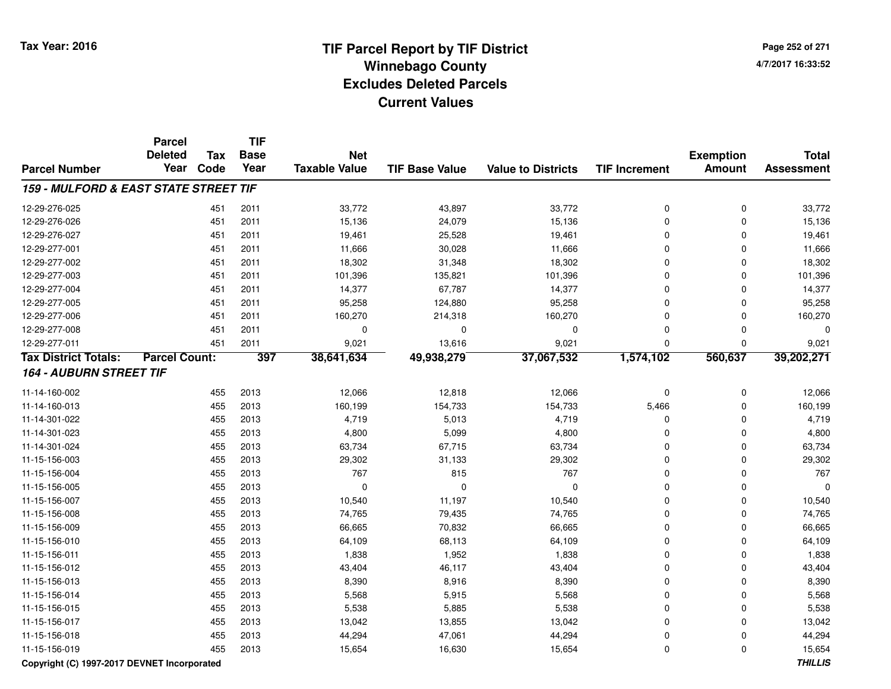**Page 252 of 2714/7/2017 16:33:52**

|                                       | <b>Parcel</b><br><b>Deleted</b> |             | <b>TIF</b><br><b>Base</b> | <b>Net</b>           |                       |                           |                      |                                   | <b>Total</b>      |
|---------------------------------------|---------------------------------|-------------|---------------------------|----------------------|-----------------------|---------------------------|----------------------|-----------------------------------|-------------------|
| <b>Parcel Number</b>                  | Year                            | Tax<br>Code | Year                      | <b>Taxable Value</b> | <b>TIF Base Value</b> | <b>Value to Districts</b> | <b>TIF Increment</b> | <b>Exemption</b><br><b>Amount</b> | <b>Assessment</b> |
| 159 - MULFORD & EAST STATE STREET TIF |                                 |             |                           |                      |                       |                           |                      |                                   |                   |
| 12-29-276-025                         |                                 | 451         | 2011                      | 33,772               | 43,897                | 33,772                    | 0                    | $\mathbf 0$                       | 33,772            |
| 12-29-276-026                         |                                 | 451         | 2011                      | 15,136               | 24,079                | 15,136                    | 0                    | $\Omega$                          | 15,136            |
| 12-29-276-027                         |                                 | 451         | 2011                      | 19,461               | 25,528                | 19,461                    | 0                    | $\Omega$                          | 19,461            |
| 12-29-277-001                         |                                 | 451         | 2011                      | 11,666               | 30,028                | 11,666                    | 0                    | 0                                 | 11,666            |
| 12-29-277-002                         |                                 | 451         | 2011                      | 18,302               | 31,348                | 18,302                    | 0                    | 0                                 | 18,302            |
| 12-29-277-003                         |                                 | 451         | 2011                      | 101,396              | 135,821               | 101,396                   | 0                    | 0                                 | 101,396           |
| 12-29-277-004                         |                                 | 451         | 2011                      | 14,377               | 67,787                | 14,377                    | 0                    | 0                                 | 14,377            |
| 12-29-277-005                         |                                 | 451         | 2011                      | 95,258               | 124,880               | 95,258                    | 0                    | 0                                 | 95,258            |
| 12-29-277-006                         |                                 | 451         | 2011                      | 160,270              | 214,318               | 160,270                   | $\mathbf 0$          | $\mathbf 0$                       | 160,270           |
| 12-29-277-008                         |                                 | 451         | 2011                      | $\mathbf 0$          | 0                     | 0                         | 0                    | $\mathbf 0$                       |                   |
| 12-29-277-011                         |                                 | 451         | 2011                      | 9,021                | 13,616                | 9,021                     | 0                    | $\mathbf 0$                       | 9,021             |
| <b>Tax District Totals:</b>           | <b>Parcel Count:</b>            |             | 397                       | 38,641,634           | 49,938,279            | 37,067,532                | 1,574,102            | 560,637                           | 39,202,271        |
| <b>164 - AUBURN STREET TIF</b>        |                                 |             |                           |                      |                       |                           |                      |                                   |                   |
| 11-14-160-002                         |                                 | 455         | 2013                      | 12,066               | 12,818                | 12,066                    | $\pmb{0}$            | $\mathbf 0$                       | 12,066            |
| 11-14-160-013                         |                                 | 455         | 2013                      | 160,199              | 154,733               | 154,733                   | 5,466                | $\mathbf 0$                       | 160,199           |
| 11-14-301-022                         |                                 | 455         | 2013                      | 4,719                | 5,013                 | 4,719                     | 0                    | $\mathbf 0$                       | 4,719             |
| 11-14-301-023                         |                                 | 455         | 2013                      | 4,800                | 5,099                 | 4,800                     | 0                    | $\Omega$                          | 4,800             |
| 11-14-301-024                         |                                 | 455         | 2013                      | 63,734               | 67,715                | 63,734                    | 0                    | $\Omega$                          | 63,734            |
| 11-15-156-003                         |                                 | 455         | 2013                      | 29,302               | 31,133                | 29,302                    | 0                    | $\mathbf 0$                       | 29,302            |
| 11-15-156-004                         |                                 | 455         | 2013                      | 767                  | 815                   | 767                       | 0                    | $\mathbf 0$                       | 767               |
| 11-15-156-005                         |                                 | 455         | 2013                      | $\mathbf 0$          | $\mathbf 0$           | 0                         | 0                    | $\mathbf 0$                       | $\Omega$          |
| 11-15-156-007                         |                                 | 455         | 2013                      | 10,540               | 11,197                | 10,540                    | 0                    | $\mathbf 0$                       | 10,540            |
| 11-15-156-008                         |                                 | 455         | 2013                      | 74,765               | 79,435                | 74,765                    | $\mathbf 0$          | $\Omega$                          | 74,765            |
| 11-15-156-009                         |                                 | 455         | 2013                      | 66,665               | 70,832                | 66,665                    | 0                    | 0                                 | 66,665            |
| 11-15-156-010                         |                                 | 455         | 2013                      | 64,109               | 68,113                | 64,109                    | 0                    | 0                                 | 64,109            |
| 11-15-156-011                         |                                 | 455         | 2013                      | 1,838                | 1,952                 | 1,838                     | $\mathbf 0$          | $\Omega$                          | 1,838             |
| 11-15-156-012                         |                                 | 455         | 2013                      | 43,404               | 46,117                | 43,404                    | 0                    | $\mathbf 0$                       | 43,404            |
| 11-15-156-013                         |                                 | 455         | 2013                      | 8,390                | 8,916                 | 8,390                     | 0                    | $\mathbf{0}$                      | 8,390             |
| 11-15-156-014                         |                                 | 455         | 2013                      | 5,568                | 5,915                 | 5,568                     | $\mathbf 0$          | $\mathbf 0$                       | 5,568             |
| 11-15-156-015                         |                                 | 455         | 2013                      | 5,538                | 5,885                 | 5,538                     | $\mathbf 0$          | $\mathbf 0$                       | 5,538             |
| 11-15-156-017                         |                                 | 455         | 2013                      | 13,042               | 13,855                | 13,042                    | 0                    | 0                                 | 13,042            |
| 11-15-156-018                         |                                 | 455         | 2013                      | 44,294               | 47,061                | 44,294                    | 0                    | 0                                 | 44,294            |
| 11-15-156-019                         |                                 | 455         | 2013                      | 15,654               | 16,630                | 15,654                    | $\mathbf 0$          | $\mathbf{0}$                      | 15,654            |

### **Copyright (C) 1997-2017 DEVNET Incorporated**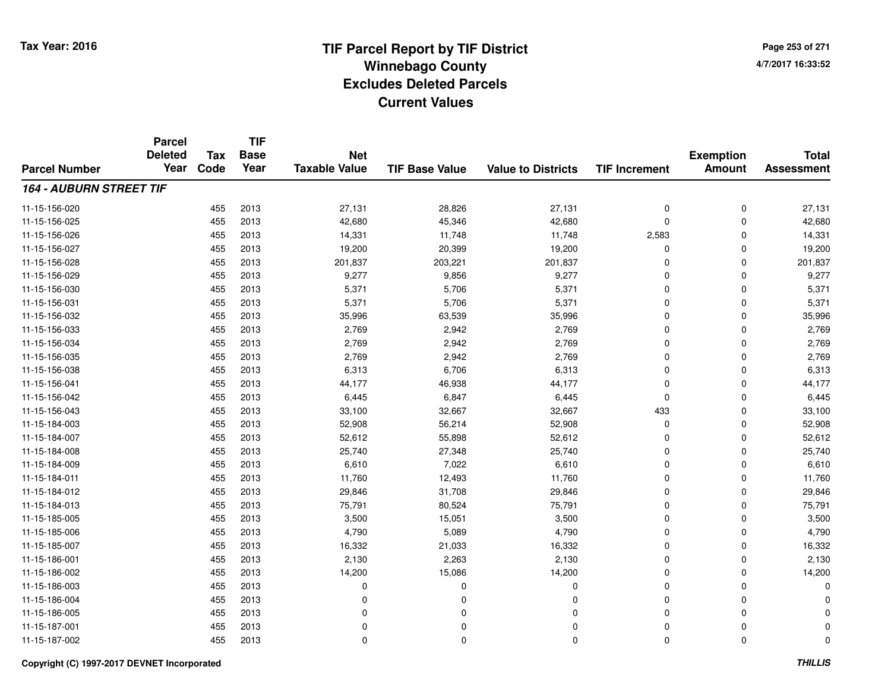**TIF**

**Parcel**

**Page 253 of 2714/7/2017 16:33:52**

#### **TIF Base ValueParcel NumberTotal AssessmentExemption Amount Value to Districts TIF Increment Base YearTax Code Deleted YearNet Taxable Value164 - AUBURN STREET TIF**11-15-156-0200 455 2013 27,131 28,826 27,131 0 0 27,131 11-15-156-025 <sup>455</sup> 42,680 <sup>2013</sup> 45,346 42,680 <sup>0</sup> <sup>0</sup> 42,680 11-15-156-026 <sup>455</sup> 14,331 <sup>2013</sup> 11,748 11,748 2,583 <sup>0</sup> 14,331 11-15-156-027 <sup>455</sup> 19,200 <sup>2013</sup> 20,399 19,200 <sup>0</sup> <sup>0</sup> 19,200 11-15-156-028 <sup>455</sup> 201,837 <sup>2013</sup> 203,221 201,837 <sup>0</sup> <sup>0</sup> 201,837 11-15-156-029 <sup>455</sup> 9,277 <sup>2013</sup> 9,856 9,277 <sup>0</sup> <sup>0</sup> 9,277 11-15-156-0300 455 2013 5,371 5,706 5,371 0 0 5,371 11-15-156-0311 455 2013 5,371 5,706 5,371 0 0 5,371 11-15-156-0322 455 2013 35,996 63,539 35,996 0 0 35,996 11-15-156-033 $3$  2,769 2013 2,769 2,942 2,769 2,769 0 2,769 2,769 2,769 0 2,769 11-15-156-034 <sup>455</sup> 2,769 <sup>2013</sup> 2,942 2,769 <sup>0</sup> <sup>0</sup> 2,769 11-15-156-0355 455 2013 2,769 2,942 2,769 0 0 2,769 11-15-156-0388 455 2013 6,313 6,706 6,313 0 0 6,313 11-15-156-0411 455 2013 44,177 46,938 44,177 0 0 44,177 11-15-156-0422 455 2013 6,445 6,847 6,445 0 0 6,445 11-15-156-0433 455 2013 33,100 32,667 32,667 433 0 33,100 11-15-184-003 <sup>455</sup> 52,908 <sup>2013</sup> 56,214 52,908 <sup>0</sup> <sup>0</sup> 52,908 11-15-184-007 <sup>455</sup> 52,612 <sup>2013</sup> 55,898 52,612 <sup>0</sup> <sup>0</sup> 52,612 11-15-184-008 <sup>455</sup> 25,740 <sup>2013</sup> 27,348 25,740 <sup>0</sup> <sup>0</sup> 25,740 11-15-184-0099 455 2013 6,610 7,022 6,610 0 0 6,610 11-15-184-0111 455 2013 11,760 12,493 11,760 0 0 11,760 11-15-184-0122 455 2013 29,846 31,708 29,846 0 0 29,846 11-15-184-0133 455 2013 75,791 80,524 75,791 0 0 75,791 11-15-185-005 <sup>455</sup> 3,500 <sup>2013</sup> 15,051 3,500 <sup>0</sup> <sup>0</sup> 3,500 11-15-185-006 <sup>455</sup> 4,790 <sup>2013</sup> 5,089 4,790 <sup>0</sup> <sup>0</sup> 4,790 11-15-185-007 <sup>455</sup> 16,332 <sup>2013</sup> 21,033 16,332 <sup>0</sup> <sup>0</sup> 16,332 11-15-186-0011 455 2013 2,130 2,263 2,130 0 0 2,130 11-15-186-0022 455 2013 14,200 15,086 14,200 0 14,200 11-15-186-003 <sup>455</sup> <sup>0</sup> <sup>2013</sup> <sup>0</sup> <sup>0</sup> <sup>0</sup> <sup>0</sup> <sup>0</sup> 11-15-186-004 <sup>455</sup> <sup>0</sup> <sup>2013</sup> <sup>0</sup> <sup>0</sup> <sup>0</sup> <sup>0</sup> <sup>0</sup> 11-15-186-005 <sup>455</sup> <sup>0</sup> <sup>2013</sup> <sup>0</sup> <sup>0</sup> <sup>0</sup> <sup>0</sup> <sup>0</sup> 11-15-187-001 <sup>455</sup> <sup>0</sup> <sup>2013</sup> <sup>0</sup> <sup>0</sup> <sup>0</sup> <sup>0</sup> <sup>0</sup> 11-15-187-002<sup>455</sup> <sup>0</sup> <sup>2013</sup> <sup>0</sup> <sup>0</sup> <sup>0</sup> <sup>0</sup> <sup>0</sup>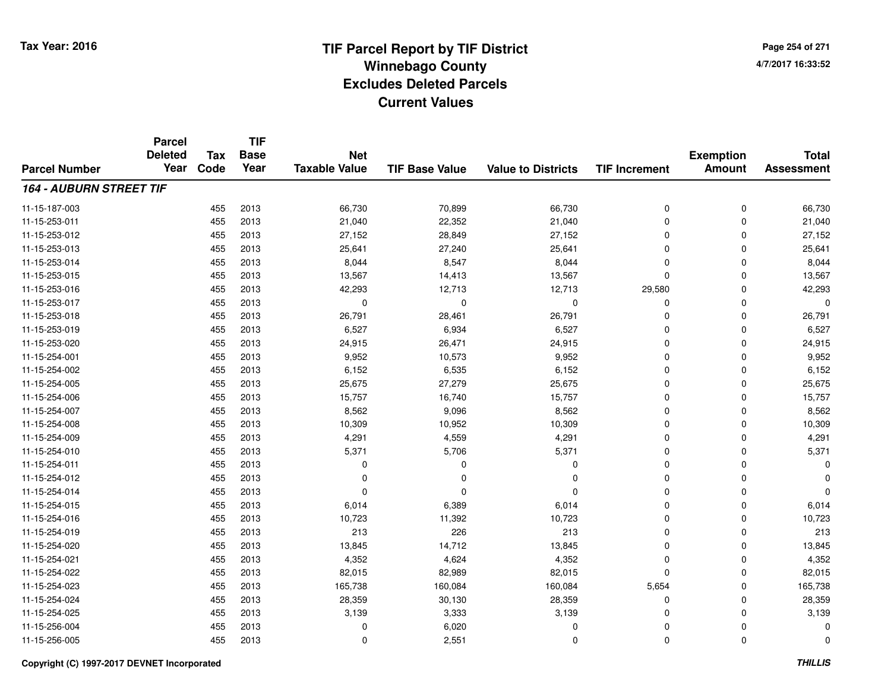**TIF**

**Parcel**

**Page 254 of 2714/7/2017 16:33:52**

#### **TIF Base ValueParcel NumberTotal AssessmentExemption Amount Value to Districts TIF Increment Base YearTax Code Deleted YearNet Taxable Value164 - AUBURN STREET TIF**11-15-187-0033 455 2013 66,730 70,899 66,730 0 0 66,730 11-15-253-0111 455 2013 21,040 22,352 21,040 0 0 21,040 11-15-253-0122 455 2013 27,152 28,849 27,152 0 0 27,152 11-15-253-0133 455 2013 25,641 27,240 25,641 0 0 25,641 11-15-253-014 <sup>455</sup> 8,044 <sup>2013</sup> 8,547 8,044 <sup>0</sup> <sup>0</sup> 8,044 11-15-253-015 <sup>455</sup> 13,567 <sup>2013</sup> 14,413 13,567 <sup>0</sup> <sup>0</sup> 13,567 11-15-253-016 <sup>455</sup> 42,293 <sup>2013</sup> 12,713 12,713 29,580 <sup>0</sup> 42,293 11-15-253-017 <sup>455</sup> <sup>0</sup> <sup>2013</sup> <sup>0</sup> <sup>0</sup> <sup>0</sup> <sup>0</sup> <sup>0</sup> 11-15-253-018 <sup>455</sup> 26,791 <sup>2013</sup> 28,461 26,791 <sup>0</sup> <sup>0</sup> 26,791 11-15-253-0199 455 2013 6,527 6,934 6,527 0 0 6,527 11-15-253-0200 455 2013 24,915 26,471 24,915 0 0 24,915 11-15-254-0011 455 2013 9,952 10,573 9,952 0 0 9,952 11-15-254-0022 455 2013 6,152 6,535 6,152 0 0 6,152 11-15-254-005 <sup>455</sup> 25,675 <sup>2013</sup> 27,279 25,675 <sup>0</sup> <sup>0</sup> 25,675 11-15-254-006 <sup>455</sup> 15,757 <sup>2013</sup> 16,740 15,757 <sup>0</sup> <sup>0</sup> 15,757 11-15-254-007 <sup>455</sup> 8,562 <sup>2013</sup> 9,096 8,562 <sup>0</sup> <sup>0</sup> 8,562 11-15-254-008 <sup>455</sup> 10,309 <sup>2013</sup> 10,952 10,309 <sup>0</sup> <sup>0</sup> 10,309 11-15-254-0099 455 2013 4,291 4,559 4,291 0 4,291 11-15-254-0100 455 2013 5,371 5,706 5,371 0 0 5,371 11-15-254-011 <sup>455</sup> <sup>0</sup> <sup>2013</sup> <sup>0</sup> <sup>0</sup> <sup>0</sup> <sup>0</sup> <sup>0</sup> 11-15-254-012 <sup>455</sup> <sup>0</sup> <sup>2013</sup> <sup>0</sup> <sup>0</sup> <sup>0</sup> <sup>0</sup> <sup>0</sup> 11-15-254-014 <sup>455</sup> <sup>0</sup> <sup>2013</sup> <sup>0</sup> <sup>0</sup> <sup>0</sup> <sup>0</sup> <sup>0</sup> 11-15-254-0155 455 2013 6,014 6,389 6,014 0 0 6,014 11-15-254-016 <sup>455</sup> 10,723 <sup>2013</sup> 11,392 10,723 <sup>0</sup> <sup>0</sup> 10,723 11-15-254-0199 455 2013 213 226 213 0 0 213 11-15-254-0200 455 2013 13,845 14,712 13,845 0 0 13,845 11-15-254-0211 455 2013 4,352 4,624 4,352 0 4,352 11-15-254-0222 455 2013 82,015 82,989 82,015 0 82,015 11-15-254-0233 455 2013 165,738 160,084 160,084 5,654 0 165,738 11-15-254-024 <sup>455</sup> 28,359 <sup>2013</sup> 30,130 28,359 <sup>0</sup> <sup>0</sup> 28,359 11-15-254-025 <sup>455</sup> 3,139 <sup>2013</sup> 3,333 3,139 <sup>0</sup> <sup>0</sup> 3,139 11-15-256-004 <sup>455</sup> <sup>0</sup> <sup>2013</sup> 6,020 <sup>0</sup> <sup>0</sup> <sup>0</sup> <sup>0</sup> 11-15-256-005<sup>455</sup> <sup>0</sup> <sup>2013</sup> 2,551 <sup>0</sup> <sup>0</sup> <sup>0</sup> <sup>0</sup>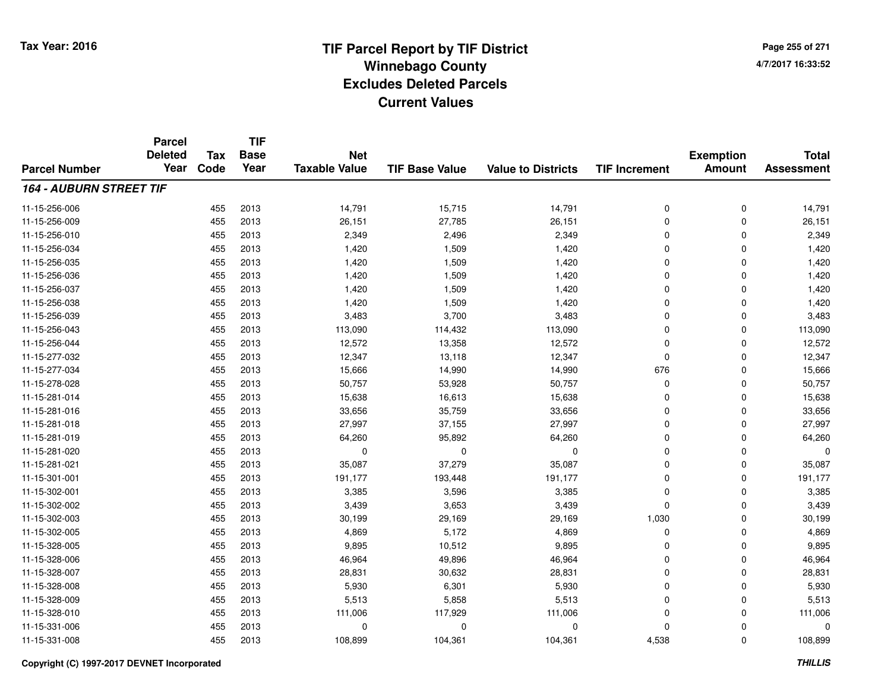**TIF**

**Parcel**

**Page 255 of 2714/7/2017 16:33:52**

#### **TIF Base ValueParcel NumberTotal AssessmentExemption Amount Value to Districts TIF Increment Base YearTax Code Deleted YearNet Taxable Value164 - AUBURN STREET TIF**11-15-256-0066 455 2013 14,791 15,715 14,791 0 0 14,791 11-15-256-009 <sup>455</sup> 26,151 <sup>2013</sup> 27,785 26,151 <sup>0</sup> <sup>0</sup> 26,151 11-15-256-0100 2,349 2013 2,349 2,349 2,496 2,349 2,349 0 2,349 0 2,349 0 2,349 0 2,349 0 2,349 0 2,349 0 2,349 0 2,349 0 2,349  $\sqrt{2}$ 11-15-256-034 <sup>455</sup> 1,420 <sup>2013</sup> 1,509 1,420 <sup>0</sup> <sup>0</sup> 1,420 11-15-256-035 <sup>455</sup> 1,420 <sup>2013</sup> 1,509 1,420 <sup>0</sup> <sup>0</sup> 1,420 11-15-256-036 <sup>455</sup> 1,420 <sup>2013</sup> 1,509 1,420 <sup>0</sup> <sup>0</sup> 1,420 11-15-256-037 <sup>455</sup> 1,420 <sup>2013</sup> 1,509 1,420 <sup>0</sup> <sup>0</sup> 1,420 11-15-256-038 <sup>455</sup> 1,420 <sup>2013</sup> 1,509 1,420 <sup>0</sup> <sup>0</sup> 1,420 11-15-256-0399 455 2013 3,483 3,700 3,483 0 0 3,483 11-15-256-0433 455 2013 113,090 114,432 113,090 0 0 113,090 11-15-256-044 <sup>455</sup> 12,572 <sup>2013</sup> 13,358 12,572 <sup>0</sup> <sup>0</sup> 12,572 11-15-277-032 <sup>455</sup> 12,347 <sup>2013</sup> 13,118 12,347 <sup>0</sup> <sup>0</sup> 12,347 11-15-277-034 <sup>455</sup> 15,666 <sup>2013</sup> 14,990 14,990 <sup>676</sup> <sup>0</sup> 15,666 11-15-278-028 <sup>455</sup> 50,757 <sup>2013</sup> 53,928 50,757 <sup>0</sup> <sup>0</sup> 50,757 11-15-281-0144 455 2013 15,638 16,613 15,638 0 15,638 11-15-281-0166 455 2013 33,656 35,759 33,656 0 33,656 11-15-281-018 <sup>455</sup> 27,997 <sup>2013</sup> 37,155 27,997 <sup>0</sup> <sup>0</sup> 27,997 11-15-281-0199 455 2013 64,260 95,892 64,260 0 0 64,260 11-15-281-020 <sup>455</sup> <sup>0</sup> <sup>2013</sup> <sup>0</sup> <sup>0</sup> <sup>0</sup> <sup>0</sup> <sup>0</sup> 11-15-281-0211 455 2013 35,087 37,279 35,087 0 0 35,087 11-15-301-001 <sup>455</sup> 191,177 <sup>2013</sup> 193,448 191,177 <sup>0</sup> <sup>0</sup> 191,177 11-15-302-0011 455 2013 3,385 3,596 3,385 0 0 3,385 11-15-302-0022 455 2013 3,439 3,653 3,439 0 0 3,439 11-15-302-003 <sup>455</sup> 30,199 <sup>2013</sup> 29,169 29,169 1,030 <sup>0</sup> 30,199 11-15-302-005 <sup>455</sup> 4,869 <sup>2013</sup> 5,172 4,869 <sup>0</sup> <sup>0</sup> 4,869 11-15-328-005 <sup>455</sup> 9,895 <sup>2013</sup> 10,512 9,895 <sup>0</sup> <sup>0</sup> 9,895 11-15-328-0066 455 2013 46,964 49,896 46,964 0 0 46,964 11-15-328-007 <sup>455</sup> 28,831 <sup>2013</sup> 30,632 28,831 <sup>0</sup> <sup>0</sup> 28,831 11-15-328-008 <sup>455</sup> 5,930 <sup>2013</sup> 6,301 5,930 <sup>0</sup> <sup>0</sup> 5,930 11-15-328-0099 455 2013 5,513 5,858 5,513 0 0 5,513 11-15-328-0100 455 2013 111,006 117,929 111,006 0 0 111,006 11-15-331-006 <sup>455</sup> <sup>0</sup> <sup>2013</sup> <sup>0</sup> <sup>0</sup> <sup>0</sup> <sup>0</sup> <sup>0</sup> 11-15-331-008<sup>455</sup> 108,899 <sup>2013</sup> 104,361 104,361 4,538 <sup>0</sup> 108,899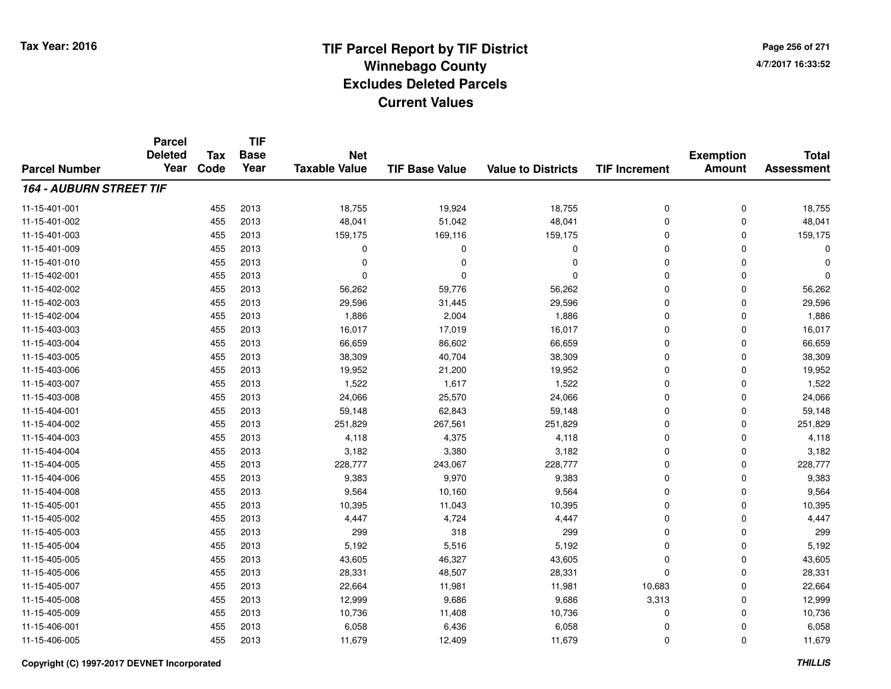**TIF**

**Parcel**

**Page 256 of 2714/7/2017 16:33:52**

#### **TIF Base ValueParcel NumberTotal AssessmentExemption Amount Value to Districts TIF Increment Base YearTax Code Deleted YearNet Taxable Value164 - AUBURN STREET TIF**11-15-401-0011 455 2013 18,755 19,924 18,755 0 0 18,755 11-15-401-0022 455 2013 48,041 51,042 48,041 0 0 48,041 11-15-401-0033 455 2013 159,175 169,116 159,175 0 0 159,175 11-15-401-009 <sup>455</sup> <sup>0</sup> <sup>2013</sup> <sup>0</sup> <sup>0</sup> <sup>0</sup> <sup>0</sup> <sup>0</sup> 11-15-401-010 <sup>455</sup> <sup>0</sup> <sup>2013</sup> <sup>0</sup> <sup>0</sup> <sup>0</sup> <sup>0</sup> <sup>0</sup> 11-15-402-001 <sup>455</sup> <sup>0</sup> <sup>2013</sup> <sup>0</sup> <sup>0</sup> <sup>0</sup> <sup>0</sup> <sup>0</sup> 11-15-402-0022 2 2 2 3 3 455 2013 56,262 56,262 59,776 56,262 56,262 56,062 56,262 56,262 56,262 11-15-402-0033 455 2013 29,596 31,445 29,596 0 29,596 11-15-402-0044 455 2013 1,886 2,004 1,886 0 0 1,886 11-15-403-003 <sup>455</sup> 16,017 <sup>2013</sup> 17,019 16,017 <sup>0</sup> <sup>0</sup> 16,017 11-15-403-004 <sup>455</sup> 66,659 <sup>2013</sup> 86,602 66,659 <sup>0</sup> <sup>0</sup> 66,659 11-15-403-005 <sup>455</sup> 38,309 <sup>2013</sup> 40,704 38,309 <sup>0</sup> <sup>0</sup> 38,309 11-15-403-0066 455 2013 19,952 21,200 19,952 0 0 19,952 11-15-403-007 <sup>455</sup> 1,522 <sup>2013</sup> 1,617 1,522 <sup>0</sup> <sup>0</sup> 1,522 11-15-403-008 <sup>455</sup> 24,066 <sup>2013</sup> 25,570 24,066 <sup>0</sup> <sup>0</sup> 24,066 11-15-404-0011 455 2013 59,148 62,843 59,148 0 0 59,148 11-15-404-0022 455 2013 251,829 267,561 251,829 0 0 251,829 11-15-404-0033 455 2013 4,118 4,375 4,118 0 0 4,118 11-15-404-0044 3,182 3,182 3,182 3,380 3,182 3,182 3,182 3,182 3,182 3,182 3,182 3 45 45 2013 11-15-404-005 <sup>455</sup> 228,777 <sup>2013</sup> 243,067 228,777 <sup>0</sup> <sup>0</sup> 228,777 11-15-404-006 <sup>455</sup> 9,383 <sup>2013</sup> 9,970 9,383 <sup>0</sup> <sup>0</sup> 9,383 11-15-404-008 <sup>455</sup> 9,564 <sup>2013</sup> 10,160 9,564 <sup>0</sup> <sup>0</sup> 9,564 11-15-405-0011 455 2013 10,395 11,043 10,395 0 0 10,395 11-15-405-002 <sup>455</sup> 4,447 <sup>2013</sup> 4,724 4,447 <sup>0</sup> <sup>0</sup> 4,447 11-15-405-0033 455 2013 299 318 299 0 0 299 11-15-405-004 <sup>455</sup> 5,192 <sup>2013</sup> 5,516 5,192 <sup>0</sup> <sup>0</sup> 5,192 11-15-405-005 <sup>455</sup> 43,605 <sup>2013</sup> 46,327 43,605 <sup>0</sup> <sup>0</sup> 43,605 11-15-405-006 <sup>455</sup> 28,331 <sup>2013</sup> 48,507 28,331 <sup>0</sup> <sup>0</sup> 28,331 11-15-405-007 <sup>455</sup> 22,664 <sup>2013</sup> 11,981 11,981 10,683 <sup>0</sup> 22,664 11-15-405-008 <sup>455</sup> 12,999 <sup>2013</sup> 9,686 9,686 3,313 <sup>0</sup> 12,999 11-15-405-0099 455 2013 10,736 11,408 10,736 0 0 10,736 11-15-406-0011 455 2013 6,058 6,436 6,058 0 0 6,058 11-15-406-0055 455 2013 11,679 12,409 11,679 0 0 11,679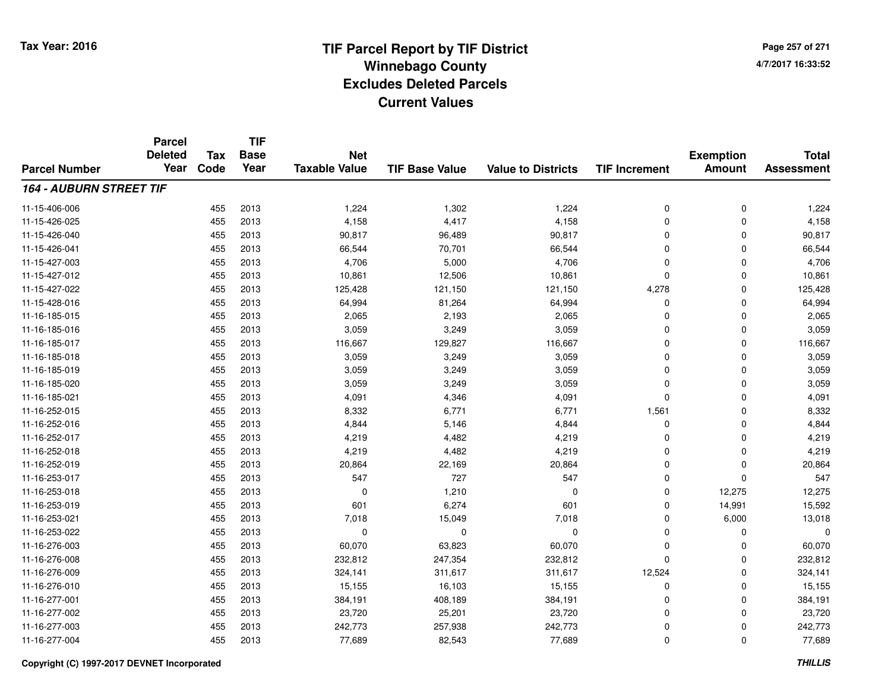**TIF**

**Parcel**

**Page 257 of 2714/7/2017 16:33:52**

#### **TIF Base ValueParcel NumberTotal AssessmentExemption Amount Value to Districts TIF Increment Base YearTax Code Deleted YearNet Taxable Value164 - AUBURN STREET TIF**11-15-406-006 <sup>455</sup> 1,224 <sup>2013</sup> 1,302 1,224 <sup>0</sup> <sup>0</sup> 1,224 11-15-426-025 <sup>455</sup> 4,158 <sup>2013</sup> 4,417 4,158 <sup>0</sup> <sup>0</sup> 4,158 11-15-426-0400 455 2013 90,817 96,489 90,817 0 0 90,817 11-15-426-0411 455 2013 66,544 70,701 66,544 0 0 66,544 11-15-427-0033 455 2013 4,706 5,000 4,706 0 0 4,706 11-15-427-0122 455 2013 10,861 12,506 10,861 0 0 10,861 11-15-427-022 <sup>455</sup> 125,428 <sup>2013</sup> 121,150 121,150 4,278 <sup>0</sup> 125,428 11-15-428-016 <sup>455</sup> 64,994 <sup>2013</sup> 81,264 64,994 <sup>0</sup> <sup>0</sup> 64,994 11-16-185-0155 455 2013 2,065 2,193 2,065 0 0 2,065 11-16-185-016 <sup>455</sup> 3,059 <sup>2013</sup> 3,249 3,059 <sup>0</sup> <sup>0</sup> 3,059 11-16-185-017 <sup>455</sup> 116,667 <sup>2013</sup> 129,827 116,667 <sup>0</sup> <sup>0</sup> 116,667 11-16-185-0188 455 2013 3,059 3,249 3,059 0 0 3,059 11-16-185-019 <sup>455</sup> 3,059 <sup>2013</sup> 3,249 3,059 <sup>0</sup> <sup>0</sup> 3,059 11-16-185-0200 455 2013 3,059 3,249 3,059 0 0 3,059 11-16-185-0211 455 2013 4,091 4,346 4,091 0 4,091 11-16-252-015 <sup>455</sup> 8,332 <sup>2013</sup> 6,771 6,771 1,561 <sup>0</sup> 8,332 11-16-252-016 <sup>455</sup> 4,844 <sup>2013</sup> 5,146 4,844 <sup>0</sup> <sup>0</sup> 4,844 11-16-252-0177 455 2013 4,219 4,482 4,219 0 0 4,219 11-16-252-0188 455 2013 4,219 4,482 4,219 0 0 4,219 11-16-252-0199 455 2013 20,864 22,169 20,864 0 0 20,864 11-16-253-017 <sup>455</sup> <sup>547</sup> <sup>2013</sup> <sup>727</sup> <sup>547</sup> <sup>0</sup> <sup>0</sup> <sup>547</sup> 11-16-253-0188 455 2013 0 1,210 0 0 12,275 12,275 11-16-253-0199 455 2013 601 6,274 601 0 14,991 15,592 11-16-253-0211 455 2013 7,018 15,049 7,018 0 6,000 13,018 11-16-253-022 <sup>455</sup> <sup>0</sup> <sup>2013</sup> <sup>0</sup> <sup>0</sup> <sup>0</sup> <sup>0</sup> <sup>0</sup> 11-16-276-0033 455 2013 60,070 63,823 60,070 0 0 60,070 11-16-276-008 <sup>455</sup> 232,812 <sup>2013</sup> 247,354 232,812 <sup>0</sup> <sup>0</sup> 232,812 11-16-276-0099 455 2013 324,141 311,617 311,617 12,524 0 324,141 11-16-276-0100 455 2013 15,155 16,103 15,155 0 0 15,155 11-16-277-0011 455 2013 384,191 408,189 384,191 0 384,191 11-16-277-0022 455 2013 23,720 25,201 23,720 0 23,720 11-16-277-003 <sup>455</sup> 242,773 <sup>2013</sup> 257,938 242,773 <sup>0</sup> <sup>0</sup> 242,773 11-16-277-0044 455 2013 77,689 82,543 77,689 0 77,689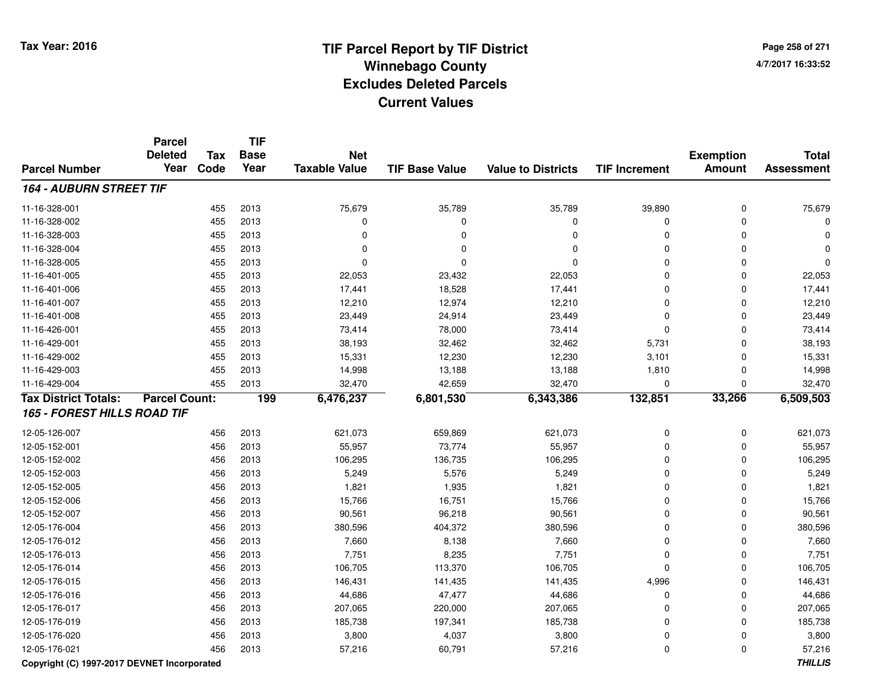**Page 258 of 2714/7/2017 16:33:52**

#### **TIF Base ValueParcel NumberTotal AssessmentExemption Amount Value to Districts TIF IncrementTIF Base YearTax CodeParcel Deleted YearNet Taxable Value164 - AUBURN STREET TIF**11-16-328-001 <sup>455</sup> 75,679 <sup>2013</sup> 35,789 35,789 39,890 <sup>0</sup> 75,679 11-16-328-002 <sup>455</sup> <sup>0</sup> <sup>2013</sup> <sup>0</sup> <sup>0</sup> <sup>0</sup> <sup>0</sup> <sup>0</sup> 11-16-328-003 <sup>455</sup> <sup>0</sup> <sup>2013</sup> <sup>0</sup> <sup>0</sup> <sup>0</sup> <sup>0</sup> <sup>0</sup> 11-16-328-004 <sup>455</sup> <sup>0</sup> <sup>2013</sup> <sup>0</sup> <sup>0</sup> <sup>0</sup> <sup>0</sup> <sup>0</sup> 11-16-328-005 <sup>455</sup> <sup>0</sup> <sup>2013</sup> <sup>0</sup> <sup>0</sup> <sup>0</sup> <sup>0</sup> <sup>0</sup> 11-16-401-005 <sup>455</sup> 22,053 <sup>2013</sup> 23,432 22,053 <sup>0</sup> <sup>0</sup> 22,053 11-16-401-006 <sup>455</sup> 17,441 <sup>2013</sup> 18,528 17,441 <sup>0</sup> <sup>0</sup> 17,441 11-16-401-007 <sup>455</sup> 12,210 <sup>2013</sup> 12,974 12,210 <sup>0</sup> <sup>0</sup> 12,210 11-16-401-008 <sup>455</sup> 23,449 <sup>2013</sup> 24,914 23,449 <sup>0</sup> <sup>0</sup> 23,449 11-16-426-0011 455 2013 73,414 78,000 73,414 0 0 73,414 11-16-429-0011 455 2013 38,193 32,462 32,462 5,731 0 38,193 11-16-429-002 <sup>455</sup> 15,331 <sup>2013</sup> 12,230 12,230 3,101 <sup>0</sup> 15,331 11-16-429-003 <sup>455</sup> 14,998 <sup>2013</sup> 13,188 13,188 1,810 <sup>0</sup> 14,998 11-16-429-004 <sup>455</sup> 32,470 <sup>2013</sup> 42,659 32,470 <sup>0</sup> <sup>0</sup> 32,470 **Tax District Totals: Parcel Count: <sup>199</sup> 6,476,237 6,801,530 6,343,386 132,851 33,266 6,509,503 165 - FOREST HILLS ROAD TIF**12-05-126-007 <sup>456</sup> 621,073 <sup>2013</sup> 659,869 621,073 <sup>0</sup> <sup>0</sup> 621,073 12-05-152-001 <sup>456</sup> 55,957 <sup>2013</sup> 73,774 55,957 <sup>0</sup> <sup>0</sup> 55,957 12-05-152-0022 2 2 2 3 3 456 2013 106,295 136,735 136,735 136,735 106,295 106,295 0 0 0 106,295 12-05-152-0033 456 2013 5,249 5,576 5,249 0 0 5,249 12-05-152-005 <sup>456</sup> 1,821 <sup>2013</sup> 1,935 1,821 <sup>0</sup> <sup>0</sup> 1,821 12-05-152-0066 456 2013 15,766 16,751 15,766 0 0 15,766 12-05-152-007 <sup>456</sup> 90,561 <sup>2013</sup> 96,218 90,561 <sup>0</sup> <sup>0</sup> 90,561 12-05-176-004 <sup>456</sup> 380,596 <sup>2013</sup> 404,372 380,596 <sup>0</sup> <sup>0</sup> 380,596 12-05-176-0122 456 2013 7,660 8,138 7,660 0 7,660 12-05-176-013 <sup>456</sup> 7,751 <sup>2013</sup> 8,235 7,751 <sup>0</sup> <sup>0</sup> 7,751 12-05-176-014 <sup>456</sup> 106,705 <sup>2013</sup> 113,370 106,705 <sup>0</sup> <sup>0</sup> 106,705 12-05-176-015 <sup>456</sup> 146,431 <sup>2013</sup> 141,435 141,435 4,996 <sup>0</sup> 146,431 12-05-176-0166 456 2013 44,686 47,477 44,686 0 0 44,686 12-05-176-017 <sup>456</sup> 207,065 <sup>2013</sup> 220,000 207,065 <sup>0</sup> <sup>0</sup> 207,065 12-05-176-0199 456 2013 185,738 197,341 185,738 0 0 185,738 12-05-176-020 <sup>456</sup> 3,800 <sup>2013</sup> 4,037 3,800 <sup>0</sup> <sup>0</sup> 3,800 12-05-176-0211 456 2013 57,216 60,791 57,216 0 0 57,216

### **Copyright (C) 1997-2017 DEVNET Incorporated**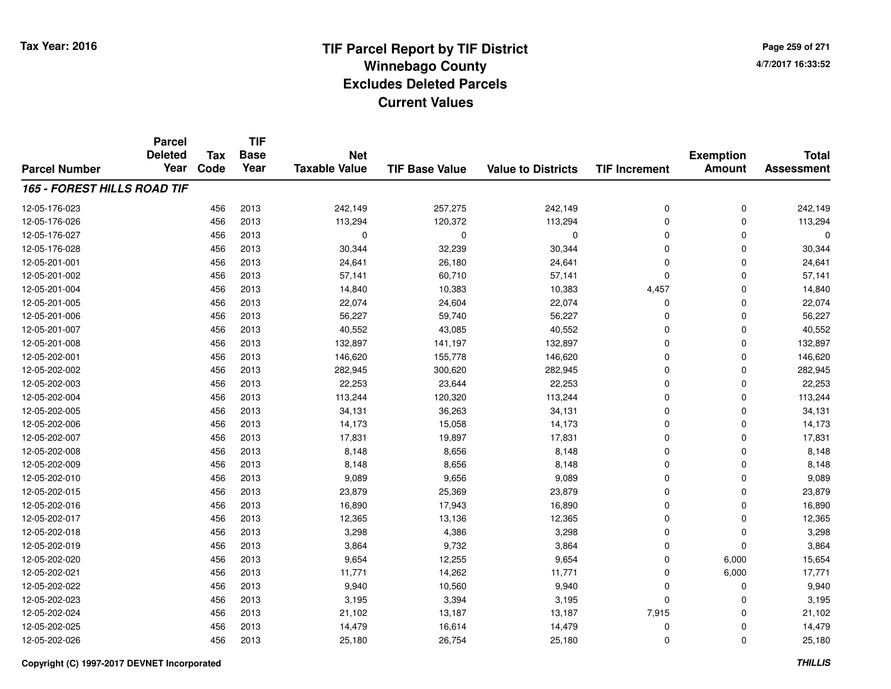**TIF**

**Parcel**

**Page 259 of 2714/7/2017 16:33:52**

#### **TIF Base ValueParcel NumberTotal AssessmentExemption Amount Value to Districts TIF Increment Base YearTax Code Deleted YearNet Taxable Value165 - FOREST HILLS ROAD TIF**12-05-176-0233 456 2013 242,149 257,275 242,149 0 242,149 12-05-176-026 <sup>456</sup> 113,294 <sup>2013</sup> 120,372 113,294 <sup>0</sup> <sup>0</sup> 113,294 12-05-176-027 <sup>456</sup> <sup>0</sup> <sup>2013</sup> <sup>0</sup> <sup>0</sup> <sup>0</sup> <sup>0</sup> <sup>0</sup> 12-05-176-028 <sup>456</sup> 30,344 <sup>2013</sup> 32,239 30,344 <sup>0</sup> <sup>0</sup> 30,344 12-05-201-0011 456 2013 24,641 26,180 24,641 0 0 24,641 12-05-201-002 <sup>456</sup> 57,141 <sup>2013</sup> 60,710 57,141 <sup>0</sup> <sup>0</sup> 57,141 12-05-201-004 <sup>456</sup> 14,840 <sup>2013</sup> 10,383 10,383 4,457 <sup>0</sup> 14,840 12-05-201-005 <sup>456</sup> 22,074 <sup>2013</sup> 24,604 22,074 <sup>0</sup> <sup>0</sup> 22,074 12-05-201-0066 456 2013 56,227 59,740 56,227 0 0 56,227 12-05-201-007 <sup>456</sup> 40,552 <sup>2013</sup> 43,085 40,552 <sup>0</sup> <sup>0</sup> 40,552 12-05-201-008 <sup>456</sup> 132,897 <sup>2013</sup> 141,197 132,897 <sup>0</sup> <sup>0</sup> 132,897 12-05-202-0011 456 2013 146,620 155,778 146,620 0 146,620 12-05-202-0022 456 2013 282,945 300,620 282,945 0 282,945 12-05-202-0033 456 2013 22,253 23,644 22,253 0 22,253 12-05-202-004 <sup>456</sup> 113,244 <sup>2013</sup> 120,320 113,244 <sup>0</sup> <sup>0</sup> 113,244 12-05-202-005 <sup>456</sup> 34,131 <sup>2013</sup> 36,263 34,131 <sup>0</sup> <sup>0</sup> 34,131 12-05-202-006 <sup>456</sup> 14,173 <sup>2013</sup> 15,058 14,173 <sup>0</sup> <sup>0</sup> 14,173 12-05-202-007 <sup>456</sup> 17,831 <sup>2013</sup> 19,897 17,831 <sup>0</sup> <sup>0</sup> 17,831 12-05-202-0088 456 2013 8,148 8,656 8,148 0 0 8,148 12-05-202-0099 456 2013 8,148 8,656 8,148 0 0 8,148 12-05-202-0100 456 2013 9,089 9,656 9,089 0 0 9,089 12-05-202-015 <sup>456</sup> 23,879 <sup>2013</sup> 25,369 23,879 <sup>0</sup> <sup>0</sup> 23,879 12-05-202-016 <sup>456</sup> 16,890 <sup>2013</sup> 17,943 16,890 <sup>0</sup> <sup>0</sup> 16,890 12-05-202-0177 456 2013 12,365 13,136 12,365 0 0 12,365 12-05-202-0188 456 2013 3,298 4,386 3,298 0 0 3,298 12-05-202-0199 456 2013 3,864 9,732 3,864 0 0 3,864 12-05-202-0200 456 2013 9,654 12,255 9,654 0 6,000 15,654 12-05-202-0211 456 2013 11,771 14,262 11,771 0 6,000 17,771 12-05-202-0222 456 2013 9,940 10,560 9,940 0 0 9,940 12-05-202-0233 456 2013 3,195 3,394 3,195 0 0 3,195 12-05-202-024 <sup>456</sup> 21,102 <sup>2013</sup> 13,187 13,187 7,915 <sup>0</sup> 21,102 12-05-202-025 <sup>456</sup> 14,479 <sup>2013</sup> 16,614 14,479 <sup>0</sup> <sup>0</sup> 14,479 12-05-202-026<sup>456</sup> 25,180 <sup>2013</sup> 26,754 25,180 <sup>0</sup> <sup>0</sup> 25,180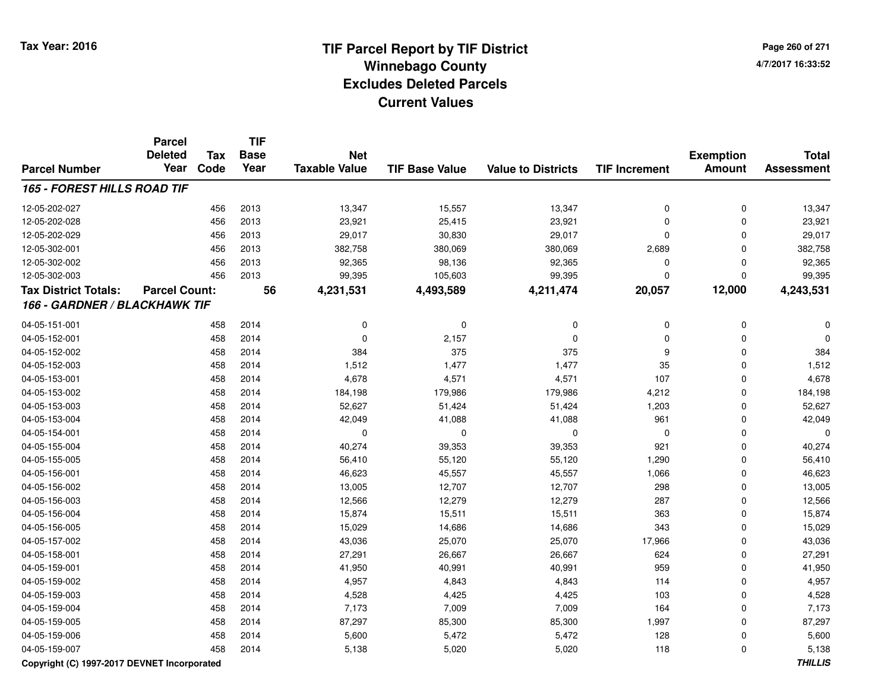**Page 260 of 2714/7/2017 16:33:52**

|                                    | <b>Parcel</b>        |            | <b>TIF</b>  |                      |                       |                           |                      |                  |                   |
|------------------------------------|----------------------|------------|-------------|----------------------|-----------------------|---------------------------|----------------------|------------------|-------------------|
|                                    | <b>Deleted</b>       | <b>Tax</b> | <b>Base</b> | <b>Net</b>           |                       |                           |                      | <b>Exemption</b> | <b>Total</b>      |
| <b>Parcel Number</b>               | Year                 | Code       | Year        | <b>Taxable Value</b> | <b>TIF Base Value</b> | <b>Value to Districts</b> | <b>TIF Increment</b> | <b>Amount</b>    | <b>Assessment</b> |
| <b>165 - FOREST HILLS ROAD TIF</b> |                      |            |             |                      |                       |                           |                      |                  |                   |
| 12-05-202-027                      |                      | 456        | 2013        | 13,347               | 15,557                | 13,347                    | $\mathbf 0$          | $\mathbf 0$      | 13,347            |
| 12-05-202-028                      |                      | 456        | 2013        | 23,921               | 25,415                | 23,921                    | $\mathbf 0$          | $\mathbf 0$      | 23,921            |
| 12-05-202-029                      |                      | 456        | 2013        | 29,017               | 30,830                | 29,017                    | $\Omega$             | $\mathbf 0$      | 29,017            |
| 12-05-302-001                      |                      | 456        | 2013        | 382,758              | 380,069               | 380,069                   | 2,689                | $\mathbf 0$      | 382,758           |
| 12-05-302-002                      |                      | 456        | 2013        | 92,365               | 98,136                | 92,365                    | $\Omega$             | $\mathbf 0$      | 92,365            |
| 12-05-302-003                      |                      | 456        | 2013        | 99,395               | 105,603               | 99,395                    | $\Omega$             | $\mathbf 0$      | 99,395            |
| <b>Tax District Totals:</b>        | <b>Parcel Count:</b> |            | 56          | 4,231,531            | 4,493,589             | 4,211,474                 | 20,057               | 12,000           | 4,243,531         |
| 166 - GARDNER / BLACKHAWK TIF      |                      |            |             |                      |                       |                           |                      |                  |                   |
| 04-05-151-001                      |                      | 458        | 2014        | 0                    | 0                     | $\mathbf 0$               | 0                    | $\mathbf 0$      |                   |
| 04-05-152-001                      |                      | 458        | 2014        | 0                    | 2,157                 | $\mathbf 0$               | $\Omega$             | $\mathbf 0$      |                   |
| 04-05-152-002                      |                      | 458        | 2014        | 384                  | 375                   | 375                       | 9                    | $\mathbf 0$      | 384               |
| 04-05-152-003                      |                      | 458        | 2014        | 1,512                | 1,477                 | 1,477                     | 35                   | $\mathbf 0$      | 1,512             |
| 04-05-153-001                      |                      | 458        | 2014        | 4,678                | 4,571                 | 4,571                     | 107                  | $\mathbf 0$      | 4,678             |
| 04-05-153-002                      |                      | 458        | 2014        | 184,198              | 179,986               | 179,986                   | 4,212                | $\mathbf 0$      | 184,198           |
| 04-05-153-003                      |                      | 458        | 2014        | 52,627               | 51,424                | 51,424                    | 1,203                | $\pmb{0}$        | 52,627            |
| 04-05-153-004                      |                      | 458        | 2014        | 42,049               | 41,088                | 41,088                    | 961                  | $\mathbf 0$      | 42,049            |
| 04-05-154-001                      |                      | 458        | 2014        | 0                    | 0                     | $\mathbf 0$               | $\mathbf 0$          | $\mathbf 0$      | $\Omega$          |
| 04-05-155-004                      |                      | 458        | 2014        | 40,274               | 39,353                | 39,353                    | 921                  | $\mathbf 0$      | 40,274            |
| 04-05-155-005                      |                      | 458        | 2014        | 56,410               | 55,120                | 55,120                    | 1,290                | $\mathbf 0$      | 56,410            |
| 04-05-156-001                      |                      | 458        | 2014        | 46,623               | 45,557                | 45,557                    | 1,066                | $\mathbf 0$      | 46,623            |
| 04-05-156-002                      |                      | 458        | 2014        | 13,005               | 12,707                | 12,707                    | 298                  | $\mathbf 0$      | 13,005            |
| 04-05-156-003                      |                      | 458        | 2014        | 12,566               | 12,279                | 12,279                    | 287                  | $\mathbf 0$      | 12,566            |
| 04-05-156-004                      |                      | 458        | 2014        | 15,874               | 15,511                | 15,511                    | 363                  | $\mathbf 0$      | 15,874            |
| 04-05-156-005                      |                      | 458        | 2014        | 15,029               | 14,686                | 14,686                    | 343                  | $\mathbf 0$      | 15,029            |
| 04-05-157-002                      |                      | 458        | 2014        | 43,036               | 25,070                | 25,070                    | 17,966               | $\mathbf 0$      | 43,036            |
| 04-05-158-001                      |                      | 458        | 2014        | 27,291               | 26,667                | 26,667                    | 624                  | $\mathbf 0$      | 27,291            |
| 04-05-159-001                      |                      | 458        | 2014        | 41,950               | 40,991                | 40,991                    | 959                  | $\mathbf 0$      | 41,950            |
| 04-05-159-002                      |                      | 458        | 2014        | 4,957                | 4,843                 | 4,843                     | 114                  | $\mathbf 0$      | 4,957             |
| 04-05-159-003                      |                      | 458        | 2014        | 4,528                | 4,425                 | 4,425                     | 103                  | $\pmb{0}$        | 4,528             |
| 04-05-159-004                      |                      | 458        | 2014        | 7,173                | 7,009                 | 7,009                     | 164                  | $\mathbf 0$      | 7,173             |
| 04-05-159-005                      |                      | 458        | 2014        | 87,297               | 85,300                | 85,300                    | 1,997                | $\mathbf 0$      | 87,297            |
| 04-05-159-006                      |                      | 458        | 2014        | 5,600                | 5,472                 | 5,472                     | 128                  | $\mathbf 0$      | 5,600             |
| 04-05-159-007                      |                      | 458        | 2014        | 5,138                | 5,020                 | 5,020                     | 118                  | $\mathbf 0$      | 5,138             |

### **Copyright (C) 1997-2017 DEVNET Incorporated**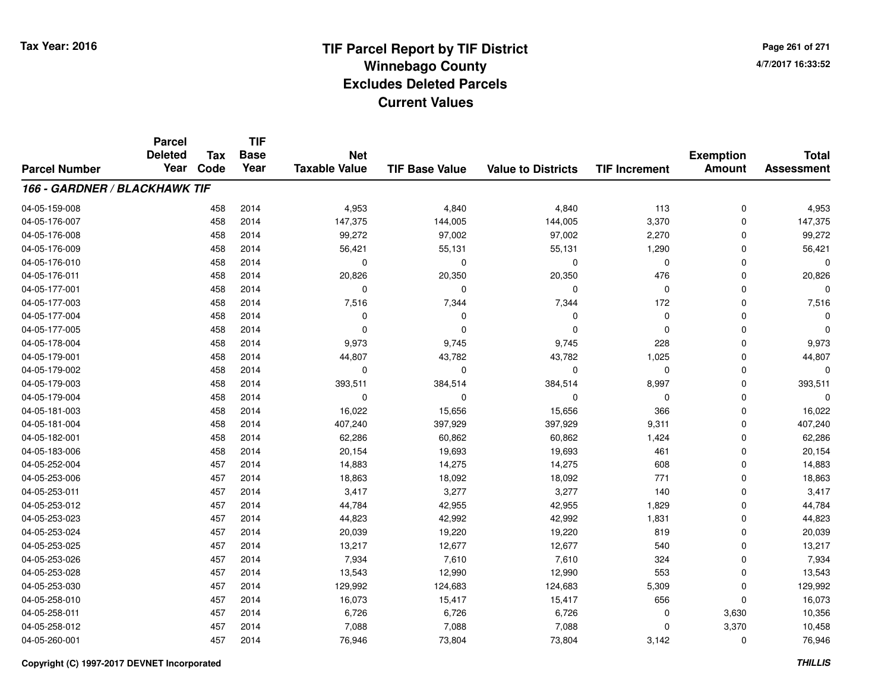**TIF**

**Parcel**

**Page 261 of 2714/7/2017 16:33:52**

#### **TIF Base ValueParcel NumberTotal AssessmentExemption Amount Value to Districts TIF Increment Base YearTax Code Deleted YearNet Taxable Value166 - GARDNER / BLACKHAWK TIF**04-05-159-008 <sup>458</sup> 4,953 <sup>2014</sup> 4,840 4,840 <sup>113</sup> <sup>0</sup> 4,953 04-05-176-007 <sup>458</sup> 147,375 <sup>2014</sup> 144,005 144,005 3,370 <sup>0</sup> 147,375 04-05-176-008 <sup>458</sup> 99,272 <sup>2014</sup> 97,002 97,002 2,270 <sup>0</sup> 99,272 04-05-176-009 <sup>458</sup> 56,421 <sup>2014</sup> 55,131 55,131 1,290 <sup>0</sup> 56,421 04-05-176-010 <sup>458</sup> <sup>0</sup> <sup>2014</sup> <sup>0</sup> <sup>0</sup> <sup>0</sup> <sup>0</sup> <sup>0</sup> 04-05-176-0111 458 2014 20,826 20,350 20,350 476 0 20,826 04-05-177-001 <sup>458</sup> <sup>0</sup> <sup>2014</sup> <sup>0</sup> <sup>0</sup> <sup>0</sup> <sup>0</sup> <sup>0</sup> 04-05-177-0033 458 2014 7,516 7,344 7,344 172 0 7,516 04-05-177-004 <sup>458</sup> <sup>0</sup> <sup>2014</sup> <sup>0</sup> <sup>0</sup> <sup>0</sup> <sup>0</sup> <sup>0</sup> 04-05-177-005 <sup>458</sup> <sup>0</sup> <sup>2014</sup> <sup>0</sup> <sup>0</sup> <sup>0</sup> <sup>0</sup> <sup>0</sup> 04-05-178-004 <sup>458</sup> 9,973 <sup>2014</sup> 9,745 9,745 <sup>228</sup> <sup>0</sup> 9,973 04-05-179-0011 458 2014 44,807 43,782 43,782 1,025 0 44,807 04-05-179-002 <sup>458</sup> <sup>0</sup> <sup>2014</sup> <sup>0</sup> <sup>0</sup> <sup>0</sup> <sup>0</sup> <sup>0</sup> 04-05-179-003 <sup>458</sup> 393,511 <sup>2014</sup> 384,514 384,514 8,997 <sup>0</sup> 393,511 04-05-179-004 <sup>458</sup> <sup>0</sup> <sup>2014</sup> <sup>0</sup> <sup>0</sup> <sup>0</sup> <sup>0</sup> <sup>0</sup> 04-05-181-0033 458 2014 16,022 15,656 15,656 366 0 16,022 04-05-181-004 <sup>458</sup> 407,240 <sup>2014</sup> 397,929 397,929 9,311 <sup>0</sup> 407,240 04-05-182-0011 458 2014 62,286 60,862 60,862 1,424 0 62,286 04-05-183-006 <sup>458</sup> 20,154 <sup>2014</sup> 19,693 19,693 <sup>461</sup> <sup>0</sup> 20,154 04-05-252-004 <sup>457</sup> 14,883 <sup>2014</sup> 14,275 14,275 <sup>608</sup> <sup>0</sup> 14,883 04-05-253-006 <sup>457</sup> 18,863 <sup>2014</sup> 18,092 18,092 <sup>771</sup> <sup>0</sup> 18,863 04-05-253-0111 1 2014 3,417 3,277 3,277 3,277 3,277 3,417 3,277 3,417 3,417 04-05-253-0122 457 2014 44,784 42,955 42,955 1,829 0 44,784 04-05-253-0233 457 2014 44,823 42,992 42,992 1,831 0 44,823 04-05-253-024 <sup>457</sup> 20,039 <sup>2014</sup> 19,220 19,220 <sup>819</sup> <sup>0</sup> 20,039 04-05-253-025 <sup>457</sup> 13,217 <sup>2014</sup> 12,677 12,677 <sup>540</sup> <sup>0</sup> 13,217 04-05-253-0266 457 2014 7,934 7,610 7,610 324 0 7,934 04-05-253-0288 457 2014 13,543 12,990 12,990 553 0 13,543 04-05-253-0300 457 2014 129,992 124,683 124,683 5,309 0 129,992 04-05-258-0100 457 2014 16,073 15,417 15,417 656 0 16,073 04-05-258-0111 457 2014 6,726 6,726 6,726 0 3,630 10,356 04-05-258-0122 457 2014 7,088 7,088 7,088 0 3,370 10,458 04-05-260-0011 457 2014 76,946 73,804 73,804 3,142 0 76,946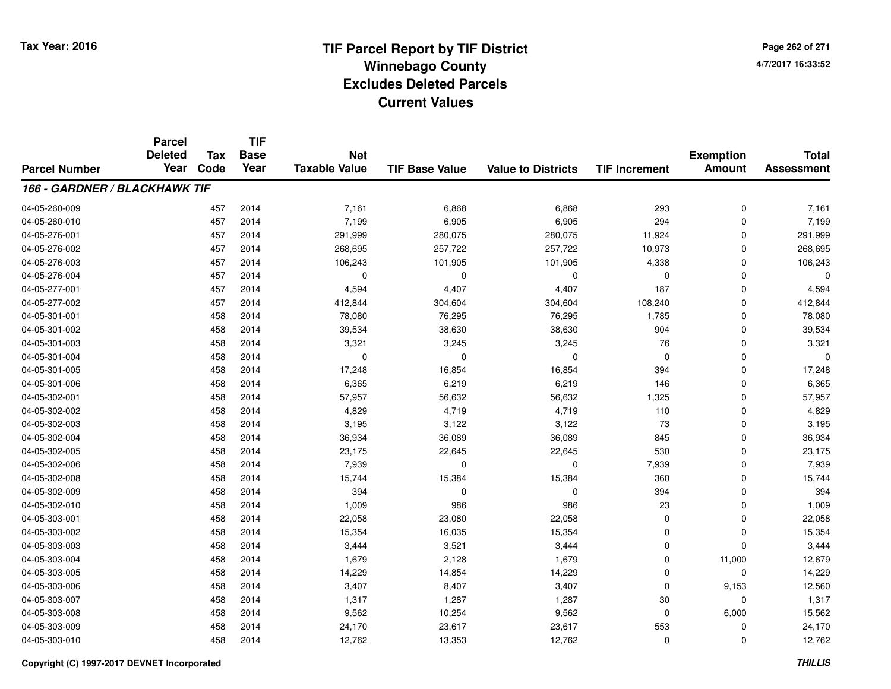**TIF**

**Parcel**

**Page 262 of 2714/7/2017 16:33:52**

#### **TIF Base ValueParcel NumberTotal AssessmentExemption Amount Value to Districts TIF Increment Base YearTax Code Deleted YearNet Taxable Value166 - GARDNER / BLACKHAWK TIF**04-05-260-0099 457 2014 7,161 6,868 6,868 293 0 7,161 04-05-260-0100 457 2014 7,199 6,905 6,905 294 0 7,199 04-05-276-0011 457 2014 291,999 280,075 280,075 11,924 0 291,999 04-05-276-002 <sup>457</sup> 268,695 <sup>2014</sup> 257,722 257,722 10,973 <sup>0</sup> 268,695 04-05-276-0033 457 2014 106,243 101,905 101,905 4,338 0 106,243 04-05-276-004 <sup>457</sup> <sup>0</sup> <sup>2014</sup> <sup>0</sup> <sup>0</sup> <sup>0</sup> <sup>0</sup> <sup>0</sup> 04-05-277-001 <sup>457</sup> 4,594 <sup>2014</sup> 4,407 4,407 <sup>187</sup> <sup>0</sup> 4,594 04-05-277-0022 457 2014 412,844 304,604 304,604 108,240 0 412,844 04-05-301-0011 458 2014 78,080 76,295 76,295 1,785 0 78,080 04-05-301-002 <sup>458</sup> 39,534 <sup>2014</sup> 38,630 38,630 <sup>904</sup> <sup>0</sup> 39,534 04-05-301-003 <sup>458</sup> 3,321 <sup>2014</sup> 3,245 3,245 <sup>76</sup> <sup>0</sup> 3,321 04-05-301-004 <sup>458</sup> <sup>0</sup> <sup>2014</sup> <sup>0</sup> <sup>0</sup> <sup>0</sup> <sup>0</sup> <sup>0</sup> 04-05-301-0055 458 2014 17,248 16,854 16,854 394 0 17,248 04-05-301-0066 458 2014 6,365 6,219 6,219 146 0 6,365 04-05-302-001 <sup>458</sup> 57,957 <sup>2014</sup> 56,632 56,632 1,325 <sup>0</sup> 57,957 04-05-302-002 <sup>458</sup> 4,829 <sup>2014</sup> 4,719 4,719 <sup>110</sup> <sup>0</sup> 4,829 04-05-302-0033 458 2014 3,195 3,122 3,122 73 0 3,195 04-05-302-0044 265 36,934 36,934 36,089 36,089 36,089 36,089 36,089 36,089 36,089 36,934 04-05-302-005 <sup>458</sup> 23,175 <sup>2014</sup> 22,645 22,645 <sup>530</sup> <sup>0</sup> 23,175 04-05-302-006 <sup>458</sup> 7,939 <sup>2014</sup> <sup>0</sup> <sup>0</sup> 7,939 <sup>0</sup> 7,939 04-05-302-008 <sup>458</sup> 15,744 <sup>2014</sup> 15,384 15,384 <sup>360</sup> <sup>0</sup> 15,744 04-05-302-0099 458 2014 394 0 0 394 0 394 04-05-302-0100 458 2014 1,009 986 986 23 0 1,009 04-05-303-0011 458 2014 22,058 23,080 22,058 0 22,058 04-05-303-0022 15,354 15,354 15,354 16,035 15,354 16,035 15,354 0 0 0 15,354 04-05-303-003 <sup>458</sup> 3,444 <sup>2014</sup> 3,521 3,444 <sup>0</sup> <sup>0</sup> 3,444 04-05-303-004 <sup>458</sup> 1,679 <sup>2014</sup> 2,128 1,679 <sup>0</sup> 11,000 12,679 04-05-303-0055 458 2014 14,229 14,854 14,229 0 0 14,229 04-05-303-006 <sup>458</sup> 3,407 <sup>2014</sup> 8,407 3,407 <sup>0</sup> 9,153 12,560 04-05-303-007 <sup>458</sup> 1,317 <sup>2014</sup> 1,287 1,287 <sup>30</sup> <sup>0</sup> 1,317 04-05-303-008 <sup>458</sup> 9,562 <sup>2014</sup> 10,254 9,562 <sup>0</sup> 6,000 15,562 04-05-303-009 <sup>458</sup> 24,170 <sup>2014</sup> 23,617 23,617 <sup>553</sup> <sup>0</sup> 24,170 04-05-303-0100 458 2014 12,762 13,353 12,762 0 0 12,762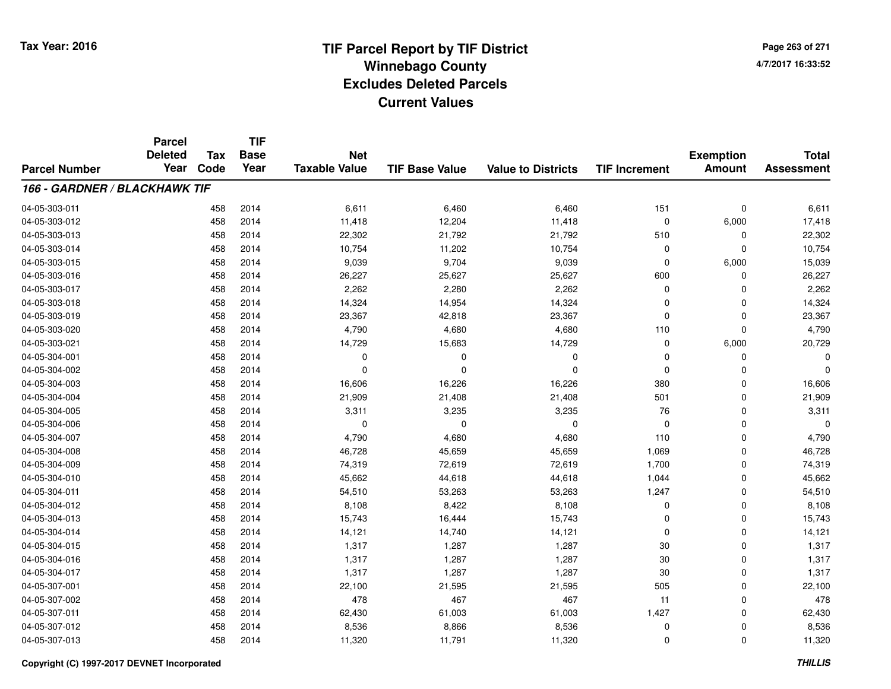**TIF**

**Parcel**

**Page 263 of 2714/7/2017 16:33:52**

#### **TIF Base ValueParcel NumberTotal AssessmentExemption Amount Value to Districts TIF Increment Base YearTax Code Deleted YearNet Taxable Value166 - GARDNER / BLACKHAWK TIF**04-05-303-0111 458 2014 6,611 6,460 6,460 151 0 6,611 04-05-303-0122 458 2014 11,418 12,204 11,418 0 6,000 17,418 04-05-303-013 <sup>458</sup> 22,302 <sup>2014</sup> 21,792 21,792 <sup>510</sup> <sup>0</sup> 22,302 04-05-303-014 <sup>458</sup> 10,754 <sup>2014</sup> 11,202 10,754 <sup>0</sup> <sup>0</sup> 10,754 04-05-303-015 <sup>458</sup> 9,039 <sup>2014</sup> 9,704 9,039 <sup>0</sup> 6,000 15,039 04-05-303-016 <sup>458</sup> 26,227 <sup>2014</sup> 25,627 25,627 <sup>600</sup> <sup>0</sup> 26,227 04-05-303-0177 458 2014 2,262 2,280 2,262 0 0 2,262 04-05-303-018 <sup>458</sup> 14,324 <sup>2014</sup> 14,954 14,324 <sup>0</sup> <sup>0</sup> 14,324 04-05-303-0199 458 2014 23,367 42,818 23,367 0 0 23,367 04-05-303-0200 458 2014 4,790 4,680 4,680 110 0 4,790 04-05-303-0211 458 2014 14,729 15,683 14,729 0 6,000 20,729 04-05-304-001 <sup>458</sup> <sup>0</sup> <sup>2014</sup> <sup>0</sup> <sup>0</sup> <sup>0</sup> <sup>0</sup> <sup>0</sup> 04-05-304-002 <sup>458</sup> <sup>0</sup> <sup>2014</sup> <sup>0</sup> <sup>0</sup> <sup>0</sup> <sup>0</sup> <sup>0</sup> 04-05-304-0033 458 2014 16,606 16,226 16,226 380 0 16,606 04-05-304-004 <sup>458</sup> 21,909 <sup>2014</sup> 21,408 21,408 <sup>501</sup> <sup>0</sup> 21,909 04-05-304-005 <sup>458</sup> 3,311 <sup>2014</sup> 3,235 3,235 <sup>76</sup> <sup>0</sup> 3,311 04-05-304-006 <sup>458</sup> <sup>0</sup> <sup>2014</sup> <sup>0</sup> <sup>0</sup> <sup>0</sup> <sup>0</sup> <sup>0</sup> 04-05-304-007 <sup>458</sup> 4,790 <sup>2014</sup> 4,680 4,680 <sup>110</sup> <sup>0</sup> 4,790 04-05-304-008 <sup>458</sup> 46,728 <sup>2014</sup> 45,659 45,659 1,069 <sup>0</sup> 46,728 04-05-304-0099 458 2014 74,319 72,619 72,619 1,700 0 74,319 04-05-304-0100 458 2014 45,662 44,618 44,618 1,044 0 45,662 04-05-304-0111 458 2014 54,510 53,263 53,263 1,247 0 54,510 04-05-304-0122 458 2014 8,108 8,422 8,108 0 0 8,108 04-05-304-013 <sup>458</sup> 15,743 <sup>2014</sup> 16,444 15,743 <sup>0</sup> <sup>0</sup> 15,743 04-05-304-014 <sup>458</sup> 14,121 <sup>2014</sup> 14,740 14,121 <sup>0</sup> <sup>0</sup> 14,121 04-05-304-015 <sup>458</sup> 1,317 <sup>2014</sup> 1,287 1,287 <sup>30</sup> <sup>0</sup> 1,317 04-05-304-016 <sup>458</sup> 1,317 <sup>2014</sup> 1,287 1,287 <sup>30</sup> <sup>0</sup> 1,317 04-05-304-017 <sup>458</sup> 1,317 <sup>2014</sup> 1,287 1,287 <sup>30</sup> <sup>0</sup> 1,317 04-05-307-0011 458 2014 22,100 21,595 21,595 505 0 22,100 04-05-307-002 <sup>458</sup> <sup>478</sup> <sup>2014</sup> <sup>467</sup> <sup>467</sup> <sup>11</sup> <sup>0</sup> <sup>478</sup> 04-05-307-0111 458 2014 62,430 61,003 61,003 1,427 0 62,430 04-05-307-0122 458 2014 8,536 8,866 8,536 0 0 8,536 04-05-307-013<sup>458</sup> 11,320 <sup>2014</sup> 11,791 11,320 <sup>0</sup> <sup>0</sup> 11,320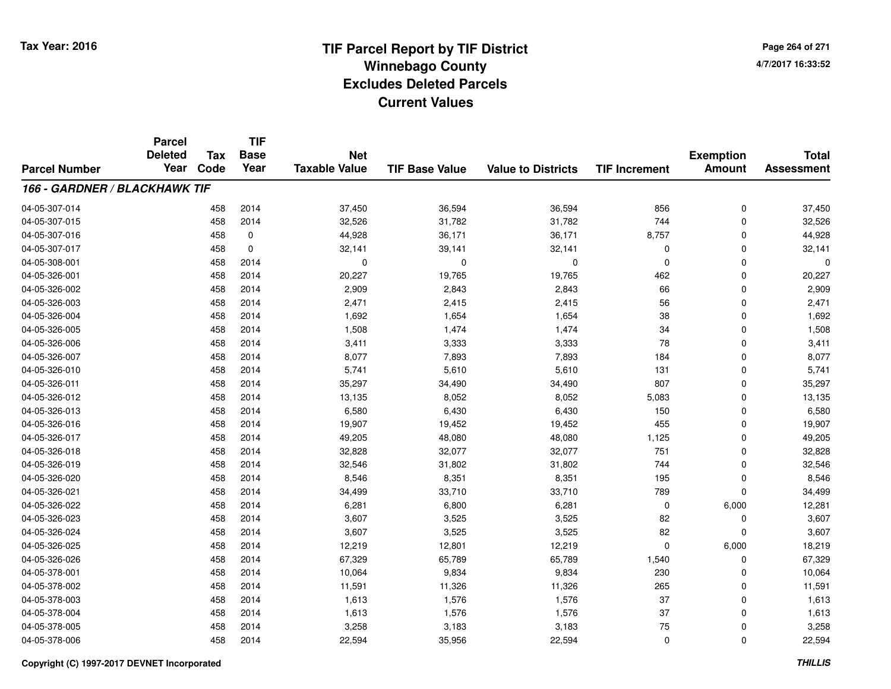**TIF**

**Parcel**

**Page 264 of 2714/7/2017 16:33:52**

#### **TIF Base ValueParcel NumberTotal AssessmentExemption Amount Value to Districts TIF Increment Base YearTax Code Deleted YearNet Taxable Value166 - GARDNER / BLACKHAWK TIF**04-05-307-014 <sup>458</sup> 37,450 <sup>2014</sup> 36,594 36,594 <sup>856</sup> <sup>0</sup> 37,450 04-05-307-015 <sup>458</sup> 32,526 <sup>2014</sup> 31,782 31,782 <sup>744</sup> <sup>0</sup> 32,526 04-05-307-0166 458 0 44,928 36,171 36,171 8,757 0 44,928 04-05-307-0177 458 0 32,141 39,141 32,141 0 32,141 04-05-308-001 <sup>458</sup> <sup>0</sup> <sup>2014</sup> <sup>0</sup> <sup>0</sup> <sup>0</sup> <sup>0</sup> <sup>0</sup> 04-05-326-0011 458 2014 20,227 19,765 19,765 462 0 20,227 04-05-326-0022 458 2014 2,909 2,843 2,843 66 0 2,909 04-05-326-0033 458 2014 2,471 2,415 2,415 56 0 2,471 04-05-326-004 <sup>458</sup> 1,692 <sup>2014</sup> 1,654 1,654 <sup>38</sup> <sup>0</sup> 1,692 04-05-326-005 <sup>458</sup> 1,508 <sup>2014</sup> 1,474 1,474 <sup>34</sup> <sup>0</sup> 1,508 04-05-326-006 <sup>458</sup> 3,411 <sup>2014</sup> 3,333 3,333 <sup>78</sup> <sup>0</sup> 3,411 04-05-326-007 <sup>458</sup> 8,077 <sup>2014</sup> 7,893 7,893 <sup>184</sup> <sup>0</sup> 8,077 04-05-326-0100 458 2014 5,741 5,610 5,610 131 0 5,741 04-05-326-0111 458 2014 35,297 34,490 34,490 807 0 35,297 04-05-326-012 <sup>458</sup> 13,135 <sup>2014</sup> 8,052 8,052 5,083 <sup>0</sup> 13,135 04-05-326-0133 458 2014 6,580 6,430 6,430 150 0 6,580 04-05-326-016 <sup>458</sup> 19,907 <sup>2014</sup> 19,452 19,452 <sup>455</sup> <sup>0</sup> 19,907 04-05-326-017 <sup>458</sup> 49,205 <sup>2014</sup> 48,080 48,080 1,125 <sup>0</sup> 49,205 04-05-326-018 <sup>458</sup> 32,828 <sup>2014</sup> 32,077 32,077 <sup>751</sup> <sup>0</sup> 32,828 04-05-326-0199 458 2014 32,546 31,802 31,802 744 0 32,546 04-05-326-0200 458 2014 8,546 8,351 8,351 195 0 8,546 04-05-326-0211 458 2014 34,499 33,710 33,710 789 0 34,499 04-05-326-0222 458 2014 6,281 6,800 6,281 0 6,000 12,281 04-05-326-0233 458 2014 3,607 3,525 3,525 82 0 3,607 04-05-326-0244 3,607 3,607 3,525 3,525 3,525 82 0 3,607 04-05-326-0255 458 2014 12,219 12,801 12,219 0 6,000 18,219 04-05-326-0266 458 2014 67,329 65,789 65,789 1,540 0 67,329 04-05-378-0011 458 2014 10,064 9,834 9,834 230 0 10,064 04-05-378-002 <sup>458</sup> 11,591 <sup>2014</sup> 11,326 11,326 <sup>265</sup> <sup>0</sup> 11,591 04-05-378-003 <sup>458</sup> 1,613 <sup>2014</sup> 1,576 1,576 <sup>37</sup> <sup>0</sup> 1,613 04-05-378-004 <sup>458</sup> 1,613 <sup>2014</sup> 1,576 1,576 <sup>37</sup> <sup>0</sup> 1,613 04-05-378-005 <sup>458</sup> 3,258 <sup>2014</sup> 3,183 3,183 <sup>75</sup> <sup>0</sup> 3,258 04-05-378-006<sup>458</sup> 22,594 <sup>2014</sup> 35,956 22,594 <sup>0</sup> <sup>0</sup> 22,594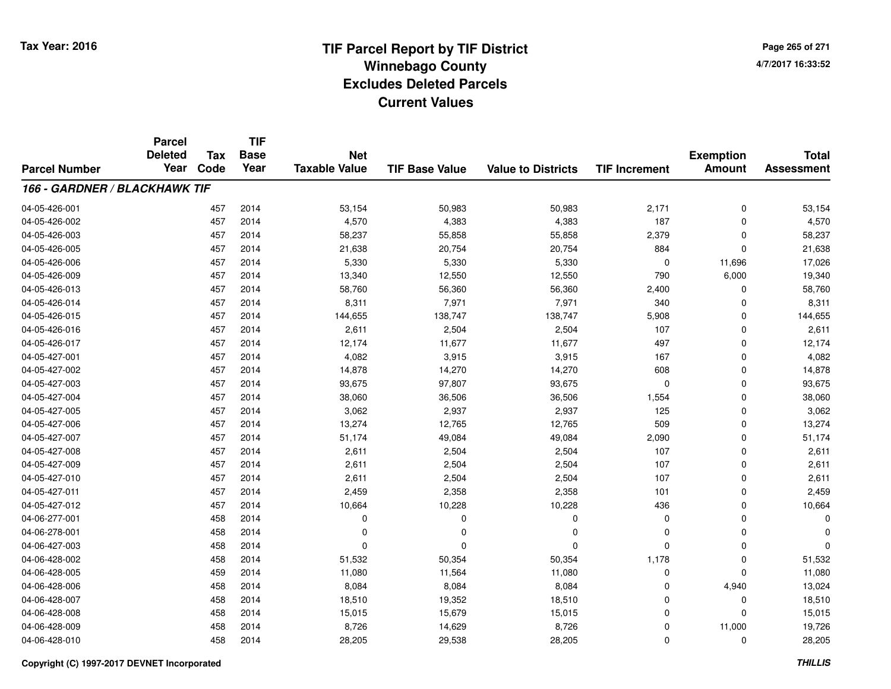**TIF**

**Parcel**

**Page 265 of 2714/7/2017 16:33:52**

#### **TIF Base ValueParcel NumberTotal AssessmentExemption Amount Value to Districts TIF Increment Base YearTax Code Deleted YearNet Taxable Value166 - GARDNER / BLACKHAWK TIF**04-05-426-001 <sup>457</sup> 53,154 <sup>2014</sup> 50,983 50,983 2,171 <sup>0</sup> 53,154 04-05-426-0022 457 2014 4,570 4,383 4,383 187 0 4,570 04-05-426-003 <sup>457</sup> 58,237 <sup>2014</sup> 55,858 55,858 2,379 <sup>0</sup> 58,237 04-05-426-005 <sup>457</sup> 21,638 <sup>2014</sup> 20,754 20,754 <sup>884</sup> <sup>0</sup> 21,638 04-05-426-006 <sup>457</sup> 5,330 <sup>2014</sup> 5,330 5,330 <sup>0</sup> 11,696 17,026 04-05-426-009 <sup>457</sup> 13,340 <sup>2014</sup> 12,550 12,550 <sup>790</sup> 6,000 19,340 04-05-426-013 <sup>457</sup> 58,760 <sup>2014</sup> 56,360 56,360 2,400 <sup>0</sup> 58,760 04-05-426-014 <sup>457</sup> 8,311 <sup>2014</sup> 7,971 7,971 <sup>340</sup> <sup>0</sup> 8,311 04-05-426-015 <sup>457</sup> 144,655 <sup>2014</sup> 138,747 138,747 5,908 <sup>0</sup> 144,655 04-05-426-016 <sup>457</sup> 2,611 <sup>2014</sup> 2,504 2,504 <sup>107</sup> <sup>0</sup> 2,611 04-05-426-017 <sup>457</sup> 12,174 <sup>2014</sup> 11,677 11,677 <sup>497</sup> <sup>0</sup> 12,174 04-05-427-0011 457 2014 4,082 3,915 3,915 167 0 4,082 04-05-427-0022 457 2014 14,878 14,270 14,270 608 0 14,878 04-05-427-0033 457 2014 93,675 97,807 93,675 0 0 93,675 04-05-427-0044 2657 2014 38,060 36,506 36,506 36,506 36,506 36,506 36,506 360 38,060 04-05-427-005 <sup>457</sup> 3,062 <sup>2014</sup> 2,937 2,937 <sup>125</sup> <sup>0</sup> 3,062 04-05-427-006 <sup>457</sup> 13,274 <sup>2014</sup> 12,765 12,765 <sup>509</sup> <sup>0</sup> 13,274 04-05-427-007 <sup>457</sup> 51,174 <sup>2014</sup> 49,084 49,084 2,090 <sup>0</sup> 51,174 04-05-427-0088 457 2014 2,611 2,504 2,504 107 0 2,611 04-05-427-0099 457 2014 2,611 2,504 2,504 107 0 2,611 04-05-427-0100 457 2014 2,611 2,504 2,504 107 0 2,611 04-05-427-0111 457 2014 2,459 2,358 2,358 101 0 2,459 04-05-427-0122 457 2014 10,664 10,228 10,228 436 0 10,664 04-06-277-001 <sup>458</sup> <sup>0</sup> <sup>2014</sup> <sup>0</sup> <sup>0</sup> <sup>0</sup> <sup>0</sup> <sup>0</sup> 04-06-278-001 <sup>458</sup> <sup>0</sup> <sup>2014</sup> <sup>0</sup> <sup>0</sup> <sup>0</sup> <sup>0</sup> <sup>0</sup> 04-06-427-003 <sup>458</sup> <sup>0</sup> <sup>2014</sup> <sup>0</sup> <sup>0</sup> <sup>0</sup> <sup>0</sup> <sup>0</sup> 04-06-428-0022 3 50,354 51,532 51,532 50,354 50,354 50,354 50,354 50,354 50,354 50,354 50,354 51,532 04-06-428-0055 459 2014 11,080 11,564 11,080 0 11,080 04-06-428-006 <sup>458</sup> 8,084 <sup>2014</sup> 8,084 8,084 <sup>0</sup> 4,940 13,024 04-06-428-007 <sup>458</sup> 18,510 <sup>2014</sup> 19,352 18,510 <sup>0</sup> <sup>0</sup> 18,510 04-06-428-008 <sup>458</sup> 15,015 <sup>2014</sup> 15,679 15,015 <sup>0</sup> <sup>0</sup> 15,015 04-06-428-009 <sup>458</sup> 8,726 <sup>2014</sup> 14,629 8,726 <sup>0</sup> 11,000 19,726 04-06-428-0100 458 2014 28,205 29,538 28,205 0 0 28,205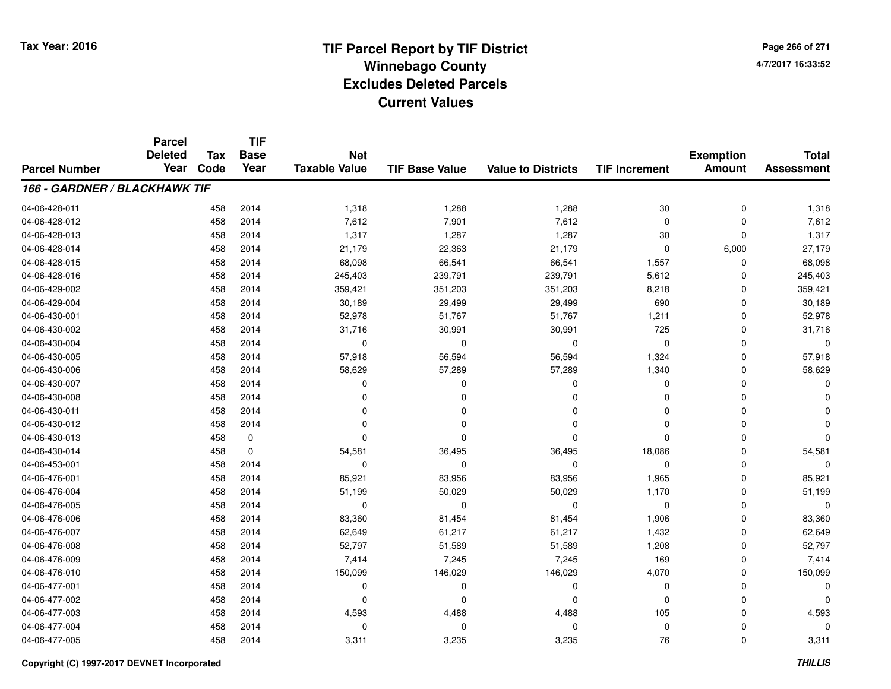**Page 266 of 2714/7/2017 16:33:52**

#### **TIF Base ValueParcel NumberTotal AssessmentExemption Amount Value to Districts TIF IncrementTIF Base YearTax CodeParcel Deleted YearNet Taxable Value166 - GARDNER / BLACKHAWK TIF**04-06-428-0111 458 2014 1,318 1,288 1,288 30 0 1,318 04-06-428-0122 458 2014 7,612 7,901 7,612 0 0 7,612 04-06-428-013 <sup>458</sup> 1,317 <sup>2014</sup> 1,287 1,287 <sup>30</sup> <sup>0</sup> 1,317 04-06-428-014 <sup>458</sup> 21,179 <sup>2014</sup> 22,363 21,179 <sup>0</sup> 6,000 27,179 04-06-428-0155 458 2014 68,098 66,541 66,541 1,557 0 68,098 04-06-428-0166 458 2014 245,403 239,791 239,791 5,612 0 245,403 04-06-429-0022 458 2014 359,421 351,203 351,203 8,218 0 359,421 04-06-429-004 <sup>458</sup> 30,189 <sup>2014</sup> 29,499 29,499 <sup>690</sup> <sup>0</sup> 30,189 04-06-430-001 <sup>458</sup> 52,978 <sup>2014</sup> 51,767 51,767 1,211 <sup>0</sup> 52,978 04-06-430-0022 458 2014 31,716 30,991 30,991 725 0 31,716 04-06-430-004 <sup>458</sup> <sup>0</sup> <sup>2014</sup> <sup>0</sup> <sup>0</sup> <sup>0</sup> <sup>0</sup> <sup>0</sup> 04-06-430-005 <sup>458</sup> 57,918 <sup>2014</sup> 56,594 56,594 1,324 <sup>0</sup> 57,918 04-06-430-006 <sup>458</sup> 58,629 <sup>2014</sup> 57,289 57,289 1,340 <sup>0</sup> 58,629 04-06-430-007 <sup>458</sup> <sup>0</sup> <sup>2014</sup> <sup>0</sup> <sup>0</sup> <sup>0</sup> <sup>0</sup> <sup>0</sup> 04-06-430-008 <sup>458</sup> <sup>0</sup> <sup>2014</sup> <sup>0</sup> <sup>0</sup> <sup>0</sup> <sup>0</sup> <sup>0</sup> 04-06-430-011 <sup>458</sup> <sup>0</sup> <sup>2014</sup> <sup>0</sup> <sup>0</sup> <sup>0</sup> <sup>0</sup> <sup>0</sup> 04-06-430-012 <sup>458</sup> <sup>0</sup> <sup>2014</sup> <sup>0</sup> <sup>0</sup> <sup>0</sup> <sup>0</sup> <sup>0</sup> 04-06-430-013 <sup>458</sup> <sup>0</sup> <sup>0</sup> <sup>0</sup> <sup>0</sup> <sup>0</sup> <sup>0</sup> <sup>0</sup> 04-06-430-0144 58 0 54,581 36,495 36,495 36,495 36,495 36,496 36,496 36,495 36,495 4581 36,495 36,495 45,086 36,495 4,581 36, 04-06-453-001 <sup>458</sup> <sup>0</sup> <sup>2014</sup> <sup>0</sup> <sup>0</sup> <sup>0</sup> <sup>0</sup> <sup>0</sup> 04-06-476-0011 458 2014 85,921 83,956 83,956 1,965 0 85,921 04-06-476-004 <sup>458</sup> 51,199 <sup>2014</sup> 50,029 50,029 1,170 <sup>0</sup> 51,199 04-06-476-005 <sup>458</sup> <sup>0</sup> <sup>2014</sup> <sup>0</sup> <sup>0</sup> <sup>0</sup> <sup>0</sup> <sup>0</sup> 04-06-476-006 <sup>458</sup> 83,360 <sup>2014</sup> 81,454 81,454 1,906 <sup>0</sup> 83,360 04-06-476-007 <sup>458</sup> 62,649 <sup>2014</sup> 61,217 61,217 1,432 <sup>0</sup> 62,649 04-06-476-008 <sup>458</sup> 52,797 <sup>2014</sup> 51,589 51,589 1,208 <sup>0</sup> 52,797 04-06-476-0099 458 2014 7,414 7,245 7,245 169 0 7,414 04-06-476-0100 458 2014 150,099 146,029 146,029 4,070 0 150,099 04-06-477-001 <sup>458</sup> <sup>0</sup> <sup>2014</sup> <sup>0</sup> <sup>0</sup> <sup>0</sup> <sup>0</sup> <sup>0</sup> 04-06-477-002 <sup>458</sup> <sup>0</sup> <sup>2014</sup> <sup>0</sup> <sup>0</sup> <sup>0</sup> <sup>0</sup> <sup>0</sup> 04-06-477-0033 458 2014 4,593 4,488 4,488 105 0 4,593 04-06-477-004 <sup>458</sup> <sup>0</sup> <sup>2014</sup> <sup>0</sup> <sup>0</sup> <sup>0</sup> <sup>0</sup> <sup>0</sup> 04-06-477-005<sup>458</sup> 3,311 <sup>2014</sup> 3,235 3,235 <sup>76</sup> <sup>0</sup> 3,311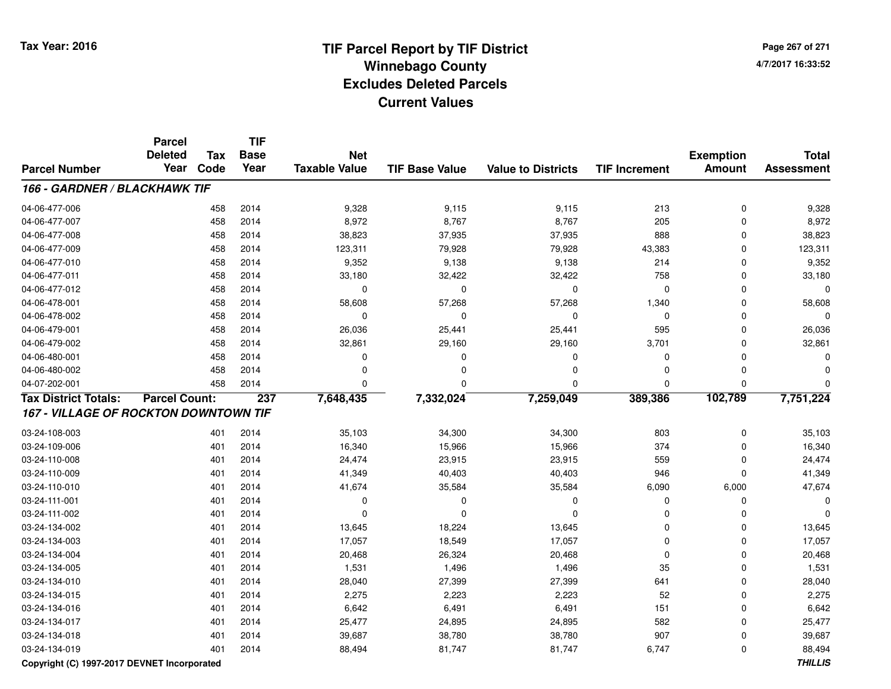**Page 267 of 2714/7/2017 16:33:52**

|                                              | <b>Parcel</b><br><b>Deleted</b> | <b>Tax</b> | <b>TIF</b><br><b>Base</b> | <b>Net</b>           |                       |                           |                      | <b>Exemption</b> | <b>Total</b>      |
|----------------------------------------------|---------------------------------|------------|---------------------------|----------------------|-----------------------|---------------------------|----------------------|------------------|-------------------|
| <b>Parcel Number</b>                         | Year                            | Code       | Year                      | <b>Taxable Value</b> | <b>TIF Base Value</b> | <b>Value to Districts</b> | <b>TIF Increment</b> | <b>Amount</b>    | <b>Assessment</b> |
| 166 - GARDNER / BLACKHAWK TIF                |                                 |            |                           |                      |                       |                           |                      |                  |                   |
| 04-06-477-006                                |                                 | 458        | 2014                      | 9,328                | 9,115                 | 9,115                     | 213                  | $\pmb{0}$        | 9,328             |
| 04-06-477-007                                |                                 | 458        | 2014                      | 8,972                | 8,767                 | 8,767                     | 205                  | 0                | 8,972             |
| 04-06-477-008                                |                                 | 458        | 2014                      | 38,823               | 37,935                | 37,935                    | 888                  | 0                | 38,823            |
| 04-06-477-009                                |                                 | 458        | 2014                      | 123,311              | 79,928                | 79,928                    | 43,383               | $\Omega$         | 123,311           |
| 04-06-477-010                                |                                 | 458        | 2014                      | 9,352                | 9,138                 | 9,138                     | 214                  | $\Omega$         | 9,352             |
| 04-06-477-011                                |                                 | 458        | 2014                      | 33,180               | 32,422                | 32,422                    | 758                  | $\Omega$         | 33,180            |
| 04-06-477-012                                |                                 | 458        | 2014                      | 0                    | 0                     | 0                         | 0                    | $\Omega$         | $\Omega$          |
| 04-06-478-001                                |                                 | 458        | 2014                      | 58,608               | 57,268                | 57,268                    | 1,340                | $\Omega$         | 58,608            |
| 04-06-478-002                                |                                 | 458        | 2014                      | $\mathbf 0$          | $\Omega$              | $\mathbf 0$               | $\mathbf 0$          | $\Omega$         | $\Omega$          |
| 04-06-479-001                                |                                 | 458        | 2014                      | 26,036               | 25,441                | 25,441                    | 595                  | $\Omega$         | 26,036            |
| 04-06-479-002                                |                                 | 458        | 2014                      | 32,861               | 29,160                | 29,160                    | 3,701                | $\mathbf 0$      | 32,861            |
| 04-06-480-001                                |                                 | 458        | 2014                      | $\mathbf 0$          | 0                     | 0                         | 0                    | $\mathbf 0$      | $\Omega$          |
| 04-06-480-002                                |                                 | 458        | 2014                      | 0                    | 0                     | 0                         | 0                    | $\mathbf 0$      | $\Omega$          |
| 04-07-202-001                                |                                 | 458        | 2014                      | $\Omega$             | 0                     | $\Omega$                  | 0                    | $\Omega$         | $\Omega$          |
| <b>Tax District Totals:</b>                  | <b>Parcel Count:</b>            |            | 237                       | 7,648,435            | 7,332,024             | 7,259,049                 | 389,386              | 102,789          | 7,751,224         |
| <b>167 - VILLAGE OF ROCKTON DOWNTOWN TIF</b> |                                 |            |                           |                      |                       |                           |                      |                  |                   |
| 03-24-108-003                                |                                 | 401        | 2014                      | 35,103               | 34,300                | 34,300                    | 803                  | 0                | 35,103            |
| 03-24-109-006                                |                                 | 401        | 2014                      | 16,340               | 15,966                | 15,966                    | 374                  | $\mathbf 0$      | 16,340            |
| 03-24-110-008                                |                                 | 401        | 2014                      | 24,474               | 23,915                | 23,915                    | 559                  | $\Omega$         | 24,474            |
| 03-24-110-009                                |                                 | 401        | 2014                      | 41,349               | 40,403                | 40,403                    | 946                  | $\Omega$         | 41,349            |
| 03-24-110-010                                |                                 | 401        | 2014                      | 41,674               | 35,584                | 35,584                    | 6,090                | 6,000            | 47,674            |
| 03-24-111-001                                |                                 | 401        | 2014                      | 0                    | 0                     | $\mathbf 0$               | 0                    | $\Omega$         | 0                 |
| 03-24-111-002                                |                                 | 401        | 2014                      | $\Omega$             | $\Omega$              | $\Omega$                  | 0                    | $\Omega$         | $\Omega$          |
| 03-24-134-002                                |                                 | 401        | 2014                      | 13,645               | 18,224                | 13,645                    | 0                    | $\Omega$         | 13,645            |
| 03-24-134-003                                |                                 | 401        | 2014                      | 17,057               | 18,549                | 17,057                    | 0                    | $\Omega$         | 17,057            |
| 03-24-134-004                                |                                 | 401        | 2014                      | 20,468               | 26,324                | 20,468                    | 0                    | 0                | 20,468            |
| 03-24-134-005                                |                                 | 401        | 2014                      | 1,531                | 1,496                 | 1,496                     | 35                   | 0                | 1,531             |
| 03-24-134-010                                |                                 | 401        | 2014                      | 28,040               | 27,399                | 27,399                    | 641                  | $\mathbf 0$      | 28,040            |
| 03-24-134-015                                |                                 | 401        | 2014                      | 2,275                | 2,223                 | 2,223                     | 52                   | $\mathbf 0$      | 2,275             |
| 03-24-134-016                                |                                 | 401        | 2014                      | 6,642                | 6,491                 | 6,491                     | 151                  | $\mathbf 0$      | 6,642             |
| 03-24-134-017                                |                                 | 401        | 2014                      | 25,477               | 24,895                | 24,895                    | 582                  | $\mathbf 0$      | 25,477            |
| 03-24-134-018                                |                                 | 401        | 2014                      | 39,687               | 38,780                | 38,780                    | 907                  | $\mathbf 0$      | 39,687            |
| 03-24-134-019                                |                                 | 401        | 2014                      | 88,494               | 81,747                | 81,747                    | 6,747                | $\Omega$         | 88,494            |

### **Copyright (C) 1997-2017 DEVNET Incorporated**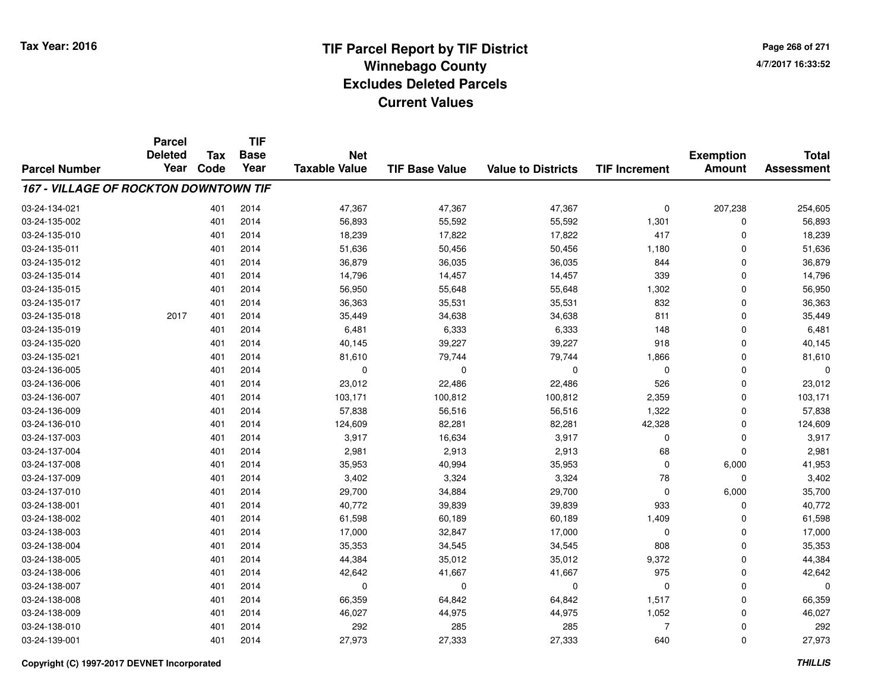**Page 268 of 2714/7/2017 16:33:52**

#### **TIF Base ValueParcel NumberTotal AssessmentExemption Amount Value to Districts TIF IncrementTIF Base YearTax CodeParcel Deleted YearNet Taxable Value167 - VILLAGE OF ROCKTON DOWNTOWN TIF**03-24-134-0211 401 2014 47,367 47,367 254,605 03-24-135-0022 401 2014 56,893 55,592 55,592 1,301 0 56,893 03-24-135-0100 401 2014 18,239 17,822 17,822 417 0 18,239 03-24-135-011 <sup>401</sup> 51,636 <sup>2014</sup> 50,456 50,456 1,180 <sup>0</sup> 51,636 03-24-135-0122 401 2014 36,879 36,035 36,035 844 0 36,879 03-24-135-014 <sup>401</sup> 14,796 <sup>2014</sup> 14,457 14,457 <sup>339</sup> <sup>0</sup> 14,796 03-24-135-015 <sup>401</sup> 56,950 <sup>2014</sup> 55,648 55,648 1,302 <sup>0</sup> 56,950 03-24-135-017 <sup>401</sup> 36,363 <sup>2014</sup> 35,531 35,531 <sup>832</sup> <sup>0</sup> 36,363 03-24-135-018 <sup>2017</sup> <sup>401</sup> <sup>2014</sup> 35,449 34,638 34,638 <sup>811</sup> <sup>0</sup> 35,449 03-24-135-0199 401 2014 6,481 6,333 6,333 148 0 6,481 03-24-135-0200 401 2014 40,145 39,227 39,227 918 0 40,145 03-24-135-0211 401 2014 81,610 79,744 79,744 1,866 0 81,610 03-24-136-005 <sup>401</sup> <sup>0</sup> <sup>2014</sup> <sup>0</sup> <sup>0</sup> <sup>0</sup> <sup>0</sup> <sup>0</sup> 03-24-136-006 <sup>401</sup> 23,012 <sup>2014</sup> 22,486 22,486 <sup>526</sup> <sup>0</sup> 23,012 03-24-136-007 <sup>401</sup> 103,171 <sup>2014</sup> 100,812 100,812 2,359 <sup>0</sup> 103,171 03-24-136-0099 401 2014 57,838 56,516 56,516 1,322 0 57,838 03-24-136-0100 401 2014 124,609 82,281 82,281 42,328 0 124,609 03-24-137-0033 401 2014 3,917 16,634 3,917 0 0 3,917 03-24-137-0044 201 2014 2019 2,981 2,913 2,913 2,913 68 0 2,981 03-24-137-0088 401 2014 35,953 40,994 35,953 0 6,000 41,953 03-24-137-0099 401 2014 3,402 3,324 3,324 78 0 3,402 03-24-137-0100 401 2014 29,700 34,884 29,700 0 6,000 35,700 03-24-138-0011 401 2014 40,772 39,839 39,839 933 0 40,772 03-24-138-0022 401 2014 61,598 60,189 60,189 1,409 0 61,598 03-24-138-003 <sup>401</sup> 17,000 <sup>2014</sup> 32,847 17,000 <sup>0</sup> <sup>0</sup> 17,000 03-24-138-004 <sup>401</sup> 35,353 <sup>2014</sup> 34,545 34,545 <sup>808</sup> <sup>0</sup> 35,353 03-24-138-005 <sup>401</sup> 44,384 <sup>2014</sup> 35,012 35,012 9,372 <sup>0</sup> 44,384 03-24-138-0066 401 2014 42,642 41,667 41,667 975 0 42,642 03-24-138-007 <sup>401</sup> <sup>0</sup> <sup>2014</sup> <sup>0</sup> <sup>0</sup> <sup>0</sup> <sup>0</sup> <sup>0</sup> 03-24-138-008 <sup>401</sup> 66,359 <sup>2014</sup> 64,842 64,842 1,517 <sup>0</sup> 66,359 03-24-138-009 <sup>401</sup> 46,027 <sup>2014</sup> 44,975 44,975 1,052 <sup>0</sup> 46,027 03-24-138-0100 401 2014 292 285 285 7 0 292 03-24-139-001<sup>401</sup> 27,973 <sup>2014</sup> 27,333 27,333 <sup>640</sup> <sup>0</sup> 27,973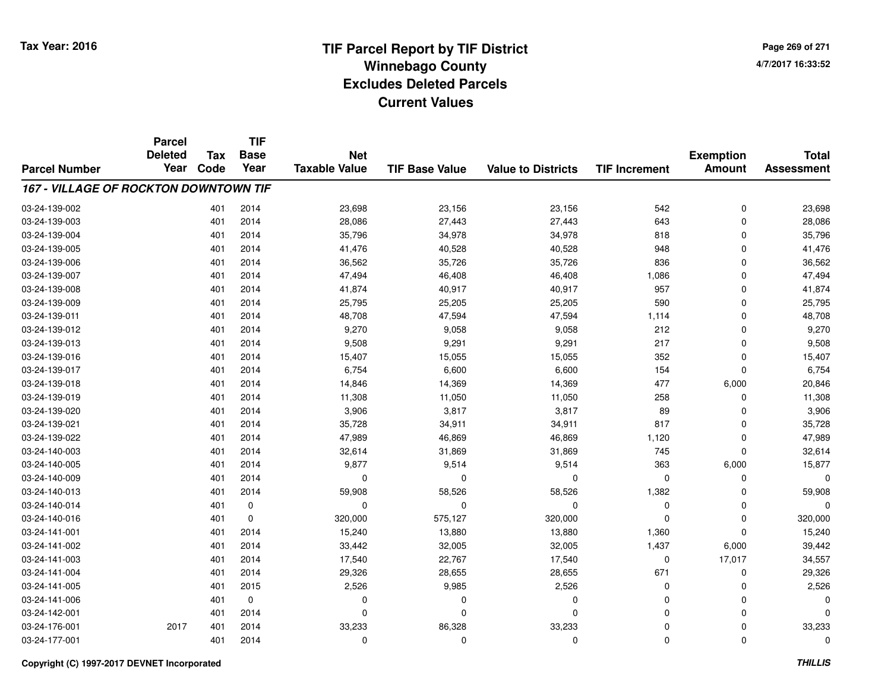**TIF**

**Parcel**

**Page 269 of 2714/7/2017 16:33:52**

#### **TIF Base ValueParcel NumberTotal AssessmentExemption Amount Value to Districts TIF Increment Base YearTax Code Deleted YearNet Taxable Value167 - VILLAGE OF ROCKTON DOWNTOWN TIF**03-24-139-0022 401 2014 23,698 23,156 23,156 542 0 23,698 03-24-139-0033 401 2014 28,086 27,443 27,443 643 0 28,086 03-24-139-004 <sup>401</sup> 35,796 <sup>2014</sup> 34,978 34,978 <sup>818</sup> <sup>0</sup> 35,796 03-24-139-005 <sup>401</sup> 41,476 <sup>2014</sup> 40,528 40,528 <sup>948</sup> <sup>0</sup> 41,476 03-24-139-006 <sup>401</sup> 36,562 <sup>2014</sup> 35,726 35,726 <sup>836</sup> <sup>0</sup> 36,562 03-24-139-007 <sup>401</sup> 47,494 <sup>2014</sup> 46,408 46,408 1,086 <sup>0</sup> 47,494 03-24-139-008 <sup>401</sup> 41,874 <sup>2014</sup> 40,917 40,917 <sup>957</sup> <sup>0</sup> 41,874 03-24-139-009 <sup>401</sup> 25,795 <sup>2014</sup> 25,205 25,205 <sup>590</sup> <sup>0</sup> 25,795 03-24-139-011 <sup>401</sup> 48,708 <sup>2014</sup> 47,594 47,594 1,114 <sup>0</sup> 48,708 03-24-139-0122 212 2014 9,270 9,058 9,058 212 0 9,270 03-24-139-0133 401 2014 9,508 9,291 9,291 217 0 9,508 03-24-139-016 <sup>401</sup> 15,407 <sup>2014</sup> 15,055 15,055 <sup>352</sup> <sup>0</sup> 15,407 03-24-139-017 <sup>401</sup> 6,754 <sup>2014</sup> 6,600 6,600 <sup>154</sup> <sup>0</sup> 6,754 03-24-139-0188 401 2014 14,846 14,369 14,369 477 6,000 20,846 03-24-139-019 <sup>401</sup> 11,308 <sup>2014</sup> 11,050 11,050 <sup>258</sup> <sup>0</sup> 11,308 03-24-139-0200 401 2014 3,906 3,817 3,817 89 0 3,906 03-24-139-0211 401 2014 35,728 34,911 34,911 817 0 35,728 03-24-139-0222 2 401 2014 47,989 46,869 46,869 1,120 0 47,989 03-24-140-0033 401 2014 32,614 31,869 31,869 745 0 32,614 03-24-140-005 <sup>401</sup> 9,877 <sup>2014</sup> 9,514 9,514 <sup>363</sup> 6,000 15,877 03-24-140-009 <sup>401</sup> <sup>0</sup> <sup>2014</sup> <sup>0</sup> <sup>0</sup> <sup>0</sup> <sup>0</sup> <sup>0</sup> 03-24-140-013 <sup>401</sup> 59,908 <sup>2014</sup> 58,526 58,526 1,382 <sup>0</sup> 59,908 03-24-140-014 <sup>401</sup> <sup>0</sup> <sup>0</sup> <sup>0</sup> <sup>0</sup> <sup>0</sup> <sup>0</sup> <sup>0</sup> 03-24-140-016 <sup>401</sup> 320,000 <sup>0</sup> 575,127 320,000 <sup>0</sup> <sup>0</sup> 320,000 03-24-141-0011 401 2014 15,240 13,880 13,880 1,360 0 15,240 03-24-141-0022 401 2014 33,442 32,005 32,005 1,437 6,000 39,442 03-24-141-003 <sup>401</sup> 17,540 <sup>2014</sup> 22,767 17,540 <sup>0</sup> 17,017 34,557 03-24-141-0044 401 2014 29,326 28,655 28,655 671 0 29,326 03-24-141-0055 401 2015 2,526 9,985 2,526 0 0 2,526 03-24-141-006 <sup>401</sup> <sup>0</sup> <sup>0</sup> <sup>0</sup> <sup>0</sup> <sup>0</sup> <sup>0</sup> <sup>0</sup> 03-24-142-001 <sup>401</sup> <sup>0</sup> <sup>2014</sup> <sup>0</sup> <sup>0</sup> <sup>0</sup> <sup>0</sup> <sup>0</sup> 03-24-176-0011 2017 401 2014 33,233 86,328 33,233 0 0 33,233 03-24-177-001<sup>401</sup> <sup>0</sup> <sup>2014</sup> <sup>0</sup> <sup>0</sup> <sup>0</sup> <sup>0</sup> <sup>0</sup>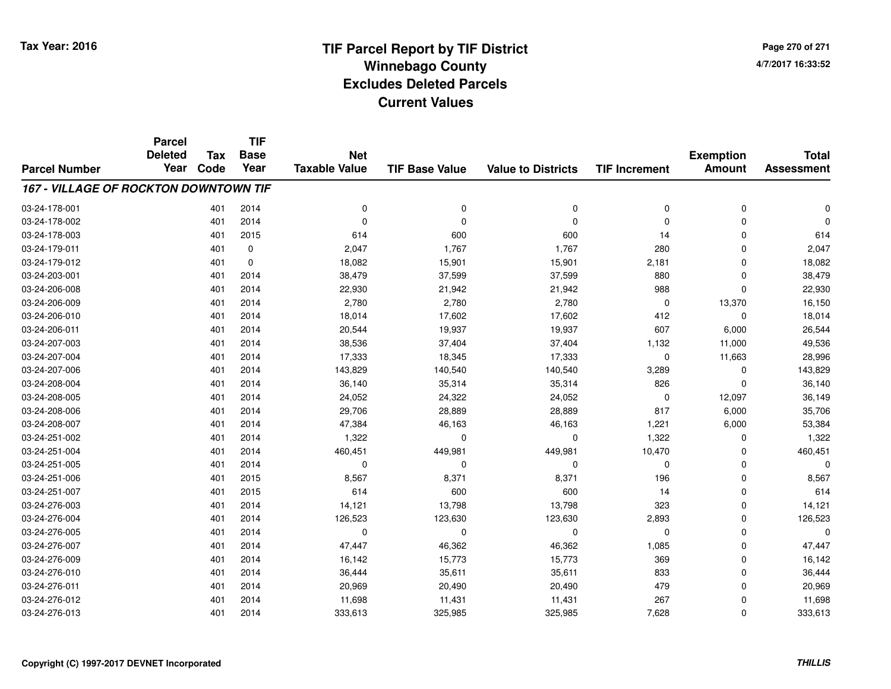**Page 270 of 2714/7/2017 16:33:52**

#### **TIF Base ValueParcel NumberTotal AssessmentExemption Amount Value to Districts TIF IncrementTIF Base YearTax CodeParcel Deleted YearNet Taxable Value167 - VILLAGE OF ROCKTON DOWNTOWN TIF**03-24-178-001 <sup>401</sup> <sup>0</sup> <sup>2014</sup> <sup>0</sup> <sup>0</sup> <sup>0</sup> <sup>0</sup> <sup>0</sup> 03-24-178-002 <sup>401</sup> <sup>0</sup> <sup>2014</sup> <sup>0</sup> <sup>0</sup> <sup>0</sup> <sup>0</sup> <sup>0</sup> 03-24-178-0033 401 2015 614 600 600 14 0 614 03-24-179-0111 1 280 1,767 1,767 1,767 1,767 280 0 2,047 03-24-179-0122 2 3 18,082 18,082 15,901 15,901 15,901 2,181 0 18,082 03-24-203-0011 401 2014 38,479 37,599 37,599 880 0 38,479 03-24-206-008 <sup>401</sup> 22,930 <sup>2014</sup> 21,942 21,942 <sup>988</sup> <sup>0</sup> 22,930 03-24-206-009 <sup>401</sup> 2,780 <sup>2014</sup> 2,780 2,780 <sup>0</sup> 13,370 16,150 03-24-206-0100 401 2014 18,014 17,602 18,014 03-24-206-0111 401 2014 20,544 19,937 19,937 607 6,000 26,544 03-24-207-003 <sup>401</sup> 38,536 <sup>2014</sup> 37,404 37,404 1,132 11,000 49,536 03-24-207-004 <sup>401</sup> 17,333 <sup>2014</sup> 18,345 17,333 <sup>0</sup> 11,663 28,996 03-24-207-0066 401 2014 143,829 140,540 140,540 3,289 0 143,829 03-24-208-004 <sup>401</sup> 36,140 <sup>2014</sup> 35,314 35,314 <sup>826</sup> <sup>0</sup> 36,140 03-24-208-005 <sup>401</sup> 24,052 <sup>2014</sup> 24,322 24,052 <sup>0</sup> 12,097 36,149 03-24-208-0066 401 2014 29,706 28,889 28,889 817 6,000 35,706 03-24-208-007 <sup>401</sup> 47,384 <sup>2014</sup> 46,163 46,163 1,221 6,000 53,384 03-24-251-0022 2 2 2 3 401 2014 1,322 2 3 0 3 1,322 1,322 0 3 1,322 1,322 03-24-251-004 <sup>401</sup> 460,451 <sup>2014</sup> 449,981 449,981 10,470 <sup>0</sup> 460,451 03-24-251-005 <sup>401</sup> <sup>0</sup> <sup>2014</sup> <sup>0</sup> <sup>0</sup> <sup>0</sup> <sup>0</sup> <sup>0</sup> 03-24-251-006 <sup>401</sup> 8,567 <sup>2015</sup> 8,371 8,371 <sup>196</sup> <sup>0</sup> 8,567 03-24-251-007 <sup>401</sup> <sup>614</sup> <sup>2015</sup> <sup>600</sup> <sup>600</sup> <sup>14</sup> <sup>0</sup> <sup>614</sup> 03-24-276-0033 401 2014 14,121 13,798 13,798 323 0 14,121 03-24-276-0044 401 2014 126,523 123,630 123,630 2,893 0 126,523 03-24-276-005 <sup>401</sup> <sup>0</sup> <sup>2014</sup> <sup>0</sup> <sup>0</sup> <sup>0</sup> <sup>0</sup> <sup>0</sup> 03-24-276-007 <sup>401</sup> 47,447 <sup>2014</sup> 46,362 46,362 1,085 <sup>0</sup> 47,447 03-24-276-009 <sup>401</sup> 16,142 <sup>2014</sup> 15,773 15,773 <sup>369</sup> <sup>0</sup> 16,142 03-24-276-0100 401 2014 36,444 35,611 35,611 833 0 36,444 03-24-276-011 <sup>401</sup> 20,969 <sup>2014</sup> 20,490 20,490 <sup>479</sup> <sup>0</sup> 20,969 03-24-276-012 <sup>401</sup> 11,698 <sup>2014</sup> 11,431 11,431 <sup>267</sup> <sup>0</sup> 11,698 03-24-276-0133 401 2014 333,613 325,985 325,985 7,628 0 333,613